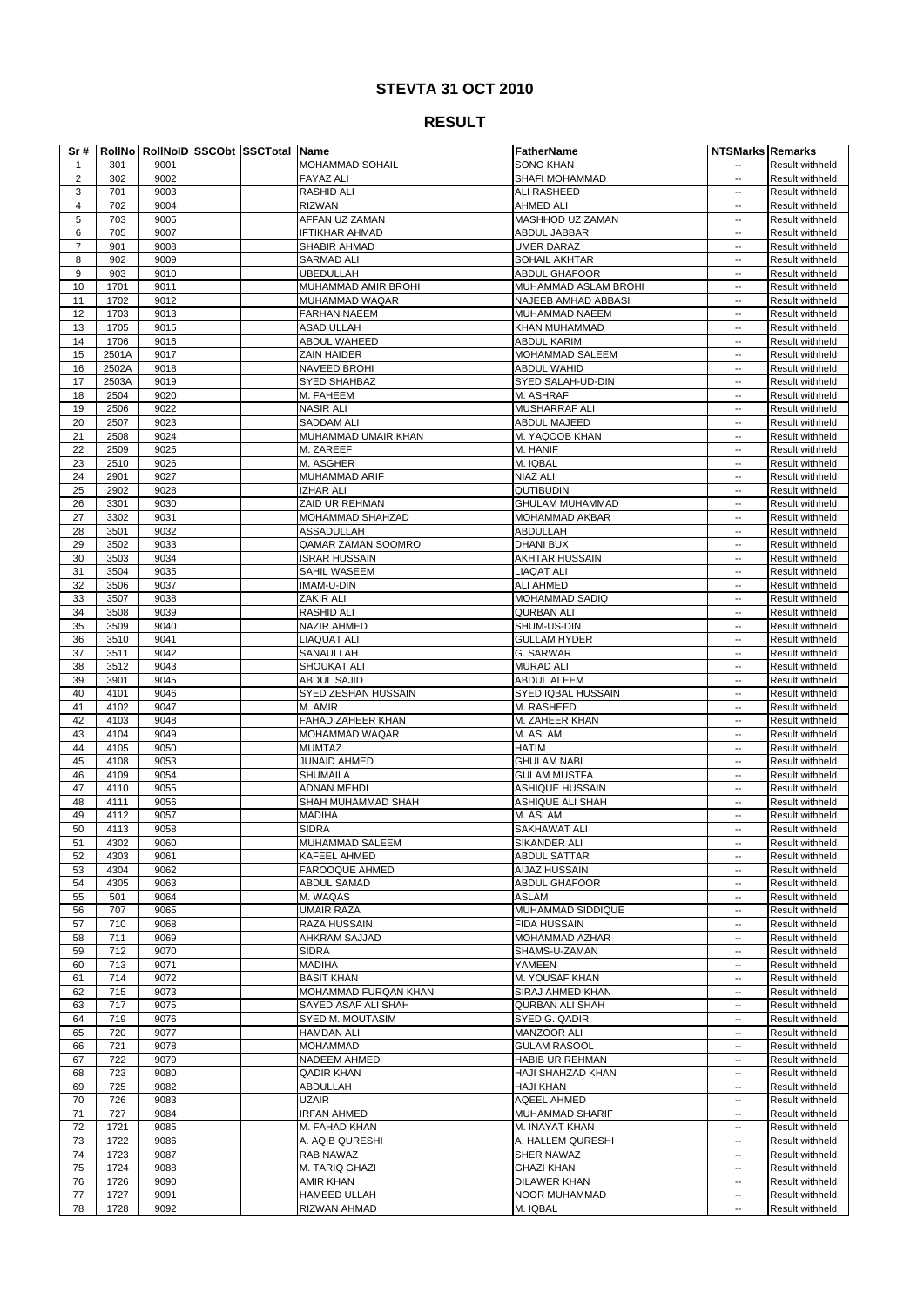|                |              |              | Sr #   RollNo   RollNoID   SSCObt   SSCTotal   Name |                                 | <b>FatherName</b>                                 | <b>NTSMarks Remarks</b>  |                                                  |
|----------------|--------------|--------------|-----------------------------------------------------|---------------------------------|---------------------------------------------------|--------------------------|--------------------------------------------------|
|                | 301          | 9001         |                                                     | <b>MOHAMMAD SOHAIL</b>          | <b>SONO KHAN</b>                                  |                          | <b>Result withheld</b>                           |
| $\overline{2}$ | 302          | 9002         |                                                     | <b>FAYAZ ALI</b>                | SHAFI MOHAMMAD                                    | н.                       | <b>Result withheld</b>                           |
| 3              | 701          | 9003         |                                                     | <b>RASHID ALI</b>               | ALI RASHEED                                       | ۰.                       | <b>Result withheld</b>                           |
| 4              | 702          | 9004         |                                                     | <b>RIZWAN</b>                   | <b>AHMED ALI</b>                                  | −−                       | Result withheld                                  |
| 5              | 703          | 9005         |                                                     | AFFAN UZ ZAMAN                  | <b>MASHHOD UZ ZAMAN</b>                           | --                       | <b>Result withheld</b>                           |
| 6              | 705          | 9007         |                                                     | <b>IFTIKHAR AHMAD</b>           | ABDUL JABBAR                                      | --                       | Result withheld                                  |
| $\overline{7}$ | 901          | 9008         |                                                     | SHABIR AHMAD                    | <b>UMER DARAZ</b>                                 | --                       | <b>Result withheld</b>                           |
| 8              | 902          | 9009         |                                                     | <b>SARMAD ALI</b>               | SOHAIL AKHTAR                                     |                          | Result withheld                                  |
| 9              | 903          | 9010         |                                                     | <b>UBEDULLAH</b>                | <b>ABDUL GHAFOOR</b>                              | --                       | Result withheld                                  |
| 10             | 1701         | 9011         |                                                     | MUHAMMAD AMIR BROHI             | MUHAMMAD ASLAM BROHI                              | ۰.                       | Result withheld                                  |
| 11             | 1702         | 9012         |                                                     | MUHAMMAD WAQAR                  | NAJEEB AMHAD ABBASI                               | ۰.                       | Result withheld                                  |
| 12             | 1703         | 9013         |                                                     | <b>FARHAN NAEEM</b>             | MUHAMMAD NAEEM                                    | ۰.                       | Result withheld                                  |
| 13             | 1705         | 9015         |                                                     | <b>ASAD ULLAH</b>               | KHAN MUHAMMAD                                     | $\overline{\phantom{a}}$ | Result withheld                                  |
| 14             | 1706         | 9016         |                                                     | <b>ABDUL WAHEED</b>             | <b>ABDUL KARIM</b>                                | ۰.                       | <b>Result withheld</b>                           |
| 15             | 2501A        | 9017         |                                                     | <b>ZAIN HAIDER</b>              | MOHAMMAD SALEEM                                   | ۰.                       | <b>Result withheld</b>                           |
| 16             | 2502A        | 9018         |                                                     | <b>NAVEED BROHI</b>             | <b>ABDUL WAHID</b>                                | ۰.                       | <b>Result withheld</b>                           |
| 17             | 2503A        | 9019         |                                                     | <b>SYED SHAHBAZ</b>             | SYED SALAH-UD-DIN                                 | н.                       | <b>Result withheld</b>                           |
| 18             | 2504         | 9020         |                                                     | M. FAHEEM                       | M. ASHRAF                                         | ۰.                       | Result withheld                                  |
| 19             | 2506         | 9022         |                                                     | <b>NASIR ALI</b>                | <b>MUSHARRAF ALI</b>                              | ۰.                       | <b>Result withheld</b>                           |
| 20             | 2507         | 9023         |                                                     | <b>SADDAM ALI</b>               | ABDUL MAJEED                                      | ۰.                       | <b>Result withheld</b>                           |
| 21             | 2508         | 9024         |                                                     | MUHAMMAD UMAIR KHAN             | M. YAQOOB KHAN                                    | --                       | <b>Result withheld</b>                           |
| 22             | 2509         | 9025         |                                                     | M. ZAREEF                       | M. HANIF                                          | н.                       | Result withheld                                  |
| 23             | 2510         | 9026         |                                                     | $\overline{M}$ . ASGHER         | M. IQBAL                                          | --                       | Result withheld                                  |
| 24             | 2901         | 9027         |                                                     | MUHAMMAD ARIF                   | <b>NIAZ ALI</b>                                   | --                       | Result withheld                                  |
| 25             | 2902         | 9028         |                                                     | <b>IZHAR ALI</b>                | <b>QUTIBUDIN</b>                                  | --                       | Result withheld                                  |
| 26             | 3301         | 9030         |                                                     | ZAID UR REHMAN                  | <b>GHULAM MUHAMMAD</b>                            | --                       | Result withheld                                  |
| 27             | 3302         | 9031         |                                                     | MOHAMMAD SHAHZAD                | MOHAMMAD AKBAR                                    | н.                       | Result withheld                                  |
| 28             | 3501         | 9032         |                                                     | ASSADULLAH                      | ABDULLAH                                          | ۰.                       | Result withheld                                  |
| 29             | 3502         | 9033         |                                                     | QAMAR ZAMAN SOOMRO              | <b>DHANI BUX</b>                                  | ۰.                       | Result withheld                                  |
| 30             | 3503         | 9034         |                                                     | <b>ISRAR HUSSAIN</b>            | <b>AKHTAR HUSSAIN</b>                             | ۰.                       | Result withheld                                  |
| 31             | 3504         | 9035         |                                                     | SAHIL WASEEM                    | <b>LIAQAT ALI</b>                                 | ۰.                       | Result withheld                                  |
| 32             | 3506         | 9037         |                                                     | IMAM-U-DIN                      | ALI AHMED                                         | н.                       | <b>Result withheld</b>                           |
| 33             | 3507         | 9038         |                                                     | ZAKIR ALI                       | <b>MOHAMMAD SADIQ</b>                             | --                       | Result withheld                                  |
| 34             | 3508         | 9039         |                                                     | <b>RASHID ALI</b>               | <b>QURBAN ALI</b>                                 | н.                       | <b>Result withheld</b>                           |
| 35             | 3509         | 9040         |                                                     | <b>NAZIR AHMED</b>              | SHUM-US-DIN                                       |                          | <b>Result withheld</b>                           |
| 36             | 3510         | 9041         |                                                     | <b>LIAQUAT ALI</b>              | <b>GULLAM HYDER</b>                               |                          | <b>Result withheld</b>                           |
| 37             | 3511         | 9042         |                                                     | SANAULLAH                       | G. SARWAR                                         | ۰.                       | <b>Result withheld</b>                           |
| 38             | 3512         | 9043         |                                                     | <b>SHOUKAT ALI</b>              | <b>MURAD ALI</b>                                  | --                       | Result withheld                                  |
| 39             | 3901         | 9045         |                                                     | <b>ABDUL SAJID</b>              | ABDUL ALEEM                                       | --                       | <b>Result withheld</b>                           |
| 40             | 4101         | 9046         |                                                     | SYED ZESHAN HUSSAIN             | SYED IQBAL HUSSAIN                                | --                       | Result withheld                                  |
| 41             | 4102         | 9047         |                                                     | M. AMIR                         | M. RASHEED                                        | --                       | <b>Result withheld</b>                           |
| 42             | 4103         | 9048         |                                                     | FAHAD ZAHEER KHAN               | M. ZAHEER KHAN                                    | --                       | Result withheld                                  |
| 43             | 4104         | 9049         |                                                     | MOHAMMAD WAQAR                  | M. ASLAM                                          | --                       | Result withheld                                  |
| 44             | 4105         | 9050         |                                                     | <b>MUMTAZ</b>                   | <b>HATIM</b>                                      | ۰.                       | Result withheld                                  |
| 45             | 4108         | 9053         |                                                     | <b>JUNAID AHMED</b>             | <b>GHULAM NABI</b>                                | ۰.                       | Result withheld                                  |
| 46             | 4109         | 9054         |                                                     | <b>SHUMAILA</b>                 | <b>GULAM MUSTFA</b>                               | ۰.                       | Result withheld                                  |
| 47             | 4110         | 9055         |                                                     | <b>ADNAN MEHDI</b>              | <b>ASHIQUE HUSSAIN</b><br><b>ASHIQUE ALI SHAH</b> | --                       | Result withheld                                  |
| 48             | 4111         | 9056         |                                                     | SHAH MUHAMMAD SHAH              |                                                   | --                       | Result withheld                                  |
| 49             | 4112         | 9057         |                                                     | <b>MADIHA</b>                   | M. ASLAM                                          | --                       | Result withheld                                  |
| 50<br>51       | 4113         | 9058         |                                                     | <b>SIDRA</b><br>MUHAMMAD SALEEM | <b>SAKHAWAT ALI</b><br>SIKANDER ALI               | --                       | Result withheld                                  |
|                | 4302         | 9060<br>9061 |                                                     |                                 |                                                   | --                       | Result withheld                                  |
| 52             | 4303<br>4304 | 9062         |                                                     | KAFEEL AHMED<br>FAROOQUE AHMED  | <b>ABDUL SATTAR</b>                               | н.                       | <b>Result withheld</b>                           |
| 53             |              |              |                                                     |                                 | <b>AIJAZ HUSSAIN</b>                              | ۰.                       | <b>Result withheld</b>                           |
| 54<br>55       | 4305<br>501  | 9063<br>9064 |                                                     | ABDUL SAMAD<br>M. WAQAS         | <b>ABDUL GHAFOOR</b><br><b>ASLAM</b>              | ۰.<br>--                 | <b>Result withheld</b><br><b>Result withheld</b> |
| 56             | 707          | 9065         |                                                     | <b>UMAIR RAZA</b>               | MUHAMMAD SIDDIQUE                                 | --                       | <b>Result withheld</b>                           |
| 57             | 710          | 9068         |                                                     | RAZA HUSSAIN                    | <b>FIDA HUSSAIN</b>                               | --                       | Result withheld                                  |
| 58             | 711          | 9069         |                                                     | AHKRAM SAJJAD                   | MOHAMMAD AZHAR                                    | --                       | Result withheld                                  |
| 59             | 712          | 9070         |                                                     | <b>SIDRA</b>                    | SHAMS-U-ZAMAN                                     | --                       | Result withheld                                  |
| 60             | 713          | 9071         |                                                     | <b>MADIHA</b>                   | YAMEEN                                            |                          | Result withheld                                  |
| 61             | 714          | 9072         |                                                     | <b>BASIT KHAN</b>               | M. YOUSAF KHAN                                    | --                       | Result withheld                                  |
| 62             | 715          | 9073         |                                                     | MOHAMMAD FURQAN KHAN            | SIRAJ AHMED KHAN                                  | --                       | Result withheld                                  |
| 63             | 717          | 9075         |                                                     | SAYED ASAF ALI SHAH             | <b>QURBAN ALI SHAH</b>                            | ⊶.<br>н.                 | Result withheld                                  |
| 64             | 719          | 9076         |                                                     | SYED M. MOUTASIM                | SYED G. QADIR                                     | ۰.                       | Result withheld                                  |
| 65             | 720          | 9077         |                                                     | <b>HAMDAN ALI</b>               | MANZOOR ALI                                       | н.                       | <b>Result withheld</b>                           |
| 66             | 721          | 9078         |                                                     | <b>MOHAMMAD</b>                 | <b>GULAM RASOOL</b>                               | ۰.                       | <b>Result withheld</b>                           |
| 67             | 722          | 9079         |                                                     | <b>NADEEM AHMED</b>             | <b>HABIB UR REHMAN</b>                            | н.                       | <b>Result withheld</b>                           |
| 68             | 723          | 9080         |                                                     | <b>QADIR KHAN</b>               | <b>HAJI SHAHZAD KHAN</b>                          | н.                       | <b>Result withheld</b>                           |
| 69             | 725          | 9082         |                                                     | ABDULLAH                        | <b>HAJI KHAN</b>                                  | $- -$                    | <b>Result withheld</b>                           |
| 70             | 726          | 9083         |                                                     | <b>UZAIR</b>                    | <b>AQEEL AHMED</b>                                | ۰.                       | Result withheld                                  |
| 71             | 727          | 9084         |                                                     | <b>IRFAN AHMED</b>              | <b>MUHAMMAD SHARIF</b>                            | ۰.                       | <b>Result withheld</b>                           |
| 72             | 1721         | 9085         |                                                     | M. FAHAD KHAN                   | M. INAYAT KHAN                                    |                          | Result withheld                                  |
| 73             | 1722         | 9086         |                                                     | A. AQIB QURESHI                 | A. HALLEM QURESHI                                 | ۰.                       | <b>Result withheld</b>                           |
| 74             | 1723         | 9087         |                                                     | RAB NAWAZ                       | <b>SHER NAWAZ</b>                                 | ۰.                       | <b>Result withheld</b>                           |
| 75             | 1724         | 9088         |                                                     | M. TARIQ GHAZI                  | <b>GHAZI KHAN</b>                                 |                          | <b>Result withheld</b>                           |
| 76             | 1726         | 9090         |                                                     | AMIR KHAN                       | DILAWER KHAN                                      | --                       | Result withheld                                  |
|                |              |              |                                                     |                                 |                                                   | ۰.                       |                                                  |
| 77             | 1727         | 9091         |                                                     | <b>HAMEED ULLAH</b>             | NOOR MUHAMMAD                                     | −−                       | Result withheld                                  |
| 78             | 1728         | 9092         |                                                     | RIZWAN AHMAD                    | M. IQBAL                                          | ۰.                       | Result withheld                                  |

## **STEVTA 31 OCT 2010**

## **RESULT**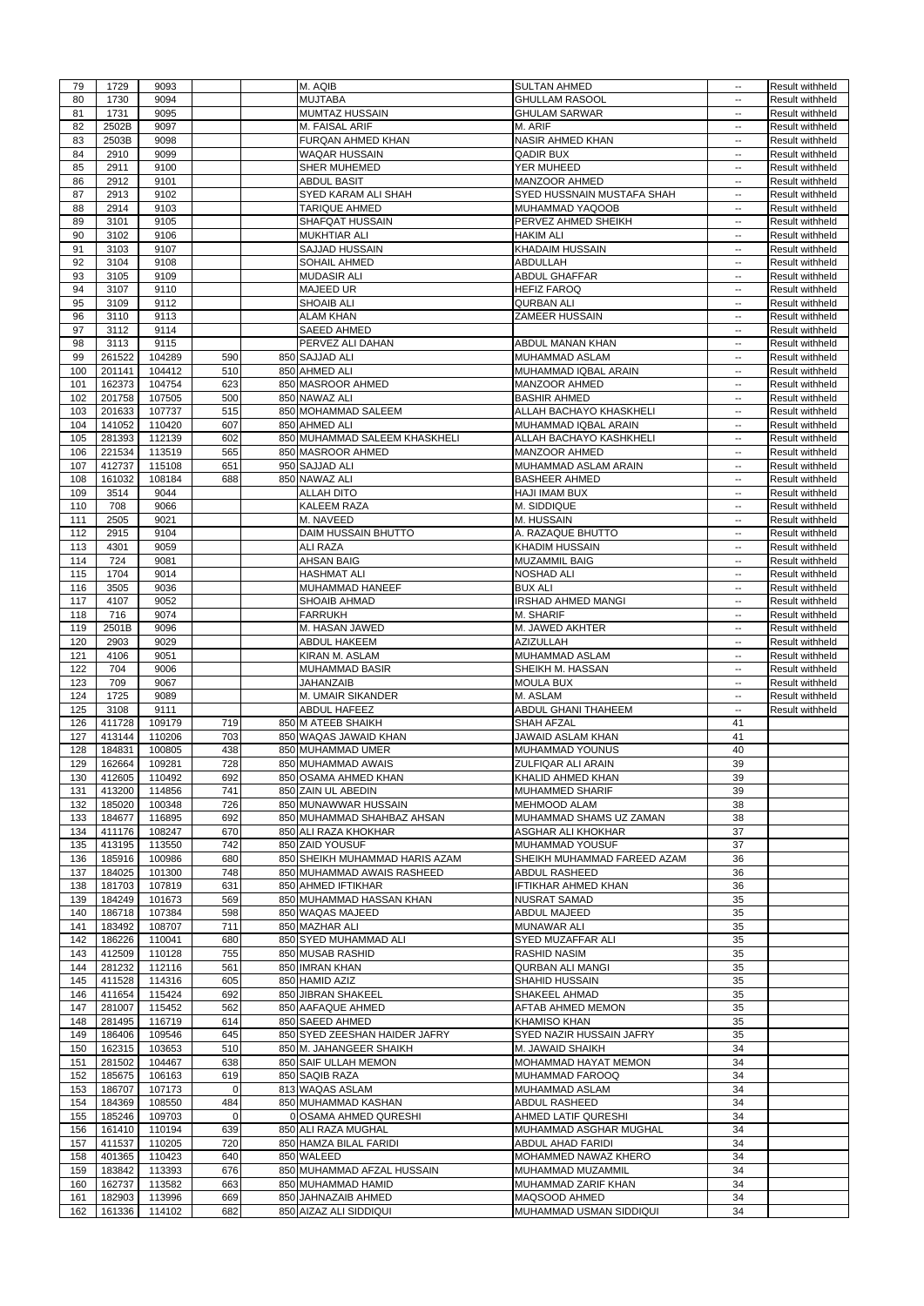| 79  |        |        |     |                                |                             |                                               |                        |
|-----|--------|--------|-----|--------------------------------|-----------------------------|-----------------------------------------------|------------------------|
|     | 1729   | 9093   |     | M. AQIB                        | <b>SULTAN AHMED</b>         | ۰.                                            | Result withheld        |
| 80  | 1730   | 9094   |     | <b>MUJTABA</b>                 | <b>GHULLAM RASOOL</b>       | ۰.                                            | Result withheld        |
| 81  | 1731   | 9095   |     | <b>MUMTAZ HUSSAIN</b>          | <b>GHULAM SARWAR</b>        | --                                            | Result withheld        |
|     |        |        |     |                                |                             |                                               |                        |
| 82  | 2502B  | 9097   |     | <b>M. FAISAL ARIF</b>          | M. ARIF                     | --                                            | Result withheld        |
| 83  | 2503B  | 9098   |     | FURQAN AHMED KHAN              | <b>NASIR AHMED KHAN</b>     | $\overline{\phantom{a}}$                      | Result withheld        |
| 84  | 2910   | 9099   |     | <b>WAQAR HUSSAIN</b>           | <b>QADIR BUX</b>            | --                                            | Result withheld        |
|     |        |        |     |                                |                             |                                               |                        |
| 85  | 2911   | 9100   |     | <b>SHER MUHEMED</b>            | YER MUHEED                  | --                                            | Result withheld        |
| 86  | 2912   | 9101   |     | <b>ABDUL BASIT</b>             | MANZOOR AHMED               | --                                            | Result withheld        |
| 87  | 2913   | 9102   |     | <b>SYED KARAM ALI SHAH</b>     | SYED HUSSNAIN MUSTAFA SHAH  | --                                            | Result withheld        |
|     |        |        |     |                                |                             |                                               |                        |
| 88  | 2914   | 9103   |     | TARIQUE AHMED                  | MUHAMMAD YAQOOB             | ۰.                                            | Result withheld        |
| 89  | 3101   | 9105   |     | SHAFQAT HUSSAIN                | PERVEZ AHMED SHEIKH         | ۰.                                            | Result withheld        |
| 90  | 3102   | 9106   |     | <b>MUKHTIAR ALI</b>            | <b>HAKIM ALI</b>            | ۰.                                            | <b>Result withheld</b> |
|     | 3103   | 9107   |     |                                | <b>KHADAIM HUSSAIN</b>      |                                               |                        |
| 91  |        |        |     | SAJJAD HUSSAIN                 |                             | ۰.                                            | <b>Result withheld</b> |
| 92  | 3104   | 9108   |     | SOHAIL AHMED                   | ABDULLAH                    | ÷                                             | <b>Result withheld</b> |
| 93  | 3105   | 9109   |     | <b>MUDASIR ALI</b>             | <b>ABDUL GHAFFAR</b>        | --                                            | <b>Result withheld</b> |
| 94  | 3107   | 9110   |     | <b>MAJEED UR</b>               | <b>HEFIZ FAROQ</b>          | --                                            | <b>Result withheld</b> |
|     |        |        |     |                                |                             |                                               |                        |
| 95  | 3109   | 9112   |     | <b>SHOAIB ALI</b>              | <b>QURBAN ALI</b>           | --                                            | Result withheld        |
| 96  | 3110   | 9113   |     | <b>ALAM KHAN</b>               | <b>ZAMEER HUSSAIN</b>       | ۰.                                            | Result withheld        |
| 97  | 3112   | 9114   |     | <b>SAEED AHMED</b>             |                             |                                               | Result withheld        |
|     |        |        |     |                                |                             | ۰.                                            |                        |
| 98  | 3113   | 9115   |     | <b>PERVEZ ALI DAHAN</b>        | ABDUL MANAN KHAN            | --                                            | Result withheld        |
| 99  | 261522 | 104289 | 590 | 850 SAJJAD ALI                 | MUHAMMAD ASLAM              | --                                            | Result withheld        |
| 100 | 201141 | 104412 | 510 | 850 AHMED ALI                  | MUHAMMAD IQBAL ARAIN        | --                                            | <b>Result withheld</b> |
|     |        |        |     |                                |                             |                                               |                        |
| 101 | 162373 | 104754 | 623 | 850 MASROOR AHMED              | MANZOOR AHMED               | --                                            | Result withheld        |
| 102 | 201758 | 107505 | 500 | 850 NAWAZ ALI                  | <b>BASHIR AHMED</b>         | --                                            | Result withheld        |
| 103 | 201633 | 107737 | 515 | 850 MOHAMMAD SALEEM            | ALLAH BACHAYO KHASKHELI     |                                               | Result withheld        |
|     |        |        |     |                                |                             | --                                            |                        |
| 104 | 141052 | 110420 | 607 | 850 AHMED ALI                  | MUHAMMAD IQBAL ARAIN        | ۰.                                            | Result withheld        |
| 105 | 281393 | 112139 | 602 | 850 MUHAMMAD SALEEM KHASKHELI  | ALLAH BACHAYO KASHKHELI     | $\mathord{\hspace{1pt}\text{--}\hspace{1pt}}$ | Result withheld        |
|     |        |        | 565 | 850 MASROOR AHMED              |                             |                                               |                        |
| 106 | 221534 | 113519 |     |                                | MANZOOR AHMED               | ۰.                                            | Result withheld        |
| 107 | 412737 | 115108 | 651 | 950 SAJJAD ALI                 | MUHAMMAD ASLAM ARAIN        | ۰.                                            | Result withheld        |
| 108 | 161032 | 108184 | 688 | 850 NAWAZ ALI                  | <b>BASHEER AHMED</b>        | --                                            | <b>Result withheld</b> |
|     |        |        |     |                                |                             |                                               |                        |
| 109 | 3514   | 9044   |     | <b>ALLAH DITO</b>              | <b>HAJI IMAM BUX</b>        | ۰.                                            | <b>Result withheld</b> |
| 110 | 708    | 9066   |     | KALEEM RAZA                    | M. SIDDIQUE                 | --                                            | <b>Result withheld</b> |
| 111 | 2505   | 9021   |     | M. NAVEED                      | M. HUSSAIN                  | --                                            | <b>Result withheld</b> |
|     |        |        |     |                                |                             |                                               |                        |
| 112 | 2915   | 9104   |     | <b>DAIM HUSSAIN BHUTTO</b>     | A. RAZAQUE BHUTTO           | ۰.                                            | Result withheld        |
| 113 | 4301   | 9059   |     | <b>ALI RAZA</b>                | <b>KHADIM HUSSAIN</b>       | ۰.                                            | Result withheld        |
| 114 | 724    | 9081   |     | <b>AHSAN BAIG</b>              | <b>MUZAMMIL BAIG</b>        | ۰.                                            | <b>Result withheld</b> |
|     |        |        |     |                                |                             |                                               |                        |
| 115 | 1704   | 9014   |     | <b>HASHMAT ALI</b>             | <b>NOSHAD ALI</b>           | $-$                                           | <b>Result withheld</b> |
| 116 | 3505   | 9036   |     | MUHAMMAD HANEEF                | <b>BUX ALI</b>              | $-$                                           | Result withheld        |
| 117 | 4107   | 9052   |     | SHOAIB AHMAD                   | <b>IRSHAD AHMED MANGI</b>   | $-$                                           | <b>Result withheld</b> |
|     |        |        |     |                                |                             |                                               |                        |
| 118 | 716    | 9074   |     | <b>FARRUKH</b>                 | M. SHARIF                   |                                               | <b>Result withheld</b> |
| 119 | 2501B  | 9096   |     | M. HASAN JAWED                 | M. JAWED AKHTER             | $-$                                           | Result withheld        |
| 120 | 2903   | 9029   |     | <b>ABDUL HAKEEM</b>            | AZIZULLAH                   | --                                            | Result withheld        |
|     |        |        |     |                                |                             |                                               |                        |
| 121 | 4106   | 9051   |     | KIRAN M. ASLAM                 | MUHAMMAD ASLAM              | ۰.                                            | Result withheld        |
| 122 | 704    | 9006   |     | <b>MUHAMMAD BASIR</b>          | SHEIKH M. HASSAN            | ۰.                                            | Result withheld        |
| 123 | 709    | 9067   |     | <b>JAHANZAIB</b>               | <b>MOULA BUX</b>            | $\overline{\phantom{a}}$                      | Result withheld        |
|     |        |        |     |                                |                             |                                               |                        |
|     |        |        |     |                                |                             |                                               |                        |
| 124 | 1725   | 9089   |     | M. UMAIR SIKANDER              | M. ASLAM                    | ۰.                                            | <b>Result withheld</b> |
| 125 | 3108   | 9111   |     | <b>ABDUL HAFEEZ</b>            | ABDUL GHANI THAHEEM         | ÷                                             | <b>Result withheld</b> |
|     |        |        |     |                                |                             |                                               |                        |
| 126 | 411728 | 109179 | 719 | 850 M ATEEB SHAIKH             | <b>SHAH AFZAL</b>           | 41                                            |                        |
| 127 | 413144 | 110206 | 703 | 850 WAQAS JAWAID KHAN          | JAWAID ASLAM KHAN           | 41                                            |                        |
| 128 | 184831 | 100805 | 438 | 850 MUHAMMAD UMER              | MUHAMMAD YOUNUS             | 40                                            |                        |
|     |        |        |     |                                |                             |                                               |                        |
| 129 | 162664 | 109281 | 728 | 850 MUHAMMAD AWAIS             | ZULFIQAR ALI ARAIN          | 39                                            |                        |
| 130 | 412605 | 110492 | 692 | 850 OSAMA AHMED KHAN           | KHALID AHMED KHAN           | 39                                            |                        |
| 131 | 413200 | 114856 | 741 | 850 ZAIN UL ABEDIN             | MUHAMMED SHARIF             | 39                                            |                        |
|     |        |        |     |                                |                             |                                               |                        |
| 132 | 185020 | 100348 | 726 | 850 MUNAWWAR HUSSAIN           | <b>MEHMOOD ALAM</b>         | 38                                            |                        |
| 133 | 184677 | 116895 | 692 | 850 MUHAMMAD SHAHBAZ AHSAN     | MUHAMMAD SHAMS UZ ZAMAN     | 38                                            |                        |
| 134 | 411176 | 108247 | 670 | 850 ALI RAZA KHOKHAR           | ASGHAR ALI KHOKHAR          | 37                                            |                        |
|     |        |        |     |                                |                             |                                               |                        |
| 135 | 413195 | 113550 | 742 | 850 ZAID YOUSUF                | MUHAMMAD YOUSUF             | 37                                            |                        |
| 136 | 185916 | 100986 | 680 | 850 SHEIKH MUHAMMAD HARIS AZAM | SHEIKH MUHAMMAD FAREED AZAM | 36                                            |                        |
| 137 | 184025 | 101300 | 748 | 850 MUHAMMAD AWAIS RASHEED     | ABDUL RASHEED               | 36                                            |                        |
| 138 | 181703 | 107819 | 631 | 850 AHMED IFTIKHAR             | <b>IFTIKHAR AHMED KHAN</b>  | 36                                            |                        |
|     |        |        |     |                                |                             |                                               |                        |
| 139 | 184249 | 101673 | 569 | 850 MUHAMMAD HASSAN KHAN       | NUSRAT SAMAD                | 35                                            |                        |
| 140 | 186718 | 107384 | 598 | 850 WAQAS MAJEED               | ABDUL MAJEED                | 35                                            |                        |
| 141 | 183492 | 108707 | 711 | 850 MAZHAR ALI                 | <b>MUNAWAR ALI</b>          | 35                                            |                        |
|     |        |        |     |                                |                             |                                               |                        |
| 142 | 186226 | 110041 | 680 | 850 SYED MUHAMMAD ALI          | SYED MUZAFFAR ALI           | 35                                            |                        |
| 143 | 412509 | 110128 | 755 | 850 MUSAB RASHID               | <b>RASHID NASIM</b>         | 35                                            |                        |
| 144 | 281232 | 112116 | 561 | 850 IMRAN KHAN                 | <b>QURBAN ALI MANGI</b>     | 35                                            |                        |
|     |        |        |     |                                |                             |                                               |                        |
| 145 | 411528 | 114316 | 605 | 850 HAMID AZIZ                 | <b>SHAHID HUSSAIN</b>       | 35                                            |                        |
| 146 | 411654 | 115424 | 692 | 850 JIBRAN SHAKEEL             | SHAKEEL AHMAD               | 35                                            |                        |
|     |        |        |     | 850 AAFAQUE AHMED              |                             |                                               |                        |
| 147 | 281007 | 115452 | 562 |                                | AFTAB AHMED MEMON           | 35                                            |                        |
| 148 | 281495 | 116719 | 614 | 850 SAEED AHMED                | <b>KHAMISO KHAN</b>         | 35                                            |                        |
| 149 | 186406 | 109546 | 645 | 850 SYED ZEESHAN HAIDER JAFRY  | SYED NAZIR HUSSAIN JAFRY    | 35                                            |                        |
|     |        |        | 510 | 850 M. JAHANGEER SHAIKH        | M. JAWAID SHAIKH            | 34                                            |                        |
| 150 | 162315 | 103653 |     |                                |                             |                                               |                        |
| 151 | 281502 | 104467 | 638 | 850 SAIF ULLAH MEMON           | <b>MOHAMMAD HAYAT MEMON</b> | 34                                            |                        |
| 152 | 185675 | 106163 | 619 | 850 SAQIB RAZA                 | <b>MUHAMMAD FAROOQ</b>      | 34                                            |                        |
|     |        |        |     |                                |                             |                                               |                        |
| 153 | 186707 | 107173 | 0   | 813 WAQAS ASLAM                | MUHAMMAD ASLAM              | 34                                            |                        |
| 154 | 184369 | 108550 | 484 | 850 MUHAMMAD KASHAN            | ABDUL RASHEED               | 34                                            |                        |
| 155 | 185246 | 109703 | 0   | 0 OSAMA AHMED QURESHI          | AHMED LATIF QURESHI         | 34                                            |                        |
|     |        |        |     |                                |                             |                                               |                        |
| 156 | 161410 | 110194 | 639 | 850 ALI RAZA MUGHAL            | MUHAMMAD ASGHAR MUGHAL      | 34                                            |                        |
| 157 | 411537 | 110205 | 720 | 850 HAMZA BILAL FARIDI         | ABDUL AHAD FARIDI           | 34                                            |                        |
| 158 | 401365 | 110423 | 640 | 850 WALEED                     | MOHAMMED NAWAZ KHERO        | 34                                            |                        |
|     |        |        |     |                                |                             |                                               |                        |
| 159 | 183842 | 113393 | 676 | 850 MUHAMMAD AFZAL HUSSAIN     | MUHAMMAD MUZAMMIL           | 34                                            |                        |
| 160 | 162737 | 113582 | 663 | 850 MUHAMMAD HAMID             | MUHAMMAD ZARIF KHAN         | 34                                            |                        |
| 161 | 182903 | 113996 | 669 | 850 JAHNAZAIB AHMED            | MAQSOOD AHMED               | 34                                            |                        |
| 162 | 161336 | 114102 | 682 | 850 AIZAZ ALI SIDDIQUI         | MUHAMMAD USMAN SIDDIQUI     | 34                                            |                        |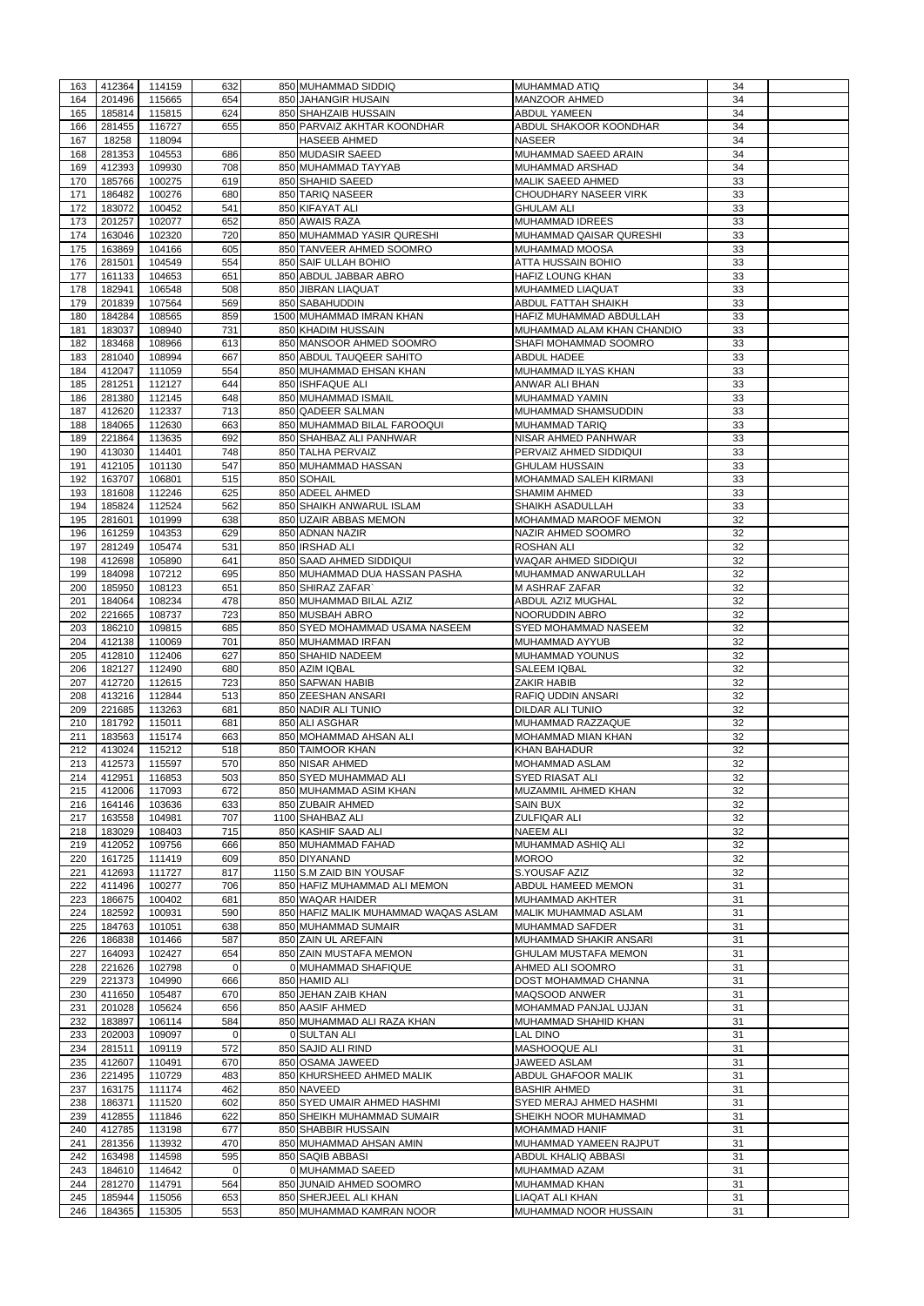| 163        | 412364           | 114159           | 632        | 850 MUHAMMAD SIDDIQ                               | <b>MUHAMMAD ATIQ</b>                     | 34       |  |
|------------|------------------|------------------|------------|---------------------------------------------------|------------------------------------------|----------|--|
|            |                  |                  |            |                                                   |                                          |          |  |
| 164        | 201496           | 115665           | 654        | 850 JAHANGIR HUSAIN                               | <b>MANZOOR AHMED</b>                     | 34       |  |
| 165        | 185814           | 115815           | 624        | 850 SHAHZAIB HUSSAIN                              | <b>ABDUL YAMEEN</b>                      | 34       |  |
| 166        | 281455           | 116727           | 655        | 850 PARVAIZ AKHTAR KOONDHAR                       | ABDUL SHAKOOR KOONDHAR                   | 34       |  |
| 167        | 18258            | 118094           |            | <b>HASEEB AHMED</b>                               | <b>NASEER</b>                            | 34       |  |
|            |                  |                  |            |                                                   |                                          |          |  |
| 168        | 281353           | 104553           | 686        | 850 MUDASIR SAEED                                 | MUHAMMAD SAEED ARAIN                     | 34       |  |
| 169        | 412393           | 109930           | 708        | 850 MUHAMMAD TAYYAB                               | <b>MUHAMMAD ARSHAD</b>                   | 34       |  |
| 170        | 185766           | 100275           | 619        | 850 SHAHID SAEED                                  | <b>MALIK SAEED AHMED</b>                 | 33       |  |
| 171        | 186482           | 100276           | 680        | 850 TARIQ NASEER                                  | <b>CHOUDHARY NASEER VIRK</b>             | 33       |  |
|            |                  |                  |            |                                                   |                                          |          |  |
| 172        | 183072           | 100452           | 541        | 850 KIFAYAT ALI                                   | <b>GHULAM ALI</b>                        | 33       |  |
| 173        | 201257           | 102077           | 652        | 850 AWAIS RAZA                                    | <b>MUHAMMAD IDREES</b>                   | 33       |  |
| 174        | 163046           | 102320           | 720        | 850 MUHAMMAD YASIR QURESHI                        | MUHAMMAD QAISAR QURESHI                  | 33       |  |
| 175        | 163869           | 104166           | 605        | 850 TANVEER AHMED SOOMRO                          | MUHAMMAD MOOSA                           | 33       |  |
| 176        | 281501           | 104549           | 554        | 850 SAIF ULLAH BOHIO                              | <b>ATTA HUSSAIN BOHIO</b>                | 33       |  |
|            |                  |                  |            |                                                   |                                          |          |  |
| 177        | 161133           | 104653           | 651        | 850 ABDUL JABBAR ABRO                             | <b>HAFIZ LOUNG KHAN</b>                  | 33       |  |
| 178        | 182941           | 106548           | 508        | 850 JIBRAN LIAQUAT                                | <b>MUHAMMED LIAQUAT</b>                  | 33       |  |
| 179        | 201839           | 107564           | 569        | 850 SABAHUDDIN                                    | <b>ABDUL FATTAH SHAIKH</b>               | 33       |  |
| 180        | 184284           | 108565           | 859        | 1500 MUHAMMAD IMRAN KHAN                          | HAFIZ MUHAMMAD ABDULLAH                  | 33       |  |
| 181        | 183037           | 108940           | 731        | 850 KHADIM HUSSAIN                                | MUHAMMAD ALAM KHAN CHANDIO               | 33       |  |
|            |                  |                  |            |                                                   |                                          |          |  |
| 182        | 183468           | 108966           | 613        | 850 MANSOOR AHMED SOOMRO                          | SHAFI MOHAMMAD SOOMRO                    | 33       |  |
| 183        | 281040           | 108994           | 667        | 850 ABDUL TAUQEER SAHITO                          | <b>ABDUL HADEE</b>                       | 33       |  |
| 184        | 412047           | 111059           | 554        | 850 MUHAMMAD EHSAN KHAN                           | MUHAMMAD ILYAS KHAN                      | 33       |  |
| 185        | 281251           | 112127           | 644        | 850 ISHFAQUE ALI                                  | ANWAR ALI BHAN                           | 33       |  |
|            |                  |                  |            |                                                   |                                          |          |  |
| 186        | 281380           | 112145           | 648        | 850 MUHAMMAD ISMAIL                               | MUHAMMAD YAMIN                           | 33       |  |
| 187        | 412620           | 112337           | 713        | 850 QADEER SALMAN                                 | MUHAMMAD SHAMSUDDIN                      | 33       |  |
| 188        | 184065           | 112630           | 663        | 850 MUHAMMAD BILAL FAROOQUI                       | <b>MUHAMMAD TARIQ</b>                    | 33       |  |
| 189        | 221864           | 113635           | 692        | 850 SHAHBAZ ALI PANHWAR                           | NISAR AHMED PANHWAR                      | 33       |  |
| 190        | 413030           | 114401           | 748        | 850 TALHA PERVAIZ                                 | PERVAIZ AHMED SIDDIQUI                   | 33       |  |
|            |                  |                  |            |                                                   |                                          |          |  |
| 191        | 412105           | 101130           | 547        | 850 MUHAMMAD HASSAN                               | <b>GHULAM HUSSAIN</b>                    | 33       |  |
| 192        | 163707           | 106801           | 515        | 850 SOHAIL                                        | MOHAMMAD SALEH KIRMANI                   | 33       |  |
| 193        | 181608           | 112246           | 625        | 850 ADEEL AHMED                                   | <b>SHAMIM AHMED</b>                      | 33       |  |
| 194        | 185824           | 112524           | 562        | 850 SHAIKH ANWARUL ISLAM                          | <b>SHAIKH ASADULLAH</b>                  | 33       |  |
|            |                  |                  |            |                                                   |                                          |          |  |
| 195        | 281601           | 101999           | 638        | 850 UZAIR ABBAS MEMON                             | MOHAMMAD MAROOF MEMON                    | 32       |  |
| 196        | 161259           | 104353           | 629        | 850 ADNAN NAZIR                                   | NAZIR AHMED SOOMRO                       | 32       |  |
| 197        | 281249           | 105474           | 531        | 850 IRSHAD ALI                                    | <b>ROSHAN ALI</b>                        | 32       |  |
| 198        | 412698           | 105890           | 641        | 850 SAAD AHMED SIDDIQUI                           | <b>WAQAR AHMED SIDDIQUI</b>              | 32       |  |
| 199        | 184098           | 107212           | 695        | 850 MUHAMMAD DUA HASSAN PASHA                     | MUHAMMAD ANWARULLAH                      | 32       |  |
| 200        | 185950           | 108123           | 651        | 850 SHIRAZ ZAFAR`                                 | <b>M ASHRAF ZAFAR</b>                    | 32       |  |
|            |                  |                  |            |                                                   |                                          |          |  |
| 201        | 184064           | 108234           | 478        | 850 MUHAMMAD BILAL AZIZ                           | ABDUL AZIZ MUGHAL                        | 32       |  |
| 202        | 221665           | 108737           | 723        | 850 MUSBAH ABRO                                   | NOORUDDIN ABRO                           | 32       |  |
| 203        | 186210           | 109815           | 685        | 850 SYED MOHAMMAD USAMA NASEEM                    | <b>SYED MOHAMMAD NASEEM</b>              | 32       |  |
| 204        | 412138           | 110069           | 701        | 850 MUHAMMAD IRFAN                                | MUHAMMAD AYYUB                           | 32       |  |
| 205        | 412810           | 112406           | 627        | 850 SHAHID NADEEM                                 | <b>MUHAMMAD YOUNUS</b>                   | 32       |  |
|            |                  |                  |            |                                                   |                                          |          |  |
| 206        | 182127           | 112490           | 680        | 850 AZIM IQBAL                                    | <b>SALEEM IQBAL</b>                      | 32       |  |
| 207        | 412720           | 112615           | 723        | 850 SAFWAN HABIB                                  | <b>ZAKIR HABIB</b>                       | 32       |  |
| 208        | 413216           | 112844           | 513        | 850 ZEESHAN ANSARI                                | RAFIQ UDDIN ANSARI                       | 32       |  |
| 209        | 221685           | 113263           | 681        | 850 NADIR ALI TUNIO                               | <b>DILDAR ALI TUNIO</b>                  | 32       |  |
| 210        | 181792           | 115011           | 681        | 850 ALI ASGHAR                                    | MUHAMMAD RAZZAQUE                        | 32       |  |
|            |                  |                  |            |                                                   |                                          |          |  |
| 211        | 183563           | 115174           | 663        | 850 MOHAMMAD AHSAN ALI                            | MOHAMMAD MIAN KHAN                       | 32       |  |
| 212        | 413024           | 115212           | 518        | 850 TAIMOOR KHAN                                  | <b>KHAN BAHADUR</b>                      | 32       |  |
| 213        | 412573           | 115597           | 570        | 850 NISAR AHMED                                   | <b>MOHAMMAD ASLAM</b>                    | 32       |  |
| 214        | 412951           | 116853           | 503        | 850 SYED MUHAMMAD ALI                             | <b>SYED RIASAT ALI</b>                   | 32       |  |
| 215        | 412006           | 117093           | 672        | 850 MUHAMMAD ASIM KHAN                            | <b>MUZAMMIL AHMED KHAN</b>               | 32       |  |
|            | 164146           |                  |            |                                                   |                                          |          |  |
| 216        |                  | 103636           | 633        | 850 ZUBAIR AHMED                                  | <b>SAIN BUX</b>                          | 32       |  |
| 217        | 163558           | 104981           | 707        | 1100 SHAHBAZ ALI                                  | <b>ZULFIQAR ALI</b>                      | 32       |  |
| 218        | 183029           | 108403           | 715        | 850 KASHIF SAAD ALI                               | <b>NAEEM ALI</b>                         | 32       |  |
| 219        | 412052           | 109756           | 666        | 850 MUHAMMAD FAHAD                                | MUHAMMAD ASHIQ ALI                       | 32       |  |
| 220        | 161725           | 111419           | 609        | 850 DIYANAND                                      | <b>MOROO</b>                             | 32       |  |
|            |                  |                  | 817        | 1150 S.M ZAID BIN YOUSAF                          | S.YOUSAF AZIZ                            | 32       |  |
| 221        | 412693           | 111727           |            |                                                   |                                          |          |  |
| 222        | 411496           | 100277           | 706        | 850 HAFIZ MUHAMMAD ALI MEMON                      | ABDUL HAMEED MEMON                       | 31       |  |
| 223        | 186675           | 100402           | 681        | 850 WAQAR HAIDER                                  | <b>MUHAMMAD AKHTER</b>                   | 31       |  |
| 224        | 182592           | 100931           | 590        | 850 HAFIZ MALIK MUHAMMAD WAQAS ASLAM              | <b>MALIK MUHAMMAD ASLAM</b>              | 31       |  |
| 225        | 184763           | 101051           | 638        | 850 MUHAMMAD SUMAIR                               | <b>MUHAMMAD SAFDER</b>                   | 31       |  |
|            |                  |                  | 587        | 850 ZAIN UL AREFAIN                               | MUHAMMAD SHAKIR ANSARI                   | 31       |  |
| 226        | 186838           | 101466           |            |                                                   |                                          |          |  |
| 227        | 164093           | 102427           | 654        | 850 ZAIN MUSTAFA MEMON                            | <b>GHULAM MUSTAFA MEMON</b>              | 31       |  |
| 228        | 221626           | 102798           | $\Omega$   | 0 MUHAMMAD SHAFIQUE                               | AHMED ALI SOOMRO                         | 31       |  |
| 229        | 221373           | 104990           |            |                                                   |                                          | 31       |  |
| 230        |                  |                  | 666        | 850 HAMID ALI                                     | DOST MOHAMMAD CHANNA                     |          |  |
|            |                  |                  |            |                                                   |                                          |          |  |
|            | 411650           | 105487           | 670        | 850 JEHAN ZAIB KHAN                               | MAQSOOD ANWER                            | 31       |  |
| 231        | 201028           | 105624           | 656        | 850 AASIF AHMED                                   | MOHAMMAD PANJAL UJJAN                    | 31       |  |
| 232        | 183897           | 106114           | 584        | 850 MUHAMMAD ALI RAZA KHAN                        | MUHAMMAD SHAHID KHAN                     | 31       |  |
| 233        | 202003           | 109097           | $\Omega$   | 0 SULTAN ALI                                      | <b>LAL DINO</b>                          | 31       |  |
| 234        | 281511           | 109119           | 572        | 850 SAJID ALI RIND                                | MASHOOQUE ALI                            | 31       |  |
|            |                  |                  |            |                                                   |                                          |          |  |
| 235        |                  | 412607 110491    | 670        | 850 OSAMA JAWEED                                  | JAWEED ASLAM                             | 31       |  |
| 236        | 221495           | 110729           | 483        | 850 KHURSHEED AHMED MALIK                         | <b>ABDUL GHAFOOR MALIK</b>               | 31       |  |
| 237        | 163175           | 111174           | 462        | 850 NAVEED                                        | <b>BASHIR AHMED</b>                      | 31       |  |
| 238        | 186371           | 111520           | 602        | 850 SYED UMAIR AHMED HASHMI                       | SYED MERAJ AHMED HASHMI                  | 31       |  |
| 239        | 412855           | 111846           | 622        | 850 SHEIKH MUHAMMAD SUMAIR                        | <b>SHEIKH NOOR MUHAMMAD</b>              | 31       |  |
| 240        | 412785           |                  | 677        | 850 SHABBIR HUSSAIN                               | <b>MOHAMMAD HANIF</b>                    | 31       |  |
|            |                  | 113198           |            |                                                   |                                          |          |  |
| 241        | 281356           | 113932           | 470        | 850 MUHAMMAD AHSAN AMIN                           | MUHAMMAD YAMEEN RAJPUT                   | 31       |  |
| 242        | 163498           | 114598           | 595        | 850 SAQIB ABBASI                                  | ABDUL KHALIQ ABBASI                      | 31       |  |
| 243        | 184610           | 114642           | $\Omega$   | 0 MUHAMMAD SAEED                                  | MUHAMMAD AZAM                            | 31       |  |
| 244        | 281270           | 114791           | 564        | 850 JUNAID AHMED SOOMRO                           | <b>MUHAMMAD KHAN</b>                     | 31       |  |
|            |                  |                  |            |                                                   |                                          |          |  |
| 245<br>246 | 185944<br>184365 | 115056<br>115305 | 653<br>553 | 850 SHERJEEL ALI KHAN<br>850 MUHAMMAD KAMRAN NOOR | LIAQAT ALI KHAN<br>MUHAMMAD NOOR HUSSAIN | 31<br>31 |  |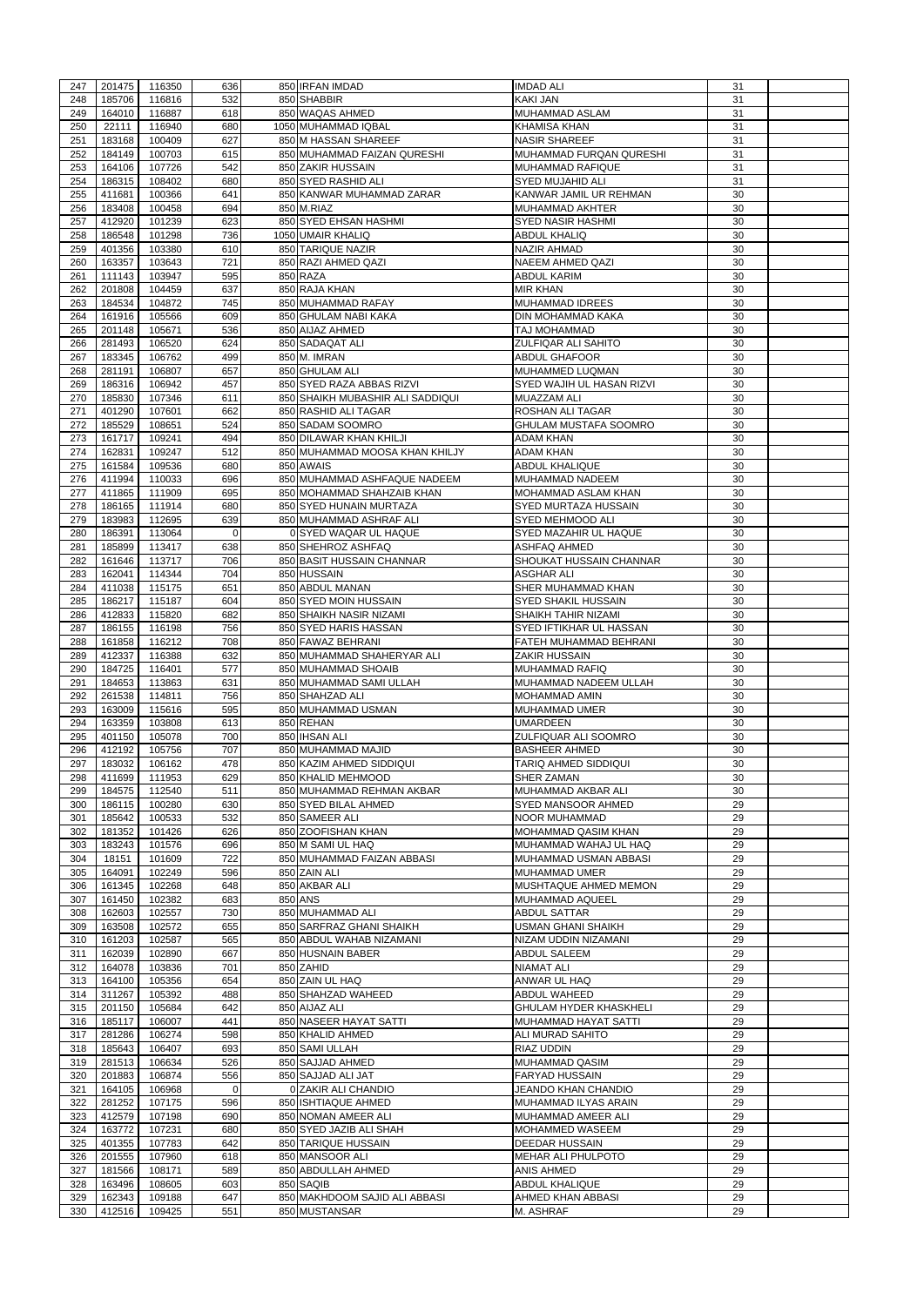| 247        | 201475           | 116350           | 636            | 850 IRFAN IMDAD                                | <b>IMDAD ALI</b>               | 31       |  |
|------------|------------------|------------------|----------------|------------------------------------------------|--------------------------------|----------|--|
|            |                  |                  |                |                                                |                                |          |  |
| 248        | 185706           | 116816           | 532            | 850 SHABBIR                                    | <b>KAKI JAN</b>                | 31       |  |
| 249        | 164010           | 116887           | 618            | 850 WAQAS AHMED                                | MUHAMMAD ASLAM                 | 31       |  |
| 250        | 22111            | 116940           | 680            | 1050 MUHAMMAD IQBAL                            | <b>KHAMISA KHAN</b>            | 31       |  |
| 251        | 183168           | 100409           | 627            | 850 M HASSAN SHAREEF                           | <b>NASIR SHAREEF</b>           | 31       |  |
| 252        | 184149           | 100703           | 615            | 850 MUHAMMAD FAIZAN QURESHI                    | MUHAMMAD FURQAN QURESHI        | 31       |  |
|            | 164106           | 107726           | 542            |                                                |                                | 31       |  |
| 253        |                  |                  |                | 850 ZAKIR HUSSAIN                              | <b>MUHAMMAD RAFIQUE</b>        |          |  |
| 254        | 186315           | 108402           | 680            | 850 SYED RASHID ALI                            | <b>SYED MUJAHID ALI</b>        | 31       |  |
| 255        | 411681           | 100366           | 641            | 850 KANWAR MUHAMMAD ZARAR                      | KANWAR JAMIL UR REHMAN         | 30       |  |
| 256        | 183408           | 100458           | 694            | 850 M.RIAZ                                     | <b>MUHAMMAD AKHTER</b>         | 30       |  |
| 257        | 412920           | 101239           | 623            | 850 SYED EHSAN HASHMI                          | <b>SYED NASIR HASHMI</b>       | 30       |  |
|            |                  |                  |                |                                                |                                |          |  |
| 258        | 186548           | 101298           | 736            | 1050 UMAIR KHALIQ                              | <b>ABDUL KHALIQ</b>            | 30       |  |
| 259        | 401356           | 103380           | 610            | 850 TARIQUE NAZIR                              | <b>NAZIR AHMAD</b>             | 30       |  |
| 260        | 163357           | 103643           | 721            | 850 RAZI AHMED QAZI                            | <b>NAEEM AHMED QAZI</b>        | 30       |  |
| 261        | 111143           | 103947           | 595            | 850 RAZA                                       | <b>ABDUL KARIM</b>             | 30       |  |
| 262        | 201808           | 104459           | 637            | 850 RAJA KHAN                                  | <b>MIR KHAN</b>                | 30       |  |
|            |                  |                  |                |                                                |                                |          |  |
| 263        | 184534           | 104872           | 745            | 850 MUHAMMAD RAFAY                             | <b>MUHAMMAD IDREES</b>         | 30       |  |
| 264        | 161916           | 105566           | 609            | 850 GHULAM NABI KAKA                           | DIN MOHAMMAD KAKA              | 30       |  |
| 265        | 201148           | 105671           | 536            | 850 AIJAZ AHMED                                | <b>TAJ MOHAMMAD</b>            | 30       |  |
| 266        | 281493           | 106520           | 624            | 850 SADAQAT ALI                                | <b>ZULFIQAR ALI SAHITO</b>     | 30       |  |
| 267        | 183345           | 106762           | 499            | 850 M. IMRAN                                   | <b>ABDUL GHAFOOR</b>           | 30       |  |
|            |                  |                  |                |                                                |                                |          |  |
| 268        | 281191           | 106807           | 657            | 850 GHULAM ALI                                 | <b>MUHAMMED LUQMAN</b>         | 30       |  |
| 269        | 186316           | 106942           | 457            | 850 SYED RAZA ABBAS RIZVI                      | SYED WAJIH UL HASAN RIZVI      | 30       |  |
| 270        | 185830           | 107346           | 611            | 850 SHAIKH MUBASHIR ALI SADDIQUI               | <b>MUAZZAM ALI</b>             | 30       |  |
| 271        | 401290           | 107601           | 662            | 850 RASHID ALI TAGAR                           | ROSHAN ALI TAGAR               | 30       |  |
|            |                  |                  |                |                                                |                                |          |  |
| 272        | 185529           | 108651           | 524            | 850 SADAM SOOMRO                               | <b>GHULAM MUSTAFA SOOMRO</b>   | 30       |  |
| 273        | 161717           | 109241           | 494            | 850 DILAWAR KHAN KHILJI                        | <b>ADAM KHAN</b>               | 30       |  |
| 274        | 162831           | 109247           | 512            | 850 MUHAMMAD MOOSA KHAN KHILJY                 | <b>ADAM KHAN</b>               | 30       |  |
| 275        | 161584           | 109536           | 680            | 850 AWAIS                                      | <b>ABDUL KHALIQUE</b>          | 30       |  |
| 276        | 411994           | 110033           | 696            | 850 MUHAMMAD ASHFAQUE NADEEM                   | MUHAMMAD NADEEM                | 30       |  |
|            |                  |                  |                |                                                |                                |          |  |
| 277        | 411865           | 111909           | 695            | 850 MOHAMMAD SHAHZAIB KHAN                     | MOHAMMAD ASLAM KHAN            | 30       |  |
| 278        | 186165           | 111914           | 680            | 850 SYED HUNAIN MURTAZA                        | <b>SYED MURTAZA HUSSAIN</b>    | 30       |  |
| 279        | 183983           | 112695           | 639            | 850 MUHAMMAD ASHRAF ALI                        | <b>SYED MEHMOOD ALI</b>        | 30       |  |
| 280        | 186391           | 113064           | $\overline{0}$ | 0 SYED WAQAR UL HAQUE                          | <b>SYED MAZAHIR UL HAQUE</b>   | 30       |  |
| 281        | 185899           | 113417           | 638            | 850 SHEHROZ ASHFAQ                             | <b>ASHFAQ AHMED</b>            | 30       |  |
|            |                  |                  |                |                                                |                                |          |  |
| 282        | 161646           | 113717           | 706            | 850 BASIT HUSSAIN CHANNAR                      | <b>SHOUKAT HUSSAIN CHANNAR</b> | 30       |  |
| 283        | 162041           | 114344           | 704            | 850 HUSSAIN                                    | <b>ASGHAR ALI</b>              | 30       |  |
| 284        | 411038           | 115175           | 651            | 850 ABDUL MANAN                                | SHER MUHAMMAD KHAN             | 30       |  |
| 285        | 186217           | 115187           | 604            | 850 SYED MOIN HUSSAIN                          | <b>SYED SHAKIL HUSSAIN</b>     | 30       |  |
|            | 412833           |                  | 682            | 850 SHAIKH NASIR NIZAMI                        |                                |          |  |
| 286        |                  | 115820           |                |                                                | <b>SHAIKH TAHIR NIZAMI</b>     | 30       |  |
| 287        | 186155           | 116198           | 756            | 850 SYED HARIS HASSAN                          | SYED IFTIKHAR UL HASSAN        | 30       |  |
| 288        | 161858           | 116212           | 708            | 850 FAWAZ BEHRANI                              | FATEH MUHAMMAD BEHRANI         | 30       |  |
| 289        | 412337           | 116388           | 632            | 850 MUHAMMAD SHAHERYAR ALI                     | <b>ZAKIR HUSSAIN</b>           | 30       |  |
| 290        | 184725           | 116401           | 577            | 850 MUHAMMAD SHOAIB                            | MUHAMMAD RAFIQ                 | 30       |  |
|            |                  |                  |                |                                                |                                |          |  |
| 291        | 184653           | 113863           | 631            | 850 MUHAMMAD SAMI ULLAH                        | MUHAMMAD NADEEM ULLAH          | 30       |  |
| 292        | 261538           | 114811           | 756            | 850 SHAHZAD ALI                                | <b>MOHAMMAD AMIN</b>           | 30       |  |
| 293        | 163009           | 115616           | 595            | 850 MUHAMMAD USMAN                             | <b>MUHAMMAD UMER</b>           | 30       |  |
| 294        | 163359           | 103808           | 613            | 850 REHAN                                      | <b>UMARDEEN</b>                | 30       |  |
| 295        | 401150           | 105078           | 700            | 850 IHSAN ALI                                  | ZULFIQUAR ALI SOOMRO           | 30       |  |
|            |                  |                  |                |                                                |                                |          |  |
| 296        | 412192           | 105756           | 707            | 850 MUHAMMAD MAJID                             | <b>BASHEER AHMED</b>           | 30       |  |
| 297        | 183032           | 106162           | 478            | 850 KAZIM AHMED SIDDIQUI                       | <b>TARIQ AHMED SIDDIQUI</b>    | 30       |  |
| 298        | 411699           | 111953           | 629            | 850 KHALID MEHMOOD                             | <b>SHER ZAMAN</b>              | 30       |  |
| 299        | 184575           | 112540           | 511            | 850 MUHAMMAD REHMAN AKBAR                      | MUHAMMAD AKBAR ALI             | 30       |  |
| 300        | 186115           | 100280           | 630            | 850 SYED BILAL AHMED                           | <b>SYED MANSOOR AHMED</b>      | 29       |  |
|            |                  |                  |                |                                                |                                |          |  |
| 301        | 185642           | 100533           | 532            | 850 SAMEER ALI                                 | <b>NOOR MUHAMMAD</b>           | 29       |  |
| 302        | 181352           | 101426           | 626            | 850 ZOOFISHAN KHAN                             | <b>MOHAMMAD QASIM KHAN</b>     | 29       |  |
| 303        | 183243           | 101576           | 696            | 850 M SAMI UL HAQ                              | MUHAMMAD WAHAJ UL HAQ          | 29       |  |
| 304        | 18151            | 101609           | 722            | 850 MUHAMMAD FAIZAN ABBASI                     | MUHAMMAD USMAN ABBASI          | 29       |  |
|            |                  |                  | 596            | 850 ZAIN ALI                                   |                                | 29       |  |
| 305        | 164091           | 102249           |                |                                                | <b>MUHAMMAD UMER</b>           |          |  |
| 306        | 161345           | 102268           | 648            | 850 AKBAR ALI                                  | MUSHTAQUE AHMED MEMON          | 29       |  |
| 307        | 161450           | 102382           | 683            | 850 ANS                                        | <b>MUHAMMAD AQUEEL</b>         | 29       |  |
| 308        | 162603           | 102557           | 730            | 850 MUHAMMAD ALI                               | <b>ABDUL SATTAR</b>            | 29       |  |
| 309        | 163508           | 102572           | 655            | 850 SARFRAZ GHANI SHAIKH                       | <b>USMAN GHANI SHAIKH</b>      | 29       |  |
|            | 161203           |                  | 565            | 850 ABDUL WAHAB NIZAMANI                       | NIZAM UDDIN NIZAMANI           | 29       |  |
| 310        |                  | 102587           |                |                                                |                                |          |  |
| 311        | 162039           | 102890           | 667            | 850 HUSNAIN BABER                              | <b>ABDUL SALEEM</b>            | 29       |  |
| 312        | 164078           | 103836           | 701            | 850 ZAHID                                      | <b>NIAMAT ALI</b>              | 29       |  |
| 313        | 164100           | 105356           | 654            | 850 ZAIN UL HAQ                                | ANWAR UL HAQ                   | 29       |  |
| 314        | 311267           | 105392           | 488            | 850 SHAHZAD WAHEED                             | <b>ABDUL WAHEED</b>            | 29       |  |
|            |                  |                  |                |                                                |                                |          |  |
| 315        | 201150           | 105684           | 642            | 850 AIJAZ ALI                                  | <b>GHULAM HYDER KHASKHELI</b>  | 29       |  |
| 316        | 185117           | 106007           | 441            | 850 NASEER HAYAT SATTI                         | MUHAMMAD HAYAT SATTI           | 29       |  |
| 317        | 281286           | 106274           | 598            | 850 KHALID AHMED                               | <b>ALI MURAD SAHITO</b>        | 29       |  |
| 318        | 185643           | 106407           | 693            | 850 SAMI ULLAH                                 | <b>RIAZ UDDIN</b>              | 29       |  |
| 319        |                  |                  |                | 850 SAJJAD AHMED                               | MUHAMMAD QASIM                 | 29       |  |
|            |                  |                  |                |                                                |                                |          |  |
| 320        | 281513           | 106634           | 526            |                                                |                                |          |  |
|            | 201883           | 106874           | 556            | 850 SAJJAD ALI JAT                             | <b>FARYAD HUSSAIN</b>          | 29       |  |
| 321        | 164105           | 106968           | 0              | 0 ZAKIR ALI CHANDIO                            | <b>JEANDO KHAN CHANDIO</b>     | 29       |  |
| 322        | 281252           | 107175           | 596            | 850 ISHTIAQUE AHMED                            | MUHAMMAD ILYAS ARAIN           | 29       |  |
|            | 412579           |                  |                |                                                | MUHAMMAD AMEER ALI             |          |  |
| 323        |                  | 107198           | 690            | 850 NOMAN AMEER ALI                            |                                | 29       |  |
| 324        | 163772           | 107231           | 680            | 850 SYED JAZIB ALI SHAH                        | <b>MOHAMMED WASEEM</b>         | 29       |  |
| 325        | 401355           | 107783           | 642            | 850 TARIQUE HUSSAIN                            | <b>DEEDAR HUSSAIN</b>          | 29       |  |
| 326        | 201555           | 107960           | 618            | 850 MANSOOR ALI                                | MEHAR ALI PHULPOTO             | 29       |  |
| 327        | 181566           |                  |                | 850 ABDULLAH AHMED                             |                                | 29       |  |
|            |                  | 108171           | 589            |                                                | <b>ANIS AHMED</b>              |          |  |
| 328        | 163496           | 108605           | 603            | 850 SAQIB                                      | <b>ABDUL KHALIQUE</b>          | 29       |  |
| 329<br>330 | 162343<br>412516 | 109188<br>109425 | 647<br>551     | 850 MAKHDOOM SAJID ALI ABBASI<br>850 MUSTANSAR | AHMED KHAN ABBASI<br>M. ASHRAF | 29<br>29 |  |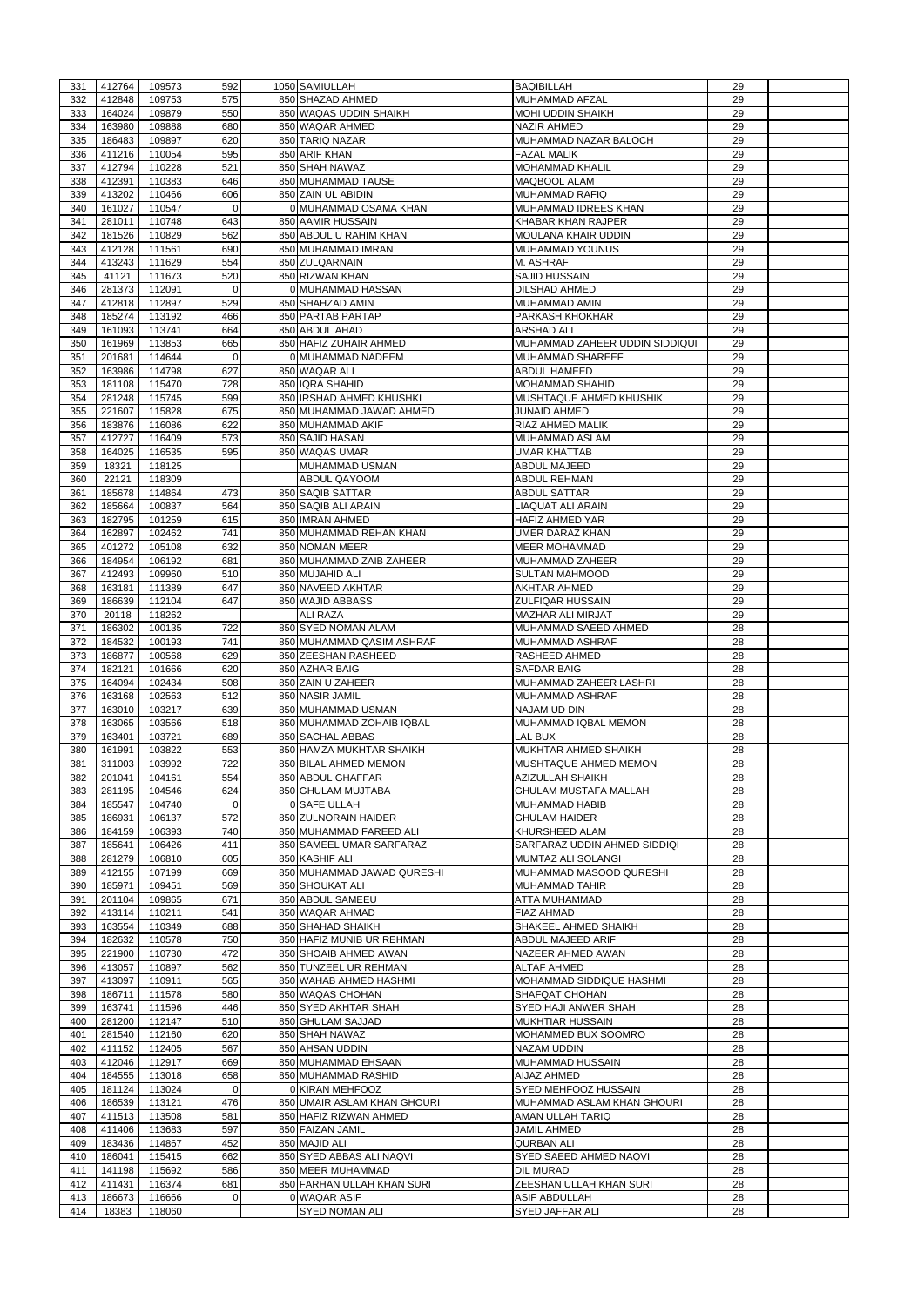| 331 | 412764 | 109573 | 592            | 1050 SAMIULLAH                        | <b>BAQIBILLAH</b>                              | 29       |  |
|-----|--------|--------|----------------|---------------------------------------|------------------------------------------------|----------|--|
|     | 412848 |        | 575            | 850 SHAZAD AHMED                      |                                                |          |  |
| 332 |        | 109753 |                |                                       | MUHAMMAD AFZAL                                 | 29       |  |
| 333 | 164024 | 109879 | 550            | 850 WAQAS UDDIN SHAIKH                | <b>MOHI UDDIN SHAIKH</b>                       | 29       |  |
| 334 | 163980 | 109888 | 680            | 850 WAQAR AHMED                       | <b>NAZIR AHMED</b>                             | 29       |  |
| 335 | 186483 | 109897 | 620            | 850 TARIQ NAZAR                       | MUHAMMAD NAZAR BALOCH                          | 29       |  |
| 336 | 411216 | 110054 | 595            | 850 ARIF KHAN                         | <b>FAZAL MALIK</b>                             | 29       |  |
| 337 | 412794 | 110228 | 521            | 850 SHAH NAWAZ                        | <b>MOHAMMAD KHALIL</b>                         | 29       |  |
| 338 | 412391 | 110383 | 646            | 850 MUHAMMAD TAUSE                    | MAQBOOL ALAM                                   | 29       |  |
| 339 | 413202 | 110466 | 606            | 850 ZAIN UL ABIDIN                    | <b>MUHAMMAD RAFIQ</b>                          | 29       |  |
| 340 | 161027 | 110547 | $\mathbf 0$    | 0 MUHAMMAD OSAMA KHAN                 | MUHAMMAD IDREES KHAN                           | 29       |  |
| 341 | 281011 | 110748 | 643            | 850 AAMIR HUSSAIN                     | KHABAR KHAN RAJPER                             | 29       |  |
|     |        |        |                |                                       |                                                |          |  |
| 342 | 181526 | 110829 | 562            | 850 ABDUL U RAHIM KHAN                | MOULANA KHAIR UDDIN                            | 29       |  |
| 343 | 412128 | 111561 | 690            | 850 MUHAMMAD IMRAN                    | <b>MUHAMMAD YOUNUS</b>                         | 29       |  |
| 344 | 413243 | 111629 | 554            | 850 ZULQARNAIN                        | M. ASHRAF                                      | 29       |  |
| 345 | 41121  | 111673 | 520            | 850 RIZWAN KHAN                       | <b>SAJID HUSSAIN</b>                           | 29       |  |
| 346 | 281373 | 112091 | $\Omega$       | 0 MUHAMMAD HASSAN                     | <b>DILSHAD AHMED</b>                           | 29       |  |
| 347 | 412818 | 112897 | 529            | 850 SHAHZAD AMIN                      | <b>MUHAMMAD AMIN</b>                           | 29       |  |
| 348 | 185274 | 113192 | 466            | 850 PARTAB PARTAP                     | PARKASH KHOKHAR                                | 29       |  |
| 349 | 161093 | 113741 | 664            | 850 ABDUL AHAD                        | <b>ARSHAD ALI</b>                              | 29       |  |
|     |        |        |                |                                       |                                                |          |  |
| 350 | 161969 | 113853 | 665            | 850 HAFIZ ZUHAIR AHMED                | MUHAMMAD ZAHEER UDDIN SIDDIQUI                 | 29       |  |
| 351 | 201681 | 114644 | $\mathbf 0$    | 0 MUHAMMAD NADEEM                     | <b>MUHAMMAD SHAREEF</b>                        | 29       |  |
| 352 | 163986 | 114798 | 627            | 850 WAQAR ALI                         | <b>ABDUL HAMEED</b>                            | 29       |  |
| 353 | 181108 | 115470 | 728            | 850 IQRA SHAHID                       | <b>MOHAMMAD SHAHID</b>                         | 29       |  |
| 354 | 281248 | 115745 | 599            | 850 IRSHAD AHMED KHUSHKI              | MUSHTAQUE AHMED KHUSHIK                        | 29       |  |
| 355 | 221607 | 115828 | 675            | 850 MUHAMMAD JAWAD AHMED              | <b>JUNAID AHMED</b>                            | 29       |  |
| 356 | 183876 | 116086 | 622            | 850 MUHAMMAD AKIF                     | RIAZ AHMED MALIK                               | 29       |  |
| 357 | 412727 | 116409 | 573            | 850 SAJID HASAN                       | MUHAMMAD ASLAM                                 | 29       |  |
|     |        |        |                |                                       |                                                |          |  |
| 358 | 164025 | 116535 | 595            | 850 WAQAS UMAR                        | <b>UMAR KHATTAB</b>                            | 29       |  |
| 359 | 18321  | 118125 |                | MUHAMMAD USMAN                        | <b>ABDUL MAJEED</b>                            | 29       |  |
| 360 | 22121  | 118309 |                | ABDUL QAYOOM                          | <b>ABDUL REHMAN</b>                            | 29       |  |
| 361 | 185678 | 114864 | 473            | 850 SAQIB SATTAR                      | <b>ABDUL SATTAR</b>                            | 29       |  |
| 362 | 185664 | 100837 | 564            | 850 SAQIB ALI ARAIN                   | LIAQUAT ALI ARAIN                              | 29       |  |
| 363 | 182795 | 101259 | 615            | 850 IMRAN AHMED                       | <b>HAFIZ AHMED YAR</b>                         | 29       |  |
| 364 | 162897 | 102462 | 741            | 850 MUHAMMAD REHAN KHAN               | UMER DARAZ KHAN                                | 29       |  |
|     |        |        |                |                                       |                                                |          |  |
| 365 | 401272 | 105108 | 632            | 850 NOMAN MEER                        | <b>MEER MOHAMMAD</b>                           | 29       |  |
| 366 | 184954 | 106192 | 681            | 850 MUHAMMAD ZAIB ZAHEER              | MUHAMMAD ZAHEER                                | 29       |  |
| 367 | 412493 | 109960 | 510            | 850 MUJAHID ALI                       | <b>SULTAN MAHMOOD</b>                          | 29       |  |
| 368 | 163181 | 111389 | 647            | 850 NAVEED AKHTAR                     | <b>AKHTAR AHMED</b>                            | 29       |  |
| 369 | 186639 | 112104 | 647            | 850 WAJID ABBASS                      | <b>ZULFIQAR HUSSAIN</b>                        | 29       |  |
| 370 | 20118  | 118262 |                | <b>ALI RAZA</b>                       | MAZHAR ALI MIRJAT                              | 29       |  |
| 371 | 186302 | 100135 | 722            | 850 SYED NOMAN ALAM                   | MUHAMMAD SAEED AHMED                           | 28       |  |
| 372 | 184532 | 100193 | 741            | 850 MUHAMMAD QASIM ASHRAF             | MUHAMMAD ASHRAF                                | 28       |  |
| 373 | 186877 | 100568 | 629            | 850 ZEESHAN RASHEED                   | RASHEED AHMED                                  | 28       |  |
|     |        |        |                |                                       |                                                |          |  |
| 374 | 182121 | 101666 | 620            | 850 AZHAR BAIG                        | <b>SAFDAR BAIG</b>                             | 28       |  |
| 375 | 164094 | 102434 | 508            | 850 ZAIN U ZAHEER                     | MUHAMMAD ZAHEER LASHRI                         | 28       |  |
| 376 | 163168 | 102563 | 512            | 850 NASIR JAMIL                       | MUHAMMAD ASHRAF                                | 28       |  |
| 377 | 163010 | 103217 | 639            | 850 MUHAMMAD USMAN                    | <b>NAJAM UD DIN</b>                            | 28       |  |
| 378 | 163065 | 103566 | 518            | 850 MUHAMMAD ZOHAIB IQBAL             | MUHAMMAD IQBAL MEMON                           | 28       |  |
| 379 | 163401 | 103721 | 689            | 850 SACHAL ABBAS                      | LAL BUX                                        | 28       |  |
| 380 | 161991 | 103822 | 553            | 850 HAMZA MUKHTAR SHAIKH              | MUKHTAR AHMED SHAIKH                           | 28       |  |
| 381 | 311003 | 103992 | 722            | 850 BILAL AHMED MEMON                 | MUSHTAQUE AHMED MEMON                          | 28       |  |
| 382 | 201041 | 104161 | 554            | 850 ABDUL GHAFFAR                     | <b>AZIZULLAH SHAIKH</b>                        | 28       |  |
|     |        |        |                |                                       |                                                |          |  |
| 383 | 281195 | 104546 | 624            | 850 GHULAM MUJTABA                    | <b>GHULAM MUSTAFA MALLAH</b>                   | 28       |  |
| 384 | 185547 | 104740 | $\overline{0}$ | 0 SAFE ULLAH                          | <b>MUHAMMAD HABIB</b>                          | 28       |  |
| 385 | 186931 | 106137 | 572            | 850 ZULNORAIN HAIDER                  | <b>GHULAM HAIDER</b>                           | 28       |  |
| 386 | 184159 | 106393 | 740            | 850 MUHAMMAD FAREED ALI               | KHURSHEED ALAM                                 | 28       |  |
| 387 | 185641 | 106426 | 411            | 850 SAMEEL UMAR SARFARAZ              | SARFARAZ UDDIN AHMED SIDDIQI                   | 28       |  |
| 388 | 281279 | 106810 | 605            | 850 KASHIF ALI                        | MUMTAZ ALI SOLANGI                             | 28       |  |
| 389 | 412155 | 107199 | 669            | 850 MUHAMMAD JAWAD QURESHI            | MUHAMMAD MASOOD QURESHI                        | 28       |  |
| 390 | 185971 | 109451 | 569            | 850 SHOUKAT ALI                       | <b>MUHAMMAD TAHIR</b>                          | 28       |  |
| 391 | 201104 | 109865 | 671            | 850 ABDUL SAMEEU                      | <b>ATTA MUHAMMAD</b>                           | 28       |  |
| 392 | 413114 | 110211 | 541            | 850 WAQAR AHMAD                       | <b>FIAZ AHMAD</b>                              | 28       |  |
|     |        |        |                |                                       |                                                |          |  |
| 393 | 163554 | 110349 | 688            | 850 SHAHAD SHAIKH                     | SHAKEEL AHMED SHAIKH                           | 28       |  |
| 394 | 182632 | 110578 | 750            | 850 HAFIZ MUNIB UR REHMAN             | ABDUL MAJEED ARIF                              | 28       |  |
| 395 | 221900 | 110730 | 472            | 850 SHOAIB AHMED AWAN                 | NAZEER AHMED AWAN                              | 28       |  |
| 396 | 413057 | 110897 | 562            | 850 TUNZEEL UR REHMAN                 | <b>ALTAF AHMED</b>                             | 28       |  |
| 397 | 413097 | 110911 | 565            | 850 WAHAB AHMED HASHMI                | MOHAMMAD SIDDIQUE HASHMI                       | 28       |  |
| 398 | 186711 | 111578 | 580            | 850 WAQAS CHOHAN                      | <b>SHAFQAT CHOHAN</b>                          | 28       |  |
| 399 | 163741 | 111596 | 446            | 850 SYED AKHTAR SHAH                  | <b>SYED HAJI ANWER SHAH</b>                    | 28       |  |
| 400 | 281200 | 112147 | 510            | 850 GHULAM SAJJAD                     | <b>MUKHTIAR HUSSAIN</b>                        | 28       |  |
| 401 | 281540 | 112160 | 620            | 850 SHAH NAWAZ                        | <b>MOHAMMED BUX SOOMRO</b>                     | 28       |  |
|     |        |        | 567            | 850 AHSAN UDDIN                       |                                                |          |  |
| 402 | 411152 | 112405 |                |                                       | NAZAM UDDIN                                    | 28       |  |
| 403 | 412046 | 112917 | 669            | 850 MUHAMMAD EHSAAN                   | <b>MUHAMMAD HUSSAIN</b>                        | 28       |  |
| 404 | 184555 | 113018 | 658            | 850 MUHAMMAD RASHID                   | <b>AIJAZ AHMED</b>                             | 28       |  |
| 405 | 181124 | 113024 | 0              | 0 KIRAN MEHFOOZ                       | <b>SYED MEHFOOZ HUSSAIN</b>                    | 28       |  |
| 406 | 186539 | 113121 | 476            | 850 UMAIR ASLAM KHAN GHOURI           | MUHAMMAD ASLAM KHAN GHOURI                     | 28       |  |
| 407 |        | 113508 | 581            | 850 HAFIZ RIZWAN AHMED                | AMAN ULLAH TARIQ                               | 28       |  |
|     | 411513 |        |                | 850 FAIZAN JAMIL                      | <b>JAMIL AHMED</b>                             | 28       |  |
| 408 |        |        |                |                                       |                                                |          |  |
|     | 411406 | 113683 | 597            |                                       |                                                |          |  |
| 409 | 183436 | 114867 | 452            | 850 MAJID ALI                         | <b>QURBAN ALI</b>                              | 28       |  |
| 410 | 186041 | 115415 | 662            | 850 SYED ABBAS ALI NAQVI              | SYED SAEED AHMED NAQVI                         | 28       |  |
| 411 | 141198 | 115692 | 586            | 850 MEER MUHAMMAD                     | <b>DIL MURAD</b>                               | 28       |  |
| 412 | 411431 | 116374 | 681            | 850 FARHAN ULLAH KHAN SURI            | ZEESHAN ULLAH KHAN SURI                        | 28       |  |
| 413 | 186673 | 116666 | $\Omega$       | 0 WAQAR ASIF<br><b>SYED NOMAN ALI</b> | <b>ASIF ABDULLAH</b><br><b>SYED JAFFAR ALI</b> | 28<br>28 |  |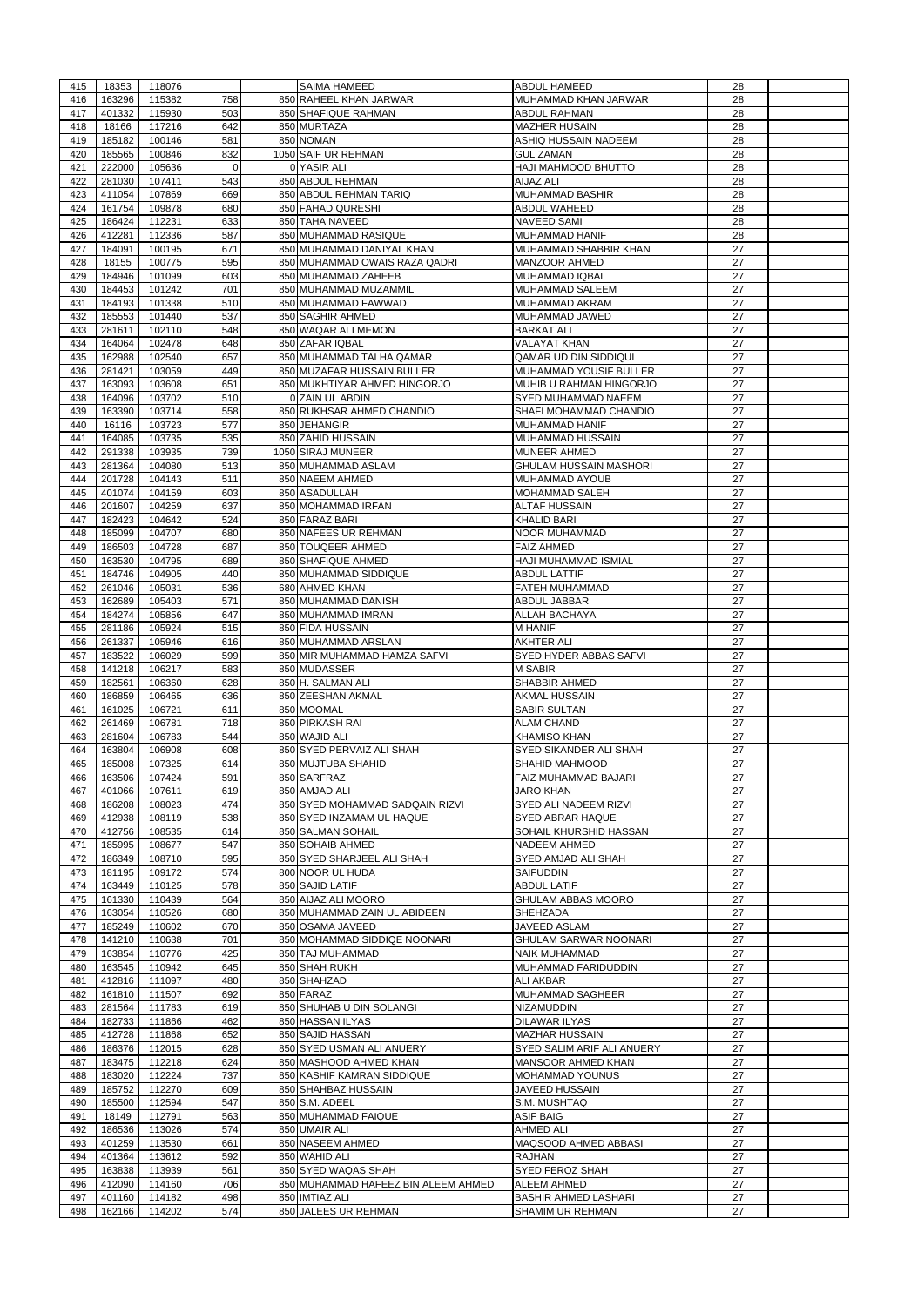| 415 | 18353  | 118076        |             | <b>SAIMA HAMEED</b>                 | <b>ABDUL HAMEED</b>           | 28 |  |
|-----|--------|---------------|-------------|-------------------------------------|-------------------------------|----|--|
|     |        |               |             |                                     |                               |    |  |
| 416 | 163296 | 115382        | 758         | 850 RAHEEL KHAN JARWAR              | MUHAMMAD KHAN JARWAR          | 28 |  |
| 417 | 401332 | 115930        | 503         | 850 SHAFIQUE RAHMAN                 | <b>ABDUL RAHMAN</b>           | 28 |  |
| 418 | 18166  | 117216        | 642         | 850 MURTAZA                         | <b>MAZHER HUSAIN</b>          | 28 |  |
| 419 | 185182 | 100146        | 581         | 850 NOMAN                           | ASHIQ HUSSAIN NADEEM          | 28 |  |
| 420 | 185565 | 100846        | 832         | 1050 SAIF UR REHMAN                 | <b>GUL ZAMAN</b>              | 28 |  |
|     |        |               | $\mathbf 0$ | 0 YASIR ALI                         |                               | 28 |  |
| 421 | 222000 | 105636        |             |                                     | HAJI MAHMOOD BHUTTO           |    |  |
| 422 | 281030 | 107411        | 543         | 850 ABDUL REHMAN                    | AIJAZ ALI                     | 28 |  |
| 423 | 411054 | 107869        | 669         | 850 ABDUL REHMAN TARIQ              | <b>MUHAMMAD BASHIR</b>        | 28 |  |
| 424 | 161754 | 109878        | 680         | 850 FAHAD QURESHI                   | ABDUL WAHEED                  | 28 |  |
| 425 | 186424 | 112231        | 633         | 850 TAHA NAVEED                     | <b>NAVEED SAMI</b>            | 28 |  |
|     |        |               |             |                                     |                               |    |  |
| 426 | 412281 | 112336        | 587         | 850 MUHAMMAD RASIQUE                | <b>MUHAMMAD HANIF</b>         | 28 |  |
| 427 | 184091 | 100195        | 671         | 850 MUHAMMAD DANIYAL KHAN           | MUHAMMAD SHABBIR KHAN         | 27 |  |
| 428 | 18155  | 100775        | 595         | 850 MUHAMMAD OWAIS RAZA QADRI       | <b>MANZOOR AHMED</b>          | 27 |  |
| 429 | 184946 | 101099        | 603         | 850 MUHAMMAD ZAHEEB                 | <b>MUHAMMAD IQBAL</b>         | 27 |  |
| 430 | 184453 | 101242        | 701         | 850 MUHAMMAD MUZAMMIL               | <b>MUHAMMAD SALEEM</b>        | 27 |  |
|     |        |               | 510         | 850 MUHAMMAD FAWWAD                 |                               |    |  |
| 431 | 184193 | 101338        |             |                                     | <b>MUHAMMAD AKRAM</b>         | 27 |  |
| 432 | 185553 | 101440        | 537         | 850 SAGHIR AHMED                    | MUHAMMAD JAWED                | 27 |  |
| 433 | 281611 | 102110        | 548         | 850 WAQAR ALI MEMON                 | <b>BARKAT ALI</b>             | 27 |  |
| 434 | 164064 | 102478        | 648         | 850 ZAFAR IQBAL                     | <b>VALAYAT KHAN</b>           | 27 |  |
| 435 | 162988 | 102540        | 657         | 850 MUHAMMAD TALHA QAMAR            | QAMAR UD DIN SIDDIQUI         | 27 |  |
| 436 | 281421 | 103059        | 449         | 850 MUZAFAR HUSSAIN BULLER          | <b>MUHAMMAD YOUSIF BULLER</b> | 27 |  |
|     |        |               |             |                                     |                               |    |  |
| 437 | 163093 | 103608        | 651         | 850 MUKHTIYAR AHMED HINGORJO        | MUHIB U RAHMAN HINGORJO       | 27 |  |
| 438 | 164096 | 103702        | 510         | 0 ZAIN UL ABDIN                     | <b>SYED MUHAMMAD NAEEM</b>    | 27 |  |
| 439 | 163390 | 103714        | 558         | 850 RUKHSAR AHMED CHANDIO           | SHAFI MOHAMMAD CHANDIO        | 27 |  |
| 440 | 16116  | 103723        | 577         | 850 JEHANGIR                        | <b>MUHAMMAD HANIF</b>         | 27 |  |
| 441 | 164085 | 103735        | 535         | 850 ZAHID HUSSAIN                   | MUHAMMAD HUSSAIN              | 27 |  |
|     |        |               |             |                                     |                               |    |  |
| 442 | 291338 | 103935        | 739         | 1050 SIRAJ MUNEER                   | <b>MUNEER AHMED</b>           | 27 |  |
| 443 | 281364 | 104080        | 513         | 850 MUHAMMAD ASLAM                  | <b>GHULAM HUSSAIN MASHORI</b> | 27 |  |
| 444 | 201728 | 104143        | 511         | 850 NAEEM AHMED                     | <b>MUHAMMAD AYOUB</b>         | 27 |  |
| 445 | 401074 | 104159        | 603         | 850 ASADULLAH                       | <b>MOHAMMAD SALEH</b>         | 27 |  |
| 446 | 201607 | 104259        | 637         | 850 MOHAMMAD IRFAN                  | <b>ALTAF HUSSAIN</b>          | 27 |  |
|     |        |               |             |                                     |                               |    |  |
| 447 | 182423 | 104642        | 524         | 850 FARAZ BARI                      | <b>KHALID BARI</b>            | 27 |  |
| 448 | 185099 | 104707        | 680         | 850 NAFEES UR REHMAN                | <b>NOOR MUHAMMAD</b>          | 27 |  |
| 449 | 186503 | 104728        | 687         | 850 TOUQEER AHMED                   | <b>FAIZ AHMED</b>             | 27 |  |
| 450 | 163530 | 104795        | 689         | 850 SHAFIQUE AHMED                  | <b>HAJI MUHAMMAD ISMIAL</b>   | 27 |  |
|     |        |               |             |                                     |                               |    |  |
| 451 | 184746 | 104905        | 440         | 850 MUHAMMAD SIDDIQUE               | <b>ABDUL LATTIF</b>           | 27 |  |
| 452 | 261046 | 105031        | 536         | 680 AHMED KHAN                      | <b>FATEH MUHAMMAD</b>         | 27 |  |
| 453 | 162689 | 105403        | 571         | 850 MUHAMMAD DANISH                 | ABDUL JABBAR                  | 27 |  |
| 454 | 184274 | 105856        | 647         | 850 MUHAMMAD IMRAN                  | <b>ALLAH BACHAYA</b>          | 27 |  |
| 455 | 281186 | 105924        | 515         | 850 FIDA HUSSAIN                    | <b>M HANIF</b>                | 27 |  |
|     |        |               |             |                                     |                               |    |  |
| 456 | 261337 | 105946        | 616         | 850 MUHAMMAD ARSLAN                 | <b>AKHTER ALI</b>             | 27 |  |
| 457 | 183522 | 106029        | 599         | 850 MIR MUHAMMAD HAMZA SAFVI        | <b>SYED HYDER ABBAS SAFVI</b> | 27 |  |
| 458 | 141218 | 106217        | 583         | 850 MUDASSER                        | <b>M SABIR</b>                | 27 |  |
| 459 | 182561 | 106360        | 628         | 850 H. SALMAN ALI                   | <b>SHABBIR AHMED</b>          | 27 |  |
|     | 186859 |               | 636         | 850 ZEESHAN AKMAL                   |                               | 27 |  |
| 460 |        | 106465        |             |                                     | <b>AKMAL HUSSAIN</b>          |    |  |
| 461 | 161025 | 106721        | 611         | 850 MOOMAL                          | <b>SABIR SULTAN</b>           | 27 |  |
| 462 | 261469 | 106781        | 718         | 850 PIRKASH RAI                     | <b>ALAM CHAND</b>             | 27 |  |
| 463 | 281604 | 106783        | 544         | 850 WAJID ALI                       | <b>KHAMISO KHAN</b>           | 27 |  |
| 464 | 163804 | 106908        | 608         | 850 SYED PERVAIZ ALI SHAH           | SYED SIKANDER ALI SHAH        | 27 |  |
|     |        |               |             |                                     |                               |    |  |
| 465 | 185008 | 107325        | 614         | 850 MUJTUBA SHAHID                  | <b>SHAHID MAHMOOD</b>         | 27 |  |
| 466 | 163506 | 107424        | 591         | 850 SARFRAZ                         | FAIZ MUHAMMAD BAJARI          | 27 |  |
| 467 | 401066 | 107611        | 619         | 850 AMJAD ALI                       | <b>JARO KHAN</b>              | 27 |  |
| 468 | 186208 | 108023        | 474         | 850 SYED MOHAMMAD SADQAIN RIZVI     | SYED ALI NADEEM RIZVI         | 27 |  |
| 469 | 412938 | 108119        | 538         | 850 SYED INZAMAM UL HAQUE           | <b>SYED ABRAR HAQUE</b>       | 27 |  |
|     |        |               |             |                                     |                               |    |  |
| 470 | 412756 | 108535        | 614         | 850 SALMAN SOHAIL                   | SOHAIL KHURSHID HASSAN        | 27 |  |
| 471 | 185995 | 108677        | 547         | 850 SOHAIB AHMED                    | <b>NADEEM AHMED</b>           | 27 |  |
| 472 | 186349 | 108710        | 595         | 850 SYED SHARJEEL ALI SHAH          | SYED AMJAD ALI SHAH           | 27 |  |
| 473 | 181195 | 109172        | 574         | 800 NOOR UL HUDA                    | <b>SAIFUDDIN</b>              | 27 |  |
| 474 | 163449 | 110125        | 578         | 850 SAJID LATIF                     | <b>ABDUL LATIF</b>            | 27 |  |
|     |        |               |             |                                     |                               |    |  |
| 475 | 161330 | 110439        | 564         | 850 AIJAZ ALI MOORO                 | <b>GHULAM ABBAS MOORO</b>     | 27 |  |
| 476 | 163054 | 110526        | 680         | 850 MUHAMMAD ZAIN UL ABIDEEN        | <b>SHEHZADA</b>               | 27 |  |
| 477 | 185249 | 110602        | 670         | 850 OSAMA JAVEED                    | JAVEED ASLAM                  | 27 |  |
| 478 | 141210 | 110638        | 701         | 850 MOHAMMAD SIDDIQE NOONARI        | <b>GHULAM SARWAR NOONARI</b>  | 27 |  |
| 479 | 163854 | 110776        | 425         | 850 TAJ MUHAMMAD                    | <b>NAIK MUHAMMAD</b>          | 27 |  |
|     |        |               |             |                                     |                               |    |  |
| 480 | 163545 | 110942        | 645         | 850 SHAH RUKH                       | MUHAMMAD FARIDUDDIN           | 27 |  |
| 481 | 412816 | 111097        | 480         | 850 SHAHZAD                         | <b>ALI AKBAR</b>              | 27 |  |
| 482 | 161810 | 111507        | 692         | 850 FARAZ                           | <b>MUHAMMAD SAGHEER</b>       | 27 |  |
| 483 | 281564 | 111783        | 619         | 850 SHUHAB U DIN SOLANGI            | <b>NIZAMUDDIN</b>             | 27 |  |
| 484 | 182733 | 111866        | 462         | 850 HASSAN ILYAS                    | <b>DILAWAR ILYAS</b>          | 27 |  |
|     |        |               |             |                                     |                               |    |  |
| 485 | 412728 | 111868        | 652         | 850 SAJID HASSAN                    | <b>MAZHAR HUSSAIN</b>         | 27 |  |
| 486 | 186376 | 112015        | 628         | 850 SYED USMAN ALI ANUERY           | SYED SALIM ARIF ALI ANUERY    | 27 |  |
| 487 |        | 183475 112218 | 624         | 850 MASHOOD AHMED KHAN              | MANSOOR AHMED KHAN            | 27 |  |
| 488 | 183020 | 112224        | 737         | 850 KASHIF KAMRAN SIDDIQUE          | <b>MOHAMMAD YOUNUS</b>        | 27 |  |
| 489 | 185752 | 112270        | 609         | 850 SHAHBAZ HUSSAIN                 | <b>JAVEED HUSSAIN</b>         | 27 |  |
|     |        |               |             |                                     |                               |    |  |
| 490 | 185500 | 112594        | 547         | 850 S.M. ADEEL                      | S.M. MUSHTAQ                  | 27 |  |
| 491 | 18149  | 112791        | 563         | 850 MUHAMMAD FAIQUE                 | <b>ASIF BAIG</b>              | 27 |  |
| 492 | 186536 | 113026        | 574         | 850 UMAIR ALI                       | <b>AHMED ALI</b>              | 27 |  |
| 493 | 401259 | 113530        | 661         | 850 NASEEM AHMED                    | <b>MAQSOOD AHMED ABBASI</b>   | 27 |  |
| 494 | 401364 | 113612        | 592         | 850 WAHID ALI                       | <b>RAJHAN</b>                 | 27 |  |
|     |        |               |             |                                     |                               |    |  |
| 495 | 163838 | 113939        | 561         | 850 SYED WAQAS SHAH                 | <b>SYED FEROZ SHAH</b>        | 27 |  |
| 496 | 412090 | 114160        | 706         | 850 MUHAMMAD HAFEEZ BIN ALEEM AHMED | <b>ALEEM AHMED</b>            | 27 |  |
| 497 | 401160 | 114182        | 498         | 850 IMTIAZ ALI                      | <b>BASHIR AHMED LASHARI</b>   | 27 |  |
|     | 162166 | 114202        | 574         | 850 JALEES UR REHMAN                | SHAMIM UR REHMAN              | 27 |  |
| 498 |        |               |             |                                     |                               |    |  |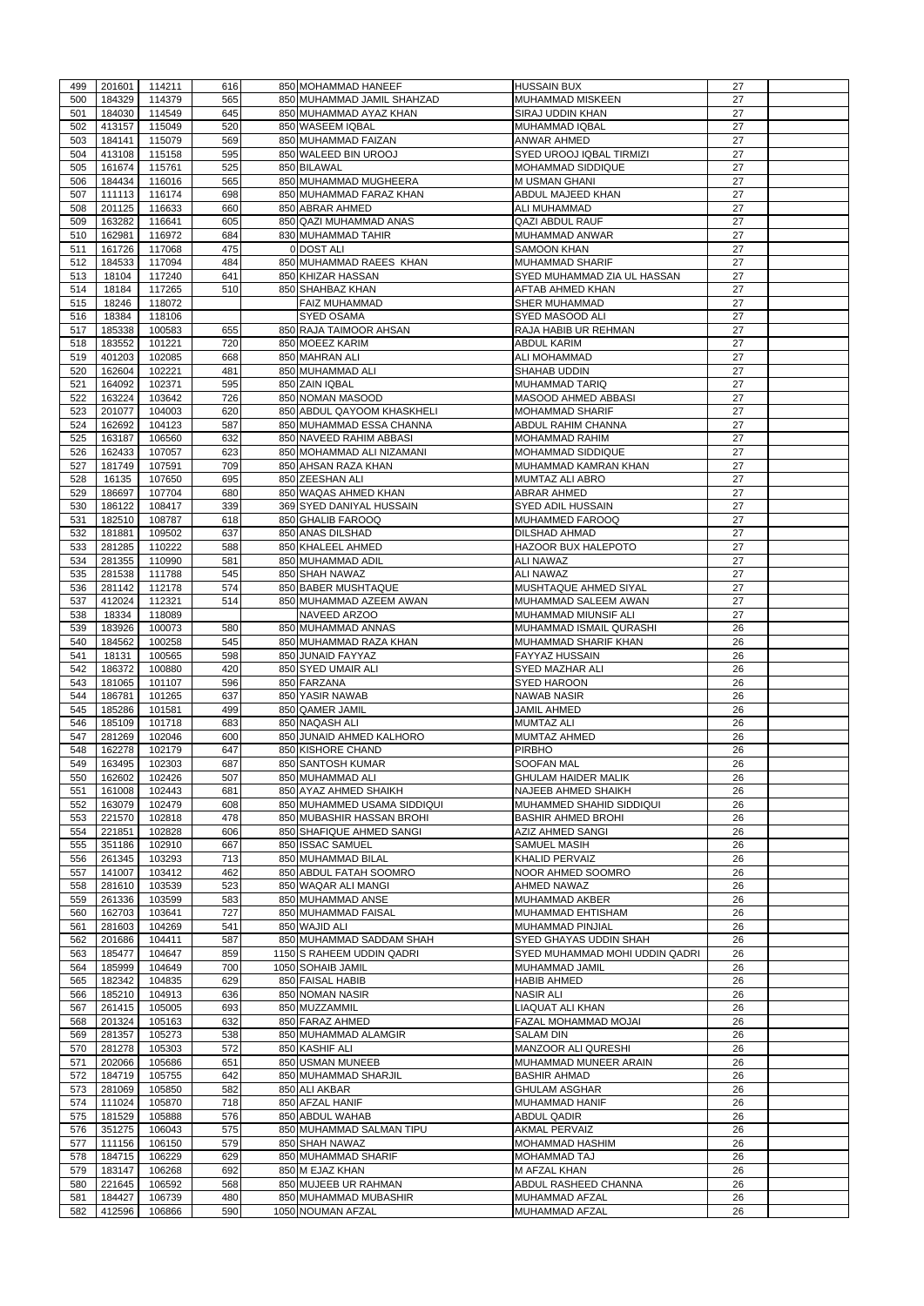| 499        | 201601           | 114211 | 616 | 850 MOHAMMAD HANEEF         | <b>HUSSAIN BUX</b>              | 27 |  |
|------------|------------------|--------|-----|-----------------------------|---------------------------------|----|--|
|            |                  |        |     |                             |                                 |    |  |
| 500        | 184329           | 114379 | 565 | 850 MUHAMMAD JAMIL SHAHZAD  | <b>MUHAMMAD MISKEEN</b>         | 27 |  |
| 501        | 184030           | 114549 | 645 | 850 MUHAMMAD AYAZ KHAN      | <b>SIRAJ UDDIN KHAN</b>         | 27 |  |
| 502        | 413157           | 115049 | 520 | 850 WASEEM IQBAL            | MUHAMMAD IQBAL                  | 27 |  |
| 503        | 184141           | 115079 | 569 | 850 MUHAMMAD FAIZAN         | <b>ANWAR AHMED</b>              | 27 |  |
| 504        | 413108           | 115158 | 595 | 850 WALEED BIN UROOJ        | <b>SYED UROOJ IQBAL TIRMIZI</b> | 27 |  |
| 505        | 161674           | 115761 | 525 | 850 BILAWAL                 | <b>MOHAMMAD SIDDIQUE</b>        | 27 |  |
| 506        | 184434           | 116016 | 565 | 850 MUHAMMAD MUGHEERA       | <b>M USMAN GHANI</b>            | 27 |  |
| 507        | 111113           | 116174 | 698 | 850 MUHAMMAD FARAZ KHAN     | ABDUL MAJEED KHAN               | 27 |  |
| 508        | 201125           | 116633 | 660 | 850 ABRAR AHMED             | <b>ALI MUHAMMAD</b>             | 27 |  |
| 509        | 163282           | 116641 | 605 | 850 QAZI MUHAMMAD ANAS      | <b>QAZI ABDUL RAUF</b>          | 27 |  |
|            |                  |        |     |                             |                                 |    |  |
| 510        | 162981           | 116972 | 684 | 830 MUHAMMAD TAHIR          | MUHAMMAD ANWAR                  | 27 |  |
| 511        | 161726           | 117068 | 475 | 0 DOST ALI                  | <b>SAMOON KHAN</b>              | 27 |  |
| 512        | 184533           | 117094 | 484 | 850 MUHAMMAD RAEES KHAN     | <b>MUHAMMAD SHARIF</b>          | 27 |  |
| 513        | 18104            | 117240 | 641 | 850 KHIZAR HASSAN           | SYED MUHAMMAD ZIA UL HASSAN     | 27 |  |
| 514        | 18184            | 117265 | 510 | 850 SHAHBAZ KHAN            | <b>AFTAB AHMED KHAN</b>         | 27 |  |
| 515        | 18246            | 118072 |     | <b>FAIZ MUHAMMAD</b>        | <b>SHER MUHAMMAD</b>            | 27 |  |
|            |                  |        |     |                             |                                 |    |  |
| 516        | 18384            | 118106 |     | <b>SYED OSAMA</b>           | <b>SYED MASOOD ALI</b>          | 27 |  |
| 517        | 185338           | 100583 | 655 | 850 RAJA TAIMOOR AHSAN      | RAJA HABIB UR REHMAN            | 27 |  |
| 518        | 183552           | 101221 | 720 | 850 MOEEZ KARIM             | <b>ABDUL KARIM</b>              | 27 |  |
| 519        | 401203           | 102085 | 668 | 850 MAHRAN ALI              | <b>ALI MOHAMMAD</b>             | 27 |  |
| 520        | 162604           | 102221 | 481 | 850 MUHAMMAD ALI            | <b>SHAHAB UDDIN</b>             | 27 |  |
| 521        | 164092           | 102371 | 595 | 850 ZAIN IQBAL              | <b>MUHAMMAD TARIQ</b>           | 27 |  |
| 522        | 163224           | 103642 | 726 | 850 NOMAN MASOOD            | MASOOD AHMED ABBASI             | 27 |  |
|            |                  |        |     |                             |                                 |    |  |
| 523        | 201077           | 104003 | 620 | 850 ABDUL QAYOOM KHASKHELI  | <b>MOHAMMAD SHARIF</b>          | 27 |  |
| 524        | 162692           | 104123 | 587 | 850 MUHAMMAD ESSA CHANNA    | ABDUL RAHIM CHANNA              | 27 |  |
| 525        | 163187           | 106560 | 632 | 850 NAVEED RAHIM ABBASI     | <b>MOHAMMAD RAHIM</b>           | 27 |  |
| 526        | 162433           | 107057 | 623 | 850 MOHAMMAD ALI NIZAMANI   | MOHAMMAD SIDDIQUE               | 27 |  |
| 527        | 181749           | 107591 | 709 | 850 AHSAN RAZA KHAN         | MUHAMMAD KAMRAN KHAN            | 27 |  |
| 528        | 16135            | 107650 | 695 | 850 ZEESHAN ALI             | <b>MUMTAZ ALI ABRO</b>          | 27 |  |
| 529        | 186697           | 107704 | 680 | 850 WAQAS AHMED KHAN        | <b>ABRAR AHMED</b>              | 27 |  |
|            |                  |        |     |                             |                                 |    |  |
| 530        | 186122           | 108417 | 339 | 369 SYED DANIYAL HUSSAIN    | <b>SYED ADIL HUSSAIN</b>        | 27 |  |
| 531        | 182510           | 108787 | 618 | 850 GHALIB FAROOQ           | <b>MUHAMMED FAROOQ</b>          | 27 |  |
| 532        | 181881           | 109502 | 637 | 850 ANAS DILSHAD            | <b>DILSHAD AHMAD</b>            | 27 |  |
| 533        | 281285           | 110222 | 588 | 850 KHALEEL AHMED           | <b>HAZOOR BUX HALEPOTO</b>      | 27 |  |
| 534        | 281355           | 110990 | 581 | 850 MUHAMMAD ADIL           | <b>ALI NAWAZ</b>                | 27 |  |
| 535        | 281538           | 111788 | 545 | 850 SHAH NAWAZ              | <b>ALI NAWAZ</b>                | 27 |  |
|            |                  |        |     |                             |                                 |    |  |
| 536        | 281142           | 112178 | 574 | 850 BABER MUSHTAQUE         | MUSHTAQUE AHMED SIYAL           | 27 |  |
| 537        | 412024           | 112321 | 514 | 850 MUHAMMAD AZEEM AWAN     | MUHAMMAD SALEEM AWAN            | 27 |  |
| 538        | 18334            | 118089 |     | NAVEED ARZOO                | MUHAMMAD MIUNSIF ALI            | 27 |  |
| 539        | 183926           | 100073 | 580 | 850 MUHAMMAD ANNAS          | MUHAMMAD ISMAIL QURASHI         | 26 |  |
| 540        | 184562           | 100258 | 545 | 850 MUHAMMAD RAZA KHAN      | MUHAMMAD SHARIF KHAN            | 26 |  |
| 541        | 18131            | 100565 | 598 | 850 JUNAID FAYYAZ           | <b>FAYYAZ HUSSAIN</b>           | 26 |  |
| 542        | 186372           | 100880 | 420 | 850 SYED UMAIR ALI          | <b>SYED MAZHAR ALI</b>          | 26 |  |
|            |                  |        |     |                             |                                 |    |  |
| 543        | 181065           | 101107 | 596 | 850 FARZANA                 | <b>SYED HAROON</b>              | 26 |  |
| 544        | 186781           | 101265 | 637 | 850 YASIR NAWAB             | <b>NAWAB NASIR</b>              | 26 |  |
| 545        | 185286           | 101581 | 499 | 850 QAMER JAMIL             | <b>JAMIL AHMED</b>              | 26 |  |
| 546        | 185109           | 101718 | 683 | 850 NAQASH ALI              | <b>MUMTAZ ALI</b>               | 26 |  |
| 547        | 281269           | 102046 | 600 | 850 JUNAID AHMED KALHORO    | <b>MUMTAZ AHMED</b>             | 26 |  |
| 548        | 162278           | 102179 | 647 | 850 KISHORE CHAND           | <b>PIRBHO</b>                   | 26 |  |
|            | 163495           | 102303 | 687 |                             |                                 |    |  |
| 549        |                  |        |     | 850 SANTOSH KUMAR           | <b>SOOFAN MAL</b>               | 26 |  |
| 550        | 162602           | 102426 | 507 | 850 MUHAMMAD ALI            | <b>GHULAM HAIDER MALIK</b>      | 26 |  |
| 551        | 161008           | 102443 | 681 | 850 AYAZ AHMED SHAIKH       | <b>NAJEEB AHMED SHAIKH</b>      | 26 |  |
| 552        | 163079           | 102479 | 608 | 850 MUHAMMED USAMA SIDDIQUI | MUHAMMED SHAHID SIDDIQUI        | 26 |  |
| 553        | 221570           | 102818 | 478 | 850 MUBASHIR HASSAN BROHI   | <b>BASHIR AHMED BROHI</b>       | 26 |  |
| 554        | 221851           | 102828 | 606 | 850 SHAFIQUE AHMED SANGI    | <b>AZIZ AHMED SANGI</b>         | 26 |  |
| 555        | 351186           | 102910 | 667 | 850 ISSAC SAMUEL            | <b>SAMUEL MASIH</b>             | 26 |  |
|            |                  |        |     |                             |                                 |    |  |
| 556        | 261345           | 103293 | 713 | 850 MUHAMMAD BILAL          | <b>KHALID PERVAIZ</b>           | 26 |  |
| 557        | 141007           | 103412 | 462 | 850 ABDUL FATAH SOOMRO      | NOOR AHMED SOOMRO               | 26 |  |
| 558        | 281610           | 103539 | 523 | 850 WAQAR ALI MANGI         | <b>AHMED NAWAZ</b>              | 26 |  |
| 559        | 261336           | 103599 | 583 | 850 MUHAMMAD ANSE           | <b>MUHAMMAD AKBER</b>           | 26 |  |
| 560        | 162703           | 103641 | 727 | 850 MUHAMMAD FAISAL         | MUHAMMAD EHTISHAM               | 26 |  |
| 561        | 281603           | 104269 | 541 | 850 WAJID ALI               | MUHAMMAD PINJIAL                | 26 |  |
| 562        | 201686           | 104411 | 587 | 850 MUHAMMAD SADDAM SHAH    | <b>SYED GHAYAS UDDIN SHAH</b>   | 26 |  |
|            |                  |        |     | 1150 S RAHEEM UDDIN QADRI   |                                 |    |  |
| 563        | 185477           | 104647 | 859 |                             | SYED MUHAMMAD MOHI UDDIN QADRI  | 26 |  |
| 564        | 185999           | 104649 | 700 | 1050 SOHAIB JAMIL           | MUHAMMAD JAMIL                  | 26 |  |
| 565        | 182342           | 104835 | 629 | 850 FAISAL HABIB            | <b>HABIB AHMED</b>              | 26 |  |
| 566        | 185210           | 104913 | 636 | 850 NOMAN NASIR             | <b>NASIR ALI</b>                | 26 |  |
| 567        | 261415           | 105005 | 693 | 850 MUZZAMMIL               | LIAQUAT ALI KHAN                | 26 |  |
| 568        | 201324           | 105163 | 632 | 850 FARAZ AHMED             | FAZAL MOHAMMAD MOJAI            | 26 |  |
| 569        | 281357           | 105273 | 538 | 850 MUHAMMAD ALAMGIR        | <b>SALAM DIN</b>                | 26 |  |
|            |                  |        |     |                             | <b>MANZOOR ALI QURESHI</b>      |    |  |
| 570        | 281278           | 105303 | 572 | 850 KASHIF ALI              |                                 | 26 |  |
| 571        | 202066           | 105686 | 651 | 850 USMAN MUNEEB            | MUHAMMAD MUNEER ARAIN           | 26 |  |
| 572        | 184719           | 105755 | 642 | 850 MUHAMMAD SHARJIL        | <b>BASHIR AHMAD</b>             | 26 |  |
| 573        | 281069           | 105850 | 582 | 850 ALI AKBAR               | <b>GHULAM ASGHAR</b>            | 26 |  |
| 574        | 111024           | 105870 | 718 | 850 AFZAL HANIF             | <b>MUHAMMAD HANIF</b>           | 26 |  |
| 575        | 181529           | 105888 | 576 | 850 ABDUL WAHAB             | <b>ABDUL QADIR</b>              | 26 |  |
| 576        | 351275           | 106043 | 575 | 850 MUHAMMAD SALMAN TIPU    | <b>AKMAL PERVAIZ</b>            | 26 |  |
|            |                  |        |     |                             |                                 |    |  |
| 577        | 111156           | 106150 | 579 | 850 SHAH NAWAZ              | <b>MOHAMMAD HASHIM</b>          | 26 |  |
| 578        | 184715           | 106229 | 629 | 850 MUHAMMAD SHARIF         | <b>MOHAMMAD TAJ</b>             | 26 |  |
| 579        | 183147           | 106268 | 692 | 850 M EJAZ KHAN             | <b>M AFZAL KHAN</b>             | 26 |  |
| 580        | 221645           | 106592 | 568 | 850 MUJEEB UR RAHMAN        | ABDUL RASHEED CHANNA            | 26 |  |
|            |                  | 106739 | 480 | 850 MUHAMMAD MUBASHIR       | MUHAMMAD AFZAL                  | 26 |  |
|            |                  |        |     |                             |                                 |    |  |
| 581<br>582 | 184427<br>412596 | 106866 | 590 | 1050 NOUMAN AFZAL           | <b>MUHAMMAD AFZAL</b>           | 26 |  |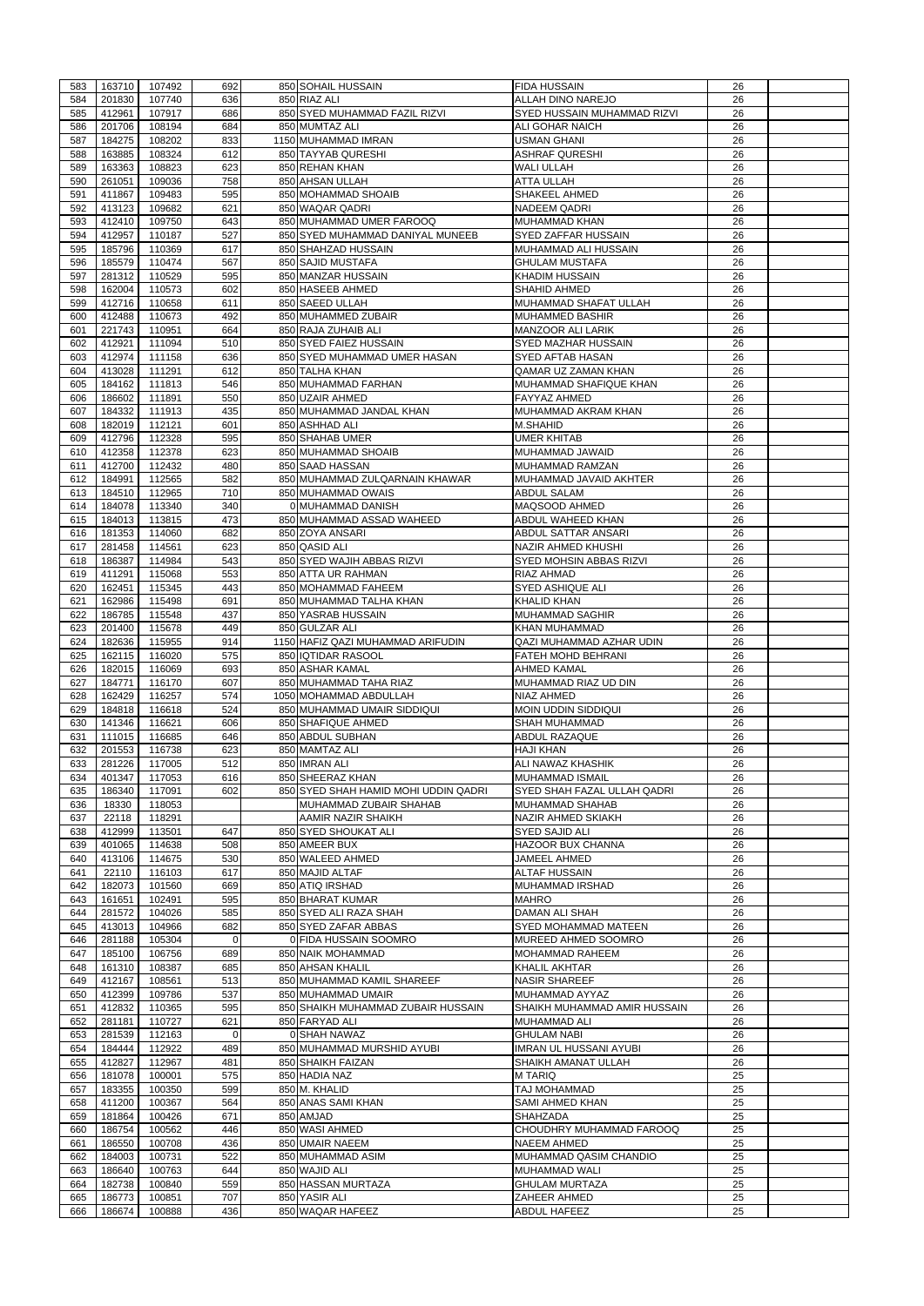| 583 | 163710 | 107492 | 692            | 850 SOHAIL HUSSAIN                   | <b>FIDA HUSSAIN</b>                                            | 26 |  |
|-----|--------|--------|----------------|--------------------------------------|----------------------------------------------------------------|----|--|
|     |        |        | 636            | 850 RIAZ ALI                         |                                                                |    |  |
| 584 | 201830 | 107740 | 686            | 850 SYED MUHAMMAD FAZIL RIZVI        | <b>ALLAH DINO NAREJO</b><br><b>SYED HUSSAIN MUHAMMAD RIZVI</b> | 26 |  |
| 585 | 412961 | 107917 |                |                                      |                                                                | 26 |  |
| 586 | 201706 | 108194 | 684            | 850 MUMTAZ ALI                       | <b>ALI GOHAR NAICH</b>                                         | 26 |  |
| 587 | 184275 | 108202 | 833            | 1150 MUHAMMAD IMRAN                  | <b>USMAN GHANI</b>                                             | 26 |  |
| 588 | 163885 | 108324 | 612            | 850 TAYYAB QURESHI                   | <b>ASHRAF QURESHI</b>                                          | 26 |  |
| 589 | 163363 | 108823 | 623            | 850 REHAN KHAN                       | <b>WALI ULLAH</b>                                              | 26 |  |
| 590 | 261051 | 109036 | 758            | 850 AHSAN ULLAH                      | <b>ATTA ULLAH</b>                                              | 26 |  |
| 591 | 411867 | 109483 | 595            | 850 MOHAMMAD SHOAIB                  | <b>SHAKEEL AHMED</b>                                           | 26 |  |
| 592 | 413123 | 109682 | 621            | 850 WAQAR QADRI                      | <b>NADEEM QADRI</b>                                            | 26 |  |
| 593 | 412410 | 109750 | 643            | 850 MUHAMMAD UMER FAROOQ             | <b>MUHAMMAD KHAN</b>                                           | 26 |  |
| 594 | 412957 | 110187 | 527            | 850 SYED MUHAMMAD DANIYAL MUNEEB     | <b>SYED ZAFFAR HUSSAIN</b>                                     | 26 |  |
| 595 | 185796 | 110369 | 617            | 850 SHAHZAD HUSSAIN                  | MUHAMMAD ALI HUSSAIN                                           | 26 |  |
| 596 | 185579 | 110474 | 567            | 850 SAJID MUSTAFA                    | <b>GHULAM MUSTAFA</b>                                          | 26 |  |
| 597 | 281312 | 110529 | 595            | 850 MANZAR HUSSAIN                   | <b>KHADIM HUSSAIN</b>                                          | 26 |  |
| 598 | 162004 | 110573 | 602            | 850 HASEEB AHMED                     | SHAHID AHMED                                                   | 26 |  |
| 599 | 412716 | 110658 | 611            | 850 SAEED ULLAH                      | MUHAMMAD SHAFAT ULLAH                                          | 26 |  |
| 600 | 412488 | 110673 | 492            | 850 MUHAMMED ZUBAIR                  | <b>MUHAMMED BASHIR</b>                                         | 26 |  |
| 601 | 221743 | 110951 | 664            | 850 RAJA ZUHAIB ALI                  | <b>MANZOOR ALI LARIK</b>                                       | 26 |  |
|     |        |        |                |                                      |                                                                |    |  |
| 602 | 412921 | 111094 | 510            | 850 SYED FAIEZ HUSSAIN               | <b>SYED MAZHAR HUSSAIN</b>                                     | 26 |  |
| 603 | 412974 | 111158 | 636            | 850 SYED MUHAMMAD UMER HASAN         | <b>SYED AFTAB HASAN</b>                                        | 26 |  |
| 604 | 413028 | 111291 | 612            | 850 TALHA KHAN                       | QAMAR UZ ZAMAN KHAN                                            | 26 |  |
| 605 | 184162 | 111813 | 546            | 850 MUHAMMAD FARHAN                  | MUHAMMAD SHAFIQUE KHAN                                         | 26 |  |
| 606 | 186602 | 111891 | 550            | 850 UZAIR AHMED                      | <b>FAYYAZ AHMED</b>                                            | 26 |  |
| 607 | 184332 | 111913 | 435            | 850 MUHAMMAD JANDAL KHAN             | MUHAMMAD AKRAM KHAN                                            | 26 |  |
| 608 | 182019 | 112121 | 601            | 850 ASHHAD ALI                       | M.SHAHID                                                       | 26 |  |
| 609 | 412796 | 112328 | 595            | 850 SHAHAB UMER                      | <b>UMER KHITAB</b>                                             | 26 |  |
| 610 | 412358 | 112378 | 623            | 850 MUHAMMAD SHOAIB                  | MUHAMMAD JAWAID                                                | 26 |  |
| 611 | 412700 | 112432 | 480            | 850 SAAD HASSAN                      | MUHAMMAD RAMZAN                                                | 26 |  |
| 612 | 184991 | 112565 | 582            | 850 MUHAMMAD ZULQARNAIN KHAWAR       | MUHAMMAD JAVAID AKHTER                                         | 26 |  |
| 613 | 184510 | 112965 | 710            | 850 MUHAMMAD OWAIS                   | <b>ABDUL SALAM</b>                                             | 26 |  |
| 614 | 184078 | 113340 | 340            | 0 MUHAMMAD DANISH                    | MAQSOOD AHMED                                                  | 26 |  |
| 615 | 184013 | 113815 | 473            | 850 MUHAMMAD ASSAD WAHEED            | <b>ABDUL WAHEED KHAN</b>                                       | 26 |  |
|     |        | 114060 |                |                                      |                                                                |    |  |
| 616 | 181353 |        | 682            | 850 ZOYA ANSARI                      | <b>ABDUL SATTAR ANSARI</b>                                     | 26 |  |
| 617 | 281458 | 114561 | 623            | 850 QASID ALI                        | <b>NAZIR AHMED KHUSHI</b>                                      | 26 |  |
| 618 | 186387 | 114984 | 543            | 850 SYED WAJIH ABBAS RIZVI           | <b>SYED MOHSIN ABBAS RIZVI</b>                                 | 26 |  |
| 619 | 411291 | 115068 | 553            | 850 ATTA UR RAHMAN                   | <b>RIAZ AHMAD</b>                                              | 26 |  |
| 620 | 162451 | 115345 | 443            | 850 MOHAMMAD FAHEEM                  | <b>SYED ASHIQUE ALI</b>                                        | 26 |  |
| 621 | 162986 | 115498 | 691            | 850 MUHAMMAD TALHA KHAN              | <b>KHALID KHAN</b>                                             | 26 |  |
| 622 | 186785 | 115548 | 437            | 850 YASRAB HUSSAIN                   | <b>MUHAMMAD SAGHIR</b>                                         | 26 |  |
| 623 | 201400 | 115678 | 449            | 850 GULZAR ALI                       | <b>KHAN MUHAMMAD</b>                                           | 26 |  |
| 624 | 182636 | 115955 | 914            | 1150 HAFIZ QAZI MUHAMMAD ARIFUDIN    | QAZI MUHAMMAD AZHAR UDIN                                       | 26 |  |
| 625 | 162115 | 116020 | 575            | 850 IQTIDAR RASOOL                   | <b>FATEH MOHD BEHRANI</b>                                      | 26 |  |
| 626 | 182015 | 116069 | 693            | 850 ASHAR KAMAL                      | <b>AHMED KAMAL</b>                                             | 26 |  |
| 627 | 184771 | 116170 | 607            | 850 MUHAMMAD TAHA RIAZ               | MUHAMMAD RIAZ UD DIN                                           | 26 |  |
| 628 | 162429 | 116257 | 574            | 1050 MOHAMMAD ABDULLAH               | NIAZ AHMED                                                     | 26 |  |
| 629 | 184818 | 116618 | 524            | 850 MUHAMMAD UMAIR SIDDIQUI          | <b>MOIN UDDIN SIDDIQUI</b>                                     | 26 |  |
|     |        |        |                |                                      |                                                                |    |  |
| 630 | 141346 | 116621 | 606            | 850 SHAFIQUE AHMED                   | <b>SHAH MUHAMMAD</b>                                           | 26 |  |
| 631 | 111015 | 116685 | 646            | 850 ABDUL SUBHAN                     | <b>ABDUL RAZAQUE</b>                                           | 26 |  |
| 632 | 201553 | 116738 | 623            | 850 MAMTAZ ALI                       | <b>HAJI KHAN</b>                                               | 26 |  |
| 633 | 281226 | 117005 | 512            | 850 IMRAN ALI                        | ALI NAWAZ KHASHIK                                              | 26 |  |
| 634 | 401347 | 117053 | 616            | 850 SHEERAZ KHAN                     | <b>MUHAMMAD ISMAIL</b>                                         | 26 |  |
| 635 | 186340 | 117091 | 602            | 850 SYED SHAH HAMID MOHI UDDIN QADRI | SYED SHAH FAZAL ULLAH QADRI                                    | 26 |  |
| 636 | 18330  | 118053 |                | MUHAMMAD ZUBAIR SHAHAB               | <b>MUHAMMAD SHAHAB</b>                                         | 26 |  |
| 637 | 22118  | 118291 |                | <b>AAMIR NAZIR SHAIKH</b>            | NAZIR AHMED SKIAKH                                             |    |  |
| 638 | 412999 | 113501 | 647            | 850 SYED SHOUKAT ALI                 |                                                                | 26 |  |
| 639 | 401065 | 114638 |                |                                      | <b>SYED SAJID ALI</b>                                          | 26 |  |
| 640 | 413106 |        | 508            | 850 AMEER BUX                        | HAZOOR BUX CHANNA                                              | 26 |  |
| 641 |        | 114675 | 530            | 850 WALEED AHMED                     | JAMEEL AHMED                                                   | 26 |  |
| 642 | 22110  | 116103 | 617            | 850 MAJID ALTAF                      | <b>ALTAF HUSSAIN</b>                                           | 26 |  |
|     |        |        |                |                                      |                                                                |    |  |
|     | 182073 | 101560 | 669            | 850 ATIQ IRSHAD                      | <b>MUHAMMAD IRSHAD</b>                                         | 26 |  |
| 643 | 161651 | 102491 | 595            | 850 BHARAT KUMAR                     | <b>MAHRO</b>                                                   | 26 |  |
| 644 | 281572 | 104026 | 585            | 850 SYED ALI RAZA SHAH               | <b>DAMAN ALI SHAH</b>                                          | 26 |  |
| 645 | 413013 | 104966 | 682            | 850 SYED ZAFAR ABBAS                 | <b>SYED MOHAMMAD MATEEN</b>                                    | 26 |  |
| 646 | 281188 | 105304 | $\mathbf 0$    | 0 FIDA HUSSAIN SOOMRO                | MUREED AHMED SOOMRO                                            | 26 |  |
| 647 | 185100 | 106756 | 689            | 850 NAIK MOHAMMAD                    | <b>MOHAMMAD RAHEEM</b>                                         | 26 |  |
| 648 | 161310 | 108387 | 685            | 850 AHSAN KHALIL                     | <b>KHALIL AKHTAR</b>                                           | 26 |  |
| 649 | 412167 | 108561 | 513            | 850 MUHAMMAD KAMIL SHAREEF           | <b>NASIR SHAREEF</b>                                           | 26 |  |
| 650 | 412399 | 109786 | 537            | 850 MUHAMMAD UMAIR                   | MUHAMMAD AYYAZ                                                 | 26 |  |
| 651 | 412832 | 110365 | 595            | 850 SHAIKH MUHAMMAD ZUBAIR HUSSAIN   | SHAIKH MUHAMMAD AMIR HUSSAIN                                   | 26 |  |
| 652 | 281181 | 110727 | 621            | 850 FARYAD ALI                       | MUHAMMAD ALI                                                   | 26 |  |
| 653 | 281539 | 112163 | $\overline{0}$ | 0 SHAH NAWAZ                         | <b>GHULAM NABI</b>                                             | 26 |  |
| 654 | 184444 | 112922 | 489            | 850 MUHAMMAD MURSHID AYUBI           | <b>IMRAN UL HUSSANI AYUBI</b>                                  | 26 |  |
|     |        |        |                |                                      |                                                                |    |  |
| 655 | 412827 | 112967 | 481            | 850 SHAIKH FAIZAN                    | SHAIKH AMANAT ULLAH                                            | 26 |  |
| 656 | 181078 | 100001 | 575            | 850 HADIA NAZ                        | <b>M TARIQ</b>                                                 | 25 |  |
| 657 | 183355 | 100350 | 599            | 850 M. KHALID                        | TAJ MOHAMMAD                                                   | 25 |  |
| 658 | 411200 | 100367 | 564            | 850 ANAS SAMI KHAN                   | <b>SAMI AHMED KHAN</b>                                         | 25 |  |
| 659 | 181864 | 100426 | 671            | 850 AMJAD                            | <b>SHAHZADA</b>                                                | 25 |  |
| 660 | 186754 | 100562 | 446            | 850 WASI AHMED                       | CHOUDHRY MUHAMMAD FAROOQ                                       | 25 |  |
| 661 | 186550 | 100708 | 436            | 850 UMAIR NAEEM                      | <b>NAEEM AHMED</b>                                             | 25 |  |
| 662 | 184003 | 100731 | 522            | 850 MUHAMMAD ASIM                    | MUHAMMAD QASIM CHANDIO                                         | 25 |  |
| 663 | 186640 | 100763 | 644            | 850 WAJID ALI                        | <b>MUHAMMAD WALI</b>                                           | 25 |  |
| 664 | 182738 | 100840 | 559            | 850 HASSAN MURTAZA                   | <b>GHULAM MURTAZA</b>                                          | 25 |  |
| 665 | 186773 | 100851 | 707            | 850 YASIR ALI                        | <b>ZAHEER AHMED</b>                                            | 25 |  |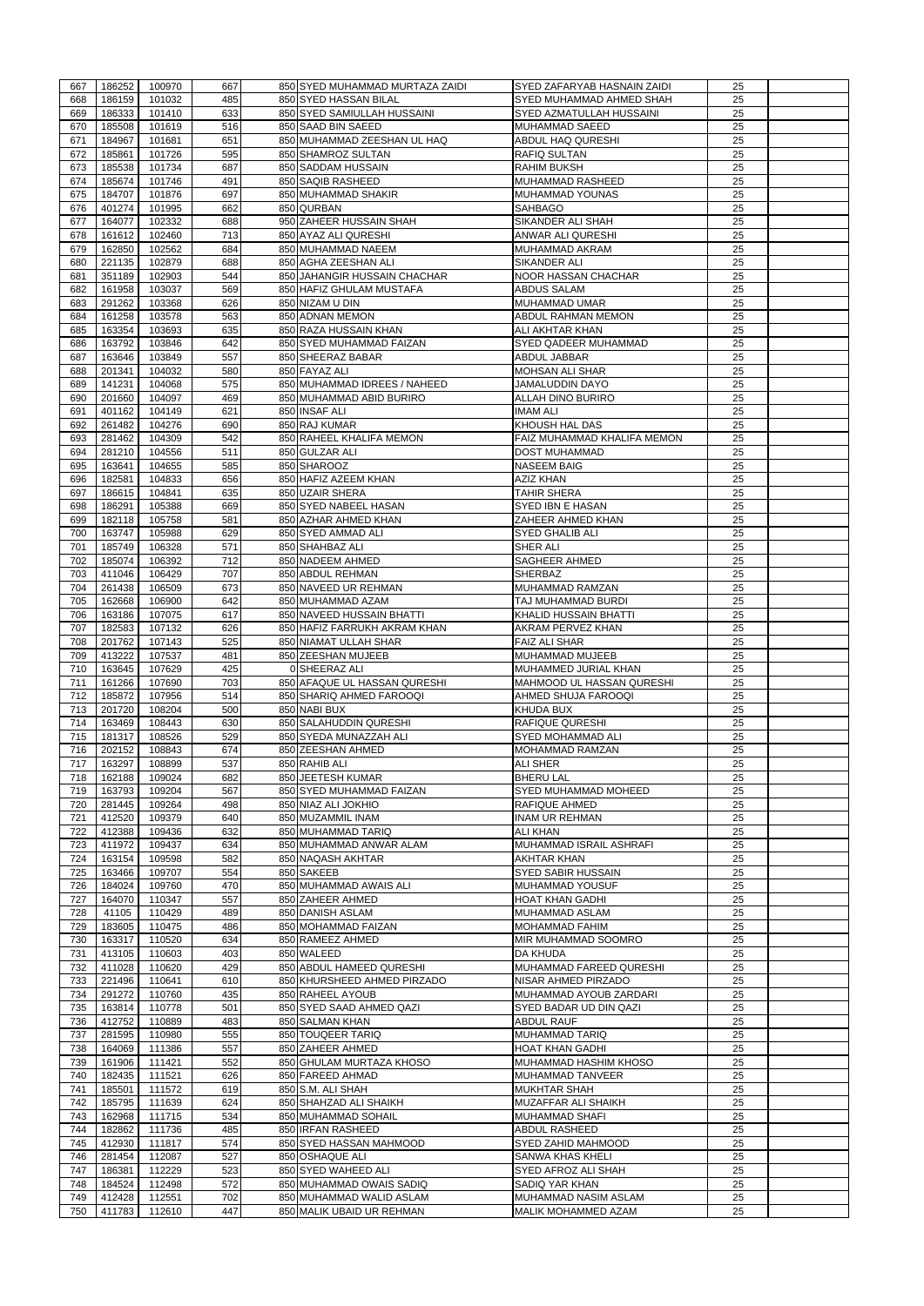| 667        | 186252           | 100970           | 667        | 850 SYED MUHAMMAD MURTAZA ZAIDI                       | <b>SYED ZAFARYAB HASNAIN ZAIDI</b>                 | 25       |  |
|------------|------------------|------------------|------------|-------------------------------------------------------|----------------------------------------------------|----------|--|
|            | 186159           |                  | 485        | 850 SYED HASSAN BILAL                                 | <b>SYED MUHAMMAD AHMED SHAH</b>                    |          |  |
| 668        |                  | 101032           |            |                                                       |                                                    | 25       |  |
| 669        | 186333           | 101410           | 633        | 850 SYED SAMIULLAH HUSSAINI                           | <b>SYED AZMATULLAH HUSSAINI</b>                    | 25       |  |
| 670        | 185508           | 101619           | 516        | 850 SAAD BIN SAEED                                    | <b>MUHAMMAD SAEED</b>                              | 25       |  |
| 671        | 184967           | 101681           | 651        | 850 MUHAMMAD ZEESHAN UL HAQ                           | ABDUL HAQ QURESHI                                  | 25       |  |
| 672        | 185861           | 101726           | 595        | 850 SHAMROZ SULTAN                                    | <b>RAFIQ SULTAN</b>                                | 25       |  |
| 673        | 185538           | 101734           | 687        | 850 SADDAM HUSSAIN                                    | <b>RAHIM BUKSH</b>                                 | 25       |  |
| 674        | 185674           | 101746           | 491        | 850 SAQIB RASHEED                                     | MUHAMMAD RASHEED                                   | 25       |  |
| 675        | 184707           | 101876           | 697        | 850 MUHAMMAD SHAKIR                                   | MUHAMMAD YOUNAS                                    | 25       |  |
| 676        | 401274           | 101995           | 662        | 850 QURBAN                                            | <b>SAHBAGO</b>                                     | 25       |  |
| 677        | 164077           | 102332           | 688        | 950 ZAHEER HUSSAIN SHAH                               | <b>SIKANDER ALI SHAH</b>                           | 25       |  |
| 678        | 161612           | 102460           | 713        | 850 AYAZ ALI QURESHI                                  | <b>ANWAR ALI QURESHI</b>                           | 25       |  |
| 679        | 162850           | 102562           | 684        | 850 MUHAMMAD NAEEM                                    | MUHAMMAD AKRAM                                     | 25       |  |
| 680        | 221135           | 102879           | 688        | 850 AGHA ZEESHAN ALI                                  | <b>SIKANDER ALI</b>                                | 25       |  |
| 681        | 351189           | 102903           | 544        | 850 JAHANGIR HUSSAIN CHACHAR                          | <b>NOOR HASSAN CHACHAR</b>                         | 25       |  |
| 682        | 161958           | 103037           | 569        | 850 HAFIZ GHULAM MUSTAFA                              | <b>ABDUS SALAM</b>                                 | 25       |  |
| 683        | 291262           | 103368           | 626        | 850 NIZAM U DIN                                       | <b>MUHAMMAD UMAR</b>                               | 25       |  |
| 684        | 161258           | 103578           | 563        | 850 ADNAN MEMON                                       | ABDUL RAHMAN MEMON                                 | 25       |  |
| 685        | 163354           | 103693           | 635        | 850 RAZA HUSSAIN KHAN                                 | <b>ALI AKHTAR KHAN</b>                             | 25       |  |
| 686        | 163792           | 103846           | 642        | 850 SYED MUHAMMAD FAIZAN                              | <b>SYED QADEER MUHAMMAD</b>                        | 25       |  |
| 687        | 163646           | 103849           | 557        | 850 SHEERAZ BABAR                                     | <b>ABDUL JABBAR</b>                                | 25       |  |
| 688        | 201341           | 104032           | 580        | 850 FAYAZ ALI                                         | <b>MOHSAN ALI SHAR</b>                             | 25       |  |
| 689        | 141231           | 104068           | 575        | 850 MUHAMMAD IDREES / NAHEED                          | <b>JAMALUDDIN DAYO</b>                             | 25       |  |
|            |                  |                  |            |                                                       |                                                    |          |  |
| 690        | 201660           | 104097           | 469        | 850 MUHAMMAD ABID BURIRO                              | <b>ALLAH DINO BURIRO</b>                           | 25       |  |
| 691        | 401162           | 104149           | 621        | 850 INSAF ALI                                         | IMAM ALI                                           | 25       |  |
| 692        | 261482           | 104276           | 690        | 850 RAJ KUMAR                                         | KHOUSH HAL DAS                                     | 25       |  |
| 693        | 281462           | 104309           | 542        | 850 RAHEEL KHALIFA MEMON                              | FAIZ MUHAMMAD KHALIFA MEMON                        | 25       |  |
| 694        | 281210           | 104556           | 511        | 850 GULZAR ALI                                        | <b>DOST MUHAMMAD</b>                               | 25       |  |
| 695        | 163641           | 104655           | 585        | 850 SHAROOZ                                           | <b>NASEEM BAIG</b>                                 | 25       |  |
| 696        | 182581           | 104833           | 656        | 850 HAFIZ AZEEM KHAN                                  | <b>AZIZ KHAN</b>                                   | 25       |  |
| 697        | 186615           | 104841           | 635        | 850 UZAIR SHERA                                       | <b>TAHIR SHERA</b>                                 | 25       |  |
| 698        | 186291           | 105388           | 669        | 850 SYED NABEEL HASAN                                 | SYED IBN E HASAN                                   | 25       |  |
| 699        | 182118           | 105758           | 581        | 850 AZHAR AHMED KHAN                                  | <b>ZAHEER AHMED KHAN</b>                           | 25       |  |
| 700        | 163747           | 105988           | 629        | 850 SYED AMMAD ALI                                    | <b>SYED GHALIB ALI</b>                             | 25       |  |
| 701        | 185749           | 106328           | 571        | 850 SHAHBAZ ALI                                       | <b>SHER ALI</b>                                    | 25       |  |
| 702        | 185074           | 106392           | 712        | 850 NADEEM AHMED                                      | <b>SAGHEER AHMED</b>                               | 25       |  |
| 703        | 411046           | 106429           | 707        | 850 ABDUL REHMAN                                      | <b>SHERBAZ</b>                                     | 25       |  |
| 704        | 261438           | 106509           | 673        | 850 NAVEED UR REHMAN                                  | MUHAMMAD RAMZAN                                    | 25       |  |
| 705        | 162668           | 106900           | 642        | 850 MUHAMMAD AZAM                                     | TAJ MUHAMMAD BURDI                                 | 25       |  |
| 706        | 163186           | 107075           | 617        | 850 NAVEED HUSSAIN BHATTI                             | KHALID HUSSAIN BHATTI                              | 25       |  |
|            |                  |                  |            |                                                       |                                                    |          |  |
| 707        | 182583           | 107132           | 626        | 850 HAFIZ FARRUKH AKRAM KHAN                          | AKRAM PERVEZ KHAN                                  | 25       |  |
| 708        | 201762           | 107143           | 525        | 850 NIAMAT ULLAH SHAR                                 | <b>FAIZ ALI SHAR</b>                               | 25       |  |
| 709        | 413222           | 107537           | 481        | 850 ZEESHAN MUJEEB                                    | MUHAMMAD MUJEEB                                    | 25       |  |
| 710        | 163645           | 107629           | 425        | 0 SHEERAZ ALI                                         | MUHAMMED JURIAL KHAN                               | 25       |  |
| 711        | 161266           | 107690           | 703        | 850 AFAQUE UL HASSAN QURESHI                          | MAHMOOD UL HASSAN QURESHI                          | 25       |  |
| 712        | 185872           | 107956           | 514        | 850 SHARIQ AHMED FAROOQI                              | AHMED SHUJA FAROOQI                                | 25       |  |
| 713        | 201720           | 108204           | 500        | 850 NABI BUX                                          | <b>KHUDA BUX</b>                                   | 25       |  |
| 714        | 163469           | 108443           | 630        | 850 SALAHUDDIN QURESHI                                | <b>RAFIQUE QURESHI</b>                             | 25       |  |
| 715        | 181317           | 108526           |            | 850 SYEDA MUNAZZAH ALI                                | <b>SYED MOHAMMAD ALI</b>                           |          |  |
| 716        |                  |                  | 529        |                                                       |                                                    | 25       |  |
|            | 202152           | 108843           | 674        | 850 ZEESHAN AHMED                                     | MOHAMMAD RAMZAN                                    | 25       |  |
| 717        | 163297           | 108899           | 537        | 850 RAHIB ALI                                         | <b>ALI SHER</b>                                    | 25       |  |
| 718        | 162188           | 109024           | 682        | 850 JEETESH KUMAR                                     | <b>BHERU LAL</b>                                   | 25       |  |
| 719        | 163793           | 109204           | 567        | 850 SYED MUHAMMAD FAIZAN                              | <b>SYED MUHAMMAD MOHEED</b>                        | 25       |  |
| 720        | 281445           | 109264           | 498        | 850 NIAZ ALI JOKHIO                                   | RAFIQUE AHMED                                      | 25       |  |
| 721        | 412520           |                  | 640        | 850 MUZAMMIL INAM                                     | <b>INAM UR REHMAN</b>                              | 25       |  |
|            |                  | 109379           |            |                                                       |                                                    |          |  |
| 722        | 412388           | 109436           | 632        | 850 MUHAMMAD TARIQ                                    | <b>ALI KHAN</b>                                    | 25       |  |
| 723        | 411972           | 109437           | 634        | 850 MUHAMMAD ANWAR ALAM                               | MUHAMMAD ISRAIL ASHRAFI                            | 25       |  |
| 724        | 163154           | 109598           | 582        | 850 NAQASH AKHTAR                                     | <b>AKHTAR KHAN</b>                                 | 25       |  |
| 725        | 163466           | 109707           | 554        | 850 SAKEEB                                            | <b>SYED SABIR HUSSAIN</b>                          | 25       |  |
| 726        | 184024           | 109760           | 470        | 850 MUHAMMAD AWAIS ALI                                | MUHAMMAD YOUSUF                                    | 25       |  |
| 727        | 164070           | 110347           | 557        | 850 ZAHEER AHMED                                      | <b>HOAT KHAN GADHI</b>                             | 25       |  |
| 728        | 41105            | 110429           | 489        | 850 DANISH ASLAM                                      | MUHAMMAD ASLAM                                     | 25       |  |
| 729        | 183605           | 110475           | 486        | 850 MOHAMMAD FAIZAN                                   | <b>MOHAMMAD FAHIM</b>                              | 25       |  |
| 730        | 163317           | 110520           | 634        | 850 RAMEEZ AHMED                                      | MIR MUHAMMAD SOOMRO                                | 25       |  |
| 731        | 413105           | 110603           | 403        | 850 WALEED                                            | <b>DA KHUDA</b>                                    | 25       |  |
| 732        | 411028           | 110620           | 429        | 850 ABDUL HAMEED QURESHI                              | MUHAMMAD FAREED QURESHI                            | 25       |  |
| 733        | 221496           | 110641           | 610        | 850 KHURSHEED AHMED PIRZADO                           | NISAR AHMED PIRZADO                                | 25       |  |
| 734        | 291272           | 110760           | 435        | 850 RAHEEL AYOUB                                      | MUHAMMAD AYOUB ZARDARI                             | 25       |  |
| 735        | 163814           | 110778           | 501        | 850 SYED SAAD AHMED QAZI                              | SYED BADAR UD DIN QAZI                             | 25       |  |
| 736        | 412752           | 110889           | 483        | 850 SALMAN KHAN                                       | <b>ABDUL RAUF</b>                                  | 25       |  |
| 737        | 281595           | 110980           | 555        | 850 TOUQEER TARIQ                                     | <b>MUHAMMAD TARIQ</b>                              | 25       |  |
| 738        | 164069           | 111386           | 557        | 850 ZAHEER AHMED                                      | <b>HOAT KHAN GADHI</b>                             | 25       |  |
| 739        | 161906           | 111421           | 552        | 850 GHULAM MURTAZA KHOSO                              | MUHAMMAD HASHIM KHOSO                              | 25       |  |
| 740        | 182435           | 111521           | 626        | 850 FAREED AHMAD                                      | <b>MUHAMMAD TANVEER</b>                            | 25       |  |
| 741        | 185501           |                  | 619        | 850 S.M. ALI SHAH                                     | <b>MUKHTAR SHAH</b>                                | 25       |  |
|            |                  | 111572           |            |                                                       |                                                    |          |  |
| 742        | 185795           | 111639           | 624        | 850 SHAHZAD ALI SHAIKH                                | <b>MUZAFFAR ALI SHAIKH</b>                         | 25       |  |
| 743        | 162968           | 111715           | 534        | 850 MUHAMMAD SOHAIL                                   | <b>MUHAMMAD SHAFI</b>                              | 25       |  |
| 744        | 182862           | 111736           | 485        | 850 IRFAN RASHEED                                     | <b>ABDUL RASHEED</b>                               | 25       |  |
| 745        | 412930           | 111817           | 574        | 850 SYED HASSAN MAHMOOD                               | <b>SYED ZAHID MAHMOOD</b>                          | 25       |  |
| 746        | 281454           | 112087           | 527        | 850 OSHAQUE ALI                                       | <b>SANWA KHAS KHELI</b>                            | 25       |  |
| 747        | 186381           | 112229           | 523        | 850 SYED WAHEED ALI                                   | SYED AFROZ ALI SHAH                                | 25       |  |
| 748        | 184524           | 112498           | 572        | 850 MUHAMMAD OWAIS SADIQ                              | SADIQ YAR KHAN                                     | 25       |  |
| 749<br>750 | 412428<br>411783 | 112551<br>112610 | 702<br>447 | 850 MUHAMMAD WALID ASLAM<br>850 MALIK UBAID UR REHMAN | MUHAMMAD NASIM ASLAM<br><b>MALIK MOHAMMED AZAM</b> | 25<br>25 |  |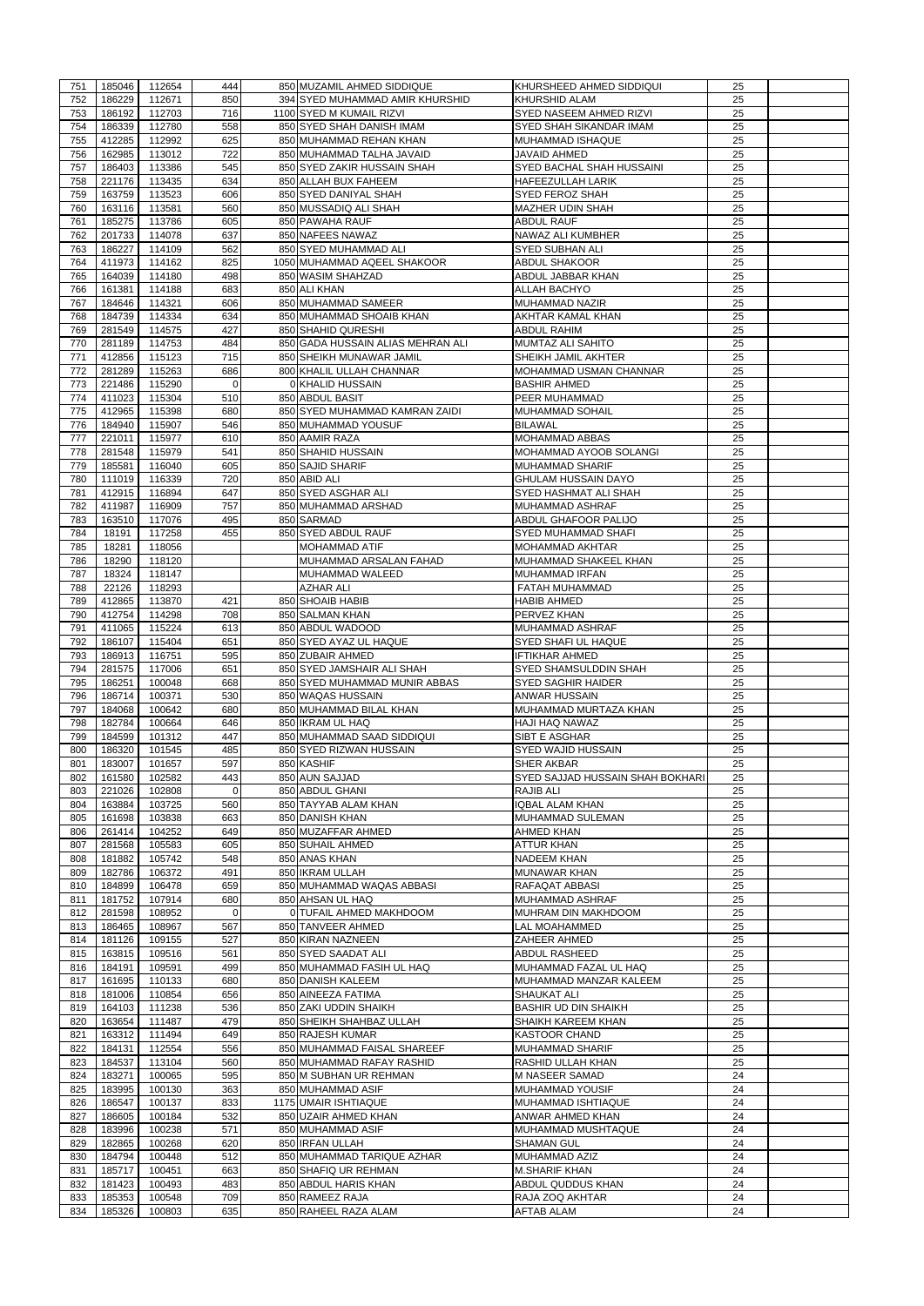| 751<br>752 | 185046           | 112654           | 444         | 850 MUZAMIL AHMED SIDDIQUE              | KHURSHEED AHMED SIDDIQUI         | 25       |  |
|------------|------------------|------------------|-------------|-----------------------------------------|----------------------------------|----------|--|
|            |                  |                  |             |                                         |                                  |          |  |
|            | 186229           | 112671           | 850         | 394 SYED MUHAMMAD AMIR KHURSHID         | <b>KHURSHID ALAM</b>             | 25       |  |
| 753        | 186192           | 112703           | 716         | 1100 SYED M KUMAIL RIZVI                | SYED NASEEM AHMED RIZVI          | 25       |  |
| 754        | 186339           | 112780           | 558         | 850 SYED SHAH DANISH IMAM               | SYED SHAH SIKANDAR IMAM          | 25       |  |
| 755        | 412285           | 112992           | 625         | 850 MUHAMMAD REHAN KHAN                 | MUHAMMAD ISHAQUE                 | 25       |  |
| 756        | 162985           | 113012           | 722         | 850 MUHAMMAD TALHA JAVAID               | <b>JAVAID AHMED</b>              | 25       |  |
| 757        | 186403           | 113386           | 545         | 850 SYED ZAKIR HUSSAIN SHAH             | SYED BACHAL SHAH HUSSAINI        | 25       |  |
|            |                  |                  | 634         |                                         |                                  |          |  |
| 758        | 221176           | 113435           |             | 850 ALLAH BUX FAHEEM                    | HAFEEZULLAH LARIK                | 25       |  |
| 759        | 163759           | 113523           | 606         | 850 SYED DANIYAL SHAH                   | SYED FEROZ SHAH                  | 25       |  |
| 760        | 163116           | 113581           | 560         | 850 MUSSADIQ ALI SHAH                   | MAZHER UDIN SHAH                 | 25       |  |
| 761        | 185275           | 113786           | 605         | 850 PAWAHA RAUF                         | <b>ABDUL RAUF</b>                | 25       |  |
| 762        | 201733           | 114078           | 637         | 850 NAFEES NAWAZ                        | NAWAZ ALI KUMBHER                | 25       |  |
| 763        | 186227           | 114109           | 562         | 850 SYED MUHAMMAD ALI                   | <b>SYED SUBHAN ALI</b>           | 25       |  |
| 764        | 411973           | 114162           | 825         | 1050 MUHAMMAD AQEEL SHAKOOR             | <b>ABDUL SHAKOOR</b>             | 25       |  |
|            |                  |                  |             |                                         |                                  |          |  |
| 765        | 164039           | 114180           | 498         | 850 WASIM SHAHZAD                       | ABDUL JABBAR KHAN                | 25       |  |
| 766        | 161381           | 114188           | 683         | 850 ALI KHAN                            | ALLAH BACHYO                     | 25       |  |
| 767        | 184646           | 114321           | 606         | 850 MUHAMMAD SAMEER                     | MUHAMMAD NAZIR                   | 25       |  |
| 768        | 184739           | 114334           | 634         | 850 MUHAMMAD SHOAIB KHAN                | AKHTAR KAMAL KHAN                | 25       |  |
| 769        | 281549           | 114575           | 427         | 850 SHAHID QURESHI                      | <b>ABDUL RAHIM</b>               | 25       |  |
| 770        | 281189           | 114753           | 484         | 850 GADA HUSSAIN ALIAS MEHRAN ALI       | MUMTAZ ALI SAHITO                | 25       |  |
|            |                  |                  |             |                                         |                                  |          |  |
| 771        | 412856           | 115123           | 715         | 850 SHEIKH MUNAWAR JAMIL                | SHEIKH JAMIL AKHTER              | 25       |  |
| 772        | 281289           | 115263           | 686         | 800 KHALIL ULLAH CHANNAR                | MOHAMMAD USMAN CHANNAR           | 25       |  |
| 773        | 221486           | 115290           | $\mathbf 0$ | 0 KHALID HUSSAIN                        | <b>BASHIR AHMED</b>              | 25       |  |
| 774        | 411023           | 115304           | 510         | 850 ABDUL BASIT                         | PEER MUHAMMAD                    | 25       |  |
| 775        | 412965           | 115398           | 680         | 850 SYED MUHAMMAD KAMRAN ZAIDI          | MUHAMMAD SOHAIL                  | 25       |  |
| 776        | 184940           | 115907           | 546         | 850 MUHAMMAD YOUSUF                     | <b>BILAWAL</b>                   | 25       |  |
|            |                  |                  |             |                                         |                                  |          |  |
| 777        | 221011           | 115977           | 610         | 850 AAMIR RAZA                          | MOHAMMAD ABBAS                   | 25       |  |
| 778        | 281548           | 115979           | 541         | 850 SHAHID HUSSAIN                      | MOHAMMAD AYOOB SOLANGI           | 25       |  |
| 779        | 185581           | 116040           | 605         | 850 SAJID SHARIF                        | MUHAMMAD SHARIF                  | 25       |  |
| 780        | 111019           | 116339           | 720         | 850 ABID ALI                            | <b>GHULAM HUSSAIN DAYO</b>       | 25       |  |
| 781        | 412915           | 116894           | 647         | 850 SYED ASGHAR ALI                     | SYED HASHMAT ALI SHAH            | 25       |  |
| 782        | 411987           | 116909           | 757         | 850 MUHAMMAD ARSHAD                     | <b>MUHAMMAD ASHRAF</b>           | 25       |  |
| 783        | 163510           | 117076           | 495         | 850 SARMAD                              | ABDUL GHAFOOR PALIJO             | 25       |  |
|            |                  |                  |             |                                         |                                  |          |  |
| 784        | 18191            | 117258           | 455         | 850 SYED ABDUL RAUF                     | SYED MUHAMMAD SHAFI              | 25       |  |
| 785        | 18281            | 118056           |             | <b>MOHAMMAD ATIF</b>                    | MOHAMMAD AKHTAR                  | 25       |  |
| 786        | 18290            | 118120           |             | MUHAMMAD ARSALAN FAHAD                  | MUHAMMAD SHAKEEL KHAN            | 25       |  |
| 787        | 18324            | 118147           |             | MUHAMMAD WALEED                         | <b>MUHAMMAD IRFAN</b>            | 25       |  |
| 788        | 22126            | 118293           |             | <b>AZHAR ALI</b>                        | FATAH MUHAMMAD                   | 25       |  |
| 789        | 412865           | 113870           | 421         | 850 SHOAIB HABIB                        | <b>HABIB AHMED</b>               | 25       |  |
|            |                  |                  |             |                                         |                                  |          |  |
| 790        | 412754           | 114298           | 708         | 850 SALMAN KHAN                         | PERVEZ KHAN                      | 25       |  |
| 791        | 411065           | 115224           | 613         | 850 ABDUL WADOOD                        | MUHAMMAD ASHRAF                  | 25       |  |
| 792        | 186107           | 115404           | 651         | 850 SYED AYAZ UL HAQUE                  | SYED SHAFI UL HAQUE              | 25       |  |
| 793        | 186913           | 116751           | 595         | 850 ZUBAIR AHMED                        | <b>IFTIKHAR AHMED</b>            | 25       |  |
| 794        | 281575           | 117006           | 651         | 850 SYED JAMSHAIR ALI SHAH              | SYED SHAMSULDDIN SHAH            | 25       |  |
| 795        | 186251           | 100048           | 668         | 850 SYED MUHAMMAD MUNIR ABBAS           | <b>SYED SAGHIR HAIDER</b>        | 25       |  |
|            |                  |                  |             |                                         |                                  |          |  |
| 796        | 186714           | 100371           | 530         | 850 WAQAS HUSSAIN                       | <b>ANWAR HUSSAIN</b>             | 25       |  |
| 797        | 184068           | 100642           | 680         | 850 MUHAMMAD BILAL KHAN                 | MUHAMMAD MURTAZA KHAN            | 25       |  |
| 798        | 182784           | 100664           | 646         | 850 IKRAM UL HAQ                        | <b>HAJI HAQ NAWAZ</b>            | 25       |  |
| 799        | 184599           | 101312           |             | 850 MUHAMMAD SAAD SIDDIQUI              | SIBT E ASGHAR                    |          |  |
|            |                  |                  | 447         |                                         |                                  | 25       |  |
|            |                  |                  |             |                                         |                                  |          |  |
| 800        | 186320           | 101545           | 485         | 850 SYED RIZWAN HUSSAIN                 | SYED WAJID HUSSAIN               | 25       |  |
| 801        | 183007           | 101657           | 597         | 850 KASHIF                              | <b>SHER AKBAR</b>                | 25       |  |
| 802        | 161580           | 102582           | 443         | 850 AUN SAJJAD                          | SYED SAJJAD HUSSAIN SHAH BOKHARI | 25       |  |
| 803        | 221026           | 102808           | 0           | 850 ABDUL GHANI                         | <b>RAJIB ALI</b>                 | 25       |  |
| 804        | 163884           | 103725           | 560         | 850 TAYYAB ALAM KHAN                    | <b>IQBAL ALAM KHAN</b>           | 25       |  |
| 805        | 161698           | 103838           | 663         | 850 DANISH KHAN                         | MUHAMMAD SULEMAN                 | 25       |  |
| 806        | 261414           | 104252           | 649         | 850 MUZAFFAR AHMED                      | AHMED KHAN                       | 25       |  |
|            |                  |                  | 605         |                                         |                                  |          |  |
| 807        | 281568           | 105583           |             | 850 SUHAIL AHMED                        | <b>ATTUR KHAN</b>                | 25       |  |
| 808        | 181882           | 105742           | 548         | 850 ANAS KHAN                           | <b>NADEEM KHAN</b>               | 25       |  |
| 809        | 182786           | 106372           | 491         | 850 IKRAM ULLAH                         | <b>MUNAWAR KHAN</b>              | 25       |  |
| 810        | 184899           | 106478           | 659         | 850 MUHAMMAD WAQAS ABBASI               | RAFAQAT ABBASI                   | 25       |  |
| 811        | 181752           | 107914           | 680         | 850 AHSAN UL HAQ                        | MUHAMMAD ASHRAF                  | 25       |  |
| 812        | 281598           | 108952           | $\Omega$    | 0 TUFAIL AHMED MAKHDOOM                 | MUHRAM DIN MAKHDOOM              | 25       |  |
| 813        | 186465           | 108967           | 567         | 850 TANVEER AHMED                       | LAL MOAHAMMED                    | 25       |  |
|            |                  |                  |             |                                         | ZAHEER AHMED                     |          |  |
| 814        | 181126           | 109155           | 527         | 850 KIRAN NAZNEEN                       |                                  | 25       |  |
| 815        | 163815           | 109516           | 561         | 850 SYED SAADAT ALI                     | ABDUL RASHEED                    | 25       |  |
| 816        | 184191           | 109591           | 499         | 850 MUHAMMAD FASIH UL HAQ               | MUHAMMAD FAZAL UL HAQ            | 25       |  |
| 817        | 161695           | 110133           | 680         | 850 DANISH KALEEM                       | MUHAMMAD MANZAR KALEEM           | 25       |  |
| 818        | 181006           | 110854           | 656         | 850 AINEEZA FATIMA                      | SHAUKAT ALI                      | 25       |  |
| 819        | 164103           | 111238           | 536         | 850 ZAKI UDDIN SHAIKH                   | <b>BASHIR UD DIN SHAIKH</b>      | 25       |  |
| 820        | 163654           | 111487           | 479         | 850 SHEIKH SHAHBAZ ULLAH                | SHAIKH KAREEM KHAN               | 25       |  |
|            |                  |                  |             |                                         |                                  |          |  |
| 821        | 163312           | 111494           | 649         | 850 RAJESH KUMAR                        | KASTOOR CHAND                    | 25       |  |
| 822        | 184131           | 112554           | 556         | 850 MUHAMMAD FAISAL SHAREEF             | MUHAMMAD SHARIF                  | 25       |  |
| 823        | 184537           | 113104           | 560         | 850 MUHAMMAD RAFAY RASHID               | RASHID ULLAH KHAN                | 25       |  |
| 824        | 183271           | 100065           | 595         | 850 M SUBHAN UR REHMAN                  | <b>M NASEER SAMAD</b>            | 24       |  |
| 825        | 183995           | 100130           | 363         | 850 MUHAMMAD ASIF                       | <b>MUHAMMAD YOUSIF</b>           | 24       |  |
| 826        | 186547           | 100137           | 833         | 1175 UMAIR ISHTIAQUE                    | MUHAMMAD ISHTIAQUE               | 24       |  |
| 827        | 186605           | 100184           | 532         | 850 UZAIR AHMED KHAN                    | ANWAR AHMED KHAN                 | 24       |  |
|            |                  |                  |             |                                         |                                  |          |  |
| 828        | 183996           | 100238           | 571         | 850 MUHAMMAD ASIF                       | MUHAMMAD MUSHTAQUE               | 24       |  |
| 829        | 182865           | 100268           | 620         | 850 IRFAN ULLAH                         | <b>SHAMAN GUL</b>                | 24       |  |
| 830        | 184794           | 100448           | 512         | 850 MUHAMMAD TARIQUE AZHAR              | MUHAMMAD AZIZ                    | 24       |  |
| 831        | 185717           | 100451           | 663         | 850 SHAFIQ UR REHMAN                    | <b>M.SHARIF KHAN</b>             | 24       |  |
| 832        | 181423           | 100493           | 483         | 850 ABDUL HARIS KHAN                    | ABDUL QUDDUS KHAN                | 24       |  |
|            |                  |                  |             |                                         |                                  |          |  |
| 833<br>834 | 185353<br>185326 | 100548<br>100803 | 709<br>635  | 850 RAMEEZ RAJA<br>850 RAHEEL RAZA ALAM | RAJA ZOQ AKHTAR<br>AFTAB ALAM    | 24<br>24 |  |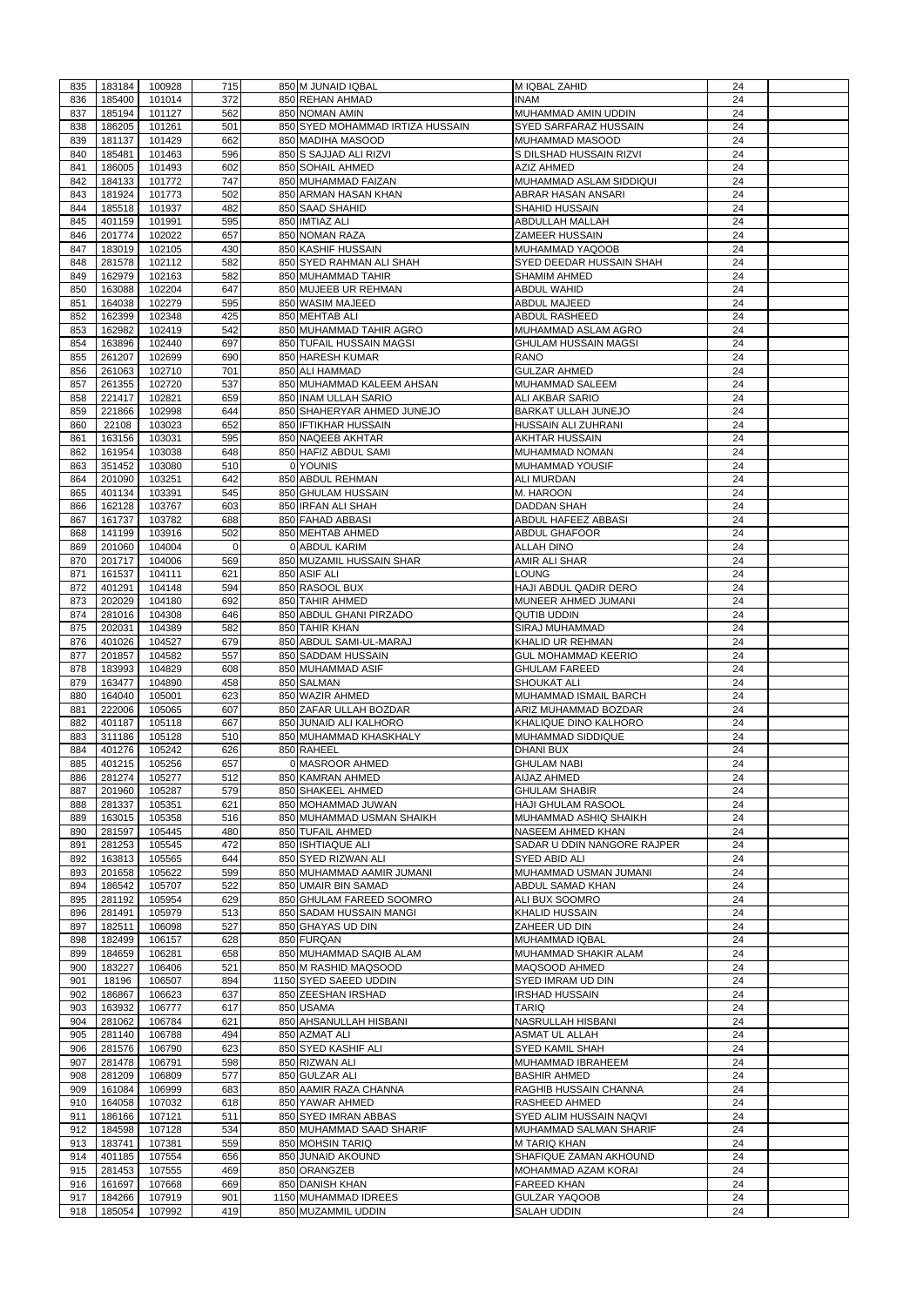| 835        | 183184           | 100928           | 715        | 850 M JUNAID IQBAL               | M IQBAL ZAHID               | 24 |  |
|------------|------------------|------------------|------------|----------------------------------|-----------------------------|----|--|
| 836        | 185400           | 101014           | 372        | 850 REHAN AHMAD                  | <b>INAM</b>                 | 24 |  |
| 837        | 185194           | 101127           | 562        | 850 NOMAN AMIN                   | MUHAMMAD AMIN UDDIN         | 24 |  |
| 838        | 186205           | 101261           | 501        | 850 SYED MOHAMMAD IRTIZA HUSSAIN | SYED SARFARAZ HUSSAIN       | 24 |  |
| 839        | 181137           | 101429           | 662        | 850 MADIHA MASOOD                | MUHAMMAD MASOOD             | 24 |  |
| 840        | 185481           | 101463           | 596        | 850 S SAJJAD ALI RIZVI           | S DILSHAD HUSSAIN RIZVI     | 24 |  |
| 841        | 186005           | 101493           | 602        | 850 SOHAIL AHMED                 | AZIZ AHMED                  | 24 |  |
| 842        | 184133           | 101772           | 747        | 850 MUHAMMAD FAIZAN              | MUHAMMAD ASLAM SIDDIQUI     | 24 |  |
| 843        | 181924           | 101773           | 502        | 850 ARMAN HASAN KHAN             | ABRAR HASAN ANSARI          | 24 |  |
| 844        | 185518           | 101937           | 482        | 850 SAAD SHAHID                  | <b>SHAHID HUSSAIN</b>       | 24 |  |
| 845        | 401159           | 101991           | 595        | 850 IMTIAZ ALI                   | ABDULLAH MALLAH             | 24 |  |
| 846        | 201774           | 102022           | 657        | 850 NOMAN RAZA                   | <b>ZAMEER HUSSAIN</b>       | 24 |  |
| 847        | 183019           | 102105           | 430        | 850 KASHIF HUSSAIN               | MUHAMMAD YAQOOB             | 24 |  |
| 848        | 281578           | 102112           | 582        | 850 SYED RAHMAN ALI SHAH         | SYED DEEDAR HUSSAIN SHAH    | 24 |  |
| 849        | 162979           | 102163           | 582        | 850 MUHAMMAD TAHIR               | <b>SHAMIM AHMED</b>         | 24 |  |
| 850        | 163088           | 102204           | 647        | 850 MUJEEB UR REHMAN             | <b>ABDUL WAHID</b>          | 24 |  |
| 851        | 164038           | 102279           | 595        | 850 WASIM MAJEED                 | <b>ABDUL MAJEED</b>         | 24 |  |
| 852        | 162399           | 102348           | 425        | 850 MEHTAB ALI                   | <b>ABDUL RASHEED</b>        | 24 |  |
| 853        | 162982           | 102419           | 542        | 850 MUHAMMAD TAHIR AGRO          | MUHAMMAD ASLAM AGRO         | 24 |  |
| 854        | 163896           | 102440           | 697        | 850 TUFAIL HUSSAIN MAGSI         | <b>GHULAM HUSSAIN MAGSI</b> | 24 |  |
| 855        | 261207           | 102699           | 690        | 850 HARESH KUMAR                 | <b>RANO</b>                 | 24 |  |
| 856        | 261063           | 102710           | 701        | 850 ALI HAMMAD                   | <b>GULZAR AHMED</b>         | 24 |  |
| 857        | 261355           | 102720           | 537        | 850 MUHAMMAD KALEEM AHSAN        | MUHAMMAD SALEEM             | 24 |  |
| 858        | 221417           | 102821           | 659        | 850 INAM ULLAH SARIO             | ALI AKBAR SARIO             | 24 |  |
| 859        | 221866           | 102998           | 644        | 850 SHAHERYAR AHMED JUNEJO       | BARKAT ULLAH JUNEJO         | 24 |  |
| 860        | 22108            | 103023           | 652        | 850 IFTIKHAR HUSSAIN             | HUSSAIN ALI ZUHRANI         | 24 |  |
| 861        | 163156           | 103031           | 595        | 850 NAQEEB AKHTAR                | AKHTAR HUSSAIN              | 24 |  |
| 862        | 161954           | 103038           | 648        | 850 HAFIZ ABDUL SAMI             | MUHAMMAD NOMAN              | 24 |  |
| 863        | 351452           | 103080           | 510        | 0 YOUNIS                         | MUHAMMAD YOUSIF             | 24 |  |
| 864        | 201090           | 103251           | 642        | 850 ABDUL REHMAN                 | <b>ALI MURDAN</b>           | 24 |  |
| 865        | 401134           | 103391           | 545        | 850 GHULAM HUSSAIN               | M. HAROON                   | 24 |  |
| 866        | 162128           | 103767           | 603        | 850 IRFAN ALI SHAH               | <b>DADDAN SHAH</b>          | 24 |  |
| 867        | 161737           | 103782           | 688        | 850 FAHAD ABBASI                 | ABDUL HAFEEZ ABBASI         | 24 |  |
| 868        | 141199           | 103916           | 502        | 850 MEHTAB AHMED                 | <b>ABDUL GHAFOOR</b>        | 24 |  |
| 869        | 201060           | 104004           | 0          | 0 ABDUL KARIM                    | <b>ALLAH DINO</b>           | 24 |  |
| 870        | 201717           | 104006           | 569        | 850 MUZAMIL HUSSAIN SHAR         | <b>AMIR ALI SHAR</b>        | 24 |  |
| 871        | 161537           | 104111           | 621        | 850 ASIF ALI                     | <b>LOUNG</b>                | 24 |  |
| 872        | 401291           | 104148           | 594        | 850 RASOOL BUX                   | HAJI ABDUL QADIR DERO       | 24 |  |
| 873        | 202029           | 104180           | 692        | 850 TAHIR AHMED                  | MUNEER AHMED JUMANI         | 24 |  |
| 874        | 281016           | 104308           | 646        | 850 ABDUL GHANI PIRZADO          | <b>QUTIB UDDIN</b>          | 24 |  |
| 875        | 202031           | 104389           | 582        | 850 TAHIR KHAN                   | SIRAJ MUHAMMAD              | 24 |  |
| 876        | 401026           | 104527           | 679        | 850 ABDUL SAMI-UL-MARAJ          | KHALID UR REHMAN            | 24 |  |
| 877        | 201857           | 104582           | 557        | 850 SADDAM HUSSAIN               | <b>GUL MOHAMMAD KEERIO</b>  | 24 |  |
| 878        | 183993           | 104829           | 608        | 850 MUHAMMAD ASIF                | <b>GHULAM FAREED</b>        | 24 |  |
| 879        | 163477           | 104890           | 458        | 850 SALMAN                       | <b>SHOUKAT ALI</b>          | 24 |  |
| 880        | 164040           | 105001           | 623        | 850 WAZIR AHMED                  | MUHAMMAD ISMAIL BARCH       | 24 |  |
| 881        | 222006           | 105065           | 607        | 850 ZAFAR ULLAH BOZDAR           | ARIZ MUHAMMAD BOZDAR        | 24 |  |
| 882        | 401187           | 105118           | 667        | 850 JUNAID ALI KALHORO           | KHALIQUE DINO KALHORO       | 24 |  |
| 883        | 311186           | 105128           | 510        | 850 MUHAMMAD KHASKHALY           | MUHAMMAD SIDDIQUE           | 24 |  |
| 884        | 401276           | 105242           | 626        | 850 RAHEEL                       | <b>DHANI BUX</b>            | 24 |  |
| 885        | 401215           | 105256           | 657        | 0 MASROOR AHMED                  | <b>GHULAM NABI</b>          | 24 |  |
| 886        | 281274           | 105277           | 512        | 850 KAMRAN AHMED                 | AIJAZ AHMED                 | 24 |  |
| 887        | 201960           | 105287           | 579        | 850 SHAKEEL AHMED                | <b>GHULAM SHABIR</b>        | 24 |  |
| 888        | 281337           | 105351           | 621        | 850 MOHAMMAD JUWAN               | HAJI GHULAM RASOOL          | 24 |  |
| 889        | 163015           | 105358           | 516        | 850 MUHAMMAD USMAN SHAIKH        | MUHAMMAD ASHIQ SHAIKH       | 24 |  |
| 890        | 281597           | 105445           | 480        | 850 TUFAIL AHMED                 | NASEEM AHMED KHAN           | 24 |  |
| 891        | 281253           | 105545           | 472        | 850 ISHTIAQUE ALI                | SADAR U DDIN NANGORE RAJPER | 24 |  |
| 892        | 163813           | 105565           | 644        | 850 SYED RIZWAN ALI              | SYED ABID ALI               | 24 |  |
| 893        | 201658           | 105622           | 599        | 850 MUHAMMAD AAMIR JUMANI        | MUHAMMAD USMAN JUMANI       | 24 |  |
| 894        | 186542           | 105707           | 522        | 850 UMAIR BIN SAMAD              | ABDUL SAMAD KHAN            | 24 |  |
| 895        | 281192           | 105954           | 629        | 850 GHULAM FAREED SOOMRO         | ALI BUX SOOMRO              | 24 |  |
| 896        | 281491           | 105979           | 513        | 850 SADAM HUSSAIN MANGI          | <b>KHALID HUSSAIN</b>       | 24 |  |
| 897        | 182511           | 106098           | 527        | 850 GHAYAS UD DIN                | ZAHEER UD DIN               | 24 |  |
| 898        | 182499           | 106157           | 628        | 850 FURQAN                       | MUHAMMAD IQBAL              | 24 |  |
| 899        | 184659           | 106281           | 658        | 850 MUHAMMAD SAQIB ALAM          | MUHAMMAD SHAKIR ALAM        | 24 |  |
| 900        | 183227           | 106406           | 521        | 850 M RASHID MAQSOOD             | <b>MAQSOOD AHMED</b>        | 24 |  |
| 901        | 18196            | 106507           | 894        | 1150 SYED SAEED UDDIN            | SYED IMRAM UD DIN           | 24 |  |
| 902        | 186867           | 106623           | 637        | 850 ZEESHAN IRSHAD               | <b>IRSHAD HUSSAIN</b>       | 24 |  |
| 903        | 163932           | 106777           | 617        | 850 USAMA                        | <b>TARIQ</b>                | 24 |  |
| 904        | 281062           | 106784           | 621        | 850 AHSANULLAH HISBANI           | NASRULLAH HISBANI           | 24 |  |
| 905        |                  | 106788           | 494        | 850 AZMAT ALI                    | <b>ASMAT UL ALLAH</b>       | 24 |  |
|            | 281140<br>281576 |                  |            | 850 SYED KASHIF ALI              | <b>SYED KAMIL SHAH</b>      |    |  |
| 906<br>907 | 281478           | 106790<br>106791 | 623<br>598 | 850 RIZWAN ALI                   | MUHAMMAD IBRAHEEM           | 24 |  |
|            |                  |                  |            |                                  |                             | 24 |  |
| 908        | 281209           | 106809           | 577        | 850 GULZAR ALI                   | <b>BASHIR AHMED</b>         | 24 |  |
| 909        | 161084           | 106999           | 683        | 850 AAMIR RAZA CHANNA            | RAGHIB HUSSAIN CHANNA       | 24 |  |
| 910        | 164058           | 107032           | 618        | 850 YAWAR AHMED                  | RASHEED AHMED               | 24 |  |
| 911        | 186166           | 107121           | 511        | 850 SYED IMRAN ABBAS             | SYED ALIM HUSSAIN NAQVI     | 24 |  |
| 912        | 184598           | 107128           | 534        | 850 MUHAMMAD SAAD SHARIF         | MUHAMMAD SALMAN SHARIF      | 24 |  |
| 913        | 183741           | 107381           | 559        | 850 MOHSIN TARIQ                 | <b>M TARIO KHAN</b>         | 24 |  |
| 914        | 401185           | 107554           | 656        | 850 JUNAID AKOUND                | SHAFIQUE ZAMAN AKHOUND      | 24 |  |
| 915        | 281453           | 107555           | 469        | 850 ORANGZEB                     | MOHAMMAD AZAM KORAI         | 24 |  |
| 916        | 161697           | 107668           | 669        | 850 DANISH KHAN                  | <b>FAREED KHAN</b>          | 24 |  |
| 917        | 184266           | 107919           | 901        | 1150 MUHAMMAD IDREES             | <b>GULZAR YAQOOB</b>        | 24 |  |
| 918        | 185054           | 107992           | 419        | 850 MUZAMMIL UDDIN               | SALAH UDDIN                 | 24 |  |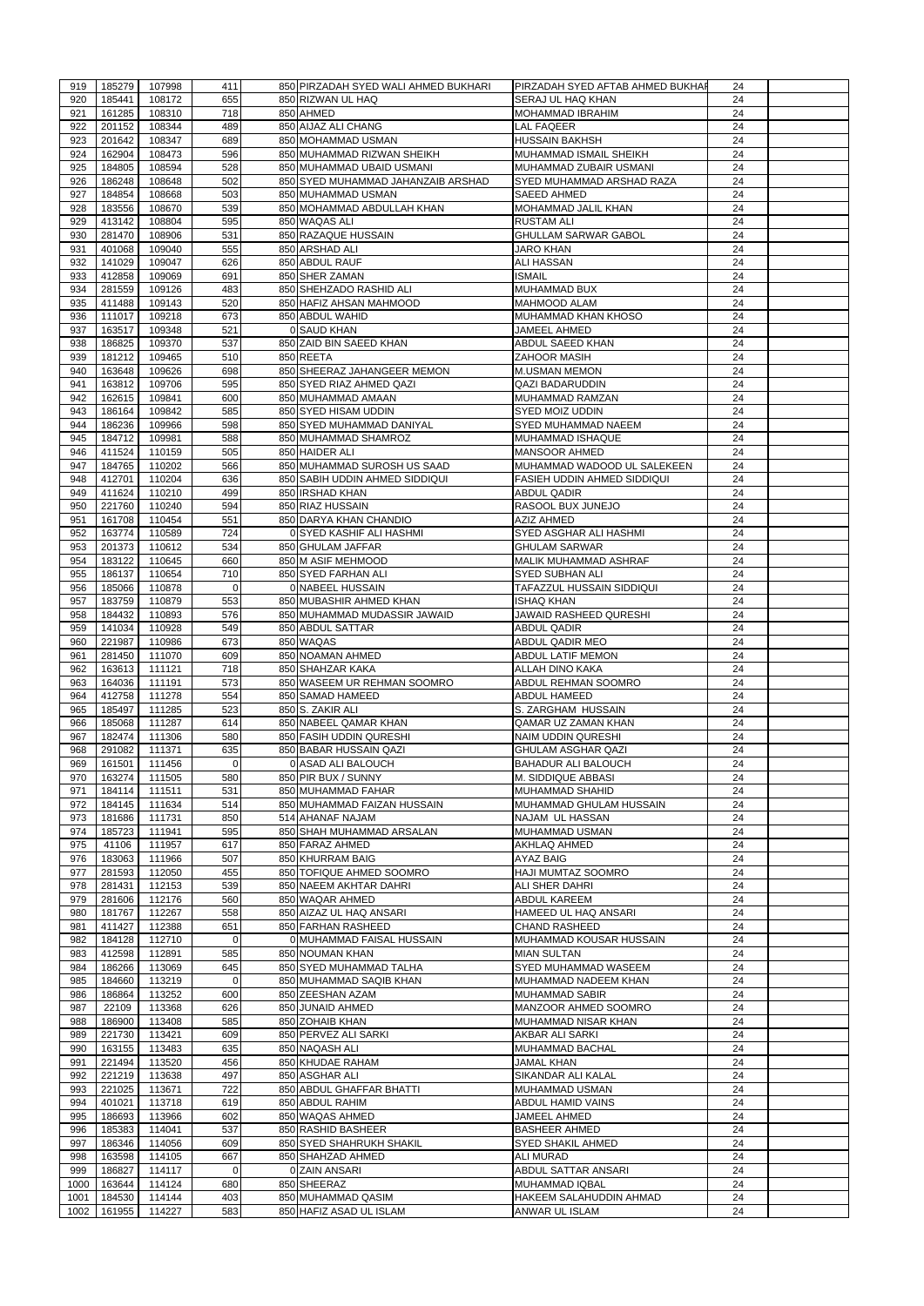| 919          | 185279           | 107998           | 411             | 850 PIRZADAH SYED WALI AHMED BUKHARI          | PIRZADAH SYED AFTAB AHMED BUKHAF                 | 24       |  |
|--------------|------------------|------------------|-----------------|-----------------------------------------------|--------------------------------------------------|----------|--|
| 920          | 185441           | 108172           | 655             | 850 RIZWAN UL HAQ                             | <b>SERAJ UL HAQ KHAN</b>                         | 24       |  |
| 921          | 161285           | 108310           | 718             | 850 AHMED                                     | <b>MOHAMMAD IBRAHIM</b>                          | 24       |  |
| 922          | 201152           | 108344           | 489             | 850 AIJAZ ALI CHANG                           | LAL FAQEER                                       | 24       |  |
| 923          | 201642           | 108347           | 689             | 850 MOHAMMAD USMAN                            | <b>HUSSAIN BAKHSH</b>                            | 24       |  |
| 924          | 162904           | 108473           | 596             | 850 MUHAMMAD RIZWAN SHEIKH                    | MUHAMMAD ISMAIL SHEIKH                           | 24       |  |
| 925          | 184805           | 108594           | 528             | 850 MUHAMMAD UBAID USMANI                     | MUHAMMAD ZUBAIR USMANI                           | 24       |  |
| 926          | 186248           | 108648           | 502             | 850 SYED MUHAMMAD JAHANZAIB ARSHAD            | SYED MUHAMMAD ARSHAD RAZA                        | 24       |  |
| 927          | 184854           | 108668           | 503<br>539      | 850 MUHAMMAD USMAN                            | <b>SAEED AHMED</b><br><b>MOHAMMAD JALIL KHAN</b> | 24<br>24 |  |
| 928<br>929   | 183556<br>413142 | 108670<br>108804 | 595             | 850 MOHAMMAD ABDULLAH KHAN<br>850 WAQAS ALI   | <b>RUSTAM ALI</b>                                | 24       |  |
| 930          | 281470           | 108906           | 531             | 850 RAZAQUE HUSSAIN                           | <b>GHULLAM SARWAR GABOL</b>                      | 24       |  |
| 931          | 401068           | 109040           | 555             | 850 ARSHAD ALI                                | <b>JARO KHAN</b>                                 | 24       |  |
| 932          | 141029           | 109047           | 626             | 850 ABDUL RAUF                                | <b>ALI HASSAN</b>                                | 24       |  |
| 933          | 412858           | 109069           | 691             | 850 SHER ZAMAN                                | <b>ISMAIL</b>                                    | 24       |  |
| 934          | 281559           | 109126           | 483             | 850 SHEHZADO RASHID ALI                       | MUHAMMAD BUX                                     | 24       |  |
| 935          | 411488           | 109143           | 520             | 850 HAFIZ AHSAN MAHMOOD                       | <b>MAHMOOD ALAM</b>                              | 24       |  |
| 936          | 111017           | 109218           | 673             | 850 ABDUL WAHID                               | MUHAMMAD KHAN KHOSO                              | 24       |  |
| 937          | 163517           | 109348           | 521             | 0 SAUD KHAN                                   | JAMEEL AHMED                                     | 24       |  |
| 938          | 186825           | 109370           | 537             | 850 ZAID BIN SAEED KHAN                       | ABDUL SAEED KHAN                                 | 24       |  |
| 939          | 181212           | 109465           | 510             | 850 REETA                                     | <b>ZAHOOR MASIH</b>                              | 24       |  |
| 940          | 163648           | 109626           | 698             | 850 SHEERAZ JAHANGEER MEMON                   | <b>M.USMAN MEMON</b>                             | 24       |  |
| 941          | 163812           | 109706           | 595             | 850 SYED RIAZ AHMED QAZI                      | <b>QAZI BADARUDDIN</b>                           | 24       |  |
| 942          | 162615           | 109841           | 600             | 850 MUHAMMAD AMAAN                            | MUHAMMAD RAMZAN                                  | 24       |  |
| 943          | 186164           | 109842           | 585             | 850 SYED HISAM UDDIN                          | <b>SYED MOIZ UDDIN</b>                           | 24       |  |
| 944          | 186236           | 109966           | 598             | 850 SYED MUHAMMAD DANIYAL                     | <b>SYED MUHAMMAD NAEEM</b>                       | 24       |  |
| 945          | 184712           | 109981           | 588             | 850 MUHAMMAD SHAMROZ                          | <b>MUHAMMAD ISHAQUE</b>                          | 24       |  |
| 946          | 411524           | 110159           | 505             | 850 HAIDER ALI                                | <b>MANSOOR AHMED</b>                             | 24       |  |
| 947          | 184765           | 110202           | 566             | 850 MUHAMMAD SUROSH US SAAD                   | MUHAMMAD WADOOD UL SALEKEEN                      | 24       |  |
| 948          | 412701           | 110204           | 636             | 850 SABIH UDDIN AHMED SIDDIQUI                | <b>FASIEH UDDIN AHMED SIDDIQUI</b>               | 24       |  |
| 949          | 411624           | 110210           | 499             | 850 IRSHAD KHAN                               | <b>ABDUL QADIR</b>                               | 24       |  |
| 950          | 221760           | 110240           | 594             | 850 RIAZ HUSSAIN                              | RASOOL BUX JUNEJO                                | 24       |  |
| 951          | 161708           | 110454           | 551             | 850 DARYA KHAN CHANDIO                        | <b>AZIZ AHMED</b>                                | 24       |  |
| 952          | 163774           | 110589           | 724             | 0 SYED KASHIF ALI HASHMI                      | SYED ASGHAR ALI HASHMI                           | 24       |  |
| 953          | 201373           | 110612           | 534             | 850 GHULAM JAFFAR                             | <b>GHULAM SARWAR</b>                             | 24       |  |
| 954          | 183122           | 110645           | 660             | 850 M ASIF MEHMOOD                            | <b>MALIK MUHAMMAD ASHRAF</b>                     | 24       |  |
| 955          | 186137           | 110654           | 710             | 850 SYED FARHAN ALI                           | <b>SYED SUBHAN ALI</b>                           | 24       |  |
| 956          | 185066           | 110878           | $\Omega$        | 0 NABEEL HUSSAIN                              | <b>TAFAZZUL HUSSAIN SIDDIQUI</b>                 | 24       |  |
| 957          | 183759           | 110879           | 553             | 850 MUBASHIR AHMED KHAN                       | <b>ISHAQ KHAN</b>                                | 24       |  |
| 958          | 184432           | 110893           | 576             | 850 MUHAMMAD MUDASSIR JAWAID                  | <b>JAWAID RASHEED QURESHI</b>                    | 24       |  |
| 959          | 141034           | 110928           | 549             | 850 ABDUL SATTAR                              | <b>ABDUL QADIR</b>                               | 24       |  |
| 960          | 221987           | 110986           | 673             | 850 WAQAS                                     | <b>ABDUL QADIR MEO</b>                           | 24       |  |
| 961          | 281450           | 111070           | 609             | 850 NOAMAN AHMED                              | <b>ABDUL LATIF MEMON</b>                         | 24       |  |
| 962          | 163613           | 111121           | 718             | 850 SHAHZAR KAKA                              | <b>ALLAH DINO KAKA</b>                           | 24       |  |
|              |                  |                  |                 |                                               |                                                  |          |  |
| 963          | 164036           | 111191           | 573             | 850 WASEEM UR REHMAN SOOMRO                   | <b>ABDUL REHMAN SOOMRO</b>                       | 24       |  |
| 964          | 412758           | 111278           | 554             | 850 SAMAD HAMEED                              | <b>ABDUL HAMEED</b>                              | 24       |  |
| 965          | 185497           | 111285           | 523             | 850 S. ZAKIR ALI                              | S. ZARGHAM HUSSAIN                               | 24       |  |
| 966          | 185068           | 111287           | 614             | 850 NABEEL QAMAR KHAN                         | QAMAR UZ ZAMAN KHAN                              | 24       |  |
| 967          | 182474           | 111306           | 580             | 850 FASIH UDDIN QURESHI                       | <b>NAIM UDDIN QURESHI</b>                        | 24       |  |
| 968          | 291082           | 111371           | 635             | 850 BABAR HUSSAIN QAZI                        | <b>GHULAM ASGHAR QAZI</b>                        | 24       |  |
| 969          | 161501           | 111456           | $\Omega$        | 0 ASAD ALI BALOUCH                            | <b>BAHADUR ALI BALOUCH</b>                       | 24       |  |
| 970          | 163274           | 111505           | 580             | 850 PIR BUX / SUNNY                           | M. SIDDIQUE ABBASI                               | 24       |  |
| 971          | 184114           | 111511           | 531             | 850 MUHAMMAD FAHAR                            | <b>MUHAMMAD SHAHID</b>                           | 24       |  |
| 972          | 184145           | 111634           | 514             | 850 MUHAMMAD FAIZAN HUSSAIN                   | MUHAMMAD GHULAM HUSSAIN                          | 24       |  |
| 973          | 181686           | 111731           | 850             | 514 AHANAF NAJAM                              | NAJAM UL HASSAN                                  | 24       |  |
| 974          | 185723           | 111941           | 595             | 850 SHAH MUHAMMAD ARSALAN                     | <b>MUHAMMAD USMAN</b>                            | 24       |  |
| 975          | 41106            | 111957           | 617             | 850 FARAZ AHMED                               | <b>AKHLAQ AHMED</b>                              | 24       |  |
| 976          | 183063           | 111966           | 507             | 850 KHURRAM BAIG                              | <b>AYAZ BAIG</b>                                 | 24       |  |
| 977          | 281593           | 112050           | 455             | 850 TOFIQUE AHMED SOOMRO                      | HAJI MUMTAZ SOOMRO                               | 24       |  |
| 978          | 281431           | 112153           | 539             | 850 NAEEM AKHTAR DAHRI                        | <b>ALI SHER DAHRI</b>                            | 24       |  |
| 979          | 281606           | 112176           | 560             | 850 WAQAR AHMED                               | <b>ABDUL KAREEM</b>                              | 24       |  |
| 980          | 181767<br>411427 | 112267           | 558             | 850 AIZAZ UL HAQ ANSARI                       | HAMEED UL HAQ ANSARI                             | 24       |  |
| 981<br>982   | 184128           | 112388           | 651<br>$\Omega$ | 850 FARHAN RASHEED                            | <b>CHAND RASHEED</b>                             | 24       |  |
| 983          | 412598           | 112710<br>112891 | 585             | 0 MUHAMMAD FAISAL HUSSAIN<br>850 NOUMAN KHAN  | MUHAMMAD KOUSAR HUSSAIN<br><b>MIAN SULTAN</b>    | 24<br>24 |  |
| 984          | 186266           | 113069           | 645             | 850 SYED MUHAMMAD TALHA                       | SYED MUHAMMAD WASEEM                             | 24       |  |
| 985          | 184660           | 113219           | $\mathbf 0$     | 850 MUHAMMAD SAQIB KHAN                       | MUHAMMAD NADEEM KHAN                             | 24       |  |
| 986          | 186864           | 113252           | 600             | 850 ZEESHAN AZAM                              | <b>MUHAMMAD SABIR</b>                            | 24       |  |
| 987          | 22109            | 113368           | 626             | 850 JUNAID AHMED                              | MANZOOR AHMED SOOMRO                             | 24       |  |
| 988          | 186900           | 113408           | 585             | 850 ZOHAIB KHAN                               | MUHAMMAD NISAR KHAN                              | 24       |  |
| 989          | 221730           | 113421           | 609             | 850 PERVEZ ALI SARKI                          | <b>AKBAR ALI SARKI</b>                           | 24       |  |
| 990          | 163155           | 113483           | 635             | 850 NAQASH ALI                                | <b>MUHAMMAD BACHAL</b>                           | 24       |  |
| 991          |                  | 221494 113520    | 456             | 850 KHUDAE RAHAM                              | <b>JAMAL KHAN</b>                                | 24       |  |
| 992          | 221219           | 113638           | 497             | 850 ASGHAR ALI                                | <b>SIKANDAR ALI KALAL</b>                        | 24       |  |
| 993          | 221025           | 113671           | 722             | 850 ABDUL GHAFFAR BHATTI                      | MUHAMMAD USMAN                                   | 24       |  |
| 994          | 401021           | 113718           | 619             | 850 ABDUL RAHIM                               | <b>ABDUL HAMID VAINS</b>                         | 24       |  |
| 995          | 186693           | 113966           | 602             | 850 WAQAS AHMED                               | JAMEEL AHMED                                     | 24       |  |
| 996          | 185383           | 114041           | 537             | 850 RASHID BASHEER                            | <b>BASHEER AHMED</b>                             | 24       |  |
| 997          | 186346           | 114056           | 609             | 850 SYED SHAHRUKH SHAKIL                      | <b>SYED SHAKIL AHMED</b>                         | 24       |  |
| 998          | 163598           | 114105           | 667             | 850 SHAHZAD AHMED                             | <b>ALI MURAD</b>                                 | 24       |  |
| 999          | 186827           | 114117           | 0               | 0 ZAIN ANSARI                                 | <b>ABDUL SATTAR ANSARI</b>                       | 24       |  |
| 1000         | 163644           | 114124           | 680             | 850 SHEERAZ                                   | MUHAMMAD IQBAL                                   | 24       |  |
| 1001<br>1002 | 184530<br>161955 | 114144<br>114227 | 403<br>583      | 850 MUHAMMAD QASIM<br>850 HAFIZ ASAD UL ISLAM | <b>HAKEEM SALAHUDDIN AHMAD</b><br>ANWAR UL ISLAM | 24<br>24 |  |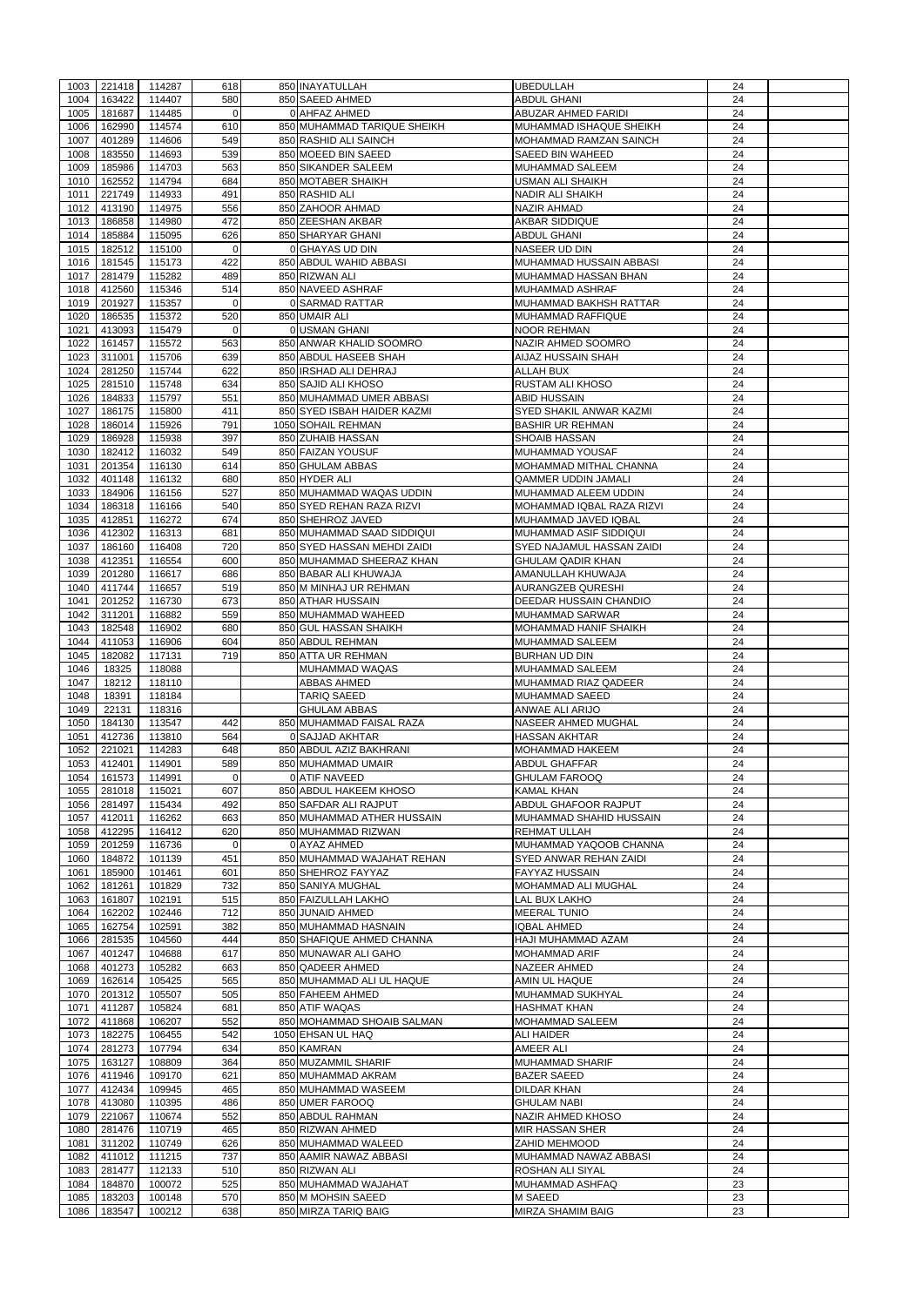| 1003 | 221418      | 114287 | 618            | 850 INAYATULLAH             | <b>UBEDULLAH</b>                 | 24 |  |
|------|-------------|--------|----------------|-----------------------------|----------------------------------|----|--|
| 1004 | 163422      | 114407 | 580            | 850 SAEED AHMED             | <b>ABDUL GHANI</b>               | 24 |  |
| 1005 | 181687      | 114485 | $\overline{0}$ | <b>OLAHFAZ AHMED</b>        | <b>ABUZAR AHMED FARIDI</b>       | 24 |  |
|      |             |        |                |                             |                                  |    |  |
| 1006 | 162990      | 114574 | 610            | 850 MUHAMMAD TARIQUE SHEIKH | MUHAMMAD ISHAQUE SHEIKH          | 24 |  |
| 1007 | 401289      | 114606 | 549            | 850 RASHID ALI SAINCH       | MOHAMMAD RAMZAN SAINCH           | 24 |  |
| 1008 | 183550      | 114693 | 539            | 850 MOEED BIN SAEED         | SAEED BIN WAHEED                 | 24 |  |
| 1009 | 185986      | 114703 | 563            | 850 SIKANDER SALEEM         | MUHAMMAD SALEEM                  | 24 |  |
| 1010 | 162552      | 114794 | 684            | 850 MOTABER SHAIKH          | <b>USMAN ALI SHAIKH</b>          | 24 |  |
| 1011 | 221749      | 114933 | 491            | 850 RASHID ALI              | <b>NADIR ALI SHAIKH</b>          | 24 |  |
| 1012 | 413190      | 114975 | 556            | 850 ZAHOOR AHMAD            | <b>NAZIR AHMAD</b>               | 24 |  |
| 1013 | 186858      | 114980 | 472            | 850 ZEESHAN AKBAR           | <b>AKBAR SIDDIQUE</b>            | 24 |  |
| 1014 | 185884      | 115095 | 626            | 850 SHARYAR GHANI           | <b>ABDUL GHANI</b>               | 24 |  |
| 1015 | 182512      | 115100 | $\mathbf 0$    | 0 GHAYAS UD DIN             | <b>NASEER UD DIN</b>             | 24 |  |
|      |             |        |                |                             |                                  |    |  |
| 1016 | 181545      | 115173 | 422            | 850 ABDUL WAHID ABBASI      | MUHAMMAD HUSSAIN ABBASI          | 24 |  |
| 1017 | 281479      | 115282 | 489            | 850 RIZWAN ALI              | MUHAMMAD HASSAN BHAN             | 24 |  |
| 1018 | 412560      | 115346 | 514            | 850 NAVEED ASHRAF           | <b>MUHAMMAD ASHRAF</b>           | 24 |  |
| 1019 | 201927      | 115357 | $\Omega$       | 0 SARMAD RATTAR             | MUHAMMAD BAKHSH RATTAR           | 24 |  |
| 1020 | 186535      | 115372 | 520            | 850 UMAIR ALI               | MUHAMMAD RAFFIQUE                | 24 |  |
| 1021 | 413093      | 115479 | $\Omega$       | 0 USMAN GHANI               | <b>NOOR REHMAN</b>               | 24 |  |
| 1022 | 161457      | 115572 | 563            | 850 ANWAR KHALID SOOMRO     | NAZIR AHMED SOOMRO               | 24 |  |
| 1023 | 311001      | 115706 | 639            | 850 ABDUL HASEEB SHAH       | AIJAZ HUSSAIN SHAH               | 24 |  |
| 1024 | 281250      | 115744 | 622            | 850 IRSHAD ALI DEHRAJ       | <b>ALLAH BUX</b>                 | 24 |  |
|      |             |        |                |                             |                                  |    |  |
| 1025 | 281510      | 115748 | 634            | 850 SAJID ALI KHOSO         | <b>RUSTAM ALI KHOSO</b>          | 24 |  |
| 1026 | 184833      | 115797 | 551            | 850 MUHAMMAD UMER ABBASI    | <b>ABID HUSSAIN</b>              | 24 |  |
| 1027 | 186175      | 115800 | 411            | 850 SYED ISBAH HAIDER KAZMI | <b>SYED SHAKIL ANWAR KAZMI</b>   | 24 |  |
| 1028 | 186014      | 115926 | 791            | 1050 SOHAIL REHMAN          | <b>BASHIR UR REHMAN</b>          | 24 |  |
| 1029 | 186928      | 115938 | 397            | 850 ZUHAIB HASSAN           | <b>SHOAIB HASSAN</b>             | 24 |  |
| 1030 | 182412      | 116032 | 549            | 850 FAIZAN YOUSUF           | MUHAMMAD YOUSAF                  | 24 |  |
| 1031 | 201354      | 116130 | 614            | 850 GHULAM ABBAS            | MOHAMMAD MITHAL CHANNA           | 24 |  |
|      |             |        |                |                             |                                  |    |  |
| 1032 | 401148      | 116132 | 680            | 850 HYDER ALI               | <b>QAMMER UDDIN JAMALI</b>       | 24 |  |
| 1033 | 184906      | 116156 | 527            | 850 MUHAMMAD WAQAS UDDIN    | MUHAMMAD ALEEM UDDIN             | 24 |  |
| 1034 | 186318      | 116166 | 540            | 850 SYED REHAN RAZA RIZVI   | MOHAMMAD IQBAL RAZA RIZVI        | 24 |  |
| 1035 | 412851      | 116272 | 674            | 850 SHEHROZ JAVED           | MUHAMMAD JAVED IQBAL             | 24 |  |
| 1036 | 412302      | 116313 | 681            | 850 MUHAMMAD SAAD SIDDIQUI  | MUHAMMAD ASIF SIDDIQUI           | 24 |  |
| 1037 | 186160      | 116408 | 720            | 850 SYED HASSAN MEHDI ZAIDI | <b>SYED NAJAMUL HASSAN ZAIDI</b> | 24 |  |
|      |             |        |                |                             |                                  |    |  |
| 1038 | 412351      | 116554 | 600            | 850 MUHAMMAD SHEERAZ KHAN   | <b>GHULAM QADIR KHAN</b>         | 24 |  |
| 1039 | 201280      | 116617 | 686            | 850 BABAR ALI KHUWAJA       | AMANULLAH KHUWAJA                | 24 |  |
| 1040 | 411744      | 116657 | 519            | 850 M MINHAJ UR REHMAN      | <b>AURANGZEB QURESHI</b>         | 24 |  |
| 1041 | 201252      | 116730 | 673            | 850 ATHAR HUSSAIN           | <b>DEEDAR HUSSAIN CHANDIO</b>    | 24 |  |
| 1042 | 311201      | 116882 | 559            | 850 MUHAMMAD WAHEED         | MUHAMMAD SARWAR                  | 24 |  |
| 1043 | 182548      | 116902 | 680            | 850 GUL HASSAN SHAIKH       | <b>MOHAMMAD HANIF SHAIKH</b>     | 24 |  |
| 1044 | 411053      | 116906 | 604            | 850 ABDUL REHMAN            | MUHAMMAD SALEEM                  | 24 |  |
|      |             |        |                |                             |                                  |    |  |
| 1045 | 182082      | 117131 | 719            | 850 ATTA UR REHMAN          | <b>BURHAN UD DIN</b>             | 24 |  |
| 1046 | 18325       | 118088 |                | MUHAMMAD WAQAS              | <b>MUHAMMAD SALEEM</b>           | 24 |  |
| 1047 | 18212       | 118110 |                | ABBAS AHMED                 | MUHAMMAD RIAZ QADEER             | 24 |  |
| 1048 | 18391       | 118184 |                | <b>TARIQ SAEED</b>          | <b>MUHAMMAD SAEED</b>            | 24 |  |
| 1049 | 22131       | 118316 |                | <b>GHULAM ABBAS</b>         | ANWAE ALI ARIJO                  | 24 |  |
| 1050 | 184130      | 113547 | 442            | 850 MUHAMMAD FAISAL RAZA    | <b>NASEER AHMED MUGHAL</b>       | 24 |  |
| 1051 | 412736      | 113810 | 564            | 0 SAJJAD AKHTAR             | <b>HASSAN AKHTAR</b>             | 24 |  |
|      |             |        |                |                             |                                  |    |  |
| 1052 | 221021      | 114283 | 648            | 850 ABDUL AZIZ BAKHRANI     | <b>MOHAMMAD HAKEEM</b>           | 24 |  |
| 1053 | 412401      | 114901 | 589            | 850 MUHAMMAD UMAIR          | <b>ABDUL GHAFFAR</b>             | 24 |  |
| 1054 | 161573      | 114991 | 0              | 0 ATIF NAVEED               | <b>GHULAM FAROOQ</b>             | 24 |  |
| 1055 | 281018      | 115021 | 607            | 850 ABDUL HAKEEM KHOSO      | <b>KAMAL KHAN</b>                | 24 |  |
| 1056 | 281497      | 115434 | 492            | 850 SAFDAR ALI RAJPUT       | ABDUL GHAFOOR RAJPUT             | 24 |  |
| 1057 | 412011      | 116262 | 663            | 850 MUHAMMAD ATHER HUSSAIN  | MUHAMMAD SHAHID HUSSAIN          | 24 |  |
| 1058 | 412295      | 116412 | 620            | 850 MUHAMMAD RIZWAN         | <b>REHMAT ULLAH</b>              | 24 |  |
| 1059 | 201259      | 116736 | $\Omega$       | 0 AYAZ AHMED                | MUHAMMAD YAQOOB CHANNA           | 24 |  |
|      |             |        |                |                             |                                  |    |  |
| 1060 | 184872      | 101139 | 451            | 850 MUHAMMAD WAJAHAT REHAN  | <b>SYED ANWAR REHAN ZAIDI</b>    | 24 |  |
| 1061 | 185900      | 101461 | 601            | 850 SHEHROZ FAYYAZ          | <b>FAYYAZ HUSSAIN</b>            | 24 |  |
| 1062 | 181261      | 101829 | 732            | 850 SANIYA MUGHAL           | MOHAMMAD ALI MUGHAL              | 24 |  |
| 1063 | 161807      | 102191 | 515            | 850 FAIZULLAH LAKHO         | <b>LAL BUX LAKHO</b>             | 24 |  |
| 1064 | 162202      | 102446 | 712            | 850 JUNAID AHMED            | <b>MEERAL TUNIO</b>              | 24 |  |
| 1065 | 162754      | 102591 | 382            | 850 MUHAMMAD HASNAIN        | <b>IQBAL AHMED</b>               | 24 |  |
| 1066 | 281535      | 104560 | 444            | 850 SHAFIQUE AHMED CHANNA   | HAJI MUHAMMAD AZAM               | 24 |  |
| 1067 | 401247      | 104688 | 617            | 850 MUNAWAR ALI GAHO        | <b>MOHAMMAD ARIF</b>             | 24 |  |
|      |             |        |                |                             |                                  |    |  |
| 1068 | 401273      | 105282 | 663            | 850 QADEER AHMED            | NAZEER AHMED                     | 24 |  |
| 1069 | 162614      | 105425 | 565            | 850 MUHAMMAD ALI UL HAQUE   | AMIN UL HAQUE                    | 24 |  |
| 1070 | 201312      | 105507 | 505            | 850 FAHEEM AHMED            | MUHAMMAD SUKHYAL                 | 24 |  |
| 1071 | 411287      | 105824 | 681            | 850 ATIF WAQAS              | <b>HASHMAT KHAN</b>              | 24 |  |
| 1072 | 411868      | 106207 | 552            | 850 MOHAMMAD SHOAIB SALMAN  | <b>MOHAMMAD SALEEM</b>           | 24 |  |
| 1073 | 182275      | 106455 | 542            | 1050 EHSAN UL HAQ           | ALI HAIDER                       | 24 |  |
| 1074 |             |        |                | 850 KAMRAN                  | <b>AMEER ALI</b>                 | 24 |  |
|      | 281273      | 107794 | 634            |                             |                                  |    |  |
|      | 1075 163127 | 108809 | 364            | 850 MUZAMMIL SHARIF         | MUHAMMAD SHARIF                  | 24 |  |
| 1076 | 411946      | 109170 | 621            | 850 MUHAMMAD AKRAM          | <b>BAZER SAEED</b>               | 24 |  |
| 1077 | 412434      | 109945 | 465            | 850 MUHAMMAD WASEEM         | <b>DILDAR KHAN</b>               | 24 |  |
| 1078 | 413080      | 110395 | 486            | 850 UMER FAROOQ             | <b>GHULAM NABI</b>               | 24 |  |
| 1079 | 221067      | 110674 | 552            | 850 ABDUL RAHMAN            | <b>NAZIR AHMED KHOSO</b>         | 24 |  |
| 1080 | 281476      | 110719 | 465            | 850 RIZWAN AHMED            | <b>MIR HASSAN SHER</b>           | 24 |  |
|      |             |        |                |                             |                                  |    |  |
| 1081 | 311202      | 110749 | 626            | 850 MUHAMMAD WALEED         | <b>ZAHID MEHMOOD</b>             | 24 |  |
| 1082 | 411012      | 111215 | 737            | 850 AAMIR NAWAZ ABBASI      | MUHAMMAD NAWAZ ABBASI            | 24 |  |
| 1083 | 281477      | 112133 | 510            | 850 RIZWAN ALI              | <b>ROSHAN ALI SIYAL</b>          | 24 |  |
| 1084 | 184870      | 100072 | 525            | 850 MUHAMMAD WAJAHAT        | <b>MUHAMMAD ASHFAQ</b>           | 23 |  |
| 1085 | 183203      | 100148 | 570            | 850 M MOHSIN SAEED          | M SAEED                          | 23 |  |
| 1086 | 183547      | 100212 | 638            | 850 MIRZA TARIQ BAIG        | <b>MIRZA SHAMIM BAIG</b>         | 23 |  |
|      |             |        |                |                             |                                  |    |  |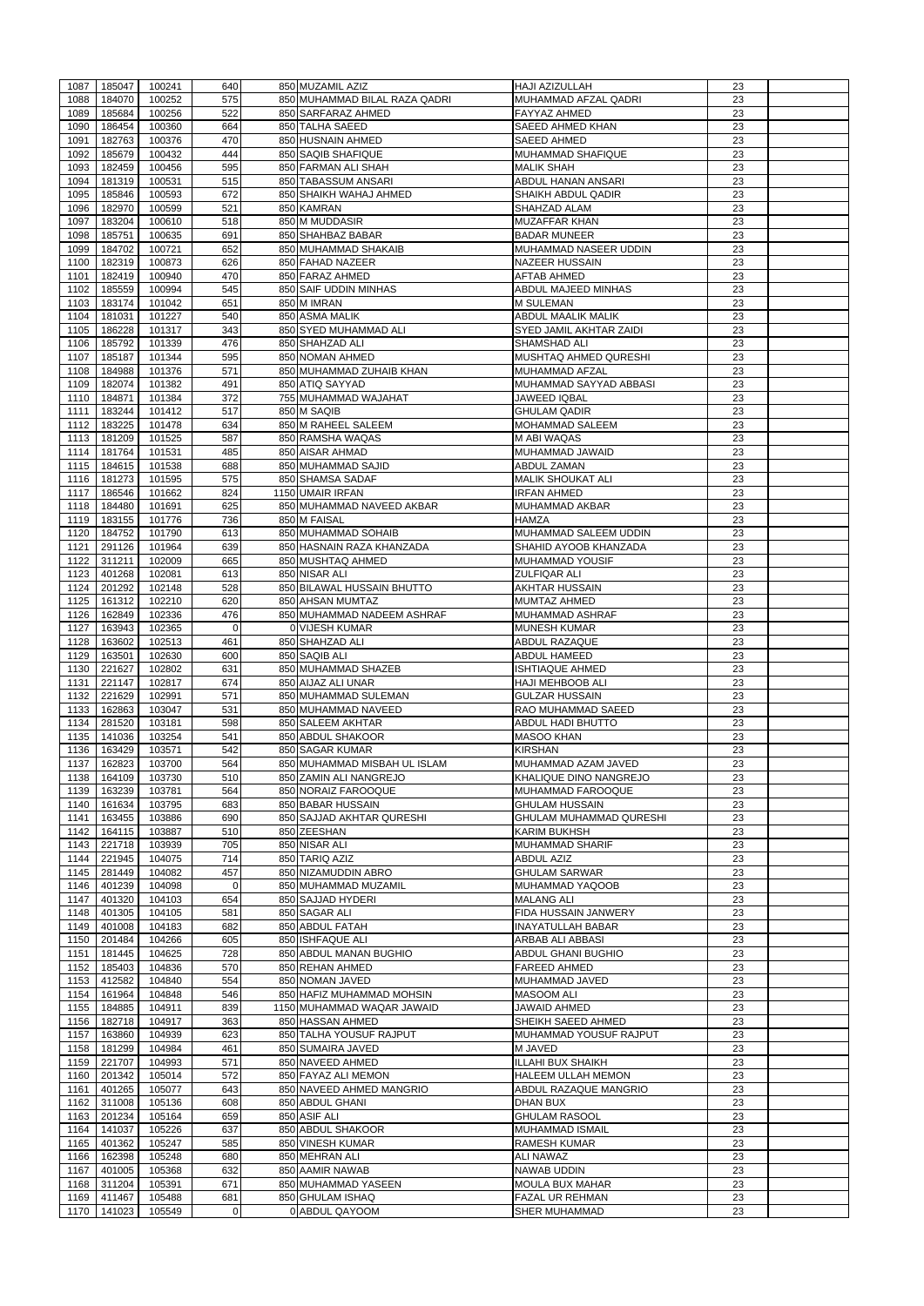| 1087         | 185047           | 100241           | 640                   | 850 MUZAMIL AZIZ                   | <b>HAJI AZIZULLAH</b>                          | 23       |  |
|--------------|------------------|------------------|-----------------------|------------------------------------|------------------------------------------------|----------|--|
|              |                  |                  |                       |                                    |                                                |          |  |
| 1088         | 184070           | 100252           | 575                   | 850 MUHAMMAD BILAL RAZA QADRI      | MUHAMMAD AFZAL QADRI                           | 23       |  |
| 1089         | 185684           | 100256           | 522                   | 850 SARFARAZ AHMED                 | <b>FAYYAZ AHMED</b>                            | 23       |  |
| 1090         | 186454           | 100360           | 664                   | 850 TALHA SAEED                    | SAEED AHMED KHAN                               | 23       |  |
| 1091         | 182763           | 100376           | 470                   | 850 HUSNAIN AHMED                  | <b>SAEED AHMED</b>                             | 23       |  |
| 1092         | 185679           | 100432           | 444                   | 850 SAQIB SHAFIQUE                 | <b>MUHAMMAD SHAFIQUE</b>                       | 23       |  |
| 1093         | 182459           | 100456           | 595                   | 850 FARMAN ALI SHAH                | <b>MALIK SHAH</b>                              | 23       |  |
| 1094         | 181319           | 100531           | 515                   | 850 TABASSUM ANSARI                | ABDUL HANAN ANSARI                             | 23       |  |
|              |                  |                  |                       |                                    |                                                |          |  |
| 1095         | 185846           | 100593           | 672                   | 850 SHAIKH WAHAJ AHMED             | <b>SHAIKH ABDUL QADIR</b>                      | 23       |  |
| 1096         | 182970           | 100599           | 521                   | 850 KAMRAN                         | <b>SHAHZAD ALAM</b>                            | 23       |  |
| 1097         | 183204           | 100610           | 518                   | 850 M MUDDASIR                     | <b>MUZAFFAR KHAN</b>                           | 23       |  |
| 1098         | 185751           | 100635           | 691                   | 850 SHAHBAZ BABAR                  | <b>BADAR MUNEER</b>                            | 23       |  |
| 1099         | 184702           | 100721           | 652                   | 850 MUHAMMAD SHAKAIB               | MUHAMMAD NASEER UDDIN                          | 23       |  |
| 1100         | 182319           | 100873           | 626                   | 850 FAHAD NAZEER                   | <b>NAZEER HUSSAIN</b>                          | 23       |  |
| 1101         | 182419           | 100940           | 470                   | 850 FARAZ AHMED                    | <b>AFTAB AHMED</b>                             | 23       |  |
|              |                  |                  |                       |                                    |                                                |          |  |
| 1102         | 185559           | 100994           | 545                   | 850 SAIF UDDIN MINHAS              | ABDUL MAJEED MINHAS                            | 23       |  |
| 1103         | 183174           | 101042           | 651                   | 850 M IMRAN                        | <b>M SULEMAN</b>                               | 23       |  |
| 1104         | 181031           | 101227           | 540                   | 850 ASMA MALIK                     | <b>ABDUL MAALIK MALIK</b>                      | 23       |  |
| 1105         | 186228           | 101317           | 343                   | 850 SYED MUHAMMAD ALI              | SYED JAMIL AKHTAR ZAIDI                        | 23       |  |
| 1106         | 185792           | 101339           | 476                   | 850 SHAHZAD ALI                    | <b>SHAMSHAD ALI</b>                            | 23       |  |
| 1107         | 185187           | 101344           | 595                   | 850 NOMAN AHMED                    | MUSHTAQ AHMED QURESHI                          | 23       |  |
| 1108         | 184988           | 101376           | 571                   | 850 MUHAMMAD ZUHAIB KHAN           | MUHAMMAD AFZAL                                 | 23       |  |
|              |                  |                  |                       |                                    |                                                |          |  |
| 1109         | 182074           | 101382           | 491                   | 850 ATIQ SAYYAD                    | MUHAMMAD SAYYAD ABBASI                         | 23       |  |
| 1110         | 184871           | 101384           | 372                   | 755 MUHAMMAD WAJAHAT               | <b>JAWEED IQBAL</b>                            | 23       |  |
| 1111         | 183244           | 101412           | 517                   | 850 M SAQIB                        | <b>GHULAM QADIR</b>                            | 23       |  |
| 1112         | 183225           | 101478           | 634                   | 850 M RAHEEL SALEEM                | <b>MOHAMMAD SALEEM</b>                         | 23       |  |
| 1113         | 181209           | 101525           | 587                   | 850 RAMSHA WAQAS                   | M ABI WAQAS                                    | 23       |  |
| 1114         | 181764           | 101531           | 485                   | 850 AISAR AHMAD                    | MUHAMMAD JAWAID                                | 23       |  |
| 1115         | 184615           | 101538           | 688                   | 850 MUHAMMAD SAJID                 | <b>ABDUL ZAMAN</b>                             | 23       |  |
|              |                  |                  |                       |                                    |                                                |          |  |
| 1116         | 181273           | 101595           | 575                   | 850 SHAMSA SADAF                   | <b>MALIK SHOUKAT ALI</b>                       | 23       |  |
| 1117         | 186546           | 101662           | 824                   | 1150 UMAIR IRFAN                   | <b>IRFAN AHMED</b>                             | 23       |  |
| 1118         | 184480           | 101691           | 625                   | 850 MUHAMMAD NAVEED AKBAR          | <b>MUHAMMAD AKBAR</b>                          | 23       |  |
| 1119         | 183155           | 101776           | 736                   | 850 M FAISAL                       | <b>HAMZA</b>                                   | 23       |  |
| 1120         | 184752           | 101790           | 613                   | 850 MUHAMMAD SOHAIB                | MUHAMMAD SALEEM UDDIN                          | 23       |  |
| 1121         | 291126           | 101964           | 639                   | 850 HASNAIN RAZA KHANZADA          | SHAHID AYOOB KHANZADA                          | 23       |  |
| 1122         | 311211           | 102009           | 665                   | 850 MUSHTAQ AHMED                  | <b>MUHAMMAD YOUSIF</b>                         | 23       |  |
|              |                  |                  |                       |                                    |                                                |          |  |
| 1123         | 401268           | 102081           | 613                   | 850 NISAR ALI                      | <b>ZULFIQAR ALI</b>                            | 23       |  |
| 1124         | 201292           | 102148           | 528                   | 850 BILAWAL HUSSAIN BHUTTO         | <b>AKHTAR HUSSAIN</b>                          | 23       |  |
| 1125         | 161312           | 102210           | 620                   | 850 AHSAN MUMTAZ                   | MUMTAZ AHMED                                   | 23       |  |
| 1126         | 162849           | 102336           | 476                   | 850 MUHAMMAD NADEEM ASHRAF         | <b>MUHAMMAD ASHRAF</b>                         | 23       |  |
| 1127         | 163943           | 102365           | $\mathbf 0$           | 0 VIJESH KUMAR                     | <b>MUNESH KUMAR</b>                            | 23       |  |
| 1128         | 163602           | 102513           | 461                   | 850 SHAHZAD ALI                    | ABDUL RAZAQUE                                  | 23       |  |
| 1129         | 163501           | 102630           | 600                   | 850 SAQIB ALI                      | <b>ABDUL HAMEED</b>                            | 23       |  |
|              | 221627           |                  |                       |                                    |                                                |          |  |
|              |                  | 102802           | 631                   | 850 MUHAMMAD SHAZEB                | <b>ISHTIAQUE AHMED</b>                         | 23       |  |
| 1130         |                  |                  |                       |                                    |                                                |          |  |
| 1131         | 221147           | 102817           | 674                   | 850 AIJAZ ALI UNAR                 | <b>HAJI MEHBOOB ALI</b>                        | 23       |  |
| 1132         | 221629           | 102991           | 571                   | 850 MUHAMMAD SULEMAN               | <b>GULZAR HUSSAIN</b>                          | 23       |  |
| 1133         | 162863           | 103047           | 531                   | 850 MUHAMMAD NAVEED                | RAO MUHAMMAD SAEED                             | 23       |  |
|              |                  |                  |                       |                                    |                                                |          |  |
| 1134         | 281520           | 103181           | 598                   | 850 SALEEM AKHTAR                  | <b>ABDUL HADI BHUTTO</b>                       | 23       |  |
| 1135         | 141036           | 103254           | 541                   | 850 ABDUL SHAKOOR                  | <b>MASOO KHAN</b>                              | 23       |  |
| 1136         | 163429           | 103571           | 542                   | 850 SAGAR KUMAR                    | <b>KIRSHAN</b>                                 | 23       |  |
| 1137         | 162823           | 103700           | 564                   | 850 MUHAMMAD MISBAH UL ISLAM       | MUHAMMAD AZAM JAVED                            | 23       |  |
| 1138         | 164109           | 103730           | 510                   | 850 ZAMIN ALI NANGREJO             | KHALIQUE DINO NANGREJO                         | 23       |  |
| 1139         | 163239           | 103781           | 564                   | 850 NORAIZ FAROOQUE                | MUHAMMAD FAROOQUE                              | 23       |  |
| 1140         | 161634           | 103795           | 683                   | 850 BABAR HUSSAIN                  | <b>GHULAM HUSSAIN</b>                          | 23       |  |
| 1141         | 163455           | 103886           | 690                   | 850 SAJJAD AKHTAR QURESHI          | <b>GHULAM MUHAMMAD QURESHI</b>                 | 23       |  |
| 1142         | 164115           |                  | 510                   | 850 ZEESHAN                        | <b>KARIM BUKHSH</b>                            | 23       |  |
|              |                  | 103887           |                       |                                    |                                                |          |  |
| 1143         | 221718           | 103939           | 705                   | 850 NISAR ALI                      | MUHAMMAD SHARIF                                | 23       |  |
| 1144         | 221945           | 104075           | 714                   | 850 TARIQ AZIZ                     | <b>ABDUL AZIZ</b>                              | 23       |  |
| 1145         | 281449           | 104082           | 457                   | 850 NIZAMUDDIN ABRO                | <b>GHULAM SARWAR</b>                           | 23       |  |
| 1146         | 401239           | 104098           | 0                     | 850 MUHAMMAD MUZAMIL               | MUHAMMAD YAQOOB                                | 23       |  |
| 1147         | 401320           | 104103           | 654                   | 850 SAJJAD HYDERI                  | <b>MALANG ALI</b>                              | 23       |  |
| 1148         | 401305           | 104105           | 581                   | 850 SAGAR ALI                      | FIDA HUSSAIN JANWERY                           | 23       |  |
| 1149         | 401008           | 104183           | 682                   | 850 ABDUL FATAH                    | <b>INAYATULLAH BABAR</b>                       | 23       |  |
| 1150         | 201484           | 104266           | 605                   | 850 ISHFAQUE ALI                   | <b>ARBAB ALI ABBASI</b>                        | 23       |  |
|              |                  |                  |                       |                                    |                                                |          |  |
| 1151         | 181445           | 104625           | 728                   | 850 ABDUL MANAN BUGHIO             | <b>ABDUL GHANI BUGHIO</b>                      | 23       |  |
| 1152         | 185403           | 104836           | 570                   | 850 REHAN AHMED                    | <b>FAREED AHMED</b>                            | 23       |  |
| 1153         | 412582           | 104840           | 554                   | 850 NOMAN JAVED                    | MUHAMMAD JAVED                                 | 23       |  |
| 1154         | 161964           | 104848           | 546                   | 850 HAFIZ MUHAMMAD MOHSIN          | <b>MASOOM ALI</b>                              | 23       |  |
| 1155         | 184885           | 104911           | 839                   | 1150 MUHAMMAD WAQAR JAWAID         | JAWAID AHMED                                   | 23       |  |
| 1156         | 182718           | 104917           | 363                   | 850 HASSAN AHMED                   | SHEIKH SAEED AHMED                             | 23       |  |
| 1157         | 163860           | 104939           | 623                   | 850 TALHA YOUSUF RAJPUT            | MUHAMMAD YOUSUF RAJPUT                         | 23       |  |
|              |                  |                  |                       |                                    |                                                |          |  |
| 1158         | 181299           | 104984           | 461                   | 850 SUMAIRA JAVED                  | M JAVED                                        | 23       |  |
|              | 1159 221707      | 104993           | 571                   | 850 NAVEED AHMED                   | <b>ILLAHI BUX SHAIKH</b>                       | 23       |  |
| 1160         | 201342           | 105014           | 572                   | 850 FAYAZ ALI MEMON                | <b>HALEEM ULLAH MEMON</b>                      | 23       |  |
| 1161         | 401265           | 105077           | 643                   | 850 NAVEED AHMED MANGRIO           | ABDUL RAZAQUE MANGRIO                          | 23       |  |
| 1162         | 311008           | 105136           | 608                   | 850 ABDUL GHANI                    | DHAN BUX                                       | 23       |  |
| 1163         | 201234           | 105164           | 659                   | 850 ASIF ALI                       | <b>GHULAM RASOOL</b>                           | 23       |  |
| 1164         | 141037           | 105226           | 637                   | 850 ABDUL SHAKOOR                  | <b>MUHAMMAD ISMAIL</b>                         | 23       |  |
| 1165         | 401362           | 105247           | 585                   | 850 VINESH KUMAR                   | <b>RAMESH KUMAR</b>                            | 23       |  |
|              |                  |                  |                       |                                    |                                                |          |  |
| 1166         | 162398           | 105248           | 680                   | 850 MEHRAN ALI                     | <b>ALI NAWAZ</b>                               | 23       |  |
| 1167         | 401005           | 105368           | 632                   | 850 AAMIR NAWAB                    | <b>NAWAB UDDIN</b>                             | 23       |  |
| 1168         | 311204           | 105391           | 671                   | 850 MUHAMMAD YASEEN                | <b>MOULA BUX MAHAR</b>                         | 23       |  |
| 1169<br>1170 | 411467<br>141023 | 105488<br>105549 | 681<br>$\overline{0}$ | 850 GHULAM ISHAQ<br>0 ABDUL QAYOOM | <b>FAZAL UR REHMAN</b><br><b>SHER MUHAMMAD</b> | 23<br>23 |  |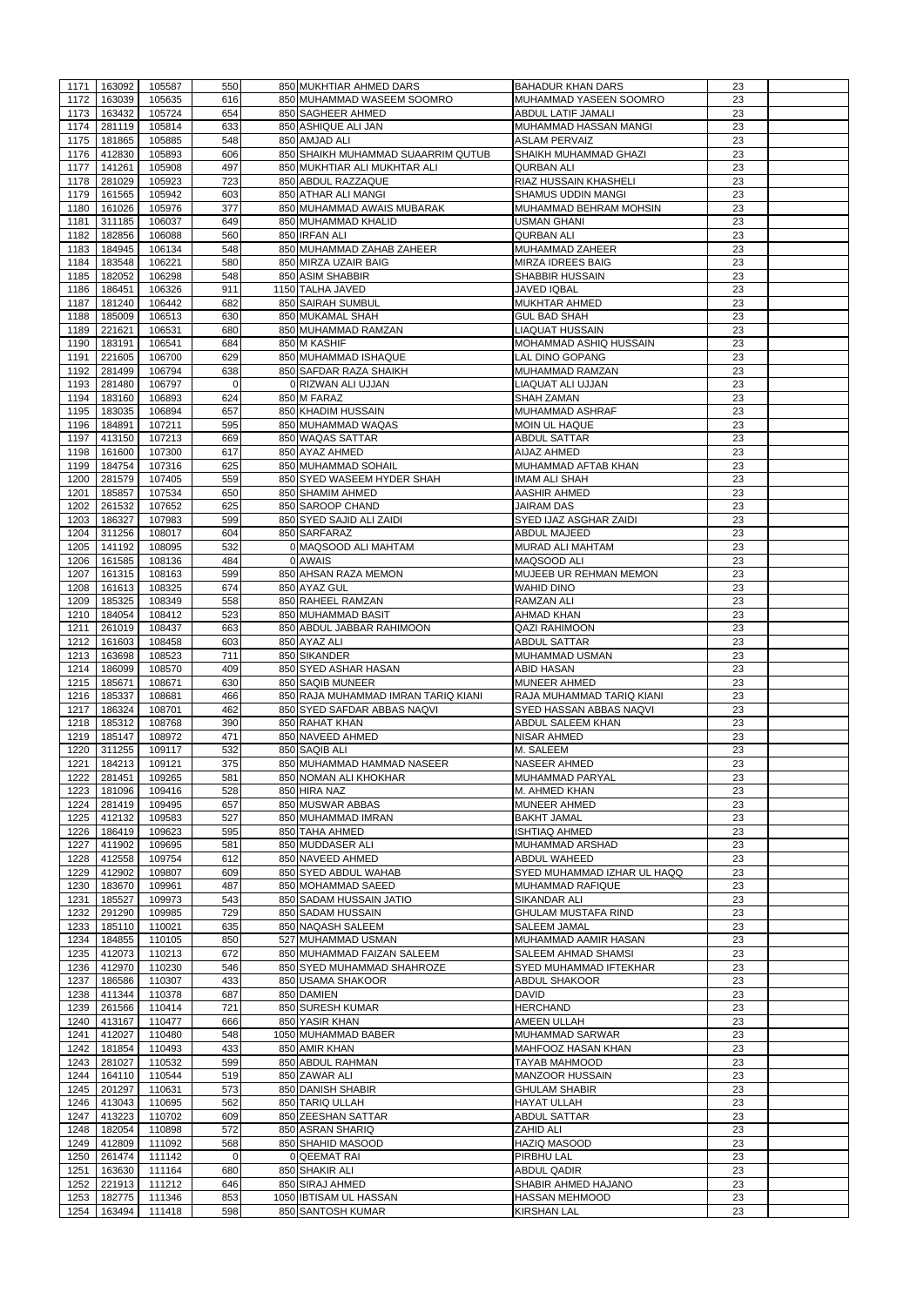| 1171         | 163092           | 105587             |             | 850 MUKHTIAR AHMED DARS             | <b>BAHADUR KHAN DARS</b>      | 23       |  |
|--------------|------------------|--------------------|-------------|-------------------------------------|-------------------------------|----------|--|
|              |                  |                    | 550         |                                     |                               |          |  |
| 1172         | 163039           | 105635             | 616         | 850 MUHAMMAD WASEEM SOOMRO          | MUHAMMAD YASEEN SOOMRO        | 23       |  |
| 1173         | 163432           | 105724             | 654         | 850 SAGHEER AHMED                   | <b>ABDUL LATIF JAMALI</b>     | 23       |  |
| 1174         | 281119           | 105814             | 633         | 850 ASHIQUE ALI JAN                 | MUHAMMAD HASSAN MANGI         | 23       |  |
| 1175         | 181865           | 105885             | 548         | 850 AMJAD ALI                       | <b>ASLAM PERVAIZ</b>          | 23       |  |
|              |                  |                    |             |                                     |                               |          |  |
| 1176         | 412830           | 105893             | 606         | 850 SHAIKH MUHAMMAD SUAARRIM QUTUB  | <b>SHAIKH MUHAMMAD GHAZI</b>  | 23       |  |
| 1177         | 141261           | 105908             | 497         | 850 MUKHTIAR ALI MUKHTAR ALI        | <b>QURBAN ALI</b>             | 23       |  |
| 1178         | 281029           | 105923             | 723         | 850 ABDUL RAZZAQUE                  | RIAZ HUSSAIN KHASHELI         | 23       |  |
| 1179         | 161565           | 105942             | 603         | 850 ATHAR ALI MANGI                 | <b>SHAMUS UDDIN MANGI</b>     | 23       |  |
|              |                  |                    |             |                                     |                               |          |  |
| 1180         | 161026           | 105976             | 377         | 850 MUHAMMAD AWAIS MUBARAK          | MUHAMMAD BEHRAM MOHSIN        | 23       |  |
| 1181         | 311185           | 106037             | 649         | 850 MUHAMMAD KHALID                 | <b>USMAN GHANI</b>            | 23       |  |
| 1182         | 182856           | 106088             | 560         | 850 IRFAN ALI                       | <b>QURBAN ALI</b>             | 23       |  |
| 1183         | 184945           | 106134             | 548         | 850 MUHAMMAD ZAHAB ZAHEER           | <b>MUHAMMAD ZAHEER</b>        | 23       |  |
| 1184         | 183548           | 106221             | 580         | 850 MIRZA UZAIR BAIG                | <b>MIRZA IDREES BAIG</b>      | 23       |  |
|              |                  |                    |             |                                     |                               |          |  |
| 1185         | 182052           | 106298             | 548         | 850 ASIM SHABBIR                    | <b>SHABBIR HUSSAIN</b>        | 23       |  |
| 1186         | 186451           | 106326             | 911         | 1150 TALHA JAVED                    | <b>JAVED IQBAL</b>            | 23       |  |
| 1187         | 181240           | 106442             | 682         | 850 SAIRAH SUMBUL                   | <b>MUKHTAR AHMED</b>          | 23       |  |
| 1188         | 185009           | 106513             | 630         | 850 MUKAMAL SHAH                    | <b>GUL BAD SHAH</b>           | 23       |  |
|              |                  |                    |             |                                     |                               |          |  |
| 1189         | 221621           | 106531             | 680         | 850 MUHAMMAD RAMZAN                 | <b>LIAQUAT HUSSAIN</b>        | 23       |  |
| 1190         | 183191           | 106541             | 684         | 850 M KASHIF                        | <b>MOHAMMAD ASHIQ HUSSAIN</b> | 23       |  |
| 1191         | 221605           | 106700             | 629         | 850 MUHAMMAD ISHAQUE                | <b>LAL DINO GOPANG</b>        | 23       |  |
| 1192         | 281499           | 106794             | 638         | 850 SAFDAR RAZA SHAIKH              | MUHAMMAD RAMZAN               | 23       |  |
|              |                  |                    |             |                                     | LIAQUAT ALI UJJAN             | 23       |  |
| 1193         | 281480           | 106797             | $\mathbf 0$ | 0 RIZWAN ALI UJJAN                  |                               |          |  |
| 1194         | 183160           | 106893             | 624         | 850 M FARAZ                         | <b>SHAH ZAMAN</b>             | 23       |  |
| 1195         | 183035           | 106894             | 657         | 850 KHADIM HUSSAIN                  | <b>MUHAMMAD ASHRAF</b>        | 23       |  |
| 1196         | 184891           | 107211             | 595         | 850 MUHAMMAD WAQAS                  | <b>MOIN UL HAQUE</b>          | 23       |  |
| 1197         | 413150           | 107213             | 669         | 850 WAQAS SATTAR                    | <b>ABDUL SATTAR</b>           | 23       |  |
|              |                  |                    | 617         |                                     | <b>AIJAZ AHMED</b>            | 23       |  |
| 1198         | 161600           | 107300             |             | 850 AYAZ AHMED                      |                               |          |  |
| 1199         | 184754           | 107316             | 625         | 850 MUHAMMAD SOHAIL                 | MUHAMMAD AFTAB KHAN           | 23       |  |
| 1200         | 281579           | 107405             | 559         | 850 SYED WASEEM HYDER SHAH          | <b>IMAM ALI SHAH</b>          | 23       |  |
| 1201         | 185857           | 107534             | 650         | 850 SHAMIM AHMED                    | <b>AASHIR AHMED</b>           | 23       |  |
| 1202         | 261532           | 107652             | 625         | 850 SAROOP CHAND                    | <b>JAIRAM DAS</b>             | 23       |  |
|              |                  |                    |             |                                     |                               |          |  |
| 1203         | 186327           | 107983             | 599         | 850 SYED SAJID ALI ZAIDI            | SYED IJAZ ASGHAR ZAIDI        | 23       |  |
| 1204         | 311256           | 108017             | 604         | 850 SARFARAZ                        | <b>ABDUL MAJEED</b>           | 23       |  |
| 1205         | 141192           | 108095             | 532         | 0 MAQSOOD ALI MAHTAM                | <b>MURAD ALI MAHTAM</b>       | 23       |  |
| 1206         | 161585           | 108136             | 484         | 0 AWAIS                             | MAQSOOD ALI                   | 23       |  |
| 1207         | 161315           | 108163             | 599         | 850 AHSAN RAZA MEMON                | MUJEEB UR REHMAN MEMON        |          |  |
|              |                  |                    |             |                                     |                               | 23       |  |
| 1208         | 161613           | 108325             | 674         | 850 AYAZ GUL                        | <b>WAHID DINO</b>             | 23       |  |
| 1209         | 185325           | 108349             | 558         | 850 RAHEEL RAMZAN                   | <b>RAMZAN ALI</b>             | 23       |  |
| 1210         | 184054           | 108412             | 523         | 850 MUHAMMAD BASIT                  | AHMAD KHAN                    | 23       |  |
| 1211         | 261019           | 108437             | 663         | 850 ABDUL JABBAR RAHIMOON           | <b>QAZI RAHIMOON</b>          | 23       |  |
|              |                  |                    |             |                                     |                               |          |  |
| 1212         | 161603           | 108458             | 603         | 850 AYAZ ALI                        | <b>ABDUL SATTAR</b>           | 23       |  |
| 1213         | 163698           | 108523             | 711         | 850 SIKANDER                        | <b>MUHAMMAD USMAN</b>         | 23       |  |
| 1214         | 186099           | 108570             | 409         | 850 SYED ASHAR HASAN                | <b>ABID HASAN</b>             | 23       |  |
| 1215         | 185671           | 108671             | 630         | 850 SAQIB MUNEER                    | <b>MUNEER AHMED</b>           | 23       |  |
| 1216         | 185337           | 108681             | 466         | 850 RAJA MUHAMMAD IMRAN TARIQ KIANI | RAJA MUHAMMAD TARIQ KIANI     | 23       |  |
|              | 186324           | 108701             | 462         | 850 SYED SAFDAR ABBAS NAQVI         | SYED HASSAN ABBAS NAQVI       | 23       |  |
| 1217         |                  |                    |             |                                     |                               |          |  |
| 1218         | 185312           | 108768             | 390         | 850 RAHAT KHAN                      | ABDUL SALEEM KHAN             | 23       |  |
| 1219         | 185147           | 108972             | 471         | 850 NAVEED AHMED                    | <b>NISAR AHMED</b>            | 23       |  |
| 1220         | 311255           | 109117             |             | 850 SAQIB ALI                       | M. SALEEM                     | 23       |  |
| 1221         | 184213           |                    |             | 850 MUHAMMAD HAMMAD NASEER          | <b>NASEER AHMED</b>           |          |  |
|              |                  |                    | 532         |                                     |                               |          |  |
|              |                  | 109121             | 375         |                                     |                               | 23       |  |
| 1222         | 281451           | 109265             | 581         | 850 NOMAN ALI KHOKHAR               | MUHAMMAD PARYAL               | 23       |  |
| 1223         | 181096           | 109416             | 528         | 850 HIRA NAZ                        | M. AHMED KHAN                 | 23       |  |
| 1224         | 281419           | 109495             | 657         | 850 MUSWAR ABBAS                    | <b>MUNEER AHMED</b>           | 23       |  |
| 1225         | 412132           | 109583             | 527         | 850 MUHAMMAD IMRAN                  | <b>BAKHT JAMAL</b>            | 23       |  |
|              |                  |                    |             |                                     |                               |          |  |
| 1226         | 186419           | 109623             | 595         | 850 TAHA AHMED                      | <b>ISHTIAQ AHMED</b>          | 23       |  |
| 1227         | 411902           | 109695             | 581         | 850 MUDDASER ALI                    | MUHAMMAD ARSHAD               | 23       |  |
| 1228         | 412558           | 109754             | 612         | 850 NAVEED AHMED                    | <b>ABDUL WAHEED</b>           | 23       |  |
| 1229         | 412902           | 109807             | 609         | 850 SYED ABDUL WAHAB                | SYED MUHAMMAD IZHAR UL HAQQ   | 23       |  |
|              |                  |                    |             |                                     |                               |          |  |
| 1230         | 183670           | 109961             | 487         | 850 MOHAMMAD SAEED                  | <b>MUHAMMAD RAFIQUE</b>       | 23       |  |
| 1231         | 185527           | 109973             | 543         | 850 SADAM HUSSAIN JATIO             | <b>SIKANDAR ALI</b>           | 23       |  |
| 1232         | 291290           | 109985             | 729         | 850 SADAM HUSSAIN                   | <b>GHULAM MUSTAFA RIND</b>    | 23       |  |
| 1233         | 185110           | 110021             | 635         | 850 NAQASH SALEEM                   | <b>SALEEM JAMAL</b>           | 23       |  |
| 1234         | 184855           | 110105             | 850         | 527 MUHAMMAD USMAN                  | MUHAMMAD AAMIR HASAN          | 23       |  |
|              |                  |                    |             |                                     |                               |          |  |
| 1235         | 412073           | 110213             | 672         | 850 MUHAMMAD FAIZAN SALEEM          | <b>SALEEM AHMAD SHAMSI</b>    | 23       |  |
| 1236         | 412970           | 110230             | 546         | 850 SYED MUHAMMAD SHAHROZE          | SYED MUHAMMAD IFTEKHAR        | 23       |  |
| 1237         | 186586           | 110307             | 433         | 850 USAMA SHAKOOR                   | <b>ABDUL SHAKOOR</b>          | 23       |  |
| 1238         | 411344           | 110378             | 687         | 850 DAMIEN                          | <b>DAVID</b>                  | 23       |  |
|              | 261566           |                    | 721         |                                     |                               |          |  |
| 1239         |                  | 110414             |             | 850 SURESH KUMAR                    | <b>HERCHAND</b>               | 23       |  |
| 1240         | 413167           | 110477             | 666         | 850 YASIR KHAN                      | <b>AMEEN ULLAH</b>            | 23       |  |
| 1241         | 412027           | 110480             | 548         | 1050 MUHAMMAD BABER                 | <b>MUHAMMAD SARWAR</b>        | 23       |  |
| 1242         | 181854           | 110493             | 433         | 850 AMIR KHAN                       | <b>MAHFOOZ HASAN KHAN</b>     | 23       |  |
|              |                  | 1243 281027 110532 | 599         |                                     |                               | 23       |  |
|              |                  |                    |             | 850 ABDUL RAHMAN                    | <b>TAYAB MAHMOOD</b>          |          |  |
| 1244         | 164110           | 110544             | 519         | 850 ZAWAR ALI                       | <b>MANZOOR HUSSAIN</b>        | 23       |  |
| 1245         | 201297           | 110631             | 573         | 850 DANISH SHABIR                   | <b>GHULAM SHABIR</b>          | 23       |  |
| 1246         | 413043           | 110695             | 562         | 850 TARIQ ULLAH                     | <b>HAYAT ULLAH</b>            | 23       |  |
| 1247         | 413223           | 110702             | 609         | 850 ZEESHAN SATTAR                  | <b>ABDUL SATTAR</b>           | 23       |  |
| 1248         | 182054           | 110898             | 572         | 850 ASRAN SHARIQ                    | <b>ZAHID ALI</b>              | 23       |  |
|              |                  |                    |             |                                     |                               |          |  |
| 1249         | 412809           | 111092             | 568         | 850 SHAHID MASOOD                   | <b>HAZIQ MASOOD</b>           | 23       |  |
| 1250         | 261474           | 111142             | $\Omega$    | 0 QEEMAT RAI                        | <b>PIRBHU LAL</b>             | 23       |  |
| 1251         | 163630           | 111164             | 680         | 850 SHAKIR ALI                      | <b>ABDUL QADIR</b>            | 23       |  |
| 1252         | 221913           | 111212             | 646         | 850 SIRAJ AHMED                     | SHABIR AHMED HAJANO           | 23       |  |
|              |                  |                    |             | 1050 IBTISAM UL HASSAN              | <b>HASSAN MEHMOOD</b>         |          |  |
| 1253<br>1254 | 182775<br>163494 | 111346<br>111418   | 853<br>598  | 850 SANTOSH KUMAR                   | <b>KIRSHAN LAL</b>            | 23<br>23 |  |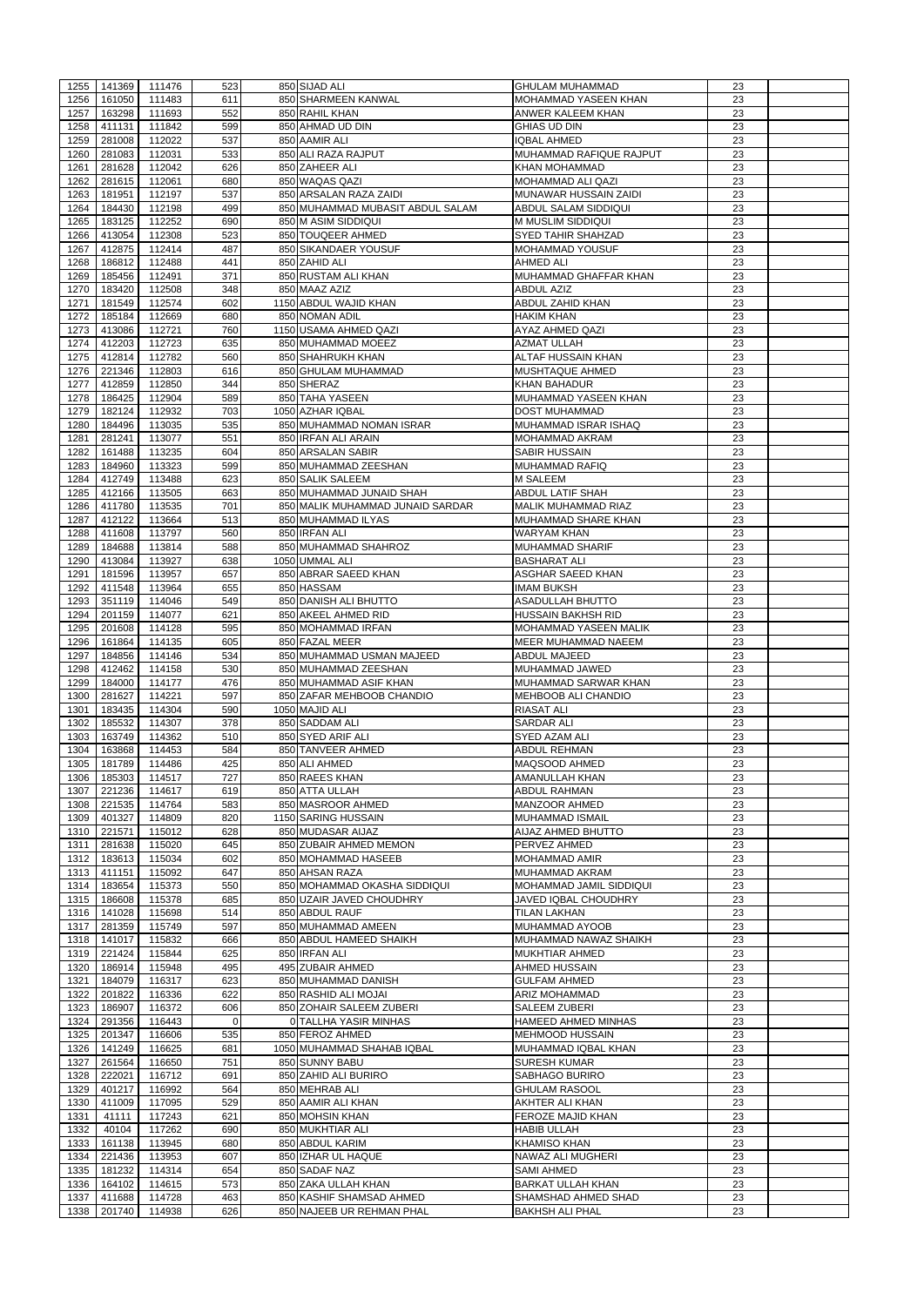| 1255         | 141369           | 111476             | 523        | 850 SIJAD ALI                                         | <b>GHULAM MUHAMMAD</b>                               | 23       |  |
|--------------|------------------|--------------------|------------|-------------------------------------------------------|------------------------------------------------------|----------|--|
|              |                  |                    | 611        |                                                       |                                                      |          |  |
| 1256         | 161050           | 111483             |            | 850 SHARMEEN KANWAL                                   | MOHAMMAD YASEEN KHAN                                 | 23       |  |
| 1257         | 163298           | 111693             | 552        | 850 RAHIL KHAN                                        | <b>ANWER KALEEM KHAN</b>                             | 23       |  |
| 1258         | 411131           | 111842             | 599        | 850 AHMAD UD DIN                                      | <b>GHIAS UD DIN</b>                                  | 23       |  |
| 1259         | 281008           | 112022             | 537        | 850 AAMIR ALI                                         | <b>IQBAL AHMED</b>                                   | 23       |  |
| 1260         | 281083           | 112031             | 533        | 850 ALI RAZA RAJPUT                                   | <b>MUHAMMAD RAFIQUE RAJPUT</b>                       | 23       |  |
|              |                  |                    | 626        |                                                       |                                                      | 23       |  |
| 1261         | 281628           | 112042             |            | 850 ZAHEER ALI                                        | <b>KHAN MOHAMMAD</b>                                 |          |  |
| 1262         | 281615           | 112061             | 680        | 850 WAQAS QAZI                                        | <b>MOHAMMAD ALI QAZI</b>                             | 23       |  |
| 1263         | 181951           | 112197             | 537        | 850 ARSALAN RAZA ZAIDI                                | MUNAWAR HUSSAIN ZAIDI                                | 23       |  |
| 1264         | 184430           | 112198             | 499        | 850 MUHAMMAD MUBASIT ABDUL SALAM                      | <b>ABDUL SALAM SIDDIQUI</b>                          | 23       |  |
| 1265         | 183125           | 112252             | 690        | 850 M ASIM SIDDIQUI                                   | M MUSLIM SIDDIQUI                                    | 23       |  |
|              |                  |                    |            |                                                       |                                                      |          |  |
| 1266         | 413054           | 112308             | 523        | 850 TOUQEER AHMED                                     | <b>SYED TAHIR SHAHZAD</b>                            | 23       |  |
| 1267         | 412875           | 112414             | 487        | 850 SIKANDAER YOUSUF                                  | <b>MOHAMMAD YOUSUF</b>                               | 23       |  |
| 1268         | 186812           | 112488             | 441        | 850 ZAHID ALI                                         | <b>AHMED ALI</b>                                     | 23       |  |
| 1269         | 185456           | 112491             | 371        | 850 RUSTAM ALI KHAN                                   | MUHAMMAD GHAFFAR KHAN                                | 23       |  |
| 1270         | 183420           | 112508             | 348        | 850 MAAZ AZIZ                                         | <b>ABDUL AZIZ</b>                                    | 23       |  |
|              |                  |                    |            |                                                       |                                                      |          |  |
| 1271         | 181549           | 112574             | 602        | 1150 ABDUL WAJID KHAN                                 | <b>ABDUL ZAHID KHAN</b>                              | 23       |  |
| 1272         | 185184           | 112669             | 680        | 850 NOMAN ADIL                                        | <b>HAKIM KHAN</b>                                    | 23       |  |
| 1273         | 413086           | 112721             | 760        | 1150 USAMA AHMED QAZI                                 | <b>AYAZ AHMED QAZI</b>                               | 23       |  |
| 1274         | 412203           | 112723             | 635        | 850 MUHAMMAD MOEEZ                                    | <b>AZMAT ULLAH</b>                                   | 23       |  |
| 1275         | 412814           | 112782             | 560        | 850 SHAHRUKH KHAN                                     | <b>ALTAF HUSSAIN KHAN</b>                            | 23       |  |
| 1276         | 221346           | 112803             | 616        | 850 GHULAM MUHAMMAD                                   | <b>MUSHTAQUE AHMED</b>                               | 23       |  |
|              |                  |                    |            |                                                       |                                                      |          |  |
| 1277         | 412859           | 112850             | 344        | 850 SHERAZ                                            | <b>KHAN BAHADUR</b>                                  | 23       |  |
| 1278         | 186425           | 112904             | 589        | 850 TAHA YASEEN                                       | MUHAMMAD YASEEN KHAN                                 | 23       |  |
| 1279         | 182124           | 112932             | 703        | 1050 AZHAR IQBAL                                      | <b>DOST MUHAMMAD</b>                                 | 23       |  |
| 1280         | 184496           | 113035             | 535        | 850 MUHAMMAD NOMAN ISRAR                              | MUHAMMAD ISRAR ISHAQ                                 | 23       |  |
|              |                  |                    |            |                                                       |                                                      |          |  |
| 1281         | 281241           | 113077             | 551        | 850 IRFAN ALI ARAIN                                   | <b>MOHAMMAD AKRAM</b>                                | 23       |  |
| 1282         | 161488           | 113235             | 604        | 850 ARSALAN SABIR                                     | <b>SABIR HUSSAIN</b>                                 | 23       |  |
| 1283         | 184960           | 113323             | 599        | 850 MUHAMMAD ZEESHAN                                  | <b>MUHAMMAD RAFIQ</b>                                | 23       |  |
| 1284         | 412749           | 113488             | 623        | 850 SALIK SALEEM                                      | <b>M SALEEM</b>                                      | 23       |  |
| 1285         | 412166           | 113505             | 663        | 850 MUHAMMAD JUNAID SHAH                              | <b>ABDUL LATIF SHAH</b>                              | 23       |  |
|              |                  |                    |            |                                                       | <b>MALIK MUHAMMAD RIAZ</b>                           |          |  |
| 1286         | 411780           | 113535             | 701        | 850 MALIK MUHAMMAD JUNAID SARDAR                      |                                                      | 23       |  |
| 1287         | 412122           | 113664             | 513        | 850 MUHAMMAD ILYAS                                    | MUHAMMAD SHARE KHAN                                  | 23       |  |
| 1288         | 411608           | 113797             | 560        | 850 IRFAN ALI                                         | <b>WARYAM KHAN</b>                                   | 23       |  |
| 1289         | 184688           | 113814             | 588        | 850 MUHAMMAD SHAHROZ                                  | MUHAMMAD SHARIF                                      | 23       |  |
| 1290         | 413084           | 113927             | 638        | 1050 UMMAL ALI                                        | <b>BASHARAT ALI</b>                                  | 23       |  |
|              |                  |                    |            |                                                       |                                                      |          |  |
| 1291         | 181596           | 113957             | 657        | 850 ABRAR SAEED KHAN                                  | <b>ASGHAR SAEED KHAN</b>                             | 23       |  |
| 1292         | 411548           | 113964             | 655        | 850 HASSAM                                            | <b>IMAM BUKSH</b>                                    | 23       |  |
| 1293         | 351119           | 114046             | 549        | 850 DANISH ALI BHUTTO                                 | ASADULLAH BHUTTO                                     | 23       |  |
| 1294         | 201159           | 114077             | 621        | 850 AKEEL AHMED RID                                   | <b>HUSSAIN BAKHSH RID</b>                            | 23       |  |
|              |                  |                    | 595        | 850 MOHAMMAD IRFAN                                    |                                                      | 23       |  |
| 1295         | 201608           | 114128             |            |                                                       | <b>MOHAMMAD YASEEN MALIK</b>                         |          |  |
| 1296         | 161864           | 114135             | 605        | 850 FAZAL MEER                                        | MEER MUHAMMAD NAEEM                                  | 23       |  |
| 1297         | 184856           | 114146             | 534        | 850 MUHAMMAD USMAN MAJEED                             | <b>ABDUL MAJEED</b>                                  | 23       |  |
| 1298         | 412462           | 114158             | 530        | 850 MUHAMMAD ZEESHAN                                  | MUHAMMAD JAWED                                       | 23       |  |
| 1299         | 184000           | 114177             | 476        | 850 MUHAMMAD ASIF KHAN                                | MUHAMMAD SARWAR KHAN                                 | 23       |  |
|              |                  |                    |            |                                                       |                                                      |          |  |
| 1300         | 281627           | 114221             | 597        | 850 ZAFAR MEHBOOB CHANDIO                             | MEHBOOB ALI CHANDIO                                  | 23       |  |
| 1301         | 183435           | 114304             | 590        | 1050 MAJID ALI                                        | <b>RIASAT ALI</b>                                    | 23       |  |
| 1302         | 185532           | 114307             | 378        | 850 SADDAM ALI                                        | <b>SARDAR ALI</b>                                    | 23       |  |
| 1303         | 163749           | 114362             | 510        | 850 SYED ARIF ALI                                     | <b>SYED AZAM ALI</b>                                 | 23       |  |
| 1304         | 163868           | 114453             | 584        | 850 TANVEER AHMED                                     | <b>ABDUL REHMAN</b>                                  | 23       |  |
|              |                  |                    |            |                                                       |                                                      |          |  |
| 1305         | 181789           | 114486             |            | 850 ALI AHMED                                         | MAQSOOD AHMED                                        | 23       |  |
|              |                  |                    | 425        |                                                       |                                                      |          |  |
| 1306         | 185303           | 114517             | 727        | 850 RAEES KHAN                                        | <b>AMANULLAH KHAN</b>                                | 23       |  |
| 1307         | 221236           | 114617             | 619        | 850 ATTA ULLAH                                        | <b>ABDUL RAHMAN</b>                                  | 23       |  |
|              |                  |                    |            |                                                       |                                                      |          |  |
| 1308         | 221535           | 114764             | 583        | 850 MASROOR AHMED                                     | <b>MANZOOR AHMED</b>                                 | 23       |  |
| 1309         | 401327           | 114809             | 820        | 1150 SARING HUSSAIN                                   | <b>MUHAMMAD ISMAIL</b>                               | 23       |  |
| 1310         | 221571           | 115012             | 628        | 850 MUDASAR AIJAZ                                     | <b>AIJAZ AHMED BHUTTO</b>                            | 23       |  |
| 1311         | 281638           | 115020             | 645        | 850 ZUBAIR AHMED MEMON                                | PERVEZ AHMED                                         | 23       |  |
| 1312         | 183613           | 115034             | 602        | 850 MOHAMMAD HASEEB                                   | <b>MOHAMMAD AMIR</b>                                 | 23       |  |
|              |                  |                    |            |                                                       |                                                      |          |  |
| 1313         | 411151           | 115092             | 647        | 850 AHSAN RAZA                                        | MUHAMMAD AKRAM                                       | 23       |  |
| 1314         | 183654           | 115373             | 550        | 850 MOHAMMAD OKASHA SIDDIQUI                          | MOHAMMAD JAMIL SIDDIQUI                              | 23       |  |
| 1315         | 186608           | 115378             | 685        | 850 UZAIR JAVED CHOUDHRY                              | JAVED IQBAL CHOUDHRY                                 | 23       |  |
| 1316         | 141028           | 115698             | 514        | 850 ABDUL RAUF                                        | <b>TILAN LAKHAN</b>                                  | 23       |  |
| 1317         | 281359           | 115749             | 597        | 850 MUHAMMAD AMEEN                                    | <b>MUHAMMAD AYOOB</b>                                | 23       |  |
|              |                  |                    |            |                                                       |                                                      |          |  |
| 1318         | 141017           | 115832             | 666        | 850 ABDUL HAMEED SHAIKH                               | MUHAMMAD NAWAZ SHAIKH                                | 23       |  |
| 1319         | 221424           | 115844             | 625        | 850 IRFAN ALI                                         | <b>MUKHTIAR AHMED</b>                                | 23       |  |
| 1320         | 186914           | 115948             | 495        | 495 ZUBAIR AHMED                                      | <b>AHMED HUSSAIN</b>                                 | 23       |  |
| 1321         | 184079           | 116317             | 623        | 850 MUHAMMAD DANISH                                   | <b>GULFAM AHMED</b>                                  | 23       |  |
| 1322         | 201822           | 116336             | 622        | 850 RASHID ALI MOJAI                                  | <b>ARIZ MOHAMMAD</b>                                 | 23       |  |
|              |                  |                    |            |                                                       |                                                      |          |  |
| 1323         | 186907           | 116372             | 606        | 850 ZOHAIR SALEEM ZUBERI                              | <b>SALEEM ZUBERI</b>                                 | 23       |  |
| 1324         | 291356           | 116443             | $\Omega$   | 0 TALLHA YASIR MINHAS                                 | <b>HAMEED AHMED MINHAS</b>                           | 23       |  |
| 1325         | 201347           | 116606             | 535        | 850 FEROZ AHMED                                       | <b>MEHMOOD HUSSAIN</b>                               | 23       |  |
| 1326         | 141249           | 116625             | 681        | 1050 MUHAMMAD SHAHAB IQBAL                            | MUHAMMAD IQBAL KHAN                                  | 23       |  |
|              |                  |                    |            |                                                       |                                                      |          |  |
|              |                  | 1327 261564 116650 | 751        | 850 SUNNY BABU                                        | <b>SURESH KUMAR</b>                                  | 23       |  |
| 1328         | 222021           | 116712             | 691        | 850 ZAHID ALI BURIRO                                  | <b>SABHAGO BURIRO</b>                                | 23       |  |
| 1329         | 401217           | 116992             | 564        | 850 MEHRAB ALI                                        | <b>GHULAM RASOOL</b>                                 | 23       |  |
| 1330         | 411009           | 117095             | 529        | 850 AAMIR ALI KHAN                                    | <b>AKHTER ALI KHAN</b>                               | 23       |  |
| 1331         | 41111            | 117243             | 621        | 850 MOHSIN KHAN                                       | FEROZE MAJID KHAN                                    | 23       |  |
|              |                  |                    |            |                                                       |                                                      |          |  |
| 1332         | 40104            | 117262             | 690        | 850 MUKHTIAR ALI                                      | <b>HABIB ULLAH</b>                                   | 23       |  |
| 1333         | 161138           | 113945             | 680        | 850 ABDUL KARIM                                       | <b>KHAMISO KHAN</b>                                  | 23       |  |
| 1334         | 221436           | 113953             | 607        | 850 IZHAR UL HAQUE                                    | NAWAZ ALI MUGHERI                                    | 23       |  |
| 1335         | 181232           | 114314             | 654        | 850 SADAF NAZ                                         | <b>SAMI AHMED</b>                                    | 23       |  |
| 1336         | 164102           | 114615             | 573        | 850 ZAKA ULLAH KHAN                                   | <b>BARKAT ULLAH KHAN</b>                             | 23       |  |
|              |                  |                    |            |                                                       |                                                      |          |  |
| 1337<br>1338 | 411688<br>201740 | 114728<br>114938   | 463<br>626 | 850 KASHIF SHAMSAD AHMED<br>850 NAJEEB UR REHMAN PHAL | <b>SHAMSHAD AHMED SHAD</b><br><b>BAKHSH ALI PHAL</b> | 23<br>23 |  |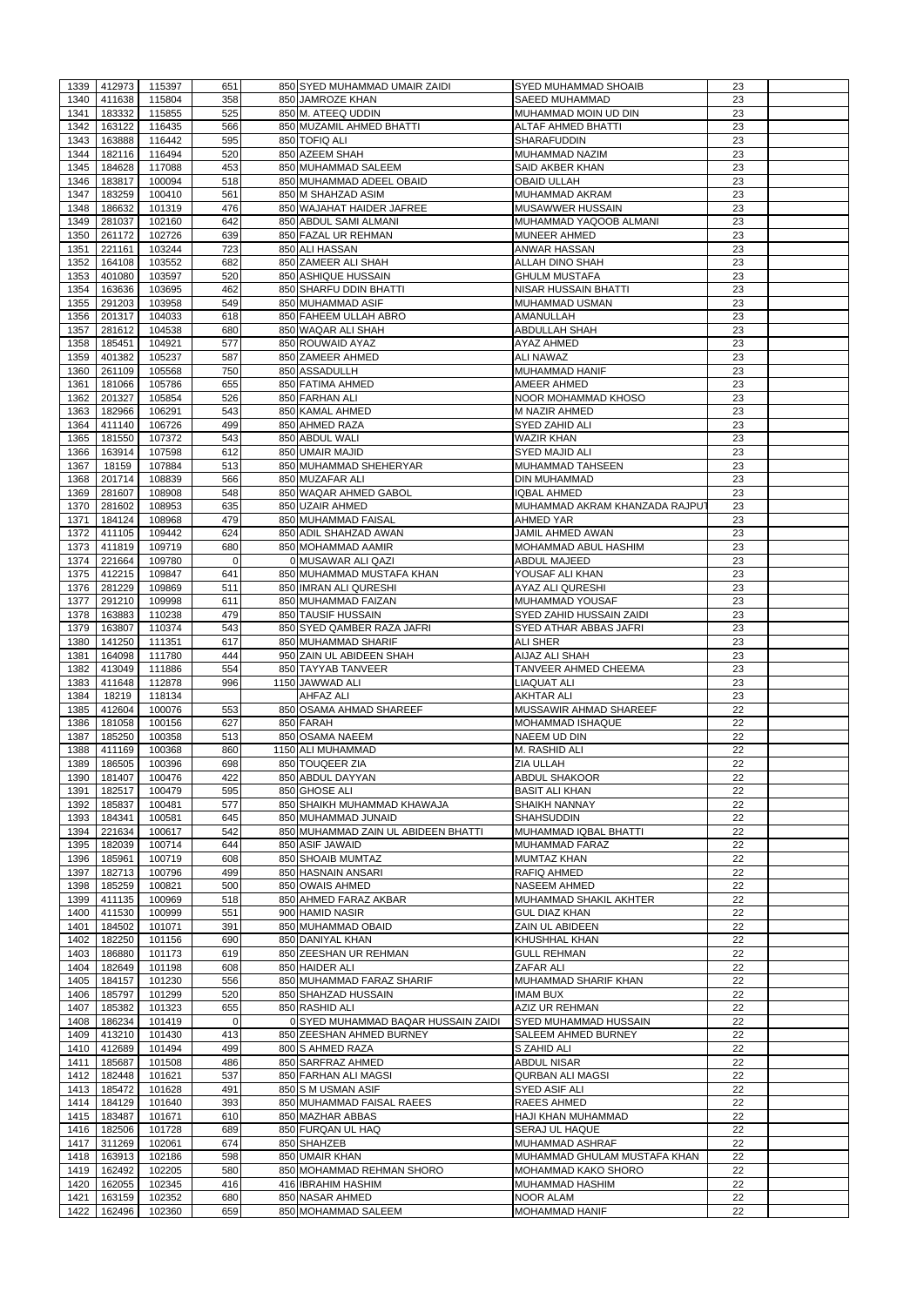| 1339<br>1340 | 412973             | 115397           | 651            | 850 SYED MUHAMMAD UMAIR ZAIDI          | <b>SYED MUHAMMAD SHOAIB</b>               | 23       |  |
|--------------|--------------------|------------------|----------------|----------------------------------------|-------------------------------------------|----------|--|
|              |                    |                  |                |                                        |                                           |          |  |
|              | 411638             | 115804           | 358            | 850 JAMROZE KHAN                       | <b>SAEED MUHAMMAD</b>                     | 23       |  |
| 1341         | 183332             | 115855           | 525            | 850 M. ATEEQ UDDIN                     | MUHAMMAD MOIN UD DIN                      | 23       |  |
| 1342         | 163122             | 116435           | 566            | 850 MUZAMIL AHMED BHATTI               | <b>ALTAF AHMED BHATTI</b>                 | 23       |  |
| 1343         | 163888             | 116442           | 595            | 850 TOFIQ ALI                          | <b>SHARAFUDDIN</b>                        | 23       |  |
| 1344         | 182116             | 116494           | 520            | 850 AZEEM SHAH                         | MUHAMMAD NAZIM                            | 23       |  |
|              |                    |                  |                |                                        |                                           |          |  |
| 1345         | 184628             | 117088           | 453            | 850 MUHAMMAD SALEEM                    | SAID AKBER KHAN                           | 23       |  |
| 1346         | 183817             | 100094           | 518            | 850 MUHAMMAD ADEEL OBAID               | <b>OBAID ULLAH</b>                        | 23       |  |
| 1347         | 183259             | 100410           | 561            | 850 M SHAHZAD ASIM                     | MUHAMMAD AKRAM                            | 23       |  |
| 1348         | 186632             | 101319           | 476            | 850 WAJAHAT HAIDER JAFREE              | <b>MUSAWWER HUSSAIN</b>                   | 23       |  |
|              |                    |                  |                |                                        |                                           |          |  |
| 1349         | 281037             | 102160           | 642            | 850 ABDUL SAMI ALMANI                  | MUHAMMAD YAQOOB ALMANI                    | 23       |  |
| 1350         | 261172             | 102726           | 639            | 850 FAZAL UR REHMAN                    | <b>MUNEER AHMED</b>                       | 23       |  |
| 1351         | 221161             | 103244           | 723            | 850 ALI HASSAN                         | ANWAR HASSAN                              | 23       |  |
| 1352         | 164108             | 103552           | 682            | 850 ZAMEER ALI SHAH                    | <b>ALLAH DINO SHAH</b>                    | 23       |  |
| 1353         | 401080             | 103597           | 520            | 850 ASHIQUE HUSSAIN                    | <b>GHULM MUSTAFA</b>                      | 23       |  |
|              |                    |                  |                |                                        |                                           |          |  |
| 1354         | 163636             | 103695           | 462            | 850 SHARFU DDIN BHATTI                 | <b>NISAR HUSSAIN BHATTI</b>               | 23       |  |
| 1355         | 291203             | 103958           | 549            | 850 MUHAMMAD ASIF                      | <b>MUHAMMAD USMAN</b>                     | 23       |  |
| 1356         | 201317             | 104033           | 618            | 850 FAHEEM ULLAH ABRO                  | AMANULLAH                                 | 23       |  |
| 1357         | 281612             | 104538           | 680            | 850 WAQAR ALI SHAH                     | <b>ABDULLAH SHAH</b>                      | 23       |  |
|              | 185451             |                  | 577            |                                        |                                           |          |  |
| 1358         |                    | 104921           |                | 850 ROUWAID AYAZ                       | <b>AYAZ AHMED</b>                         | 23       |  |
| 1359         | 401382             | 105237           | 587            | 850 ZAMEER AHMED                       | ALI NAWAZ                                 | 23       |  |
| 1360         | 261109             | 105568           | 750            | 850 ASSADULLH                          | MUHAMMAD HANIF                            | 23       |  |
| 1361         | 181066             | 105786           | 655            | 850 FATIMA AHMED                       | AMEER AHMED                               | 23       |  |
|              |                    |                  | 526            | 850 FARHAN ALI                         |                                           | 23       |  |
| 1362         | 201327             | 105854           |                |                                        | NOOR MOHAMMAD KHOSO                       |          |  |
| 1363         | 182966             | 106291           | 543            | 850 KAMAL AHMED                        | M NAZIR AHMED                             | 23       |  |
| 1364         | 411140             | 106726           | 499            | 850 AHMED RAZA                         | <b>SYED ZAHID ALI</b>                     | 23       |  |
| 1365         | 181550             | 107372           | 543            | 850 ABDUL WALI                         | <b>WAZIR KHAN</b>                         | 23       |  |
| 1366         | 163914             | 107598           | 612            | 850 UMAIR MAJID                        | <b>SYED MAJID ALI</b>                     | 23       |  |
|              |                    |                  |                |                                        |                                           |          |  |
| 1367         | 18159              | 107884           | 513            | 850 MUHAMMAD SHEHERYAR                 | MUHAMMAD TAHSEEN                          | 23       |  |
| 1368         | 201714             | 108839           | 566            | 850 MUZAFAR ALI                        | <b>DIN MUHAMMAD</b>                       | 23       |  |
| 1369         | 281607             | 108908           | 548            | 850 WAQAR AHMED GABOL                  | <b>IQBAL AHMED</b>                        | 23       |  |
|              |                    |                  |                |                                        | MUHAMMAD AKRAM KHANZADA RAJPUT            | 23       |  |
| 1370         | 281602             | 108953           | 635            | 850 UZAIR AHMED                        |                                           |          |  |
| 1371         | 184124             | 108968           | 479            | 850 MUHAMMAD FAISAL                    | <b>AHMED YAR</b>                          | 23       |  |
| 1372         | 411105             | 109442           | 624            | 850 ADIL SHAHZAD AWAN                  | JAMIL AHMED AWAN                          | 23       |  |
| 1373         | 411819             | 109719           | 680            | 850 MOHAMMAD AAMIR                     | <b>MOHAMMAD ABUL HASHIM</b>               | 23       |  |
|              |                    |                  | $\overline{0}$ |                                        |                                           | 23       |  |
| 1374         | 221664             | 109780           |                | 0 MUSAWAR ALI QAZI                     | <b>ABDUL MAJEED</b>                       |          |  |
|              | 1375 412215        | 109847           | 641            | 850 MUHAMMAD MUSTAFA KHAN              | YOUSAF ALI KHAN                           | 23       |  |
| 1376         | 281229             | 109869           | 511            | 850 IMRAN ALI QURESHI                  | <b>AYAZ ALI QURESHI</b>                   | 23       |  |
| 1377         | 291210             | 109998           | 611            | 850 MUHAMMAD FAIZAN                    | MUHAMMAD YOUSAF                           | 23       |  |
|              | 163883             |                  | 479            | 850 TAUSIF HUSSAIN                     | <b>SYED ZAHID HUSSAIN ZAIDI</b>           | 23       |  |
| 1378         |                    | 110238           |                |                                        |                                           |          |  |
| 1379         | 163807             | 110374           | 543            | 850 SYED QAMBER RAZA JAFRI             | <b>SYED ATHAR ABBAS JAFRI</b>             | 23       |  |
| 1380         | 141250             | 111351           | 617            | 850 MUHAMMAD SHARIF                    | <b>ALI SHER</b>                           | 23       |  |
| 1381         | 164098             | 111780           | 444            | 950 ZAIN UL ABIDEEN SHAH               | AIJAZ ALI SHAH                            | 23       |  |
| 1382         | 413049             | 111886           | 554            | 850 TAYYAB TANVEER                     | TANVEER AHMED CHEEMA                      | 23       |  |
|              |                    |                  |                |                                        |                                           |          |  |
| 1383         | 411648             | 112878           | 996            | 1150 JAWWAD ALI                        | <b>LIAQUAT ALI</b>                        | 23       |  |
| 1384         | 18219              | 118134           |                | <b>AHFAZ ALI</b>                       | <b>AKHTAR ALI</b>                         | 23       |  |
| 1385         | 412604             | 100076           | 553            | 850 OSAMA AHMAD SHAREEF                | MUSSAWIR AHMAD SHAREEF                    | 22       |  |
| 1386         | 181058             | 100156           | 627            | 850 FARAH                              | <b>MOHAMMAD ISHAQUE</b>                   | 22       |  |
|              | 185250             |                  | 513            |                                        |                                           |          |  |
| 1387         |                    | 100358           |                | 850 OSAMA NAEEM                        | <b>NAEEM UD DIN</b>                       | 22       |  |
|              |                    |                  |                | 1150 ALI MUHAMMAD                      | M. RASHID ALI                             | 22       |  |
| 1388         | 411169             | 100368           | 860            |                                        |                                           |          |  |
| 1389         | 186505             | 100396           | 698            | 850 TOUQEER ZIA                        | <b>ZIA ULLAH</b>                          | 22       |  |
|              |                    |                  |                |                                        |                                           |          |  |
| 1390         | 181407             | 100476           | 422            | 850 ABDUL DAYYAN                       | <b>ABDUL SHAKOOR</b>                      | 22       |  |
| 1391         | 182517             | 100479           | 595            | 850 GHOSE ALI                          | <b>BASIT ALI KHAN</b>                     | 22       |  |
| 1392         | 185837             | 100481           | 577            | 850 SHAIKH MUHAMMAD KHAWAJA            | <b>SHAIKH NANNAY</b>                      | 22       |  |
| 1393         | 184341             | 100581           | 645            | 850 MUHAMMAD JUNAID                    | <b>SHAHSUDDIN</b>                         | 22       |  |
| 1394         | 221634             | 100617           | 542            | 850 MUHAMMAD ZAIN UL ABIDEEN BHATTI    | MUHAMMAD IQBAL BHATTI                     | 22       |  |
|              |                    |                  |                |                                        |                                           |          |  |
| 1395         | 182039             | 100714           | 644            | 850 ASIF JAWAID                        | MUHAMMAD FARAZ                            | 22       |  |
| 1396         | 185961             | 100719           | 608            | 850 SHOAIB MUMTAZ                      | <b>MUMTAZ KHAN</b>                        | 22       |  |
| 1397         | 182713             | 100796           | 499            | 850 HASNAIN ANSARI                     | RAFIQ AHMED                               | 22       |  |
| 1398         | 185259             | 100821           | 500            | 850 OWAIS AHMED                        | <b>NASEEM AHMED</b>                       | 22       |  |
| 1399         | 411135             | 100969           | 518            | 850 AHMED FARAZ AKBAR                  | MUHAMMAD SHAKIL AKHTER                    | 22       |  |
|              |                    |                  |                |                                        |                                           |          |  |
| 1400         | 411530             | 100999           | 551            | 900 HAMID NASIR                        | <b>GUL DIAZ KHAN</b>                      | 22       |  |
| 1401         | 184502             | 101071           | 391            | 850 MUHAMMAD OBAID                     | <b>ZAIN UL ABIDEEN</b>                    | 22       |  |
| 1402         | 182250             | 101156           | 690            | 850 DANIYAL KHAN                       | <b>KHUSHHAL KHAN</b>                      | 22       |  |
| 1403         | 186880             | 101173           | 619            | 850 ZEESHAN UR REHMAN                  | <b>GULL REHMAN</b>                        | 22       |  |
| 1404         | 182649             | 101198           | 608            | 850 HAIDER ALI                         | <b>ZAFAR ALI</b>                          | 22       |  |
|              |                    |                  |                |                                        |                                           |          |  |
| 1405         | 184157             | 101230           | 556            | 850 MUHAMMAD FARAZ SHARIF              | MUHAMMAD SHARIF KHAN                      | 22       |  |
| 1406         | 185797             | 101299           | 520            | 850 SHAHZAD HUSSAIN                    | <b>IMAM BUX</b>                           | 22       |  |
| 1407         | 185382             | 101323           | 655            | 850 RASHID ALI                         | <b>AZIZ UR REHMAN</b>                     | 22       |  |
| 1408         | 186234             | 101419           | $\Omega$       | 0 SYED MUHAMMAD BAQAR HUSSAIN ZAIDI    | <b>SYED MUHAMMAD HUSSAIN</b>              | 22       |  |
|              |                    |                  |                |                                        |                                           |          |  |
| 1409         | 413210             | 101430           | 413            | 850 ZEESHAN AHMED BURNEY               | <b>SALEEM AHMED BURNEY</b>                | 22       |  |
| 1410         | 412689             | 101494           | 499            | 800 S AHMED RAZA                       | S ZAHID ALI                               | 22       |  |
|              | 1411 185687 101508 |                  | 486            | 850 SARFRAZ AHMED                      | <b>ABDUL NISAR</b>                        | 22       |  |
| 1412         | 182448             | 101621           | 537            | 850 FARHAN ALI MAGSI                   | <b>QURBAN ALI MAGSI</b>                   | 22       |  |
|              |                    |                  |                |                                        |                                           |          |  |
| 1413         | 185472             | 101628           | 491            | 850 S M USMAN ASIF                     | <b>SYED ASIF ALI</b>                      | 22       |  |
| 1414         | 184129             | 101640           | 393            | 850 MUHAMMAD FAISAL RAEES              | <b>RAEES AHMED</b>                        | 22       |  |
| 1415         | 183487             | 101671           | 610            | 850 MAZHAR ABBAS                       | <b>HAJI KHAN MUHAMMAD</b>                 | 22       |  |
| 1416         | 182506             | 101728           | 689            | 850 FURQAN UL HAQ                      | <b>SERAJ UL HAQUE</b>                     | 22       |  |
|              |                    |                  |                |                                        |                                           |          |  |
| 1417         | 311269             | 102061           | 674            | 850 SHAHZEB                            | MUHAMMAD ASHRAF                           | 22       |  |
| 1418         | 163913             | 102186           | 598            | 850 UMAIR KHAN                         | IMUHAMMAD GHULAM MUSTAFA KHAN             | 22       |  |
| 1419         | 162492             | 102205           | 580            | 850 MOHAMMAD REHMAN SHORO              | <b>MOHAMMAD KAKO SHORO</b>                | 22       |  |
| 1420         | 162055             | 102345           | 416            | 416 <b>IBRAHIM HASHIM</b>              | MUHAMMAD HASHIM                           | 22       |  |
|              |                    |                  |                |                                        |                                           |          |  |
| 1421<br>1422 | 163159<br>162496   | 102352<br>102360 | 680<br>659     | 850 NASAR AHMED<br>850 MOHAMMAD SALEEM | <b>NOOR ALAM</b><br><b>MOHAMMAD HANIF</b> | 22<br>22 |  |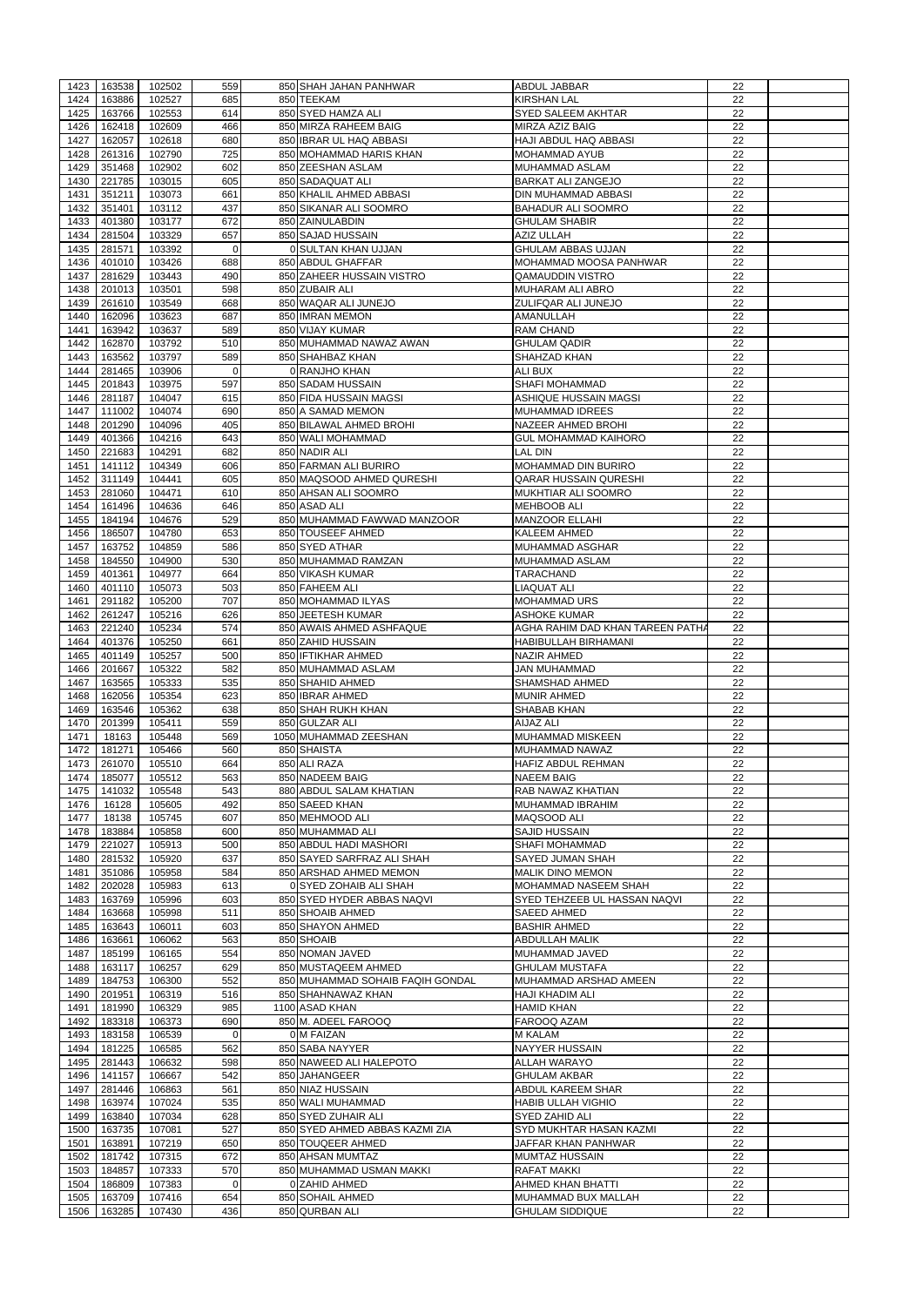| 1423         | 163538           | 102502           | 559         | 850 SHAH JAHAN PANHWAR             | <b>ABDUL JABBAR</b>                           | 22       |  |
|--------------|------------------|------------------|-------------|------------------------------------|-----------------------------------------------|----------|--|
|              |                  |                  |             |                                    |                                               |          |  |
| 1424         | 163886           | 102527           | 685         | 850 TEEKAM                         | <b>KIRSHAN LAL</b>                            | 22       |  |
| 1425         | 163766           | 102553           | 614         | 850 SYED HAMZA ALI                 | <b>SYED SALEEM AKHTAR</b>                     | 22       |  |
| 1426         | 162418           | 102609           | 466         | 850 MIRZA RAHEEM BAIG              | MIRZA AZIZ BAIG                               | 22       |  |
| 1427         | 162057           | 102618           | 680         | 850 IBRAR UL HAQ ABBASI            | <b>HAJI ABDUL HAQ ABBASI</b>                  | 22       |  |
| 1428         | 261316           | 102790           | 725         | 850 MOHAMMAD HARIS KHAN            | <b>MOHAMMAD AYUB</b>                          | 22       |  |
| 1429         | 351468           | 102902           | 602         | 850 ZEESHAN ASLAM                  | <b>MUHAMMAD ASLAM</b>                         | 22       |  |
|              |                  |                  |             |                                    |                                               |          |  |
| 1430         | 221785           | 103015           | 605         | 850 SADAQUAT ALI                   | <b>BARKAT ALI ZANGEJO</b>                     | 22       |  |
| 1431         | 351211           | 103073           | 661         | 850 KHALIL AHMED ABBASI            | <b>DIN MUHAMMAD ABBASI</b>                    | 22       |  |
| 1432         | 351401           | 103112           | 437         | 850 SIKANAR ALI SOOMRO             | <b>BAHADUR ALI SOOMRO</b>                     | 22       |  |
| 1433         | 401380           | 103177           | 672         | 850 ZAINULABDIN                    | <b>GHULAM SHABIR</b>                          | 22       |  |
| 1434         | 281504           | 103329           | 657         | 850 SAJAD HUSSAIN                  | <b>AZIZ ULLAH</b>                             | 22       |  |
| 1435         | 281571           | 103392           | $\mathbf 0$ | 0 SULTAN KHAN UJJAN                | <b>GHULAM ABBAS UJJAN</b>                     | 22       |  |
|              |                  |                  |             |                                    |                                               |          |  |
| 1436         | 401010           | 103426           | 688         | 850 ABDUL GHAFFAR                  | MOHAMMAD MOOSA PANHWAR                        | 22       |  |
| 1437         | 281629           | 103443           | 490         | 850 ZAHEER HUSSAIN VISTRO          | <b>QAMAUDDIN VISTRO</b>                       | 22       |  |
| 1438         | 201013           | 103501           | 598         | 850 ZUBAIR ALI                     | <b>MUHARAM ALI ABRO</b>                       | 22       |  |
| 1439         | 261610           | 103549           | 668         | 850 WAQAR ALI JUNEJO               | ZULIFQAR ALI JUNEJO                           | 22       |  |
| 1440         | 162096           | 103623           | 687         | 850 IMRAN MEMON                    | <b>AMANULLAH</b>                              | 22       |  |
| 1441         | 163942           | 103637           | 589         | 850 VIJAY KUMAR                    | <b>RAM CHAND</b>                              | 22       |  |
|              |                  |                  |             |                                    |                                               |          |  |
| 1442         | 162870           | 103792           | 510         | 850 MUHAMMAD NAWAZ AWAN            | <b>GHULAM QADIR</b>                           | 22       |  |
| 1443         | 163562           | 103797           | 589         | 850 SHAHBAZ KHAN                   | SHAHZAD KHAN                                  | 22       |  |
| 1444         | 281465           | 103906           | $\mathbf 0$ | 0 RANJHO KHAN                      | <b>ALI BUX</b>                                | 22       |  |
| 1445         | 201843           | 103975           | 597         | 850 SADAM HUSSAIN                  | <b>SHAFI MOHAMMAD</b>                         | 22       |  |
| 1446         | 281187           | 104047           | 615         | 850 FIDA HUSSAIN MAGSI             | <b>ASHIQUE HUSSAIN MAGSI</b>                  | 22       |  |
|              |                  |                  | 690         |                                    |                                               | 22       |  |
| 1447         | 111002           | 104074           |             | 850 A SAMAD MEMON                  | <b>MUHAMMAD IDREES</b>                        |          |  |
| 1448         | 201290           | 104096           | 405         | 850 BILAWAL AHMED BROHI            | NAZEER AHMED BROHI                            | 22       |  |
| 1449         | 401366           | 104216           | 643         | 850 WALI MOHAMMAD                  | <b>GUL MOHAMMAD KAIHORO</b>                   | 22       |  |
| 1450         | 221683           | 104291           | 682         | 850 NADIR ALI                      | LAL DIN                                       | 22       |  |
| 1451         | 141112           | 104349           | 606         | 850 FARMAN ALI BURIRO              | <b>MOHAMMAD DIN BURIRO</b>                    | 22       |  |
| 1452         | 311149           | 104441           | 605         | 850 MAQSOOD AHMED QURESHI          | <b>QARAR HUSSAIN QURESHI</b>                  | 22       |  |
|              |                  |                  |             |                                    |                                               |          |  |
| 1453         | 281060           | 104471           | 610         | 850 AHSAN ALI SOOMRO               | MUKHTIAR ALI SOOMRO                           | 22       |  |
| 1454         | 161496           | 104636           | 646         | 850 ASAD ALI                       | <b>MEHBOOB ALI</b>                            | 22       |  |
| 1455         | 184194           | 104676           | 529         | 850 MUHAMMAD FAWWAD MANZOOR        | <b>MANZOOR ELLAHI</b>                         | 22       |  |
| 1456         | 186507           | 104780           | 653         | 850 TOUSEEF AHMED                  | <b>KALEEM AHMED</b>                           | 22       |  |
| 1457         | 163752           | 104859           | 586         | 850 SYED ATHAR                     | <b>MUHAMMAD ASGHAR</b>                        | 22       |  |
|              |                  |                  |             |                                    |                                               |          |  |
| 1458         | 184550           | 104900           | 530         | 850 MUHAMMAD RAMZAN                | <b>MUHAMMAD ASLAM</b>                         | 22       |  |
| 1459         | 401361           | 104977           | 664         | 850 VIKASH KUMAR                   | <b>TARACHAND</b>                              | 22       |  |
| 1460         | 401110           | 105073           | 503         | 850 FAHEEM ALI                     | <b>LIAQUAT ALI</b>                            | 22       |  |
| 1461         | 291182           | 105200           | 707         | 850 MOHAMMAD ILYAS                 | <b>MOHAMMAD URS</b>                           | 22       |  |
| 1462         | 261247           | 105216           | 626         | 850 JEETESH KUMAR                  | <b>ASHOKE KUMAR</b>                           | 22       |  |
| 1463         | 221240           | 105234           | 574         | 850 AWAIS AHMED ASHFAQUE           | AGHA RAHIM DAD KHAN TAREEN PATHA              | 22       |  |
|              |                  |                  |             |                                    |                                               |          |  |
| 1464         | 401376           | 105250           | 661         | 850 ZAHID HUSSAIN                  | HABIBULLAH BIRHAMANI                          | 22       |  |
| 1465         | 401149           | 105257           | 500         | 850 IFTIKHAR AHMED                 | <b>NAZIR AHMED</b>                            | 22       |  |
| 1466         | 201667           | 105322           | 582         | 850 MUHAMMAD ASLAM                 | <b>JAN MUHAMMAD</b>                           | 22       |  |
|              |                  |                  |             | 850 SHAHID AHMED                   | <b>SHAMSHAD AHMED</b>                         | 22       |  |
|              |                  |                  |             |                                    |                                               |          |  |
| 1467         | 163565           | 105333           | 535         |                                    |                                               |          |  |
| 1468         | 162056           | 105354           | 623         | 850 IBRAR AHMED                    | <b>MUNIR AHMED</b>                            | 22       |  |
| 1469         | 163546           | 105362           | 638         | 850 SHAH RUKH KHAN                 | <b>SHABAB KHAN</b>                            | 22       |  |
| 1470         | 201399           | 105411           | 559         | 850 GULZAR ALI                     | <b>AIJAZ ALI</b>                              | 22       |  |
| 1471         | 18163            | 105448           | 569         | 1050 MUHAMMAD ZEESHAN              | MUHAMMAD MISKEEN                              | 22       |  |
| 1472         | 181271           | 105466           | 560         | 850 SHAISTA                        | MUHAMMAD NAWAZ                                | 22       |  |
|              |                  |                  |             |                                    |                                               |          |  |
| 1473         | 261070           | 105510           | 664         | 850 ALI RAZA                       | HAFIZ ABDUL REHMAN                            | 22       |  |
| 1474         | 185077           | 105512           | 563         | 850 NADEEM BAIG                    | <b>NAEEM BAIG</b>                             | 22       |  |
| 1475         | 141032           | 105548           | 543         | 880 ABDUL SALAM KHATIAN            | <b>RAB NAWAZ KHATIAN</b>                      | 22       |  |
| 1476         | 16128            | 105605           | 492         | 850 SAEED KHAN                     | <b>MUHAMMAD IBRAHIM</b>                       | 22       |  |
| 1477         | 18138            | 105745           | 607         | 850 MEHMOOD ALI                    | MAQSOOD ALI                                   | 22       |  |
| 1478         | 183884           | 105858           | 600         | 850 MUHAMMAD ALI                   | <b>SAJID HUSSAIN</b>                          | 22       |  |
| 1479         | 221027           | 105913           | 500         | 850 ABDUL HADI MASHORI             | <b>SHAFI MOHAMMAD</b>                         | 22       |  |
|              |                  |                  |             |                                    |                                               |          |  |
| 1480         | 281532           | 105920           | 637         | 850 SAYED SARFRAZ ALI SHAH         | <b>SAYED JUMAN SHAH</b>                       | 22       |  |
| 1481         | 351086           | 105958           | 584         | 850 ARSHAD AHMED MEMON             | <b>MALIK DINO MEMON</b>                       | 22       |  |
| 1482         | 202028           | 105983           | 613         | 0 SYED ZOHAIB ALI SHAH             | <b>MOHAMMAD NASEEM SHAH</b>                   | 22       |  |
| 1483         | 163769           | 105996           | 603         | 850 SYED HYDER ABBAS NAQVI         | SYED TEHZEEB UL HASSAN NAQVI                  | 22       |  |
| 1484         | 163668           | 105998           | 511         | 850 SHOAIB AHMED                   | <b>SAEED AHMED</b>                            | 22       |  |
| 1485         | 163643           | 106011           | 603         | 850 SHAYON AHMED                   | <b>BASHIR AHMED</b>                           | 22       |  |
|              |                  |                  |             | 850 SHOAIB                         |                                               |          |  |
| 1486         | 163661           | 106062           | 563         |                                    | <b>ABDULLAH MALIK</b>                         | 22       |  |
| 1487         | 185199           | 106165           | 554         | 850 NOMAN JAVED                    | MUHAMMAD JAVED                                | 22       |  |
| 1488         | 163117           | 106257           | 629         | 850 MUSTAQEEM AHMED                | <b>GHULAM MUSTAFA</b>                         | 22       |  |
| 1489         | 184753           | 106300           | 552         | 850 MUHAMMAD SOHAIB FAQIH GONDAL   | MUHAMMAD ARSHAD AMEEN                         | 22       |  |
| 1490         | 201951           | 106319           | 516         | 850 SHAHNAWAZ KHAN                 | <b>HAJI KHADIM ALI</b>                        | 22       |  |
| 1491         | 181990           | 106329           | 985         | 1100 ASAD KHAN                     | <b>HAMID KHAN</b>                             | 22       |  |
|              |                  |                  |             |                                    |                                               |          |  |
| 1492         | 183318           | 106373           | 690         | 850 M. ADEEL FAROOQ                | <b>FAROOQ AZAM</b>                            | 22       |  |
| 1493         | 183158           | 106539           | $\Omega$    | 0 M FAIZAN                         | M KALAM                                       | 22       |  |
| 1494         | 181225           | 106585           | 562         | 850 SABA NAYYER                    | <b>NAYYER HUSSAIN</b>                         | 22       |  |
|              | 1495 281443      | 106632           | 598         | 850 NAWEED ALI HALEPOTO            | <b>ALLAH WARAYO</b>                           | 22       |  |
| 1496         | 141157           | 106667           | 542         | 850 JAHANGEER                      | <b>GHULAM AKBAR</b>                           | 22       |  |
| 1497         | 281446           |                  |             | 850 NIAZ HUSSAIN                   | ABDUL KAREEM SHAR                             |          |  |
|              |                  | 106863           | 561         |                                    |                                               | 22       |  |
| 1498         | 163974           | 107024           | 535         | 850 WALI MUHAMMAD                  | HABIB ULLAH VIGHIO                            | 22       |  |
| 1499         | 163840           | 107034           | 628         | 850 SYED ZUHAIR ALI                | <b>SYED ZAHID ALI</b>                         | 22       |  |
| 1500         | 163735           | 107081           | 527         | 850 SYED AHMED ABBAS KAZMI ZIA     | SYD MUKHTAR HASAN KAZMI                       | 22       |  |
| 1501         | 163891           | 107219           | 650         | 850 TOUQEER AHMED                  | JAFFAR KHAN PANHWAR                           | 22       |  |
| 1502         | 181742           | 107315           | 672         | 850 AHSAN MUMTAZ                   | <b>MUMTAZ HUSSAIN</b>                         | 22       |  |
| 1503         | 184857           |                  |             | 850 MUHAMMAD USMAN MAKKI           | <b>RAFAT MAKKI</b>                            | 22       |  |
|              |                  | 107333           | 570         |                                    |                                               |          |  |
| 1504         | 186809           | 107383           | $\Omega$    | 0 ZAHID AHMED                      | <b>AHMED KHAN BHATTI</b>                      | 22       |  |
| 1505<br>1506 | 163709<br>163285 | 107416<br>107430 | 654<br>436  | 850 SOHAIL AHMED<br>850 QURBAN ALI | MUHAMMAD BUX MALLAH<br><b>GHULAM SIDDIQUE</b> | 22<br>22 |  |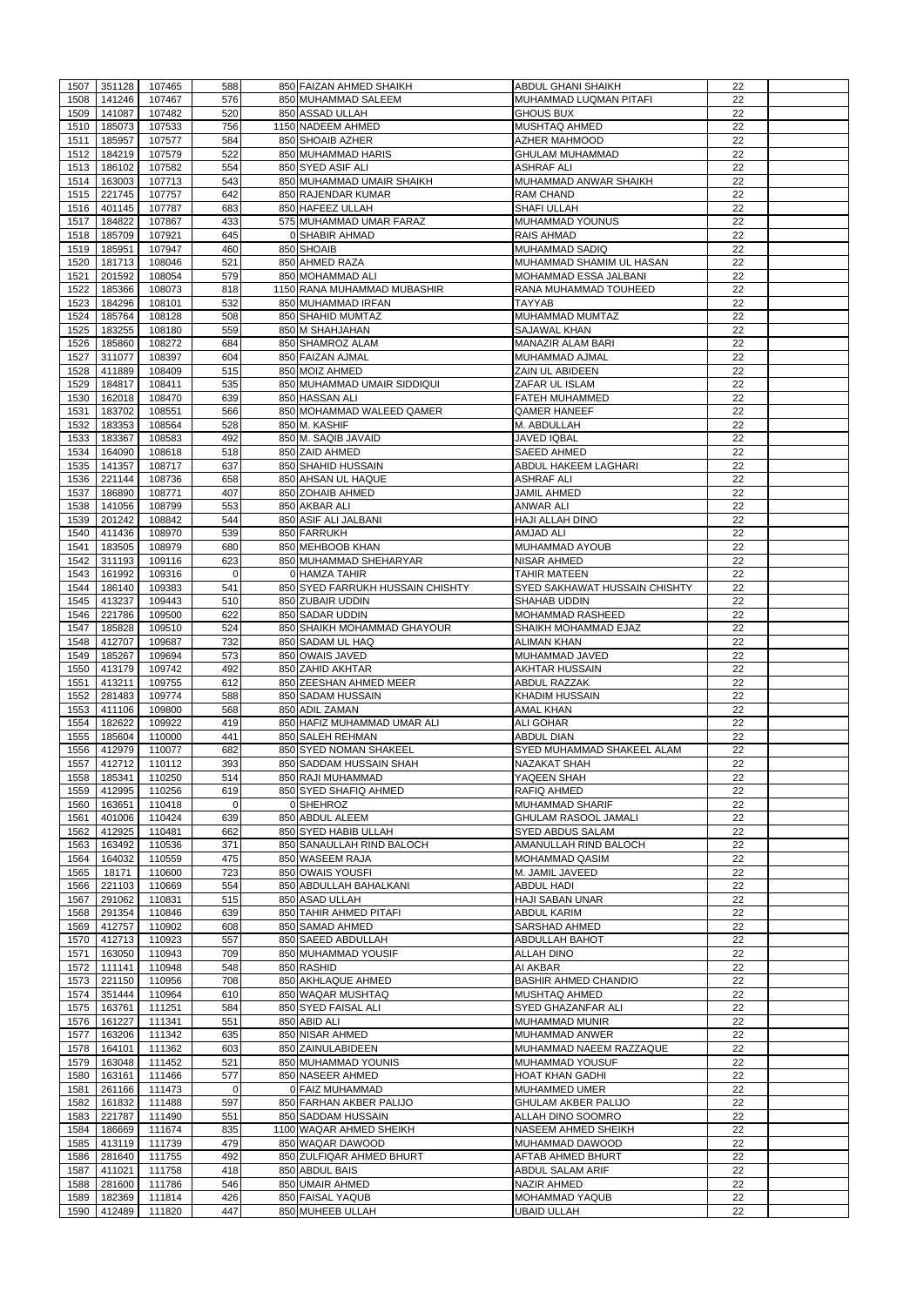| 1507         | 351128           | 107465           | 588         | 850 FAIZAN AHMED SHAIKH              | <b>ABDUL GHANI SHAIKH</b>                   | 22       |  |
|--------------|------------------|------------------|-------------|--------------------------------------|---------------------------------------------|----------|--|
|              |                  |                  |             |                                      |                                             |          |  |
| 1508         | 141246           | 107467           | 576         | 850 MUHAMMAD SALEEM                  | MUHAMMAD LUQMAN PITAFI                      | 22       |  |
| 1509         | 141087           | 107482           | 520         | 850 ASSAD ULLAH                      | <b>GHOUS BUX</b>                            | 22       |  |
| 1510         | 185073           | 107533           | 756         | 1150 NADEEM AHMED                    | <b>MUSHTAQ AHMED</b>                        | 22       |  |
| 1511         | 185957           | 107577           | 584         | 850 SHOAIB AZHER                     | <b>AZHER MAHMOOD</b>                        | 22       |  |
| 1512         | 184219           | 107579           | 522         | 850 MUHAMMAD HARIS                   | <b>GHULAM MUHAMMAD</b>                      | 22       |  |
|              |                  |                  |             |                                      |                                             |          |  |
| 1513         | 186102           | 107582           | 554         | 850 SYED ASIF ALI                    | ASHRAF ALI                                  | 22       |  |
| 1514         | 163003           | 107713           | 543         | 850 MUHAMMAD UMAIR SHAIKH            | MUHAMMAD ANWAR SHAIKH                       | 22       |  |
| 1515         | 221745           | 107757           | 642         | 850 RAJENDAR KUMAR                   | <b>RAM CHAND</b>                            | 22       |  |
| 1516         | 401145           | 107787           | 683         | 850 HAFEEZ ULLAH                     | <b>SHAFI ULLAH</b>                          | 22       |  |
|              | 184822           |                  | 433         |                                      |                                             |          |  |
| 1517         |                  | 107867           |             | 575 MUHAMMAD UMAR FARAZ              | <b>MUHAMMAD YOUNUS</b>                      | 22       |  |
| 1518         | 185709           | 107921           | 645         | 0 SHABIR AHMAD                       | <b>RAIS AHMAD</b>                           | 22       |  |
| 1519         | 185951           | 107947           | 460         | 850 SHOAIB                           | <b>MUHAMMAD SADIQ</b>                       | 22       |  |
| 1520         | 181713           | 108046           | 521         | 850 AHMED RAZA                       | MUHAMMAD SHAMIM UL HASAN                    | 22       |  |
| 1521         | 201592           | 108054           | 579         | 850 MOHAMMAD ALI                     | MOHAMMAD ESSA JALBANI                       | 22       |  |
|              |                  |                  |             |                                      |                                             |          |  |
| 1522         | 185366           | 108073           | 818         | 1150 RANA MUHAMMAD MUBASHIR          | RANA MUHAMMAD TOUHEED                       | 22       |  |
| 1523         | 184296           | 108101           | 532         | 850 MUHAMMAD IRFAN                   | <b>TAYYAB</b>                               | 22       |  |
| 1524         | 185764           | 108128           | 508         | 850 SHAHID MUMTAZ                    | MUHAMMAD MUMTAZ                             | 22       |  |
| 1525         | 183255           | 108180           | 559         | 850 M SHAHJAHAN                      | <b>SAJAWAL KHAN</b>                         | 22       |  |
| 1526         | 185860           | 108272           | 684         | 850 SHAMROZ ALAM                     | MANAZIR ALAM BARI                           | 22       |  |
|              |                  |                  |             |                                      |                                             |          |  |
| 1527         | 311077           | 108397           | 604         | 850 FAIZAN AJMAL                     | MUHAMMAD AJMAL                              | 22       |  |
| 1528         | 411889           | 108409           | 515         | 850 MOIZ AHMED                       | ZAIN UL ABIDEEN                             | 22       |  |
| 1529         | 184817           | 108411           | 535         | 850 MUHAMMAD UMAIR SIDDIQUI          | ZAFAR UL ISLAM                              | 22       |  |
| 1530         | 162018           | 108470           | 639         | 850 HASSAN ALI                       | <b>FATEH MUHAMMED</b>                       | 22       |  |
|              |                  |                  | 566         |                                      |                                             | 22       |  |
| 1531         | 183702           | 108551           |             | 850 MOHAMMAD WALEED QAMER            | <b>QAMER HANEEF</b>                         |          |  |
| 1532         | 183353           | 108564           | 528         | 850 M. KASHIF                        | M. ABDULLAH                                 | 22       |  |
| 1533         | 183367           | 108583           | 492         | 850 M. SAQIB JAVAID                  | <b>JAVED IQBAL</b>                          | 22       |  |
| 1534         | 164090           | 108618           | 518         | 850 ZAID AHMED                       | <b>SAEED AHMED</b>                          | 22       |  |
| 1535         | 141357           | 108717           | 637         | 850 SHAHID HUSSAIN                   | <b>ABDUL HAKEEM LAGHARI</b>                 | 22       |  |
|              |                  |                  |             |                                      |                                             |          |  |
| 1536         | 221144           | 108736           | 658         | 850 AHSAN UL HAQUE                   | <b>ASHRAF ALI</b>                           | 22       |  |
| 1537         | 186890           | 108771           | 407         | 850 ZOHAIB AHMED                     | <b>JAMIL AHMED</b>                          | 22       |  |
| 1538         | 141056           | 108799           | 553         | 850 AKBAR ALI                        | <b>ANWAR ALI</b>                            | 22       |  |
| 1539         | 201242           | 108842           | 544         | 850 ASIF ALI JALBANI                 | <b>HAJI ALLAH DINO</b>                      | 22       |  |
| 1540         | 411436           | 108970           | 539         | 850 FARRUKH                          | <b>AMJAD ALI</b>                            | 22       |  |
|              |                  |                  |             |                                      |                                             |          |  |
| 1541         | 183505           | 108979           | 680         | 850 MEHBOOB KHAN                     | <b>MUHAMMAD AYOUB</b>                       | 22       |  |
|              | 1542 311193      | 109116           | 623         | 850 MUHAMMAD SHEHARYAR               | <b>NISAR AHMED</b>                          | 22       |  |
| 1543         | 161992           | 109316           | $\Omega$    | 0 HAMZA TAHIR                        | <b>TAHIR MATEEN</b>                         | 22       |  |
| 1544         | 186140           | 109383           | 541         | 850 SYED FARRUKH HUSSAIN CHISHTY     | <b>SYED SAKHAWAT HUSSAIN CHISHTY</b>        | 22       |  |
| 1545         | 413237           | 109443           | 510         | 850 ZUBAIR UDDIN                     | SHAHAB UDDIN                                | 22       |  |
|              |                  |                  |             |                                      |                                             |          |  |
| 1546         | 221786           | 109500           | 622         | 850 SADAR UDDIN                      | <b>MOHAMMAD RASHEED</b>                     | 22       |  |
| 1547         | 185828           | 109510           | 524         | 850 SHAIKH MOHAMMAD GHAYOUR          | SHAIKH MOHAMMAD EJAZ                        | 22       |  |
| 1548         | 412707           | 109687           | 732         | 850 SADAM UL HAQ                     | <b>ALIMAN KHAN</b>                          | 22       |  |
| 1549         | 185267           | 109694           | 573         | 850 OWAIS JAVED                      | MUHAMMAD JAVED                              | 22       |  |
|              | 413179           | 109742           | 492         | 850 ZAHID AKHTAR                     | <b>AKHTAR HUSSAIN</b>                       | 22       |  |
| 1550         |                  |                  |             |                                      |                                             |          |  |
| 1551         | 413211           | 109755           | 612         | 850 ZEESHAN AHMED MEER               | <b>ABDUL RAZZAK</b>                         | 22       |  |
| 1552         | 281483           | 109774           | 588         | 850 SADAM HUSSAIN                    | <b>KHADIM HUSSAIN</b>                       | 22       |  |
| 1553         | 411106           | 109800           | 568         | 850 ADIL ZAMAN                       | <b>AMAL KHAN</b>                            | 22       |  |
| 1554         | 182622           | 109922           | 419         | 850 HAFIZ MUHAMMAD UMAR ALI          | <b>ALI GOHAR</b>                            | 22       |  |
|              |                  |                  |             |                                      |                                             |          |  |
| 1555         | 185604           | 110000           | 441         | 850 SALEH REHMAN                     | <b>ABDUL DIAN</b>                           | 22       |  |
| 1556         | 412979           | 110077           | 682         | 850 SYED NOMAN SHAKEEL               | SYED MUHAMMAD SHAKEEL ALAM                  | 22       |  |
| 1557         | 412712           | 110112           | 393         | 850 SADDAM HUSSAIN SHAH              | <b>NAZAKAT SHAH</b>                         | 22       |  |
| 1558         | 185341           | 110250           | 514         | 850 RAJI MUHAMMAD                    | YAQEEN SHAH                                 | 22       |  |
| 1559         | 412995           | 110256           | 619         | 850 SYED SHAFIQ AHMED                | <b>RAFIQ AHMED</b>                          | 22       |  |
|              |                  |                  |             |                                      |                                             |          |  |
| 1560         | 163651           | 110418           | $\mathbf 0$ | 0SHEHROZ                             | <b>MUHAMMAD SHARIF</b>                      | 22       |  |
| 1561         | 401006           | 110424           | 639         | 850 ABDUL ALEEM                      | <b>GHULAM RASOOL JAMALI</b>                 | 22       |  |
| 1562         | 412925           | 110481           | 662         | 850 SYED HABIB ULLAH                 | SYED ABDUS SALAM                            | 22       |  |
| 1563         | 163492           | 110536           | 371         | 850 SANAULLAH RIND BALOCH            | AMANULLAH RIND BALOCH                       | 22       |  |
| 1564         | 164032           | 110559           | 475         | 850 WASEEM RAJA                      | <b>MOHAMMAD QASIM</b>                       | 22       |  |
|              |                  |                  |             |                                      |                                             |          |  |
| 1565         | 18171            | 110600           | 723         | 850 OWAIS YOUSFI                     | M. JAMIL JAVEED                             | 22       |  |
| 1566         | 221103           | 110669           | 554         | 850 ABDULLAH BAHALKANI               | <b>ABDUL HADI</b>                           | 22       |  |
| 1567         | 291062           | 110831           | 515         | 850 ASAD ULLAH                       | <b>HAJI SABAN UNAR</b>                      | 22       |  |
| 1568         | 291354           | 110846           | 639         | 850 TAHIR AHMED PITAFI               | <b>ABDUL KARIM</b>                          | 22       |  |
| 1569         | 412757           | 110902           | 608         | 850 SAMAD AHMED                      | <b>SARSHAD AHMED</b>                        | 22       |  |
|              |                  |                  |             |                                      |                                             |          |  |
| 1570         | 412713           | 110923           | 557         | 850 SAEED ABDULLAH                   | <b>ABDULLAH BAHOT</b>                       | 22       |  |
| 1571         |                  |                  |             |                                      |                                             |          |  |
| 1572         | 163050           | 110943           | 709         | 850 MUHAMMAD YOUSIF                  | <b>ALLAH DINO</b>                           | 22       |  |
|              | 111141           | 110948           | 548         | 850 RASHID                           | AI AKBAR                                    | 22       |  |
|              |                  |                  |             |                                      |                                             |          |  |
| 1573         | 221150           | 110956           | 708         | 850 AKHLAQUE AHMED                   | <b>BASHIR AHMED CHANDIO</b>                 | 22       |  |
| 1574         | 351444           | 110964           | 610         | 850 WAQAR MUSHTAQ                    | <b>MUSHTAQ AHMED</b>                        | 22       |  |
| 1575         | 163761           | 111251           | 584         | 850 SYED FAISAL ALI                  | <b>SYED GHAZANFAR ALI</b>                   | 22       |  |
| 1576         | 161227           | 111341           | 551         | 850 ABID ALI                         | MUHAMMAD MUNIR                              | 22       |  |
|              |                  |                  | 635         |                                      | MUHAMMAD ANWER                              | 22       |  |
| 1577         | 163206           | 111342           |             | 850 NISAR AHMED                      |                                             |          |  |
| 1578         | 164101           | 111362           | 603         | 850 ZAINULABIDEEN                    | MUHAMMAD NAEEM RAZZAQUE                     | 22       |  |
|              | 1579 163048      | 111452           | 521         | 850 MUHAMMAD YOUNIS                  | MUHAMMAD YOUSUF                             | 22       |  |
| 1580         | 163161           | 111466           | 577         | 850 NASEER AHMED                     | <b>HOAT KHAN GADHI</b>                      | 22       |  |
| 1581         | 261166           | 111473           | $\mathbf 0$ | 0 FAIZ MUHAMMAD                      | <b>MUHAMMED UMER</b>                        | 22       |  |
| 1582         | 161832           |                  | 597         | 850 FARHAN AKBER PALIJO              | <b>GHULAM AKBER PALIJO</b>                  | 22       |  |
|              |                  | 111488           |             |                                      |                                             |          |  |
| 1583         | 221787           | 111490           | 551         | 850 SADDAM HUSSAIN                   | ALLAH DINO SOOMRO                           | 22       |  |
| 1584         | 186669           | 111674           | 835         | 1100 WAQAR AHMED SHEIKH              | <b>NASEEM AHMED SHEIKH</b>                  | 22       |  |
| 1585         | 413119           | 111739           | 479         | 850 WAQAR DAWOOD                     | MUHAMMAD DAWOOD                             | 22       |  |
| 1586         | 281640           | 111755           | 492         | 850 ZULFIQAR AHMED BHURT             | AFTAB AHMED BHURT                           | 22       |  |
|              |                  |                  |             |                                      |                                             |          |  |
| 1587         | 411021           | 111758           | 418         | 850 ABDUL BAIS                       | <b>ABDUL SALAM ARIF</b>                     | 22       |  |
| 1588         | 281600           | 111786           | 546         | 850 UMAIR AHMED                      | <b>NAZIR AHMED</b>                          | 22       |  |
| 1589<br>1590 | 182369<br>412489 | 111814<br>111820 | 426<br>447  | 850 FAISAL YAQUB<br>850 MUHEEB ULLAH | <b>MOHAMMAD YAQUB</b><br><b>UBAID ULLAH</b> | 22<br>22 |  |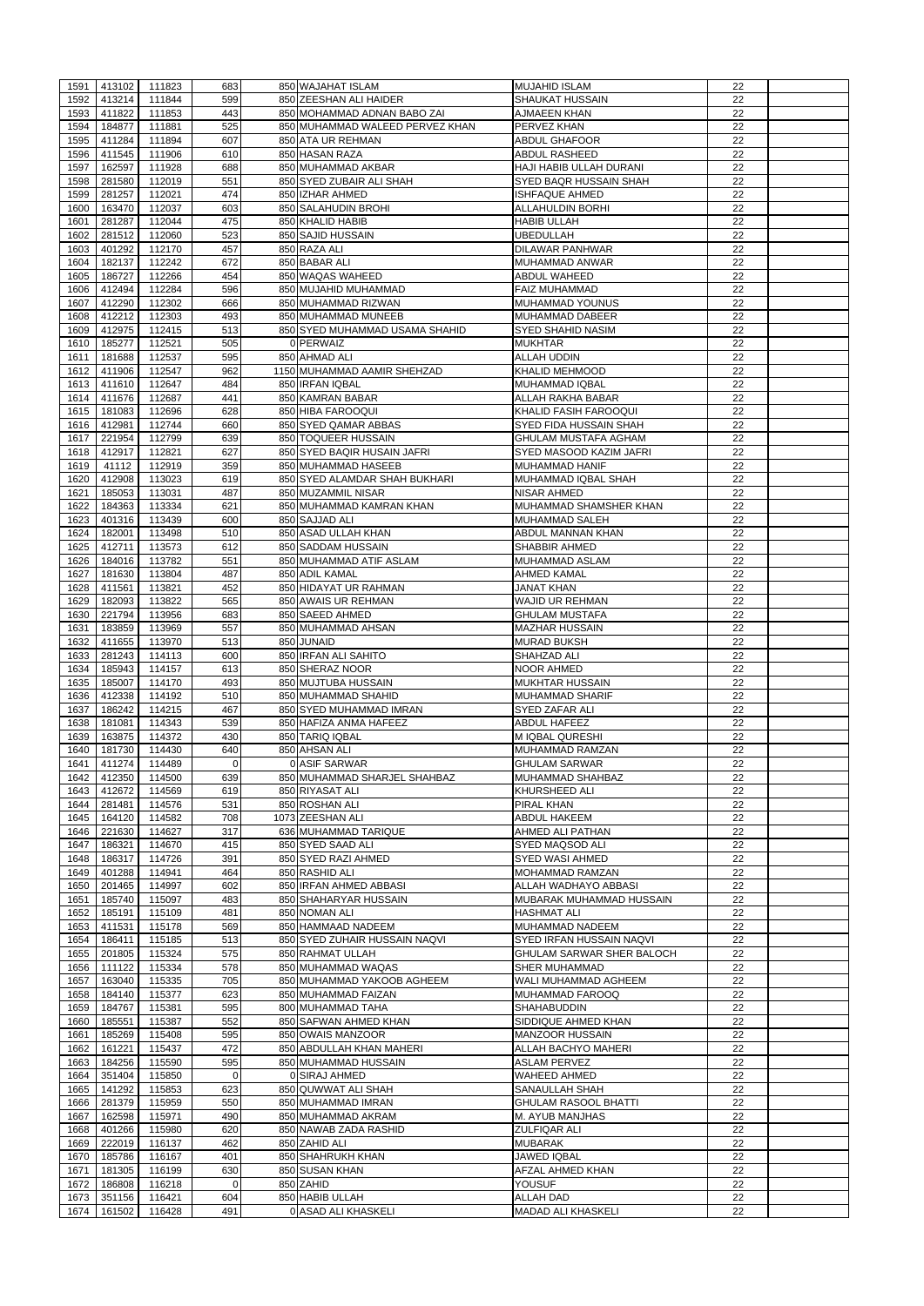| 1591 | 413102      | 111823 | 683         | 850 WAJAHAT ISLAM               | <b>MUJAHID ISLAM</b>             | 22 |  |
|------|-------------|--------|-------------|---------------------------------|----------------------------------|----|--|
| 1592 | 413214      |        | 599         | 850 ZEESHAN ALI HAIDER          |                                  |    |  |
|      | 411822      | 111844 |             |                                 | <b>SHAUKAT HUSSAIN</b>           | 22 |  |
| 1593 |             | 111853 | 443         | 850 MOHAMMAD ADNAN BABO ZAI     | <b>AJMAEEN KHAN</b>              | 22 |  |
| 1594 | 184877      | 111881 | 525         | 850 MUHAMMAD WALEED PERVEZ KHAN | <b>PERVEZ KHAN</b>               | 22 |  |
| 1595 | 411284      | 111894 | 607         | 850 ATA UR REHMAN               | <b>ABDUL GHAFOOR</b>             | 22 |  |
| 1596 | 411545      | 111906 | 610         | 850 HASAN RAZA                  | <b>ABDUL RASHEED</b>             | 22 |  |
| 1597 | 162597      | 111928 | 688         | 850 MUHAMMAD AKBAR              | HAJI HABIB ULLAH DURANI          | 22 |  |
| 1598 | 281580      | 112019 | 551         | 850 SYED ZUBAIR ALI SHAH        | <b>SYED BAQR HUSSAIN SHAH</b>    | 22 |  |
| 1599 | 281257      | 112021 | 474         | 850 IZHAR AHMED                 | <b>ISHFAQUE AHMED</b>            | 22 |  |
| 1600 | 163470      | 112037 | 603         | 850 SALAHUDIN BROHI             | <b>ALLAHULDIN BORHI</b>          | 22 |  |
| 1601 | 281287      | 112044 | 475         | 850 KHALID HABIB                | <b>HABIB ULLAH</b>               | 22 |  |
| 1602 | 281512      | 112060 | 523         | 850 SAJID HUSSAIN               | <b>UBEDULLAH</b>                 | 22 |  |
| 1603 | 401292      | 112170 | 457         | 850 RAZA ALI                    | <b>DILAWAR PANHWAR</b>           | 22 |  |
| 1604 | 182137      | 112242 | 672         | 850 BABAR ALI                   | MUHAMMAD ANWAR                   | 22 |  |
| 1605 | 186727      | 112266 | 454         | 850 WAQAS WAHEED                | <b>ABDUL WAHEED</b>              | 22 |  |
| 1606 | 412494      | 112284 | 596         | 850 MUJAHID MUHAMMAD            | <b>FAIZ MUHAMMAD</b>             | 22 |  |
| 1607 | 412290      | 112302 | 666         | 850 MUHAMMAD RIZWAN             | <b>MUHAMMAD YOUNUS</b>           | 22 |  |
| 1608 | 412212      | 112303 | 493         | 850 MUHAMMAD MUNEEB             | <b>MUHAMMAD DABEER</b>           | 22 |  |
|      |             |        |             |                                 |                                  |    |  |
| 1609 | 412975      | 112415 | 513         | 850 SYED MUHAMMAD USAMA SHAHID  | <b>SYED SHAHID NASIM</b>         | 22 |  |
| 1610 | 185277      | 112521 | 505         | 0 PERWAIZ                       | <b>MUKHTAR</b>                   | 22 |  |
| 1611 | 181688      | 112537 | 595         | 850 AHMAD ALI                   | <b>ALLAH UDDIN</b>               | 22 |  |
| 1612 | 411906      | 112547 | 962         | 1150 MUHAMMAD AAMIR SHEHZAD     | <b>KHALID MEHMOOD</b>            | 22 |  |
| 1613 | 411610      | 112647 | 484         | 850 IRFAN IQBAL                 | <b>MUHAMMAD IQBAL</b>            | 22 |  |
| 1614 | 411676      | 112687 | 441         | 850 KAMRAN BABAR                | ALLAH RAKHA BABAR                | 22 |  |
| 1615 | 181083      | 112696 | 628         | 850 HIBA FAROOQUI               | KHALID FASIH FAROOQUI            | 22 |  |
| 1616 | 412981      | 112744 | 660         | 850 SYED QAMAR ABBAS            | SYED FIDA HUSSAIN SHAH           | 22 |  |
| 1617 | 221954      | 112799 | 639         | 850 TOQUEER HUSSAIN             | <b>GHULAM MUSTAFA AGHAM</b>      | 22 |  |
| 1618 | 412917      | 112821 | 627         | 850 SYED BAQIR HUSAIN JAFRI     | SYED MASOOD KAZIM JAFRI          | 22 |  |
| 1619 | 41112       | 112919 | 359         | 850 MUHAMMAD HASEEB             | MUHAMMAD HANIF                   | 22 |  |
| 1620 | 412908      | 113023 | 619         | 850 SYED ALAMDAR SHAH BUKHARI   | MUHAMMAD IQBAL SHAH              | 22 |  |
| 1621 | 185053      | 113031 | 487         | 850 MUZAMMIL NISAR              | <b>NISAR AHMED</b>               | 22 |  |
| 1622 | 184363      | 113334 | 621         | 850 MUHAMMAD KAMRAN KHAN        | MUHAMMAD SHAMSHER KHAN           | 22 |  |
|      |             |        |             |                                 |                                  |    |  |
| 1623 | 401316      | 113439 | 600         | 850 SAJJAD ALI                  | <b>MUHAMMAD SALEH</b>            | 22 |  |
| 1624 | 182001      | 113498 | 510         | 850 ASAD ULLAH KHAN             | ABDUL MANNAN KHAN                | 22 |  |
| 1625 | 412711      | 113573 | 612         | 850 SADDAM HUSSAIN              | <b>SHABBIR AHMED</b>             | 22 |  |
| 1626 | 184016      | 113782 | 551         | 850 MUHAMMAD ATIF ASLAM         | MUHAMMAD ASLAM                   | 22 |  |
| 1627 | 181630      | 113804 | 487         | 850 ADIL KAMAL                  | <b>AHMED KAMAL</b>               | 22 |  |
| 1628 | 411561      | 113821 | 452         | 850 HIDAYAT UR RAHMAN           | <b>JANAT KHAN</b>                | 22 |  |
| 1629 | 182093      | 113822 | 565         | 850 AWAIS UR REHMAN             | <b>WAJID UR REHMAN</b>           | 22 |  |
| 1630 | 221794      | 113956 | 683         | 850 SAEED AHMED                 | <b>GHULAM MUSTAFA</b>            | 22 |  |
| 1631 | 183859      | 113969 | 557         | 850 MUHAMMAD AHSAN              | <b>MAZHAR HUSSAIN</b>            | 22 |  |
| 1632 | 411655      | 113970 | 513         | 850 JUNAID                      | <b>MURAD BUKSH</b>               | 22 |  |
| 1633 | 281243      | 114113 | 600         | 850 IRFAN ALI SAHITO            | SHAHZAD ALI                      | 22 |  |
| 1634 | 185943      | 114157 | 613         | 850 SHERAZ NOOR                 | <b>NOOR AHMED</b>                | 22 |  |
| 1635 | 185007      | 114170 | 493         | 850 MUJTUBA HUSSAIN             | <b>MUKHTAR HUSSAIN</b>           | 22 |  |
| 1636 | 412338      | 114192 | 510         | 850 MUHAMMAD SHAHID             | <b>MUHAMMAD SHARIF</b>           | 22 |  |
|      |             |        |             |                                 |                                  |    |  |
| 1637 | 186242      | 114215 | 467         | 850 SYED MUHAMMAD IMRAN         | <b>SYED ZAFAR ALI</b>            | 22 |  |
| 1638 | 181081      | 114343 | 539         | 850 HAFIZA ANMA HAFEEZ          | <b>ABDUL HAFEEZ</b>              | 22 |  |
| 1639 | 163875      | 114372 | 430         | 850 TARIQ IQBAL                 | M IQBAL QURESHI                  | 22 |  |
| 1640 | 181730      | 114430 | 640         | 850 AHSAN ALI                   | MUHAMMAD RAMZAN                  | 22 |  |
| 1641 | 411274      | 114489 | $\mathbf 0$ | 0 ASIF SARWAR                   | <b>GHULAM SARWAR</b>             | 22 |  |
| 1642 | 412350      | 114500 | 639         | 850 MUHAMMAD SHARJEL SHAHBAZ    | MUHAMMAD SHAHBAZ                 | 22 |  |
| 1643 | 412672      | 114569 | 619         | 850 RIYASAT ALI                 | <b>KHURSHEED ALI</b>             | 22 |  |
| 1644 | 281481      | 114576 | 531         | 850 ROSHAN ALI                  | <b>PIRAL KHAN</b>                | 22 |  |
| 1645 | 164120      | 114582 | 708         | 1073 ZEESHAN ALI                | <b>ABDUL HAKEEM</b>              | 22 |  |
| 1646 | 221630      | 114627 | 317         | 636 MUHAMMAD TARIQUE            | AHMED ALI PATHAN                 | 22 |  |
| 1647 | 186321      | 114670 | 415         | 850 SYED SAAD ALI               | SYED MAQSOD ALI                  | 22 |  |
| 1648 | 186317      | 114726 | 391         | 850 SYED RAZI AHMED             | <b>SYED WASI AHMED</b>           | 22 |  |
| 1649 | 401288      | 114941 | 464         | 850 RASHID ALI                  | <b>MOHAMMAD RAMZAN</b>           | 22 |  |
| 1650 | 201465      | 114997 | 602         | 850 IRFAN AHMED ABBASI          | ALLAH WADHAYO ABBASI             | 22 |  |
| 1651 | 185740      | 115097 | 483         | 850 SHAHARYAR HUSSAIN           | MUBARAK MUHAMMAD HUSSAIN         | 22 |  |
| 1652 | 185191      | 115109 | 481         | 850 NOMAN ALI                   | <b>HASHMAT ALI</b>               | 22 |  |
|      | 411531      | 115178 | 569         | 850 HAMMAAD NADEEM              |                                  | 22 |  |
| 1653 |             |        |             |                                 | MUHAMMAD NADEEM                  |    |  |
| 1654 | 186411      | 115185 | 513         | 850 SYED ZUHAIR HUSSAIN NAQVI   | SYED IRFAN HUSSAIN NAQVI         | 22 |  |
|      |             |        |             |                                 |                                  |    |  |
| 1655 | 201805      | 115324 | 575         | 850 RAHMAT ULLAH                | <b>GHULAM SARWAR SHER BALOCH</b> | 22 |  |
| 1656 | 111122      | 115334 | 578         | 850 MUHAMMAD WAQAS              | <b>SHER MUHAMMAD</b>             | 22 |  |
| 1657 | 163040      | 115335 | 705         | 850 MUHAMMAD YAKOOB AGHEEM      | WALI MUHAMMAD AGHEEM             | 22 |  |
| 1658 | 184140      | 115377 | 623         | 850 MUHAMMAD FAIZAN             | MUHAMMAD FAROOQ                  | 22 |  |
| 1659 | 184767      | 115381 | 595         | 800 MUHAMMAD TAHA               | <b>SHAHABUDDIN</b>               | 22 |  |
| 1660 | 185551      | 115387 | 552         | 850 SAFWAN AHMED KHAN           | SIDDIQUE AHMED KHAN              | 22 |  |
| 1661 | 185269      | 115408 | 595         | 850 OWAIS MANZOOR               | <b>MANZOOR HUSSAIN</b>           | 22 |  |
| 1662 | 161221      | 115437 | 472         | 850 ABDULLAH KHAN MAHERI        | <b>ALLAH BACHYO MAHERI</b>       | 22 |  |
|      | 1663 184256 | 115590 |             | 850 MUHAMMAD HUSSAIN            | <b>ASLAM PERVEZ</b>              | 22 |  |
|      |             |        | 595<br>0    |                                 | WAHEED AHMED                     |    |  |
| 1664 | 351404      | 115850 |             | 0 SIRAJ AHMED                   |                                  | 22 |  |
| 1665 | 141292      | 115853 | 623         | 850 QUWWAT ALI SHAH             | <b>SANAULLAH SHAH</b>            | 22 |  |
| 1666 | 281379      | 115959 | 550         | 850 MUHAMMAD IMRAN              | <b>GHULAM RASOOL BHATTI</b>      | 22 |  |
| 1667 | 162598      | 115971 | 490         | 850 MUHAMMAD AKRAM              | M. AYUB MANJHAS                  | 22 |  |
| 1668 | 401266      | 115980 | 620         | 850 NAWAB ZADA RASHID           | ZULFIQAR ALI                     | 22 |  |
| 1669 | 222019      | 116137 | 462         | 850 ZAHID ALI                   | <b>MUBARAK</b>                   | 22 |  |
| 1670 | 185786      | 116167 | 401         | 850 SHAHRUKH KHAN               | <b>JAWED IQBAL</b>               | 22 |  |
| 1671 | 181305      | 116199 | 630         | 850 SUSAN KHAN                  | AFZAL AHMED KHAN                 | 22 |  |
| 1672 | 186808      | 116218 | $\Omega$    | 850 ZAHID                       | <b>YOUSUF</b>                    | 22 |  |
| 1673 | 351156      | 116421 | 604         | 850 HABIB ULLAH                 | <b>ALLAH DAD</b>                 | 22 |  |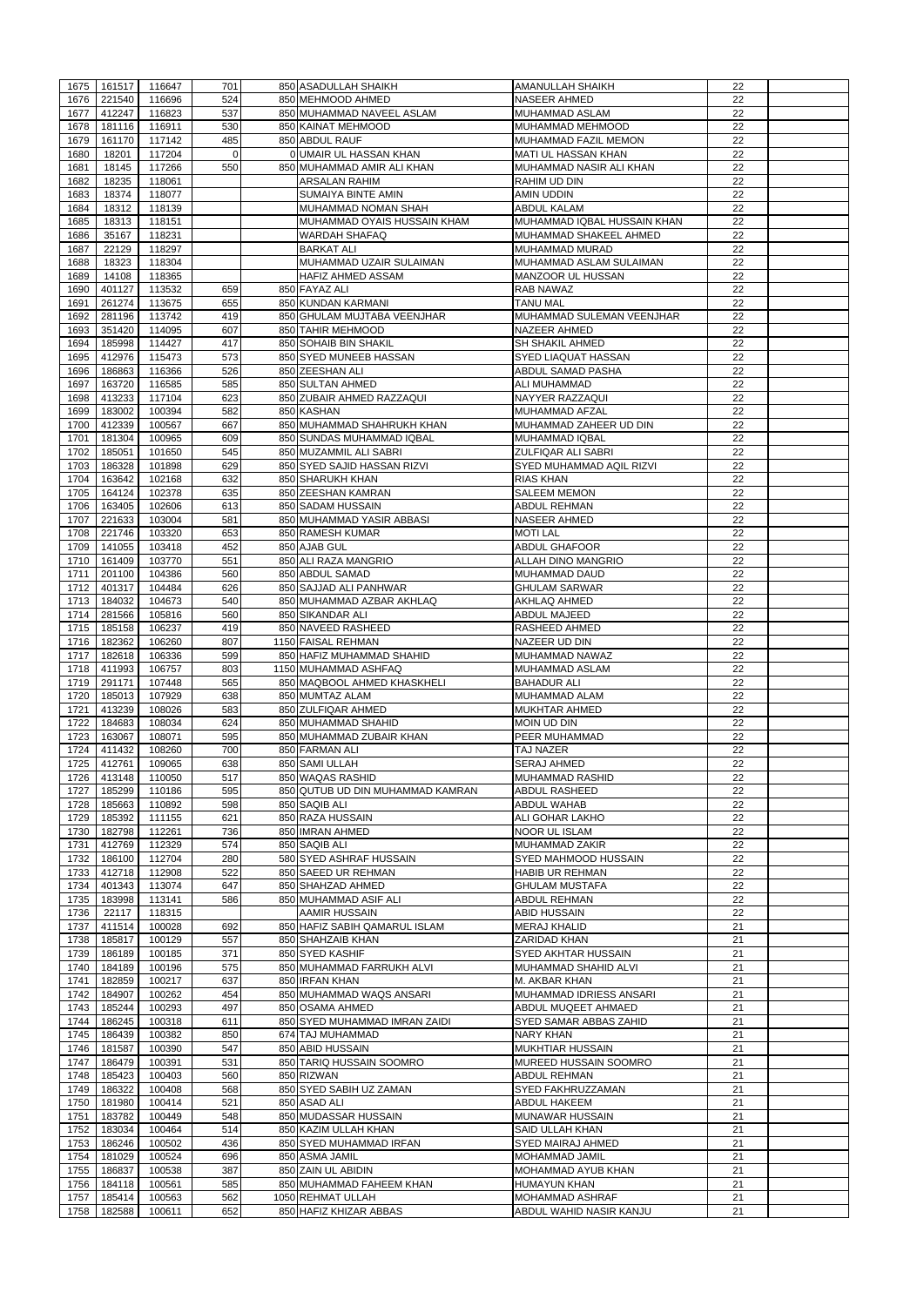| 1675         | 161517           | 116647             | 701         | 850 ASADULLAH SHAIKH                            | <b>AMANULLAH SHAIKH</b>                            | 22       |  |
|--------------|------------------|--------------------|-------------|-------------------------------------------------|----------------------------------------------------|----------|--|
| 1676         | 221540           | 116696             | 524         | 850 MEHMOOD AHMED                               | NASEER AHMED                                       | 22       |  |
| 1677         | 412247           | 116823             | 537         | 850 MUHAMMAD NAVEEL ASLAM                       | MUHAMMAD ASLAM                                     | 22       |  |
| 1678         | 181116           | 116911             | 530         | 850 KAINAT MEHMOOD                              | <b>MUHAMMAD MEHMOOD</b>                            | 22       |  |
| 1679         | 161170           | 117142             | 485         | 850 ABDUL RAUF                                  | MUHAMMAD FAZIL MEMON                               | 22       |  |
| 1680         | 18201            | 117204             | $\mathbf 0$ | 0 UMAIR UL HASSAN KHAN                          | MATI UL HASSAN KHAN                                | 22       |  |
| 1681         | 18145            | 117266             | 550         | 850 MUHAMMAD AMIR ALI KHAN                      | MUHAMMAD NASIR ALI KHAN                            | 22       |  |
| 1682         | 18235            | 118061             |             | <b>ARSALAN RAHIM</b>                            | RAHIM UD DIN                                       | 22       |  |
| 1683<br>1684 | 18374<br>18312   | 118077<br>118139   |             | SUMAIYA BINTE AMIN<br>MUHAMMAD NOMAN SHAH       | <b>AMIN UDDIN</b><br><b>ABDUL KALAM</b>            | 22<br>22 |  |
| 1685         | 18313            | 118151             |             | MUHAMMAD OYAIS HUSSAIN KHAM                     | MUHAMMAD IQBAL HUSSAIN KHAN                        | 22       |  |
| 1686         | 35167            | 118231             |             | <b>WARDAH SHAFAQ</b>                            | MUHAMMAD SHAKEEL AHMED                             | 22       |  |
| 1687         | 22129            | 118297             |             | <b>BARKAT ALI</b>                               | MUHAMMAD MURAD                                     | 22       |  |
| 1688         | 18323            | 118304             |             | MUHAMMAD UZAIR SULAIMAN                         | MUHAMMAD ASLAM SULAIMAN                            | 22       |  |
| 1689         | 14108            | 118365             |             | <b>HAFIZ AHMED ASSAM</b>                        | <b>MANZOOR UL HUSSAN</b>                           | 22       |  |
| 1690         | 401127           | 113532             | 659         | 850 FAYAZ ALI                                   | <b>RAB NAWAZ</b>                                   | 22       |  |
| 1691         | 261274           | 113675             | 655         | 850 KUNDAN KARMANI                              | <b>TANU MAL</b>                                    | 22       |  |
| 1692         | 281196           | 113742             | 419         | 850 GHULAM MUJTABA VEENJHAR                     | MUHAMMAD SULEMAN VEENJHAR                          | 22       |  |
| 1693         | 351420           | 114095             | 607         | 850 TAHIR MEHMOOD                               | NAZEER AHMED                                       | 22       |  |
| 1694         | 185998           | 114427             | 417         | 850 SOHAIB BIN SHAKIL                           | <b>SH SHAKIL AHMED</b>                             | 22       |  |
| 1695         | 412976           | 115473             | 573         | 850 SYED MUNEEB HASSAN                          | <b>SYED LIAQUAT HASSAN</b>                         | 22       |  |
| 1696         | 186863           | 116366             | 526         | 850 ZEESHAN ALI                                 | <b>ABDUL SAMAD PASHA</b>                           | 22       |  |
| 1697         | 163720           | 116585             | 585         | 850 SULTAN AHMED                                | <b>ALI MUHAMMAD</b>                                | 22       |  |
| 1698         | 413233           | 117104             | 623         | 850 ZUBAIR AHMED RAZZAQUI                       | NAYYER RAZZAQUI                                    | 22       |  |
| 1699         | 183002           | 100394             | 582         | 850 KASHAN                                      | MUHAMMAD AFZAL                                     | 22       |  |
| 1700         | 412339           | 100567             | 667         | 850 MUHAMMAD SHAHRUKH KHAN                      | MUHAMMAD ZAHEER UD DIN                             | 22       |  |
| 1701         | 181304           | 100965             | 609         | 850 SUNDAS MUHAMMAD IQBAL                       | MUHAMMAD IQBAL                                     | 22       |  |
| 1702         | 185051           | 101650             | 545         | 850 MUZAMMIL ALI SABRI                          | <b>ZULFIQAR ALI SABRI</b>                          | 22       |  |
| 1703         | 186328           | 101898             | 629         | 850 SYED SAJID HASSAN RIZVI                     | SYED MUHAMMAD AQIL RIZVI                           | 22       |  |
| 1704         | 163642           | 102168             | 632         | 850 SHARUKH KHAN                                | <b>RIAS KHAN</b>                                   | 22       |  |
| 1705         | 164124           | 102378             | 635         | 850 ZEESHAN KAMRAN                              | <b>SALEEM MEMON</b>                                | 22       |  |
| 1706         | 163405           | 102606             | 613         | 850 SADAM HUSSAIN                               | <b>ABDUL REHMAN</b>                                | 22       |  |
| 1707         | 221633           | 103004             | 581         | 850 MUHAMMAD YASIR ABBASI                       | <b>NASEER AHMED</b>                                | 22       |  |
| 1708         | 221746           | 103320             | 653         | 850 RAMESH KUMAR                                | <b>MOTI LAL</b>                                    | 22       |  |
| 1709         | 141055           | 103418             | 452         | 850 AJAB GUL                                    | <b>ABDUL GHAFOOR</b>                               | 22       |  |
|              | 1710 161409      | 103770             | 551         | 850 ALI RAZA MANGRIO                            | <b>ALLAH DINO MANGRIO</b>                          | 22       |  |
|              | 1711 201100      | 104386             | 560         | 850 ABDUL SAMAD                                 | MUHAMMAD DAUD                                      | 22       |  |
| 1712         | 401317           | 104484             | 626         | 850 SAJJAD ALI PANHWAR                          | <b>GHULAM SARWAR</b>                               | 22       |  |
| 1713         | 184032           | 104673             | 540         | 850 MUHAMMAD AZBAR AKHLAQ                       | <b>AKHLAQ AHMED</b>                                | 22       |  |
| 1714         | 281566           | 105816             | 560         | 850 SIKANDAR ALI                                | <b>ABDUL MAJEED</b>                                | 22       |  |
| 1715         | 185158           | 106237             | 419<br>807  | 850 NAVEED RASHEED                              | RASHEED AHMED                                      | 22<br>22 |  |
| 1716<br>1717 | 182362<br>182618 | 106260<br>106336   | 599         | 1150 FAISAL REHMAN<br>850 HAFIZ MUHAMMAD SHAHID | NAZEER UD DIN<br>MUHAMMAD NAWAZ                    | 22       |  |
| 1718         | 411993           | 106757             | 803         | 1150 MUHAMMAD ASHFAQ                            | MUHAMMAD ASLAM                                     | 22       |  |
| 1719         | 291171           | 107448             | 565         | 850 MAQBOOL AHMED KHASKHELI                     | <b>BAHADUR ALI</b>                                 | 22       |  |
| 1720         | 185013           | 107929             | 638         | 850 MUMTAZ ALAM                                 | MUHAMMAD ALAM                                      | 22       |  |
| 1721         | 413239           | 108026             | 583         | 850 ZULFIQAR AHMED                              | <b>MUKHTAR AHMED</b>                               | 22       |  |
| 1722         | 184683           | 108034             | 624         | 850 MUHAMMAD SHAHID                             | MOIN UD DIN                                        | 22       |  |
| 1723         | 163067           | 108071             | 595         | 850 MUHAMMAD ZUBAIR KHAN                        | <b>PEER MUHAMMAD</b>                               | 22       |  |
| 1724         | 411432           | 108260             | 700         | 850 FARMAN ALI                                  | <b>TAJ NAZER</b>                                   | 22       |  |
| 1725         | 412761           | 109065             | 638         | 850 SAMI ULLAH                                  | <b>SERAJ AHMED</b>                                 | 22       |  |
| 1726         | 413148           | 110050             | 517         | 850 WAQAS RASHID                                | <b>MUHAMMAD RASHID</b>                             | 22       |  |
| 1727         | 185299           | 110186             | 595         | 850 QUTUB UD DIN MUHAMMAD KAMRAN                | <b>ABDUL RASHEED</b>                               | 22       |  |
| 1728         | 185663           | 110892             | 598         | 850 SAQIB ALI                                   | <b>ABDUL WAHAB</b>                                 | 22       |  |
| 1729         | 185392           | 111155             | 621         | 850 RAZA HUSSAIN                                | <b>ALI GOHAR LAKHO</b>                             | 22       |  |
| 1730         | 182798           | 112261             | 736         | 850 IMRAN AHMED                                 | <b>NOOR UL ISLAM</b>                               | 22       |  |
| 1731         | 412769           | 112329             | 574         | 850 SAQIB ALI                                   | <b>MUHAMMAD ZAKIR</b>                              | 22       |  |
| 1732         | 186100           | 112704             | 280         | 580 SYED ASHRAF HUSSAIN                         | <b>SYED MAHMOOD HUSSAIN</b>                        | 22       |  |
| 1733         | 412718           | 112908             | 522         | 850 SAEED UR REHMAN                             | <b>HABIB UR REHMAN</b>                             | 22       |  |
| 1734         | 401343           | 113074             | 647         | 850 SHAHZAD AHMED                               | <b>GHULAM MUSTAFA</b>                              |          |  |
| 1735         | 183998           |                    |             |                                                 |                                                    | 22       |  |
| 1736         |                  | 113141             | 586         | 850 MUHAMMAD ASIF ALI                           | <b>ABDUL REHMAN</b>                                | 22       |  |
|              | 22117            | 118315             |             | <b>AAMIR HUSSAIN</b>                            | <b>ABID HUSSAIN</b>                                | 22       |  |
| 1737         | 411514           | 100028             | 692         | 850 HAFIZ SABIH QAMARUL ISLAM                   | <b>MERAJ KHALID</b>                                | 21       |  |
| 1738         | 185817           | 100129             | 557         | 850 SHAHZAIB KHAN                               | <b>ZARIDAD KHAN</b>                                | 21       |  |
| 1739         | 186189           | 100185             | 371         | 850 SYED KASHIF                                 | <b>SYED AKHTAR HUSSAIN</b>                         | 21       |  |
| 1740         | 184189           | 100196             | 575         | 850 MUHAMMAD FARRUKH ALVI                       | MUHAMMAD SHAHID ALVI                               | 21       |  |
| 1741         | 182859           | 100217             | 637         | 850 IRFAN KHAN                                  | M. AKBAR KHAN                                      | 21       |  |
| 1742         | 184907           | 100262             | 454         | 850 MUHAMMAD WAQS ANSARI                        | MUHAMMAD IDRIESS ANSARI                            | 21       |  |
| 1743         | 185244           | 100293             | 497         | 850 OSAMA AHMED                                 | ABDUL MUQEET AHMAED                                | 21       |  |
| 1744         | 186245           | 100318             | 611         | 850 SYED MUHAMMAD IMRAN ZAIDI                   | <b>SYED SAMAR ABBAS ZAHID</b>                      | 21       |  |
| 1745         | 186439           | 100382             | 850         | 674 TAJ MUHAMMAD                                | <b>NARY KHAN</b>                                   | 21       |  |
| 1746         | 181587           | 100390             | 547         | 850 ABID HUSSAIN                                | <b>MUKHTIAR HUSSAIN</b>                            | 21       |  |
|              |                  | 1747 186479 100391 | 531         | 850 TARIQ HUSSAIN SOOMRO                        | <b>MUREED HUSSAIN SOOMRO</b>                       | 21       |  |
| 1748         | 185423           | 100403             | 560         | 850 RIZWAN                                      | <b>ABDUL REHMAN</b>                                | 21       |  |
| 1749         | 186322           | 100408             | 568         | 850 SYED SABIH UZ ZAMAN                         | <b>SYED FAKHRUZZAMAN</b>                           | 21       |  |
| 1750         | 181980           | 100414             | 521         | 850 ASAD ALI                                    | ABDUL HAKEEM                                       | 21       |  |
| 1751         | 183782           | 100449             | 548         | 850 MUDASSAR HUSSAIN<br>850 KAZIM ULLAH KHAN    | MUNAWAR HUSSAIN                                    | 21       |  |
| 1752<br>1753 | 183034           | 100464<br>100502   | 514         |                                                 | <b>SAID ULLAH KHAN</b><br><b>SYED MAIRAJ AHMED</b> | 21       |  |
| 1754         | 186246<br>181029 | 100524             | 436<br>696  | 850 SYED MUHAMMAD IRFAN<br>850 ASMA JAMIL       | MOHAMMAD JAMIL                                     | 21<br>21 |  |
| 1755         | 186837           | 100538             | 387         | 850 ZAIN UL ABIDIN                              | <b>MOHAMMAD AYUB KHAN</b>                          | 21       |  |
| 1756         | 184118           | 100561             | 585         | 850 MUHAMMAD FAHEEM KHAN                        | <b>HUMAYUN KHAN</b>                                | 21       |  |
| 1757         | 185414           | 100563             | 562         | 1050 REHMAT ULLAH                               | <b>MOHAMMAD ASHRAF</b>                             | 21       |  |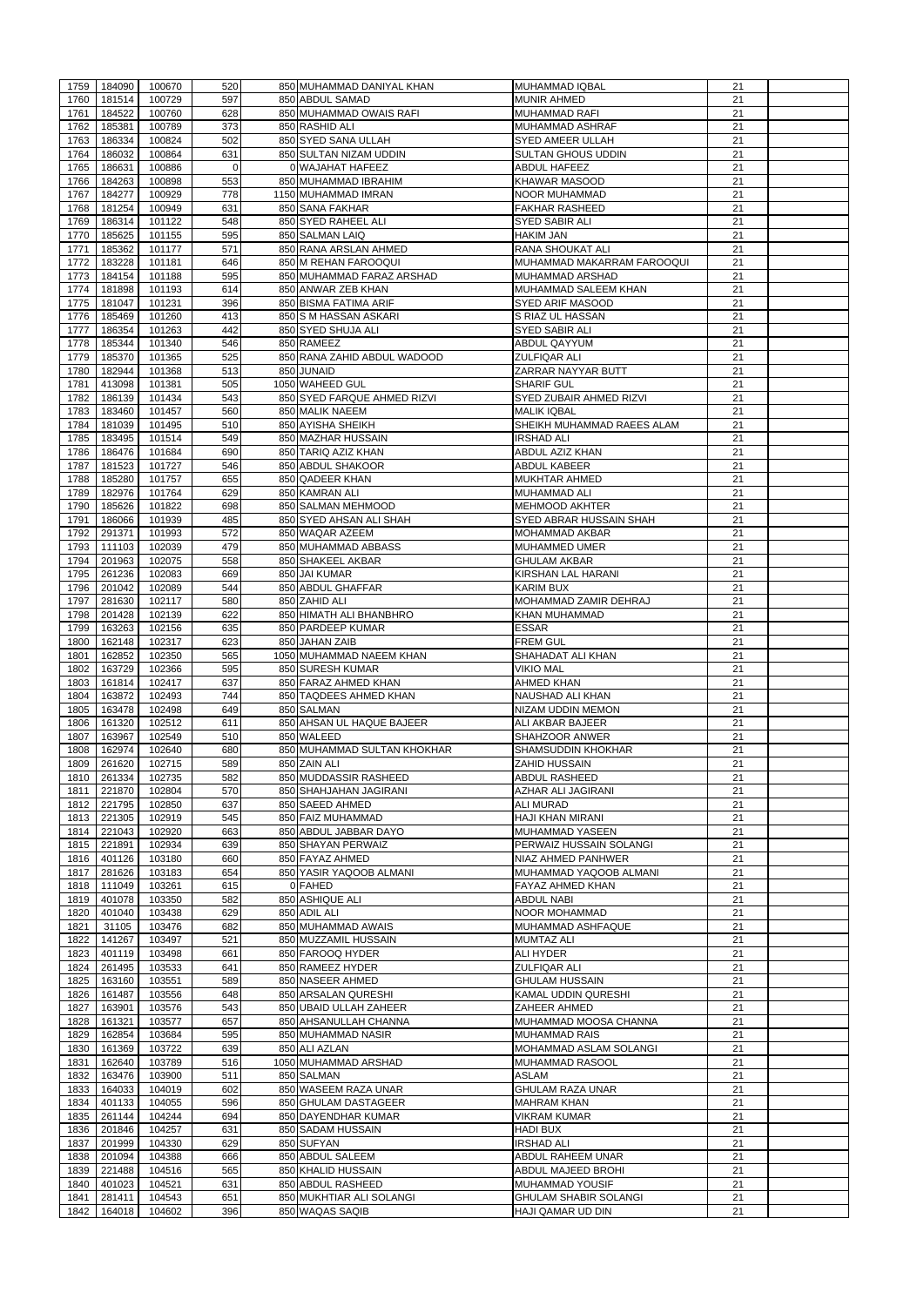| 1759         | 184090           | 100670           | 520         | 850 MUHAMMAD DANIYAL KHAN                   | <b>MUHAMMAD IQBAL</b>                             | 21       |  |
|--------------|------------------|------------------|-------------|---------------------------------------------|---------------------------------------------------|----------|--|
| 1760         | 181514           | 100729           | 597         | 850 ABDUL SAMAD                             | <b>MUNIR AHMED</b>                                | 21       |  |
|              |                  |                  |             |                                             |                                                   |          |  |
| 1761         | 184522           | 100760           | 628         | 850 MUHAMMAD OWAIS RAFI                     | <b>MUHAMMAD RAFI</b>                              | 21       |  |
| 1762         | 185381           | 100789           | 373         | 850 RASHID ALI                              | <b>MUHAMMAD ASHRAF</b>                            | 21       |  |
| 1763         | 186334           | 100824           | 502         | 850 SYED SANA ULLAH                         | <b>SYED AMEER ULLAH</b>                           | 21       |  |
| 1764         | 186032           | 100864           | 631         | 850 SULTAN NIZAM UDDIN                      | <b>SULTAN GHOUS UDDIN</b>                         | 21       |  |
| 1765         | 186631           | 100886           | $\mathbf 0$ | 0 WAJAHAT HAFEEZ                            | <b>ABDUL HAFEEZ</b>                               | 21       |  |
| 1766         | 184263           | 100898           | 553         | 850 MUHAMMAD IBRAHIM                        | <b>KHAWAR MASOOD</b>                              | 21       |  |
| 1767         | 184277           | 100929           | 778         | 1150 MUHAMMAD IMRAN                         | <b>NOOR MUHAMMAD</b>                              | 21       |  |
| 1768         | 181254           | 100949           | 631         | 850 SANA FAKHAR                             | <b>FAKHAR RASHEED</b>                             | 21       |  |
| 1769         | 186314           | 101122           | 548         | 850 SYED RAHEEL ALI                         | <b>SYED SABIR ALI</b>                             | 21       |  |
|              |                  |                  |             |                                             |                                                   |          |  |
| 1770         | 185625           | 101155           | 595         | 850 SALMAN LAIQ                             | <b>HAKIM JAN</b>                                  | 21       |  |
| 1771         | 185362           | 101177           | 571         | 850 RANA ARSLAN AHMED                       | <b>RANA SHOUKAT ALI</b>                           | 21       |  |
| 1772         | 183228           | 101181           | 646         | 850 M REHAN FAROOQUI                        | MUHAMMAD MAKARRAM FAROOQUI                        | 21       |  |
| 1773         | 184154           | 101188           | 595         | 850 MUHAMMAD FARAZ ARSHAD                   | MUHAMMAD ARSHAD                                   | 21       |  |
| 1774         | 181898           | 101193           | 614         | 850 ANWAR ZEB KHAN                          | MUHAMMAD SALEEM KHAN                              | 21       |  |
| 1775         | 181047           | 101231           | 396         | 850 BISMA FATIMA ARIF                       | <b>SYED ARIF MASOOD</b>                           | 21       |  |
| 1776         | 185469           | 101260           | 413         | 850 S M HASSAN ASKARI                       | S RIAZ UL HASSAN                                  | 21       |  |
| 1777         | 186354           | 101263           | 442         | 850 SYED SHUJA ALI                          | <b>SYED SABIR ALI</b>                             | 21       |  |
|              |                  |                  |             |                                             |                                                   |          |  |
| 1778         | 185344           | 101340           | 546         | 850 RAMEEZ                                  | <b>ABDUL QAYYUM</b>                               | 21       |  |
| 1779         | 185370           | 101365           | 525         | 850 RANA ZAHID ABDUL WADOOD                 | <b>ZULFIQAR ALI</b>                               | 21       |  |
| 1780         | 182944           | 101368           | 513         | 850 JUNAID                                  | ZARRAR NAYYAR BUTT                                | 21       |  |
| 1781         | 413098           | 101381           | 505         | 1050 WAHEED GUL                             | <b>SHARIF GUL</b>                                 | 21       |  |
| 1782         | 186139           | 101434           | 543         | 850 SYED FARQUE AHMED RIZVI                 | SYED ZUBAIR AHMED RIZVI                           | 21       |  |
| 1783         | 183460           | 101457           | 560         | 850 MALIK NAEEM                             | <b>MALIK IQBAL</b>                                | 21       |  |
| 1784         | 181039           | 101495           | 510         | 850 AYISHA SHEIKH                           | SHEIKH MUHAMMAD RAEES ALAM                        | 21       |  |
| 1785         | 183495           | 101514           | 549         | 850 MAZHAR HUSSAIN                          | <b>IRSHAD ALI</b>                                 | 21       |  |
|              |                  |                  |             |                                             |                                                   |          |  |
| 1786         | 186476           | 101684           | 690         | 850 TARIQ AZIZ KHAN                         | <b>ABDUL AZIZ KHAN</b>                            | 21       |  |
| 1787         | 181523           | 101727           | 546         | 850 ABDUL SHAKOOR                           | <b>ABDUL KABEER</b>                               | 21       |  |
| 1788         | 185280           | 101757           | 655         | 850 QADEER KHAN                             | <b>MUKHTAR AHMED</b>                              | 21       |  |
| 1789         | 182976           | 101764           | 629         | 850 KAMRAN ALI                              | MUHAMMAD ALI                                      | 21       |  |
| 1790         | 185626           | 101822           | 698         | 850 SALMAN MEHMOOD                          | <b>MEHMOOD AKHTER</b>                             | 21       |  |
| 1791         | 186066           | 101939           | 485         | 850 SYED AHSAN ALI SHAH                     | <b>SYED ABRAR HUSSAIN SHAH</b>                    | 21       |  |
| 1792         | 291371           | 101993           | 572         | 850 WAQAR AZEEM                             | <b>MOHAMMAD AKBAR</b>                             | 21       |  |
| 1793         | 111103           | 102039           | 479         | 850 MUHAMMAD ABBASS                         | <b>MUHAMMED UMER</b>                              | 21       |  |
|              |                  |                  |             | 850 SHAKEEL AKBAR                           |                                                   |          |  |
| 1794         | 201963           | 102075           | 558         |                                             | <b>GHULAM AKBAR</b>                               | 21       |  |
| 1795         | 261236           | 102083           | 669         | 850 JAI KUMAR                               | KIRSHAN LAL HARANI                                | 21       |  |
| 1796         | 201042           | 102089           | 544         | 850 ABDUL GHAFFAR                           | <b>KARIM BUX</b>                                  | 21       |  |
| 1797         | 281630           | 102117           | 580         | 850 ZAHID ALI                               | MOHAMMAD ZAMIR DEHRAJ                             | 21       |  |
| 1798         | 201428           | 102139           | 622         | 850 HIMATH ALI BHANBHRO                     | <b>KHAN MUHAMMAD</b>                              | 21       |  |
| 1799         | 163263           | 102156           | 635         | 850 PARDEEP KUMAR                           | <b>ESSAR</b>                                      | 21       |  |
| 1800         | 162148           | 102317           | 623         | 850 JAHAN ZAIB                              | <b>FREM GUL</b>                                   | 21       |  |
|              | 162852           | 102350           | 565         | 1050 MUHAMMAD NAEEM KHAN                    | SHAHADAT ALI KHAN                                 | 21       |  |
|              |                  |                  |             |                                             |                                                   |          |  |
| 1801         |                  |                  |             |                                             |                                                   |          |  |
| 1802         | 163729           | 102366           | 595         | 850 SURESH KUMAR                            | <b>VIKIO MAL</b>                                  | 21       |  |
| 1803         | 161814           | 102417           | 637         | 850 FARAZ AHMED KHAN                        | <b>AHMED KHAN</b>                                 | 21       |  |
| 1804         | 163872           | 102493           | 744         | 850 TAQDEES AHMED KHAN                      | NAUSHAD ALI KHAN                                  | 21       |  |
| 1805         | 163478           | 102498           | 649         | 850 SALMAN                                  | NIZAM UDDIN MEMON                                 | 21       |  |
| 1806         | 161320           | 102512           | 611         | 850 AHSAN UL HAQUE BAJEER                   | ALI AKBAR BAJEER                                  | 21       |  |
| 1807         | 163967           | 102549           | 510         | 850 WALEED                                  | <b>SHAHZOOR ANWER</b>                             | 21       |  |
| 1808         | 162974           | 102640           | 680         |                                             | <b>SHAMSUDDIN KHOKHAR</b>                         | 21       |  |
|              |                  |                  |             | 850 MUHAMMAD SULTAN KHOKHAR                 |                                                   |          |  |
| 1809         | 261620           | 102715           | 589         | 850 ZAIN ALI                                | <b>ZAHID HUSSAIN</b>                              | 21       |  |
| 1810         | 261334           | 102735           | 582         | 850 MUDDASSIR RASHEED                       | <b>ABDUL RASHEED</b>                              | 21       |  |
| 1811         | 221870           | 102804           | 570         | 850 SHAHJAHAN JAGIRANI                      | AZHAR ALI JAGIRANI                                | 21       |  |
| 1812         | 221795           | 102850           | 637         | 850 SAEED AHMED                             | <b>ALI MURAD</b>                                  | 21       |  |
| 1813         | 221305           | 102919           | 545         | 850 FAIZ MUHAMMAD                           | <b>HAJI KHAN MIRANI</b>                           | 21       |  |
| 1814         | 221043           | 102920           | 663         | 850 ABDUL JABBAR DAYO                       | MUHAMMAD YASEEN                                   | 21       |  |
| 1815         | 221891           | 102934           | 639         | 850 SHAYAN PERWAIZ                          | PERWAIZ HUSSAIN SOLANGI                           | 21       |  |
| 1816         | 401126           | 103180           | 660         | 850 FAYAZ AHMED                             | NIAZ AHMED PANHWER                                | 21       |  |
| 1817         | 281626           | 103183           | 654         | 850 YASIR YAQOOB ALMANI                     | MUHAMMAD YAQOOB ALMANI                            | 21       |  |
| 1818         | 111049           | 103261           | 615         | <b>OIFAHED</b>                              | FAYAZ AHMED KHAN                                  | 21       |  |
| 1819         | 401078           | 103350           | 582         |                                             | <b>ABDUL NABI</b>                                 | 21       |  |
|              |                  |                  |             | 850 ASHIQUE ALI<br>850 ADIL ALI             |                                                   |          |  |
| 1820         | 401040           | 103438           | 629         |                                             | <b>NOOR MOHAMMAD</b>                              | 21       |  |
| 1821         | 31105            | 103476           | 682         | 850 MUHAMMAD AWAIS                          | MUHAMMAD ASHFAQUE                                 | 21       |  |
| 1822         | 141267           | 103497           | 521         | 850 MUZZAMIL HUSSAIN                        | <b>MUMTAZ ALI</b>                                 | 21       |  |
| 1823         | 401119           | 103498           | 661         | 850 FAROOQ HYDER                            | <b>ALI HYDER</b>                                  | 21       |  |
| 1824         | 261495           | 103533           | 641         | 850 RAMEEZ HYDER                            | <b>ZULFIQAR ALI</b>                               | 21       |  |
| 1825         | 163160           | 103551           | 589         | 850 NASEER AHMED                            | <b>GHULAM HUSSAIN</b>                             | 21       |  |
| 1826         | 161487           | 103556           | 648         | 850 ARSALAN QURESHI                         | KAMAL UDDIN QURESHI                               | 21       |  |
| 1827         | 163901           | 103576           | 543         | 850 UBAID ULLAH ZAHEER                      | <b>ZAHEER AHMED</b>                               | 21       |  |
| 1828         | 161321           | 103577           | 657         | 850 AHSANULLAH CHANNA                       |                                                   | 21       |  |
|              |                  |                  |             |                                             | MUHAMMAD MOOSA CHANNA                             |          |  |
| 1829         | 162854           | 103684           | 595         | 850 MUHAMMAD NASIR                          | <b>MUHAMMAD RAIS</b>                              | 21       |  |
| 1830         | 161369           | 103722           | 639         | 850 ALI AZLAN                               | <b>MOHAMMAD ASLAM SOLANGI</b>                     | 21       |  |
|              | 1831 162640      | 103789           | 516         | 1050 MUHAMMAD ARSHAD                        | MUHAMMAD RASOOL                                   | 21       |  |
| 1832         | 163476           | 103900           | 511         | 850 SALMAN                                  | <b>ASLAM</b>                                      | 21       |  |
| 1833         | 164033           | 104019           | 602         | 850 WASEEM RAZA UNAR                        | <b>GHULAM RAZA UNAR</b>                           | 21       |  |
| 1834         | 401133           | 104055           | 596         | 850 GHULAM DASTAGEER                        | <b>MAHRAM KHAN</b>                                | 21       |  |
| 1835         | 261144           | 104244           | 694         | 850 DAYENDHAR KUMAR                         | VIKRAM KUMAR                                      | 21       |  |
| 1836         | 201846           | 104257           | 631         | 850 SADAM HUSSAIN                           | <b>HADI BUX</b>                                   | 21       |  |
|              |                  |                  |             |                                             |                                                   |          |  |
| 1837         | 201999           | 104330           | 629         | 850 SUFYAN                                  | <b>IRSHAD ALI</b>                                 | 21       |  |
| 1838         | 201094           | 104388           | 666         | 850 ABDUL SALEEM                            | ABDUL RAHEEM UNAR                                 | 21       |  |
| 1839         | 221488           | 104516           | 565         | 850 KHALID HUSSAIN                          | <b>ABDUL MAJEED BROHI</b>                         | 21       |  |
| 1840         | 401023           | 104521           | 631         | 850 ABDUL RASHEED                           | MUHAMMAD YOUSIF                                   | 21       |  |
| 1841<br>1842 | 281411<br>164018 | 104543<br>104602 | 651<br>396  | 850 MUKHTIAR ALI SOLANGI<br>850 WAQAS SAQIB | <b>GHULAM SHABIR SOLANGI</b><br>HAJI QAMAR UD DIN | 21<br>21 |  |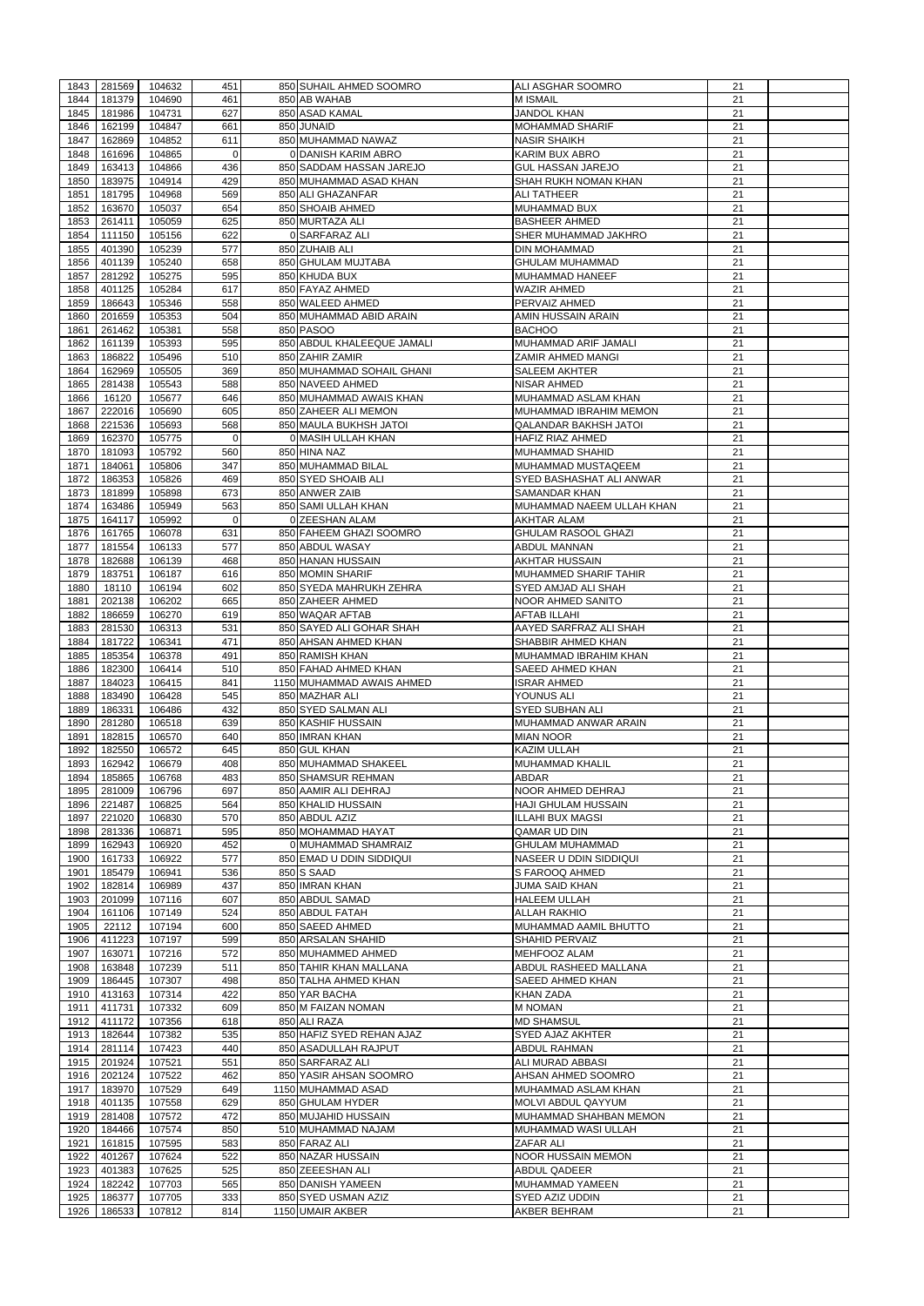| 1843         | 281569           | 104632             | 451            | 850 SUHAIL AHMED SOOMRO    | ALI ASGHAR SOOMRO                      | 21       |  |
|--------------|------------------|--------------------|----------------|----------------------------|----------------------------------------|----------|--|
| 1844         | 181379           | 104690             | 461            | 850 AB WAHAB               | <b>MISMAIL</b>                         | 21       |  |
| 1845         | 181986           | 104731             | 627            | 850 ASAD KAMAL             | <b>JANDOL KHAN</b>                     | 21       |  |
| 1846         | 162199           | 104847             | 661            | 850 JUNAID                 | <b>MOHAMMAD SHARIF</b>                 | 21       |  |
| 1847         | 162869           | 104852             | 611            | 850 MUHAMMAD NAWAZ         | <b>NASIR SHAIKH</b>                    | 21       |  |
| 1848         | 161696           | 104865             | $\overline{0}$ | 0 DANISH KARIM ABRO        | <b>KARIM BUX ABRO</b>                  | 21       |  |
| 1849         | 163413           | 104866             | 436            | 850 SADDAM HASSAN JAREJO   | <b>GUL HASSAN JAREJO</b>               | 21       |  |
| 1850         | 183975           | 104914             | 429            | 850 MUHAMMAD ASAD KHAN     | SHAH RUKH NOMAN KHAN                   | 21       |  |
| 1851         | 181795           | 104968             | 569            | 850 ALI GHAZANFAR          | <b>ALI TATHEER</b>                     | 21       |  |
| 1852         | 163670           | 105037             | 654            | 850 SHOAIB AHMED           | <b>MUHAMMAD BUX</b>                    | 21       |  |
| 1853         | 261411           | 105059             | 625            | 850 MURTAZA ALI            | <b>BASHEER AHMED</b>                   | 21       |  |
| 1854         | 111150           | 105156             | 622            | 0 SARFARAZ ALI             | SHER MUHAMMAD JAKHRO                   | 21       |  |
| 1855         | 401390           | 105239             | 577            | 850 ZUHAIB ALI             | <b>DIN MOHAMMAD</b>                    | 21       |  |
|              |                  |                    |                |                            |                                        |          |  |
| 1856         | 401139           | 105240             | 658            | 850 GHULAM MUJTABA         | <b>GHULAM MUHAMMAD</b>                 | 21       |  |
| 1857         | 281292           | 105275             | 595            | 850 KHUDA BUX              | <b>MUHAMMAD HANEEF</b>                 | 21       |  |
| 1858         | 401125           | 105284             | 617            | 850 FAYAZ AHMED            | <b>WAZIR AHMED</b>                     | 21       |  |
| 1859         | 186643           | 105346             | 558            | 850 WALEED AHMED           | <b>PERVAIZ AHMED</b>                   | 21       |  |
| 1860         | 201659           | 105353             | 504            | 850 MUHAMMAD ABID ARAIN    | AMIN HUSSAIN ARAIN                     | 21       |  |
| 1861         | 261462           | 105381             | 558            | 850 PASOO                  | <b>BACHOO</b>                          | 21       |  |
| 1862         | 161139           | 105393             | 595            | 850 ABDUL KHALEEQUE JAMALI | MUHAMMAD ARIF JAMALI                   | 21       |  |
| 1863         | 186822           | 105496             | 510            | 850 ZAHIR ZAMIR            | <b>ZAMIR AHMED MANGI</b>               | 21       |  |
| 1864         | 162969           | 105505             | 369            | 850 MUHAMMAD SOHAIL GHANI  | <b>SALEEM AKHTER</b>                   | 21       |  |
| 1865         | 281438           | 105543             | 588            | 850 NAVEED AHMED           | <b>NISAR AHMED</b>                     | 21       |  |
| 1866         | 16120            | 105677             | 646            | 850 MUHAMMAD AWAIS KHAN    | MUHAMMAD ASLAM KHAN                    | 21       |  |
| 1867         | 222016           | 105690             | 605            | 850 ZAHEER ALI MEMON       | MUHAMMAD IBRAHIM MEMON                 | 21       |  |
| 1868         | 221536           | 105693             | 568            | 850 MAULA BUKHSH JATOI     | QALANDAR BAKHSH JATOI                  | 21       |  |
| 1869         | 162370           | 105775             | $\Omega$       | 0 MASIH ULLAH KHAN         | <b>HAFIZ RIAZ AHMED</b>                | 21       |  |
| 1870         | 181093           | 105792             | 560            | 850 HINA NAZ               | <b>MUHAMMAD SHAHID</b>                 | 21       |  |
| 1871         | 184061           | 105806             | 347            | 850 MUHAMMAD BILAL         | MUHAMMAD MUSTAQEEM                     | 21       |  |
| 1872         | 186353           | 105826             | 469            | 850 SYED SHOAIB ALI        | SYED BASHASHAT ALI ANWAR               | 21       |  |
| 1873         | 181899           | 105898             | 673            | 850 ANWER ZAIB             | <b>SAMANDAR KHAN</b>                   | 21       |  |
| 1874         | 163486           | 105949             | 563            | 850 SAMI ULLAH KHAN        | MUHAMMAD NAEEM ULLAH KHAN              | 21       |  |
|              | 164117           |                    | $\mathbf 0$    | 0 ZEESHAN ALAM             |                                        | 21       |  |
| 1875         |                  | 105992             |                |                            | <b>AKHTAR ALAM</b>                     |          |  |
| 1876         | 161765           | 106078             | 631            | 850 FAHEEM GHAZI SOOMRO    | <b>GHULAM RASOOL GHAZI</b>             | 21       |  |
| 1877         | 181554           | 106133             | 577            | 850 ABDUL WASAY            | <b>ABDUL MANNAN</b>                    | 21       |  |
| 1878         | 182688           | 106139             | 468            | 850 HANAN HUSSAIN          | <b>AKHTAR HUSSAIN</b>                  | 21       |  |
| 1879         | 183751           | 106187             | 616            | 850 MOMIN SHARIF           | MUHAMMED SHARIF TAHIR                  | 21       |  |
| 1880         | 18110            | 106194             | 602            | 850 SYEDA MAHRUKH ZEHRA    | SYED AMJAD ALI SHAH                    | 21       |  |
| 1881         | 202138           | 106202             | 665            | 850 ZAHEER AHMED           | <b>NOOR AHMED SANITO</b>               | 21       |  |
| 1882         | 186659           | 106270             | 619            | 850 WAQAR AFTAB            | <b>AFTAB ILLAHI</b>                    | 21       |  |
| 1883         | 281530           | 106313             | 531            | 850 SAYED ALI GOHAR SHAH   | AAYED SARFRAZ ALI SHAH                 | 21       |  |
| 1884         | 181722           | 106341             | 471            | 850 AHSAN AHMED KHAN       | SHABBIR AHMED KHAN                     | 21       |  |
| 1885         | 185354           | 106378             | 491            | 850 RAMISH KHAN            | MUHAMMAD IBRAHIM KHAN                  | 21       |  |
| 1886         | 182300           | 106414             | 510            | 850 FAHAD AHMED KHAN       | SAEED AHMED KHAN                       | 21       |  |
| 1887         | 184023           | 106415             | 841            | 1150 MUHAMMAD AWAIS AHMED  | <b>ISRAR AHMED</b>                     | 21       |  |
| 1888         | 183490           | 106428             | 545            | 850 MAZHAR ALI             | YOUNUS ALI                             | 21       |  |
| 1889         | 186331           | 106486             | 432            | 850 SYED SALMAN ALI        | <b>SYED SUBHAN ALI</b>                 | 21       |  |
| 1890         | 281280           | 106518             | 639            | 850 KASHIF HUSSAIN         | MUHAMMAD ANWAR ARAIN                   | 21       |  |
| 1891         | 182815           | 106570             | 640            | 850 IMRAN KHAN             | <b>MIAN NOOR</b>                       | 21       |  |
| 1892         | 182550           |                    |                |                            | KAZIM ULLAH                            |          |  |
|              |                  |                    |                |                            |                                        |          |  |
| 1893         |                  | 106572             | 645            | 850 GUL KHAN               |                                        | 21       |  |
| 1894         | 162942           | 106679             | 408            | 850 MUHAMMAD SHAKEEL       | <b>MUHAMMAD KHALIL</b>                 | 21       |  |
|              | 185865           | 106768             | 483            | 850 SHAMSUR REHMAN         | <b>ABDAR</b>                           | 21       |  |
| 1895         | 281009           | 106796             | 697            | 850 AAMIR ALI DEHRAJ       | NOOR AHMED DEHRAJ                      | 21       |  |
| 1896         | 221487           | 106825             | 564            | 850 KHALID HUSSAIN         | <b>HAJI GHULAM HUSSAIN</b>             | 21       |  |
| 1897         | 221020           | 106830             | 570            | 850 ABDUL AZIZ             | <b>ILLAHI BUX MAGSI</b>                | 21       |  |
| 1898         | 281336           | 106871             | 595            | 850 MOHAMMAD HAYAT         | QAMAR UD DIN                           | 21       |  |
| 1899         | 162943           | 106920             | 452            | 0 MUHAMMAD SHAMRAIZ        | <b>GHULAM MUHAMMAD</b>                 | 21       |  |
| 1900         | 161733           | 106922             | 577            | 850 EMAD U DDIN SIDDIQUI   | NASEER U DDIN SIDDIQUI                 | 21       |  |
| 1901         | 185479           | 106941             | 536            | 850 S SAAD                 | S FAROOQ AHMED                         | 21       |  |
| 1902         | 182814           | 106989             | 437            | 850 IMRAN KHAN             | <b>JUMA SAID KHAN</b>                  | 21       |  |
| 1903         | 201099           | 107116             | 607            | 850 ABDUL SAMAD            | <b>HALEEM ULLAH</b>                    | 21       |  |
| 1904         | 161106           | 107149             | 524            | 850 ABDUL FATAH            | <b>ALLAH RAKHIO</b>                    | 21       |  |
| 1905         | 22112            | 107194             | 600            | 850 SAEED AHMED            | MUHAMMAD AAMIL BHUTTO                  | 21       |  |
| 1906         | 411223           | 107197             | 599            | 850 ARSALAN SHAHID         | SHAHID PERVAIZ                         | 21       |  |
| 1907         | 163071           | 107216             | 572            | 850 MUHAMMED AHMED         | MEHFOOZ ALAM                           | 21       |  |
| 1908         | 163848           | 107239             | 511            | 850 TAHIR KHAN MALLANA     | ABDUL RASHEED MALLANA                  | 21       |  |
| 1909         | 186445           | 107307             | 498            | 850 TALHA AHMED KHAN       | SAEED AHMED KHAN                       | 21       |  |
| 1910         |                  | 107314             | 422            | 850 YAR BACHA              | <b>KHAN ZADA</b>                       | 21       |  |
| 1911         | 413163           |                    |                | 850 M FAIZAN NOMAN         | <b>M NOMAN</b>                         |          |  |
|              | 411731           | 107332             | 609            |                            |                                        | 21<br>21 |  |
| 1912         | 411172           | 107356             | 618            | 850 ALI RAZA               | <b>MD SHAMSUL</b>                      |          |  |
| 1913         | 182644           | 107382             | 535            | 850 HAFIZ SYED REHAN AJAZ  | <b>SYED AJAZ AKHTER</b>                | 21       |  |
| 1914         | 281114           | 107423             | 440            | 850 ASADULLAH RAJPUT       | <b>ABDUL RAHMAN</b>                    | 21       |  |
|              |                  | 1915 201924 107521 | 551            | 850 SARFARAZ ALI           | ALI MURAD ABBASI                       | 21       |  |
| 1916         | 202124           | 107522             | 462            | 850 YASIR AHSAN SOOMRO     | AHSAN AHMED SOOMRO                     | 21       |  |
| 1917         | 183970           | 107529             | 649            | 1150 MUHAMMAD ASAD         | MUHAMMAD ASLAM KHAN                    | 21       |  |
| 1918         | 401135           | 107558             | 629            | 850 GHULAM HYDER           | MOLVI ABDUL QAYYUM                     | 21       |  |
| 1919         | 281408           | 107572             | 472            | 850 MUJAHID HUSSAIN        | MUHAMMAD SHAHBAN MEMON                 | 21       |  |
| 1920         | 184466           | 107574             | 850            | 510 MUHAMMAD NAJAM         | MUHAMMAD WASI ULLAH                    | 21       |  |
| 1921         | 161815           | 107595             | 583            | 850 FARAZ ALI              | <b>ZAFAR ALI</b>                       | 21       |  |
| 1922         | 401267           | 107624             | 522            | 850 NAZAR HUSSAIN          | <b>NOOR HUSSAIN MEMON</b>              | 21       |  |
| 1923         | 401383           | 107625             | 525            | 850 ZEEESHAN ALI           | <b>ABDUL QADEER</b>                    | 21       |  |
| 1924         | 182242           | 107703             | 565            | 850 DANISH YAMEEN          | MUHAMMAD YAMEEN                        | 21       |  |
| 1925<br>1926 | 186377<br>186533 | 107705<br>107812   | 333<br>814     | 850 SYED USMAN AZIZ        | <b>SYED AZIZ UDDIN</b><br>AKBER BEHRAM | 21       |  |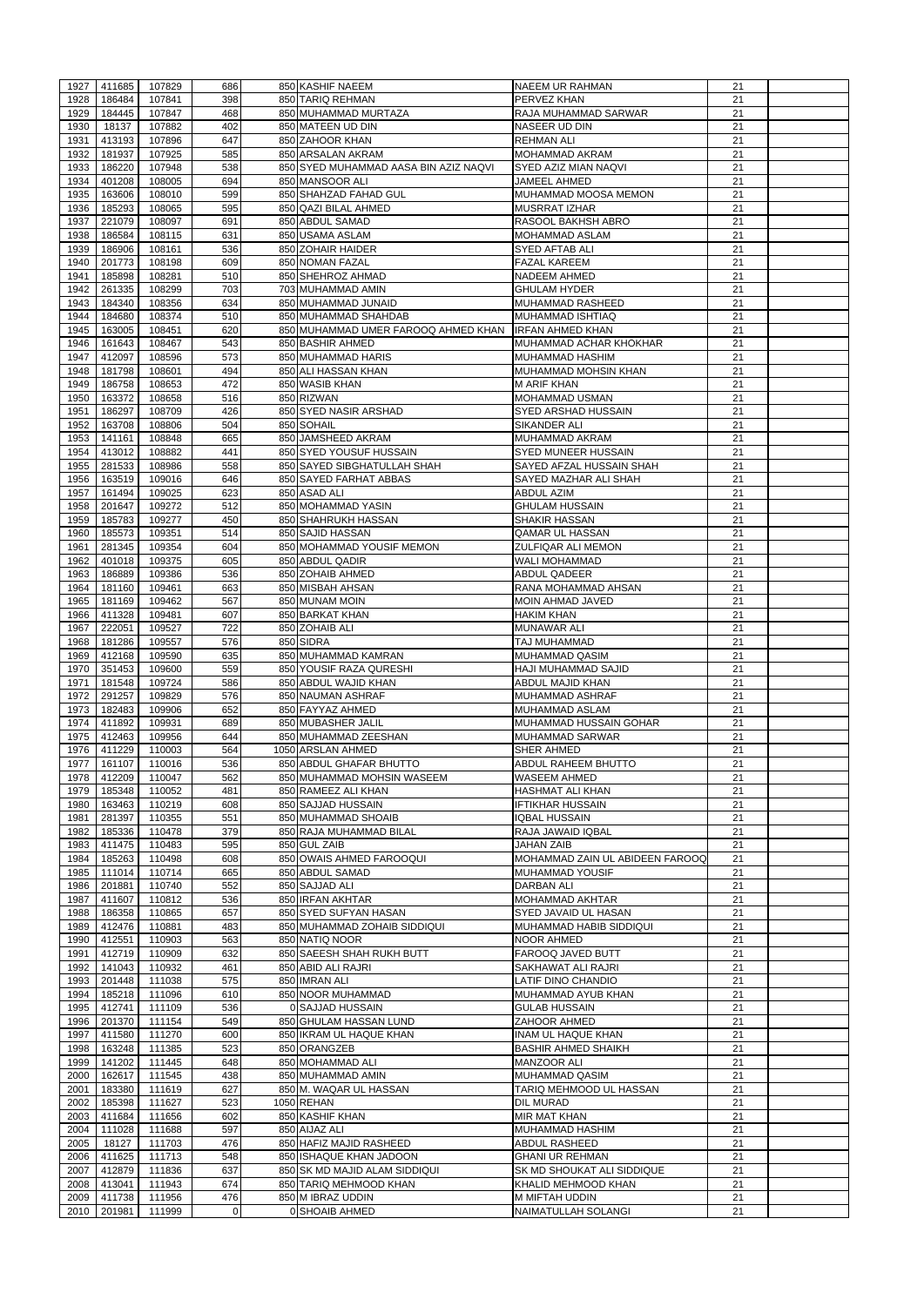| 1927 | 411685 | 107829 | 686            | 850 KASHIF NAEEM                      | <b>NAEEM UR RAHMAN</b>                | 21 |  |
|------|--------|--------|----------------|---------------------------------------|---------------------------------------|----|--|
|      | 186484 |        | 398            |                                       | <b>PERVEZ KHAN</b>                    | 21 |  |
| 1928 |        | 107841 | 468            | 850 TARIQ REHMAN                      |                                       | 21 |  |
| 1929 | 184445 | 107847 | 402            | 850 MUHAMMAD MURTAZA                  | RAJA MUHAMMAD SARWAR<br>NASEER UD DIN |    |  |
| 1930 | 18137  | 107882 |                | 850 MATEEN UD DIN                     |                                       | 21 |  |
| 1931 | 413193 | 107896 | 647            | 850 ZAHOOR KHAN                       | <b>REHMAN ALI</b>                     | 21 |  |
| 1932 | 181937 | 107925 | 585            | 850 ARSALAN AKRAM                     | <b>MOHAMMAD AKRAM</b>                 | 21 |  |
| 1933 | 186220 | 107948 | 538            | 850 SYED MUHAMMAD AASA BIN AZIZ NAQVI | SYED AZIZ MIAN NAQVI                  | 21 |  |
| 1934 | 401208 | 108005 | 694            | 850 MANSOOR ALI                       | <b>JAMEEL AHMED</b>                   | 21 |  |
| 1935 | 163606 | 108010 | 599            | 850 SHAHZAD FAHAD GUL                 | MUHAMMAD MOOSA MEMON                  | 21 |  |
| 1936 | 185293 | 108065 | 595            | 850 QAZI BILAL AHMED                  | <b>MUSRRAT IZHAR</b>                  | 21 |  |
| 1937 | 221079 | 108097 | 691            | 850 ABDUL SAMAD                       | RASOOL BAKHSH ABRO                    | 21 |  |
| 1938 | 186584 | 108115 | 631            | 850 USAMA ASLAM                       | <b>MOHAMMAD ASLAM</b>                 | 21 |  |
| 1939 | 186906 | 108161 | 536            | 850 ZOHAIR HAIDER                     | <b>SYED AFTAB ALI</b>                 | 21 |  |
| 1940 | 201773 | 108198 | 609            | 850 NOMAN FAZAL                       | <b>FAZAL KAREEM</b>                   | 21 |  |
| 1941 | 185898 | 108281 | 510            | 850 SHEHROZ AHMAD                     | <b>NADEEM AHMED</b>                   | 21 |  |
| 1942 | 261335 | 108299 | 703            | 703 MUHAMMAD AMIN                     | <b>GHULAM HYDER</b>                   | 21 |  |
| 1943 | 184340 | 108356 | 634            | 850 MUHAMMAD JUNAID                   | MUHAMMAD RASHEED                      | 21 |  |
| 1944 | 184680 | 108374 | 510            | 850 MUHAMMAD SHAHDAB                  | MUHAMMAD ISHTIAQ                      | 21 |  |
| 1945 | 163005 | 108451 | 620            | 850 MUHAMMAD UMER FAROOQ AHMED KHAN   | <b>IREAN AHMED KHAN</b>               | 21 |  |
| 1946 | 161643 | 108467 | 543            | 850 BASHIR AHMED                      | MUHAMMAD ACHAR KHOKHAR                | 21 |  |
| 1947 | 412097 | 108596 | 573            | 850 MUHAMMAD HARIS                    | <b>MUHAMMAD HASHIM</b>                | 21 |  |
| 1948 | 181798 | 108601 | 494            | 850 ALI HASSAN KHAN                   | MUHAMMAD MOHSIN KHAN                  | 21 |  |
| 1949 | 186758 | 108653 | 472            | 850 WASIB KHAN                        | <b>M ARIF KHAN</b>                    | 21 |  |
| 1950 | 163372 | 108658 | 516            | 850 RIZWAN                            | MOHAMMAD USMAN                        | 21 |  |
| 1951 | 186297 | 108709 | 426            | 850 SYED NASIR ARSHAD                 | <b>SYED ARSHAD HUSSAIN</b>            | 21 |  |
| 1952 | 163708 | 108806 | 504            | 850 SOHAIL                            | SIKANDER ALI                          | 21 |  |
| 1953 | 141161 | 108848 | 665            | 850 JAMSHEED AKRAM                    | MUHAMMAD AKRAM                        | 21 |  |
| 1954 | 413012 | 108882 | 441            | 850 SYED YOUSUF HUSSAIN               | <b>SYED MUNEER HUSSAIN</b>            | 21 |  |
| 1955 | 281533 | 108986 | 558            | 850 SAYED SIBGHATULLAH SHAH           | <b>SAYED AFZAL HUSSAIN SHAH</b>       | 21 |  |
| 1956 | 163519 | 109016 | 646            | 850 SAYED FARHAT ABBAS                | SAYED MAZHAR ALI SHAH                 | 21 |  |
| 1957 | 161494 | 109025 | 623            | 850 ASAD ALI                          | <b>ABDUL AZIM</b>                     | 21 |  |
|      |        |        |                |                                       |                                       |    |  |
| 1958 | 201647 | 109272 | 512            | 850 MOHAMMAD YASIN                    | <b>GHULAM HUSSAIN</b>                 | 21 |  |
| 1959 | 185783 | 109277 | 450            | 850 SHAHRUKH HASSAN                   | <b>SHAKIR HASSAN</b>                  | 21 |  |
| 1960 | 185573 | 109351 | 514            | 850 SAJID HASSAN                      | <b>QAMAR UL HASSAN</b>                | 21 |  |
| 1961 | 281345 | 109354 | 604            | 850 MOHAMMAD YOUSIF MEMON             | ZULFIQAR ALI MEMON                    | 21 |  |
| 1962 | 401018 | 109375 | 605            | 850 ABDUL QADIR                       | <b>WALI MOHAMMAD</b>                  | 21 |  |
| 1963 | 186889 | 109386 | 536            | 850 ZOHAIB AHMED                      | <b>ABDUL QADEER</b>                   | 21 |  |
| 1964 | 181160 | 109461 | 663            | 850 MISBAH AHSAN                      | RANA MOHAMMAD AHSAN                   | 21 |  |
| 1965 | 181169 | 109462 | 567            | 850 MUNAM MOIN                        | <b>MOIN AHMAD JAVED</b>               | 21 |  |
| 1966 | 411328 | 109481 | 607            | 850 BARKAT KHAN                       | <b>HAKIM KHAN</b>                     | 21 |  |
| 1967 | 222051 | 109527 | 722            | 850 ZOHAIB ALI                        | <b>MUNAWAR ALI</b>                    | 21 |  |
| 1968 | 181286 | 109557 | 576            | 850 SIDRA                             | TAJ MUHAMMAD                          | 21 |  |
| 1969 | 412168 | 109590 | 635            | 850 MUHAMMAD KAMRAN                   | MUHAMMAD QASIM                        | 21 |  |
| 1970 | 351453 | 109600 | 559            | 850 YOUSIF RAZA QURESHI               | HAJI MUHAMMAD SAJID                   | 21 |  |
| 1971 | 181548 | 109724 | 586            | 850 ABDUL WAJID KHAN                  | ABDUL MAJID KHAN                      | 21 |  |
| 1972 | 291257 | 109829 | 576            | 850 NAUMAN ASHRAF                     | MUHAMMAD ASHRAF                       | 21 |  |
| 1973 | 182483 | 109906 | 652            | 850 FAYYAZ AHMED                      | <b>MUHAMMAD ASLAM</b>                 | 21 |  |
| 1974 | 411892 | 109931 | 689            | 850 MUBASHER JALIL                    | <b>MUHAMMAD HUSSAIN GOHAR</b>         | 21 |  |
| 1975 | 412463 | 109956 | 644            | 850 MUHAMMAD ZEESHAN                  | <b>MUHAMMAD SARWAR</b>                | 21 |  |
| 1976 | 411229 | 110003 | 564            | 1050 ARSLAN AHMED                     | SHER AHMED                            | 21 |  |
| 1977 | 161107 | 110016 | 536            | 850 ABDUL GHAFAR BHUTTO               | <b>ABDUL RAHEEM BHUTTO</b>            | 21 |  |
| 1978 | 412209 | 110047 | 562            | 850 MUHAMMAD MOHSIN WASEEM            | <b>WASEEM AHMED</b>                   | 21 |  |
| 1979 | 185348 | 110052 | 481            | 850 RAMEEZ ALI KHAN                   | <b>HASHMAT ALI KHAN</b>               | 21 |  |
| 1980 | 163463 | 110219 | 608            | 850 SAJJAD HUSSAIN                    | <b>IFTIKHAR HUSSAIN</b>               | 21 |  |
| 1981 | 281397 | 110355 | 551            | 850 MUHAMMAD SHOAIB                   | <b>IQBAL HUSSAIN</b>                  | 21 |  |
| 1982 | 185336 | 110478 | 379            | 850 RAJA MUHAMMAD BILAL               | RAJA JAWAID IQBAL                     | 21 |  |
| 1983 | 411475 | 110483 | 595            | 850 GUL ZAIB                          | <b>JAHAN ZAIB</b>                     | 21 |  |
| 1984 | 185263 | 110498 | 608            | 850 OWAIS AHMED FAROOQUI              | MOHAMMAD ZAIN UL ABIDEEN FAROOQ       | 21 |  |
| 1985 | 111014 | 110714 | 665            | 850 ABDUL SAMAD                       | MUHAMMAD YOUSIF                       | 21 |  |
| 1986 | 201881 | 110740 | 552            | 850 SAJJAD ALI                        | <b>DARBAN ALI</b>                     | 21 |  |
| 1987 | 411607 | 110812 | 536            | 850 IRFAN AKHTAR                      | <b>MOHAMMAD AKHTAR</b>                | 21 |  |
| 1988 | 186358 | 110865 | 657            | 850 SYED SUFYAN HASAN                 | SYED JAVAID UL HASAN                  | 21 |  |
| 1989 | 412476 | 110881 | 483            | 850 MUHAMMAD ZOHAIB SIDDIQUI          | MUHAMMAD HABIB SIDDIQUI               | 21 |  |
|      |        |        | 563            |                                       |                                       |    |  |
| 1990 | 412551 | 110903 |                | 850 NATIQ NOOR                        | <b>NOOR AHMED</b>                     | 21 |  |
| 1991 | 412719 | 110909 | 632            | 850 SAEESH SHAH RUKH BUTT             | <b>FAROOQ JAVED BUTT</b>              | 21 |  |
| 1992 | 141043 | 110932 | 461            | 850 ABID ALI RAJRI                    | SAKHAWAT ALI RAJRI                    | 21 |  |
| 1993 | 201448 | 111038 | 575            | 850 IMRAN ALI                         | <b>LATIF DINO CHANDIO</b>             | 21 |  |
| 1994 | 185218 | 111096 | 610            | 850 NOOR MUHAMMAD                     | MUHAMMAD AYUB KHAN                    | 21 |  |
| 1995 | 412741 | 111109 | 536            | 0 SAJJAD HUSSAIN                      | <b>GULAB HUSSAIN</b>                  | 21 |  |
| 1996 | 201370 | 111154 | 549            | 850 GHULAM HASSAN LUND                | <b>ZAHOOR AHMED</b>                   | 21 |  |
| 1997 | 411580 | 111270 | 600            | 850 IKRAM UL HAQUE KHAN               | <b>INAM UL HAQUE KHAN</b>             | 21 |  |
| 1998 | 163248 | 111385 | 523            | 850 ORANGZEB                          | <b>BASHIR AHMED SHAIKH</b>            | 21 |  |
| 1999 | 141202 | 111445 | 648            | 850 MOHAMMAD ALI                      | <b>MANZOOR ALI</b>                    | 21 |  |
| 2000 | 162617 | 111545 | 438            | 850 MUHAMMAD AMIN                     | <b>MUHAMMAD QASIM</b>                 | 21 |  |
| 2001 | 183380 | 111619 | 627            | 850 M. WAQAR UL HASSAN                | TARIQ MEHMOOD UL HASSAN               | 21 |  |
| 2002 | 185398 | 111627 | 523            | 1050 REHAN                            | <b>DIL MURAD</b>                      | 21 |  |
| 2003 | 411684 | 111656 | 602            | 850 KASHIF KHAN                       | <b>MIR MAT KHAN</b>                   | 21 |  |
| 2004 | 111028 | 111688 | 597            | 850 AIJAZ ALI                         | <b>MUHAMMAD HASHIM</b>                | 21 |  |
| 2005 | 18127  | 111703 | 476            | 850 HAFIZ MAJID RASHEED               | <b>ABDUL RASHEED</b>                  | 21 |  |
| 2006 | 411625 | 111713 | 548            | 850 ISHAQUE KHAN JADOON               | <b>GHANI UR REHMAN</b>                | 21 |  |
| 2007 | 412879 | 111836 | 637            | 850 SK MD MAJID ALAM SIDDIQUI         | SK MD SHOUKAT ALI SIDDIQUE            | 21 |  |
| 2008 | 413041 | 111943 | 674            | 850 TARIQ MEHMOOD KHAN                | KHALID MEHMOOD KHAN                   | 21 |  |
| 2009 | 411738 | 111956 | 476            | 850 M IBRAZ UDDIN                     | M MIFTAH UDDIN                        | 21 |  |
| 2010 | 201981 | 111999 | $\overline{0}$ | 0 SHOAIB AHMED                        | NAIMATULLAH SOLANGI                   | 21 |  |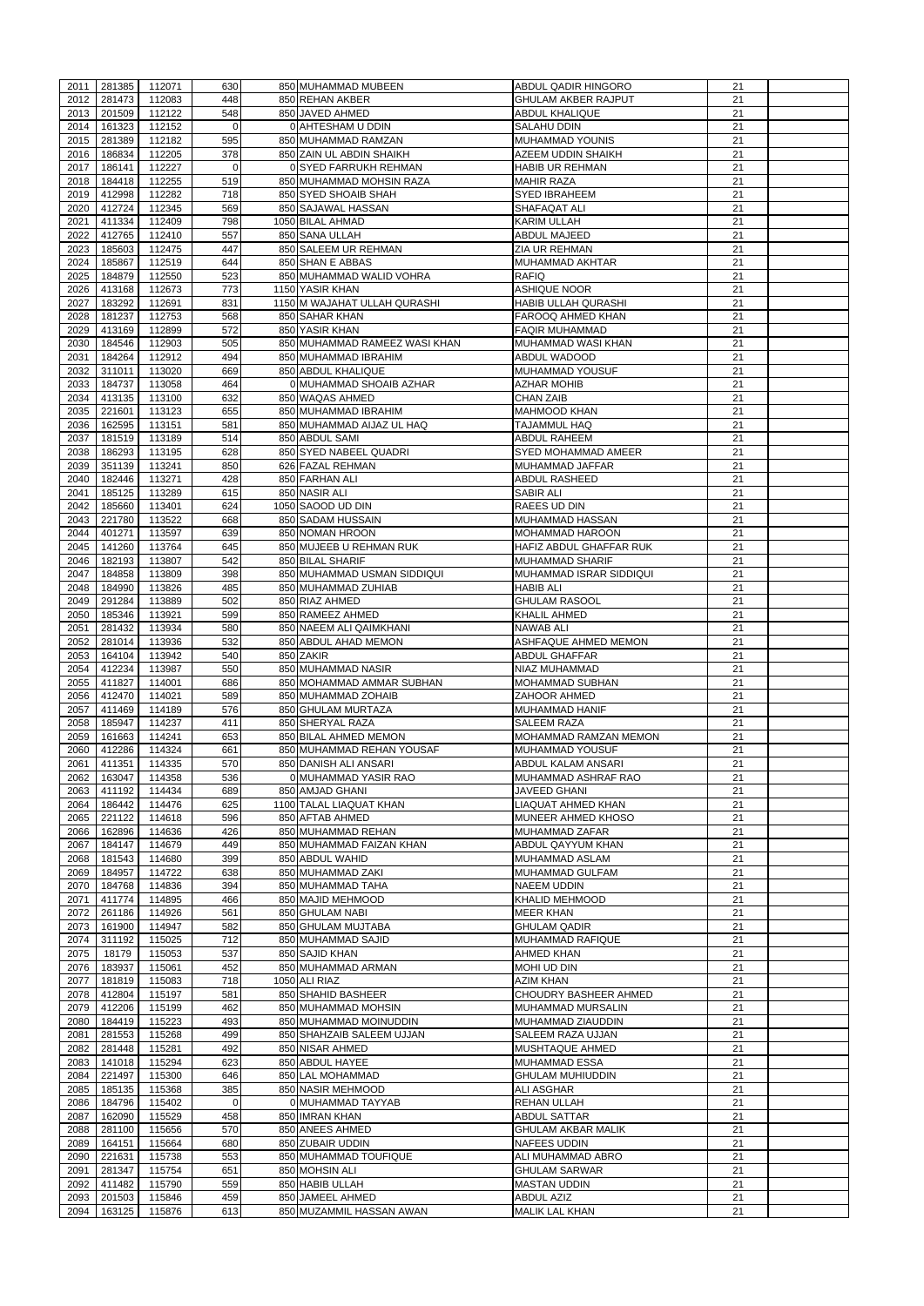| 2011 | 281385      | 112071 | 630         | 850 MUHAMMAD MUBEEN           | ABDUL QADIR HINGORO            | 21 |  |
|------|-------------|--------|-------------|-------------------------------|--------------------------------|----|--|
| 2012 | 281473      | 112083 | 448         | 850 REHAN AKBER               | <b>GHULAM AKBER RAJPUT</b>     | 21 |  |
| 2013 | 201509      | 112122 | 548         | 850 JAVED AHMED               | <b>ABDUL KHALIQUE</b>          | 21 |  |
| 2014 | 161323      | 112152 | $\mathbf 0$ | 0 AHTESHAM U DDIN             | <b>SALAHU DDIN</b>             | 21 |  |
|      |             |        |             |                               |                                |    |  |
| 2015 | 281389      | 112182 | 595         | 850 MUHAMMAD RAMZAN           | <b>MUHAMMAD YOUNIS</b>         | 21 |  |
| 2016 | 186834      | 112205 | 378         | 850 ZAIN UL ABDIN SHAIKH      | AZEEM UDDIN SHAIKH             | 21 |  |
| 2017 | 186141      | 112227 | 0           | 0 SYED FARRUKH REHMAN         | <b>HABIB UR REHMAN</b>         | 21 |  |
|      |             |        |             |                               |                                |    |  |
| 2018 | 184418      | 112255 | 519         | 850 MUHAMMAD MOHSIN RAZA      | <b>MAHIR RAZA</b>              | 21 |  |
| 2019 | 412998      | 112282 | 718         | 850 SYED SHOAIB SHAH          | <b>SYED IBRAHEEM</b>           | 21 |  |
| 2020 | 412724      | 112345 | 569         | 850 SAJAWAL HASSAN            | SHAFAQAT ALI                   | 21 |  |
| 2021 | 411334      | 112409 | 798         | 1050 BILAL AHMAD              | <b>KARIM ULLAH</b>             | 21 |  |
|      |             |        |             |                               |                                |    |  |
| 2022 | 412765      | 112410 | 557         | 850 SANA ULLAH                | <b>ABDUL MAJEED</b>            | 21 |  |
| 2023 | 185603      | 112475 | 447         | 850 SALEEM UR REHMAN          | <b>ZIA UR REHMAN</b>           | 21 |  |
| 2024 | 185867      | 112519 | 644         | 850 SHAN E ABBAS              | <b>MUHAMMAD AKHTAR</b>         | 21 |  |
|      |             |        |             |                               |                                |    |  |
| 2025 | 184879      | 112550 | 523         | 850 MUHAMMAD WALID VOHRA      | <b>RAFIQ</b>                   | 21 |  |
| 2026 | 413168      | 112673 | 773         | 1150 YASIR KHAN               | <b>ASHIQUE NOOR</b>            | 21 |  |
| 2027 | 183292      | 112691 | 831         | 1150 M WAJAHAT ULLAH QURASHI  | <b>HABIB ULLAH QURASHI</b>     | 21 |  |
| 2028 | 181237      | 112753 | 568         | 850 SAHAR KHAN                | FAROOQ AHMED KHAN              | 21 |  |
|      |             |        |             |                               |                                |    |  |
| 2029 | 413169      | 112899 | 572         | 850 YASIR KHAN                | <b>FAQIR MUHAMMAD</b>          | 21 |  |
| 2030 | 184546      | 112903 | 505         | 850 MUHAMMAD RAMEEZ WASI KHAN | MUHAMMAD WASI KHAN             | 21 |  |
| 2031 | 184264      | 112912 | 494         | 850 MUHAMMAD IBRAHIM          | <b>ABDUL WADOOD</b>            | 21 |  |
|      |             |        | 669         |                               |                                | 21 |  |
| 2032 | 311011      | 113020 |             | 850 ABDUL KHALIQUE            | <b>MUHAMMAD YOUSUF</b>         |    |  |
| 2033 | 184737      | 113058 | 464         | 0 MUHAMMAD SHOAIB AZHAR       | <b>AZHAR MOHIB</b>             | 21 |  |
| 2034 | 413135      | 113100 | 632         | 850 WAQAS AHMED               | <b>CHAN ZAIB</b>               | 21 |  |
| 2035 | 221601      | 113123 | 655         | 850 MUHAMMAD IBRAHIM          | <b>MAHMOOD KHAN</b>            | 21 |  |
|      |             |        |             |                               |                                |    |  |
| 2036 | 162595      | 113151 | 581         | 850 MUHAMMAD AIJAZ UL HAQ     | <b>TAJAMMUL HAQ</b>            | 21 |  |
| 2037 | 181519      | 113189 | 514         | 850 ABDUL SAMI                | <b>ABDUL RAHEEM</b>            | 21 |  |
| 2038 | 186293      | 113195 | 628         | 850 SYED NABEEL QUADRI        | <b>SYED MOHAMMAD AMEER</b>     | 21 |  |
|      |             |        |             |                               |                                |    |  |
| 2039 | 351139      | 113241 | 850         | 626 FAZAL REHMAN              | MUHAMMAD JAFFAR                | 21 |  |
| 2040 | 182446      | 113271 | 428         | 850 FARHAN ALI                | <b>ABDUL RASHEED</b>           | 21 |  |
| 2041 | 185125      | 113289 | 615         | 850 NASIR ALI                 | <b>SABIR ALI</b>               | 21 |  |
| 2042 | 185660      | 113401 | 624         | 1050 SAOOD UD DIN             | <b>RAEES UD DIN</b>            | 21 |  |
|      |             |        |             |                               |                                |    |  |
| 2043 | 221780      | 113522 | 668         | 850 SADAM HUSSAIN             | MUHAMMAD HASSAN                | 21 |  |
| 2044 | 401271      | 113597 | 639         | 850 NOMAN HROON               | <b>MOHAMMAD HAROON</b>         | 21 |  |
| 2045 | 141260      | 113764 | 645         | 850 MUJEEB U REHMAN RUK       | <b>HAFIZ ABDUL GHAFFAR RUK</b> | 21 |  |
|      |             |        |             |                               |                                |    |  |
| 2046 | 182193      | 113807 | 542         | 850 BILAL SHARIF              | <b>MUHAMMAD SHARIF</b>         | 21 |  |
| 2047 | 184858      | 113809 | 398         | 850 MUHAMMAD USMAN SIDDIQUI   | MUHAMMAD ISRAR SIDDIQUI        | 21 |  |
| 2048 | 184990      | 113826 | 485         | 850 MUHAMMAD ZUHIAB           | <b>HABIB ALI</b>               | 21 |  |
|      |             |        |             |                               |                                |    |  |
| 2049 | 291284      | 113889 | 502         | 850 RIAZ AHMED                | <b>GHULAM RASOOL</b>           | 21 |  |
| 2050 | 185346      | 113921 | 599         | 850 RAMEEZ AHMED              | <b>KHALIL AHMED</b>            | 21 |  |
| 2051 | 281432      | 113934 | 580         | 850 NAEEM ALI QAIMKHANI       | <b>NAWAB ALI</b>               | 21 |  |
|      |             |        |             |                               |                                |    |  |
| 2052 | 281014      | 113936 | 532         | 850 ABDUL AHAD MEMON          | <b>ASHFAQUE AHMED MEMON</b>    | 21 |  |
| 2053 | 164104      | 113942 | 540         | 850 ZAKIR                     | <b>ABDUL GHAFFAR</b>           | 21 |  |
| 2054 | 412234      | 113987 | 550         | 850 MUHAMMAD NASIR            | <b>NIAZ MUHAMMAD</b>           | 21 |  |
| 2055 | 411827      | 114001 | 686         | 850 MOHAMMAD AMMAR SUBHAN     | <b>MOHAMMAD SUBHAN</b>         | 21 |  |
|      |             |        |             |                               |                                |    |  |
| 2056 | 412470      | 114021 | 589         | 850 MUHAMMAD ZOHAIB           | ZAHOOR AHMED                   | 21 |  |
| 2057 | 411469      | 114189 | 576         | 850 GHULAM MURTAZA            | MUHAMMAD HANIF                 | 21 |  |
| 2058 | 185947      | 114237 | 411         | 850 SHERYAL RAZA              | <b>SALEEM RAZA</b>             | 21 |  |
|      |             |        |             |                               |                                |    |  |
| 2059 | 161663      | 114241 | 653         | 850 BILAL AHMED MEMON         | MOHAMMAD RAMZAN MEMON          | 21 |  |
| 2060 | 412286      | 114324 | 661         | 850 MUHAMMAD REHAN YOUSAF     | MUHAMMAD YOUSUF                | 21 |  |
| 2061 | 411351      | 114335 | 570         | 850 DANISH ALI ANSARI         | ABDUL KALAM ANSARI             | 21 |  |
| 2062 | 163047      | 114358 | 536         | 0 MUHAMMAD YASIR RAO          | MUHAMMAD ASHRAF RAO            | 21 |  |
|      |             |        |             |                               |                                |    |  |
| 2063 | 411192      | 114434 | 689         | 850 AMJAD GHANI               | <b>JAVEED GHANI</b>            | 21 |  |
| 2064 | 186442      | 114476 | 625         | 1100 TALAL LIAQUAT KHAN       | LIAQUAT AHMED KHAN             | 21 |  |
| 2065 | 221122      | 114618 | 596         | 850 AFTAB AHMED               | MUNEER AHMED KHOSO             | 21 |  |
|      |             |        |             |                               |                                |    |  |
| 2066 | 162896      | 114636 | 426         | 850 MUHAMMAD REHAN            | MUHAMMAD ZAFAR                 | 21 |  |
| 2067 | 184147      | 114679 | 449         | 850 MUHAMMAD FAIZAN KHAN      | ABDUL QAYYUM KHAN              | 21 |  |
| 2068 | 181543      | 114680 | 399         | 850 ABDUL WAHID               | MUHAMMAD ASLAM                 | 21 |  |
| 2069 | 184957      | 114722 | 638         | 850 MUHAMMAD ZAKI             | <b>MUHAMMAD GULFAM</b>         | 21 |  |
|      |             |        |             |                               |                                |    |  |
| 2070 | 184768      | 114836 | 394         | 850 MUHAMMAD TAHA             | <b>NAEEM UDDIN</b>             | 21 |  |
| 2071 | 411774      | 114895 | 466         | 850 MAJID MEHMOOD             | <b>KHALID MEHMOOD</b>          | 21 |  |
| 2072 | 261186      | 114926 | 561         | 850 GHULAM NABI               | <b>MEER KHAN</b>               | 21 |  |
| 2073 | 161900      | 114947 | 582         | 850 GHULAM MUJTABA            | <b>GHULAM QADIR</b>            | 21 |  |
|      |             |        |             |                               |                                |    |  |
| 2074 | 311192      | 115025 | 712         | 850 MUHAMMAD SAJID            | MUHAMMAD RAFIQUE               | 21 |  |
| 2075 | 18179       | 115053 | 537         | 850 SAJID KHAN                | <b>AHMED KHAN</b>              | 21 |  |
| 2076 | 183937      | 115061 | 452         | 850 MUHAMMAD ARMAN            | MOHI UD DIN                    | 21 |  |
| 2077 | 181819      | 115083 | 718         | 1050 ALI RIAZ                 | <b>AZIM KHAN</b>               | 21 |  |
|      |             |        |             |                               |                                |    |  |
| 2078 | 412804      | 115197 | 581         | 850 SHAHID BASHEER            | <b>CHOUDRY BASHEER AHMED</b>   | 21 |  |
| 2079 | 412206      | 115199 | 462         | 850 MUHAMMAD MOHSIN           | <b>MUHAMMAD MURSALIN</b>       | 21 |  |
| 2080 | 184419      | 115223 | 493         | 850 MUHAMMAD MOINUDDIN        | MUHAMMAD ZIAUDDIN              | 21 |  |
|      |             |        |             | 850 SHAHZAIB SALEEM UJJAN     | <b>SALEEM RAZA UJJAN</b>       | 21 |  |
| 2081 |             |        |             |                               |                                |    |  |
| 2082 | 281553      | 115268 | 499         |                               |                                |    |  |
|      | 281448      | 115281 | 492         | 850 NISAR AHMED               | MUSHTAQUE AHMED                | 21 |  |
|      |             | 115294 | 623         | 850 ABDUL HAYEE               | <b>MUHAMMAD ESSA</b>           | 21 |  |
|      | 2083 141018 |        |             |                               |                                |    |  |
| 2084 | 221497      | 115300 | 646         | 850 LAL MOHAMMAD              | <b>GHULAM MUHIUDDIN</b>        | 21 |  |
| 2085 | 185135      | 115368 | 385         | 850 NASIR MEHMOOD             | ALI ASGHAR                     | 21 |  |
| 2086 | 184796      | 115402 | 0           | 0 MUHAMMAD TAYYAB             | <b>REHAN ULLAH</b>             | 21 |  |
|      |             |        |             |                               |                                |    |  |
| 2087 | 162090      | 115529 | 458         | 850 IMRAN KHAN                | <b>ABDUL SATTAR</b>            | 21 |  |
| 2088 | 281100      | 115656 | 570         | 850 ANEES AHMED               | <b>GHULAM AKBAR MALIK</b>      | 21 |  |
| 2089 | 164151      | 115664 | 680         | 850 ZUBAIR UDDIN              | <b>NAFEES UDDIN</b>            | 21 |  |
| 2090 | 221631      |        |             | 850 MUHAMMAD TOUFIQUE         | ALI MUHAMMAD ABRO              | 21 |  |
|      |             | 115738 | 553         |                               |                                |    |  |
| 2091 | 281347      | 115754 | 651         | 850 MOHSIN ALI                | <b>GHULAM SARWAR</b>           | 21 |  |
| 2092 | 411482      | 115790 | 559         | 850 HABIB ULLAH               | <b>MASTAN UDDIN</b>            | 21 |  |
| 2093 | 201503      | 115846 | 459         | 850 JAMEEL AHMED              | <b>ABDUL AZIZ</b>              | 21 |  |
| 2094 | 163125      | 115876 | 613         | 850 MUZAMMIL HASSAN AWAN      | <b>MALIK LAL KHAN</b>          | 21 |  |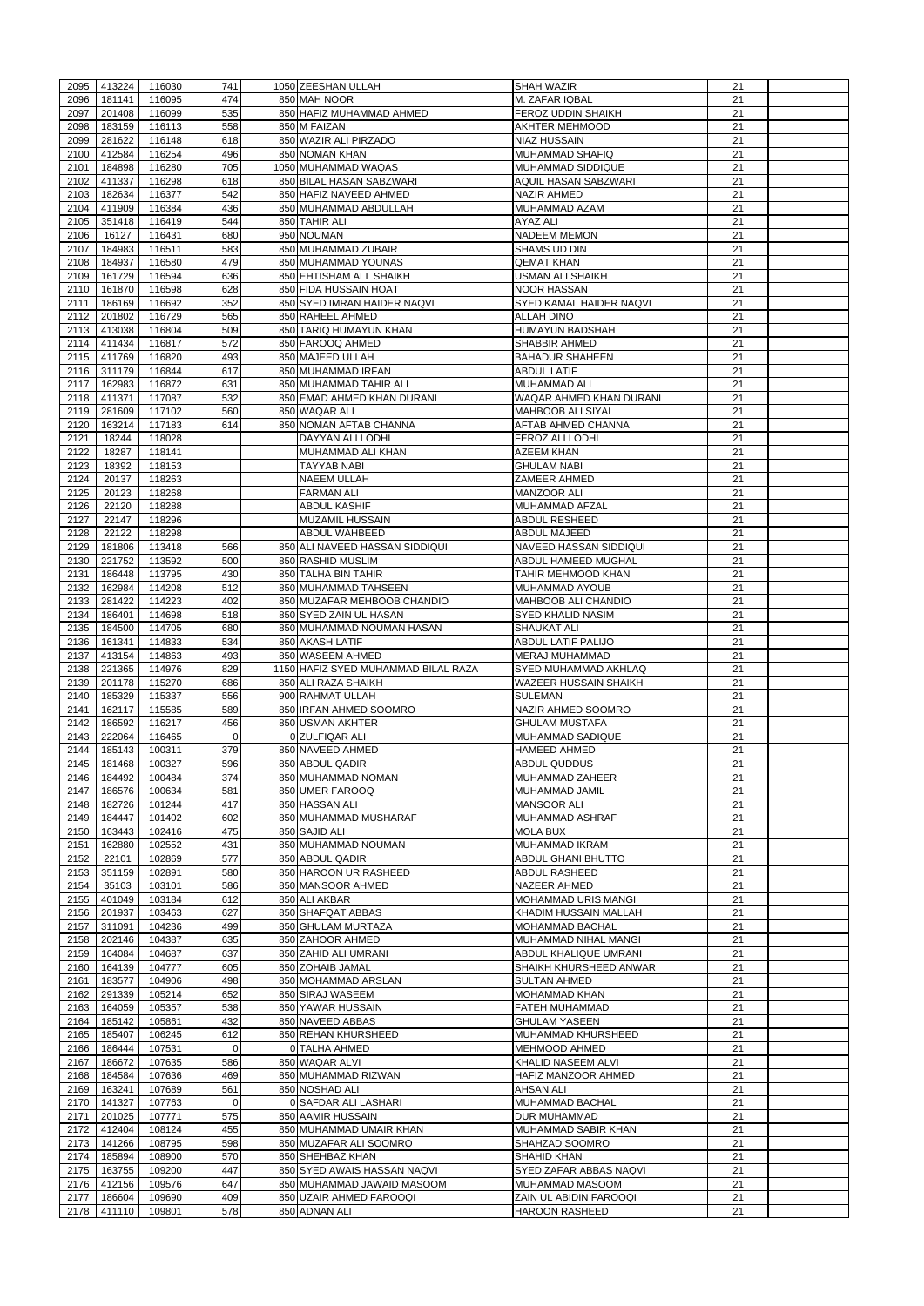| 2095         | 413224           | 116030                 | 741            | 1050 ZEESHAN ULLAH                       | <b>SHAH WAZIR</b>                               | 21       |  |
|--------------|------------------|------------------------|----------------|------------------------------------------|-------------------------------------------------|----------|--|
|              |                  |                        |                |                                          |                                                 |          |  |
| 2096         | 181141           | 116095                 | 474            | 850 MAH NOOR                             | M. ZAFAR IQBAL                                  | 21       |  |
| 2097         | 201408           | 116099                 | 535            | 850 HAFIZ MUHAMMAD AHMED                 | <b>FEROZ UDDIN SHAIKH</b>                       | 21       |  |
| 2098         | 183159           | 116113                 | 558            | 850 M FAIZAN                             | <b>AKHTER MEHMOOD</b>                           | 21       |  |
| 2099         | 281622           | 116148                 | 618            | 850 WAZIR ALI PIRZADO                    | <b>NIAZ HUSSAIN</b>                             | 21       |  |
| 2100         | 412584           | 116254                 | 496            | 850 NOMAN KHAN                           | <b>MUHAMMAD SHAFIQ</b>                          | 21       |  |
|              |                  |                        |                |                                          |                                                 |          |  |
| 2101         | 184898           | 116280                 | 705            | 1050 MUHAMMAD WAQAS                      | <b>MUHAMMAD SIDDIQUE</b>                        | 21       |  |
| 2102         | 411337           | 116298                 | 618            | 850 BILAL HASAN SABZWARI                 | AQUIL HASAN SABZWARI                            | 21       |  |
| 2103         | 182634           | 116377                 | 542            | 850 HAFIZ NAVEED AHMED                   | <b>NAZIR AHMED</b>                              | 21       |  |
| 2104         | 411909           | 116384                 | 436            | 850 MUHAMMAD ABDULLAH                    | MUHAMMAD AZAM                                   | 21       |  |
| 2105         | 351418           | 116419                 | 544            | 850 TAHIR ALI                            | <b>AYAZ ALI</b>                                 | 21       |  |
|              |                  |                        |                | 950 NOUMAN                               | NADEEM MEMON                                    |          |  |
| 2106         | 16127            | 116431                 | 680            |                                          |                                                 | 21       |  |
| 2107         | 184983           | 116511                 | 583            | 850 MUHAMMAD ZUBAIR                      | SHAMS UD DIN                                    | 21       |  |
| 2108         | 184937           | 116580                 | 479            | 850 MUHAMMAD YOUNAS                      | <b>QEMAT KHAN</b>                               | 21       |  |
| 2109         | 161729           | 116594                 | 636            | 850 EHTISHAM ALI SHAIKH                  | <b>USMAN ALI SHAIKH</b>                         | 21       |  |
| 2110         | 161870           | 116598                 | 628            | 850 FIDA HUSSAIN HOAT                    | <b>NOOR HASSAN</b>                              | 21       |  |
| 2111         | 186169           | 116692                 | 352            | 850 SYED IMRAN HAIDER NAQVI              | <b>SYED KAMAL HAIDER NAQVI</b>                  | 21       |  |
|              |                  |                        |                |                                          |                                                 |          |  |
| 2112         | 201802           | 116729                 | 565            | 850 RAHEEL AHMED                         | <b>ALLAH DINO</b>                               | 21       |  |
| 2113         | 413038           | 116804                 | 509            | 850 TARIQ HUMAYUN KHAN                   | <b>HUMAYUN BADSHAH</b>                          | 21       |  |
| 2114         | 411434           | 116817                 | 572            | 850 FAROOQ AHMED                         | <b>SHABBIR AHMED</b>                            | 21       |  |
| 2115         | 411769           | 116820                 | 493            | 850 MAJEED ULLAH                         | <b>BAHADUR SHAHEEN</b>                          | 21       |  |
| 2116         | 311179           | 116844                 | 617            | 850 MUHAMMAD IRFAN                       | <b>ABDUL LATIF</b>                              | 21       |  |
| 2117         | 162983           | 116872                 | 631            | 850 MUHAMMAD TAHIR ALI                   | MUHAMMAD ALI                                    | 21       |  |
|              |                  |                        |                |                                          |                                                 |          |  |
| 2118         | 411371           | 117087                 | 532            | 850 EMAD AHMED KHAN DURANI               | WAQAR AHMED KHAN DURANI                         | 21       |  |
| 2119         | 281609           | 117102                 | 560            | 850 WAQAR ALI                            | <b>MAHBOOB ALI SIYAL</b>                        | 21       |  |
| 2120         | 163214           | 117183                 | 614            | 850 NOMAN AFTAB CHANNA                   | AFTAB AHMED CHANNA                              | 21       |  |
| 2121         | 18244            | 118028                 |                | DAYYAN ALI LODHI                         | <b>FEROZ ALI LODHI</b>                          | 21       |  |
| 2122         | 18287            | 118141                 |                | MUHAMMAD ALI KHAN                        | <b>AZEEM KHAN</b>                               | 21       |  |
|              |                  |                        |                |                                          |                                                 |          |  |
| 2123         | 18392            | 118153                 |                | <b>TAYYAB NABI</b>                       | <b>GHULAM NABI</b>                              | 21       |  |
| 2124         | 20137            | 118263                 |                | <b>NAEEM ULLAH</b>                       | <b>ZAMEER AHMED</b>                             | 21       |  |
| 2125         | 20123            | 118268                 |                | <b>FARMAN ALI</b>                        | <b>MANZOOR ALI</b>                              | 21       |  |
| 2126         | 22120            | 118288                 |                | <b>ABDUL KASHIF</b>                      | MUHAMMAD AFZAL                                  | 21       |  |
| 2127         | 22147            | 118296                 |                | <b>MUZAMIL HUSSAIN</b>                   | <b>ABDUL RESHEED</b>                            | 21       |  |
|              |                  |                        |                |                                          |                                                 |          |  |
| 2128         | 22122            | 118298                 |                | <b>ABDUL WAHBEED</b>                     | <b>ABDUL MAJEED</b>                             | 21       |  |
| 2129         | 181806           | 113418                 | 566            | 850 ALI NAVEED HASSAN SIDDIQUI           | NAVEED HASSAN SIDDIQUI                          | 21       |  |
| 2130         | 221752           | 113592                 | 500            | 850 RASHID MUSLIM                        | <b>ABDUL HAMEED MUGHAL</b>                      | 21       |  |
|              | 2131 186448      | 113795                 | 430            | 850 TALHA BIN TAHIR                      | <b>TAHIR MEHMOOD KHAN</b>                       | 21       |  |
| 2132         | 162984           | 114208                 | 512            | 850 MUHAMMAD TAHSEEN                     | <b>MUHAMMAD AYOUB</b>                           | 21       |  |
|              |                  |                        |                |                                          |                                                 |          |  |
| 2133         | 281422           | 114223                 | 402            | 850 MUZAFAR MEHBOOB CHANDIO              | <b>MAHBOOB ALI CHANDIO</b>                      | 21       |  |
| 2134         | 186401           | 114698                 | 518            | 850 SYED ZAIN UL HASAN                   | <b>SYED KHALID NASIM</b>                        | 21       |  |
| 2135         | 184500           | 114705                 | 680            | 850 MUHAMMAD NOUMAN HASAN                | <b>SHAUKAT ALI</b>                              | 21       |  |
| 2136         | 161341           | 114833                 | 534            | 850 AKASH LATIF                          | <b>ABDUL LATIF PALIJO</b>                       | 21       |  |
| 2137         | 413154           | 114863                 | 493            | 850 WASEEM AHMED                         | MERAJ MUHAMMAD                                  | 21       |  |
|              |                  |                        |                |                                          |                                                 |          |  |
| 2138         | 221365           | 114976                 | 829            | 1150 HAFIZ SYED MUHAMMAD BILAL RAZA      | SYED MUHAMMAD AKHLAQ                            | 21       |  |
| 2139         | 201178           | 115270                 | 686            | 850 ALI RAZA SHAIKH                      | <b>WAZEER HUSSAIN SHAIKH</b>                    | 21       |  |
|              |                  |                        |                |                                          |                                                 |          |  |
| 2140         | 185329           | 115337                 | 556            | 900 RAHMAT ULLAH                         | <b>SULEMAN</b>                                  | 21       |  |
| 2141         |                  |                        |                | 850 IRFAN AHMED SOOMRO                   |                                                 |          |  |
|              | 162117           | 115585                 | 589            |                                          | NAZIR AHMED SOOMRO                              | 21       |  |
| 2142         | 186592           | 116217                 | 456            | 850 USMAN AKHTER                         | <b>GHULAM MUSTAFA</b>                           | 21       |  |
| 2143         | 222064           | 116465                 | $\mathbf 0$    | 0 ZULFIQAR ALI                           | <b>MUHAMMAD SADIQUE</b>                         | 21       |  |
| 2144         | 185143           | 100311                 | 379            | 850 NAVEED AHMED                         | <b>HAMEED AHMED</b>                             | 21       |  |
| 2145         | 181468           | 100327                 | 596            | 850 ABDUL QADIR                          | <b>ABDUL QUDDUS</b>                             | 21       |  |
| 2146         | 184492           | 100484                 | 374            | 850 MUHAMMAD NOMAN                       | MUHAMMAD ZAHEER                                 | 21       |  |
| 2147         | 186576           | 100634                 | 581            | 850 UMER FAROOQ                          | MUHAMMAD JAMIL                                  | 21       |  |
|              |                  |                        |                |                                          |                                                 |          |  |
| 2148         | 182726           | 101244                 | 417            | 850 HASSAN ALI                           | <b>MANSOOR ALI</b>                              | 21       |  |
| 2149         | 184447           | 101402                 | 602            | 850 MUHAMMAD MUSHARAF                    | <b>MUHAMMAD ASHRAF</b>                          | 21       |  |
| 2150         | 163443           | 102416                 | 475            | 850 SAJID ALI                            | <b>MOLA BUX</b>                                 | 21       |  |
| 2151         | 162880           | 102552                 | 431            | 850 MUHAMMAD NOUMAN                      | MUHAMMAD IKRAM                                  | 21       |  |
| 2152         | 22101            | 102869                 | 577            | 850 ABDUL QADIR                          | <b>ABDUL GHANI BHUTTO</b>                       | 21       |  |
|              |                  | 102891                 | 580            |                                          | <b>ABDUL RASHEED</b>                            |          |  |
| 2153         | 351159           |                        |                | 850 HAROON UR RASHEED                    |                                                 | 21       |  |
| 2154         | 35103            | 103101                 | 586            | 850 MANSOOR AHMED                        | NAZEER AHMED                                    | 21       |  |
| 2155         | 401049           | 103184                 | 612            | 850 ALI AKBAR                            | <b>MOHAMMAD URIS MANGI</b>                      | 21       |  |
| 2156         | 201937           | 103463                 | 627            | 850 SHAFQAT ABBAS                        | KHADIM HUSSAIN MALLAH                           | 21       |  |
| 2157         | 311091           | 104236                 | 499            | 850 GHULAM MURTAZA                       | <b>MOHAMMAD BACHAL</b>                          | 21       |  |
| 2158         | 202146           | 104387                 | 635            | 850 ZAHOOR AHMED                         | MUHAMMAD NIHAL MANGI                            | 21       |  |
|              |                  |                        |                |                                          |                                                 |          |  |
| 2159         | 164084           | 104687                 | 637            | 850 ZAHID ALI UMRANI                     | ABDUL KHALIQUE UMRANI                           | 21       |  |
| 2160         | 164139           | 104777                 | 605            | 850 ZOHAIB JAMAL                         | SHAIKH KHURSHEED ANWAR                          | 21       |  |
| 2161         | 183577           | 104906                 | 498            | 850 MOHAMMAD ARSLAN                      | <b>SULTAN AHMED</b>                             | 21       |  |
| 2162         | 291339           | 105214                 | 652            | 850 SIRAJ WASEEM                         | <b>MOHAMMAD KHAN</b>                            | 21       |  |
| 2163         | 164059           | 105357                 | 538            | 850 YAWAR HUSSAIN                        | <b>FATEH MUHAMMAD</b>                           | 21       |  |
| 2164         | 185142           | 105861                 | 432            | 850 NAVEED ABBAS                         | <b>GHULAM YASEEN</b>                            | 21       |  |
|              |                  |                        |                |                                          |                                                 |          |  |
| 2165         | 185407           | 106245                 | 612            | 850 REHAN KHURSHEED                      | MUHAMMAD KHURSHEED                              | 21       |  |
| 2166         | 186444           | 107531                 | $\overline{0}$ | 0 TALHA AHMED                            | <b>MEHMOOD AHMED</b>                            | 21       |  |
|              |                  | 2167   186672   107635 | 586            | 850 WAQAR ALVI                           | KHALID NASEEM ALVI                              | 21       |  |
| 2168         | 184584           | 107636                 | 469            | 850 MUHAMMAD RIZWAN                      | <b>HAFIZ MANZOOR AHMED</b>                      | 21       |  |
| 2169         | 163241           | 107689                 | 561            | 850 NOSHAD ALI                           | <b>AHSAN ALI</b>                                | 21       |  |
|              |                  |                        |                |                                          |                                                 |          |  |
| 2170         | 141327           | 107763                 | 0              | 0 SAFDAR ALI LASHARI                     | MUHAMMAD BACHAL                                 | 21       |  |
| 2171         | 201025           | 107771                 | 575            | 850 AAMIR HUSSAIN                        | DUR MUHAMMAD                                    | 21       |  |
| 2172         | 412404           | 108124                 | 455            | 850 MUHAMMAD UMAIR KHAN                  | MUHAMMAD SABIR KHAN                             | 21       |  |
| 2173         | 141266           | 108795                 | 598            | 850 MUZAFAR ALI SOOMRO                   | SHAHZAD SOOMRO                                  | 21       |  |
| 2174         | 185894           | 108900                 | 570            | 850 SHEHBAZ KHAN                         | <b>SHAHID KHAN</b>                              | 21       |  |
| 2175         |                  |                        |                |                                          |                                                 |          |  |
|              | 163755           | 109200                 | 447            | 850 SYED AWAIS HASSAN NAQVI              | <b>SYED ZAFAR ABBAS NAQVI</b>                   | 21       |  |
| 2176         | 412156           | 109576                 | 647            | 850 MUHAMMAD JAWAID MASOOM               | MUHAMMAD MASOOM                                 | 21       |  |
| 2177<br>2178 | 186604<br>411110 | 109690<br>109801       | 409<br>578     | 850 UZAIR AHMED FAROOQI<br>850 ADNAN ALI | ZAIN UL ABIDIN FAROOQI<br><b>HAROON RASHEED</b> | 21<br>21 |  |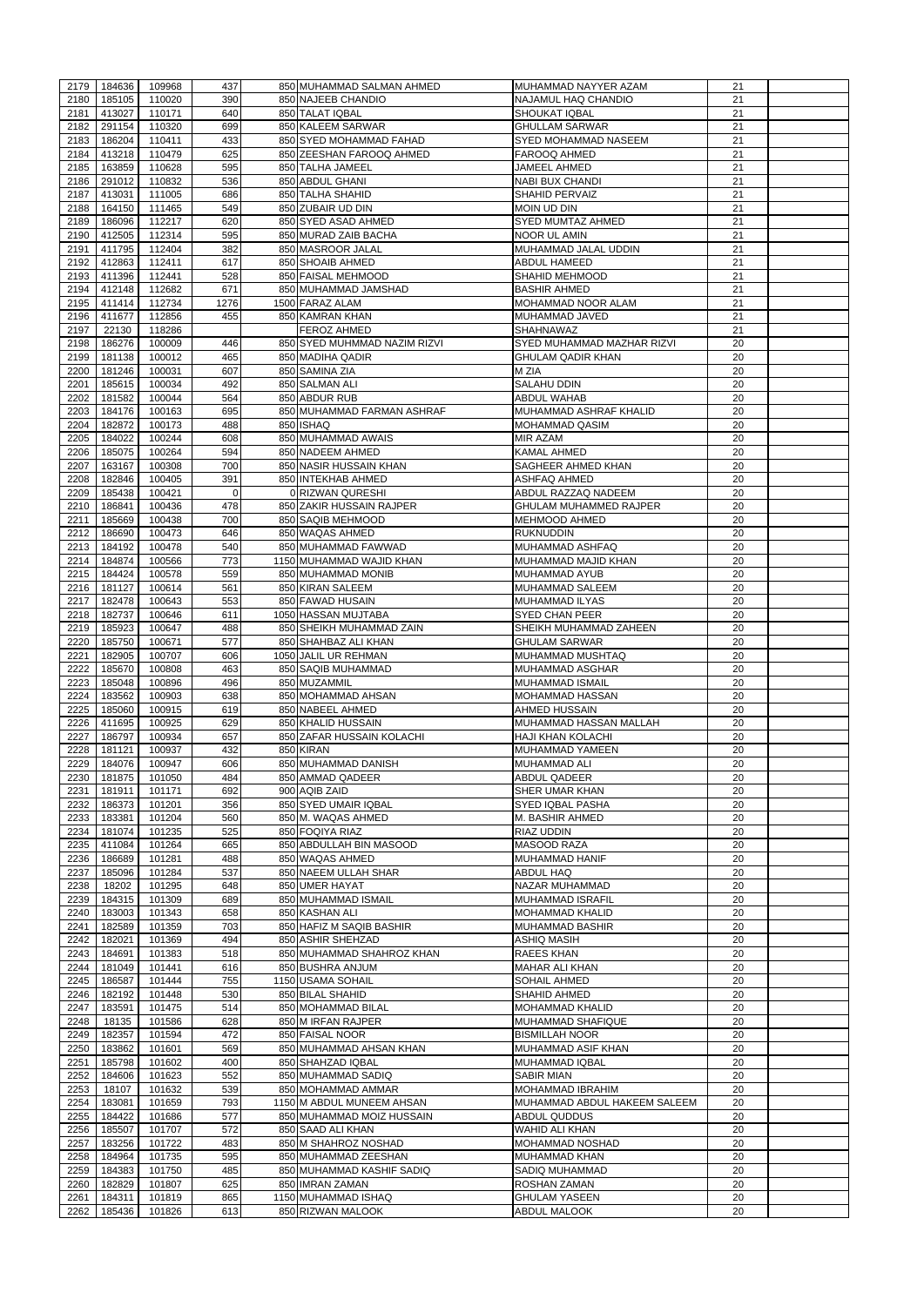| 2179 | 184636      | 109968             | 437      | 850 MUHAMMAD SALMAN AHMED    | MUHAMMAD NAYYER AZAM          | 21 |  |
|------|-------------|--------------------|----------|------------------------------|-------------------------------|----|--|
| 2180 | 185105      | 110020             | 390      | 850 NAJEEB CHANDIO           | NAJAMUL HAQ CHANDIO           | 21 |  |
| 2181 | 413027      | 110171             | 640      | 850 TALAT IQBAL              | <b>SHOUKAT IQBAL</b>          | 21 |  |
| 2182 | 291154      | 110320             | 699      | 850 KALEEM SARWAR            | <b>GHULLAM SARWAR</b>         | 21 |  |
|      |             |                    |          |                              |                               |    |  |
| 2183 | 186204      | 110411             | 433      | 850 SYED MOHAMMAD FAHAD      | <b>SYED MOHAMMAD NASEEM</b>   | 21 |  |
| 2184 | 413218      | 110479             | 625      | 850 ZEESHAN FAROOQ AHMED     | <b>FAROOQ AHMED</b>           | 21 |  |
| 2185 | 163859      | 110628             | 595      | 850 TALHA JAMEEL             | JAMEEL AHMED                  | 21 |  |
| 2186 | 291012      | 110832             | 536      | 850 ABDUL GHANI              | <b>NABI BUX CHANDI</b>        | 21 |  |
| 2187 | 413031      | 111005             | 686      | 850 TALHA SHAHID             | <b>SHAHID PERVAIZ</b>         | 21 |  |
| 2188 | 164150      | 111465             | 549      | 850 ZUBAIR UD DIN            | <b>MOIN UD DIN</b>            | 21 |  |
| 2189 | 186096      | 112217             | 620      | 850 SYED ASAD AHMED          | <b>SYED MUMTAZ AHMED</b>      | 21 |  |
| 2190 | 412505      | 112314             | 595      | 850 MURAD ZAIB BACHA         | <b>NOOR UL AMIN</b>           | 21 |  |
| 2191 | 411795      | 112404             | 382      | 850 MASROOR JALAL            | MUHAMMAD JALAL UDDIN          | 21 |  |
| 2192 | 412863      | 112411             | 617      | 850 SHOAIB AHMED             | <b>ABDUL HAMEED</b>           | 21 |  |
|      |             |                    |          |                              |                               |    |  |
| 2193 | 411396      | 112441             | 528      | 850 FAISAL MEHMOOD           | <b>SHAHID MEHMOOD</b>         | 21 |  |
| 2194 | 412148      | 112682             | 671      | 850 MUHAMMAD JAMSHAD         | <b>BASHIR AHMED</b>           | 21 |  |
| 2195 | 411414      | 112734             | 1276     | 1500 FARAZ ALAM              | MOHAMMAD NOOR ALAM            | 21 |  |
| 2196 | 411677      | 112856             | 455      | 850 KAMRAN KHAN              | MUHAMMAD JAVED                | 21 |  |
| 2197 | 22130       | 118286             |          | <b>FEROZ AHMED</b>           | <b>SHAHNAWAZ</b>              | 21 |  |
| 2198 | 186276      | 100009             | 446      | 850 SYED MUHMMAD NAZIM RIZVI | SYED MUHAMMAD MAZHAR RIZVI    | 20 |  |
| 2199 | 181138      | 100012             | 465      | 850 MADIHA QADIR             | <b>GHULAM QADIR KHAN</b>      | 20 |  |
| 2200 | 181246      | 100031             | 607      | 850 SAMINA ZIA               | M ZIA                         | 20 |  |
|      |             |                    |          |                              |                               | 20 |  |
| 2201 | 185615      | 100034             | 492      | 850 SALMAN ALI               | SALAHU DDIN                   |    |  |
| 2202 | 181582      | 100044             | 564      | 850 ABDUR RUB                | ABDUL WAHAB                   | 20 |  |
| 2203 | 184176      | 100163             | 695      | 850 MUHAMMAD FARMAN ASHRAF   | MUHAMMAD ASHRAF KHALID        | 20 |  |
| 2204 | 182872      | 100173             | 488      | 850 ISHAQ                    | <b>MOHAMMAD QASIM</b>         | 20 |  |
| 2205 | 184022      | 100244             | 608      | 850 MUHAMMAD AWAIS           | <b>MIR AZAM</b>               | 20 |  |
| 2206 | 185075      | 100264             | 594      | 850 NADEEM AHMED             | <b>KAMAL AHMED</b>            | 20 |  |
| 2207 | 163167      | 100308             | 700      | 850 NASIR HUSSAIN KHAN       | SAGHEER AHMED KHAN            | 20 |  |
|      |             |                    |          |                              |                               |    |  |
| 2208 | 182846      | 100405             | 391      | 850 INTEKHAB AHMED           | <b>ASHFAQ AHMED</b>           | 20 |  |
| 2209 | 185438      | 100421             | $\Omega$ | 0 RIZWAN QURESHI             | ABDUL RAZZAQ NADEEM           | 20 |  |
| 2210 | 186841      | 100436             | 478      | 850 ZAKIR HUSSAIN RAJPER     | <b>GHULAM MUHAMMED RAJPER</b> | 20 |  |
| 2211 | 185669      | 100438             | 700      | 850 SAQIB MEHMOOD            | MEHMOOD AHMED                 | 20 |  |
| 2212 | 186690      | 100473             | 646      | 850 WAQAS AHMED              | <b>RUKNUDDIN</b>              | 20 |  |
| 2213 | 184192      | 100478             | 540      | 850 MUHAMMAD FAWWAD          | <b>MUHAMMAD ASHFAQ</b>        | 20 |  |
| 2214 | 184874      | 100566             | 773      | 1150 MUHAMMAD WAJID KHAN     | MUHAMMAD MAJID KHAN           | 20 |  |
|      |             |                    |          |                              |                               |    |  |
|      | 2215 184424 | 100578             | 559      | 850 MUHAMMAD MONIB           | MUHAMMAD AYUB                 | 20 |  |
| 2216 | 181127      | 100614             | 561      | 850 KIRAN SALEEM             | <b>MUHAMMAD SALEEM</b>        | 20 |  |
| 2217 | 182478      | 100643             | 553      | 850 FAWAD HUSAIN             | <b>MUHAMMAD ILYAS</b>         | 20 |  |
| 2218 | 182737      | 100646             | 611      | 1050 HASSAN MUJTABA          | <b>SYED CHAN PEER</b>         | 20 |  |
| 2219 | 185923      | 100647             | 488      | 850 SHEIKH MUHAMMAD ZAIN     | SHEIKH MUHAMMAD ZAHEEN        | 20 |  |
| 2220 | 185750      | 100671             | 577      | 850 SHAHBAZ ALI KHAN         | <b>GHULAM SARWAR</b>          | 20 |  |
|      |             |                    | 606      | 1050 JALIL UR REHMAN         | MUHAMMAD MUSHTAQ              |    |  |
| 2221 | 182905      | 100707             |          |                              |                               | 20 |  |
| 2222 | 185670      | 100808             | 463      | 850 SAQIB MUHAMMAD           | <b>MUHAMMAD ASGHAR</b>        | 20 |  |
| 2223 | 185048      | 100896             | 496      | 850 MUZAMMIL                 | <b>MUHAMMAD ISMAIL</b>        | 20 |  |
| 2224 | 183562      | 100903             | 638      | 850 MOHAMMAD AHSAN           | MOHAMMAD HASSAN               | 20 |  |
| 2225 | 185060      | 100915             | 619      | 850 NABEEL AHMED             | AHMED HUSSAIN                 | 20 |  |
| 2226 | 411695      | 100925             | 629      | 850 KHALID HUSSAIN           | MUHAMMAD HASSAN MALLAH        | 20 |  |
| 2227 | 186797      | 100934             | 657      | 850 ZAFAR HUSSAIN KOLACHI    | <b>HAJI KHAN KOLACHI</b>      | 20 |  |
| 2228 | 181121      | 100937             | 432      | 850 KIRAN                    | MUHAMMAD YAMEEN               | 20 |  |
|      |             |                    |          |                              |                               |    |  |
| 2229 | 184076      | 100947             | 606      | 850 MUHAMMAD DANISH          | MUHAMMAD ALI                  | 20 |  |
| 2230 | 181875      | 101050             | 484      | 850 AMMAD QADEER             | <b>ABDUL QADEER</b>           | 20 |  |
| 2231 | 181911      | 101171             | 692      | 900 AQIB ZAID                | <b>SHER UMAR KHAN</b>         | 20 |  |
| 2232 | 186373      | 101201             | 356      | 850 SYED UMAIR IQBAL         | <b>SYED IQBAL PASHA</b>       | 20 |  |
| 2233 | 183381      | 101204             | 560      | 850 M. WAQAS AHMED           | M. BASHIR AHMED               | 20 |  |
| 2234 | 181074      | 101235             | 525      | 850 FOQIYA RIAZ              | <b>RIAZ UDDIN</b>             | 20 |  |
| 2235 | 411084      | 101264             | 665      | 850 ABDULLAH BIN MASOOD      | <b>MASOOD RAZA</b>            | 20 |  |
|      |             | 101281             | 488      |                              |                               |    |  |
| 2236 | 186689      |                    |          | 850 WAQAS AHMED              | MUHAMMAD HANIF                | 20 |  |
| 2237 | 185096      | 101284             | 537      | 850 NAEEM ULLAH SHAR         | ABDUL HAQ                     | 20 |  |
| 2238 | 18202       | 101295             | 648      | 850 UMER HAYAT               | NAZAR MUHAMMAD                | 20 |  |
| 2239 | 184315      | 101309             | 689      | 850 MUHAMMAD ISMAIL          | <b>MUHAMMAD ISRAFIL</b>       | 20 |  |
| 2240 | 183003      | 101343             | 658      | 850 KASHAN ALI               | <b>MOHAMMAD KHALID</b>        | 20 |  |
| 2241 | 182589      | 101359             | 703      | 850 HAFIZ M SAQIB BASHIR     | <b>MUHAMMAD BASHIR</b>        | 20 |  |
| 2242 | 182021      | 101369             | 494      | 850 ASHIR SHEHZAD            | <b>ASHIQ MASIH</b>            | 20 |  |
| 2243 | 184691      | 101383             | 518      | 850 MUHAMMAD SHAHROZ KHAN    | <b>RAEES KHAN</b>             | 20 |  |
| 2244 | 181049      |                    |          |                              |                               |    |  |
|      |             | 101441             | 616      | 850 BUSHRA ANJUM             | <b>MAHAR ALI KHAN</b>         | 20 |  |
| 2245 | 186587      | 101444             | 755      | 1150 USAMA SOHAIL            | <b>SOHAIL AHMED</b>           | 20 |  |
| 2246 | 182192      | 101448             | 530      | 850 BILAL SHAHID             | SHAHID AHMED                  | 20 |  |
| 2247 | 183591      | 101475             | 514      | 850 MOHAMMAD BILAL           | <b>MOHAMMAD KHALID</b>        | 20 |  |
| 2248 | 18135       | 101586             | 628      | 850 M IRFAN RAJPER           | MUHAMMAD SHAFIQUE             | 20 |  |
| 2249 | 182357      | 101594             | 472      | 850 FAISAL NOOR              | <b>BISMILLAH NOOR</b>         | 20 |  |
| 2250 | 183862      | 101601             | 569      | 850 MUHAMMAD AHSAN KHAN      | MUHAMMAD ASIF KHAN            | 20 |  |
|      |             | 2251 185798 101602 |          | 850 SHAHZAD IQBAL            | MUHAMMAD IQBAL                |    |  |
|      |             |                    | 400      |                              |                               | 20 |  |
| 2252 | 184606      | 101623             | 552      | 850 MUHAMMAD SADIQ           | SABIR MIAN                    | 20 |  |
| 2253 | 18107       | 101632             | 539      | 850 MOHAMMAD AMMAR           | <b>MOHAMMAD IBRAHIM</b>       | 20 |  |
| 2254 | 183081      | 101659             | 793      | 1150 M ABDUL MUNEEM AHSAN    | MUHAMMAD ABDUL HAKEEM SALEEM  | 20 |  |
|      | 184422      | 101686             | 577      | 850 MUHAMMAD MOIZ HUSSAIN    | <b>ABDUL QUDDUS</b>           | 20 |  |
| 2255 |             | 101707             | 572      | 850 SAAD ALI KHAN            | <b>WAHID ALI KHAN</b>         | 20 |  |
|      |             |                    |          |                              |                               | 20 |  |
| 2256 | 185507      |                    |          |                              |                               |    |  |
| 2257 | 183256      | 101722             | 483      | 850 M SHAHROZ NOSHAD         | <b>MOHAMMAD NOSHAD</b>        |    |  |
| 2258 | 184964      | 101735             | 595      | 850 MUHAMMAD ZEESHAN         | <b>MUHAMMAD KHAN</b>          | 20 |  |
| 2259 | 184383      | 101750             | 485      | 850 MUHAMMAD KASHIF SADIQ    | SADIQ MUHAMMAD                | 20 |  |
| 2260 | 182829      | 101807             | 625      | 850 IMRAN ZAMAN              | <b>ROSHAN ZAMAN</b>           | 20 |  |
| 2261 | 184311      | 101819             | 865      | 1150 MUHAMMAD ISHAQ          | <b>GHULAM YASEEN</b>          | 20 |  |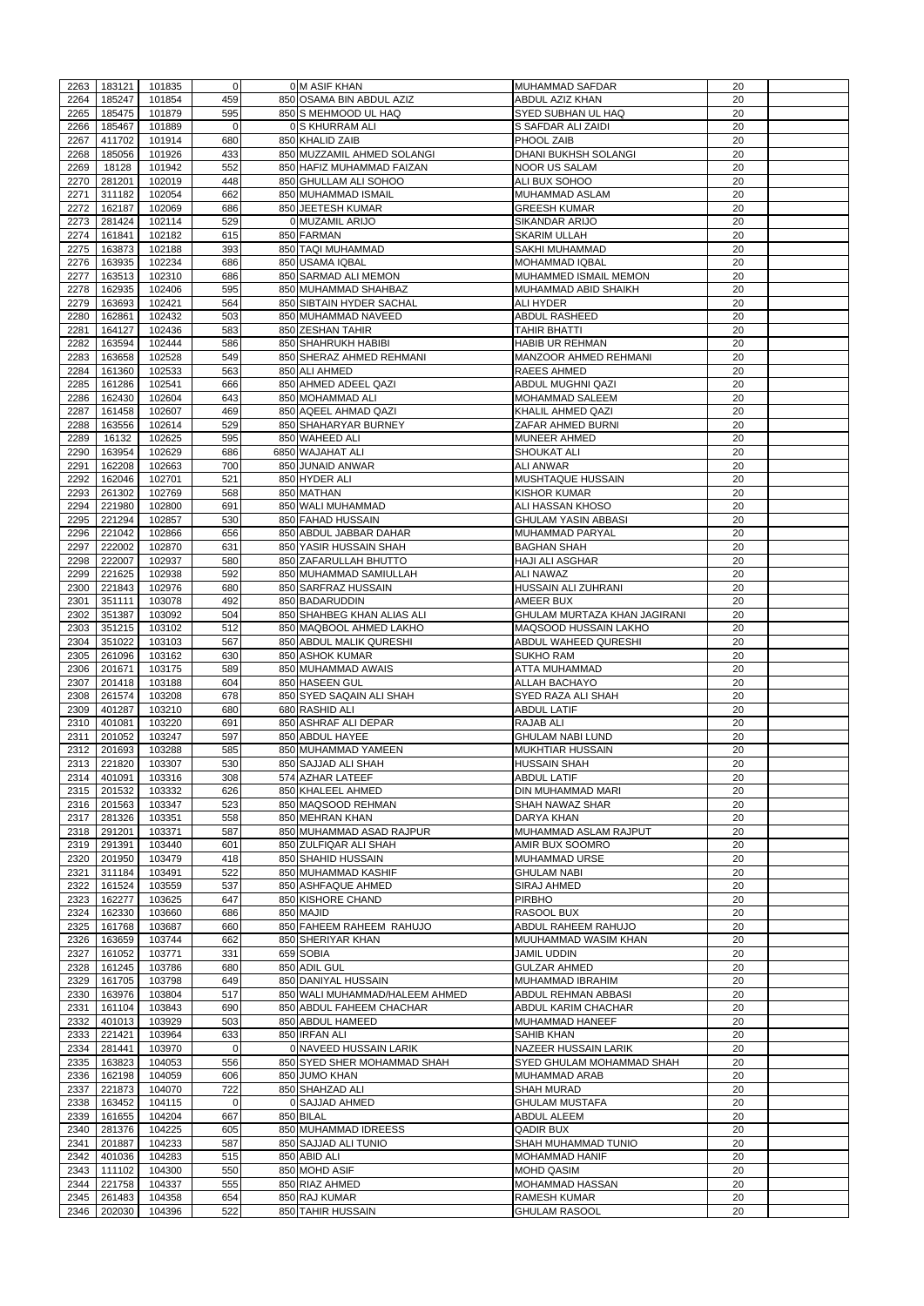| 2263         | 183121           | 101835           | $\Omega$       | 0 M ASIF KHAN                      | <b>MUHAMMAD SAFDAR</b>                      | 20       |  |
|--------------|------------------|------------------|----------------|------------------------------------|---------------------------------------------|----------|--|
| 2264         |                  |                  | 459            |                                    |                                             | 20       |  |
|              | 185247           | 101854           |                | 850 OSAMA BIN ABDUL AZIZ           | <b>ABDUL AZIZ KHAN</b>                      |          |  |
| 2265         | 185475           | 101879           | 595            | 850 S MEHMOOD UL HAQ               | <b>SYED SUBHAN UL HAQ</b>                   | 20       |  |
| 2266         | 185467           | 101889           | 0              | 0 S KHURRAM ALI                    | S SAFDAR ALI ZAIDI                          | 20       |  |
| 2267         | 411702           | 101914           | 680            | 850 KHALID ZAIB                    | PHOOL ZAIB                                  | 20       |  |
| 2268         | 185056           | 101926           | 433            | 850 MUZZAMIL AHMED SOLANGI         | DHANI BUKHSH SOLANGI                        | 20       |  |
| 2269         | 18128            | 101942           | 552            | 850 HAFIZ MUHAMMAD FAIZAN          | <b>NOOR US SALAM</b>                        | 20       |  |
|              |                  |                  |                |                                    |                                             |          |  |
| 2270         | 281201           | 102019           | 448            | 850 GHULLAM ALI SOHOO              | ALI BUX SOHOO                               | 20       |  |
| 2271         | 311182           | 102054           | 662            | 850 MUHAMMAD ISMAIL                | <b>MUHAMMAD ASLAM</b>                       | 20       |  |
| 2272         | 162187           | 102069           | 686            | 850 JEETESH KUMAR                  | <b>GREESH KUMAR</b>                         | 20       |  |
| 2273         | 281424           | 102114           | 529            | 0 MUZAMIL ARIJO                    | <b>SIKANDAR ARIJO</b>                       | 20       |  |
| 2274         | 161841           | 102182           | 615            | 850 FARMAN                         | <b>SKARIM ULLAH</b>                         | 20       |  |
| 2275         | 163873           | 102188           | 393            | 850 TAQI MUHAMMAD                  | <b>SAKHI MUHAMMAD</b>                       | 20       |  |
|              |                  |                  |                |                                    |                                             |          |  |
| 2276         | 163935           | 102234           | 686            | 850 USAMA IQBAL                    | <b>MOHAMMAD IQBAL</b>                       | 20       |  |
| 2277         | 163513           | 102310           | 686            | 850 SARMAD ALI MEMON               | MUHAMMED ISMAIL MEMON                       | 20       |  |
| 2278         | 162935           | 102406           | 595            | 850 MUHAMMAD SHAHBAZ               | MUHAMMAD ABID SHAIKH                        | 20       |  |
| 2279         | 163693           | 102421           | 564            | 850 SIBTAIN HYDER SACHAL           | <b>ALI HYDER</b>                            | 20       |  |
| 2280         | 162861           | 102432           | 503            | 850 MUHAMMAD NAVEED                | <b>ABDUL RASHEED</b>                        | 20       |  |
| 2281         | 164127           | 102436           | 583            | 850 ZESHAN TAHIR                   | <b>TAHIR BHATTI</b>                         | 20       |  |
|              | 163594           |                  | 586            | 850 SHAHRUKH HABIBI                |                                             | 20       |  |
| 2282         |                  | 102444           |                |                                    | <b>HABIB UR REHMAN</b>                      |          |  |
| 2283         | 163658           | 102528           | 549            | 850 SHERAZ AHMED REHMANI           | MANZOOR AHMED REHMANI                       | 20       |  |
| 2284         | 161360           | 102533           | 563            | 850 ALI AHMED                      | RAEES AHMED                                 | 20       |  |
| 2285         | 161286           | 102541           | 666            | 850 AHMED ADEEL QAZI               | <b>ABDUL MUGHNI QAZI</b>                    | 20       |  |
| 2286         | 162430           | 102604           | 643            | 850 MOHAMMAD ALI                   | <b>MOHAMMAD SALEEM</b>                      | 20       |  |
| 2287         | 161458           | 102607           | 469            | 850 AQEEL AHMAD QAZI               | KHALIL AHMED QAZI                           | 20       |  |
|              |                  |                  |                |                                    |                                             |          |  |
| 2288         | 163556           | 102614           | 529            | 850 SHAHARYAR BURNEY               | ZAFAR AHMED BURNI                           | 20       |  |
| 2289         | 16132            | 102625           | 595            | 850 WAHEED ALI                     | <b>MUNEER AHMED</b>                         | 20       |  |
| 2290         | 163954           | 102629           | 686            | 6850 WAJAHAT ALI                   | <b>SHOUKAT ALI</b>                          | 20       |  |
| 2291         | 162208           | 102663           | 700            | 850 JUNAID ANWAR                   | <b>ALI ANWAR</b>                            | 20       |  |
| 2292         | 162046           | 102701           | 521            | 850 HYDER ALI                      | <b>MUSHTAQUE HUSSAIN</b>                    | 20       |  |
| 2293         | 261302           | 102769           | 568            | 850 MATHAN                         | <b>KISHOR KUMAR</b>                         | 20       |  |
| 2294         | 221980           | 102800           | 691            | 850 WALI MUHAMMAD                  | ALI HASSAN KHOSO                            | 20       |  |
|              |                  |                  |                |                                    |                                             |          |  |
| 2295         | 221294           | 102857           | 530            | 850 FAHAD HUSSAIN                  | <b>GHULAM YASIN ABBASI</b>                  | 20       |  |
| 2296         | 221042           | 102866           | 656            | 850 ABDUL JABBAR DAHAR             | MUHAMMAD PARYAL                             | 20       |  |
| 2297         | 222002           | 102870           | 631            | 850 YASIR HUSSAIN SHAH             | <b>BAGHAN SHAH</b>                          | 20       |  |
| 2298         | 222007           | 102937           | 580            | 850 ZAFARULLAH BHUTTO              | <b>HAJI ALI ASGHAR</b>                      | 20       |  |
| 2299         | 221625           | 102938           | 592            | 850 MUHAMMAD SAMIULLAH             | <b>ALI NAWAZ</b>                            | 20       |  |
|              |                  |                  |                |                                    |                                             |          |  |
| 2300         | 221843           | 102976           | 680            | 850 SARFRAZ HUSSAIN                | HUSSAIN ALI ZUHRANI                         | 20       |  |
| 2301         | 351111           | 103078           | 492            | 850 BADARUDDIN                     | AMEER BUX                                   | 20       |  |
| 2302         | 351387           | 103092           | 504            | 850 SHAHBEG KHAN ALIAS ALI         | <b>GHULAM MURTAZA KHAN JAGIRANI</b>         | 20       |  |
| 2303         | 351215           | 103102           | 512            | 850 MAQBOOL AHMED LAKHO            | MAQSOOD HUSSAIN LAKHO                       | 20       |  |
| 2304         | 351022           | 103103           | 567            | 850 ABDUL MALIK QURESHI            | ABDUL WAHEED QURESHI                        | 20       |  |
| 2305         | 261096           | 103162           | 630            | 850 ASHOK KUMAR                    | <b>SUKHO RAM</b>                            | 20       |  |
|              |                  |                  |                |                                    |                                             |          |  |
| 2306         | 201671           | 103175           | 589            | 850 MUHAMMAD AWAIS                 | <b>ATTA MUHAMMAD</b>                        | 20       |  |
| 2307         | 201418           | 103188           | 604            | 850 HASEEN GUL                     | <b>ALLAH BACHAYO</b>                        | 20       |  |
| 2308         | 261574           | 103208           | 678            | 850 SYED SAQAIN ALI SHAH           | SYED RAZA ALI SHAH                          | 20       |  |
| 2309         | 401287           | 103210           | 680            | 680 RASHID ALI                     | <b>ABDUL LATIF</b>                          | 20       |  |
| 2310         | 401081           | 103220           | 691            | 850 ASHRAF ALI DEPAR               | <b>RAJAB ALI</b>                            | 20       |  |
| 2311         | 201052           | 103247           | 597            | 850 ABDUL HAYEE                    | <b>GHULAM NABI LUND</b>                     | 20       |  |
| 2312         | 201693           | 103288           | 585            | 850 MUHAMMAD YAMEEN                | <b>MUKHTIAR HUSSAIN</b>                     | 20       |  |
|              |                  |                  |                |                                    |                                             |          |  |
| 2313         | 221820           | 103307           | 530            | 850 SAJJAD ALI SHAH                | <b>HUSSAIN SHAH</b>                         | 20       |  |
| 2314         | 401091           | 103316           | 308            | 574 AZHAR LATEEF                   | <b>ABDUL LATIF</b>                          | 20       |  |
| 2315         | 201532           | 103332           | 626            | 850 KHALEEL AHMED                  | <b>DIN MUHAMMAD MARI</b>                    | 20       |  |
| 2316         | 201563           | 103347           | 523            | 850 MAQSOOD REHMAN                 | <b>SHAH NAWAZ SHAR</b>                      |          |  |
| 2317         | 281326           | 103351           | 558            |                                    |                                             | 20       |  |
| 2318         | 291201           | 103371           |                |                                    |                                             | 20       |  |
|              |                  |                  |                | 850 MEHRAN KHAN                    | DARYA KHAN                                  |          |  |
| 2319         | 291391           |                  | 587            | 850 MUHAMMAD ASAD RAJPUR           | MUHAMMAD ASLAM RAJPUT                       | 20       |  |
| 2320         |                  | 103440           | 601            | 850 ZULFIQAR ALI SHAH              | AMIR BUX SOOMRO                             | 20       |  |
|              | 201950           | 103479           | 418            | 850 SHAHID HUSSAIN                 | <b>MUHAMMAD URSE</b>                        | 20       |  |
| 2321         | 311184           | 103491           | 522            | 850 MUHAMMAD KASHIF                | <b>GHULAM NABI</b>                          | 20       |  |
| 2322         | 161524           | 103559           | 537            | 850 ASHFAQUE AHMED                 | <b>SIRAJ AHMED</b>                          | 20       |  |
| 2323         | 162277           | 103625           | 647            | 850 KISHORE CHAND                  | <b>PIRBHO</b>                               | 20       |  |
|              |                  |                  |                |                                    | RASOOL BUX                                  |          |  |
| 2324         | 162330           | 103660           | 686            | 850 MAJID                          |                                             | 20       |  |
| 2325         | 161768           | 103687           | 660            | 850 FAHEEM RAHEEM RAHUJO           | ABDUL RAHEEM RAHUJO                         | 20       |  |
| 2326         | 163659           | 103744           | 662            | 850 SHERIYAR KHAN                  | MUUHAMMAD WASIM KHAN                        | 20       |  |
| 2327         | 161052           | 103771           | 331            | 659 SOBIA                          | <b>JAMIL UDDIN</b>                          | 20       |  |
| 2328         | 161245           | 103786           | 680            | 850 ADIL GUL                       | <b>GULZAR AHMED</b>                         | 20       |  |
| 2329         | 161705           | 103798           | 649            | 850 DANIYAL HUSSAIN                | <b>MUHAMMAD IBRAHIM</b>                     | 20       |  |
|              |                  |                  |                |                                    |                                             | 20       |  |
| 2330         | 163976           | 103804           | 517            | 850 WALI MUHAMMAD/HALEEM AHMED     | <b>ABDUL REHMAN ABBASI</b>                  |          |  |
| 2331         | 161104           | 103843           | 690            | 850 ABDUL FAHEEM CHACHAR           | <b>ABDUL KARIM CHACHAR</b>                  | 20       |  |
| 2332         | 401013           | 103929           | 503            | 850 ABDUL HAMEED                   | MUHAMMAD HANEEF                             | 20       |  |
| 2333         | 221421           | 103964           | 633            | 850 IRFAN ALI                      | <b>SAHIB KHAN</b>                           | 20       |  |
| 2334         | 281441           | 103970           | $\overline{0}$ | 0 NAVEED HUSSAIN LARIK             | <b>NAZEER HUSSAIN LARIK</b>                 | 20       |  |
|              | 2335 163823      | 104053           | 556            | 850 SYED SHER MOHAMMAD SHAH        | SYED GHULAM MOHAMMAD SHAH                   | 20       |  |
|              |                  |                  |                |                                    | <b>MUHAMMAD ARAB</b>                        |          |  |
| 2336         | 162198           | 104059           | 606            | 850 JUMO KHAN                      |                                             | 20       |  |
| 2337         | 221873           | 104070           | 722            | 850 SHAHZAD ALI                    | <b>SHAH MURAD</b>                           | 20       |  |
| 2338         | 163452           | 104115           | 0              | 0 O SAJJAD AHMED                   | <b>GHULAM MUSTAFA</b>                       | 20       |  |
| 2339         | 161655           | 104204           | 667            | 850 BILAL                          | ABDUL ALEEM                                 | 20       |  |
| 2340         | 281376           | 104225           | 605            | 850 MUHAMMAD IDREESS               | <b>QADIR BUX</b>                            | 20       |  |
| 2341         | 201887           | 104233           | 587            | 850 SAJJAD ALI TUNIO               | SHAH MUHAMMAD TUNIO                         | 20       |  |
| 2342         | 401036           | 104283           | 515            | 850 ABID ALI                       | <b>MOHAMMAD HANIF</b>                       | 20       |  |
|              |                  |                  |                |                                    |                                             |          |  |
| 2343         | 111102           | 104300           | 550            | 850 MOHD ASIF                      | <b>MOHD QASIM</b>                           | 20       |  |
| 2344         | 221758           | 104337           | 555            | 850 RIAZ AHMED                     | <b>MOHAMMAD HASSAN</b>                      | 20       |  |
| 2345<br>2346 | 261483<br>202030 | 104358<br>104396 | 654<br>522     | 850 RAJ KUMAR<br>850 TAHIR HUSSAIN | <b>RAMESH KUMAR</b><br><b>GHULAM RASOOL</b> | 20<br>20 |  |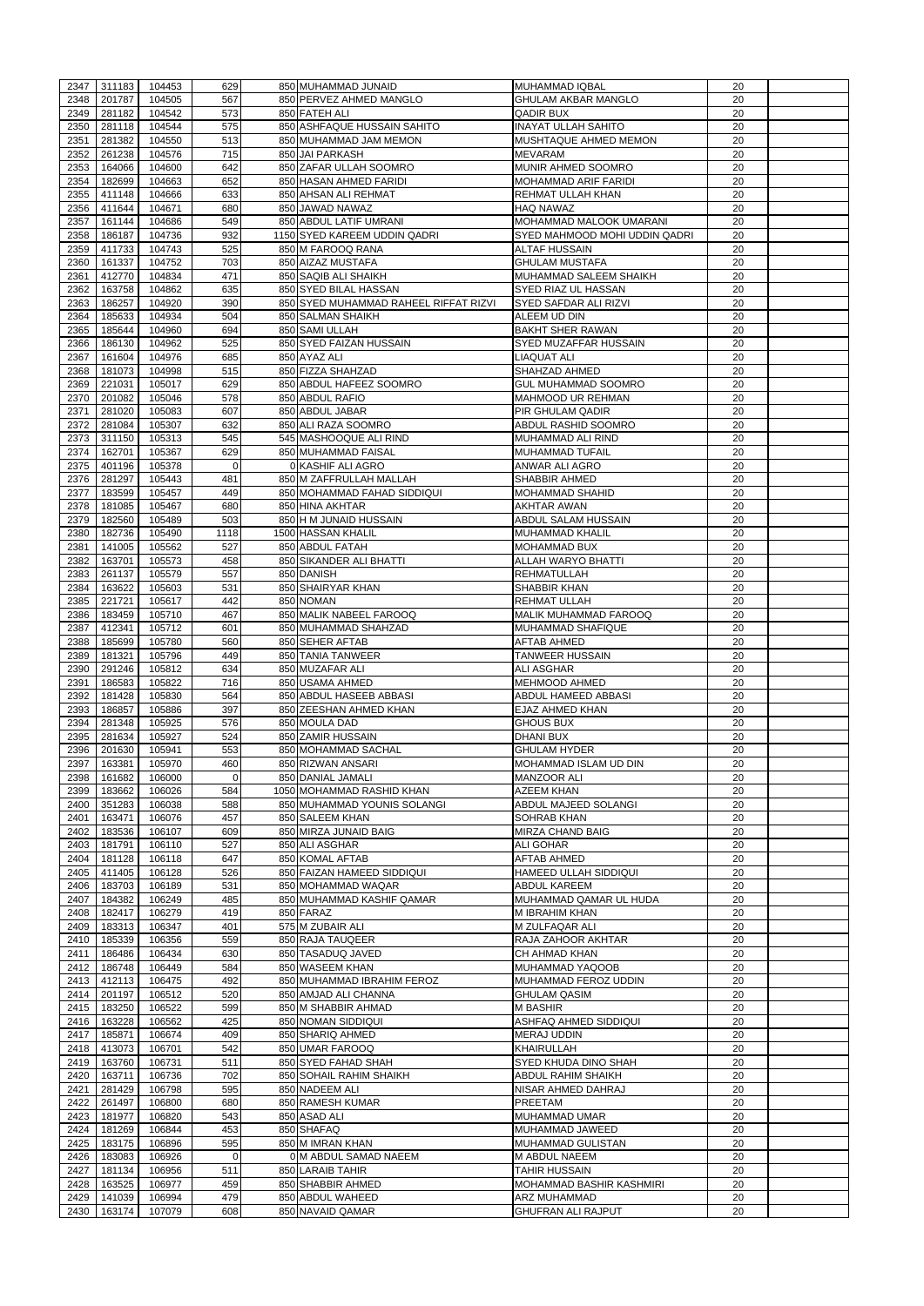| 2347 | 311183      | 104453 | 629         | 850 MUHAMMAD JUNAID                   | <b>MUHAMMAD IQBAL</b>         | 20 |  |
|------|-------------|--------|-------------|---------------------------------------|-------------------------------|----|--|
|      |             |        |             |                                       |                               |    |  |
| 2348 | 201787      | 104505 | 567         | 850 PERVEZ AHMED MANGLO               | <b>GHULAM AKBAR MANGLO</b>    | 20 |  |
| 2349 | 281182      | 104542 | 573         | 850 FATEH ALI                         | <b>QADIR BUX</b>              | 20 |  |
| 2350 | 281118      | 104544 | 575         | 850 ASHFAQUE HUSSAIN SAHITO           | <b>INAYAT ULLAH SAHITO</b>    | 20 |  |
|      |             |        |             |                                       |                               |    |  |
| 2351 | 281382      | 104550 | 513         | 850 MUHAMMAD JAM MEMON                | MUSHTAQUE AHMED MEMON         | 20 |  |
| 2352 | 261238      | 104576 | 715         | 850 JAI PARKASH                       | <b>MEVARAM</b>                | 20 |  |
| 2353 | 164066      | 104600 | 642         | 850 ZAFAR ULLAH SOOMRO                | MUNIR AHMED SOOMRO            | 20 |  |
|      |             |        | 652         |                                       |                               |    |  |
| 2354 | 182699      | 104663 |             | 850 HASAN AHMED FARIDI                | <b>MOHAMMAD ARIF FARIDI</b>   | 20 |  |
| 2355 | 411148      | 104666 | 633         | 850 AHSAN ALI REHMAT                  | REHMAT ULLAH KHAN             | 20 |  |
| 2356 | 411644      | 104671 | 680         | 850 JAWAD NAWAZ                       | <b>HAQ NAWAZ</b>              | 20 |  |
|      |             |        | 549         |                                       |                               |    |  |
| 2357 | 161144      | 104686 |             | 850 ABDUL LATIF UMRANI                | MOHAMMAD MALOOK UMARANI       | 20 |  |
| 2358 | 186187      | 104736 | 932         | 1150 SYED KAREEM UDDIN QADRI          | SYED MAHMOOD MOHI UDDIN QADRI | 20 |  |
| 2359 | 411733      | 104743 | 525         | 850 M FAROOQ RANA                     | <b>ALTAF HUSSAIN</b>          | 20 |  |
| 2360 | 161337      | 104752 | 703         | 850 AIZAZ MUSTAFA                     | <b>GHULAM MUSTAFA</b>         | 20 |  |
|      |             |        |             |                                       |                               |    |  |
| 2361 | 412770      | 104834 | 471         | 850 SAQIB ALI SHAIKH                  | MUHAMMAD SALEEM SHAIKH        | 20 |  |
| 2362 | 163758      | 104862 | 635         | 850 SYED BILAL HASSAN                 | SYED RIAZ UL HASSAN           | 20 |  |
| 2363 | 186257      | 104920 | 390         | 850 SYED MUHAMMAD RAHEEL RIFFAT RIZVI | <b>SYED SAFDAR ALI RIZVI</b>  | 20 |  |
|      |             |        |             |                                       |                               |    |  |
| 2364 | 185633      | 104934 | 504         | 850 SALMAN SHAIKH                     | <b>ALEEM UD DIN</b>           | 20 |  |
| 2365 | 185644      | 104960 | 694         | 850 SAMI ULLAH                        | <b>BAKHT SHER RAWAN</b>       | 20 |  |
| 2366 | 186130      | 104962 | 525         | 850 SYED FAIZAN HUSSAIN               | <b>SYED MUZAFFAR HUSSAIN</b>  | 20 |  |
|      |             |        |             |                                       |                               |    |  |
| 2367 | 161604      | 104976 | 685         | 850 AYAZ ALI                          | <b>LIAQUAT ALI</b>            | 20 |  |
| 2368 | 181073      | 104998 | 515         | 850 FIZZA SHAHZAD                     | <b>SHAHZAD AHMED</b>          | 20 |  |
| 2369 | 221031      | 105017 | 629         | 850 ABDUL HAFEEZ SOOMRO               | <b>GUL MUHAMMAD SOOMRO</b>    | 20 |  |
|      |             |        |             |                                       |                               |    |  |
| 2370 | 201082      | 105046 | 578         | 850 ABDUL RAFIO                       | <b>MAHMOOD UR REHMAN</b>      | 20 |  |
| 2371 | 281020      | 105083 | 607         | 850 ABDUL JABAR                       | <b>PIR GHULAM QADIR</b>       | 20 |  |
| 2372 | 281084      | 105307 | 632         | 850 ALI RAZA SOOMRO                   | ABDUL RASHID SOOMRO           | 20 |  |
|      |             |        |             |                                       |                               |    |  |
| 2373 | 311150      | 105313 | 545         | 545 MASHOOQUE ALI RIND                | MUHAMMAD ALI RIND             | 20 |  |
| 2374 | 162701      | 105367 | 629         | 850 MUHAMMAD FAISAL                   | <b>MUHAMMAD TUFAIL</b>        | 20 |  |
| 2375 | 401196      | 105378 | $\mathbf 0$ | 0 KASHIF ALI AGRO                     | <b>ANWAR ALI AGRO</b>         | 20 |  |
|      |             |        |             |                                       |                               |    |  |
| 2376 | 281297      | 105443 | 481         | 850 M ZAFFRULLAH MALLAH               | <b>SHABBIR AHMED</b>          | 20 |  |
| 2377 | 183599      | 105457 | 449         | 850 MOHAMMAD FAHAD SIDDIQUI           | <b>MOHAMMAD SHAHID</b>        | 20 |  |
| 2378 | 181085      | 105467 | 680         | 850 HINA AKHTAR                       | <b>AKHTAR AWAN</b>            | 20 |  |
|      |             |        |             |                                       |                               |    |  |
| 2379 | 182560      | 105489 | 503         | 850 H M JUNAID HUSSAIN                | ABDUL SALAM HUSSAIN           | 20 |  |
| 2380 | 182736      | 105490 | 1118        | 1500 HASSAN KHALIL                    | <b>MUHAMMAD KHALIL</b>        | 20 |  |
| 2381 | 141005      | 105562 | 527         | 850 ABDUL FATAH                       | <b>MOHAMMAD BUX</b>           | 20 |  |
|      |             |        |             |                                       |                               |    |  |
| 2382 | 163701      | 105573 | 458         | 850 SIKANDER ALI BHATTI               | <b>ALLAH WARYO BHATTI</b>     | 20 |  |
| 2383 | 261137      | 105579 | 557         | 850 DANISH                            | <b>REHMATULLAH</b>            | 20 |  |
| 2384 | 163622      | 105603 | 531         | 850 SHAIRYAR KHAN                     | <b>SHABBIR KHAN</b>           | 20 |  |
|      |             |        |             |                                       |                               |    |  |
| 2385 | 221721      | 105617 | 442         | 850 NOMAN                             | <b>REHMAT ULLAH</b>           | 20 |  |
| 2386 | 183459      | 105710 | 467         | 850 MALIK NABEEL FAROOQ               | MALIK MUHAMMAD FAROOQ         | 20 |  |
| 2387 | 412341      | 105712 | 601         | 850 MUHAMMAD SHAHZAD                  | <b>MUHAMMAD SHAFIQUE</b>      | 20 |  |
|      |             |        |             |                                       |                               |    |  |
| 2388 | 185699      | 105780 | 560         | 850 SEHER AFTAB                       | <b>AFTAB AHMED</b>            | 20 |  |
| 2389 | 181321      | 105796 | 449         | 850 TANIA TANWEER                     | <b>TANWEER HUSSAIN</b>        | 20 |  |
| 2390 | 291246      | 105812 | 634         | 850 MUZAFAR ALI                       | ALI ASGHAR                    | 20 |  |
|      |             |        |             |                                       |                               |    |  |
| 2391 | 186583      | 105822 | 716         | 850 USAMA AHMED                       | <b>MEHMOOD AHMED</b>          | 20 |  |
| 2392 | 181428      | 105830 | 564         | 850 ABDUL HASEEB ABBASI               | <b>ABDUL HAMEED ABBASI</b>    | 20 |  |
| 2393 | 186857      | 105886 | 397         | 850 ZEESHAN AHMED KHAN                | <b>EJAZ AHMED KHAN</b>        | 20 |  |
|      |             |        |             |                                       |                               |    |  |
| 2394 | 281348      | 105925 | 576         | 850 MOULA DAD                         | <b>GHOUS BUX</b>              | 20 |  |
| 2395 | 281634      | 105927 | 524         | 850 ZAMIR HUSSAIN                     | <b>DHANI BUX</b>              | 20 |  |
| 2396 | 201630      | 105941 | 553         | 850 MOHAMMAD SACHAL                   | <b>GHULAM HYDER</b>           | 20 |  |
|      |             |        |             |                                       |                               |    |  |
| 2397 | 163381      | 105970 | 460         | 850 RIZWAN ANSARI                     | MOHAMMAD ISLAM UD DIN         | 20 |  |
| 2398 | 161682      | 106000 | $\Omega$    | 850 DANIAL JAMALI                     | <b>MANZOOR ALI</b>            | 20 |  |
| 2399 | 183662      | 106026 | 584         | 1050 MOHAMMAD RASHID KHAN             | <b>AZEEM KHAN</b>             | 20 |  |
|      |             |        |             |                                       |                               |    |  |
| 2400 | 351283      | 106038 | 588         | 850 MUHAMMAD YOUNIS SOLANGI           | ABDUL MAJEED SOLANGI          | 20 |  |
| 2401 | 163471      | 106076 | 457         | 850 SALEEM KHAN                       | <b>SOHRAB KHAN</b>            | 20 |  |
| 2402 | 183536      | 106107 | 609         | 850 MIRZA JUNAID BAIG                 | <b>MIRZA CHAND BAIG</b>       | 20 |  |
|      |             |        |             |                                       |                               |    |  |
| 2403 | 181791      | 106110 | 527         | 850 ALI ASGHAR                        | <b>ALI GOHAR</b>              | 20 |  |
| 2404 | 181128      | 106118 | 647         | 850 KOMAL AFTAB                       | <b>AFTAB AHMED</b>            | 20 |  |
| 2405 | 411405      | 106128 | 526         | 850 FAIZAN HAMEED SIDDIQUI            | HAMEED ULLAH SIDDIQUI         | 20 |  |
| 2406 | 183703      | 106189 | 531         | 850 MOHAMMAD WAQAR                    | <b>ABDUL KAREEM</b>           | 20 |  |
|      |             |        |             |                                       |                               |    |  |
| 2407 | 184382      | 106249 | 485         | 850 MUHAMMAD KASHIF QAMAR             | MUHAMMAD QAMAR UL HUDA        | 20 |  |
| 2408 | 182417      | 106279 | 419         | 850 FARAZ                             | M IBRAHIM KHAN                | 20 |  |
| 2409 | 183313      | 106347 | 401         | 575 M ZUBAIR ALI                      | M ZULFAQAR ALI                | 20 |  |
|      |             |        |             |                                       |                               |    |  |
| 2410 | 185339      | 106356 | 559         | 850 RAJA TAUQEER                      | <b>RAJA ZAHOOR AKHTAR</b>     | 20 |  |
| 2411 | 186486      | 106434 | 630         | 850 TASADUQ JAVED                     | CH AHMAD KHAN                 | 20 |  |
| 2412 | 186748      | 106449 | 584         | 850 WASEEM KHAN                       | MUHAMMAD YAQOOB               | 20 |  |
|      |             |        |             |                                       |                               |    |  |
| 2413 | 412113      | 106475 | 492         | 850 MUHAMMAD IBRAHIM FEROZ            | MUHAMMAD FEROZ UDDIN          | 20 |  |
| 2414 | 201197      | 106512 | 520         | 850 AMJAD ALI CHANNA                  | <b>GHULAM QASIM</b>           | 20 |  |
| 2415 | 183250      | 106522 | 599         | 850 M SHABBIR AHMAD                   | <b>M BASHIR</b>               | 20 |  |
| 2416 | 163228      | 106562 | 425         | 850 NOMAN SIDDIQUI                    | ASHFAQ AHMED SIDDIQUI         | 20 |  |
|      |             |        |             |                                       |                               |    |  |
| 2417 | 185871      | 106674 | 409         | 850 SHARIQ AHMED                      | <b>MERAJ UDDIN</b>            | 20 |  |
| 2418 | 413073      | 106701 | 542         | 850 UMAR FAROOQ                       | <b>KHAIRULLAH</b>             | 20 |  |
|      | 2419 163760 | 106731 | 511         | 850 SYED FAHAD SHAH                   | SYED KHUDA DINO SHAH          | 20 |  |
|      |             |        |             |                                       |                               |    |  |
| 2420 | 163711      | 106736 | 702         | 850 SOHAIL RAHIM SHAIKH               | <b>ABDUL RAHIM SHAIKH</b>     | 20 |  |
| 2421 | 281429      | 106798 | 595         | 850 NADEEM ALI                        | NISAR AHMED DAHRAJ            | 20 |  |
|      |             |        |             | 850 RAMESH KUMAR                      |                               |    |  |
| 2422 | 261497      | 106800 | 680         |                                       | <b>PREETAM</b>                | 20 |  |
| 2423 | 181977      | 106820 | 543         | 850 ASAD ALI                          | <b>MUHAMMAD UMAR</b>          | 20 |  |
| 2424 | 181269      | 106844 | 453         | 850 SHAFAQ                            | MUHAMMAD JAWEED               | 20 |  |
| 2425 | 183175      | 106896 | 595         | 850 M IMRAN KHAN                      | MUHAMMAD GULISTAN             | 20 |  |
|      |             |        |             |                                       |                               |    |  |
| 2426 | 183083      | 106926 | $\Omega$    | OIM ABDUL SAMAD NAEEM                 | <b>M ABDUL NAEEM</b>          | 20 |  |
| 2427 | 181134      | 106956 | 511         | 850 LARAIB TAHIR                      | <b>TAHIR HUSSAIN</b>          | 20 |  |
| 2428 | 163525      | 106977 | 459         | 850 SHABBIR AHMED                     | MOHAMMAD BASHIR KASHMIRI      | 20 |  |
|      |             |        |             |                                       |                               |    |  |
|      | 141039      | 106994 | 479         | 850 ABDUL WAHEED                      | <b>ARZ MUHAMMAD</b>           | 20 |  |
| 2429 |             |        |             |                                       |                               |    |  |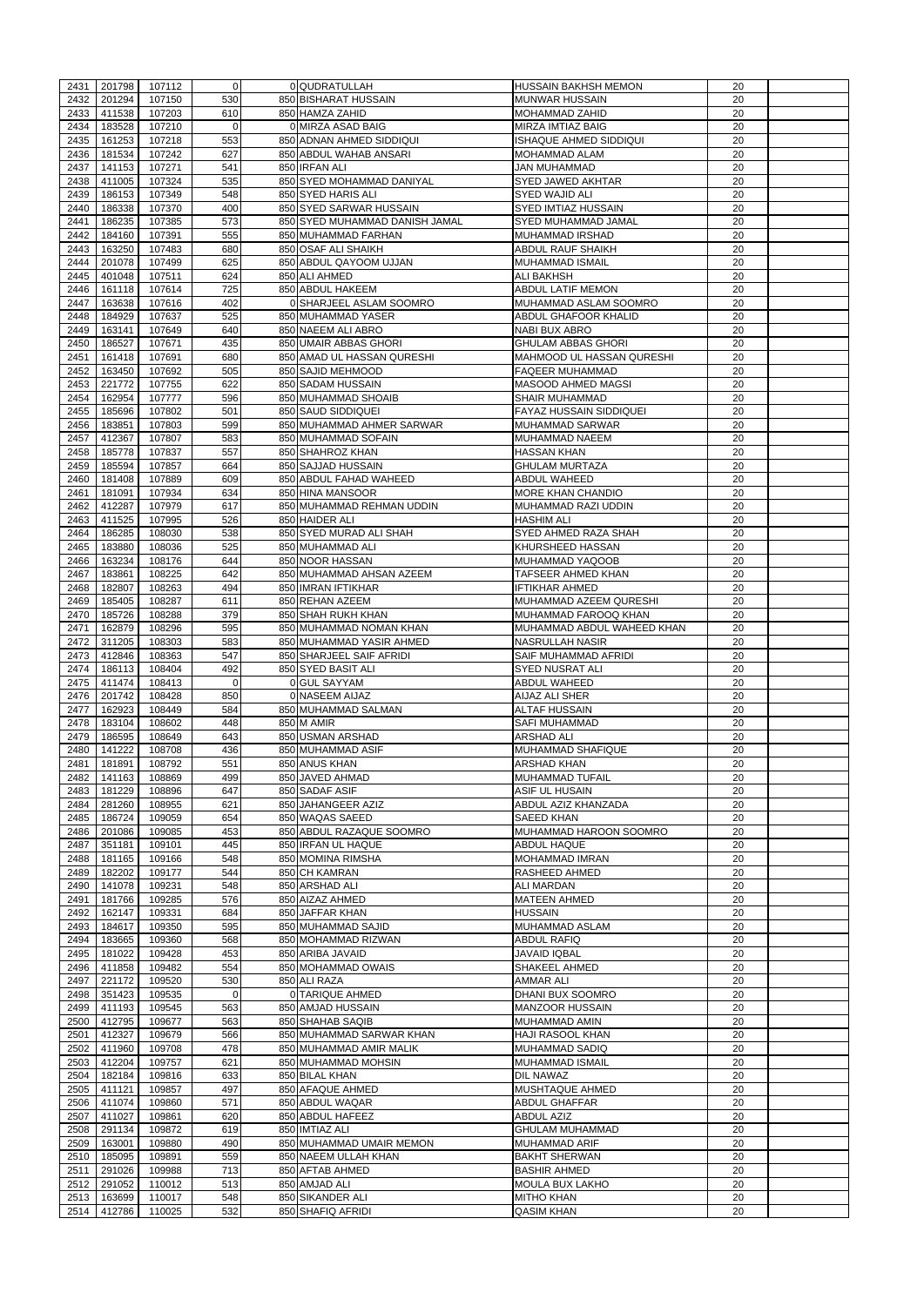| 2431         | 201798           | 107112           | $\Omega$   | 0 QUDRATULLAH                         | <b>HUSSAIN BAKHSH MEMON</b>            | 20       |  |
|--------------|------------------|------------------|------------|---------------------------------------|----------------------------------------|----------|--|
| 2432         | 201294           | 107150           | 530        | 850 BISHARAT HUSSAIN                  | <b>MUNWAR HUSSAIN</b>                  | 20       |  |
|              |                  |                  |            |                                       |                                        |          |  |
| 2433         | 411538           | 107203           | 610        | 850 HAMZA ZAHID                       | <b>MOHAMMAD ZAHID</b>                  | 20       |  |
| 2434         | 183528           | 107210           | 0          | 0 MIRZA ASAD BAIG                     | <b>MIRZA IMTIAZ BAIG</b>               | 20       |  |
| 2435         | 161253           | 107218           | 553        | 850 ADNAN AHMED SIDDIQUI              | <b>ISHAQUE AHMED SIDDIQUI</b>          | 20       |  |
| 2436         | 181534           | 107242           | 627        | 850 ABDUL WAHAB ANSARI                | <b>MOHAMMAD ALAM</b>                   | 20       |  |
| 2437         | 141153           | 107271           | 541        | 850 IRFAN ALI                         | <b>JAN MUHAMMAD</b>                    | 20       |  |
| 2438         | 411005           | 107324           | 535        | 850 SYED MOHAMMAD DANIYAL             | <b>SYED JAWED AKHTAR</b>               | 20       |  |
| 2439         | 186153           | 107349           | 548        | 850 SYED HARIS ALI                    | <b>SYED WAJID ALI</b>                  | 20       |  |
| 2440         | 186338           | 107370           | 400        | 850 SYED SARWAR HUSSAIN               | <b>SYED IMTIAZ HUSSAIN</b>             | 20       |  |
|              |                  |                  |            |                                       |                                        |          |  |
| 2441         | 186235           | 107385           | 573        | 850 SYED MUHAMMAD DANISH JAMAL        | <b>SYED MUHAMMAD JAMAL</b>             | 20       |  |
| 2442         | 184160           | 107391           | 555        | 850 MUHAMMAD FARHAN                   | <b>MUHAMMAD IRSHAD</b>                 | 20       |  |
| 2443         | 163250           | 107483           | 680        | 850 OSAF ALI SHAIKH                   | <b>ABDUL RAUF SHAIKH</b>               | 20       |  |
| 2444         | 201078           | 107499           | 625        | 850 ABDUL QAYOOM UJJAN                | <b>MUHAMMAD ISMAIL</b>                 | 20       |  |
| 2445         | 401048           | 107511           | 624        | 850 ALI AHMED                         | <b>ALI BAKHSH</b>                      | 20       |  |
| 2446         | 161118           | 107614           | 725        | 850 ABDUL HAKEEM                      | <b>ABDUL LATIF MEMON</b>               | 20       |  |
|              |                  |                  |            |                                       |                                        |          |  |
| 2447         | 163638           | 107616           | 402        | 0 SHARJEEL ASLAM SOOMRO               | MUHAMMAD ASLAM SOOMRO                  | 20       |  |
| 2448         | 184929           | 107637           | 525        | 850 MUHAMMAD YASER                    | <b>ABDUL GHAFOOR KHALID</b>            | 20       |  |
| 2449         | 163141           | 107649           | 640        | 850 NAEEM ALI ABRO                    | <b>NABI BUX ABRO</b>                   | 20       |  |
| 2450         | 186527           | 107671           | 435        | 850 UMAIR ABBAS GHORI                 | <b>GHULAM ABBAS GHORI</b>              | 20       |  |
| 2451         | 161418           | 107691           | 680        | 850 AMAD UL HASSAN QURESHI            | MAHMOOD UL HASSAN QURESHI              | 20       |  |
| 2452         | 163450           | 107692           | 505        | 850 SAJID MEHMOOD                     | <b>FAQEER MUHAMMAD</b>                 | 20       |  |
|              |                  |                  |            |                                       |                                        |          |  |
| 2453         | 221772           | 107755           | 622        | 850 SADAM HUSSAIN                     | <b>MASOOD AHMED MAGSI</b>              | 20       |  |
| 2454         | 162954           | 107777           | 596        | 850 MUHAMMAD SHOAIB                   | <b>SHAIR MUHAMMAD</b>                  | 20       |  |
| 2455         | 185696           | 107802           | 501        | 850 SAUD SIDDIQUEI                    | <b>FAYAZ HUSSAIN SIDDIQUEI</b>         | 20       |  |
| 2456         | 183851           | 107803           | 599        | 850 MUHAMMAD AHMER SARWAR             | <b>MUHAMMAD SARWAR</b>                 | 20       |  |
| 2457         | 412367           | 107807           | 583        | 850 MUHAMMAD SOFAIN                   | <b>MUHAMMAD NAEEM</b>                  | 20       |  |
| 2458         | 185778           | 107837           | 557        | 850 SHAHROZ KHAN                      | <b>HASSAN KHAN</b>                     | 20       |  |
|              |                  |                  |            |                                       |                                        |          |  |
| 2459         | 185594           | 107857           | 664        | 850 SAJJAD HUSSAIN                    | <b>GHULAM MURTAZA</b>                  | 20       |  |
| 2460         | 181408           | 107889           | 609        | 850 ABDUL FAHAD WAHEED                | <b>ABDUL WAHEED</b>                    | 20       |  |
| 2461         | 181091           | 107934           | 634        | 850 HINA MANSOOR                      | <b>MORE KHAN CHANDIO</b>               | 20       |  |
| 2462         | 412287           | 107979           | 617        | 850 MUHAMMAD REHMAN UDDIN             | MUHAMMAD RAZI UDDIN                    | 20       |  |
| 2463         | 411525           | 107995           | 526        | 850 HAIDER ALI                        | <b>HASHIM ALI</b>                      | 20       |  |
| 2464         | 186285           | 108030           | 538        | 850 SYED MURAD ALI SHAH               | <b>SYED AHMED RAZA SHAH</b>            | 20       |  |
|              |                  |                  |            |                                       |                                        |          |  |
| 2465         | 183880           | 108036           | 525        | 850 MUHAMMAD ALI                      | KHURSHEED HASSAN                       | 20       |  |
| 2466         | 163234           | 108176           | 644        | 850 NOOR HASSAN                       | MUHAMMAD YAQOOB                        | 20       |  |
| 2467         | 183861           | 108225           | 642        | 850 MUHAMMAD AHSAN AZEEM              | <b>TAFSEER AHMED KHAN</b>              | 20       |  |
| 2468         | 182807           | 108263           | 494        | 850 IMRAN IFTIKHAR                    | <b>IFTIKHAR AHMED</b>                  | 20       |  |
| 2469         | 185405           | 108287           | 611        | 850 REHAN AZEEM                       | MUHAMMAD AZEEM QURESHI                 | 20       |  |
| 2470         | 185726           | 108288           | 379        | 850 SHAH RUKH KHAN                    | MUHAMMAD FAROOQ KHAN                   | 20       |  |
|              |                  |                  |            |                                       |                                        |          |  |
| 2471         | 162879           | 108296           | 595        | 850 MUHAMMAD NOMAN KHAN               | MUHAMMAD ABDUL WAHEED KHAN             | 20       |  |
| 2472         | 311205           | 108303           | 583        | 850 MUHAMMAD YASIR AHMED              | <b>NASRULLAH NASIR</b>                 | 20       |  |
| 2473         | 412846           | 108363           | 547        | 850 SHARJEEL SAIF AFRIDI              | <b>SAIF MUHAMMAD AFRIDI</b>            | 20       |  |
|              |                  |                  |            |                                       |                                        |          |  |
|              | 186113           |                  |            |                                       |                                        |          |  |
| 2474         |                  | 108404           | 492        | 850 SYED BASIT ALI                    | <b>SYED NUSRAT ALI</b>                 | 20       |  |
| 2475         | 411474           | 108413           | $\Omega$   | 0 GUL SAYYAM                          | <b>ABDUL WAHEED</b>                    | 20       |  |
| 2476         | 201742           | 108428           | 850        | 0 NASEEM AIJAZ                        | <b>AIJAZ ALI SHER</b>                  | 20       |  |
| 2477         | 162923           | 108449           | 584        | 850 MUHAMMAD SALMAN                   | <b>ALTAF HUSSAIN</b>                   | 20       |  |
| 2478         | 183104           | 108602           | 448        | 850 M AMIR                            | <b>SAFI MUHAMMAD</b>                   | 20       |  |
| 2479         | 186595           | 108649           | 643        | 850 USMAN ARSHAD                      | <b>ARSHAD ALI</b>                      | 20       |  |
|              |                  |                  |            |                                       |                                        |          |  |
| 2480         | 141222           | 108708           | 436        | 850 MUHAMMAD ASIF                     | <b>MUHAMMAD SHAFIQUE</b>               | 20       |  |
| 2481         | 181891           | 108792           | 551        | 850 ANUS KHAN                         | <b>ARSHAD KHAN</b>                     | 20       |  |
| 2482         | 141163           | 108869           | 499        | 850 JAVED AHMAD                       | <b>MUHAMMAD TUFAIL</b>                 | 20       |  |
| 2483         | 181229           | 108896           | 647        | 850 SADAF ASIF                        | <b>ASIF UL HUSAIN</b>                  | 20       |  |
| 2484         | 281260           | 108955           | 621        | 850 JAHANGEER AZIZ                    | <b>ABDUL AZIZ KHANZADA</b>             | 20       |  |
| 2485         | 186724           | 109059           | 654        | 850 WAQAS SAEED                       | <b>SAEED KHAN</b>                      | 20       |  |
| 2486         | 201086           | 109085           | 453        | 850 ABDUL RAZAQUE SOOMRO              | MUHAMMAD HAROON SOOMRO                 | 20       |  |
|              |                  |                  |            |                                       |                                        |          |  |
| 2487         | 351181           | 109101           | 445        | 850 IRFAN UL HAQUE                    | <b>ABDUL HAQUE</b>                     | 20       |  |
| 2488         | 181165           | 109166           | 548        | 850 MOMINA RIMSHA                     | <b>MOHAMMAD IMRAN</b>                  | 20       |  |
| 2489         | 182202           | 109177           | 544        | 850 CH KAMRAN                         | <b>RASHEED AHMED</b>                   | 20       |  |
| 2490         | 141078           | 109231           | 548        | 850 ARSHAD ALI                        | <b>ALI MARDAN</b>                      | 20       |  |
| 2491         | 181766           | 109285           | 576        | 850 AIZAZ AHMED                       | <b>MATEEN AHMED</b>                    | 20       |  |
| 2492         | 162147           | 109331           | 684        | 850 JAFFAR KHAN                       | <b>HUSSAIN</b>                         | 20       |  |
| 2493         | 184617           | 109350           | 595        | 850 MUHAMMAD SAJID                    | MUHAMMAD ASLAM                         | 20       |  |
|              |                  |                  |            |                                       |                                        |          |  |
| 2494         | 183665           | 109360           | 568        | 850 MOHAMMAD RIZWAN                   | <b>ABDUL RAFIQ</b>                     | 20       |  |
| 2495         | 181022           | 109428           | 453        | 850 ARIBA JAVAID                      | <b>JAVAID IQBAL</b>                    | 20       |  |
| 2496         | 411858           | 109482           | 554        | 850 MOHAMMAD OWAIS                    | SHAKEEL AHMED                          | 20       |  |
| 2497         | 221172           | 109520           | 530        | 850 ALI RAZA                          | <b>AMMAR ALI</b>                       | 20       |  |
| 2498         | 351423           | 109535           | $\Omega$   | 0 TARIQUE AHMED                       | DHANI BUX SOOMRO                       | 20       |  |
| 2499         | 411193           | 109545           | 563        | 850 AMJAD HUSSAIN                     | <b>MANZOOR HUSSAIN</b>                 | 20       |  |
|              |                  |                  |            |                                       |                                        | 20       |  |
| 2500         | 412795           | 109677           | 563        | 850 SHAHAB SAQIB                      | MUHAMMAD AMIN                          |          |  |
| 2501         | 412327           | 109679           | 566        | 850 MUHAMMAD SARWAR KHAN              | <b>HAJI RASOOL KHAN</b>                | 20       |  |
| 2502         | 411960           | 109708           | 478        | 850 MUHAMMAD AMIR MALIK               | <b>MUHAMMAD SADIQ</b>                  | 20       |  |
|              | 2503 412204      | 109757           | 621        | 850 MUHAMMAD MOHSIN                   | <b>MUHAMMAD ISMAIL</b>                 | 20       |  |
| 2504         | 182184           | 109816           | 633        | 850 BILAL KHAN                        | DIL NAWAZ                              | 20       |  |
| 2505         | 411121           | 109857           | 497        | 850 AFAQUE AHMED                      | <b>MUSHTAQUE AHMED</b>                 | 20       |  |
| 2506         | 411074           |                  | 571        | 850 ABDUL WAQAR                       | <b>ABDUL GHAFFAR</b>                   | 20       |  |
|              |                  | 109860           |            |                                       |                                        |          |  |
| 2507         | 411027           | 109861           | 620        | 850 ABDUL HAFEEZ                      | <b>ABDUL AZIZ</b>                      | 20       |  |
| 2508         | 291134           | 109872           | 619        | 850 IMTIAZ ALI                        | <b>GHULAM MUHAMMAD</b>                 | 20       |  |
| 2509         | 163001           | 109880           | 490        | 850 MUHAMMAD UMAIR MEMON              | <b>MUHAMMAD ARIF</b>                   | 20       |  |
| 2510         | 185095           | 109891           | 559        | 850 NAEEM ULLAH KHAN                  | <b>BAKHT SHERWAN</b>                   | 20       |  |
| 2511         | 291026           | 109988           | 713        | 850 AFTAB AHMED                       | <b>BASHIR AHMED</b>                    | 20       |  |
| 2512         | 291052           |                  |            | 850 AMJAD ALI                         | <b>MOULA BUX LAKHO</b>                 | 20       |  |
|              |                  | 110012           | 513        |                                       |                                        |          |  |
| 2513<br>2514 | 163699<br>412786 | 110017<br>110025 | 548<br>532 | 850 SIKANDER ALI<br>850 SHAFIQ AFRIDI | <b>MITHO KHAN</b><br><b>QASIM KHAN</b> | 20<br>20 |  |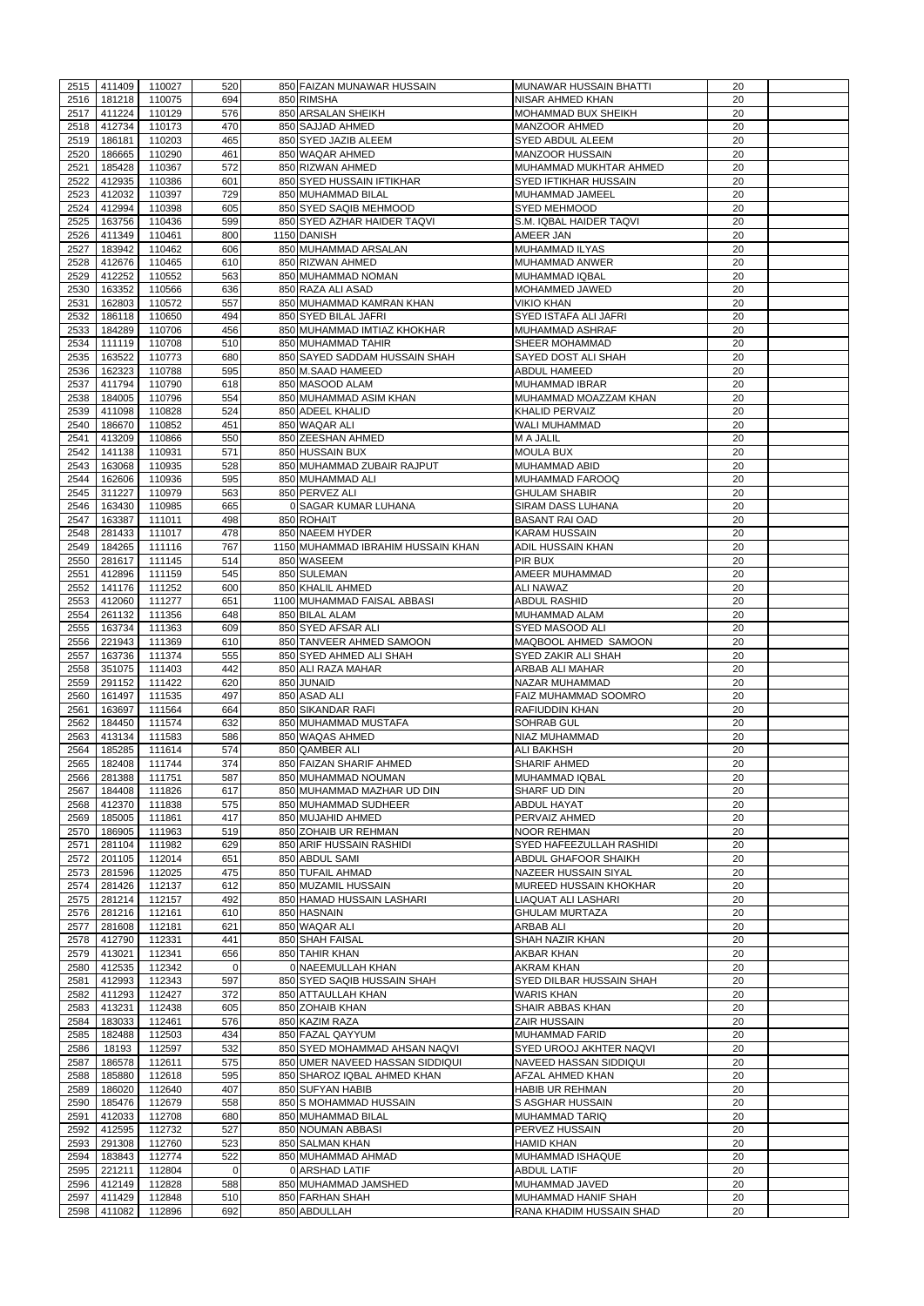| 2515         | 411409           | 110027             | 520        | 850 FAIZAN MUNAWAR HUSSAIN                     | <b>MUNAWAR HUSSAIN BHATTI</b>         | 20       |  |
|--------------|------------------|--------------------|------------|------------------------------------------------|---------------------------------------|----------|--|
| 2516         | 181218           | 110075             | 694        | 850 RIMSHA                                     | NISAR AHMED KHAN                      | 20       |  |
| 2517         | 411224           | 110129             | 576        | 850 ARSALAN SHEIKH                             | <b>MOHAMMAD BUX SHEIKH</b>            | 20       |  |
| 2518         | 412734           | 110173             | 470        | 850 SAJJAD AHMED                               | <b>MANZOOR AHMED</b>                  | 20       |  |
| 2519         | 186181           | 110203             | 465        | 850 SYED JAZIB ALEEM                           | <b>SYED ABDUL ALEEM</b>               | 20       |  |
| 2520         | 186665           | 110290             | 461        | 850 WAQAR AHMED                                | <b>MANZOOR HUSSAIN</b>                | 20       |  |
| 2521         | 185428           | 110367             | 572        | 850 RIZWAN AHMED                               | MUHAMMAD MUKHTAR AHMED                | 20       |  |
| 2522         | 412935           | 110386             | 601        | 850 SYED HUSSAIN IFTIKHAR                      | <b>SYED IFTIKHAR HUSSAIN</b>          | 20       |  |
| 2523         | 412032           | 110397             | 729        | 850 MUHAMMAD BILAL                             | MUHAMMAD JAMEEL                       | 20       |  |
| 2524         | 412994           | 110398             | 605        | 850 SYED SAQIB MEHMOOD                         | <b>SYED MEHMOOD</b>                   | 20       |  |
| 2525         | 163756           | 110436             | 599        | 850 SYED AZHAR HAIDER TAQVI                    | S.M. IQBAL HAIDER TAQVI               | 20       |  |
| 2526         | 411349           | 110461             | 800        | 1150 DANISH                                    | <b>AMEER JAN</b>                      | 20       |  |
| 2527         | 183942           | 110462             | 606        | 850 MUHAMMAD ARSALAN                           | <b>MUHAMMAD ILYAS</b>                 | 20       |  |
| 2528         | 412676           | 110465             | 610        | 850 RIZWAN AHMED                               | MUHAMMAD ANWER                        | 20       |  |
| 2529         | 412252           | 110552             | 563        | 850 MUHAMMAD NOMAN                             | <b>MUHAMMAD IQBAL</b>                 | 20       |  |
| 2530         | 163352           | 110566             | 636        | 850 RAZA ALI ASAD                              | <b>MOHAMMED JAWED</b>                 | 20       |  |
| 2531         | 162803           | 110572             | 557        | 850 MUHAMMAD KAMRAN KHAN                       | <b>VIKIO KHAN</b>                     | 20       |  |
| 2532         | 186118           | 110650             | 494        | 850 SYED BILAL JAFRI                           | <b>SYED ISTAFA ALI JAFRI</b>          | 20       |  |
| 2533         | 184289           | 110706             | 456        | 850 MUHAMMAD IMTIAZ KHOKHAR                    | <b>MUHAMMAD ASHRAF</b>                | 20       |  |
| 2534         | 111119           | 110708             | 510        | 850 MUHAMMAD TAHIR                             | SHEER MOHAMMAD                        | 20       |  |
| 2535         | 163522           | 110773             | 680        | 850 SAYED SADDAM HUSSAIN SHAH                  | <b>SAYED DOST ALI SHAH</b>            | 20       |  |
| 2536         | 162323           | 110788             | 595        | 850 M.SAAD HAMEED                              | <b>ABDUL HAMEED</b>                   | 20       |  |
| 2537         | 411794           | 110790             | 618        | 850 MASOOD ALAM                                | <b>MUHAMMAD IBRAR</b>                 | 20       |  |
| 2538         | 184005           | 110796             | 554        | 850 MUHAMMAD ASIM KHAN                         | MUHAMMAD MOAZZAM KHAN                 | 20       |  |
| 2539         | 411098           | 110828             | 524        | 850 ADEEL KHALID                               | <b>KHALID PERVAIZ</b>                 | 20       |  |
| 2540         | 186670           | 110852             | 451        | 850 WAQAR ALI                                  | <b>WALI MUHAMMAD</b>                  | 20       |  |
| 2541         | 413209           | 110866             | 550        | 850 ZEESHAN AHMED                              | M A JALIL                             | 20       |  |
| 2542         | 141138           | 110931             | 571        | 850 HUSSAIN BUX                                | <b>MOULA BUX</b>                      | 20       |  |
| 2543         | 163068           | 110935             | 528        | 850 MUHAMMAD ZUBAIR RAJPUT                     | <b>MUHAMMAD ABID</b>                  | 20       |  |
| 2544         | 162606           | 110936             | 595        | 850 MUHAMMAD ALI                               | MUHAMMAD FAROOQ                       | 20       |  |
| 2545         | 311227           | 110979             | 563        | 850 PERVEZ ALI                                 | <b>GHULAM SHABIR</b>                  | 20       |  |
| 2546         | 163430           | 110985             | 665        | 0 SAGAR KUMAR LUHANA                           | <b>SIRAM DASS LUHANA</b>              | 20       |  |
| 2547         | 163387           | 111011             | 498        | 850 ROHAIT                                     | <b>BASANT RAI OAD</b>                 | 20       |  |
| 2548         | 281433           | 111017             | 478        | 850 NAEEM HYDER                                | <b>KARAM HUSSAIN</b>                  | 20       |  |
| 2549         | 184265           | 111116             | 767        | 1150 MUHAMMAD IBRAHIM HUSSAIN KHAN             | <b>ADIL HUSSAIN KHAN</b>              | 20       |  |
| 2550         | 281617           | 111145             | 514        | 850 WASEEM                                     | <b>PIR BUX</b>                        | 20       |  |
| 2551         | 412896           | 111159             | 545        | 850 SULEMAN                                    | <b>AMEER MUHAMMAD</b>                 | 20       |  |
| 2552         | 141176           | 111252             | 600        | 850 KHALIL AHMED                               | <b>ALI NAWAZ</b>                      | 20       |  |
| 2553         | 412060           | 111277             | 651        | 1100 MUHAMMAD FAISAL ABBASI                    | <b>ABDUL RASHID</b>                   | 20       |  |
| 2554         | 261132           | 111356             | 648        | 850 BILAL ALAM                                 | MUHAMMAD ALAM                         | 20       |  |
| 2555         | 163734           | 111363             | 609        | 850 SYED AFSAR ALI                             | SYED MASOOD ALI                       | 20       |  |
| 2556         | 221943           | 111369             | 610        | 850 TANVEER AHMED SAMOON                       | MAQBOOL AHMED SAMOON                  | 20       |  |
| 2557         | 163736           | 111374             | 555        | 850 SYED AHMED ALI SHAH                        | SYED ZAKIR ALI SHAH                   | 20       |  |
| 2558         | 351075           | 111403             | 442        | 850 ALI RAZA MAHAR                             | <b>ARBAB ALI MAHAR</b>                | 20       |  |
| 2559         | 291152           | 111422             | 620        | 850 JUNAID                                     | <b>NAZAR MUHAMMAD</b>                 | 20       |  |
| 2560         | 161497           | 111535             | 497        | 850 ASAD ALI                                   | FAIZ MUHAMMAD SOOMRO                  | 20       |  |
| 2561         | 163697           | 111564             | 664        | 850 SIKANDAR RAFI                              | <b>RAFIUDDIN KHAN</b>                 | 20       |  |
| 2562         | 184450           | 111574             | 632        | 850 MUHAMMAD MUSTAFA                           | <b>SOHRAB GUL</b>                     | 20       |  |
| 2563         | 413134           | 111583             | 586        | 850 WAQAS AHMED                                | NIAZ MUHAMMAD                         | 20       |  |
| 2564         | 185285           | 111614             | 574        | 850 QAMBER ALI                                 | <b>ALI BAKHSH</b>                     | 20       |  |
| 2565<br>2566 | 182408<br>281388 | 111744<br>111751   | 374<br>587 | 850 FAIZAN SHARIF AHMED<br>850 MUHAMMAD NOUMAN | <b>SHARIF AHMED</b><br>MUHAMMAD IQBAL | 20<br>20 |  |
| 2567         | 184408           | 111826             | 617        | 850 MUHAMMAD MAZHAR UD DIN                     | SHARF UD DIN                          | 20       |  |
|              |                  |                    |            |                                                | <b>ABDUL HAYAT</b>                    | 20       |  |
| 2568<br>2569 | 412370<br>185005 | 111838<br>111861   | 575<br>417 | 850 MUHAMMAD SUDHEER<br>850 MUJAHID AHMED      | <b>PERVAIZ AHMED</b>                  | 20       |  |
| 2570         | 186905           | 111963             | 519        | 850 ZOHAIB UR REHMAN                           | <b>NOOR REHMAN</b>                    | 20       |  |
| 2571         | 281104           | 111982             | 629        | 850 ARIF HUSSAIN RASHIDI                       | SYED HAFEEZULLAH RASHIDI              | 20       |  |
| 2572         | 201105           | 112014             | 651        | 850 ABDUL SAMI                                 | <b>ABDUL GHAFOOR SHAIKH</b>           | 20       |  |
| 2573         | 281596           | 112025             | 475        | 850 TUFAIL AHMAD                               | NAZEER HUSSAIN SIYAL                  | 20       |  |
| 2574         | 281426           | 112137             | 612        | 850 MUZAMIL HUSSAIN                            | MUREED HUSSAIN KHOKHAR                | 20       |  |
| 2575         | 281214           | 112157             | 492        | 850 HAMAD HUSSAIN LASHARI                      | LIAQUAT ALI LASHARI                   | 20       |  |
| 2576         | 281216           | 112161             | 610        | 850 HASNAIN                                    | <b>GHULAM MURTAZA</b>                 | 20       |  |
| 2577         | 281608           | 112181             | 621        | 850 WAQAR ALI                                  | <b>ARBAB ALI</b>                      | 20       |  |
| 2578         | 412790           | 112331             | 441        | 850 SHAH FAISAL                                | SHAH NAZIR KHAN                       | 20       |  |
| 2579         | 413021           | 112341             | 656        | 850 TAHIR KHAN                                 | <b>AKBAR KHAN</b>                     | 20       |  |
| 2580         | 412535           | 112342             | $\Omega$   | 0 NAEEMULLAH KHAN                              | <b>AKRAM KHAN</b>                     | 20       |  |
| 2581         | 412993           | 112343             | 597        | 850 SYED SAQIB HUSSAIN SHAH                    | SYED DILBAR HUSSAIN SHAH              | 20       |  |
| 2582         |                  |                    |            |                                                |                                       |          |  |
| 2583         | 411293           | 112427             | 372        | 850 ATTAULLAH KHAN                             | <b>WARIS KHAN</b>                     | 20       |  |
| 2584         | 413231           | 112438             | 605        | 850 ZOHAIB KHAN                                | <b>SHAIR ABBAS KHAN</b>               | 20       |  |
|              | 183033           | 112461             | 576        | 850 KAZIM RAZA                                 | <b>ZAIR HUSSAIN</b>                   | 20       |  |
| 2585         | 182488           | 112503             | 434        | 850 FAZAL QAYYUM                               | <b>MUHAMMAD FARID</b>                 | 20       |  |
| 2586         | 18193            | 112597             | 532        | 850 SYED MOHAMMAD AHSAN NAQVI                  | SYED UROOJ AKHTER NAQVI               | 20       |  |
|              |                  | 2587 186578 112611 | 575        | 850 UMER NAVEED HASSAN SIDDIQUI                | NAVEED HASSAN SIDDIQUI                | 20       |  |
| 2588         | 185880           | 112618             | 595        | 850 SHAROZ IQBAL AHMED KHAN                    | AFZAL AHMED KHAN                      | 20       |  |
| 2589         | 186020           | 112640             | 407        | 850 SUFYAN HABIB                               | <b>HABIB UR REHMAN</b>                | 20       |  |
| 2590         | 185476           | 112679             | 558        | 850 S MOHAMMAD HUSSAIN                         | S ASGHAR HUSSAIN                      | 20       |  |
| 2591         | 412033           | 112708             | 680        | 850 MUHAMMAD BILAL                             | <b>MUHAMMAD TARIQ</b>                 | 20       |  |
| 2592         | 412595           | 112732             | 527        | 850 NOUMAN ABBASI                              | PERVEZ HUSSAIN                        | 20       |  |
| 2593         | 291308           | 112760             | 523        | 850 SALMAN KHAN                                | <b>HAMID KHAN</b>                     | 20       |  |
| 2594         | 183843           | 112774             | 522        | 850 MUHAMMAD AHMAD                             | MUHAMMAD ISHAQUE                      | 20       |  |
| 2595         | 221211           | 112804             | $\Omega$   | 0 ARSHAD LATIF                                 | <b>ABDUL LATIF</b>                    | 20       |  |
| 2596         | 412149           | 112828             | 588        | 850 MUHAMMAD JAMSHED                           | MUHAMMAD JAVED                        | 20       |  |
| 2597         | 411429           | 112848             | 510        | 850 FARHAN SHAH                                | MUHAMMAD HANIF SHAH                   | 20       |  |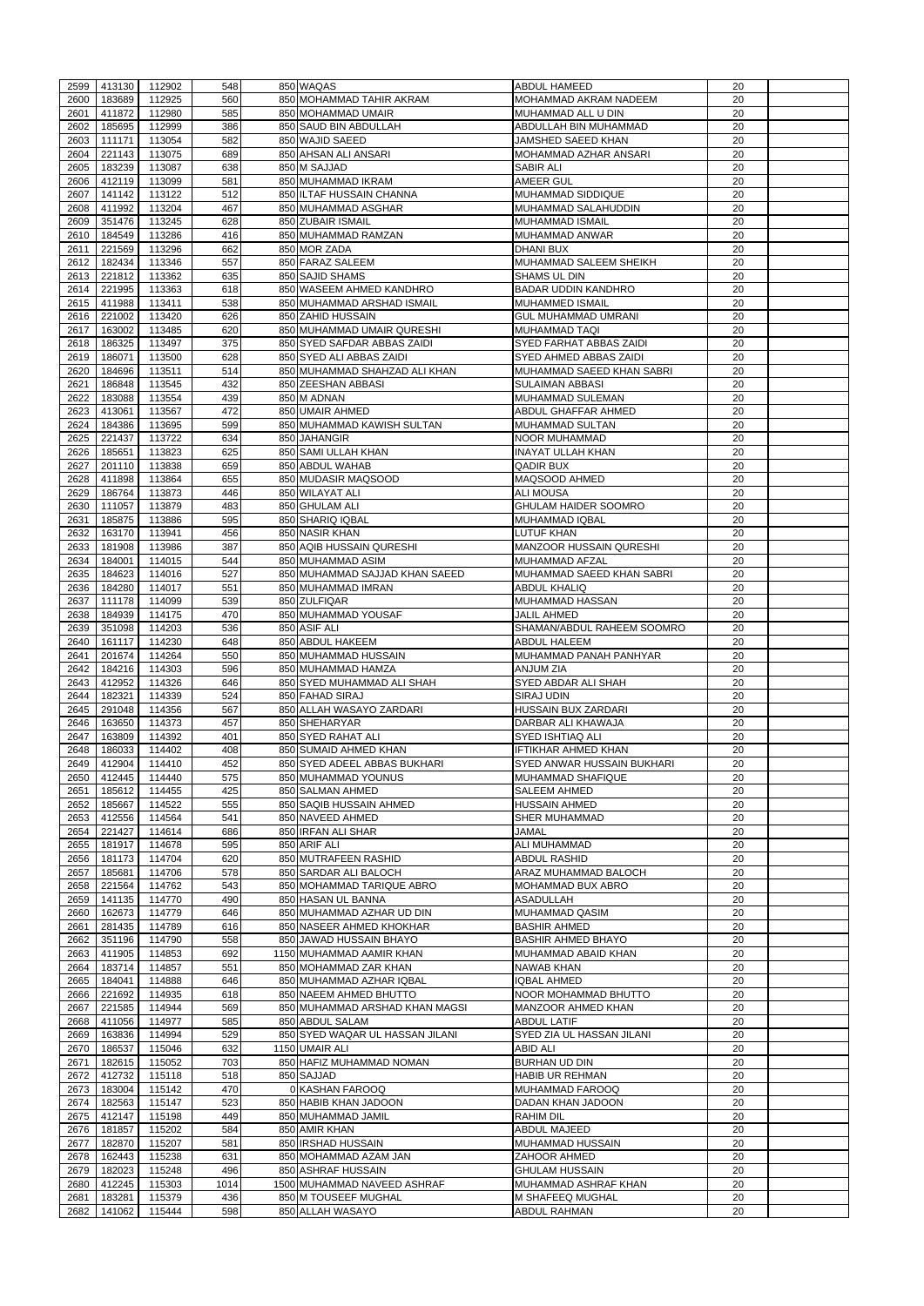| 2599         | 413130           | 112902           | 548        | 850 WAQAS                                | <b>ABDUL HAMEED</b>                     | 20       |  |
|--------------|------------------|------------------|------------|------------------------------------------|-----------------------------------------|----------|--|
|              |                  |                  |            |                                          |                                         |          |  |
| 2600         | 183689           | 112925           | 560        | 850 MOHAMMAD TAHIR AKRAM                 | <b>MOHAMMAD AKRAM NADEEM</b>            | 20       |  |
| 2601         | 411872           | 112980           | 585        | 850 MOHAMMAD UMAIR                       | MUHAMMAD ALL U DIN                      | 20       |  |
| 2602         | 185695           | 112999           | 386        | 850 SAUD BIN ABDULLAH                    | ABDULLAH BIN MUHAMMAD                   | 20       |  |
| 2603         | 111171           | 113054           | 582        | 850 WAJID SAEED                          | JAMSHED SAEED KHAN                      | 20       |  |
| 2604         | 221143           | 113075           | 689        | 850 AHSAN ALI ANSARI                     | MOHAMMAD AZHAR ANSARI                   | 20       |  |
| 2605         | 183239           | 113087           | 638        | 850 M SAJJAD                             | <b>SABIR ALI</b>                        | 20       |  |
| 2606         | 412119           | 113099           | 581        | 850 MUHAMMAD IKRAM                       | <b>AMEER GUL</b>                        | 20       |  |
| 2607         | 141142           | 113122           | 512        | 850 ILTAF HUSSAIN CHANNA                 | <b>MUHAMMAD SIDDIQUE</b>                | 20       |  |
| 2608         | 411992           | 113204           | 467        | 850 MUHAMMAD ASGHAR                      | MUHAMMAD SALAHUDDIN                     | 20       |  |
| 2609         | 351476           | 113245           | 628        | 850 ZUBAIR ISMAIL                        | <b>MUHAMMAD ISMAIL</b>                  | 20       |  |
|              |                  |                  |            |                                          |                                         |          |  |
| 2610         | 184549           | 113286           | 416        | 850 MUHAMMAD RAMZAN                      | MUHAMMAD ANWAR                          | 20       |  |
| 2611         | 221569           | 113296           | 662        | 850 MOR ZADA                             | <b>DHANI BUX</b>                        | 20       |  |
| 2612         | 182434           | 113346           | 557        | 850 FARAZ SALEEM                         | MUHAMMAD SALEEM SHEIKH                  | 20       |  |
| 2613         | 221812           | 113362           | 635        | 850 SAJID SHAMS                          | <b>SHAMS UL DIN</b>                     | 20       |  |
| 2614         | 221995           | 113363           | 618        | 850 WASEEM AHMED KANDHRO                 | <b>BADAR UDDIN KANDHRO</b>              | 20       |  |
| 2615         | 411988           | 113411           | 538        | 850 MUHAMMAD ARSHAD ISMAIL               | MUHAMMED ISMAIL                         | 20       |  |
| 2616         | 221002           | 113420           | 626        | 850 ZAHID HUSSAIN                        | <b>GUL MUHAMMAD UMRANI</b>              | 20       |  |
| 2617         | 163002           | 113485           | 620        | 850 MUHAMMAD UMAIR QURESHI               | <b>MUHAMMAD TAQI</b>                    | 20       |  |
| 2618         | 186325           | 113497           | 375        | 850 SYED SAFDAR ABBAS ZAIDI              | <b>SYED FARHAT ABBAS ZAIDI</b>          | 20       |  |
| 2619         | 186071           | 113500           | 628        | 850 SYED ALI ABBAS ZAIDI                 | SYED AHMED ABBAS ZAIDI                  | 20       |  |
|              |                  |                  |            |                                          |                                         |          |  |
| 2620         | 184696           | 113511           | 514        | 850 MUHAMMAD SHAHZAD ALI KHAN            | MUHAMMAD SAEED KHAN SABRI               | 20       |  |
| 2621         | 186848           | 113545           | 432        | 850 ZEESHAN ABBASI                       | <b>SULAIMAN ABBASI</b>                  | 20       |  |
| 2622         | 183088           | 113554           | 439        | 850 M ADNAN                              | <b>MUHAMMAD SULEMAN</b>                 | 20       |  |
| 2623         | 413061           | 113567           | 472        | 850 UMAIR AHMED                          | ABDUL GHAFFAR AHMED                     | 20       |  |
| 2624         | 184386           | 113695           | 599        | 850 MUHAMMAD KAWISH SULTAN               | <b>MUHAMMAD SULTAN</b>                  | 20       |  |
| 2625         | 221437           | 113722           | 634        | 850 JAHANGIR                             | <b>NOOR MUHAMMAD</b>                    | 20       |  |
| 2626         | 185651           | 113823           | 625        | 850 SAMI ULLAH KHAN                      | <b>INAYAT ULLAH KHAN</b>                | 20       |  |
|              |                  |                  |            |                                          |                                         |          |  |
| 2627         | 201110           | 113838           | 659        | 850 ABDUL WAHAB                          | <b>QADIR BUX</b>                        | 20       |  |
| 2628         | 411898           | 113864           | 655        | 850 MUDASIR MAQSOOD                      | MAQSOOD AHMED                           | 20       |  |
| 2629         | 186764           | 113873           | 446        | 850 WILAYAT ALI                          | <b>ALI MOUSA</b>                        | 20       |  |
| 2630         | 111057           | 113879           | 483        | 850 GHULAM ALI                           | <b>GHULAM HAIDER SOOMRO</b>             | 20       |  |
| 2631         | 185875           | 113886           | 595        | 850 SHARIQ IQBAL                         | <b>MUHAMMAD IQBAL</b>                   | 20       |  |
| 2632         | 163170           | 113941           | 456        | 850 NASIR KHAN                           | <b>LUTUF KHAN</b>                       | 20       |  |
| 2633         | 181908           | 113986           | 387        | 850 AQIB HUSSAIN QURESHI                 | <b>MANZOOR HUSSAIN QURESHI</b>          | 20       |  |
|              |                  |                  |            |                                          |                                         |          |  |
| 2634         | 184001           | 114015           | 544        | 850 MUHAMMAD ASIM                        | <b>MUHAMMAD AFZAL</b>                   | 20       |  |
| 2635         | 184623           | 114016           | 527        | 850 MUHAMMAD SAJJAD KHAN SAEED           | MUHAMMAD SAEED KHAN SABRI               | 20       |  |
| 2636         | 184280           | 114017           | 551        | 850 MUHAMMAD IMRAN                       | <b>ABDUL KHALIQ</b>                     | 20       |  |
| 2637         | 111178           | 114099           | 539        | 850 ZULFIQAR                             | <b>MUHAMMAD HASSAN</b>                  | 20       |  |
| 2638         | 184939           | 114175           | 470        | 850 MUHAMMAD YOUSAF                      | <b>JALIL AHMED</b>                      | 20       |  |
| 2639         | 351098           | 114203           | 536        | 850 ASIF ALI                             | SHAMAN/ABDUL RAHEEM SOOMRO              | 20       |  |
| 2640         | 161117           | 114230           | 648        | 850 ABDUL HAKEEM                         | ABDUL HALEEM                            | 20       |  |
| 2641         | 201674           | 114264           | 550        | 850 MUHAMMAD HUSSAIN                     | MUHAMMAD PANAH PANHYAR                  | 20       |  |
|              |                  |                  |            |                                          |                                         |          |  |
| 2642         | 184216           | 114303           | 596        | 850 MUHAMMAD HAMZA                       | <b>ANJUM ZIA</b>                        | 20       |  |
| 2643         | 412952           | 114326           | 646        | 850 SYED MUHAMMAD ALI SHAH               | <b>SYED ABDAR ALI SHAH</b>              | 20       |  |
| 2644         | 182321           | 114339           | 524        | 850 FAHAD SIRAJ                          | <b>SIRAJ UDIN</b>                       | 20       |  |
| 2645         | 291048           | 114356           | 567        | 850 ALLAH WASAYO ZARDARI                 | HUSSAIN BUX ZARDARI                     | 20       |  |
| 2646         | 163650           | 114373           | 457        | 850 SHEHARYAR                            | DARBAR ALI KHAWAJA                      | 20       |  |
| 2647         | 163809           | 114392           | 401        | 850 SYED RAHAT ALI                       | SYED ISHTIAQ ALI                        | 20       |  |
| 2648         | 186033           | 114402           | 408        | 850 SUMAID AHMED KHAN                    | <b>IFTIKHAR AHMED KHAN</b>              | 20       |  |
| 2649         | 412904           | 114410           | 452        | 850 SYED ADEEL ABBAS BUKHARI             | <b>SYED ANWAR HUSSAIN BUKHARI</b>       | 20       |  |
| 2650         | 412445           | 114440           | 575        | 850 MUHAMMAD YOUNUS                      | <b>MUHAMMAD SHAFIQUE</b>                | 20       |  |
|              |                  |                  |            |                                          |                                         |          |  |
| 2651         | 185612           | 114455           | 425        | 850 SALMAN AHMED                         | <b>SALEEM AHMED</b>                     | 20       |  |
| 2652         | 185667           | 114522           | 555        | 850 SAQIB HUSSAIN AHMED                  | <b>HUSSAIN AHMED</b>                    | 20       |  |
| 2653         | 412556           | 114564           | 541        | 850 NAVEED AHMED                         | <b>SHER MUHAMMAD</b>                    | 20       |  |
| 2654         | 221427           | 114614           | 686        | 850 IRFAN ALI SHAR                       | <b>JAMAL</b>                            | 20       |  |
| 2655         | 181917           | 114678           | 595        | 850 ARIF ALI                             | <b>ALI MUHAMMAD</b>                     | 20       |  |
| 2656         | 181173           | 114704           | 620        | 850 MUTRAFEEN RASHID                     |                                         |          |  |
| 2657         | 185681           | 114706           |            |                                          | <b>ABDUL RASHID</b>                     | 20       |  |
|              |                  |                  | 578        | 850 SARDAR ALI BALOCH                    | ARAZ MUHAMMAD BALOCH                    | 20       |  |
|              |                  |                  |            |                                          |                                         |          |  |
| 2658         | 221564           | 114762           | 543        | 850 MOHAMMAD TARIQUE ABRO                | <b>MOHAMMAD BUX ABRO</b>                | 20       |  |
| 2659         | 141135           | 114770           | 490        | 850 HASAN UL BANNA                       | <b>ASADULLAH</b>                        | 20       |  |
| 2660         | 162673           | 114779           | 646        | 850 MUHAMMAD AZHAR UD DIN                | MUHAMMAD QASIM                          | 20       |  |
| 2661         | 281435           | 114789           | 616        | 850 NASEER AHMED KHOKHAR                 | <b>BASHIR AHMED</b>                     | 20       |  |
| 2662         | 351196           | 114790           | 558        | 850 JAWAD HUSSAIN BHAYO                  | <b>BASHIR AHMED BHAYO</b>               | 20       |  |
| 2663         | 411905           | 114853           | 692        | 1150 MUHAMMAD AAMIR KHAN                 | MUHAMMAD ABAID KHAN                     | 20       |  |
| 2664         | 183714           | 114857           | 551        | 850 MOHAMMAD ZAR KHAN                    | <b>NAWAB KHAN</b>                       | 20       |  |
| 2665         | 184041           | 114888           | 646        | 850 MUHAMMAD AZHAR IQBAL                 | <b>IQBAL AHMED</b>                      | 20       |  |
|              |                  |                  |            | 850 NAEEM AHMED BHUTTO                   |                                         | 20       |  |
| 2666         | 221692           | 114935           | 618        |                                          | NOOR MOHAMMAD BHUTTO                    |          |  |
| 2667         | 221585           | 114944           | 569        | 850 MUHAMMAD ARSHAD KHAN MAGSI           | <b>MANZOOR AHMED KHAN</b>               | 20       |  |
| 2668         | 411056           | 114977           | 585        | 850 ABDUL SALAM                          | <b>ABDUL LATIF</b>                      | 20       |  |
| 2669         | 163836           | 114994           | 529        | 850 SYED WAQAR UL HASSAN JILANI          | SYED ZIA UL HASSAN JILANI               | 20       |  |
| 2670         | 186537           | 115046           | 632        | 1150 UMAIR ALI                           | <b>ABID ALI</b>                         | 20       |  |
|              | 2671 182615      | 115052           | 703        | 850 HAFIZ MUHAMMAD NOMAN                 | <b>BURHAN UD DIN</b>                    | 20       |  |
| 2672         | 412732           | 115118           | 518        | 850 SAJJAD                               | <b>HABIB UR REHMAN</b>                  | 20       |  |
| 2673         |                  |                  |            |                                          | <b>MUHAMMAD FAROOQ</b>                  |          |  |
|              | 183004           | 115142           | 470        | 0 KASHAN FAROOQ                          |                                         | 20       |  |
| 2674         | 182563           | 115147           | 523        | 850 HABIB KHAN JADOON                    | <b>DADAN KHAN JADOON</b>                | 20       |  |
| 2675         | 412147           | 115198           | 449        | 850 MUHAMMAD JAMIL                       | <b>RAHIM DIL</b>                        | 20       |  |
| 2676         | 181857           | 115202           | 584        | 850 AMIR KHAN                            | <b>ABDUL MAJEED</b>                     | 20       |  |
| 2677         | 182870           | 115207           | 581        | 850 IRSHAD HUSSAIN                       | <b>MUHAMMAD HUSSAIN</b>                 | 20       |  |
| 2678         | 162443           | 115238           | 631        | 850 MOHAMMAD AZAM JAN                    | <b>ZAHOOR AHMED</b>                     | 20       |  |
| 2679         | 182023           | 115248           | 496        | 850 ASHRAF HUSSAIN                       | <b>GHULAM HUSSAIN</b>                   | 20       |  |
| 2680         | 412245           | 115303           | 1014       | 1500 MUHAMMAD NAVEED ASHRAF              | MUHAMMAD ASHRAF KHAN                    | 20       |  |
|              |                  |                  |            |                                          |                                         |          |  |
| 2681<br>2682 | 183281<br>141062 | 115379<br>115444 | 436<br>598 | 850 M TOUSEEF MUGHAL<br>850 ALLAH WASAYO | M SHAFEEQ MUGHAL<br><b>ABDUL RAHMAN</b> | 20<br>20 |  |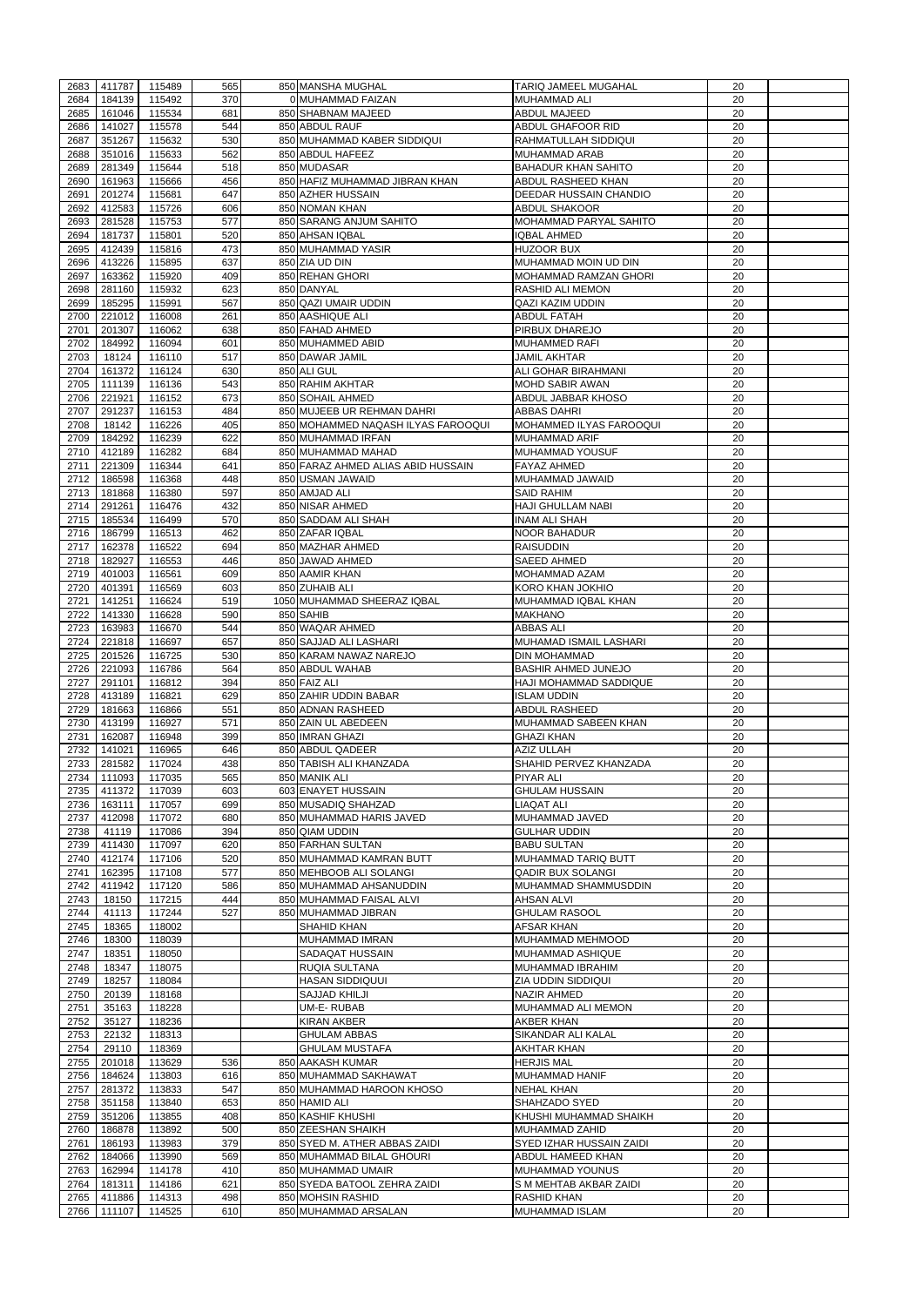| 2683 | 411787      | 115489 | 565        | 850 MANSHA MUGHAL                  | <b>TARIQ JAMEEL MUGAHAL</b>     | 20 |  |
|------|-------------|--------|------------|------------------------------------|---------------------------------|----|--|
|      |             |        | 370        | 0 MUHAMMAD FAIZAN                  | MUHAMMAD ALI                    | 20 |  |
| 2684 | 184139      | 115492 |            |                                    | ABDUL MAJEED                    |    |  |
| 2685 | 161046      | 115534 | 681<br>544 | 850 SHABNAM MAJEED                 | <b>ABDUL GHAFOOR RID</b>        | 20 |  |
| 2686 | 141027      | 115578 |            | 850 ABDUL RAUF                     |                                 | 20 |  |
| 2687 | 351267      | 115632 | 530        | 850 MUHAMMAD KABER SIDDIQUI        | RAHMATULLAH SIDDIQUI            | 20 |  |
| 2688 | 351016      | 115633 | 562        | 850 ABDUL HAFEEZ                   | <b>MUHAMMAD ARAB</b>            | 20 |  |
| 2689 | 281349      | 115644 | 518        | 850 MUDASAR                        | <b>BAHADUR KHAN SAHITO</b>      | 20 |  |
| 2690 | 161963      | 115666 | 456        | 850 HAFIZ MUHAMMAD JIBRAN KHAN     | ABDUL RASHEED KHAN              | 20 |  |
| 2691 | 201274      | 115681 | 647        | 850 AZHER HUSSAIN                  | <b>DEEDAR HUSSAIN CHANDIO</b>   | 20 |  |
| 2692 | 412583      | 115726 | 606        | 850 NOMAN KHAN                     | <b>ABDUL SHAKOOR</b>            | 20 |  |
| 2693 | 281528      | 115753 | 577        | 850 SARANG ANJUM SAHITO            | <b>MOHAMMAD PARYAL SAHITO</b>   | 20 |  |
| 2694 | 181737      | 115801 | 520        | 850 AHSAN IQBAL                    | <b>IQBAL AHMED</b>              | 20 |  |
| 2695 | 412439      | 115816 | 473        | 850 MUHAMMAD YASIR                 | <b>HUZOOR BUX</b>               | 20 |  |
| 2696 | 413226      | 115895 | 637        | 850 ZIA UD DIN                     | <b>MUHAMMAD MOIN UD DIN</b>     | 20 |  |
| 2697 | 163362      | 115920 | 409        | 850 REHAN GHORI                    | <b>MOHAMMAD RAMZAN GHORI</b>    | 20 |  |
| 2698 | 281160      | 115932 | 623        | 850 DANYAL                         | <b>RASHID ALI MEMON</b>         | 20 |  |
| 2699 | 185295      | 115991 | 567        | 850 QAZI UMAIR UDDIN               | QAZI KAZIM UDDIN                | 20 |  |
| 2700 | 221012      | 116008 | 261        | 850 AASHIQUE ALI                   | <b>ABDUL FATAH</b>              | 20 |  |
| 2701 | 201307      | 116062 | 638        | 850 FAHAD AHMED                    | <b>PIRBUX DHAREJO</b>           | 20 |  |
| 2702 | 184992      | 116094 | 601        | 850 MUHAMMED ABID                  | <b>MUHAMMED RAFI</b>            | 20 |  |
| 2703 | 18124       | 116110 | 517        | 850 DAWAR JAMIL                    | <b>JAMIL AKHTAR</b>             | 20 |  |
| 2704 | 161372      | 116124 | 630        | 850 ALI GUL                        | ALI GOHAR BIRAHMANI             | 20 |  |
| 2705 | 111139      | 116136 | 543        | 850 RAHIM AKHTAR                   | <b>MOHD SABIR AWAN</b>          | 20 |  |
| 2706 | 221921      | 116152 | 673        | 850 SOHAIL AHMED                   | ABDUL JABBAR KHOSO              | 20 |  |
| 2707 | 291237      | 116153 | 484        | 850 MUJEEB UR REHMAN DAHRI         | ABBAS DAHRI                     | 20 |  |
| 2708 | 18142       | 116226 | 405        | 850 MOHAMMED NAQASH ILYAS FAROOQUI | <b>MOHAMMED ILYAS FAROOQUI</b>  | 20 |  |
| 2709 | 184292      | 116239 | 622        | 850 MUHAMMAD IRFAN                 | <b>MUHAMMAD ARIF</b>            | 20 |  |
| 2710 | 412189      | 116282 | 684        | 850 MUHAMMAD MAHAD                 | MUHAMMAD YOUSUF                 | 20 |  |
| 2711 | 221309      | 116344 | 641        | 850 FARAZ AHMED ALIAS ABID HUSSAIN | <b>FAYAZ AHMED</b>              | 20 |  |
| 2712 | 186598      | 116368 | 448        | 850 USMAN JAWAID                   | MUHAMMAD JAWAID                 | 20 |  |
| 2713 | 181868      | 116380 | 597        | 850 AMJAD ALI                      | <b>SAID RAHIM</b>               | 20 |  |
| 2714 | 291261      | 116476 | 432        | 850 NISAR AHMED                    | <b>HAJI GHULLAM NABI</b>        | 20 |  |
|      |             |        | 570        |                                    |                                 | 20 |  |
| 2715 | 185534      | 116499 |            | 850 SADDAM ALI SHAH                | <b>INAM ALI SHAH</b>            |    |  |
| 2716 | 186799      | 116513 | 462        | 850 ZAFAR IQBAL                    | <b>NOOR BAHADUR</b>             | 20 |  |
| 2717 | 162378      | 116522 | 694        | 850 MAZHAR AHMED                   | <b>RAISUDDIN</b>                | 20 |  |
| 2718 | 182927      | 116553 | 446        | 850 JAWAD AHMED                    | <b>SAEED AHMED</b>              | 20 |  |
| 2719 | 401003      | 116561 | 609        | 850 AAMIR KHAN                     | <b>MOHAMMAD AZAM</b>            | 20 |  |
| 2720 | 401391      | 116569 | 603        | 850 ZUHAIB ALI                     | KORO KHAN JOKHIO                | 20 |  |
| 2721 | 141251      | 116624 | 519        | 1050 MUHAMMAD SHEERAZ IQBAL        | MUHAMMAD IQBAL KHAN             | 20 |  |
| 2722 | 141330      | 116628 | 590        | 850 SAHIB                          | <b>MAKHANO</b>                  | 20 |  |
| 2723 | 163983      | 116670 | 544        | 850 WAQAR AHMED                    | <b>ABBAS ALI</b>                | 20 |  |
| 2724 | 221818      | 116697 | 657        | 850 SAJJAD ALI LASHARI             | MUHAMAD ISMAIL LASHARI          | 20 |  |
| 2725 | 201526      | 116725 | 530        | 850 KARAM NAWAZ NAREJO             | DIN MOHAMMAD                    | 20 |  |
| 2726 | 221093      | 116786 | 564        | 850 ABDUL WAHAB                    | <b>BASHIR AHMED JUNEJO</b>      | 20 |  |
| 2727 | 291101      | 116812 | 394        | 850 FAIZ ALI                       | HAJI MOHAMMAD SADDIQUE          | 20 |  |
| 2728 | 413189      | 116821 | 629        | 850 ZAHIR UDDIN BABAR              | <b>ISLAM UDDIN</b>              | 20 |  |
| 2729 | 181663      | 116866 | 551        | 850 ADNAN RASHEED                  | ABDUL RASHEED                   | 20 |  |
| 2730 | 413199      | 116927 | 571        | 850 ZAIN UL ABEDEEN                | MUHAMMAD SABEEN KHAN            | 20 |  |
| 2731 | 162087      | 116948 | 399        | 850 IMRAN GHAZI                    | <b>GHAZI KHAN</b>               | 20 |  |
| 2732 | 141021      | 116965 | 646        | 850 ABDUL QADEER                   | <b>AZIZ ULLAH</b>               | 20 |  |
| 2733 | 281582      | 117024 | 438        | 850 TABISH ALI KHANZADA            | SHAHID PERVEZ KHANZADA          | 20 |  |
| 2734 | 111093      | 117035 | 565        | 850 MANIK ALI                      | <b>PIYAR ALI</b>                | 20 |  |
| 2735 | 411372      | 117039 | 603        | 603 ENAYET HUSSAIN                 | <b>GHULAM HUSSAIN</b>           | 20 |  |
| 2736 | 163111      | 117057 | 699        | 850 MUSADIQ SHAHZAD                | <b>LIAQAT ALI</b>               | 20 |  |
| 2737 | 412098      | 117072 | 680        | 850 MUHAMMAD HARIS JAVED           | MUHAMMAD JAVED                  | 20 |  |
| 2738 | 41119       | 117086 | 394        | 850 QIAM UDDIN                     | <b>GULHAR UDDIN</b>             | 20 |  |
| 2739 | 411430      | 117097 | 620        | 850 FARHAN SULTAN                  | <b>BABU SULTAN</b>              | 20 |  |
| 2740 | 412174      | 117106 | 520        | 850 MUHAMMAD KAMRAN BUTT           | MUHAMMAD TARIQ BUTT             | 20 |  |
| 2741 | 162395      | 117108 | 577        | 850 MEHBOOB ALI SOLANGI            | <b>QADIR BUX SOLANGI</b>        | 20 |  |
| 2742 | 411942      | 117120 | 586        | 850 MUHAMMAD AHSANUDDIN            | MUHAMMAD SHAMMUSDDIN            | 20 |  |
| 2743 | 18150       | 117215 | 444        | 850 MUHAMMAD FAISAL ALVI           | AHSAN ALVI                      | 20 |  |
| 2744 | 41113       | 117244 | 527        | 850 MUHAMMAD JIBRAN                | <b>GHULAM RASOOL</b>            | 20 |  |
| 2745 | 18365       | 118002 |            | <b>SHAHID KHAN</b>                 | <b>AFSAR KHAN</b>               | 20 |  |
| 2746 | 18300       | 118039 |            | MUHAMMAD IMRAN                     | MUHAMMAD MEHMOOD                | 20 |  |
| 2747 | 18351       | 118050 |            | SADAQAT HUSSAIN                    | MUHAMMAD ASHIQUE                | 20 |  |
| 2748 | 18347       | 118075 |            | RUQIA SULTANA                      | <b>MUHAMMAD IBRAHIM</b>         | 20 |  |
| 2749 | 18257       | 118084 |            | HASAN SIDDIQUUI                    | <b>ZIA UDDIN SIDDIQUI</b>       | 20 |  |
| 2750 | 20139       | 118168 |            | <b>SAJJAD KHILJI</b>               | <b>NAZIR AHMED</b>              | 20 |  |
| 2751 | 35163       | 118228 |            | <b>UM-E-RUBAB</b>                  | MUHAMMAD ALI MEMON              | 20 |  |
| 2752 | 35127       | 118236 |            | <b>KIRAN AKBER</b>                 |                                 | 20 |  |
|      |             |        |            |                                    | AKBER KHAN                      |    |  |
| 2753 | 22132       | 118313 |            | <b>GHULAM ABBAS</b>                | SIKANDAR ALI KALAL              | 20 |  |
| 2754 | 29110       | 118369 |            | <b>GHULAM MUSTAFA</b>              | <b>AKHTAR KHAN</b>              | 20 |  |
|      | 2755 201018 | 113629 | 536        | 850 AAKASH KUMAR                   | <b>HERJIS MAL</b>               | 20 |  |
| 2756 | 184624      | 113803 | 616        | 850 MUHAMMAD SAKHAWAT              | MUHAMMAD HANIF                  | 20 |  |
| 2757 | 281372      | 113833 | 547        | 850 MUHAMMAD HAROON KHOSO          | <b>NEHAL KHAN</b>               | 20 |  |
| 2758 | 351158      | 113840 | 653        | 850 HAMID ALI                      | SHAHZADO SYED                   | 20 |  |
| 2759 | 351206      | 113855 | 408        | 850 KASHIF KHUSHI                  | KHUSHI MUHAMMAD SHAIKH          | 20 |  |
| 2760 | 186878      | 113892 | 500        | 850 ZEESHAN SHAIKH                 | MUHAMMAD ZAHID                  | 20 |  |
| 2761 | 186193      | 113983 | 379        | 850 SYED M. ATHER ABBAS ZAIDI      | <b>SYED IZHAR HUSSAIN ZAIDI</b> | 20 |  |
| 2762 | 184066      | 113990 | 569        | 850 MUHAMMAD BILAL GHOURI          | ABDUL HAMEED KHAN               | 20 |  |
| 2763 | 162994      | 114178 | 410        | 850 MUHAMMAD UMAIR                 | <b>MUHAMMAD YOUNUS</b>          | 20 |  |
| 2764 | 181311      | 114186 | 621        | 850 SYEDA BATOOL ZEHRA ZAIDI       | S M MEHTAB AKBAR ZAIDI          | 20 |  |
| 2765 | 411886      | 114313 | 498        | 850 MOHSIN RASHID                  | <b>RASHID KHAN</b>              | 20 |  |
| 2766 | 111107      | 114525 | 610        | 850 MUHAMMAD ARSALAN               | <b>MUHAMMAD ISLAM</b>           | 20 |  |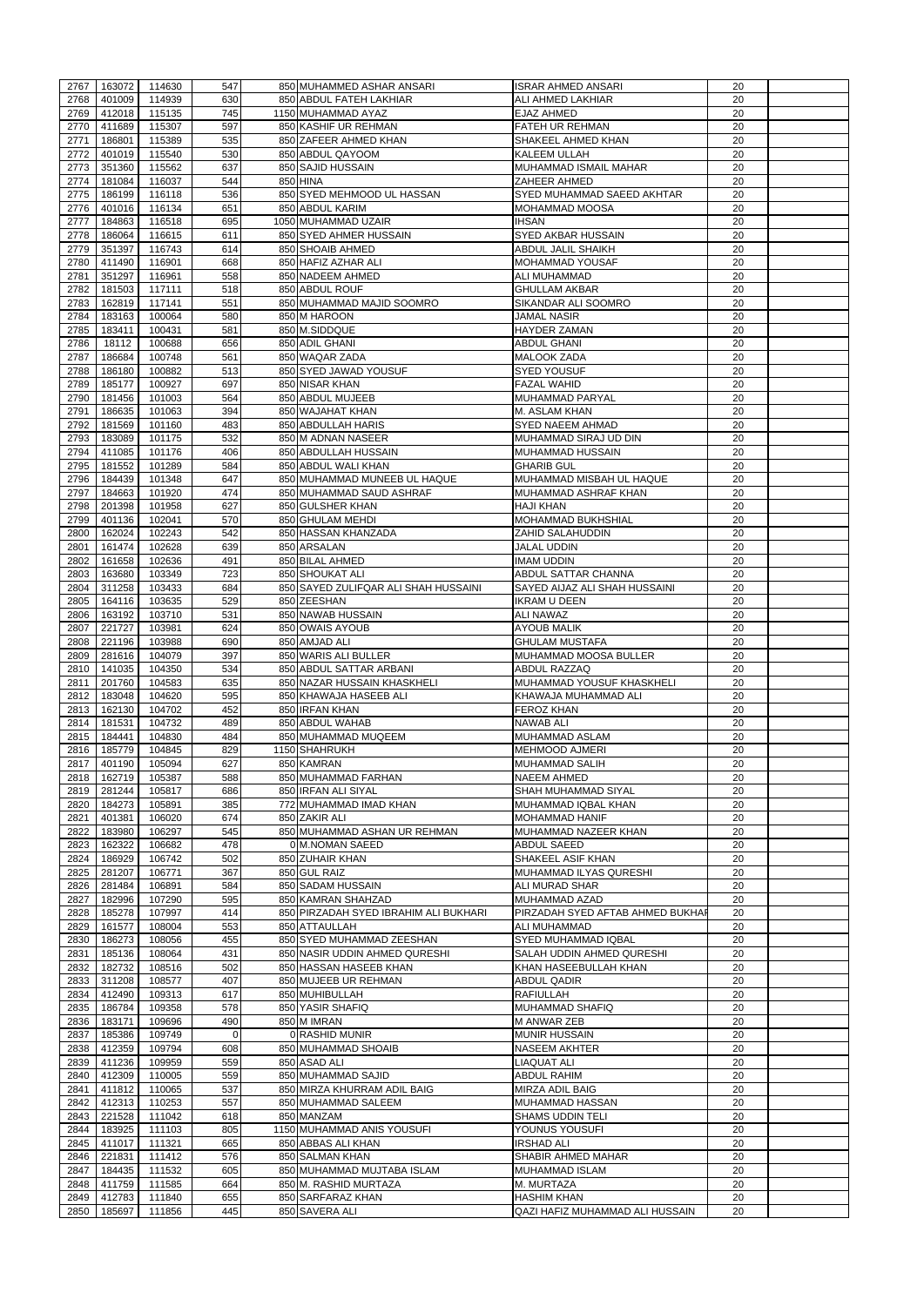| 2767         | 163072           | 114630                       | 547        | 850 MUHAMMED ASHAR ANSARI             | <b>ISRAR AHMED ANSARI</b>                             | 20       |  |
|--------------|------------------|------------------------------|------------|---------------------------------------|-------------------------------------------------------|----------|--|
| 2768         | 401009           | 114939                       | 630        | 850 ABDUL FATEH LAKHIAR               | ALI AHMED LAKHIAR                                     | 20       |  |
| 2769         | 412018           | 115135                       | 745        | 1150 MUHAMMAD AYAZ                    | <b>EJAZ AHMED</b>                                     | 20       |  |
| 2770         | 411689           | 115307                       | 597        | 850 KASHIF UR REHMAN                  | <b>FATEH UR REHMAN</b>                                | 20       |  |
| 2771         | 186801           | 115389                       | 535        | 850 ZAFEER AHMED KHAN                 | SHAKEEL AHMED KHAN                                    | 20       |  |
| 2772         | 401019           | 115540                       | 530        | 850 ABDUL QAYOOM                      | <b>KALEEM ULLAH</b>                                   | 20       |  |
| 2773         | 351360           | 115562                       | 637        | 850 SAJID HUSSAIN                     | MUHAMMAD ISMAIL MAHAR                                 | 20       |  |
| 2774         | 181084           | 116037                       | 544        | 850 HINA                              | ZAHEER AHMED                                          | 20       |  |
| 2775         | 186199           | 116118                       | 536        | 850 SYED MEHMOOD UL HASSAN            | SYED MUHAMMAD SAEED AKHTAR                            | 20       |  |
| 2776         | 401016           | 116134                       | 651        | 850 ABDUL KARIM                       | MOHAMMAD MOOSA                                        | 20       |  |
| 2777         | 184863           | 116518                       | 695        | 1050 MUHAMMAD UZAIR                   | <b>IHSAN</b>                                          | 20       |  |
| 2778         | 186064           | 116615                       | 611        | 850 SYED AHMER HUSSAIN                | <b>SYED AKBAR HUSSAIN</b>                             | 20       |  |
| 2779         | 351397           | 116743                       | 614        | 850 SHOAIB AHMED                      | <b>ABDUL JALIL SHAIKH</b>                             | 20       |  |
| 2780         | 411490           | 116901                       | 668        | 850 HAFIZ AZHAR ALI                   | <b>MOHAMMAD YOUSAF</b>                                | 20       |  |
| 2781         | 351297           | 116961                       | 558        | 850 NADEEM AHMED                      | <b>ALI MUHAMMAD</b>                                   | 20       |  |
| 2782         | 181503           | 117111                       | 518        | 850 ABDUL ROUF                        | <b>GHULLAM AKBAR</b>                                  | 20       |  |
| 2783         | 162819           | 117141                       | 551        | 850 MUHAMMAD MAJID SOOMRO             | SIKANDAR ALI SOOMRO                                   | 20       |  |
| 2784         | 183163           | 100064                       | 580        | 850 M HAROON                          | <b>JAMAL NASIR</b>                                    | 20       |  |
| 2785         | 183411           | 100431                       | 581        | 850 M.SIDDQUE                         | <b>HAYDER ZAMAN</b>                                   | 20       |  |
| 2786         | 18112            | 100688                       | 656        | 850 ADIL GHANI                        | <b>ABDUL GHANI</b>                                    | 20       |  |
| 2787         | 186684           | 100748                       | 561        | 850 WAQAR ZADA                        | <b>MALOOK ZADA</b>                                    | 20       |  |
| 2788         | 186180           | 100882                       | 513        | 850 SYED JAWAD YOUSUF                 | <b>SYED YOUSUF</b>                                    | 20       |  |
| 2789         | 185177           | 100927                       | 697        | 850 NISAR KHAN                        | <b>FAZAL WAHID</b>                                    | 20       |  |
| 2790         | 181456           | 101003                       | 564        | 850 ABDUL MUJEEB                      | MUHAMMAD PARYAL                                       | 20       |  |
| 2791         | 186635           | 101063                       | 394        | 850 WAJAHAT KHAN                      | M. ASLAM KHAN                                         | 20       |  |
| 2792         | 181569           | 101160                       | 483        | 850 ABDULLAH HARIS                    | <b>SYED NAEEM AHMAD</b>                               | 20       |  |
| 2793         | 183089           | 101175                       | 532        | 850 M ADNAN NASEER                    | MUHAMMAD SIRAJ UD DIN                                 | 20       |  |
| 2794         | 411085           | 101176                       | 406        | 850 ABDULLAH HUSSAIN                  | <b>MUHAMMAD HUSSAIN</b>                               | 20       |  |
| 2795         | 181552           | 101289                       | 584        | 850 ABDUL WALI KHAN                   | <b>GHARIB GUL</b>                                     | 20       |  |
| 2796         | 184439           | 101348                       | 647        | 850 MUHAMMAD MUNEEB UL HAQUE          | MUHAMMAD MISBAH UL HAQUE                              | 20       |  |
| 2797         | 184663           | 101920                       | 474        | 850 MUHAMMAD SAUD ASHRAF              | MUHAMMAD ASHRAF KHAN                                  | 20       |  |
| 2798         | 201398           | 101958                       | 627        | 850 GULSHER KHAN                      | <b>HAJI KHAN</b>                                      | 20       |  |
| 2799         | 401136           | 102041                       | 570        | 850 GHULAM MEHDI                      | <b>MOHAMMAD BUKHSHIAL</b>                             | 20       |  |
| 2800         | 162024           | 102243                       | 542        | 850 HASSAN KHANZADA                   | <b>ZAHID SALAHUDDIN</b>                               | 20       |  |
| 2801         | 161474           | 102628                       | 639        | 850 ARSALAN                           | <b>JALAL UDDIN</b>                                    | 20       |  |
| 2802         | 161658           | 102636                       | 491        | 850 BILAL AHMED                       | <b>IMAM UDDIN</b>                                     | 20       |  |
| 2803         | 163680           | 103349                       | 723        | 850 SHOUKAT ALI                       | <b>ABDUL SATTAR CHANNA</b>                            | 20       |  |
| 2804         | 311258           | 103433                       | 684        | 850 SAYED ZULIFQAR ALI SHAH HUSSAINI  | SAYED AIJAZ ALI SHAH HUSSAINI                         | 20       |  |
| 2805         | 164116           | 103635                       | 529        | 850 ZEESHAN                           | <b>IKRAM U DEEN</b>                                   | 20       |  |
| 2806         | 163192           | 103710                       | 531        | 850 NAWAB HUSSAIN                     | <b>ALI NAWAZ</b>                                      | 20       |  |
| 2807         | 221727           | 103981                       | 624        | 850 OWAIS AYOUB                       | <b>AYOUB MALIK</b>                                    | 20       |  |
| 2808         | 221196           | 103988                       | 690        | 850 AMJAD ALI                         | <b>GHULAM MUSTAFA</b>                                 | 20       |  |
| 2809         | 281616           | 104079                       | 397        | 850 WARIS ALI BULLER                  | MUHAMMAD MOOSA BULLER                                 | 20       |  |
| 2810         | 141035           | 104350                       | 534        | 850 ABDUL SATTAR ARBANI               | ABDUL RAZZAQ                                          | 20       |  |
| 2811         | 201760           | 104583                       | 635        | 850 NAZAR HUSSAIN KHASKHELI           | MUHAMMAD YOUSUF KHASKHELI                             | 20       |  |
| 2812         | 183048           | 104620                       | 595        | 850 KHAWAJA HASEEB ALI                | KHAWAJA MUHAMMAD ALI                                  | 20       |  |
| 2813         | 162130           | 104702                       | 452        | 850 IRFAN KHAN                        | <b>FEROZ KHAN</b>                                     | 20       |  |
| 2814         | 181531           | 104732                       | 489        | 850 ABDUL WAHAB                       | <b>NAWAB ALI</b>                                      | 20       |  |
| 2815         | 184441           | 104830                       | 484        | 850 MUHAMMAD MUQEEM                   | MUHAMMAD ASLAM                                        | 20       |  |
| 2816         | 185779           | 104845                       | 829        | 1150 SHAHRUKH                         | <b>MEHMOOD AJMERI</b>                                 | 20       |  |
| 2817         | 401190           | 105094                       | 627        | 850 KAMRAN                            | <b>MUHAMMAD SALIH</b>                                 | 20       |  |
| 2818         | 162719           | 105387                       | 588        | 850 MUHAMMAD FARHAN                   | <b>NAEEM AHMED</b>                                    | 20       |  |
| 2819         | 281244           | 105817                       | 686        | 850 IRFAN ALI SIYAL                   | SHAH MUHAMMAD SIYAL                                   | 20       |  |
| 2820         | 184273           | 105891                       | 385        | 772 MUHAMMAD IMAD KHAN                | <b>MUHAMMAD IQBAL KHAN</b>                            | 20       |  |
| 2821         | 401381           | 106020                       | 674        | 850 ZAKIR ALI                         | <b>MOHAMMAD HANIF</b>                                 | 20       |  |
| 2822         | 183980           | 106297                       | 545        | 850 MUHAMMAD ASHAN UR REHMAN          | MUHAMMAD NAZEER KHAN                                  | 20       |  |
| 2823         | 162322           | 106682                       | 478        | 0 M.NOMAN SAEED                       | <b>ABDUL SAEED</b>                                    | 20       |  |
| 2824         | 186929           | 106742                       | 502        | 850 ZUHAIR KHAN                       | SHAKEEL ASIF KHAN                                     | 20       |  |
| 2825         | 281207           | 106771                       | 367        | 850 GUL RAIZ                          | MUHAMMAD ILYAS QURESHI                                | 20       |  |
| 2826         | 281484           | 106891                       | 584        | 850 SADAM HUSSAIN                     | <b>ALI MURAD SHAR</b>                                 | 20       |  |
| 2827         | 182996           | 107290                       | 595        | 850 KAMRAN SHAHZAD                    | MUHAMMAD AZAD                                         | 20       |  |
| 2828         | 185278           | 107997                       | 414        | 850 PIRZADAH SYED IBRAHIM ALI BUKHARI | PIRZADAH SYED AFTAB AHMED BUKHAF                      | 20       |  |
| 2829         | 161577           | 108004                       | 553        | 850 ATTAULLAH                         | ALI MUHAMMAD                                          | 20       |  |
| 2830         | 186273           | 108056                       | 455        | 850 SYED MUHAMMAD ZEESHAN             | SYED MUHAMMAD IQBAL                                   | 20       |  |
| 2831         | 185136           | 108064                       | 431        | 850 NASIR UDDIN AHMED QURESHI         | SALAH UDDIN AHMED QURESHI                             | 20       |  |
| 2832         | 182732           | 108516                       | 502        | 850 HASSAN HASEEB KHAN                | KHAN HASEEBULLAH KHAN                                 | 20       |  |
| 2833         | 311208           | 108577                       | 407        | 850 MUJEEB UR REHMAN                  | <b>ABDUL QADIR</b>                                    | 20       |  |
| 2834         | 412490           | 109313                       | 617        | 850 MUHIBULLAH                        | <b>RAFIULLAH</b>                                      | 20       |  |
| 2835         | 186784           | 109358                       | 578        | 850 YASIR SHAFIQ                      | <b>MUHAMMAD SHAFIQ</b>                                | 20       |  |
| 2836         | 183171           | 109696                       | 490        | 850 M IMRAN                           | M ANWAR ZEB                                           | 20       |  |
|              | 185386           |                              | $\Omega$   | 0 RASHID MUNIR                        |                                                       | 20       |  |
| 2837         | 412359           | 109749                       |            | 850 MUHAMMAD SHOAIB                   | <b>MUNIR HUSSAIN</b><br><b>NASEEM AKHTER</b>          |          |  |
| 2838         |                  | 109794<br>2839 411236 109959 | 608<br>559 | 850 ASAD ALI                          |                                                       | 20<br>20 |  |
|              |                  |                              |            |                                       | LIAQUAT ALI                                           |          |  |
| 2840         | 412309           | 110005                       | 559        | 850 MUHAMMAD SAJID                    | <b>ABDUL RAHIM</b>                                    | 20       |  |
| 2841         | 411812           | 110065                       | 537        | 850 MIRZA KHURRAM ADIL BAIG           | <b>MIRZA ADIL BAIG</b>                                | 20       |  |
| 2842         | 412313           | 110253                       | 557        | 850 MUHAMMAD SALEEM                   | MUHAMMAD HASSAN                                       | 20       |  |
| 2843         | 221528           | 111042                       | 618        | 850 MANZAM                            | <b>SHAMS UDDIN TELI</b>                               | 20       |  |
| 2844         | 183925           | 111103                       | 805        | 1150 MUHAMMAD ANIS YOUSUFI            | YOUNUS YOUSUFI                                        | 20       |  |
| 2845         | 411017<br>221831 | 111321                       | 665        | 850 ABBAS ALI KHAN                    | <b>IRSHAD ALI</b>                                     | 20       |  |
| 2846         |                  | 111412                       | 576        | 850 SALMAN KHAN                       | <b>SHABIR AHMED MAHAR</b>                             | 20<br>20 |  |
|              |                  |                              |            |                                       |                                                       |          |  |
| 2847         | 184435           | 111532                       | 605        | 850 MUHAMMAD MUJTABA ISLAM            | MUHAMMAD ISLAM                                        |          |  |
| 2848         | 411759           | 111585                       | 664        | 850 M. RASHID MURTAZA                 | M. MURTAZA                                            | 20       |  |
| 2849<br>2850 | 412783<br>185697 | 111840<br>111856             | 655<br>445 | 850 SARFARAZ KHAN<br>850 SAVERA ALI   | <b>HASHIM KHAN</b><br>QAZI HAFIZ MUHAMMAD ALI HUSSAIN | 20<br>20 |  |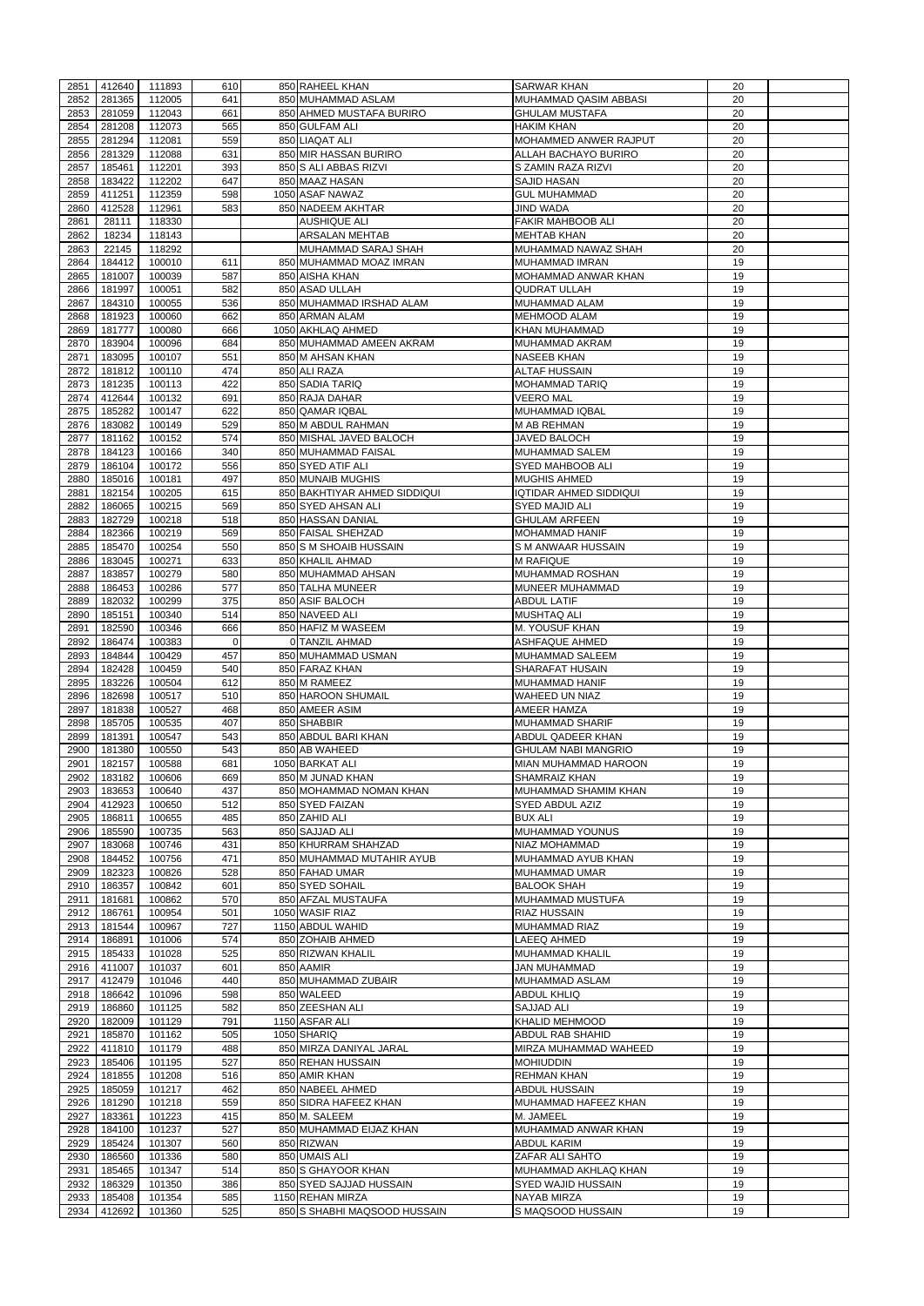| 2851 | 412640 | 111893 | 610      | 850 RAHEEL KHAN              | <b>SARWAR KHAN</b>         | 20 |  |
|------|--------|--------|----------|------------------------------|----------------------------|----|--|
| 2852 | 281365 | 112005 | 641      | 850 MUHAMMAD ASLAM           | MUHAMMAD QASIM ABBASI      | 20 |  |
| 2853 | 281059 | 112043 | 661      | 850 AHMED MUSTAFA BURIRO     | <b>GHULAM MUSTAFA</b>      | 20 |  |
| 2854 | 281208 | 112073 | 565      | 850 GULFAM ALI               | <b>HAKIM KHAN</b>          | 20 |  |
|      |        |        |          |                              |                            |    |  |
| 2855 | 281294 | 112081 | 559      | 850 LIAQAT ALI               | MOHAMMED ANWER RAJPUT      | 20 |  |
| 2856 | 281329 | 112088 | 631      | 850 MIR HASSAN BURIRO        | ALLAH BACHAYO BURIRO       | 20 |  |
| 2857 | 185461 | 112201 | 393      | 850 S ALI ABBAS RIZVI        | S ZAMIN RAZA RIZVI         | 20 |  |
|      |        |        |          |                              |                            |    |  |
| 2858 | 183422 | 112202 | 647      | 850 MAAZ HASAN               | SAJID HASAN                | 20 |  |
| 2859 | 411251 | 112359 | 598      | 1050 ASAF NAWAZ              | <b>GUL MUHAMMAD</b>        | 20 |  |
| 2860 | 412528 | 112961 | 583      | 850 NADEEM AKHTAR            | <b>JIND WADA</b>           | 20 |  |
|      |        |        |          |                              |                            |    |  |
| 2861 | 28111  | 118330 |          | <b>AUSHIQUE ALI</b>          | <b>FAKIR MAHBOOB ALI</b>   | 20 |  |
| 2862 | 18234  | 118143 |          | <b>ARSALAN MEHTAB</b>        | <b>MEHTAB KHAN</b>         | 20 |  |
| 2863 | 22145  | 118292 |          | MUHAMMAD SARAJ SHAH          | MUHAMMAD NAWAZ SHAH        | 20 |  |
|      |        |        |          |                              |                            |    |  |
| 2864 | 184412 | 100010 | 611      | 850 MUHAMMAD MOAZ IMRAN      | MUHAMMAD IMRAN             | 19 |  |
| 2865 | 181007 | 100039 | 587      | 850 AISHA KHAN               | <b>MOHAMMAD ANWAR KHAN</b> | 19 |  |
| 2866 | 181997 | 100051 | 582      | 850 ASAD ULLAH               | <b>QUDRAT ULLAH</b>        | 19 |  |
| 2867 | 184310 | 100055 | 536      | 850 MUHAMMAD IRSHAD ALAM     | MUHAMMAD ALAM              | 19 |  |
|      |        |        |          |                              |                            |    |  |
| 2868 | 181923 | 100060 | 662      | 850 ARMAN ALAM               | <b>MEHMOOD ALAM</b>        | 19 |  |
| 2869 | 181777 | 100080 | 666      | 1050 AKHLAQ AHMED            | <b>KHAN MUHAMMAD</b>       | 19 |  |
| 2870 | 183904 | 100096 | 684      | 850 MUHAMMAD AMEEN AKRAM     | MUHAMMAD AKRAM             | 19 |  |
|      |        |        |          |                              |                            |    |  |
| 2871 | 183095 | 100107 | 551      | 850 M AHSAN KHAN             | <b>NASEEB KHAN</b>         | 19 |  |
| 2872 | 181812 | 100110 | 474      | 850 ALI RAZA                 | <b>ALTAF HUSSAIN</b>       | 19 |  |
| 2873 | 181235 | 100113 | 422      | 850 SADIA TARIQ              | <b>MOHAMMAD TARIQ</b>      | 19 |  |
|      |        |        |          |                              |                            |    |  |
| 2874 | 412644 | 100132 | 691      | 850 RAJA DAHAR               | <b>VEERO MAL</b>           | 19 |  |
| 2875 | 185282 | 100147 | 622      | 850 QAMAR IQBAL              | <b>MUHAMMAD IQBAL</b>      | 19 |  |
| 2876 | 183082 | 100149 | 529      | 850 M ABDUL RAHMAN           | <b>M AB REHMAN</b>         | 19 |  |
|      |        |        |          |                              |                            |    |  |
| 2877 | 181162 | 100152 | 574      | 850 MISHAL JAVED BALOCH      | JAVED BALOCH               | 19 |  |
| 2878 | 184123 | 100166 | 340      | 850 MUHAMMAD FAISAL          | <b>MUHAMMAD SALEM</b>      | 19 |  |
| 2879 | 186104 | 100172 | 556      | 850 SYED ATIF ALI            | <b>SYED MAHBOOB ALI</b>    | 19 |  |
|      |        |        |          |                              |                            |    |  |
| 2880 | 185016 | 100181 | 497      | 850 MUNAIB MUGHIS            | <b>MUGHIS AHMED</b>        | 19 |  |
| 2881 | 182154 | 100205 | 615      | 850 BAKHTIYAR AHMED SIDDIQUI | IQTIDAR AHMED SIDDIQUI     | 19 |  |
| 2882 | 186065 | 100215 | 569      | 850 SYED AHSAN ALI           | <b>SYED MAJID ALI</b>      | 19 |  |
|      |        |        |          |                              |                            |    |  |
| 2883 | 182729 | 100218 | 518      | 850 HASSAN DANIAL            | <b>GHULAM ARFEEN</b>       | 19 |  |
| 2884 | 182366 | 100219 | 569      | 850 FAISAL SHEHZAD           | <b>MOHAMMAD HANIF</b>      | 19 |  |
| 2885 | 185470 | 100254 | 550      | 850 S M SHOAIB HUSSAIN       | S M ANWAAR HUSSAIN         | 19 |  |
|      |        |        |          |                              |                            |    |  |
| 2886 | 183045 | 100271 | 633      | 850 KHALIL AHMAD             | <b>M RAFIQUE</b>           | 19 |  |
| 2887 | 183857 | 100279 | 580      | 850 MUHAMMAD AHSAN           | <b>MUHAMMAD ROSHAN</b>     | 19 |  |
| 2888 | 186453 | 100286 | 577      | 850 TALHA MUNEER             | MUNEER MUHAMMAD            | 19 |  |
|      |        |        |          |                              |                            |    |  |
| 2889 | 182032 | 100299 | 375      | 850 ASIF BALOCH              | <b>ABDUL LATIF</b>         | 19 |  |
| 2890 | 185151 | 100340 | 514      | 850 NAVEED ALI               | <b>MUSHTAQ ALI</b>         | 19 |  |
| 2891 | 182590 | 100346 | 666      | 850 HAFIZ M WASEEM           | M. YOUSUF KHAN             | 19 |  |
|      |        |        |          |                              |                            |    |  |
| 2892 | 186474 | 100383 | $\Omega$ | 0 TANZIL AHMAD               | <b>ASHFAQUE AHMED</b>      | 19 |  |
| 2893 | 184844 | 100429 | 457      | 850 MUHAMMAD USMAN           | MUHAMMAD SALEEM            | 19 |  |
| 2894 | 182428 | 100459 | 540      | 850 FARAZ KHAN               | <b>SHARAFAT HUSAIN</b>     | 19 |  |
|      |        |        |          |                              |                            |    |  |
| 2895 | 183226 | 100504 | 612      | 850 M RAMEEZ                 | <b>MUHAMMAD HANIF</b>      | 19 |  |
| 2896 | 182698 | 100517 | 510      | 850 HAROON SHUMAIL           | <b>WAHEED UN NIAZ</b>      | 19 |  |
|      |        |        |          |                              |                            |    |  |
| 2897 | 181838 | 100527 | 468      | 850 AMEER ASIM               | <b>AMEER HAMZA</b>         | 19 |  |
| 2898 | 185705 | 100535 | 407      | 850 SHABBIR                  | MUHAMMAD SHARIF            | 19 |  |
| 2899 | 181391 | 100547 | 543      | 850 ABDUL BARI KHAN          | ABDUL QADEER KHAN          | 19 |  |
| 2900 | 181380 | 100550 | 543      | 850 AB WAHEED                | <b>GHULAM NABI MANGRIO</b> | 19 |  |
|      |        |        |          |                              |                            |    |  |
| 2901 | 182157 | 100588 | 681      | 1050 BARKAT ALI              | MIAN MUHAMMAD HAROON       | 19 |  |
| 2902 | 183182 | 100606 | 669      | 850 M JUNAD KHAN             | SHAMRAIZ KHAN              | 19 |  |
| 2903 | 183653 | 100640 | 437      | 850 MOHAMMAD NOMAN KHAN      | MUHAMMAD SHAMIM KHAN       | 19 |  |
|      |        |        |          |                              |                            |    |  |
| 2904 | 412923 | 100650 | 512      | 850 SYED FAIZAN              | <b>SYED ABDUL AZIZ</b>     | 19 |  |
| 2905 | 186811 | 100655 | 485      | 850 ZAHID ALI                | <b>BUX ALI</b>             | 19 |  |
| 2906 | 185590 | 100735 | 563      | 850 SAJJAD ALI               | <b>MUHAMMAD YOUNUS</b>     | 19 |  |
|      |        |        |          |                              |                            |    |  |
| 2907 | 183068 | 100746 | 431      | 850 KHURRAM SHAHZAD          | <b>NIAZ MOHAMMAD</b>       | 19 |  |
| 2908 | 184452 | 100756 | 471      | 850 MUHAMMAD MUTAHIR AYUB    | MUHAMMAD AYUB KHAN         | 19 |  |
| 2909 | 182323 | 100826 | 528      | 850 FAHAD UMAR               | MUHAMMAD UMAR              | 19 |  |
| 2910 | 186357 | 100842 | 601      | 850 SYED SOHAIL              | <b>BALOOK SHAH</b>         | 19 |  |
|      |        |        |          |                              |                            |    |  |
| 2911 | 181681 | 100862 | 570      | 850 AFZAL MUSTAUFA           | MUHAMMAD MUSTUFA           | 19 |  |
| 2912 | 186761 | 100954 | 501      | 1050 WASIF RIAZ              | <b>RIAZ HUSSAIN</b>        | 19 |  |
| 2913 | 181544 | 100967 | 727      | 1150 ABDUL WAHID             | <b>MUHAMMAD RIAZ</b>       | 19 |  |
|      |        |        |          |                              |                            |    |  |
| 2914 | 186891 | 101006 | 574      | 850 ZOHAIB AHMED             | <b>LAEEQ AHMED</b>         | 19 |  |
| 2915 | 185433 | 101028 | 525      | 850 RIZWAN KHALIL            | <b>MUHAMMAD KHALIL</b>     | 19 |  |
| 2916 | 411007 | 101037 | 601      | 850 AAMIR                    | <b>JAN MUHAMMAD</b>        | 19 |  |
| 2917 | 412479 | 101046 | 440      | 850 MUHAMMAD ZUBAIR          | <b>MUHAMMAD ASLAM</b>      | 19 |  |
|      |        |        |          |                              |                            |    |  |
| 2918 | 186642 | 101096 | 598      | 850 WALEED                   | <b>ABDUL KHLIQ</b>         | 19 |  |
| 2919 | 186860 | 101125 | 582      | 850 ZEESHAN ALI              | <b>SAJJAD ALI</b>          | 19 |  |
| 2920 | 182009 | 101129 | 791      | 1150 ASFAR ALI               | KHALID MEHMOOD             | 19 |  |
|      |        |        |          |                              |                            |    |  |
| 2921 | 185870 | 101162 | 505      | 1050 SHARIQ                  | ABDUL RAB SHAHID           | 19 |  |
| 2922 | 411810 | 101179 | 488      | 850 MIRZA DANIYAL JARAL      | MIRZA MUHAMMAD WAHEED      | 19 |  |
| 2923 | 185406 | 101195 | 527      | 850 REHAN HUSSAIN            | <b>MOHIUDDIN</b>           | 19 |  |
|      |        |        |          |                              |                            |    |  |
| 2924 | 181855 | 101208 | 516      | 850 AMIR KHAN                | <b>REHMAN KHAN</b>         | 19 |  |
| 2925 | 185059 | 101217 | 462      | 850 NABEEL AHMED             | <b>ABDUL HUSSAIN</b>       | 19 |  |
| 2926 | 181290 | 101218 | 559      | 850 SIDRA HAFEEZ KHAN        | MUHAMMAD HAFEEZ KHAN       | 19 |  |
|      |        |        |          |                              |                            |    |  |
| 2927 | 183361 | 101223 | 415      | 850 M. SALEEM                | M. JAMEEL                  | 19 |  |
| 2928 | 184100 | 101237 | 527      | 850 MUHAMMAD EIJAZ KHAN      | MUHAMMAD ANWAR KHAN        | 19 |  |
| 2929 | 185424 | 101307 | 560      | 850 RIZWAN                   | <b>ABDUL KARIM</b>         | 19 |  |
|      |        |        |          | 850 UMAIS ALI                |                            |    |  |
| 2930 | 186560 | 101336 | 580      |                              | <b>ZAFAR ALI SAHTO</b>     | 19 |  |
| 2931 | 185465 | 101347 | 514      | 850 S GHAYOOR KHAN           | MUHAMMAD AKHLAQ KHAN       | 19 |  |
| 2932 | 186329 | 101350 | 386      | 850 SYED SAJJAD HUSSAIN      | <b>SYED WAJID HUSSAIN</b>  | 19 |  |
|      |        |        |          |                              |                            |    |  |
| 2933 | 185408 | 101354 | 585      | 1150 REHAN MIRZA             | <b>NAYAB MIRZA</b>         | 19 |  |
| 2934 | 412692 | 101360 | 525      | 850 S SHABHI MAQSOOD HUSSAIN | S MAQSOOD HUSSAIN          | 19 |  |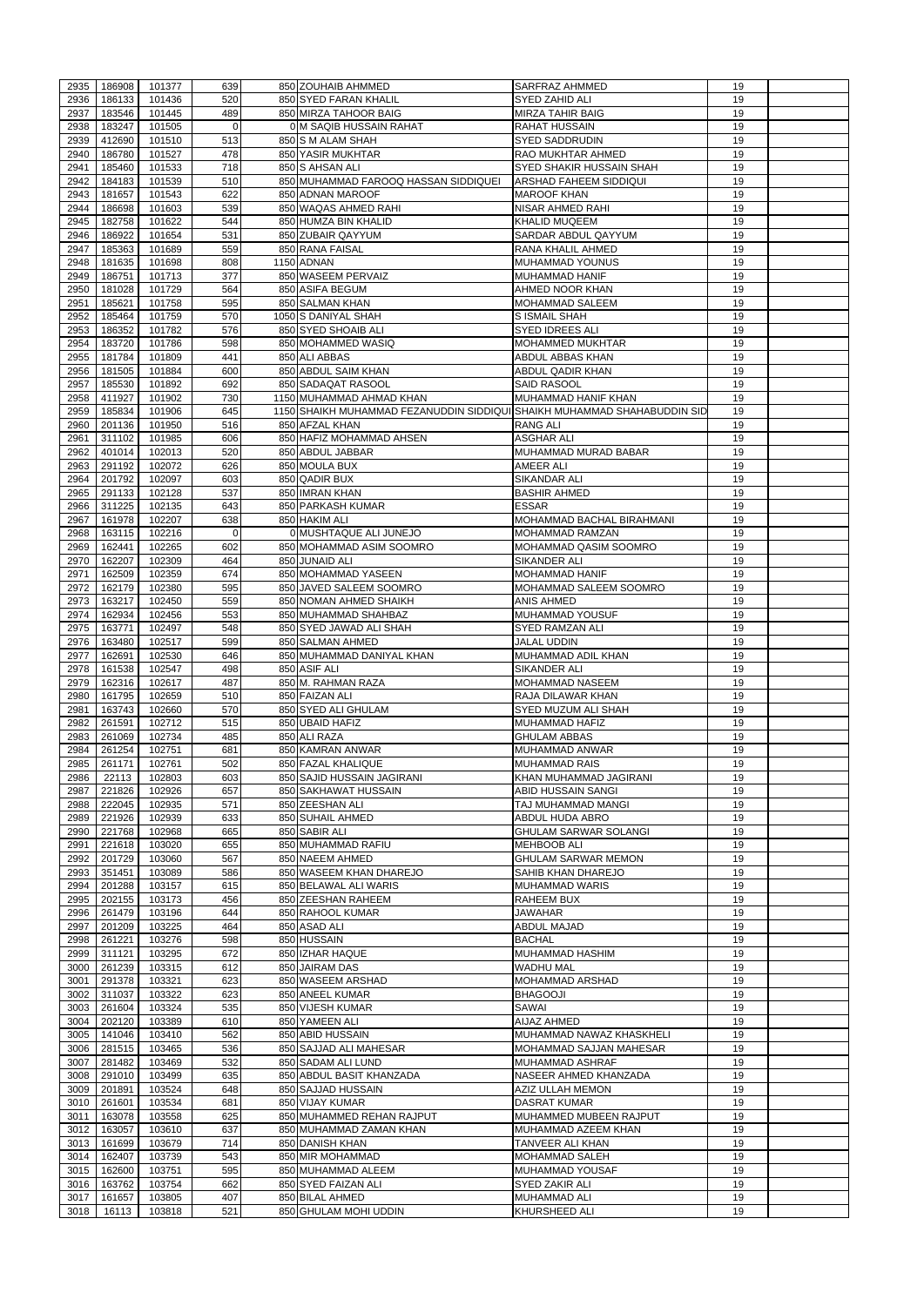| 2935 | 186908      | 101377 | 639            | 850 ZOUHAIB AHMMED                                                       | <b>SARFRAZ AHMMED</b>                       | 19 |  |
|------|-------------|--------|----------------|--------------------------------------------------------------------------|---------------------------------------------|----|--|
|      | 186133      |        | 520            | 850 SYED FARAN KHALIL                                                    | <b>SYED ZAHID ALI</b>                       |    |  |
| 2936 | 183546      | 101436 |                |                                                                          |                                             | 19 |  |
| 2937 |             | 101445 | 489            | 850 MIRZA TAHOOR BAIG                                                    | <b>MIRZA TAHIR BAIG</b>                     | 19 |  |
| 2938 | 183247      | 101505 | $\overline{0}$ | <b>OM SAQIB HUSSAIN RAHAT</b>                                            | <b>RAHAT HUSSAIN</b>                        | 19 |  |
| 2939 | 412690      | 101510 | 513            | 850 S M ALAM SHAH                                                        | <b>SYED SADDRUDIN</b>                       | 19 |  |
| 2940 | 186780      | 101527 | 478            | 850 YASIR MUKHTAR                                                        | RAO MUKHTAR AHMED                           | 19 |  |
| 2941 | 185460      | 101533 | 718            | 850 S AHSAN ALI                                                          | <b>SYED SHAKIR HUSSAIN SHAH</b>             | 19 |  |
| 2942 | 184183      | 101539 | 510            | 850 MUHAMMAD FAROOQ HASSAN SIDDIQUEI                                     | <b>ARSHAD FAHEEM SIDDIQUI</b>               | 19 |  |
| 2943 | 181657      | 101543 | 622            | 850 ADNAN MAROOF                                                         | <b>MAROOF KHAN</b>                          | 19 |  |
| 2944 | 186698      | 101603 | 539            | 850 WAQAS AHMED RAHI                                                     | <b>NISAR AHMED RAHI</b>                     | 19 |  |
| 2945 | 182758      | 101622 | 544            | 850 HUMZA BIN KHALID                                                     | <b>KHALID MUQEEM</b>                        | 19 |  |
| 2946 | 186922      | 101654 | 531            | 850 ZUBAIR QAYYUM                                                        | SARDAR ABDUL QAYYUM                         | 19 |  |
| 2947 | 185363      | 101689 | 559            | 850 RANA FAISAL                                                          | <b>RANA KHALIL AHMED</b>                    | 19 |  |
| 2948 | 181635      | 101698 | 808            | 1150 ADNAN                                                               | <b>MUHAMMAD YOUNUS</b>                      | 19 |  |
| 2949 | 186751      | 101713 | 377            | 850 WASEEM PERVAIZ                                                       | <b>MUHAMMAD HANIF</b>                       | 19 |  |
| 2950 | 181028      | 101729 | 564            | 850 ASIFA BEGUM                                                          | AHMED NOOR KHAN                             | 19 |  |
| 2951 | 185621      | 101758 | 595            | 850 SALMAN KHAN                                                          | <b>MOHAMMAD SALEEM</b>                      | 19 |  |
| 2952 | 185464      | 101759 | 570            | 1050 S DANIYAL SHAH                                                      | S ISMAIL SHAH                               | 19 |  |
| 2953 | 186352      | 101782 | 576            | 850 SYED SHOAIB ALL                                                      | <b>SYED IDREES ALI</b>                      | 19 |  |
| 2954 | 183720      | 101786 | 598            | 850 MOHAMMED WASIQ                                                       | <b>MOHAMMED MUKHTAR</b>                     | 19 |  |
| 2955 | 181784      | 101809 | 441            | 850 ALI ABBAS                                                            | ABDUL ABBAS KHAN                            | 19 |  |
| 2956 | 181505      | 101884 | 600            | 850 ABDUL SAIM KHAN                                                      | ABDUL QADIR KHAN                            | 19 |  |
| 2957 | 185530      | 101892 | 692            | 850 SADAQAT RASOOL                                                       | SAID RASOOL                                 | 19 |  |
| 2958 | 411927      | 101902 | 730            | 1150 MUHAMMAD AHMAD KHAN                                                 | MUHAMMAD HANIF KHAN                         | 19 |  |
| 2959 | 185834      | 101906 | 645            | 1150 SHAIKH MUHAMMAD FEZANUDDIN SIDDIQUI SHAIKH MUHAMMAD SHAHABUDDIN SID |                                             | 19 |  |
|      |             |        |                |                                                                          |                                             |    |  |
| 2960 | 201136      | 101950 | 516            | 850 AFZAL KHAN                                                           | <b>RANG ALI</b>                             | 19 |  |
| 2961 | 311102      | 101985 | 606            | 850 HAFIZ MOHAMMAD AHSEN                                                 | <b>ASGHAR ALI</b>                           | 19 |  |
| 2962 | 401014      | 102013 | 520            | 850 ABDUL JABBAR                                                         | MUHAMMAD MURAD BABAR                        | 19 |  |
| 2963 | 291192      | 102072 | 626            | 850 MOULA BUX                                                            | <b>AMEER ALI</b>                            | 19 |  |
| 2964 | 201792      | 102097 | 603            | 850 QADIR BUX                                                            | SIKANDAR ALI                                | 19 |  |
| 2965 | 291133      | 102128 | 537            | 850 IMRAN KHAN                                                           | <b>BASHIR AHMED</b>                         | 19 |  |
| 2966 | 311225      | 102135 | 643            | 850 PARKASH KUMAR                                                        | <b>ESSAR</b>                                | 19 |  |
| 2967 | 161978      | 102207 | 638            | 850 HAKIM ALI                                                            | MOHAMMAD BACHAL BIRAHMANI                   | 19 |  |
| 2968 | 163115      | 102216 | $\overline{0}$ | 0 MUSHTAQUE ALI JUNEJO                                                   | <b>MOHAMMAD RAMZAN</b>                      | 19 |  |
| 2969 | 162441      | 102265 | 602            | 850 MOHAMMAD ASIM SOOMRO                                                 | <b>MOHAMMAD QASIM SOOMRO</b>                | 19 |  |
| 2970 | 162207      | 102309 | 464            | 850 JUNAID ALI                                                           | <b>SIKANDER ALI</b>                         | 19 |  |
| 2971 | 162509      | 102359 | 674            | 850 MOHAMMAD YASEEN                                                      | <b>MOHAMMAD HANIF</b>                       | 19 |  |
| 2972 | 162179      | 102380 | 595            | 850 JAVED SALEEM SOOMRO                                                  | MOHAMMAD SALEEM SOOMRO                      | 19 |  |
| 2973 | 163217      | 102450 | 559            | 850 NOMAN AHMED SHAIKH                                                   | ANIS AHMED                                  | 19 |  |
| 2974 | 162934      | 102456 | 553            | 850 MUHAMMAD SHAHBAZ                                                     | <b>MUHAMMAD YOUSUF</b>                      | 19 |  |
| 2975 | 163771      | 102497 | 548            | 850 SYED JAWAD ALI SHAH                                                  | SYED RAMZAN ALI                             | 19 |  |
| 2976 | 163480      | 102517 | 599            | 850 SALMAN AHMED                                                         | <b>JALAL UDDIN</b>                          | 19 |  |
| 2977 | 162691      | 102530 | 646            | 850 MUHAMMAD DANIYAL KHAN                                                | MUHAMMAD ADIL KHAN                          | 19 |  |
| 2978 | 161538      | 102547 | 498            | 850 ASIF ALI                                                             | <b>SIKANDER ALI</b>                         | 19 |  |
| 2979 | 162316      | 102617 | 487            | 850 M. RAHMAN RAZA                                                       | <b>MOHAMMAD NASEEM</b>                      | 19 |  |
| 2980 | 161795      | 102659 | 510            | 850 FAIZAN ALI                                                           | RAJA DILAWAR KHAN                           | 19 |  |
| 2981 | 163743      | 102660 | 570            | 850 SYED ALI GHULAM                                                      | SYED MUZUM ALI SHAH                         | 19 |  |
| 2982 | 261591      | 102712 | 515            | 850 UBAID HAFIZ                                                          | MUHAMMAD HAFIZ                              | 19 |  |
| 2983 |             |        |                |                                                                          |                                             |    |  |
|      | 261069      | 102734 | 485<br>681     | 850 ALI RAZA                                                             | <b>GHULAM ABBAS</b>                         | 19 |  |
| 2984 | 261254      | 102751 |                | 850 KAMRAN ANWAR                                                         | MUHAMMAD ANWAR                              |    |  |
| 2985 | 261171      |        |                |                                                                          |                                             | 19 |  |
| 2986 | 22113       | 102761 | 502            | 850 FAZAL KHALIQUE                                                       | <b>MUHAMMAD RAIS</b>                        | 19 |  |
| 2987 |             | 102803 | 603            | 850 SAJID HUSSAIN JAGIRANI                                               | KHAN MUHAMMAD JAGIRANI                      | 19 |  |
| 2988 | 221826      | 102926 | 657            | 850 SAKHAWAT HUSSAIN                                                     | ABID HUSSAIN SANGI                          | 19 |  |
|      | 222045      | 102935 | 571            | 850 ZEESHAN ALI                                                          | <b>TAJ MUHAMMAD MANGI</b>                   | 19 |  |
| 2989 | 221926      | 102939 | 633            | 850 SUHAIL AHMED                                                         | ABDUL HUDA ABRO                             | 19 |  |
| 2990 | 221768      | 102968 | 665            | 850 SABIR ALI                                                            | <b>GHULAM SARWAR SOLANGI</b>                | 19 |  |
| 2991 | 221618      | 103020 | 655            | 850 MUHAMMAD RAFIU                                                       | <b>MEHBOOB ALI</b>                          | 19 |  |
| 2992 | 201729      | 103060 | 567            | 850 NAEEM AHMED                                                          | <b>GHULAM SARWAR MEMON</b>                  | 19 |  |
| 2993 | 351451      | 103089 | 586            | 850 WASEEM KHAN DHAREJO                                                  | SAHIB KHAN DHAREJO                          | 19 |  |
| 2994 | 201288      | 103157 | 615            | 850 BELAWAL ALI WARIS                                                    | <b>MUHAMMAD WARIS</b>                       | 19 |  |
| 2995 | 202155      | 103173 | 456            | 850 ZEESHAN RAHEEM                                                       | <b>RAHEEM BUX</b>                           | 19 |  |
| 2996 | 261479      | 103196 | 644            | 850 RAHOOL KUMAR                                                         | <b>JAWAHAR</b>                              | 19 |  |
| 2997 | 201209      | 103225 | 464            | 850 ASAD ALI                                                             | <b>ABDUL MAJAD</b>                          | 19 |  |
| 2998 | 261221      | 103276 | 598            | 850 HUSSAIN                                                              | <b>BACHAL</b>                               | 19 |  |
| 2999 | 311121      | 103295 | 672            | 850 IZHAR HAQUE                                                          | MUHAMMAD HASHIM                             | 19 |  |
| 3000 | 261239      | 103315 | 612            | 850 JAIRAM DAS                                                           | <b>WADHU MAL</b>                            | 19 |  |
| 3001 | 291378      | 103321 | 623            | 850 WASEEM ARSHAD                                                        | <b>MOHAMMAD ARSHAD</b>                      | 19 |  |
| 3002 | 311037      | 103322 | 623            | 850 ANEEL KUMAR                                                          | <b>BHAGOOJI</b>                             | 19 |  |
|      |             |        |                |                                                                          |                                             | 19 |  |
| 3003 | 261604      | 103324 | 535<br>610     | 850 VIJESH KUMAR                                                         | SAWAI                                       |    |  |
| 3004 | 202120      | 103389 |                | 850 YAMEEN ALI                                                           | AIJAZ AHMED                                 | 19 |  |
| 3005 | 141046      | 103410 | 562            | 850 ABID HUSSAIN                                                         | MUHAMMAD NAWAZ KHASKHELI                    | 19 |  |
| 3006 | 281515      | 103465 | 536            | 850 SAJJAD ALI MAHESAR                                                   | <b>MOHAMMAD SAJJAN MAHESAR</b>              | 19 |  |
|      | 3007 281482 | 103469 | 532            | 850 SADAM ALI LUND                                                       | MUHAMMAD ASHRAF                             | 19 |  |
| 3008 | 291010      | 103499 | 635            | 850 ABDUL BASIT KHANZADA                                                 | NASEER AHMED KHANZADA                       | 19 |  |
| 3009 | 201891      | 103524 | 648            | 850 SAJJAD HUSSAIN                                                       | AZIZ ULLAH MEMON                            | 19 |  |
| 3010 | 261601      | 103534 | 681            | 850 VIJAY KUMAR                                                          | DASRAT KUMAR                                | 19 |  |
| 3011 | 163078      | 103558 | 625            | 850 MUHAMMED REHAN RAJPUT                                                | MUHAMMED MUBEEN RAJPUT                      | 19 |  |
| 3012 | 163057      | 103610 | 637            | 850 MUHAMMAD ZAMAN KHAN                                                  | MUHAMMAD AZEEM KHAN                         | 19 |  |
| 3013 | 161699      | 103679 | 714            | 850 DANISH KHAN                                                          | <b>TANVEER ALI KHAN</b>                     | 19 |  |
| 3014 | 162407      | 103739 | 543            | 850 MIR MOHAMMAD                                                         | <b>MOHAMMAD SALEH</b>                       | 19 |  |
| 3015 | 162600      | 103751 | 595            | 850 MUHAMMAD ALEEM                                                       | MUHAMMAD YOUSAF                             | 19 |  |
| 3016 | 163762      | 103754 | 662            | 850 SYED FAIZAN ALI                                                      | SYED ZAKIR ALI                              | 19 |  |
| 3017 | 161657      | 103805 | 407<br>521     | 850 BILAL AHMED                                                          | <b>MUHAMMAD ALI</b><br><b>KHURSHEED ALI</b> | 19 |  |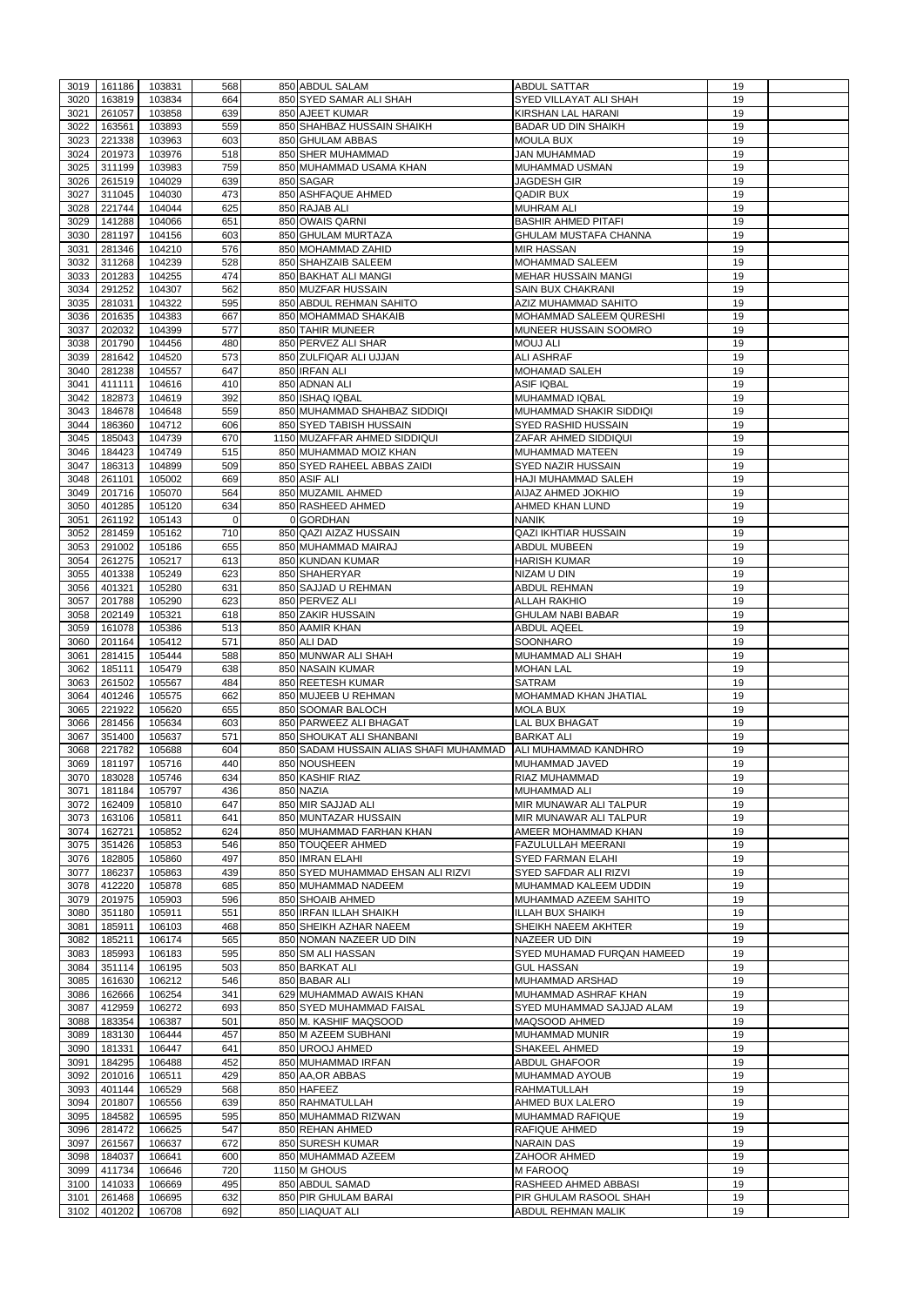| 3019         |                  |                  |             |                                         |                                              |          |  |
|--------------|------------------|------------------|-------------|-----------------------------------------|----------------------------------------------|----------|--|
|              | 161186           | 103831           | 568         | 850 ABDUL SALAM                         | <b>ABDUL SATTAR</b>                          | 19       |  |
| 3020         | 163819           | 103834           | 664         | 850 SYED SAMAR ALI SHAH                 | <b>SYED VILLAYAT ALI SHAH</b>                | 19       |  |
| 3021         | 261057           | 103858           | 639         | 850 AJEET KUMAR                         | <b>KIRSHAN LAL HARANI</b>                    | 19       |  |
| 3022         | 163561           | 103893           | 559         | 850 SHAHBAZ HUSSAIN SHAIKH              | <b>BADAR UD DIN SHAIKH</b>                   | 19       |  |
| 3023         | 221338           | 103963           | 603         | 850 GHULAM ABBAS                        | <b>MOULA BUX</b>                             | 19       |  |
|              |                  |                  | 518         | 850 SHER MUHAMMAD                       |                                              |          |  |
| 3024         | 201973           | 103976           |             |                                         | JAN MUHAMMAD                                 | 19       |  |
| 3025         | 311199           | 103983           | 759         | 850 MUHAMMAD USAMA KHAN                 | MUHAMMAD USMAN                               | 19       |  |
| 3026         | 261519           | 104029           | 639         | 850 SAGAR                               | <b>JAGDESH GIR</b>                           | 19       |  |
| 3027         | 311045           | 104030           | 473         | 850 ASHFAQUE AHMED                      | <b>QADIR BUX</b>                             | 19       |  |
| 3028         | 221744           | 104044           | 625         | 850 RAJAB ALI                           | <b>MUHRAM ALI</b>                            | 19       |  |
|              |                  |                  |             |                                         |                                              |          |  |
| 3029         | 141288           | 104066           | 651         | 850 OWAIS QARNI                         | <b>BASHIR AHMED PITAFI</b>                   | 19       |  |
| 3030         | 281197           | 104156           | 603         | 850 GHULAM MURTAZA                      | <b>GHULAM MUSTAFA CHANNA</b>                 | 19       |  |
| 3031         | 281346           | 104210           | 576         | 850 MOHAMMAD ZAHID                      | <b>MIR HASSAN</b>                            | 19       |  |
| 3032         | 311268           | 104239           | 528         | 850 SHAHZAIB SALEEM                     | <b>MOHAMMAD SALEEM</b>                       | 19       |  |
| 3033         | 201283           | 104255           | 474         | 850 BAKHAT ALI MANGI                    | <b>MEHAR HUSSAIN MANGI</b>                   | 19       |  |
|              |                  |                  |             |                                         |                                              |          |  |
| 3034         | 291252           | 104307           | 562         | 850 MUZFAR HUSSAIN                      | SAIN BUX CHAKRANI                            | 19       |  |
| 3035         | 281031           | 104322           | 595         | 850 ABDUL REHMAN SAHITO                 | AZIZ MUHAMMAD SAHITO                         | 19       |  |
| 3036         | 201635           | 104383           | 667         | 850 MOHAMMAD SHAKAIB                    | MOHAMMAD SALEEM QURESHI                      | 19       |  |
| 3037         | 202032           | 104399           | 577         | 850 TAHIR MUNEER                        | MUNEER HUSSAIN SOOMRO                        | 19       |  |
|              | 201790           | 104456           | 480         |                                         | <b>MOUJ ALI</b>                              |          |  |
| 3038         |                  |                  |             | 850 PERVEZ ALI SHAR                     |                                              | 19       |  |
| 3039         | 281642           | 104520           | 573         | 850 ZULFIQAR ALI UJJAN                  | <b>ALI ASHRAF</b>                            | 19       |  |
| 3040         | 281238           | 104557           | 647         | 850 IRFAN ALI                           | <b>MOHAMAD SALEH</b>                         | 19       |  |
| 3041         | 411111           | 104616           | 410         | 850 ADNAN ALI                           | <b>ASIF IQBAL</b>                            | 19       |  |
| 3042         | 182873           | 104619           | 392         | 850 ISHAQ IQBAL                         | MUHAMMAD IQBAL                               | 19       |  |
|              |                  |                  |             |                                         |                                              |          |  |
| 3043         | 184678           | 104648           | 559         | 850 MUHAMMAD SHAHBAZ SIDDIQI            | MUHAMMAD SHAKIR SIDDIQI                      | 19       |  |
| 3044         | 186360           | 104712           | 606         | 850 SYED TABISH HUSSAIN                 | SYED RASHID HUSSAIN                          | 19       |  |
| 3045         | 185043           | 104739           | 670         | 1150 MUZAFFAR AHMED SIDDIQUI            | ZAFAR AHMED SIDDIQUI                         | 19       |  |
| 3046         | 184423           | 104749           | 515         | 850 MUHAMMAD MOIZ KHAN                  | <b>MUHAMMAD MATEEN</b>                       | 19       |  |
| 3047         | 186313           | 104899           | 509         | 850 SYED RAHEEL ABBAS ZAIDI             | SYED NAZIR HUSSAIN                           | 19       |  |
|              |                  |                  |             |                                         |                                              |          |  |
| 3048         | 261101           | 105002           | 669         | 850 ASIF ALI                            | HAJI MUHAMMAD SALEH                          | 19       |  |
| 3049         | 201716           | 105070           | 564         | 850 MUZAMIL AHMED                       | <b>AIJAZ AHMED JOKHIO</b>                    | 19       |  |
| 3050         | 401285           | 105120           | 634         | 850 RASHEED AHMED                       | AHMED KHAN LUND                              | 19       |  |
| 3051         | 261192           | 105143           | $\mathbf 0$ | 0GORDHAN                                | <b>NANIK</b>                                 | 19       |  |
| 3052         | 281459           | 105162           | 710         | 850 QAZI AIZAZ HUSSAIN                  | <b>QAZI IKHTIAR HUSSAIN</b>                  | 19       |  |
|              |                  |                  |             |                                         |                                              |          |  |
| 3053         | 291002           | 105186           | 655         | 850 MUHAMMAD MAIRAJ                     | <b>ABDUL MUBEEN</b>                          | 19       |  |
| 3054         | 261275           | 105217           | 613         | 850 KUNDAN KUMAR                        | <b>HARISH KUMAR</b>                          | 19       |  |
| 3055         | 401338           | 105249           | 623         | 850 SHAHERYAR                           | NIZAM U DIN                                  | 19       |  |
| 3056         | 401321           | 105280           | 631         | 850 SAJJAD U REHMAN                     | ABDUL REHMAN                                 | 19       |  |
|              | 201788           |                  |             | 850 PERVEZ ALI                          | <b>ALLAH RAKHIO</b>                          |          |  |
| 3057         |                  | 105290           | 623         |                                         |                                              | 19       |  |
| 3058         | 202149           | 105321           | 618         | 850 ZAKIR HUSSAIN                       | <b>GHULAM NABI BABAR</b>                     | 19       |  |
| 3059         | 161078           | 105386           | 513         | 850 AAMIR KHAN                          | <b>ABDUL AQEEL</b>                           | 19       |  |
| 3060         | 201164           | 105412           | 571         | 850 ALI DAD                             | <b>SOONHARO</b>                              | 19       |  |
| 3061         | 281415           | 105444           | 588         | 850 MUNWAR ALI SHAH                     | MUHAMMAD ALI SHAH                            | 19       |  |
|              | 185111           |                  | 638         | 850 NASAIN KUMAR                        |                                              |          |  |
| 3062         |                  | 105479           |             |                                         | <b>MOHAN LAL</b>                             | 19       |  |
| 3063         | 261502           | 105567           | 484         | 850 REETESH KUMAR                       | <b>SATRAM</b>                                | 19       |  |
| 3064         | 401246           | 105575           | 662         | 850 MUJEEB U REHMAN                     | MOHAMMAD KHAN JHATIAL                        | 19       |  |
| 3065         | 221922           | 105620           | 655         | 850 SOOMAR BALOCH                       | <b>MOLA BUX</b>                              | 19       |  |
| 3066         | 281456           | 105634           | 603         | 850 PARWEEZ ALI BHAGAT                  | LAL BUX BHAGAT                               | 19       |  |
|              |                  |                  |             |                                         |                                              |          |  |
| 3067         | 351400           | 105637           | 571         | 850 SHOUKAT ALI SHANBANI                | <b>BARKAT ALI</b>                            | 19       |  |
|              |                  | 105688           |             | 850 SADAM HUSSAIN ALIAS SHAFI MUHAMMAD  | ALI MUHAMMAD KANDHRO                         |          |  |
| 3068         | 221782           |                  | 604         |                                         |                                              | 19       |  |
| 3069         | 181197           | 105716           | 440         | 850 NOUSHEEN                            | MUHAMMAD JAVED                               | 19       |  |
|              |                  |                  |             |                                         |                                              | 19       |  |
| 3070         | 183028           | 105746           | 634         | 850 KASHIF RIAZ                         | RIAZ MUHAMMAD                                |          |  |
| 3071         | 181184           | 105797           | 436         | 850 NAZIA                               | MUHAMMAD ALI                                 | 19       |  |
| 3072         | 162409           | 105810           | 647         | 850 MIR SAJJAD ALI                      | MIR MUNAWAR ALI TALPUR                       | 19       |  |
| 3073         | 163106           | 105811           | 641         | 850 MUNTAZAR HUSSAIN                    | MIR MUNAWAR ALI TALPUR                       | 19       |  |
| 3074         | 162721           | 105852           | 624         | 850 MUHAMMAD FARHAN KHAN                | AMEER MOHAMMAD KHAN                          | 19       |  |
|              |                  |                  |             |                                         |                                              |          |  |
| 3075         | 351426           | 105853           | 546         | 850 TOUQEER AHMED                       | FAZULULLAH MEERANI                           | 19       |  |
| 3076         | 182805           | 105860           | 497         | 850 IMRAN ELAHI                         | SYED FARMAN ELAHI                            | 19       |  |
| 3077         | 186237           | 105863           | 439         | 850 SYED MUHAMMAD EHSAN ALI RIZVI       | SYED SAFDAR ALI RIZVI                        | 19       |  |
| 3078         | 412220           | 105878           | 685         | 850 MUHAMMAD NADEEM                     | MUHAMMAD KALEEM UDDIN                        | 19       |  |
| 3079         | 201975           | 105903           | 596         | 850 SHOAIB AHMED                        | MUHAMMAD AZEEM SAHITO                        | 19       |  |
|              |                  |                  |             |                                         |                                              |          |  |
| 3080         | 351180           | 105911           | 551         | 850 IRFAN ILLAH SHAIKH                  | <b>ILLAH BUX SHAIKH</b>                      | 19       |  |
| 3081         | 185911           | 106103           | 468         | 850 SHEIKH AZHAR NAEEM                  | SHEIKH NAEEM AKHTER                          | 19       |  |
| 3082         | 185211           | 106174           | 565         | 850 NOMAN NAZEER UD DIN                 | <b>NAZEER UD DIN</b>                         | 19       |  |
| 3083         | 185993           | 106183           | 595         | 850 SM ALI HASSAN                       | SYED MUHAMAD FURQAN HAMEED                   | 19       |  |
| 3084         | 351114           | 106195           | 503         | 850 BARKAT ALI                          | <b>GUL HASSAN</b>                            | 19       |  |
|              |                  |                  |             |                                         |                                              | 19       |  |
| 3085         | 161630           | 106212           | 546         | 850 BABAR ALI                           | MUHAMMAD ARSHAD                              |          |  |
| 3086         | 162666           | 106254           | 341         | 629 MUHAMMAD AWAIS KHAN                 | MUHAMMAD ASHRAF KHAN                         | 19       |  |
| 3087         | 412959           | 106272           | 693         | 850 SYED MUHAMMAD FAISAL                | SYED MUHAMMAD SAJJAD ALAM                    | 19       |  |
| 3088         | 183354           | 106387           | 501         | 850 M. KASHIF MAQSOOD                   | MAQSOOD AHMED                                | 19       |  |
| 3089         |                  | 106444           | 457         | 850 M AZEEM SUBHANI                     | MUHAMMAD MUNIR                               | 19       |  |
|              | 183130           |                  |             |                                         |                                              |          |  |
| 3090         | 181331           | 106447           | 641         | 850 UROOJ AHMED                         | SHAKEEL AHMED                                | 19       |  |
| 3091         | 184295           | 106488           | 452         | 850 MUHAMMAD IRFAN                      | <b>ABDUL GHAFOOR</b>                         | 19       |  |
| 3092         | 201016           | 106511           | 429         | 850 AA, OR ABBAS                        | MUHAMMAD AYOUB                               | 19       |  |
| 3093         | 401144           | 106529           | 568         | 850 HAFEEZ                              | <b>RAHMATULLAH</b>                           | 19       |  |
| 3094         |                  |                  |             |                                         | AHMED BUX LALERO                             |          |  |
|              | 201807           | 106556           | 639         | 850 RAHMATULLAH                         |                                              | 19       |  |
| 3095         | 184582           | 106595           | 595         | 850 MUHAMMAD RIZWAN                     | MUHAMMAD RAFIQUE                             | 19       |  |
| 3096         | 281472           | 106625           | 547         | 850 REHAN AHMED                         | RAFIQUE AHMED                                | 19       |  |
| 3097         | 261567           | 106637           | 672         | 850 SURESH KUMAR                        | <b>NARAIN DAS</b>                            | 19       |  |
| 3098         | 184037           | 106641           | 600         | 850 MUHAMMAD AZEEM                      | ZAHOOR AHMED                                 | 19       |  |
|              |                  |                  |             |                                         |                                              |          |  |
| 3099         | 411734           | 106646           | 720         | 1150 M GHOUS                            | <b>M FAROOQ</b>                              | 19       |  |
| 3100         | 141033           | 106669           | 495         | 850 ABDUL SAMAD                         | RASHEED AHMED ABBASI                         | 19       |  |
| 3101<br>3102 | 261468<br>401202 | 106695<br>106708 | 632<br>692  | 850 PIR GHULAM BARAI<br>850 LIAQUAT ALI | PIR GHULAM RASOOL SHAH<br>ABDUL REHMAN MALIK | 19<br>19 |  |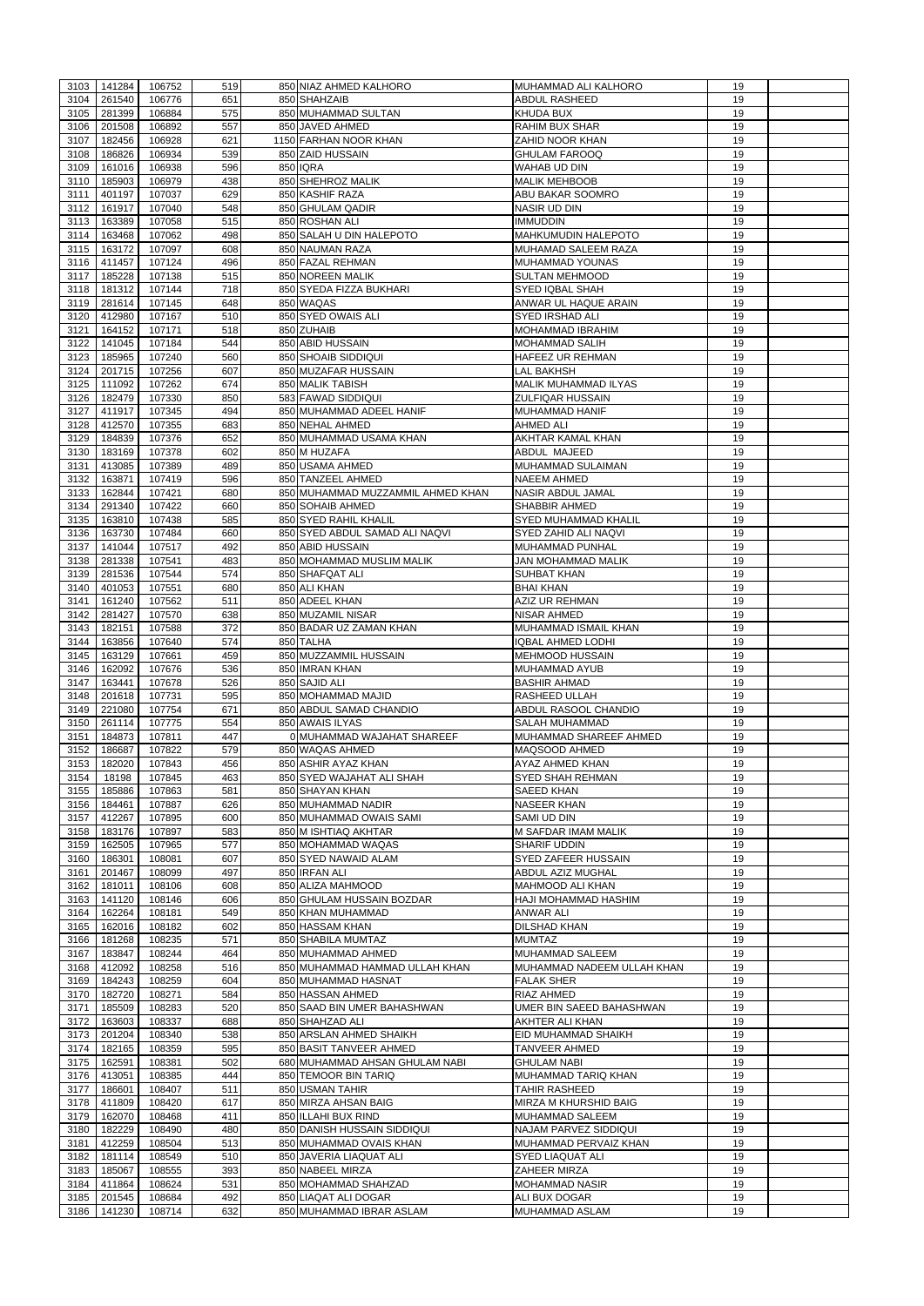| 3103         | 141284           | 106752           | 519        | 850 NIAZ AHMED KALHORO                           | MUHAMMAD ALI KALHORO        | 19       |  |
|--------------|------------------|------------------|------------|--------------------------------------------------|-----------------------------|----------|--|
|              |                  |                  |            |                                                  |                             |          |  |
| 3104         | 261540           | 106776           | 651        | 850 SHAHZAIB                                     | <b>ABDUL RASHEED</b>        | 19       |  |
| 3105         | 281399           | 106884           | 575        | 850 MUHAMMAD SULTAN                              | <b>KHUDA BUX</b>            | 19       |  |
| 3106         | 201508           | 106892           | 557        | 850 JAVED AHMED                                  | <b>RAHIM BUX SHAR</b>       | 19       |  |
| 3107         | 182456           | 106928           | 621        | 1150 FARHAN NOOR KHAN                            | ZAHID NOOR KHAN             | 19       |  |
| 3108         | 186826           | 106934           | 539        | 850 ZAID HUSSAIN                                 | <b>GHULAM FAROOQ</b>        | 19       |  |
|              |                  |                  |            |                                                  |                             |          |  |
| 3109         | 161016           | 106938           | 596        | 850 IQRA                                         | WAHAB UD DIN                | 19       |  |
| 3110         | 185903           | 106979           | 438        | 850 SHEHROZ MALIK                                | <b>MALIK MEHBOOB</b>        | 19       |  |
| 3111         | 401197           | 107037           | 629        | 850 KASHIF RAZA                                  | ABU BAKAR SOOMRO            | 19       |  |
| 3112         | 161917           | 107040           | 548        | 850 GHULAM QADIR                                 | NASIR UD DIN                | 19       |  |
| 3113         | 163389           | 107058           | 515        | 850 ROSHAN ALI                                   | <b>IMMUDDIN</b>             | 19       |  |
|              |                  |                  |            |                                                  |                             |          |  |
| 3114         | 163468           | 107062           | 498        | 850 SALAH U DIN HALEPOTO                         | MAHKUMUDIN HALEPOTO         | 19       |  |
| 3115         | 163172           | 107097           | 608        | 850 NAUMAN RAZA                                  | MUHAMAD SALEEM RAZA         | 19       |  |
| 3116         | 411457           | 107124           | 496        | 850 FAZAL REHMAN                                 | MUHAMMAD YOUNAS             | 19       |  |
| 3117         | 185228           | 107138           | 515        | 850 NOREEN MALIK                                 | <b>SULTAN MEHMOOD</b>       | 19       |  |
| 3118         | 181312           | 107144           | 718        | 850 SYEDA FIZZA BUKHARI                          | <b>SYED IQBAL SHAH</b>      | 19       |  |
|              |                  |                  |            |                                                  |                             |          |  |
| 3119         | 281614           | 107145           | 648        | 850 WAQAS                                        | ANWAR UL HAQUE ARAIN        | 19       |  |
| 3120         | 412980           | 107167           | 510        | 850 SYED OWAIS ALI                               | <b>SYED IRSHAD ALI</b>      | 19       |  |
| 3121         | 164152           | 107171           | 518        | 850 ZUHAIB                                       | <b>MOHAMMAD IBRAHIM</b>     | 19       |  |
| 3122         | 141045           | 107184           | 544        | 850 ABID HUSSAIN                                 | <b>MOHAMMAD SALIH</b>       | 19       |  |
| 3123         | 185965           | 107240           | 560        | 850 SHOAIB SIDDIQUI                              | HAFEEZ UR REHMAN            | 19       |  |
|              |                  |                  |            |                                                  |                             |          |  |
| 3124         | 201715           | 107256           | 607        | 850 MUZAFAR HUSSAIN                              | <b>LAL BAKHSH</b>           | 19       |  |
| 3125         | 111092           | 107262           | 674        | 850 MALIK TABISH                                 | <b>MALIK MUHAMMAD ILYAS</b> | 19       |  |
| 3126         | 182479           | 107330           | 850        | 583 FAWAD SIDDIQUI                               | <b>ZULFIQAR HUSSAIN</b>     | 19       |  |
| 3127         | 411917           | 107345           | 494        | 850 MUHAMMAD ADEEL HANIF                         | MUHAMMAD HANIF              | 19       |  |
| 3128         | 412570           | 107355           | 683        | 850 NEHAL AHMED                                  | AHMED ALI                   | 19       |  |
|              |                  |                  |            |                                                  |                             |          |  |
| 3129         | 184839           | 107376           | 652        | 850 MUHAMMAD USAMA KHAN                          | AKHTAR KAMAL KHAN           | 19       |  |
| 3130         | 183169           | 107378           | 602        | 850 M HUZAFA                                     | ABDUL MAJEED                | 19       |  |
| 3131         | 413085           | 107389           | 489        | 850 USAMA AHMED                                  | MUHAMMAD SULAIMAN           | 19       |  |
| 3132         | 163871           | 107419           | 596        | 850 TANZEEL AHMED                                | <b>NAEEM AHMED</b>          | 19       |  |
|              |                  | 107421           |            | 850 MUHAMMAD MUZZAMMIL AHMED KHAN                |                             |          |  |
| 3133         | 162844           |                  | 680        |                                                  | <b>NASIR ABDUL JAMAL</b>    | 19       |  |
| 3134         | 291340           | 107422           | 660        | 850 SOHAIB AHMED                                 | <b>SHABBIR AHMED</b>        | 19       |  |
| 3135         | 163810           | 107438           | 585        | 850 SYED RAHIL KHALIL                            | <b>SYED MUHAMMAD KHALIL</b> | 19       |  |
| 3136         | 163730           | 107484           | 660        | 850 SYED ABDUL SAMAD ALI NAQVI                   | SYED ZAHID ALI NAQVI        | 19       |  |
| 3137         | 141044           | 107517           | 492        | 850 ABID HUSSAIN                                 | MUHAMMAD PUNHAL             | 19       |  |
|              |                  |                  |            |                                                  |                             |          |  |
| 3138         | 281338           | 107541           | 483        | 850 MOHAMMAD MUSLIM MALIK                        | <b>JAN MOHAMMAD MALIK</b>   | 19       |  |
| 3139         | 281536           | 107544           | 574        | 850 SHAFQAT ALI                                  | <b>SUHBAT KHAN</b>          | 19       |  |
| 3140         | 401053           | 107551           | 680        | 850 ALI KHAN                                     | <b>BHAI KHAN</b>            | 19       |  |
| 3141         | 161240           | 107562           | 511        | 850 ADEEL KHAN                                   | AZIZ UR REHMAN              | 19       |  |
| 3142         | 281427           | 107570           | 638        | 850 MUZAMIL NISAR                                | <b>NISAR AHMED</b>          | 19       |  |
|              |                  |                  |            |                                                  |                             |          |  |
| 3143         | 182151           | 107588           | 372        | 850 BADAR UZ ZAMAN KHAN                          | MUHAMMAD ISMAIL KHAN        | 19       |  |
| 3144         | 163856           | 107640           | 574        | 850 TALHA                                        | <b>IQBAL AHMED LODHI</b>    | 19       |  |
| 3145         | 163129           | 107661           | 459        | 850 MUZZAMMIL HUSSAIN                            | <b>MEHMOOD HUSSAIN</b>      | 19       |  |
| 3146         | 162092           | 107676           | 536        | 850 IMRAN KHAN                                   | MUHAMMAD AYUB               | 19       |  |
| 3147         | 163441           | 107678           | 526        | 850 SAJID ALI                                    | <b>BASHIR AHMAD</b>         | 19       |  |
|              |                  |                  |            |                                                  |                             |          |  |
| 3148         | 201618           | 107731           | 595        | 850 MOHAMMAD MAJID                               | RASHEED ULLAH               | 19       |  |
| 3149         | 221080           | 107754           | 671        | 850 ABDUL SAMAD CHANDIO                          | ABDUL RASOOL CHANDIO        | 19       |  |
| 3150         | 261114           | 107775           | 554        | 850 AWAIS ILYAS                                  | <b>SALAH MUHAMMAD</b>       | 19       |  |
| 3151         | 184873           | 107811           | 447        | 0 MUHAMMAD WAJAHAT SHAREEF                       | MUHAMMAD SHAREEF AHMED      | 19       |  |
| 3152         | 186687           | 107822           | 579        | 850 WAQAS AHMED                                  | MAQSOOD AHMED               | 19       |  |
|              |                  |                  |            |                                                  |                             |          |  |
| 3153         | 182020           | 107843           | 456        | 850 ASHIR AYAZ KHAN                              | AYAZ AHMED KHAN             | 19       |  |
| 3154         | 18198            | 107845           | 463        | 850 SYED WAJAHAT ALI SHAH                        | <b>SYED SHAH REHMAN</b>     | 19       |  |
| 3155         | 185886           | 107863           | 581        | 850 SHAYAN KHAN                                  | <b>SAEED KHAN</b>           | 19       |  |
| 3156         | 184461           | 107887           | 626        | 850 MUHAMMAD NADIR                               | <b>NASEER KHAN</b>          | 19       |  |
| 3157         | 412267           | 107895           | 600        | 850 MUHAMMAD OWAIS SAMI                          |                             | 19       |  |
|              |                  |                  |            |                                                  | SAMI UD DIN                 |          |  |
| 3158         | 183176           | 107897           | 583        | 850 M ISHTIAQ AKHTAR                             | <b>M SAFDAR IMAM MALIK</b>  | 19       |  |
| 3159         | 162505           | 107965           | 577        | 850 MOHAMMAD WAQAS                               | <b>SHARIF UDDIN</b>         | 19       |  |
| 3160         | 186301           | 108081           | 607        | 850 SYED NAWAID ALAM                             | <b>SYED ZAFEER HUSSAIN</b>  | 19       |  |
| 3161         | 201467           | 108099           | 497        | 850 IRFAN ALI                                    | ABDUL AZIZ MUGHAL           | 19       |  |
| 3162         | 181011           | 108106           | 608        | 850 ALIZA MAHMOOD                                | <b>MAHMOOD ALI KHAN</b>     | 19       |  |
|              |                  |                  |            |                                                  |                             |          |  |
| 3163         | 141120           | 108146           | 606        | 850 GHULAM HUSSAIN BOZDAR                        | HAJI MOHAMMAD HASHIM        | 19       |  |
| 3164         | 162264           | 108181           | 549        | 850 KHAN MUHAMMAD                                | <b>ANWAR ALI</b>            | 19       |  |
| 3165         | 162016           | 108182           | 602        | 850 HASSAM KHAN                                  | <b>DILSHAD KHAN</b>         | 19       |  |
| 3166         | 181268           | 108235           | 571        | 850 SHABILA MUMTAZ                               | <b>MUMTAZ</b>               | 19       |  |
| 3167         | 183847           | 108244           | 464        | 850 MUHAMMAD AHMED                               | MUHAMMAD SALEEM             | 19       |  |
|              |                  |                  |            |                                                  |                             |          |  |
| 3168         |                  |                  |            | 850 MUHAMMAD HAMMAD ULLAH KHAN                   |                             | 19       |  |
| 3169         | 412092           | 108258           | 516        |                                                  | MUHAMMAD NADEEM ULLAH KHAN  |          |  |
|              | 184243           | 108259           | 604        | 850 MUHAMMAD HASNAT                              | <b>FALAK SHER</b>           | 19       |  |
| 3170         | 182720           | 108271           | 584        | 850 HASSAN AHMED                                 | RIAZ AHMED                  | 19       |  |
|              |                  |                  |            |                                                  |                             |          |  |
| 3171         | 185509           | 108283           | 520        | 850 SAAD BIN UMER BAHASHWAN                      | UMER BIN SAEED BAHASHWAN    | 19       |  |
| 3172         | 163603           | 108337           | 688        | 850 SHAHZAD ALI                                  | AKHTER ALI KHAN             | 19       |  |
| 3173         | 201204           | 108340           | 538        | 850 ARSLAN AHMED SHAIKH                          | EID MUHAMMAD SHAIKH         | 19       |  |
| 3174         | 182165           | 108359           | 595        | 850 BASIT TANVEER AHMED                          | <b>TANVEER AHMED</b>        | 19       |  |
|              | 3175 162591      | 108381           | 502        | 680 MUHAMMAD AHSAN GHULAM NABI                   | <b>GHULAM NABI</b>          | 19       |  |
|              |                  |                  |            |                                                  |                             |          |  |
| 3176         | 413051           | 108385           | 444        | 850 TEMOOR BIN TARIQ                             | <b>MUHAMMAD TARIQ KHAN</b>  | 19       |  |
| 3177         | 186601           | 108407           | 511        | 850 USMAN TAHIR                                  | <b>TAHIR RASHEED</b>        | 19       |  |
| 3178         | 411809           | 108420           | 617        | 850 MIRZA AHSAN BAIG                             | MIRZA M KHURSHID BAIG       | 19       |  |
| 3179         | 162070           | 108468           | 411        | 850 ILLAHI BUX RIND                              | <b>MUHAMMAD SALEEM</b>      | 19       |  |
| 3180         | 182229           | 108490           | 480        | 850 DANISH HUSSAIN SIDDIQUI                      | NAJAM PARVEZ SIDDIQUI       | 19       |  |
|              |                  |                  |            |                                                  |                             |          |  |
| 3181         | 412259           | 108504           | 513        | 850 MUHAMMAD OVAIS KHAN                          | MUHAMMAD PERVAIZ KHAN       | 19       |  |
| 3182         | 181114           | 108549           | 510        | 850 JAVERIA LIAQUAT ALI                          | <b>SYED LIAQUAT ALI</b>     | 19       |  |
| 3183         | 185067           | 108555           | 393        | 850 NABEEL MIRZA                                 | ZAHEER MIRZA                | 19       |  |
| 3184         | 411864           | 108624           | 531        | 850 MOHAMMAD SHAHZAD                             | <b>MOHAMMAD NASIR</b>       | 19       |  |
|              |                  |                  |            |                                                  | ALI BUX DOGAR               |          |  |
| 3185<br>3186 | 201545<br>141230 | 108684<br>108714 | 492<br>632 | 850 LIAQAT ALI DOGAR<br>850 MUHAMMAD IBRAR ASLAM | <b>MUHAMMAD ASLAM</b>       | 19<br>19 |  |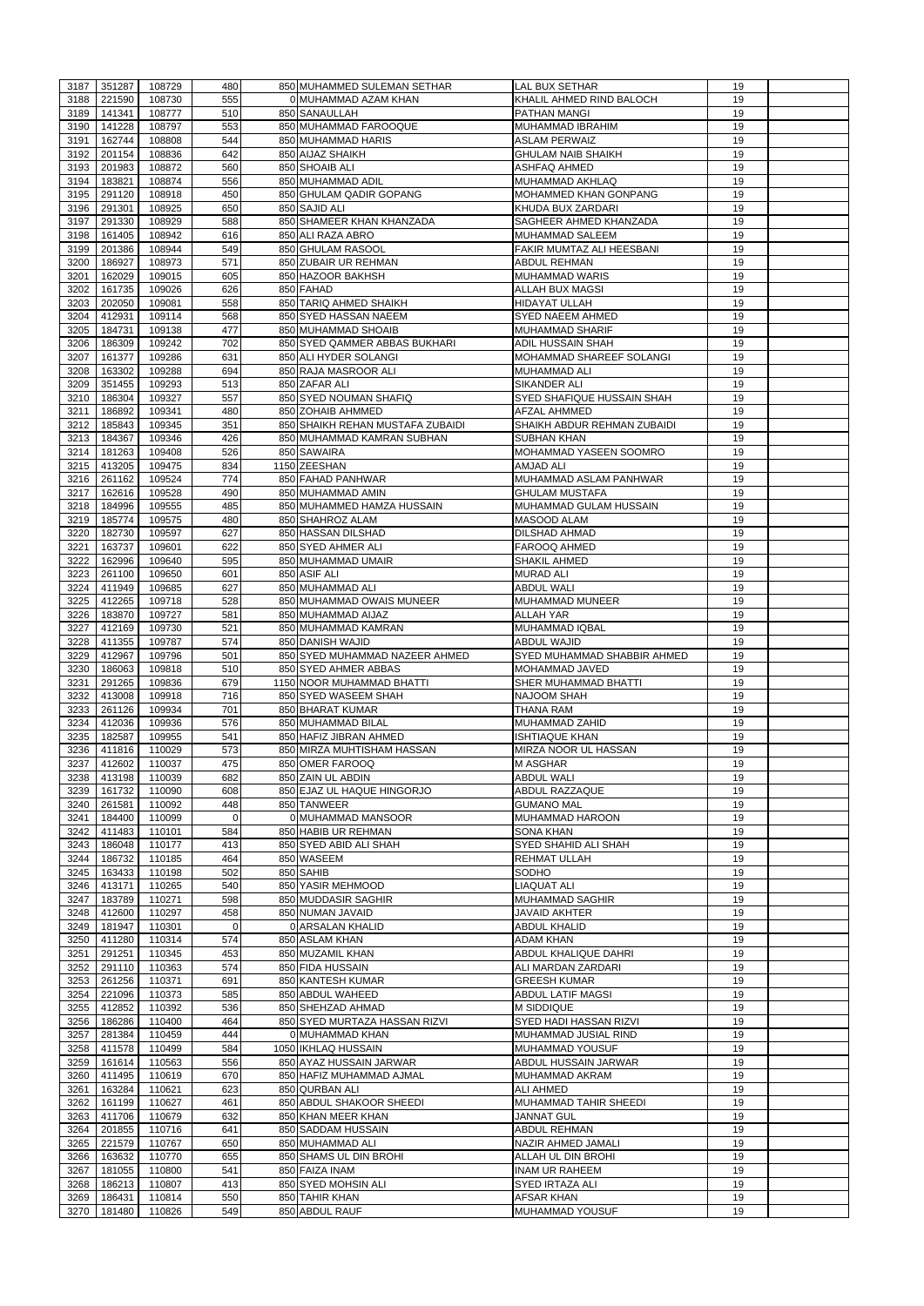|              | 351287           | 108729             | 480         | 850 MUHAMMED SULEMAN SETHAR      | <b>LAL BUX SETHAR</b>                | 19       |  |
|--------------|------------------|--------------------|-------------|----------------------------------|--------------------------------------|----------|--|
| 3187         |                  |                    |             |                                  |                                      |          |  |
| 3188         | 221590           | 108730             | 555         | O MUHAMMAD AZAM KHAN             | KHALIL AHMED RIND BALOCH             | 19       |  |
| 3189         | 141341           | 108777             | 510         | 850 SANAULLAH                    | <b>PATHAN MANGI</b>                  | 19       |  |
| 3190         | 141228           | 108797             | 553         | 850 MUHAMMAD FAROOQUE            | MUHAMMAD IBRAHIM                     | 19       |  |
|              |                  |                    |             |                                  |                                      |          |  |
| 3191         | 162744           | 108808             | 544         | 850 MUHAMMAD HARIS               | <b>ASLAM PERWAIZ</b>                 | 19       |  |
| 3192         | 201154           | 108836             | 642         | 850 AIJAZ SHAIKH                 | <b>GHULAM NAIB SHAIKH</b>            | 19       |  |
| 3193         | 201983           | 108872             | 560         | 850 SHOAIB ALI                   | <b>ASHFAQ AHMED</b>                  | 19       |  |
|              |                  |                    | 556         |                                  |                                      |          |  |
| 3194         | 183821           | 108874             |             | 850 MUHAMMAD ADIL                | MUHAMMAD AKHLAQ                      | 19       |  |
| 3195         | 291120           | 108918             | 450         | 850 GHULAM QADIR GOPANG          | MOHAMMED KHAN GONPANG                | 19       |  |
| 3196         | 291301           | 108925             | 650         | 850 SAJID ALI                    | KHUDA BUX ZARDARI                    | 19       |  |
|              |                  |                    | 588         | 850 SHAMEER KHAN KHANZADA        |                                      |          |  |
| 3197         | 291330           | 108929             |             |                                  | SAGHEER AHMED KHANZADA               | 19       |  |
| 3198         | 161405           | 108942             | 616         | 850 ALI RAZA ABRO                | MUHAMMAD SALEEM                      | 19       |  |
| 3199         | 201386           | 108944             | 549         | 850 GHULAM RASOOL                | FAKIR MUMTAZ ALI HEESBANI            | 19       |  |
| 3200         | 186927           | 108973             | 571         | 850 ZUBAIR UR REHMAN             | <b>ABDUL REHMAN</b>                  | 19       |  |
|              |                  |                    |             |                                  |                                      |          |  |
| 3201         | 162029           | 109015             | 605         | 850 HAZOOR BAKHSH                | <b>MUHAMMAD WARIS</b>                | 19       |  |
| 3202         | 161735           | 109026             | 626         | 850 FAHAD                        | <b>ALLAH BUX MAGSI</b>               | 19       |  |
| 3203         | 202050           | 109081             | 558         | 850 TARIQ AHMED SHAIKH           | <b>HIDAYAT ULLAH</b>                 | 19       |  |
|              |                  |                    |             |                                  |                                      |          |  |
| 3204         | 412931           | 109114             | 568         | 850 SYED HASSAN NAEEM            | SYED NAEEM AHMED                     | 19       |  |
| 3205         | 184731           | 109138             | 477         | 850 MUHAMMAD SHOAIB              | <b>MUHAMMAD SHARIF</b>               | 19       |  |
| 3206         | 186309           | 109242             | 702         | 850 SYED QAMMER ABBAS BUKHARI    | ADIL HUSSAIN SHAH                    | 19       |  |
|              |                  |                    |             |                                  |                                      |          |  |
| 3207         | 161377           | 109286             | 631         | 850 ALI HYDER SOLANGI            | MOHAMMAD SHAREEF SOLANGI             | 19       |  |
| 3208         | 163302           | 109288             | 694         | 850 RAJA MASROOR ALI             | MUHAMMAD ALI                         | 19       |  |
| 3209         | 351455           | 109293             | 513         | 850 ZAFAR ALI                    | SIKANDER ALI                         | 19       |  |
|              |                  |                    |             |                                  |                                      |          |  |
| 3210         | 186304           | 109327             | 557         | 850 SYED NOUMAN SHAFIQ           | SYED SHAFIQUE HUSSAIN SHAH           | 19       |  |
| 3211         | 186892           | 109341             | 480         | 850 ZOHAIB AHMMED                | AFZAL AHMMED                         | 19       |  |
| 3212         | 185843           | 109345             | 351         | 850 SHAIKH REHAN MUSTAFA ZUBAIDI | SHAIKH ABDUR REHMAN ZUBAIDI          | 19       |  |
|              |                  |                    |             |                                  |                                      |          |  |
| 3213         | 184367           | 109346             | 426         | 850 MUHAMMAD KAMRAN SUBHAN       | <b>SUBHAN KHAN</b>                   | 19       |  |
| 3214         | 181263           | 109408             | 526         | 850 SAWAIRA                      | MOHAMMAD YASEEN SOOMRO               | 19       |  |
| 3215         | 413205           | 109475             | 834         | 1150 ZEESHAN                     | AMJAD ALI                            | 19       |  |
|              | 261162           | 109524             | 774         | 850 FAHAD PANHWAR                | MUHAMMAD ASLAM PANHWAR               | 19       |  |
| 3216         |                  |                    |             |                                  |                                      |          |  |
| 3217         | 162616           | 109528             | 490         | 850 MUHAMMAD AMIN                | <b>GHULAM MUSTAFA</b>                | 19       |  |
| 3218         | 184996           | 109555             | 485         | 850 MUHAMMED HAMZA HUSSAIN       | MUHAMMAD GULAM HUSSAIN               | 19       |  |
| 3219         | 185774           | 109575             | 480         | 850 SHAHROZ ALAM                 | <b>MASOOD ALAM</b>                   | 19       |  |
|              |                  |                    |             |                                  |                                      |          |  |
| 3220         | 182730           | 109597             | 627         | 850 HASSAN DILSHAD               | <b>DILSHAD AHMAD</b>                 | 19       |  |
| 3221         | 163737           | 109601             | 622         | 850 SYED AHMER ALI               | <b>FAROOQ AHMED</b>                  | 19       |  |
| 3222         | 162996           | 109640             | 595         | 850 MUHAMMAD UMAIR               | <b>SHAKIL AHMED</b>                  | 19       |  |
|              |                  |                    |             |                                  |                                      |          |  |
| 3223         | 261100           | 109650             | 601         | 850 ASIF ALI                     | <b>MURAD ALI</b>                     | 19       |  |
| 3224         | 411949           | 109685             | 627         | 850 MUHAMMAD ALI                 | <b>ABDUL WALI</b>                    | 19       |  |
| 3225         | 412265           | 109718             | 528         | 850 MUHAMMAD OWAIS MUNEER        | MUHAMMAD MUNEER                      | 19       |  |
|              |                  |                    |             |                                  |                                      |          |  |
| 3226         | 183870           | 109727             | 581         | 850 MUHAMMAD AIJAZ               | <b>ALLAH YAR</b>                     | 19       |  |
| 3227         | 412169           | 109730             | 521         | 850 MUHAMMAD KAMRAN              | MUHAMMAD IQBAL                       | 19       |  |
| 3228         | 411355           | 109787             | 574         | 850 DANISH WAJID                 | <b>ABDUL WAJID</b>                   | 19       |  |
|              |                  |                    |             |                                  |                                      |          |  |
| 3229         | 412967           | 109796             | 501         | 850 SYED MUHAMMAD NAZEER AHMED   | SYED MUHAMMAD SHABBIR AHMED          | 19       |  |
| 3230         | 186063           | 109818             | 510         | 850 SYED AHMER ABBAS             | MOHAMMAD JAVED                       | 19       |  |
|              |                  |                    |             |                                  |                                      |          |  |
|              |                  |                    |             |                                  |                                      |          |  |
| 3231         | 291265           | 109836             | 679         | 1150 NOOR MUHAMMAD BHATTI        | SHER MUHAMMAD BHATTI                 | 19       |  |
| 3232         | 413008           | 109918             | 716         | 850 SYED WASEEM SHAH             | NAJOOM SHAH                          | 19       |  |
| 3233         | 261126           |                    | 701         | 850 BHARAT KUMAR                 | <b>THANA RAM</b>                     | 19       |  |
|              |                  | 109934             |             |                                  |                                      |          |  |
| 3234         | 412036           | 109936             | 576         | 850 MUHAMMAD BILAL               | MUHAMMAD ZAHID                       | 19       |  |
| 3235         | 182587           | 109955             | 541         | 850 HAFIZ JIBRAN AHMED           | <b>ISHTIAQUE KHAN</b>                | 19       |  |
| 3236         | 411816           | 110029             | 573         | 850 MIRZA MUHTISHAM HASSAN       | MIRZA NOOR UL HASSAN                 | 19       |  |
|              |                  |                    |             |                                  |                                      |          |  |
| 3237         | 412602           | 110037             | 475         | 850 OMER FAROOQ                  | <b>MASGHAR</b>                       | 19       |  |
| 3238         | 413198           | 110039             | 682         | 850 ZAIN UL ABDIN                | ABDUL WALI                           | 19       |  |
| 3239         | 161732           | 110090             | 608         | 850 EJAZ UL HAQUE HINGORJO       | ABDUL RAZZAQUE                       | 19       |  |
|              |                  |                    |             |                                  |                                      | 19       |  |
| 3240         | 261581           | 110092             | 448         | 850 TANWEER                      | <b>GUMANO MAL</b>                    |          |  |
| 3241         | 184400           | 110099             | $\mathbf 0$ | 0 MUHAMMAD MANSOOR               | MUHAMMAD HAROON                      | 19       |  |
| 3242         | 411483           | 110101             | 584         | 850 HABIB UR REHMAN              | <b>SONA KHAN</b>                     | 19       |  |
| 3243         | 186048           | 110177             | 413         | 850 SYED ABID ALI SHAH           | SYED SHAHID ALI SHAH                 | 19       |  |
|              |                  |                    |             |                                  |                                      |          |  |
| 3244         | 186732           | 110185             | 464         | 850 WASEEM                       | REHMAT ULLAH                         | 19       |  |
| 3245         | 163433           | 110198             | 502         | 850 SAHIB                        | <b>SODHO</b>                         | 19       |  |
| 3246         | 413171           | 110265             | 540         | 850 YASIR MEHMOOD                | LIAQUAT ALI                          | 19       |  |
|              |                  |                    |             |                                  |                                      |          |  |
| 3247         | 183789           | 110271             | 598         | 850 MUDDASIR SAGHIR              | <b>MUHAMMAD SAGHIR</b>               | 19       |  |
| 3248         | 412600           | 110297             | 458         | 850 NUMAN JAVAID                 | <b>JAVAID AKHTER</b>                 | 19       |  |
| 3249         | 181947           | 110301             | $\Omega$    | 0 ARSALAN KHALID                 | <b>ABDUL KHALID</b>                  | 19       |  |
| 3250         | 411280           | 110314             | 574         | 850 ASLAM KHAN                   | <b>ADAM KHAN</b>                     | 19       |  |
|              |                  |                    |             |                                  |                                      |          |  |
| 3251         | 291251           | 110345             | 453         | 850 MUZAMIL KHAN                 | ABDUL KHALIQUE DAHRI                 | 19       |  |
| 3252         | 291110           | 110363             | 574         | 850 FIDA HUSSAIN                 | ALI MARDAN ZARDARI                   | 19       |  |
| 3253         | 261256           | 110371             | 691         | 850 KANTESH KUMAR                | <b>GREESH KUMAR</b>                  | 19       |  |
|              |                  |                    |             |                                  |                                      |          |  |
| 3254         | 221096           | 110373             | 585         | 850 ABDUL WAHEED                 | <b>ABDUL LATIF MAGSI</b>             | 19       |  |
| 3255         | 412852           | 110392             | 536         | 850 SHEHZAD AHMAD                | M SIDDIQUE                           | 19       |  |
| 3256         | 186286           | 110400             | 464         | 850 SYED MURTAZA HASSAN RIZVI    | SYED HADI HASSAN RIZVI               | 19       |  |
|              |                  |                    |             |                                  |                                      |          |  |
| 3257         | 281384           | 110459             | 444         | 0 MUHAMMAD KHAN                  | MUHAMMAD JUSIAL RIND                 | 19       |  |
| 3258         | 411578           | 110499             | 584         | 1050 IKHLAQ HUSSAIN              | MUHAMMAD YOUSUF                      | 19       |  |
|              |                  |                    |             |                                  |                                      |          |  |
|              |                  | 3259 161614 110563 | 556         | 850 AYAZ HUSSAIN JARWAR          | ABDUL HUSSAIN JARWAR                 | 19       |  |
| 3260         | 411495           | 110619             | 670         | 850 HAFIZ MUHAMMAD AJMAL         | MUHAMMAD AKRAM                       | 19       |  |
| 3261         | 163284           | 110621             | 623         | 850 QURBAN ALI                   | <b>ALI AHMED</b>                     | 19       |  |
| 3262         | 161199           | 110627             | 461         | 850 ABDUL SHAKOOR SHEEDI         | MUHAMMAD TAHIR SHEEDI                | 19       |  |
|              |                  |                    |             |                                  |                                      |          |  |
| 3263         | 411706           | 110679             | 632         | 850 KHAN MEER KHAN               | <b>JANNAT GUL</b>                    | 19       |  |
| 3264         | 201855           | 110716             | 641         | 850 SADDAM HUSSAIN               | ABDUL REHMAN                         | 19       |  |
| 3265         | 221579           | 110767             | 650         | 850 MUHAMMAD ALI                 | NAZIR AHMED JAMALI                   | 19       |  |
|              |                  |                    |             |                                  |                                      |          |  |
| 3266         | 163632           | 110770             | 655         | 850 SHAMS UL DIN BROHI           | ALLAH UL DIN BROHI                   | 19       |  |
| 3267         | 181055           | 110800             | 541         | 850 FAIZA INAM                   | <b>INAM UR RAHEEM</b>                | 19       |  |
| 3268         | 186213           | 110807             | 413         | 850 SYED MOHSIN ALI              | <b>SYED IRTAZA ALI</b>               | 19       |  |
|              |                  |                    |             |                                  |                                      |          |  |
| 3269<br>3270 | 186431<br>181480 | 110814<br>110826   | 550<br>549  | 850 TAHIR KHAN<br>850 ABDUL RAUF | <b>AFSAR KHAN</b><br>MUHAMMAD YOUSUF | 19<br>19 |  |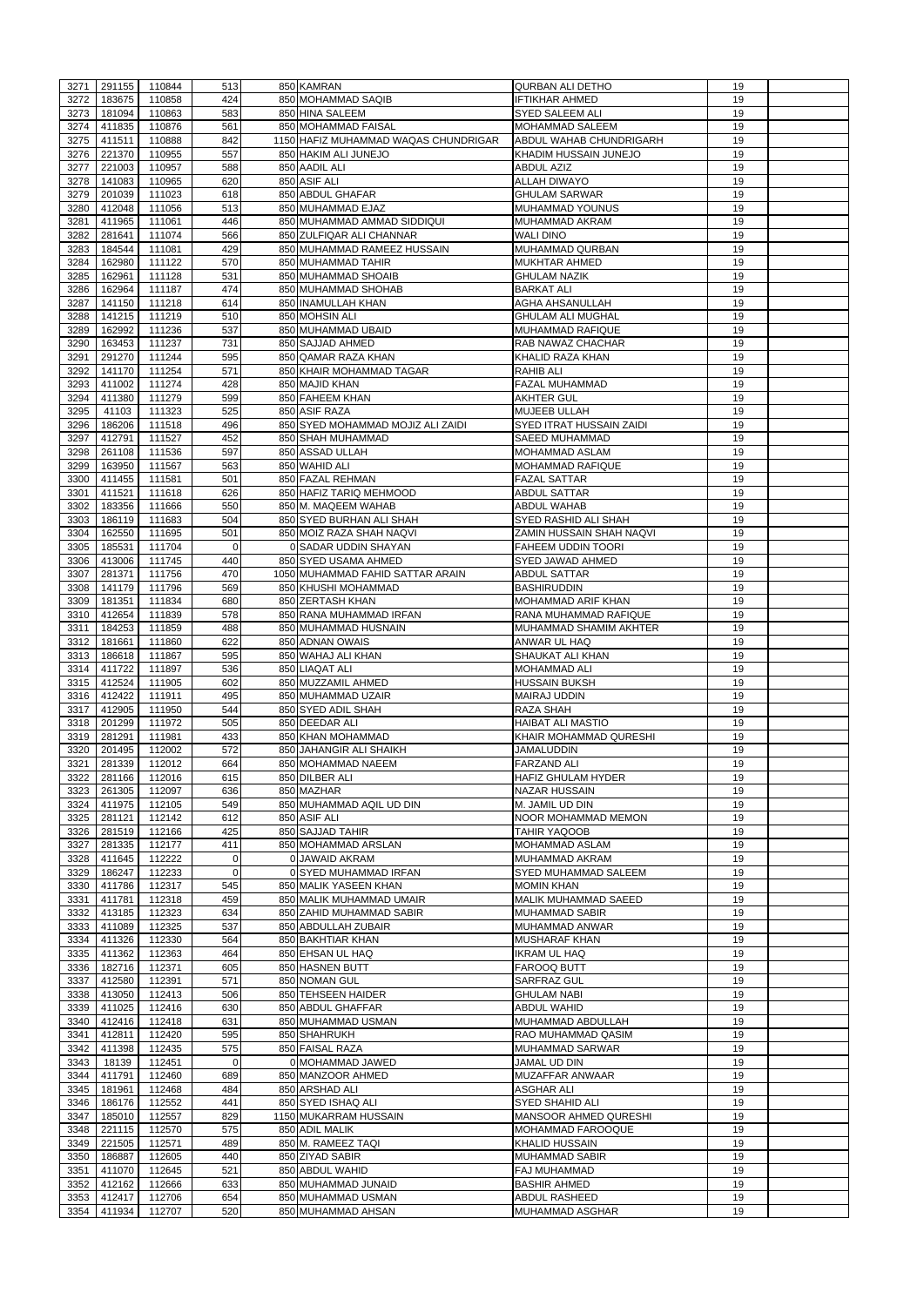| 3271         | 291155 | 110844            | 513            | 850 KAMRAN                           | <b>QURBAN ALI DETHO</b>      | 19 |  |
|--------------|--------|-------------------|----------------|--------------------------------------|------------------------------|----|--|
| 3272         | 183675 | 110858            | 424            | 850 MOHAMMAD SAQIB                   | <b>IFTIKHAR AHMED</b>        | 19 |  |
| 3273         | 181094 | 110863            | 583            | 850 HINA SALEEM                      | <b>SYED SALEEM ALI</b>       | 19 |  |
| 3274         | 411835 | 110876            | 561            | 850 MOHAMMAD FAISAL                  | <b>MOHAMMAD SALEEM</b>       | 19 |  |
| 3275         | 411511 | 110888            | 842            | 1150 HAFIZ MUHAMMAD WAQAS CHUNDRIGAR | ABDUL WAHAB CHUNDRIGARH      | 19 |  |
| 3276         | 221370 | 110955            | 557            | 850 HAKIM ALI JUNEJO                 | KHADIM HUSSAIN JUNEJO        | 19 |  |
| 3277         | 221003 | 110957            | 588            | 850 AADIL ALI                        | <b>ABDUL AZIZ</b>            | 19 |  |
| 3278         | 141083 | 110965            | 620            | 850 ASIF ALI                         | <b>ALLAH DIWAYO</b>          | 19 |  |
| 3279         | 201039 | 111023            | 618            | 850 ABDUL GHAFAR                     | <b>GHULAM SARWAR</b>         | 19 |  |
| 3280         | 412048 | 111056            | 513            | 850 MUHAMMAD EJAZ                    | <b>MUHAMMAD YOUNUS</b>       | 19 |  |
| 3281         | 411965 | 111061            | 446            | 850 MUHAMMAD AMMAD SIDDIQUI          | <b>MUHAMMAD AKRAM</b>        | 19 |  |
| 3282         | 281641 | 111074            | 566            | 850 ZULFIQAR ALI CHANNAR             | <b>WALI DINO</b>             | 19 |  |
|              |        |                   | 429            |                                      |                              |    |  |
| 3283         | 184544 | 111081            |                | 850 MUHAMMAD RAMEEZ HUSSAIN          | MUHAMMAD QURBAN              | 19 |  |
| 3284         | 162980 | 111122            | 570            | 850 MUHAMMAD TAHIR                   | <b>MUKHTAR AHMED</b>         | 19 |  |
| 3285         | 162961 | 111128            | 531            | 850 MUHAMMAD SHOAIB                  | <b>GHULAM NAZIK</b>          | 19 |  |
| 3286         | 162964 | 111187            | 474            | 850 MUHAMMAD SHOHAB                  | <b>BARKAT ALI</b>            | 19 |  |
| 3287         | 141150 | 111218            | 614            | 850 INAMULLAH KHAN                   | <b>AGHA AHSANULLAH</b>       | 19 |  |
| 3288         | 141215 | 111219            | 510            | 850 MOHSIN ALI                       | <b>GHULAM ALI MUGHAL</b>     | 19 |  |
| 3289         | 162992 | 111236            | 537            | 850 MUHAMMAD UBAID                   | <b>MUHAMMAD RAFIQUE</b>      | 19 |  |
| 3290         | 163453 | 111237            | 731            | 850 SAJJAD AHMED                     | RAB NAWAZ CHACHAR            | 19 |  |
| 3291         | 291270 | 111244            | 595            | 850 QAMAR RAZA KHAN                  | KHALID RAZA KHAN             | 19 |  |
| 3292         | 141170 | 111254            | 571            | 850 KHAIR MOHAMMAD TAGAR             | <b>RAHIB ALI</b>             | 19 |  |
| 3293         | 411002 | 111274            | 428            | 850 MAJID KHAN                       | <b>FAZAL MUHAMMAD</b>        | 19 |  |
| 3294         | 411380 | 111279            | 599            | 850 FAHEEM KHAN                      | <b>AKHTER GUL</b>            | 19 |  |
| 3295         | 41103  | 111323            | 525            | 850 ASIF RAZA                        | <b>MUJEEB ULLAH</b>          | 19 |  |
| 3296         | 186206 | 111518            | 496            | 850 SYED MOHAMMAD MOJIZ ALI ZAIDI    | SYED ITRAT HUSSAIN ZAIDI     | 19 |  |
| 3297         | 412791 | 111527            | 452            | 850 SHAH MUHAMMAD                    | <b>SAEED MUHAMMAD</b>        | 19 |  |
| 3298         | 261108 | 111536            | 597            | 850 ASSAD ULLAH                      | <b>MOHAMMAD ASLAM</b>        | 19 |  |
| 3299         | 163950 | 111567            | 563            | 850 WAHID ALI                        | <b>MOHAMMAD RAFIQUE</b>      | 19 |  |
| 3300         | 411455 | 111581            | 501            | 850 FAZAL REHMAN                     | <b>FAZAL SATTAR</b>          | 19 |  |
| 3301         | 411521 | 111618            | 626            | 850 HAFIZ TARIQ MEHMOOD              | <b>ABDUL SATTAR</b>          | 19 |  |
| 3302         | 183356 | 111666            | 550            | 850 M. MAQEEM WAHAB                  | <b>ABDUL WAHAB</b>           | 19 |  |
|              |        |                   |                |                                      |                              |    |  |
| 3303         | 186119 | 111683            | 504            | 850 SYED BURHAN ALI SHAH             | SYED RASHID ALI SHAH         | 19 |  |
| 3304         | 162550 | 111695            | 501            | 850 MOIZ RAZA SHAH NAQVI             | ZAMIN HUSSAIN SHAH NAQVI     | 19 |  |
| 3305         | 185531 | 111704            | 0              | 0 SADAR UDDIN SHAYAN                 | <b>FAHEEM UDDIN TOORI</b>    | 19 |  |
| 3306         | 413006 | 111745            | 440            | 850 SYED USAMA AHMED                 | SYED JAWAD AHMED             | 19 |  |
| 3307         | 281371 | 111756            | 470            | 1050 MUHAMMAD FAHID SATTAR ARAIN     | <b>ABDUL SATTAR</b>          | 19 |  |
| 3308         | 141179 | 111796            | 569            | 850 KHUSHI MOHAMMAD                  | <b>BASHIRUDDIN</b>           | 19 |  |
| 3309         | 181351 | 111834            | 680            | 850 ZERTASH KHAN                     | <b>MOHAMMAD ARIF KHAN</b>    | 19 |  |
| 3310         | 412654 | 111839            | 578            | 850 RANA MUHAMMAD IRFAN              | RANA MUHAMMAD RAFIQUE        | 19 |  |
| 3311         | 184253 | 111859            | 488            | 850 MUHAMMAD HUSNAIN                 | MUHAMMAD SHAMIM AKHTER       | 19 |  |
| 3312         | 181661 | 111860            | 622            | 850 ADNAN OWAIS                      | ANWAR UL HAQ                 | 19 |  |
| 3313         | 186618 | 111867            | 595            | 850 WAHAJ ALI KHAN                   | <b>SHAUKAT ALI KHAN</b>      | 19 |  |
| 3314         | 411722 | 111897            | 536            | 850 LIAQAT ALI                       | <b>MOHAMMAD ALI</b>          | 19 |  |
| 3315         | 412524 | 111905            | 602            | 850 MUZZAMIL AHMED                   | <b>HUSSAIN BUKSH</b>         | 19 |  |
| 3316         | 412422 | 111911            | 495            | 850 MUHAMMAD UZAIR                   | <b>MAIRAJ UDDIN</b>          | 19 |  |
| 3317         | 412905 | 111950            | 544            | 850 SYED ADIL SHAH                   | <b>RAZA SHAH</b>             | 19 |  |
| 3318         | 201299 | 111972            | 505            | 850 DEEDAR ALI                       | <b>HAIBAT ALI MASTIO</b>     | 19 |  |
| 3319         | 281291 | 111981            | 433            | 850 KHAN MOHAMMAD                    | KHAIR MOHAMMAD QURESHI       | 19 |  |
| 3320         | 201495 | 112002            | 572            | 850 JAHANGIR ALI SHAIKH              | <b>JAMALUDDIN</b>            | 19 |  |
|              |        |                   |                |                                      |                              |    |  |
| 3321         | 281339 | 112012            | 664            | 850 MOHAMMAD NAEEM                   | <b>FARZAND ALI</b>           | 19 |  |
| 3322         | 281166 | 112016            | 615            | 850 DILBER ALI                       | <b>HAFIZ GHULAM HYDER</b>    | 19 |  |
| 3323         | 261305 | 112097            | 636            | 850 MAZHAR                           | <b>NAZAR HUSSAIN</b>         | 19 |  |
| 3324         | 411975 | 112105            | 549            | 850 MUHAMMAD AQIL UD DIN             | M. JAMIL UD DIN              | 19 |  |
| 3325         | 281121 | 112142            | 612            | 850 ASIF ALI                         | NOOR MOHAMMAD MEMON          | 19 |  |
| 3326         | 281519 | 112166            | 425            | 850 SAJJAD TAHIR                     | <b>TAHIR YAQOOB</b>          | 19 |  |
| 3327         | 281335 | 112177            | 411            | 850 MOHAMMAD ARSLAN                  | <b>MOHAMMAD ASLAM</b>        | 19 |  |
| 3328         | 411645 | 112222            | 0              | 0 JAWAID AKRAM                       | MUHAMMAD AKRAM               | 19 |  |
| 3329         | 186247 | 112233            | $\mathbf 0$    | 0 SYED MUHAMMAD IRFAN                | <b>SYED MUHAMMAD SALEEM</b>  | 19 |  |
| 3330         | 411786 | 112317            | 545            | 850 MALIK YASEEN KHAN                | <b>MOMIN KHAN</b>            | 19 |  |
| 3331         | 411781 | 112318            | 459            | 850 MALIK MUHAMMAD UMAIR             | <b>MALIK MUHAMMAD SAEED</b>  | 19 |  |
| 3332         | 413185 | 112323            | 634            | 850 ZAHID MUHAMMAD SABIR             | <b>MUHAMMAD SABIR</b>        | 19 |  |
| 3333         | 411089 | 112325            | 537            | 850 ABDULLAH ZUBAIR                  | MUHAMMAD ANWAR               | 19 |  |
| 3334         | 411326 | 112330            | 564            | 850 BAKHTIAR KHAN                    | <b>MUSHARAF KHAN</b>         | 19 |  |
| 3335         | 411362 | 112363            | 464            | 850 EHSAN UL HAQ                     | <b>IKRAM UL HAQ</b>          | 19 |  |
| 3336         | 182716 | 112371            | 605            | 850 HASNEN BUTT                      | <b>FAROOQ BUTT</b>           | 19 |  |
| 3337         | 412580 | 112391            | 571            | 850 NOMAN GUL                        | <b>SARFRAZ GUL</b>           | 19 |  |
| 3338         | 413050 | 112413            | 506            | 850 TEHSEEN HAIDER                   | <b>GHULAM NABI</b>           | 19 |  |
| 3339         | 411025 | 112416            | 630            | 850 ABDUL GHAFFAR                    | <b>ABDUL WAHID</b>           | 19 |  |
| 3340         | 412416 | 112418            | 631            | 850 MUHAMMAD USMAN                   | MUHAMMAD ABDULLAH            | 19 |  |
| 3341         | 412811 | 112420            | 595            | 850 SHAHRUKH                         | RAO MUHAMMAD QASIM           | 19 |  |
| 3342         | 411398 | 112435            | 575            | 850 FAISAL RAZA                      | <b>MUHAMMAD SARWAR</b>       | 19 |  |
|              |        | 3343 18139 112451 | $\overline{0}$ | 0 MOHAMMAD JAWED                     | JAMAL UD DIN                 | 19 |  |
|              |        |                   | 689            |                                      |                              |    |  |
| 3344<br>3345 |        |                   |                | 850 MANZOOR AHMED                    | MUZAFFAR ANWAAR              | 19 |  |
|              | 411791 | 112460            |                |                                      |                              |    |  |
|              | 181961 | 112468            | 484            | 850 ARSHAD ALI                       | <b>ASGHAR ALI</b>            | 19 |  |
| 3346         | 186176 | 112552            | 441            | 850 SYED ISHAQ ALI                   | <b>SYED SHAHID ALI</b>       | 19 |  |
| 3347         | 185010 | 112557            | 829            | 1150 MUKARRAM HUSSAIN                | <b>MANSOOR AHMED QURESHI</b> | 19 |  |
| 3348         | 221115 | 112570            | 575            | 850 ADIL MALIK                       | <b>MOHAMMAD FAROOQUE</b>     | 19 |  |
| 3349         | 221505 | 112571            | 489            | 850 M. RAMEEZ TAQI                   | <b>KHALID HUSSAIN</b>        | 19 |  |
| 3350         | 186887 | 112605            | 440            | 850 ZIYAD SABIR                      | <b>MUHAMMAD SABIR</b>        | 19 |  |
| 3351         | 411070 | 112645            | 521            | 850 ABDUL WAHID                      | <b>FAJ MUHAMMAD</b>          | 19 |  |
| 3352         | 412162 | 112666            | 633            | 850 MUHAMMAD JUNAID                  | <b>BASHIR AHMED</b>          | 19 |  |
| 3353<br>3354 | 412417 | 112706            | 654<br>520     | 850 MUHAMMAD USMAN                   | ABDUL RASHEED                | 19 |  |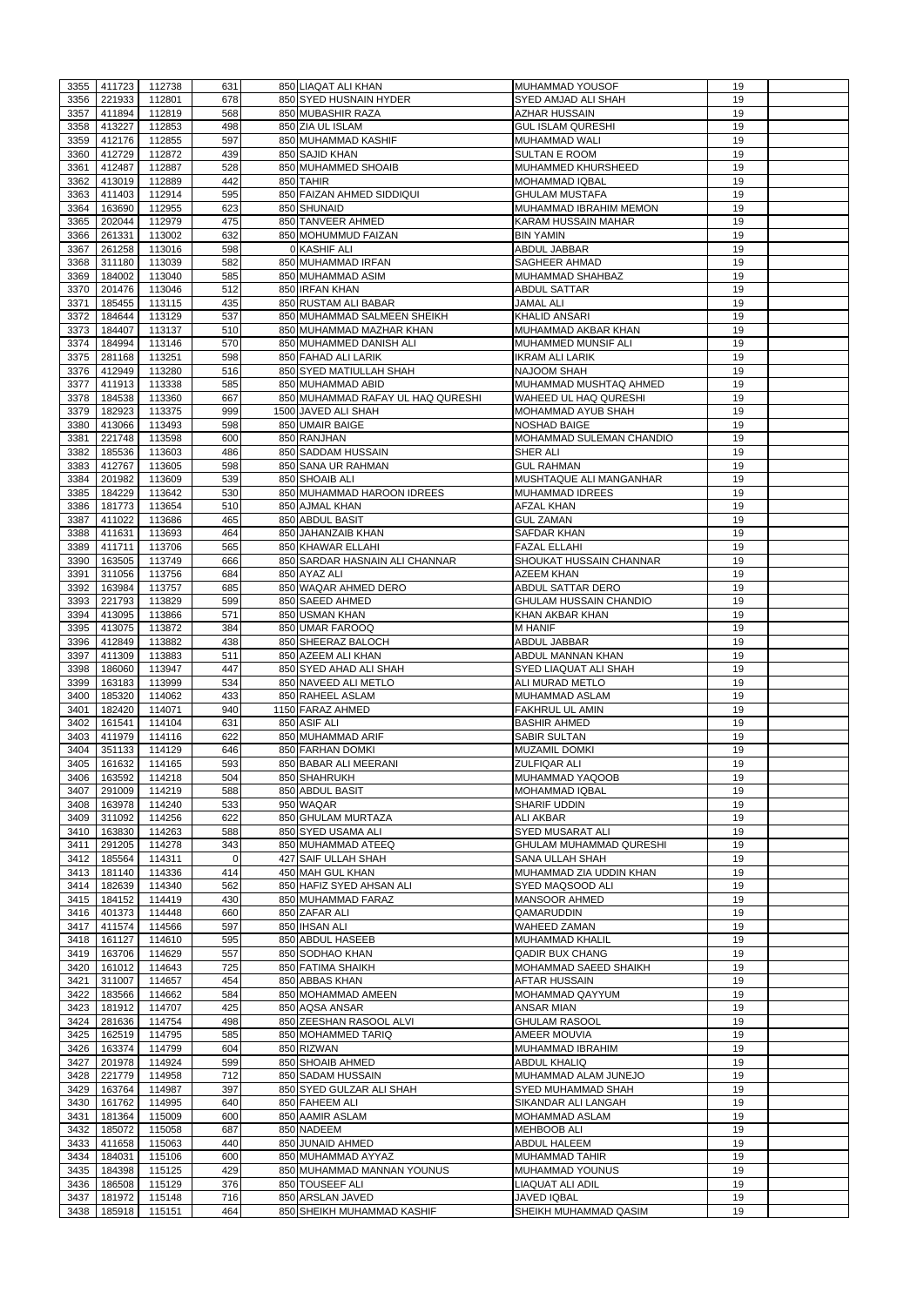| 411723<br>112738<br>631<br>850 LIAQAT ALI KHAN<br><b>MUHAMMAD YOUSOF</b><br>3355<br>19<br>678<br>3356<br>221933<br>112801<br>850 SYED HUSNAIN HYDER<br><b>SYED AMJAD ALI SHAH</b><br>19<br>568<br>3357<br>411894<br>112819<br>850 MUBASHIR RAZA<br><b>AZHAR HUSSAIN</b><br>19<br>3358<br>413227<br>112853<br>498<br>850 ZIA UL ISLAM<br><b>GUL ISLAM QURESHI</b><br>19<br>597<br>412176<br>112855<br>850 MUHAMMAD KASHIF<br>19<br>3359<br><b>MUHAMMAD WALI</b><br>412729<br>112872<br>439<br>850 SAJID KHAN<br><b>SULTAN E ROOM</b><br>19<br>3360<br>528<br>412487<br>3361<br>112887<br>850 MUHAMMED SHOAIB<br><b>MUHAMMED KHURSHEED</b><br>19<br>442<br>850 TAHIR<br>3362<br>413019<br>112889<br><b>MOHAMMAD IQBAL</b><br>19<br>595<br>3363<br>411403<br>112914<br>850 FAIZAN AHMED SIDDIQUI<br><b>GHULAM MUSTAFA</b><br>19<br>623<br>850 SHUNAID<br>19<br>3364<br>163690<br>112955<br>MUHAMMAD IBRAHIM MEMON<br>475<br>3365<br>202044<br>112979<br>850 TANVEER AHMED<br><b>KARAM HUSSAIN MAHAR</b><br>19<br>632<br>3366<br>261331<br>113002<br>850 MOHUMMUD FAIZAN<br>19<br><b>BIN YAMIN</b><br>598<br>0 KASHIF ALI<br>3367<br>261258<br>113016<br><b>ABDUL JABBAR</b><br>19<br>582<br>850 MUHAMMAD IRFAN<br>19<br>3368<br>311180<br>113039<br><b>SAGHEER AHMAD</b><br>184002<br>585<br>3369<br>113040<br>850 MUHAMMAD ASIM<br>MUHAMMAD SHAHBAZ<br>19<br>512<br>3370<br>201476<br>113046<br>850 IRFAN KHAN<br><b>ABDUL SATTAR</b><br>19<br>3371<br>185455<br>113115<br>435<br>850 RUSTAM ALI BABAR<br><b>JAMAL ALI</b><br>19<br>537<br>3372<br>184644<br>113129<br>850 MUHAMMAD SALMEEN SHEIKH<br><b>KHALID ANSARI</b><br>19<br>3373<br>184407<br>113137<br>510<br>850 MUHAMMAD MAZHAR KHAN<br>MUHAMMAD AKBAR KHAN<br>19<br>184994<br>570<br>3374<br>113146<br>850 MUHAMMED DANISH ALI<br><b>MUHAMMED MUNSIF ALI</b><br>19<br>281168<br>113251<br>598<br>3375<br>850 FAHAD ALI LARIK<br><b>IKRAM ALI LARIK</b><br>19<br>516<br>19<br>412949<br>113280<br>850 SYED MATIULLAH SHAH<br>3376<br>NAJOOM SHAH<br>411913<br>585<br>3377<br>113338<br>850 MUHAMMAD ABID<br>MUHAMMAD MUSHTAQ AHMED<br>19<br>667<br>3378<br>184538<br>113360<br>850 MUHAMMAD RAFAY UL HAQ QURESHI<br>WAHEED UL HAQ QURESHI<br>19<br>999<br>3379<br>182923<br>113375<br>1500 JAVED ALI SHAH<br>19<br><b>MOHAMMAD AYUB SHAH</b><br>598<br>413066<br>113493<br>850 UMAIR BAIGE<br>19<br>3380<br>NOSHAD BAIGE<br>3381<br>221748<br>113598<br>600<br>850 RANJHAN<br>MOHAMMAD SULEMAN CHANDIO<br>19<br>486<br>19<br>3382<br>185536<br>113603<br>850 SADDAM HUSSAIN<br><b>SHER ALI</b><br>598<br>3383<br>412767<br>113605<br>850 SANA UR RAHMAN<br><b>GUL RAHMAN</b><br>19<br>539<br>3384<br>113609<br>MUSHTAQUE ALI MANGANHAR<br>19<br>201982<br>850 SHOAIB ALI<br>530<br>850 MUHAMMAD HAROON IDREES<br>3385<br>184229<br>113642<br><b>MUHAMMAD IDREES</b><br>19<br>510<br>3386<br>181773<br>113654<br>850 AJMAL KHAN<br><b>AFZAL KHAN</b><br>19<br>3387<br>411022<br>113686<br>465<br>850 ABDUL BASIT<br><b>GUL ZAMAN</b><br>19<br>3388<br>113693<br>464<br>850 JAHANZAIB KHAN<br><b>SAFDAR KHAN</b><br>19<br>411631<br>411711<br>113706<br>565<br>850 KHAWAR ELLAHI<br><b>FAZAL ELLAHI</b><br>19<br>3389<br>19<br>3390<br>163505<br>113749<br>666<br>850 SARDAR HASNAIN ALI CHANNAR<br><b>SHOUKAT HUSSAIN CHANNAR</b><br>311056<br>684<br>850 AYAZ ALI<br><b>AZEEM KHAN</b><br>3391<br>113756<br>19<br>163984<br>685<br>850 WAQAR AHMED DERO<br>3392<br>113757<br><b>ABDUL SATTAR DERO</b><br>19<br>599<br>221793<br>113829<br>19<br>3393<br>850 SAEED AHMED<br><b>GHULAM HUSSAIN CHANDIO</b><br>413095<br>571<br>850 USMAN KHAN<br>3394<br>113866<br>KHAN AKBAR KHAN<br>19<br>113872<br>384<br>3395<br>413075<br>850 UMAR FAROOQ<br><b>M HANIF</b><br>19<br>438<br>3396<br>412849<br>113882<br>850 SHEERAZ BALOCH<br>ABDUL JABBAR<br>19<br>511<br>3397<br>411309<br>850 AZEEM ALI KHAN<br>ABDUL MANNAN KHAN<br>19<br>113883<br>447<br>3398<br>186060<br>113947<br>850 SYED AHAD ALI SHAH<br>SYED LIAQUAT ALI SHAH<br>19<br>534<br>3399<br>163183<br>113999<br>850 NAVEED ALI METLO<br>ALI MURAD METLO<br>19<br>185320<br>433<br>850 RAHEEL ASLAM<br>3400<br>114062<br>MUHAMMAD ASLAM<br>19<br>114071<br>940<br>FAKHRUL UL AMIN<br>19<br>3401<br>182420<br>1150 FARAZ AHMED<br>161541<br>631<br>850 ASIF ALI<br>3402<br>114104<br><b>BASHIR AHMED</b><br>19<br>622<br>850 MUHAMMAD ARIF<br>3403<br>411979<br>114116<br><b>SABIR SULTAN</b><br>19<br>3404<br>351133<br>114129<br>646<br>850 FARHAN DOMKI<br><b>MUZAMIL DOMKI</b><br>19<br>3405<br>161632<br>114165<br>593<br>850 BABAR ALI MEERANI<br><b>ZULFIQAR ALI</b><br>19<br>3406<br>163592<br>114218<br>504<br>850 SHAHRUKH<br>MUHAMMAD YAQOOB<br>19<br>588<br>3407<br>291009<br>114219<br>850 ABDUL BASIT<br><b>MOHAMMAD IQBAL</b><br>19<br>533<br>3408<br>163978<br>114240<br>950 WAQAR<br><b>SHARIF UDDIN</b><br>19<br>622<br>311092<br>114256<br>850 GHULAM MURTAZA<br>19<br>3409<br><b>ALI AKBAR</b><br>163830<br>114263<br>588<br>850 SYED USAMA ALI<br><b>SYED MUSARAT ALI</b><br>19<br>3410<br>291205<br>343<br>850 MUHAMMAD ATEEQ<br>3411<br>114278<br><b>GHULAM MUHAMMAD QURESHI</b><br>19<br>3412<br>185564<br>114311<br>427 SAIF ULLAH SHAH<br><b>SANA ULLAH SHAH</b><br>19<br>0<br>3413<br>181140<br>114336<br>414<br>450 MAH GUL KHAN<br>19<br>MUHAMMAD ZIA UDDIN KHAN<br>562<br>850 HAFIZ SYED AHSAN ALI<br>SYED MAQSOOD ALI<br>19<br>3414<br>182639<br>114340<br>184152<br>114419<br>430<br>850 MUHAMMAD FARAZ<br><b>MANSOOR AHMED</b><br>19<br>3415<br>660<br>850 ZAFAR ALI<br>3416<br>401373<br>114448<br>QAMARUDDIN<br>19<br>597<br>3417<br>411574<br>114566<br>850 IHSAN ALI<br><b>WAHEED ZAMAN</b><br>19<br>595<br>161127<br>850 ABDUL HASEEB<br>19<br>3418<br>114610<br><b>MUHAMMAD KHALIL</b><br>163706<br>557<br>3419<br>114629<br>850 SODHAO KHAN<br><b>QADIR BUX CHANG</b><br>19<br>725<br>3420<br>161012<br>114643<br>850 FATIMA SHAIKH<br>MOHAMMAD SAEED SHAIKH<br>19<br>3421<br>311007<br>114657<br>454<br>850 ABBAS KHAN<br><b>AFTAR HUSSAIN</b><br>19<br>584<br>3422<br>183566<br>114662<br>850 MOHAMMAD AMEEN<br>MOHAMMAD QAYYUM<br>19<br>425<br>3423<br>181912<br>114707<br>850 AQSA ANSAR<br><b>ANSAR MIAN</b><br>19 |
|----------------------------------------------------------------------------------------------------------------------------------------------------------------------------------------------------------------------------------------------------------------------------------------------------------------------------------------------------------------------------------------------------------------------------------------------------------------------------------------------------------------------------------------------------------------------------------------------------------------------------------------------------------------------------------------------------------------------------------------------------------------------------------------------------------------------------------------------------------------------------------------------------------------------------------------------------------------------------------------------------------------------------------------------------------------------------------------------------------------------------------------------------------------------------------------------------------------------------------------------------------------------------------------------------------------------------------------------------------------------------------------------------------------------------------------------------------------------------------------------------------------------------------------------------------------------------------------------------------------------------------------------------------------------------------------------------------------------------------------------------------------------------------------------------------------------------------------------------------------------------------------------------------------------------------------------------------------------------------------------------------------------------------------------------------------------------------------------------------------------------------------------------------------------------------------------------------------------------------------------------------------------------------------------------------------------------------------------------------------------------------------------------------------------------------------------------------------------------------------------------------------------------------------------------------------------------------------------------------------------------------------------------------------------------------------------------------------------------------------------------------------------------------------------------------------------------------------------------------------------------------------------------------------------------------------------------------------------------------------------------------------------------------------------------------------------------------------------------------------------------------------------------------------------------------------------------------------------------------------------------------------------------------------------------------------------------------------------------------------------------------------------------------------------------------------------------------------------------------------------------------------------------------------------------------------------------------------------------------------------------------------------------------------------------------------------------------------------------------------------------------------------------------------------------------------------------------------------------------------------------------------------------------------------------------------------------------------------------------------------------------------------------------------------------------------------------------------------------------------------------------------------------------------------------------------------------------------------------------------------------------------------------------------------------------------------------------------------------------------------------------------------------------------------------------------------------------------------------------------------------------------------------------------------------------------------------------------------------------------------------------------------------------------------------------------------------------------------------------------------------------------------------------------------------------------------------------------------------------------------------------------------------------------------------------------------------------------------------------------------------------------------------------------------------------------------------------------------------------------------------------------------------------------------------------------------------------------------------------------------------------------------------------------------------------------------------------------------------------------------------------------------------------------------------------------------------------------------------------------------------------------------------------------------------------------------------------------------------------------------------------------------------------------------------------------------------------------------------------------------------------------------------------------------------------------------------------------------------------------------------------------------------------------------------------------------------------------------------------------------------------------------------------------------------------------------------------------------------------------------------------------------------------------------------------|
|                                                                                                                                                                                                                                                                                                                                                                                                                                                                                                                                                                                                                                                                                                                                                                                                                                                                                                                                                                                                                                                                                                                                                                                                                                                                                                                                                                                                                                                                                                                                                                                                                                                                                                                                                                                                                                                                                                                                                                                                                                                                                                                                                                                                                                                                                                                                                                                                                                                                                                                                                                                                                                                                                                                                                                                                                                                                                                                                                                                                                                                                                                                                                                                                                                                                                                                                                                                                                                                                                                                                                                                                                                                                                                                                                                                                                                                                                                                                                                                                                                                                                                                                                                                                                                                                                                                                                                                                                                                                                                                                                                                                                                                                                                                                                                                                                                                                                                                                                                                                                                                                                                                                                                                                                                                                                                                                                                                                                                                                                                                                                                                                                                                                                                                                                                                                                                                                                                                                                                                                                                                                                                                                                                                  |
|                                                                                                                                                                                                                                                                                                                                                                                                                                                                                                                                                                                                                                                                                                                                                                                                                                                                                                                                                                                                                                                                                                                                                                                                                                                                                                                                                                                                                                                                                                                                                                                                                                                                                                                                                                                                                                                                                                                                                                                                                                                                                                                                                                                                                                                                                                                                                                                                                                                                                                                                                                                                                                                                                                                                                                                                                                                                                                                                                                                                                                                                                                                                                                                                                                                                                                                                                                                                                                                                                                                                                                                                                                                                                                                                                                                                                                                                                                                                                                                                                                                                                                                                                                                                                                                                                                                                                                                                                                                                                                                                                                                                                                                                                                                                                                                                                                                                                                                                                                                                                                                                                                                                                                                                                                                                                                                                                                                                                                                                                                                                                                                                                                                                                                                                                                                                                                                                                                                                                                                                                                                                                                                                                                                  |
|                                                                                                                                                                                                                                                                                                                                                                                                                                                                                                                                                                                                                                                                                                                                                                                                                                                                                                                                                                                                                                                                                                                                                                                                                                                                                                                                                                                                                                                                                                                                                                                                                                                                                                                                                                                                                                                                                                                                                                                                                                                                                                                                                                                                                                                                                                                                                                                                                                                                                                                                                                                                                                                                                                                                                                                                                                                                                                                                                                                                                                                                                                                                                                                                                                                                                                                                                                                                                                                                                                                                                                                                                                                                                                                                                                                                                                                                                                                                                                                                                                                                                                                                                                                                                                                                                                                                                                                                                                                                                                                                                                                                                                                                                                                                                                                                                                                                                                                                                                                                                                                                                                                                                                                                                                                                                                                                                                                                                                                                                                                                                                                                                                                                                                                                                                                                                                                                                                                                                                                                                                                                                                                                                                                  |
|                                                                                                                                                                                                                                                                                                                                                                                                                                                                                                                                                                                                                                                                                                                                                                                                                                                                                                                                                                                                                                                                                                                                                                                                                                                                                                                                                                                                                                                                                                                                                                                                                                                                                                                                                                                                                                                                                                                                                                                                                                                                                                                                                                                                                                                                                                                                                                                                                                                                                                                                                                                                                                                                                                                                                                                                                                                                                                                                                                                                                                                                                                                                                                                                                                                                                                                                                                                                                                                                                                                                                                                                                                                                                                                                                                                                                                                                                                                                                                                                                                                                                                                                                                                                                                                                                                                                                                                                                                                                                                                                                                                                                                                                                                                                                                                                                                                                                                                                                                                                                                                                                                                                                                                                                                                                                                                                                                                                                                                                                                                                                                                                                                                                                                                                                                                                                                                                                                                                                                                                                                                                                                                                                                                  |
|                                                                                                                                                                                                                                                                                                                                                                                                                                                                                                                                                                                                                                                                                                                                                                                                                                                                                                                                                                                                                                                                                                                                                                                                                                                                                                                                                                                                                                                                                                                                                                                                                                                                                                                                                                                                                                                                                                                                                                                                                                                                                                                                                                                                                                                                                                                                                                                                                                                                                                                                                                                                                                                                                                                                                                                                                                                                                                                                                                                                                                                                                                                                                                                                                                                                                                                                                                                                                                                                                                                                                                                                                                                                                                                                                                                                                                                                                                                                                                                                                                                                                                                                                                                                                                                                                                                                                                                                                                                                                                                                                                                                                                                                                                                                                                                                                                                                                                                                                                                                                                                                                                                                                                                                                                                                                                                                                                                                                                                                                                                                                                                                                                                                                                                                                                                                                                                                                                                                                                                                                                                                                                                                                                                  |
|                                                                                                                                                                                                                                                                                                                                                                                                                                                                                                                                                                                                                                                                                                                                                                                                                                                                                                                                                                                                                                                                                                                                                                                                                                                                                                                                                                                                                                                                                                                                                                                                                                                                                                                                                                                                                                                                                                                                                                                                                                                                                                                                                                                                                                                                                                                                                                                                                                                                                                                                                                                                                                                                                                                                                                                                                                                                                                                                                                                                                                                                                                                                                                                                                                                                                                                                                                                                                                                                                                                                                                                                                                                                                                                                                                                                                                                                                                                                                                                                                                                                                                                                                                                                                                                                                                                                                                                                                                                                                                                                                                                                                                                                                                                                                                                                                                                                                                                                                                                                                                                                                                                                                                                                                                                                                                                                                                                                                                                                                                                                                                                                                                                                                                                                                                                                                                                                                                                                                                                                                                                                                                                                                                                  |
|                                                                                                                                                                                                                                                                                                                                                                                                                                                                                                                                                                                                                                                                                                                                                                                                                                                                                                                                                                                                                                                                                                                                                                                                                                                                                                                                                                                                                                                                                                                                                                                                                                                                                                                                                                                                                                                                                                                                                                                                                                                                                                                                                                                                                                                                                                                                                                                                                                                                                                                                                                                                                                                                                                                                                                                                                                                                                                                                                                                                                                                                                                                                                                                                                                                                                                                                                                                                                                                                                                                                                                                                                                                                                                                                                                                                                                                                                                                                                                                                                                                                                                                                                                                                                                                                                                                                                                                                                                                                                                                                                                                                                                                                                                                                                                                                                                                                                                                                                                                                                                                                                                                                                                                                                                                                                                                                                                                                                                                                                                                                                                                                                                                                                                                                                                                                                                                                                                                                                                                                                                                                                                                                                                                  |
|                                                                                                                                                                                                                                                                                                                                                                                                                                                                                                                                                                                                                                                                                                                                                                                                                                                                                                                                                                                                                                                                                                                                                                                                                                                                                                                                                                                                                                                                                                                                                                                                                                                                                                                                                                                                                                                                                                                                                                                                                                                                                                                                                                                                                                                                                                                                                                                                                                                                                                                                                                                                                                                                                                                                                                                                                                                                                                                                                                                                                                                                                                                                                                                                                                                                                                                                                                                                                                                                                                                                                                                                                                                                                                                                                                                                                                                                                                                                                                                                                                                                                                                                                                                                                                                                                                                                                                                                                                                                                                                                                                                                                                                                                                                                                                                                                                                                                                                                                                                                                                                                                                                                                                                                                                                                                                                                                                                                                                                                                                                                                                                                                                                                                                                                                                                                                                                                                                                                                                                                                                                                                                                                                                                  |
|                                                                                                                                                                                                                                                                                                                                                                                                                                                                                                                                                                                                                                                                                                                                                                                                                                                                                                                                                                                                                                                                                                                                                                                                                                                                                                                                                                                                                                                                                                                                                                                                                                                                                                                                                                                                                                                                                                                                                                                                                                                                                                                                                                                                                                                                                                                                                                                                                                                                                                                                                                                                                                                                                                                                                                                                                                                                                                                                                                                                                                                                                                                                                                                                                                                                                                                                                                                                                                                                                                                                                                                                                                                                                                                                                                                                                                                                                                                                                                                                                                                                                                                                                                                                                                                                                                                                                                                                                                                                                                                                                                                                                                                                                                                                                                                                                                                                                                                                                                                                                                                                                                                                                                                                                                                                                                                                                                                                                                                                                                                                                                                                                                                                                                                                                                                                                                                                                                                                                                                                                                                                                                                                                                                  |
|                                                                                                                                                                                                                                                                                                                                                                                                                                                                                                                                                                                                                                                                                                                                                                                                                                                                                                                                                                                                                                                                                                                                                                                                                                                                                                                                                                                                                                                                                                                                                                                                                                                                                                                                                                                                                                                                                                                                                                                                                                                                                                                                                                                                                                                                                                                                                                                                                                                                                                                                                                                                                                                                                                                                                                                                                                                                                                                                                                                                                                                                                                                                                                                                                                                                                                                                                                                                                                                                                                                                                                                                                                                                                                                                                                                                                                                                                                                                                                                                                                                                                                                                                                                                                                                                                                                                                                                                                                                                                                                                                                                                                                                                                                                                                                                                                                                                                                                                                                                                                                                                                                                                                                                                                                                                                                                                                                                                                                                                                                                                                                                                                                                                                                                                                                                                                                                                                                                                                                                                                                                                                                                                                                                  |
|                                                                                                                                                                                                                                                                                                                                                                                                                                                                                                                                                                                                                                                                                                                                                                                                                                                                                                                                                                                                                                                                                                                                                                                                                                                                                                                                                                                                                                                                                                                                                                                                                                                                                                                                                                                                                                                                                                                                                                                                                                                                                                                                                                                                                                                                                                                                                                                                                                                                                                                                                                                                                                                                                                                                                                                                                                                                                                                                                                                                                                                                                                                                                                                                                                                                                                                                                                                                                                                                                                                                                                                                                                                                                                                                                                                                                                                                                                                                                                                                                                                                                                                                                                                                                                                                                                                                                                                                                                                                                                                                                                                                                                                                                                                                                                                                                                                                                                                                                                                                                                                                                                                                                                                                                                                                                                                                                                                                                                                                                                                                                                                                                                                                                                                                                                                                                                                                                                                                                                                                                                                                                                                                                                                  |
|                                                                                                                                                                                                                                                                                                                                                                                                                                                                                                                                                                                                                                                                                                                                                                                                                                                                                                                                                                                                                                                                                                                                                                                                                                                                                                                                                                                                                                                                                                                                                                                                                                                                                                                                                                                                                                                                                                                                                                                                                                                                                                                                                                                                                                                                                                                                                                                                                                                                                                                                                                                                                                                                                                                                                                                                                                                                                                                                                                                                                                                                                                                                                                                                                                                                                                                                                                                                                                                                                                                                                                                                                                                                                                                                                                                                                                                                                                                                                                                                                                                                                                                                                                                                                                                                                                                                                                                                                                                                                                                                                                                                                                                                                                                                                                                                                                                                                                                                                                                                                                                                                                                                                                                                                                                                                                                                                                                                                                                                                                                                                                                                                                                                                                                                                                                                                                                                                                                                                                                                                                                                                                                                                                                  |
|                                                                                                                                                                                                                                                                                                                                                                                                                                                                                                                                                                                                                                                                                                                                                                                                                                                                                                                                                                                                                                                                                                                                                                                                                                                                                                                                                                                                                                                                                                                                                                                                                                                                                                                                                                                                                                                                                                                                                                                                                                                                                                                                                                                                                                                                                                                                                                                                                                                                                                                                                                                                                                                                                                                                                                                                                                                                                                                                                                                                                                                                                                                                                                                                                                                                                                                                                                                                                                                                                                                                                                                                                                                                                                                                                                                                                                                                                                                                                                                                                                                                                                                                                                                                                                                                                                                                                                                                                                                                                                                                                                                                                                                                                                                                                                                                                                                                                                                                                                                                                                                                                                                                                                                                                                                                                                                                                                                                                                                                                                                                                                                                                                                                                                                                                                                                                                                                                                                                                                                                                                                                                                                                                                                  |
|                                                                                                                                                                                                                                                                                                                                                                                                                                                                                                                                                                                                                                                                                                                                                                                                                                                                                                                                                                                                                                                                                                                                                                                                                                                                                                                                                                                                                                                                                                                                                                                                                                                                                                                                                                                                                                                                                                                                                                                                                                                                                                                                                                                                                                                                                                                                                                                                                                                                                                                                                                                                                                                                                                                                                                                                                                                                                                                                                                                                                                                                                                                                                                                                                                                                                                                                                                                                                                                                                                                                                                                                                                                                                                                                                                                                                                                                                                                                                                                                                                                                                                                                                                                                                                                                                                                                                                                                                                                                                                                                                                                                                                                                                                                                                                                                                                                                                                                                                                                                                                                                                                                                                                                                                                                                                                                                                                                                                                                                                                                                                                                                                                                                                                                                                                                                                                                                                                                                                                                                                                                                                                                                                                                  |
|                                                                                                                                                                                                                                                                                                                                                                                                                                                                                                                                                                                                                                                                                                                                                                                                                                                                                                                                                                                                                                                                                                                                                                                                                                                                                                                                                                                                                                                                                                                                                                                                                                                                                                                                                                                                                                                                                                                                                                                                                                                                                                                                                                                                                                                                                                                                                                                                                                                                                                                                                                                                                                                                                                                                                                                                                                                                                                                                                                                                                                                                                                                                                                                                                                                                                                                                                                                                                                                                                                                                                                                                                                                                                                                                                                                                                                                                                                                                                                                                                                                                                                                                                                                                                                                                                                                                                                                                                                                                                                                                                                                                                                                                                                                                                                                                                                                                                                                                                                                                                                                                                                                                                                                                                                                                                                                                                                                                                                                                                                                                                                                                                                                                                                                                                                                                                                                                                                                                                                                                                                                                                                                                                                                  |
|                                                                                                                                                                                                                                                                                                                                                                                                                                                                                                                                                                                                                                                                                                                                                                                                                                                                                                                                                                                                                                                                                                                                                                                                                                                                                                                                                                                                                                                                                                                                                                                                                                                                                                                                                                                                                                                                                                                                                                                                                                                                                                                                                                                                                                                                                                                                                                                                                                                                                                                                                                                                                                                                                                                                                                                                                                                                                                                                                                                                                                                                                                                                                                                                                                                                                                                                                                                                                                                                                                                                                                                                                                                                                                                                                                                                                                                                                                                                                                                                                                                                                                                                                                                                                                                                                                                                                                                                                                                                                                                                                                                                                                                                                                                                                                                                                                                                                                                                                                                                                                                                                                                                                                                                                                                                                                                                                                                                                                                                                                                                                                                                                                                                                                                                                                                                                                                                                                                                                                                                                                                                                                                                                                                  |
|                                                                                                                                                                                                                                                                                                                                                                                                                                                                                                                                                                                                                                                                                                                                                                                                                                                                                                                                                                                                                                                                                                                                                                                                                                                                                                                                                                                                                                                                                                                                                                                                                                                                                                                                                                                                                                                                                                                                                                                                                                                                                                                                                                                                                                                                                                                                                                                                                                                                                                                                                                                                                                                                                                                                                                                                                                                                                                                                                                                                                                                                                                                                                                                                                                                                                                                                                                                                                                                                                                                                                                                                                                                                                                                                                                                                                                                                                                                                                                                                                                                                                                                                                                                                                                                                                                                                                                                                                                                                                                                                                                                                                                                                                                                                                                                                                                                                                                                                                                                                                                                                                                                                                                                                                                                                                                                                                                                                                                                                                                                                                                                                                                                                                                                                                                                                                                                                                                                                                                                                                                                                                                                                                                                  |
|                                                                                                                                                                                                                                                                                                                                                                                                                                                                                                                                                                                                                                                                                                                                                                                                                                                                                                                                                                                                                                                                                                                                                                                                                                                                                                                                                                                                                                                                                                                                                                                                                                                                                                                                                                                                                                                                                                                                                                                                                                                                                                                                                                                                                                                                                                                                                                                                                                                                                                                                                                                                                                                                                                                                                                                                                                                                                                                                                                                                                                                                                                                                                                                                                                                                                                                                                                                                                                                                                                                                                                                                                                                                                                                                                                                                                                                                                                                                                                                                                                                                                                                                                                                                                                                                                                                                                                                                                                                                                                                                                                                                                                                                                                                                                                                                                                                                                                                                                                                                                                                                                                                                                                                                                                                                                                                                                                                                                                                                                                                                                                                                                                                                                                                                                                                                                                                                                                                                                                                                                                                                                                                                                                                  |
|                                                                                                                                                                                                                                                                                                                                                                                                                                                                                                                                                                                                                                                                                                                                                                                                                                                                                                                                                                                                                                                                                                                                                                                                                                                                                                                                                                                                                                                                                                                                                                                                                                                                                                                                                                                                                                                                                                                                                                                                                                                                                                                                                                                                                                                                                                                                                                                                                                                                                                                                                                                                                                                                                                                                                                                                                                                                                                                                                                                                                                                                                                                                                                                                                                                                                                                                                                                                                                                                                                                                                                                                                                                                                                                                                                                                                                                                                                                                                                                                                                                                                                                                                                                                                                                                                                                                                                                                                                                                                                                                                                                                                                                                                                                                                                                                                                                                                                                                                                                                                                                                                                                                                                                                                                                                                                                                                                                                                                                                                                                                                                                                                                                                                                                                                                                                                                                                                                                                                                                                                                                                                                                                                                                  |
|                                                                                                                                                                                                                                                                                                                                                                                                                                                                                                                                                                                                                                                                                                                                                                                                                                                                                                                                                                                                                                                                                                                                                                                                                                                                                                                                                                                                                                                                                                                                                                                                                                                                                                                                                                                                                                                                                                                                                                                                                                                                                                                                                                                                                                                                                                                                                                                                                                                                                                                                                                                                                                                                                                                                                                                                                                                                                                                                                                                                                                                                                                                                                                                                                                                                                                                                                                                                                                                                                                                                                                                                                                                                                                                                                                                                                                                                                                                                                                                                                                                                                                                                                                                                                                                                                                                                                                                                                                                                                                                                                                                                                                                                                                                                                                                                                                                                                                                                                                                                                                                                                                                                                                                                                                                                                                                                                                                                                                                                                                                                                                                                                                                                                                                                                                                                                                                                                                                                                                                                                                                                                                                                                                                  |
|                                                                                                                                                                                                                                                                                                                                                                                                                                                                                                                                                                                                                                                                                                                                                                                                                                                                                                                                                                                                                                                                                                                                                                                                                                                                                                                                                                                                                                                                                                                                                                                                                                                                                                                                                                                                                                                                                                                                                                                                                                                                                                                                                                                                                                                                                                                                                                                                                                                                                                                                                                                                                                                                                                                                                                                                                                                                                                                                                                                                                                                                                                                                                                                                                                                                                                                                                                                                                                                                                                                                                                                                                                                                                                                                                                                                                                                                                                                                                                                                                                                                                                                                                                                                                                                                                                                                                                                                                                                                                                                                                                                                                                                                                                                                                                                                                                                                                                                                                                                                                                                                                                                                                                                                                                                                                                                                                                                                                                                                                                                                                                                                                                                                                                                                                                                                                                                                                                                                                                                                                                                                                                                                                                                  |
|                                                                                                                                                                                                                                                                                                                                                                                                                                                                                                                                                                                                                                                                                                                                                                                                                                                                                                                                                                                                                                                                                                                                                                                                                                                                                                                                                                                                                                                                                                                                                                                                                                                                                                                                                                                                                                                                                                                                                                                                                                                                                                                                                                                                                                                                                                                                                                                                                                                                                                                                                                                                                                                                                                                                                                                                                                                                                                                                                                                                                                                                                                                                                                                                                                                                                                                                                                                                                                                                                                                                                                                                                                                                                                                                                                                                                                                                                                                                                                                                                                                                                                                                                                                                                                                                                                                                                                                                                                                                                                                                                                                                                                                                                                                                                                                                                                                                                                                                                                                                                                                                                                                                                                                                                                                                                                                                                                                                                                                                                                                                                                                                                                                                                                                                                                                                                                                                                                                                                                                                                                                                                                                                                                                  |
|                                                                                                                                                                                                                                                                                                                                                                                                                                                                                                                                                                                                                                                                                                                                                                                                                                                                                                                                                                                                                                                                                                                                                                                                                                                                                                                                                                                                                                                                                                                                                                                                                                                                                                                                                                                                                                                                                                                                                                                                                                                                                                                                                                                                                                                                                                                                                                                                                                                                                                                                                                                                                                                                                                                                                                                                                                                                                                                                                                                                                                                                                                                                                                                                                                                                                                                                                                                                                                                                                                                                                                                                                                                                                                                                                                                                                                                                                                                                                                                                                                                                                                                                                                                                                                                                                                                                                                                                                                                                                                                                                                                                                                                                                                                                                                                                                                                                                                                                                                                                                                                                                                                                                                                                                                                                                                                                                                                                                                                                                                                                                                                                                                                                                                                                                                                                                                                                                                                                                                                                                                                                                                                                                                                  |
|                                                                                                                                                                                                                                                                                                                                                                                                                                                                                                                                                                                                                                                                                                                                                                                                                                                                                                                                                                                                                                                                                                                                                                                                                                                                                                                                                                                                                                                                                                                                                                                                                                                                                                                                                                                                                                                                                                                                                                                                                                                                                                                                                                                                                                                                                                                                                                                                                                                                                                                                                                                                                                                                                                                                                                                                                                                                                                                                                                                                                                                                                                                                                                                                                                                                                                                                                                                                                                                                                                                                                                                                                                                                                                                                                                                                                                                                                                                                                                                                                                                                                                                                                                                                                                                                                                                                                                                                                                                                                                                                                                                                                                                                                                                                                                                                                                                                                                                                                                                                                                                                                                                                                                                                                                                                                                                                                                                                                                                                                                                                                                                                                                                                                                                                                                                                                                                                                                                                                                                                                                                                                                                                                                                  |
|                                                                                                                                                                                                                                                                                                                                                                                                                                                                                                                                                                                                                                                                                                                                                                                                                                                                                                                                                                                                                                                                                                                                                                                                                                                                                                                                                                                                                                                                                                                                                                                                                                                                                                                                                                                                                                                                                                                                                                                                                                                                                                                                                                                                                                                                                                                                                                                                                                                                                                                                                                                                                                                                                                                                                                                                                                                                                                                                                                                                                                                                                                                                                                                                                                                                                                                                                                                                                                                                                                                                                                                                                                                                                                                                                                                                                                                                                                                                                                                                                                                                                                                                                                                                                                                                                                                                                                                                                                                                                                                                                                                                                                                                                                                                                                                                                                                                                                                                                                                                                                                                                                                                                                                                                                                                                                                                                                                                                                                                                                                                                                                                                                                                                                                                                                                                                                                                                                                                                                                                                                                                                                                                                                                  |
|                                                                                                                                                                                                                                                                                                                                                                                                                                                                                                                                                                                                                                                                                                                                                                                                                                                                                                                                                                                                                                                                                                                                                                                                                                                                                                                                                                                                                                                                                                                                                                                                                                                                                                                                                                                                                                                                                                                                                                                                                                                                                                                                                                                                                                                                                                                                                                                                                                                                                                                                                                                                                                                                                                                                                                                                                                                                                                                                                                                                                                                                                                                                                                                                                                                                                                                                                                                                                                                                                                                                                                                                                                                                                                                                                                                                                                                                                                                                                                                                                                                                                                                                                                                                                                                                                                                                                                                                                                                                                                                                                                                                                                                                                                                                                                                                                                                                                                                                                                                                                                                                                                                                                                                                                                                                                                                                                                                                                                                                                                                                                                                                                                                                                                                                                                                                                                                                                                                                                                                                                                                                                                                                                                                  |
|                                                                                                                                                                                                                                                                                                                                                                                                                                                                                                                                                                                                                                                                                                                                                                                                                                                                                                                                                                                                                                                                                                                                                                                                                                                                                                                                                                                                                                                                                                                                                                                                                                                                                                                                                                                                                                                                                                                                                                                                                                                                                                                                                                                                                                                                                                                                                                                                                                                                                                                                                                                                                                                                                                                                                                                                                                                                                                                                                                                                                                                                                                                                                                                                                                                                                                                                                                                                                                                                                                                                                                                                                                                                                                                                                                                                                                                                                                                                                                                                                                                                                                                                                                                                                                                                                                                                                                                                                                                                                                                                                                                                                                                                                                                                                                                                                                                                                                                                                                                                                                                                                                                                                                                                                                                                                                                                                                                                                                                                                                                                                                                                                                                                                                                                                                                                                                                                                                                                                                                                                                                                                                                                                                                  |
|                                                                                                                                                                                                                                                                                                                                                                                                                                                                                                                                                                                                                                                                                                                                                                                                                                                                                                                                                                                                                                                                                                                                                                                                                                                                                                                                                                                                                                                                                                                                                                                                                                                                                                                                                                                                                                                                                                                                                                                                                                                                                                                                                                                                                                                                                                                                                                                                                                                                                                                                                                                                                                                                                                                                                                                                                                                                                                                                                                                                                                                                                                                                                                                                                                                                                                                                                                                                                                                                                                                                                                                                                                                                                                                                                                                                                                                                                                                                                                                                                                                                                                                                                                                                                                                                                                                                                                                                                                                                                                                                                                                                                                                                                                                                                                                                                                                                                                                                                                                                                                                                                                                                                                                                                                                                                                                                                                                                                                                                                                                                                                                                                                                                                                                                                                                                                                                                                                                                                                                                                                                                                                                                                                                  |
|                                                                                                                                                                                                                                                                                                                                                                                                                                                                                                                                                                                                                                                                                                                                                                                                                                                                                                                                                                                                                                                                                                                                                                                                                                                                                                                                                                                                                                                                                                                                                                                                                                                                                                                                                                                                                                                                                                                                                                                                                                                                                                                                                                                                                                                                                                                                                                                                                                                                                                                                                                                                                                                                                                                                                                                                                                                                                                                                                                                                                                                                                                                                                                                                                                                                                                                                                                                                                                                                                                                                                                                                                                                                                                                                                                                                                                                                                                                                                                                                                                                                                                                                                                                                                                                                                                                                                                                                                                                                                                                                                                                                                                                                                                                                                                                                                                                                                                                                                                                                                                                                                                                                                                                                                                                                                                                                                                                                                                                                                                                                                                                                                                                                                                                                                                                                                                                                                                                                                                                                                                                                                                                                                                                  |
|                                                                                                                                                                                                                                                                                                                                                                                                                                                                                                                                                                                                                                                                                                                                                                                                                                                                                                                                                                                                                                                                                                                                                                                                                                                                                                                                                                                                                                                                                                                                                                                                                                                                                                                                                                                                                                                                                                                                                                                                                                                                                                                                                                                                                                                                                                                                                                                                                                                                                                                                                                                                                                                                                                                                                                                                                                                                                                                                                                                                                                                                                                                                                                                                                                                                                                                                                                                                                                                                                                                                                                                                                                                                                                                                                                                                                                                                                                                                                                                                                                                                                                                                                                                                                                                                                                                                                                                                                                                                                                                                                                                                                                                                                                                                                                                                                                                                                                                                                                                                                                                                                                                                                                                                                                                                                                                                                                                                                                                                                                                                                                                                                                                                                                                                                                                                                                                                                                                                                                                                                                                                                                                                                                                  |
|                                                                                                                                                                                                                                                                                                                                                                                                                                                                                                                                                                                                                                                                                                                                                                                                                                                                                                                                                                                                                                                                                                                                                                                                                                                                                                                                                                                                                                                                                                                                                                                                                                                                                                                                                                                                                                                                                                                                                                                                                                                                                                                                                                                                                                                                                                                                                                                                                                                                                                                                                                                                                                                                                                                                                                                                                                                                                                                                                                                                                                                                                                                                                                                                                                                                                                                                                                                                                                                                                                                                                                                                                                                                                                                                                                                                                                                                                                                                                                                                                                                                                                                                                                                                                                                                                                                                                                                                                                                                                                                                                                                                                                                                                                                                                                                                                                                                                                                                                                                                                                                                                                                                                                                                                                                                                                                                                                                                                                                                                                                                                                                                                                                                                                                                                                                                                                                                                                                                                                                                                                                                                                                                                                                  |
|                                                                                                                                                                                                                                                                                                                                                                                                                                                                                                                                                                                                                                                                                                                                                                                                                                                                                                                                                                                                                                                                                                                                                                                                                                                                                                                                                                                                                                                                                                                                                                                                                                                                                                                                                                                                                                                                                                                                                                                                                                                                                                                                                                                                                                                                                                                                                                                                                                                                                                                                                                                                                                                                                                                                                                                                                                                                                                                                                                                                                                                                                                                                                                                                                                                                                                                                                                                                                                                                                                                                                                                                                                                                                                                                                                                                                                                                                                                                                                                                                                                                                                                                                                                                                                                                                                                                                                                                                                                                                                                                                                                                                                                                                                                                                                                                                                                                                                                                                                                                                                                                                                                                                                                                                                                                                                                                                                                                                                                                                                                                                                                                                                                                                                                                                                                                                                                                                                                                                                                                                                                                                                                                                                                  |
|                                                                                                                                                                                                                                                                                                                                                                                                                                                                                                                                                                                                                                                                                                                                                                                                                                                                                                                                                                                                                                                                                                                                                                                                                                                                                                                                                                                                                                                                                                                                                                                                                                                                                                                                                                                                                                                                                                                                                                                                                                                                                                                                                                                                                                                                                                                                                                                                                                                                                                                                                                                                                                                                                                                                                                                                                                                                                                                                                                                                                                                                                                                                                                                                                                                                                                                                                                                                                                                                                                                                                                                                                                                                                                                                                                                                                                                                                                                                                                                                                                                                                                                                                                                                                                                                                                                                                                                                                                                                                                                                                                                                                                                                                                                                                                                                                                                                                                                                                                                                                                                                                                                                                                                                                                                                                                                                                                                                                                                                                                                                                                                                                                                                                                                                                                                                                                                                                                                                                                                                                                                                                                                                                                                  |
|                                                                                                                                                                                                                                                                                                                                                                                                                                                                                                                                                                                                                                                                                                                                                                                                                                                                                                                                                                                                                                                                                                                                                                                                                                                                                                                                                                                                                                                                                                                                                                                                                                                                                                                                                                                                                                                                                                                                                                                                                                                                                                                                                                                                                                                                                                                                                                                                                                                                                                                                                                                                                                                                                                                                                                                                                                                                                                                                                                                                                                                                                                                                                                                                                                                                                                                                                                                                                                                                                                                                                                                                                                                                                                                                                                                                                                                                                                                                                                                                                                                                                                                                                                                                                                                                                                                                                                                                                                                                                                                                                                                                                                                                                                                                                                                                                                                                                                                                                                                                                                                                                                                                                                                                                                                                                                                                                                                                                                                                                                                                                                                                                                                                                                                                                                                                                                                                                                                                                                                                                                                                                                                                                                                  |
|                                                                                                                                                                                                                                                                                                                                                                                                                                                                                                                                                                                                                                                                                                                                                                                                                                                                                                                                                                                                                                                                                                                                                                                                                                                                                                                                                                                                                                                                                                                                                                                                                                                                                                                                                                                                                                                                                                                                                                                                                                                                                                                                                                                                                                                                                                                                                                                                                                                                                                                                                                                                                                                                                                                                                                                                                                                                                                                                                                                                                                                                                                                                                                                                                                                                                                                                                                                                                                                                                                                                                                                                                                                                                                                                                                                                                                                                                                                                                                                                                                                                                                                                                                                                                                                                                                                                                                                                                                                                                                                                                                                                                                                                                                                                                                                                                                                                                                                                                                                                                                                                                                                                                                                                                                                                                                                                                                                                                                                                                                                                                                                                                                                                                                                                                                                                                                                                                                                                                                                                                                                                                                                                                                                  |
|                                                                                                                                                                                                                                                                                                                                                                                                                                                                                                                                                                                                                                                                                                                                                                                                                                                                                                                                                                                                                                                                                                                                                                                                                                                                                                                                                                                                                                                                                                                                                                                                                                                                                                                                                                                                                                                                                                                                                                                                                                                                                                                                                                                                                                                                                                                                                                                                                                                                                                                                                                                                                                                                                                                                                                                                                                                                                                                                                                                                                                                                                                                                                                                                                                                                                                                                                                                                                                                                                                                                                                                                                                                                                                                                                                                                                                                                                                                                                                                                                                                                                                                                                                                                                                                                                                                                                                                                                                                                                                                                                                                                                                                                                                                                                                                                                                                                                                                                                                                                                                                                                                                                                                                                                                                                                                                                                                                                                                                                                                                                                                                                                                                                                                                                                                                                                                                                                                                                                                                                                                                                                                                                                                                  |
|                                                                                                                                                                                                                                                                                                                                                                                                                                                                                                                                                                                                                                                                                                                                                                                                                                                                                                                                                                                                                                                                                                                                                                                                                                                                                                                                                                                                                                                                                                                                                                                                                                                                                                                                                                                                                                                                                                                                                                                                                                                                                                                                                                                                                                                                                                                                                                                                                                                                                                                                                                                                                                                                                                                                                                                                                                                                                                                                                                                                                                                                                                                                                                                                                                                                                                                                                                                                                                                                                                                                                                                                                                                                                                                                                                                                                                                                                                                                                                                                                                                                                                                                                                                                                                                                                                                                                                                                                                                                                                                                                                                                                                                                                                                                                                                                                                                                                                                                                                                                                                                                                                                                                                                                                                                                                                                                                                                                                                                                                                                                                                                                                                                                                                                                                                                                                                                                                                                                                                                                                                                                                                                                                                                  |
|                                                                                                                                                                                                                                                                                                                                                                                                                                                                                                                                                                                                                                                                                                                                                                                                                                                                                                                                                                                                                                                                                                                                                                                                                                                                                                                                                                                                                                                                                                                                                                                                                                                                                                                                                                                                                                                                                                                                                                                                                                                                                                                                                                                                                                                                                                                                                                                                                                                                                                                                                                                                                                                                                                                                                                                                                                                                                                                                                                                                                                                                                                                                                                                                                                                                                                                                                                                                                                                                                                                                                                                                                                                                                                                                                                                                                                                                                                                                                                                                                                                                                                                                                                                                                                                                                                                                                                                                                                                                                                                                                                                                                                                                                                                                                                                                                                                                                                                                                                                                                                                                                                                                                                                                                                                                                                                                                                                                                                                                                                                                                                                                                                                                                                                                                                                                                                                                                                                                                                                                                                                                                                                                                                                  |
|                                                                                                                                                                                                                                                                                                                                                                                                                                                                                                                                                                                                                                                                                                                                                                                                                                                                                                                                                                                                                                                                                                                                                                                                                                                                                                                                                                                                                                                                                                                                                                                                                                                                                                                                                                                                                                                                                                                                                                                                                                                                                                                                                                                                                                                                                                                                                                                                                                                                                                                                                                                                                                                                                                                                                                                                                                                                                                                                                                                                                                                                                                                                                                                                                                                                                                                                                                                                                                                                                                                                                                                                                                                                                                                                                                                                                                                                                                                                                                                                                                                                                                                                                                                                                                                                                                                                                                                                                                                                                                                                                                                                                                                                                                                                                                                                                                                                                                                                                                                                                                                                                                                                                                                                                                                                                                                                                                                                                                                                                                                                                                                                                                                                                                                                                                                                                                                                                                                                                                                                                                                                                                                                                                                  |
|                                                                                                                                                                                                                                                                                                                                                                                                                                                                                                                                                                                                                                                                                                                                                                                                                                                                                                                                                                                                                                                                                                                                                                                                                                                                                                                                                                                                                                                                                                                                                                                                                                                                                                                                                                                                                                                                                                                                                                                                                                                                                                                                                                                                                                                                                                                                                                                                                                                                                                                                                                                                                                                                                                                                                                                                                                                                                                                                                                                                                                                                                                                                                                                                                                                                                                                                                                                                                                                                                                                                                                                                                                                                                                                                                                                                                                                                                                                                                                                                                                                                                                                                                                                                                                                                                                                                                                                                                                                                                                                                                                                                                                                                                                                                                                                                                                                                                                                                                                                                                                                                                                                                                                                                                                                                                                                                                                                                                                                                                                                                                                                                                                                                                                                                                                                                                                                                                                                                                                                                                                                                                                                                                                                  |
|                                                                                                                                                                                                                                                                                                                                                                                                                                                                                                                                                                                                                                                                                                                                                                                                                                                                                                                                                                                                                                                                                                                                                                                                                                                                                                                                                                                                                                                                                                                                                                                                                                                                                                                                                                                                                                                                                                                                                                                                                                                                                                                                                                                                                                                                                                                                                                                                                                                                                                                                                                                                                                                                                                                                                                                                                                                                                                                                                                                                                                                                                                                                                                                                                                                                                                                                                                                                                                                                                                                                                                                                                                                                                                                                                                                                                                                                                                                                                                                                                                                                                                                                                                                                                                                                                                                                                                                                                                                                                                                                                                                                                                                                                                                                                                                                                                                                                                                                                                                                                                                                                                                                                                                                                                                                                                                                                                                                                                                                                                                                                                                                                                                                                                                                                                                                                                                                                                                                                                                                                                                                                                                                                                                  |
|                                                                                                                                                                                                                                                                                                                                                                                                                                                                                                                                                                                                                                                                                                                                                                                                                                                                                                                                                                                                                                                                                                                                                                                                                                                                                                                                                                                                                                                                                                                                                                                                                                                                                                                                                                                                                                                                                                                                                                                                                                                                                                                                                                                                                                                                                                                                                                                                                                                                                                                                                                                                                                                                                                                                                                                                                                                                                                                                                                                                                                                                                                                                                                                                                                                                                                                                                                                                                                                                                                                                                                                                                                                                                                                                                                                                                                                                                                                                                                                                                                                                                                                                                                                                                                                                                                                                                                                                                                                                                                                                                                                                                                                                                                                                                                                                                                                                                                                                                                                                                                                                                                                                                                                                                                                                                                                                                                                                                                                                                                                                                                                                                                                                                                                                                                                                                                                                                                                                                                                                                                                                                                                                                                                  |
|                                                                                                                                                                                                                                                                                                                                                                                                                                                                                                                                                                                                                                                                                                                                                                                                                                                                                                                                                                                                                                                                                                                                                                                                                                                                                                                                                                                                                                                                                                                                                                                                                                                                                                                                                                                                                                                                                                                                                                                                                                                                                                                                                                                                                                                                                                                                                                                                                                                                                                                                                                                                                                                                                                                                                                                                                                                                                                                                                                                                                                                                                                                                                                                                                                                                                                                                                                                                                                                                                                                                                                                                                                                                                                                                                                                                                                                                                                                                                                                                                                                                                                                                                                                                                                                                                                                                                                                                                                                                                                                                                                                                                                                                                                                                                                                                                                                                                                                                                                                                                                                                                                                                                                                                                                                                                                                                                                                                                                                                                                                                                                                                                                                                                                                                                                                                                                                                                                                                                                                                                                                                                                                                                                                  |
|                                                                                                                                                                                                                                                                                                                                                                                                                                                                                                                                                                                                                                                                                                                                                                                                                                                                                                                                                                                                                                                                                                                                                                                                                                                                                                                                                                                                                                                                                                                                                                                                                                                                                                                                                                                                                                                                                                                                                                                                                                                                                                                                                                                                                                                                                                                                                                                                                                                                                                                                                                                                                                                                                                                                                                                                                                                                                                                                                                                                                                                                                                                                                                                                                                                                                                                                                                                                                                                                                                                                                                                                                                                                                                                                                                                                                                                                                                                                                                                                                                                                                                                                                                                                                                                                                                                                                                                                                                                                                                                                                                                                                                                                                                                                                                                                                                                                                                                                                                                                                                                                                                                                                                                                                                                                                                                                                                                                                                                                                                                                                                                                                                                                                                                                                                                                                                                                                                                                                                                                                                                                                                                                                                                  |
|                                                                                                                                                                                                                                                                                                                                                                                                                                                                                                                                                                                                                                                                                                                                                                                                                                                                                                                                                                                                                                                                                                                                                                                                                                                                                                                                                                                                                                                                                                                                                                                                                                                                                                                                                                                                                                                                                                                                                                                                                                                                                                                                                                                                                                                                                                                                                                                                                                                                                                                                                                                                                                                                                                                                                                                                                                                                                                                                                                                                                                                                                                                                                                                                                                                                                                                                                                                                                                                                                                                                                                                                                                                                                                                                                                                                                                                                                                                                                                                                                                                                                                                                                                                                                                                                                                                                                                                                                                                                                                                                                                                                                                                                                                                                                                                                                                                                                                                                                                                                                                                                                                                                                                                                                                                                                                                                                                                                                                                                                                                                                                                                                                                                                                                                                                                                                                                                                                                                                                                                                                                                                                                                                                                  |
|                                                                                                                                                                                                                                                                                                                                                                                                                                                                                                                                                                                                                                                                                                                                                                                                                                                                                                                                                                                                                                                                                                                                                                                                                                                                                                                                                                                                                                                                                                                                                                                                                                                                                                                                                                                                                                                                                                                                                                                                                                                                                                                                                                                                                                                                                                                                                                                                                                                                                                                                                                                                                                                                                                                                                                                                                                                                                                                                                                                                                                                                                                                                                                                                                                                                                                                                                                                                                                                                                                                                                                                                                                                                                                                                                                                                                                                                                                                                                                                                                                                                                                                                                                                                                                                                                                                                                                                                                                                                                                                                                                                                                                                                                                                                                                                                                                                                                                                                                                                                                                                                                                                                                                                                                                                                                                                                                                                                                                                                                                                                                                                                                                                                                                                                                                                                                                                                                                                                                                                                                                                                                                                                                                                  |
|                                                                                                                                                                                                                                                                                                                                                                                                                                                                                                                                                                                                                                                                                                                                                                                                                                                                                                                                                                                                                                                                                                                                                                                                                                                                                                                                                                                                                                                                                                                                                                                                                                                                                                                                                                                                                                                                                                                                                                                                                                                                                                                                                                                                                                                                                                                                                                                                                                                                                                                                                                                                                                                                                                                                                                                                                                                                                                                                                                                                                                                                                                                                                                                                                                                                                                                                                                                                                                                                                                                                                                                                                                                                                                                                                                                                                                                                                                                                                                                                                                                                                                                                                                                                                                                                                                                                                                                                                                                                                                                                                                                                                                                                                                                                                                                                                                                                                                                                                                                                                                                                                                                                                                                                                                                                                                                                                                                                                                                                                                                                                                                                                                                                                                                                                                                                                                                                                                                                                                                                                                                                                                                                                                                  |
|                                                                                                                                                                                                                                                                                                                                                                                                                                                                                                                                                                                                                                                                                                                                                                                                                                                                                                                                                                                                                                                                                                                                                                                                                                                                                                                                                                                                                                                                                                                                                                                                                                                                                                                                                                                                                                                                                                                                                                                                                                                                                                                                                                                                                                                                                                                                                                                                                                                                                                                                                                                                                                                                                                                                                                                                                                                                                                                                                                                                                                                                                                                                                                                                                                                                                                                                                                                                                                                                                                                                                                                                                                                                                                                                                                                                                                                                                                                                                                                                                                                                                                                                                                                                                                                                                                                                                                                                                                                                                                                                                                                                                                                                                                                                                                                                                                                                                                                                                                                                                                                                                                                                                                                                                                                                                                                                                                                                                                                                                                                                                                                                                                                                                                                                                                                                                                                                                                                                                                                                                                                                                                                                                                                  |
|                                                                                                                                                                                                                                                                                                                                                                                                                                                                                                                                                                                                                                                                                                                                                                                                                                                                                                                                                                                                                                                                                                                                                                                                                                                                                                                                                                                                                                                                                                                                                                                                                                                                                                                                                                                                                                                                                                                                                                                                                                                                                                                                                                                                                                                                                                                                                                                                                                                                                                                                                                                                                                                                                                                                                                                                                                                                                                                                                                                                                                                                                                                                                                                                                                                                                                                                                                                                                                                                                                                                                                                                                                                                                                                                                                                                                                                                                                                                                                                                                                                                                                                                                                                                                                                                                                                                                                                                                                                                                                                                                                                                                                                                                                                                                                                                                                                                                                                                                                                                                                                                                                                                                                                                                                                                                                                                                                                                                                                                                                                                                                                                                                                                                                                                                                                                                                                                                                                                                                                                                                                                                                                                                                                  |
|                                                                                                                                                                                                                                                                                                                                                                                                                                                                                                                                                                                                                                                                                                                                                                                                                                                                                                                                                                                                                                                                                                                                                                                                                                                                                                                                                                                                                                                                                                                                                                                                                                                                                                                                                                                                                                                                                                                                                                                                                                                                                                                                                                                                                                                                                                                                                                                                                                                                                                                                                                                                                                                                                                                                                                                                                                                                                                                                                                                                                                                                                                                                                                                                                                                                                                                                                                                                                                                                                                                                                                                                                                                                                                                                                                                                                                                                                                                                                                                                                                                                                                                                                                                                                                                                                                                                                                                                                                                                                                                                                                                                                                                                                                                                                                                                                                                                                                                                                                                                                                                                                                                                                                                                                                                                                                                                                                                                                                                                                                                                                                                                                                                                                                                                                                                                                                                                                                                                                                                                                                                                                                                                                                                  |
|                                                                                                                                                                                                                                                                                                                                                                                                                                                                                                                                                                                                                                                                                                                                                                                                                                                                                                                                                                                                                                                                                                                                                                                                                                                                                                                                                                                                                                                                                                                                                                                                                                                                                                                                                                                                                                                                                                                                                                                                                                                                                                                                                                                                                                                                                                                                                                                                                                                                                                                                                                                                                                                                                                                                                                                                                                                                                                                                                                                                                                                                                                                                                                                                                                                                                                                                                                                                                                                                                                                                                                                                                                                                                                                                                                                                                                                                                                                                                                                                                                                                                                                                                                                                                                                                                                                                                                                                                                                                                                                                                                                                                                                                                                                                                                                                                                                                                                                                                                                                                                                                                                                                                                                                                                                                                                                                                                                                                                                                                                                                                                                                                                                                                                                                                                                                                                                                                                                                                                                                                                                                                                                                                                                  |
|                                                                                                                                                                                                                                                                                                                                                                                                                                                                                                                                                                                                                                                                                                                                                                                                                                                                                                                                                                                                                                                                                                                                                                                                                                                                                                                                                                                                                                                                                                                                                                                                                                                                                                                                                                                                                                                                                                                                                                                                                                                                                                                                                                                                                                                                                                                                                                                                                                                                                                                                                                                                                                                                                                                                                                                                                                                                                                                                                                                                                                                                                                                                                                                                                                                                                                                                                                                                                                                                                                                                                                                                                                                                                                                                                                                                                                                                                                                                                                                                                                                                                                                                                                                                                                                                                                                                                                                                                                                                                                                                                                                                                                                                                                                                                                                                                                                                                                                                                                                                                                                                                                                                                                                                                                                                                                                                                                                                                                                                                                                                                                                                                                                                                                                                                                                                                                                                                                                                                                                                                                                                                                                                                                                  |
|                                                                                                                                                                                                                                                                                                                                                                                                                                                                                                                                                                                                                                                                                                                                                                                                                                                                                                                                                                                                                                                                                                                                                                                                                                                                                                                                                                                                                                                                                                                                                                                                                                                                                                                                                                                                                                                                                                                                                                                                                                                                                                                                                                                                                                                                                                                                                                                                                                                                                                                                                                                                                                                                                                                                                                                                                                                                                                                                                                                                                                                                                                                                                                                                                                                                                                                                                                                                                                                                                                                                                                                                                                                                                                                                                                                                                                                                                                                                                                                                                                                                                                                                                                                                                                                                                                                                                                                                                                                                                                                                                                                                                                                                                                                                                                                                                                                                                                                                                                                                                                                                                                                                                                                                                                                                                                                                                                                                                                                                                                                                                                                                                                                                                                                                                                                                                                                                                                                                                                                                                                                                                                                                                                                  |
|                                                                                                                                                                                                                                                                                                                                                                                                                                                                                                                                                                                                                                                                                                                                                                                                                                                                                                                                                                                                                                                                                                                                                                                                                                                                                                                                                                                                                                                                                                                                                                                                                                                                                                                                                                                                                                                                                                                                                                                                                                                                                                                                                                                                                                                                                                                                                                                                                                                                                                                                                                                                                                                                                                                                                                                                                                                                                                                                                                                                                                                                                                                                                                                                                                                                                                                                                                                                                                                                                                                                                                                                                                                                                                                                                                                                                                                                                                                                                                                                                                                                                                                                                                                                                                                                                                                                                                                                                                                                                                                                                                                                                                                                                                                                                                                                                                                                                                                                                                                                                                                                                                                                                                                                                                                                                                                                                                                                                                                                                                                                                                                                                                                                                                                                                                                                                                                                                                                                                                                                                                                                                                                                                                                  |
|                                                                                                                                                                                                                                                                                                                                                                                                                                                                                                                                                                                                                                                                                                                                                                                                                                                                                                                                                                                                                                                                                                                                                                                                                                                                                                                                                                                                                                                                                                                                                                                                                                                                                                                                                                                                                                                                                                                                                                                                                                                                                                                                                                                                                                                                                                                                                                                                                                                                                                                                                                                                                                                                                                                                                                                                                                                                                                                                                                                                                                                                                                                                                                                                                                                                                                                                                                                                                                                                                                                                                                                                                                                                                                                                                                                                                                                                                                                                                                                                                                                                                                                                                                                                                                                                                                                                                                                                                                                                                                                                                                                                                                                                                                                                                                                                                                                                                                                                                                                                                                                                                                                                                                                                                                                                                                                                                                                                                                                                                                                                                                                                                                                                                                                                                                                                                                                                                                                                                                                                                                                                                                                                                                                  |
|                                                                                                                                                                                                                                                                                                                                                                                                                                                                                                                                                                                                                                                                                                                                                                                                                                                                                                                                                                                                                                                                                                                                                                                                                                                                                                                                                                                                                                                                                                                                                                                                                                                                                                                                                                                                                                                                                                                                                                                                                                                                                                                                                                                                                                                                                                                                                                                                                                                                                                                                                                                                                                                                                                                                                                                                                                                                                                                                                                                                                                                                                                                                                                                                                                                                                                                                                                                                                                                                                                                                                                                                                                                                                                                                                                                                                                                                                                                                                                                                                                                                                                                                                                                                                                                                                                                                                                                                                                                                                                                                                                                                                                                                                                                                                                                                                                                                                                                                                                                                                                                                                                                                                                                                                                                                                                                                                                                                                                                                                                                                                                                                                                                                                                                                                                                                                                                                                                                                                                                                                                                                                                                                                                                  |
|                                                                                                                                                                                                                                                                                                                                                                                                                                                                                                                                                                                                                                                                                                                                                                                                                                                                                                                                                                                                                                                                                                                                                                                                                                                                                                                                                                                                                                                                                                                                                                                                                                                                                                                                                                                                                                                                                                                                                                                                                                                                                                                                                                                                                                                                                                                                                                                                                                                                                                                                                                                                                                                                                                                                                                                                                                                                                                                                                                                                                                                                                                                                                                                                                                                                                                                                                                                                                                                                                                                                                                                                                                                                                                                                                                                                                                                                                                                                                                                                                                                                                                                                                                                                                                                                                                                                                                                                                                                                                                                                                                                                                                                                                                                                                                                                                                                                                                                                                                                                                                                                                                                                                                                                                                                                                                                                                                                                                                                                                                                                                                                                                                                                                                                                                                                                                                                                                                                                                                                                                                                                                                                                                                                  |
|                                                                                                                                                                                                                                                                                                                                                                                                                                                                                                                                                                                                                                                                                                                                                                                                                                                                                                                                                                                                                                                                                                                                                                                                                                                                                                                                                                                                                                                                                                                                                                                                                                                                                                                                                                                                                                                                                                                                                                                                                                                                                                                                                                                                                                                                                                                                                                                                                                                                                                                                                                                                                                                                                                                                                                                                                                                                                                                                                                                                                                                                                                                                                                                                                                                                                                                                                                                                                                                                                                                                                                                                                                                                                                                                                                                                                                                                                                                                                                                                                                                                                                                                                                                                                                                                                                                                                                                                                                                                                                                                                                                                                                                                                                                                                                                                                                                                                                                                                                                                                                                                                                                                                                                                                                                                                                                                                                                                                                                                                                                                                                                                                                                                                                                                                                                                                                                                                                                                                                                                                                                                                                                                                                                  |
|                                                                                                                                                                                                                                                                                                                                                                                                                                                                                                                                                                                                                                                                                                                                                                                                                                                                                                                                                                                                                                                                                                                                                                                                                                                                                                                                                                                                                                                                                                                                                                                                                                                                                                                                                                                                                                                                                                                                                                                                                                                                                                                                                                                                                                                                                                                                                                                                                                                                                                                                                                                                                                                                                                                                                                                                                                                                                                                                                                                                                                                                                                                                                                                                                                                                                                                                                                                                                                                                                                                                                                                                                                                                                                                                                                                                                                                                                                                                                                                                                                                                                                                                                                                                                                                                                                                                                                                                                                                                                                                                                                                                                                                                                                                                                                                                                                                                                                                                                                                                                                                                                                                                                                                                                                                                                                                                                                                                                                                                                                                                                                                                                                                                                                                                                                                                                                                                                                                                                                                                                                                                                                                                                                                  |
|                                                                                                                                                                                                                                                                                                                                                                                                                                                                                                                                                                                                                                                                                                                                                                                                                                                                                                                                                                                                                                                                                                                                                                                                                                                                                                                                                                                                                                                                                                                                                                                                                                                                                                                                                                                                                                                                                                                                                                                                                                                                                                                                                                                                                                                                                                                                                                                                                                                                                                                                                                                                                                                                                                                                                                                                                                                                                                                                                                                                                                                                                                                                                                                                                                                                                                                                                                                                                                                                                                                                                                                                                                                                                                                                                                                                                                                                                                                                                                                                                                                                                                                                                                                                                                                                                                                                                                                                                                                                                                                                                                                                                                                                                                                                                                                                                                                                                                                                                                                                                                                                                                                                                                                                                                                                                                                                                                                                                                                                                                                                                                                                                                                                                                                                                                                                                                                                                                                                                                                                                                                                                                                                                                                  |
|                                                                                                                                                                                                                                                                                                                                                                                                                                                                                                                                                                                                                                                                                                                                                                                                                                                                                                                                                                                                                                                                                                                                                                                                                                                                                                                                                                                                                                                                                                                                                                                                                                                                                                                                                                                                                                                                                                                                                                                                                                                                                                                                                                                                                                                                                                                                                                                                                                                                                                                                                                                                                                                                                                                                                                                                                                                                                                                                                                                                                                                                                                                                                                                                                                                                                                                                                                                                                                                                                                                                                                                                                                                                                                                                                                                                                                                                                                                                                                                                                                                                                                                                                                                                                                                                                                                                                                                                                                                                                                                                                                                                                                                                                                                                                                                                                                                                                                                                                                                                                                                                                                                                                                                                                                                                                                                                                                                                                                                                                                                                                                                                                                                                                                                                                                                                                                                                                                                                                                                                                                                                                                                                                                                  |
|                                                                                                                                                                                                                                                                                                                                                                                                                                                                                                                                                                                                                                                                                                                                                                                                                                                                                                                                                                                                                                                                                                                                                                                                                                                                                                                                                                                                                                                                                                                                                                                                                                                                                                                                                                                                                                                                                                                                                                                                                                                                                                                                                                                                                                                                                                                                                                                                                                                                                                                                                                                                                                                                                                                                                                                                                                                                                                                                                                                                                                                                                                                                                                                                                                                                                                                                                                                                                                                                                                                                                                                                                                                                                                                                                                                                                                                                                                                                                                                                                                                                                                                                                                                                                                                                                                                                                                                                                                                                                                                                                                                                                                                                                                                                                                                                                                                                                                                                                                                                                                                                                                                                                                                                                                                                                                                                                                                                                                                                                                                                                                                                                                                                                                                                                                                                                                                                                                                                                                                                                                                                                                                                                                                  |
|                                                                                                                                                                                                                                                                                                                                                                                                                                                                                                                                                                                                                                                                                                                                                                                                                                                                                                                                                                                                                                                                                                                                                                                                                                                                                                                                                                                                                                                                                                                                                                                                                                                                                                                                                                                                                                                                                                                                                                                                                                                                                                                                                                                                                                                                                                                                                                                                                                                                                                                                                                                                                                                                                                                                                                                                                                                                                                                                                                                                                                                                                                                                                                                                                                                                                                                                                                                                                                                                                                                                                                                                                                                                                                                                                                                                                                                                                                                                                                                                                                                                                                                                                                                                                                                                                                                                                                                                                                                                                                                                                                                                                                                                                                                                                                                                                                                                                                                                                                                                                                                                                                                                                                                                                                                                                                                                                                                                                                                                                                                                                                                                                                                                                                                                                                                                                                                                                                                                                                                                                                                                                                                                                                                  |
|                                                                                                                                                                                                                                                                                                                                                                                                                                                                                                                                                                                                                                                                                                                                                                                                                                                                                                                                                                                                                                                                                                                                                                                                                                                                                                                                                                                                                                                                                                                                                                                                                                                                                                                                                                                                                                                                                                                                                                                                                                                                                                                                                                                                                                                                                                                                                                                                                                                                                                                                                                                                                                                                                                                                                                                                                                                                                                                                                                                                                                                                                                                                                                                                                                                                                                                                                                                                                                                                                                                                                                                                                                                                                                                                                                                                                                                                                                                                                                                                                                                                                                                                                                                                                                                                                                                                                                                                                                                                                                                                                                                                                                                                                                                                                                                                                                                                                                                                                                                                                                                                                                                                                                                                                                                                                                                                                                                                                                                                                                                                                                                                                                                                                                                                                                                                                                                                                                                                                                                                                                                                                                                                                                                  |
|                                                                                                                                                                                                                                                                                                                                                                                                                                                                                                                                                                                                                                                                                                                                                                                                                                                                                                                                                                                                                                                                                                                                                                                                                                                                                                                                                                                                                                                                                                                                                                                                                                                                                                                                                                                                                                                                                                                                                                                                                                                                                                                                                                                                                                                                                                                                                                                                                                                                                                                                                                                                                                                                                                                                                                                                                                                                                                                                                                                                                                                                                                                                                                                                                                                                                                                                                                                                                                                                                                                                                                                                                                                                                                                                                                                                                                                                                                                                                                                                                                                                                                                                                                                                                                                                                                                                                                                                                                                                                                                                                                                                                                                                                                                                                                                                                                                                                                                                                                                                                                                                                                                                                                                                                                                                                                                                                                                                                                                                                                                                                                                                                                                                                                                                                                                                                                                                                                                                                                                                                                                                                                                                                                                  |
|                                                                                                                                                                                                                                                                                                                                                                                                                                                                                                                                                                                                                                                                                                                                                                                                                                                                                                                                                                                                                                                                                                                                                                                                                                                                                                                                                                                                                                                                                                                                                                                                                                                                                                                                                                                                                                                                                                                                                                                                                                                                                                                                                                                                                                                                                                                                                                                                                                                                                                                                                                                                                                                                                                                                                                                                                                                                                                                                                                                                                                                                                                                                                                                                                                                                                                                                                                                                                                                                                                                                                                                                                                                                                                                                                                                                                                                                                                                                                                                                                                                                                                                                                                                                                                                                                                                                                                                                                                                                                                                                                                                                                                                                                                                                                                                                                                                                                                                                                                                                                                                                                                                                                                                                                                                                                                                                                                                                                                                                                                                                                                                                                                                                                                                                                                                                                                                                                                                                                                                                                                                                                                                                                                                  |
|                                                                                                                                                                                                                                                                                                                                                                                                                                                                                                                                                                                                                                                                                                                                                                                                                                                                                                                                                                                                                                                                                                                                                                                                                                                                                                                                                                                                                                                                                                                                                                                                                                                                                                                                                                                                                                                                                                                                                                                                                                                                                                                                                                                                                                                                                                                                                                                                                                                                                                                                                                                                                                                                                                                                                                                                                                                                                                                                                                                                                                                                                                                                                                                                                                                                                                                                                                                                                                                                                                                                                                                                                                                                                                                                                                                                                                                                                                                                                                                                                                                                                                                                                                                                                                                                                                                                                                                                                                                                                                                                                                                                                                                                                                                                                                                                                                                                                                                                                                                                                                                                                                                                                                                                                                                                                                                                                                                                                                                                                                                                                                                                                                                                                                                                                                                                                                                                                                                                                                                                                                                                                                                                                                                  |
|                                                                                                                                                                                                                                                                                                                                                                                                                                                                                                                                                                                                                                                                                                                                                                                                                                                                                                                                                                                                                                                                                                                                                                                                                                                                                                                                                                                                                                                                                                                                                                                                                                                                                                                                                                                                                                                                                                                                                                                                                                                                                                                                                                                                                                                                                                                                                                                                                                                                                                                                                                                                                                                                                                                                                                                                                                                                                                                                                                                                                                                                                                                                                                                                                                                                                                                                                                                                                                                                                                                                                                                                                                                                                                                                                                                                                                                                                                                                                                                                                                                                                                                                                                                                                                                                                                                                                                                                                                                                                                                                                                                                                                                                                                                                                                                                                                                                                                                                                                                                                                                                                                                                                                                                                                                                                                                                                                                                                                                                                                                                                                                                                                                                                                                                                                                                                                                                                                                                                                                                                                                                                                                                                                                  |
|                                                                                                                                                                                                                                                                                                                                                                                                                                                                                                                                                                                                                                                                                                                                                                                                                                                                                                                                                                                                                                                                                                                                                                                                                                                                                                                                                                                                                                                                                                                                                                                                                                                                                                                                                                                                                                                                                                                                                                                                                                                                                                                                                                                                                                                                                                                                                                                                                                                                                                                                                                                                                                                                                                                                                                                                                                                                                                                                                                                                                                                                                                                                                                                                                                                                                                                                                                                                                                                                                                                                                                                                                                                                                                                                                                                                                                                                                                                                                                                                                                                                                                                                                                                                                                                                                                                                                                                                                                                                                                                                                                                                                                                                                                                                                                                                                                                                                                                                                                                                                                                                                                                                                                                                                                                                                                                                                                                                                                                                                                                                                                                                                                                                                                                                                                                                                                                                                                                                                                                                                                                                                                                                                                                  |
|                                                                                                                                                                                                                                                                                                                                                                                                                                                                                                                                                                                                                                                                                                                                                                                                                                                                                                                                                                                                                                                                                                                                                                                                                                                                                                                                                                                                                                                                                                                                                                                                                                                                                                                                                                                                                                                                                                                                                                                                                                                                                                                                                                                                                                                                                                                                                                                                                                                                                                                                                                                                                                                                                                                                                                                                                                                                                                                                                                                                                                                                                                                                                                                                                                                                                                                                                                                                                                                                                                                                                                                                                                                                                                                                                                                                                                                                                                                                                                                                                                                                                                                                                                                                                                                                                                                                                                                                                                                                                                                                                                                                                                                                                                                                                                                                                                                                                                                                                                                                                                                                                                                                                                                                                                                                                                                                                                                                                                                                                                                                                                                                                                                                                                                                                                                                                                                                                                                                                                                                                                                                                                                                                                                  |
|                                                                                                                                                                                                                                                                                                                                                                                                                                                                                                                                                                                                                                                                                                                                                                                                                                                                                                                                                                                                                                                                                                                                                                                                                                                                                                                                                                                                                                                                                                                                                                                                                                                                                                                                                                                                                                                                                                                                                                                                                                                                                                                                                                                                                                                                                                                                                                                                                                                                                                                                                                                                                                                                                                                                                                                                                                                                                                                                                                                                                                                                                                                                                                                                                                                                                                                                                                                                                                                                                                                                                                                                                                                                                                                                                                                                                                                                                                                                                                                                                                                                                                                                                                                                                                                                                                                                                                                                                                                                                                                                                                                                                                                                                                                                                                                                                                                                                                                                                                                                                                                                                                                                                                                                                                                                                                                                                                                                                                                                                                                                                                                                                                                                                                                                                                                                                                                                                                                                                                                                                                                                                                                                                                                  |
|                                                                                                                                                                                                                                                                                                                                                                                                                                                                                                                                                                                                                                                                                                                                                                                                                                                                                                                                                                                                                                                                                                                                                                                                                                                                                                                                                                                                                                                                                                                                                                                                                                                                                                                                                                                                                                                                                                                                                                                                                                                                                                                                                                                                                                                                                                                                                                                                                                                                                                                                                                                                                                                                                                                                                                                                                                                                                                                                                                                                                                                                                                                                                                                                                                                                                                                                                                                                                                                                                                                                                                                                                                                                                                                                                                                                                                                                                                                                                                                                                                                                                                                                                                                                                                                                                                                                                                                                                                                                                                                                                                                                                                                                                                                                                                                                                                                                                                                                                                                                                                                                                                                                                                                                                                                                                                                                                                                                                                                                                                                                                                                                                                                                                                                                                                                                                                                                                                                                                                                                                                                                                                                                                                                  |
|                                                                                                                                                                                                                                                                                                                                                                                                                                                                                                                                                                                                                                                                                                                                                                                                                                                                                                                                                                                                                                                                                                                                                                                                                                                                                                                                                                                                                                                                                                                                                                                                                                                                                                                                                                                                                                                                                                                                                                                                                                                                                                                                                                                                                                                                                                                                                                                                                                                                                                                                                                                                                                                                                                                                                                                                                                                                                                                                                                                                                                                                                                                                                                                                                                                                                                                                                                                                                                                                                                                                                                                                                                                                                                                                                                                                                                                                                                                                                                                                                                                                                                                                                                                                                                                                                                                                                                                                                                                                                                                                                                                                                                                                                                                                                                                                                                                                                                                                                                                                                                                                                                                                                                                                                                                                                                                                                                                                                                                                                                                                                                                                                                                                                                                                                                                                                                                                                                                                                                                                                                                                                                                                                                                  |
|                                                                                                                                                                                                                                                                                                                                                                                                                                                                                                                                                                                                                                                                                                                                                                                                                                                                                                                                                                                                                                                                                                                                                                                                                                                                                                                                                                                                                                                                                                                                                                                                                                                                                                                                                                                                                                                                                                                                                                                                                                                                                                                                                                                                                                                                                                                                                                                                                                                                                                                                                                                                                                                                                                                                                                                                                                                                                                                                                                                                                                                                                                                                                                                                                                                                                                                                                                                                                                                                                                                                                                                                                                                                                                                                                                                                                                                                                                                                                                                                                                                                                                                                                                                                                                                                                                                                                                                                                                                                                                                                                                                                                                                                                                                                                                                                                                                                                                                                                                                                                                                                                                                                                                                                                                                                                                                                                                                                                                                                                                                                                                                                                                                                                                                                                                                                                                                                                                                                                                                                                                                                                                                                                                                  |
|                                                                                                                                                                                                                                                                                                                                                                                                                                                                                                                                                                                                                                                                                                                                                                                                                                                                                                                                                                                                                                                                                                                                                                                                                                                                                                                                                                                                                                                                                                                                                                                                                                                                                                                                                                                                                                                                                                                                                                                                                                                                                                                                                                                                                                                                                                                                                                                                                                                                                                                                                                                                                                                                                                                                                                                                                                                                                                                                                                                                                                                                                                                                                                                                                                                                                                                                                                                                                                                                                                                                                                                                                                                                                                                                                                                                                                                                                                                                                                                                                                                                                                                                                                                                                                                                                                                                                                                                                                                                                                                                                                                                                                                                                                                                                                                                                                                                                                                                                                                                                                                                                                                                                                                                                                                                                                                                                                                                                                                                                                                                                                                                                                                                                                                                                                                                                                                                                                                                                                                                                                                                                                                                                                                  |
|                                                                                                                                                                                                                                                                                                                                                                                                                                                                                                                                                                                                                                                                                                                                                                                                                                                                                                                                                                                                                                                                                                                                                                                                                                                                                                                                                                                                                                                                                                                                                                                                                                                                                                                                                                                                                                                                                                                                                                                                                                                                                                                                                                                                                                                                                                                                                                                                                                                                                                                                                                                                                                                                                                                                                                                                                                                                                                                                                                                                                                                                                                                                                                                                                                                                                                                                                                                                                                                                                                                                                                                                                                                                                                                                                                                                                                                                                                                                                                                                                                                                                                                                                                                                                                                                                                                                                                                                                                                                                                                                                                                                                                                                                                                                                                                                                                                                                                                                                                                                                                                                                                                                                                                                                                                                                                                                                                                                                                                                                                                                                                                                                                                                                                                                                                                                                                                                                                                                                                                                                                                                                                                                                                                  |
|                                                                                                                                                                                                                                                                                                                                                                                                                                                                                                                                                                                                                                                                                                                                                                                                                                                                                                                                                                                                                                                                                                                                                                                                                                                                                                                                                                                                                                                                                                                                                                                                                                                                                                                                                                                                                                                                                                                                                                                                                                                                                                                                                                                                                                                                                                                                                                                                                                                                                                                                                                                                                                                                                                                                                                                                                                                                                                                                                                                                                                                                                                                                                                                                                                                                                                                                                                                                                                                                                                                                                                                                                                                                                                                                                                                                                                                                                                                                                                                                                                                                                                                                                                                                                                                                                                                                                                                                                                                                                                                                                                                                                                                                                                                                                                                                                                                                                                                                                                                                                                                                                                                                                                                                                                                                                                                                                                                                                                                                                                                                                                                                                                                                                                                                                                                                                                                                                                                                                                                                                                                                                                                                                                                  |
|                                                                                                                                                                                                                                                                                                                                                                                                                                                                                                                                                                                                                                                                                                                                                                                                                                                                                                                                                                                                                                                                                                                                                                                                                                                                                                                                                                                                                                                                                                                                                                                                                                                                                                                                                                                                                                                                                                                                                                                                                                                                                                                                                                                                                                                                                                                                                                                                                                                                                                                                                                                                                                                                                                                                                                                                                                                                                                                                                                                                                                                                                                                                                                                                                                                                                                                                                                                                                                                                                                                                                                                                                                                                                                                                                                                                                                                                                                                                                                                                                                                                                                                                                                                                                                                                                                                                                                                                                                                                                                                                                                                                                                                                                                                                                                                                                                                                                                                                                                                                                                                                                                                                                                                                                                                                                                                                                                                                                                                                                                                                                                                                                                                                                                                                                                                                                                                                                                                                                                                                                                                                                                                                                                                  |
|                                                                                                                                                                                                                                                                                                                                                                                                                                                                                                                                                                                                                                                                                                                                                                                                                                                                                                                                                                                                                                                                                                                                                                                                                                                                                                                                                                                                                                                                                                                                                                                                                                                                                                                                                                                                                                                                                                                                                                                                                                                                                                                                                                                                                                                                                                                                                                                                                                                                                                                                                                                                                                                                                                                                                                                                                                                                                                                                                                                                                                                                                                                                                                                                                                                                                                                                                                                                                                                                                                                                                                                                                                                                                                                                                                                                                                                                                                                                                                                                                                                                                                                                                                                                                                                                                                                                                                                                                                                                                                                                                                                                                                                                                                                                                                                                                                                                                                                                                                                                                                                                                                                                                                                                                                                                                                                                                                                                                                                                                                                                                                                                                                                                                                                                                                                                                                                                                                                                                                                                                                                                                                                                                                                  |
|                                                                                                                                                                                                                                                                                                                                                                                                                                                                                                                                                                                                                                                                                                                                                                                                                                                                                                                                                                                                                                                                                                                                                                                                                                                                                                                                                                                                                                                                                                                                                                                                                                                                                                                                                                                                                                                                                                                                                                                                                                                                                                                                                                                                                                                                                                                                                                                                                                                                                                                                                                                                                                                                                                                                                                                                                                                                                                                                                                                                                                                                                                                                                                                                                                                                                                                                                                                                                                                                                                                                                                                                                                                                                                                                                                                                                                                                                                                                                                                                                                                                                                                                                                                                                                                                                                                                                                                                                                                                                                                                                                                                                                                                                                                                                                                                                                                                                                                                                                                                                                                                                                                                                                                                                                                                                                                                                                                                                                                                                                                                                                                                                                                                                                                                                                                                                                                                                                                                                                                                                                                                                                                                                                                  |
|                                                                                                                                                                                                                                                                                                                                                                                                                                                                                                                                                                                                                                                                                                                                                                                                                                                                                                                                                                                                                                                                                                                                                                                                                                                                                                                                                                                                                                                                                                                                                                                                                                                                                                                                                                                                                                                                                                                                                                                                                                                                                                                                                                                                                                                                                                                                                                                                                                                                                                                                                                                                                                                                                                                                                                                                                                                                                                                                                                                                                                                                                                                                                                                                                                                                                                                                                                                                                                                                                                                                                                                                                                                                                                                                                                                                                                                                                                                                                                                                                                                                                                                                                                                                                                                                                                                                                                                                                                                                                                                                                                                                                                                                                                                                                                                                                                                                                                                                                                                                                                                                                                                                                                                                                                                                                                                                                                                                                                                                                                                                                                                                                                                                                                                                                                                                                                                                                                                                                                                                                                                                                                                                                                                  |
|                                                                                                                                                                                                                                                                                                                                                                                                                                                                                                                                                                                                                                                                                                                                                                                                                                                                                                                                                                                                                                                                                                                                                                                                                                                                                                                                                                                                                                                                                                                                                                                                                                                                                                                                                                                                                                                                                                                                                                                                                                                                                                                                                                                                                                                                                                                                                                                                                                                                                                                                                                                                                                                                                                                                                                                                                                                                                                                                                                                                                                                                                                                                                                                                                                                                                                                                                                                                                                                                                                                                                                                                                                                                                                                                                                                                                                                                                                                                                                                                                                                                                                                                                                                                                                                                                                                                                                                                                                                                                                                                                                                                                                                                                                                                                                                                                                                                                                                                                                                                                                                                                                                                                                                                                                                                                                                                                                                                                                                                                                                                                                                                                                                                                                                                                                                                                                                                                                                                                                                                                                                                                                                                                                                  |
|                                                                                                                                                                                                                                                                                                                                                                                                                                                                                                                                                                                                                                                                                                                                                                                                                                                                                                                                                                                                                                                                                                                                                                                                                                                                                                                                                                                                                                                                                                                                                                                                                                                                                                                                                                                                                                                                                                                                                                                                                                                                                                                                                                                                                                                                                                                                                                                                                                                                                                                                                                                                                                                                                                                                                                                                                                                                                                                                                                                                                                                                                                                                                                                                                                                                                                                                                                                                                                                                                                                                                                                                                                                                                                                                                                                                                                                                                                                                                                                                                                                                                                                                                                                                                                                                                                                                                                                                                                                                                                                                                                                                                                                                                                                                                                                                                                                                                                                                                                                                                                                                                                                                                                                                                                                                                                                                                                                                                                                                                                                                                                                                                                                                                                                                                                                                                                                                                                                                                                                                                                                                                                                                                                                  |
|                                                                                                                                                                                                                                                                                                                                                                                                                                                                                                                                                                                                                                                                                                                                                                                                                                                                                                                                                                                                                                                                                                                                                                                                                                                                                                                                                                                                                                                                                                                                                                                                                                                                                                                                                                                                                                                                                                                                                                                                                                                                                                                                                                                                                                                                                                                                                                                                                                                                                                                                                                                                                                                                                                                                                                                                                                                                                                                                                                                                                                                                                                                                                                                                                                                                                                                                                                                                                                                                                                                                                                                                                                                                                                                                                                                                                                                                                                                                                                                                                                                                                                                                                                                                                                                                                                                                                                                                                                                                                                                                                                                                                                                                                                                                                                                                                                                                                                                                                                                                                                                                                                                                                                                                                                                                                                                                                                                                                                                                                                                                                                                                                                                                                                                                                                                                                                                                                                                                                                                                                                                                                                                                                                                  |
|                                                                                                                                                                                                                                                                                                                                                                                                                                                                                                                                                                                                                                                                                                                                                                                                                                                                                                                                                                                                                                                                                                                                                                                                                                                                                                                                                                                                                                                                                                                                                                                                                                                                                                                                                                                                                                                                                                                                                                                                                                                                                                                                                                                                                                                                                                                                                                                                                                                                                                                                                                                                                                                                                                                                                                                                                                                                                                                                                                                                                                                                                                                                                                                                                                                                                                                                                                                                                                                                                                                                                                                                                                                                                                                                                                                                                                                                                                                                                                                                                                                                                                                                                                                                                                                                                                                                                                                                                                                                                                                                                                                                                                                                                                                                                                                                                                                                                                                                                                                                                                                                                                                                                                                                                                                                                                                                                                                                                                                                                                                                                                                                                                                                                                                                                                                                                                                                                                                                                                                                                                                                                                                                                                                  |
|                                                                                                                                                                                                                                                                                                                                                                                                                                                                                                                                                                                                                                                                                                                                                                                                                                                                                                                                                                                                                                                                                                                                                                                                                                                                                                                                                                                                                                                                                                                                                                                                                                                                                                                                                                                                                                                                                                                                                                                                                                                                                                                                                                                                                                                                                                                                                                                                                                                                                                                                                                                                                                                                                                                                                                                                                                                                                                                                                                                                                                                                                                                                                                                                                                                                                                                                                                                                                                                                                                                                                                                                                                                                                                                                                                                                                                                                                                                                                                                                                                                                                                                                                                                                                                                                                                                                                                                                                                                                                                                                                                                                                                                                                                                                                                                                                                                                                                                                                                                                                                                                                                                                                                                                                                                                                                                                                                                                                                                                                                                                                                                                                                                                                                                                                                                                                                                                                                                                                                                                                                                                                                                                                                                  |
|                                                                                                                                                                                                                                                                                                                                                                                                                                                                                                                                                                                                                                                                                                                                                                                                                                                                                                                                                                                                                                                                                                                                                                                                                                                                                                                                                                                                                                                                                                                                                                                                                                                                                                                                                                                                                                                                                                                                                                                                                                                                                                                                                                                                                                                                                                                                                                                                                                                                                                                                                                                                                                                                                                                                                                                                                                                                                                                                                                                                                                                                                                                                                                                                                                                                                                                                                                                                                                                                                                                                                                                                                                                                                                                                                                                                                                                                                                                                                                                                                                                                                                                                                                                                                                                                                                                                                                                                                                                                                                                                                                                                                                                                                                                                                                                                                                                                                                                                                                                                                                                                                                                                                                                                                                                                                                                                                                                                                                                                                                                                                                                                                                                                                                                                                                                                                                                                                                                                                                                                                                                                                                                                                                                  |
|                                                                                                                                                                                                                                                                                                                                                                                                                                                                                                                                                                                                                                                                                                                                                                                                                                                                                                                                                                                                                                                                                                                                                                                                                                                                                                                                                                                                                                                                                                                                                                                                                                                                                                                                                                                                                                                                                                                                                                                                                                                                                                                                                                                                                                                                                                                                                                                                                                                                                                                                                                                                                                                                                                                                                                                                                                                                                                                                                                                                                                                                                                                                                                                                                                                                                                                                                                                                                                                                                                                                                                                                                                                                                                                                                                                                                                                                                                                                                                                                                                                                                                                                                                                                                                                                                                                                                                                                                                                                                                                                                                                                                                                                                                                                                                                                                                                                                                                                                                                                                                                                                                                                                                                                                                                                                                                                                                                                                                                                                                                                                                                                                                                                                                                                                                                                                                                                                                                                                                                                                                                                                                                                                                                  |
|                                                                                                                                                                                                                                                                                                                                                                                                                                                                                                                                                                                                                                                                                                                                                                                                                                                                                                                                                                                                                                                                                                                                                                                                                                                                                                                                                                                                                                                                                                                                                                                                                                                                                                                                                                                                                                                                                                                                                                                                                                                                                                                                                                                                                                                                                                                                                                                                                                                                                                                                                                                                                                                                                                                                                                                                                                                                                                                                                                                                                                                                                                                                                                                                                                                                                                                                                                                                                                                                                                                                                                                                                                                                                                                                                                                                                                                                                                                                                                                                                                                                                                                                                                                                                                                                                                                                                                                                                                                                                                                                                                                                                                                                                                                                                                                                                                                                                                                                                                                                                                                                                                                                                                                                                                                                                                                                                                                                                                                                                                                                                                                                                                                                                                                                                                                                                                                                                                                                                                                                                                                                                                                                                                                  |
|                                                                                                                                                                                                                                                                                                                                                                                                                                                                                                                                                                                                                                                                                                                                                                                                                                                                                                                                                                                                                                                                                                                                                                                                                                                                                                                                                                                                                                                                                                                                                                                                                                                                                                                                                                                                                                                                                                                                                                                                                                                                                                                                                                                                                                                                                                                                                                                                                                                                                                                                                                                                                                                                                                                                                                                                                                                                                                                                                                                                                                                                                                                                                                                                                                                                                                                                                                                                                                                                                                                                                                                                                                                                                                                                                                                                                                                                                                                                                                                                                                                                                                                                                                                                                                                                                                                                                                                                                                                                                                                                                                                                                                                                                                                                                                                                                                                                                                                                                                                                                                                                                                                                                                                                                                                                                                                                                                                                                                                                                                                                                                                                                                                                                                                                                                                                                                                                                                                                                                                                                                                                                                                                                                                  |
|                                                                                                                                                                                                                                                                                                                                                                                                                                                                                                                                                                                                                                                                                                                                                                                                                                                                                                                                                                                                                                                                                                                                                                                                                                                                                                                                                                                                                                                                                                                                                                                                                                                                                                                                                                                                                                                                                                                                                                                                                                                                                                                                                                                                                                                                                                                                                                                                                                                                                                                                                                                                                                                                                                                                                                                                                                                                                                                                                                                                                                                                                                                                                                                                                                                                                                                                                                                                                                                                                                                                                                                                                                                                                                                                                                                                                                                                                                                                                                                                                                                                                                                                                                                                                                                                                                                                                                                                                                                                                                                                                                                                                                                                                                                                                                                                                                                                                                                                                                                                                                                                                                                                                                                                                                                                                                                                                                                                                                                                                                                                                                                                                                                                                                                                                                                                                                                                                                                                                                                                                                                                                                                                                                                  |
| 281636<br>498<br>3424<br>114754<br>850 ZEESHAN RASOOL ALVI<br><b>GHULAM RASOOL</b><br>19                                                                                                                                                                                                                                                                                                                                                                                                                                                                                                                                                                                                                                                                                                                                                                                                                                                                                                                                                                                                                                                                                                                                                                                                                                                                                                                                                                                                                                                                                                                                                                                                                                                                                                                                                                                                                                                                                                                                                                                                                                                                                                                                                                                                                                                                                                                                                                                                                                                                                                                                                                                                                                                                                                                                                                                                                                                                                                                                                                                                                                                                                                                                                                                                                                                                                                                                                                                                                                                                                                                                                                                                                                                                                                                                                                                                                                                                                                                                                                                                                                                                                                                                                                                                                                                                                                                                                                                                                                                                                                                                                                                                                                                                                                                                                                                                                                                                                                                                                                                                                                                                                                                                                                                                                                                                                                                                                                                                                                                                                                                                                                                                                                                                                                                                                                                                                                                                                                                                                                                                                                                                                         |
|                                                                                                                                                                                                                                                                                                                                                                                                                                                                                                                                                                                                                                                                                                                                                                                                                                                                                                                                                                                                                                                                                                                                                                                                                                                                                                                                                                                                                                                                                                                                                                                                                                                                                                                                                                                                                                                                                                                                                                                                                                                                                                                                                                                                                                                                                                                                                                                                                                                                                                                                                                                                                                                                                                                                                                                                                                                                                                                                                                                                                                                                                                                                                                                                                                                                                                                                                                                                                                                                                                                                                                                                                                                                                                                                                                                                                                                                                                                                                                                                                                                                                                                                                                                                                                                                                                                                                                                                                                                                                                                                                                                                                                                                                                                                                                                                                                                                                                                                                                                                                                                                                                                                                                                                                                                                                                                                                                                                                                                                                                                                                                                                                                                                                                                                                                                                                                                                                                                                                                                                                                                                                                                                                                                  |
| 3425<br>162519<br>585<br>850 MOHAMMED TARIQ<br><b>AMEER MOUVIA</b><br>114795<br>19                                                                                                                                                                                                                                                                                                                                                                                                                                                                                                                                                                                                                                                                                                                                                                                                                                                                                                                                                                                                                                                                                                                                                                                                                                                                                                                                                                                                                                                                                                                                                                                                                                                                                                                                                                                                                                                                                                                                                                                                                                                                                                                                                                                                                                                                                                                                                                                                                                                                                                                                                                                                                                                                                                                                                                                                                                                                                                                                                                                                                                                                                                                                                                                                                                                                                                                                                                                                                                                                                                                                                                                                                                                                                                                                                                                                                                                                                                                                                                                                                                                                                                                                                                                                                                                                                                                                                                                                                                                                                                                                                                                                                                                                                                                                                                                                                                                                                                                                                                                                                                                                                                                                                                                                                                                                                                                                                                                                                                                                                                                                                                                                                                                                                                                                                                                                                                                                                                                                                                                                                                                                                               |
| 19<br>163374<br>114799<br>604<br>850 RIZWAN<br>MUHAMMAD IBRAHIM<br>3426                                                                                                                                                                                                                                                                                                                                                                                                                                                                                                                                                                                                                                                                                                                                                                                                                                                                                                                                                                                                                                                                                                                                                                                                                                                                                                                                                                                                                                                                                                                                                                                                                                                                                                                                                                                                                                                                                                                                                                                                                                                                                                                                                                                                                                                                                                                                                                                                                                                                                                                                                                                                                                                                                                                                                                                                                                                                                                                                                                                                                                                                                                                                                                                                                                                                                                                                                                                                                                                                                                                                                                                                                                                                                                                                                                                                                                                                                                                                                                                                                                                                                                                                                                                                                                                                                                                                                                                                                                                                                                                                                                                                                                                                                                                                                                                                                                                                                                                                                                                                                                                                                                                                                                                                                                                                                                                                                                                                                                                                                                                                                                                                                                                                                                                                                                                                                                                                                                                                                                                                                                                                                                          |
|                                                                                                                                                                                                                                                                                                                                                                                                                                                                                                                                                                                                                                                                                                                                                                                                                                                                                                                                                                                                                                                                                                                                                                                                                                                                                                                                                                                                                                                                                                                                                                                                                                                                                                                                                                                                                                                                                                                                                                                                                                                                                                                                                                                                                                                                                                                                                                                                                                                                                                                                                                                                                                                                                                                                                                                                                                                                                                                                                                                                                                                                                                                                                                                                                                                                                                                                                                                                                                                                                                                                                                                                                                                                                                                                                                                                                                                                                                                                                                                                                                                                                                                                                                                                                                                                                                                                                                                                                                                                                                                                                                                                                                                                                                                                                                                                                                                                                                                                                                                                                                                                                                                                                                                                                                                                                                                                                                                                                                                                                                                                                                                                                                                                                                                                                                                                                                                                                                                                                                                                                                                                                                                                                                                  |
|                                                                                                                                                                                                                                                                                                                                                                                                                                                                                                                                                                                                                                                                                                                                                                                                                                                                                                                                                                                                                                                                                                                                                                                                                                                                                                                                                                                                                                                                                                                                                                                                                                                                                                                                                                                                                                                                                                                                                                                                                                                                                                                                                                                                                                                                                                                                                                                                                                                                                                                                                                                                                                                                                                                                                                                                                                                                                                                                                                                                                                                                                                                                                                                                                                                                                                                                                                                                                                                                                                                                                                                                                                                                                                                                                                                                                                                                                                                                                                                                                                                                                                                                                                                                                                                                                                                                                                                                                                                                                                                                                                                                                                                                                                                                                                                                                                                                                                                                                                                                                                                                                                                                                                                                                                                                                                                                                                                                                                                                                                                                                                                                                                                                                                                                                                                                                                                                                                                                                                                                                                                                                                                                                                                  |
| 850 SHOAIB AHMED<br>599<br><b>ABDUL KHALIQ</b><br>3427 201978 114924<br>19                                                                                                                                                                                                                                                                                                                                                                                                                                                                                                                                                                                                                                                                                                                                                                                                                                                                                                                                                                                                                                                                                                                                                                                                                                                                                                                                                                                                                                                                                                                                                                                                                                                                                                                                                                                                                                                                                                                                                                                                                                                                                                                                                                                                                                                                                                                                                                                                                                                                                                                                                                                                                                                                                                                                                                                                                                                                                                                                                                                                                                                                                                                                                                                                                                                                                                                                                                                                                                                                                                                                                                                                                                                                                                                                                                                                                                                                                                                                                                                                                                                                                                                                                                                                                                                                                                                                                                                                                                                                                                                                                                                                                                                                                                                                                                                                                                                                                                                                                                                                                                                                                                                                                                                                                                                                                                                                                                                                                                                                                                                                                                                                                                                                                                                                                                                                                                                                                                                                                                                                                                                                                                       |
| 712<br>221779<br>850 SADAM HUSSAIN<br>3428<br>114958<br>MUHAMMAD ALAM JUNEJO<br>19                                                                                                                                                                                                                                                                                                                                                                                                                                                                                                                                                                                                                                                                                                                                                                                                                                                                                                                                                                                                                                                                                                                                                                                                                                                                                                                                                                                                                                                                                                                                                                                                                                                                                                                                                                                                                                                                                                                                                                                                                                                                                                                                                                                                                                                                                                                                                                                                                                                                                                                                                                                                                                                                                                                                                                                                                                                                                                                                                                                                                                                                                                                                                                                                                                                                                                                                                                                                                                                                                                                                                                                                                                                                                                                                                                                                                                                                                                                                                                                                                                                                                                                                                                                                                                                                                                                                                                                                                                                                                                                                                                                                                                                                                                                                                                                                                                                                                                                                                                                                                                                                                                                                                                                                                                                                                                                                                                                                                                                                                                                                                                                                                                                                                                                                                                                                                                                                                                                                                                                                                                                                                               |
| <b>SYED MUHAMMAD SHAH</b>                                                                                                                                                                                                                                                                                                                                                                                                                                                                                                                                                                                                                                                                                                                                                                                                                                                                                                                                                                                                                                                                                                                                                                                                                                                                                                                                                                                                                                                                                                                                                                                                                                                                                                                                                                                                                                                                                                                                                                                                                                                                                                                                                                                                                                                                                                                                                                                                                                                                                                                                                                                                                                                                                                                                                                                                                                                                                                                                                                                                                                                                                                                                                                                                                                                                                                                                                                                                                                                                                                                                                                                                                                                                                                                                                                                                                                                                                                                                                                                                                                                                                                                                                                                                                                                                                                                                                                                                                                                                                                                                                                                                                                                                                                                                                                                                                                                                                                                                                                                                                                                                                                                                                                                                                                                                                                                                                                                                                                                                                                                                                                                                                                                                                                                                                                                                                                                                                                                                                                                                                                                                                                                                                        |
| 163764<br>397<br>3429<br>114987<br>850 SYED GULZAR ALI SHAH<br>19                                                                                                                                                                                                                                                                                                                                                                                                                                                                                                                                                                                                                                                                                                                                                                                                                                                                                                                                                                                                                                                                                                                                                                                                                                                                                                                                                                                                                                                                                                                                                                                                                                                                                                                                                                                                                                                                                                                                                                                                                                                                                                                                                                                                                                                                                                                                                                                                                                                                                                                                                                                                                                                                                                                                                                                                                                                                                                                                                                                                                                                                                                                                                                                                                                                                                                                                                                                                                                                                                                                                                                                                                                                                                                                                                                                                                                                                                                                                                                                                                                                                                                                                                                                                                                                                                                                                                                                                                                                                                                                                                                                                                                                                                                                                                                                                                                                                                                                                                                                                                                                                                                                                                                                                                                                                                                                                                                                                                                                                                                                                                                                                                                                                                                                                                                                                                                                                                                                                                                                                                                                                                                                |
| 19<br>3430<br>161762<br>114995<br>640<br>850 FAHEEM ALI<br>SIKANDAR ALI LANGAH                                                                                                                                                                                                                                                                                                                                                                                                                                                                                                                                                                                                                                                                                                                                                                                                                                                                                                                                                                                                                                                                                                                                                                                                                                                                                                                                                                                                                                                                                                                                                                                                                                                                                                                                                                                                                                                                                                                                                                                                                                                                                                                                                                                                                                                                                                                                                                                                                                                                                                                                                                                                                                                                                                                                                                                                                                                                                                                                                                                                                                                                                                                                                                                                                                                                                                                                                                                                                                                                                                                                                                                                                                                                                                                                                                                                                                                                                                                                                                                                                                                                                                                                                                                                                                                                                                                                                                                                                                                                                                                                                                                                                                                                                                                                                                                                                                                                                                                                                                                                                                                                                                                                                                                                                                                                                                                                                                                                                                                                                                                                                                                                                                                                                                                                                                                                                                                                                                                                                                                                                                                                                                   |
| 600<br>19<br>3431<br>181364<br>115009<br>850 AAMIR ASLAM<br><b>MOHAMMAD ASLAM</b>                                                                                                                                                                                                                                                                                                                                                                                                                                                                                                                                                                                                                                                                                                                                                                                                                                                                                                                                                                                                                                                                                                                                                                                                                                                                                                                                                                                                                                                                                                                                                                                                                                                                                                                                                                                                                                                                                                                                                                                                                                                                                                                                                                                                                                                                                                                                                                                                                                                                                                                                                                                                                                                                                                                                                                                                                                                                                                                                                                                                                                                                                                                                                                                                                                                                                                                                                                                                                                                                                                                                                                                                                                                                                                                                                                                                                                                                                                                                                                                                                                                                                                                                                                                                                                                                                                                                                                                                                                                                                                                                                                                                                                                                                                                                                                                                                                                                                                                                                                                                                                                                                                                                                                                                                                                                                                                                                                                                                                                                                                                                                                                                                                                                                                                                                                                                                                                                                                                                                                                                                                                                                                |
| 115058<br><b>MEHBOOB ALI</b>                                                                                                                                                                                                                                                                                                                                                                                                                                                                                                                                                                                                                                                                                                                                                                                                                                                                                                                                                                                                                                                                                                                                                                                                                                                                                                                                                                                                                                                                                                                                                                                                                                                                                                                                                                                                                                                                                                                                                                                                                                                                                                                                                                                                                                                                                                                                                                                                                                                                                                                                                                                                                                                                                                                                                                                                                                                                                                                                                                                                                                                                                                                                                                                                                                                                                                                                                                                                                                                                                                                                                                                                                                                                                                                                                                                                                                                                                                                                                                                                                                                                                                                                                                                                                                                                                                                                                                                                                                                                                                                                                                                                                                                                                                                                                                                                                                                                                                                                                                                                                                                                                                                                                                                                                                                                                                                                                                                                                                                                                                                                                                                                                                                                                                                                                                                                                                                                                                                                                                                                                                                                                                                                                     |
| 3432<br>185072<br>687<br>850 NADEEM<br>19                                                                                                                                                                                                                                                                                                                                                                                                                                                                                                                                                                                                                                                                                                                                                                                                                                                                                                                                                                                                                                                                                                                                                                                                                                                                                                                                                                                                                                                                                                                                                                                                                                                                                                                                                                                                                                                                                                                                                                                                                                                                                                                                                                                                                                                                                                                                                                                                                                                                                                                                                                                                                                                                                                                                                                                                                                                                                                                                                                                                                                                                                                                                                                                                                                                                                                                                                                                                                                                                                                                                                                                                                                                                                                                                                                                                                                                                                                                                                                                                                                                                                                                                                                                                                                                                                                                                                                                                                                                                                                                                                                                                                                                                                                                                                                                                                                                                                                                                                                                                                                                                                                                                                                                                                                                                                                                                                                                                                                                                                                                                                                                                                                                                                                                                                                                                                                                                                                                                                                                                                                                                                                                                        |
| 3433<br>411658<br>115063<br>440<br>850 JUNAID AHMED<br>ABDUL HALEEM<br>19                                                                                                                                                                                                                                                                                                                                                                                                                                                                                                                                                                                                                                                                                                                                                                                                                                                                                                                                                                                                                                                                                                                                                                                                                                                                                                                                                                                                                                                                                                                                                                                                                                                                                                                                                                                                                                                                                                                                                                                                                                                                                                                                                                                                                                                                                                                                                                                                                                                                                                                                                                                                                                                                                                                                                                                                                                                                                                                                                                                                                                                                                                                                                                                                                                                                                                                                                                                                                                                                                                                                                                                                                                                                                                                                                                                                                                                                                                                                                                                                                                                                                                                                                                                                                                                                                                                                                                                                                                                                                                                                                                                                                                                                                                                                                                                                                                                                                                                                                                                                                                                                                                                                                                                                                                                                                                                                                                                                                                                                                                                                                                                                                                                                                                                                                                                                                                                                                                                                                                                                                                                                                                        |
| 600<br>850 MUHAMMAD AYYAZ<br>3434<br>184031<br>115106<br><b>MUHAMMAD TAHIR</b><br>19                                                                                                                                                                                                                                                                                                                                                                                                                                                                                                                                                                                                                                                                                                                                                                                                                                                                                                                                                                                                                                                                                                                                                                                                                                                                                                                                                                                                                                                                                                                                                                                                                                                                                                                                                                                                                                                                                                                                                                                                                                                                                                                                                                                                                                                                                                                                                                                                                                                                                                                                                                                                                                                                                                                                                                                                                                                                                                                                                                                                                                                                                                                                                                                                                                                                                                                                                                                                                                                                                                                                                                                                                                                                                                                                                                                                                                                                                                                                                                                                                                                                                                                                                                                                                                                                                                                                                                                                                                                                                                                                                                                                                                                                                                                                                                                                                                                                                                                                                                                                                                                                                                                                                                                                                                                                                                                                                                                                                                                                                                                                                                                                                                                                                                                                                                                                                                                                                                                                                                                                                                                                                             |
|                                                                                                                                                                                                                                                                                                                                                                                                                                                                                                                                                                                                                                                                                                                                                                                                                                                                                                                                                                                                                                                                                                                                                                                                                                                                                                                                                                                                                                                                                                                                                                                                                                                                                                                                                                                                                                                                                                                                                                                                                                                                                                                                                                                                                                                                                                                                                                                                                                                                                                                                                                                                                                                                                                                                                                                                                                                                                                                                                                                                                                                                                                                                                                                                                                                                                                                                                                                                                                                                                                                                                                                                                                                                                                                                                                                                                                                                                                                                                                                                                                                                                                                                                                                                                                                                                                                                                                                                                                                                                                                                                                                                                                                                                                                                                                                                                                                                                                                                                                                                                                                                                                                                                                                                                                                                                                                                                                                                                                                                                                                                                                                                                                                                                                                                                                                                                                                                                                                                                                                                                                                                                                                                                                                  |
| 184398<br>115125<br>429<br>850 MUHAMMAD MANNAN YOUNUS<br><b>MUHAMMAD YOUNUS</b><br>19<br>3435                                                                                                                                                                                                                                                                                                                                                                                                                                                                                                                                                                                                                                                                                                                                                                                                                                                                                                                                                                                                                                                                                                                                                                                                                                                                                                                                                                                                                                                                                                                                                                                                                                                                                                                                                                                                                                                                                                                                                                                                                                                                                                                                                                                                                                                                                                                                                                                                                                                                                                                                                                                                                                                                                                                                                                                                                                                                                                                                                                                                                                                                                                                                                                                                                                                                                                                                                                                                                                                                                                                                                                                                                                                                                                                                                                                                                                                                                                                                                                                                                                                                                                                                                                                                                                                                                                                                                                                                                                                                                                                                                                                                                                                                                                                                                                                                                                                                                                                                                                                                                                                                                                                                                                                                                                                                                                                                                                                                                                                                                                                                                                                                                                                                                                                                                                                                                                                                                                                                                                                                                                                                                    |
| 376<br>3436<br>186508<br>115129<br>850 TOUSEEF ALI<br>LIAQUAT ALI ADIL<br>19                                                                                                                                                                                                                                                                                                                                                                                                                                                                                                                                                                                                                                                                                                                                                                                                                                                                                                                                                                                                                                                                                                                                                                                                                                                                                                                                                                                                                                                                                                                                                                                                                                                                                                                                                                                                                                                                                                                                                                                                                                                                                                                                                                                                                                                                                                                                                                                                                                                                                                                                                                                                                                                                                                                                                                                                                                                                                                                                                                                                                                                                                                                                                                                                                                                                                                                                                                                                                                                                                                                                                                                                                                                                                                                                                                                                                                                                                                                                                                                                                                                                                                                                                                                                                                                                                                                                                                                                                                                                                                                                                                                                                                                                                                                                                                                                                                                                                                                                                                                                                                                                                                                                                                                                                                                                                                                                                                                                                                                                                                                                                                                                                                                                                                                                                                                                                                                                                                                                                                                                                                                                                                     |
| 3437<br>181972<br>115148<br>716<br>850 ARSLAN JAVED<br><b>JAVED IQBAL</b><br>19                                                                                                                                                                                                                                                                                                                                                                                                                                                                                                                                                                                                                                                                                                                                                                                                                                                                                                                                                                                                                                                                                                                                                                                                                                                                                                                                                                                                                                                                                                                                                                                                                                                                                                                                                                                                                                                                                                                                                                                                                                                                                                                                                                                                                                                                                                                                                                                                                                                                                                                                                                                                                                                                                                                                                                                                                                                                                                                                                                                                                                                                                                                                                                                                                                                                                                                                                                                                                                                                                                                                                                                                                                                                                                                                                                                                                                                                                                                                                                                                                                                                                                                                                                                                                                                                                                                                                                                                                                                                                                                                                                                                                                                                                                                                                                                                                                                                                                                                                                                                                                                                                                                                                                                                                                                                                                                                                                                                                                                                                                                                                                                                                                                                                                                                                                                                                                                                                                                                                                                                                                                                                                  |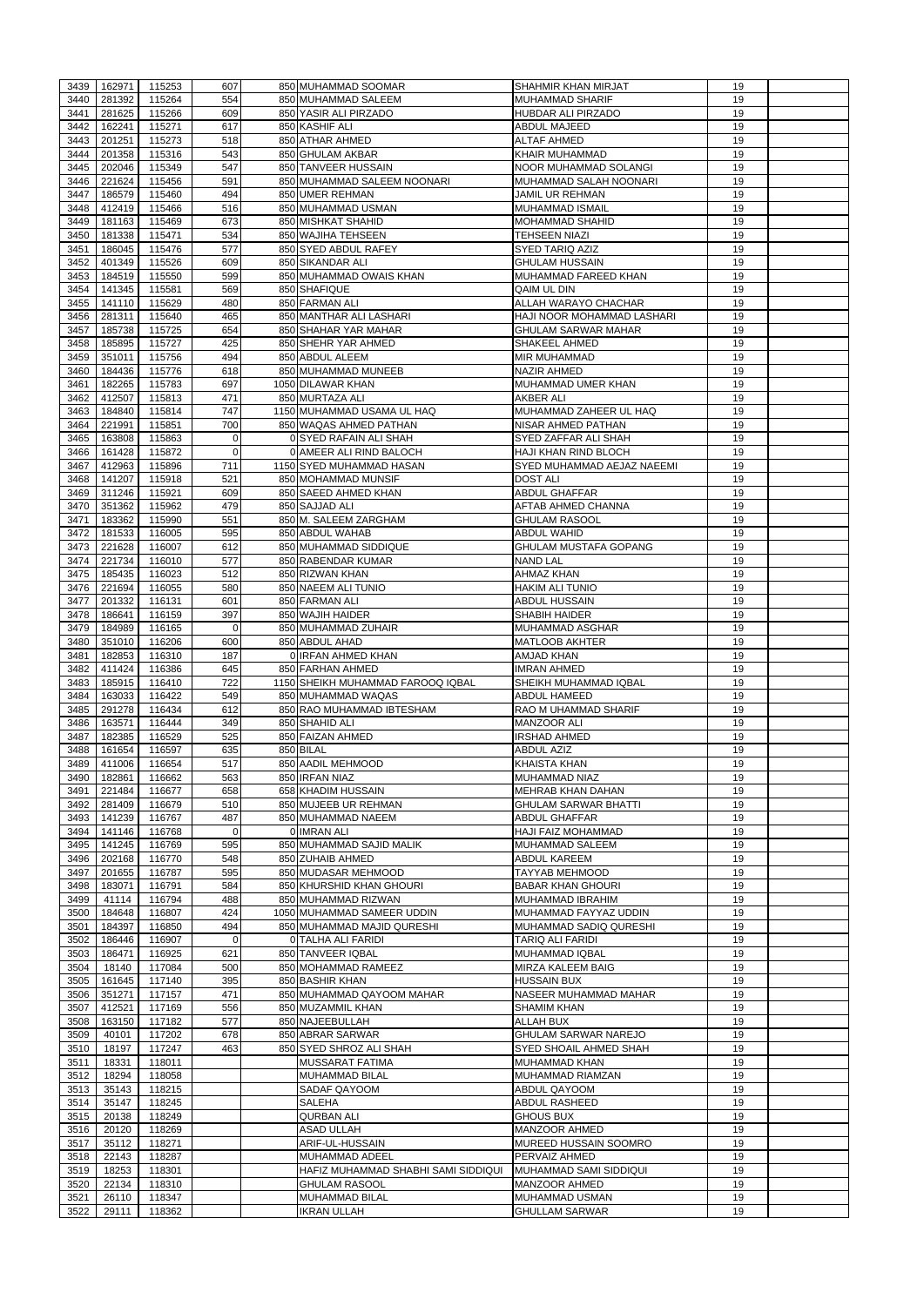| 3439         | 162971           | 115253           | 607            | 850 MUHAMMAD SOOMAR                     | <b>SHAHMIR KHAN MIRJAT</b>                          | 19       |  |
|--------------|------------------|------------------|----------------|-----------------------------------------|-----------------------------------------------------|----------|--|
| 3440         |                  |                  | 554            |                                         |                                                     |          |  |
|              | 281392           | 115264           |                | 850 MUHAMMAD SALEEM                     | <b>MUHAMMAD SHARIF</b><br><b>HUBDAR ALI PIRZADO</b> | 19       |  |
| 3441<br>3442 | 281625           | 115266           | 609            | 850 YASIR ALI PIRZADO                   |                                                     | 19       |  |
|              | 162241           | 115271           | 617            | 850 KASHIF ALI                          | <b>ABDUL MAJEED</b>                                 | 19       |  |
| 3443         | 201251           | 115273           | 518<br>543     | 850 ATHAR AHMED                         | <b>ALTAF AHMED</b>                                  | 19       |  |
| 3444<br>3445 | 201358<br>202046 | 115316<br>115349 | 547            | 850 GHULAM AKBAR<br>850 TANVEER HUSSAIN | <b>KHAIR MUHAMMAD</b><br>NOOR MUHAMMAD SOLANGI      | 19<br>19 |  |
| 3446         | 221624           | 115456           | 591            | 850 MUHAMMAD SALEEM NOONARI             | MUHAMMAD SALAH NOONARI                              | 19       |  |
| 3447         | 186579           | 115460           | 494            | 850 UMER REHMAN                         | <b>JAMIL UR REHMAN</b>                              | 19       |  |
| 3448         | 412419           | 115466           | 516            | 850 MUHAMMAD USMAN                      | <b>MUHAMMAD ISMAIL</b>                              | 19       |  |
| 3449         | 181163           | 115469           | 673            | 850 MISHKAT SHAHID                      | <b>MOHAMMAD SHAHID</b>                              | 19       |  |
| 3450         | 181338           | 115471           | 534            | 850 WAJIHA TEHSEEN                      | <b>TEHSEEN NIAZI</b>                                | 19       |  |
| 3451         | 186045           | 115476           | 577            | 850 SYED ABDUL RAFEY                    | <b>SYED TARIQ AZIZ</b>                              | 19       |  |
| 3452         | 401349           | 115526           | 609            | 850 SIKANDAR ALI                        | <b>GHULAM HUSSAIN</b>                               | 19       |  |
| 3453         | 184519           | 115550           | 599            | 850 MUHAMMAD OWAIS KHAN                 | MUHAMMAD FAREED KHAN                                | 19       |  |
| 3454         | 141345           | 115581           | 569            | 850 SHAFIQUE                            | QAIM UL DIN                                         | 19       |  |
| 3455         | 141110           | 115629           | 480            | 850 FARMAN ALI                          | ALLAH WARAYO CHACHAR                                | 19       |  |
| 3456         | 281311           | 115640           | 465            | 850 MANTHAR ALI LASHARI                 | HAJI NOOR MOHAMMAD LASHARI                          | 19       |  |
| 3457         | 185738           | 115725           | 654            | 850 SHAHAR YAR MAHAR                    | <b>GHULAM SARWAR MAHAR</b>                          | 19       |  |
| 3458         | 185895           | 115727           | 425            | 850 SHEHR YAR AHMED                     | <b>SHAKEEL AHMED</b>                                | 19       |  |
| 3459         | 351011           | 115756           | 494            | 850 ABDUL ALEEM                         | <b>MIR MUHAMMAD</b>                                 | 19       |  |
|              |                  | 115776           |                | 850 MUHAMMAD MUNEEB                     |                                                     |          |  |
| 3460         | 184436           |                  | 618            |                                         | <b>NAZIR AHMED</b>                                  | 19       |  |
| 3461         | 182265           | 115783           | 697            | 1050 DILAWAR KHAN                       | MUHAMMAD UMER KHAN                                  | 19       |  |
| 3462         | 412507           | 115813           | 471            | 850 MURTAZA ALI                         | AKBER ALI                                           | 19       |  |
| 3463         | 184840           | 115814           | 747            | 1150 MUHAMMAD USAMA UL HAQ              | MUHAMMAD ZAHEER UL HAQ                              | 19       |  |
| 3464         | 221991           | 115851           | 700            | 850 WAQAS AHMED PATHAN                  | NISAR AHMED PATHAN                                  | 19       |  |
| 3465         | 163808           | 115863           | $\overline{0}$ | 0 SYED RAFAIN ALI SHAH                  | SYED ZAFFAR ALI SHAH                                | 19       |  |
| 3466         | 161428           | 115872           | $\overline{0}$ | 0 AMEER ALI RIND BALOCH                 | HAJI KHAN RIND BLOCH                                | 19       |  |
| 3467         | 412963           | 115896           | 711            | 1150 SYED MUHAMMAD HASAN                | SYED MUHAMMAD AEJAZ NAEEMI                          | 19       |  |
| 3468         | 141207           | 115918           | 521            | 850 MOHAMMAD MUNSIF                     | <b>DOST ALI</b>                                     | 19       |  |
| 3469         | 311246           | 115921           | 609            | 850 SAEED AHMED KHAN                    | <b>ABDUL GHAFFAR</b>                                | 19       |  |
| 3470         | 351362           | 115962           | 479            | 850 SAJJAD ALI                          | AFTAB AHMED CHANNA                                  | 19       |  |
| 3471         | 183362           | 115990           | 551            | 850 M. SALEEM ZARGHAM                   | <b>GHULAM RASOOL</b>                                | 19       |  |
| 3472         | 181533           | 116005           | 595            | 850 ABDUL WAHAB                         | <b>ABDUL WAHID</b>                                  | 19       |  |
| 3473         | 221628           | 116007           | 612            | 850 MUHAMMAD SIDDIQUE                   | <b>GHULAM MUSTAFA GOPANG</b>                        | 19       |  |
| 3474         | 221734           | 116010           | 577            | 850 RABENDAR KUMAR                      | <b>NAND LAL</b>                                     | 19       |  |
| 3475         | 185435           | 116023           | 512            | 850 RIZWAN KHAN                         | <b>AHMAZ KHAN</b>                                   | 19       |  |
| 3476         | 221694           | 116055           | 580            | 850 NAEEM ALI TUNIO                     | <b>HAKIM ALI TUNIO</b>                              | 19       |  |
| 3477         | 201332           | 116131           | 601            | 850 FARMAN ALI                          | ABDUL HUSSAIN                                       | 19       |  |
| 3478         | 186641           | 116159           | 397            | 850 WAJIH HAIDER                        | <b>SHABIH HAIDER</b>                                | 19       |  |
| 3479         | 184989           | 116165           | $\Omega$       | 850 MUHAMMAD ZUHAIR                     | <b>MUHAMMAD ASGHAR</b>                              | 19       |  |
| 3480         | 351010           | 116206           | 600            | 850 ABDUL AHAD                          | <b>MATLOOB AKHTER</b>                               | 19       |  |
| 3481         | 182853           | 116310           | 187            | 0 IRFAN AHMED KHAN                      | <b>AMJAD KHAN</b>                                   | 19       |  |
| 3482         | 411424           | 116386           | 645            | 850 FARHAN AHMED                        | <b>IMRAN AHMED</b>                                  | 19       |  |
| 3483         | 185915           | 116410           | 722            | 1150 SHEIKH MUHAMMAD FAROOQ IQBAL       | SHEIKH MUHAMMAD IQBAL                               | 19       |  |
| 3484         | 163033           | 116422           | 549            | 850 MUHAMMAD WAQAS                      | <b>ABDUL HAMEED</b>                                 | 19       |  |
| 3485         | 291278           | 116434           | 612            | 850 RAO MUHAMMAD IBTESHAM               | RAO M UHAMMAD SHARIF                                | 19       |  |
| 3486         | 163571           | 116444           | 349            | 850 SHAHID ALI                          | <b>MANZOOR ALI</b>                                  | 19       |  |
| 3487         | 182385           | 116529           | 525            | 850 FAIZAN AHMED                        | <b>IRSHAD AHMED</b>                                 | 19       |  |
| 3488         | 161654           | 116597           | 635            | 850 BILAL                               | <b>ABDUL AZIZ</b>                                   | 19       |  |
| 3489         | 411006           | 116654           | 517            | 850 AADIL MEHMOOD                       | <b>KHAISTA KHAN</b>                                 | 19       |  |
| 3490         | 182861           | 116662           | 563            | 850 IRFAN NIAZ                          | <b>MUHAMMAD NIAZ</b>                                | 19       |  |
| 3491         | 221484           | 116677           | 658            | 658 KHADIM HUSSAIN                      | <b>MEHRAB KHAN DAHAN</b>                            | 19       |  |
| 3492         | 281409           | 116679           | 510            | 850 MUJEEB UR REHMAN                    | <b>GHULAM SARWAR BHATTI</b>                         | 19       |  |
| 3493         | 141239           | 116767           | 487            | 850 MUHAMMAD NAEEM                      | <b>ABDUL GHAFFAR</b>                                | 19       |  |
| 3494         | 141146           | 116768           | $\overline{0}$ | 0 IMRAN ALI                             | HAJI FAIZ MOHAMMAD                                  | 19       |  |
| 3495         | 141245           | 116769           | 595            | 850 MUHAMMAD SAJID MALIK                | MUHAMMAD SALEEM                                     | 19       |  |
| 3496         | 202168           | 116770           | 548            | 850 ZUHAIB AHMED                        | <b>ABDUL KAREEM</b>                                 | 19       |  |
| 3497         | 201655           | 116787           | 595            | 850 MUDASAR MEHMOOD                     | <b>TAYYAB MEHMOOD</b>                               | 19       |  |
| 3498         | 183071           | 116791           | 584            | 850 KHURSHID KHAN GHOURI                | <b>BABAR KHAN GHOURI</b>                            | 19       |  |
| 3499         | 41114            | 116794           | 488            | 850 MUHAMMAD RIZWAN                     | <b>MUHAMMAD IBRAHIM</b>                             | 19       |  |
| 3500         | 184648           | 116807           | 424            | 1050 MUHAMMAD SAMEER UDDIN              | MUHAMMAD FAYYAZ UDDIN                               | 19       |  |
| 3501         | 184397           | 116850           | 494            | 850 MUHAMMAD MAJID QURESHI              | MUHAMMAD SADIQ QURESHI                              | 19       |  |
| 3502         | 186446           | 116907           | $\overline{0}$ | 0 TALHA ALI FARIDI                      | <b>TARIQ ALI FARIDI</b>                             | 19       |  |
| 3503         | 186471           | 116925           | 621            | 850 TANVEER IQBAL                       | MUHAMMAD IQBAL                                      | 19       |  |
| 3504         | 18140            | 117084           | 500            | 850 MOHAMMAD RAMEEZ                     | <b>MIRZA KALEEM BAIG</b>                            | 19       |  |
| 3505         | 161645           | 117140           | 395            | 850 BASHIR KHAN                         | <b>HUSSAIN BUX</b>                                  | 19       |  |
| 3506         | 351271           | 117157           | 471            | 850 MUHAMMAD QAYOOM MAHAR               | NASEER MUHAMMAD MAHAR                               | 19       |  |
| 3507         | 412521           | 117169           | 556            | 850 MUZAMMIL KHAN                       | <b>SHAMIM KHAN</b>                                  | 19       |  |
| 3508         | 163150           | 117182           | 577            | 850 NAJEEBULLAH                         | <b>ALLAH BUX</b>                                    | 19       |  |
| 3509         | 40101            | 117202           | 678            | 850 ABRAR SARWAR                        | <b>GHULAM SARWAR NAREJO</b>                         | 19       |  |
| 3510         | 18197            | 117247           | 463            | 850 SYED SHROZ ALI SHAH                 | SYED SHOAIL AHMED SHAH                              | 19       |  |
| 3511         | 18331            | 118011           |                | <b>MUSSARAT FATIMA</b>                  | <b>MUHAMMAD KHAN</b>                                | 19       |  |
| 3512         | 18294            | 118058           |                | <b>MUHAMMAD BILAL</b>                   | MUHAMMAD RIAMZAN                                    | 19       |  |
| 3513         | 35143            | 118215           |                | SADAF QAYOOM                            | ABDUL QAYOOM                                        | 19       |  |
| 3514         | 35147            | 118245           |                | <b>SALEHA</b>                           | <b>ABDUL RASHEED</b>                                | 19       |  |
| 3515         | 20138            | 118249           |                | <b>QURBAN ALI</b>                       | <b>GHOUS BUX</b>                                    | 19       |  |
| 3516         | 20120            | 118269           |                | ASAD ULLAH                              | <b>MANZOOR AHMED</b>                                | 19       |  |
| 3517         | 35112            | 118271           |                | ARIF-UL-HUSSAIN                         | MUREED HUSSAIN SOOMRO                               | 19       |  |
| 3518         | 22143            | 118287           |                | MUHAMMAD ADEEL                          | <b>PERVAIZ AHMED</b>                                | 19       |  |
| 3519         | 18253            | 118301           |                | HAFIZ MUHAMMAD SHABHI SAMI SIDDIQUI     | MUHAMMAD SAMI SIDDIQUI                              | 19       |  |
| 3520         | 22134            | 118310           |                | <b>GHULAM RASOOL</b>                    | <b>MANZOOR AHMED</b>                                | 19       |  |
| 3521         | 26110            | 118347           |                | <b>MUHAMMAD BILAL</b>                   | MUHAMMAD USMAN                                      | 19       |  |
| 3522         | 29111            | 118362           |                | <b>IKRAN ULLAH</b>                      | <b>GHULLAM SARWAR</b>                               | 19       |  |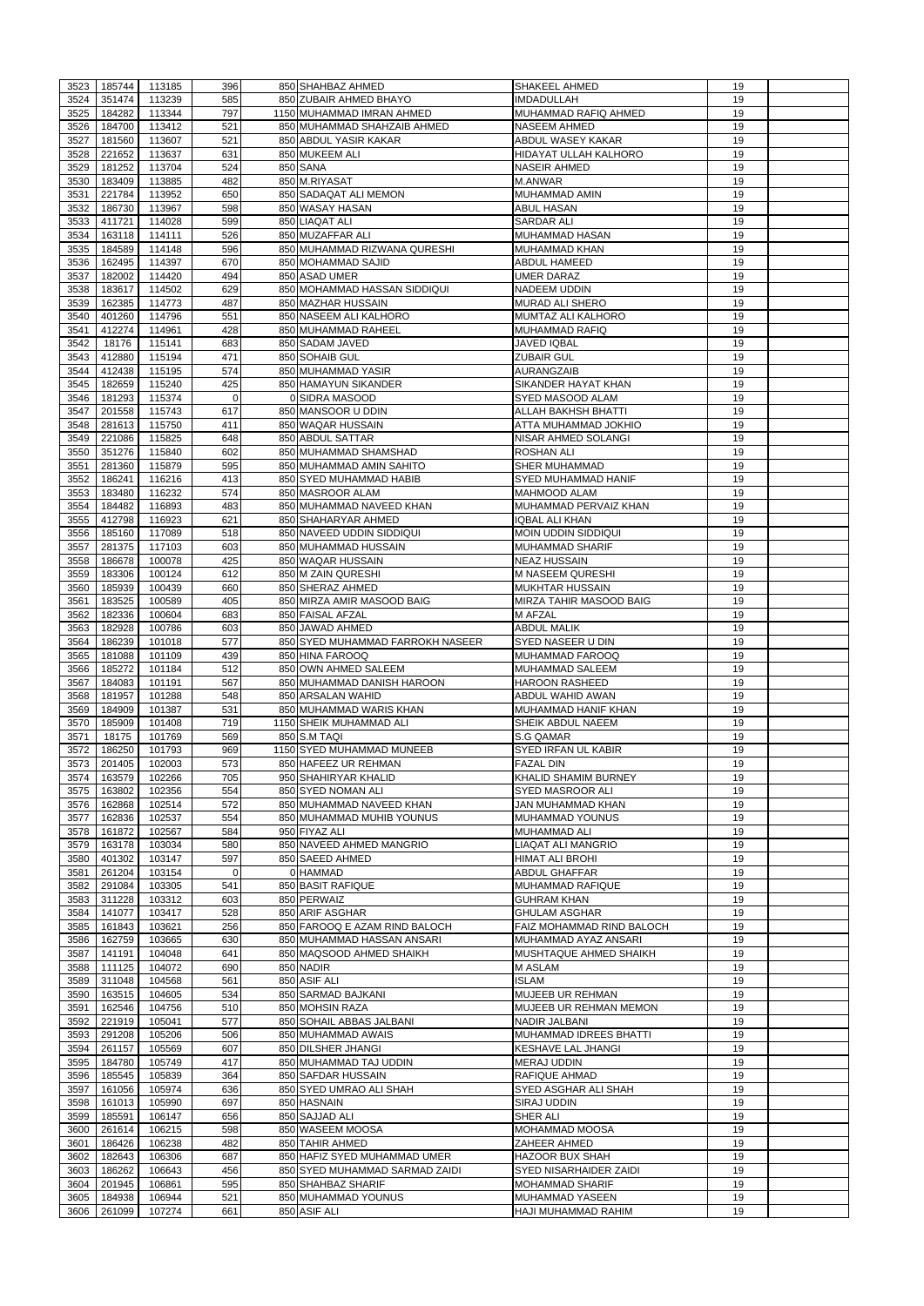| 3523         | 185744           | 113185           | 396            | 850 SHAHBAZ AHMED                   | <b>SHAKEEL AHMED</b>                   | 19       |  |
|--------------|------------------|------------------|----------------|-------------------------------------|----------------------------------------|----------|--|
|              |                  |                  |                |                                     |                                        |          |  |
| 3524         | 351474           | 113239           | 585            | 850 ZUBAIR AHMED BHAYO              | <b>IMDADULLAH</b>                      | 19       |  |
| 3525         | 184282           | 113344           | 797            | 1150 MUHAMMAD IMRAN AHMED           | MUHAMMAD RAFIQ AHMED                   | 19       |  |
| 3526         | 184700           | 113412           | 521            | 850 MUHAMMAD SHAHZAIB AHMED         | <b>NASEEM AHMED</b>                    | 19       |  |
| 3527         | 181560           | 113607           | 521            | 850 ABDUL YASIR KAKAR               | ABDUL WASEY KAKAR                      | 19       |  |
| 3528         | 221652           | 113637           | 631            | 850 MUKEEM ALI                      | HIDAYAT ULLAH KALHORO                  | 19       |  |
|              |                  |                  |                |                                     |                                        |          |  |
| 3529         | 181252           | 113704           | 524            | 850 SANA                            | <b>NASEIR AHMED</b>                    | 19       |  |
| 3530         | 183409           | 113885           | 482            | 850 M.RIYASAT                       | M.ANWAR                                | 19       |  |
| 3531         | 221784           | 113952           | 650            | 850 SADAQAT ALI MEMON               | MUHAMMAD AMIN                          | 19       |  |
| 3532         | 186730           | 113967           | 598            | 850 WASAY HASAN                     | <b>ABUL HASAN</b>                      | 19       |  |
|              |                  |                  |                |                                     |                                        |          |  |
| 3533         | 411721           | 114028           | 599            | 850 LIAQAT ALI                      | <b>SARDAR ALI</b>                      | 19       |  |
| 3534         | 163118           | 114111           | 526            | 850 MUZAFFAR ALI                    | <b>MUHAMMAD HASAN</b>                  | 19       |  |
| 3535         | 184589           | 114148           | 596            | 850 MUHAMMAD RIZWANA QURESHI        | MUHAMMAD KHAN                          | 19       |  |
| 3536         | 162495           | 114397           | 670            | 850 MOHAMMAD SAJID                  | <b>ABDUL HAMEED</b>                    | 19       |  |
| 3537         | 182002           | 114420           | 494            | 850 ASAD UMER                       | <b>UMER DARAZ</b>                      | 19       |  |
|              |                  |                  |                |                                     |                                        |          |  |
| 3538         | 183617           | 114502           | 629            | 850 MOHAMMAD HASSAN SIDDIQUI        | <b>NADEEM UDDIN</b>                    | 19       |  |
| 3539         | 162385           | 114773           | 487            | 850 MAZHAR HUSSAIN                  | <b>MURAD ALI SHERO</b>                 | 19       |  |
| 3540         | 401260           | 114796           | 551            | 850 NASEEM ALI KALHORO              | MUMTAZ ALI KALHORO                     | 19       |  |
| 3541         | 412274           | 114961           | 428            | 850 MUHAMMAD RAHEEL                 | <b>MUHAMMAD RAFIQ</b>                  | 19       |  |
| 3542         | 18176            | 115141           | 683            | 850 SADAM JAVED                     | <b>JAVED IQBAL</b>                     | 19       |  |
|              |                  |                  |                |                                     |                                        |          |  |
| 3543         | 412880           | 115194           | 471            | 850 SOHAIB GUL                      | <b>ZUBAIR GUL</b>                      | 19       |  |
| 3544         | 412438           | 115195           | 574            | 850 MUHAMMAD YASIR                  | <b>AURANGZAIB</b>                      | 19       |  |
| 3545         | 182659           | 115240           | 425            | 850 HAMAYUN SIKANDER                | SIKANDER HAYAT KHAN                    | 19       |  |
| 3546         | 181293           | 115374           | $\overline{0}$ | 0 SIDRA MASOOD                      | SYED MASOOD ALAM                       | 19       |  |
|              |                  |                  |                |                                     |                                        |          |  |
| 3547         | 201558           | 115743           | 617            | 850 MANSOOR U DDIN                  | <b>ALLAH BAKHSH BHATTI</b>             | 19       |  |
| 3548         | 281613           | 115750           | 411            | 850 WAQAR HUSSAIN                   | ATTA MUHAMMAD JOKHIO                   | 19       |  |
| 3549         | 221086           | 115825           | 648            | 850 ABDUL SATTAR                    | NISAR AHMED SOLANGI                    | 19       |  |
| 3550         | 351276           | 115840           | 602            | 850 MUHAMMAD SHAMSHAD               | <b>ROSHAN ALI</b>                      | 19       |  |
| 3551         | 281360           | 115879           | 595            | 850 MUHAMMAD AMIN SAHITO            | <b>SHER MUHAMMAD</b>                   | 19       |  |
|              |                  |                  |                |                                     |                                        |          |  |
| 3552         | 186241           | 116216           | 413            | 850 SYED MUHAMMAD HABIB             | <b>SYED MUHAMMAD HANIF</b>             | 19       |  |
| 3553         | 183480           | 116232           | 574            | 850 MASROOR ALAM                    | <b>MAHMOOD ALAM</b>                    | 19       |  |
| 3554         | 184482           | 116893           | 483            | 850 MUHAMMAD NAVEED KHAN            | MUHAMMAD PERVAIZ KHAN                  | 19       |  |
| 3555         | 412798           | 116923           | 621            | 850 SHAHARYAR AHMED                 | <b>IQBAL ALI KHAN</b>                  | 19       |  |
| 3556         | 185160           | 117089           | 518            | 850 NAVEED UDDIN SIDDIQUI           | <b>MOIN UDDIN SIDDIQUI</b>             | 19       |  |
|              |                  |                  |                |                                     |                                        |          |  |
| 3557         | 281375           | 117103           | 603            | 850 MUHAMMAD HUSSAIN                | <b>MUHAMMAD SHARIF</b>                 | 19       |  |
| 3558         | 186678           | 100078           | 425            | 850 WAQAR HUSSAIN                   | <b>NEAZ HUSSAIN</b>                    | 19       |  |
| 3559         | 183306           | 100124           | 612            | 850 M ZAIN QURESHI                  | <b>M NASEEM QURESHI</b>                | 19       |  |
| 3560         | 185939           | 100439           | 660            | 850 SHERAZ AHMED                    | <b>MUKHTAR HUSSAIN</b>                 | 19       |  |
|              |                  |                  | 405            | 850 MIRZA AMIR MASOOD BAIG          | MIRZA TAHIR MASOOD BAIG                | 19       |  |
| 3561         | 183525           | 100589           |                |                                     |                                        |          |  |
| 3562         | 182336           | 100604           | 683            | 850 FAISAL AFZAL                    | M AFZAL                                | 19       |  |
| 3563         | 182928           | 100786           | 603            | 850 JAWAD AHMED                     | <b>ABDUL MALIK</b>                     | 19       |  |
| 3564         | 186239           | 101018           | 577            | 850 SYED MUHAMMAD FARROKH NASEER    | SYED NASEER U DIN                      | 19       |  |
| 3565         | 181088           | 101109           | 439            | 850 HINA FAROOQ                     | <b>MUHAMMAD FAROOQ</b>                 | 19       |  |
|              |                  |                  |                | 850 OWN AHMED SALEEM                |                                        |          |  |
| 3566         | 185272           | 101184           | 512            |                                     | MUHAMMAD SALEEM                        | 19       |  |
| 3567         | 184083           | 101191           | 567            | 850 MUHAMMAD DANISH HAROON          | <b>HAROON RASHEED</b>                  | 19       |  |
| 3568         | 181957           | 101288           | 548            | 850 ARSALAN WAHID                   | ABDUL WAHID AWAN                       | 19       |  |
| 3569         | 184909           | 101387           | 531            | 850 MUHAMMAD WARIS KHAN             | MUHAMMAD HANIF KHAN                    | 19       |  |
| 3570         | 185909           | 101408           | 719            | 1150 SHEIK MUHAMMAD ALI             | <b>SHEIK ABDUL NAEEM</b>               | 19       |  |
|              |                  |                  |                |                                     |                                        |          |  |
| 3571         | 18175            | 101769           | 569            | 850 S.M TAQI                        | S.G QAMAR                              | 19       |  |
| 3572         | 186250           | 101793           | 969            | 1150 SYED MUHAMMAD MUNEEB           | SYED IRFAN UL KABIR                    | 19       |  |
| 3573         | 201405           | 102003           | 573            | 850 HAFEEZ UR REHMAN                | <b>FAZAL DIN</b>                       | 19       |  |
| 3574         | 163579           | 102266           | 705            | 950 SHAHIRYAR KHALID                | KHALID SHAMIM BURNEY                   | 19       |  |
| 3575         | 163802           | 102356           | 554            | 850 SYED NOMAN ALI                  | <b>SYED MASROOR ALI</b>                | 19       |  |
|              |                  |                  |                |                                     |                                        |          |  |
| 3576         | 162868           | 102514           | 572            | 850 MUHAMMAD NAVEED KHAN            | JAN MUHAMMAD KHAN                      | 19       |  |
| 3577         | 162836           | 102537           | 554            | 850 MUHAMMAD MUHIB YOUNUS           | MUHAMMAD YOUNUS                        | 19       |  |
| 3578         | 161872           | 102567           | 584            | 950 FIYAZ ALI                       | MUHAMMAD ALI                           | 19       |  |
| 3579         | 163178           | 103034           | 580            | 850 NAVEED AHMED MANGRIO            | LIAQAT ALI MANGRIO                     | 19       |  |
| 3580         | 401302           | 103147           | 597            | 850 SAEED AHMED                     | HIMAT ALI BROHI                        | 19       |  |
|              |                  |                  |                |                                     |                                        |          |  |
| 3581         | 261204           | 103154           | 0              | <b>OHAMMAD</b>                      | <b>ABDUL GHAFFAR</b>                   | 19       |  |
| 3582         | 291084           | 103305           | 541            | 850 BASIT RAFIQUE                   | <b>MUHAMMAD RAFIQUE</b>                | 19       |  |
| 3583         | 311228           |                  |                |                                     |                                        |          |  |
|              |                  | 103312           | 603            | 850 PERWAIZ                         | <b>GUHRAM KHAN</b>                     | 19       |  |
|              |                  |                  |                |                                     |                                        |          |  |
| 3584         | 141077           | 103417           | 528            | 850 ARIF ASGHAR                     | <b>GHULAM ASGHAR</b>                   | 19       |  |
| 3585         | 161843           | 103621           | 256            | 850 FAROOQ E AZAM RIND BALOCH       | FAIZ MOHAMMAD RIND BALOCH              | 19       |  |
| 3586         | 162759           | 103665           | 630            | 850 MUHAMMAD HASSAN ANSARI          | MUHAMMAD AYAZ ANSARI                   | 19       |  |
| 3587         | 141191           | 104048           | 641            | 850 MAQSOOD AHMED SHAIKH            | MUSHTAQUE AHMED SHAIKH                 | 19       |  |
| 3588         | 111125           | 104072           | 690            | 850 NADIR                           | <b>M ASLAM</b>                         | 19       |  |
|              |                  |                  |                |                                     | <b>ISLAM</b>                           |          |  |
| 3589         | 311048           | 104568           | 561            | 850 ASIF ALI                        |                                        | 19       |  |
| 3590         | 163515           | 104605           | 534            | 850 SARMAD BAJKANI                  | <b>MUJEEB UR REHMAN</b>                | 19       |  |
| 3591         | 162546           | 104756           | 510            | 850 MOHSIN RAZA                     | MUJEEB UR REHMAN MEMON                 | 19       |  |
| 3592         | 221919           | 105041           | 577            | 850 SOHAIL ABBAS JALBANI            | <b>NADIR JALBANI</b>                   | 19       |  |
| 3593         | 291208           | 105206           | 506            |                                     | <b>MUHAMMAD IDREES BHATTI</b>          | 19       |  |
|              |                  |                  |                | 850 MUHAMMAD AWAIS                  |                                        |          |  |
| 3594         | 261157           | 105569           | 607            | 850 DILSHER JHANGI                  | <b>KESHAVE LAL JHANGI</b>              | 19       |  |
|              | 3595 184780      | 105749           | 417            | 850 MUHAMMAD TAJ UDDIN              | MERAJ UDDIN                            | 19       |  |
| 3596         | 185545           | 105839           | 364            | 850 SAFDAR HUSSAIN                  | <b>RAFIQUE AHMAD</b>                   | 19       |  |
| 3597         | 161056           | 105974           | 636            | 850 SYED UMRAO ALI SHAH             | SYED ASGHAR ALI SHAH                   | 19       |  |
|              | 161013           |                  |                |                                     | SIRAJ UDDIN                            |          |  |
| 3598         |                  | 105990           | 697            | 850 HASNAIN                         |                                        | 19       |  |
| 3599         | 185591           | 106147           | 656            | 850 SAJJAD ALI                      | <b>SHER ALI</b>                        | 19       |  |
| 3600         | 261614           | 106215           | 598            | 850 WASEEM MOOSA                    | <b>MOHAMMAD MOOSA</b>                  | 19       |  |
| 3601         | 186426           | 106238           | 482            | 850 TAHIR AHMED                     | ZAHEER AHMED                           | 19       |  |
| 3602         | 182643           | 106306           | 687            | 850 HAFIZ SYED MUHAMMAD UMER        | <b>HAZOOR BUX SHAH</b>                 | 19       |  |
|              |                  |                  |                |                                     |                                        |          |  |
| 3603         | 186262           | 106643           | 456            | 850 SYED MUHAMMAD SARMAD ZAIDI      | <b>SYED NISARHAIDER ZAIDI</b>          | 19       |  |
| 3604         | 201945           | 106861           | 595            | 850 SHAHBAZ SHARIF                  | <b>MOHAMMAD SHARIF</b>                 | 19       |  |
| 3605<br>3606 | 184938<br>261099 | 106944<br>107274 | 521<br>661     | 850 MUHAMMAD YOUNUS<br>850 ASIF ALI | MUHAMMAD YASEEN<br>HAJI MUHAMMAD RAHIM | 19<br>19 |  |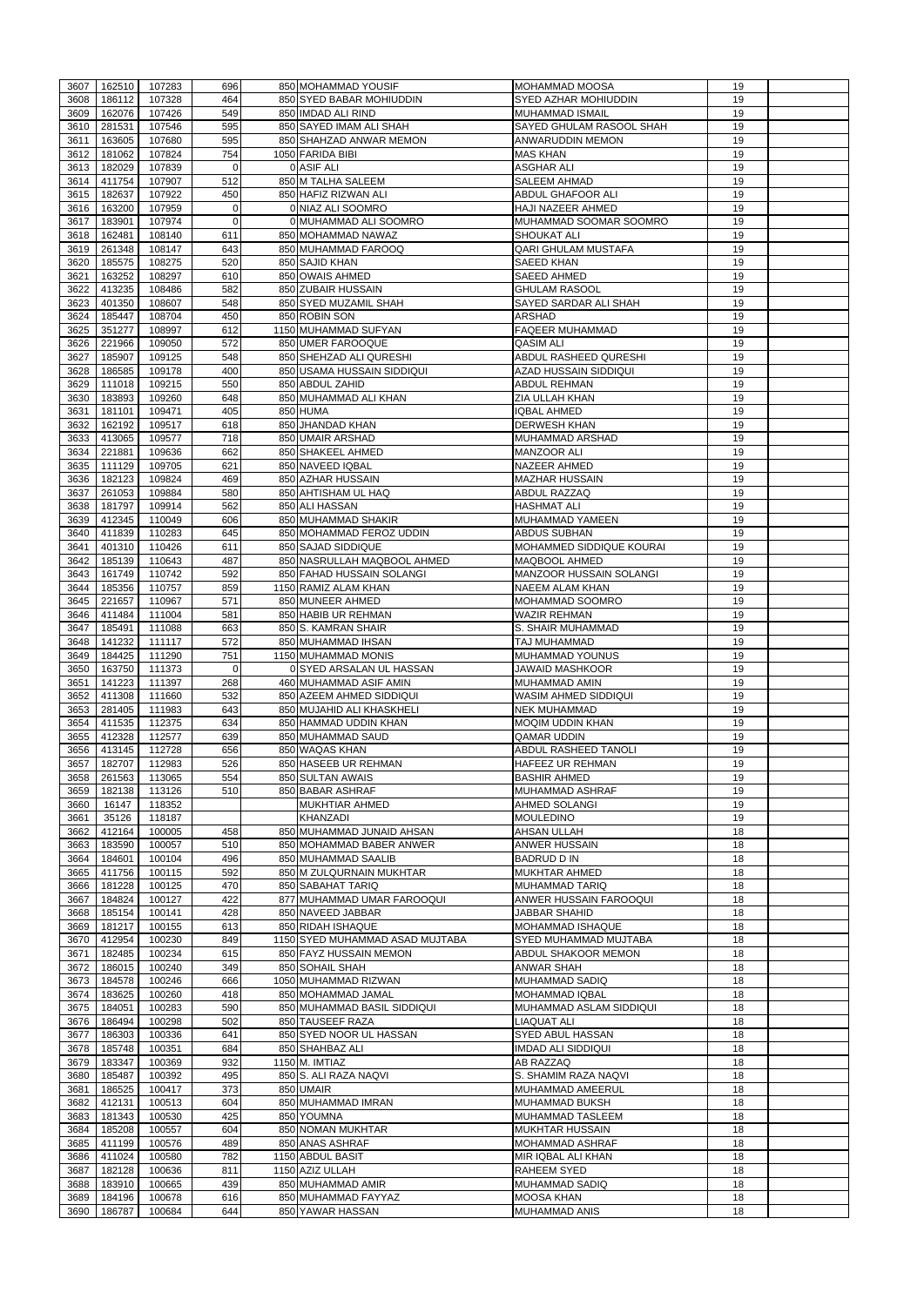| 3607 | 162510 | 107283 | 696            | 850 MOHAMMAD YOUSIF             | <b>MOHAMMAD MOOSA</b>           | 19 |  |
|------|--------|--------|----------------|---------------------------------|---------------------------------|----|--|
| 3608 | 186112 | 107328 | 464            | 850 SYED BABAR MOHIUDDIN        | <b>SYED AZHAR MOHIUDDIN</b>     | 19 |  |
| 3609 | 162076 | 107426 | 549            | 850 IMDAD ALI RIND              | <b>MUHAMMAD ISMAIL</b>          | 19 |  |
| 3610 | 281531 | 107546 | 595            | 850 SAYED IMAM ALI SHAH         | SAYED GHULAM RASOOL SHAH        | 19 |  |
|      |        |        |                |                                 |                                 |    |  |
| 3611 | 163605 | 107680 | 595            | 850 SHAHZAD ANWAR MEMON         | <b>ANWARUDDIN MEMON</b>         | 19 |  |
| 3612 | 181062 | 107824 | 754            | 1050 FARIDA BIBI                | <b>MAS KHAN</b>                 | 19 |  |
| 3613 | 182029 | 107839 | $\overline{0}$ | 0 ASIF ALI                      | <b>ASGHAR ALI</b>               | 19 |  |
| 3614 | 411754 | 107907 | 512            | 850 M TALHA SALEEM              | <b>SALEEM AHMAD</b>             | 19 |  |
| 3615 | 182637 | 107922 | 450            | 850 HAFIZ RIZWAN ALI            | ABDUL GHAFOOR ALI               | 19 |  |
| 3616 | 163200 | 107959 | 0              | 0 NIAZ ALI SOOMRO               | HAJI NAZEER AHMED               | 19 |  |
| 3617 | 183901 | 107974 | $\overline{0}$ | 0 MUHAMMAD ALI SOOMRO           | MUHAMMAD SOOMAR SOOMRO          | 19 |  |
| 3618 | 162481 | 108140 | 611            | 850 MOHAMMAD NAWAZ              | SHOUKAT ALI                     | 19 |  |
| 3619 | 261348 | 108147 | 643            | 850 MUHAMMAD FAROOQ             | <b>QARI GHULAM MUSTAFA</b>      | 19 |  |
| 3620 | 185575 | 108275 | 520            | 850 SAJID KHAN                  | <b>SAEED KHAN</b>               | 19 |  |
| 3621 | 163252 | 108297 | 610            | 850 OWAIS AHMED                 | <b>SAEED AHMED</b>              | 19 |  |
| 3622 | 413235 | 108486 | 582            | 850 ZUBAIR HUSSAIN              | <b>GHULAM RASOOL</b>            | 19 |  |
| 3623 | 401350 | 108607 | 548            | 850 SYED MUZAMIL SHAH           | SAYED SARDAR ALI SHAH           | 19 |  |
| 3624 | 185447 | 108704 | 450            | 850 ROBIN SON                   | <b>ARSHAD</b>                   | 19 |  |
| 3625 | 351277 | 108997 | 612            | 1150 MUHAMMAD SUFYAN            | <b>FAQEER MUHAMMAD</b>          | 19 |  |
| 3626 | 221966 | 109050 | 572            | 850 UMER FAROOQUE               | <b>QASIM ALI</b>                | 19 |  |
| 3627 | 185907 | 109125 | 548            | 850 SHEHZAD ALI QURESHI         | ABDUL RASHEED QURESHI           | 19 |  |
| 3628 | 186585 | 109178 | 400            | 850 USAMA HUSSAIN SIDDIQUI      | AZAD HUSSAIN SIDDIQUI           | 19 |  |
| 3629 | 111018 | 109215 | 550            | 850 ABDUL ZAHID                 | <b>ABDUL REHMAN</b>             | 19 |  |
| 3630 | 183893 | 109260 | 648            | 850 MUHAMMAD ALI KHAN           | ZIA ULLAH KHAN                  | 19 |  |
| 3631 | 181101 | 109471 | 405            | 850 HUMA                        | <b>IQBAL AHMED</b>              | 19 |  |
| 3632 | 162192 | 109517 | 618            | 850 JHANDAD KHAN                | <b>DERWESH KHAN</b>             | 19 |  |
| 3633 | 413065 | 109577 | 718            | 850 UMAIR ARSHAD                | <b>MUHAMMAD ARSHAD</b>          | 19 |  |
| 3634 | 221881 | 109636 | 662            | 850 SHAKEEL AHMED               | <b>MANZOOR ALI</b>              | 19 |  |
| 3635 | 111129 | 109705 | 621            | 850 NAVEED IQBAL                | <b>NAZEER AHMED</b>             | 19 |  |
| 3636 | 182123 | 109824 | 469            | 850 AZHAR HUSSAIN               | <b>MAZHAR HUSSAIN</b>           | 19 |  |
| 3637 | 261053 | 109884 | 580            | 850 AHTISHAM UL HAQ             | <b>ABDUL RAZZAQ</b>             | 19 |  |
| 3638 | 181797 | 109914 | 562            | 850 ALI HASSAN                  | <b>HASHMAT ALI</b>              | 19 |  |
| 3639 | 412345 | 110049 | 606            | 850 MUHAMMAD SHAKIR             | MUHAMMAD YAMEEN                 | 19 |  |
| 3640 | 411839 | 110283 | 645            | 850 MOHAMMAD FEROZ UDDIN        | ABDUS SUBHAN                    | 19 |  |
| 3641 | 401310 | 110426 | 611            | 850 SAJAD SIDDIQUE              | <b>MOHAMMED SIDDIQUE KOURAI</b> | 19 |  |
| 3642 | 185139 | 110643 | 487            | 850 NASRULLAH MAQBOOL AHMED     | <b>MAQBOOL AHMED</b>            | 19 |  |
| 3643 | 161749 | 110742 | 592            | 850 FAHAD HUSSAIN SOLANGI       | <b>MANZOOR HUSSAIN SOLANGI</b>  | 19 |  |
| 3644 | 185356 | 110757 | 859            | 1150 RAMIZ ALAM KHAN            | <b>NAEEM ALAM KHAN</b>          | 19 |  |
| 3645 | 221657 | 110967 | 571            | 850 MUNEER AHMED                | <b>MOHAMMAD SOOMRO</b>          | 19 |  |
| 3646 | 411484 | 111004 | 581            | 850 HABIB UR REHMAN             | <b>WAZIR REHMAN</b>             | 19 |  |
| 3647 | 185491 | 111088 | 663            | 850 S. KAMRAN SHAIR             | S. SHAIR MUHAMMAD               | 19 |  |
| 3648 | 141232 | 111117 | 572            | 850 MUHAMMAD IHSAN              | TAJ MUHAMMAD                    | 19 |  |
| 3649 | 184425 | 111290 | 751            | 1150 MUHAMMAD MONIS             | MUHAMMAD YOUNUS                 | 19 |  |
| 3650 | 163750 | 111373 | $\Omega$       | 0 SYED ARSALAN UL HASSAN        | <b>JAWAID MASHKOOR</b>          | 19 |  |
| 3651 | 141223 | 111397 | 268            | 460 MUHAMMAD ASIF AMIN          | MUHAMMAD AMIN                   | 19 |  |
| 3652 | 411308 | 111660 | 532            | 850 AZEEM AHMED SIDDIQUI        | <b>WASIM AHMED SIDDIQUI</b>     | 19 |  |
| 3653 | 281405 | 111983 | 643            | 850 MUJAHID ALI KHASKHELI       | <b>NEK MUHAMMAD</b>             | 19 |  |
| 3654 | 411535 | 112375 | 634            | 850 HAMMAD UDDIN KHAN           | <b>MOQIM UDDIN KHAN</b>         | 19 |  |
| 3655 | 412328 | 112577 | 639            | 850 MUHAMMAD SAUD               | QAMAR UDDIN                     | 19 |  |
| 3656 | 413145 | 112728 | 656            | 850 WAQAS KHAN                  | ABDUL RASHEED TANOLI            | 19 |  |
| 3657 | 182707 | 112983 | 526            | 850 HASEEB UR REHMAN            | HAFEEZ UR REHMAN                | 19 |  |
| 3658 | 261563 | 113065 | 554            | 850 SULTAN AWAIS                | <b>BASHIR AHMED</b>             | 19 |  |
| 3659 | 182138 | 113126 | 510            | 850 BABAR ASHRAF                | <b>MUHAMMAD ASHRAF</b>          | 19 |  |
| 3660 | 16147  | 118352 |                | <b>MUKHTIAR AHMED</b>           | AHMED SOLANGI                   | 19 |  |
| 3661 | 35126  | 118187 |                | KHANZADI                        | <b>MOULEDINO</b>                | 19 |  |
| 3662 | 412164 | 100005 | 458            | 850 MUHAMMAD JUNAID AHSAN       | AHSAN ULLAH                     | 18 |  |
| 3663 | 183590 | 100057 | 510            | 850 MOHAMMAD BABER ANWER        | ANWER HUSSAIN                   | 18 |  |
| 3664 | 184601 | 100104 | 496            | 850 MUHAMMAD SAALIB             | <b>BADRUD D IN</b>              | 18 |  |
| 3665 | 411756 | 100115 | 592            | 850 M ZULQURNAIN MUKHTAR        | <b>MUKHTAR AHMED</b>            | 18 |  |
| 3666 | 181228 | 100125 | 470            | 850 SABAHAT TARIQ               | <b>MUHAMMAD TARIQ</b>           | 18 |  |
| 3667 | 184824 | 100127 | 422            | 877 MUHAMMAD UMAR FAROOQUI      | ANWER HUSSAIN FAROOQUI          | 18 |  |
| 3668 | 185154 | 100141 | 428            | 850 NAVEED JABBAR               | <b>JABBAR SHAHID</b>            | 18 |  |
| 3669 |        |        |                | 850 RIDAH ISHAQUE               | <b>MOHAMMAD ISHAQUE</b>         | 18 |  |
| 3670 | 181217 | 100155 | 613            |                                 |                                 |    |  |
|      | 412954 | 100230 | 849            | 1150 SYED MUHAMMAD ASAD MUJTABA | <b>SYED MUHAMMAD MUJTABA</b>    | 18 |  |
| 3671 | 182485 | 100234 | 615            | 850 FAYZ HUSSAIN MEMON          | <b>ABDUL SHAKOOR MEMON</b>      | 18 |  |
| 3672 | 186015 | 100240 | 349            | 850 SOHAIL SHAH                 | <b>ANWAR SHAH</b>               | 18 |  |
| 3673 | 184578 | 100246 | 666            | 1050 MUHAMMAD RIZWAN            | <b>MUHAMMAD SADIQ</b>           | 18 |  |
| 3674 | 183625 | 100260 | 418            | 850 MOHAMMAD JAMAL              | <b>MOHAMMAD IQBAL</b>           | 18 |  |
| 3675 | 184051 | 100283 | 590            | 850 MUHAMMAD BASIL SIDDIQUI     | MUHAMMAD ASLAM SIDDIQUI         | 18 |  |
| 3676 | 186494 | 100298 | 502            | 850 TAUSEEF RAZA                | LIAQUAT ALI                     | 18 |  |
| 3677 | 186303 | 100336 | 641            | 850 SYED NOOR UL HASSAN         | SYED ABUL HASSAN                | 18 |  |
| 3678 | 185748 | 100351 | 684            | 850 SHAHBAZ ALI                 | <b>IMDAD ALI SIDDIQUI</b>       | 18 |  |
| 3679 | 183347 | 100369 | 932            | 1150 M. IMTIAZ                  | <b>AB RAZZAQ</b>                | 18 |  |
| 3680 | 185487 | 100392 | 495            | 850 S. ALI RAZA NAQVI           | S. SHAMIM RAZA NAQVI            | 18 |  |
| 3681 | 186525 | 100417 | 373            | 850 UMAIR                       | MUHAMMAD AMEERUL                | 18 |  |
| 3682 | 412131 | 100513 | 604            | 850 MUHAMMAD IMRAN              | MUHAMMAD BUKSH                  | 18 |  |
| 3683 | 181343 | 100530 | 425            | 850 YOUMNA                      | MUHAMMAD TASLEEM                | 18 |  |
| 3684 | 185208 | 100557 | 604            | 850 NOMAN MUKHTAR               | <b>MUKHTAR HUSSAIN</b>          | 18 |  |
| 3685 | 411199 | 100576 | 489            | 850 ANAS ASHRAF                 | <b>MOHAMMAD ASHRAF</b>          | 18 |  |
| 3686 | 411024 | 100580 | 782            | 1150 ABDUL BASIT                | MIR IQBAL ALI KHAN              | 18 |  |
| 3687 | 182128 | 100636 | 811            | 1150 AZIZ ULLAH                 | <b>RAHEEM SYED</b>              | 18 |  |
| 3688 | 183910 | 100665 | 439            | 850 MUHAMMAD AMIR               | <b>MUHAMMAD SADIQ</b>           | 18 |  |
| 3689 | 184196 | 100678 | 616            | 850 MUHAMMAD FAYYAZ             | <b>MOOSA KHAN</b>               | 18 |  |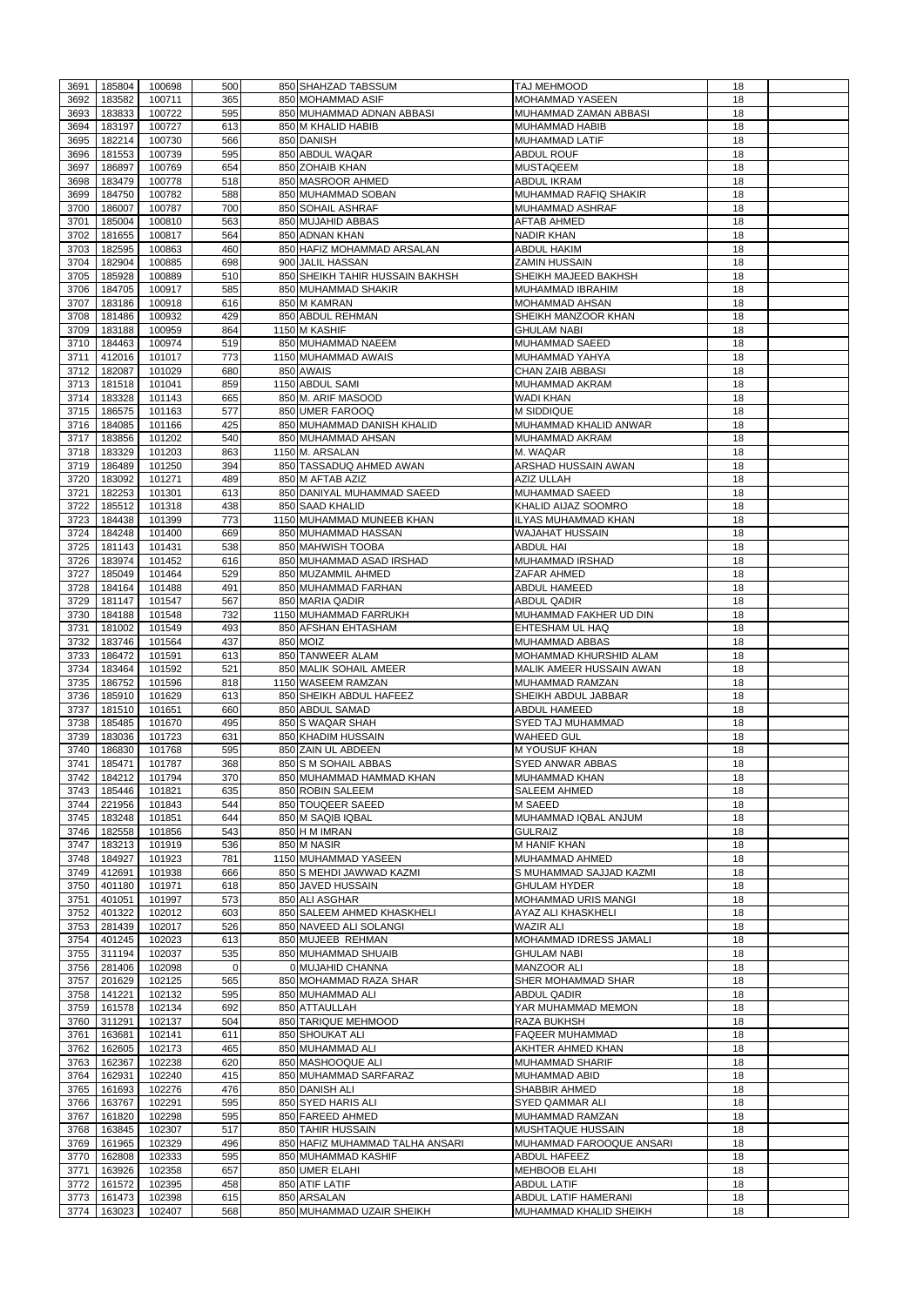| 3691 | 185804      | 100698 | 500      | 850 SHAHZAD TABSSUM             | <b>TAJ MEHMOOD</b>         | 18 |  |
|------|-------------|--------|----------|---------------------------------|----------------------------|----|--|
|      | 183582      |        | 365      | 850 MOHAMMAD ASIF               |                            | 18 |  |
| 3692 | 183833      | 100711 | 595      |                                 | <b>MOHAMMAD YASEEN</b>     |    |  |
| 3693 |             | 100722 |          | 850 MUHAMMAD ADNAN ABBASI       | MUHAMMAD ZAMAN ABBASI      | 18 |  |
| 3694 | 183197      | 100727 | 613      | 850 M KHALID HABIB              | <b>MUHAMMAD HABIB</b>      | 18 |  |
| 3695 | 182214      | 100730 | 566      | 850 DANISH                      | <b>MUHAMMAD LATIF</b>      | 18 |  |
| 3696 | 181553      | 100739 | 595      | 850 ABDUL WAQAR                 | <b>ABDUL ROUF</b>          | 18 |  |
| 3697 | 186897      | 100769 | 654      | 850 ZOHAIB KHAN                 | <b>MUSTAQEEM</b>           | 18 |  |
| 3698 | 183479      | 100778 | 518      | 850 MASROOR AHMED               | <b>ABDUL IKRAM</b>         | 18 |  |
| 3699 | 184750      | 100782 | 588      | 850 MUHAMMAD SOBAN              | MUHAMMAD RAFIQ SHAKIR      | 18 |  |
| 3700 | 186007      | 100787 | 700      | 850 SOHAIL ASHRAF               | <b>MUHAMMAD ASHRAF</b>     | 18 |  |
| 3701 | 185004      | 100810 | 563      | 850 MUJAHID ABBAS               | <b>AFTAB AHMED</b>         | 18 |  |
| 3702 | 181655      | 100817 | 564      | 850 ADNAN KHAN                  | <b>NADIR KHAN</b>          | 18 |  |
| 3703 | 182595      | 100863 | 460      | 850 HAFIZ MOHAMMAD ARSALAN      | <b>ABDUL HAKIM</b>         | 18 |  |
| 3704 | 182904      | 100885 | 698      | 900 JALIL HASSAN                | <b>ZAMIN HUSSAIN</b>       | 18 |  |
| 3705 | 185928      | 100889 | 510      | 850 SHEIKH TAHIR HUSSAIN BAKHSH | SHEIKH MAJEED BAKHSH       | 18 |  |
| 3706 | 184705      | 100917 | 585      | 850 MUHAMMAD SHAKIR             | MUHAMMAD IBRAHIM           | 18 |  |
| 3707 | 183186      | 100918 | 616      | 850 M KAMRAN                    | <b>MOHAMMAD AHSAN</b>      | 18 |  |
| 3708 | 181486      | 100932 | 429      | 850 ABDUL REHMAN                | SHEIKH MANZOOR KHAN        | 18 |  |
|      |             |        |          | 1150 M KASHIF                   |                            |    |  |
| 3709 | 183188      | 100959 | 864      |                                 | <b>GHULAM NABI</b>         | 18 |  |
| 3710 | 184463      | 100974 | 519      | 850 MUHAMMAD NAEEM              | <b>MUHAMMAD SAEED</b>      | 18 |  |
| 3711 | 412016      | 101017 | 773      | 1150 MUHAMMAD AWAIS             | <b>MUHAMMAD YAHYA</b>      | 18 |  |
| 3712 | 182087      | 101029 | 680      | 850 AWAIS                       | <b>CHAN ZAIB ABBASI</b>    | 18 |  |
| 3713 | 181518      | 101041 | 859      | 1150 ABDUL SAMI                 | MUHAMMAD AKRAM             | 18 |  |
| 3714 | 183328      | 101143 | 665      | 850 M. ARIF MASOOD              | <b>WADI KHAN</b>           | 18 |  |
| 3715 | 186575      | 101163 | 577      | 850 UMER FAROOQ                 | M SIDDIQUE                 | 18 |  |
| 3716 | 184085      | 101166 | 425      | 850 MUHAMMAD DANISH KHALID      | MUHAMMAD KHALID ANWAR      | 18 |  |
| 3717 | 183856      | 101202 | 540      | 850 MUHAMMAD AHSAN              | <b>MUHAMMAD AKRAM</b>      | 18 |  |
| 3718 | 183329      | 101203 | 863      | 1150 M. ARSALAN                 | M. WAQAR                   | 18 |  |
| 3719 | 186489      | 101250 | 394      | 850 TASSADUQ AHMED AWAN         | ARSHAD HUSSAIN AWAN        | 18 |  |
| 3720 | 183092      | 101271 | 489      | 850 M AFTAB AZIZ                | <b>AZIZ ULLAH</b>          | 18 |  |
| 3721 | 182253      | 101301 | 613      | 850 DANIYAL MUHAMMAD SAEED      | <b>MUHAMMAD SAEED</b>      | 18 |  |
|      |             |        |          |                                 |                            |    |  |
| 3722 | 185512      | 101318 | 438      | 850 SAAD KHALID                 | KHALID AIJAZ SOOMRO        | 18 |  |
| 3723 | 184438      | 101399 | 773      | 1150 MUHAMMAD MUNEEB KHAN       | ILYAS MUHAMMAD KHAN        | 18 |  |
| 3724 | 184248      | 101400 | 669      | 850 MUHAMMAD HASSAN             | <b>WAJAHAT HUSSAIN</b>     | 18 |  |
| 3725 | 181143      | 101431 | 538      | 850 MAHWISH TOOBA               | <b>ABDUL HAI</b>           | 18 |  |
| 3726 | 183974      | 101452 | 616      | 850 MUHAMMAD ASAD IRSHAD        | MUHAMMAD IRSHAD            | 18 |  |
| 3727 | 185049      | 101464 | 529      | 850 MUZAMMIL AHMED              | <b>ZAFAR AHMED</b>         | 18 |  |
| 3728 | 184164      | 101488 | 491      | 850 MUHAMMAD FARHAN             | <b>ABDUL HAMEED</b>        | 18 |  |
| 3729 | 181147      | 101547 | 567      | 850 MARIA QADIR                 | <b>ABDUL QADIR</b>         | 18 |  |
| 3730 | 184188      | 101548 | 732      | 1150 MUHAMMAD FARRUKH           | MUHAMMAD FAKHER UD DIN     | 18 |  |
| 3731 | 181002      | 101549 | 493      | 850 AFSHAN EHTASHAM             | EHTESHAM UL HAQ            | 18 |  |
| 3732 | 183746      | 101564 | 437      | 850 MOIZ                        | <b>MUHAMMAD ABBAS</b>      | 18 |  |
| 3733 | 186472      | 101591 | 613      | 850 TANWEER ALAM                | MOHAMMAD KHURSHID ALAM     | 18 |  |
| 3734 | 183464      | 101592 | 521      | 850 MALIK SOHAIL AMEER          | MALIK AMEER HUSSAIN AWAN   | 18 |  |
| 3735 | 186752      | 101596 | 818      | 1150 WASEEM RAMZAN              | MUHAMMAD RAMZAN            | 18 |  |
| 3736 | 185910      | 101629 | 613      | 850 SHEIKH ABDUL HAFEEZ         | SHEIKH ABDUL JABBAR        | 18 |  |
|      |             |        |          |                                 |                            |    |  |
|      |             |        |          | 850 ABDUL SAMAD                 | <b>ABDUL HAMEED</b>        | 18 |  |
| 3737 | 181510      | 101651 | 660      |                                 |                            |    |  |
| 3738 | 185485      | 101670 | 495      | 850 S WAQAR SHAH                | <b>SYED TAJ MUHAMMAD</b>   | 18 |  |
| 3739 | 183036      | 101723 | 631      | 850 KHADIM HUSSAIN              | <b>WAHEED GUL</b>          | 18 |  |
| 3740 | 186830      | 101768 | 595      | 850 ZAIN UL ABDEEN              | <b>M YOUSUF KHAN</b>       | 18 |  |
| 3741 | 185471      | 101787 | 368      | 850 S M SOHAIL ABBAS            | <b>SYED ANWAR ABBAS</b>    | 18 |  |
| 3742 | 184212      | 101794 | 370      | 850 MUHAMMAD HAMMAD KHAN        | <b>MUHAMMAD KHAN</b>       | 18 |  |
| 3743 | 185446      | 101821 | 635      | 850 ROBIN SALEEM                | <b>SALEEM AHMED</b>        | 18 |  |
| 3744 | 221956      | 101843 | 544      | 850 TOUQEER SAEED               | <b>M SAEED</b>             | 18 |  |
| 3745 | 183248      | 101851 | 644      | 850 M SAQIB IQBAL               | MUHAMMAD IQBAL ANJUM       | 18 |  |
| 3746 | 182558      | 101856 | 543      | 850 H M IMRAN                   | <b>GULRAIZ</b>             | 18 |  |
| 3747 | 183213      | 101919 | 536      | 850 M NASIR                     | <b>M HANIF KHAN</b>        | 18 |  |
|      |             |        | 781      |                                 |                            | 18 |  |
| 3748 | 184927      | 101923 |          | 1150 MUHAMMAD YASEEN            | MUHAMMAD AHMED             |    |  |
| 3749 | 412691      | 101938 | 666      | 850 S MEHDI JAWWAD KAZMI        | S MUHAMMAD SAJJAD KAZMI    | 18 |  |
| 3750 | 401180      | 101971 | 618      | 850 JAVED HUSSAIN               | <b>GHULAM HYDER</b>        | 18 |  |
| 3751 | 401051      | 101997 | 573      | 850 ALI ASGHAR                  | <b>MOHAMMAD URIS MANGI</b> | 18 |  |
| 3752 | 401322      | 102012 | 603      | 850 SALEEM AHMED KHASKHELI      | AYAZ ALI KHASKHELI         | 18 |  |
| 3753 | 281439      | 102017 | 526      | 850 NAVEED ALI SOLANGI          | <b>WAZIR ALI</b>           | 18 |  |
| 3754 | 401245      | 102023 | 613      | 850 MUJEEB REHMAN               | MOHAMMAD IDRESS JAMALI     | 18 |  |
| 3755 | 311194      | 102037 | 535      | 850 MUHAMMAD SHUAIB             | <b>GHULAM NABI</b>         | 18 |  |
| 3756 | 281406      | 102098 | $\Omega$ | 0 MUJAHID CHANNA                | <b>MANZOOR ALI</b>         | 18 |  |
| 3757 | 201629      | 102125 | 565      | 850 MOHAMMAD RAZA SHAR          | SHER MOHAMMAD SHAR         | 18 |  |
| 3758 | 141221      | 102132 | 595      | 850 MUHAMMAD ALI                | <b>ABDUL QADIR</b>         | 18 |  |
| 3759 | 161578      | 102134 | 692      | 850 ATTAULLAH                   | YAR MUHAMMAD MEMON         | 18 |  |
| 3760 | 311291      | 102137 | 504      | 850 TARIQUE MEHMOOD             | RAZA BUKHSH                | 18 |  |
| 3761 | 163681      | 102141 | 611      | 850 SHOUKAT ALI                 | <b>FAQEER MUHAMMAD</b>     | 18 |  |
| 3762 | 162605      | 102173 | 465      | 850 MUHAMMAD ALI                | AKHTER AHMED KHAN          | 18 |  |
|      |             |        |          |                                 |                            |    |  |
|      | 3763 162367 | 102238 | 620      | 850 MASHOOQUE ALI               | MUHAMMAD SHARIF            | 18 |  |
| 3764 | 162931      | 102240 | 415      | 850 MUHAMMAD SARFARAZ           | MUHAMMAD ABID              | 18 |  |
| 3765 | 161693      | 102276 | 476      | 850 DANISH ALI                  | <b>SHABBIR AHMED</b>       | 18 |  |
| 3766 | 163767      | 102291 | 595      | 850 SYED HARIS ALI              | <b>SYED QAMMAR ALI</b>     | 18 |  |
| 3767 | 161820      | 102298 | 595      | 850 FAREED AHMED                | MUHAMMAD RAMZAN            | 18 |  |
| 3768 | 163845      | 102307 | 517      | 850 TAHIR HUSSAIN               | MUSHTAQUE HUSSAIN          | 18 |  |
| 3769 | 161965      | 102329 | 496      | 850 HAFIZ MUHAMMAD TALHA ANSARI | MUHAMMAD FAROOQUE ANSARI   | 18 |  |
| 3770 | 162808      | 102333 | 595      | 850 MUHAMMAD KASHIF             | <b>ABDUL HAFEEZ</b>        | 18 |  |
| 3771 | 163926      | 102358 | 657      | 850 UMER ELAHI                  | <b>MEHBOOB ELAHI</b>       | 18 |  |
| 3772 | 161572      | 102395 | 458      | 850 ATIF LATIF                  | <b>ABDUL LATIF</b>         | 18 |  |
| 3773 | 161473      | 102398 | 615      | 850 ARSALAN                     | ABDUL LATIF HAMERANI       | 18 |  |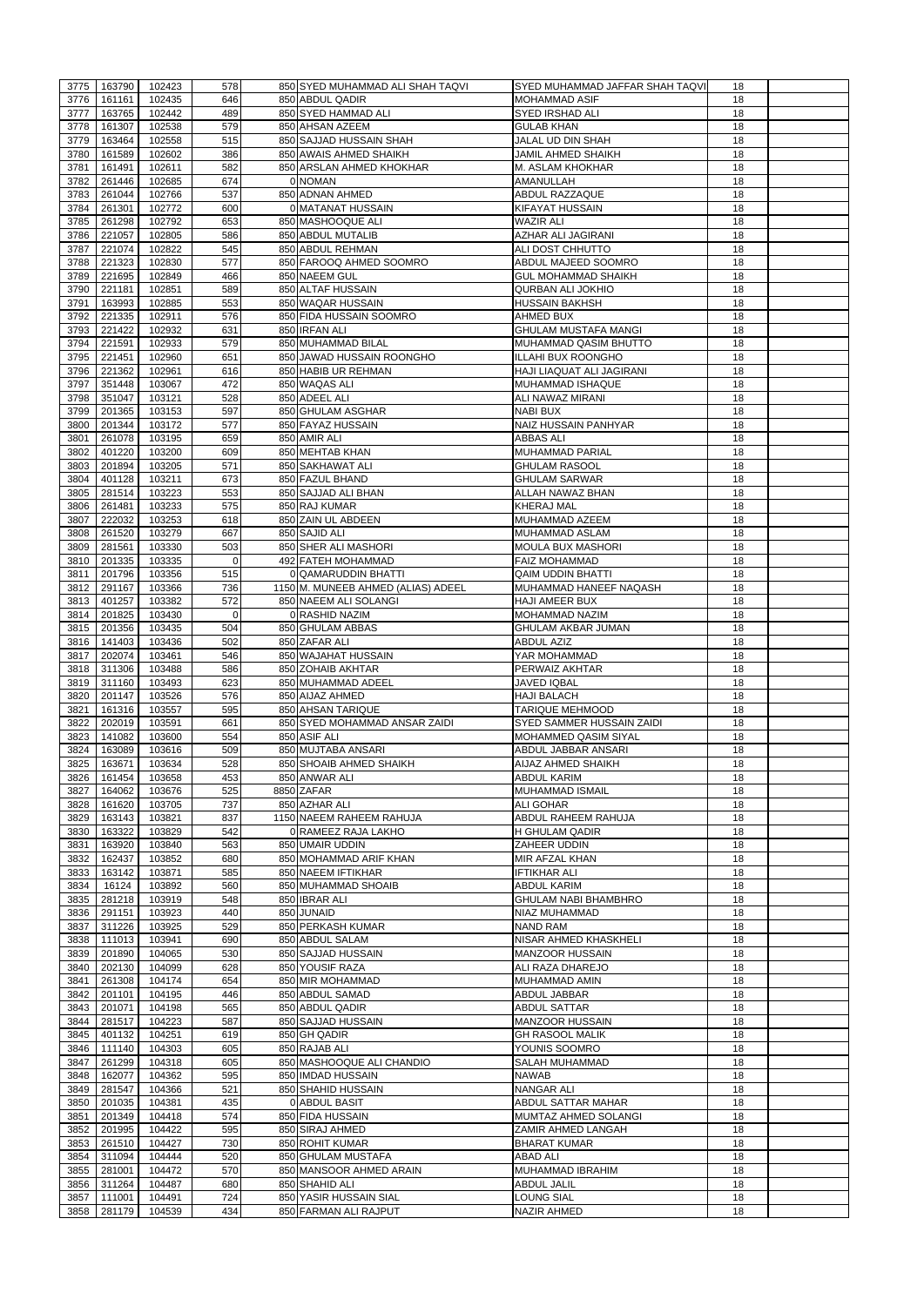| 3775 | 163790 | 102423             | 578         | 850 SYED MUHAMMAD ALI SHAH TAQVI   | SYED MUHAMMAD JAFFAR SHAH TAQVI | 18 |  |
|------|--------|--------------------|-------------|------------------------------------|---------------------------------|----|--|
| 3776 | 161161 | 102435             | 646         | 850 ABDUL QADIR                    | <b>MOHAMMAD ASIF</b>            | 18 |  |
| 3777 | 163765 | 102442             | 489         | 850 SYED HAMMAD ALI                | <b>SYED IRSHAD ALI</b>          | 18 |  |
| 3778 | 161307 | 102538             | 579         | 850 AHSAN AZEEM                    | <b>GULAB KHAN</b>               | 18 |  |
| 3779 | 163464 | 102558             | 515         | 850 SAJJAD HUSSAIN SHAH            | <b>JALAL UD DIN SHAH</b>        | 18 |  |
| 3780 | 161589 | 102602             | 386         | 850 AWAIS AHMED SHAIKH             | <b>JAMIL AHMED SHAIKH</b>       | 18 |  |
| 3781 | 161491 | 102611             | 582         | 850 ARSLAN AHMED KHOKHAR           | M. ASLAM KHOKHAR                | 18 |  |
| 3782 | 261446 | 102685             | 674         | 0 NOMAN                            | AMANULLAH                       | 18 |  |
| 3783 | 261044 | 102766             | 537         | 850 ADNAN AHMED                    | ABDUL RAZZAQUE                  | 18 |  |
| 3784 | 261301 | 102772             | 600         | 0 MATANAT HUSSAIN                  | <b>KIFAYAT HUSSAIN</b>          | 18 |  |
| 3785 | 261298 | 102792             | 653         | 850 MASHOOQUE ALI                  | <b>WAZIR ALI</b>                | 18 |  |
| 3786 | 221057 | 102805             | 586         | 850 ABDUL MUTALIB                  | AZHAR ALI JAGIRANI              | 18 |  |
| 3787 | 221074 | 102822             | 545         | 850 ABDUL REHMAN                   | ALI DOST CHHUTTO                | 18 |  |
|      |        |                    | 577         |                                    |                                 |    |  |
| 3788 | 221323 | 102830             |             | 850 FAROOQ AHMED SOOMRO            | ABDUL MAJEED SOOMRO             | 18 |  |
| 3789 | 221695 | 102849             | 466         | 850 NAEEM GUL                      | <b>GUL MOHAMMAD SHAIKH</b>      | 18 |  |
| 3790 | 221181 | 102851             | 589         | 850 ALTAF HUSSAIN                  | <b>QURBAN ALI JOKHIO</b>        | 18 |  |
| 3791 | 163993 | 102885             | 553         | 850 WAQAR HUSSAIN                  | <b>HUSSAIN BAKHSH</b>           | 18 |  |
| 3792 | 221335 | 102911             | 576         | 850 FIDA HUSSAIN SOOMRO            | AHMED BUX                       | 18 |  |
| 3793 | 221422 | 102932             | 631         | 850 IRFAN ALI                      | <b>GHULAM MUSTAFA MANGI</b>     | 18 |  |
| 3794 | 221591 | 102933             | 579         | 850 MUHAMMAD BILAL                 | <b>MUHAMMAD QASIM BHUTTO</b>    | 18 |  |
| 3795 | 221451 | 102960             | 651         | 850 JAWAD HUSSAIN ROONGHO          | <b>ILLAHI BUX ROONGHO</b>       | 18 |  |
| 3796 | 221362 | 102961             | 616         | 850 HABIB UR REHMAN                | HAJI LIAQUAT ALI JAGIRANI       | 18 |  |
| 3797 | 351448 | 103067             | 472         | 850 WAQAS ALI                      | MUHAMMAD ISHAQUE                | 18 |  |
| 3798 | 351047 | 103121             | 528         | 850 ADEEL ALI                      | ALI NAWAZ MIRANI                | 18 |  |
| 3799 | 201365 | 103153             | 597         | 850 GHULAM ASGHAR                  | <b>NABI BUX</b>                 | 18 |  |
| 3800 | 201344 | 103172             | 577         | 850 FAYAZ HUSSAIN                  | NAIZ HUSSAIN PANHYAR            | 18 |  |
| 3801 | 261078 | 103195             | 659         | 850 AMIR ALI                       | <b>ABBAS ALI</b>                | 18 |  |
| 3802 | 401220 | 103200             | 609         | 850 MEHTAB KHAN                    | MUHAMMAD PARIAL                 | 18 |  |
| 3803 | 201894 | 103205             | 571         | 850 SAKHAWAT ALI                   | <b>GHULAM RASOOL</b>            | 18 |  |
| 3804 | 401128 | 103211             | 673         | 850 FAZUL BHAND                    | <b>GHULAM SARWAR</b>            | 18 |  |
| 3805 | 281514 | 103223             | 553         | 850 SAJJAD ALI BHAN                | ALLAH NAWAZ BHAN                | 18 |  |
| 3806 | 261481 | 103233             | 575         | 850 RAJ KUMAR                      | <b>KHERAJ MAL</b>               | 18 |  |
| 3807 | 222032 | 103253             | 618         | 850 ZAIN UL ABDEEN                 | MUHAMMAD AZEEM                  | 18 |  |
|      |        |                    |             |                                    |                                 |    |  |
| 3808 | 261520 | 103279             | 667         | 850 SAJID ALI                      | MUHAMMAD ASLAM                  | 18 |  |
| 3809 | 281561 | 103330             | 503         | 850 SHER ALI MASHORI               | <b>MOULA BUX MASHORI</b>        | 18 |  |
| 3810 | 201335 | 103335             | $\mathbf 0$ | 492 FATEH MOHAMMAD                 | <b>FAIZ MOHAMMAD</b>            | 18 |  |
| 3811 | 201796 | 103356             | 515         | 0 QAMARUDDIN BHATTI                | <b>QAIM UDDIN BHATTI</b>        | 18 |  |
| 3812 | 291167 | 103366             | 736         | 1150 M. MUNEEB AHMED (ALIAS) ADEEL | MUHAMMAD HANEEF NAQASH          | 18 |  |
| 3813 | 401257 | 103382             | 572         | 850 NAEEM ALI SOLANGI              | <b>HAJI AMEER BUX</b>           | 18 |  |
| 3814 | 201825 | 103430             | $\mathbf 0$ | 0 RASHID NAZIM                     | MOHAMMAD NAZIM                  | 18 |  |
| 3815 | 201356 | 103435             | 504         | 850 GHULAM ABBAS                   | <b>GHULAM AKBAR JUMAN</b>       | 18 |  |
| 3816 | 141403 | 103436             | 502         | 850 ZAFAR ALI                      | <b>ABDUL AZIZ</b>               | 18 |  |
| 3817 | 202074 | 103461             | 546         | 850 WAJAHAT HUSSAIN                | YAR MOHAMMAD                    | 18 |  |
| 3818 | 311306 | 103488             | 586         | 850 ZOHAIB AKHTAR                  | PERWAIZ AKHTAR                  | 18 |  |
| 3819 | 311160 | 103493             | 623         | 850 MUHAMMAD ADEEL                 | JAVED IQBAL                     | 18 |  |
| 3820 | 201147 | 103526             | 576         | 850 AIJAZ AHMED                    | <b>HAJI BALACH</b>              | 18 |  |
| 3821 | 161316 | 103557             | 595         | 850 AHSAN TARIQUE                  | <b>TARIQUE MEHMOOD</b>          | 18 |  |
| 3822 | 202019 | 103591             | 661         | 850 SYED MOHAMMAD ANSAR ZAIDI      | SYED SAMMER HUSSAIN ZAIDI       | 18 |  |
| 3823 | 141082 | 103600             | 554         | 850 ASIF ALI                       | MOHAMMED QASIM SIYAL            | 18 |  |
| 3824 | 163089 | 103616             | 509         | 850 MUJTABA ANSARI                 | ABDUL JABBAR ANSARI             | 18 |  |
| 3825 | 163671 | 103634             | 528         | 850 SHOAIB AHMED SHAIKH            | AIJAZ AHMED SHAIKH              | 18 |  |
| 3826 | 161454 | 103658             | 453         | 850 ANWAR ALI                      | <b>ABDUL KARIM</b>              | 18 |  |
|      |        |                    | 525         |                                    | <b>MUHAMMAD ISMAIL</b>          | 18 |  |
| 3827 | 164062 | 103676             |             | 8850 ZAFAR                         |                                 |    |  |
| 3828 | 161620 | 103705             | 737         | 850 AZHAR ALI                      | <b>ALI GOHAR</b>                | 18 |  |
| 3829 | 163143 | 103821             | 837         | 1150 NAEEM RAHEEM RAHUJA           | ABDUL RAHEEM RAHUJA             | 18 |  |
| 3830 | 163322 | 103829             | 542         | 0 RAMEEZ RAJA LAKHO                | H GHULAM QADIR                  | 18 |  |
| 3831 | 163920 | 103840             | 563         | 850 UMAIR UDDIN                    | ZAHEER UDDIN                    | 18 |  |
| 3832 | 162437 | 103852             | 680         | 850 MOHAMMAD ARIF KHAN             | MIR AFZAL KHAN                  | 18 |  |
| 3833 | 163142 | 103871             | 585         | 850 NAEEM IFTIKHAR                 | <b>IFTIKHAR ALI</b>             | 18 |  |
| 3834 | 16124  | 103892             | 560         | 850 MUHAMMAD SHOAIB                | <b>ABDUL KARIM</b>              | 18 |  |
| 3835 | 281218 | 103919             | 548         | 850 IBRAR ALI                      | <b>GHULAM NABI BHAMBHRO</b>     | 18 |  |
| 3836 | 291151 | 103923             | 440         | 850 JUNAID                         | NIAZ MUHAMMAD                   | 18 |  |
| 3837 | 311226 | 103925             | 529         | 850 PERKASH KUMAR                  | <b>NAND RAM</b>                 | 18 |  |
| 3838 | 111013 | 103941             | 690         | 850 ABDUL SALAM                    | NISAR AHMED KHASKHELI           | 18 |  |
| 3839 | 201890 | 104065             | 530         | 850 SAJJAD HUSSAIN                 | <b>MANZOOR HUSSAIN</b>          | 18 |  |
| 3840 | 202130 | 104099             | 628         | 850 YOUSIF RAZA                    | ALI RAZA DHAREJO                | 18 |  |
| 3841 | 261308 | 104174             | 654         | 850 MIR MOHAMMAD                   | <b>MUHAMMAD AMIN</b>            | 18 |  |
| 3842 | 201101 | 104195             | 446         | 850 ABDUL SAMAD                    | ABDUL JABBAR                    | 18 |  |
| 3843 | 201071 | 104198             | 565         | 850 ABDUL QADIR                    | <b>ABDUL SATTAR</b>             | 18 |  |
| 3844 | 281517 | 104223             | 587         | 850 SAJJAD HUSSAIN                 | <b>MANZOOR HUSSAIN</b>          | 18 |  |
| 3845 | 401132 | 104251             | 619         | 850 GH QADIR                       | <b>GH RASOOL MALIK</b>          | 18 |  |
| 3846 | 111140 | 104303             | 605         | 850 RAJAB ALI                      | YOUNIS SOOMRO                   | 18 |  |
|      |        | 3847 261299 104318 | 605         | 850 MASHOOQUE ALI CHANDIO          | <b>SALAH MUHAMMAD</b>           | 18 |  |
|      |        |                    |             |                                    |                                 |    |  |
| 3848 | 162077 | 104362             | 595         | 850 IMDAD HUSSAIN                  | <b>NAWAB</b>                    | 18 |  |
| 3849 | 281547 | 104366             | 521         | 850 SHAHID HUSSAIN                 | NANGAR ALI                      | 18 |  |
| 3850 | 201035 | 104381             | 435         | 0 ABDUL BASIT                      | ABDUL SATTAR MAHAR              | 18 |  |
| 3851 | 201349 | 104418             | 574         | 850 FIDA HUSSAIN                   | MUMTAZ AHMED SOLANGI            | 18 |  |
| 3852 | 201995 | 104422             | 595         | 850 SIRAJ AHMED                    | ZAMIR AHMED LANGAH              | 18 |  |
| 3853 | 261510 | 104427             | 730         | 850 ROHIT KUMAR                    | <b>BHARAT KUMAR</b>             | 18 |  |
| 3854 | 311094 | 104444             | 520         | 850 GHULAM MUSTAFA                 | <b>ABAD ALI</b>                 | 18 |  |
| 3855 | 281001 | 104472             | 570         | 850 MANSOOR AHMED ARAIN            | MUHAMMAD IBRAHIM                | 18 |  |
| 3856 | 311264 | 104487             | 680         | 850 SHAHID ALI                     | <b>ABDUL JALIL</b>              | 18 |  |
| 3857 | 111001 | 104491             | 724         | 850 YASIR HUSSAIN SIAL             | <b>LOUNG SIAL</b>               | 18 |  |
| 3858 | 281179 | 104539             | 434         | 850 FARMAN ALI RAJPUT              | NAZIR AHMED                     | 18 |  |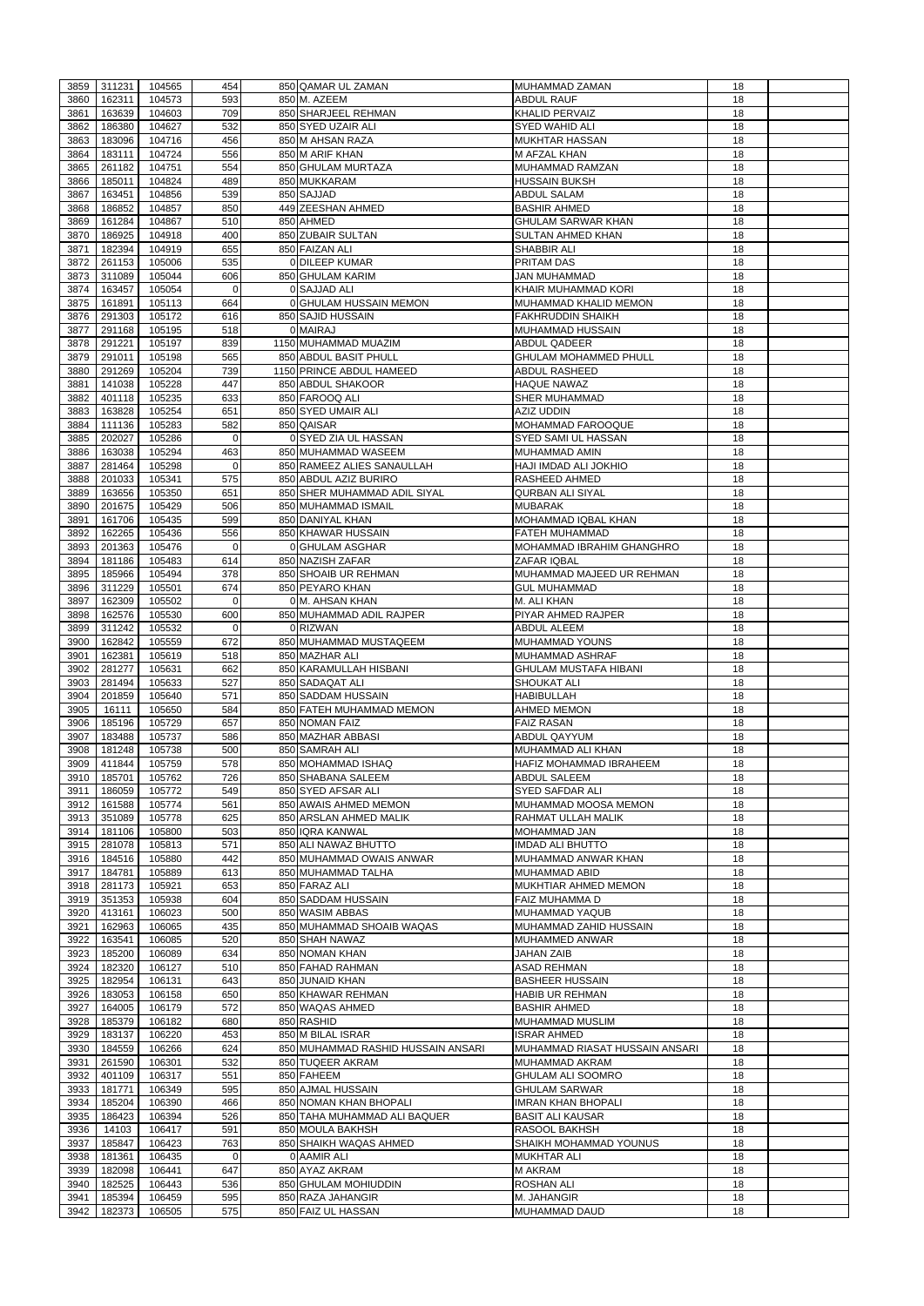| 3859         | 311231           | 104565           | 454            | 850 QAMAR UL ZAMAN                      | MUHAMMAD ZAMAN                   | 18       |  |
|--------------|------------------|------------------|----------------|-----------------------------------------|----------------------------------|----------|--|
|              |                  |                  | 593            |                                         |                                  | 18       |  |
| 3860         | 162311           | 104573           |                | 850 M. AZEEM                            | <b>ABDUL RAUF</b>                |          |  |
| 3861         | 163639           | 104603           | 709            | 850 SHARJEEL REHMAN                     | <b>KHALID PERVAIZ</b>            | 18       |  |
| 3862         | 186380           | 104627           | 532            | 850 SYED UZAIR ALI                      | <b>SYED WAHID ALI</b>            | 18       |  |
| 3863         | 183096           | 104716           | 456            | 850 M AHSAN RAZA                        | <b>MUKHTAR HASSAN</b>            | 18       |  |
| 3864         | 183111           | 104724           | 556            | 850 M ARIF KHAN                         | <b>M AFZAL KHAN</b>              | 18       |  |
| 3865         | 261182           | 104751           | 554            | 850 GHULAM MURTAZA                      | MUHAMMAD RAMZAN                  | 18       |  |
| 3866         | 185011           | 104824           | 489            | 850 MUKKARAM                            | <b>HUSSAIN BUKSH</b>             | 18       |  |
|              |                  |                  |                |                                         |                                  |          |  |
| 3867         | 163451           | 104856           | 539            | 850 SAJJAD                              | ABDUL SALAM                      | 18       |  |
| 3868         | 186852           | 104857           | 850            | 449 ZEESHAN AHMED                       | <b>BASHIR AHMED</b>              | 18       |  |
| 3869         | 161284           | 104867           | 510            | 850 AHMED                               | <b>GHULAM SARWAR KHAN</b>        | 18       |  |
| 3870         | 186925           | 104918           | 400            | 850 ZUBAIR SULTAN                       | <b>SULTAN AHMED KHAN</b>         | 18       |  |
| 3871         | 182394           | 104919           | 655            | 850 FAIZAN ALI                          | <b>SHABBIR ALI</b>               | 18       |  |
| 3872         | 261153           | 105006           | 535            | 0 DILEEP KUMAR                          | <b>PRITAM DAS</b>                | 18       |  |
| 3873         | 311089           | 105044           | 606            | 850 GHULAM KARIM                        | <b>JAN MUHAMMAD</b>              | 18       |  |
|              | 163457           | 105054           | $\Omega$       | 0 SAJJAD ALI                            | KHAIR MUHAMMAD KORI              |          |  |
| 3874         |                  |                  |                |                                         |                                  | 18       |  |
| 3875         | 161891           | 105113           | 664            | 0 GHULAM HUSSAIN MEMON                  | MUHAMMAD KHALID MEMON            | 18       |  |
| 3876         | 291303           | 105172           | 616            | 850 SAJID HUSSAIN                       | <b>FAKHRUDDIN SHAIKH</b>         | 18       |  |
| 3877         | 291168           | 105195           | 518            | 0 MAIRAJ                                | <b>MUHAMMAD HUSSAIN</b>          | 18       |  |
| 3878         | 291221           | 105197           | 839            | 1150 MUHAMMAD MUAZIM                    | <b>ABDUL QADEER</b>              | 18       |  |
| 3879         | 291011           | 105198           | 565            | 850 ABDUL BASIT PHULL                   | <b>GHULAM MOHAMMED PHULL</b>     | 18       |  |
| 3880         | 291269           | 105204           | 739            | 1150 PRINCE ABDUL HAMEED                | <b>ABDUL RASHEED</b>             | 18       |  |
| 3881         | 141038           | 105228           | 447            | 850 ABDUL SHAKOOR                       | <b>HAQUE NAWAZ</b>               | 18       |  |
|              |                  |                  |                |                                         |                                  |          |  |
| 3882         | 401118           | 105235           | 633            | 850 FAROOQ ALI                          | <b>SHER MUHAMMAD</b>             | 18       |  |
| 3883         | 163828           | 105254           | 651            | 850 SYED UMAIR ALI                      | <b>AZIZ UDDIN</b>                | 18       |  |
| 3884         | 111136           | 105283           | 582            | 850 QAISAR                              | MOHAMMAD FAROOQUE                | 18       |  |
| 3885         | 202027           | 105286           | $\Omega$       | 0 SYED ZIA UL HASSAN                    | SYED SAMI UL HASSAN              | 18       |  |
| 3886         | 163038           | 105294           | 463            | 850 MUHAMMAD WASEEM                     | MUHAMMAD AMIN                    | 18       |  |
| 3887         | 281464           | 105298           | $\overline{0}$ | 850 RAMEEZ ALIES SANAULLAH              | HAJI IMDAD ALI JOKHIO            | 18       |  |
| 3888         | 201033           | 105341           | 575            | 850 ABDUL AZIZ BURIRO                   | <b>RASHEED AHMED</b>             | 18       |  |
|              |                  |                  |                |                                         |                                  |          |  |
| 3889         | 163656           | 105350           | 651            | 850 SHER MUHAMMAD ADIL SIYAL            | <b>QURBAN ALI SIYAL</b>          | 18       |  |
| 3890         | 201675           | 105429           | 506            | 850 MUHAMMAD ISMAIL                     | <b>MUBARAK</b>                   | 18       |  |
| 3891         | 161706           | 105435           | 599            | 850 DANIYAL KHAN                        | <b>MOHAMMAD IQBAL KHAN</b>       | 18       |  |
| 3892         | 162265           | 105436           | 556            | 850 KHAWAR HUSSAIN                      | <b>FATEH MUHAMMAD</b>            | 18       |  |
| 3893         | 201363           | 105476           | $\overline{0}$ | 0 GHULAM ASGHAR                         | <b>MOHAMMAD IBRAHIM GHANGHRO</b> | 18       |  |
| 3894         | 181186           | 105483           | 614            | 850 NAZISH ZAFAR                        | <b>ZAFAR IQBAL</b>               | 18       |  |
| 3895         | 185966           | 105494           | 378            | 850 SHOAIB UR REHMAN                    | MUHAMMAD MAJEED UR REHMAN        | 18       |  |
|              |                  |                  |                |                                         |                                  |          |  |
| 3896         | 311229           | 105501           | 674            | 850 PEYARO KHAN                         | <b>GUL MUHAMMAD</b>              | 18       |  |
| 3897         | 162309           | 105502           | $\overline{0}$ | 0 M. AHSAN KHAN                         | M. ALI KHAN                      | 18       |  |
| 3898         | 162576           | 105530           | 600            | 850 MUHAMMAD ADIL RAJPER                | PIYAR AHMED RAJPER               | 18       |  |
| 3899         | 311242           | 105532           | $\overline{0}$ | 0 RIZWAN                                | ABDUL ALEEM                      | 18       |  |
| 3900         | 162842           | 105559           | 672            | 850 MUHAMMAD MUSTAQEEM                  | <b>MUHAMMAD YOUNS</b>            | 18       |  |
| 3901         | 162381           | 105619           | 518            | 850 MAZHAR ALI                          | MUHAMMAD ASHRAF                  | 18       |  |
| 3902         | 281277           | 105631           | 662            | 850 KARAMULLAH HISBANI                  | <b>GHULAM MUSTAFA HIBANI</b>     | 18       |  |
|              |                  |                  |                |                                         |                                  |          |  |
| 3903         | 281494           | 105633           | 527            | 850 SADAQAT ALI                         | <b>SHOUKAT ALI</b>               | 18       |  |
| 3904         | 201859           | 105640           | 571            | 850 SADDAM HUSSAIN                      | <b>HABIBULLAH</b>                | 18       |  |
| 3905         | 16111            | 105650           | 584            | 850 FATEH MUHAMMAD MEMON                | <b>AHMED MEMON</b>               | 18       |  |
| 3906         | 185196           | 105729           | 657            | 850 NOMAN FAIZ                          | <b>FAIZ RASAN</b>                | 18       |  |
| 3907         | 183488           | 105737           | 586            | 850 MAZHAR ABBASI                       | <b>ABDUL QAYYUM</b>              | 18       |  |
| 3908         | 181248           | 105738           | 500            | 850 SAMRAH ALI                          | MUHAMMAD ALI KHAN                | 18       |  |
| 3909         | 411844           | 105759           | 578            | 850 MOHAMMAD ISHAQ                      | HAFIZ MOHAMMAD IBRAHEEM          | 18       |  |
| 3910         | 185701           | 105762           | 726            | 850 SHABANA SALEEM                      | <b>ABDUL SALEEM</b>              | 18       |  |
|              |                  |                  |                |                                         |                                  |          |  |
| 3911         | 186059           | 105772           | 549            | 850 SYED AFSAR ALI                      | <b>SYED SAFDAR ALI</b>           | 18       |  |
| 3912         | 161588           | 105774           | 561            | 850 AWAIS AHMED MEMON                   | MUHAMMAD MOOSA MEMON             | 18       |  |
| 3913         | 351089           | 105778           | 625            | 850 ARSLAN AHMED MALIK                  | RAHMAT ULLAH MALIK               | 18       |  |
| 3914         | 181106           | 105800           | 503            | 850 IQRA KANWAL                         | <b>MOHAMMAD JAN</b>              | 18       |  |
| 3915         | 281078           | 105813           | 571            | 850 ALI NAWAZ BHUTTO                    | <b>IMDAD ALI BHUTTO</b>          | 18       |  |
| 3916         | 184516           | 105880           | 442            | 850 MUHAMMAD OWAIS ANWAR                | MUHAMMAD ANWAR KHAN              | 18       |  |
| 3917         | 184781           | 105889           | 613            | 850 MUHAMMAD TALHA                      | <b>MUHAMMAD ABID</b>             | 18       |  |
| 3918         | 281173           | 105921           | 653            | 850 FARAZ ALI                           | MUKHTIAR AHMED MEMON             | 18       |  |
|              |                  |                  |                |                                         |                                  |          |  |
| 3919         | 351353           | 105938           | 604            | 850 SADDAM HUSSAIN                      | FAIZ MUHAMMA D                   | 18       |  |
| 3920         | 413161           | 106023           | 500            | 850 WASIM ABBAS                         | <b>MUHAMMAD YAQUB</b>            | 18       |  |
| 3921         | 162963           | 106065           | 435            | 850 MUHAMMAD SHOAIB WAQAS               | MUHAMMAD ZAHID HUSSAIN           | 18       |  |
| 3922         | 163541           | 106085           | 520            | 850 SHAH NAWAZ                          | MUHAMMED ANWAR                   | 18       |  |
| 3923         | 185200           | 106089           | 634            | 850 NOMAN KHAN                          | <b>JAHAN ZAIB</b>                | 18       |  |
| 3924         | 182320           | 106127           | 510            | 850 FAHAD RAHMAN                        | <b>ASAD REHMAN</b>               | 18       |  |
| 3925         | 182954           | 106131           | 643            | 850 JUNAID KHAN                         | <b>BASHEER HUSSAIN</b>           | 18       |  |
|              |                  |                  |                |                                         |                                  |          |  |
| 3926         | 183053           | 106158           | 650            | 850 KHAWAR REHMAN                       | <b>HABIB UR REHMAN</b>           | 18       |  |
| 3927         | 164005           | 106179           | 572            | 850 WAQAS AHMED                         | <b>BASHIR AHMED</b>              | 18       |  |
| 3928         |                  | 106182           | 680            | 850 RASHID                              | <b>MUHAMMAD MUSLIM</b>           | 18       |  |
| 3929         | 185379           |                  |                | 850 M BILAL ISRAR                       | <b>ISRAR AHMED</b>               | 18       |  |
| 3930         | 183137           | 106220           | 453            |                                         |                                  |          |  |
|              | 184559           | 106266           | 624            | 850 MUHAMMAD RASHID HUSSAIN ANSARI      | MUHAMMAD RIASAT HUSSAIN ANSARI   | 18       |  |
|              |                  | 106301           |                |                                         | MUHAMMAD AKRAM                   |          |  |
|              | 3931 261590      |                  | 532            | 850 TUQEER AKRAM                        |                                  | 18       |  |
| 3932         | 401109           | 106317           | 551            | 850 FAHEEM                              | <b>GHULAM ALI SOOMRO</b>         | 18       |  |
| 3933         | 181771           | 106349           | 595            | 850 AJMAL HUSSAIN                       | <b>GHULAM SARWAR</b>             | 18       |  |
| 3934         | 185204           | 106390           | 466            | 850 NOMAN KHAN BHOPALI                  | IMRAN KHAN BHOPALI               | 18       |  |
| 3935         | 186423           | 106394           | 526            | 850 ITAHA MUHAMMAD ALI BAQUER           | <b>BASIT ALI KAUSAR</b>          | 18       |  |
| 3936         | 14103            | 106417           | 591            | 850 MOULA BAKHSH                        | <b>RASOOL BAKHSH</b>             | 18       |  |
| 3937         | 185847           | 106423           | 763            | 850 SHAIKH WAQAS AHMED                  | SHAIKH MOHAMMAD YOUNUS           | 18       |  |
| 3938         | 181361           | 106435           | $\Omega$       | 0 AAMIR ALI                             | <b>MUKHTAR ALI</b>               | 18       |  |
|              |                  |                  |                |                                         |                                  |          |  |
| 3939         | 182098           | 106441           | 647            | 850 AYAZ AKRAM                          | <b>M AKRAM</b>                   | 18       |  |
| 3940         | 182525           | 106443           | 536            | 850 GHULAM MOHIUDDIN                    | <b>ROSHAN ALI</b>                | 18       |  |
| 3941<br>3942 | 185394<br>182373 | 106459<br>106505 | 595<br>575     | 850 RAZA JAHANGIR<br>850 FAIZ UL HASSAN | M. JAHANGIR<br>MUHAMMAD DAUD     | 18<br>18 |  |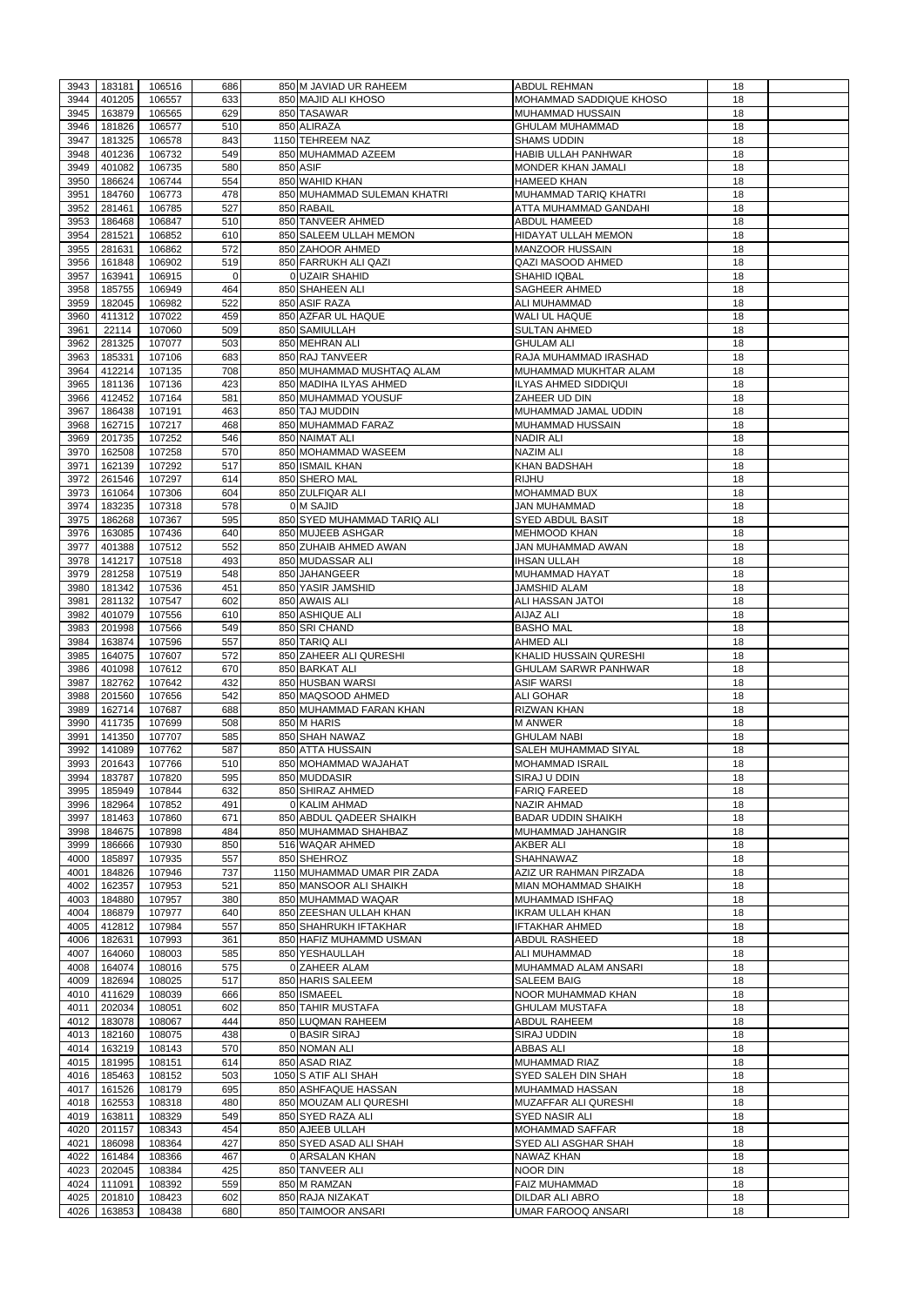| 3943 | 183181 | 106516             | 686            | 850 M JAVIAD UR RAHEEM      | <b>ABDUL REHMAN</b>         | 18 |  |
|------|--------|--------------------|----------------|-----------------------------|-----------------------------|----|--|
| 3944 | 401205 | 106557             | 633            | 850 MAJID ALI KHOSO         | MOHAMMAD SADDIQUE KHOSO     | 18 |  |
| 3945 | 163879 | 106565             | 629            | 850 TASAWAR                 | <b>MUHAMMAD HUSSAIN</b>     | 18 |  |
| 3946 | 181826 | 106577             | 510            | 850 ALIRAZA                 | <b>GHULAM MUHAMMAD</b>      | 18 |  |
|      |        |                    |                |                             |                             |    |  |
| 3947 | 181325 | 106578             | 843            | 1150 TEHREEM NAZ            | <b>SHAMS UDDIN</b>          | 18 |  |
| 3948 | 401236 | 106732             | 549            | 850 MUHAMMAD AZEEM          | HABIB ULLAH PANHWAR         | 18 |  |
| 3949 | 401082 | 106735             | 580            | <b>850 ASIF</b>             | MONDER KHAN JAMALI          | 18 |  |
| 3950 | 186624 | 106744             | 554            | 850 WAHID KHAN              | HAMEED KHAN                 | 18 |  |
| 3951 | 184760 | 106773             | 478            | 850 MUHAMMAD SULEMAN KHATRI | MUHAMMAD TARIQ KHATRI       | 18 |  |
| 3952 | 281461 | 106785             | 527            | 850 RABAIL                  | ATTA MUHAMMAD GANDAHI       | 18 |  |
| 3953 | 186468 | 106847             | 510            | 850 TANVEER AHMED           | ABDUL HAMEED                | 18 |  |
| 3954 | 281521 | 106852             | 610            | 850 SALEEM ULLAH MEMON      | HIDAYAT ULLAH MEMON         | 18 |  |
| 3955 | 281631 | 106862             | 572            | 850 ZAHOOR AHMED            | <b>MANZOOR HUSSAIN</b>      | 18 |  |
| 3956 | 161848 | 106902             | 519            | 850 FARRUKH ALI QAZI        | <b>QAZI MASOOD AHMED</b>    | 18 |  |
|      |        |                    |                |                             |                             |    |  |
| 3957 | 163941 | 106915             | $\overline{0}$ | 0 UZAIR SHAHID              | SHAHID IQBAL                | 18 |  |
| 3958 | 185755 | 106949             | 464            | 850 SHAHEEN ALI             | <b>SAGHEER AHMED</b>        | 18 |  |
| 3959 | 182045 | 106982             | 522            | 850 ASIF RAZA               | <b>ALI MUHAMMAD</b>         | 18 |  |
| 3960 | 411312 | 107022             | 459            | 850 AZFAR UL HAQUE          | WALI UL HAQUE               | 18 |  |
| 3961 | 22114  | 107060             | 509            | 850 SAMIULLAH               | <b>SULTAN AHMED</b>         | 18 |  |
| 3962 | 281325 | 107077             | 503            | 850 MEHRAN ALI              | <b>GHULAM ALI</b>           | 18 |  |
| 3963 | 185331 | 107106             | 683            | 850 RAJ TANVEER             | RAJA MUHAMMAD IRASHAD       | 18 |  |
| 3964 | 412214 | 107135             | 708            | 850 MUHAMMAD MUSHTAQ ALAM   | MUHAMMAD MUKHTAR ALAM       | 18 |  |
|      |        |                    | 423            | 850 MADIHA ILYAS AHMED      |                             |    |  |
| 3965 | 181136 | 107136             |                |                             | <b>ILYAS AHMED SIDDIQUI</b> | 18 |  |
| 3966 | 412452 | 107164             | 581            | 850 MUHAMMAD YOUSUF         | ZAHEER UD DIN               | 18 |  |
| 3967 | 186438 | 107191             | 463            | 850 TAJ MUDDIN              | MUHAMMAD JAMAL UDDIN        | 18 |  |
| 3968 | 162715 | 107217             | 468            | 850 MUHAMMAD FARAZ          | MUHAMMAD HUSSAIN            | 18 |  |
| 3969 | 201735 | 107252             | 546            | 850 NAIMAT ALI              | <b>NADIR ALI</b>            | 18 |  |
| 3970 | 162508 | 107258             | 570            | 850 MOHAMMAD WASEEM         | <b>NAZIM ALI</b>            | 18 |  |
| 3971 | 162139 | 107292             | 517            | 850 ISMAIL KHAN             | <b>KHAN BADSHAH</b>         | 18 |  |
|      |        |                    |                |                             |                             |    |  |
| 3972 | 261546 | 107297             | 614            | 850 SHERO MAL               | <b>RIJHU</b>                | 18 |  |
| 3973 | 161064 | 107306             | 604            | 850 ZULFIQAR ALI            | <b>MOHAMMAD BUX</b>         | 18 |  |
| 3974 | 183235 | 107318             | 578            | 0 M SAJID                   | <b>JAN MUHAMMAD</b>         | 18 |  |
| 3975 | 186268 | 107367             | 595            | 850 SYED MUHAMMAD TARIQ ALI | <b>SYED ABDUL BASIT</b>     | 18 |  |
| 3976 | 163085 | 107436             | 640            | 850 MUJEEB ASHGAR           | <b>MEHMOOD KHAN</b>         | 18 |  |
| 3977 | 401388 | 107512             | 552            | 850 ZUHAIB AHMED AWAN       | JAN MUHAMMAD AWAN           | 18 |  |
| 3978 | 141217 | 107518             | 493            | 850 MUDASSAR ALI            | <b>IHSAN ULLAH</b>          | 18 |  |
|      |        |                    |                |                             |                             |    |  |
| 3979 | 281258 | 107519             | 548            | 850 JAHANGEER               | MUHAMMAD HAYAT              | 18 |  |
| 3980 | 181342 | 107536             | 451            | 850 YASIR JAMSHID           | <b>JAMSHID ALAM</b>         | 18 |  |
| 3981 | 281132 | 107547             | 602            | 850 AWAIS ALI               | ALI HASSAN JATOI            | 18 |  |
| 3982 | 401079 | 107556             | 610            | 850 ASHIQUE ALI             | <b>AIJAZ ALI</b>            | 18 |  |
| 3983 | 201998 | 107566             | 549            | 850 SRI CHAND               | <b>BASHO MAL</b>            | 18 |  |
| 3984 | 163874 | 107596             | 557            | 850 TARIQ ALI               | <b>AHMED ALI</b>            | 18 |  |
|      |        |                    | 572            | 850 ZAHEER ALI QURESHI      | KHALID HUSSAIN QURESHI      |    |  |
| 3985 | 164075 | 107607             |                |                             |                             | 18 |  |
| 3986 | 401098 | 107612             | 670            | 850 BARKAT ALI              | GHULAM SARWR PANHWAR        | 18 |  |
| 3987 | 182762 | 107642             | 432            | 850 HUSBAN WARSI            | <b>ASIF WARSI</b>           | 18 |  |
| 3988 | 201560 | 107656             | 542            | 850 MAQSOOD AHMED           | <b>ALI GOHAR</b>            | 18 |  |
| 3989 | 162714 | 107687             | 688            | 850 MUHAMMAD FARAN KHAN     | <b>RIZWAN KHAN</b>          | 18 |  |
| 3990 | 411735 | 107699             | 508            | 850 M HARIS                 | <b>M ANWER</b>              | 18 |  |
| 3991 | 141350 | 107707             | 585            | 850 SHAH NAWAZ              | <b>GHULAM NABI</b>          | 18 |  |
| 3992 | 141089 | 107762             | 587            | 850 ATTA HUSSAIN            | SALEH MUHAMMAD SIYAL        | 18 |  |
|      |        |                    |                |                             |                             |    |  |
| 3993 | 201643 | 107766             | 510            | 850 MOHAMMAD WAJAHAT        | <b>MOHAMMAD ISRAIL</b>      | 18 |  |
| 3994 | 183787 | 107820             | 595            | 850 MUDDASIR                | SIRAJ U DDIN                | 18 |  |
| 3995 | 185949 | 107844             | 632            | 850 SHIRAZ AHMED            | <b>FARIQ FAREED</b>         | 18 |  |
| 3996 | 182964 | 107852             | 491            | 0 KALIM AHMAD               | <b>NAZIR AHMAD</b>          | 18 |  |
| 3997 | 181463 | 107860             | 671            | 850 ABDUL QADEER SHAIKH     | <b>BADAR UDDIN SHAIKH</b>   | 18 |  |
| 3998 | 184675 | 107898             | 484            | 850 MUHAMMAD SHAHBAZ        | MUHAMMAD JAHANGIR           | 18 |  |
| 3999 | 186666 | 107930             | 850            | 516 WAQAR AHMED             | <b>AKBER ALI</b>            | 18 |  |
| 4000 | 185897 | 107935             | 557            | 850 SHEHROZ                 | SHAHNAWAZ                   | 18 |  |
|      |        |                    | 737            |                             |                             | 18 |  |
| 4001 | 184826 | 107946             |                | 1150 MUHAMMAD UMAR PIR ZADA | AZIZ UR RAHMAN PIRZADA      |    |  |
| 4002 | 162357 | 107953             | 521            | 850 MANSOOR ALI SHAIKH      | MIAN MOHAMMAD SHAIKH        | 18 |  |
| 4003 | 184880 | 107957             | 380            | 850 MUHAMMAD WAQAR          | MUHAMMAD ISHFAQ             | 18 |  |
| 4004 | 186879 | 107977             | 640            | 850 ZEESHAN ULLAH KHAN      | <b>IKRAM ULLAH KHAN</b>     | 18 |  |
| 4005 | 412812 | 107984             | 557            | 850 SHAHRUKH IFTAKHAR       | <b>IFTAKHAR AHMED</b>       | 18 |  |
| 4006 | 182631 | 107993             | 361            | 850 HAFIZ MUHAMMD USMAN     | ABDUL RASHEED               | 18 |  |
| 4007 | 164060 | 108003             | 585            | 850 YESHAULLAH              | ALI MUHAMMAD                | 18 |  |
| 4008 | 164074 | 108016             | 575            | 0 ZAHEER ALAM               | MUHAMMAD ALAM ANSARI        | 18 |  |
|      |        |                    |                |                             |                             |    |  |
| 4009 | 182694 | 108025             | 517            | 850 HARIS SALEEM            | <b>SALEEM BAIG</b>          | 18 |  |
| 4010 | 411629 | 108039             | 666            | 850 ISMAEEL                 | <b>NOOR MUHAMMAD KHAN</b>   | 18 |  |
| 4011 | 202034 | 108051             | 602            | 850 TAHIR MUSTAFA           | <b>GHULAM MUSTAFA</b>       | 18 |  |
| 4012 | 183078 | 108067             | 444            | 850 LUQMAN RAHEEM           | <b>ABDUL RAHEEM</b>         | 18 |  |
| 4013 | 182160 | 108075             | 438            | 0 BASIR SIRAJ               | <b>SIRAJ UDDIN</b>          | 18 |  |
| 4014 | 163219 | 108143             | 570            | 850 NOMAN ALI               | <b>ABBAS ALI</b>            | 18 |  |
|      |        | 4015 181995 108151 | 614            | 850 ASAD RIAZ               | <b>MUHAMMAD RIAZ</b>        | 18 |  |
|      |        |                    |                |                             |                             |    |  |
| 4016 | 185463 | 108152             | 503            | 1050 S ATIF ALI SHAH        | <b>SYED SALEH DIN SHAH</b>  | 18 |  |
| 4017 | 161526 | 108179             | 695            | 850 ASHFAQUE HASSAN         | MUHAMMAD HASSAN             | 18 |  |
| 4018 | 162553 | 108318             | 480            | 850 MOUZAM ALI QURESHI      | MUZAFFAR ALI QURESHI        | 18 |  |
| 4019 | 163811 | 108329             | 549            | 850 SYED RAZA ALI           | <b>SYED NASIR ALI</b>       | 18 |  |
| 4020 | 201157 | 108343             | 454            | 850 AJEEB ULLAH             | <b>MOHAMMAD SAFFAR</b>      | 18 |  |
| 4021 | 186098 | 108364             | 427            | 850 SYED ASAD ALI SHAH      | SYED ALI ASGHAR SHAH        | 18 |  |
| 4022 | 161484 | 108366             | 467            | 0 ARSALAN KHAN              | NAWAZ KHAN                  | 18 |  |
|      |        |                    |                |                             |                             |    |  |
| 4023 | 202045 | 108384             | 425            | 850 TANVEER ALI             | <b>NOOR DIN</b>             | 18 |  |
| 4024 | 111091 | 108392             | 559            | 850 M RAMZAN                | <b>FAIZ MUHAMMAD</b>        | 18 |  |
| 4025 | 201810 | 108423             | 602            | 850 RAJA NIZAKAT            | <b>DILDAR ALI ABRO</b>      | 18 |  |
| 4026 | 163853 | 108438             | 680            | 850 TAIMOOR ANSARI          | <b>UMAR FAROOQ ANSARI</b>   | 18 |  |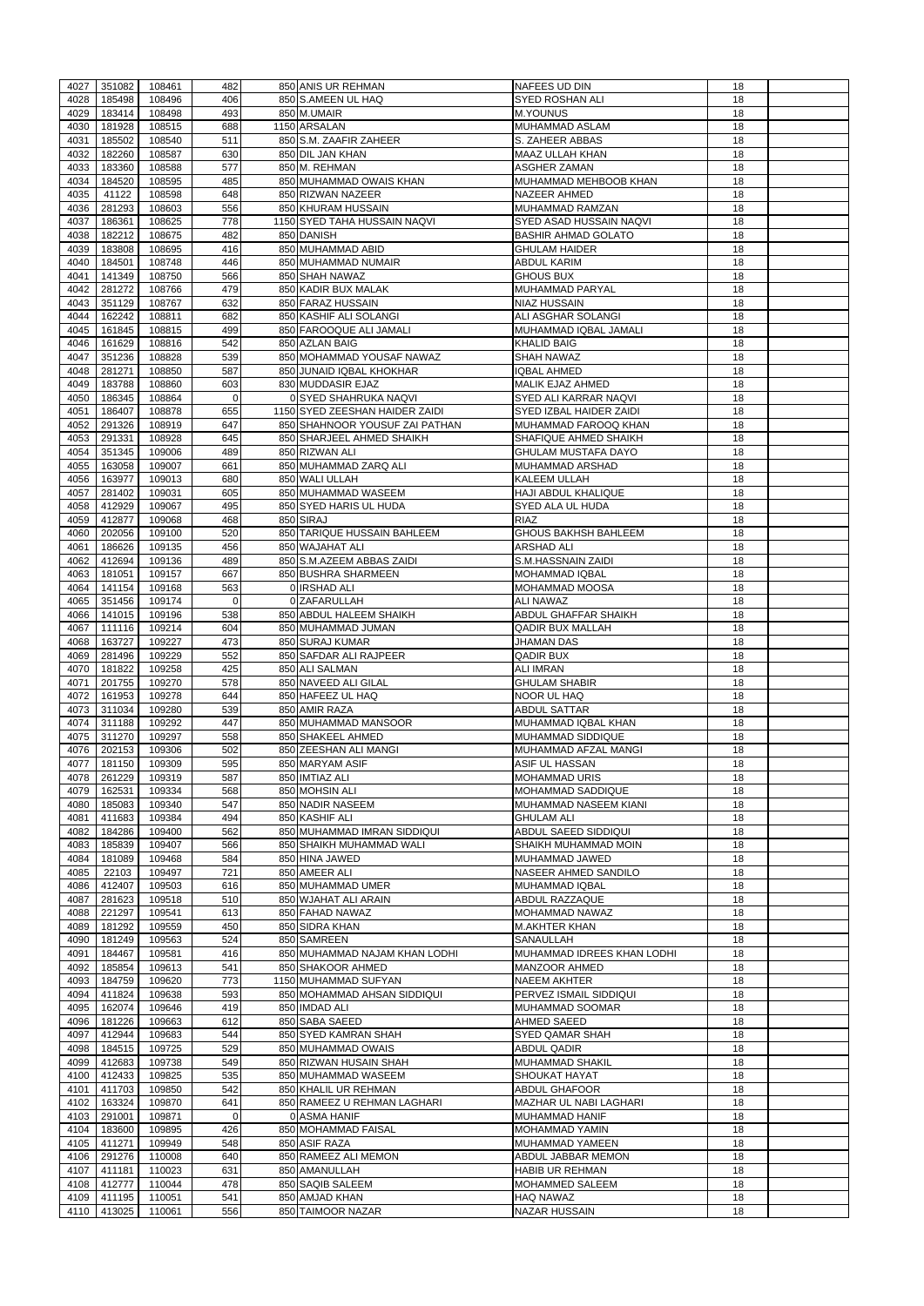| 4027         | 351082           | 108461             | 482            | 850 ANIS UR REHMAN                  | <b>NAFEES UD DIN</b>                         | 18       |  |
|--------------|------------------|--------------------|----------------|-------------------------------------|----------------------------------------------|----------|--|
| 4028         | 185498           | 108496             | 406            | 850 S.AMEEN UL HAQ                  | <b>SYED ROSHAN ALI</b>                       | 18       |  |
| 4029         | 183414           | 108498             | 493            | 850 M.UMAIR                         | <b>M.YOUNUS</b>                              | 18       |  |
| 4030         | 181928           | 108515             | 688            | 1150 ARSALAN                        | MUHAMMAD ASLAM                               | 18       |  |
| 4031         | 185502           | 108540             | 511            | 850 S.M. ZAAFIR ZAHEER              | S. ZAHEER ABBAS                              | 18       |  |
| 4032         | 182260           | 108587             | 630            | 850 DIL JAN KHAN                    | <b>MAAZ ULLAH KHAN</b>                       | 18       |  |
| 4033         | 183360           | 108588             | 577            | 850 M. REHMAN                       | <b>ASGHER ZAMAN</b>                          | 18       |  |
| 4034         | 184520           | 108595             | 485            | 850 MUHAMMAD OWAIS KHAN             | MUHAMMAD MEHBOOB KHAN                        | 18       |  |
| 4035         | 41122            | 108598             | 648            | 850 RIZWAN NAZEER                   | <b>NAZEER AHMED</b>                          | 18       |  |
| 4036         | 281293           | 108603             | 556            | 850 KHURAM HUSSAIN                  | MUHAMMAD RAMZAN                              | 18       |  |
| 4037         | 186361           | 108625             | 778            | 1150 SYED TAHA HUSSAIN NAQVI        | <b>SYED ASAD HUSSAIN NAQVI</b>               | 18       |  |
| 4038         | 182212           | 108675             | 482            | 850 DANISH                          | <b>BASHIR AHMAD GOLATO</b>                   | 18       |  |
| 4039         | 183808           | 108695             | 416            | 850 MUHAMMAD ABID                   | <b>GHULAM HAIDER</b>                         | 18       |  |
| 4040         | 184501           | 108748             | 446            | 850 MUHAMMAD NUMAIR                 | <b>ABDUL KARIM</b>                           | 18       |  |
| 4041         | 141349           | 108750             | 566            | 850 SHAH NAWAZ                      | <b>GHOUS BUX</b>                             | 18       |  |
| 4042         | 281272           | 108766             | 479            | 850 KADIR BUX MALAK                 | MUHAMMAD PARYAL                              | 18       |  |
| 4043         | 351129           | 108767             | 632            | 850 FARAZ HUSSAIN                   | <b>NIAZ HUSSAIN</b>                          | 18       |  |
| 4044         | 162242           | 108811             | 682            | 850 KASHIF ALI SOLANGI              | ALI ASGHAR SOLANGI                           | 18       |  |
| 4045         | 161845           | 108815             | 499            | 850 FAROOQUE ALI JAMALI             | MUHAMMAD IQBAL JAMALI                        | 18       |  |
| 4046         | 161629           | 108816             | 542            | 850 AZLAN BAIG                      | <b>KHALID BAIG</b>                           | 18       |  |
| 4047         | 351236           | 108828             | 539            | 850 MOHAMMAD YOUSAF NAWAZ           | <b>SHAH NAWAZ</b>                            | 18       |  |
| 4048         | 281271           | 108850             | 587            | 850 JUNAID IQBAL KHOKHAR            | <b>IQBAL AHMED</b>                           | 18       |  |
| 4049         | 183788           | 108860             | 603            | 830 MUDDASIR EJAZ                   | MALIK EJAZ AHMED                             | 18       |  |
| 4050         | 186345           | 108864             | $\overline{0}$ | 0 SYED SHAHRUKA NAQVI               | SYED ALI KARRAR NAQVI                        | 18       |  |
| 4051         | 186407           | 108878             | 655            | 1150 SYED ZEESHAN HAIDER ZAIDI      | SYED IZBAL HAIDER ZAIDI                      | 18       |  |
| 4052         | 291326           | 108919             | 647            | 850 SHAHNOOR YOUSUF ZAI PATHAN      | MUHAMMAD FAROOQ KHAN                         | 18       |  |
| 4053         | 291331           | 108928             | 645            | 850 SHARJEEL AHMED SHAIKH           | SHAFIQUE AHMED SHAIKH                        | 18       |  |
| 4054         | 351345           | 109006             | 489            | 850 RIZWAN ALI                      | <b>GHULAM MUSTAFA DAYO</b>                   | 18       |  |
| 4055         | 163058           | 109007             | 661            | 850 MUHAMMAD ZARQ ALI               | <b>MUHAMMAD ARSHAD</b>                       | 18       |  |
| 4056         | 163977           | 109013             | 680            | 850 WALI ULLAH                      | <b>KALEEM ULLAH</b>                          | 18       |  |
| 4057         | 281402           | 109031             | 605            | 850 MUHAMMAD WASEEM                 | <b>HAJI ABDUL KHALIQUE</b>                   | 18       |  |
| 4058         | 412929           | 109067             | 495            | 850 SYED HARIS UL HUDA              | SYED ALA UL HUDA                             | 18       |  |
| 4059         | 412877           | 109068             | 468            | 850 SIRAJ                           | <b>RIAZ</b>                                  | 18       |  |
| 4060         | 202056           | 109100             | 520            | 850 TARIQUE HUSSAIN BAHLEEM         | <b>GHOUS BAKHSH BAHLEEM</b>                  | 18       |  |
| 4061         | 186626           | 109135             | 456            | 850 WAJAHAT ALI                     | <b>ARSHAD ALI</b>                            | 18       |  |
| 4062         | 412694           | 109136             | 489            | 850 S.M.AZEEM ABBAS ZAIDI           | S.M.HASSNAIN ZAIDI                           | 18       |  |
| 4063         | 181051           | 109157             | 667            | 850 BUSHRA SHARMEEN                 | <b>MOHAMMAD IQBAL</b>                        | 18       |  |
| 4064         | 141154           | 109168             | 563            | 0 IRSHAD ALI                        | <b>MOHAMMAD MOOSA</b>                        | 18       |  |
| 4065         | 351456           | 109174             | $\Omega$       | 0 ZAFARULLAH                        | <b>ALI NAWAZ</b>                             | 18       |  |
| 4066         | 141015           | 109196             | 538            | 850 ABDUL HALEEM SHAIKH             | <b>ABDUL GHAFFAR SHAIKH</b>                  | 18       |  |
| 4067         | 111116           | 109214             | 604            | 850 MUHAMMAD JUMAN                  | <b>QADIR BUX MALLAH</b>                      | 18       |  |
| 4068         | 163727           | 109227             | 473            | 850 SURAJ KUMAR                     | <b>JHAMAN DAS</b>                            | 18       |  |
| 4069         | 281496           | 109229             | 552            | 850 SAFDAR ALI RAJPEER              | <b>QADIR BUX</b>                             | 18       |  |
| 4070         | 181822           | 109258             | 425            | 850 ALI SALMAN                      | <b>ALI IMRAN</b>                             | 18       |  |
| 4071         | 201755           | 109270             | 578            | 850 NAVEED ALI GILAL                | <b>GHULAM SHABIR</b>                         | 18       |  |
| 4072         | 161953           | 109278             | 644            | 850 HAFEEZ UL HAQ                   | <b>NOOR UL HAQ</b>                           | 18       |  |
| 4073         | 311034           | 109280             | 539            | 850 AMIR RAZA                       | <b>ABDUL SATTAR</b>                          | 18       |  |
| 4074         | 311188           | 109292             | 447            | 850 MUHAMMAD MANSOOR                | MUHAMMAD IQBAL KHAN                          | 18       |  |
| 4075         | 311270           | 109297             | 558            | 850 SHAKEEL AHMED                   | MUHAMMAD SIDDIQUE                            | 18       |  |
| 4076         | 202153           | 109306             | 502            | 850 ZEESHAN ALI MANGI               | MUHAMMAD AFZAL MANGI                         | 18       |  |
| 4077         | 181150           | 109309             | 595            | 850 MARYAM ASIF                     | ASIF UL HASSAN                               | 18       |  |
| 4078         | 261229           | 109319             | 587            | 850 IMTIAZ ALI                      | <b>MOHAMMAD URIS</b>                         | 18       |  |
| 4079         | 162531           | 109334             | 568            | 850 MOHSIN ALI                      | MOHAMMAD SADDIQUE                            | 18       |  |
| 4080         | 185083           | 109340             | 547            | 850 NADIR NASEEM                    | MUHAMMAD NASEEM KIANI                        | 18       |  |
| 4081         | 411683           | 109384             | 494            | 850 KASHIF ALI                      | <b>GHULAM ALI</b>                            | 18       |  |
| 4082         | 184286           | 109400             | 562            | 850 MUHAMMAD IMRAN SIDDIQUI         | ABDUL SAEED SIDDIQUI                         | 18       |  |
| 4083         | 185839           | 109407             | 566            | 850 SHAIKH MUHAMMAD WALI            | SHAIKH MUHAMMAD MOIN                         | 18       |  |
| 4084         | 181089           | 109468             | 584            | 850 HINA JAWED                      | MUHAMMAD JAWED                               | 18       |  |
| 4085         | 22103            | 109497             | 721            | 850 AMEER ALI                       | NASEER AHMED SANDILO                         | 18       |  |
| 4086         | 412407           | 109503             | 616            | 850 MUHAMMAD UMER                   | MUHAMMAD IQBAL                               | 18       |  |
| 4087         | 281623           | 109518             | 510            | 850 WJAHAT ALI ARAIN                | ABDUL RAZZAQUE                               | 18       |  |
| 4088         | 221297           | 109541             | 613            | 850 FAHAD NAWAZ                     | MOHAMMAD NAWAZ                               | 18       |  |
| 4089         | 181292           | 109559             | 450            | 850 SIDRA KHAN                      | <b>M.AKHTER KHAN</b>                         | 18       |  |
| 4090         | 181249           | 109563             | 524            | 850 SAMREEN                         | <b>SANAULLAH</b>                             | 18       |  |
| 4091         | 184467           | 109581             | 416            | 850 MUHAMMAD NAJAM KHAN LODHI       | MUHAMMAD IDREES KHAN LODHI                   | 18       |  |
| 4092         | 185854           | 109613             | 541            | 850 SHAKOOR AHMED                   | <b>MANZOOR AHMED</b>                         | 18       |  |
| 4093         | 184759           | 109620             | 773            | 1150 MUHAMMAD SUFYAN                | <b>NAEEM AKHTER</b>                          | 18       |  |
| 4094         | 411824           | 109638             | 593            | 850 MOHAMMAD AHSAN SIDDIQUI         | PERVEZ ISMAIL SIDDIQUI                       | 18       |  |
| 4095         | 162074           | 109646             | 419            | 850 IMDAD ALI                       | MUHAMMAD SOOMAR                              | 18       |  |
| 4096         | 181226           | 109663             | 612            | 850 SABA SAEED                      | <b>AHMED SAEED</b>                           | 18       |  |
| 4097         | 412944           | 109683             | 544            | 850 SYED KAMRAN SHAH                |                                              | 18       |  |
|              | 184515           | 109725             | 529            | 850 MUHAMMAD OWAIS                  | <b>SYED QAMAR SHAH</b><br><b>ABDUL QADIR</b> |          |  |
| 4098         |                  | 4099 412683 109738 | 549            | 850 RIZWAN HUSAIN SHAH              | <b>MUHAMMAD SHAKIL</b>                       | 18<br>18 |  |
|              |                  |                    |                |                                     |                                              |          |  |
| 4100         | 412433           | 109825             | 535            | 850 MUHAMMAD WASEEM                 | <b>SHOUKAT HAYAT</b>                         | 18       |  |
| 4101<br>4102 |                  | 109850             | 542            | 850 KHALIL UR REHMAN                | <b>ABDUL GHAFOOR</b>                         | 18<br>18 |  |
|              | 411703           |                    |                |                                     |                                              |          |  |
|              | 163324           | 109870             | 641            | 850 RAMEEZ U REHMAN LAGHARI         | <b>MAZHAR UL NABI LAGHARI</b>                |          |  |
| 4103         | 291001           | 109871             | $\overline{0}$ | 0 ASMA HANIF                        | <b>MUHAMMAD HANIF</b>                        | 18       |  |
| 4104         | 183600           | 109895             | 426            | 850 MOHAMMAD FAISAL                 | <b>MOHAMMAD YAMIN</b>                        | 18       |  |
| 4105         | 411271           | 109949             | 548            | 850 ASIF RAZA                       | MUHAMMAD YAMEEN                              | 18       |  |
| 4106         | 291276           | 110008             | 640            | 850 RAMEEZ ALI MEMON                | ABDUL JABBAR MEMON                           | 18       |  |
| 4107         | 411181           | 110023             | 631            | 850 AMANULLAH                       | <b>HABIB UR REHMAN</b>                       | 18       |  |
| 4108         | 412777           | 110044             | 478            | 850 SAQIB SALEEM                    | <b>MOHAMMED SALEEM</b>                       | 18       |  |
| 4109<br>4110 | 411195<br>413025 | 110051<br>110061   | 541<br>556     | 850 AMJAD KHAN<br>850 TAIMOOR NAZAR | <b>HAQ NAWAZ</b><br><b>NAZAR HUSSAIN</b>     | 18<br>18 |  |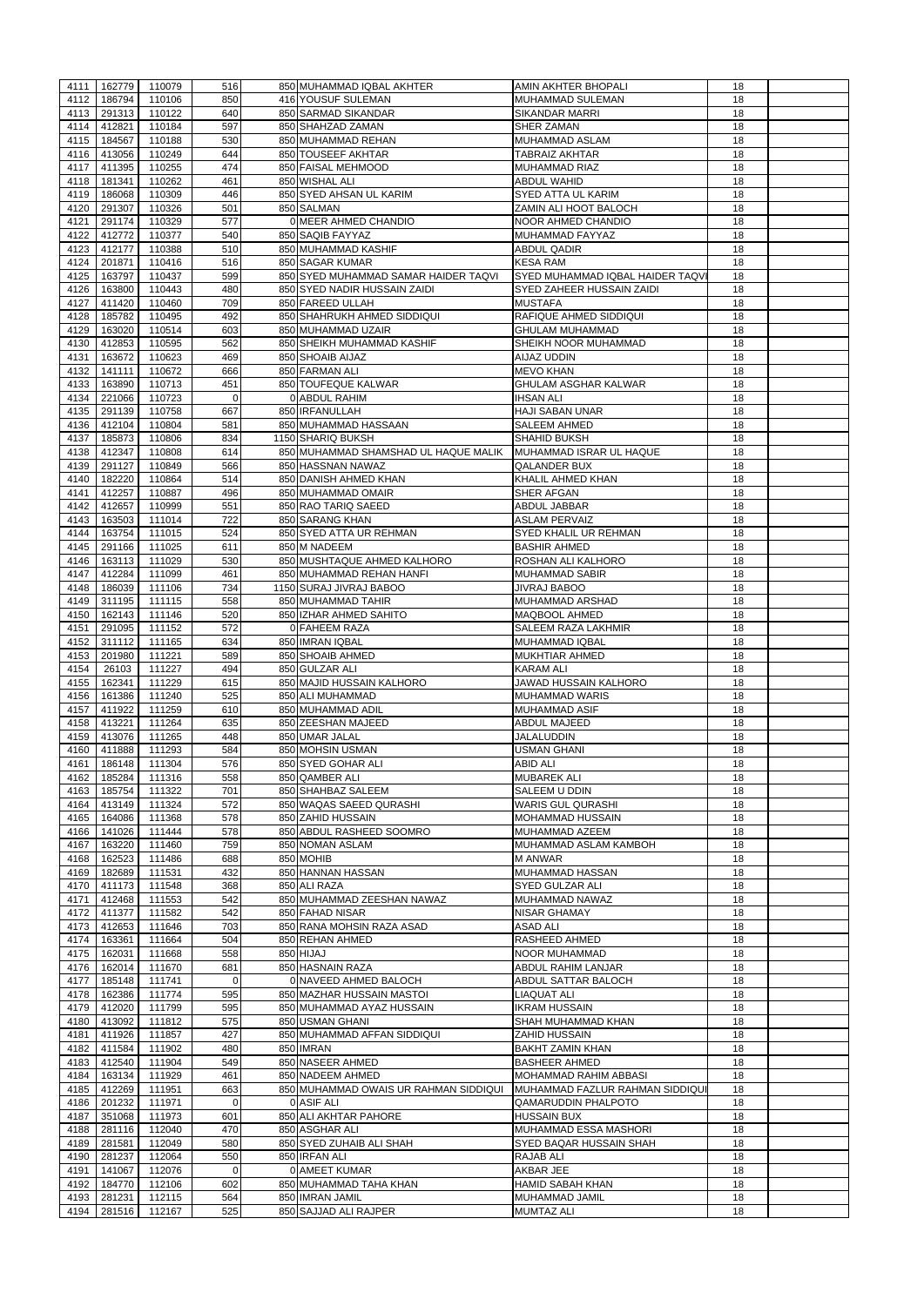| 4111 | 162779      | 110079             | 516         | 850 MUHAMMAD IQBAL AKHTER             | <b>AMIN AKHTER BHOPALI</b>       | 18 |  |
|------|-------------|--------------------|-------------|---------------------------------------|----------------------------------|----|--|
| 4112 | 186794      | 110106             | 850         | 416 YOUSUF SULEMAN                    | MUHAMMAD SULEMAN                 | 18 |  |
| 4113 | 291313      | 110122             | 640         | 850 SARMAD SIKANDAR                   | <b>SIKANDAR MARRI</b>            | 18 |  |
| 4114 | 412821      | 110184             | 597         | 850 SHAHZAD ZAMAN                     | <b>SHER ZAMAN</b>                | 18 |  |
| 4115 | 184567      | 110188             | 530         | 850 MUHAMMAD REHAN                    | <b>MUHAMMAD ASLAM</b>            | 18 |  |
| 4116 | 413056      | 110249             | 644         | 850 TOUSEEF AKHTAR                    | <b>TABRAIZ AKHTAR</b>            | 18 |  |
| 4117 | 411395      | 110255             | 474         | 850 FAISAL MEHMOOD                    | <b>MUHAMMAD RIAZ</b>             | 18 |  |
| 4118 | 181341      | 110262             | 461         | 850 WISHAL ALI                        | <b>ABDUL WAHID</b>               | 18 |  |
| 4119 | 186068      | 110309             | 446         | 850 SYED AHSAN UL KARIM               | <b>SYED ATTA UL KARIM</b>        | 18 |  |
| 4120 | 291307      | 110326             | 501         | 850 SALMAN                            | <b>ZAMIN ALI HOOT BALOCH</b>     | 18 |  |
| 4121 | 291174      | 110329             | 577         | 0 MEER AHMED CHANDIO                  | NOOR AHMED CHANDIO               | 18 |  |
| 4122 | 412772      | 110377             | 540         | 850 SAQIB FAYYAZ                      | MUHAMMAD FAYYAZ                  | 18 |  |
| 4123 | 412177      | 110388             | 510         | 850 MUHAMMAD KASHIF                   | <b>ABDUL QADIR</b>               | 18 |  |
| 4124 | 201871      | 110416             | 516         | 850 SAGAR KUMAR                       | <b>KESA RAM</b>                  | 18 |  |
|      | 163797      | 110437             | 599         | 850 SYED MUHAMMAD SAMAR HAIDER TAQVI  | SYED MUHAMMAD IQBAL HAIDER TAQVI | 18 |  |
| 4125 |             |                    |             |                                       |                                  |    |  |
| 4126 | 163800      | 110443             | 480         | 850 SYED NADIR HUSSAIN ZAIDI          | SYED ZAHEER HUSSAIN ZAIDI        | 18 |  |
| 4127 | 411420      | 110460             | 709         | 850 FAREED ULLAH                      | <b>MUSTAFA</b>                   | 18 |  |
| 4128 | 185782      | 110495             | 492         | 850 SHAHRUKH AHMED SIDDIQUI           | RAFIQUE AHMED SIDDIQUI           | 18 |  |
| 4129 | 163020      | 110514             | 603         | 850 MUHAMMAD UZAIR                    | <b>GHULAM MUHAMMAD</b>           | 18 |  |
| 4130 | 412853      | 110595             | 562         | 850 SHEIKH MUHAMMAD KASHIF            | SHEIKH NOOR MUHAMMAD             | 18 |  |
| 4131 | 163672      | 110623             | 469         | 850 SHOAIB AIJAZ                      | <b>AIJAZ UDDIN</b>               | 18 |  |
| 4132 | 141111      | 110672             | 666         | 850 FARMAN ALI                        | <b>MEVO KHAN</b>                 | 18 |  |
| 4133 | 163890      | 110713             | 451         | 850 TOUFEQUE KALWAR                   | <b>GHULAM ASGHAR KALWAR</b>      | 18 |  |
| 4134 | 221066      | 110723             | $\mathbf 0$ | 0 ABDUL RAHIM                         | <b>IHSAN ALI</b>                 | 18 |  |
| 4135 | 291139      | 110758             | 667         | 850 IRFANULLAH                        | <b>HAJI SABAN UNAR</b>           | 18 |  |
| 4136 | 412104      | 110804             | 581         | 850 MUHAMMAD HASSAAN                  | <b>SALEEM AHMED</b>              | 18 |  |
| 4137 | 185873      | 110806             | 834         | 1150 SHARIQ BUKSH                     | <b>SHAHID BUKSH</b>              | 18 |  |
| 4138 | 412347      | 110808             | 614         | 850 MUHAMMAD SHAMSHAD UL HAQUE MALIK  | MUHAMMAD ISRAR UL HAQUE          | 18 |  |
| 4139 | 291127      | 110849             | 566         | 850 HASSNAN NAWAZ                     | <b>QALANDER BUX</b>              | 18 |  |
| 4140 | 182220      | 110864             | 514         | 850 DANISH AHMED KHAN                 | KHALIL AHMED KHAN                | 18 |  |
| 4141 | 412257      | 110887             | 496         | 850 MUHAMMAD OMAIR                    | <b>SHER AFGAN</b>                | 18 |  |
| 4142 | 412657      | 110999             | 551         | 850 RAO TARIQ SAEED                   | <b>ABDUL JABBAR</b>              | 18 |  |
| 4143 | 163503      | 111014             | 722         | 850 SARANG KHAN                       | <b>ASLAM PERVAIZ</b>             | 18 |  |
| 4144 | 163754      | 111015             | 524         | 850 SYED ATTA UR REHMAN               | SYED KHALIL UR REHMAN            | 18 |  |
|      |             |                    |             |                                       |                                  |    |  |
| 4145 | 291166      | 111025             | 611         | 850 M NADEEM                          | <b>BASHIR AHMED</b>              | 18 |  |
| 4146 | 163113      | 111029             | 530         | 850 MUSHTAQUE AHMED KALHORO           | ROSHAN ALI KALHORO               | 18 |  |
|      | 4147 412284 | 111099             | 461         | 850 MUHAMMAD REHAN HANFI              | <b>MUHAMMAD SABIR</b>            | 18 |  |
| 4148 | 186039      | 111106             | 734         | 1150 SURAJ JIVRAJ BABOO               | <b>JIVRAJ BABOO</b>              | 18 |  |
| 4149 | 311195      | 111115             | 558         | 850 MUHAMMAD TAHIR                    | <b>MUHAMMAD ARSHAD</b>           | 18 |  |
| 4150 | 162143      | 111146             | 520         | 850 IZHAR AHMED SAHITO                | <b>MAQBOOL AHMED</b>             | 18 |  |
| 4151 | 291095      | 111152             | 572         | 0 FAHEEM RAZA                         | <b>SALEEM RAZA LAKHMIR</b>       | 18 |  |
| 4152 | 311112      | 111165             | 634         | 850 IMRAN IQBAL                       | <b>MUHAMMAD IQBAL</b>            | 18 |  |
| 4153 | 201980      | 111221             | 589         | 850 SHOAIB AHMED                      | <b>MUKHTIAR AHMED</b>            | 18 |  |
| 4154 | 26103       | 111227             | 494         | 850 GULZAR ALI                        | <b>KARAM ALI</b>                 | 18 |  |
| 4155 | 162341      | 111229             | 615         | 850 MAJID HUSSAIN KALHORO             | JAWAD HUSSAIN KALHORO            | 18 |  |
| 4156 | 161386      | 111240             | 525         | 850 ALI MUHAMMAD                      | <b>MUHAMMAD WARIS</b>            | 18 |  |
| 4157 | 411922      | 111259             | 610         | 850 MUHAMMAD ADIL                     | <b>MUHAMMAD ASIF</b>             | 18 |  |
| 4158 | 413221      | 111264             | 635         | 850 ZEESHAN MAJEED                    | <b>ABDUL MAJEED</b>              | 18 |  |
| 4159 | 413076      | 111265             | 448         | 850 UMAR JALAL                        | JALALUDDIN                       | 18 |  |
| 4160 | 411888      | 111293             | 584         | 850 MOHSIN USMAN                      | <b>USMAN GHANI</b>               | 18 |  |
| 4161 | 186148      | 111304             | 576         | 850 SYED GOHAR ALI                    | <b>ABID ALI</b>                  | 18 |  |
| 4162 | 185284      | 111316             | 558         | 850 QAMBER ALI                        | <b>MUBAREK ALI</b>               | 18 |  |
| 4163 | 185754      | 111322             | 701         | 850 SHAHBAZ SALEEM                    | SALEEM U DDIN                    | 18 |  |
| 4164 | 413149      | 111324             | 572         | 850 WAQAS SAEED QURASHI               | <b>WARIS GUL QURASHI</b>         | 18 |  |
| 4165 | 164086      | 111368             | 578         | 850 ZAHID HUSSAIN                     | <b>MOHAMMAD HUSSAIN</b>          | 18 |  |
|      |             |                    | 578         |                                       |                                  |    |  |
| 4166 | 141026      | 111444             |             | 850 ABDUL RASHEED SOOMRO              | MUHAMMAD AZEEM                   | 18 |  |
| 4167 | 163220      | 111460             | 759         | 850 NOMAN ASLAM                       | MUHAMMAD ASLAM KAMBOH            | 18 |  |
| 4168 | 162523      | 111486             | 688         | 850 MOHIB                             | <b>M ANWAR</b>                   | 18 |  |
| 4169 | 182689      | 111531             | 432         | 850 HANNAN HASSAN                     | <b>MUHAMMAD HASSAN</b>           | 18 |  |
| 4170 | 411173      | 111548             | 368         | 850 ALI RAZA                          | <b>SYED GULZAR ALI</b>           | 18 |  |
| 4171 | 412468      | 111553             | 542         | 850 MUHAMMAD ZEESHAN NAWAZ            | MUHAMMAD NAWAZ                   | 18 |  |
| 4172 | 411377      | 111582             | 542         | 850 FAHAD NISAR                       | <b>NISAR GHAMAY</b>              | 18 |  |
| 4173 | 412653      | 111646             | 703         | 850 RANA MOHSIN RAZA ASAD             | <b>ASAD ALI</b>                  | 18 |  |
| 4174 | 163361      | 111664             | 504         | 850 REHAN AHMED                       | RASHEED AHMED                    | 18 |  |
| 4175 | 162031      | 111668             | 558         | 850 HIJAJ                             | <b>NOOR MUHAMMAD</b>             | 18 |  |
| 4176 | 162014      | 111670             | 681         | 850 HASNAIN RAZA                      | <b>ABDUL RAHIM LANJAR</b>        | 18 |  |
| 4177 | 185148      | 111741             | $\Omega$    | 0 NAVEED AHMED BALOCH                 | ABDUL SATTAR BALOCH              | 18 |  |
| 4178 | 162386      | 111774             | 595         | 850 MAZHAR HUSSAIN MASTOI             | <b>LIAQUAT ALI</b>               | 18 |  |
| 4179 | 412020      | 111799             | 595         | 850 MUHAMMAD AYAZ HUSSAIN             | <b>IKRAM HUSSAIN</b>             | 18 |  |
| 4180 | 413092      | 111812             | 575         | 850 USMAN GHANI                       | SHAH MUHAMMAD KHAN               | 18 |  |
| 4181 | 411926      | 111857             | 427         | 850 MUHAMMAD AFFAN SIDDIQUI           | <b>ZAHID HUSSAIN</b>             | 18 |  |
| 4182 | 411584      | 111902             | 480         | 850 IMRAN                             | <b>BAKHT ZAMIN KHAN</b>          | 18 |  |
|      |             | 4183 412540 111904 | 549         | 850 NASEER AHMED                      | <b>BASHEER AHMED</b>             | 18 |  |
| 4184 | 163134      | 111929             | 461         | 850 NADEEM AHMED                      | <b>MOHAMMAD RAHIM ABBASI</b>     | 18 |  |
| 4185 | 412269      | 111951             | 663         | 850 MUHAMMAD OWAIS UR RAHMAN SIDDIQUI | IMUHAMMAD FAZLUR RAHMAN SIDDIQUI | 18 |  |
|      |             |                    |             |                                       |                                  |    |  |
| 4186 | 201232      | 111971             | 0           | 0 ASIF ALI                            | <b>QAMARUDDIN PHALPOTO</b>       | 18 |  |
| 4187 | 351068      | 111973             | 601         | 850 ALI AKHTAR PAHORE                 | <b>HUSSAIN BUX</b>               | 18 |  |
| 4188 | 281116      | 112040             | 470         | 850 ASGHAR ALI                        | MUHAMMAD ESSA MASHORI            | 18 |  |
| 4189 | 281581      | 112049             | 580         | 850 SYED ZUHAIB ALI SHAH              | <b>SYED BAQAR HUSSAIN SHAH</b>   | 18 |  |
| 4190 | 281237      | 112064             | 550         | 850 IRFAN ALI                         | RAJAB ALI                        | 18 |  |
| 4191 | 141067      | 112076             | $\Omega$    | 0 AMEET KUMAR                         | <b>AKBAR JEE</b>                 | 18 |  |
| 4192 | 184770      | 112106             | 602         | 850 MUHAMMAD TAHA KHAN                | <b>HAMID SABAH KHAN</b>          | 18 |  |
| 4193 | 281231      | 112115             | 564         | 850 IMRAN JAMIL                       | MUHAMMAD JAMIL                   | 18 |  |
|      | 281516      | 112167             | 525         | 850 SAJJAD ALI RAJPER                 | <b>MUMTAZ ALI</b>                | 18 |  |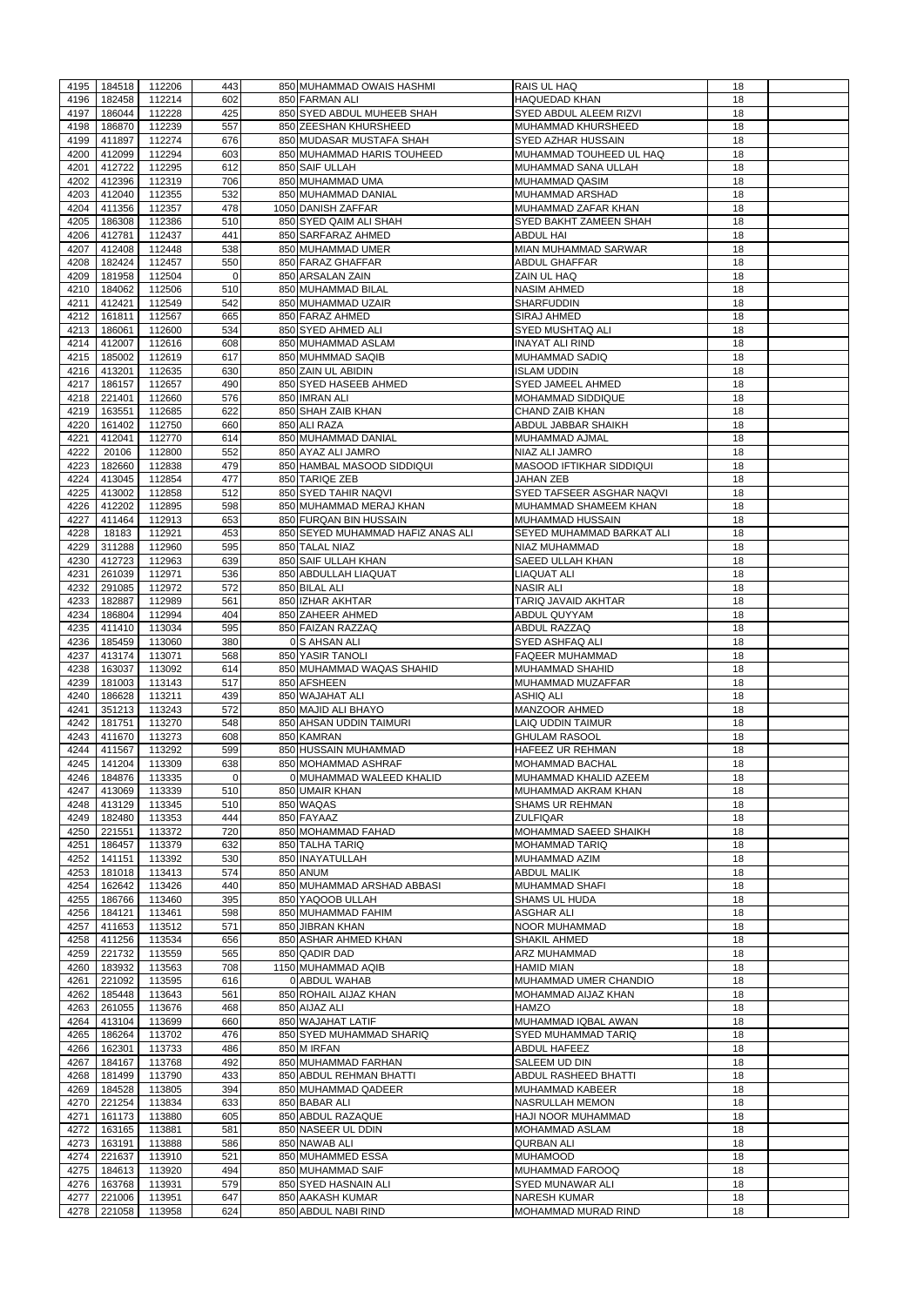| 4195 | 184518      | 112206           | 443         | 850 MUHAMMAD OWAIS HASHMI         | <b>RAIS UL HAQ</b>              | 18 |  |
|------|-------------|------------------|-------------|-----------------------------------|---------------------------------|----|--|
|      |             |                  |             |                                   |                                 |    |  |
| 4196 | 182458      | 112214           | 602         | 850 FARMAN ALI                    | <b>HAQUEDAD KHAN</b>            | 18 |  |
| 4197 | 186044      | 112228           | 425         | 850 SYED ABDUL MUHEEB SHAH        | SYED ABDUL ALEEM RIZVI          | 18 |  |
| 4198 | 186870      | 112239           | 557         | 850 ZEESHAN KHURSHEED             | MUHAMMAD KHURSHEED              | 18 |  |
| 4199 | 411897      | 112274           | 676         | 850 MUDASAR MUSTAFA SHAH          | SYED AZHAR HUSSAIN              | 18 |  |
| 4200 | 412099      | 112294           | 603         | 850 MUHAMMAD HARIS TOUHEED        | MUHAMMAD TOUHEED UL HAQ         | 18 |  |
| 4201 | 412722      | 112295           | 612         | 850 SAIF ULLAH                    | MUHAMMAD SANA ULLAH             | 18 |  |
| 4202 | 412396      | 112319           | 706         | 850 MUHAMMAD UMA                  | <b>MUHAMMAD QASIM</b>           | 18 |  |
| 4203 | 412040      | 112355           | 532         | 850 MUHAMMAD DANIAL               | <b>MUHAMMAD ARSHAD</b>          | 18 |  |
| 4204 | 411356      | 112357           | 478         | 1050 DANISH ZAFFAR                | MUHAMMAD ZAFAR KHAN             | 18 |  |
|      |             |                  |             |                                   |                                 |    |  |
| 4205 | 186308      | 112386           | 510         | 850 SYED QAIM ALI SHAH            | SYED BAKHT ZAMEEN SHAH          | 18 |  |
| 4206 | 412781      | 112437           | 441         | 850 SARFARAZ AHMED                | <b>ABDUL HAI</b>                | 18 |  |
| 4207 | 412408      | 112448           | 538         | 850 MUHAMMAD UMER                 | MIAN MUHAMMAD SARWAR            | 18 |  |
| 4208 | 182424      | 112457           | 550         | 850 FARAZ GHAFFAR                 | <b>ABDUL GHAFFAR</b>            | 18 |  |
| 4209 | 181958      | 112504           | $\mathbf 0$ | 850 ARSALAN ZAIN                  | ZAIN UL HAQ                     | 18 |  |
| 4210 | 184062      | 112506           | 510         | 850 MUHAMMAD BILAL                | <b>NASIM AHMED</b>              | 18 |  |
|      |             |                  | 542         |                                   | <b>SHARFUDDIN</b>               |    |  |
| 4211 | 412421      | 112549           |             | 850 MUHAMMAD UZAIR                |                                 | 18 |  |
| 4212 | 161811      | 112567           | 665         | 850 FARAZ AHMED                   | <b>SIRAJ AHMED</b>              | 18 |  |
| 4213 | 186061      | 112600           | 534         | 850 SYED AHMED ALI                | <b>SYED MUSHTAQ ALI</b>         | 18 |  |
| 4214 | 412007      | 112616           | 608         | 850 MUHAMMAD ASLAM                | <b>INAYAT ALI RIND</b>          | 18 |  |
| 4215 | 185002      | 112619           | 617         | 850 MUHMMAD SAQIB                 | <b>MUHAMMAD SADIQ</b>           | 18 |  |
| 4216 | 413201      | 112635           | 630         | 850 ZAIN UL ABIDIN                | <b>ISLAM UDDIN</b>              | 18 |  |
| 4217 | 186157      | 112657           | 490         | 850 SYED HASEEB AHMED             | <b>SYED JAMEEL AHMED</b>        | 18 |  |
|      |             |                  |             |                                   |                                 |    |  |
| 4218 | 221401      | 112660           | 576         | 850 IMRAN ALI                     | MOHAMMAD SIDDIQUE               | 18 |  |
| 4219 | 163551      | 112685           | 622         | 850 SHAH ZAIB KHAN                | <b>CHAND ZAIB KHAN</b>          | 18 |  |
| 4220 | 161402      | 112750           | 660         | 850 ALI RAZA                      | <b>ABDUL JABBAR SHAIKH</b>      | 18 |  |
| 4221 | 412041      | 112770           | 614         | 850 MUHAMMAD DANIAL               | MUHAMMAD AJMAL                  | 18 |  |
| 4222 | 20106       | 112800           | 552         | 850 AYAZ ALI JAMRO                | NIAZ ALI JAMRO                  | 18 |  |
| 4223 | 182660      | 112838           | 479         | 850 HAMBAL MASOOD SIDDIQUI        | <b>MASOOD IFTIKHAR SIDDIQUI</b> | 18 |  |
| 4224 | 413045      | 112854           | 477         | 850 TARIQE ZEB                    | <b>JAHAN ZEB</b>                | 18 |  |
|      |             |                  |             |                                   |                                 |    |  |
| 4225 | 413002      | 112858           | 512         | 850 SYED TAHIR NAQVI              | SYED TAFSEER ASGHAR NAQVI       | 18 |  |
| 4226 | 412202      | 112895           | 598         | 850 MUHAMMAD MERAJ KHAN           | MUHAMMAD SHAMEEM KHAN           | 18 |  |
| 4227 | 411464      | 112913           | 653         | 850 FURQAN BIN HUSSAIN            | <b>MUHAMMAD HUSSAIN</b>         | 18 |  |
| 4228 | 18183       | 112921           | 453         | 850 SEYED MUHAMMAD HAFIZ ANAS ALI | SEYED MUHAMMAD BARKAT ALI       | 18 |  |
| 4229 | 311288      | 112960           | 595         | 850 TALAL NIAZ                    | <b>NIAZ MUHAMMAD</b>            | 18 |  |
| 4230 | 412723      | 112963           | 639         | 850 SAIF ULLAH KHAN               | <b>SAEED ULLAH KHAN</b>         | 18 |  |
| 4231 | 261039      | 112971           | 536         | 850 ABDULLAH LIAQUAT              | <b>LIAQUAT ALI</b>              | 18 |  |
|      |             |                  |             |                                   |                                 |    |  |
| 4232 | 291085      | 112972           | 572         | 850 BILAL ALI                     | <b>NASIR ALI</b>                | 18 |  |
| 4233 | 182887      | 112989           | 561         | 850 IZHAR AKHTAR                  | <b>TARIQ JAVAID AKHTAR</b>      | 18 |  |
| 4234 | 186804      | 112994           | 404         | 850 ZAHEER AHMED                  | ABDUL QUYYAM                    | 18 |  |
| 4235 | 411410      | 113034           | 595         | 850 FAIZAN RAZZAQ                 | ABDUL RAZZAQ                    | 18 |  |
| 4236 | 185459      | 113060           | 380         | 0 S AHSAN ALI                     | <b>SYED ASHFAQ ALI</b>          | 18 |  |
| 4237 | 413174      | 113071           | 568         | 850 YASIR TANOLI                  | <b>FAQEER MUHAMMAD</b>          | 18 |  |
| 4238 | 163037      | 113092           | 614         | 850 MUHAMMAD WAQAS SHAHID         | <b>MUHAMMAD SHAHID</b>          | 18 |  |
|      |             |                  |             |                                   |                                 |    |  |
| 4239 | 181003      | 113143           | 517         | 850 AFSHEEN                       | MUHAMMAD MUZAFFAR               | 18 |  |
| 4240 | 186628      | 113211           | 439         | 850 WAJAHAT ALI                   | <b>ASHIQ ALI</b>                | 18 |  |
|      |             |                  |             | 850 MAJID ALI BHAYO               | MANZOOR AHMED                   |    |  |
| 4241 | 351213      | 113243           | 572         |                                   |                                 | 18 |  |
| 4242 | 181751      | 113270           | 548         | 850 AHSAN UDDIN TAIMURI           | <b>LAIQ UDDIN TAIMUR</b>        | 18 |  |
|      |             |                  |             |                                   |                                 |    |  |
| 4243 | 411670      | 113273           | 608         | 850 KAMRAN                        | <b>GHULAM RASOOL</b>            | 18 |  |
| 4244 | 411567      | 113292           | 599         | 850 HUSSAIN MUHAMMAD              | <b>HAFEEZ UR REHMAN</b>         | 18 |  |
| 4245 | 141204      | 113309           | 638         | 850 MOHAMMAD ASHRAF               | <b>MOHAMMAD BACHAL</b>          | 18 |  |
| 4246 | 184876      | 113335           | 0           | 0 MUHAMMAD WALEED KHALID          | MUHAMMAD KHALID AZEEM           | 18 |  |
| 4247 | 413069      | 113339           | 510         | 850 UMAIR KHAN                    | MUHAMMAD AKRAM KHAN             | 18 |  |
| 4248 | 413129      | 113345           | 510         | 850 WAQAS                         | <b>SHAMS UR REHMAN</b>          | 18 |  |
| 4249 | 182480      | 113353           | 444         | 850 FAYAAZ                        | <b>ZULFIQAR</b>                 | 18 |  |
| 4250 | 221551      | 113372           | 720         | 850 MOHAMMAD FAHAD                | MOHAMMAD SAEED SHAIKH           | 18 |  |
|      |             |                  |             |                                   |                                 |    |  |
| 4251 | 186457      | 113379           | 632         | 850 TALHA TARIQ                   | <b>MOHAMMAD TARIQ</b>           | 18 |  |
| 4252 | 141151      | 113392           | 530         | 850 INAYATULLAH                   | MUHAMMAD AZIM                   | 18 |  |
| 4253 | 181018      | 113413           | 574         | 850 ANUM                          | <b>ABDUL MALIK</b>              | 18 |  |
| 4254 | 162642      | 113426           | 440         | 850 MUHAMMAD ARSHAD ABBASI        | <b>MUHAMMAD SHAFI</b>           | 18 |  |
| 4255 | 186766      | 113460           | 395         | 850 YAQOOB ULLAH                  | <b>SHAMS UL HUDA</b>            | 18 |  |
| 4256 | 184121      | 113461           | 598         | 850 MUHAMMAD FAHIM                | <b>ASGHAR ALI</b>               | 18 |  |
| 4257 | 411653      | 113512           | 571         | 850 JIBRAN KHAN                   | <b>NOOR MUHAMMAD</b>            | 18 |  |
|      |             |                  |             |                                   |                                 |    |  |
| 4258 | 411256      | 113534           | 656         | 850 ASHAR AHMED KHAN              | <b>SHAKIL AHMED</b>             | 18 |  |
| 4259 | 221732      | 113559           | 565         | 850 QADIR DAD                     | <b>ARZ MUHAMMAD</b>             | 18 |  |
| 4260 | 183932      | 113563           | 708         | 1150 MUHAMMAD AQIB                | HAMID MIAN                      | 18 |  |
| 4261 | 221092      | 113595           | 616         | 0 ABDUL WAHAB                     | MUHAMMAD UMER CHANDIO           | 18 |  |
| 4262 | 185448      | 113643           | 561         | 850 ROHAIL AIJAZ KHAN             | MOHAMMAD AIJAZ KHAN             | 18 |  |
| 4263 | 261055      | 113676           | 468         | 850 AIJAZ ALI                     | <b>HAMZO</b>                    | 18 |  |
| 4264 | 413104      | 113699           | 660         | 850 WAJAHAT LATIF                 | MUHAMMAD IQBAL AWAN             | 18 |  |
|      |             |                  |             |                                   |                                 |    |  |
| 4265 | 186264      | 113702           | 476         | 850 SYED MUHAMMAD SHARIQ          | <b>SYED MUHAMMAD TARIQ</b>      | 18 |  |
| 4266 | 162301      | 113733           | 486         | 850 M IRFAN                       | <b>ABDUL HAFEEZ</b>             | 18 |  |
|      | 4267 184167 | 113768           | 492         | 850 MUHAMMAD FARHAN               | <b>SALEEM UD DIN</b>            | 18 |  |
| 4268 | 181499      | 113790           | 433         | 850 ABDUL REHMAN BHATTI           | <b>ABDUL RASHEED BHATTI</b>     | 18 |  |
| 4269 | 184528      | 113805           | 394         | 850 MUHAMMAD QADEER               | <b>MUHAMMAD KABEER</b>          | 18 |  |
| 4270 | 221254      | 113834           | 633         | 850 BABAR ALI                     | <b>NASRULLAH MEMON</b>          | 18 |  |
| 4271 | 161173      | 113880           | 605         | 850 ABDUL RAZAQUE                 | <b>HAJI NOOR MUHAMMAD</b>       | 18 |  |
|      |             |                  |             |                                   |                                 |    |  |
| 4272 | 163165      | 113881           | 581         | 850 NASEER UL DDIN                | <b>MOHAMMAD ASLAM</b>           | 18 |  |
| 4273 | 163191      | 113888           | 586         | 850 NAWAB ALI                     | <b>QURBAN ALI</b>               | 18 |  |
| 4274 | 221637      | 113910           | 521         | 850 MUHAMMED ESSA                 | <b>MUHAMOOD</b>                 | 18 |  |
| 4275 | 184613      | 113920           | 494         | 850 MUHAMMAD SAIF                 | MUHAMMAD FAROOQ                 | 18 |  |
| 4276 | 163768      | 113931           | 579         | 850 SYED HASNAIN ALI              | <b>SYED MUNAWAR ALI</b>         | 18 |  |
| 4277 | 221006      |                  | 647         | 850 AAKASH KUMAR                  | <b>NARESH KUMAR</b>             | 18 |  |
| 4278 | 221058      | 113951<br>113958 | 624         | 850 ABDUL NABI RIND               | <b>MOHAMMAD MURAD RIND</b>      | 18 |  |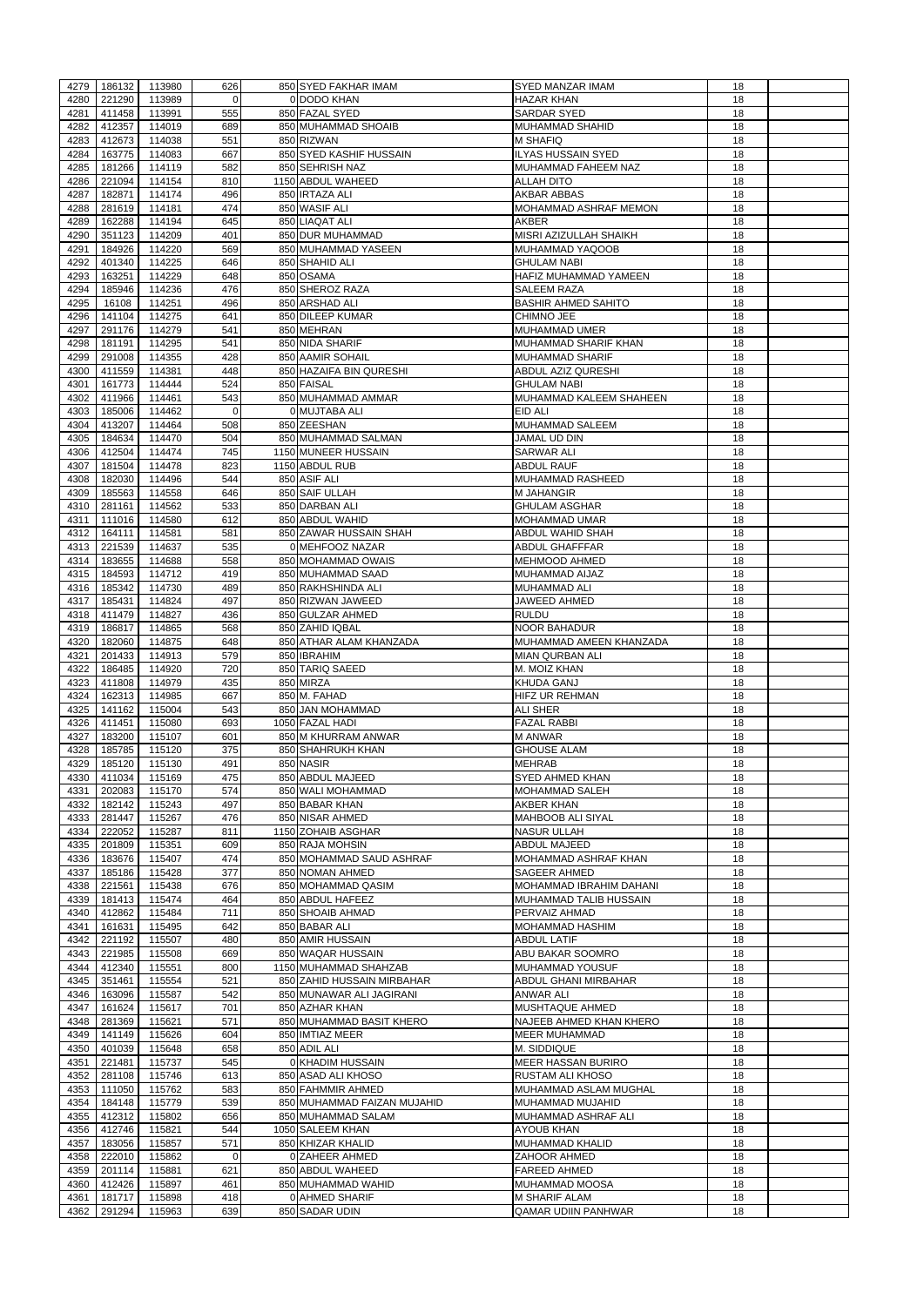| 4279         | 186132           | 113980             | 626         | 850 SYED FAKHAR IMAM             | <b>SYED MANZAR IMAM</b>                            | 18       |  |
|--------------|------------------|--------------------|-------------|----------------------------------|----------------------------------------------------|----------|--|
| 4280         | 221290           | 113989             | $\Omega$    | 0 DODO KHAN                      | <b>HAZAR KHAN</b>                                  | 18       |  |
| 4281         | 411458           | 113991             | 555         | 850 FAZAL SYED                   | <b>SARDAR SYED</b>                                 | 18       |  |
| 4282         | 412357           | 114019             | 689         | 850 MUHAMMAD SHOAIB              | <b>MUHAMMAD SHAHID</b>                             | 18       |  |
| 4283         | 412673           | 114038             | 551         | 850 RIZWAN                       | <b>M SHAFIQ</b>                                    | 18       |  |
| 4284         | 163775           | 114083             | 667         | 850 SYED KASHIF HUSSAIN          | <b>ILYAS HUSSAIN SYED</b>                          | 18       |  |
| 4285         | 181266           | 114119             | 582         | 850 SEHRISH NAZ                  | MUHAMMAD FAHEEM NAZ                                | 18       |  |
| 4286         | 221094           | 114154             | 810         | 1150 ABDUL WAHEED                | <b>ALLAH DITO</b>                                  | 18       |  |
| 4287         | 182871           | 114174             | 496         | 850 IRTAZA ALI                   | AKBAR ABBAS                                        | 18       |  |
| 4288         | 281619           | 114181             | 474         | 850 WASIF ALI                    | MOHAMMAD ASHRAF MEMON                              | 18       |  |
| 4289         | 162288           | 114194             | 645         | 850 LIAQAT ALI                   | <b>AKBER</b>                                       | 18       |  |
| 4290         | 351123           | 114209             | 401         | 850 DUR MUHAMMAD                 | MISRI AZIZULLAH SHAIKH                             | 18       |  |
| 4291         | 184926           | 114220             | 569         | 850 MUHAMMAD YASEEN              | MUHAMMAD YAQOOB                                    | 18       |  |
| 4292         | 401340           | 114225             | 646         | 850 SHAHID ALI                   | <b>GHULAM NABI</b>                                 | 18       |  |
| 4293         | 163251           | 114229             | 648         | 850 OSAMA                        | <b>HAFIZ MUHAMMAD YAMEEN</b>                       | 18       |  |
| 4294         | 185946           | 114236             | 476         | 850 SHEROZ RAZA                  | <b>SALEEM RAZA</b>                                 | 18       |  |
| 4295         | 16108            | 114251             | 496         | 850 ARSHAD ALI                   | <b>BASHIR AHMED SAHITO</b>                         | 18       |  |
| 4296         | 141104           | 114275             | 641         | 850 DILEEP KUMAR                 | <b>CHIMNO JEE</b>                                  | 18       |  |
| 4297         | 291176           | 114279             | 541         | 850 MEHRAN                       | <b>MUHAMMAD UMER</b>                               | 18       |  |
| 4298         | 181191           | 114295             | 541         | 850 NIDA SHARIF                  | MUHAMMAD SHARIF KHAN                               | 18       |  |
| 4299         | 291008           | 114355             | 428         | 850 AAMIR SOHAIL                 | <b>MUHAMMAD SHARIF</b>                             | 18       |  |
| 4300         | 411559           | 114381             | 448         | 850 HAZAIFA BIN QURESHI          | ABDUL AZIZ QURESHI                                 | 18       |  |
| 4301         | 161773           | 114444             | 524         | 850 FAISAL                       | <b>GHULAM NABI</b>                                 | 18       |  |
| 4302         | 411966           | 114461             | 543         | 850 MUHAMMAD AMMAR               | MUHAMMAD KALEEM SHAHEEN                            | 18       |  |
| 4303         | 185006           | 114462             | $\mathbf 0$ | 0 MUJTABA ALI                    | <b>EID ALI</b>                                     | 18       |  |
| 4304         | 413207           | 114464             | 508         | 850 ZEESHAN                      | MUHAMMAD SALEEM                                    | 18       |  |
| 4305         | 184634           | 114470             | 504         | 850 MUHAMMAD SALMAN              | JAMAL UD DIN                                       | 18       |  |
| 4306         | 412504           | 114474             | 745         | 1150 MUNEER HUSSAIN              | SARWAR ALI                                         | 18       |  |
| 4307         | 181504           | 114478             | 823         | 1150 ABDUL RUB                   | <b>ABDUL RAUF</b>                                  | 18       |  |
| 4308         | 182030           | 114496             | 544         | 850 ASIF ALI                     | MUHAMMAD RASHEED                                   | 18       |  |
| 4309         | 185563           | 114558             | 646         | 850 SAIF ULLAH                   | <b>M JAHANGIR</b>                                  | 18       |  |
| 4310         | 281161           | 114562             | 533         | 850 DARBAN ALI                   | <b>GHULAM ASGHAR</b>                               | 18       |  |
| 4311         | 111016           | 114580             | 612         | 850 ABDUL WAHID                  | <b>MOHAMMAD UMAR</b>                               | 18       |  |
| 4312         | 164111           | 114581             | 581         | 850 ZAWAR HUSSAIN SHAH           | ABDUL WAHID SHAH                                   | 18       |  |
| 4313         | 221539           | 114637             | 535         | 0 MEHFOOZ NAZAR                  | <b>ABDUL GHAFFFAR</b>                              | 18       |  |
| 4314         | 183655           | 114688             | 558         | 850 MOHAMMAD OWAIS               | <b>MEHMOOD AHMED</b>                               | 18       |  |
|              | 4315 184593      | 114712             | 419         | 850 MUHAMMAD SAAD                | MUHAMMAD AIJAZ                                     | 18       |  |
| 4316         | 185342           | 114730             | 489         | 850 RAKHSHINDA ALI               | MUHAMMAD ALI                                       | 18       |  |
| 4317         | 185431           | 114824             | 497         | 850 RIZWAN JAWEED                | JAWEED AHMED                                       | 18       |  |
| 4318         | 411479           | 114827             | 436         | 850 GULZAR AHMED                 | <b>RULDU</b>                                       | 18       |  |
| 4319         | 186817           | 114865             | 568         | 850 ZAHID IQBAL                  | <b>NOOR BAHADUR</b>                                | 18       |  |
| 4320         | 182060           | 114875             | 648         | 850 ATHAR ALAM KHANZADA          | MUHAMMAD AMEEN KHANZADA                            | 18       |  |
| 4321         | 201433           | 114913             | 579         | 850 IBRAHIM                      | <b>MIAN QURBAN ALI</b>                             | 18       |  |
| 4322         | 186485           | 114920             | 720         | 850 TARIQ SAEED                  | M. MOIZ KHAN                                       | 18       |  |
| 4323         | 411808           | 114979             | 435         | 850 MIRZA                        | <b>KHUDA GANJ</b>                                  | 18       |  |
|              |                  |                    |             |                                  |                                                    |          |  |
| 4324         | 162313           | 114985             | 667         | 850 M. FAHAD                     | HIFZ UR REHMAN                                     | 18       |  |
| 4325         | 141162           | 115004             | 543         | 850 JAN MOHAMMAD                 | <b>ALI SHER</b>                                    | 18       |  |
| 4326         | 411451           | 115080             | 693         | 1050 FAZAL HADI                  | <b>FAZAL RABBI</b>                                 | 18       |  |
| 4327         | 183200           | 115107             | 601         | 850 M KHURRAM ANWAR              | <b>M ANWAR</b>                                     | 18       |  |
| 4328         | 185785           | 115120             | 375         | 850 SHAHRUKH KHAN                | <b>GHOUSE ALAM</b>                                 | 18       |  |
| 4329         | 185120           | 115130             | 491         | 850 NASIR                        | <b>MEHRAB</b>                                      | 18       |  |
| 4330         | 411034           | 115169             | 475         | 850 ABDUL MAJEED                 | <b>SYED AHMED KHAN</b>                             | 18       |  |
| 4331         | 202083           | 115170             | 574         | 850 WALI MOHAMMAD                | <b>MOHAMMAD SALEH</b>                              | 18       |  |
| 4332         | 182142           | 115243             | 497         | 850 BABAR KHAN                   | <b>AKBER KHAN</b>                                  | 18       |  |
| 4333         | 281447           | 115267             | 476         | 850 NISAR AHMED                  | MAHBOOB ALI SIYAL                                  | 18       |  |
| 4334         | 222052           | 115287             | 811         | 1150 ZOHAIB ASGHAR               | <b>NASUR ULLAH</b>                                 | 18       |  |
| 4335         | 201809           | 115351             | 609         | 850 RAJA MOHSIN                  | ABDUL MAJEED                                       | 18       |  |
| 4336         | 183676           | 115407             | 474         | 850 MOHAMMAD SAUD ASHRAF         | MOHAMMAD ASHRAF KHAN                               | 18       |  |
| 4337         | 185186           | 115428             | 377         | 850 NOMAN AHMED                  | SAGEER AHMED                                       | 18       |  |
| 4338         | 221561           | 115438             | 676         | 850 MOHAMMAD QASIM               | MOHAMMAD IBRAHIM DAHANI                            | 18       |  |
| 4339         | 181413           | 115474             | 464         | 850 ABDUL HAFEEZ                 | MUHAMMAD TALIB HUSSAIN                             | 18       |  |
| 4340         | 412862           | 115484             | 711         | 850 SHOAIB AHMAD                 | PERVAIZ AHMAD                                      | 18       |  |
| 4341         | 161631           | 115495             | 642         | 850 BABAR ALI                    | MOHAMMAD HASHIM                                    | 18       |  |
| 4342         | 221192           | 115507             | 480         | 850 AMIR HUSSAIN                 | <b>ABDUL LATIF</b>                                 | 18       |  |
| 4343         | 221985           | 115508             | 669         | 850 WAQAR HUSSAIN                | ABU BAKAR SOOMRO                                   | 18       |  |
| 4344         | 412340           | 115551             | 800         | 1150 MUHAMMAD SHAHZAB            | MUHAMMAD YOUSUF                                    | 18       |  |
| 4345         | 351461           | 115554             | 521         | 850 ZAHID HUSSAIN MIRBAHAR       | ABDUL GHANI MIRBAHAR                               | 18       |  |
| 4346         | 163096           | 115587             | 542         | 850 MUNAWAR ALI JAGIRANI         | <b>ANWAR ALI</b>                                   | 18       |  |
| 4347         | 161624           | 115617             | 701         | 850 AZHAR KHAN                   | MUSHTAQUE AHMED                                    | 18       |  |
| 4348         | 281369           | 115621             | 571         | 850 MUHAMMAD BASIT KHERO         | <b>NAJEEB AHMED KHAN KHERO</b>                     | 18       |  |
| 4349         | 141149           | 115626             | 604         | 850 IMTIAZ MEER                  | <b>MEER MUHAMMAD</b>                               | 18       |  |
| 4350         | 401039           | 115648             | 658         | 850 ADIL ALI                     | M. SIDDIQUE                                        | 18       |  |
|              |                  | 4351 221481 115737 | 545         | 0 KHADIM HUSSAIN                 | MEER HASSAN BURIRO                                 | 18       |  |
| 4352         | 281108           | 115746             | 613         | 850 ASAD ALI KHOSO               | RUSTAM ALI KHOSO                                   | 18       |  |
| 4353         | 111050           | 115762             | 583         | 850 FAHMMIR AHMED                | MUHAMMAD ASLAM MUGHAL                              | 18       |  |
| 4354         | 184148           | 115779             | 539         | 850 MUHAMMAD FAIZAN MUJAHID      | MUHAMMAD MUJAHID                                   | 18       |  |
| 4355         | 412312           | 115802             | 656         | 850 MUHAMMAD SALAM               | MUHAMMAD ASHRAF ALI                                | 18       |  |
| 4356         | 412746           | 115821             | 544         | 1050 SALEEM KHAN                 | AYOUB KHAN                                         | 18       |  |
| 4357         | 183056           | 115857             | 571         | 850 KHIZAR KHALID                | MUHAMMAD KHALID                                    | 18       |  |
| 4358         | 222010           | 115862             | $\Omega$    | 0 ZAHEER AHMED                   | <b>ZAHOOR AHMED</b>                                | 18       |  |
| 4359         | 201114           | 115881             | 621         | 850 ABDUL WAHEED                 | <b>FAREED AHMED</b>                                | 18       |  |
| 4360         | 412426           | 115897             | 461         | 850 MUHAMMAD WAHID               | <b>MUHAMMAD MOOSA</b>                              | 18       |  |
| 4361<br>4362 | 181717<br>291294 | 115898<br>115963   | 418<br>639  | 0 AHMED SHARIF<br>850 SADAR UDIN | <b>M SHARIF ALAM</b><br><b>QAMAR UDIIN PANHWAR</b> | 18<br>18 |  |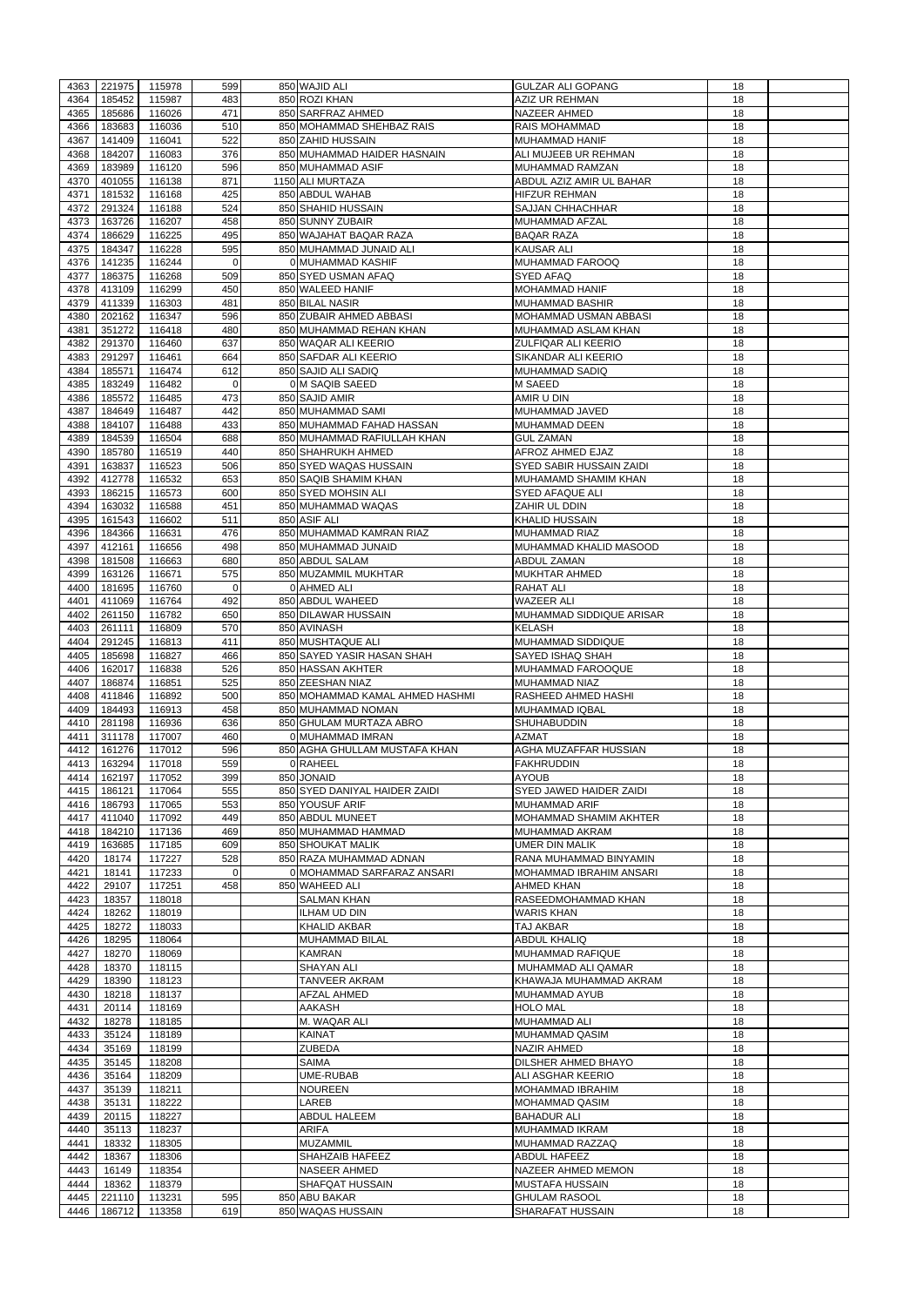| 4363 | 221975 | 115978 | 599            | 850 WAJID ALI                   | <b>GULZAR ALI GOPANG</b>        | 18 |  |
|------|--------|--------|----------------|---------------------------------|---------------------------------|----|--|
|      | 185452 |        | 483            | 850 ROZI KHAN                   | <b>AZIZ UR REHMAN</b>           | 18 |  |
| 4364 |        | 115987 |                |                                 |                                 |    |  |
| 4365 | 185686 | 116026 | 471            | 850 SARFRAZ AHMED               | <b>NAZEER AHMED</b>             | 18 |  |
| 4366 | 183683 | 116036 | 510            | 850 MOHAMMAD SHEHBAZ RAIS       | <b>RAIS MOHAMMAD</b>            | 18 |  |
| 4367 | 141409 | 116041 | 522            | 850 ZAHID HUSSAIN               | MUHAMMAD HANIF                  | 18 |  |
| 4368 | 184207 | 116083 | 376            | 850 MUHAMMAD HAIDER HASNAIN     | ALI MUJEEB UR REHMAN            | 18 |  |
| 4369 | 183989 | 116120 | 596            | 850 MUHAMMAD ASIF               | MUHAMMAD RAMZAN                 | 18 |  |
| 4370 | 401055 | 116138 | 871            | 1150 ALI MURTAZA                | ABDUL AZIZ AMIR UL BAHAR        | 18 |  |
| 4371 | 181532 | 116168 | 425            | 850 ABDUL WAHAB                 | <b>HIFZUR REHMAN</b>            | 18 |  |
| 4372 | 291324 | 116188 | 524            | 850 SHAHID HUSSAIN              | <b>SAJJAN CHHACHHAR</b>         | 18 |  |
| 4373 | 163726 | 116207 | 458            | 850 SUNNY ZUBAIR                | MUHAMMAD AFZAL                  | 18 |  |
| 4374 | 186629 | 116225 | 495            | 850 WAJAHAT BAQAR RAZA          | <b>BAQAR RAZA</b>               | 18 |  |
| 4375 | 184347 | 116228 | 595            | 850 MUHAMMAD JUNAID ALI         | <b>KAUSAR ALI</b>               | 18 |  |
| 4376 | 141235 | 116244 | $\overline{0}$ | 0 MUHAMMAD KASHIF               | <b>MUHAMMAD FAROOQ</b>          | 18 |  |
| 4377 | 186375 | 116268 | 509            | 850 SYED USMAN AFAQ             | <b>SYED AFAQ</b>                | 18 |  |
| 4378 | 413109 | 116299 | 450            | 850 WALEED HANIF                | <b>MOHAMMAD HANIF</b>           | 18 |  |
| 4379 | 411339 | 116303 | 481            | 850 BILAL NASIR                 | <b>MUHAMMAD BASHIR</b>          | 18 |  |
| 4380 | 202162 | 116347 | 596            | 850 ZUBAIR AHMED ABBASI         | MOHAMMAD USMAN ABBASI           | 18 |  |
|      | 351272 |        | 480            | 850 MUHAMMAD REHAN KHAN         |                                 | 18 |  |
| 4381 |        | 116418 |                |                                 | MUHAMMAD ASLAM KHAN             |    |  |
| 4382 | 291370 | 116460 | 637            | 850 WAQAR ALI KEERIO            | ZULFIQAR ALI KEERIO             | 18 |  |
| 4383 | 291297 | 116461 | 664            | 850 SAFDAR ALI KEERIO           | SIKANDAR ALI KEERIO             | 18 |  |
| 4384 | 185571 | 116474 | 612            | 850 SAJID ALI SADIQ             | <b>MUHAMMAD SADIQ</b>           | 18 |  |
| 4385 | 183249 | 116482 | $\overline{0}$ | 0 M SAQIB SAEED                 | <b>M SAEED</b>                  | 18 |  |
| 4386 | 185572 | 116485 | 473            | 850 SAJID AMIR                  | AMIR U DIN                      | 18 |  |
| 4387 | 184649 | 116487 | 442            | 850 MUHAMMAD SAMI               | MUHAMMAD JAVED                  | 18 |  |
| 4388 | 184107 | 116488 | 433            | 850 MUHAMMAD FAHAD HASSAN       | <b>MUHAMMAD DEEN</b>            | 18 |  |
| 4389 | 184539 | 116504 | 688            | 850 MUHAMMAD RAFIULLAH KHAN     | <b>GUL ZAMAN</b>                | 18 |  |
| 4390 | 185780 | 116519 | 440            | 850 SHAHRUKH AHMED              | <b>AFROZ AHMED EJAZ</b>         | 18 |  |
| 4391 | 163837 | 116523 | 506            | 850 SYED WAQAS HUSSAIN          | <b>SYED SABIR HUSSAIN ZAIDI</b> | 18 |  |
| 4392 | 412778 | 116532 | 653            | 850 SAQIB SHAMIM KHAN           | MUHAMAMD SHAMIM KHAN            | 18 |  |
| 4393 | 186215 | 116573 | 600            | 850 SYED MOHSIN ALI             | <b>SYED AFAQUE ALI</b>          | 18 |  |
| 4394 | 163032 | 116588 | 451            | 850 MUHAMMAD WAQAS              | ZAHIR UL DDIN                   | 18 |  |
| 4395 | 161543 | 116602 | 511            | 850 ASIF ALI                    | <b>KHALID HUSSAIN</b>           | 18 |  |
|      |        |        |                |                                 |                                 |    |  |
| 4396 | 184366 | 116631 | 476            | 850 MUHAMMAD KAMRAN RIAZ        | <b>MUHAMMAD RIAZ</b>            | 18 |  |
| 4397 | 412161 | 116656 | 498            | 850 MUHAMMAD JUNAID             | MUHAMMAD KHALID MASOOD          | 18 |  |
| 4398 | 181508 | 116663 | 680            | 850 ABDUL SALAM                 | <b>ABDUL ZAMAN</b>              | 18 |  |
| 4399 | 163126 | 116671 | 575            | 850 MUZAMMIL MUKHTAR            | <b>MUKHTAR AHMED</b>            | 18 |  |
| 4400 | 181695 | 116760 | $\Omega$       | 0 AHMED ALI                     | <b>RAHAT ALI</b>                | 18 |  |
| 4401 | 411069 | 116764 | 492            | 850 ABDUL WAHEED                | <b>WAZEER ALI</b>               | 18 |  |
| 4402 | 261150 | 116782 | 650            | 850 DILAWAR HUSSAIN             | MUHAMMAD SIDDIQUE ARISAR        | 18 |  |
| 4403 | 261111 | 116809 | 570            | 850 AVINASH                     | <b>KELASH</b>                   | 18 |  |
| 4404 | 291245 | 116813 | 411            | 850 MUSHTAQUE ALI               | MUHAMMAD SIDDIQUE               | 18 |  |
| 4405 | 185698 | 116827 | 466            | 850 SAYED YASIR HASAN SHAH      | <b>SAYED ISHAQ SHAH</b>         | 18 |  |
| 4406 | 162017 | 116838 | 526            | 850 HASSAN AKHTER               | MUHAMMAD FAROOQUE               | 18 |  |
| 4407 | 186874 | 116851 | 525            | 850 ZEESHAN NIAZ                | MUHAMMAD NIAZ                   | 18 |  |
| 4408 | 411846 | 116892 | 500            | 850 MOHAMMAD KAMAL AHMED HASHMI | RASHEED AHMED HASHI             | 18 |  |
|      |        |        |                |                                 |                                 |    |  |
| 4409 | 184493 | 116913 | 458            | 850 MUHAMMAD NOMAN              | <b>MUHAMMAD IQBAL</b>           | 18 |  |
| 4410 | 281198 | 116936 | 636            | 850 GHULAM MURTAZA ABRO         | <b>SHUHABUDDIN</b>              | 18 |  |
| 4411 | 311178 | 117007 | 460            | 0 MUHAMMAD IMRAN                | <b>AZMAT</b>                    | 18 |  |
| 4412 | 161276 | 117012 | 596            | 850 AGHA GHULLAM MUSTAFA KHAN   | AGHA MUZAFFAR HUSSIAN           | 18 |  |
| 4413 | 163294 | 117018 | 559            | 0 RAHEEL                        | <b>FAKHRUDDIN</b>               | 18 |  |
| 4414 | 162197 | 117052 | 399            | 850 JONAID                      | <b>AYOUB</b>                    | 18 |  |
| 4415 | 186121 | 117064 | 555            | 850 SYED DANIYAL HAIDER ZAIDI   | SYED JAWED HAIDER ZAIDI         | 18 |  |
| 4416 | 186793 | 117065 | 553            | 850 YOUSUF ARIF                 | MUHAMMAD ARIF                   | 18 |  |
| 4417 | 411040 | 117092 | 449            | 850 ABDUL MUNEET                | <b>MOHAMMAD SHAMIM AKHTER</b>   | 18 |  |
| 4418 | 184210 | 117136 | 469            | 850 MUHAMMAD HAMMAD             | <b>MUHAMMAD AKRAM</b>           | 18 |  |
| 4419 | 163685 | 117185 | 609            | 850 SHOUKAT MALIK               | UMER DIN MALIK                  | 18 |  |
| 4420 | 18174  | 117227 | 528            | 850 RAZA MUHAMMAD ADNAN         | RANA MUHAMMAD BINYAMIN          | 18 |  |
| 4421 | 18141  | 117233 | $\Omega$       | 0 MOHAMMAD SARFARAZ ANSARI      | <b>MOHAMMAD IBRAHIM ANSARI</b>  | 18 |  |
| 4422 | 29107  | 117251 | 458            | 850 WAHEED ALI                  | <b>AHMED KHAN</b>               | 18 |  |
| 4423 | 18357  | 118018 |                | <b>SALMAN KHAN</b>              | RASEEDMOHAMMAD KHAN             | 18 |  |
| 4424 | 18262  | 118019 |                | ILHAM UD DIN                    | <b>WARIS KHAN</b>               | 18 |  |
| 4425 | 18272  | 118033 |                | <b>KHALID AKBAR</b>             | <b>TAJ AKBAR</b>                | 18 |  |
|      |        |        |                |                                 |                                 |    |  |
| 4426 | 18295  | 118064 |                | MUHAMMAD BILAL                  | <b>ABDUL KHALIQ</b>             | 18 |  |
| 4427 | 18270  | 118069 |                | <b>KAMRAN</b>                   | MUHAMMAD RAFIQUE                | 18 |  |
| 4428 | 18370  | 118115 |                | SHAYAN ALI                      | MUHAMMAD ALI QAMAR              | 18 |  |
| 4429 | 18390  | 118123 |                | <b>TANVEER AKRAM</b>            | KHAWAJA MUHAMMAD AKRAM          | 18 |  |
| 4430 | 18218  | 118137 |                | <b>AFZAL AHMED</b>              | <b>MUHAMMAD AYUB</b>            | 18 |  |
| 4431 | 20114  | 118169 |                | <b>AAKASH</b>                   | <b>HOLO MAL</b>                 | 18 |  |
| 4432 | 18278  | 118185 |                | M. WAQAR ALI                    | MUHAMMAD ALI                    | 18 |  |
| 4433 | 35124  | 118189 |                | <b>KAINAT</b>                   | MUHAMMAD QASIM                  | 18 |  |
| 4434 | 35169  | 118199 |                | ZUBEDA                          | <b>NAZIR AHMED</b>              | 18 |  |
| 4435 | 35145  | 118208 |                | <b>SAIMA</b>                    | <b>DILSHER AHMED BHAYO</b>      | 18 |  |
| 4436 | 35164  | 118209 |                | UME-RUBAB                       | ALI ASGHAR KEERIO               | 18 |  |
| 4437 | 35139  | 118211 |                | NOUREEN                         | MOHAMMAD IBRAHIM                | 18 |  |
| 4438 | 35131  | 118222 |                | LAREB                           | <b>MOHAMMAD QASIM</b>           | 18 |  |
| 4439 | 20115  | 118227 |                | ABDUL HALEEM                    | <b>BAHADUR ALI</b>              | 18 |  |
| 4440 | 35113  | 118237 |                | <b>ARIFA</b>                    | MUHAMMAD IKRAM                  | 18 |  |
|      |        |        |                |                                 |                                 |    |  |
| 4441 | 18332  | 118305 |                | <b>MUZAMMIL</b>                 | MUHAMMAD RAZZAQ                 | 18 |  |
| 4442 | 18367  | 118306 |                | SHAHZAIB HAFEEZ                 | <b>ABDUL HAFEEZ</b>             | 18 |  |
| 4443 | 16149  | 118354 |                | <b>NASEER AHMED</b>             | NAZEER AHMED MEMON              | 18 |  |
| 4444 | 18362  | 118379 |                | SHAFQAT HUSSAIN                 | <b>MUSTAFA HUSSAIN</b>          | 18 |  |
| 4445 | 221110 | 113231 | 595            | 850 ABU BAKAR                   | <b>GHULAM RASOOL</b>            | 18 |  |
|      |        | 113358 | 619            | 850 WAQAS HUSSAIN               | <b>SHARAFAT HUSSAIN</b>         | 18 |  |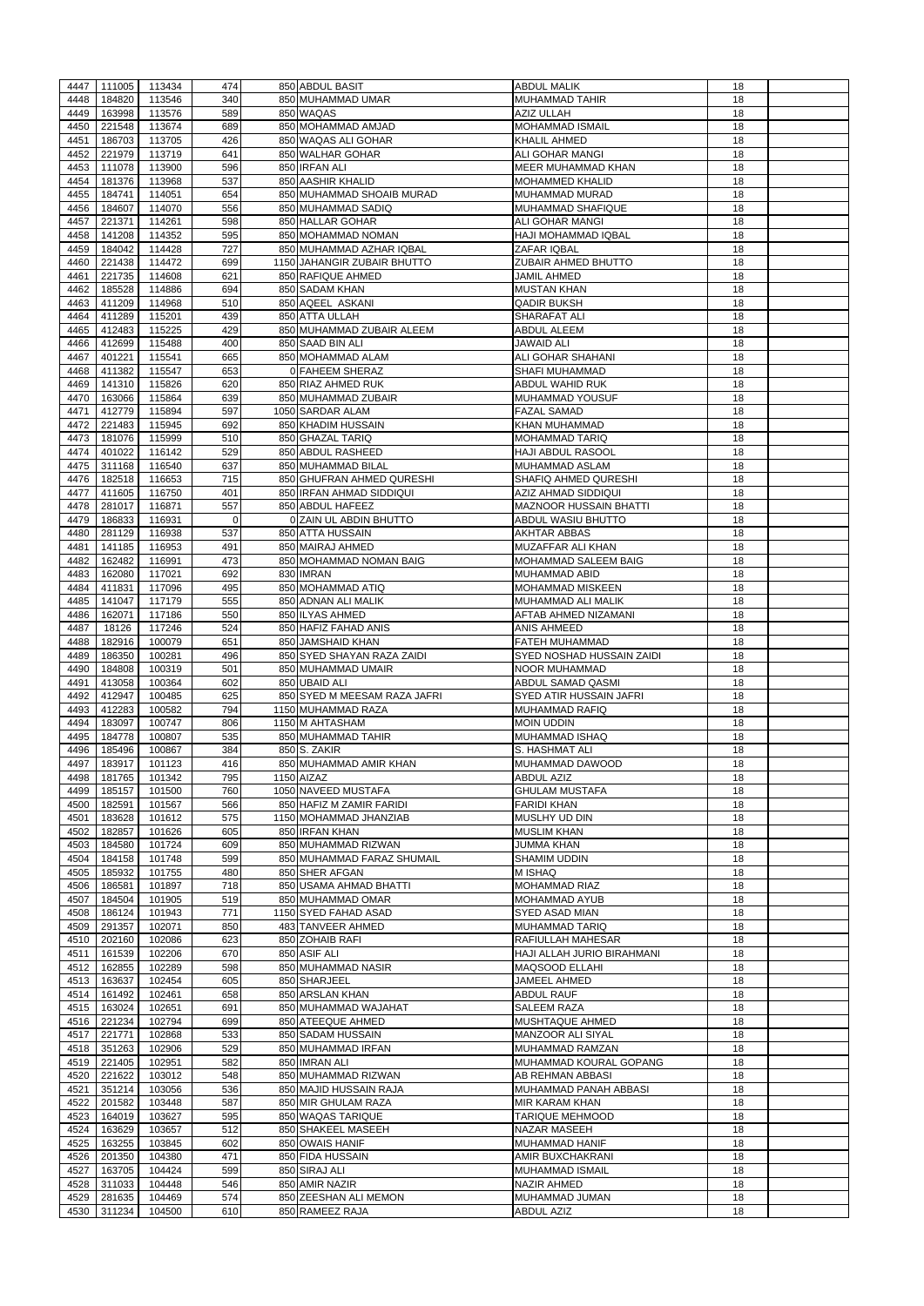| 4447         | 111005      | 113434 | 474         | 850 ABDUL BASIT              | <b>ABDUL MALIK</b>            | 18 |  |
|--------------|-------------|--------|-------------|------------------------------|-------------------------------|----|--|
|              |             |        |             |                              |                               |    |  |
| 4448         | 184820      | 113546 | 340         | 850 MUHAMMAD UMAR            | <b>MUHAMMAD TAHIR</b>         | 18 |  |
| 4449         | 163998      | 113576 | 589         | 850 WAQAS                    | <b>AZIZ ULLAH</b>             | 18 |  |
| 4450         | 221548      | 113674 | 689         | 850 MOHAMMAD AMJAD           | <b>MOHAMMAD ISMAIL</b>        | 18 |  |
| 4451         | 186703      | 113705 | 426         | 850 WAQAS ALI GOHAR          | <b>KHALIL AHMED</b>           | 18 |  |
| 4452         | 221979      | 113719 | 641         | 850 WALHAR GOHAR             | <b>ALI GOHAR MANGI</b>        | 18 |  |
|              |             |        |             |                              |                               |    |  |
| 4453         | 111078      | 113900 | 596         | 850 IRFAN ALI                | MEER MUHAMMAD KHAN            | 18 |  |
| 4454         | 181376      | 113968 | 537         | 850 AASHIR KHALID            | <b>MOHAMMED KHALID</b>        | 18 |  |
| 4455         | 184741      | 114051 | 654         | 850 MUHAMMAD SHOAIB MURAD    | MUHAMMAD MURAD                | 18 |  |
| 4456         | 184607      | 114070 | 556         | 850 MUHAMMAD SADIQ           | MUHAMMAD SHAFIQUE             | 18 |  |
|              |             |        |             |                              |                               |    |  |
| 4457         | 221371      | 114261 | 598         | 850 HALLAR GOHAR             | <b>ALI GOHAR MANGI</b>        | 18 |  |
| 4458         | 141208      | 114352 | 595         | 850 MOHAMMAD NOMAN           | HAJI MOHAMMAD IQBAL           | 18 |  |
| 4459         | 184042      | 114428 | 727         | 850 MUHAMMAD AZHAR IQBAL     | <b>ZAFAR IQBAL</b>            | 18 |  |
| 4460         | 221438      | 114472 | 699         | 1150 JAHANGIR ZUBAIR BHUTTO  | <b>ZUBAIR AHMED BHUTTO</b>    | 18 |  |
| 4461         | 221735      | 114608 | 621         | 850 RAFIQUE AHMED            | <b>JAMIL AHMED</b>            | 18 |  |
|              |             |        |             |                              |                               |    |  |
| 4462         | 185528      | 114886 | 694         | 850 SADAM KHAN               | <b>MUSTAN KHAN</b>            | 18 |  |
| 4463         | 411209      | 114968 | 510         | 850 AQEEL ASKANI             | <b>QADIR BUKSH</b>            | 18 |  |
| 4464         | 411289      | 115201 | 439         | 850 ATTA ULLAH               | SHARAFAT ALI                  | 18 |  |
| 4465         | 412483      | 115225 | 429         | 850 MUHAMMAD ZUBAIR ALEEM    | <b>ABDUL ALEEM</b>            | 18 |  |
|              |             |        |             |                              |                               |    |  |
| 4466         | 412699      | 115488 | 400         | 850 SAAD BIN ALI             | JAWAID ALI                    | 18 |  |
| 4467         | 401221      | 115541 | 665         | 850 MOHAMMAD ALAM            | ALI GOHAR SHAHANI             | 18 |  |
| 4468         | 411382      | 115547 | 653         | 0 FAHEEM SHERAZ              | SHAFI MUHAMMAD                | 18 |  |
| 4469         | 141310      | 115826 | 620         | 850 RIAZ AHMED RUK           | <b>ABDUL WAHID RUK</b>        | 18 |  |
|              | 163066      | 115864 | 639         | 850 MUHAMMAD ZUBAIR          | <b>MUHAMMAD YOUSUF</b>        | 18 |  |
| 4470         |             |        |             |                              |                               |    |  |
| 4471         | 412779      | 115894 | 597         | 1050 SARDAR ALAM             | <b>FAZAL SAMAD</b>            | 18 |  |
| 4472         | 221483      | 115945 | 692         | 850 KHADIM HUSSAIN           | <b>KHAN MUHAMMAD</b>          | 18 |  |
| 4473         | 181076      | 115999 | 510         | 850 GHAZAL TARIQ             | <b>MOHAMMAD TARIQ</b>         | 18 |  |
| 4474         | 401022      | 116142 | 529         | 850 ABDUL RASHEED            | HAJI ABDUL RASOOL             | 18 |  |
|              |             |        |             |                              |                               |    |  |
| 4475         | 311168      | 116540 | 637         | 850 MUHAMMAD BILAL           | MUHAMMAD ASLAM                | 18 |  |
| 4476         | 182518      | 116653 | 715         | 850 GHUFRAN AHMED QURESHI    | SHAFIQ AHMED QURESHI          | 18 |  |
| 4477         | 411605      | 116750 | 401         | 850 IRFAN AHMAD SIDDIQUI     | AZIZ AHMAD SIDDIQUI           | 18 |  |
| 4478         | 281017      | 116871 | 557         | 850 ABDUL HAFEEZ             | <b>MAZNOOR HUSSAIN BHATTI</b> | 18 |  |
|              |             |        |             |                              |                               |    |  |
| 4479         | 186833      | 116931 | $\mathbf 0$ | 0 ZAIN UL ABDIN BHUTTO       | <b>ABDUL WASIU BHUTTO</b>     | 18 |  |
| 4480         | 281129      | 116938 | 537         | 850 ATTA HUSSAIN             | <b>AKHTAR ABBAS</b>           | 18 |  |
| 4481         | 141185      | 116953 | 491         | 850 MAIRAJ AHMED             | MUZAFFAR ALI KHAN             | 18 |  |
| 4482         | 162482      | 116991 | 473         | 850 MOHAMMAD NOMAN BAIG      | MOHAMMAD SALEEM BAIG          | 18 |  |
|              |             |        |             |                              |                               |    |  |
| 4483         | 162080      | 117021 | 692         | 830 IMRAN                    | <b>MUHAMMAD ABID</b>          | 18 |  |
| 4484         | 411831      | 117096 | 495         | 850 MOHAMMAD ATIQ            | <b>MOHAMMAD MISKEEN</b>       | 18 |  |
| 4485         | 141047      | 117179 | 555         | 850 ADNAN ALI MALIK          | MUHAMMAD ALI MALIK            | 18 |  |
| 4486         | 162071      | 117186 | 550         | 850 ILYAS AHMED              | AFTAB AHMED NIZAMANI          | 18 |  |
|              |             |        |             |                              |                               |    |  |
| 4487         | 18126       | 117246 | 524         | 850 HAFIZ FAHAD ANIS         | <b>ANIS AHMEED</b>            | 18 |  |
| 4488         | 182916      | 100079 | 651         | 850 JAMSHAID KHAN            | <b>FATEH MUHAMMAD</b>         | 18 |  |
| 4489         | 186350      | 100281 | 496         | 850 SYED SHAYAN RAZA ZAIDI   | SYED NOSHAD HUSSAIN ZAIDI     | 18 |  |
| 4490         | 184808      | 100319 | 501         | 850 MUHAMMAD UMAIR           | <b>NOOR MUHAMMAD</b>          | 18 |  |
|              | 413058      | 100364 | 602         |                              | <b>ABDUL SAMAD QASMI</b>      |    |  |
| 4491         |             |        |             | 850 UBAID ALI                |                               | 18 |  |
|              |             |        |             |                              |                               |    |  |
| 4492         | 412947      | 100485 | 625         | 850 SYED M MEESAM RAZA JAFRI | SYED ATIR HUSSAIN JAFRI       | 18 |  |
| 4493         | 412283      | 100582 | 794         | 1150 MUHAMMAD RAZA           | <b>MUHAMMAD RAFIQ</b>         | 18 |  |
|              |             |        |             |                              |                               |    |  |
| 4494         | 183097      | 100747 | 806         | 1150 M AHTASHAM              | <b>MOIN UDDIN</b>             | 18 |  |
| 4495         | 184778      | 100807 | 535         | 850 MUHAMMAD TAHIR           | <b>MUHAMMAD ISHAQ</b>         | 18 |  |
| 4496         | 185496      | 100867 | 384         | 850 S. ZAKIR                 | S. HASHMAT ALI                | 18 |  |
| 4497         | 183917      | 101123 | 416         | 850 MUHAMMAD AMIR KHAN       | MUHAMMAD DAWOOD               | 18 |  |
|              |             |        |             |                              |                               | 18 |  |
| 4498         | 181765      | 101342 | 795         | 1150 AIZAZ                   | <b>ABDUL AZIZ</b>             |    |  |
| 4499         | 185157      | 101500 | 760         | 1050 NAVEED MUSTAFA          | <b>GHULAM MUSTAFA</b>         | 18 |  |
| 4500         | 182591      | 101567 | 566         | 850 HAFIZ M ZAMIR FARIDI     | <b>FARIDI KHAN</b>            | 18 |  |
| 4501         | 183628      | 101612 | 575         | 1150 MOHAMMAD JHANZIAB       | MUSLHY UD DIN                 | 18 |  |
| 4502         | 182857      | 101626 | 605         | 850 IRFAN KHAN               | <b>MUSLIM KHAN</b>            | 18 |  |
|              |             |        |             |                              |                               |    |  |
| 4503         | 184580      | 101724 | 609         | 850 MUHAMMAD RIZWAN          | <b>JUMMA KHAN</b>             | 18 |  |
| 4504         | 184158      | 101748 | 599         | 850 MUHAMMAD FARAZ SHUMAIL   | <b>SHAMIM UDDIN</b>           | 18 |  |
| 4505         | 185932      | 101755 | 480         | 850 SHER AFGAN               | M ISHAQ                       | 18 |  |
| 4506         | 186581      | 101897 | 718         | 850 USAMA AHMAD BHATTI       | <b>MOHAMMAD RIAZ</b>          | 18 |  |
| 4507         | 184504      | 101905 | 519         | 850 MUHAMMAD OMAR            | <b>MOHAMMAD AYUB</b>          | 18 |  |
|              |             |        |             |                              |                               |    |  |
| 4508         | 186124      | 101943 | 771         | 1150 SYED FAHAD ASAD         | <b>SYED ASAD MIAN</b>         | 18 |  |
| 4509         | 291357      | 102071 | 850         | 483 TANVEER AHMED            | <b>MUHAMMAD TARIQ</b>         | 18 |  |
| 4510         | 202160      | 102086 | 623         | 850 ZOHAIB RAFI              | RAFIULLAH MAHESAR             | 18 |  |
| 4511         | 161539      | 102206 | 670         | 850 ASIF ALI                 | HAJI ALLAH JURIO BIRAHMANI    | 18 |  |
| 4512         | 162855      | 102289 | 598         | 850 MUHAMMAD NASIR           | <b>MAQSOOD ELLAHI</b>         | 18 |  |
|              |             |        |             |                              |                               |    |  |
| 4513         | 163637      | 102454 | 605         | 850 SHARJEEL                 | JAMEEL AHMED                  | 18 |  |
| 4514         | 161492      | 102461 | 658         | 850 ARSLAN KHAN              | <b>ABDUL RAUF</b>             | 18 |  |
| 4515         | 163024      | 102651 | 691         | 850 MUHAMMAD WAJAHAT         | <b>SALEEM RAZA</b>            | 18 |  |
| 4516         | 221234      | 102794 | 699         | 850 ATEEQUE AHMED            | MUSHTAQUE AHMED               | 18 |  |
|              |             |        |             |                              |                               |    |  |
| 4517         | 221771      | 102868 | 533         | 850 SADAM HUSSAIN            | <b>MANZOOR ALI SIYAL</b>      | 18 |  |
| 4518         | 351263      | 102906 | 529         | 850 MUHAMMAD IRFAN           | MUHAMMAD RAMZAN               | 18 |  |
|              | 4519 221405 | 102951 | 582         | 850 IMRAN ALI                | MUHAMMAD KOURAL GOPANG        | 18 |  |
| 4520         | 221622      | 103012 | 548         | 850 MUHAMMAD RIZWAN          | AB REHMAN ABBASI              | 18 |  |
|              |             |        |             |                              | MUHAMMAD PANAH ABBASI         |    |  |
| 4521         | 351214      | 103056 | 536         | 850 MAJID HUSSAIN RAJA       |                               | 18 |  |
| 4522         | 201582      | 103448 | 587         | 850 MIR GHULAM RAZA          | <b>MIR KARAM KHAN</b>         | 18 |  |
| 4523         | 164019      | 103627 | 595         | 850 WAQAS TARIQUE            | <b>TARIQUE MEHMOOD</b>        | 18 |  |
| 4524         | 163629      | 103657 | 512         | 850 SHAKEEL MASEEH           | <b>NAZAR MASEEH</b>           | 18 |  |
| 4525         | 163255      | 103845 |             | 850 OWAIS HANIF              | <b>MUHAMMAD HANIF</b>         | 18 |  |
|              |             |        | 602         |                              |                               |    |  |
| 4526         | 201350      | 104380 | 471         | 850 FIDA HUSSAIN             | AMIR BUXCHAKRANI              | 18 |  |
| 4527         | 163705      | 104424 | 599         | 850 SIRAJ ALI                | <b>MUHAMMAD ISMAIL</b>        | 18 |  |
| 4528         | 311033      | 104448 | 546         | 850 AMIR NAZIR               | <b>NAZIR AHMED</b>            | 18 |  |
|              | 281635      | 104469 | 574         | 850 ZEESHAN ALI MEMON        | MUHAMMAD JUMAN                | 18 |  |
| 4529<br>4530 | 311234      | 104500 | 610         | 850 RAMEEZ RAJA              | <b>ABDUL AZIZ</b>             | 18 |  |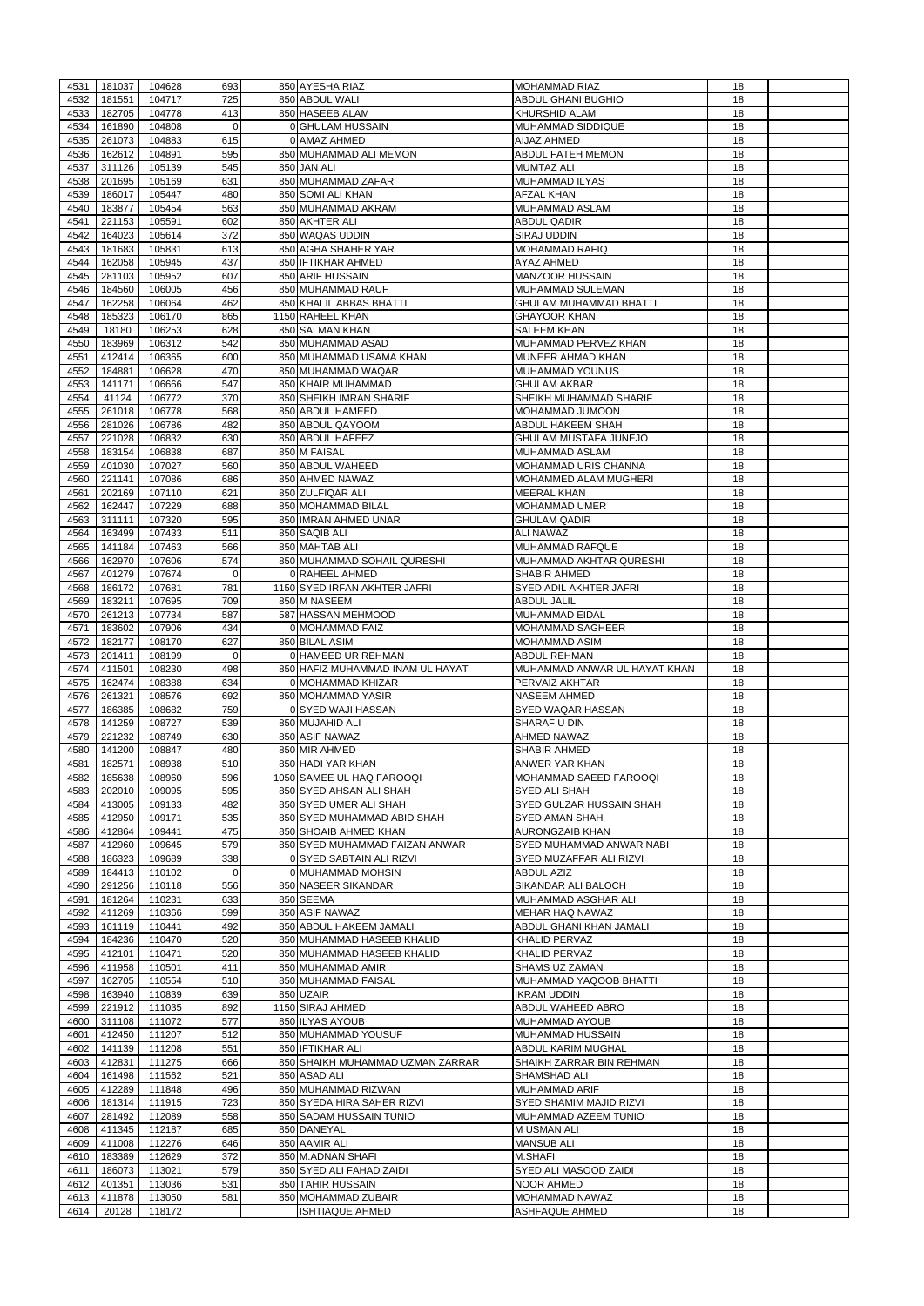| 4531 | 181037        | 104628 | 693            | 850 AYESHA RIAZ                  | <b>MOHAMMAD RIAZ</b>          | 18 |  |
|------|---------------|--------|----------------|----------------------------------|-------------------------------|----|--|
|      |               |        |                |                                  |                               |    |  |
| 4532 | 181551        | 104717 | 725            | 850 ABDUL WALL                   | ABDUL GHANI BUGHIO            | 18 |  |
| 4533 | 182705        | 104778 | 413            | 850 HASEEB ALAM                  | KHURSHID ALAM                 | 18 |  |
| 4534 | 161890        | 104808 | $\overline{0}$ | 0 GHULAM HUSSAIN                 | MUHAMMAD SIDDIQUE             | 18 |  |
| 4535 | 261073        | 104883 | 615            | 0 AMAZ AHMED                     | AIJAZ AHMED                   | 18 |  |
| 4536 | 162612        | 104891 | 595            | 850 MUHAMMAD ALI MEMON           | ABDUL FATEH MEMON             | 18 |  |
| 4537 | 311126        | 105139 | 545            | 850 JAN ALI                      | <b>MUMTAZ ALI</b>             | 18 |  |
| 4538 | 201695        | 105169 | 631            | 850 MUHAMMAD ZAFAR               | <b>MUHAMMAD ILYAS</b>         | 18 |  |
| 4539 | 186017        | 105447 | 480            | 850 SOMI ALI KHAN                | <b>AFZAL KHAN</b>             | 18 |  |
| 4540 | 183877        | 105454 | 563            | 850 MUHAMMAD AKRAM               | <b>MUHAMMAD ASLAM</b>         | 18 |  |
| 4541 |               |        | 602            | 850 AKHTER ALI                   | <b>ABDUL QADIR</b>            | 18 |  |
|      | 221153        | 105591 |                |                                  |                               |    |  |
| 4542 | 164023        | 105614 | 372            | 850 WAQAS UDDIN                  | <b>SIRAJ UDDIN</b>            | 18 |  |
| 4543 | 181683        | 105831 | 613            | 850 AGHA SHAHER YAR              | <b>MOHAMMAD RAFIQ</b>         | 18 |  |
| 4544 | 162058        | 105945 | 437            | 850 IFTIKHAR AHMED               | <b>AYAZ AHMED</b>             | 18 |  |
| 4545 | 281103        | 105952 | 607            | 850 ARIF HUSSAIN                 | <b>MANZOOR HUSSAIN</b>        | 18 |  |
| 4546 | 184560        | 106005 | 456            | 850 MUHAMMAD RAUF                | MUHAMMAD SULEMAN              | 18 |  |
| 4547 | 162258        | 106064 | 462            | 850 KHALIL ABBAS BHATTI          | <b>GHULAM MUHAMMAD BHATTI</b> | 18 |  |
| 4548 | 185323        | 106170 | 865            | 1150 RAHEEL KHAN                 | <b>GHAYOOR KHAN</b>           | 18 |  |
| 4549 | 18180         | 106253 | 628            | 850 SALMAN KHAN                  | <b>SALEEM KHAN</b>            | 18 |  |
|      |               |        |                |                                  |                               |    |  |
| 4550 | 183969        | 106312 | 542            | 850 MUHAMMAD ASAD                | MUHAMMAD PERVEZ KHAN          | 18 |  |
| 4551 | 412414        | 106365 | 600            | 850 MUHAMMAD USAMA KHAN          | MUNEER AHMAD KHAN             | 18 |  |
| 4552 | 184881        | 106628 | 470            | 850 MUHAMMAD WAQAR               | <b>MUHAMMAD YOUNUS</b>        | 18 |  |
| 4553 | 141171        | 106666 | 547            | 850 KHAIR MUHAMMAD               | <b>GHULAM AKBAR</b>           | 18 |  |
| 4554 | 41124         | 106772 | 370            | 850 SHEIKH IMRAN SHARIF          | SHEIKH MUHAMMAD SHARIF        | 18 |  |
| 4555 | 261018        | 106778 | 568            | 850 ABDUL HAMEED                 | MOHAMMAD JUMOON               | 18 |  |
| 4556 | 281026        | 106786 | 482            | 850 ABDUL QAYOOM                 | ABDUL HAKEEM SHAH             | 18 |  |
|      |               |        |                |                                  |                               |    |  |
| 4557 | 221028        | 106832 | 630            | 850 ABDUL HAFEEZ                 | <b>GHULAM MUSTAFA JUNEJO</b>  | 18 |  |
| 4558 | 183154        | 106838 | 687            | 850 M FAISAL                     | <b>MUHAMMAD ASLAM</b>         | 18 |  |
| 4559 | 401030        | 107027 | 560            | 850 ABDUL WAHEED                 | <b>MOHAMMAD URIS CHANNA</b>   | 18 |  |
| 4560 | 221141        | 107086 | 686            | 850 AHMED NAWAZ                  | <b>MOHAMMED ALAM MUGHERI</b>  | 18 |  |
| 4561 | 202169        | 107110 | 621            | 850 ZULFIQAR ALI                 | <b>MEERAL KHAN</b>            | 18 |  |
| 4562 | 162447        | 107229 | 688            | 850 MOHAMMAD BILAL               | <b>MOHAMMAD UMER</b>          | 18 |  |
| 4563 | 311111        | 107320 | 595            | 850 IMRAN AHMED UNAR             | <b>GHULAM QADIR</b>           | 18 |  |
|      |               |        |                |                                  |                               |    |  |
| 4564 | 163499        | 107433 | 511            | 850 SAQIB ALI                    | <b>ALI NAWAZ</b>              | 18 |  |
| 4565 | 141184        | 107463 | 566            | 850 MAHTAB ALI                   | MUHAMMAD RAFQUE               | 18 |  |
| 4566 | 162970        | 107606 | 574            | 850 MUHAMMAD SOHAIL QURESHI      | MUHAMMAD AKHTAR QURESHI       | 18 |  |
| 4567 | 401279        | 107674 | ΟI             | 0 RAHEEL AHMED                   | <b>SHABIR AHMED</b>           | 18 |  |
| 4568 | 186172        | 107681 | 781            | 1150 SYED IRFAN AKHTER JAFRI     | SYED ADIL AKHTER JAFRI        | 18 |  |
| 4569 | 183211        | 107695 | 709            | 850 M NASEEM                     | <b>ABDUL JALIL</b>            | 18 |  |
|      |               |        | 587            |                                  |                               |    |  |
| 4570 | 261213        | 107734 |                | 587 HASSAN MEHMOOD               | <b>MUHAMMAD EIDAL</b>         | 18 |  |
| 4571 | 183602        | 107906 | 434            | 0 MOHAMMAD FAIZ                  | <b>MOHAMMAD SAGHEER</b>       | 18 |  |
| 4572 | 182177        | 108170 | 627            | 850 BILAL ASIM                   | <b>MOHAMMAD ASIM</b>          | 18 |  |
| 4573 | 201411        | 108199 | $\Omega$       | 0 HAMEED UR REHMAN               | <b>ABDUL REHMAN</b>           | 18 |  |
| 4574 | 411501        | 108230 | 498            | 850 HAFIZ MUHAMMAD INAM UL HAYAT | MUHAMMAD ANWAR UL HAYAT KHAN  | 18 |  |
| 4575 | 162474        | 108388 | 634            | 0 MOHAMMAD KHIZAR                | PERVAIZ AKHTAR                | 18 |  |
| 4576 | 261321        | 108576 | 692            | 850 MOHAMMAD YASIR               | <b>NASEEM AHMED</b>           | 18 |  |
|      |               |        |                |                                  |                               |    |  |
| 4577 | 186385        | 108682 | 759            | 0 SYED WAJI HASSAN               | SYED WAQAR HASSAN             | 18 |  |
| 4578 | 141259        | 108727 | 539            | 850 MUJAHID ALI                  | SHARAF U DIN                  | 18 |  |
| 4579 | 221232        | 108749 | 630            | 850 ASIF NAWAZ                   | <b>AHMED NAWAZ</b>            | 18 |  |
| 4580 | 141200        | 108847 | 480            | 850 MIR AHMED                    | <b>SHABIR AHMED</b>           | 18 |  |
| 4581 | 182571        | 108938 | 510            | 850 HADI YAR KHAN                | ANWER YAR KHAN                | 18 |  |
| 4582 | 185638        | 108960 | 596            | 1050 SAMEE UL HAQ FAROOQI        | MOHAMMAD SAEED FAROOQI        | 18 |  |
| 4583 | 202010        | 109095 | 595            | 850 SYED AHSAN ALI SHAH          | SYED ALI SHAH                 | 18 |  |
| 4584 | 413005        | 109133 | 482            | 850 SYED UMER ALI SHAH           | SYED GULZAR HUSSAIN SHAH      | 18 |  |
| 4585 | 412950        | 109171 | 535            | 850 SYED MUHAMMAD ABID SHAH      | SYED AMAN SHAH                | 18 |  |
|      |               |        |                |                                  |                               |    |  |
| 4586 | 412864        | 109441 | 475            | 850 SHOAIB AHMED KHAN            | <b>AURONGZAIB KHAN</b>        | 18 |  |
| 4587 | 412960        | 109645 | 579            | 850 SYED MUHAMMAD FAIZAN ANWAR   | SYED MUHAMMAD ANWAR NABI      | 18 |  |
| 4588 | 186323        | 109689 | 338            | 0 SYED SABTAIN ALI RIZVI         | SYED MUZAFFAR ALI RIZVI       | 18 |  |
| 4589 | 184413        | 110102 | $\Omega$       | 0 MUHAMMAD MOHSIN                | <b>ABDUL AZIZ</b>             | 18 |  |
| 4590 | 291256        | 110118 | 556            | 850 NASEER SIKANDAR              | SIKANDAR ALI BALOCH           | 18 |  |
| 4591 | 181264        | 110231 | 633            | 850 SEEMA                        | MUHAMMAD ASGHAR ALI           | 18 |  |
| 4592 | 411269        | 110366 | 599            | 850 ASIF NAWAZ                   | <b>MEHAR HAQ NAWAZ</b>        | 18 |  |
| 4593 | 161119        | 110441 | 492            | 850 ABDUL HAKEEM JAMALI          | ABDUL GHANI KHAN JAMALI       | 18 |  |
|      |               |        |                |                                  |                               |    |  |
| 4594 | 184236        | 110470 | 520            | 850 MUHAMMAD HASEEB KHALID       | KHALID PERVAZ                 | 18 |  |
| 4595 | 412101        | 110471 | 520            | 850 MUHAMMAD HASEEB KHALID       | KHALID PERVAZ                 | 18 |  |
| 4596 | 411958        | 110501 | 411            | 850 MUHAMMAD AMIR                | SHAMS UZ ZAMAN                | 18 |  |
| 4597 | 162705        | 110554 | 510            | 850 MUHAMMAD FAISAL              | MUHAMMAD YAQOOB BHATTI        | 18 |  |
| 4598 | 163940        | 110839 | 639            | 850 UZAIR                        | <b>IKRAM UDDIN</b>            | 18 |  |
| 4599 | 221912        | 111035 | 892            | 1150 SIRAJ AHMED                 | ABDUL WAHEED ABRO             | 18 |  |
| 4600 | 311108        | 111072 | 577            | 850 ILYAS AYOUB                  | MUHAMMAD AYOUB                | 18 |  |
| 4601 | 412450        | 111207 | 512            | 850 MUHAMMAD YOUSUF              | MUHAMMAD HUSSAIN              | 18 |  |
|      |               |        |                |                                  |                               |    |  |
| 4602 | 141139        | 111208 | 551            | 850 IFTIKHAR ALI                 | ABDUL KARIM MUGHAL            | 18 |  |
|      | 4603   412831 | 111275 | 666            | 850 SHAIKH MUHAMMAD UZMAN ZARRAR | SHAIKH ZARRAR BIN REHMAN      | 18 |  |
| 4604 | 161498        | 111562 | 521            | 850 ASAD ALI                     | SHAMSHAD ALI                  | 18 |  |
| 4605 | 412289        | 111848 | 496            | 850 MUHAMMAD RIZWAN              | <b>MUHAMMAD ARIF</b>          | 18 |  |
| 4606 | 181314        | 111915 | 723            | 850 SYEDA HIRA SAHER RIZVI       | SYED SHAMIM MAJID RIZVI       | 18 |  |
| 4607 | 281492        | 112089 | 558            | 850 SADAM HUSSAIN TUNIO          | MUHAMMAD AZEEM TUNIO          | 18 |  |
| 4608 | 411345        | 112187 | 685            | 850 DANEYAL                      | <b>MUSMAN ALI</b>             | 18 |  |
|      | 411008        |        |                | 850 AAMIR ALI                    |                               |    |  |
| 4609 |               | 112276 | 646            |                                  | <b>MANSUB ALI</b>             | 18 |  |
| 4610 | 183389        | 112629 | 372            | 850 M.ADNAN SHAFI                | <b>M.SHAFI</b>                | 18 |  |
| 4611 |               | 113021 | 579            | 850 SYED ALI FAHAD ZAIDI         | <b>SYED ALI MASOOD ZAIDI</b>  | 18 |  |
|      | 186073        |        |                |                                  |                               |    |  |
| 4612 | 401351        | 113036 | 531            | 850 TAHIR HUSSAIN                | <b>NOOR AHMED</b>             | 18 |  |
| 4613 | 411878        | 113050 | 581            | 850 MOHAMMAD ZUBAIR              | MOHAMMAD NAWAZ                | 18 |  |
| 4614 | 20128         | 118172 |                | <b>ISHTIAQUE AHMED</b>           | <b>ASHFAQUE AHMED</b>         | 18 |  |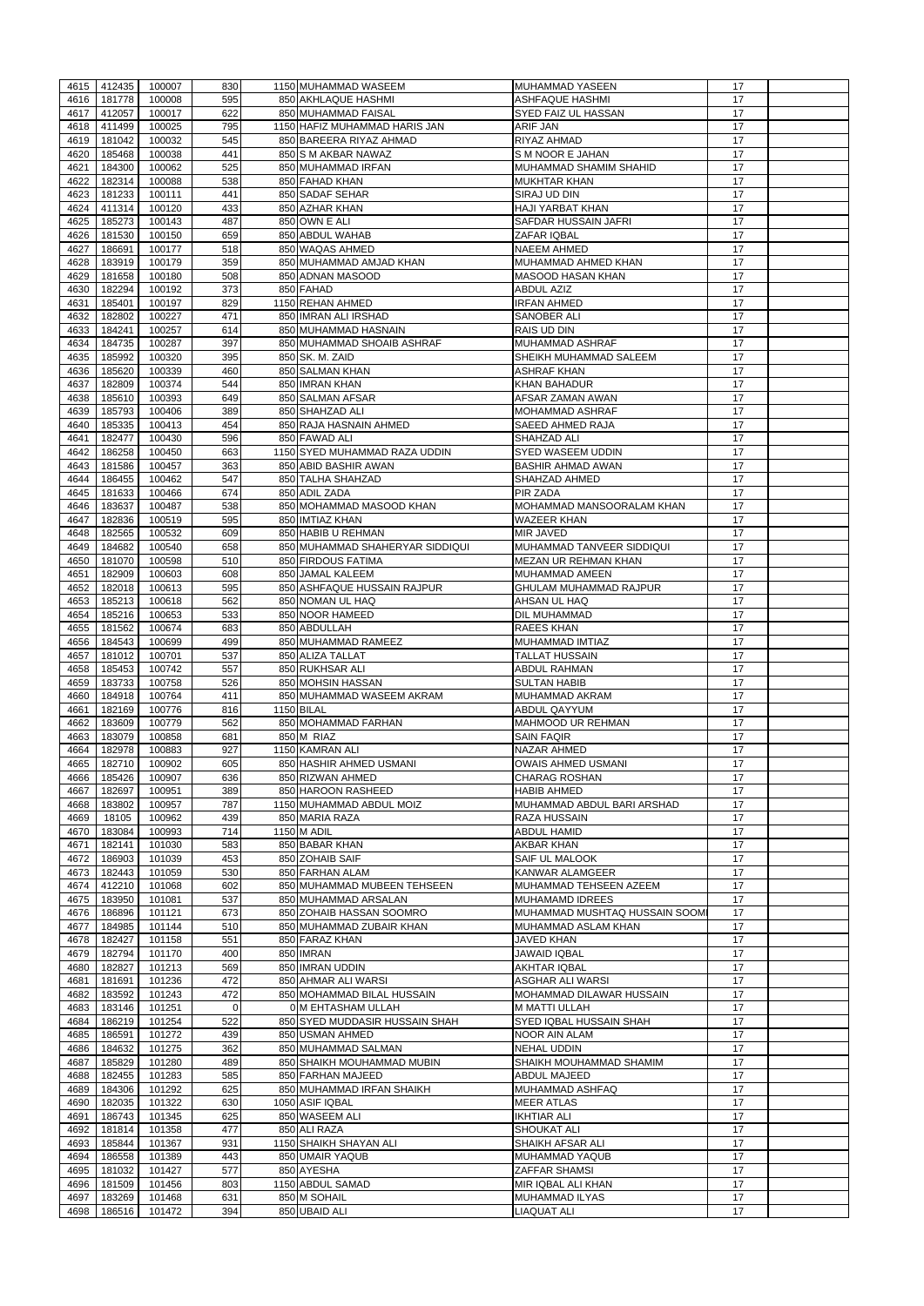| 4615         | 412435           | 100007           | 830         | 1150 MUHAMMAD WASEEM            | MUHAMMAD YASEEN                 | 17       |  |
|--------------|------------------|------------------|-------------|---------------------------------|---------------------------------|----------|--|
| 4616         | 181778           | 100008           | 595         | 850 AKHLAQUE HASHMI             | <b>ASHFAQUE HASHMI</b>          | 17       |  |
| 4617         | 412057           | 100017           | 622         | 850 MUHAMMAD FAISAL             | SYED FAIZ UL HASSAN             | 17       |  |
| 4618         | 411499           | 100025           | 795         | 1150 HAFIZ MUHAMMAD HARIS JAN   | <b>ARIF JAN</b>                 | 17       |  |
| 4619         | 181042           | 100032           | 545         | 850 BAREERA RIYAZ AHMAD         | RIYAZ AHMAD                     | 17       |  |
| 4620         | 185468           | 100038           | 441         | 850 S M AKBAR NAWAZ             | S M NOOR E JAHAN                | 17       |  |
| 4621         | 184300           | 100062           | 525         | 850 MUHAMMAD IRFAN              | MUHAMMAD SHAMIM SHAHID          | 17       |  |
| 4622         | 182314           | 100088           | 538         | 850 FAHAD KHAN                  | <b>MUKHTAR KHAN</b>             | 17       |  |
| 4623         | 181233           | 100111           | 441         | 850 SADAF SEHAR                 | SIRAJ UD DIN                    | 17       |  |
| 4624         | 411314           | 100120           | 433         | 850 AZHAR KHAN                  | <b>HAJI YARBAT KHAN</b>         | 17       |  |
| 4625         | 185273           | 100143           | 487         | 850 OWN E ALI                   | SAFDAR HUSSAIN JAFRI            | 17       |  |
|              |                  |                  | 659         |                                 | <b>ZAFAR IQBAL</b>              |          |  |
| 4626         | 181530           | 100150           |             | 850 ABDUL WAHAB                 |                                 | 17       |  |
| 4627         | 186691           | 100177           | 518         | 850 WAQAS AHMED                 | <b>NAEEM AHMED</b>              | 17       |  |
| 4628         | 183919           | 100179           | 359         | 850 MUHAMMAD AMJAD KHAN         | MUHAMMAD AHMED KHAN             | 17       |  |
| 4629         | 181658           | 100180           | 508         | 850 ADNAN MASOOD                | <b>MASOOD HASAN KHAN</b>        | 17       |  |
| 4630         | 182294           | 100192           | 373         | 850 FAHAD                       | <b>ABDUL AZIZ</b>               | 17       |  |
| 4631         | 185401           | 100197           | 829         | 1150 REHAN AHMED                | <b>IRFAN AHMED</b>              | 17       |  |
| 4632         | 182802           | 100227           | 471         | 850 IMRAN ALI IRSHAD            | SANOBER ALI                     | 17       |  |
| 4633         | 184241           | 100257           | 614         | 850 MUHAMMAD HASNAIN            | <b>RAIS UD DIN</b>              | 17       |  |
| 4634         | 184735           | 100287           | 397         | 850 MUHAMMAD SHOAIB ASHRAF      | MUHAMMAD ASHRAF                 | 17       |  |
| 4635         | 185992           | 100320           | 395         | 850 SK. M. ZAID                 | SHEIKH MUHAMMAD SALEEM          | 17       |  |
| 4636         | 185620           | 100339           | 460         | 850 SALMAN KHAN                 | <b>ASHRAF KHAN</b>              | 17       |  |
| 4637         | 182809           | 100374           | 544         | 850 IMRAN KHAN                  | <b>KHAN BAHADUR</b>             | 17       |  |
| 4638         | 185610           | 100393           | 649         | 850 SALMAN AFSAR                | AFSAR ZAMAN AWAN                | 17       |  |
| 4639         | 185793           | 100406           | 389         | 850 SHAHZAD ALI                 | <b>MOHAMMAD ASHRAF</b>          | 17       |  |
| 4640         | 185335           | 100413           | 454         | 850 RAJA HASNAIN AHMED          | SAEED AHMED RAJA                | 17       |  |
| 4641         | 182477           | 100430           | 596         | 850 FAWAD ALI                   | SHAHZAD ALI                     | 17       |  |
| 4642         | 186258           | 100450           | 663         | 1150 SYED MUHAMMAD RAZA UDDIN   | SYED WASEEM UDDIN               | 17       |  |
| 4643         | 181586           | 100457           | 363         | 850 ABID BASHIR AWAN            | <b>BASHIR AHMAD AWAN</b>        | 17       |  |
| 4644         | 186455           | 100462           | 547         | 850 TALHA SHAHZAD               | SHAHZAD AHMED                   | 17       |  |
| 4645         | 181633           | 100466           | 674         | 850 ADIL ZADA                   | <b>PIR ZADA</b>                 | 17       |  |
| 4646         | 183637           | 100487           | 538         | 850 MOHAMMAD MASOOD KHAN        | MOHAMMAD MANSOORALAM KHAN       | 17       |  |
| 4647         | 182836           | 100519           | 595         | 850 IMTIAZ KHAN                 | <b>WAZEER KHAN</b>              | 17       |  |
|              |                  |                  |             |                                 |                                 |          |  |
| 4648         | 182565           | 100532           | 609         | 850 HABIB U REHMAN              | <b>MIR JAVED</b>                | 17       |  |
| 4649         | 184682           | 100540           | 658         | 850 MUHAMMAD SHAHERYAR SIDDIQUI | MUHAMMAD TANVEER SIDDIQUI       | 17       |  |
| 4650         | 181070           | 100598           | 510         | 850 FIRDOUS FATIMA              | <b>MEZAN UR REHMAN KHAN</b>     | 17       |  |
| 4651         | 182909           | 100603           | 608         | 850 JAMAL KALEEM                | MUHAMMAD AMEEN                  | 17       |  |
| 4652         | 182018           | 100613           | 595         | 850 ASHFAQUE HUSSAIN RAJPUR     | <b>GHULAM MUHAMMAD RAJPUR</b>   | 17       |  |
| 4653         | 185213           | 100618           | 562         | 850 NOMAN UL HAQ                | AHSAN UL HAQ                    | 17       |  |
| 4654         | 185216           | 100653           | 533         | 850 NOOR HAMEED                 | DIL MUHAMMAD                    | 17       |  |
| 4655         | 181562           | 100674           | 683         | 850 ABDULLAH                    | <b>RAEES KHAN</b>               | 17       |  |
| 4656         | 184543           | 100699           | 499         | 850 MUHAMMAD RAMEEZ             | MUHAMMAD IMTIAZ                 | 17       |  |
| 4657         | 181012           | 100701           | 537         | 850 ALIZA TALLAT                | <b>TALLAT HUSSAIN</b>           | 17       |  |
| 4658         | 185453           | 100742           | 557         | 850 RUKHSAR ALI                 | ABDUL RAHMAN                    | 17       |  |
| 4659         | 183733           | 100758           | 526         | 850 MOHSIN HASSAN               | <b>SULTAN HABIB</b>             | 17       |  |
| 4660         | 184918           | 100764           | 411         | 850 MUHAMMAD WASEEM AKRAM       | MUHAMMAD AKRAM                  | 17       |  |
| 4661         | 182169           | 100776           | 816         | <b>1150 BILAL</b>               | <b>ABDUL QAYYUM</b>             | 17       |  |
| 4662         | 183609           | 100779           | 562         | 850 MOHAMMAD FARHAN             | MAHMOOD UR REHMAN               | 17       |  |
| 4663         | 183079           | 100858           | 681         | 850 M RIAZ                      | <b>SAIN FAQIR</b>               | 17       |  |
| 4664         | 182978           | 100883           | 927         | 1150 KAMRAN ALI                 | <b>NAZAR AHMED</b>              | 17       |  |
| 4665         | 182710           | 100902           | 605         | 850 HASHIR AHMED USMANI         | <b>OWAIS AHMED USMANI</b>       | 17       |  |
| 4666         | 185426           | 100907           | 636         | 850 RIZWAN AHMED                | <b>CHARAG ROSHAN</b>            | 17       |  |
| 4667         | 182697           | 100951           | 389         | 850 HAROON RASHEED              | <b>HABIB AHMED</b>              | 17       |  |
| 4668         | 183802           | 100957           | 787         | 1150 MUHAMMAD ABDUL MOIZ        | MUHAMMAD ABDUL BARI ARSHAD      | 17       |  |
| 4669         | 18105            | 100962           | 439         | 850 MARIA RAZA                  | RAZA HUSSAIN                    | 17       |  |
|              |                  |                  | 714         |                                 |                                 |          |  |
| 4670         | 183084           | 100993           |             | 1150 M ADIL                     | <b>ABDUL HAMID</b>              | 17       |  |
| 4671         | 182141           | 101030           | 583         | 850 BABAR KHAN                  | AKBAR KHAN                      | 17       |  |
| 4672         | 186903           | 101039           | 453         | 850 ZOHAIB SAIF                 | SAIF UL MALOOK                  | 17       |  |
| 4673         | 182443           | 101059           | 530         | 850 FARHAN ALAM                 | KANWAR ALAMGEER                 | 17       |  |
| 4674         | 412210           | 101068           | 602         | 850 MUHAMMAD MUBEEN TEHSEEN     | MUHAMMAD TEHSEEN AZEEM          | 17       |  |
| 4675         | 183950           | 101081           | 537         | 850 MUHAMMAD ARSALAN            | <b>MUHAMAMD IDREES</b>          | 17       |  |
| 4676         | 186896           | 101121           | 673         | 850 ZOHAIB HASSAN SOOMRO        | MUHAMMAD MUSHTAQ HUSSAIN SOOM   | 17       |  |
| 4677         | 184985           | 101144           | 510         | 850 MUHAMMAD ZUBAIR KHAN        | MUHAMMAD ASLAM KHAN             | 17       |  |
| 4678         | 182427           | 101158           | 551         | 850 FARAZ KHAN                  | <b>JAVED KHAN</b>               | 17       |  |
| 4679         | 182794           | 101170           | 400         | 850 IMRAN                       | <b>JAWAID IQBAL</b>             | 17       |  |
| 4680         | 182827           | 101213           | 569         | 850 IMRAN UDDIN                 | <b>AKHTAR IQBAL</b>             | 17       |  |
| 4681         | 181691           | 101236           | 472         | 850 AHMAR ALI WARSI             | <b>ASGHAR ALI WARSI</b>         | 17       |  |
| 4682         | 183592           | 101243           | 472         | 850 MOHAMMAD BILAL HUSSAIN      | <b>MOHAMMAD DILAWAR HUSSAIN</b> | 17       |  |
| 4683         | 183146           | 101251           | $\mathbf 0$ | 0 M EHTASHAM ULLAH              | <b>M MATTI ULLAH</b>            | 17       |  |
| 4684         | 186219           | 101254           | 522         | 850 SYED MUDDASIR HUSSAIN SHAH  | SYED IQBAL HUSSAIN SHAH         | 17       |  |
| 4685         |                  |                  |             | 850 USMAN AHMED                 | NOOR AIN ALAM                   | 17       |  |
| 4686         | 186591           | 101272           | 439         |                                 |                                 |          |  |
|              | 184632           | 101275           | 362         |                                 | <b>NEHAL UDDIN</b>              | 17       |  |
|              |                  |                  |             | 850 MUHAMMAD SALMAN             |                                 |          |  |
| 4687         | 185829           | 101280           | 489         | 850 SHAIKH MOUHAMMAD MUBIN      | SHAIKH MOUHAMMAD SHAMIM         | 17       |  |
| 4688         | 182455           | 101283           | 585         | 850 FARHAN MAJEED               | ABDUL MAJEED                    | 17       |  |
| 4689         | 184306           | 101292           | 625         | 850 MUHAMMAD IRFAN SHAIKH       | MUHAMMAD ASHFAQ                 | 17       |  |
| 4690         | 182035           | 101322           | 630         | 1050 ASIF IQBAL                 | <b>MEER ATLAS</b>               | 17       |  |
| 4691         | 186743           | 101345           | 625         | 850 WASEEM ALI                  | <b>IKHTIAR ALI</b>              | 17       |  |
| 4692         | 181814           | 101358           | 477         | 850 ALI RAZA                    | SHOUKAT ALI                     | 17       |  |
| 4693         | 185844           | 101367           | 931         | 1150 SHAIKH SHAYAN ALI          | SHAIKH AFSAR ALI                | 17       |  |
| 4694         | 186558           | 101389           | 443         | 850 UMAIR YAQUB                 | MUHAMMAD YAQUB                  | 17       |  |
| 4695         | 181032           | 101427           | 577         | 850 AYESHA                      | <b>ZAFFAR SHAMSI</b>            | 17       |  |
| 4696         | 181509           | 101456           | 803         | 1150 ABDUL SAMAD                | MIR IQBAL ALI KHAN              | 17       |  |
| 4697<br>4698 | 183269<br>186516 | 101468<br>101472 | 631<br>394  | 850 M SOHAIL<br>850 UBAID ALI   | MUHAMMAD ILYAS<br>LIAQUAT ALI   | 17<br>17 |  |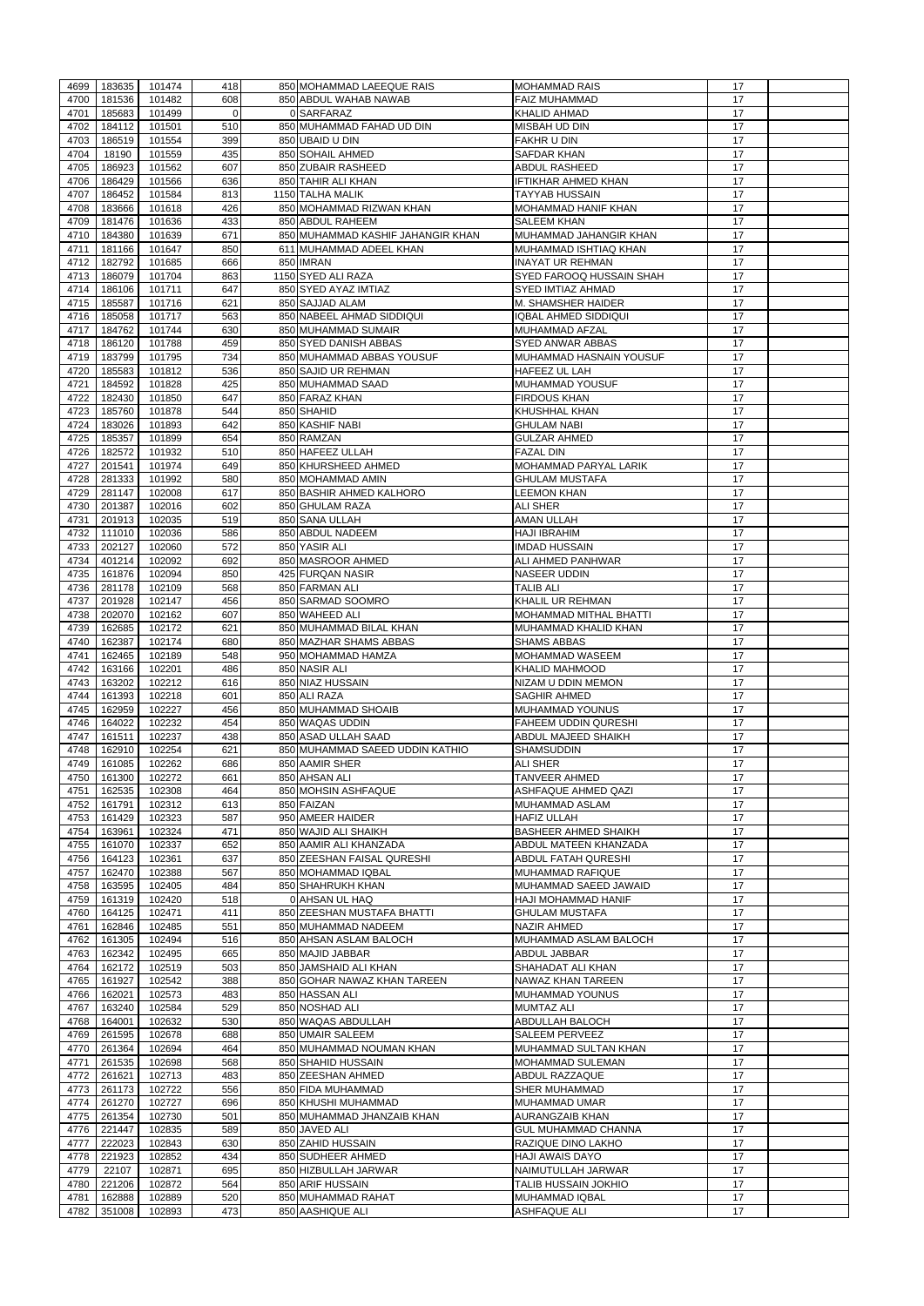| 4699 | 183635           | 101474             | 418      | 850 MOHAMMAD LAEEQUE RAIS         | <b>MOHAMMAD RAIS</b>          | 17 |  |
|------|------------------|--------------------|----------|-----------------------------------|-------------------------------|----|--|
| 4700 | 181536           | 101482             | 608      | 850 ABDUL WAHAB NAWAB             | <b>FAIZ MUHAMMAD</b>          | 17 |  |
| 4701 | 185683           | 101499             | $\Omega$ | 0 SARFARAZ                        | <b>KHALID AHMAD</b>           | 17 |  |
| 4702 | 184112           | 101501             | 510      | 850 MUHAMMAD FAHAD UD DIN         | MISBAH UD DIN                 | 17 |  |
| 4703 | 186519           | 101554             | 399      | 850 UBAID U DIN                   | <b>FAKHR U DIN</b>            | 17 |  |
| 4704 | 18190            | 101559             | 435      | 850 SOHAIL AHMED                  | <b>SAFDAR KHAN</b>            | 17 |  |
| 4705 | 186923           | 101562             | 607      | 850 ZUBAIR RASHEED                | <b>ABDUL RASHEED</b>          | 17 |  |
| 4706 | 186429           | 101566             | 636      | 850 TAHIR ALI KHAN                | <b>IFTIKHAR AHMED KHAN</b>    | 17 |  |
| 4707 | 186452           | 101584             | 813      | 1150 TALHA MALIK                  | TAYYAB HUSSAIN                | 17 |  |
| 4708 | 183666           | 101618             | 426      | 850 MOHAMMAD RIZWAN KHAN          | MOHAMMAD HANIF KHAN           | 17 |  |
| 4709 | 181476           | 101636             | 433      | 850 ABDUL RAHEEM                  | <b>SALEEM KHAN</b>            | 17 |  |
| 4710 | 184380           | 101639             | 671      | 850 MUHAMMAD KASHIF JAHANGIR KHAN | MUHAMMAD JAHANGIR KHAN        | 17 |  |
| 4711 | 181166           | 101647             | 850      | 611 MUHAMMAD ADEEL KHAN           | MUHAMMAD ISHTIAQ KHAN         | 17 |  |
| 4712 | 182792           | 101685             | 666      | 850 IMRAN                         | <b>INAYAT UR REHMAN</b>       | 17 |  |
| 4713 | 186079           | 101704             | 863      | 1150 SYED ALI RAZA                | SYED FAROOQ HUSSAIN SHAH      | 17 |  |
| 4714 |                  | 101711             | 647      | 850 SYED AYAZ IMTIAZ              | <b>SYED IMTIAZ AHMAD</b>      | 17 |  |
|      | 186106<br>185587 |                    | 621      | 850 SAJJAD ALAM                   |                               | 17 |  |
| 4715 |                  | 101716             |          |                                   | <b>M. SHAMSHER HAIDER</b>     |    |  |
| 4716 | 185058           | 101717             | 563      | 850 NABEEL AHMAD SIDDIQUI         | IQBAL AHMED SIDDIQUI          | 17 |  |
| 4717 | 184762           | 101744             | 630      | 850 MUHAMMAD SUMAIR               | MUHAMMAD AFZAL                | 17 |  |
| 4718 | 186120           | 101788             | 459      | 850 SYED DANISH ABBAS             | <b>SYED ANWAR ABBAS</b>       | 17 |  |
| 4719 | 183799           | 101795             | 734      | 850 MUHAMMAD ABBAS YOUSUF         | MUHAMMAD HASNAIN YOUSUF       | 17 |  |
| 4720 | 185583           | 101812             | 536      | 850 SAJID UR REHMAN               | <b>HAFEEZ UL LAH</b>          | 17 |  |
| 4721 | 184592           | 101828             | 425      | 850 MUHAMMAD SAAD                 | <b>MUHAMMAD YOUSUF</b>        | 17 |  |
| 4722 | 182430           | 101850             | 647      | 850 FARAZ KHAN                    | <b>FIRDOUS KHAN</b>           | 17 |  |
| 4723 | 185760           | 101878             | 544      | 850 SHAHID                        | KHUSHHAL KHAN                 | 17 |  |
| 4724 | 183026           | 101893             | 642      | 850 KASHIF NABI                   | <b>GHULAM NABI</b>            | 17 |  |
| 4725 | 185357           | 101899             | 654      | 850 RAMZAN                        | <b>GULZAR AHMED</b>           | 17 |  |
| 4726 | 182572           | 101932             | 510      | 850 HAFEEZ ULLAH                  | <b>FAZAL DIN</b>              | 17 |  |
| 4727 | 201541           | 101974             | 649      | 850 KHURSHEED AHMED               | MOHAMMAD PARYAL LARIK         | 17 |  |
| 4728 | 281333           | 101992             | 580      | 850 MOHAMMAD AMIN                 | <b>GHULAM MUSTAFA</b>         | 17 |  |
| 4729 | 281147           | 102008             | 617      | 850 BASHIR AHMED KALHORO          | <b>LEEMON KHAN</b>            | 17 |  |
| 4730 | 201387           | 102016             | 602      | 850 GHULAM RAZA                   | <b>ALI SHER</b>               | 17 |  |
| 4731 | 201913           | 102035             | 519      | 850 SANA ULLAH                    | <b>AMAN ULLAH</b>             | 17 |  |
| 4732 | 111010           | 102036             | 586      | 850 ABDUL NADEEM                  | <b>HAJI IBRAHIM</b>           | 17 |  |
| 4733 | 202127           | 102060             | 572      | 850 YASIR ALI                     | <b>IMDAD HUSSAIN</b>          | 17 |  |
| 4734 | 401214           | 102092             | 692      | 850 MASROOR AHMED                 | ALI AHMED PANHWAR             | 17 |  |
|      | 4735 161876      | 102094             | 850      | 425 FURQAN NASIR                  | <b>NASEER UDDIN</b>           | 17 |  |
| 4736 | 281178           | 102109             | 568      | 850 FARMAN ALI                    | <b>TALIB ALI</b>              | 17 |  |
| 4737 | 201928           | 102147             | 456      | 850 SARMAD SOOMRO                 | KHALIL UR REHMAN              | 17 |  |
|      |                  |                    |          | 850 WAHEED ALI                    |                               |    |  |
| 4738 | 202070           | 102162             | 607      |                                   | <b>MOHAMMAD MITHAL BHATTI</b> | 17 |  |
| 4739 | 162685           | 102172             | 621      | 850 MUHAMMAD BILAL KHAN           | MUHAMMAD KHALID KHAN          | 17 |  |
| 4740 | 162387           | 102174             | 680      | 850 MAZHAR SHAMS ABBAS            | <b>SHAMS ABBAS</b>            | 17 |  |
| 4741 | 162465           | 102189             | 548      | 950 MOHAMMAD HAMZA                | MOHAMMAD WASEEM               | 17 |  |
| 4742 | 163166           | 102201             | 486      | 850 NASIR ALI                     | <b>KHALID MAHMOOD</b>         | 17 |  |
| 4743 | 163202           | 102212             | 616      | 850 NIAZ HUSSAIN                  | NIZAM U DDIN MEMON            | 17 |  |
| 4744 | 161393           | 102218             | 601      | 850 ALI RAZA                      | <b>SAGHIR AHMED</b>           | 17 |  |
| 4745 | 162959           | 102227             | 456      | 850 MUHAMMAD SHOAIB               | MUHAMMAD YOUNUS               | 17 |  |
| 4746 | 164022           | 102232             | 454      | 850 WAQAS UDDIN                   | FAHEEM UDDIN QURESHI          | 17 |  |
| 4747 | 161511           | 102237             | 438      | 850 ASAD ULLAH SAAD               | ABDUL MAJEED SHAIKH           | 17 |  |
| 4748 | 162910           | 102254             | 621      | 850 MUHAMMAD SAEED UDDIN KATHIO   | <b>SHAMSUDDIN</b>             | 17 |  |
| 4749 | 161085           | 102262             | 686      | 850 AAMIR SHER                    | <b>ALI SHER</b>               | 17 |  |
| 4750 | 161300           | 102272             | 661      | 850 AHSAN ALI                     | <b>TANVEER AHMED</b>          | 17 |  |
| 4751 | 162535           | 102308             | 464      | 850 MOHSIN ASHFAQUE               | <b>ASHFAQUE AHMED QAZI</b>    | 17 |  |
| 4752 | 161791           | 102312             | 613      | 850 FAIZAN                        | MUHAMMAD ASLAM                | 17 |  |
| 4753 | 161429           | 102323             | 587      | 950 AMEER HAIDER                  | <b>HAFIZ ULLAH</b>            | 17 |  |
| 4754 | 163961           | 102324             | 471      | 850 WAJID ALI SHAIKH              | <b>BASHEER AHMED SHAIKH</b>   | 17 |  |
| 4755 | 161070           | 102337             | 652      | 850 AAMIR ALI KHANZADA            | ABDUL MATEEN KHANZADA         | 17 |  |
| 4756 | 164123           | 102361             | 637      | 850 ZEESHAN FAISAL QURESHI        | <b>ABDUL FATAH QURESHI</b>    | 17 |  |
| 4757 | 162470           | 102388             | 567      | 850 MOHAMMAD IQBAL                | <b>MUHAMMAD RAFIQUE</b>       | 17 |  |
| 4758 | 163595           | 102405             | 484      | 850 SHAHRUKH KHAN                 | MUHAMMAD SAEED JAWAID         | 17 |  |
| 4759 | 161319           | 102420             | 518      | 0 AHSAN UL HAQ                    | HAJI MOHAMMAD HANIF           | 17 |  |
| 4760 | 164125           | 102471             | 411      | 850 ZEESHAN MUSTAFA BHATTI        | <b>GHULAM MUSTAFA</b>         | 17 |  |
| 4761 | 162846           | 102485             | 551      | 850 MUHAMMAD NADEEM               | <b>NAZIR AHMED</b>            | 17 |  |
| 4762 | 161305           | 102494             | 516      | 850 AHSAN ASLAM BALOCH            | MUHAMMAD ASLAM BALOCH         | 17 |  |
| 4763 | 162342           | 102495             | 665      | 850 MAJID JABBAR                  | <b>ABDUL JABBAR</b>           | 17 |  |
| 4764 | 162172           | 102519             | 503      | 850 JAMSHAID ALI KHAN             | SHAHADAT ALI KHAN             | 17 |  |
| 4765 | 161927           | 102542             | 388      | 850 GOHAR NAWAZ KHAN TAREEN       | NAWAZ KHAN TAREEN             | 17 |  |
| 4766 | 162021           | 102573             | 483      | 850 HASSAN ALI                    | <b>MUHAMMAD YOUNUS</b>        | 17 |  |
| 4767 | 163240           | 102584             | 529      | 850 NOSHAD ALI                    | <b>MUMTAZ ALI</b>             | 17 |  |
|      |                  |                    |          |                                   |                               | 17 |  |
| 4768 | 164001           | 102632             | 530      | 850 WAQAS ABDULLAH                | ABDULLAH BALOCH               |    |  |
| 4769 | 261595           | 102678             | 688      | 850 UMAIR SALEEM                  | <b>SALEEM PERVEEZ</b>         | 17 |  |
| 4770 | 261364           | 102694             | 464      | 850 MUHAMMAD NOUMAN KHAN          | MUHAMMAD SULTAN KHAN          | 17 |  |
|      |                  | 4771 261535 102698 | 568      | 850 SHAHID HUSSAIN                | MOHAMMAD SULEMAN              | 17 |  |
| 4772 | 261621           | 102713             | 483      | 850 ZEESHAN AHMED                 | ABDUL RAZZAQUE                | 17 |  |
| 4773 | 261173           | 102722             | 556      | 850 FIDA MUHAMMAD                 | <b>SHER MUHAMMAD</b>          | 17 |  |
| 4774 | 261270           | 102727             | 696      | 850 KHUSHI MUHAMMAD               | <b>MUHAMMAD UMAR</b>          | 17 |  |
| 4775 | 261354           | 102730             | 501      | 850 MUHAMMAD JHANZAIB KHAN        | <b>AURANGZAIB KHAN</b>        | 17 |  |
| 4776 | 221447           | 102835             | 589      | 850 JAVED ALI                     | <b>GUL MUHAMMAD CHANNA</b>    | 17 |  |
| 4777 | 222023           | 102843             | 630      | 850 ZAHID HUSSAIN                 | RAZIQUE DINO LAKHO            | 17 |  |
| 4778 | 221923           | 102852             | 434      | 850 SUDHEER AHMED                 | <b>HAJI AWAIS DAYO</b>        | 17 |  |
| 4779 | 22107            | 102871             | 695      | 850 HIZBULLAH JARWAR              | NAIMUTULLAH JARWAR            | 17 |  |
| 4780 | 221206           | 102872             | 564      | 850 ARIF HUSSAIN                  | <b>TALIB HUSSAIN JOKHIO</b>   | 17 |  |
| 4781 | 162888           | 102889             | 520      | 850 MUHAMMAD RAHAT                | <b>MUHAMMAD IQBAL</b>         | 17 |  |
|      | 351008           | 102893             | 473      | 850 AASHIQUE ALI                  | <b>ASHFAQUE ALI</b>           | 17 |  |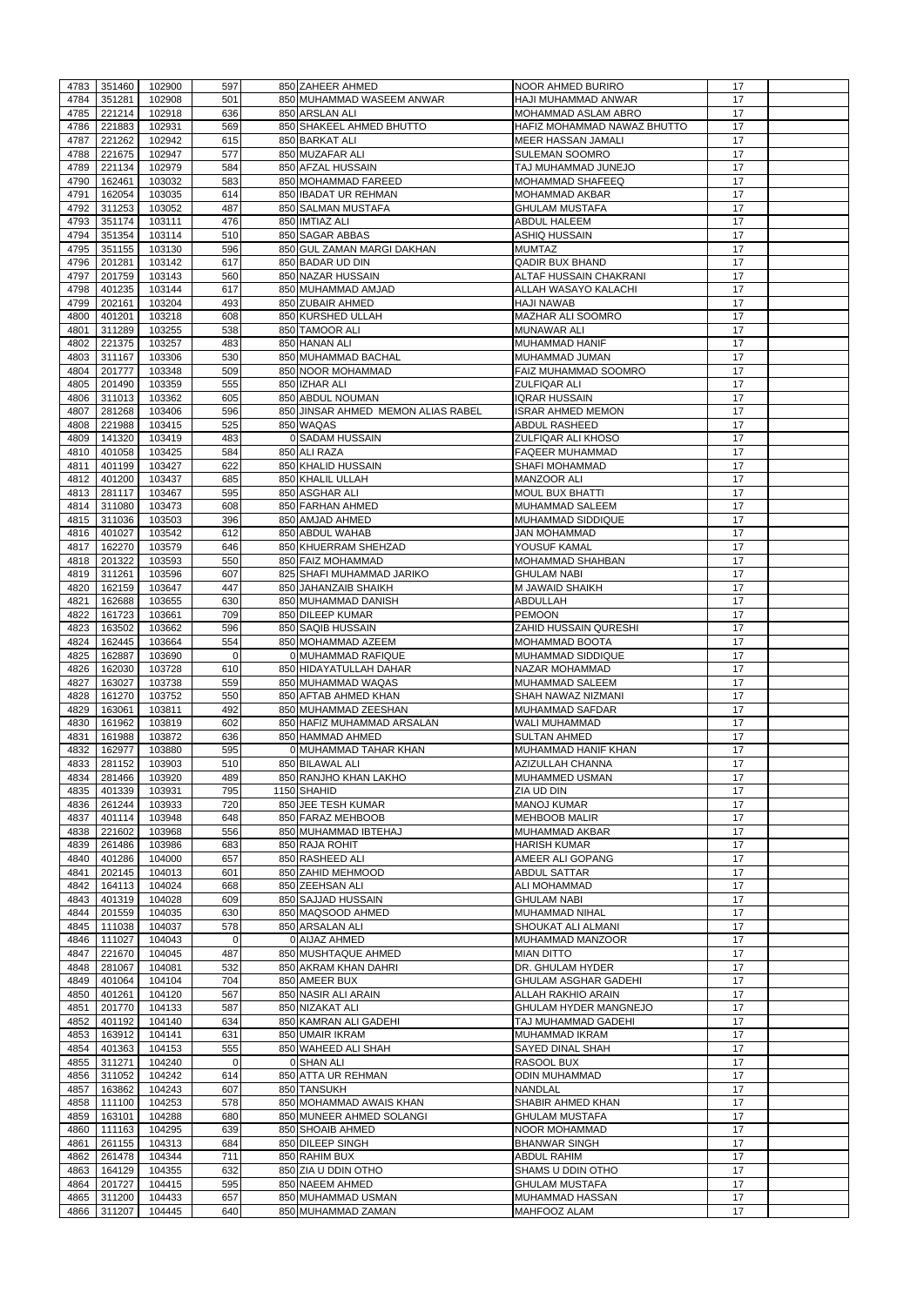| 4783         | 351460           | 102900           | 597            | 850 ZAHEER AHMED                         | <b>NOOR AHMED BURIRO</b>        | 17       |  |
|--------------|------------------|------------------|----------------|------------------------------------------|---------------------------------|----------|--|
| 4784         | 351281           | 102908           | 501            | 850 MUHAMMAD WASEEM ANWAR                | <b>HAJI MUHAMMAD ANWAR</b>      | 17       |  |
| 4785         | 221214           | 102918           | 636            | 850 ARSLAN ALI                           | <b>MOHAMMAD ASLAM ABRO</b>      | 17       |  |
|              | 221883           | 102931           | 569            | 850 SHAKEEL AHMED BHUTTO                 | HAFIZ MOHAMMAD NAWAZ BHUTTO     | 17       |  |
| 4786         |                  |                  |                |                                          |                                 |          |  |
| 4787         | 221262           | 102942           | 615            | 850 BARKAT ALI                           | <b>MEER HASSAN JAMALI</b>       | 17       |  |
| 4788         | 221675           | 102947           | 577            | 850 MUZAFAR ALI                          | <b>SULEMAN SOOMRO</b>           | 17       |  |
| 4789         | 221134           | 102979           | 584            | 850 AFZAL HUSSAIN                        | TAJ MUHAMMAD JUNEJO             | 17       |  |
| 4790         | 162461           | 103032           | 583            | 850 MOHAMMAD FAREED                      | <b>MOHAMMAD SHAFEEQ</b>         | 17       |  |
| 4791         | 162054           | 103035           | 614            | 850 IBADAT UR REHMAN                     | <b>MOHAMMAD AKBAR</b>           | 17       |  |
| 4792         | 311253           | 103052           | 487            | 850 SALMAN MUSTAFA                       | <b>GHULAM MUSTAFA</b>           | 17       |  |
| 4793         | 351174           | 103111           | 476            | 850 IMTIAZ ALI                           | <b>ABDUL HALEEM</b>             | 17       |  |
| 4794         | 351354           | 103114           | 510            | 850 SAGAR ABBAS                          | <b>ASHIQ HUSSAIN</b>            | 17       |  |
| 4795         | 351155           | 103130           | 596            | 850 GUL ZAMAN MARGI DAKHAN               | <b>MUMTAZ</b>                   | 17       |  |
| 4796         | 201281           | 103142           | 617            | 850 BADAR UD DIN                         | <b>QADIR BUX BHAND</b>          | 17       |  |
| 4797         | 201759           | 103143           | 560            | 850 NAZAR HUSSAIN                        | <b>ALTAF HUSSAIN CHAKRANI</b>   | 17       |  |
|              |                  |                  |                |                                          |                                 |          |  |
| 4798         | 401235           | 103144           | 617            | 850 MUHAMMAD AMJAD                       | ALLAH WASAYO KALACHI            | 17       |  |
| 4799         | 202161           | 103204           | 493            | 850 ZUBAIR AHMED                         | HAJI NAWAB                      | 17       |  |
| 4800         | 401201           | 103218           | 608            | 850 KURSHED ULLAH                        | <b>MAZHAR ALI SOOMRO</b>        | 17       |  |
| 4801         | 311289           | 103255           | 538            | 850 TAMOOR ALI                           | <b>MUNAWAR ALI</b>              | 17       |  |
| 4802         | 221375           | 103257           | 483            | 850 HANAN ALI                            | <b>MUHAMMAD HANIF</b>           | 17       |  |
| 4803         | 311167           | 103306           | 530            | 850 MUHAMMAD BACHAL                      | MUHAMMAD JUMAN                  | 17       |  |
| 4804         | 201777           | 103348           | 509            | 850 NOOR MOHAMMAD                        | FAIZ MUHAMMAD SOOMRO            | 17       |  |
| 4805         | 201490           | 103359           | 555            | 850 IZHAR ALI                            | <b>ZULFIQAR ALI</b>             | 17       |  |
| 4806         | 311013           | 103362           | 605            | 850 ABDUL NOUMAN                         | <b>IQRAR HUSSAIN</b>            | 17       |  |
| 4807         | 281268           | 103406           | 596            | 850 JINSAR AHMED MEMON ALIAS RABEL       | <b>ISRAR AHMED MEMON</b>        | 17       |  |
| 4808         | 221988           | 103415           | 525            | 850 WAQAS                                | <b>ABDUL RASHEED</b>            | 17       |  |
|              |                  |                  | 483            | 0 SADAM HUSSAIN                          |                                 |          |  |
| 4809         | 141320           | 103419           |                |                                          | ZULFIQAR ALI KHOSO              | 17       |  |
| 4810         | 401058           | 103425           | 584            | 850 ALI RAZA                             | <b>FAQEER MUHAMMAD</b>          | 17       |  |
| 4811         | 401199           | 103427           | 622            | 850 KHALID HUSSAIN                       | <b>SHAFI MOHAMMAD</b>           | 17       |  |
| 4812         | 401200           | 103437           | 685            | 850 KHALIL ULLAH                         | MANZOOR ALI                     | 17       |  |
| 4813         | 281117           | 103467           | 595            | 850 ASGHAR ALI                           | <b>MOUL BUX BHATTI</b>          | 17       |  |
| 4814         | 311080           | 103473           | 608            | 850 FARHAN AHMED                         | <b>MUHAMMAD SALEEM</b>          | 17       |  |
| 4815         | 311036           | 103503           | 396            | 850 AMJAD AHMED                          | <b>MUHAMMAD SIDDIQUE</b>        | 17       |  |
| 4816         | 401027           | 103542           | 612            | 850 ABDUL WAHAB                          | <b>JAN MOHAMMAD</b>             | 17       |  |
| 4817         | 162270           | 103579           | 646            | 850 KHUERRAM SHEHZAD                     | YOUSUF KAMAL                    | 17       |  |
| 4818         | 201322           | 103593           | 550            | 850 FAIZ MOHAMMAD                        | <b>MOHAMMAD SHAHBAN</b>         | 17       |  |
|              |                  |                  | 607            |                                          |                                 |          |  |
| 4819         | 311261           | 103596           |                | 825 SHAFI MUHAMMAD JARIKO                | <b>GHULAM NABI</b>              | 17       |  |
| 4820         | 162159           | 103647           | 447            | 850 JAHANZAIB SHAIKH                     | M JAWAID SHAIKH                 | 17       |  |
| 4821         | 162688           | 103655           | 630            | 850 MUHAMMAD DANISH                      | <b>ABDULLAH</b>                 | 17       |  |
| 4822         | 161723           | 103661           | 709            | 850 DILEEP KUMAR                         | <b>PEMOON</b>                   | 17       |  |
| 4823         | 163502           | 103662           | 596            | 850 SAQIB HUSSAIN                        | ZAHID HUSSAIN QURESHI           | 17       |  |
| 4824         | 162445           | 103664           | 554            | 850 MOHAMMAD AZEEM                       | <b>MOHAMMAD BOOTA</b>           | 17       |  |
| 4825         | 162887           | 103690           | $\Omega$       | 0 MUHAMMAD RAFIQUE                       | MUHAMMAD SIDDIQUE               | 17       |  |
| 4826         | 162030           | 103728           | 610            | 850 HIDAYATULLAH DAHAR                   | NAZAR MOHAMMAD                  | 17       |  |
| 4827         | 163027           | 103738           | 559            | 850 MUHAMMAD WAQAS                       | MUHAMMAD SALEEM                 | 17       |  |
| 4828         |                  |                  |                |                                          |                                 |          |  |
|              |                  |                  |                |                                          |                                 |          |  |
|              | 161270           | 103752           | 550            | 850 AFTAB AHMED KHAN                     | SHAH NAWAZ NIZMANI              | 17       |  |
| 4829         | 163061           | 103811           | 492            | 850 MUHAMMAD ZEESHAN                     | MUHAMMAD SAFDAR                 | 17       |  |
| 4830         | 161962           | 103819           | 602            | 850 HAFIZ MUHAMMAD ARSALAN               | WALI MUHAMMAD                   | 17       |  |
| 4831         | 161988           | 103872           | 636            | 850 HAMMAD AHMED                         | <b>SULTAN AHMED</b>             | 17       |  |
| 4832         | 162977           | 103880           | 595            | 0 MUHAMMAD TAHAR KHAN                    | MUHAMMAD HANIF KHAN             | 17       |  |
| 4833         | 281152           | 103903           | 510            | 850 BILAWAL ALI                          | <b>AZIZULLAH CHANNA</b>         | 17       |  |
| 4834         | 281466           | 103920           | 489            | 850 RANJHO KHAN LAKHO                    | <b>MUHAMMED USMAN</b>           | 17       |  |
| 4835         | 401339           | 103931           | 795            | 1150 SHAHID                              | ZIA UD DIN                      | 17       |  |
| 4836         | 261244           | 103933           | 720            | 850 JEE TESH KUMAR                       | <b>MANOJ KUMAR</b>              | 17       |  |
| 4837         | 401114           | 103948           | 648            | 850 FARAZ MEHBOOB                        | <b>MEHBOOB MALIR</b>            | 17       |  |
| 4838         | 221602           | 103968           | 556            |                                          | <b>MUHAMMAD AKBAR</b>           | 17       |  |
|              |                  |                  |                | 850 MUHAMMAD IBTEHAJ                     |                                 |          |  |
| 4839         | 261486           | 103986           | 683            | 850 RAJA ROHIT                           | <b>HARISH KUMAR</b>             | 17       |  |
| 4840         | 401286           | 104000           | 657            | 850 RASHEED ALI                          | AMEER ALI GOPANG                | 17       |  |
| 4841         | 202145           | 104013           | 601            | 850 ZAHID MEHMOOD                        | <b>ABDUL SATTAR</b>             | 17       |  |
| 4842         | 164113           | 104024           | 668            | 850 ZEEHSAN ALI                          | <b>ALI MOHAMMAD</b>             | 17       |  |
| 4843         | 401319           | 104028           | 609            | 850 SAJJAD HUSSAIN                       | <b>GHULAM NABI</b>              | 17       |  |
| 4844         | 201559           | 104035           | 630            | 850 MAQSOOD AHMED                        | <b>MUHAMMAD NIHAL</b>           | 17       |  |
| 4845         | 111038           | 104037           | 578            | 850 ARSALAN ALI                          | SHOUKAT ALI ALMANI              | 17       |  |
| 4846         | 111027           | 104043           | $\mathbf 0$    | 0 AIJAZ AHMED                            | MUHAMMAD MANZOOR                | 17       |  |
| 4847         | 221670           | 104045           | 487            | 850 MUSHTAQUE AHMED                      | <b>MIAN DITTO</b>               | 17       |  |
| 4848         | 281067           | 104081           | 532            | 850 AKRAM KHAN DAHRI                     | DR. GHULAM HYDER                | 17       |  |
| 4849         | 401064           | 104104           | 704            | 850 AMEER BUX                            | <b>GHULAM ASGHAR GADEHI</b>     | 17       |  |
| 4850         | 401261           | 104120           | 567            | 850 NASIR ALI ARAIN                      | <b>ALLAH RAKHIO ARAIN</b>       | 17       |  |
|              |                  |                  |                |                                          |                                 | 17       |  |
| 4851         | 201770           | 104133           | 587            | 850 NIZAKAT ALI                          | <b>GHULAM HYDER MANGNEJO</b>    |          |  |
| 4852         | 401192           | 104140           | 634            | 850 KAMRAN ALI GADEHI                    | TAJ MUHAMMAD GADEHI             | 17       |  |
| 4853         | 163912           | 104141           | 631            | 850 UMAIR IKRAM                          | MUHAMMAD IKRAM                  | 17       |  |
| 4854         | 401363           | 104153           | 555            | 850 WAHEED ALI SHAH                      | <b>SAYED DINAL SHAH</b>         | 17       |  |
|              | 4855 311271      | 104240           | $\overline{0}$ | 0 SHAN ALI                               | RASOOL BUX                      | 17       |  |
| 4856         | 311052           | 104242           | 614            | 850 ATTA UR REHMAN                       | <b>ODIN MUHAMMAD</b>            | 17       |  |
| 4857         | 163862           | 104243           | 607            | 850 TANSUKH                              | NANDLAL                         | 17       |  |
| 4858         | 111100           | 104253           | 578            | 850 MOHAMMAD AWAIS KHAN                  | <b>SHABIR AHMED KHAN</b>        | 17       |  |
| 4859         | 163101           | 104288           | 680            | 850 MUNEER AHMED SOLANGI                 | <b>GHULAM MUSTAFA</b>           | 17       |  |
| 4860         | 111163           | 104295           | 639            | 850 SHOAIB AHMED                         | NOOR MOHAMMAD                   | 17       |  |
|              |                  |                  |                |                                          |                                 |          |  |
| 4861         | 261155           | 104313           | 684            | 850 DILEEP SINGH                         | <b>BHANWAR SINGH</b>            | 17       |  |
| 4862         | 261478           | 104344           | 711            | 850 RAHIM BUX                            | <b>ABDUL RAHIM</b>              | 17       |  |
| 4863         | 164129           | 104355           | 632            | 850 ZIA U DDIN OTHO                      | <b>SHAMS U DDIN OTHO</b>        | 17       |  |
| 4864         | 201727           | 104415           | 595            | 850 NAEEM AHMED                          | <b>GHULAM MUSTAFA</b>           | 17       |  |
| 4865<br>4866 | 311200<br>311207 | 104433<br>104445 | 657<br>640     | 850 MUHAMMAD USMAN<br>850 MUHAMMAD ZAMAN | MUHAMMAD HASSAN<br>MAHFOOZ ALAM | 17<br>17 |  |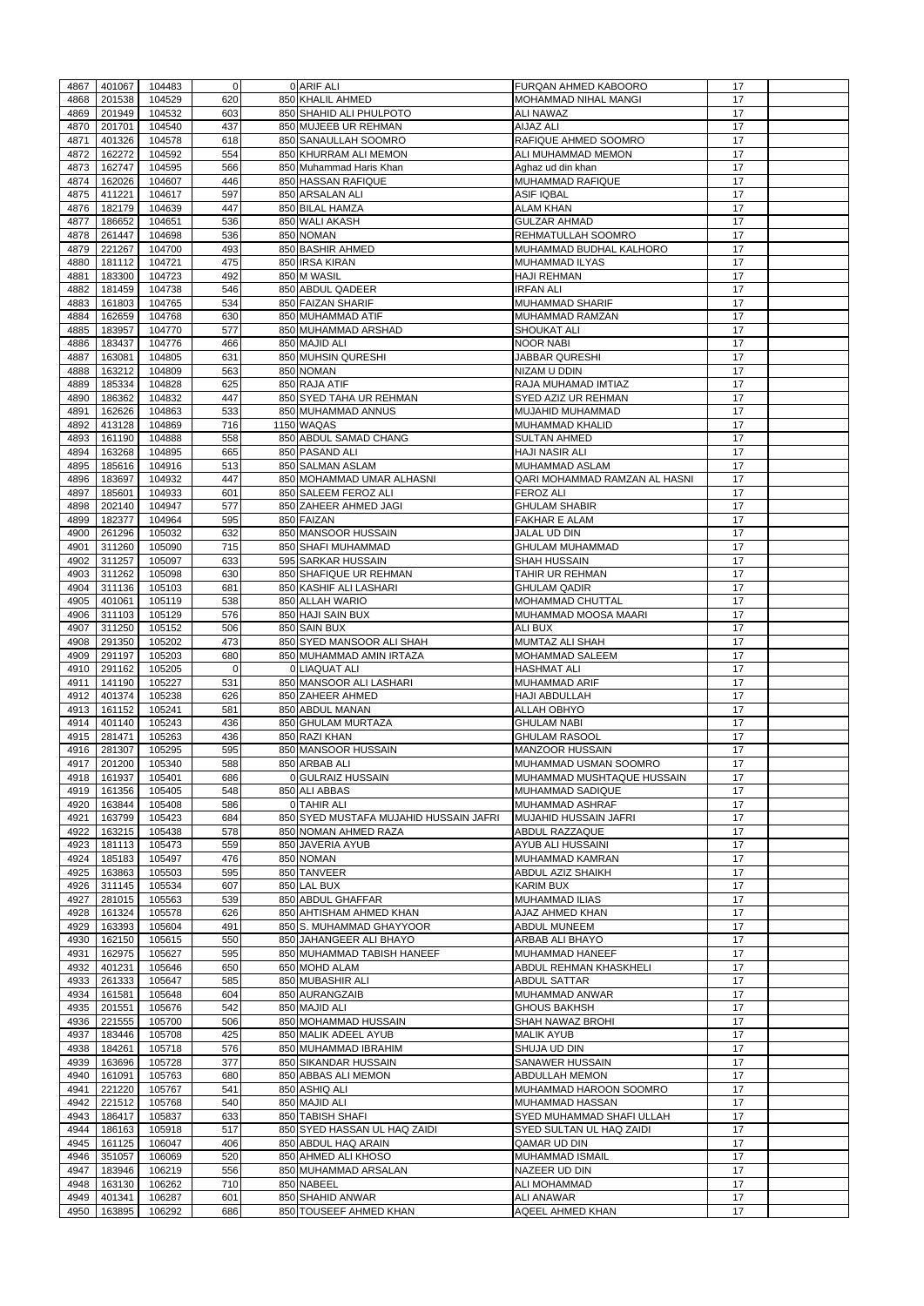| 4867 | 401067 | 104483 | $\overline{0}$ | 0 ARIF ALI                             | <b>FURQAN AHMED KABOORO</b>   | 17 |  |
|------|--------|--------|----------------|----------------------------------------|-------------------------------|----|--|
|      |        |        |                |                                        |                               |    |  |
| 4868 | 201538 | 104529 | 620            | 850 KHALIL AHMED                       | <b>MOHAMMAD NIHAL MANGI</b>   | 17 |  |
| 4869 | 201949 | 104532 | 603            | 850 SHAHID ALI PHULPOTO                | <b>ALI NAWAZ</b>              | 17 |  |
| 4870 | 201701 | 104540 | 437            | 850 MUJEEB UR REHMAN                   | <b>AIJAZ ALI</b>              | 17 |  |
| 4871 | 401326 | 104578 | 618            | 850 SANAULLAH SOOMRO                   | RAFIQUE AHMED SOOMRO          | 17 |  |
| 4872 | 162272 | 104592 | 554            | 850 KHURRAM ALI MEMON                  | ALI MUHAMMAD MEMON            | 17 |  |
|      |        |        |                |                                        |                               |    |  |
| 4873 | 162747 | 104595 | 566            | 850 Muhammad Haris Khan                | Aghaz ud din khan             | 17 |  |
| 4874 | 162026 | 104607 | 446            | 850 HASSAN RAFIQUE                     | MUHAMMAD RAFIQUE              | 17 |  |
| 4875 | 411221 | 104617 | 597            | 850 ARSALAN ALI                        | <b>ASIF IQBAL</b>             | 17 |  |
| 4876 | 182179 | 104639 | 447            | 850 BILAL HAMZA                        | <b>ALAM KHAN</b>              | 17 |  |
|      |        |        |                |                                        |                               |    |  |
| 4877 | 186652 | 104651 | 536            | 850 WALI AKASH                         | <b>GULZAR AHMAD</b>           | 17 |  |
| 4878 | 261447 | 104698 | 536            | 850 NOMAN                              | REHMATULLAH SOOMRO            | 17 |  |
| 4879 | 221267 | 104700 | 493            | 850 BASHIR AHMED                       | MUHAMMAD BUDHAL KALHORO       | 17 |  |
| 4880 | 181112 | 104721 | 475            | 850 IRSA KIRAN                         | MUHAMMAD ILYAS                | 17 |  |
| 4881 | 183300 | 104723 | 492            | 850 M WASIL                            | <b>HAJI REHMAN</b>            | 17 |  |
|      |        |        |                |                                        |                               |    |  |
| 4882 | 181459 | 104738 | 546            | 850 ABDUL QADEER                       | <b>IRFAN ALI</b>              | 17 |  |
| 4883 | 161803 | 104765 | 534            | 850 FAIZAN SHARIF                      | MUHAMMAD SHARIF               | 17 |  |
| 4884 | 162659 | 104768 | 630            | 850 MUHAMMAD ATIF                      | MUHAMMAD RAMZAN               | 17 |  |
| 4885 | 183957 | 104770 | 577            | 850 MUHAMMAD ARSHAD                    | <b>SHOUKAT ALI</b>            | 17 |  |
| 4886 | 183437 | 104776 | 466            | 850 MAJID ALI                          |                               | 17 |  |
|      |        |        |                |                                        | <b>NOOR NABI</b>              |    |  |
| 4887 | 163081 | 104805 | 631            | 850 MUHSIN QURESHI                     | <b>JABBAR QURESHI</b>         | 17 |  |
| 4888 | 163212 | 104809 | 563            | 850 NOMAN                              | NIZAM U DDIN                  | 17 |  |
| 4889 | 185334 | 104828 | 625            | 850 RAJA ATIF                          | RAJA MUHAMAD IMTIAZ           | 17 |  |
| 4890 | 186362 | 104832 | 447            | 850 SYED TAHA UR REHMAN                | SYED AZIZ UR REHMAN           | 17 |  |
|      |        |        |                |                                        |                               |    |  |
| 4891 | 162626 | 104863 | 533            | 850 MUHAMMAD ANNUS                     | MUJAHID MUHAMMAD              | 17 |  |
| 4892 | 413128 | 104869 | 716            | 1150 WAQAS                             | MUHAMMAD KHALID               | 17 |  |
| 4893 | 161190 | 104888 | 558            | 850 ABDUL SAMAD CHANG                  | <b>SULTAN AHMED</b>           | 17 |  |
| 4894 | 163268 | 104895 | 665            | 850 PASAND ALI                         | <b>HAJI NASIR ALI</b>         | 17 |  |
| 4895 | 185616 | 104916 | 513            | 850 SALMAN ASLAM                       | MUHAMMAD ASLAM                | 17 |  |
|      |        |        |                |                                        |                               |    |  |
| 4896 | 183697 | 104932 | 447            | 850 MOHAMMAD UMAR ALHASNI              | QARI MOHAMMAD RAMZAN AL HASNI | 17 |  |
| 4897 | 185601 | 104933 | 601            | 850 SALEEM FEROZ ALI                   | <b>FEROZ ALI</b>              | 17 |  |
| 4898 | 202140 | 104947 | 577            | 850 ZAHEER AHMED JAGI                  | <b>GHULAM SHABIR</b>          | 17 |  |
| 4899 | 182377 | 104964 | 595            | 850 FAIZAN                             | <b>FAKHAR E ALAM</b>          | 17 |  |
|      |        |        |                |                                        |                               |    |  |
| 4900 | 261296 | 105032 | 632            | 850 MANSOOR HUSSAIN                    | <b>JALAL UD DIN</b>           | 17 |  |
| 4901 | 311260 | 105090 | 715            | 850 SHAFI MUHAMMAD                     | <b>GHULAM MUHAMMAD</b>        | 17 |  |
| 4902 | 311257 | 105097 | 633            | 595 SARKAR HUSSAIN                     | <b>SHAH HUSSAIN</b>           | 17 |  |
| 4903 | 311262 | 105098 | 630            | 850 SHAFIQUE UR REHMAN                 | <b>TAHIR UR REHMAN</b>        | 17 |  |
| 4904 | 311136 | 105103 | 681            | 850 KASHIF ALI LASHARI                 | <b>GHULAM QADIR</b>           | 17 |  |
|      |        |        |                |                                        |                               |    |  |
| 4905 | 401061 | 105119 | 538            | 850 ALLAH WARIO                        | <b>MOHAMMAD CHUTTAL</b>       | 17 |  |
| 4906 | 311103 | 105129 | 576            | 850 HAJI SAIN BUX                      | MUHAMMAD MOOSA MAARI          | 17 |  |
| 4907 | 311250 | 105152 | 506            | 850 SAIN BUX                           | ALI BUX                       | 17 |  |
| 4908 | 291350 | 105202 | 473            | 850 SYED MANSOOR ALI SHAH              | MUMTAZ ALI SHAH               | 17 |  |
| 4909 | 291197 | 105203 | 680            | 850 MUHAMMAD AMIN IRTAZA               | MOHAMMAD SALEEM               | 17 |  |
|      |        |        |                |                                        |                               |    |  |
| 4910 | 291162 | 105205 | $\Omega$       | 0 LIAQUAT ALI                          | <b>HASHMAT ALI</b>            | 17 |  |
| 4911 | 141190 | 105227 | 531            | 850 MANSOOR ALI LASHARI                | MUHAMMAD ARIF                 | 17 |  |
| 4912 | 401374 | 105238 | 626            | 850 ZAHEER AHMED                       | <b>HAJI ABDULLAH</b>          | 17 |  |
| 4913 | 161152 | 105241 | 581            | 850 ABDUL MANAN                        | <b>ALLAH OBHYO</b>            | 17 |  |
| 4914 | 401140 | 105243 | 436            | 850 GHULAM MURTAZA                     | <b>GHULAM NABI</b>            | 17 |  |
|      |        |        |                |                                        |                               |    |  |
| 4915 | 281471 | 105263 | 436            | 850 RAZI KHAN                          | <b>GHULAM RASOOL</b>          | 17 |  |
| 4916 | 281307 | 105295 | 595            | 850 MANSOOR HUSSAIN                    | <b>MANZOOR HUSSAIN</b>        | 17 |  |
| 4917 | 201200 | 105340 | 588            | 850 ARBAB ALI                          | MUHAMMAD USMAN SOOMRO         | 17 |  |
| 4918 | 161937 | 105401 | 686            | 0 GULRAIZ HUSSAIN                      | MUHAMMAD MUSHTAQUE HUSSAIN    | 17 |  |
| 4919 | 161356 | 105405 | 548            | 850 ALI ABBAS                          | MUHAMMAD SADIQUE              | 17 |  |
|      |        |        |                |                                        |                               |    |  |
| 4920 | 163844 | 105408 | 586            | 0 TAHIR ALI                            | MUHAMMAD ASHRAF               | 17 |  |
| 4921 | 163799 | 105423 | 684            | 850 SYED MUSTAFA MUJAHID HUSSAIN JAFRI | MUJAHID HUSSAIN JAFRI         | 17 |  |
| 4922 | 163215 | 105438 | 578            | 850 NOMAN AHMED RAZA                   | ABDUL RAZZAQUE                | 17 |  |
| 4923 | 181113 | 105473 | 559            | 850 JAVERIA AYUB                       | AYUB ALI HUSSAINI             | 17 |  |
|      |        |        |                |                                        |                               |    |  |
| 4924 | 185183 | 105497 | 476            | 850 NOMAN                              | <b>MUHAMMAD KAMRAN</b>        | 17 |  |
| 4925 | 163863 | 105503 | 595            | 850 TANVEER                            | <b>ABDUL AZIZ SHAIKH</b>      | 17 |  |
| 4926 | 311145 | 105534 | 607            | 850 LAL BUX                            | <b>KARIM BUX</b>              | 17 |  |
| 4927 | 281015 | 105563 | 539            | 850 ABDUL GHAFFAR                      | <b>MUHAMMAD ILIAS</b>         | 17 |  |
| 4928 | 161324 | 105578 | 626            | 850 AHTISHAM AHMED KHAN                | AJAZ AHMED KHAN               | 17 |  |
|      |        |        |                |                                        |                               |    |  |
| 4929 | 163393 | 105604 | 491            | 850 S. MUHAMMAD GHAYYOOR               | <b>ABDUL MUNEEM</b>           | 17 |  |
| 4930 | 162150 | 105615 | 550            | 850 JAHANGEER ALI BHAYO                | <b>ARBAB ALI BHAYO</b>        | 17 |  |
| 4931 | 162975 | 105627 | 595            | 850 MUHAMMAD TABISH HANEEF             | MUHAMMAD HANEEF               | 17 |  |
| 4932 | 401231 | 105646 | 650            | 650 MOHD ALAM                          | <b>ABDUL REHMAN KHASKHELI</b> | 17 |  |
| 4933 | 261333 | 105647 | 585            | 850 MUBASHIR ALI                       | <b>ABDUL SATTAR</b>           | 17 |  |
|      |        |        |                |                                        |                               |    |  |
| 4934 | 161581 | 105648 | 604            | 850 AURANGZAIB                         | MUHAMMAD ANWAR                | 17 |  |
| 4935 | 201551 | 105676 | 542            | 850 MAJID ALI                          | <b>GHOUS BAKHSH</b>           | 17 |  |
| 4936 | 221555 | 105700 | 506            | 850 MOHAMMAD HUSSAIN                   | <b>SHAH NAWAZ BROHI</b>       | 17 |  |
| 4937 | 183446 | 105708 | 425            | 850 MALIK ADEEL AYUB                   | <b>MALIK AYUB</b>             | 17 |  |
|      |        |        |                | 850 MUHAMMAD IBRAHIM                   |                               |    |  |
| 4938 | 184261 | 105718 | 576            |                                        | SHUJA UD DIN                  | 17 |  |
| 4939 | 163696 | 105728 | 377            | 850 SIKANDAR HUSSAIN                   | <b>SANAWER HUSSAIN</b>        | 17 |  |
| 4940 | 161091 | 105763 | 680            | 850 ABBAS ALI MEMON                    | <b>ABDULLAH MEMON</b>         | 17 |  |
| 4941 | 221220 | 105767 | 541            | 850 ASHIQ ALI                          | MUHAMMAD HAROON SOOMRO        | 17 |  |
|      |        |        |                |                                        |                               |    |  |
| 4942 | 221512 | 105768 | 540            | 850 MAJID ALI                          | MUHAMMAD HASSAN               | 17 |  |
| 4943 | 186417 | 105837 | 633            | 850 TABISH SHAFI                       | SYED MUHAMMAD SHAFI ULLAH     | 17 |  |
| 4944 | 186163 | 105918 | 517            | 850 SYED HASSAN UL HAQ ZAIDI           | SYED SULTAN UL HAQ ZAIDI      | 17 |  |
|      |        | 106047 | 406            | 850 ABDUL HAQ ARAIN                    | QAMAR UD DIN                  | 17 |  |
|      |        |        |                |                                        |                               |    |  |
| 4945 | 161125 |        |                |                                        |                               |    |  |
| 4946 | 351057 | 106069 | 520            | 850 AHMED ALI KHOSO                    | <b>MUHAMMAD ISMAIL</b>        | 17 |  |
| 4947 | 183946 | 106219 | 556            | 850 MUHAMMAD ARSALAN                   | <b>NAZEER UD DIN</b>          | 17 |  |
| 4948 | 163130 | 106262 | 710            | 850 NABEEL                             | <b>ALI MOHAMMAD</b>           | 17 |  |
| 4949 | 401341 | 106287 | 601            | 850 SHAHID ANWAR                       | <b>ALI ANAWAR</b>             | 17 |  |
| 4950 | 163895 | 106292 | 686            | 850 TOUSEEF AHMED KHAN                 | <b>AQEEL AHMED KHAN</b>       | 17 |  |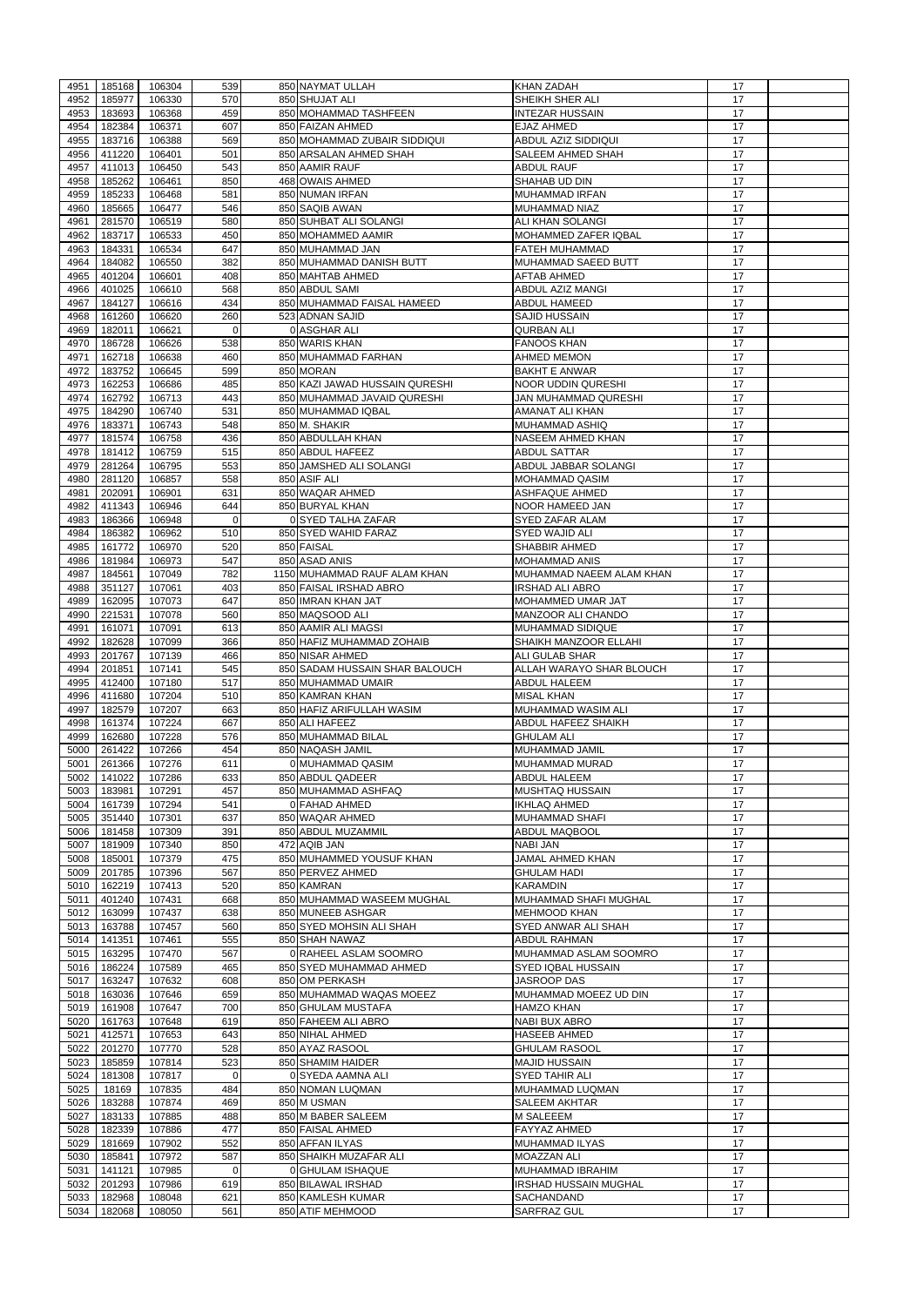| 4951         | 185168           | 106304           | 539         | 850 NAYMAT ULLAH                      | <b>KHAN ZADAH</b>                       | 17       |  |
|--------------|------------------|------------------|-------------|---------------------------------------|-----------------------------------------|----------|--|
|              | 185977           | 106330           | 570         | 850 SHUJAT ALI                        | <b>SHEIKH SHER ALI</b>                  | 17       |  |
| 4952         |                  |                  |             |                                       |                                         |          |  |
| 4953         | 183693           | 106368           | 459         | 850 MOHAMMAD TASHFEEN                 | <b>INTEZAR HUSSAIN</b>                  | 17       |  |
| 4954         | 182384           | 106371           | 607         | 850 FAIZAN AHMED                      | <b>EJAZ AHMED</b>                       | 17       |  |
| 4955         | 183716           | 106388           | 569         | 850 MOHAMMAD ZUBAIR SIDDIQUI          | <b>ABDUL AZIZ SIDDIQUI</b>              | 17       |  |
| 4956         | 411220           | 106401           | 501         | 850 ARSALAN AHMED SHAH                | <b>SALEEM AHMED SHAH</b>                | 17       |  |
| 4957         | 411013           | 106450           | 543         | 850 AAMIR RAUF                        | <b>ABDUL RAUF</b>                       | 17       |  |
|              |                  |                  |             |                                       |                                         |          |  |
| 4958         | 185262           | 106461           | 850         | 468 OWAIS AHMED                       | SHAHAB UD DIN                           | 17       |  |
| 4959         | 185233           | 106468           | 581         | 850 NUMAN IRFAN                       | <b>MUHAMMAD IRFAN</b>                   | 17       |  |
| 4960         | 185665           | 106477           | 546         | 850 SAQIB AWAN                        | <b>MUHAMMAD NIAZ</b>                    | 17       |  |
| 4961         | 281570           | 106519           | 580         | 850 SUHBAT ALI SOLANGI                | <b>ALI KHAN SOLANGI</b>                 | 17       |  |
|              |                  |                  |             |                                       |                                         |          |  |
| 4962         | 183717           | 106533           | 450         | 850 MOHAMMED AAMIR                    | MOHAMMED ZAFER IQBAL                    | 17       |  |
| 4963         | 184331           | 106534           | 647         | 850 MUHAMMAD JAN                      | <b>FATEH MUHAMMAD</b>                   | 17       |  |
| 4964         | 184082           | 106550           | 382         | 850 MUHAMMAD DANISH BUTT              | MUHAMMAD SAEED BUTT                     | 17       |  |
| 4965         | 401204           | 106601           | 408         | 850 MAHTAB AHMED                      | <b>AFTAB AHMED</b>                      | 17       |  |
| 4966         | 401025           | 106610           | 568         | 850 ABDUL SAMI                        | ABDUL AZIZ MANGI                        | 17       |  |
|              |                  |                  |             |                                       |                                         |          |  |
| 4967         | 184127           | 106616           | 434         | 850 MUHAMMAD FAISAL HAMEED            | <b>ABDUL HAMEED</b>                     | 17       |  |
| 4968         | 161260           | 106620           | 260         | 523 ADNAN SAJID                       | <b>SAJID HUSSAIN</b>                    | 17       |  |
| 4969         | 182011           | 106621           | $\Omega$    | 0 ASGHAR ALI                          | <b>QURBAN ALI</b>                       | 17       |  |
| 4970         | 186728           | 106626           | 538         | 850 WARIS KHAN                        | <b>FANOOS KHAN</b>                      | 17       |  |
|              |                  |                  |             |                                       |                                         |          |  |
| 4971         | 162718           | 106638           | 460         | 850 MUHAMMAD FARHAN                   | <b>AHMED MEMON</b>                      | 17       |  |
| 4972         | 183752           | 106645           | 599         | 850 MORAN                             | <b>BAKHT E ANWAR</b>                    | 17       |  |
| 4973         | 162253           | 106686           | 485         | 850 KAZI JAWAD HUSSAIN QURESHI        | <b>NOOR UDDIN QURESHI</b>               | 17       |  |
| 4974         | 162792           | 106713           | 443         | 850 MUHAMMAD JAVAID QURESHI           | JAN MUHAMMAD QURESHI                    | 17       |  |
|              |                  |                  |             |                                       |                                         |          |  |
| 4975         | 184290           | 106740           | 531         | 850 MUHAMMAD IQBAL                    | AMANAT ALI KHAN                         | 17       |  |
| 4976         | 183371           | 106743           | 548         | 850 M. SHAKIR                         | <b>MUHAMMAD ASHIQ</b>                   | 17       |  |
| 4977         | 181574           | 106758           | 436         | 850 ABDULLAH KHAN                     | <b>NASEEM AHMED KHAN</b>                | 17       |  |
| 4978         | 181412           | 106759           | 515         | 850 ABDUL HAFEEZ                      | <b>ABDUL SATTAR</b>                     | 17       |  |
| 4979         | 281264           | 106795           | 553         | 850 JAMSHED ALI SOLANGI               | ABDUL JABBAR SOLANGI                    | 17       |  |
|              |                  |                  |             |                                       |                                         |          |  |
| 4980         | 281120           | 106857           | 558         | 850 ASIF ALI                          | <b>MOHAMMAD QASIM</b>                   | 17       |  |
| 4981         | 202091           | 106901           | 631         | 850 WAQAR AHMED                       | <b>ASHFAQUE AHMED</b>                   | 17       |  |
| 4982         | 411343           | 106946           | 644         | 850 BURYAL KHAN                       | <b>NOOR HAMEED JAN</b>                  | 17       |  |
| 4983         | 186366           | 106948           | $\mathbf 0$ | 0 SYED TALHA ZAFAR                    | <b>SYED ZAFAR ALAM</b>                  | 17       |  |
|              |                  |                  |             |                                       |                                         |          |  |
| 4984         | 186382           | 106962           | 510         | 850 SYED WAHID FARAZ                  | <b>SYED WAJID ALI</b>                   | 17       |  |
| 4985         | 161772           | 106970           | 520         | 850 FAISAL                            | <b>SHABBIR AHMED</b>                    | 17       |  |
| 4986         | 181984           | 106973           | 547         | 850 ASAD ANIS                         | <b>MOHAMMAD ANIS</b>                    | 17       |  |
| 4987         | 184561           | 107049           | 782         | 1150 MUHAMMAD RAUF ALAM KHAN          | MUHAMMAD NAEEM ALAM KHAN                | 17       |  |
|              |                  |                  |             |                                       |                                         |          |  |
| 4988         | 351127           | 107061           | 403         | 850 FAISAL IRSHAD ABRO                | <b>IRSHAD ALI ABRO</b>                  | 17       |  |
| 4989         | 162095           | 107073           | 647         | 850 IMRAN KHAN JAT                    | <b>MOHAMMED UMAR JAT</b>                | 17       |  |
| 4990         | 221531           | 107078           | 560         | 850 MAQSOOD ALI                       | MANZOOR ALI CHANDO                      | 17       |  |
| 4991         | 161071           | 107091           | 613         | 850 AAMIR ALI MAGSI                   | <b>MUHAMMAD SIDIQUE</b>                 | 17       |  |
|              |                  |                  |             |                                       |                                         |          |  |
| 4992         | 182628           | 107099           | 366         | 850 HAFIZ MUHAMMAD ZOHAIB             | SHAIKH MANZOOR ELLAHI                   | 17       |  |
| 4993         | 201767           | 107139           | 466         | 850 NISAR AHMED                       | ALI GULAB SHAR                          | 17       |  |
| 4994         | 201851           | 107141           | 545         | 850 SADAM HUSSAIN SHAR BALOUCH        | ALLAH WARAYO SHAR BLOUCH                | 17       |  |
| 4995         | 412400           | 107180           | 517         | 850 MUHAMMAD UMAIR                    | <b>ABDUL HALEEM</b>                     | 17       |  |
|              |                  |                  |             |                                       |                                         |          |  |
| 4996         | 411680           | 107204           | 510         | 850 KAMRAN KHAN                       | <b>MISAL KHAN</b>                       | 17       |  |
| 4997         | 182579           | 107207           | 663         | 850 HAFIZ ARIFULLAH WASIM             | MUHAMMAD WASIM ALI                      | 17       |  |
| 4998         | 161374           | 107224           | 667         | 850 ALI HAFEEZ                        | <b>ABDUL HAFEEZ SHAIKH</b>              | 17       |  |
| 4999         | 162680           | 107228           | 576         | 850 MUHAMMAD BILAL                    | <b>GHULAM ALI</b>                       | 17       |  |
|              |                  |                  |             |                                       |                                         |          |  |
|              |                  |                  |             | 850 NAQASH JAMIL                      | MUHAMMAD JAMIL                          | 17       |  |
| 5000         | 261422           | 107266           | 454         |                                       | MUHAMMAD MURAD                          |          |  |
| 5001         | 261366           | 107276           | 611         | 0 MUHAMMAD QASIM                      |                                         | 17       |  |
| 5002         | 141022           |                  | 633         |                                       | <b>ABDUL HALEEM</b>                     | 17       |  |
|              |                  | 107286           |             | 850 ABDUL QADEER                      |                                         |          |  |
| 5003         | 183981           | 107291           | 457         | 850 MUHAMMAD ASHFAQ                   | <b>MUSHTAQ HUSSAIN</b>                  | 17       |  |
| 5004         | 161739           | 107294           | 541         | 0 FAHAD AHMED                         | <b>IKHLAQ AHMED</b>                     | 17       |  |
| 5005         | 351440           | 107301           | 637         | 850 WAQAR AHMED                       | <b>MUHAMMAD SHAFI</b>                   | 17       |  |
| 5006         | 181458           | 107309           | 391         | 850 ABDUL MUZAMMIL                    | ABDUL MAQBOOL                           | 17       |  |
|              |                  |                  |             |                                       |                                         |          |  |
| 5007         | 181909           | 107340           | 850         | 472 AQIB JAN                          | <b>NABI JAN</b>                         | 17       |  |
| 5008         | 185001           | 107379           | 475         | 850 MUHAMMED YOUSUF KHAN              | JAMAL AHMED KHAN                        | 17       |  |
| 5009         | 201785           | 107396           | 567         | 850 PERVEZ AHMED                      | <b>GHULAM HADI</b>                      | 17       |  |
| 5010         | 162219           | 107413           | 520         | 850 KAMRAN                            | <b>KARAMDIN</b>                         | 17       |  |
| 5011         | 401240           | 107431           | 668         | 850 MUHAMMAD WASEEM MUGHAL            | MUHAMMAD SHAFI MUGHAL                   | 17       |  |
|              |                  |                  |             |                                       |                                         |          |  |
| 5012         | 163099           | 107437           | 638         | 850 MUNEEB ASHGAR                     | <b>MEHMOOD KHAN</b>                     | 17       |  |
| 5013         | 163788           | 107457           | 560         | 850 SYED MOHSIN ALI SHAH              | SYED ANWAR ALI SHAH                     | 17       |  |
| 5014         | 141351           | 107461           | 555         | 850 SHAH NAWAZ                        | <b>ABDUL RAHMAN</b>                     | 17       |  |
| 5015         | 163295           | 107470           | 567         | 0 RAHEEL ASLAM SOOMRO                 | MUHAMMAD ASLAM SOOMRO                   | 17       |  |
| 5016         | 186224           | 107589           | 465         |                                       | <b>SYED IQBAL HUSSAIN</b>               | 17       |  |
|              |                  |                  |             | 850 SYED MUHAMMAD AHMED               |                                         |          |  |
| 5017         | 163247           | 107632           | 608         | 850 OM PERKASH                        | <b>JASROOP DAS</b>                      | 17       |  |
| 5018         | 163036           | 107646           | 659         | 850 MUHAMMAD WAQAS MOEEZ              | MUHAMMAD MOEEZ UD DIN                   | 17       |  |
| 5019         | 161908           | 107647           | 700         | 850 GHULAM MUSTAFA                    | <b>HAMZO KHAN</b>                       | 17       |  |
| 5020         | 161763           | 107648           | 619         | 850 FAHEEM ALI ABRO                   | <b>NABI BUX ABRO</b>                    | 17       |  |
|              |                  |                  |             |                                       |                                         |          |  |
| 5021         | 412571           | 107653           | 643         | 850 NIHAL AHMED                       | <b>HASEEB AHMED</b>                     | 17       |  |
| 5022         | 201270           | 107770           | 528         | 850 AYAZ RASOOL                       | <b>GHULAM RASOOL</b>                    | 17       |  |
|              | 5023 185859      | 107814           | 523         | 850 SHAMIM HAIDER                     | <b>MAJID HUSSAIN</b>                    | 17       |  |
| 5024         | 181308           | 107817           | $\Omega$    | 0 SYEDA AAMNA ALI                     | <b>SYED TAHIR ALI</b>                   | 17       |  |
|              |                  |                  |             |                                       |                                         |          |  |
| 5025         | 18169            | 107835           | 484         | 850 NOMAN LUQMAN                      | MUHAMMAD LUQMAN                         | 17       |  |
| 5026         | 183288           | 107874           | 469         | 850 M USMAN                           | <b>SALEEM AKHTAR</b>                    | 17       |  |
| 5027         | 183133           | 107885           | 488         | 850 M BABER SALEEM                    | M SALEEEM                               | 17       |  |
| 5028         | 182339           | 107886           | 477         | 850 FAISAL AHMED                      | <b>FAYYAZ AHMED</b>                     | 17       |  |
|              |                  |                  |             |                                       |                                         |          |  |
| 5029         | 181669           | 107902           | 552         | 850 AFFAN ILYAS                       | MUHAMMAD ILYAS                          | 17       |  |
| 5030         | 185841           | 107972           | 587         | 850 SHAIKH MUZAFAR ALI                | <b>MOAZZAN ALI</b>                      | 17       |  |
| 5031         | 141121           | 107985           | $\mathbf 0$ | 0 GHULAM ISHAQUE                      | <b>MUHAMMAD IBRAHIM</b>                 | 17       |  |
| 5032         | 201293           | 107986           | 619         | 850 BILAWAL IRSHAD                    | <b>IRSHAD HUSSAIN MUGHAL</b>            | 17       |  |
|              |                  |                  |             |                                       |                                         |          |  |
| 5033<br>5034 | 182968<br>182068 | 108048<br>108050 | 621<br>561  | 850 KAMLESH KUMAR<br>850 ATIF MEHMOOD | <b>SACHANDAND</b><br><b>SARFRAZ GUL</b> | 17<br>17 |  |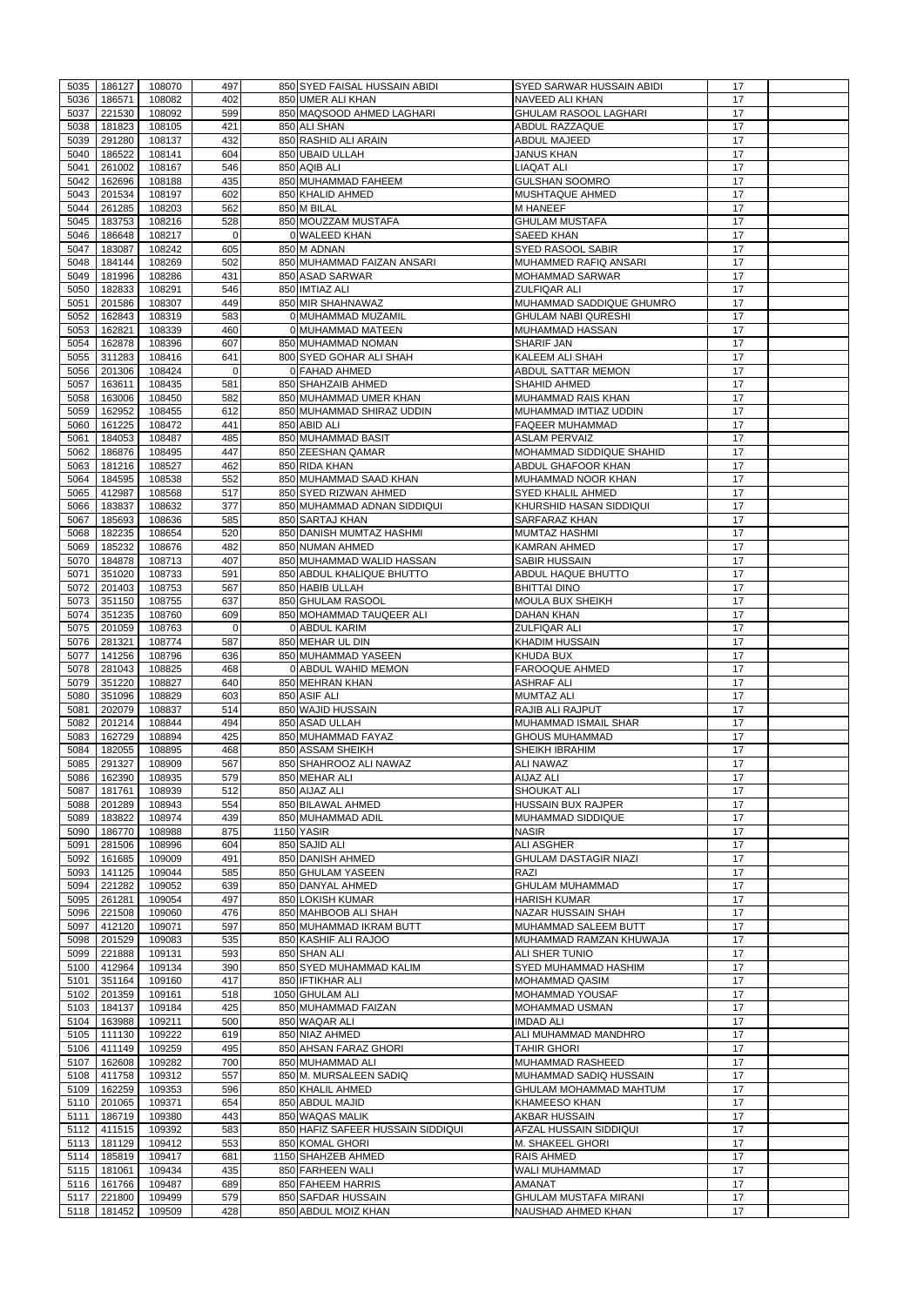| 5035<br>5036 | 186127      | 108070 | 497         | 850 SYED FAISAL HUSSAIN ABIDI             | <b>SYED SARWAR HUSSAIN ABIDI</b> | 17 |  |
|--------------|-------------|--------|-------------|-------------------------------------------|----------------------------------|----|--|
|              |             |        |             |                                           |                                  |    |  |
|              | 186571      | 108082 | 402         | 850 UMER ALI KHAN                         | NAVEED ALI KHAN                  | 17 |  |
| 5037         | 221530      | 108092 | 599         | 850 MAQSOOD AHMED LAGHARI                 | <b>GHULAM RASOOL LAGHARI</b>     | 17 |  |
| 5038         | 181823      | 108105 | 421         | 850 ALI SHAN                              | <b>ABDUL RAZZAQUE</b>            | 17 |  |
| 5039         | 291280      | 108137 | 432         | 850 RASHID ALI ARAIN                      | <b>ABDUL MAJEED</b>              | 17 |  |
|              |             |        |             |                                           |                                  |    |  |
| 5040         | 186522      | 108141 | 604         | 850 UBAID ULLAH                           | <b>JANUS KHAN</b>                | 17 |  |
| 5041         | 261002      | 108167 | 546         | 850 AQIB ALI                              | LIAQAT ALI                       | 17 |  |
| 5042         | 162696      | 108188 | 435         | 850 MUHAMMAD FAHEEM                       | <b>GULSHAN SOOMRO</b>            | 17 |  |
| 5043         | 201534      | 108197 | 602         | 850 KHALID AHMED                          | MUSHTAQUE AHMED                  | 17 |  |
|              |             |        |             | 850 M BILAL                               |                                  |    |  |
| 5044         | 261285      | 108203 | 562         |                                           | <b>M HANEEF</b>                  | 17 |  |
| 5045         | 183753      | 108216 | 528         | 850 MOUZZAM MUSTAFA                       | <b>GHULAM MUSTAFA</b>            | 17 |  |
| 5046         | 186648      | 108217 | $\Omega$    | 0 WALEED KHAN                             | <b>SAEED KHAN</b>                | 17 |  |
| 5047         | 183087      | 108242 | 605         | 850 M ADNAN                               | <b>SYED RASOOL SABIR</b>         | 17 |  |
| 5048         | 184144      | 108269 | 502         | 850 MUHAMMAD FAIZAN ANSARI                | MUHAMMED RAFIQ ANSARI            | 17 |  |
|              |             |        |             |                                           |                                  |    |  |
| 5049         | 181996      | 108286 | 431         | 850 ASAD SARWAR                           | <b>MOHAMMAD SARWAR</b>           | 17 |  |
| 5050         | 182833      | 108291 | 546         | 850 IMTIAZ ALI                            | <b>ZULFIQAR ALI</b>              | 17 |  |
| 5051         | 201586      | 108307 | 449         | 850 MIR SHAHNAWAZ                         | MUHAMMAD SADDIQUE GHUMRO         | 17 |  |
| 5052         | 162843      | 108319 | 583         | 0 MUHAMMAD MUZAMIL                        | <b>GHULAM NABI QURESHI</b>       | 17 |  |
|              |             |        |             |                                           |                                  |    |  |
| 5053         | 162821      | 108339 | 460         | 0 MUHAMMAD MATEEN                         | <b>MUHAMMAD HASSAN</b>           | 17 |  |
| 5054         | 162878      | 108396 | 607         | 850 MUHAMMAD NOMAN                        | <b>SHARIF JAN</b>                | 17 |  |
| 5055         | 311283      | 108416 | 641         | 800 SYED GOHAR ALI SHAH                   | KALEEM ALI SHAH                  | 17 |  |
| 5056         | 201306      | 108424 | $\mathbf 0$ | 0 FAHAD AHMED                             | ABDUL SATTAR MEMON               | 17 |  |
| 5057         | 163611      | 108435 | 581         | 850 SHAHZAIB AHMED                        | SHAHID AHMED                     | 17 |  |
|              |             |        |             |                                           |                                  |    |  |
| 5058         | 163006      | 108450 | 582         | 850 MUHAMMAD UMER KHAN                    | MUHAMMAD RAIS KHAN               | 17 |  |
| 5059         | 162952      | 108455 | 612         | 850 MUHAMMAD SHIRAZ UDDIN                 | MUHAMMAD IMTIAZ UDDIN            | 17 |  |
| 5060         | 161225      | 108472 | 441         | 850 ABID ALI                              | <b>FAQEER MUHAMMAD</b>           | 17 |  |
| 5061         | 184053      | 108487 | 485         | 850 MUHAMMAD BASIT                        | <b>ASLAM PERVAIZ</b>             | 17 |  |
| 5062         | 186876      | 108495 | 447         | 850 ZEESHAN QAMAR                         | MOHAMMAD SIDDIQUE SHAHID         | 17 |  |
|              |             |        |             |                                           |                                  |    |  |
| 5063         | 181216      | 108527 | 462         | 850 RIDA KHAN                             | ABDUL GHAFOOR KHAN               | 17 |  |
| 5064         | 184595      | 108538 | 552         | 850 MUHAMMAD SAAD KHAN                    | MUHAMMAD NOOR KHAN               | 17 |  |
| 5065         | 412987      | 108568 | 517         | 850 SYED RIZWAN AHMED                     | <b>SYED KHALIL AHMED</b>         | 17 |  |
| 5066         | 183837      | 108632 | 377         | 850 MUHAMMAD ADNAN SIDDIQUI               | KHURSHID HASAN SIDDIQUI          | 17 |  |
|              |             |        |             |                                           |                                  |    |  |
| 5067         | 185693      | 108636 | 585         | 850 SARTAJ KHAN                           | <b>SARFARAZ KHAN</b>             | 17 |  |
| 5068         | 182235      | 108654 | 520         | 850 DANISH MUMTAZ HASHMI                  | <b>MUMTAZ HASHMI</b>             | 17 |  |
| 5069         | 185232      | 108676 | 482         | 850 NUMAN AHMED                           | <b>KAMRAN AHMED</b>              | 17 |  |
| 5070         | 184878      | 108713 | 407         | 850 MUHAMMAD WALID HASSAN                 | <b>SABIR HUSSAIN</b>             | 17 |  |
| 5071         | 351020      | 108733 | 591         | 850 ABDUL KHALIQUE BHUTTO                 | <b>ABDUL HAQUE BHUTTO</b>        | 17 |  |
|              |             |        |             |                                           |                                  |    |  |
| 5072         | 201403      | 108753 | 567         | 850 HABIB ULLAH                           | <b>BHITTAI DINO</b>              | 17 |  |
| 5073         | 351150      | 108755 | 637         | 850 GHULAM RASOOL                         | <b>MOULA BUX SHEIKH</b>          | 17 |  |
| 5074         | 351235      | 108760 | 609         | 850 MOHAMMAD TAUQEER ALI                  | <b>DAHAN KHAN</b>                | 17 |  |
| 5075         | 201059      | 108763 | $\mathbf 0$ | 0 ABDUL KARIM                             | ZULFIQAR ALI                     | 17 |  |
| 5076         | 281321      | 108774 | 587         | 850 MEHAR UL DIN                          | <b>KHADIM HUSSAIN</b>            | 17 |  |
|              |             |        |             |                                           |                                  |    |  |
| 5077         | 141256      | 108796 | 636         | 850 MUHAMMAD YASEEN                       | <b>KHUDA BUX</b>                 | 17 |  |
| 5078         | 281043      | 108825 | 468         | 0 ABDUL WAHID MEMON                       | <b>FAROOQUE AHMED</b>            | 17 |  |
| 5079         | 351220      | 108827 | 640         | 850 MEHRAN KHAN                           | <b>ASHRAF ALI</b>                | 17 |  |
| 5080         | 351096      | 108829 | 603         | 850 ASIF ALI                              | <b>MUMTAZ ALI</b>                | 17 |  |
| 5081         | 202079      | 108837 | 514         | 850 WAJID HUSSAIN                         | RAJIB ALI RAJPUT                 | 17 |  |
|              |             |        |             |                                           |                                  |    |  |
| 5082         | 201214      | 108844 | 494         | 850 ASAD ULLAH                            | MUHAMMAD ISMAIL SHAR             | 17 |  |
| 5083         | 162729      | 108894 | 425         | 850 MUHAMMAD FAYAZ                        | <b>GHOUS MUHAMMAD</b>            | 17 |  |
| 5084         | 182055      | 108895 | 468         | 850 ASSAM SHEIKH                          | <b>SHEIKH IBRAHIM</b>            | 17 |  |
|              | 291327      |        |             | 850 SHAHROOZ ALI NAWAZ                    | <b>ALI NAWAZ</b>                 | 17 |  |
|              |             |        |             |                                           |                                  |    |  |
| 5085         |             | 108909 | 567         |                                           |                                  |    |  |
| 5086         | 162390      | 108935 | 579         | 850 MEHAR ALI                             | AIJAZ ALI                        | 17 |  |
| 5087         | 181761      | 108939 | 512         | 850 AIJAZ ALI                             | <b>SHOUKAT ALI</b>               | 17 |  |
| 5088         | 201289      | 108943 | 554         | 850 BILAWAL AHMED                         | <b>HUSSAIN BUX RAJPER</b>        | 17 |  |
| 5089         | 183822      | 108974 | 439         | 850 MUHAMMAD ADIL                         | MUHAMMAD SIDDIQUE                | 17 |  |
| 5090         | 186770      | 108988 |             | 1150 YASIR                                | <b>NASIR</b>                     | 17 |  |
|              |             |        | 875         |                                           |                                  |    |  |
| 5091         | 281506      | 108996 | 604         | 850 SAJID ALI                             | ALI ASGHER                       | 17 |  |
| 5092         | 161685      | 109009 | 491         | 850 DANISH AHMED                          | <b>GHULAM DASTAGIR NIAZI</b>     | 17 |  |
| 5093         | 141125      | 109044 | 585         | 850 GHULAM YASEEN                         | RAZI                             | 17 |  |
| 5094         | 221282      | 109052 | 639         | 850 DANYAL AHMED                          | <b>GHULAM MUHAMMAD</b>           | 17 |  |
|              |             |        |             |                                           |                                  |    |  |
| 5095         | 261281      | 109054 | 497         | 850 LOKISH KUMAR                          | <b>HARISH KUMAR</b>              | 17 |  |
| 5096         | 221508      | 109060 | 476         | 850 MAHBOOB ALI SHAH                      | NAZAR HUSSAIN SHAH               | 17 |  |
| 5097         | 412120      | 109071 | 597         | 850 MUHAMMAD IKRAM BUTT                   | MUHAMMAD SALEEM BUTT             | 17 |  |
| 5098         | 201529      | 109083 | 535         | 850 KASHIF ALI RAJOO                      | MUHAMMAD RAMZAN KHUWAJA          | 17 |  |
| 5099         | 221888      | 109131 | 593         | 850 SHAN ALI                              | ALI SHER TUNIO                   | 17 |  |
|              |             |        |             |                                           |                                  |    |  |
| 5100         | 412964      | 109134 | 390         | 850 SYED MUHAMMAD KALIM                   | SYED MUHAMMAD HASHIM             | 17 |  |
| 5101         | 351164      | 109160 | 417         | 850 <b>IFTIKHAR ALI</b>                   | <b>MOHAMMAD QASIM</b>            | 17 |  |
| 5102         | 201359      | 109161 | 518         | 1050 GHULAM ALI                           | <b>MOHAMMAD YOUSAF</b>           | 17 |  |
| 5103         | 184137      | 109184 | 425         | 850 MUHAMMAD FAIZAN                       | MOHAMMAD USMAN                   | 17 |  |
| 5104         | 163988      |        | 500         | 850 WAQAR ALI                             | <b>IMDAD ALI</b>                 | 17 |  |
|              |             | 109211 |             |                                           |                                  |    |  |
| 5105         | 111130      | 109222 | 619         | 850 NIAZ AHMED                            | ALI MUHAMMAD MANDHRO             | 17 |  |
| 5106         | 411149      | 109259 | 495         | 850 AHSAN FARAZ GHORI                     | <b>TAHIR GHORI</b>               | 17 |  |
|              | 5107 162608 | 109282 | 700         | 850 MUHAMMAD ALI                          | <b>MUHAMMAD RASHEED</b>          | 17 |  |
| 5108         | 411758      | 109312 | 557         | 850 M. MURSALEEN SADIQ                    | MUHAMMAD SADIQ HUSSAIN           | 17 |  |
|              |             |        |             | 850 KHALIL AHMED                          | <b>GHULAM MOHAMMAD MAHTUM</b>    | 17 |  |
| 5109         | 162259      | 109353 | 596         |                                           |                                  |    |  |
| 5110         | 201065      | 109371 | 654         | 850 ABDUL MAJID                           | <b>KHAMEESO KHAN</b>             | 17 |  |
| 5111         | 186719      | 109380 | 443         | 850 WAQAS MALIK                           | AKBAR HUSSAIN                    | 17 |  |
| 5112         | 411515      | 109392 | 583         | 850 HAFIZ SAFEER HUSSAIN SIDDIQUI         | AFZAL HUSSAIN SIDDIQUI           | 17 |  |
| 5113         | 181129      | 109412 | 553         | 850 KOMAL GHORI                           | M. SHAKEEL GHORI                 | 17 |  |
| 5114         | 185819      |        | 681         | 1150 SHAHZEB AHMED                        | <b>RAIS AHMED</b>                | 17 |  |
|              |             | 109417 |             |                                           |                                  |    |  |
| 5115         | 181061      | 109434 | 435         | 850 FARHEEN WALI                          | <b>WALI MUHAMMAD</b>             | 17 |  |
| 5116         | 161766      | 109487 | 689         | 850 FAHEEM HARRIS                         | <b>AMANAT</b>                    | 17 |  |
| 5117         | 221800      | 109499 | 579<br>428  | 850 SAFDAR HUSSAIN<br>850 ABDUL MOIZ KHAN | <b>GHULAM MUSTAFA MIRANI</b>     | 17 |  |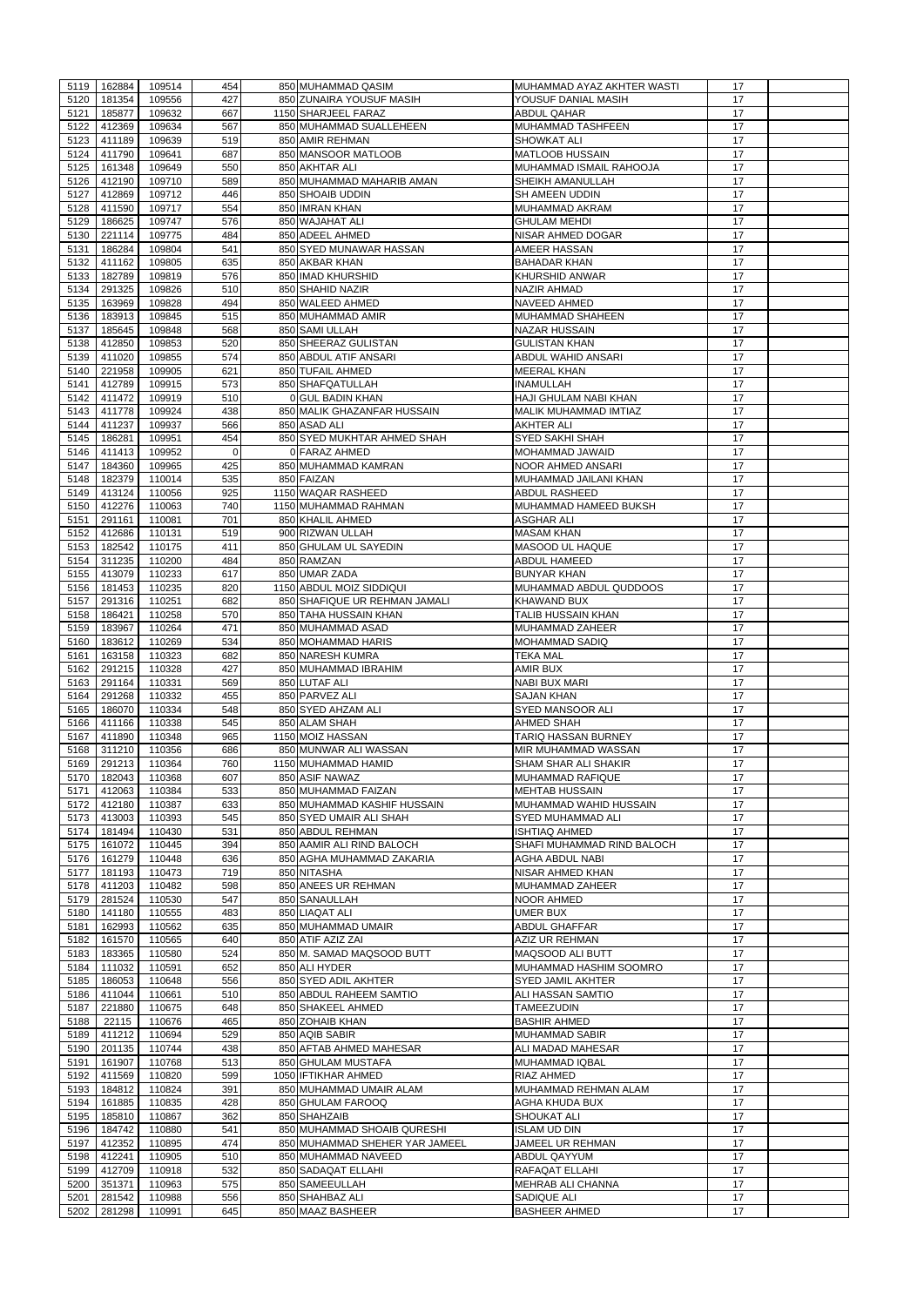| 5119         | 162884             | 109514           | 454        | 850 MUHAMMAD QASIM                  | MUHAMMAD AYAZ AKHTER WASTI                 | 17       |  |
|--------------|--------------------|------------------|------------|-------------------------------------|--------------------------------------------|----------|--|
|              |                    |                  |            |                                     |                                            |          |  |
| 5120         | 181354             | 109556           | 427        | 850 ZUNAIRA YOUSUF MASIH            | YOUSUF DANIAL MASIH                        | 17       |  |
| 5121         | 185877             | 109632           | 667        | 1150 SHARJEEL FARAZ                 | <b>ABDUL QAHAR</b>                         | 17       |  |
| 5122         | 412369             | 109634           | 567        | 850 MUHAMMAD SUALLEHEEN             | MUHAMMAD TASHFEEN                          | 17       |  |
|              |                    |                  |            |                                     |                                            |          |  |
| 5123         | 411189             | 109639           | 519        | 850 AMIR REHMAN                     | <b>SHOWKAT ALI</b>                         | 17       |  |
| 5124         | 411790             | 109641           | 687        | 850 MANSOOR MATLOOB                 | <b>MATLOOB HUSSAIN</b>                     | 17       |  |
| 5125         | 161348             | 109649           | 550        | 850 AKHTAR ALI                      | MUHAMMAD ISMAIL RAHOOJA                    | 17       |  |
|              |                    |                  | 589        |                                     |                                            |          |  |
| 5126         | 412190             | 109710           |            | 850 MUHAMMAD MAHARIB AMAN           | SHEIKH AMANULLAH                           | 17       |  |
| 5127         | 412869             | 109712           | 446        | 850 SHOAIB UDDIN                    | SH AMEEN UDDIN                             | 17       |  |
| 5128         | 411590             | 109717           | 554        | 850 IMRAN KHAN                      | MUHAMMAD AKRAM                             | 17       |  |
|              |                    |                  |            |                                     |                                            |          |  |
| 5129         | 186625             | 109747           | 576        | 850 WAJAHAT ALI                     | <b>GHULAM MEHDI</b>                        | 17       |  |
| 5130         | 221114             | 109775           | 484        | 850 ADEEL AHMED                     | NISAR AHMED DOGAR                          | 17       |  |
| 5131         | 186284             | 109804           | 541        | 850 SYED MUNAWAR HASSAN             | <b>AMEER HASSAN</b>                        | 17       |  |
|              | 411162             |                  | 635        | 850 AKBAR KHAN                      |                                            | 17       |  |
| 5132         |                    | 109805           |            |                                     | <b>BAHADAR KHAN</b>                        |          |  |
| 5133         | 182789             | 109819           | 576        | 850 IMAD KHURSHID                   | <b>KHURSHID ANWAR</b>                      | 17       |  |
| 5134         | 291325             | 109826           | 510        | 850 SHAHID NAZIR                    | <b>NAZIR AHMAD</b>                         | 17       |  |
|              |                    |                  |            |                                     |                                            |          |  |
| 5135         | 163969             | 109828           | 494        | 850 WALEED AHMED                    | <b>NAVEED AHMED</b>                        | 17       |  |
| 5136         | 183913             | 109845           | 515        | 850 MUHAMMAD AMIR                   | <b>MUHAMMAD SHAHEEN</b>                    | 17       |  |
| 5137         | 185645             | 109848           | 568        | 850 SAMI ULLAH                      | <b>NAZAR HUSSAIN</b>                       | 17       |  |
|              | 412850             | 109853           | 520        |                                     | <b>GULISTAN KHAN</b>                       | 17       |  |
| 5138         |                    |                  |            | 850 SHEERAZ GULISTAN                |                                            |          |  |
| 5139         | 411020             | 109855           | 574        | 850 ABDUL ATIF ANSARI               | <b>ABDUL WAHID ANSARI</b>                  | 17       |  |
| 5140         | 221958             | 109905           | 621        | 850 TUFAIL AHMED                    | <b>MEERAL KHAN</b>                         | 17       |  |
|              |                    |                  |            |                                     |                                            |          |  |
| 5141         | 412789             | 109915           | 573        | 850 SHAFQATULLAH                    | <b>INAMULLAH</b>                           | 17       |  |
| 5142         | 411472             | 109919           | 510        | OIGUL BADIN KHAN                    | HAJI GHULAM NABI KHAN                      | 17       |  |
| 5143         | 411778             | 109924           | 438        | 850 MALIK GHAZANFAR HUSSAIN         | MALIK MUHAMMAD IMTIAZ                      | 17       |  |
|              |                    |                  |            |                                     |                                            |          |  |
| 5144         | 411237             | 109937           | 566        | 850 ASAD ALI                        | <b>AKHTER ALI</b>                          | 17       |  |
| 5145         | 186281             | 109951           | 454        | 850 SYED MUKHTAR AHMED SHAH         | <b>SYED SAKHI SHAH</b>                     | 17       |  |
| 5146         | 411413             | 109952           | $\Omega$   | O FARAZ AHMED                       | MOHAMMAD JAWAID                            | 17       |  |
|              |                    |                  |            |                                     |                                            |          |  |
| 5147         | 184360             | 109965           | 425        | 850 MUHAMMAD KAMRAN                 | NOOR AHMED ANSARI                          | 17       |  |
| 5148         | 182379             | 110014           | 535        | 850 FAIZAN                          | MUHAMMAD JAILANI KHAN                      | 17       |  |
| 5149         | 413124             | 110056           | 925        | 1150 WAQAR RASHEED                  | <b>ABDUL RASHEED</b>                       | 17       |  |
|              |                    |                  |            |                                     |                                            |          |  |
| 5150         | 412276             | 110063           | 740        | 1150 MUHAMMAD RAHMAN                | MUHAMMAD HAMEED BUKSH                      | 17       |  |
| 5151         | 291161             | 110081           | 701        | 850 KHALIL AHMED                    | <b>ASGHAR ALI</b>                          | 17       |  |
| 5152         | 412686             | 110131           | 519        | 900 RIZWAN ULLAH                    | <b>MASAM KHAN</b>                          | 17       |  |
|              |                    |                  |            |                                     |                                            |          |  |
| 5153         | 182542             | 110175           | 411        | 850 GHULAM UL SAYEDIN               | <b>MASOOD UL HAQUE</b>                     | 17       |  |
| 5154         | 311235             | 110200           | 484        | 850 RAMZAN                          | <b>ABDUL HAMEED</b>                        | 17       |  |
| 5155         | 413079             | 110233           | 617        | 850 UMAR ZADA                       | <b>BUNYAR KHAN</b>                         | 17       |  |
|              |                    |                  |            |                                     |                                            |          |  |
| 5156         | 181453             | 110235           | 820        | 1150 ABDUL MOIZ SIDDIQUI            | MUHAMMAD ABDUL QUDDOOS                     | 17       |  |
| 5157         | 291316             | 110251           | 682        | 850 SHAFIQUE UR REHMAN JAMALI       | <b>KHAWAND BUX</b>                         | 17       |  |
| 5158         | 186421             | 110258           | 570        | 850 TAHA HUSSAIN KHAN               | TALIB HUSSAIN KHAN                         | 17       |  |
|              |                    |                  |            |                                     |                                            |          |  |
| 5159         | 183967             | 110264           | 471        | 850 MUHAMMAD ASAD                   | MUHAMMAD ZAHEER                            | 17       |  |
| 5160         | 183612             | 110269           | 534        | 850 MOHAMMAD HARIS                  | <b>MOHAMMAD SADIQ</b>                      | 17       |  |
| 5161         | 163158             | 110323           | 682        | 850 NARESH KUMRA                    | <b>TEKA MAL</b>                            | 17       |  |
|              |                    |                  |            |                                     |                                            |          |  |
|              |                    |                  |            |                                     |                                            |          |  |
| 5162         | 291215             | 110328           | 427        | 850 MUHAMMAD IBRAHIM                | <b>AMIR BUX</b>                            | 17       |  |
|              |                    |                  |            |                                     |                                            |          |  |
| 5163         | 291164             | 110331           | 569        | 850 LUTAF ALI                       | <b>NABI BUX MARI</b>                       | 17       |  |
| 5164         | 291268             | 110332           | 455        | 850 PARVEZ ALI                      | <b>SAJAN KHAN</b>                          | 17       |  |
| 5165         | 186070             | 110334           | 548        | 850 SYED AHZAM ALI                  | SYED MANSOOR ALI                           | 17       |  |
|              |                    |                  |            |                                     |                                            |          |  |
| 5166         | 411166             | 110338           | 545        | 850 ALAM SHAH                       | <b>AHMED SHAH</b>                          | 17       |  |
| 5167         | 411890             | 110348           | 965        | 1150 MOIZ HASSAN                    | <b>TARIQ HASSAN BURNEY</b>                 | 17       |  |
| 5168         | 311210             | 110356           | 686        | 850 MUNWAR ALI WASSAN               | MIR MUHAMMAD WASSAN                        | 17       |  |
|              |                    |                  |            |                                     |                                            | 17       |  |
| 5169         | 291213             | 110364           | 760        | 1150 MUHAMMAD HAMID                 | <b>SHAM SHAR ALI SHAKIR</b>                |          |  |
| 5170         | 182043             | 110368           | 607        | 850 ASIF NAWAZ                      | MUHAMMAD RAFIQUE                           | 17       |  |
| 5171         | 412063             | 110384           | 533        | 850 MUHAMMAD FAIZAN                 | <b>MEHTAB HUSSAIN</b>                      | 17       |  |
| 5172         | 412180             | 110387           | 633        | 850 MUHAMMAD KASHIF HUSSAIN         | MUHAMMAD WAHID HUSSAIN                     | 17       |  |
|              |                    |                  |            |                                     |                                            |          |  |
| 5173         | 413003             | 110393           | 545        | 850 SYED UMAIR ALI SHAH             | SYED MUHAMMAD ALI                          | 17       |  |
| 5174         | 181494             | 110430           | 531        | 850 ABDUL REHMAN                    | <b>ISHTIAQ AHMED</b>                       | 17       |  |
| 5175         | 161072             | 110445           | 394        | 850 AAMIR ALI RIND BALOCH           | SHAFI MUHAMMAD RIND BALOCH                 | 17       |  |
|              |                    |                  |            |                                     |                                            |          |  |
| 5176         | 161279             | 110448           | 636        | 850 AGHA MUHAMMAD ZAKARIA           | AGHA ABDUL NABI                            | 17       |  |
| 5177         | 181193             | 110473           | 719        | 850 NITASHA                         | NISAR AHMED KHAN                           | 17       |  |
| 5178         | 411203             | 110482           | 598        | 850 ANEES UR REHMAN                 | MUHAMMAD ZAHEER                            | 17       |  |
| 5179         | 281524             | 110530           | 547        | 850 SANAULLAH                       | <b>NOOR AHMED</b>                          | 17       |  |
|              |                    |                  |            |                                     |                                            |          |  |
| 5180         | 141180             | 110555           | 483        | 850 LIAQAT ALI                      | <b>UMER BUX</b>                            | 17       |  |
| 5181         | 162993             | 110562           | 635        | 850 MUHAMMAD UMAIR                  | <b>ABDUL GHAFFAR</b>                       | 17       |  |
| 5182         | 161570             | 110565           | 640        | 850 ATIF AZIZ ZAI                   | <b>AZIZ UR REHMAN</b>                      | 17       |  |
|              |                    |                  |            |                                     |                                            |          |  |
| 5183         | 183365             | 110580           | 524        | 850 M. SAMAD MAQSOOD BUTT           | MAQSOOD ALI BUTT                           | 17       |  |
| 5184         | 111032             | 110591           | 652        | 850 ALI HYDER                       | MUHAMMAD HASHIM SOOMRO                     | 17       |  |
| 5185         | 186053             | 110648           | 556        | 850 SYED ADIL AKHTER                | <b>SYED JAMIL AKHTER</b>                   | 17       |  |
|              |                    |                  |            |                                     |                                            |          |  |
| 5186         | 411044             | 110661           | 510        | 850 ABDUL RAHEEM SAMTIO             | ALI HASSAN SAMTIO                          | 17       |  |
| 5187         | 221880             | 110675           | 648        | 850 SHAKEEL AHMED                   | <b>TAMEEZUDIN</b>                          | 17       |  |
| 5188         | 22115              | 110676           | 465        | 850 ZOHAIB KHAN                     | <b>BASHIR AHMED</b>                        | 17       |  |
|              |                    |                  |            |                                     |                                            |          |  |
| 5189         | 411212             | 110694           | 529        | 850 AQIB SABIR                      | <b>MUHAMMAD SABIR</b>                      | 17       |  |
| 5190         | 201135             | 110744           | 438        | 850 AFTAB AHMED MAHESAR             | <b>ALI MADAD MAHESAR</b>                   | 17       |  |
|              | 5191 161907 110768 |                  | 513        | 850 GHULAM MUSTAFA                  | <b>MUHAMMAD IQBAL</b>                      | 17       |  |
|              |                    |                  |            |                                     |                                            |          |  |
| 5192         | 411569             | 110820           | 599        | 1050 IFTIKHAR AHMED                 | RIAZ AHMED                                 | 17       |  |
| 5193         | 184812             | 110824           | 391        | 850 MUHAMMAD UMAIR ALAM             | MUHAMMAD REHMAN ALAM                       | 17       |  |
| 5194         | 161885             | 110835           | 428        | 850 GHULAM FAROOQ                   | AGHA KHUDA BUX                             | 17       |  |
|              | 185810             |                  |            |                                     |                                            |          |  |
| 5195         |                    | 110867           | 362        | 850 SHAHZAIB                        | <b>SHOUKAT ALI</b>                         | 17       |  |
| 5196         | 184742             | 110880           | 541        | 850 MUHAMMAD SHOAIB QURESHI         | <b>ISLAM UD DIN</b>                        | 17       |  |
| 5197         | 412352             | 110895           | 474        | 850 MUHAMMAD SHEHER YAR JAMEEL      | JAMEEL UR REHMAN                           | 17       |  |
|              |                    |                  |            | 850 MUHAMMAD NAVEED                 |                                            |          |  |
| 5198         | 412241             | 110905           | 510        |                                     | <b>ABDUL QAYYUM</b>                        | 17       |  |
| 5199         | 412709             | 110918           | 532        | 850 SADAQAT ELLAHI                  | <b>RAFAQAT ELLAHI</b>                      | 17       |  |
| 5200         | 351371             | 110963           | 575        | 850 SAMEEULLAH                      | MEHRAB ALI CHANNA                          | 17       |  |
|              |                    |                  |            |                                     |                                            |          |  |
| 5201<br>5202 | 281542<br>281298   | 110988<br>110991 | 556<br>645 | 850 SHAHBAZ ALI<br>850 MAAZ BASHEER | <b>SADIQUE ALI</b><br><b>BASHEER AHMED</b> | 17<br>17 |  |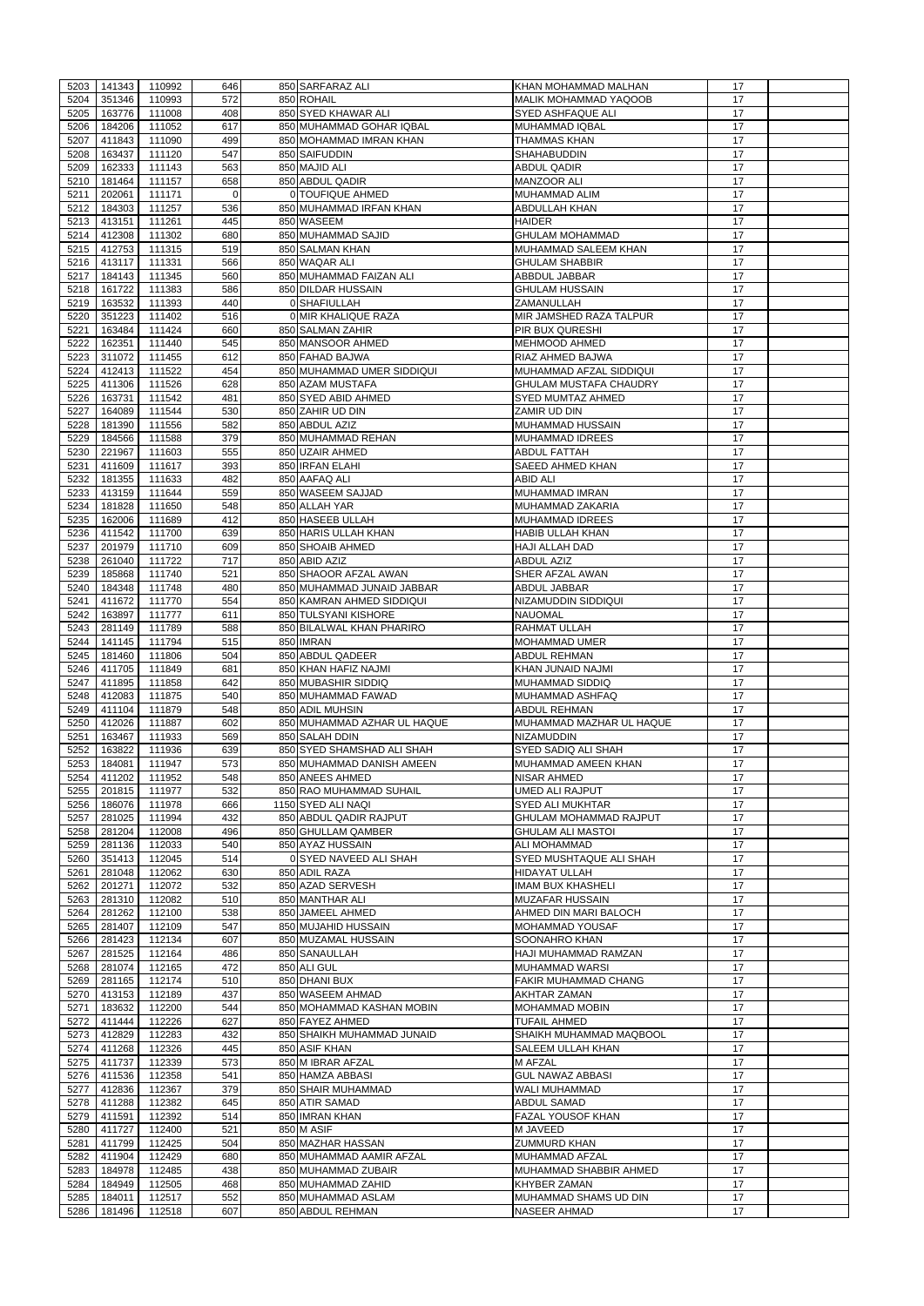| 5203 | 141343 | 110992             | 646         | 850 SARFARAZ ALI            | KHAN MOHAMMAD MALHAN          | 17 |  |
|------|--------|--------------------|-------------|-----------------------------|-------------------------------|----|--|
| 5204 | 351346 | 110993             | 572         | 850 ROHAIL                  | <b>MALIK MOHAMMAD YAQOOB</b>  | 17 |  |
|      |        |                    |             | 850 SYED KHAWAR ALI         |                               |    |  |
| 5205 | 163776 | 111008             | 408         |                             | <b>SYED ASHFAQUE ALI</b>      | 17 |  |
| 5206 | 184206 | 111052             | 617         | 850 MUHAMMAD GOHAR IQBAL    | MUHAMMAD IQBAL                | 17 |  |
| 5207 | 411843 | 111090             | 499         | 850 MOHAMMAD IMRAN KHAN     | <b>THAMMAS KHAN</b>           | 17 |  |
| 5208 | 163437 | 111120             | 547         | 850 SAIFUDDIN               | <b>SHAHABUDDIN</b>            | 17 |  |
| 5209 | 162333 | 111143             | 563         | 850 MAJID ALI               | <b>ABDUL QADIR</b>            | 17 |  |
| 5210 | 181464 | 111157             | 658         | 850 ABDUL QADIR             | <b>MANZOOR ALI</b>            | 17 |  |
| 5211 | 202061 | 111171             | $\mathbf 0$ | 0 TOUFIQUE AHMED            | <b>MUHAMMAD ALIM</b>          | 17 |  |
| 5212 | 184303 | 111257             | 536         | 850 MUHAMMAD IRFAN KHAN     | <b>ABDULLAH KHAN</b>          | 17 |  |
| 5213 | 413151 | 111261             | 445         | 850 WASEEM                  | <b>HAIDER</b>                 | 17 |  |
|      |        |                    |             |                             |                               |    |  |
| 5214 | 412308 | 111302             | 680         | 850 MUHAMMAD SAJID          | <b>GHULAM MOHAMMAD</b>        | 17 |  |
| 5215 | 412753 | 111315             | 519         | 850 SALMAN KHAN             | MUHAMMAD SALEEM KHAN          | 17 |  |
| 5216 | 413117 | 111331             | 566         | 850 WAQAR ALI               | <b>GHULAM SHABBIR</b>         | 17 |  |
| 5217 | 184143 | 111345             | 560         | 850 MUHAMMAD FAIZAN ALI     | ABBDUL JABBAR                 | 17 |  |
| 5218 | 161722 | 111383             | 586         | 850 DILDAR HUSSAIN          | <b>GHULAM HUSSAIN</b>         | 17 |  |
| 5219 | 163532 | 111393             | 440         | 0 SHAFIULLAH                | ZAMANULLAH                    | 17 |  |
| 5220 | 351223 | 111402             | 516         | 0 MIR KHALIQUE RAZA         | MIR JAMSHED RAZA TALPUR       | 17 |  |
| 5221 | 163484 | 111424             | 660         | 850 SALMAN ZAHIR            | <b>PIR BUX QURESHI</b>        | 17 |  |
|      |        |                    |             |                             |                               |    |  |
| 5222 | 162351 | 111440             | 545         | 850 MANSOOR AHMED           | <b>MEHMOOD AHMED</b>          | 17 |  |
| 5223 | 311072 | 111455             | 612         | 850 FAHAD BAJWA             | RIAZ AHMED BAJWA              | 17 |  |
| 5224 | 412413 | 111522             | 454         | 850 MUHAMMAD UMER SIDDIQUI  | MUHAMMAD AFZAL SIDDIQUI       | 17 |  |
| 5225 | 411306 | 111526             | 628         | 850 AZAM MUSTAFA            | <b>GHULAM MUSTAFA CHAUDRY</b> | 17 |  |
| 5226 | 163731 | 111542             | 481         | 850 SYED ABID AHMED         | <b>SYED MUMTAZ AHMED</b>      | 17 |  |
| 5227 | 164089 | 111544             | 530         | 850 ZAHIR UD DIN            | ZAMIR UD DIN                  | 17 |  |
| 5228 | 181390 | 111556             | 582         | 850 ABDUL AZIZ              | MUHAMMAD HUSSAIN              | 17 |  |
| 5229 | 184566 | 111588             | 379         | 850 MUHAMMAD REHAN          | <b>MUHAMMAD IDREES</b>        | 17 |  |
|      |        |                    |             |                             |                               |    |  |
| 5230 | 221967 | 111603             | 555         | 850 UZAIR AHMED             | <b>ABDUL FATTAH</b>           | 17 |  |
| 5231 | 411609 | 111617             | 393         | 850 IRFAN ELAHI             | <b>SAEED AHMED KHAN</b>       | 17 |  |
| 5232 | 181355 | 111633             | 482         | 850 AAFAQ ALI               | <b>ABID ALI</b>               | 17 |  |
| 5233 | 413159 | 111644             | 559         | 850 WASEEM SAJJAD           | MUHAMMAD IMRAN                | 17 |  |
| 5234 | 181828 | 111650             | 548         | 850 ALLAH YAR               | MUHAMMAD ZAKARIA              | 17 |  |
| 5235 | 162006 | 111689             | 412         | 850 HASEEB ULLAH            | <b>MUHAMMAD IDREES</b>        | 17 |  |
| 5236 | 411542 | 111700             | 639         | 850 HARIS ULLAH KHAN        | <b>HABIB ULLAH KHAN</b>       | 17 |  |
|      |        |                    |             |                             |                               |    |  |
| 5237 | 201979 | 111710             | 609         | 850 SHOAIB AHMED            | <b>HAJI ALLAH DAD</b>         | 17 |  |
| 5238 | 261040 | 111722             | 717         | 850 ABID AZIZ               | <b>ABDUL AZIZ</b>             | 17 |  |
| 5239 | 185868 | 111740             | 521         | 850 SHAOOR AFZAL AWAN       | <b>SHER AFZAL AWAN</b>        | 17 |  |
| 5240 | 184348 | 111748             | 480         | 850 MUHAMMAD JUNAID JABBAR  | <b>ABDUL JABBAR</b>           | 17 |  |
| 5241 | 411672 | 111770             | 554         | 850 KAMRAN AHMED SIDDIQUI   | NIZAMUDDIN SIDDIQUI           | 17 |  |
| 5242 | 163897 | 111777             | 611         | 850 TULSYANI KISHORE        | <b>NAUOMAL</b>                | 17 |  |
| 5243 | 281149 | 111789             | 588         | 850 BILALWAL KHAN PHARIRO   | <b>RAHMAT ULLAH</b>           | 17 |  |
| 5244 | 141145 | 111794             | 515         | 850 IMRAN                   | <b>MOHAMMAD UMER</b>          | 17 |  |
| 5245 | 181460 | 111806             | 504         | 850 ABDUL QADEER            | <b>ABDUL REHMAN</b>           | 17 |  |
|      |        |                    |             |                             |                               |    |  |
|      |        |                    |             |                             |                               |    |  |
| 5246 | 411705 | 111849             | 681         | 850 KHAN HAFIZ NAJMI        | KHAN JUNAID NAJMI             | 17 |  |
| 5247 | 411895 | 111858             | 642         | 850 MUBASHIR SIDDIQ         | <b>MUHAMMAD SIDDIQ</b>        | 17 |  |
| 5248 | 412083 | 111875             | 540         | 850 MUHAMMAD FAWAD          | <b>MUHAMMAD ASHFAQ</b>        | 17 |  |
| 5249 | 411104 | 111879             | 548         | 850 ADIL MUHSIN             | <b>ABDUL REHMAN</b>           | 17 |  |
| 5250 | 412026 | 111887             | 602         | 850 MUHAMMAD AZHAR UL HAQUE | MUHAMMAD MAZHAR UL HAQUE      | 17 |  |
|      |        |                    |             |                             |                               | 17 |  |
| 5251 | 163467 | 111933             | 569         | 850 SALAH DDIN              | <b>NIZAMUDDIN</b>             |    |  |
| 5252 | 163822 | 111936             | 639         | 850 SYED SHAMSHAD ALI SHAH  | SYED SADIQ ALI SHAH           | 17 |  |
| 5253 | 184081 | 111947             | 573         | 850 MUHAMMAD DANISH AMEEN   | MUHAMMAD AMEEN KHAN           | 17 |  |
| 5254 | 411202 | 111952             | 548         | 850 ANEES AHMED             | <b>NISAR AHMED</b>            | 17 |  |
| 5255 | 201815 | 111977             | 532         | 850 RAO MUHAMMAD SUHAIL     | UMED ALI RAJPUT               | 17 |  |
| 5256 | 186076 | 111978             | 666         | 1150 SYED ALI NAQI          | <b>SYED ALI MUKHTAR</b>       | 17 |  |
| 5257 | 281025 | 111994             | 432         | 850 ABDUL QADIR RAJPUT      | <b>GHULAM MOHAMMAD RAJPUT</b> | 17 |  |
| 5258 | 281204 | 112008             | 496         | 850 GHULLAM QAMBER          | <b>GHULAM ALI MASTOI</b>      | 17 |  |
| 5259 | 281136 | 112033             | 540         | 850 AYAZ HUSSAIN            | <b>ALI MOHAMMAD</b>           | 17 |  |
| 5260 | 351413 | 112045             | 514         | 0 SYED NAVEED ALI SHAH      | SYED MUSHTAQUE ALI SHAH       | 17 |  |
| 5261 | 281048 | 112062             | 630         | 850 ADIL RAZA               | <b>HIDAYAT ULLAH</b>          | 17 |  |
|      |        |                    |             |                             |                               |    |  |
| 5262 | 201271 | 112072             | 532         | 850 AZAD SERVESH            | <b>IMAM BUX KHASHELI</b>      | 17 |  |
| 5263 | 281310 | 112082             | 510         | 850 MANTHAR ALI             | <b>MUZAFAR HUSSAIN</b>        | 17 |  |
| 5264 | 281262 | 112100             | 538         | 850 JAMEEL AHMED            | AHMED DIN MARI BALOCH         | 17 |  |
| 5265 | 281407 | 112109             | 547         | 850 MUJAHID HUSSAIN         | <b>MOHAMMAD YOUSAF</b>        | 17 |  |
| 5266 | 281423 | 112134             | 607         | 850 MUZAMAL HUSSAIN         | SOONAHRO KHAN                 | 17 |  |
| 5267 | 281525 | 112164             | 486         | 850 SANAULLAH               | HAJI MUHAMMAD RAMZAN          | 17 |  |
| 5268 | 281074 | 112165             | 472         | 850 ALI GUL                 | <b>MUHAMMAD WARSI</b>         | 17 |  |
| 5269 | 281165 | 112174             | 510         | 850 DHANI BUX               | FAKIR MUHAMMAD CHANG          | 17 |  |
| 5270 | 413153 |                    | 437         | 850 WASEEM AHMAD            | <b>AKHTAR ZAMAN</b>           | 17 |  |
|      |        | 112189             |             |                             |                               |    |  |
| 5271 | 183632 | 112200             | 544         | 850 MOHAMMAD KASHAN MOBIN   | <b>MOHAMMAD MOBIN</b>         | 17 |  |
| 5272 | 411444 | 112226             | 627         | 850 FAYEZ AHMED             | <b>TUFAIL AHMED</b>           | 17 |  |
| 5273 | 412829 | 112283             | 432         | 850 SHAIKH MUHAMMAD JUNAID  | SHAIKH MUHAMMAD MAQBOOL       | 17 |  |
| 5274 | 411268 | 112326             | 445         | 850 ASIF KHAN               | <b>SALEEM ULLAH KHAN</b>      | 17 |  |
|      |        | 5275 411737 112339 | 573         | 850 M IBRAR AFZAL           | M AFZAL                       | 17 |  |
| 5276 | 411536 | 112358             | 541         | 850 HAMZA ABBASI            | <b>GUL NAWAZ ABBASI</b>       | 17 |  |
| 5277 | 412836 | 112367             | 379         | 850 SHAIR MUHAMMAD          | WALI MUHAMMAD                 | 17 |  |
| 5278 | 411288 | 112382             | 645         | 850 ATIR SAMAD              | <b>ABDUL SAMAD</b>            | 17 |  |
| 5279 | 411591 |                    | 514         | 850 IMRAN KHAN              | <b>FAZAL YOUSOF KHAN</b>      | 17 |  |
|      |        | 112392             |             |                             |                               |    |  |
| 5280 | 411727 | 112400             | 521         | 850 M ASIF                  | <b>M JAVEED</b>               | 17 |  |
| 5281 | 411799 | 112425             | 504         | 850 MAZHAR HASSAN           | <b>ZUMMURD KHAN</b>           | 17 |  |
| 5282 | 411904 | 112429             | 680         | 850 MUHAMMAD AAMIR AFZAL    | MUHAMMAD AFZAL                | 17 |  |
| 5283 | 184978 | 112485             | 438         | 850 MUHAMMAD ZUBAIR         | MUHAMMAD SHABBIR AHMED        | 17 |  |
| 5284 | 184949 | 112505             | 468         | 850 MUHAMMAD ZAHID          | <b>KHYBER ZAMAN</b>           | 17 |  |
| 5285 | 184011 | 112517             | 552         | 850 MUHAMMAD ASLAM          | MUHAMMAD SHAMS UD DIN         | 17 |  |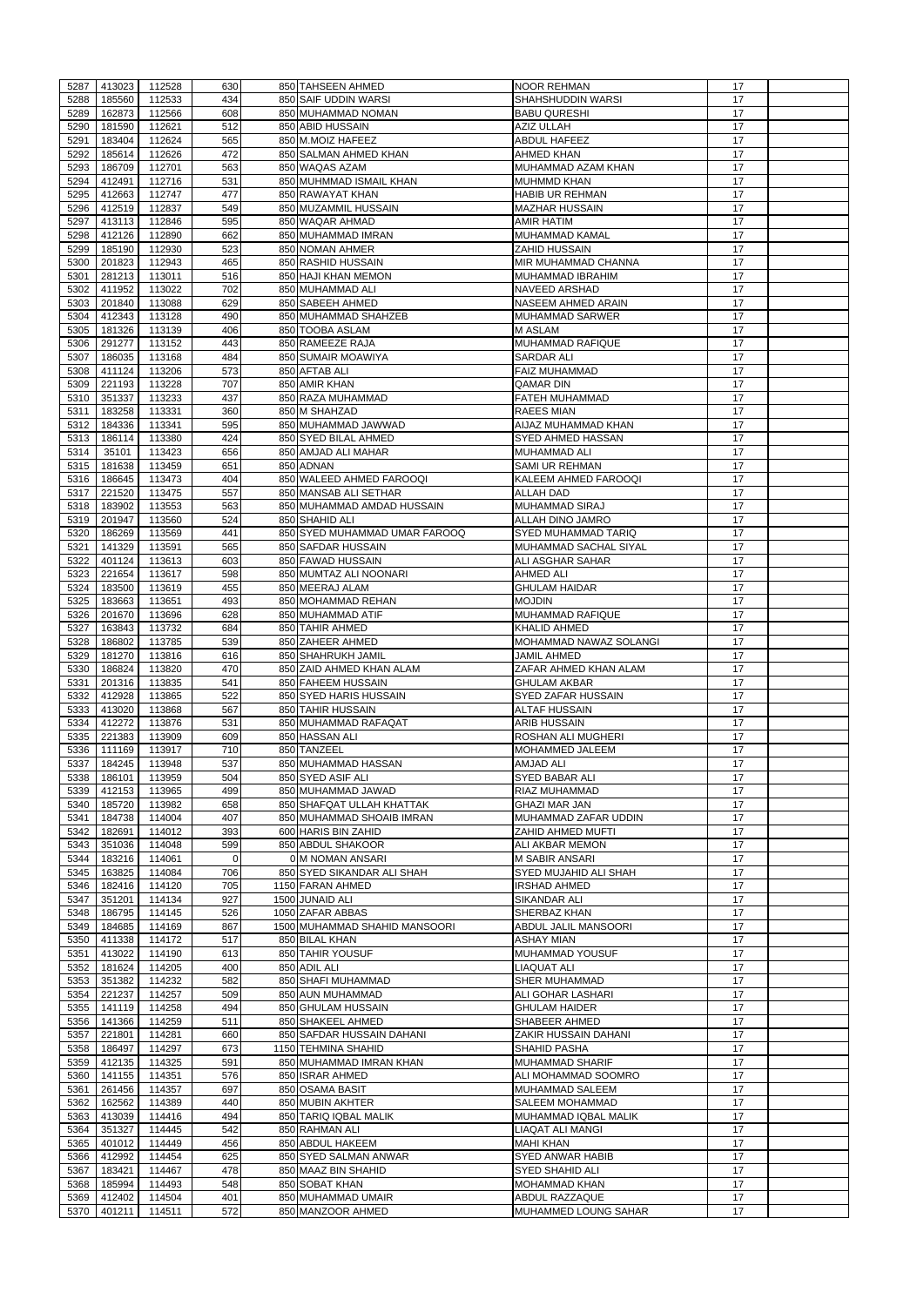| 5287 | 413023        | 112528 | 630         | 850 TAHSEEN AHMED             | <b>NOOR REHMAN</b>         | 17 |  |
|------|---------------|--------|-------------|-------------------------------|----------------------------|----|--|
| 5288 | 185560        | 112533 | 434         | 850 SAIF UDDIN WARSI          | <b>SHAHSHUDDIN WARSI</b>   | 17 |  |
| 5289 | 162873        | 112566 | 608         | 850 MUHAMMAD NOMAN            | <b>BABU QURESHI</b>        | 17 |  |
|      |               |        |             |                               |                            |    |  |
| 5290 | 181590        | 112621 | 512         | 850 ABID HUSSAIN              | <b>AZIZ ULLAH</b>          | 17 |  |
| 5291 | 183404        | 112624 | 565         | 850 M.MOIZ HAFEEZ             | <b>ABDUL HAFEEZ</b>        | 17 |  |
| 5292 | 185614        | 112626 | 472         | 850 SALMAN AHMED KHAN         | <b>AHMED KHAN</b>          | 17 |  |
|      |               |        |             |                               |                            |    |  |
| 5293 | 186709        | 112701 | 563         | 850 WAQAS AZAM                | MUHAMMAD AZAM KHAN         | 17 |  |
| 5294 | 412491        | 112716 | 531         | 850 MUHMMAD ISMAIL KHAN       | <b>MUHMMD KHAN</b>         | 17 |  |
| 5295 | 412663        | 112747 | 477         | 850 RAWAYAT KHAN              | <b>HABIB UR REHMAN</b>     | 17 |  |
|      |               |        |             |                               |                            |    |  |
| 5296 | 412519        | 112837 | 549         | 850 MUZAMMIL HUSSAIN          | <b>MAZHAR HUSSAIN</b>      | 17 |  |
| 5297 | 413113        | 112846 | 595         | 850 WAQAR AHMAD               | <b>AMIR HATIM</b>          | 17 |  |
| 5298 | 412126        | 112890 | 662         | 850 MUHAMMAD IMRAN            | <b>MUHAMMAD KAMAL</b>      | 17 |  |
|      |               |        |             |                               |                            |    |  |
| 5299 | 185190        | 112930 | 523         | 850 NOMAN AHMER               | <b>ZAHID HUSSAIN</b>       | 17 |  |
| 5300 | 201823        | 112943 | 465         | 850 RASHID HUSSAIN            | MIR MUHAMMAD CHANNA        | 17 |  |
| 5301 | 281213        | 113011 | 516         | 850 HAJI KHAN MEMON           | MUHAMMAD IBRAHIM           | 17 |  |
|      |               |        |             |                               |                            |    |  |
| 5302 | 411952        | 113022 | 702         | 850 MUHAMMAD ALI              | <b>NAVEED ARSHAD</b>       | 17 |  |
| 5303 | 201840        | 113088 | 629         | 850 SABEEH AHMED              | <b>NASEEM AHMED ARAIN</b>  | 17 |  |
| 5304 | 412343        | 113128 | 490         | 850 MUHAMMAD SHAHZEB          | <b>MUHAMMAD SARWER</b>     | 17 |  |
|      |               |        |             |                               |                            |    |  |
| 5305 | 181326        | 113139 | 406         | 850 TOOBA ASLAM               | <b>MASLAM</b>              | 17 |  |
| 5306 | 291277        | 113152 | 443         | 850 RAMEEZE RAJA              | <b>MUHAMMAD RAFIQUE</b>    | 17 |  |
| 5307 | 186035        | 113168 | 484         | 850 SUMAIR MOAWIYA            | SARDAR ALI                 | 17 |  |
|      |               |        |             |                               |                            |    |  |
| 5308 | 411124        | 113206 | 573         | 850 AFTAB ALI                 | <b>FAIZ MUHAMMAD</b>       | 17 |  |
| 5309 | 221193        | 113228 | 707         | 850 AMIR KHAN                 | QAMAR DIN                  | 17 |  |
|      |               |        | 437         |                               |                            | 17 |  |
| 5310 | 351337        | 113233 |             | 850 RAZA MUHAMMAD             | <b>FATEH MUHAMMAD</b>      |    |  |
| 5311 | 183258        | 113331 | 360         | 850 M SHAHZAD                 | <b>RAEES MIAN</b>          | 17 |  |
| 5312 | 184336        | 113341 | 595         | 850 MUHAMMAD JAWWAD           | AIJAZ MUHAMMAD KHAN        | 17 |  |
|      |               |        | 424         | 850 SYED BILAL AHMED          | <b>SYED AHMED HASSAN</b>   | 17 |  |
| 5313 | 186114        | 113380 |             |                               |                            |    |  |
| 5314 | 35101         | 113423 | 656         | 850 AMJAD ALI MAHAR           | MUHAMMAD ALI               | 17 |  |
| 5315 | 181638        | 113459 | 651         | 850 ADNAN                     | <b>SAMI UR REHMAN</b>      | 17 |  |
|      |               |        |             | 850 WALEED AHMED FAROOQI      |                            |    |  |
| 5316 | 186645        | 113473 | 404         |                               | KALEEM AHMED FAROOQI       | 17 |  |
| 5317 | 221520        | 113475 | 557         | 850 MANSAB ALI SETHAR         | <b>ALLAH DAD</b>           | 17 |  |
| 5318 | 183902        | 113553 | 563         | 850 MUHAMMAD AMDAD HUSSAIN    | <b>MUHAMMAD SIRAJ</b>      | 17 |  |
|      |               |        |             |                               |                            |    |  |
| 5319 | 201947        | 113560 | 524         | 850 SHAHID ALI                | <b>ALLAH DINO JAMRO</b>    | 17 |  |
| 5320 | 186269        | 113569 | 441         | 850 SYED MUHAMMAD UMAR FAROOQ | <b>SYED MUHAMMAD TARIQ</b> | 17 |  |
| 5321 | 141329        | 113591 | 565         | 850 SAFDAR HUSSAIN            | MUHAMMAD SACHAL SIYAL      | 17 |  |
|      |               |        |             |                               |                            | 17 |  |
| 5322 | 401124        | 113613 | 603         | 850 FAWAD HUSSAIN             | <b>ALI ASGHAR SAHAR</b>    |    |  |
| 5323 | 221654        | 113617 | 598         | 850 MUMTAZ ALI NOONARI        | <b>AHMED ALI</b>           | 17 |  |
| 5324 | 183500        | 113619 | 455         | 850 MEERAJ ALAM               | <b>GHULAM HAIDAR</b>       | 17 |  |
|      |               |        |             |                               |                            |    |  |
| 5325 | 183663        | 113651 | 493         | 850 MOHAMMAD REHAN            | <b>MOJDIN</b>              | 17 |  |
| 5326 | 201670        | 113696 | 628         | 850 MUHAMMAD ATIF             | MUHAMMAD RAFIQUE           | 17 |  |
| 5327 | 163843        | 113732 | 684         | 850 TAHIR AHMED               | <b>KHALID AHMED</b>        | 17 |  |
|      |               |        |             |                               |                            |    |  |
| 5328 | 186802        | 113785 | 539         | 850 ZAHEER AHMED              | MOHAMMAD NAWAZ SOLANGI     | 17 |  |
| 5329 | 181270        | 113816 | 616         | 850 SHAHRUKH JAMIL            | <b>JAMIL AHMED</b>         | 17 |  |
| 5330 | 186824        | 113820 | 470         | 850 ZAID AHMED KHAN ALAM      | ZAFAR AHMED KHAN ALAM      | 17 |  |
|      |               |        |             |                               |                            |    |  |
| 5331 | 201316        | 113835 | 541         | 850 FAHEEM HUSSAIN            | <b>GHULAM AKBAR</b>        | 17 |  |
| 5332 | 412928        | 113865 | 522         | 850 SYED HARIS HUSSAIN        | <b>SYED ZAFAR HUSSAIN</b>  | 17 |  |
| 5333 | 413020        | 113868 | 567         | 850 TAHIR HUSSAIN             | <b>ALTAF HUSSAIN</b>       | 17 |  |
|      |               |        |             |                               |                            |    |  |
| 5334 | 412272        | 113876 | 531         | 850 MUHAMMAD RAFAQAT          | <b>ARIB HUSSAIN</b>        | 17 |  |
| 5335 | 221383        | 113909 | 609         | 850 HASSAN ALI                | <b>ROSHAN ALI MUGHERI</b>  | 17 |  |
| 5336 | 111169        | 113917 | 710         | 850 TANZEEL                   | MOHAMMED JALEEM            | 17 |  |
|      |               |        |             |                               |                            |    |  |
| 5337 | 184245        | 113948 | 537         | 850 MUHAMMAD HASSAN           | <b>AMJAD ALI</b>           | 17 |  |
| 5338 | 186101        | 113959 | 504         | 850 SYED ASIF ALI             | <b>SYED BABAR ALI</b>      | 17 |  |
| 5339 | 412153        | 113965 | 499         | 850 MUHAMMAD JAWAD            | RIAZ MUHAMMAD              | 17 |  |
|      |               |        |             |                               |                            |    |  |
| 5340 | 185720        | 113982 | 658         | 850 SHAFQAT ULLAH KHATTAK     | <b>GHAZI MAR JAN</b>       | 17 |  |
| 5341 | 184738        | 114004 | 407         | 850 MUHAMMAD SHOAIB IMRAN     | MUHAMMAD ZAFAR UDDIN       | 17 |  |
| 5342 | 182691        | 114012 | 393         | 600 HARIS BIN ZAHID           | ZAHID AHMED MUFTI          | 17 |  |
|      |               |        |             |                               |                            |    |  |
| 5343 | 351036        | 114048 | 599         | 850 ABDUL SHAKOOR             | <b>ALI AKBAR MEMON</b>     | 17 |  |
| 5344 | 183216        | 114061 | $\mathbf 0$ | 0 M NOMAN ANSARI              | <b>M SABIR ANSARI</b>      | 17 |  |
| 5345 | 163825        | 114084 | 706         | 850 SYED SIKANDAR ALI SHAH    | SYED MUJAHID ALI SHAH      | 17 |  |
| 5346 | 182416        | 114120 | 705         | 1150 FARAN AHMED              | <b>IRSHAD AHMED</b>        | 17 |  |
|      |               |        |             |                               |                            |    |  |
| 5347 | 351201        | 114134 | 927         | 1500 JUNAID ALI               | <b>SIKANDAR ALI</b>        | 17 |  |
| 5348 | 186795        | 114145 | 526         | 1050 ZAFAR ABBAS              | SHERBAZ KHAN               | 17 |  |
| 5349 | 184685        | 114169 | 867         | 1500 MUHAMMAD SHAHID MANSOORI | ABDUL JALIL MANSOORI       | 17 |  |
|      |               |        |             |                               |                            |    |  |
| 5350 | 411338        | 114172 | 517         | 850 BILAL KHAN                | <b>ASHAY MIAN</b>          | 17 |  |
| 5351 | 413022        | 114190 | 613         | 850 TAHIR YOUSUF              | MUHAMMAD YOUSUF            | 17 |  |
| 5352 | 181624        | 114205 | 400         | 850 ADIL ALI                  | LIAQUAT ALI                | 17 |  |
|      |               |        |             |                               |                            |    |  |
| 5353 | 351382        | 114232 | 582         | 850 SHAFI MUHAMMAD            | <b>SHER MUHAMMAD</b>       | 17 |  |
| 5354 | 221237        | 114257 | 509         | 850 AUN MUHAMMAD              | ALI GOHAR LASHARI          | 17 |  |
| 5355 | 141119        | 114258 | 494         | 850 GHULAM HUSSAIN            | <b>GHULAM HAIDER</b>       | 17 |  |
|      |               |        |             |                               |                            |    |  |
| 5356 | 141366        | 114259 | 511         | 850 SHAKEEL AHMED             | <b>SHABEER AHMED</b>       | 17 |  |
| 5357 | 221801        | 114281 | 660         | 850 SAFDAR HUSSAIN DAHANI     | ZAKIR HUSSAIN DAHANI       | 17 |  |
| 5358 | 186497        | 114297 | 673         | 1150 TEHMINA SHAHID           | <b>SHAHID PASHA</b>        | 17 |  |
|      |               |        |             |                               |                            |    |  |
|      | 5359   412135 | 114325 | 591         | 850 MUHAMMAD IMRAN KHAN       | <b>MUHAMMAD SHARIF</b>     | 17 |  |
| 5360 | 141155        | 114351 | 576         | 850 ISRAR AHMED               | ALI MOHAMMAD SOOMRO        | 17 |  |
| 5361 | 261456        | 114357 | 697         | 850 OSAMA BASIT               | <b>MUHAMMAD SALEEM</b>     | 17 |  |
|      |               |        |             |                               |                            |    |  |
| 5362 | 162562        | 114389 | 440         | 850 MUBIN AKHTER              | <b>SALEEM MOHAMMAD</b>     | 17 |  |
| 5363 | 413039        | 114416 | 494         | 850 TARIQ IQBAL MALIK         | MUHAMMAD IQBAL MALIK       | 17 |  |
| 5364 | 351327        | 114445 | 542         | 850 RAHMAN ALI                | <b>LIAQAT ALI MANGI</b>    | 17 |  |
|      |               |        |             |                               |                            |    |  |
| 5365 | 401012        | 114449 | 456         | 850 ABDUL HAKEEM              | <b>MAHI KHAN</b>           | 17 |  |
| 5366 | 412992        | 114454 | 625         | 850 SYED SALMAN ANWAR         | <b>SYED ANWAR HABIB</b>    | 17 |  |
| 5367 | 183421        | 114467 | 478         | 850 MAAZ BIN SHAHID           | <b>SYED SHAHID ALI</b>     | 17 |  |
|      |               |        |             |                               |                            |    |  |
| 5368 | 185994        | 114493 | 548         | 850 SOBAT KHAN                | <b>MOHAMMAD KHAN</b>       | 17 |  |
| 5369 | 412402        | 114504 | 401         | 850 MUHAMMAD UMAIR            | ABDUL RAZZAQUE             | 17 |  |
|      | 401211        | 114511 | 572         | 850 MANZOOR AHMED             | MUHAMMED LOUNG SAHAR       | 17 |  |
| 5370 |               |        |             |                               |                            |    |  |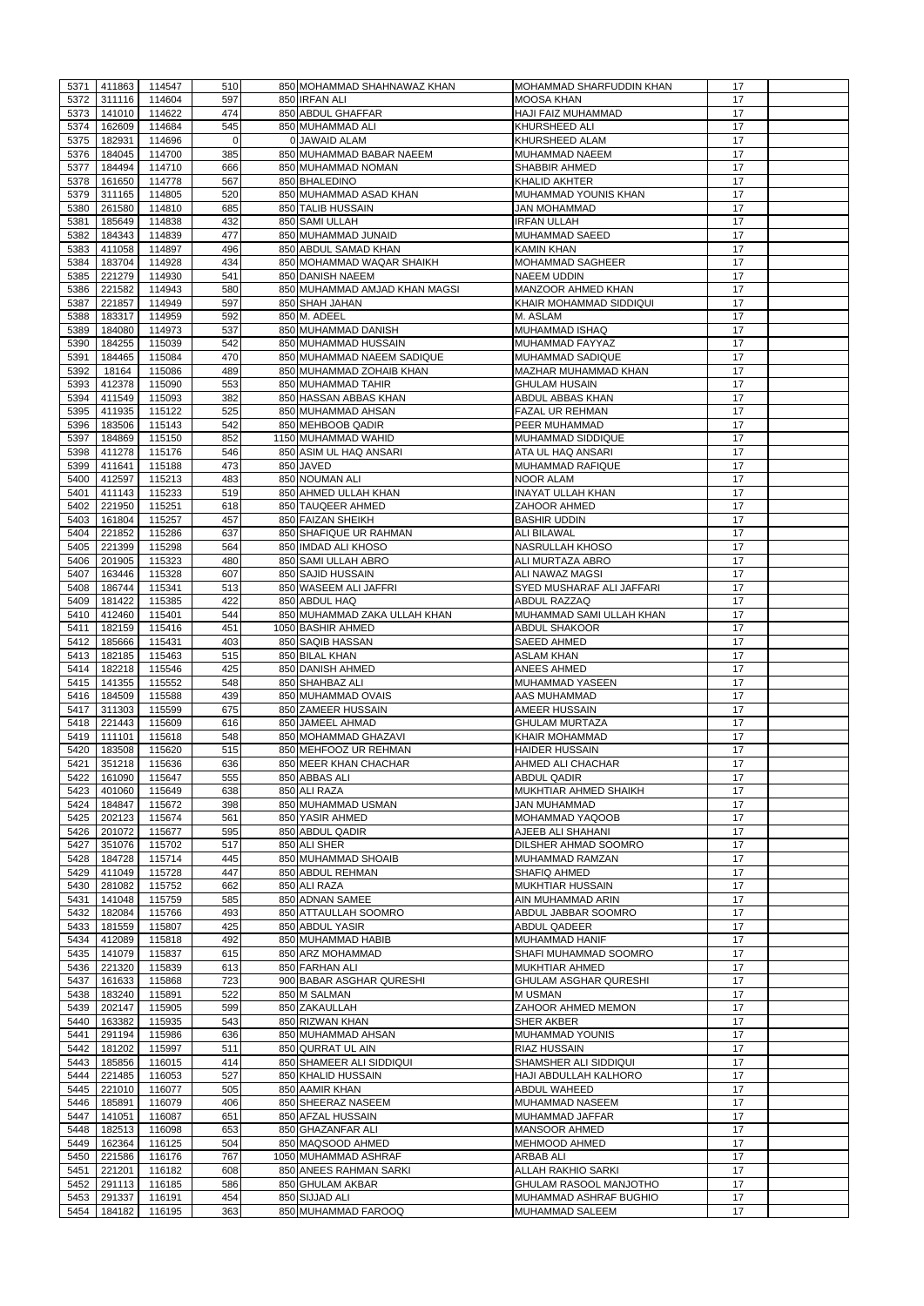| 5371         | 411863           | 114547             | 510        | 850 MOHAMMAD SHAHNAWAZ KHAN           | MOHAMMAD SHARFUDDIN KHAN                         | 17       |  |
|--------------|------------------|--------------------|------------|---------------------------------------|--------------------------------------------------|----------|--|
| 5372         | 311116           | 114604             | 597        | 850 IRFAN ALI                         | <b>MOOSA KHAN</b>                                | 17       |  |
| 5373         | 141010           | 114622             | 474        | 850 ABDUL GHAFFAR                     | <b>HAJI FAIZ MUHAMMAD</b>                        | 17       |  |
| 5374         | 162609           | 114684             | 545        | 850 MUHAMMAD ALI                      | <b>KHURSHEED ALI</b>                             | 17       |  |
| 5375         | 182931           | 114696             | 0          | 0 JAWAID ALAM                         | KHURSHEED ALAM                                   | 17       |  |
| 5376         | 184045           | 114700             | 385        | 850 MUHAMMAD BABAR NAEEM              | MUHAMMAD NAEEM                                   | 17       |  |
| 5377         | 184494           | 114710             | 666        | 850 MUHAMMAD NOMAN                    | <b>SHABBIR AHMED</b>                             | 17       |  |
| 5378         | 161650           | 114778             | 567        | 850 BHALEDINO                         | <b>KHALID AKHTER</b>                             | 17       |  |
| 5379         | 311165           | 114805             | 520        | 850 MUHAMMAD ASAD KHAN                | MUHAMMAD YOUNIS KHAN                             | 17       |  |
| 5380         | 261580           | 114810             | 685        | 850 TALIB HUSSAIN                     | <b>JAN MOHAMMAD</b>                              | 17       |  |
| 5381         | 185649           | 114838             | 432        | 850 SAMI ULLAH                        | <b>IRFAN ULLAH</b>                               | 17       |  |
| 5382         | 184343           | 114839             | 477        | 850 MUHAMMAD JUNAID                   | MUHAMMAD SAEED                                   | 17       |  |
| 5383         | 411058           | 114897             | 496        | 850 ABDUL SAMAD KHAN                  | <b>KAMIN KHAN</b>                                | 17       |  |
| 5384         | 183704           | 114928             | 434        | 850 MOHAMMAD WAQAR SHAIKH             | <b>MOHAMMAD SAGHEER</b>                          | 17       |  |
| 5385         | 221279           | 114930             | 541        | 850 DANISH NAEEM                      | <b>NAEEM UDDIN</b>                               | 17       |  |
|              |                  |                    | 580        | 850 MUHAMMAD AMJAD KHAN MAGSI         | <b>MANZOOR AHMED KHAN</b>                        | 17       |  |
| 5386         | 221582           | 114943             |            |                                       |                                                  |          |  |
| 5387         | 221857           | 114949             | 597        | 850 SHAH JAHAN                        | KHAIR MOHAMMAD SIDDIQUI                          | 17       |  |
| 5388         | 183317           | 114959             | 592        | 850 M. ADEEL                          | M. ASLAM                                         | 17       |  |
| 5389         | 184080           | 114973             | 537        | 850 MUHAMMAD DANISH                   | <b>MUHAMMAD ISHAQ</b>                            | 17       |  |
| 5390         | 184255           | 115039             | 542        | 850 MUHAMMAD HUSSAIN                  | MUHAMMAD FAYYAZ                                  | 17       |  |
| 5391         | 184465           | 115084             | 470        | 850 MUHAMMAD NAEEM SADIQUE            | <b>MUHAMMAD SADIQUE</b>                          | 17       |  |
| 5392         | 18164            | 115086             | 489        | 850 MUHAMMAD ZOHAIB KHAN              | MAZHAR MUHAMMAD KHAN                             | 17       |  |
| 5393         | 412378           | 115090             | 553        | 850 MUHAMMAD TAHIR                    | <b>GHULAM HUSAIN</b>                             | 17       |  |
| 5394         | 411549           | 115093             | 382        | 850 HASSAN ABBAS KHAN                 | ABDUL ABBAS KHAN                                 | 17       |  |
| 5395         | 411935           | 115122             | 525        | 850 MUHAMMAD AHSAN                    | FAZAL UR REHMAN                                  | 17       |  |
| 5396         | 183506           | 115143             | 542        | 850 MEHBOOB QADIR                     | PEER MUHAMMAD                                    | 17       |  |
| 5397         | 184869           | 115150             | 852        | 1150 MUHAMMAD WAHID                   | <b>MUHAMMAD SIDDIQUE</b>                         | 17       |  |
| 5398         | 411278           | 115176             | 546        | 850 ASIM UL HAQ ANSARI                | ATA UL HAQ ANSARI                                | 17       |  |
| 5399         | 411641           | 115188             | 473        | 850 JAVED                             | <b>MUHAMMAD RAFIQUE</b>                          | 17       |  |
| 5400         | 412597           | 115213             | 483        | 850 NOUMAN ALI                        | <b>NOOR ALAM</b>                                 | 17       |  |
| 5401         | 411143           | 115233             | 519        | 850 AHMED ULLAH KHAN                  | <b>INAYAT ULLAH KHAN</b>                         | 17       |  |
| 5402         | 221950           | 115251             | 618        | 850 TAUQEER AHMED                     | <b>ZAHOOR AHMED</b>                              | 17       |  |
| 5403         | 161804           | 115257             | 457        | 850 FAIZAN SHEIKH                     | <b>BASHIR UDDIN</b>                              | 17       |  |
| 5404         | 221852           | 115286             | 637        | 850 SHAFIQUE UR RAHMAN                | <b>ALI BILAWAL</b>                               | 17       |  |
| 5405         | 221399           | 115298             | 564        | 850 IMDAD ALI KHOSO                   | <b>NASRULLAH KHOSO</b>                           | 17       |  |
| 5406         | 201905           | 115323             | 480        | 850 SAMI ULLAH ABRO                   | <b>ALI MURTAZA ABRO</b>                          | 17       |  |
| 5407         | 163446           | 115328             | 607        | 850 SAJID HUSSAIN                     | <b>ALI NAWAZ MAGSI</b>                           | 17       |  |
| 5408         | 186744           | 115341             | 513        | 850 WASEEM ALI JAFFRI                 | <b>SYED MUSHARAF ALI JAFFARI</b>                 | 17       |  |
| 5409         | 181422           | 115385             | 422        | 850 ABDUL HAQ                         | <b>ABDUL RAZZAQ</b>                              | 17       |  |
| 5410         | 412460           | 115401             | 544        | 850 MUHAMMAD ZAKA ULLAH KHAN          | MUHAMMAD SAMI ULLAH KHAN                         | 17       |  |
| 5411         | 182159           | 115416             | 451        | 1050 BASHIR AHMED                     | <b>ABDUL SHAKOOR</b>                             | 17       |  |
| 5412         | 185666           | 115431             | 403        | 850 SAQIB HASSAN                      | <b>SAEED AHMED</b>                               | 17       |  |
| 5413         | 182185           | 115463             | 515        | 850 BILAL KHAN                        | <b>ASLAM KHAN</b>                                | 17       |  |
|              | 182218           | 115546             | 425        |                                       |                                                  | 17       |  |
| 5414         |                  | 115552             |            | 850 DANISH AHMED                      | <b>ANEES AHMED</b><br><b>MUHAMMAD YASEEN</b>     |          |  |
|              |                  |                    |            | 850 SHAHBAZ ALI                       |                                                  |          |  |
| 5415         | 141355           |                    | 548        |                                       |                                                  | 17       |  |
| 5416         | 184509           | 115588             | 439        | 850 MUHAMMAD OVAIS                    | AAS MUHAMMAD                                     | 17       |  |
| 5417         | 311303           | 115599             | 675        | 850 ZAMEER HUSSAIN                    | <b>AMEER HUSSAIN</b>                             | 17       |  |
| 5418         | 221443           | 115609             | 616        | 850 JAMEEL AHMAD                      | <b>GHULAM MURTAZA</b>                            | 17       |  |
| 5419         | 111101           | 115618             | 548        | 850 MOHAMMAD GHAZAVI                  | <b>KHAIR MOHAMMAD</b>                            | 17       |  |
| 5420         | 183508           | 115620             | 515        | 850 MEHFOOZ UR REHMAN                 | <b>HAIDER HUSSAIN</b>                            | 17       |  |
| 5421         | 351218           | 115636             | 636        | 850 MEER KHAN CHACHAR                 | AHMED ALI CHACHAR                                | 17       |  |
| 5422         | 161090           | 115647             | 555        | 850 ABBAS ALI                         | <b>ABDUL QADIR</b>                               | 17       |  |
| 5423         | 401060           | 115649             | 638        | 850 ALI RAZA                          | MUKHTIAR AHMED SHAIKH                            | 17       |  |
| 5424         | 184847           | 115672             | 398        | 850 MUHAMMAD USMAN                    | <b>JAN MUHAMMAD</b>                              | 17       |  |
| 5425         | 202123           | 115674             | 561        | 850 YASIR AHMED                       | <b>MOHAMMAD YAQOOB</b>                           | 17       |  |
| 5426         | 201072           | 115677             | 595        | 850 ABDUL QADIR                       | AJEEB ALI SHAHANI                                | 17       |  |
| 5427         | 351076           | 115702             | 517        | 850 ALI SHER                          | <b>DILSHER AHMAD SOOMRO</b>                      | 17       |  |
| 5428         | 184728           | 115714             | 445        | 850 MUHAMMAD SHOAIB                   | MUHAMMAD RAMZAN                                  | 17       |  |
| 5429         | 411049           | 115728             | 447        | 850 ABDUL REHMAN                      | SHAFIQ AHMED                                     | 17       |  |
| 5430         | 281082           | 115752             | 662        | 850 ALI RAZA                          | <b>MUKHTIAR HUSSAIN</b>                          | 17       |  |
| 5431         | 141048           | 115759             | 585        | 850 ADNAN SAMEE                       | AIN MUHAMMAD ARIN                                | 17       |  |
| 5432         | 182084           | 115766             | 493        | 850 ATTAULLAH SOOMRO                  | ABDUL JABBAR SOOMRO                              | 17       |  |
| 5433         | 181559           | 115807             | 425        | 850 ABDUL YASIR                       | <b>ABDUL QADEER</b>                              | 17       |  |
| 5434         | 412089           | 115818             | 492        | 850 MUHAMMAD HABIB                    | MUHAMMAD HANIF                                   | 17       |  |
| 5435         | 141079           | 115837             | 615        | 850 ARZ MOHAMMAD                      | SHAFI MUHAMMAD SOOMRO                            | 17       |  |
| 5436         | 221320           | 115839             | 613        | 850 FARHAN ALI                        | <b>MUKHTIAR AHMED</b>                            | 17       |  |
| 5437         | 161633           | 115868             | 723        | 900 BABAR ASGHAR QURESHI              | <b>GHULAM ASGHAR QURESHI</b>                     | 17       |  |
| 5438         | 183240           | 115891             | 522        | 850 M SALMAN                          | <b>MUSMAN</b>                                    | 17       |  |
| 5439         | 202147           | 115905             | 599        | 850 ZAKAULLAH                         | ZAHOOR AHMED MEMON                               | 17       |  |
| 5440         | 163382           | 115935             | 543        | 850 RIZWAN KHAN                       | <b>SHER AKBER</b>                                | 17       |  |
| 5441         | 291194           | 115986             | 636        | 850 MUHAMMAD AHSAN                    | <b>MUHAMMAD YOUNIS</b>                           | 17       |  |
|              |                  |                    |            |                                       |                                                  |          |  |
| 5442         | 181202           | 115997             | 511        | 850 QURRAT UL AIN                     | <b>RIAZ HUSSAIN</b>                              | 17       |  |
|              |                  | 5443 185856 116015 | 414        | 850 SHAMEER ALI SIDDIQUI              | SHAMSHER ALI SIDDIQUI                            | 17       |  |
| 5444         | 221485           | 116053             | 527        | 850 KHALID HUSSAIN                    | <b>HAJI ABDULLAH KALHORO</b>                     | 17       |  |
| 5445         | 221010           | 116077             | 505        | 850 AAMIR KHAN                        | ABDUL WAHEED                                     | 17       |  |
| 5446         | 185891           | 116079             | 406        | 850 SHEERAZ NASEEM                    | <b>MUHAMMAD NASEEM</b>                           | 17       |  |
| 5447         | 141051           | 116087             | 651        | 850 AFZAL HUSSAIN                     | MUHAMMAD JAFFAR                                  | 17       |  |
| 5448         | 182513           | 116098             | 653        | 850 GHAZANFAR ALI                     | <b>MANSOOR AHMED</b>                             | 17       |  |
| 5449         | 162364           | 116125             | 504        | 850 MAQSOOD AHMED                     | <b>MEHMOOD AHMED</b>                             | 17       |  |
| 5450         | 221586           | 116176             | 767        | 1050 MUHAMMAD ASHRAF                  | <b>ARBAB ALI</b>                                 | 17       |  |
| 5451         | 221201           | 116182             | 608        | 850 ANEES RAHMAN SARKI                | <b>ALLAH RAKHIO SARKI</b>                        | 17       |  |
| 5452         | 291113           | 116185             | 586        | 850 GHULAM AKBAR                      | <b>GHULAM RASOOL MANJOTHO</b>                    | 17       |  |
| 5453<br>5454 | 291337<br>184182 | 116191<br>116195   | 454<br>363 | 850 SIJJAD ALI<br>850 MUHAMMAD FAROOQ | MUHAMMAD ASHRAF BUGHIO<br><b>MUHAMMAD SALEEM</b> | 17<br>17 |  |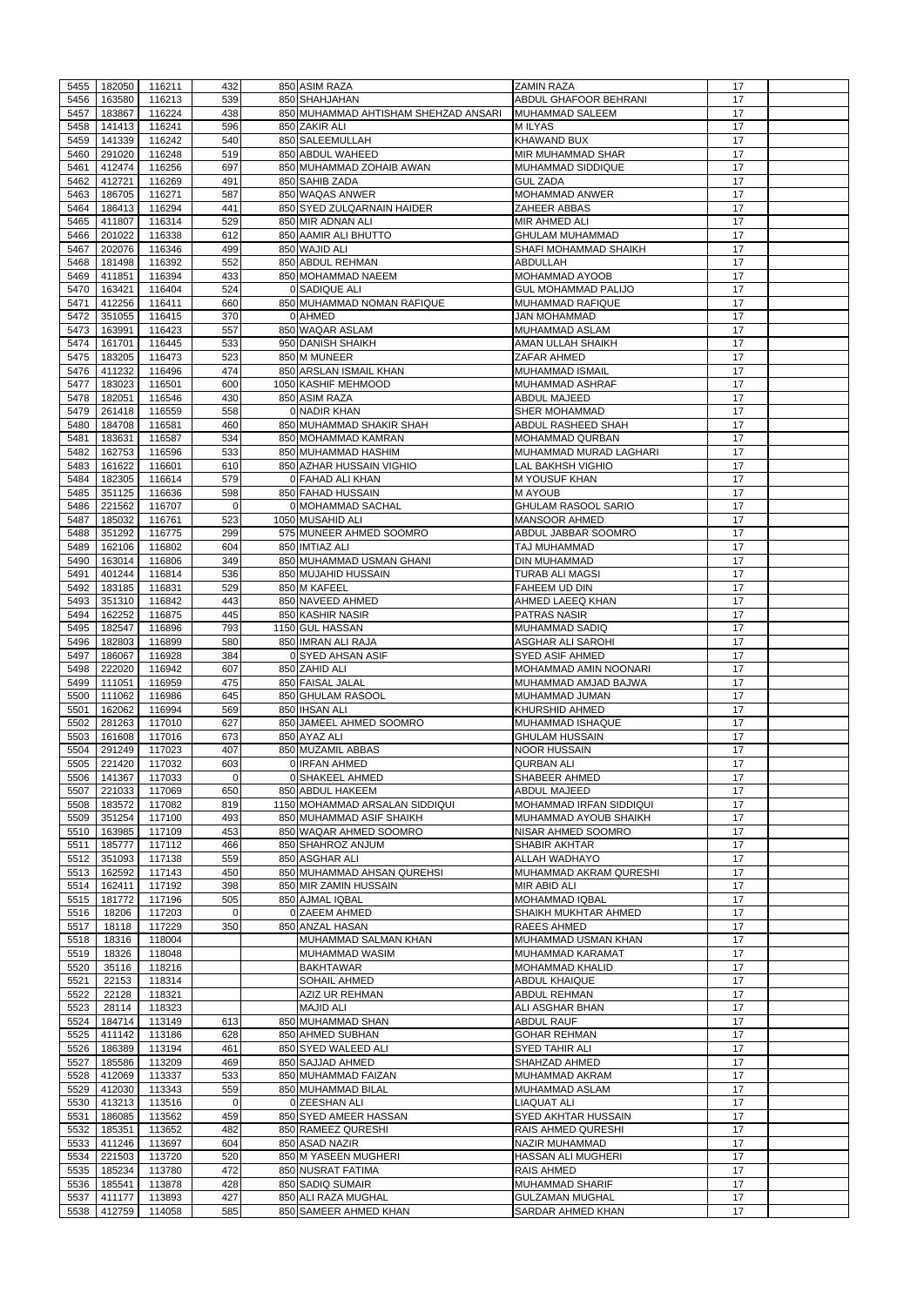| 5455         | 182050           | 116211           | 432         | 850 ASIM RAZA                                | <b>ZAMIN RAZA</b>                                  | 17       |  |
|--------------|------------------|------------------|-------------|----------------------------------------------|----------------------------------------------------|----------|--|
| 5456         | 163580           |                  | 539         | 850 SHAHJAHAN                                |                                                    |          |  |
|              |                  | 116213           |             |                                              | ABDUL GHAFOOR BEHRANI                              | 17       |  |
| 5457         | 183867           | 116224           | 438         | 850 MUHAMMAD AHTISHAM SHEHZAD ANSARI         | MUHAMMAD SALEEM                                    | 17       |  |
| 5458         | 141413           | 116241           | 596         | 850 ZAKIR ALI                                | <b>MILYAS</b>                                      | 17       |  |
| 5459         | 141339           | 116242           | 540         | 850 SALEEMULLAH                              | <b>KHAWAND BUX</b>                                 | 17       |  |
| 5460         | 291020           | 116248           | 519         | 850 ABDUL WAHEED                             | <b>MIR MUHAMMAD SHAR</b>                           | 17       |  |
| 5461         | 412474           | 116256           | 697         | 850 MUHAMMAD ZOHAIB AWAN                     | <b>MUHAMMAD SIDDIQUE</b>                           | 17       |  |
| 5462         | 412721           | 116269           | 491         | 850 SAHIB ZADA                               | <b>GUL ZADA</b>                                    | 17       |  |
| 5463         | 186705           | 116271           | 587         | 850 WAQAS ANWER                              | <b>MOHAMMAD ANWER</b>                              | 17       |  |
| 5464         | 186413           | 116294           | 441         | 850 SYED ZULQARNAIN HAIDER                   | <b>ZAHEER ABBAS</b>                                | 17       |  |
| 5465         | 411807           | 116314           | 529         | 850 MIR ADNAN ALI                            | <b>MIR AHMED ALI</b>                               | 17       |  |
| 5466         | 201022           | 116338           | 612         | 850 AAMIR ALI BHUTTO                         | <b>GHULAM MUHAMMAD</b>                             | 17       |  |
|              |                  |                  |             |                                              |                                                    |          |  |
| 5467         | 202076           | 116346           | 499         | 850 WAJID ALI                                | <b>SHAFI MOHAMMAD SHAIKH</b>                       | 17       |  |
| 5468         | 181498           | 116392           | 552         | 850 ABDUL REHMAN                             | <b>ABDULLAH</b>                                    | 17       |  |
| 5469         | 411851           | 116394           | 433         | 850 MOHAMMAD NAEEM                           | MOHAMMAD AYOOB                                     | 17       |  |
| 5470         | 163421           | 116404           | 524         | 0 SADIQUE ALI                                | <b>GUL MOHAMMAD PALIJO</b>                         | 17       |  |
| 5471         | 412256           | 116411           | 660         | 850 MUHAMMAD NOMAN RAFIQUE                   | <b>MUHAMMAD RAFIQUE</b>                            | 17       |  |
| 5472         | 351055           | 116415           | 370         | 0 AHMED                                      | <b>JAN MOHAMMAD</b>                                | 17       |  |
| 5473         | 163991           | 116423           | 557         | 850 WAQAR ASLAM                              | <b>MUHAMMAD ASLAM</b>                              | 17       |  |
| 5474         | 161701           | 116445           | 533         | 950 DANISH SHAIKH                            | AMAN ULLAH SHAIKH                                  | 17       |  |
| 5475         | 183205           | 116473           | 523         | 850 M MUNEER                                 | ZAFAR AHMED                                        | 17       |  |
| 5476         | 411232           | 116496           | 474         | 850 ARSLAN ISMAIL KHAN                       | <b>MUHAMMAD ISMAIL</b>                             | 17       |  |
|              |                  |                  |             |                                              |                                                    |          |  |
| 5477         | 183023           | 116501           | 600         | 1050 KASHIF MEHMOOD                          | <b>MUHAMMAD ASHRAF</b>                             | 17       |  |
| 5478         | 182051           | 116546           | 430         | 850 ASIM RAZA                                | <b>ABDUL MAJEED</b>                                | 17       |  |
| 5479         | 261418           | 116559           | 558         | 0 NADIR KHAN                                 | <b>SHER MOHAMMAD</b>                               | 17       |  |
| 5480         | 184708           | 116581           | 460         | 850 MUHAMMAD SHAKIR SHAH                     | ABDUL RASHEED SHAH                                 | 17       |  |
| 5481         | 183631           | 116587           | 534         | 850 MOHAMMAD KAMRAN                          | <b>MOHAMMAD QURBAN</b>                             | 17       |  |
| 5482         | 162753           | 116596           | 533         | 850 MUHAMMAD HASHIM                          | MUHAMMAD MURAD LAGHARI                             | 17       |  |
| 5483         | 161622           | 116601           | 610         | 850 AZHAR HUSSAIN VIGHIO                     | <b>LAL BAKHSH VIGHIO</b>                           | 17       |  |
| 5484         | 182305           | 116614           | 579         | 0 FAHAD ALI KHAN                             | M YOUSUF KHAN                                      | 17       |  |
| 5485         | 351125           | 116636           | 598         | 850 FAHAD HUSSAIN                            | <b>MAYOUB</b>                                      | 17       |  |
| 5486         | 221562           | 116707           | $\mathbf 0$ | 0 MOHAMMAD SACHAL                            | <b>GHULAM RASOOL SARIO</b>                         | 17       |  |
|              |                  |                  |             |                                              |                                                    |          |  |
| 5487         | 185032           | 116761           | 523         | 1050 MUSAHID ALI                             | <b>MANSOOR AHMED</b>                               | 17       |  |
| 5488         | 351292           | 116775           | 299         | 575 MUNEER AHMED SOOMRO                      | ABDUL JABBAR SOOMRO                                | 17       |  |
| 5489         | 162106           | 116802           | 604         | 850 IMTIAZ ALI                               | <b>TAJ MUHAMMAD</b>                                | 17       |  |
| 5490         | 163014           | 116806           | 349         | 850 MUHAMMAD USMAN GHANI                     | <b>DIN MUHAMMAD</b>                                | 17       |  |
| 5491         | 401244           | 116814           | 536         | 850 MUJAHID HUSSAIN                          | <b>TURAB ALI MAGSI</b>                             | 17       |  |
| 5492         | 183185           | 116831           | 529         | 850 M KAFEEL                                 | <b>FAHEEM UD DIN</b>                               | 17       |  |
| 5493         | 351310           | 116842           | 443         | 850 NAVEED AHMED                             | AHMED LAEEQ KHAN                                   | 17       |  |
| 5494         | 162252           | 116875           | 445         | 850 KASHIR NASIR                             | <b>PATRAS NASIR</b>                                | 17       |  |
| 5495         | 182547           | 116896           | 793         | 1150 GUL HASSAN                              | <b>MUHAMMAD SADIQ</b>                              | 17       |  |
|              |                  |                  | 580         | 850 IMRAN ALI RAJA                           | <b>ASGHAR ALI SAROHI</b>                           | 17       |  |
| 5496         | 182803           | 116899           |             |                                              |                                                    |          |  |
| 5497         | 186067           | 116928           | 384         | 0 SYED AHSAN ASIF                            | <b>SYED ASIF AHMED</b>                             | 17       |  |
| 5498         | 222020           | 116942           | 607         | 850 ZAHID ALI                                | <b>MOHAMMAD AMIN NOONARI</b>                       | 17       |  |
| 5499         | 111051           | 116959           | 475         | 850 FAISAL JALAL                             | MUHAMMAD AMJAD BAJWA                               | 17       |  |
| 5500         | 111062           | 116986           | 645         | 850 GHULAM RASOOL                            | MUHAMMAD JUMAN                                     | 17       |  |
| 5501         | 162062           | 116994           | 569         | 850 IHSAN ALI                                | <b>KHURSHID AHMED</b>                              | 17       |  |
| 5502         | 281263           | 117010           | 627         | 850 JAMEEL AHMED SOOMRO                      | MUHAMMAD ISHAQUE                                   | 17       |  |
| 5503         | 161608           | 117016           | 673         | 850 AYAZ ALI                                 | <b>GHULAM HUSSAIN</b>                              | 17       |  |
| 5504         | 291249           | 117023           | 407         | 850 MUZAMIL ABBAS                            | <b>NOOR HUSSAIN</b>                                | 17       |  |
| 5505         | 221420           | 117032           | 603         | 0 IRFAN AHMED                                | <b>QURBAN ALI</b>                                  | 17       |  |
|              |                  |                  | $\mathbf 0$ |                                              | <b>SHABEER AHMED</b>                               | 17       |  |
| 5506         | 141367           | 117033           |             | 0 SHAKEEL AHMED                              |                                                    |          |  |
| 5507         | 221033           | 117069           | 650         | 850 ABDUL HAKEEM                             | <b>ABDUL MAJEED</b>                                | 17       |  |
| 5508         | 183572           | 117082           | 819         | 1150 MOHAMMAD ARSALAN SIDDIQUI               | MOHAMMAD IRFAN SIDDIQUI                            | 17       |  |
| 5509         | 351254           | 117100           | 493         | 850 MUHAMMAD ASIF SHAIKH                     | MUHAMMAD AYOUB SHAIKH                              | 17       |  |
| 5510         | 163985           | 117109           | 453         | 850 WAQAR AHMED SOOMRO                       | NISAR AHMED SOOMRO                                 | 17       |  |
| 5511         | 185777           | 117112           | 466         | 850 SHAHROZ ANJUM                            | <b>SHABIR AKHTAR</b>                               | 17       |  |
| 5512         | 351093           | 117138           | 559         | 850 ASGHAR ALI                               | ALLAH WADHAYO                                      | 17       |  |
| 5513         | 162592           | 117143           | 450         | 850 MUHAMMAD AHSAN QUREHSI                   | MUHAMMAD AKRAM QURESHI                             | 17       |  |
| 5514         | 162411           | 117192           | 398         | 850 MIR ZAMIN HUSSAIN                        | <b>MIR ABID ALI</b>                                | 17       |  |
| 5515         | 181772           | 117196           | 505         | 850 AJMAL IQBAL                              | <b>MOHAMMAD IQBAL</b>                              | 17       |  |
| 5516         | 18206            | 117203           | $\Omega$    | 0 ZAEEM AHMED                                | <b>SHAIKH MUKHTAR AHMED</b>                        | 17       |  |
|              |                  |                  |             | 850 ANZAL HASAN                              |                                                    |          |  |
| 5517         | 18118            | 117229           | 350         |                                              | <b>RAEES AHMED</b>                                 | 17       |  |
| 5518         | 18316            | 118004           |             | MUHAMMAD SALMAN KHAN                         | MUHAMMAD USMAN KHAN                                | 17       |  |
| 5519         | 18326            | 118048           |             | <b>MUHAMMAD WASIM</b>                        | MUHAMMAD KARAMAT                                   | 17       |  |
| 5520         | 35116            | 118216           |             | <b>BAKHTAWAR</b>                             | <b>MOHAMMAD KHALID</b>                             | 17       |  |
| 5521         |                  |                  |             |                                              |                                                    |          |  |
| 5522         | 22153            | 118314           |             | <b>SOHAIL AHMED</b>                          | <b>ABDUL KHAIQUE</b>                               | 17       |  |
| 5523         | 22128            | 118321           |             | <b>AZIZ UR REHMAN</b>                        | <b>ABDUL REHMAN</b>                                | 17       |  |
|              | 28114            | 118323           |             | <b>MAJID ALI</b>                             | ALI ASGHAR BHAN                                    | 17       |  |
|              |                  |                  |             |                                              |                                                    |          |  |
| 5524         | 184714           | 113149           | 613         | 850 MUHAMMAD SHAN                            | <b>ABDUL RAUF</b>                                  | 17       |  |
| 5525         | 411142           | 113186           | 628         | 850 AHMED SUBHAN                             | <b>GOHAR REHMAN</b>                                | 17       |  |
| 5526         | 186389           | 113194           | 461         | 850 SYED WALEED ALI                          | <b>SYED TAHIR ALI</b>                              | 17       |  |
| 5527         | 185586           | 113209           | 469         | 850 SAJJAD AHMED                             | SHAHZAD AHMED                                      | 17       |  |
| 5528         | 412069           | 113337           | 533         | 850 MUHAMMAD FAIZAN                          | MUHAMMAD AKRAM                                     | 17       |  |
| 5529         | 412030           | 113343           | 559         | 850 MUHAMMAD BILAL                           | MUHAMMAD ASLAM                                     | 17       |  |
| 5530         | 413213           | 113516           | 0           | 0 ZEESHAN ALI                                | LIAQUAT ALI                                        | 17       |  |
| 5531         | 186085           | 113562           | 459         | 850 SYED AMEER HASSAN                        | <b>SYED AKHTAR HUSSAIN</b>                         | 17       |  |
| 5532         | 185351           | 113652           | 482         | 850 RAMEEZ QURESHI                           | <b>RAIS AHMED QURESHI</b>                          | 17       |  |
| 5533         | 411246           |                  |             | 850 ASAD NAZIR                               | NAZIR MUHAMMAD                                     | 17       |  |
|              |                  | 113697           | 604         |                                              |                                                    |          |  |
| 5534         | 221503           | 113720           | 520         | 850 M YASEEN MUGHERI                         | HASSAN ALI MUGHERI                                 | 17       |  |
| 5535         | 185234           | 113780           | 472         | 850 NUSRAT FATIMA                            | <b>RAIS AHMED</b>                                  | 17       |  |
| 5536         | 185541           | 113878           | 428         | 850 SADIQ SUMAIR                             | <b>MUHAMMAD SHARIF</b>                             | 17       |  |
| 5537<br>5538 | 411177<br>412759 | 113893<br>114058 | 427<br>585  | 850 ALI RAZA MUGHAL<br>850 SAMEER AHMED KHAN | <b>GULZAMAN MUGHAL</b><br><b>SARDAR AHMED KHAN</b> | 17<br>17 |  |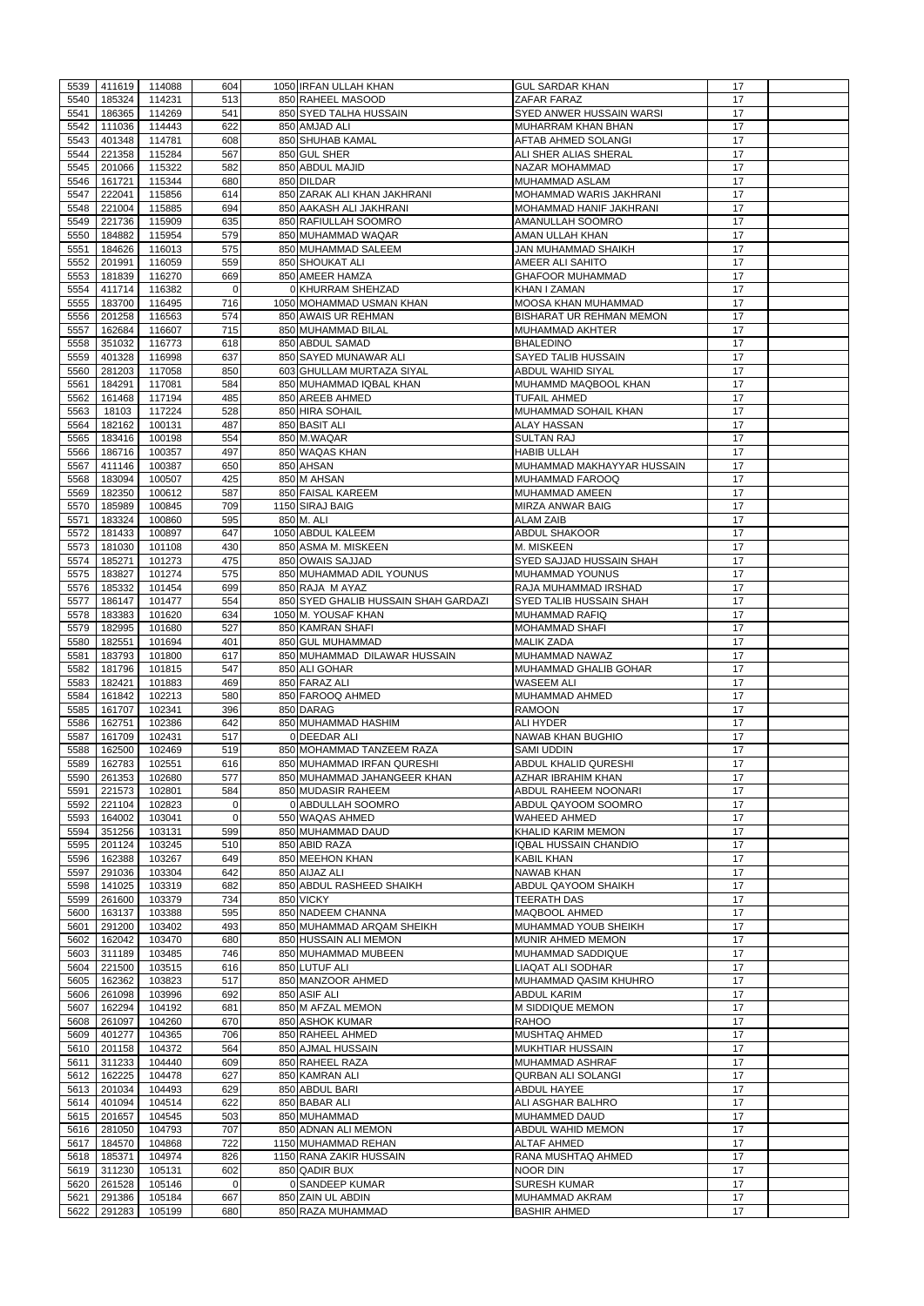|              | 411619           | 114088           | 604            | 1050 IRFAN ULLAH KHAN                  | <b>GUL SARDAR KHAN</b>                | 17       |  |
|--------------|------------------|------------------|----------------|----------------------------------------|---------------------------------------|----------|--|
| 5539<br>5540 | 185324           | 114231           | 513            | 850 RAHEEL MASOOD                      | ZAFAR FARAZ                           | 17       |  |
| 5541         | 186365           | 114269           | 541            | 850 SYED TALHA HUSSAIN                 | <b>SYED ANWER HUSSAIN WARSI</b>       | 17       |  |
|              |                  |                  | 622            |                                        |                                       | 17       |  |
| 5542         | 111036           | 114443           |                | 850 AMJAD ALI                          | MUHARRAM KHAN BHAN                    |          |  |
| 5543         | 401348           | 114781           | 608            | 850 SHUHAB KAMAL                       | <b>AFTAB AHMED SOLANGI</b>            | 17       |  |
| 5544         | 221358           | 115284           | 567            | 850 GUL SHER                           | ALI SHER ALIAS SHERAL                 | 17       |  |
| 5545         | 201066           | 115322           | 582            | 850 ABDUL MAJID                        | NAZAR MOHAMMAD                        | 17       |  |
| 5546         | 161721           | 115344           | 680            | 850 DILDAR                             | <b>MUHAMMAD ASLAM</b>                 | 17       |  |
| 5547         | 222041           | 115856           | 614            | 850 ZARAK ALI KHAN JAKHRANI            | <b>MOHAMMAD WARIS JAKHRANI</b>        | 17       |  |
| 5548         | 221004           | 115885           | 694            | 850 AAKASH ALI JAKHRANI                | MOHAMMAD HANIF JAKHRANI               | 17       |  |
| 5549         | 221736           | 115909           | 635            | 850 RAFIULLAH SOOMRO                   | AMANULLAH SOOMRO                      | 17       |  |
| 5550         | 184882           | 115954           | 579            | 850 MUHAMMAD WAQAR                     | AMAN ULLAH KHAN                       | 17       |  |
| 5551         | 184626           | 116013           | 575            | 850 MUHAMMAD SALEEM                    | <b>JAN MUHAMMAD SHAIKH</b>            | 17       |  |
| 5552         | 201991           | 116059           | 559            | 850 SHOUKAT ALI                        | <b>AMEER ALI SAHITO</b>               | 17       |  |
| 5553         | 181839           | 116270           | 669            | 850 AMEER HAMZA                        | <b>GHAFOOR MUHAMMAD</b>               | 17       |  |
| 5554         | 411714           | 116382           | $\mathbf 0$    | 0 KHURRAM SHEHZAD                      | KHAN I ZAMAN                          | 17       |  |
| 5555         | 183700           | 116495           | 716            | 1050 MOHAMMAD USMAN KHAN               | <b>MOOSA KHAN MUHAMMAD</b>            | 17       |  |
|              |                  |                  |                |                                        |                                       |          |  |
| 5556         | 201258           | 116563           | 574            | 850 AWAIS UR REHMAN                    | <b>BISHARAT UR REHMAN MEMON</b>       | 17       |  |
| 5557         | 162684           | 116607           | 715            | 850 MUHAMMAD BILAL                     | <b>MUHAMMAD AKHTER</b>                | 17       |  |
| 5558         | 351032           | 116773           | 618            | 850 ABDUL SAMAD                        | <b>BHALEDINO</b>                      | 17       |  |
| 5559         | 401328           | 116998           | 637            | 850 SAYED MUNAWAR ALI                  | <b>SAYED TALIB HUSSAIN</b>            | 17       |  |
| 5560         | 281203           | 117058           | 850            | 603 GHULLAM MURTAZA SIYAL              | <b>ABDUL WAHID SIYAL</b>              | 17       |  |
| 5561         | 184291           | 117081           | 584            | 850 MUHAMMAD IQBAL KHAN                | MUHAMMD MAQBOOL KHAN                  | 17       |  |
| 5562         | 161468           | 117194           | 485            | 850 AREEB AHMED                        | <b>TUFAIL AHMED</b>                   | 17       |  |
| 5563         | 18103            | 117224           | 528            | 850 HIRA SOHAIL                        | MUHAMMAD SOHAIL KHAN                  | 17       |  |
| 5564         | 182162           | 100131           | 487            | 850 BASIT ALI                          | <b>ALAY HASSAN</b>                    | 17       |  |
| 5565         | 183416           | 100198           | 554            | 850 M.WAQAR                            | <b>SULTAN RAJ</b>                     | 17       |  |
| 5566         | 186716           | 100357           | 497            | 850 WAQAS KHAN                         | <b>HABIB ULLAH</b>                    | 17       |  |
| 5567         | 411146           | 100387           | 650            | 850 AHSAN                              | MUHAMMAD MAKHAYYAR HUSSAIN            | 17       |  |
| 5568         | 183094           | 100507           | 425            | 850 M AHSAN                            | <b>MUHAMMAD FAROOQ</b>                | 17       |  |
|              | 182350           |                  | 587            | 850 FAISAL KAREEM                      | MUHAMMAD AMEEN                        | 17       |  |
| 5569         |                  | 100612           |                |                                        |                                       |          |  |
| 5570         | 185989           | 100845           | 709            | 1150 SIRAJ BAIG                        | <b>MIRZA ANWAR BAIG</b>               | 17       |  |
| 5571         | 183324           | 100860           | 595            | 850 M. ALI                             | <b>ALAM ZAIB</b>                      | 17       |  |
| 5572         | 181433           | 100897           | 647            | 1050 ABDUL KALEEM                      | <b>ABDUL SHAKOOR</b>                  | 17       |  |
| 5573         | 181030           | 101108           | 430            | 850 ASMA M. MISKEEN                    | M. MISKEEN                            | 17       |  |
| 5574         | 185271           | 101273           | 475            | 850 OWAIS SAJJAD                       | <b>SYED SAJJAD HUSSAIN SHAH</b>       | 17       |  |
| 5575         | 183827           | 101274           | 575            | 850 MUHAMMAD ADIL YOUNUS               | <b>MUHAMMAD YOUNUS</b>                | 17       |  |
| 5576         | 185332           | 101454           | 699            | 850 RAJA M AYAZ                        | RAJA MUHAMMAD IRSHAD                  | 17       |  |
| 5577         | 186147           | 101477           | 554            | 850 SYED GHALIB HUSSAIN SHAH GARDAZI   | <b>SYED TALIB HUSSAIN SHAH</b>        | 17       |  |
| 5578         | 183383           | 101620           | 634            | 1050 M. YOUSAF KHAN                    | <b>MUHAMMAD RAFIQ</b>                 | 17       |  |
| 5579         | 182995           | 101680           | 527            | 850 KAMRAN SHAFI                       | <b>MOHAMMAD SHAFI</b>                 | 17       |  |
| 5580         | 182551           | 101694           | 401            | 850 GUL MUHAMMAD                       | <b>MALIK ZADA</b>                     | 17       |  |
| 5581         | 183793           | 101800           | 617            | 850 MUHAMMAD DILAWAR HUSSAIN           | MUHAMMAD NAWAZ                        | 17       |  |
|              |                  | 101815           | 547            | 850 ALI GOHAR                          | MUHAMMAD GHALIB GOHAR                 |          |  |
| 5582         | 181796           |                  |                |                                        |                                       | 17       |  |
|              |                  |                  |                |                                        |                                       |          |  |
| 5583         | 182421           | 101883           | 469            | 850 FARAZ ALI                          | <b>WASEEM ALI</b>                     | 17       |  |
| 5584         | 161842           | 102213           | 580            | 850 FAROOQ AHMED                       | MUHAMMAD AHMED                        | 17       |  |
| 5585         | 161707           | 102341           | 396            | 850 DARAG                              | <b>RAMOON</b>                         | 17       |  |
| 5586         | 162751           | 102386           | 642            | 850 MUHAMMAD HASHIM                    | <b>ALI HYDER</b>                      | 17       |  |
| 5587         | 161709           | 102431           | 517            | 0 DEEDAR ALI                           | <b>NAWAB KHAN BUGHIO</b>              | 17       |  |
| 5588         | 162500           | 102469           | 519            | 850 MOHAMMAD TANZEEM RAZA              | <b>SAMI UDDIN</b>                     | 17       |  |
| 5589         | 162783           | 102551           | 616            | 850 MUHAMMAD IRFAN QURESHI             | <b>ABDUL KHALID QURESHI</b>           | 17       |  |
| 5590         | 261353           | 102680           | 577            | 850 MUHAMMAD JAHANGEER KHAN            | AZHAR IBRAHIM KHAN                    | 17       |  |
| 5591         | 221573           | 102801           | 584            | 850 MUDASIR RAHEEM                     | <b>ABDUL RAHEEM NOONARI</b>           | 17       |  |
|              |                  |                  | $\mathbf 0$    |                                        |                                       |          |  |
| 5592         | 221104           | 102823           | $\overline{0}$ | 0 ABDULLAH SOOMRO                      | ABDUL QAYOOM SOOMRO                   | 17       |  |
| 5593         | 164002           | 103041           |                | 550 WAQAS AHMED                        | <b>WAHEED AHMED</b>                   | 17       |  |
| 5594         | 351256           | 103131           | 599            | 850 MUHAMMAD DAUD                      | KHALID KARIM MEMON                    | 17       |  |
| 5595         | 201124           | 103245           | 510            | 850 ABID RAZA                          | <b>IQBAL HUSSAIN CHANDIO</b>          | 17       |  |
| 5596         | 162388           | 103267           | 649            | 850 MEEHON KHAN                        | <b>KABIL KHAN</b>                     | 17       |  |
| 5597         | 291036           | 103304           | 642            | 850 AIJAZ ALI                          | <b>NAWAB KHAN</b>                     | 17       |  |
| 5598         | 141025           | 103319           | 682            | 850 ABDUL RASHEED SHAIKH               | ABDUL QAYOOM SHAIKH                   | 17       |  |
| 5599         | 261600           | 103379           | 734            | 850 VICKY                              | <b>TEERATH DAS</b>                    | 17       |  |
| 5600         | 163137           | 103388           | 595            | 850 NADEEM CHANNA                      | MAQBOOL AHMED                         | 17       |  |
| 5601         | 291200           | 103402           | 493            | 850 MUHAMMAD ARQAM SHEIKH              | MUHAMMAD YOUB SHEIKH                  | 17       |  |
| 5602         | 162042           | 103470           | 680            | 850 HUSSAIN ALI MEMON                  | MUNIR AHMED MEMON                     | 17       |  |
| 5603         | 311189           | 103485           | 746            | 850 MUHAMMAD MUBEEN                    | MUHAMMAD SADDIQUE                     | 17       |  |
| 5604         | 221500           | 103515           | 616            | 850 LUTUF ALI                          | <b>LIAQAT ALI SODHAR</b>              | 17       |  |
| 5605         | 162362           | 103823           | 517            | 850 MANZOOR AHMED                      | MUHAMMAD QASIM KHUHRO                 | 17       |  |
|              |                  |                  |                |                                        |                                       | 17       |  |
| 5606         | 261098           | 103996           | 692            | 850 ASIF ALI                           | <b>ABDUL KARIM</b>                    |          |  |
| 5607         | 162294           | 104192           | 681            | 850 M AFZAL MEMON                      | M SIDDIQUE MEMON                      | 17       |  |
| 5608         | 261097           | 104260           | 670            | 850 ASHOK KUMAR                        | <b>RAHOO</b>                          | 17       |  |
| 5609         | 401277           | 104365           | 706            | 850 RAHEEL AHMED                       | <b>MUSHTAQ AHMED</b>                  | 17       |  |
| 5610         | 201158           | 104372           | 564            | 850 AJMAL HUSSAIN                      | <b>MUKHTIAR HUSSAIN</b>               | 17       |  |
|              | 5611 311233      | 104440           | 609            | 850 RAHEEL RAZA                        | MUHAMMAD ASHRAF                       | 17       |  |
| 5612         | 162225           | 104478           | 627            | 850 KAMRAN ALI                         | <b>QURBAN ALI SOLANGI</b>             | 17       |  |
| 5613         | 201034           | 104493           | 629            | 850 ABDUL BARI                         | <b>ABDUL HAYEE</b>                    | 17       |  |
| 5614         | 401094           | 104514           | 622            | 850 BABAR ALI                          | ALI ASGHAR BALHRO                     | 17       |  |
| 5615         | 201657           | 104545           | 503            | 850 MUHAMMAD                           | MUHAMMED DAUD                         | 17       |  |
| 5616         | 281050           | 104793           | 707            | 850 ADNAN ALI MEMON                    | <b>ABDUL WAHID MEMON</b>              | 17       |  |
| 5617         | 184570           | 104868           | 722            | 1150 MUHAMMAD REHAN                    | <b>ALTAF AHMED</b>                    | 17       |  |
| 5618         | 185371           | 104974           | 826            | 1150 RANA ZAKIR HUSSAIN                | RANA MUSHTAQ AHMED                    | 17       |  |
| 5619         | 311230           | 105131           | 602            | 850 QADIR BUX                          | <b>NOOR DIN</b>                       | 17       |  |
|              |                  |                  | $\Omega$       |                                        |                                       |          |  |
| 5620         | 261528           | 105146           |                | 0 SANDEEP KUMAR                        | <b>SURESH KUMAR</b>                   | 17       |  |
| 5621<br>5622 | 291386<br>291283 | 105184<br>105199 | 667<br>680     | 850 ZAIN UL ABDIN<br>850 RAZA MUHAMMAD | MUHAMMAD AKRAM<br><b>BASHIR AHMED</b> | 17<br>17 |  |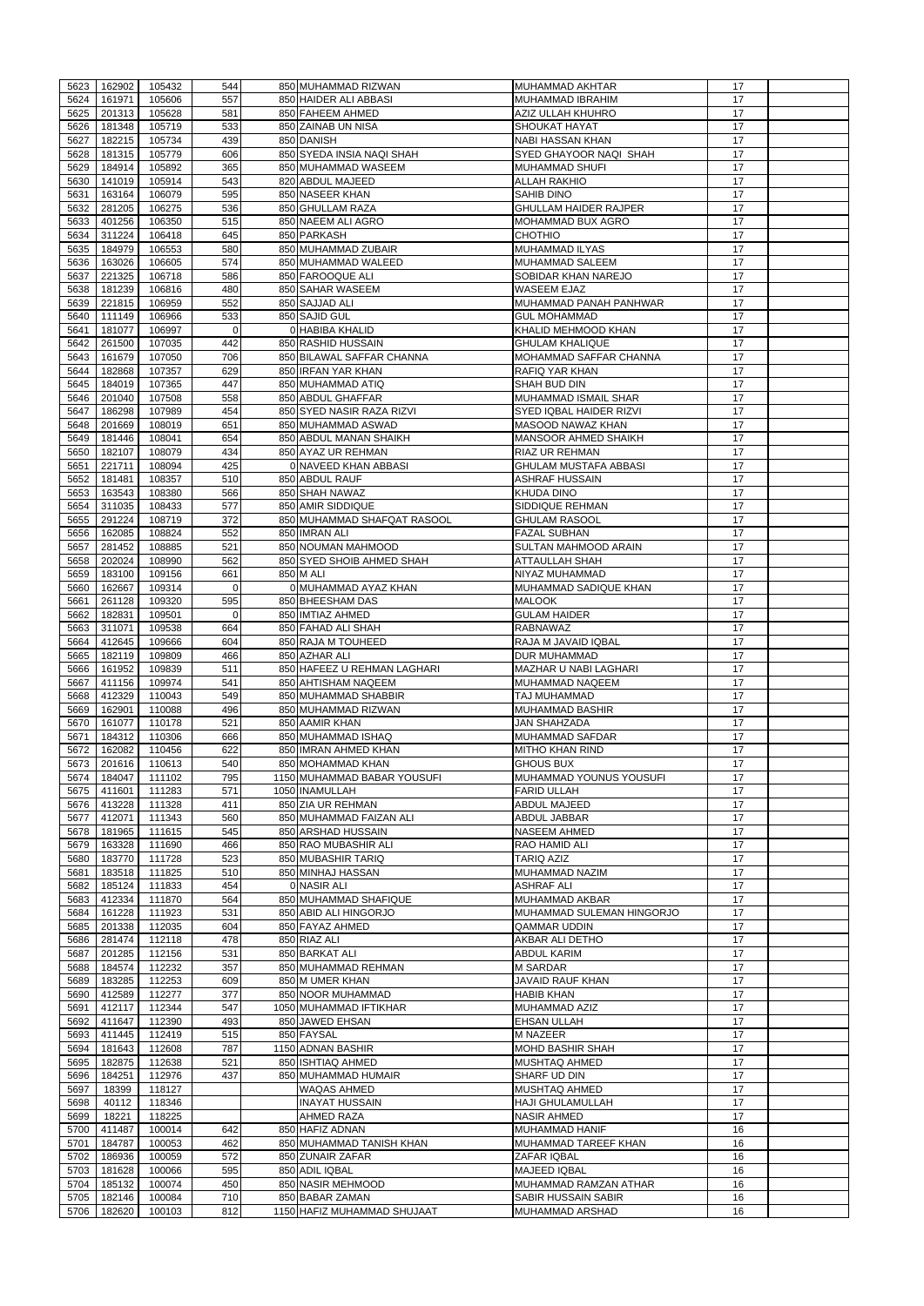| 5623 | 162902 | 105432 | 544            | 850 MUHAMMAD RIZWAN         | MUHAMMAD AKHTAR              | 17 |  |
|------|--------|--------|----------------|-----------------------------|------------------------------|----|--|
|      |        |        | 557            |                             |                              | 17 |  |
| 5624 | 161971 | 105606 |                | 850 HAIDER ALI ABBASI       | <b>MUHAMMAD IBRAHIM</b>      |    |  |
| 5625 | 201313 | 105628 | 581            | 850 FAHEEM AHMED            | <b>AZIZ ULLAH KHUHRO</b>     | 17 |  |
| 5626 | 181348 | 105719 | 533            | 850 ZAINAB UN NISA          | <b>SHOUKAT HAYAT</b>         | 17 |  |
| 5627 | 182215 | 105734 | 439            | 850 DANISH                  | <b>NABI HASSAN KHAN</b>      | 17 |  |
| 5628 | 181315 | 105779 | 606            | 850 SYEDA INSIA NAQI SHAH   | SYED GHAYOOR NAQI SHAH       | 17 |  |
| 5629 | 184914 | 105892 | 365            | 850 MUHAMMAD WASEEM         | <b>MUHAMMAD SHUFI</b>        | 17 |  |
| 5630 | 141019 | 105914 | 543            | 820 ABDUL MAJEED            | <b>ALLAH RAKHIO</b>          | 17 |  |
| 5631 | 163164 | 106079 | 595            | 850 NASEER KHAN             | <b>SAHIB DINO</b>            | 17 |  |
| 5632 | 281205 | 106275 | 536            | 850 GHULLAM RAZA            | <b>GHULLAM HAIDER RAJPER</b> | 17 |  |
| 5633 | 401256 | 106350 | 515            | 850 NAEEM ALI AGRO          | <b>MOHAMMAD BUX AGRO</b>     | 17 |  |
| 5634 | 311224 | 106418 | 645            | 850 PARKASH                 | <b>CHOTHIO</b>               | 17 |  |
| 5635 | 184979 | 106553 | 580            | 850 MUHAMMAD ZUBAIR         | <b>MUHAMMAD ILYAS</b>        | 17 |  |
|      |        |        |                |                             |                              |    |  |
| 5636 | 163026 | 106605 | 574            | 850 MUHAMMAD WALEED         | <b>MUHAMMAD SALEEM</b>       | 17 |  |
| 5637 | 221325 | 106718 | 586            | 850 FAROOQUE ALI            | SOBIDAR KHAN NAREJO          | 17 |  |
| 5638 | 181239 | 106816 | 480            | 850 SAHAR WASEEM            | <b>WASEEM EJAZ</b>           | 17 |  |
| 5639 | 221815 | 106959 | 552            | 850 SAJJAD ALI              | MUHAMMAD PANAH PANHWAR       | 17 |  |
| 5640 | 111149 | 106966 | 533            | 850 SAJID GUL               | <b>GUL MOHAMMAD</b>          | 17 |  |
| 5641 | 181077 | 106997 | $\overline{0}$ | 0 HABIBA KHALID             | KHALID MEHMOOD KHAN          | 17 |  |
| 5642 | 261500 | 107035 | 442            | 850 RASHID HUSSAIN          | <b>GHULAM KHALIQUE</b>       | 17 |  |
| 5643 | 161679 | 107050 | 706            | 850 BILAWAL SAFFAR CHANNA   | MOHAMMAD SAFFAR CHANNA       | 17 |  |
| 5644 | 182868 | 107357 | 629            | 850 IRFAN YAR KHAN          | RAFIQ YAR KHAN               | 17 |  |
|      |        |        | 447            | 850 MUHAMMAD ATIQ           |                              |    |  |
| 5645 | 184019 | 107365 |                |                             | SHAH BUD DIN                 | 17 |  |
| 5646 | 201040 | 107508 | 558            | 850 ABDUL GHAFFAR           | MUHAMMAD ISMAIL SHAR         | 17 |  |
| 5647 | 186298 | 107989 | 454            | 850 SYED NASIR RAZA RIZVI   | SYED IQBAL HAIDER RIZVI      | 17 |  |
| 5648 | 201669 | 108019 | 651            | 850 MUHAMMAD ASWAD          | <b>MASOOD NAWAZ KHAN</b>     | 17 |  |
| 5649 | 181446 | 108041 | 654            | 850 ABDUL MANAN SHAIKH      | MANSOOR AHMED SHAIKH         | 17 |  |
| 5650 | 182107 | 108079 | 434            | 850 AYAZ UR REHMAN          | <b>RIAZ UR REHMAN</b>        | 17 |  |
| 5651 | 221711 | 108094 | 425            | 0 NAVEED KHAN ABBASI        | <b>GHULAM MUSTAFA ABBASI</b> | 17 |  |
| 5652 | 181481 | 108357 | 510            | 850 ABDUL RAUF              | <b>ASHRAF HUSSAIN</b>        | 17 |  |
| 5653 | 163543 | 108380 | 566            | 850 SHAH NAWAZ              | <b>KHUDA DINO</b>            | 17 |  |
| 5654 | 311035 | 108433 | 577            | 850 AMIR SIDDIQUE           | SIDDIQUE REHMAN              | 17 |  |
|      | 291224 |        | 372            | 850 MUHAMMAD SHAFQAT RASOOL |                              | 17 |  |
| 5655 |        | 108719 |                |                             | <b>GHULAM RASOOL</b>         |    |  |
| 5656 | 162085 | 108824 | 552            | 850 IMRAN ALI               | <b>FAZAL SUBHAN</b>          | 17 |  |
| 5657 | 281452 | 108885 | 521            | 850 NOUMAN MAHMOOD          | <b>SULTAN MAHMOOD ARAIN</b>  | 17 |  |
| 5658 | 202024 | 108990 | 562            | 850 SYED SHOIB AHMED SHAH   | <b>ATTAULLAH SHAH</b>        | 17 |  |
| 5659 | 183100 | 109156 | 661            | 850 M ALI                   | NIYAZ MUHAMMAD               | 17 |  |
| 5660 | 162667 | 109314 | $\Omega$       | 0 MUHAMMAD AYAZ KHAN        | MUHAMMAD SADIQUE KHAN        | 17 |  |
| 5661 | 261128 | 109320 | 595            | 850 BHEESHAM DAS            | <b>MALOOK</b>                | 17 |  |
| 5662 | 182831 | 109501 | $\Omega$       | 850 IMTIAZ AHMED            | <b>GULAM HAIDER</b>          | 17 |  |
| 5663 | 311071 | 109538 | 664            | 850 FAHAD ALI SHAH          | <b>RABNAWAZ</b>              | 17 |  |
| 5664 | 412645 | 109666 | 604            | 850 RAJA M TOUHEED          | RAJA M JAVAID IQBAL          | 17 |  |
| 5665 | 182119 | 109809 | 466            | 850 AZHAR ALI               | <b>DUR MUHAMMAD</b>          | 17 |  |
|      |        |        |                |                             |                              |    |  |
| 5666 | 161952 | 109839 | 511            | 850 HAFEEZ U REHMAN LAGHARI | <b>MAZHAR U NABI LAGHARI</b> | 17 |  |
| 5667 | 411156 | 109974 | 541            | 850 AHTISHAM NAQEEM         | MUHAMMAD NAQEEM              | 17 |  |
| 5668 | 412329 | 110043 | 549            | 850 MUHAMMAD SHABBIR        | <b>TAJ MUHAMMAD</b>          | 17 |  |
| 5669 | 162901 | 110088 | 496            | 850 MUHAMMAD RIZWAN         | <b>MUHAMMAD BASHIR</b>       | 17 |  |
| 5670 | 161077 | 110178 | 521            | 850 AAMIR KHAN              | <b>JAN SHAHZADA</b>          | 17 |  |
| 5671 | 184312 | 110306 | 666            | 850 MUHAMMAD ISHAQ          | <b>MUHAMMAD SAFDAR</b>       | 17 |  |
| 5672 | 162082 | 110456 | 622            | 850 IMRAN AHMED KHAN        | <b>MITHO KHAN RIND</b>       | 17 |  |
| 5673 | 201616 | 110613 | 540            | 850 MOHAMMAD KHAN           | <b>GHOUS BUX</b>             | 17 |  |
| 5674 | 184047 | 111102 | 795            | 1150 MUHAMMAD BABAR YOUSUFI | MUHAMMAD YOUNUS YOUSUFI      | 17 |  |
| 5675 | 411601 | 111283 | 571            | 1050 INAMULLAH              | <b>FARID ULLAH</b>           | 17 |  |
| 5676 | 413228 | 111328 | 411            | 850 ZIA UR REHMAN           | <b>ABDUL MAJEED</b>          | 17 |  |
|      |        |        |                |                             |                              |    |  |
| 5677 | 412071 | 111343 | 560            | 850 MUHAMMAD FAIZAN ALI     | <b>ABDUL JABBAR</b>          | 17 |  |
| 5678 | 181965 | 111615 | 545            | 850 ARSHAD HUSSAIN          | <b>NASEEM AHMED</b>          | 17 |  |
| 5679 | 163328 | 111690 | 466            | 850 RAO MUBASHIR ALI        | RAO HAMID ALI                | 17 |  |
| 5680 | 183770 | 111728 | 523            | 850 MUBASHIR TARIQ          | <b>TARIQ AZIZ</b>            | 17 |  |
| 5681 | 183518 | 111825 | 510            | 850 MINHAJ HASSAN           | MUHAMMAD NAZIM               | 17 |  |
| 5682 | 185124 | 111833 | 454            | 0 NASIR ALI                 | <b>ASHRAF ALI</b>            | 17 |  |
| 5683 | 412334 | 111870 | 564            | 850 MUHAMMAD SHAFIQUE       | <b>MUHAMMAD AKBAR</b>        | 17 |  |
| 5684 | 161228 | 111923 | 531            | 850 ABID ALI HINGORJO       | MUHAMMAD SULEMAN HINGORJO    | 17 |  |
| 5685 | 201338 | 112035 | 604            | 850 FAYAZ AHMED             | <b>QAMMAR UDDIN</b>          | 17 |  |
| 5686 | 281474 | 112118 | 478            | 850 RIAZ ALI                | AKBAR ALI DETHO              | 17 |  |
|      |        |        |                |                             |                              |    |  |
| 5687 | 201285 | 112156 | 531            | 850 BARKAT ALI              | <b>ABDUL KARIM</b>           | 17 |  |
| 5688 | 184574 | 112232 | 357            | 850 MUHAMMAD REHMAN         | <b>M SARDAR</b>              | 17 |  |
| 5689 | 183285 | 112253 | 609            | 850 M UMER KHAN             | <b>JAVAID RAUF KHAN</b>      | 17 |  |
| 5690 | 412589 | 112277 | 377            | 850 NOOR MUHAMMAD           | <b>HABIB KHAN</b>            | 17 |  |
| 5691 | 412117 | 112344 | 547            | 1050 MUHAMMAD IFTIKHAR      | MUHAMMAD AZIZ                | 17 |  |
| 5692 | 411647 | 112390 | 493            | 850 JAWED EHSAN             | <b>EHSAN ULLAH</b>           | 17 |  |
| 5693 | 411445 | 112419 | 515            | 850 FAYSAL                  | M NAZEER                     | 17 |  |
| 5694 | 181643 | 112608 | 787            | 1150 ADNAN BASHIR           | <b>MOHD BASHIR SHAH</b>      | 17 |  |
| 5695 | 182875 | 112638 | 521            | 850 ISHTIAQ AHMED           | MUSHTAQ AHMED                | 17 |  |
|      |        |        |                |                             |                              |    |  |
| 5696 | 184251 | 112976 | 437            | 850 MUHAMMAD HUMAIR         | SHARF UD DIN                 | 17 |  |
| 5697 | 18399  | 118127 |                | <b>WAQAS AHMED</b>          | <b>MUSHTAQ AHMED</b>         | 17 |  |
| 5698 | 40112  | 118346 |                | IINAYAT HUSSAIN             | <b>HAJI GHULAMULLAH</b>      | 17 |  |
| 5699 | 18221  | 118225 |                | <b>AHMED RAZA</b>           | <b>NASIR AHMED</b>           | 17 |  |
| 5700 | 411487 | 100014 | 642            | 850 HAFIZ ADNAN             | MUHAMMAD HANIF               | 16 |  |
| 5701 | 184787 | 100053 | 462            | 850 MUHAMMAD TANISH KHAN    | MUHAMMAD TAREEF KHAN         | 16 |  |
| 5702 | 186936 | 100059 | 572            | 850 ZUNAIR ZAFAR            | <b>ZAFAR IQBAL</b>           | 16 |  |
| 5703 | 181628 | 100066 | 595            | 850 ADIL IQBAL              | <b>MAJEED IQBAL</b>          | 16 |  |
| 5704 | 185132 | 100074 | 450            | 850 NASIR MEHMOOD           | MUHAMMAD RAMZAN ATHAR        | 16 |  |
| 5705 | 182146 | 100084 | 710            | 850 BABAR ZAMAN             | <b>SABIR HUSSAIN SABIR</b>   | 16 |  |
|      | 182620 | 100103 | 812            | 1150 HAFIZ MUHAMMAD SHUJAAT | MUHAMMAD ARSHAD              | 16 |  |
| 5706 |        |        |                |                             |                              |    |  |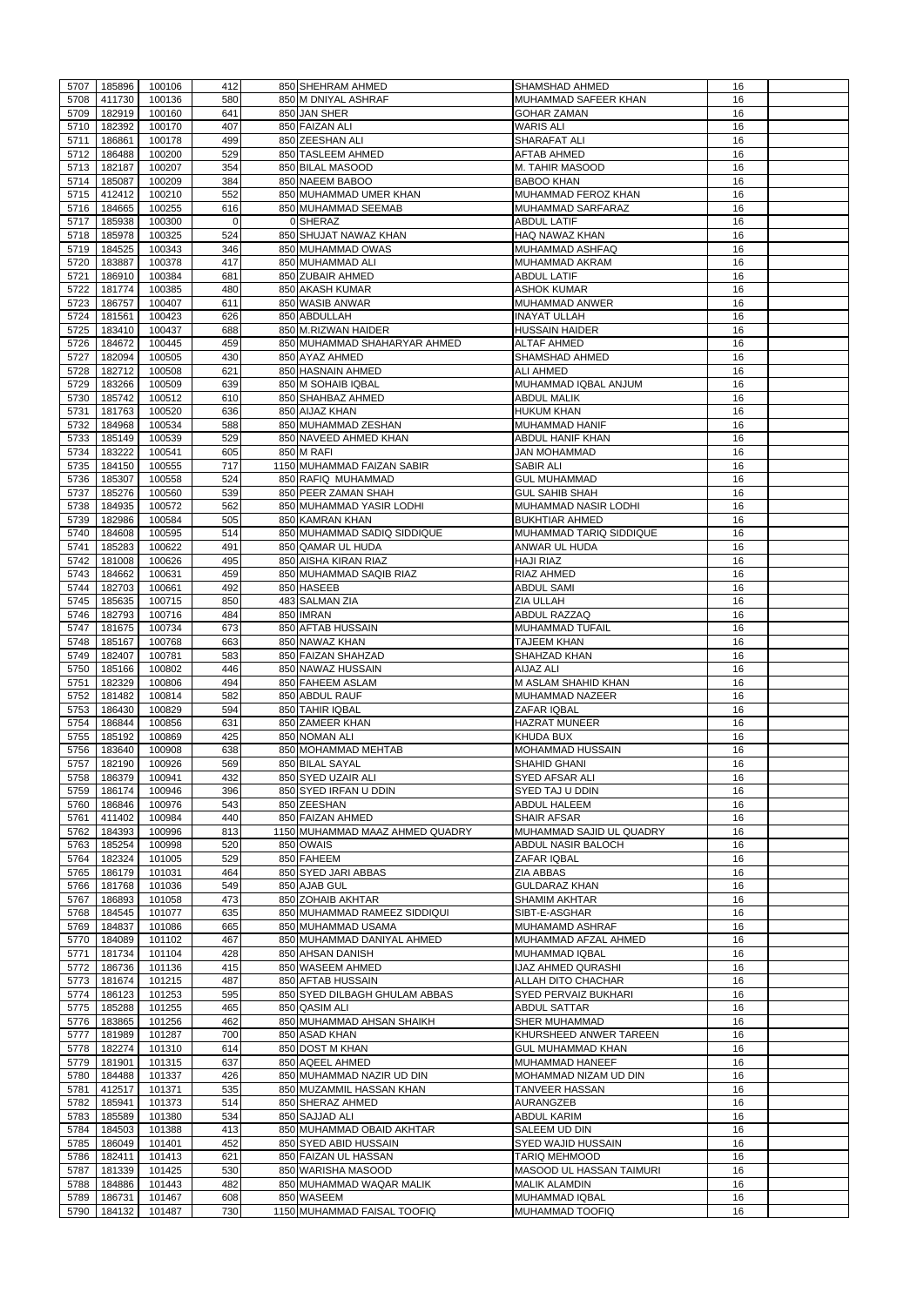|              |                  |                  | 412         | 850 SHEHRAM AHMED                         |                                          |          |  |
|--------------|------------------|------------------|-------------|-------------------------------------------|------------------------------------------|----------|--|
| 5707         | 185896           | 100106           |             |                                           | <b>SHAMSHAD AHMED</b>                    | 16       |  |
| 5708         | 411730           | 100136           | 580         | 850 M DNIYAL ASHRAF                       | <b>MUHAMMAD SAFEER KHAN</b>              | 16       |  |
| 5709         | 182919           | 100160           | 641         | 850 JAN SHER                              | <b>GOHAR ZAMAN</b>                       | 16       |  |
| 5710         | 182392           | 100170           | 407         | 850 FAIZAN ALI                            | <b>WARIS ALI</b>                         | 16       |  |
| 5711         | 186861           | 100178           | 499         | 850 ZEESHAN ALI                           | <b>SHARAFAT ALI</b>                      | 16       |  |
| 5712         | 186488           | 100200           | 529         | 850 TASLEEM AHMED                         | <b>AFTAB AHMED</b>                       | 16       |  |
| 5713         | 182187           | 100207           | 354         | 850 BILAL MASOOD                          | M. TAHIR MASOOD                          | 16       |  |
| 5714         | 185087           | 100209           | 384         | 850 NAEEM BABOO                           | <b>BABOO KHAN</b>                        | 16       |  |
| 5715         | 412412           | 100210           | 552         | 850 MUHAMMAD UMER KHAN                    | MUHAMMAD FEROZ KHAN                      | 16       |  |
| 5716         | 184665           | 100255           | 616         | 850 MUHAMMAD SEEMAB                       | MUHAMMAD SARFARAZ                        | 16       |  |
| 5717         | 185938           | 100300           | $\mathbf 0$ | 0 SHERAZ                                  | <b>ABDUL LATIF</b>                       | 16       |  |
| 5718         | 185978           | 100325           | 524         | 850 SHUJAT NAWAZ KHAN                     | <b>HAQ NAWAZ KHAN</b>                    | 16       |  |
| 5719         | 184525           | 100343           | 346         | 850 MUHAMMAD OWAS                         | <b>MUHAMMAD ASHFAQ</b>                   | 16       |  |
| 5720         | 183887           | 100378           | 417         | 850 MUHAMMAD ALI                          | <b>MUHAMMAD AKRAM</b>                    | 16       |  |
| 5721         | 186910           | 100384           | 681         | 850 ZUBAIR AHMED                          | <b>ABDUL LATIF</b>                       | 16       |  |
| 5722         | 181774           | 100385           | 480         | 850 AKASH KUMAR                           | <b>ASHOK KUMAR</b>                       | 16       |  |
| 5723         | 186757           | 100407           | 611         | 850 WASIB ANWAR                           | MUHAMMAD ANWER                           | 16       |  |
| 5724         | 181561           | 100423           | 626         | 850 ABDULLAH                              | <b>INAYAT ULLAH</b>                      | 16       |  |
| 5725         | 183410           | 100437           | 688         | 850 M.RIZWAN HAIDER                       | <b>HUSSAIN HAIDER</b>                    | 16       |  |
| 5726         | 184672           | 100445           | 459         | 850 MUHAMMAD SHAHARYAR AHMED              | <b>ALTAF AHMED</b>                       | 16       |  |
| 5727         | 182094           | 100505           | 430         | 850 AYAZ AHMED                            | <b>SHAMSHAD AHMED</b>                    | 16       |  |
|              |                  |                  |             |                                           |                                          |          |  |
| 5728         | 182712           | 100508           | 621         | 850 HASNAIN AHMED                         | <b>ALI AHMED</b>                         | 16       |  |
| 5729         | 183266           | 100509           | 639         | 850 M SOHAIB IQBAL                        | MUHAMMAD IQBAL ANJUM                     | 16       |  |
| 5730         | 185742           | 100512           | 610         | 850 SHAHBAZ AHMED                         | <b>ABDUL MALIK</b>                       | 16       |  |
| 5731         | 181763           | 100520           | 636         | 850 AIJAZ KHAN                            | <b>HUKUM KHAN</b>                        | 16       |  |
| 5732         | 184968           | 100534           | 588         | 850 MUHAMMAD ZESHAN                       | <b>MUHAMMAD HANIF</b>                    | 16       |  |
| 5733         | 185149           | 100539           | 529         | 850 NAVEED AHMED KHAN                     | <b>ABDUL HANIF KHAN</b>                  | 16       |  |
| 5734         | 183222           | 100541           | 605         | 850 M RAFI                                | <b>JAN MOHAMMAD</b>                      | 16       |  |
| 5735         | 184150           | 100555           | 717         | 1150 MUHAMMAD FAIZAN SABIR                | <b>SABIR ALI</b>                         | 16       |  |
| 5736         | 185307           | 100558           | 524         | 850 RAFIQ MUHAMMAD                        | <b>GUL MUHAMMAD</b>                      | 16       |  |
| 5737         | 185276           | 100560           | 539         | 850 PEER ZAMAN SHAH                       | <b>GUL SAHIB SHAH</b>                    | 16       |  |
| 5738         | 184935           | 100572           | 562         | 850 MUHAMMAD YASIR LODHI                  | <b>MUHAMMAD NASIR LODHI</b>              | 16       |  |
| 5739         | 182986           | 100584           | 505         | 850 KAMRAN KHAN                           | <b>BUKHTIAR AHMED</b>                    | 16       |  |
| 5740         | 184608           | 100595           | 514         | 850 MUHAMMAD SADIQ SIDDIQUE               | MUHAMMAD TARIQ SIDDIQUE                  | 16       |  |
| 5741         | 185283           | 100622           | 491         | 850 QAMAR UL HUDA                         | ANWAR UL HUDA                            | 16       |  |
| 5742         | 181008           | 100626           | 495         | 850 AISHA KIRAN RIAZ                      | <b>HAJI RIAZ</b>                         | 16       |  |
| 5743         | 184662           | 100631           | 459         | 850 MUHAMMAD SAQIB RIAZ                   | <b>RIAZ AHMED</b>                        | 16       |  |
| 5744         | 182703           | 100661           | 492         | 850 HASEEB                                | <b>ABDUL SAMI</b>                        | 16       |  |
| 5745         | 185635           | 100715           | 850         | 483 SALMAN ZIA                            | ZIA ULLAH                                | 16       |  |
| 5746         | 182793           | 100716           | 484         | 850 IMRAN                                 | <b>ABDUL RAZZAQ</b>                      | 16       |  |
|              |                  |                  | 673         | 850 AFTAB HUSSAIN                         |                                          | 16       |  |
| 5747         | 181675           | 100734           |             |                                           | <b>MUHAMMAD TUFAIL</b>                   |          |  |
| 5748         | 185167           | 100768           | 663         | 850 NAWAZ KHAN                            | <b>TAJEEM KHAN</b>                       | 16       |  |
| 5749         | 182407           | 100781           | 583         | 850 FAIZAN SHAHZAD                        | SHAHZAD KHAN                             | 16       |  |
| 5750         | 185166           | 100802           | 446         | 850 NAWAZ HUSSAIN                         | <b>AIJAZ ALI</b>                         | 16       |  |
| 5751         | 182329           | 100806           | 494         | 850 FAHEEM ASLAM                          | <b>M ASLAM SHAHID KHAN</b>               | 16       |  |
| 5752         | 181482           | 100814           | 582         | 850 ABDUL RAUF                            | <b>MUHAMMAD NAZEER</b>                   | 16       |  |
| 5753         | 186430           | 100829           | 594         | 850 TAHIR IQBAL                           | <b>ZAFAR IQBAL</b>                       | 16       |  |
| 5754         | 186844           | 100856           | 631         | 850 ZAMEER KHAN                           | <b>HAZRAT MUNEER</b>                     | 16       |  |
| 5755         | 185192           | 100869           | 425         | 850 NOMAN ALI                             | <b>KHUDA BUX</b>                         | 16       |  |
| 5756         | 183640           | 100908           | 638         | 850 MOHAMMAD MEHTAB                       | <b>MOHAMMAD HUSSAIN</b>                  | 16       |  |
| 5757         | 182190           | 100926           | 569         | 850 BILAL SAYAL                           | <b>SHAHID GHANI</b>                      | 16       |  |
| 5758         | 186379           | 100941           | 432         | 850 SYED UZAIR ALI                        | <b>SYED AFSAR ALI</b>                    | 16       |  |
| 5759         | 186174           | 100946           | 396         | 850 SYED IRFAN U DDIN                     | <b>SYED TAJ U DDIN</b>                   | 16       |  |
| 5760         | 186846           | 100976           | 543         | 850 ZEESHAN                               | <b>ABDUL HALEEM</b>                      | 16       |  |
| 5761         | 411402           | 100984           | 440         | 850 FAIZAN AHMED                          | <b>SHAIR AFSAR</b>                       | 16       |  |
| 5762         | 184393           | 100996           | 813         | 1150 MUHAMMAD MAAZ AHMED QUADRY           | MUHAMMAD SAJID UL QUADRY                 | 16       |  |
| 5763         | 185254           | 100998           | 520         | 850 OWAIS                                 | <b>ABDUL NASIR BALOCH</b>                | 16       |  |
| 5764         | 182324           | 101005           | 529         | 850 FAHEEM                                | <b>ZAFAR IQBAL</b>                       | 16       |  |
| 5765         | 186179           | 101031           | 464         | 850 SYED JARI ABBAS                       | <b>ZIA ABBAS</b>                         | 16       |  |
| 5766         | 181768           | 101036           | 549         | 850 AJAB GUL                              | <b>GULDARAZ KHAN</b>                     | 16       |  |
| 5767         | 186893           | 101058           | 473         | 850 ZOHAIB AKHTAR                         | <b>SHAMIM AKHTAR</b>                     | 16       |  |
| 5768         | 184545           | 101077           | 635         | 850 MUHAMMAD RAMEEZ SIDDIQUI              | SIBT-E-ASGHAR                            | 16       |  |
| 5769         | 184837           | 101086           | 665         | 850 MUHAMMAD USAMA                        | <b>MUHAMAMD ASHRAF</b>                   | 16       |  |
|              | 184089           |                  | 467         |                                           |                                          |          |  |
| 5770         |                  | 101102           |             | 850 MUHAMMAD DANIYAL AHMED                | MUHAMMAD AFZAL AHMED                     | 16       |  |
| 5771         | 181734           | 101104           | 428         | 850 AHSAN DANISH                          | <b>MUHAMMAD IQBAL</b>                    | 16       |  |
| 5772         |                  |                  |             | 850 WASEEM AHMED                          |                                          | 16       |  |
|              | 186736           | 101136           | 415         |                                           | <b>IJAZ AHMED QURASHI</b>                |          |  |
| 5773         | 181674           | 101215           | 487         | 850 AFTAB HUSSAIN                         | <b>ALLAH DITO CHACHAR</b>                | 16       |  |
| 5774         | 186123           | 101253           | 595         | 850 SYED DILBAGH GHULAM ABBAS             | <b>SYED PERVAIZ BUKHARI</b>              | 16       |  |
| 5775         | 185288           | 101255           | 465         | 850 QASIM ALI                             | <b>ABDUL SATTAR</b>                      | 16       |  |
| 5776         | 183865           | 101256           | 462         | 850 MUHAMMAD AHSAN SHAIKH                 | <b>SHER MUHAMMAD</b>                     | 16       |  |
| 5777         | 181989           | 101287           | 700         | 850 ASAD KHAN                             | KHURSHEED ANWER TAREEN                   | 16       |  |
| 5778         | 182274           | 101310           | 614         | 850 DOST M KHAN                           | <b>GUL MUHAMMAD KHAN</b>                 | 16       |  |
|              | 5779 181901      | 101315           | 637         | 850 AQEEL AHMED                           | MUHAMMAD HANEEF                          | 16       |  |
| 5780         | 184488           | 101337           | 426         | 850 MUHAMMAD NAZIR UD DIN                 | MOHAMMAD NIZAM UD DIN                    | 16       |  |
| 5781         | 412517           | 101371           | 535         | 850 MUZAMMIL HASSAN KHAN                  | <b>TANVEER HASSAN</b>                    | 16       |  |
| 5782         | 185941           | 101373           | 514         | 850 SHERAZ AHMED                          | <b>AURANGZEB</b>                         | 16       |  |
| 5783         | 185589           | 101380           | 534         | 850 SAJJAD ALI                            | <b>ABDUL KARIM</b>                       | 16       |  |
|              |                  |                  |             | 850 MUHAMMAD OBAID AKHTAR                 |                                          |          |  |
| 5784         | 184503           | 101388           | 413         |                                           | SALEEM UD DIN                            | 16       |  |
| 5785         | 186049           | 101401           | 452         | 850 SYED ABID HUSSAIN                     | <b>SYED WAJID HUSSAIN</b>                | 16       |  |
| 5786         | 182411           | 101413           | 621         | 850 FAIZAN UL HASSAN                      | <b>TARIQ MEHMOOD</b>                     | 16       |  |
| 5787         | 181339           | 101425           | 530         | 850 WARISHA MASOOD                        | MASOOD UL HASSAN TAIMURI                 | 16       |  |
| 5788         | 184886           | 101443           | 482         | 850 MUHAMMAD WAQAR MALIK                  | <b>MALIK ALAMDIN</b>                     | 16       |  |
| 5789<br>5790 | 186731<br>184132 | 101467<br>101487 | 608<br>730  | 850 WASEEM<br>1150 MUHAMMAD FAISAL TOOFIQ | MUHAMMAD IQBAL<br><b>MUHAMMAD TOOFIQ</b> | 16<br>16 |  |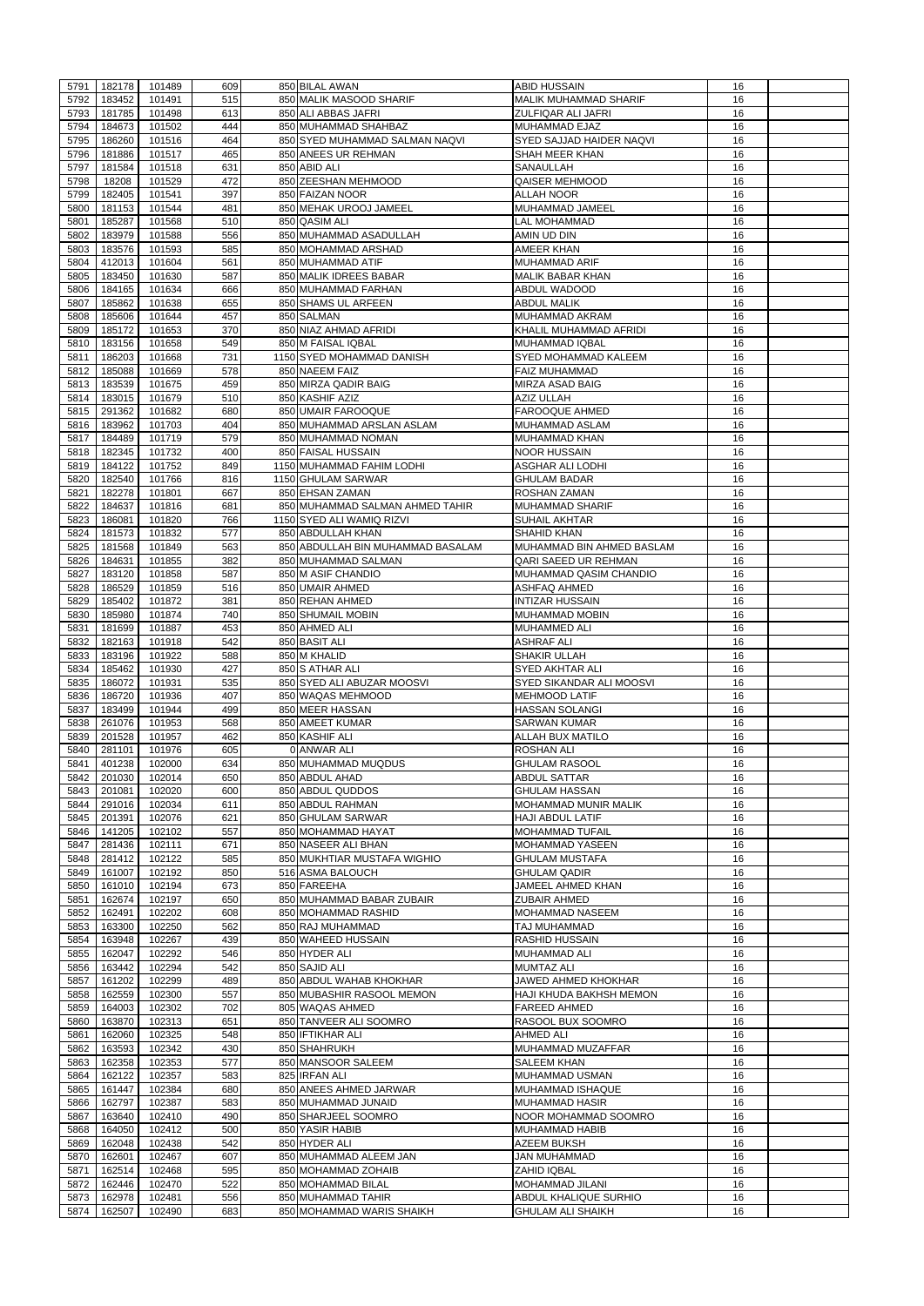|              | 182178           | 101489           | 609        | 850 BILAL AWAN                                  | <b>ABID HUSSAIN</b>                                      | 16       |  |
|--------------|------------------|------------------|------------|-------------------------------------------------|----------------------------------------------------------|----------|--|
| 5791         |                  |                  |            |                                                 |                                                          |          |  |
| 5792         | 183452           | 101491           | 515        | 850 MALIK MASOOD SHARIF                         | <b>MALIK MUHAMMAD SHARIF</b>                             | 16       |  |
| 5793         | 181785           | 101498           | 613        | 850 ALI ABBAS JAFRI                             | ZULFIQAR ALI JAFRI                                       | 16       |  |
| 5794         | 184673           | 101502           | 444        | 850 MUHAMMAD SHAHBAZ                            | MUHAMMAD EJAZ                                            | 16       |  |
| 5795         | 186260           | 101516           | 464        | 850 SYED MUHAMMAD SALMAN NAQVI                  | SYED SAJJAD HAIDER NAQVI                                 | 16       |  |
| 5796         | 181886           | 101517           | 465        | 850 ANEES UR REHMAN                             | SHAH MEER KHAN                                           | 16       |  |
| 5797         | 181584           | 101518           | 631        | 850 ABID ALI                                    | SANAULLAH                                                | 16       |  |
|              |                  |                  |            |                                                 |                                                          |          |  |
| 5798         | 18208            | 101529           | 472        | 850 ZEESHAN MEHMOOD                             | <b>QAISER MEHMOOD</b>                                    | 16       |  |
| 5799         | 182405           | 101541           | 397        | 850 FAIZAN NOOR                                 | <b>ALLAH NOOR</b>                                        | 16       |  |
| 5800         | 181153           | 101544           | 481        | 850 MEHAK UROOJ JAMEEL                          | MUHAMMAD JAMEEL                                          | 16       |  |
| 5801         | 185287           | 101568           | 510        | 850 QASIM ALI                                   | LAL MOHAMMAD                                             | 16       |  |
| 5802         | 183979           | 101588           | 556        | 850 MUHAMMAD ASADULLAH                          | AMIN UD DIN                                              | 16       |  |
|              |                  |                  | 585        |                                                 |                                                          |          |  |
| 5803         | 183576           | 101593           |            | 850 MOHAMMAD ARSHAD                             | AMEER KHAN                                               | 16       |  |
| 5804         | 412013           | 101604           | 561        | 850 MUHAMMAD ATIF                               | <b>MUHAMMAD ARIF</b>                                     | 16       |  |
| 5805         | 183450           | 101630           | 587        | 850 MALIK IDREES BABAR                          | <b>MALIK BABAR KHAN</b>                                  | 16       |  |
| 5806         | 184165           | 101634           | 666        | 850 MUHAMMAD FARHAN                             | ABDUL WADOOD                                             | 16       |  |
| 5807         | 185862           | 101638           | 655        | 850 SHAMS UL ARFEEN                             | ABDUL MALIK                                              | 16       |  |
| 5808         | 185606           | 101644           | 457        | 850 SALMAN                                      | <b>MUHAMMAD AKRAM</b>                                    | 16       |  |
| 5809         | 185172           | 101653           | 370        | 850 NIAZ AHMAD AFRIDI                           | KHALIL MUHAMMAD AFRIDI                                   | 16       |  |
|              |                  |                  |            |                                                 |                                                          |          |  |
| 5810         | 183156           | 101658           | 549        | 850 M FAISAL IOBAL                              | MUHAMMAD IQBAL                                           | 16       |  |
| 5811         | 186203           | 101668           | 731        | 1150 SYED MOHAMMAD DANISH                       | <b>SYED MOHAMMAD KALEEM</b>                              | 16       |  |
| 5812         | 185088           | 101669           | 578        | 850 NAEEM FAIZ                                  | FAIZ MUHAMMAD                                            | 16       |  |
| 5813         | 183539           | 101675           | 459        | 850 MIRZA QADIR BAIG                            | MIRZA ASAD BAIG                                          | 16       |  |
| 5814         | 183015           | 101679           | 510        | 850 KASHIF AZIZ                                 | AZIZ ULLAH                                               | 16       |  |
| 5815         | 291362           | 101682           | 680        | 850 UMAIR FAROOQUE                              | <b>FAROOQUE AHMED</b>                                    | 16       |  |
|              |                  |                  |            |                                                 |                                                          |          |  |
| 5816         | 183962           | 101703           | 404        | 850 MUHAMMAD ARSLAN ASLAM                       | MUHAMMAD ASLAM                                           | 16       |  |
| 5817         | 184489           | 101719           | 579        | 850 MUHAMMAD NOMAN                              | MUHAMMAD KHAN                                            | 16       |  |
| 5818         | 182345           | 101732           | 400        | 850 FAISAL HUSSAIN                              | <b>NOOR HUSSAIN</b>                                      | 16       |  |
| 5819         | 184122           | 101752           | 849        | 1150 MUHAMMAD FAHIM LODHI                       | ASGHAR ALI LODHI                                         | 16       |  |
| 5820         | 182540           | 101766           | 816        | 1150 GHULAM SARWAR                              | <b>GHULAM BADAR</b>                                      | 16       |  |
| 5821         | 182278           | 101801           | 667        | 850 EHSAN ZAMAN                                 | <b>ROSHAN ZAMAN</b>                                      | 16       |  |
| 5822         | 184637           | 101816           | 681        | 850 MUHAMMAD SALMAN AHMED TAHIR                 | <b>MUHAMMAD SHARIF</b>                                   | 16       |  |
|              |                  |                  |            |                                                 |                                                          |          |  |
| 5823         | 186081           | 101820           | 766        | 1150 SYED ALI WAMIQ RIZVI                       | <b>SUHAIL AKHTAR</b>                                     | 16       |  |
| 5824         | 181573           | 101832           | 577        | 850 ABDULLAH KHAN                               | <b>SHAHID KHAN</b>                                       | 16       |  |
| 5825         | 181568           | 101849           | 563        | 850 ABDULLAH BIN MUHAMMAD BASALAM               | MUHAMMAD BIN AHMED BASLAM                                | 16       |  |
| 5826         | 184631           | 101855           | 382        | 850 MUHAMMAD SALMAN                             | QARI SAEED UR REHMAN                                     | 16       |  |
| 5827         | 183120           | 101858           | 587        | 850 M ASIF CHANDIO                              | MUHAMMAD QASIM CHANDIO                                   | 16       |  |
| 5828         | 186529           | 101859           | 516        | 850 UMAIR AHMED                                 | <b>ASHFAQ AHMED</b>                                      | 16       |  |
|              |                  |                  |            |                                                 |                                                          |          |  |
| 5829         | 185402           | 101872           | 381        | 850 REHAN AHMED                                 | <b>INTIZAR HUSSAIN</b>                                   | 16       |  |
| 5830         | 185980           | 101874           | 740        | 850 SHUMAIL MOBIN                               | MUHAMMAD MOBIN                                           | 16       |  |
| 5831         | 181699           | 101887           | 453        | 850 AHMED ALI                                   | <b>MUHAMMED ALI</b>                                      | 16       |  |
| 5832         | 182163           | 101918           | 542        | 850 BASIT ALI                                   | <b>ASHRAF ALI</b>                                        | 16       |  |
| 5833         | 183196           | 101922           | 588        | 850 M KHALID                                    | SHAKIR ULLAH                                             | 16       |  |
| 5834         | 185462           | 101930           | 427        | 850 S ATHAR ALI                                 | SYED AKHTAR ALI                                          | 16       |  |
|              |                  |                  |            |                                                 |                                                          |          |  |
| 5835         | 186072           | 101931           | 535        | 850 SYED ALI ABUZAR MOOSVI                      | SYED SIKANDAR ALI MOOSVI                                 | 16       |  |
| 5836         | 186720           | 101936           | 407        | 850 WAQAS MEHMOOD                               | <b>MEHMOOD LATIF</b>                                     | 16       |  |
| 5837         | 183499           | 101944           | 499        | 850 MEER HASSAN                                 | <b>HASSAN SOLANGI</b>                                    | 16       |  |
| 5838         | 261076           | 101953           | 568        | 850 AMEET KUMAR                                 | <b>SARWAN KUMAR</b>                                      | 16       |  |
| 5839         | 201528           | 101957           | 462        |                                                 | ALLAH BUX MATILO                                         |          |  |
| 5840         | 281101           |                  |            |                                                 |                                                          |          |  |
|              |                  |                  |            | 850 KASHIF ALI                                  |                                                          | 16       |  |
| 5841         |                  | 101976           | 605        | 0 ANWAR ALI                                     | <b>ROSHAN ALI</b>                                        | 16       |  |
|              | 401238           | 102000           | 634        | 850 MUHAMMAD MUQDUS                             | <b>GHULAM RASOOL</b>                                     | 16       |  |
| 5842         | 201030           | 102014           | 650        | 850 ABDUL AHAD                                  | <b>ABDUL SATTAR</b>                                      | 16       |  |
| 5843         | 201081           | 102020           | 600        | 850 ABDUL QUDDOS                                | <b>GHULAM HASSAN</b>                                     | 16       |  |
| 5844         | 291016           | 102034           | 611        | 850 ABDUL RAHMAN                                | MOHAMMAD MUNIR MALIK                                     | 16       |  |
| 5845         | 201391           | 102076           | 621        | 850 GHULAM SARWAR                               | <b>HAJI ABDUL LATIF</b>                                  | 16       |  |
|              |                  |                  |            |                                                 |                                                          | 16       |  |
| 5846         | 141205           | 102102           | 557        | 850 MOHAMMAD HAYAT                              | <b>MOHAMMAD TUFAIL</b>                                   |          |  |
| 5847         | 281436           | 102111           | 671        | 850 NASEER ALI BHAN                             | MOHAMMAD YASEEN                                          | 16       |  |
| 5848         | 281412           | 102122           | 585        | 850 MUKHTIAR MUSTAFA WIGHIO                     | <b>GHULAM MUSTAFA</b>                                    | 16       |  |
| 5849         | 161007           | 102192           | 850        | 516 ASMA BALOUCH                                | <b>GHULAM QADIR</b>                                      | 16       |  |
| 5850         | 161010           | 102194           | 673        | 850 FAREEHA                                     | JAMEEL AHMED KHAN                                        | 16       |  |
| 5851         | 162674           | 102197           | 650        | 850 MUHAMMAD BABAR ZUBAIR                       | <b>ZUBAIR AHMED</b>                                      | 16       |  |
| 5852         | 162491           | 102202           | 608        | 850 MOHAMMAD RASHID                             | MOHAMMAD NASEEM                                          | 16       |  |
|              |                  |                  |            |                                                 |                                                          |          |  |
| 5853         | 163300           | 102250           | 562        | 850 RAJ MUHAMMAD                                | TAJ MUHAMMAD                                             | 16       |  |
| 5854         | 163948           | 102267           | 439        | 850 WAHEED HUSSAIN                              | <b>RASHID HUSSAIN</b>                                    | 16       |  |
| 5855         | 162047           | 102292           | 546        | 850 HYDER ALI                                   | MUHAMMAD ALI                                             | 16       |  |
| 5856         | 163442           | 102294           | 542        | 850 SAJID ALI                                   | <b>MUMTAZ ALI</b>                                        | 16       |  |
| 5857         | 161202           | 102299           | 489        | 850 ABDUL WAHAB KHOKHAR                         | <b>JAWED AHMED KHOKHAR</b>                               | 16       |  |
| 5858         | 162559           | 102300           | 557        | 850 MUBASHIR RASOOL MEMON                       | HAJI KHUDA BAKHSH MEMON                                  | 16       |  |
|              |                  |                  | 702        | 805 WAQAS AHMED                                 |                                                          | 16       |  |
| 5859         | 164003           | 102302           |            |                                                 | <b>FAREED AHMED</b>                                      |          |  |
| 5860         | 163870           | 102313           | 651        | 850 TANVEER ALI SOOMRO                          | RASOOL BUX SOOMRO                                        | 16       |  |
| 5861         | 162060           | 102325           | 548        | 850 IFTIKHAR ALI                                | <b>AHMED ALI</b>                                         | 16       |  |
| 5862         | 163593           | 102342           | 430        | 850 SHAHRUKH                                    | MUHAMMAD MUZAFFAR                                        | 16       |  |
| 5863         | 162358           | 102353           | 577        | 850 MANSOOR SALEEM                              | <b>SALEEM KHAN</b>                                       | 16       |  |
| 5864         | 162122           | 102357           | 583        | 825 IRFAN ALI                                   | MUHAMMAD USMAN                                           | 16       |  |
| 5865         | 161447           | 102384           | 680        |                                                 | MUHAMMAD ISHAQUE                                         | 16       |  |
|              |                  |                  |            | 850 ANEES AHMED JARWAR                          |                                                          |          |  |
| 5866         | 162797           | 102387           | 583        | 850 MUHAMMAD JUNAID                             | MUHAMMAD HASIR                                           | 16       |  |
| 5867         | 163640           | 102410           | 490        | 850 SHARJEEL SOOMRO                             | NOOR MOHAMMAD SOOMRO                                     | 16       |  |
| 5868         | 164050           | 102412           | 500        | 850 YASIR HABIB                                 | MUHAMMAD HABIB                                           | 16       |  |
| 5869         | 162048           | 102438           | 542        | 850 HYDER ALI                                   | <b>AZEEM BUKSH</b>                                       | 16       |  |
| 5870         | 162601           | 102467           | 607        | 850 MUHAMMAD ALEEM JAN                          | <b>JAN MUHAMMAD</b>                                      | 16       |  |
|              |                  |                  |            |                                                 |                                                          |          |  |
| 5871         | 162514           | 102468           | 595        | 850 MOHAMMAD ZOHAIB                             | <b>ZAHID IQBAL</b>                                       | 16       |  |
| 5872         | 162446           | 102470           | 522        | 850 MOHAMMAD BILAL                              | <b>MOHAMMAD JILANI</b>                                   | 16       |  |
| 5873<br>5874 | 162978<br>162507 | 102481<br>102490 | 556<br>683 | 850 MUHAMMAD TAHIR<br>850 MOHAMMAD WARIS SHAIKH | <b>ABDUL KHALIQUE SURHIO</b><br><b>GHULAM ALI SHAIKH</b> | 16<br>16 |  |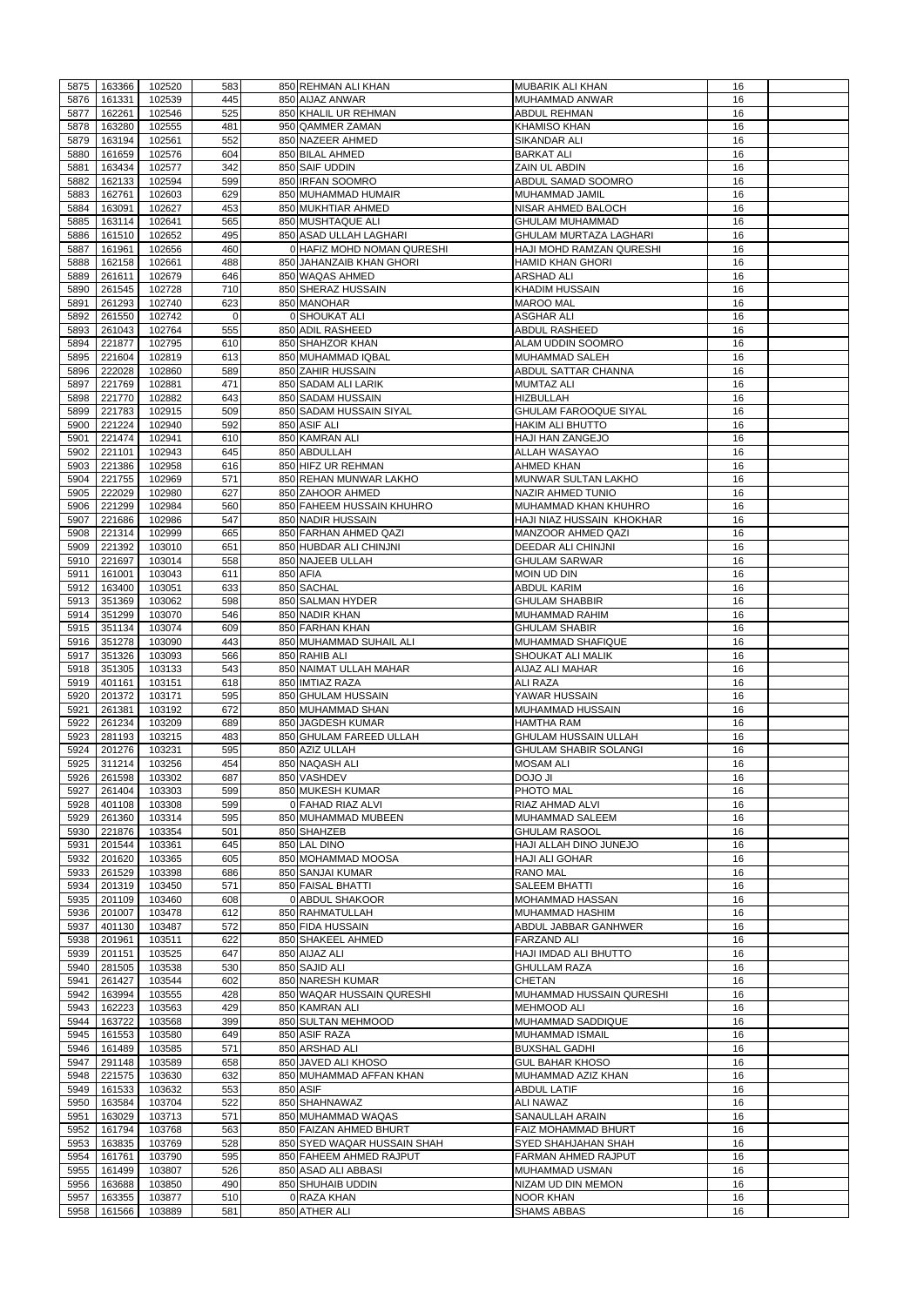| 5875         | 163366           | 102520             | 583         | 850 REHMAN ALI KHAN          | MUBARIK ALI KHAN                       | 16       |  |
|--------------|------------------|--------------------|-------------|------------------------------|----------------------------------------|----------|--|
| 5876         | 161331           | 102539             | 445         | 850 AIJAZ ANWAR              | MUHAMMAD ANWAR                         | 16       |  |
| 5877         | 162261           | 102546             | 525         | 850 KHALIL UR REHMAN         | <b>ABDUL REHMAN</b>                    | 16       |  |
| 5878         | 163280           | 102555             | 481         | 950 QAMMER ZAMAN             | <b>KHAMISO KHAN</b>                    | 16       |  |
| 5879         | 163194           | 102561             | 552         | 850 NAZEER AHMED             | <b>SIKANDAR ALI</b>                    | 16       |  |
| 5880         | 161659           | 102576             | 604         | 850 BILAL AHMED              | <b>BARKAT ALI</b>                      | 16       |  |
| 5881         | 163434           | 102577             | 342         | 850 SAIF UDDIN               | ZAIN UL ABDIN                          | 16       |  |
| 5882         | 162133           | 102594             | 599         | 850 IRFAN SOOMRO             | ABDUL SAMAD SOOMRO                     | 16       |  |
| 5883         | 162761           | 102603             | 629         | 850 MUHAMMAD HUMAIR          | MUHAMMAD JAMIL                         | 16       |  |
| 5884         | 163091           | 102627             | 453         | 850 MUKHTIAR AHMED           | NISAR AHMED BALOCH                     | 16       |  |
| 5885         | 163114           | 102641             | 565         | 850 MUSHTAQUE ALI            | <b>GHULAM MUHAMMAD</b>                 | 16       |  |
| 5886         | 161510           | 102652             | 495         | 850 ASAD ULLAH LAGHARI       | <b>GHULAM MURTAZA LAGHARI</b>          | 16       |  |
|              |                  |                    |             |                              |                                        |          |  |
| 5887         | 161961           | 102656             | 460         | 0 HAFIZ MOHD NOMAN QURESHI   | HAJI MOHD RAMZAN QURESHI               | 16       |  |
| 5888         | 162158           | 102661             | 488         | 850 JAHANZAIB KHAN GHORI     | <b>HAMID KHAN GHORI</b>                | 16       |  |
| 5889         | 261611           | 102679             | 646         | 850 WAQAS AHMED              | <b>ARSHAD ALI</b>                      | 16       |  |
| 5890         | 261545           | 102728             | 710         | 850 SHERAZ HUSSAIN           | <b>KHADIM HUSSAIN</b>                  | 16       |  |
| 5891         | 261293           | 102740             | 623         | 850 MANOHAR                  | <b>MAROO MAL</b>                       | 16       |  |
| 5892         | 261550           | 102742             | $\mathbf 0$ | 0 SHOUKAT ALI                | <b>ASGHAR ALI</b>                      | 16       |  |
| 5893         | 261043           | 102764             | 555         | 850 ADIL RASHEED             | <b>ABDUL RASHEED</b>                   | 16       |  |
| 5894         | 221877           | 102795             | 610         | 850 SHAHZOR KHAN             | ALAM UDDIN SOOMRO                      | 16       |  |
| 5895         | 221604           | 102819             | 613         | 850 MUHAMMAD IQBAL           | <b>MUHAMMAD SALEH</b>                  | 16       |  |
| 5896         | 222028           | 102860             | 589         | 850 ZAHIR HUSSAIN            | ABDUL SATTAR CHANNA                    | 16       |  |
| 5897         | 221769           | 102881             | 471         | 850 SADAM ALI LARIK          | <b>MUMTAZ ALI</b>                      | 16       |  |
| 5898         | 221770           | 102882             | 643         | 850 SADAM HUSSAIN            | <b>HIZBULLAH</b>                       | 16       |  |
| 5899         | 221783           | 102915             | 509         | 850 SADAM HUSSAIN SIYAL      | <b>GHULAM FAROOQUE SIYAL</b>           | 16       |  |
| 5900         | 221224           | 102940             | 592         | 850 ASIF ALI                 | <b>HAKIM ALI BHUTTO</b>                | 16       |  |
| 5901         | 221474           | 102941             | 610         | 850 KAMRAN ALI               | <b>HAJI HAN ZANGEJO</b>                | 16       |  |
| 5902         | 221101           | 102943             | 645         | 850 ABDULLAH                 | ALLAH WASAYAO                          | 16       |  |
|              |                  |                    |             |                              |                                        |          |  |
| 5903         | 221386           | 102958             | 616         | 850 HIFZ UR REHMAN           | AHMED KHAN                             | 16       |  |
| 5904         | 221755           | 102969             | 571         | 850 REHAN MUNWAR LAKHO       | MUNWAR SULTAN LAKHO                    | 16       |  |
| 5905         | 222029           | 102980             | 627         | 850 ZAHOOR AHMED             | <b>NAZIR AHMED TUNIO</b>               | 16       |  |
| 5906         | 221299           | 102984             | 560         | 850 FAHEEM HUSSAIN KHUHRO    | MUHAMMAD KHAN KHUHRO                   | 16       |  |
| 5907         | 221686           | 102986             | 547         | 850 NADIR HUSSAIN            | HAJI NIAZ HUSSAIN KHOKHAR              | 16       |  |
| 5908         | 221314           | 102999             | 665         | 850 FARHAN AHMED QAZI        | MANZOOR AHMED QAZI                     | 16       |  |
| 5909         | 221392           | 103010             | 651         | 850 HUBDAR ALI CHINJNI       | DEEDAR ALI CHINJNI                     | 16       |  |
| 5910         | 221697           | 103014             | 558         | 850 NAJEEB ULLAH             | <b>GHULAM SARWAR</b>                   | 16       |  |
|              | 5911   161001    | 103043             | 611         | 850 AFIA                     | <b>MOIN UD DIN</b>                     | 16       |  |
| 5912         | 163400           | 103051             | 633         | 850 SACHAL                   | <b>ABDUL KARIM</b>                     | 16       |  |
| 5913         | 351369           | 103062             | 598         | 850 SALMAN HYDER             | <b>GHULAM SHABBIR</b>                  | 16       |  |
| 5914         | 351299           | 103070             | 546         | 850 NADIR KHAN               | MUHAMMAD RAHIM                         | 16       |  |
| 5915         | 351134           | 103074             | 609         | 850 FARHAN KHAN              | <b>GHULAM SHABIR</b>                   | 16       |  |
| 5916         | 351278           | 103090             | 443         | 850 MUHAMMAD SUHAIL ALI      | MUHAMMAD SHAFIQUE                      | 16       |  |
| 5917         | 351326           | 103093             | 566         | 850 RAHIB ALI                | SHOUKAT ALI MALIK                      | 16       |  |
| 5918         | 351305           | 103133             | 543         | 850 NAIMAT ULLAH MAHAR       | AIJAZ ALI MAHAR                        | 16       |  |
|              |                  |                    |             | 850 IMTIAZ RAZA              |                                        |          |  |
| 5919         | 401161           | 103151             | 618         |                              | <b>ALI RAZA</b>                        | 16       |  |
| 5920         | 201372           | 103171             | 595         | 850 GHULAM HUSSAIN           | YAWAR HUSSAIN                          | 16       |  |
| 5921         | 261381           | 103192             | 672         | 850 MUHAMMAD SHAN            | MUHAMMAD HUSSAIN                       | 16       |  |
| 5922         |                  | 103209             | 689         | 850 JAGDESH KUMAR            | <b>HAMTHA RAM</b>                      | 16       |  |
|              | 261234           |                    |             | 850 GHULAM FAREED ULLAH      |                                        |          |  |
| 5923         | 281193           | 103215             | 483         |                              | <b>GHULAM HUSSAIN ULLAH</b>            | 16       |  |
| 5924         | 201276           | 103231             | 595         | 850 AZIZ ULLAH               | <b>GHULAM SHABIR SOLANGI</b>           | 16       |  |
| 5925         | 311214           | 103256             | 454         | 850 NAQASH ALI               | <b>MOSAM ALI</b>                       | 16       |  |
| 5926         | 261598           | 103302             | 687         | 850 VASHDEV                  | <b>IL OLOO</b>                         | 16       |  |
| 5927         | 261404           | 103303             | 599         | 850 MUKESH KUMAR             | PHOTO MAL                              | 16       |  |
| 5928         | 401108           | 103308             | 599         | 0 FAHAD RIAZ ALVI            | <b>RIAZ AHMAD ALVI</b>                 | 16       |  |
| 5929         | 261360           | 103314             | 595         | 850 MUHAMMAD MUBEEN          | <b>MUHAMMAD SALEEM</b>                 | 16       |  |
| 5930         | 221876           | 103354             | 501         | 850 SHAHZEB                  | <b>GHULAM RASOOL</b>                   | 16       |  |
| 5931         | 201544           | 103361             | 645         | 850 LAL DINO                 | HAJI ALLAH DINO JUNEJO                 | 16       |  |
| 5932         | 201620           |                    | 605         | 850 MOHAMMAD MOOSA           |                                        | 16       |  |
|              | 261529           | 103365<br>103398   | 686         | 850 SANJAI KUMAR             | HAJI ALI GOHAR<br><b>RANO MAL</b>      | 16       |  |
| 5933         |                  |                    |             |                              |                                        |          |  |
| 5934         | 201319           | 103450             | 571         | 850 FAISAL BHATTI            | SALEEM BHATTI                          | 16       |  |
| 5935         | 201109           | 103460             | 608         | 0 ABDUL SHAKOOR              | MOHAMMAD HASSAN                        | 16       |  |
| 5936         | 201007           | 103478             | 612         | 850 RAHMATULLAH              | <b>MUHAMMAD HASHIM</b>                 | 16       |  |
| 5937         | 401130           | 103487             | 572         | 850 FIDA HUSSAIN             | ABDUL JABBAR GANHWER                   | 16       |  |
| 5938         | 201961           | 103511             | 622         | 850 SHAKEEL AHMED            | <b>FARZAND ALI</b>                     | 16       |  |
| 5939         | 201151           | 103525             | 647         | 850 AIJAZ ALI                | HAJI IMDAD ALI BHUTTO                  | 16       |  |
| 5940         | 281505           | 103538             | 530         | 850 SAJID ALI                | <b>GHULLAM RAZA</b>                    | 16       |  |
| 5941         | 261427           | 103544             | 602         | 850 NARESH KUMAR             | <b>CHETAN</b>                          | 16       |  |
| 5942         | 163994           | 103555             | 428         | 850 WAQAR HUSSAIN QURESHI    | MUHAMMAD HUSSAIN QURESHI               | 16       |  |
| 5943         | 162223           | 103563             | 429         | 850 KAMRAN ALI               | <b>MEHMOOD ALI</b>                     | 16       |  |
| 5944         | 163722           | 103568             | 399         | 850 SULTAN MEHMOOD           | <b>MUHAMMAD SADDIQUE</b>               | 16       |  |
| 5945         | 161553           | 103580             | 649         | 850 ASIF RAZA                | <b>MUHAMMAD ISMAIL</b>                 | 16       |  |
| 5946         | 161489           | 103585             | 571         | 850 ARSHAD ALI               | <b>BUXSHAL GADHI</b>                   | 16       |  |
|              |                  | 5947 291148 103589 | 658         | 850 JAVED ALI KHOSO          | <b>GUL BAHAR KHOSO</b>                 | 16       |  |
| 5948         | 221575           | 103630             | 632         | 850 MUHAMMAD AFFAN KHAN      | MUHAMMAD AZIZ KHAN                     | 16       |  |
| 5949         | 161533           | 103632             | 553         | 850 ASIF                     | <b>ABDUL LATIF</b>                     | 16       |  |
| 5950         | 163584           | 103704             | 522         | 850 SHAHNAWAZ                | ALI NAWAZ                              | 16       |  |
| 5951         | 163029           | 103713             | 571         | 850 MUHAMMAD WAQAS           | SANAULLAH ARAIN                        | 16       |  |
|              |                  |                    |             | 850 FAIZAN AHMED BHURT       |                                        |          |  |
| 5952         | 161794           | 103768             | 563         |                              | <b>FAIZ MOHAMMAD BHURT</b>             | 16       |  |
| 5953         | 163835           | 103769             | 528         | 850 SYED WAQAR HUSSAIN SHAH  | <b>SYED SHAHJAHAN SHAH</b>             | 16       |  |
| 5954         | 161761           | 103790             | 595         | 850 FAHEEM AHMED RAJPUT      | FARMAN AHMED RAJPUT                    | 16       |  |
| 5955         | 161499           | 103807             | 526         | 850 ASAD ALI ABBASI          | MUHAMMAD USMAN                         | 16       |  |
| 5956         | 163688           | 103850             | 490         | 850 SHUHAIB UDDIN            | NIZAM UD DIN MEMON                     | 16       |  |
| 5957<br>5958 | 163355<br>161566 | 103877<br>103889   | 510<br>581  | 0 RAZA KHAN<br>850 ATHER ALI | <b>NOOR KHAN</b><br><b>SHAMS ABBAS</b> | 16<br>16 |  |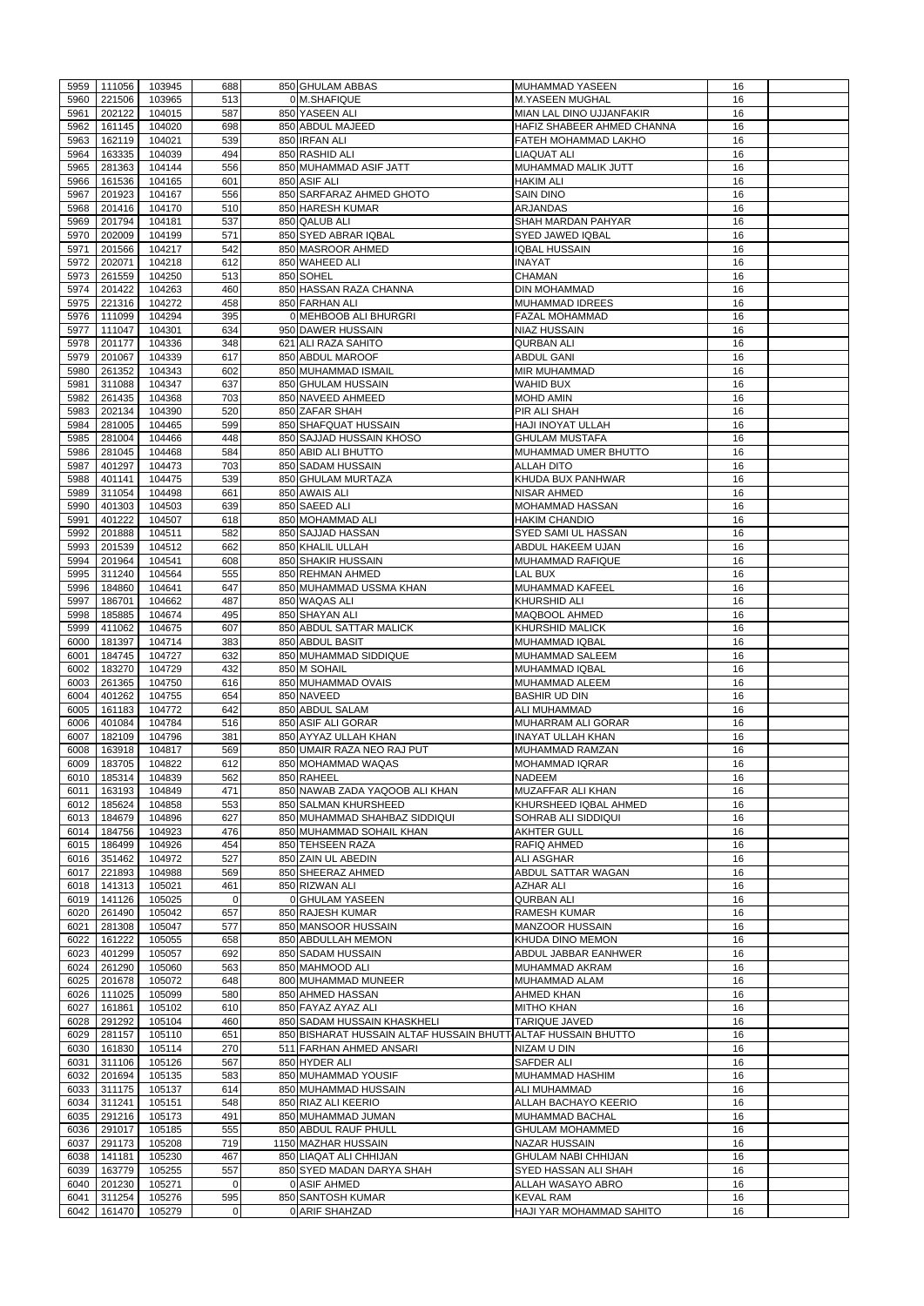| 5959         | 111056           | 103945             | 688                   | 850 GHULAM ABBAS                                              | MUHAMMAD YASEEN                              | 16       |  |
|--------------|------------------|--------------------|-----------------------|---------------------------------------------------------------|----------------------------------------------|----------|--|
|              | 221506           |                    | 513                   |                                                               | <b>M.YASEEN MUGHAL</b>                       |          |  |
| 5960         |                  | 103965             |                       | 0 M.SHAFIQUE                                                  |                                              | 16       |  |
| 5961         | 202122           | 104015             | 587                   | 850 YASEEN ALI                                                | MIAN LAL DINO UJJANFAKIR                     | 16       |  |
| 5962         | 161145           | 104020             | 698                   | 850 ABDUL MAJEED                                              | HAFIZ SHABEER AHMED CHANNA                   | 16       |  |
| 5963         | 162119           | 104021             | 539                   | 850 IRFAN ALI                                                 | FATEH MOHAMMAD LAKHO                         | 16       |  |
| 5964         | 163335           | 104039             | 494                   | 850 RASHID ALI                                                | <b>LIAQUAT ALI</b>                           | 16       |  |
| 5965         | 281363           | 104144             | 556                   | 850 MUHAMMAD ASIF JATT                                        | MUHAMMAD MALIK JUTT                          | 16       |  |
| 5966         | 161536           | 104165             | 601                   | 850 ASIF ALI                                                  | <b>HAKIM ALI</b>                             | 16       |  |
|              |                  |                    |                       |                                                               |                                              |          |  |
| 5967         | 201923           | 104167             | 556                   | 850 SARFARAZ AHMED GHOTO                                      | <b>SAIN DINO</b>                             | 16       |  |
| 5968         | 201416           | 104170             | 510                   | 850 HARESH KUMAR                                              | <b>ARJANDAS</b>                              | 16       |  |
| 5969         | 201794           | 104181             | 537                   | 850 QALUB ALI                                                 | SHAH MARDAN PAHYAR                           | 16       |  |
| 5970         | 202009           | 104199             | 571                   | 850 SYED ABRAR IQBAL                                          | SYED JAWED IQBAL                             | 16       |  |
| 5971         | 201566           | 104217             | 542                   | 850 MASROOR AHMED                                             | <b>IQBAL HUSSAIN</b>                         | 16       |  |
| 5972         | 202071           | 104218             | 612                   | 850 WAHEED ALI                                                | <b>INAYAT</b>                                | 16       |  |
| 5973         | 261559           | 104250             | 513                   | 850 SOHEL                                                     | <b>CHAMAN</b>                                | 16       |  |
|              |                  |                    |                       |                                                               |                                              |          |  |
| 5974         | 201422           | 104263             | 460                   | 850 HASSAN RAZA CHANNA                                        | <b>DIN MOHAMMAD</b>                          | 16       |  |
| 5975         | 221316           | 104272             | 458                   | 850 FARHAN ALI                                                | <b>MUHAMMAD IDREES</b>                       | 16       |  |
| 5976         | 111099           | 104294             | 395                   | 0 MEHBOOB ALI BHURGRI                                         | <b>FAZAL MOHAMMAD</b>                        | 16       |  |
| 5977         | 111047           | 104301             | 634                   | 950 DAWER HUSSAIN                                             | <b>NIAZ HUSSAIN</b>                          | 16       |  |
| 5978         | 201177           | 104336             | 348                   | 621 ALI RAZA SAHITO                                           | <b>QURBAN ALI</b>                            | 16       |  |
| 5979         | 201067           | 104339             | 617                   | 850 ABDUL MAROOF                                              | <b>ABDUL GANI</b>                            | 16       |  |
| 5980         | 261352           | 104343             | 602                   | 850 MUHAMMAD ISMAIL                                           | <b>MIR MUHAMMAD</b>                          | 16       |  |
|              |                  |                    |                       |                                                               |                                              |          |  |
| 5981         | 311088           | 104347             | 637                   | 850 GHULAM HUSSAIN                                            | <b>WAHID BUX</b>                             | 16       |  |
| 5982         | 261435           | 104368             | 703                   | 850 NAVEED AHMEED                                             | <b>MOHD AMIN</b>                             | 16       |  |
| 5983         | 202134           | 104390             | 520                   | 850 ZAFAR SHAH                                                | PIR ALI SHAH                                 | 16       |  |
| 5984         | 281005           | 104465             | 599                   | 850 SHAFQUAT HUSSAIN                                          | <b>HAJI INOYAT ULLAH</b>                     | 16       |  |
| 5985         | 281004           | 104466             | 448                   | 850 SAJJAD HUSSAIN KHOSO                                      | <b>GHULAM MUSTAFA</b>                        | 16       |  |
| 5986         | 281045           | 104468             | 584                   | 850 ABID ALI BHUTTO                                           | MUHAMMAD UMER BHUTTO                         | 16       |  |
| 5987         | 401297           | 104473             | 703                   | 850 SADAM HUSSAIN                                             | <b>ALLAH DITO</b>                            | 16       |  |
|              |                  |                    |                       |                                                               |                                              |          |  |
| 5988         | 401141           | 104475             | 539                   | 850 GHULAM MURTAZA                                            | KHUDA BUX PANHWAR                            | 16       |  |
| 5989         | 311054           | 104498             | 661                   | 850 AWAIS ALI                                                 | <b>NISAR AHMED</b>                           | 16       |  |
| 5990         | 401303           | 104503             | 639                   | 850 SAEED ALI                                                 | <b>MOHAMMAD HASSAN</b>                       | 16       |  |
| 5991         | 401222           | 104507             | 618                   | 850 MOHAMMAD ALI                                              | <b>HAKIM CHANDIO</b>                         | 16       |  |
| 5992         | 201888           | 104511             | 582                   | 850 SAJJAD HASSAN                                             | SYED SAMI UL HASSAN                          | 16       |  |
| 5993         | 201539           | 104512             | 662                   | 850 KHALIL ULLAH                                              | <b>ABDUL HAKEEM UJAN</b>                     | 16       |  |
| 5994         | 201964           | 104541             | 608                   | 850 SHAKIR HUSSAIN                                            | <b>MUHAMMAD RAFIQUE</b>                      | 16       |  |
|              |                  |                    |                       |                                                               |                                              |          |  |
| 5995         | 311240           | 104564             | 555                   | 850 REHMAN AHMED                                              | <b>LAL BUX</b>                               | 16       |  |
| 5996         | 184860           | 104641             | 647                   | 850 MUHAMMAD USSMA KHAN                                       | MUHAMMAD KAFEEL                              | 16       |  |
| 5997         | 186701           | 104662             | 487                   | 850 WAQAS ALI                                                 | <b>KHURSHID ALI</b>                          | 16       |  |
| 5998         | 185885           | 104674             | 495                   | 850 SHAYAN ALI                                                | MAQBOOL AHMED                                | 16       |  |
| 5999         | 411062           | 104675             | 607                   | 850 ABDUL SATTAR MALICK                                       | <b>KHURSHID MALICK</b>                       | 16       |  |
| 6000         | 181397           | 104714             | 383                   | 850 ABDUL BASIT                                               | MUHAMMAD IQBAL                               | 16       |  |
|              |                  |                    |                       |                                                               |                                              |          |  |
|              |                  |                    |                       |                                                               |                                              |          |  |
| 6001         | 184745           | 104727             | 632                   | 850 MUHAMMAD SIDDIQUE                                         | <b>MUHAMMAD SALEEM</b>                       | 16       |  |
| 6002         | 183270           | 104729             | 432                   | 850 M SOHAIL                                                  | <b>MUHAMMAD IQBAL</b>                        | 16       |  |
| 6003         | 261365           | 104750             | 616                   | 850 MUHAMMAD OVAIS                                            | MUHAMMAD ALEEM                               | 16       |  |
| 6004         | 401262           | 104755             | 654                   | 850 NAVEED                                                    | <b>BASHIR UD DIN</b>                         | 16       |  |
|              |                  |                    | 642                   | 850 ABDUL SALAM                                               |                                              |          |  |
| 6005         | 161183           | 104772             |                       |                                                               | <b>ALI MUHAMMAD</b>                          | 16       |  |
| 6006         | 401084           | 104784             | 516                   | 850 ASIF ALI GORAR                                            | MUHARRAM ALI GORAR                           | 16       |  |
| 6007         | 182109           | 104796             | 381                   | 850 AYYAZ ULLAH KHAN                                          | <b>INAYAT ULLAH KHAN</b>                     | 16       |  |
| 6008         | 163918           | 104817             | 569                   | 850 UMAIR RAZA NEO RAJ PUT                                    | MUHAMMAD RAMZAN                              | 16       |  |
| 6009         | 183705           | 104822             | 612                   | 850 MOHAMMAD WAQAS                                            | <b>MOHAMMAD IQRAR</b>                        | 16       |  |
| 6010         | 185314           | 104839             | 562                   | 850 RAHEEL                                                    | <b>NADEEM</b>                                | 16       |  |
| 6011         | 163193           | 104849             | 471                   | 850 NAWAB ZADA YAQOOB ALI KHAN                                | MUZAFFAR ALI KHAN                            | 16       |  |
| 6012         | 185624           | 104858             | 553                   | 850 SALMAN KHURSHEED                                          | KHURSHEED IQBAL AHMED                        | 16       |  |
| 6013         | 184679           | 104896             | 627                   | 850 MUHAMMAD SHAHBAZ SIDDIQUI                                 | SOHRAB ALI SIDDIQUI                          | 16       |  |
|              |                  |                    |                       |                                                               |                                              |          |  |
| 6014         | 184756           | 104923             | 476                   | 850 MUHAMMAD SOHAIL KHAN                                      | <b>AKHTER GULL</b>                           | 16       |  |
| 6015         | 186499           | 104926             | 454                   | 850 TEHSEEN RAZA                                              | <b>RAFIQ AHMED</b>                           | 16       |  |
| 6016         | 351462           | 104972             | 527                   | 850 ZAIN UL ABEDIN                                            | <b>ALI ASGHAR</b>                            | 16       |  |
| 6017         | 221893           | 104988             | 569                   | 850 SHEERAZ AHMED                                             | ABDUL SATTAR WAGAN                           | 16       |  |
| 6018         | 141313           | 105021             | 461                   | 850 RIZWAN ALI                                                | <b>AZHAR ALI</b>                             | 16       |  |
| 6019         | 141126           | 105025             | $\mathbf 0$           | 0 GHULAM YASEEN                                               | <b>QURBAN ALI</b>                            | 16       |  |
| 6020         | 261490           | 105042             | 657                   | 850 RAJESH KUMAR                                              | <b>RAMESH KUMAR</b>                          | 16       |  |
| 6021         | 281308           | 105047             | 577                   | 850 MANSOOR HUSSAIN                                           | <b>MANZOOR HUSSAIN</b>                       | 16       |  |
|              |                  |                    |                       |                                                               |                                              |          |  |
| 6022         | 161222           | 105055             | 658                   | 850 ABDULLAH MEMON                                            | <b>KHUDA DINO MEMON</b>                      | 16       |  |
| 6023         | 401299           | 105057             | 692                   | 850 SADAM HUSSAIN                                             | ABDUL JABBAR EANHWER                         | 16       |  |
| 6024         | 261290           | 105060             | 563                   | 850 MAHMOOD ALI                                               | MUHAMMAD AKRAM                               | 16       |  |
| 6025         | 201678           | 105072             | 648                   | 800 MUHAMMAD MUNEER                                           | <b>MUHAMMAD ALAM</b>                         | 16       |  |
| 6026         | 111025           | 105099             | 580                   | 850 AHMED HASSAN                                              | <b>AHMED KHAN</b>                            | 16       |  |
| 6027         | 161861           | 105102             | 610                   | 850 FAYAZ AYAZ ALI                                            | <b>MITHO KHAN</b>                            | 16       |  |
| 6028         | 291292           | 105104             | 460                   | 850 SADAM HUSSAIN KHASKHELI                                   | <b>TARIQUE JAVED</b>                         | 16       |  |
| 6029         | 281157           | 105110             | 651                   | 850 BISHARAT HUSSAIN ALTAF HUSSAIN BHUTT ALTAF HUSSAIN BHUTTO |                                              | 16       |  |
|              |                  |                    |                       |                                                               |                                              |          |  |
| 6030         | 161830           | 105114             | 270                   | 511 FARHAN AHMED ANSARI                                       | NIZAM U DIN                                  | 16       |  |
|              |                  | 6031 311106 105126 | 567                   | 850 HYDER ALI                                                 | <b>SAFDER ALI</b>                            | 16       |  |
| 6032         | 201694           | 105135             | 583                   | 850 MUHAMMAD YOUSIF                                           | <b>MUHAMMAD HASHIM</b>                       | 16       |  |
| 6033         | 311175           | 105137             | 614                   | 850 MUHAMMAD HUSSAIN                                          | ALI MUHAMMAD                                 | 16       |  |
| 6034         | 311241           | 105151             | 548                   | 850 RIAZ ALI KEERIO                                           | ALLAH BACHAYO KEERIO                         | 16       |  |
| 6035         | 291216           | 105173             | 491                   | 850 MUHAMMAD JUMAN                                            | <b>MUHAMMAD BACHAL</b>                       | 16       |  |
| 6036         | 291017           | 105185             | 555                   | 850 ABDUL RAUF PHULL                                          | <b>GHULAM MOHAMMED</b>                       | 16       |  |
|              |                  |                    |                       |                                                               |                                              |          |  |
| 6037         | 291173           | 105208             | 719                   | 1150 MAZHAR HUSSAIN                                           | <b>NAZAR HUSSAIN</b>                         | 16       |  |
| 6038         | 141181           | 105230             | 467                   | 850 LIAQAT ALI CHHIJAN                                        | <b>GHULAM NABI CHHIJAN</b>                   | 16       |  |
| 6039         | 163779           | 105255             | 557                   | 850 SYED MADAN DARYA SHAH                                     | SYED HASSAN ALI SHAH                         | 16       |  |
| 6040         | 201230           | 105271             | $\Omega$              | 0 ASIF AHMED                                                  | ALLAH WASAYO ABRO                            | 16       |  |
| 6041<br>6042 | 311254<br>161470 | 105276<br>105279   | 595<br>$\overline{0}$ | 850 SANTOSH KUMAR<br>0 ARIF SHAHZAD                           | <b>KEVAL RAM</b><br>HAJI YAR MOHAMMAD SAHITO | 16<br>16 |  |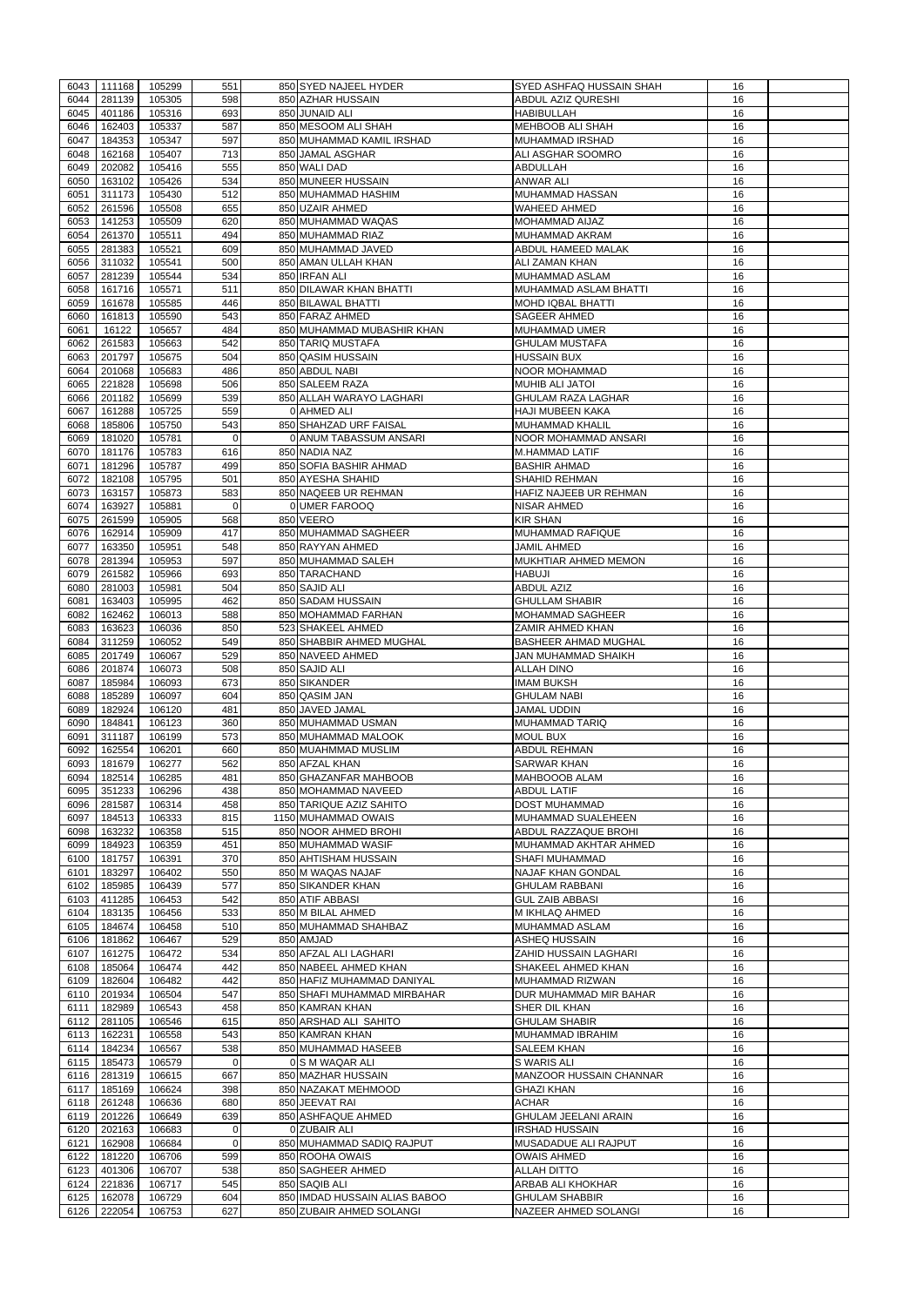| 6043         | 111168           | 105299           | 551            | 850 SYED NAJEEL HYDER                                     | <b>SYED ASHFAQ HUSSAIN SHAH</b>               | 16       |  |
|--------------|------------------|------------------|----------------|-----------------------------------------------------------|-----------------------------------------------|----------|--|
|              |                  |                  |                |                                                           |                                               |          |  |
| 6044         | 281139           | 105305           | 598            | 850 AZHAR HUSSAIN                                         | <b>ABDUL AZIZ QURESHI</b>                     | 16       |  |
| 6045         | 401186           | 105316           | 693            | 850 JUNAID ALI                                            | <b>HABIBULLAH</b>                             | 16       |  |
| 6046         | 162403           | 105337           | 587            | 850 MESOOM ALI SHAH                                       | <b>MEHBOOB ALI SHAH</b>                       | 16       |  |
| 6047         | 184353           | 105347           | 597            | 850 MUHAMMAD KAMIL IRSHAD                                 | <b>MUHAMMAD IRSHAD</b>                        | 16       |  |
|              |                  |                  |                |                                                           |                                               |          |  |
| 6048         | 162168           | 105407           | 713            | 850 JAMAL ASGHAR                                          | ALI ASGHAR SOOMRO                             | 16       |  |
| 6049         | 202082           | 105416           | 555            | 850 WALI DAD                                              | ABDULLAH                                      | 16       |  |
| 6050         | 163102           | 105426           | 534            | 850 MUNEER HUSSAIN                                        | <b>ANWAR ALI</b>                              | 16       |  |
| 6051         | 311173           | 105430           | 512            | 850 MUHAMMAD HASHIM                                       | MUHAMMAD HASSAN                               | 16       |  |
|              |                  |                  |                |                                                           |                                               |          |  |
| 6052         | 261596           | 105508           | 655            | 850 UZAIR AHMED                                           | <b>WAHEED AHMED</b>                           | 16       |  |
| 6053         | 141253           | 105509           | 620            | 850 MUHAMMAD WAQAS                                        | MOHAMMAD AIJAZ                                | 16       |  |
| 6054         | 261370           | 105511           | 494            | 850 MUHAMMAD RIAZ                                         | <b>MUHAMMAD AKRAM</b>                         | 16       |  |
| 6055         | 281383           | 105521           | 609            | 850 MUHAMMAD JAVED                                        | ABDUL HAMEED MALAK                            | 16       |  |
| 6056         | 311032           | 105541           | 500            | 850 AMAN ULLAH KHAN                                       | <b>ALI ZAMAN KHAN</b>                         | 16       |  |
|              |                  |                  |                |                                                           |                                               |          |  |
| 6057         | 281239           | 105544           | 534            | 850 IRFAN ALI                                             | <b>MUHAMMAD ASLAM</b>                         | 16       |  |
| 6058         | 161716           | 105571           | 511            | 850 DILAWAR KHAN BHATTI                                   | MUHAMMAD ASLAM BHATTI                         | 16       |  |
| 6059         | 161678           | 105585           | 446            | 850 BILAWAL BHATTI                                        | <b>MOHD IQBAL BHATTI</b>                      | 16       |  |
| 6060         | 161813           | 105590           | 543            | 850 FARAZ AHMED                                           | <b>SAGEER AHMED</b>                           | 16       |  |
| 6061         | 16122            | 105657           | 484            | 850 MUHAMMAD MUBASHIR KHAN                                | MUHAMMAD UMER                                 | 16       |  |
|              |                  |                  |                |                                                           |                                               |          |  |
| 6062         | 261583           | 105663           | 542            | 850 TARIQ MUSTAFA                                         | <b>GHULAM MUSTAFA</b>                         | 16       |  |
| 6063         | 201797           | 105675           | 504            | 850 QASIM HUSSAIN                                         | <b>HUSSAIN BUX</b>                            | 16       |  |
| 6064         | 201068           | 105683           | 486            | 850 ABDUL NABI                                            | <b>NOOR MOHAMMAD</b>                          | 16       |  |
| 6065         | 221828           | 105698           | 506            | 850 SALEEM RAZA                                           | <b>MUHIB ALI JATOI</b>                        | 16       |  |
|              |                  |                  |                |                                                           |                                               |          |  |
| 6066         | 201182           | 105699           | 539            | 850 ALLAH WARAYO LAGHARI                                  | <b>GHULAM RAZA LAGHAR</b>                     | 16       |  |
| 6067         | 161288           | 105725           | 559            | 0 AHMED ALI                                               | <b>HAJI MUBEEN KAKA</b>                       | 16       |  |
| 6068         | 185806           | 105750           | 543            | 850 SHAHZAD URF FAISAL                                    | <b>MUHAMMAD KHALIL</b>                        | 16       |  |
| 6069         | 181020           | 105781           | $\Omega$       | 0 ANUM TABASSUM ANSARI                                    | NOOR MOHAMMAD ANSARI                          | 16       |  |
| 6070         | 181176           | 105783           | 616            | 850 NADIA NAZ                                             | <b>M.HAMMAD LATIF</b>                         | 16       |  |
|              |                  |                  |                |                                                           |                                               |          |  |
| 6071         | 181296           | 105787           | 499            | 850 SOFIA BASHIR AHMAD                                    | <b>BASHIR AHMAD</b>                           | 16       |  |
| 6072         | 182108           | 105795           | 501            | 850 AYESHA SHAHID                                         | <b>SHAHID REHMAN</b>                          | 16       |  |
| 6073         | 163157           | 105873           | 583            | 850 NAQEEB UR REHMAN                                      | HAFIZ NAJEEB UR REHMAN                        | 16       |  |
| 6074         | 163927           | 105881           | $\mathbf 0$    | 0 UMER FAROOQ                                             | <b>NISAR AHMED</b>                            | 16       |  |
|              |                  |                  |                |                                                           |                                               | 16       |  |
| 6075         | 261599           | 105905           | 568            | 850 VEERO                                                 | <b>KIR SHAN</b>                               |          |  |
| 6076         | 162914           | 105909           | 417            | 850 MUHAMMAD SAGHEER                                      | MUHAMMAD RAFIQUE                              | 16       |  |
| 6077         | 163350           | 105951           | 548            | 850 RAYYAN AHMED                                          | <b>JAMIL AHMED</b>                            | 16       |  |
| 6078         | 281394           | 105953           | 597            | 850 MUHAMMAD SALEH                                        | MUKHTIAR AHMED MEMON                          | 16       |  |
| 6079         | 261582           | 105966           | 693            | 850 TARACHAND                                             | <b>HABUJI</b>                                 | 16       |  |
|              | 281003           | 105981           | 504            | 850 SAJID ALI                                             | <b>ABDUL AZIZ</b>                             | 16       |  |
| 6080         |                  |                  |                |                                                           |                                               |          |  |
| 6081         | 163403           | 105995           | 462            | 850 SADAM HUSSAIN                                         | <b>GHULLAM SHABIR</b>                         | 16       |  |
| 6082         | 162462           | 106013           | 588            | 850 MOHAMMAD FARHAN                                       | <b>MOHAMMAD SAGHEER</b>                       | 16       |  |
| 6083         | 163623           | 106036           | 850            | 523 SHAKEEL AHMED                                         | ZAMIR AHMED KHAN                              | 16       |  |
| 6084         | 311259           | 106052           | 549            | 850 SHABBIR AHMED MUGHAL                                  | <b>BASHEER AHMAD MUGHAL</b>                   | 16       |  |
| 6085         | 201749           | 106067           | 529            | 850 NAVEED AHMED                                          | JAN MUHAMMAD SHAIKH                           | 16       |  |
|              |                  |                  |                |                                                           |                                               |          |  |
| 6086         | 201874           | 106073           | 508            | 850 SAJID ALI                                             | <b>ALLAH DINO</b>                             | 16       |  |
| 6087         | 185984           | 106093           | 673            | 850 SIKANDER                                              | <b>IMAM BUKSH</b>                             | 16       |  |
| 6088         | 185289           | 106097           | 604            | 850 QASIM JAN                                             | <b>GHULAM NABI</b>                            | 16       |  |
| 6089         | 182924           | 106120           | 481            | 850 JAVED JAMAL                                           | <b>JAMAL UDDIN</b>                            | 16       |  |
| 6090         | 184841           | 106123           | 360            | 850 MUHAMMAD USMAN                                        | <b>MUHAMMAD TARIQ</b>                         | 16       |  |
|              |                  |                  |                |                                                           |                                               |          |  |
| 6091         | 311187           | 106199           | 573            | 850 MUHAMMAD MALOOK                                       | <b>MOUL BUX</b>                               | 16       |  |
| 6092         | 162554           | 106201           | 660            | 850 MUAHMMAD MUSLIM                                       | <b>ABDUL REHMAN</b>                           | 16       |  |
| 6093         | 181679           | 106277           | 562            | 850 AFZAL KHAN                                            | <b>SARWAR KHAN</b>                            | 16       |  |
| 6094         | 182514           | 106285           | 481            | 850 GHAZANFAR MAHBOOB                                     | <b>MAHBOOOB ALAM</b>                          | 16       |  |
| 6095         | 351233           | 106296           | 438            | 850 MOHAMMAD NAVEED                                       | <b>ABDUL LATIF</b>                            | 16       |  |
|              |                  |                  | 458            |                                                           |                                               |          |  |
| 6096         | 281587           | 106314           |                | 850 TARIQUE AZIZ SAHITO                                   | <b>DOST MUHAMMAD</b>                          | 16       |  |
| 6097         | 184513           | 106333           | 815            | 1150 MUHAMMAD OWAIS                                       | <b>MUHAMMAD SUALEHEEN</b>                     | 16       |  |
| 6098         | 163232           | 106358           | 515            | 850 NOOR AHMED BROHI                                      | ABDUL RAZZAQUE BROHI                          | 16       |  |
| 6099         | 184923           | 106359           | 451            | 850 MUHAMMAD WASIF                                        | MUHAMMAD AKHTAR AHMED                         | 16       |  |
| 6100         | 181757           | 106391           | 370            | 850 AHTISHAM HUSSAIN                                      | SHAFI MUHAMMAD                                | 16       |  |
|              |                  |                  |                |                                                           |                                               |          |  |
| 6101         | 183297           | 106402           | 550            | 850 M WAQAS NAJAF                                         | NAJAF KHAN GONDAL                             | 16       |  |
| 6102         | 185985           | 106439           | 577            | 850 SIKANDER KHAN                                         | <b>GHULAM RABBANI</b>                         | 16       |  |
| 6103         | 411285           | 106453           | 542            | 850 ATIF ABBASI                                           | <b>GUL ZAIB ABBASI</b>                        | 16       |  |
| 6104         | 183135           | 106456           | 533            | 850 M BILAL AHMED                                         | M IKHLAQ AHMED                                | 16       |  |
| 6105         | 184674           | 106458           | 510            | 850 MUHAMMAD SHAHBAZ                                      | MUHAMMAD ASLAM                                | 16       |  |
|              |                  |                  |                |                                                           |                                               |          |  |
| 6106         | 181862           | 106467           | 529            | 850 AMJAD                                                 | ASHEQ HUSSAIN                                 | 16       |  |
| 6107         | 161275           | 106472           | 534            | 850 AFZAL ALI LAGHARI                                     | ZAHID HUSSAIN LAGHARI                         | 16       |  |
| 6108         | 185064           | 106474           | 442            | 850 NABEEL AHMED KHAN                                     | SHAKEEL AHMED KHAN                            | 16       |  |
| 6109         | 182604           | 106482           | 442            | 850 HAFIZ MUHAMMAD DANIYAL                                | MUHAMMAD RIZWAN                               | 16       |  |
| 6110         | 201934           | 106504           | 547            | 850 SHAFI MUHAMMAD MIRBAHAR                               | DUR MUHAMMAD MIR BAHAR                        | 16       |  |
|              |                  |                  |                |                                                           |                                               |          |  |
| 6111         | 182989           | 106543           | 458            | 850 KAMRAN KHAN                                           | SHER DIL KHAN                                 | 16       |  |
| 6112         | 281105           | 106546           | 615            | 850 ARSHAD ALI SAHITO                                     | <b>GHULAM SHABIR</b>                          | 16       |  |
| 6113         | 162231           | 106558           | 543            | 850 KAMRAN KHAN                                           | MUHAMMAD IBRAHIM                              | 16       |  |
| 6114         | 184234           | 106567           | 538            | 850 MUHAMMAD HASEEB                                       | <b>SALEEM KHAN</b>                            | 16       |  |
|              | 6115 185473      | 106579           | $\overline{0}$ | 0 S M WAQAR ALI                                           | S WARIS ALI                                   |          |  |
|              |                  |                  |                |                                                           |                                               | 16       |  |
| 6116         | 281319           | 106615           | 667            | 850 MAZHAR HUSSAIN                                        | <b>MANZOOR HUSSAIN CHANNAR</b>                | 16       |  |
| 6117         | 185169           | 106624           | 398            | 850 NAZAKAT MEHMOOD                                       | <b>GHAZI KHAN</b>                             | 16       |  |
| 6118         | 261248           | 106636           | 680            | 850 JEEVAT RAI                                            | <b>ACHAR</b>                                  | 16       |  |
| 6119         | 201226           | 106649           | 639            | 850 ASHFAQUE AHMED                                        | <b>GHULAM JEELANI ARAIN</b>                   | 16       |  |
| 6120         | 202163           | 106683           | 0              | 0 ZUBAIR ALI                                              | <b>IRSHAD HUSSAIN</b>                         | 16       |  |
|              |                  |                  |                |                                                           |                                               |          |  |
| 6121         |                  | 106684           | $\overline{0}$ | 850 MUHAMMAD SADIQ RAJPUT                                 | MUSADADUE ALI RAJPUT                          | 16       |  |
|              | 162908           |                  |                |                                                           | <b>OWAIS AHMED</b>                            | 16       |  |
| 6122         | 181220           | 106706           | 599            | 850 ROOHA OWAIS                                           |                                               |          |  |
| 6123         | 401306           | 106707           | 538            | 850 SAGHEER AHMED                                         | <b>ALLAH DITTO</b>                            | 16       |  |
| 6124         |                  |                  |                | 850 SAQIB ALI                                             | ARBAB ALI KHOKHAR                             | 16       |  |
|              | 221836           | 106717           | 545            |                                                           |                                               |          |  |
| 6125<br>6126 | 162078<br>222054 | 106729<br>106753 | 604<br>627     | 850 IMDAD HUSSAIN ALIAS BABOO<br>850 ZUBAIR AHMED SOLANGI | <b>GHULAM SHABBIR</b><br>NAZEER AHMED SOLANGI | 16<br>16 |  |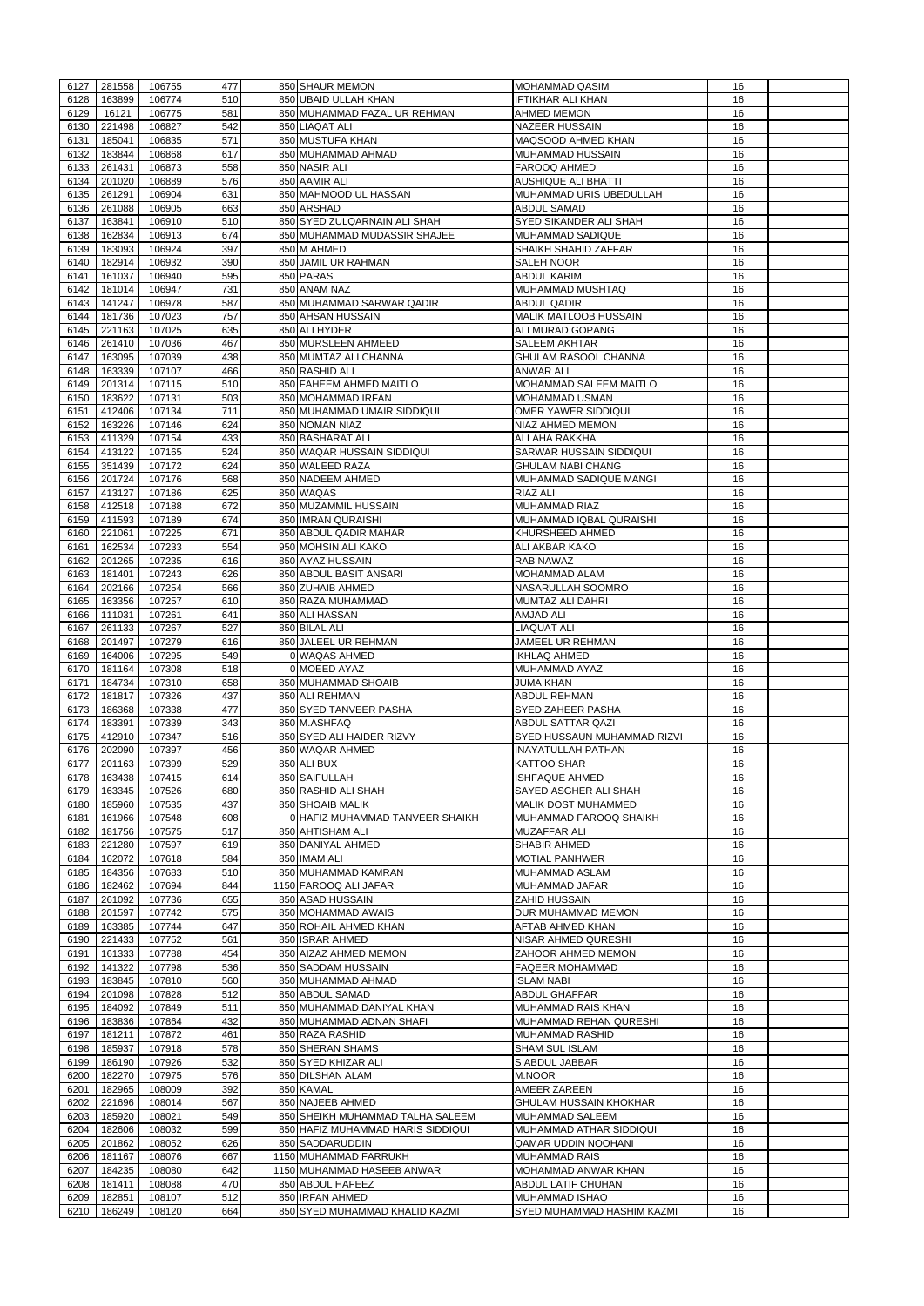| 6127         | 281558           | 106755             | 477        | 850 SHAUR MEMON                                   | <b>MOHAMMAD QASIM</b>                               | 16       |  |
|--------------|------------------|--------------------|------------|---------------------------------------------------|-----------------------------------------------------|----------|--|
|              |                  |                    | 510        |                                                   | <b>IFTIKHAR ALI KHAN</b>                            | 16       |  |
| 6128         | 163899           | 106774             |            | 850 UBAID ULLAH KHAN                              |                                                     |          |  |
| 6129         | 16121            | 106775             | 581        | 850 MUHAMMAD FAZAL UR REHMAN                      | <b>AHMED MEMON</b>                                  | 16       |  |
| 6130         | 221498           | 106827             | 542        | 850 LIAQAT ALI                                    | <b>NAZEER HUSSAIN</b>                               | 16       |  |
| 6131         | 185041           | 106835             | 571        | 850 MUSTUFA KHAN                                  | <b>MAQSOOD AHMED KHAN</b>                           | 16       |  |
| 6132         | 183844           | 106868             | 617        | 850 MUHAMMAD AHMAD                                | <b>MUHAMMAD HUSSAIN</b>                             | 16       |  |
|              |                  |                    |            |                                                   |                                                     |          |  |
| 6133         | 261431           | 106873             | 558        | 850 NASIR ALI                                     | <b>FAROOQ AHMED</b>                                 | 16       |  |
| 6134         | 201020           | 106889             | 576        | 850 AAMIR ALI                                     | <b>AUSHIQUE ALI BHATTI</b>                          | 16       |  |
| 6135         | 261291           | 106904             | 631        | 850 MAHMOOD UL HASSAN                             | MUHAMMAD URIS UBEDULLAH                             | 16       |  |
| 6136         | 261088           | 106905             | 663        | 850 ARSHAD                                        | <b>ABDUL SAMAD</b>                                  | 16       |  |
|              |                  |                    |            |                                                   |                                                     |          |  |
| 6137         | 163841           | 106910             | 510        | 850 SYED ZULQARNAIN ALI SHAH                      | <b>SYED SIKANDER ALI SHAH</b>                       | 16       |  |
| 6138         | 162834           | 106913             | 674        | 850 MUHAMMAD MUDASSIR SHAJEE                      | <b>MUHAMMAD SADIQUE</b>                             | 16       |  |
| 6139         | 183093           | 106924             | 397        | 850 M AHMED                                       | <b>SHAIKH SHAHID ZAFFAR</b>                         | 16       |  |
| 6140         | 182914           | 106932             | 390        | 850 JAMIL UR RAHMAN                               | <b>SALEH NOOR</b>                                   | 16       |  |
|              |                  |                    |            |                                                   |                                                     |          |  |
| 6141         | 161037           | 106940             | 595        | 850 PARAS                                         | <b>ABDUL KARIM</b>                                  | 16       |  |
| 6142         | 181014           | 106947             | 731        | 850 ANAM NAZ                                      | MUHAMMAD MUSHTAQ                                    | 16       |  |
| 6143         | 141247           | 106978             | 587        | 850 MUHAMMAD SARWAR QADIR                         | <b>ABDUL QADIR</b>                                  | 16       |  |
| 6144         | 181736           | 107023             | 757        | 850 AHSAN HUSSAIN                                 | <b>MALIK MATLOOB HUSSAIN</b>                        | 16       |  |
|              |                  |                    |            |                                                   |                                                     |          |  |
| 6145         | 221163           | 107025             | 635        | 850 ALI HYDER                                     | ALI MURAD GOPANG                                    | 16       |  |
| 6146         | 261410           | 107036             | 467        | 850 MURSLEEN AHMEED                               | <b>SALEEM AKHTAR</b>                                | 16       |  |
| 6147         | 163095           | 107039             | 438        | 850 MUMTAZ ALI CHANNA                             | <b>GHULAM RASOOL CHANNA</b>                         | 16       |  |
| 6148         | 163339           | 107107             | 466        | 850 RASHID ALI                                    | <b>ANWAR ALI</b>                                    | 16       |  |
|              |                  |                    |            |                                                   |                                                     |          |  |
| 6149         | 201314           | 107115             | 510        | 850 FAHEEM AHMED MAITLO                           | <b>MOHAMMAD SALEEM MAITLO</b>                       | 16       |  |
| 6150         | 183622           | 107131             | 503        | 850 MOHAMMAD IRFAN                                | <b>MOHAMMAD USMAN</b>                               | 16       |  |
| 6151         | 412406           | 107134             | 711        | 850 MUHAMMAD UMAIR SIDDIQUI                       | OMER YAWER SIDDIQUI                                 | 16       |  |
| 6152         | 163226           | 107146             | 624        | 850 NOMAN NIAZ                                    | NIAZ AHMED MEMON                                    | 16       |  |
|              |                  |                    |            |                                                   |                                                     |          |  |
| 6153         | 411329           | 107154             | 433        | 850 BASHARAT ALI                                  | <b>ALLAHA RAKKHA</b>                                | 16       |  |
| 6154         | 413122           | 107165             | 524        | 850 WAQAR HUSSAIN SIDDIQUI                        | <b>SARWAR HUSSAIN SIDDIQUI</b>                      | 16       |  |
| 6155         | 351439           | 107172             | 624        | 850 WALEED RAZA                                   | <b>GHULAM NABI CHANG</b>                            | 16       |  |
| 6156         | 201724           | 107176             | 568        | 850 NADEEM AHMED                                  | MUHAMMAD SADIQUE MANGI                              | 16       |  |
|              |                  |                    |            |                                                   |                                                     |          |  |
| 6157         | 413127           | 107186             | 625        | 850 WAQAS                                         | <b>RIAZ ALI</b>                                     | 16       |  |
| 6158         | 412518           | 107188             | 672        | 850 MUZAMMIL HUSSAIN                              | MUHAMMAD RIAZ                                       | 16       |  |
| 6159         | 411593           | 107189             | 674        | 850 IMRAN QURAISHI                                | MUHAMMAD IQBAL QURAISHI                             | 16       |  |
| 6160         | 221061           | 107225             | 671        | 850 ABDUL QADIR MAHAR                             | KHURSHEED AHMED                                     | 16       |  |
|              |                  |                    |            |                                                   |                                                     |          |  |
| 6161         | 162534           | 107233             | 554        | 950 MOHSIN ALI KAKO                               | <b>ALI AKBAR KAKO</b>                               | 16       |  |
|              | 6162 201265      | 107235             | 616        | 850 AYAZ HUSSAIN                                  | <b>RAB NAWAZ</b>                                    | 16       |  |
|              | 6163 181401      | 107243             | 626        | 850 ABDUL BASIT ANSARI                            | <b>MOHAMMAD ALAM</b>                                | 16       |  |
| 6164         | 202166           | 107254             | 566        | 850 ZUHAIB AHMED                                  | NASARULLAH SOOMRO                                   | 16       |  |
|              |                  |                    |            |                                                   |                                                     |          |  |
| 6165         | 163356           | 107257             | 610        | 850 RAZA MUHAMMAD                                 | <b>MUMTAZ ALI DAHRI</b>                             | 16       |  |
| 6166         | 111031           | 107261             | 641        | 850 ALI HASSAN                                    | <b>AMJAD ALI</b>                                    | 16       |  |
| 6167         | 261133           | 107267             | 527        | 850 BILAL ALI                                     | <b>LIAQUAT ALI</b>                                  | 16       |  |
|              |                  |                    |            |                                                   |                                                     |          |  |
| 6168         | 201497           | 107279             | 616        | 850 JALEEL UR REHMAN                              | JAMEEL UR REHMAN                                    | 16       |  |
| 6169         | 164006           | 107295             | 549        | 0 WAQAS AHMED                                     | <b>IKHLAQ AHMED</b>                                 | 16       |  |
| 6170         | 181164           | 107308             | 518        | 0 MOEED AYAZ                                      | MUHAMMAD AYAZ                                       | 16       |  |
| 6171         | 184734           | 107310             | 658        | 850 MUHAMMAD SHOAIB                               | <b>JUMA KHAN</b>                                    | 16       |  |
|              |                  |                    |            |                                                   |                                                     |          |  |
| 6172         | 181817           | 107326             | 437        | 850 ALI REHMAN                                    | <b>ABDUL REHMAN</b>                                 | 16       |  |
|              |                  |                    |            |                                                   |                                                     |          |  |
| 6173         | 186368           | 107338             | 477        | 850 SYED TANVEER PASHA                            | <b>SYED ZAHEER PASHA</b>                            | 16       |  |
|              |                  |                    |            |                                                   |                                                     |          |  |
| 6174         | 183391           | 107339             | 343        | 850 M.ASHFAQ                                      | <b>ABDUL SATTAR QAZI</b>                            | 16       |  |
| 6175         | 412910           | 107347             | 516        | 850 SYED ALI HAIDER RIZVY                         | SYED HUSSAUN MUHAMMAD RIZVI                         | 16       |  |
| 6176         | 202090           | 107397             | 456        | 850 WAQAR AHMED                                   | <b>INAYATULLAH PATHAN</b>                           | 16       |  |
| 6177         | 201163           | 107399             | 529        | 850 ALI BUX                                       | <b>KATTOO SHAR</b>                                  | 16       |  |
| 6178         | 163438           | 107415             | 614        | 850 SAIFULLAH                                     | <b>ISHFAQUE AHMED</b>                               | 16       |  |
|              |                  |                    |            |                                                   |                                                     |          |  |
| 6179         | 163345           | 107526             | 680        | 850 RASHID ALI SHAH                               | SAYED ASGHER ALI SHAH                               | 16       |  |
| 6180         | 185960           | 107535             | 437        | 850 SHOAIB MALIK                                  | <b>MALIK DOST MUHAMMED</b>                          | 16       |  |
| 6181         | 161966           | 107548             | 608        | 0 HAFIZ MUHAMMAD TANVEER SHAIKH                   | MUHAMMAD FAROOQ SHAIKH                              | 16       |  |
| 6182         | 181756           | 107575             | 517        | 850 AHTISHAM ALI                                  | <b>MUZAFFAR ALI</b>                                 | 16       |  |
|              |                  |                    |            |                                                   |                                                     |          |  |
| 6183         | 221280           | 107597             | 619        | 850 DANIYAL AHMED                                 | <b>SHABIR AHMED</b>                                 | 16       |  |
| 6184         | 162072           | 107618             | 584        | 850 IMAM ALI                                      | <b>MOTIAL PANHWER</b>                               | 16       |  |
| 6185         | 184356           | 107683             | 510        | 850 MUHAMMAD KAMRAN                               | <b>MUHAMMAD ASLAM</b>                               | 16       |  |
| 6186         | 182462           | 107694             | 844        | 1150 FAROOQ ALI JAFAR                             | MUHAMMAD JAFAR                                      | 16       |  |
|              |                  |                    |            |                                                   |                                                     |          |  |
| 6187         | 261092           | 107736             | 655        | 850 ASAD HUSSAIN                                  | <b>ZAHID HUSSAIN</b>                                | 16       |  |
| 6188         | 201597           | 107742             | 575        | 850 MOHAMMAD AWAIS                                | DUR MUHAMMAD MEMON                                  | 16       |  |
| 6189         | 163385           | 107744             | 647        | 850 ROHAIL AHMED KHAN                             | <b>AFTAB AHMED KHAN</b>                             | 16       |  |
| 6190         | 221433           | 107752             | 561        | 850 ISRAR AHMED                                   | <b>NISAR AHMED QURESHI</b>                          | 16       |  |
| 6191         | 161333           | 107788             | 454        | 850 AIZAZ AHMED MEMON                             | ZAHOOR AHMED MEMON                                  | 16       |  |
|              |                  |                    |            |                                                   |                                                     |          |  |
| 6192         | 141322           | 107798             | 536        | 850 SADDAM HUSSAIN                                | <b>FAQEER MOHAMMAD</b>                              | 16       |  |
| 6193         | 183845           | 107810             | 560        | 850 MUHAMMAD AHMAD                                | <b>ISLAM NABI</b>                                   | 16       |  |
| 6194         | 201098           | 107828             | 512        | 850 ABDUL SAMAD                                   | <b>ABDUL GHAFFAR</b>                                | 16       |  |
| 6195         | 184092           | 107849             | 511        | 850 MUHAMMAD DANIYAL KHAN                         | MUHAMMAD RAIS KHAN                                  | 16       |  |
|              |                  |                    |            |                                                   |                                                     |          |  |
| 6196         | 183836           | 107864             | 432        | 850 MUHAMMAD ADNAN SHAFI                          | MUHAMMAD REHAN QURESHI                              | 16       |  |
| 6197         | 181211           | 107872             | 461        | 850 RAZA RASHID                                   | <b>MUHAMMAD RASHID</b>                              | 16       |  |
| 6198         | 185937           | 107918             | 578        | 850 SHERAN SHAMS                                  | <b>SHAM SUL ISLAM</b>                               | 16       |  |
|              |                  | 6199 186190 107926 | 532        | 850 SYED KHIZAR ALI                               | S ABDUL JABBAR                                      | 16       |  |
|              |                  |                    |            |                                                   |                                                     |          |  |
| 6200         | 182270           | 107975             | 576        | 850 DILSHAN ALAM                                  | M.NOOR                                              | 16       |  |
| 6201         | 182965           | 108009             | 392        | 850 KAMAL                                         | AMEER ZAREEN                                        | 16       |  |
| 6202         | 221696           | 108014             | 567        | 850 NAJEEB AHMED                                  | <b>GHULAM HUSSAIN KHOKHAR</b>                       | 16       |  |
| 6203         | 185920           | 108021             | 549        | 850 SHEIKH MUHAMMAD TALHA SALEEM                  | <b>MUHAMMAD SALEEM</b>                              | 16       |  |
|              |                  |                    |            |                                                   | MUHAMMAD ATHAR SIDDIQUI                             |          |  |
| 6204         | 182606           | 108032             | 599        | 850 HAFIZ MUHAMMAD HARIS SIDDIQUI                 |                                                     | 16       |  |
| 6205         | 201862           | 108052             | 626        | 850 SADDARUDDIN                                   | <b>QAMAR UDDIN NOOHANI</b>                          | 16       |  |
| 6206         | 181167           | 108076             | 667        | 1150 MUHAMMAD FARRUKH                             | <b>MUHAMMAD RAIS</b>                                | 16       |  |
| 6207         | 184235           | 108080             | 642        | 1150 MUHAMMAD HASEEB ANWAR                        | MOHAMMAD ANWAR KHAN                                 | 16       |  |
|              |                  |                    |            |                                                   |                                                     |          |  |
| 6208         | 181411           | 108088             | 470        | 850 ABDUL HAFEEZ                                  | <b>ABDUL LATIF CHUHAN</b>                           | 16       |  |
| 6209<br>6210 | 182851<br>186249 | 108107<br>108120   | 512<br>664 | 850 IRFAN AHMED<br>850 SYED MUHAMMAD KHALID KAZMI | <b>MUHAMMAD ISHAQ</b><br>SYED MUHAMMAD HASHIM KAZMI | 16<br>16 |  |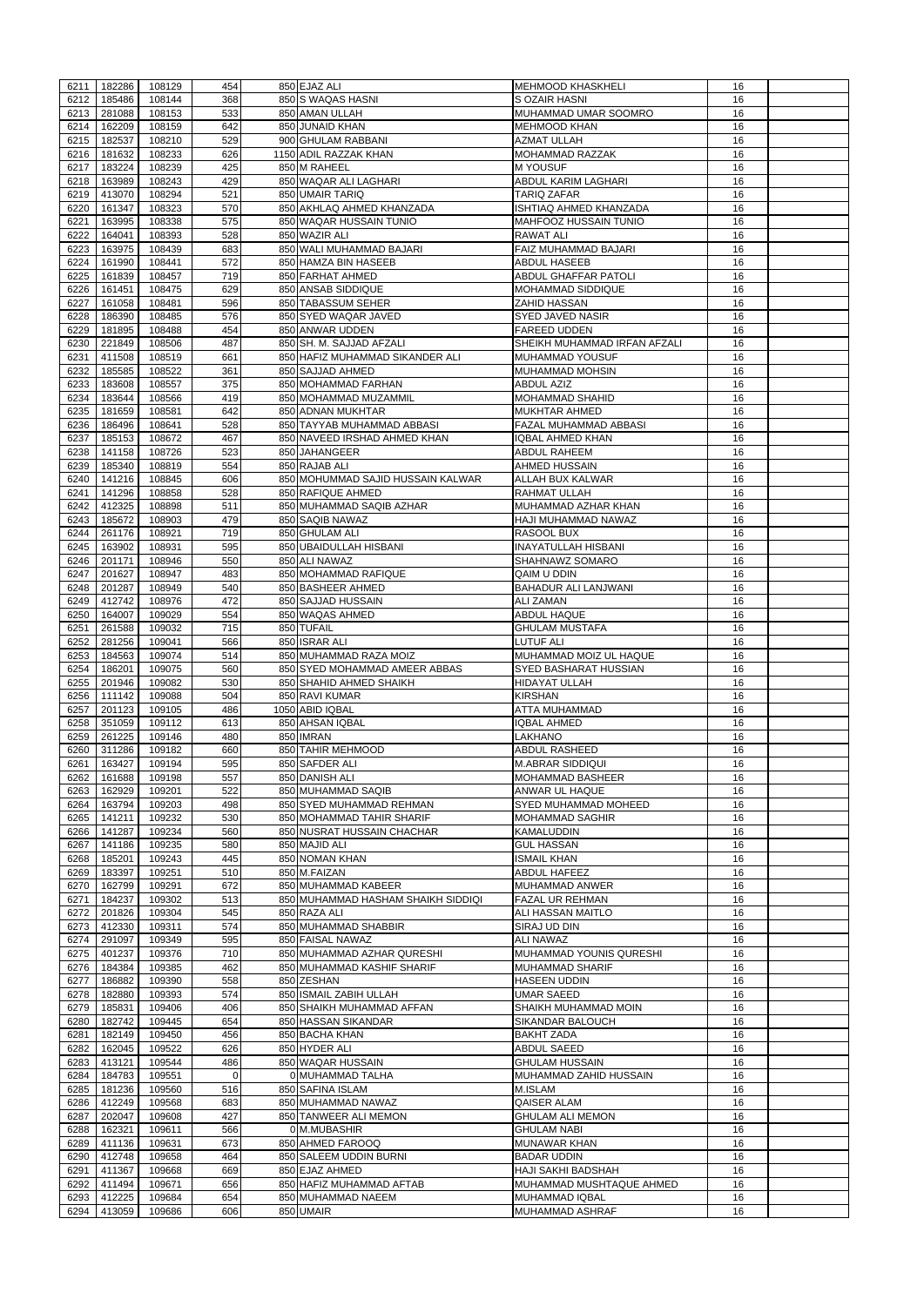| 6211         | 182286           | 108129           | 454        | 850 EJAZ ALI                       | <b>MEHMOOD KHASKHELI</b>                        | 16       |  |
|--------------|------------------|------------------|------------|------------------------------------|-------------------------------------------------|----------|--|
|              |                  |                  |            |                                    |                                                 |          |  |
| 6212         | 185486           | 108144           | 368        | 850 S WAQAS HASNI                  | <b>S OZAIR HASNI</b>                            | 16       |  |
| 6213         | 281088           | 108153           | 533        | 850 AMAN ULLAH                     | MUHAMMAD UMAR SOOMRO                            | 16       |  |
| 6214         | 162209           | 108159           | 642        | 850 JUNAID KHAN                    | <b>MEHMOOD KHAN</b>                             | 16       |  |
|              |                  |                  |            |                                    |                                                 |          |  |
| 6215         | 182537           | 108210           | 529        | 900 GHULAM RABBANI                 | <b>AZMAT ULLAH</b>                              | 16       |  |
| 6216         | 181632           | 108233           | 626        | 1150 ADIL RAZZAK KHAN              | <b>MOHAMMAD RAZZAK</b>                          | 16       |  |
| 6217         | 183224           | 108239           | 425        | 850 M RAHEEL                       | <b>MYOUSUF</b>                                  | 16       |  |
| 6218         | 163989           | 108243           | 429        | 850 WAQAR ALI LAGHARI              | <b>ABDUL KARIM LAGHARI</b>                      | 16       |  |
|              |                  |                  |            |                                    |                                                 |          |  |
| 6219         | 413070           | 108294           | 521        | 850 UMAIR TARIQ                    | <b>TARIQ ZAFAR</b>                              | 16       |  |
| 6220         | 161347           | 108323           | 570        | 850 AKHLAQ AHMED KHANZADA          | ISHTIAQ AHMED KHANZADA                          | 16       |  |
| 6221         | 163995           | 108338           | 575        | 850 WAQAR HUSSAIN TUNIO            | <b>MAHFOOZ HUSSAIN TUNIO</b>                    | 16       |  |
|              |                  |                  |            |                                    |                                                 |          |  |
| 6222         | 164041           | 108393           | 528        | 850 WAZIR ALI                      | <b>RAWAT ALI</b>                                | 16       |  |
| 6223         | 163975           | 108439           | 683        | 850 WALI MUHAMMAD BAJARI           | <b>FAIZ MUHAMMAD BAJARI</b>                     | 16       |  |
| 6224         | 161990           | 108441           | 572        | 850 HAMZA BIN HASEEB               | <b>ABDUL HASEEB</b>                             | 16       |  |
| 6225         | 161839           | 108457           | 719        | 850 FARHAT AHMED                   | <b>ABDUL GHAFFAR PATOLI</b>                     | 16       |  |
|              |                  |                  |            |                                    |                                                 |          |  |
| 6226         | 161451           | 108475           | 629        | 850 ANSAB SIDDIQUE                 | <b>MOHAMMAD SIDDIQUE</b>                        | 16       |  |
| 6227         | 161058           | 108481           | 596        | 850 TABASSUM SEHER                 | <b>ZAHID HASSAN</b>                             | 16       |  |
| 6228         | 186390           | 108485           | 576        | 850 SYED WAQAR JAVED               | <b>SYED JAVED NASIR</b>                         | 16       |  |
| 6229         | 181895           | 108488           | 454        | 850 ANWAR UDDEN                    | <b>FAREED UDDEN</b>                             | 16       |  |
|              |                  |                  |            |                                    |                                                 |          |  |
| 6230         | 221849           | 108506           | 487        | 850 SH. M. SAJJAD AFZALI           | SHEIKH MUHAMMAD IRFAN AFZALI                    | 16       |  |
| 6231         | 411508           | 108519           | 661        | 850 HAFIZ MUHAMMAD SIKANDER ALI    | <b>MUHAMMAD YOUSUF</b>                          | 16       |  |
| 6232         | 185585           | 108522           | 361        | 850 SAJJAD AHMED                   | MUHAMMAD MOHSIN                                 | 16       |  |
|              |                  |                  |            |                                    |                                                 |          |  |
| 6233         | 183608           | 108557           | 375        | 850 MOHAMMAD FARHAN                | <b>ABDUL AZIZ</b>                               | 16       |  |
| 6234         | 183644           | 108566           | 419        | 850 MOHAMMAD MUZAMMIL              | <b>MOHAMMAD SHAHID</b>                          | 16       |  |
| 6235         | 181659           | 108581           | 642        | 850 ADNAN MUKHTAR                  | <b>MUKHTAR AHMED</b>                            | 16       |  |
| 6236         | 186496           | 108641           | 528        | 850 TAYYAB MUHAMMAD ABBASI         | FAZAL MUHAMMAD ABBASI                           | 16       |  |
|              |                  |                  |            |                                    |                                                 |          |  |
| 6237         | 185153           | 108672           | 467        | 850 NAVEED IRSHAD AHMED KHAN       | <b>IQBAL AHMED KHAN</b>                         | 16       |  |
| 6238         | 141158           | 108726           | 523        | 850 JAHANGEER                      | <b>ABDUL RAHEEM</b>                             | 16       |  |
| 6239         | 185340           | 108819           | 554        | 850 RAJAB ALI                      | <b>AHMED HUSSAIN</b>                            | 16       |  |
| 6240         | 141216           | 108845           | 606        | 850 MOHUMMAD SAJID HUSSAIN KALWAR  | ALLAH BUX KALWAR                                | 16       |  |
|              |                  |                  |            |                                    |                                                 |          |  |
| 6241         | 141296           | 108858           | 528        | 850 RAFIQUE AHMED                  | <b>RAHMAT ULLAH</b>                             | 16       |  |
| 6242         | 412325           | 108898           | 511        | 850 MUHAMMAD SAQIB AZHAR           | MUHAMMAD AZHAR KHAN                             | 16       |  |
| 6243         | 185672           | 108903           | 479        | 850 SAQIB NAWAZ                    | HAJI MUHAMMAD NAWAZ                             | 16       |  |
|              |                  |                  |            |                                    |                                                 |          |  |
| 6244         | 261176           | 108921           | 719        | 850 GHULAM ALI                     | <b>RASOOL BUX</b>                               | 16       |  |
| 6245         | 163902           | 108931           | 595        | 850 UBAIDULLAH HISBANI             | <b>INAYATULLAH HISBANI</b>                      | 16       |  |
| 6246         | 201171           | 108946           | 550        | 850 ALI NAWAZ                      | SHAHNAWZ SOMARO                                 | 16       |  |
| 6247         | 201627           | 108947           | 483        | 850 MOHAMMAD RAFIQUE               | QAIM U DDIN                                     | 16       |  |
|              |                  |                  |            |                                    |                                                 |          |  |
| 6248         | 201287           | 108949           | 540        | 850 BASHEER AHMED                  | <b>BAHADUR ALI LANJWANI</b>                     | 16       |  |
| 6249         | 412742           | 108976           | 472        | 850 SAJJAD HUSSAIN                 | <b>ALI ZAMAN</b>                                | 16       |  |
| 6250         | 164007           | 109029           | 554        | 850 WAQAS AHMED                    | ABDUL HAQUE                                     | 16       |  |
|              |                  |                  |            |                                    |                                                 |          |  |
| 6251         | 261588           | 109032           | 715        | 850 TUFAIL                         | <b>GHULAM MUSTAFA</b>                           | 16       |  |
| 6252         | 281256           | 109041           | 566        | 850 ISRAR ALI                      | <b>LUTUF ALI</b>                                | 16       |  |
| 6253         | 184563           | 109074           | 514        | 850 MUHAMMAD RAZA MOIZ             | MUHAMMAD MOIZ UL HAQUE                          | 16       |  |
|              |                  |                  |            |                                    |                                                 |          |  |
|              |                  |                  |            |                                    |                                                 |          |  |
| 6254         | 186201           | 109075           | 560        | 850 SYED MOHAMMAD AMEER ABBAS      | <b>SYED BASHARAT HUSSIAN</b>                    | 16       |  |
| 6255         | 201946           | 109082           | 530        | 850 SHAHID AHMED SHAIKH            | <b>HIDAYAT ULLAH</b>                            | 16       |  |
| 6256         | 111142           | 109088           | 504        | 850 RAVI KUMAR                     | <b>KIRSHAN</b>                                  | 16       |  |
|              |                  |                  |            |                                    |                                                 |          |  |
| 6257         | 201123           | 109105           | 486        | 1050 ABID IQBAL                    | <b>ATTA MUHAMMAD</b>                            | 16       |  |
| 6258         | 351059           | 109112           | 613        | 850 AHSAN IQBAL                    | <b>IQBAL AHMED</b>                              | 16       |  |
| 6259         | 261225           | 109146           | 480        | 850 IMRAN                          | <b>LAKHANO</b>                                  | 16       |  |
| 6260         | 311286           | 109182           | 660        | 850 TAHIR MEHMOOD                  | ABDUL RASHEED                                   | 16       |  |
|              |                  |                  |            |                                    |                                                 |          |  |
| 6261         | 163427           | 109194           | 595        | 850 SAFDER ALI                     | <b>M.ABRAR SIDDIQUI</b>                         | 16       |  |
| 6262         | 161688           | 109198           | 557        | 850 DANISH ALI                     | <b>MOHAMMAD BASHEER</b>                         | 16       |  |
| 6263         | 162929           | 109201           | 522        | 850 MUHAMMAD SAQIB                 | ANWAR UL HAQUE                                  | 16       |  |
| 6264         | 163794           | 109203           | 498        | 850 SYED MUHAMMAD REHMAN           | <b>SYED MUHAMMAD MOHEED</b>                     | 16       |  |
|              |                  |                  |            |                                    |                                                 |          |  |
| 6265         | 141211           | 109232           | 530        | 850 MOHAMMAD TAHIR SHARIF          | <b>MOHAMMAD SAGHIR</b>                          | 16       |  |
| 6266         | 141287           | 109234           | 560        | 850 NUSRAT HUSSAIN CHACHAR         | <b>KAMALUDDIN</b>                               | 16       |  |
| 6267         | 141186           | 109235           | 580        | 850 MAJID ALI                      | <b>GUL HASSAN</b>                               | 16       |  |
| 6268         | 185201           | 109243           | 445        | 850 NOMAN KHAN                     | <b>ISMAIL KHAN</b>                              | 16       |  |
|              |                  |                  |            |                                    |                                                 |          |  |
| 6269         | 183397           | 109251           | 510        | 850 M.FAIZAN                       | <b>ABDUL HAFEEZ</b>                             | 16       |  |
| 6270         | 162799           | 109291           | 672        | 850 MUHAMMAD KABEER                | <b>MUHAMMAD ANWER</b>                           | 16       |  |
| 6271         | 184237           | 109302           | 513        | 850 MUHAMMAD HASHAM SHAIKH SIDDIQI | <b>FAZAL UR REHMAN</b>                          | 16       |  |
| 6272         | 201826           | 109304           | 545        | 850 RAZA ALI                       | ALI HASSAN MAITLO                               | 16       |  |
|              |                  |                  |            |                                    | SIRAJ UD DIN                                    |          |  |
| 6273         | 412330           | 109311           | 574        | 850 MUHAMMAD SHABBIR               |                                                 | 16       |  |
| 6274         | 291097           | 109349           | 595        | 850 FAISAL NAWAZ                   | <b>ALI NAWAZ</b>                                | 16       |  |
| 6275         | 401237           | 109376           | 710        | 850 MUHAMMAD AZHAR QURESHI         | MUHAMMAD YOUNIS QURESHI                         | 16       |  |
| 6276         | 184384           | 109385           | 462        | 850 MUHAMMAD KASHIF SHARIF         | <b>MUHAMMAD SHARIF</b>                          | 16       |  |
|              |                  |                  |            |                                    |                                                 | 16       |  |
| 6277         | 186882           | 109390           | 558        | 850 ZESHAN                         | <b>HASEEN UDDIN</b>                             |          |  |
| 6278         | 182880           | 109393           | 574        | 850 ISMAIL ZABIH ULLAH             | <b>UMAR SAEED</b>                               | 16       |  |
| 6279         | 185831           | 109406           | 406        | 850 SHAIKH MUHAMMAD AFFAN          | SHAIKH MUHAMMAD MOIN                            | 16       |  |
| 6280         | 182742           | 109445           | 654        | 850 HASSAN SIKANDAR                | <b>SIKANDAR BALOUCH</b>                         | 16       |  |
|              |                  |                  |            |                                    |                                                 |          |  |
| 6281         | 182149           | 109450           | 456        | 850 BACHA KHAN                     | <b>BAKHT ZADA</b>                               | 16       |  |
| 6282         | 162045           | 109522           | 626        | 850 HYDER ALI                      | <b>ABDUL SAEED</b>                              | 16       |  |
|              | 6283 413121      | 109544           | 486        | 850 WAQAR HUSSAIN                  | <b>GHULAM HUSSAIN</b>                           | 16       |  |
| 6284         |                  | 109551           | 0          | 0 MUHAMMAD TALHA                   | MUHAMMAD ZAHID HUSSAIN                          | 16       |  |
|              | 184783           |                  |            |                                    |                                                 |          |  |
| 6285         | 181236           | 109560           | 516        | 850 SAFINA ISLAM                   | M.ISLAM                                         | 16       |  |
| 6286         | 412249           | 109568           | 683        | 850 MUHAMMAD NAWAZ                 | <b>QAISER ALAM</b>                              | 16       |  |
| 6287         | 202047           | 109608           | 427        | 850 TANWEER ALI MEMON              | <b>GHULAM ALI MEMON</b>                         | 16       |  |
| 6288         | 162321           | 109611           | 566        | 0 M.MUBASHIR                       | <b>GHULAM NABI</b>                              | 16       |  |
|              |                  |                  |            |                                    |                                                 |          |  |
| 6289         | 411136           | 109631           | 673        | 850 AHMED FAROOQ                   | <b>MUNAWAR KHAN</b>                             | 16       |  |
| 6290         | 412748           | 109658           | 464        | 850 SALEEM UDDIN BURNI             | <b>BADAR UDDIN</b>                              | 16       |  |
| 6291         | 411367           | 109668           | 669        | 850 EJAZ AHMED                     | <b>HAJI SAKHI BADSHAH</b>                       | 16       |  |
|              |                  |                  |            |                                    |                                                 |          |  |
| 6292         | 411494           | 109671           | 656        | 850 HAFIZ MUHAMMAD AFTAB           | MUHAMMAD MUSHTAQUE AHMED                        | 16       |  |
| 6293<br>6294 | 412225<br>413059 | 109684<br>109686 | 654<br>606 | 850 MUHAMMAD NAEEM<br>850 UMAIR    | <b>MUHAMMAD IQBAL</b><br><b>MUHAMMAD ASHRAF</b> | 16<br>16 |  |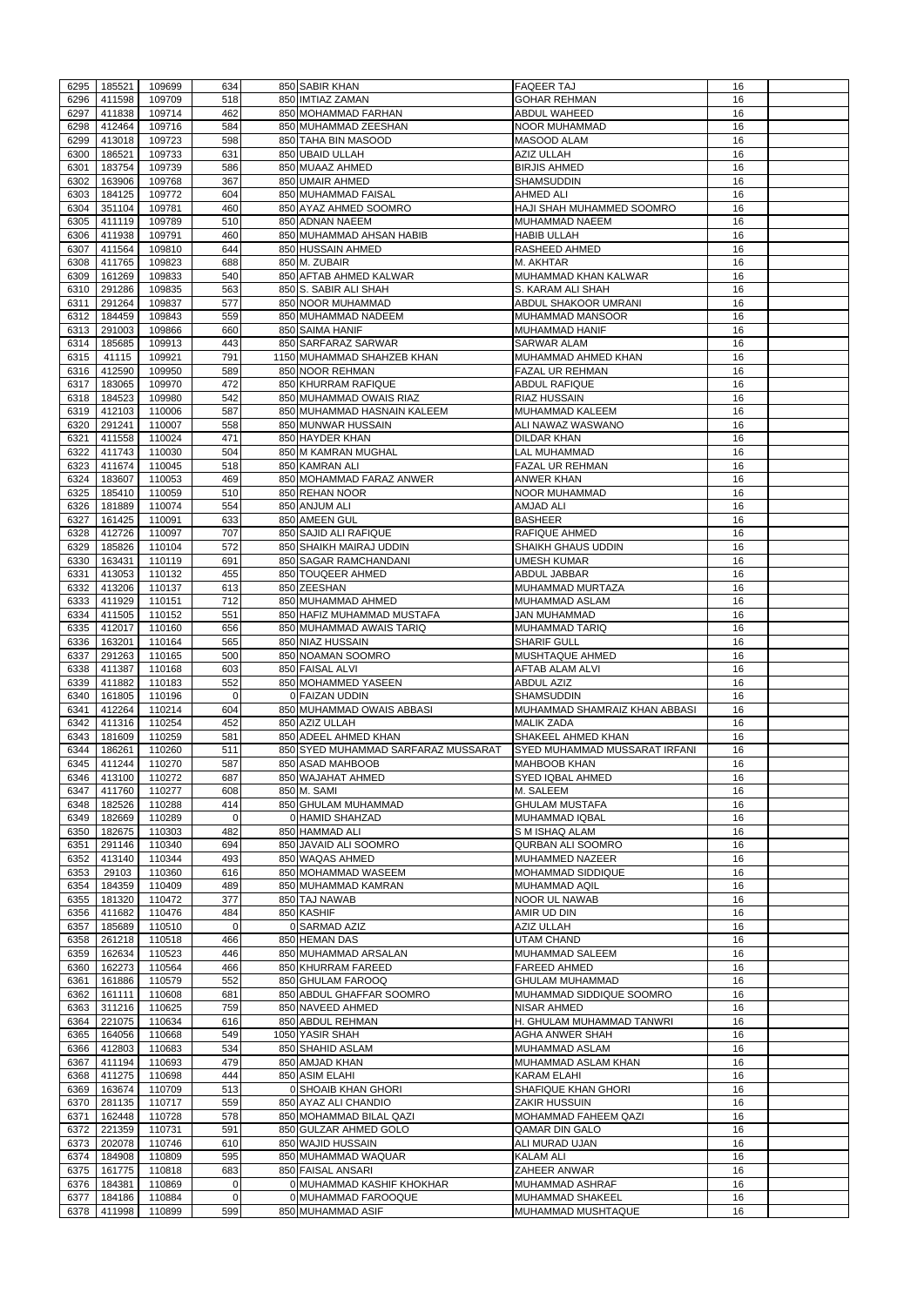| 6295 | 185521      | 109699           | 634         | 850 SABIR KHAN                              | <b>FAQEER TAJ</b>                                  | 16 |  |
|------|-------------|------------------|-------------|---------------------------------------------|----------------------------------------------------|----|--|
|      | 411598      |                  | 518         | 850 IMTIAZ ZAMAN                            |                                                    | 16 |  |
| 6296 | 411838      | 109709           | 462         |                                             | <b>GOHAR REHMAN</b>                                |    |  |
| 6297 |             | 109714           | 584         | 850 MOHAMMAD FARHAN                         | ABDUL WAHEED                                       | 16 |  |
| 6298 | 412464      | 109716           |             | 850 MUHAMMAD ZEESHAN                        | NOOR MUHAMMAD                                      | 16 |  |
| 6299 | 413018      | 109723           | 598         | 850 TAHA BIN MASOOD                         | MASOOD ALAM                                        | 16 |  |
| 6300 | 186521      | 109733           | 631         | 850 UBAID ULLAH                             | AZIZ ULLAH                                         | 16 |  |
| 6301 | 183754      | 109739           | 586         | 850 MUAAZ AHMED                             | <b>BIRJIS AHMED</b>                                | 16 |  |
| 6302 | 163906      | 109768           | 367         | 850 UMAIR AHMED                             | <b>SHAMSUDDIN</b>                                  | 16 |  |
| 6303 | 184125      | 109772           | 604         | 850 MUHAMMAD FAISAL                         | <b>AHMED ALI</b>                                   | 16 |  |
| 6304 | 351104      | 109781           | 460         | 850 AYAZ AHMED SOOMRO                       | HAJI SHAH MUHAMMED SOOMRO                          | 16 |  |
| 6305 | 411119      | 109789           | 510         | 850 ADNAN NAEEM                             | MUHAMMAD NAEEM                                     | 16 |  |
| 6306 | 411938      | 109791           | 460         | 850 MUHAMMAD AHSAN HABIB                    | <b>HABIB ULLAH</b>                                 | 16 |  |
| 6307 | 411564      | 109810           | 644         | 850 HUSSAIN AHMED                           | RASHEED AHMED                                      | 16 |  |
| 6308 | 411765      | 109823           | 688         | 850 M. ZUBAIR                               | M. AKHTAR                                          | 16 |  |
| 6309 | 161269      | 109833           | 540         | 850 AFTAB AHMED KALWAR                      | MUHAMMAD KHAN KALWAR                               | 16 |  |
| 6310 | 291286      | 109835           | 563         | 850 S. SABIR ALI SHAH                       | S. KARAM ALI SHAH                                  | 16 |  |
| 6311 | 291264      | 109837           | 577         | 850 NOOR MUHAMMAD                           | ABDUL SHAKOOR UMRANI                               | 16 |  |
| 6312 | 184459      | 109843           | 559         | 850 MUHAMMAD NADEEM                         | MUHAMMAD MANSOOR                                   | 16 |  |
| 6313 | 291003      | 109866           | 660         | 850 SAIMA HANIF                             | MUHAMMAD HANIF                                     | 16 |  |
| 6314 | 185685      | 109913           | 443         | 850 SARFARAZ SARWAR                         | <b>SARWAR ALAM</b>                                 | 16 |  |
| 6315 | 41115       | 109921           | 791         | 1150 MUHAMMAD SHAHZEB KHAN                  | MUHAMMAD AHMED KHAN                                | 16 |  |
| 6316 | 412590      | 109950           | 589         | 850 NOOR REHMAN                             | FAZAL UR REHMAN                                    | 16 |  |
|      |             |                  |             |                                             |                                                    |    |  |
| 6317 | 183065      | 109970           | 472         | 850 KHURRAM RAFIQUE                         | <b>ABDUL RAFIQUE</b>                               | 16 |  |
| 6318 | 184523      | 109980           | 542         | 850 MUHAMMAD OWAIS RIAZ                     | <b>RIAZ HUSSAIN</b>                                | 16 |  |
| 6319 | 412103      | 110006           | 587         | 850 MUHAMMAD HASNAIN KALEEM                 | MUHAMMAD KALEEM                                    | 16 |  |
| 6320 | 291241      | 110007           | 558         | 850 MUNWAR HUSSAIN                          | ALI NAWAZ WASWANO                                  | 16 |  |
| 6321 | 411558      | 110024           | 471         | 850 HAYDER KHAN                             | <b>DILDAR KHAN</b>                                 | 16 |  |
| 6322 | 411743      | 110030           | 504         | 850 M KAMRAN MUGHAL                         | LAL MUHAMMAD                                       | 16 |  |
| 6323 | 411674      | 110045           | 518         | 850 KAMRAN ALI                              | <b>FAZAL UR REHMAN</b>                             | 16 |  |
| 6324 | 183607      | 110053           | 469         | 850 MOHAMMAD FARAZ ANWER                    | <b>ANWER KHAN</b>                                  | 16 |  |
| 6325 | 185410      | 110059           | 510         | 850 REHAN NOOR                              | <b>NOOR MUHAMMAD</b>                               | 16 |  |
| 6326 | 181889      | 110074           | 554         | 850 ANJUM ALI                               | AMJAD ALI                                          | 16 |  |
| 6327 | 161425      | 110091           | 633         | 850 AMEEN GUL                               | <b>BASHEER</b>                                     | 16 |  |
| 6328 | 412726      | 110097           | 707         | 850 SAJID ALI RAFIQUE                       | RAFIQUE AHMED                                      | 16 |  |
| 6329 | 185826      | 110104           | 572         | 850 SHAIKH MAIRAJ UDDIN                     | <b>SHAIKH GHAUS UDDIN</b>                          | 16 |  |
| 6330 | 163431      | 110119           | 691         | 850 SAGAR RAMCHANDANI                       | <b>UMESH KUMAR</b>                                 | 16 |  |
| 6331 | 413053      | 110132           | 455         | 850 TOUQEER AHMED                           | <b>ABDUL JABBAR</b>                                | 16 |  |
|      | 413206      | 110137           | 613         | 850 ZEESHAN                                 | MUHAMMAD MURTAZA                                   | 16 |  |
| 6332 |             |                  |             |                                             |                                                    |    |  |
| 6333 | 411929      | 110151           | 712         | 850 MUHAMMAD AHMED                          | MUHAMMAD ASLAM                                     | 16 |  |
| 6334 | 411505      | 110152           | 551         | 850 HAFIZ MUHAMMAD MUSTAFA                  | JAN MUHAMMAD                                       | 16 |  |
| 6335 | 412017      | 110160           | 656         | 850 MUHAMMAD AWAIS TARIQ                    | MUHAMMAD TARIQ                                     | 16 |  |
| 6336 | 163201      | 110164           | 565         | 850 NIAZ HUSSAIN                            | <b>SHARIF GULL</b>                                 | 16 |  |
| 6337 | 291263      | 110165           | 500         | 850 NOAMAN SOOMRO                           | MUSHTAQUE AHMED                                    | 16 |  |
| 6338 | 411387      | 110168           | 603         | 850 FAISAL ALVI                             | AFTAB ALAM ALVI                                    | 16 |  |
| 6339 | 411882      | 110183           | 552         | 850 MOHAMMED YASEEN                         | <b>ABDUL AZIZ</b>                                  | 16 |  |
| 6340 |             |                  |             |                                             |                                                    |    |  |
|      | 161805      | 110196           | $\Omega$    | 0 FAIZAN UDDIN                              | <b>SHAMSUDDIN</b>                                  | 16 |  |
| 6341 | 412264      |                  | 604         |                                             |                                                    | 16 |  |
| 6342 | 411316      | 110214<br>110254 | 452         | 850 MUHAMMAD OWAIS ABBASI<br>850 AZIZ ULLAH | MUHAMMAD SHAMRAIZ KHAN ABBASI<br><b>MALIK ZADA</b> | 16 |  |
|      |             |                  |             |                                             |                                                    |    |  |
| 6343 | 181609      | 110259           | 581         | 850 ADEEL AHMED KHAN                        | SHAKEEL AHMED KHAN                                 | 16 |  |
| 6344 | 186261      | 110260           | 511         | 850 SYED MUHAMMAD SARFARAZ MUSSARAT         | <b>SYED MUHAMMAD MUSSARAT IRFANI</b>               | 16 |  |
| 6345 | 411244      | 110270           | 587         | 850 ASAD MAHBOOB                            | <b>MAHBOOB KHAN</b>                                | 16 |  |
| 6346 | 413100      | 110272           | 687         | 850 WAJAHAT AHMED                           | SYED IQBAL AHMED                                   | 16 |  |
| 6347 | 411760      | 110277           | 608         | 850 M. SAMI                                 | M. SALEEM                                          | 16 |  |
| 6348 | 182526      | 110288           | 414         | 850 GHULAM MUHAMMAD                         | <b>GHULAM MUSTAFA</b>                              | 16 |  |
| 6349 | 182669      | 110289           | $\mathbf 0$ | 0 HAMID SHAHZAD                             | MUHAMMAD IQBAL                                     | 16 |  |
| 6350 | 182675      | 110303           | 482         | 850 HAMMAD ALI                              | S M ISHAQ ALAM                                     | 16 |  |
| 6351 | 291146      | 110340           | 694         | 850 JAVAID ALI SOOMRO                       | <b>QURBAN ALI SOOMRO</b>                           | 16 |  |
| 6352 | 413140      | 110344           | 493         | 850 WAQAS AHMED                             | MUHAMMED NAZEER                                    | 16 |  |
| 6353 | 29103       | 110360           | 616         | 850 MOHAMMAD WASEEM                         | <b>MOHAMMAD SIDDIQUE</b>                           | 16 |  |
| 6354 | 184359      | 110409           | 489         | 850 MUHAMMAD KAMRAN                         | MUHAMMAD AQIL                                      | 16 |  |
| 6355 | 181320      | 110472           | 377         | 850 TAJ NAWAB                               | NOOR UL NAWAB                                      | 16 |  |
| 6356 | 411682      | 110476           | 484         | 850 KASHIF                                  | AMIR UD DIN                                        | 16 |  |
| 6357 | 185689      | 110510           | $\Omega$    | 0 SARMAD AZIZ                               | AZIZ ULLAH                                         | 16 |  |
| 6358 | 261218      | 110518           | 466         | 850 HEMAN DAS                               | <b>UTAM CHAND</b>                                  | 16 |  |
| 6359 | 162634      | 110523           | 446         | 850 MUHAMMAD ARSALAN                        | <b>MUHAMMAD SALEEM</b>                             | 16 |  |
| 6360 | 162273      | 110564           | 466         | 850 KHURRAM FAREED                          | <b>FAREED AHMED</b>                                | 16 |  |
| 6361 | 161886      | 110579           | 552         | 850 GHULAM FAROOQ                           | <b>GHULAM MUHAMMAD</b>                             | 16 |  |
| 6362 | 161111      | 110608           | 681         | 850 ABDUL GHAFFAR SOOMRO                    | MUHAMMAD SIDDIQUE SOOMRO                           | 16 |  |
| 6363 | 311216      | 110625           | 759         | 850 NAVEED AHMED                            | NISAR AHMED                                        | 16 |  |
| 6364 | 221075      | 110634           | 616         |                                             |                                                    | 16 |  |
|      |             |                  |             | 850 ABDUL REHMAN                            | H. GHULAM MUHAMMAD TANWRI                          |    |  |
| 6365 | 164056      | 110668           | 549         | 1050 YASIR SHAH                             | <b>AGHA ANWER SHAH</b>                             | 16 |  |
| 6366 | 412803      | 110683           | 534         | 850 SHAHID ASLAM                            | MUHAMMAD ASLAM                                     | 16 |  |
|      | 6367 411194 | 110693           | 479         | 850 AMJAD KHAN                              | MUHAMMAD ASLAM KHAN                                | 16 |  |
| 6368 | 411275      | 110698           | 444         | 850 ASIM ELAHI                              | <b>KARAM ELAHI</b>                                 | 16 |  |
| 6369 | 163674      | 110709           | 513         | <b>OISHOAIB KHAN GHORI</b>                  | SHAFIQUE KHAN GHORI                                | 16 |  |
| 6370 | 281135      | 110717           | 559         | 850 AYAZ ALI CHANDIO                        | <b>ZAKIR HUSSUIN</b>                               | 16 |  |
| 6371 | 162448      | 110728           | 578         | 850 MOHAMMAD BILAL QAZI                     | MOHAMMAD FAHEEM QAZI                               | 16 |  |
| 6372 | 221359      | 110731           | 591         | 850 GULZAR AHMED GOLO                       | <b>QAMAR DIN GALO</b>                              | 16 |  |
| 6373 | 202078      | 110746           | 610         | 850 WAJID HUSSAIN                           | ALI MURAD UJAN                                     | 16 |  |
| 6374 | 184908      | 110809           | 595         | 850 MUHAMMAD WAQUAR                         | <b>KALAM ALI</b>                                   | 16 |  |
| 6375 | 161775      | 110818           | 683         | 850 FAISAL ANSARI                           | <b>ZAHEER ANWAR</b>                                | 16 |  |
| 6376 | 184381      | 110869           | 0           | 0 MUHAMMAD KASHIF KHOKHAR                   | MUHAMMAD ASHRAF                                    | 16 |  |
| 6377 | 184186      | 110884           | $\Omega$    | 0 MUHAMMAD FAROOQUE                         | <b>MUHAMMAD SHAKEEL</b>                            | 16 |  |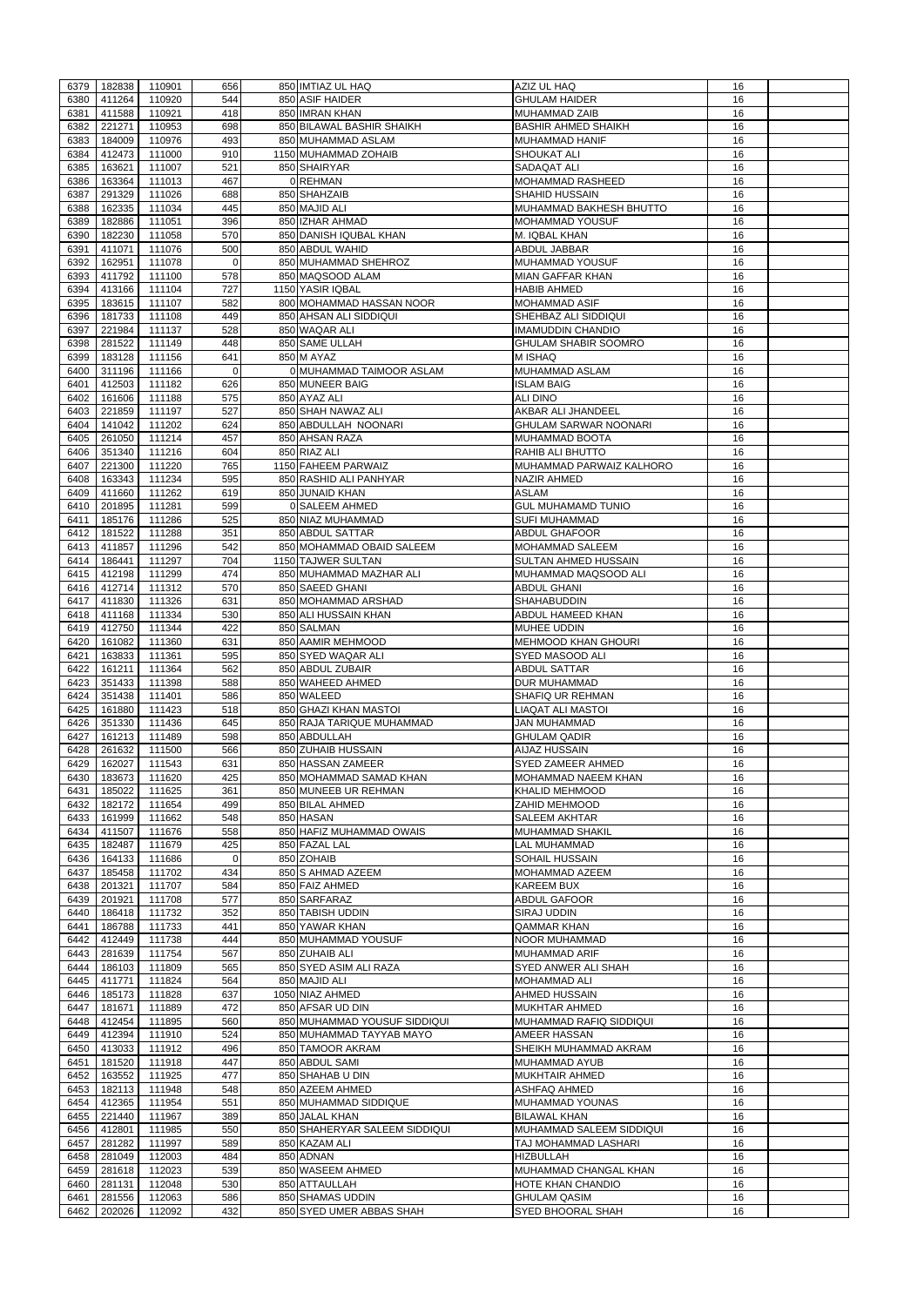| 6379 | 182838      | 110901 | 656         | 850 IMTIAZ UL HAQ                 | AZIZ UL HAQ                  | 16 |  |
|------|-------------|--------|-------------|-----------------------------------|------------------------------|----|--|
|      | 411264      |        |             |                                   | <b>GHULAM HAIDER</b>         |    |  |
| 6380 |             | 110920 | 544         | 850 ASIF HAIDER<br>850 IMRAN KHAN |                              | 16 |  |
| 6381 | 411588      | 110921 | 418         |                                   | <b>MUHAMMAD ZAIB</b>         | 16 |  |
| 6382 | 221271      | 110953 | 698         | 850 BILAWAL BASHIR SHAIKH         | <b>BASHIR AHMED SHAIKH</b>   | 16 |  |
| 6383 | 184009      | 110976 | 493         | 850 MUHAMMAD ASLAM                | <b>MUHAMMAD HANIF</b>        | 16 |  |
| 6384 | 412473      | 111000 | 910         | 1150 MUHAMMAD ZOHAIB              | <b>SHOUKAT ALI</b>           | 16 |  |
| 6385 | 163621      | 111007 | 521         | 850 SHAIRYAR                      | SADAQAT ALI                  | 16 |  |
| 6386 | 163364      | 111013 | 467         | 0 REHMAN                          | <b>MOHAMMAD RASHEED</b>      | 16 |  |
| 6387 | 291329      | 111026 | 688         | 850 SHAHZAIB                      | <b>SHAHID HUSSAIN</b>        | 16 |  |
| 6388 | 162335      | 111034 | 445         | 850 MAJID ALI                     | MUHAMMAD BAKHESH BHUTTO      | 16 |  |
| 6389 | 182886      | 111051 | 396         | 850 IZHAR AHMAD                   | <b>MOHAMMAD YOUSUF</b>       | 16 |  |
| 6390 | 182230      | 111058 | 570         | 850 DANISH IQUBAL KHAN            | M. IQBAL KHAN                | 16 |  |
| 6391 | 411071      | 111076 | 500         | 850 ABDUL WAHID                   | <b>ABDUL JABBAR</b>          | 16 |  |
| 6392 | 162951      | 111078 | $\mathbf 0$ | 850 MUHAMMAD SHEHROZ              | <b>MUHAMMAD YOUSUF</b>       | 16 |  |
| 6393 | 411792      | 111100 | 578         | 850 MAQSOOD ALAM                  | <b>MIAN GAFFAR KHAN</b>      | 16 |  |
| 6394 | 413166      | 111104 | 727         | 1150 YASIR IQBAL                  | <b>HABIB AHMED</b>           | 16 |  |
| 6395 | 183615      | 111107 | 582         | 800 MOHAMMAD HASSAN NOOR          | <b>MOHAMMAD ASIF</b>         | 16 |  |
| 6396 | 181733      | 111108 | 449         | 850 AHSAN ALI SIDDIQUI            | SHEHBAZ ALI SIDDIQUI         | 16 |  |
| 6397 | 221984      | 111137 | 528         | 850 WAQAR ALI                     | <b>IMAMUDDIN CHANDIO</b>     | 16 |  |
| 6398 | 281522      | 111149 | 448         | 850 SAME ULLAH                    | <b>GHULAM SHABIR SOOMRO</b>  | 16 |  |
| 6399 | 183128      | 111156 | 641         | 850 M AYAZ                        | M ISHAQ                      | 16 |  |
| 6400 | 311196      | 111166 | $\mathbf 0$ | 0 MUHAMMAD TAIMOOR ASLAM          | MUHAMMAD ASLAM               | 16 |  |
| 6401 | 412503      | 111182 | 626         | 850 MUNEER BAIG                   | <b>ISLAM BAIG</b>            | 16 |  |
|      |             |        |             |                                   |                              |    |  |
| 6402 | 161606      | 111188 | 575         | 850 AYAZ ALI                      | <b>ALI DINO</b>              | 16 |  |
| 6403 | 221859      | 111197 | 527         | 850 SHAH NAWAZ ALI                | AKBAR ALI JHANDEEL           | 16 |  |
| 6404 | 141042      | 111202 | 624         | 850 ABDULLAH NOONARI              | <b>GHULAM SARWAR NOONARI</b> | 16 |  |
| 6405 | 261050      | 111214 | 457         | 850 AHSAN RAZA                    | <b>MUHAMMAD BOOTA</b>        | 16 |  |
| 6406 | 351340      | 111216 | 604         | 850 RIAZ ALI                      | RAHIB ALI BHUTTO             | 16 |  |
| 6407 | 221300      | 111220 | 765         | 1150 FAHEEM PARWAIZ               | MUHAMMAD PARWAIZ KALHORO     | 16 |  |
| 6408 | 163343      | 111234 | 595         | 850 RASHID ALI PANHYAR            | <b>NAZIR AHMED</b>           | 16 |  |
| 6409 | 411660      | 111262 | 619         | 850 JUNAID KHAN                   | ASLAM                        | 16 |  |
| 6410 | 201895      | 111281 | 599         | 0 SALEEM AHMED                    | <b>GUL MUHAMAMD TUNIO</b>    | 16 |  |
| 6411 | 185176      | 111286 | 525         | 850 NIAZ MUHAMMAD                 | <b>SUFI MUHAMMAD</b>         | 16 |  |
| 6412 | 181522      | 111288 | 351         | 850 ABDUL SATTAR                  | <b>ABDUL GHAFOOR</b>         | 16 |  |
| 6413 | 411857      | 111296 | 542         | 850 MOHAMMAD OBAID SALEEM         | <b>MOHAMMAD SALEEM</b>       | 16 |  |
| 6414 | 186441      | 111297 | 704         | 1150 TAJWER SULTAN                | <b>SULTAN AHMED HUSSAIN</b>  | 16 |  |
| 6415 | 412198      | 111299 | 474         | 850 MUHAMMAD MAZHAR ALI           | MUHAMMAD MAQSOOD ALI         | 16 |  |
| 6416 | 412714      | 111312 | 570         | 850 SAEED GHANI                   | <b>ABDUL GHANI</b>           | 16 |  |
| 6417 | 411830      | 111326 | 631         | 850 MOHAMMAD ARSHAD               | <b>SHAHABUDDIN</b>           | 16 |  |
| 6418 | 411168      | 111334 | 530         | 850 ALI HUSSAIN KHAN              | ABDUL HAMEED KHAN            | 16 |  |
| 6419 | 412750      | 111344 | 422         | 850 SALMAN                        | MUHEE UDDIN                  | 16 |  |
| 6420 | 161082      | 111360 | 631         | 850 AAMIR MEHMOOD                 | <b>MEHMOOD KHAN GHOURI</b>   | 16 |  |
| 6421 | 163833      | 111361 | 595         | 850 SYED WAQAR ALI                | SYED MASOOD ALI              | 16 |  |
| 6422 | 161211      | 111364 | 562         | 850 ABDUL ZUBAIR                  |                              |    |  |
|      |             |        |             |                                   | <b>ABDUL SATTAR</b>          | 16 |  |
| 6423 | 351433      | 111398 | 588         | 850 WAHEED AHMED                  | <b>DUR MUHAMMAD</b>          | 16 |  |
| 6424 | 351438      | 111401 | 586         | 850 WALEED                        | SHAFIQ UR REHMAN             | 16 |  |
| 6425 | 161880      | 111423 | 518         | 850 GHAZI KHAN MASTOI             | <b>LIAQAT ALI MASTOI</b>     | 16 |  |
| 6426 | 351330      | 111436 | 645         | 850 RAJA TARIQUE MUHAMMAD         | <b>JAN MUHAMMAD</b>          | 16 |  |
| 6427 | 161213      | 111489 | 598         | 850 ABDULLAH                      | <b>GHULAM QADIR</b>          | 16 |  |
| 6428 | 261632      | 111500 | 566         | 850 ZUHAIB HUSSAIN                | <b>AIJAZ HUSSAIN</b>         | 16 |  |
| 6429 | 162027      | 111543 | 631         | 850 HASSAN ZAMEER                 | SYED ZAMEER AHMED            | 16 |  |
| 6430 | 183673      | 111620 | 425         | 850 MOHAMMAD SAMAD KHAN           | MOHAMMAD NAEEM KHAN          | 16 |  |
| 6431 | 185022      | 111625 | 361         | 850 MUNEEB UR REHMAN              | <b>KHALID MEHMOOD</b>        | 16 |  |
| 6432 | 182172      | 111654 | 499         | 850 BILAL AHMED                   | ZAHID MEHMOOD                | 16 |  |
| 6433 | 161999      | 111662 | 548         | 850 HASAN                         | <b>SALEEM AKHTAR</b>         | 16 |  |
| 6434 | 411507      | 111676 | 558         | 850 HAFIZ MUHAMMAD OWAIS          | <b>MUHAMMAD SHAKIL</b>       | 16 |  |
| 6435 | 182487      | 111679 | 425         | 850 FAZAL LAL                     | LAL MUHAMMAD                 | 16 |  |
| 6436 | 164133      | 111686 | $\mathbf 0$ | 850 ZOHAIB                        | <b>SOHAIL HUSSAIN</b>        | 16 |  |
| 6437 | 185458      | 111702 | 434         | 850 S AHMAD AZEEM                 | MOHAMMAD AZEEM               | 16 |  |
| 6438 | 201321      | 111707 | 584         | 850 FAIZ AHMED                    | <b>KAREEM BUX</b>            | 16 |  |
| 6439 | 201921      | 111708 | 577         | 850 SARFARAZ                      | <b>ABDUL GAFOOR</b>          | 16 |  |
| 6440 | 186418      | 111732 | 352         | 850 TABISH UDDIN                  | <b>SIRAJ UDDIN</b>           | 16 |  |
| 6441 | 186788      | 111733 | 441         | 850 YAWAR KHAN                    | <b>QAMMAR KHAN</b>           | 16 |  |
| 6442 | 412449      | 111738 | 444         | 850 MUHAMMAD YOUSUF               | <b>NOOR MUHAMMAD</b>         | 16 |  |
|      |             |        | 567         | 850 ZUHAIB ALI                    |                              |    |  |
| 6443 | 281639      | 111754 |             |                                   | <b>MUHAMMAD ARIF</b>         | 16 |  |
| 6444 | 186103      | 111809 | 565         | 850 SYED ASIM ALI RAZA            | SYED ANWER ALI SHAH          | 16 |  |
| 6445 | 411771      | 111824 | 564         | 850 MAJID ALI                     | <b>MOHAMMAD ALI</b>          | 16 |  |
| 6446 | 185173      | 111828 | 637         | 1050 NIAZ AHMED                   | <b>AHMED HUSSAIN</b>         | 16 |  |
| 6447 | 181671      | 111889 | 472         | 850 AFSAR UD DIN                  | <b>MUKHTAR AHMED</b>         | 16 |  |
| 6448 | 412454      | 111895 | 560         | 850 MUHAMMAD YOUSUF SIDDIQUI      | MUHAMMAD RAFIQ SIDDIQUI      | 16 |  |
| 6449 | 412394      | 111910 | 524         | 850 MUHAMMAD TAYYAB MAYO          | AMEER HASSAN                 | 16 |  |
| 6450 | 413033      | 111912 | 496         | 850 TAMOOR AKRAM                  | SHEIKH MUHAMMAD AKRAM        | 16 |  |
|      | 6451 181520 | 111918 | 447         | 850 ABDUL SAMI                    | MUHAMMAD AYUB                | 16 |  |
| 6452 | 163552      | 111925 | 477         | 850 SHAHAB U DIN                  | <b>MUKHTAIR AHMED</b>        | 16 |  |
| 6453 | 182113      | 111948 | 548         | 850 AZEEM AHMED                   | ASHFAQ AHMED                 | 16 |  |
| 6454 | 412365      | 111954 | 551         | 850 MUHAMMAD SIDDIQUE             | <b>MUHAMMAD YOUNAS</b>       | 16 |  |
| 6455 | 221440      | 111967 | 389         | 850 JALAL KHAN                    | <b>BILAWAL KHAN</b>          | 16 |  |
| 6456 | 412801      | 111985 | 550         | 850 SHAHERYAR SALEEM SIDDIQUI     | MUHAMMAD SALEEM SIDDIQUI     | 16 |  |
| 6457 | 281282      | 111997 | 589         | 850 KAZAM ALI                     | TAJ MOHAMMAD LASHARI         | 16 |  |
| 6458 | 281049      | 112003 | 484         | 850 ADNAN                         | <b>HIZBULLAH</b>             | 16 |  |
| 6459 | 281618      | 112023 | 539         | 850 WASEEM AHMED                  | MUHAMMAD CHANGAL KHAN        | 16 |  |
| 6460 | 281131      | 112048 | 530         | 850 ATTAULLAH                     | <b>HOTE KHAN CHANDIO</b>     | 16 |  |
|      |             |        |             | 850 SHAMAS UDDIN                  |                              |    |  |
| 6461 | 281556      | 112063 | 586         |                                   | <b>GHULAM QASIM</b>          | 16 |  |
| 6462 | 202026      | 112092 | 432         | 850 SYED UMER ABBAS SHAH          | <b>SYED BHOORAL SHAH</b>     | 16 |  |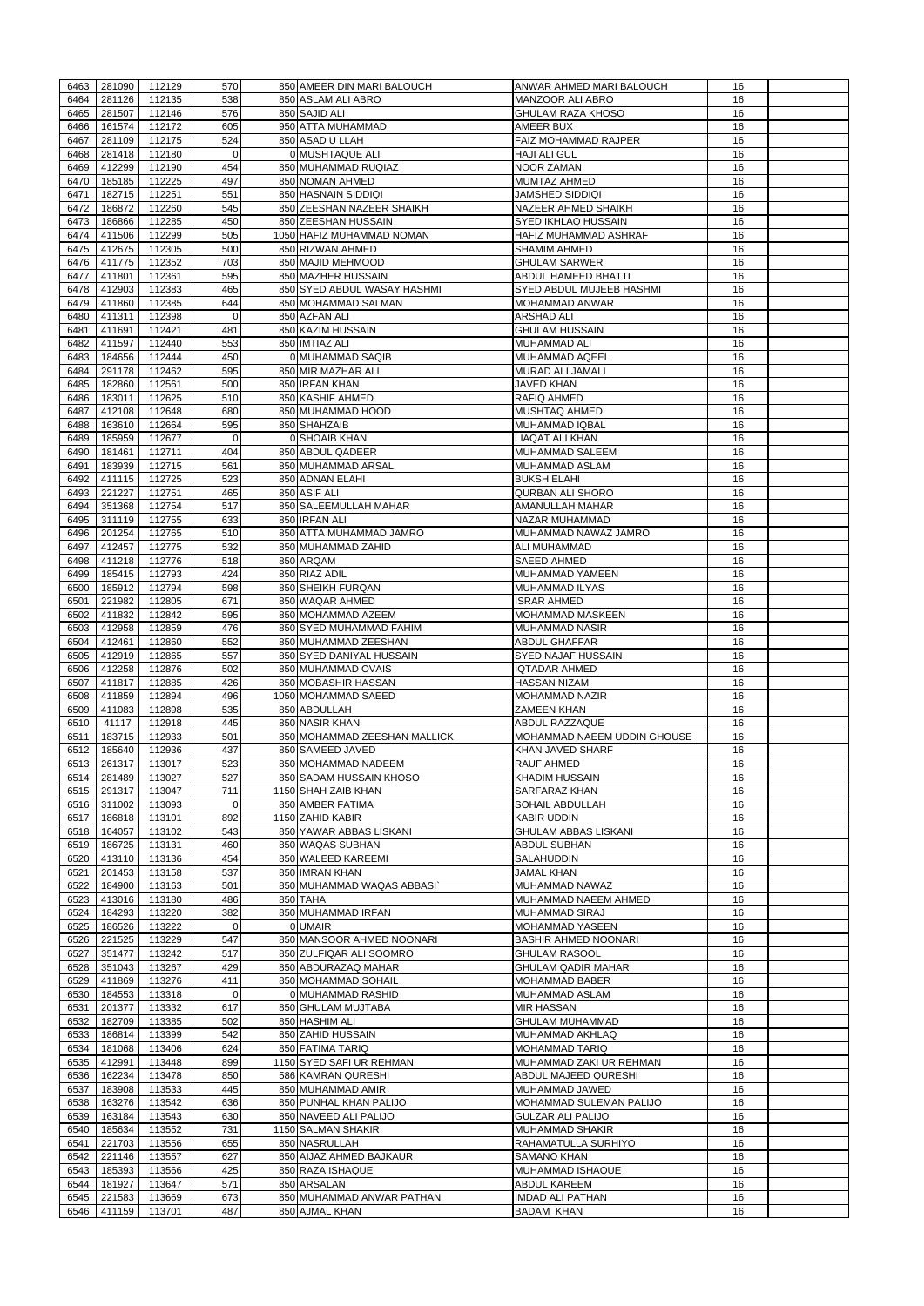| 6464 | 281090        | 112129             | 570         | 850 AMEER DIN MARI BALOUCH               | ANWAR AHMED MARI BALOUCH       | 16 |  |
|------|---------------|--------------------|-------------|------------------------------------------|--------------------------------|----|--|
|      | 281126        | 112135             | 538         | 850 ASLAM ALI ABRO                       | <b>MANZOOR ALI ABRO</b>        | 16 |  |
| 6465 | 281507        | 112146             | 576         | 850 SAJID ALI                            | <b>GHULAM RAZA KHOSO</b>       | 16 |  |
| 6466 | 161574        | 112172             | 605         | 950 ATTA MUHAMMAD                        | <b>AMEER BUX</b>               | 16 |  |
| 6467 | 281109        | 112175             | 524         | 850 ASAD U LLAH                          | <b>FAIZ MOHAMMAD RAJPER</b>    | 16 |  |
| 6468 | 281418        | 112180             | $\mathbf 0$ | 0 MUSHTAQUE ALI                          | <b>HAJI ALI GUL</b>            | 16 |  |
| 6469 | 412299        | 112190             | 454         | 850 MUHAMMAD RUQIAZ                      | <b>NOOR ZAMAN</b>              | 16 |  |
| 6470 | 185185        | 112225             | 497         | 850 NOMAN AHMED                          | <b>MUMTAZ AHMED</b>            | 16 |  |
| 6471 | 182715        | 112251             | 551         | 850 HASNAIN SIDDIQI                      | <b>JAMSHED SIDDIQI</b>         | 16 |  |
| 6472 | 186872        | 112260             | 545         | 850 ZEESHAN NAZEER SHAIKH                | NAZEER AHMED SHAIKH            | 16 |  |
| 6473 | 186866        | 112285             | 450         | 850 ZEESHAN HUSSAIN                      | SYED IKHLAQ HUSSAIN            | 16 |  |
| 6474 | 411506        | 112299             | 505         | 1050 HAFIZ MUHAMMAD NOMAN                | HAFIZ MUHAMMAD ASHRAF          | 16 |  |
| 6475 | 412675        | 112305             | 500         | 850 RIZWAN AHMED                         | <b>SHAMIM AHMED</b>            | 16 |  |
| 6476 | 411775        | 112352             | 703         | 850 MAJID MEHMOOD                        | <b>GHULAM SARWER</b>           | 16 |  |
|      |               |                    | 595         |                                          |                                |    |  |
| 6477 | 411801        | 112361             |             | 850 MAZHER HUSSAIN                       | <b>ABDUL HAMEED BHATTI</b>     | 16 |  |
| 6478 | 412903        | 112383             | 465         | 850 SYED ABDUL WASAY HASHMI              | SYED ABDUL MUJEEB HASHMI       | 16 |  |
| 6479 | 411860        | 112385             | 644         | 850 MOHAMMAD SALMAN                      | MOHAMMAD ANWAR                 | 16 |  |
| 6480 | 411311        | 112398             | $\Omega$    | 850 AZFAN ALI                            | <b>ARSHAD ALI</b>              | 16 |  |
| 6481 | 411691        | 112421             | 481         | 850 KAZIM HUSSAIN                        | <b>GHULAM HUSSAIN</b>          | 16 |  |
| 6482 | 411597        | 112440             | 553         | 850 IMTIAZ ALI                           | <b>MUHAMMAD ALI</b>            | 16 |  |
| 6483 | 184656        | 112444             | 450         | 0 MUHAMMAD SAQIB                         | <b>MUHAMMAD AQEEL</b>          | 16 |  |
| 6484 | 291178        | 112462             | 595         | 850 MIR MAZHAR ALI                       | <b>MURAD ALI JAMALI</b>        | 16 |  |
| 6485 | 182860        | 112561             | 500         | 850 IRFAN KHAN                           | <b>JAVED KHAN</b>              | 16 |  |
| 6486 | 183011        | 112625             | 510         | 850 KASHIF AHMED                         | RAFIQ AHMED                    | 16 |  |
| 6487 | 412108        | 112648             | 680         | 850 MUHAMMAD HOOD                        | MUSHTAQ AHMED                  | 16 |  |
| 6488 | 163610        | 112664             | 595         | 850 SHAHZAIB                             | MUHAMMAD IQBAL                 | 16 |  |
| 6489 | 185959        | 112677             | $\Omega$    | 0 SHOAIB KHAN                            | LIAQAT ALI KHAN                | 16 |  |
| 6490 | 181461        | 112711             | 404         | 850 ABDUL QADEER                         | <b>MUHAMMAD SALEEM</b>         | 16 |  |
| 6491 | 183939        | 112715             | 561         | 850 MUHAMMAD ARSAL                       | <b>MUHAMMAD ASLAM</b>          | 16 |  |
| 6492 | 411115        | 112725             | 523         | 850 ADNAN ELAHI                          | <b>BUKSH ELAHI</b>             | 16 |  |
| 6493 | 221227        | 112751             | 465         | 850 ASIF ALI                             | <b>QURBAN ALI SHORO</b>        | 16 |  |
|      |               |                    | 517         | 850 SALEEMULLAH MAHAR                    |                                |    |  |
| 6494 | 351368        | 112754             |             |                                          | <b>AMANULLAH MAHAR</b>         | 16 |  |
| 6495 | 311119        | 112755             | 633         | 850 IRFAN ALI                            | <b>NAZAR MUHAMMAD</b>          | 16 |  |
| 6496 | 201254        | 112765             | 510         | 850 ATTA MUHAMMAD JAMRO                  | MUHAMMAD NAWAZ JAMRO           | 16 |  |
| 6497 | 412457        | 112775             | 532         | 850 MUHAMMAD ZAHID                       | <b>ALI MUHAMMAD</b>            | 16 |  |
| 6498 | 411218        | 112776             | 518         | 850 ARQAM                                | <b>SAEED AHMED</b>             | 16 |  |
| 6499 | 185415 112793 |                    | 424         | 850 RIAZ ADIL                            | <b>IMUHAMMAD YAMEEN</b>        | 16 |  |
| 6500 | 185912        | 112794             | 598         | 850 SHEIKH FURQAN                        | <b>MUHAMMAD ILYAS</b>          | 16 |  |
| 6501 | 221982        | 112805             | 671         | 850 WAQAR AHMED                          | <b>ISRAR AHMED</b>             | 16 |  |
| 6502 | 411832        | 112842             | 595         | 850 MOHAMMAD AZEEM                       | <b>MOHAMMAD MASKEEN</b>        | 16 |  |
| 6503 | 412958        | 112859             | 476         | 850 SYED MUHAMMAD FAHIM                  | <b>MUHAMMAD NASIR</b>          | 16 |  |
| 6504 | 412461        | 112860             | 552         | 850 MUHAMMAD ZEESHAN                     | <b>ABDUL GHAFFAR</b>           | 16 |  |
| 6505 | 412919        | 112865             | 557         | 850 SYED DANIYAL HUSSAIN                 | SYED NAJAF HUSSAIN             | 16 |  |
| 6506 | 412258        | 112876             | 502         | 850 MUHAMMAD OVAIS                       | <b>IQTADAR AHMED</b>           | 16 |  |
| 6507 | 411817        | 112885             | 426         | 850 MOBASHIR HASSAN                      | <b>HASSAN NIZAM</b>            | 16 |  |
| 6508 | 411859        | 112894             | 496         | 1050 MOHAMMAD SAEED                      | <b>MOHAMMAD NAZIR</b>          | 16 |  |
| 6509 | 411083        | 112898             | 535         | 850 ABDULLAH                             | <b>ZAMEEN KHAN</b>             | 16 |  |
| 6510 | 41117         |                    | 445         | 850 NASIR KHAN                           | <b>ABDUL RAZZAQUE</b>          | 16 |  |
| 6511 |               |                    |             |                                          | MOHAMMAD NAEEM UDDIN GHOUSE    |    |  |
|      |               | 112918             |             |                                          |                                |    |  |
|      | 183715        | 112933             | 501         | 850 MOHAMMAD ZEESHAN MALLICK             |                                | 16 |  |
| 6512 | 185640        | 112936             | 437         | 850 SAMEED JAVED                         | <b>KHAN JAVED SHARF</b>        | 16 |  |
| 6513 | 261317        | 113017             | 523         | 850 MOHAMMAD NADEEM                      | <b>RAUF AHMED</b>              | 16 |  |
| 6514 | 281489        | 113027             | 527         | 850 SADAM HUSSAIN KHOSO                  | <b>KHADIM HUSSAIN</b>          | 16 |  |
| 6515 | 291317        | 113047             | 711         | 1150 SHAH ZAIB KHAN                      | SARFARAZ KHAN                  | 16 |  |
| 6516 | 311002        | 113093             | 0           | 850 AMBER FATIMA                         | SOHAIL ABDULLAH                | 16 |  |
| 6517 | 186818        | 113101             | 892         | 1150 ZAHID KABIR                         | <b>KABIR UDDIN</b>             | 16 |  |
| 6518 | 164057        | 113102             | 543         | 850 YAWAR ABBAS LISKANI                  | <b>GHULAM ABBAS LISKANI</b>    | 16 |  |
| 6519 | 186725        | 113131             | 460         | 850 WAQAS SUBHAN                         | <b>ABDUL SUBHAN</b>            | 16 |  |
| 6520 | 413110        | 113136             | 454         | 850 WALEED KAREEMI                       | SALAHUDDIN                     | 16 |  |
| 6521 | 201453        | 113158             | 537         | 850 IMRAN KHAN                           | <b>JAMAL KHAN</b>              | 16 |  |
| 6522 | 184900        | 113163             | 501         | 850 MUHAMMAD WAQAS ABBASI`               | MUHAMMAD NAWAZ                 | 16 |  |
| 6523 | 413016        | 113180             | 486         | 850 TAHA                                 | MUHAMMAD NAEEM AHMED           | 16 |  |
| 6524 | 184293        | 113220             | 382         | 850 MUHAMMAD IRFAN                       | <b>MUHAMMAD SIRAJ</b>          | 16 |  |
| 6525 | 186526        | 113222             | $\Omega$    | <b>OLUMAIR</b>                           | <b>MOHAMMAD YASEEN</b>         | 16 |  |
| 6526 | 221525        | 113229             | 547         | 850 MANSOOR AHMED NOONARI                | <b>BASHIR AHMED NOONARI</b>    | 16 |  |
| 6527 | 351477        | 113242             | 517         | 850 ZULFIQAR ALI SOOMRO                  | <b>GHULAM RASOOL</b>           | 16 |  |
| 6528 | 351043        | 113267             | 429         | 850 ABDURAZAQ MAHAR                      | <b>GHULAM QADIR MAHAR</b>      | 16 |  |
| 6529 | 411869        |                    | 411         |                                          | <b>MOHAMMAD BABER</b>          | 16 |  |
|      |               | 113276             | $\Omega$    | 850 MOHAMMAD SOHAIL<br>0 MUHAMMAD RASHID |                                | 16 |  |
| 6530 | 184553        | 113318             |             |                                          | <b>MUHAMMAD ASLAM</b>          |    |  |
| 6531 | 201377        | 113332             | 617         | 850 GHULAM MUJTABA                       | <b>MIR HASSAN</b>              | 16 |  |
| 6532 | 182709        | 113385             | 502         | 850 HASHIM ALI                           | <b>GHULAM MUHAMMAD</b>         | 16 |  |
| 6533 | 186814        | 113399             | 542         | 850 ZAHID HUSSAIN                        | MUHAMMAD AKHLAQ                | 16 |  |
| 6534 | 181068        | 113406             | 624         | 850 FATIMA TARIQ                         | <b>MOHAMMAD TARIQ</b>          | 16 |  |
|      |               | 6535 412991 113448 | 899         | 1150 SYED SAFI UR REHMAN                 | MUHAMMAD ZAKI UR REHMAN        | 16 |  |
| 6536 | 162234        | 113478             | 850         | 586 KAMRAN QURESHI                       | ABDUL MAJEED QURESHI           | 16 |  |
| 6537 | 183908        | 113533             | 445         | 850 MUHAMMAD AMIR                        | MUHAMMAD JAWED                 | 16 |  |
| 6538 | 163276        | 113542             | 636         | 850 PUNHAL KHAN PALIJO                   | <b>MOHAMMAD SULEMAN PALIJO</b> | 16 |  |
| 6539 | 163184        | 113543             | 630         | 850 NAVEED ALI PALIJO                    | <b>GULZAR ALI PALIJO</b>       | 16 |  |
| 6540 | 185634        | 113552             | 731         | 1150 SALMAN SHAKIR                       | <b>MUHAMMAD SHAKIR</b>         | 16 |  |
| 6541 | 221703        | 113556             | 655         | 850 NASRULLAH                            | RAHAMATULLA SURHIYO            | 16 |  |
| 6542 | 221146        | 113557             | 627         | 850 AIJAZ AHMED BAJKAUR                  | <b>SAMANO KHAN</b>             | 16 |  |
| 6543 | 185393        | 113566             | 425         | 850 RAZA ISHAQUE                         | MUHAMMAD ISHAQUE               | 16 |  |
| 6544 | 181927        | 113647             | 571         | 850 ARSALAN                              | <b>ABDUL KAREEM</b>            | 16 |  |
| 6545 | 221583        | 113669             | 673         | 850 MUHAMMAD ANWAR PATHAN                | <b>IMDAD ALI PATHAN</b>        | 16 |  |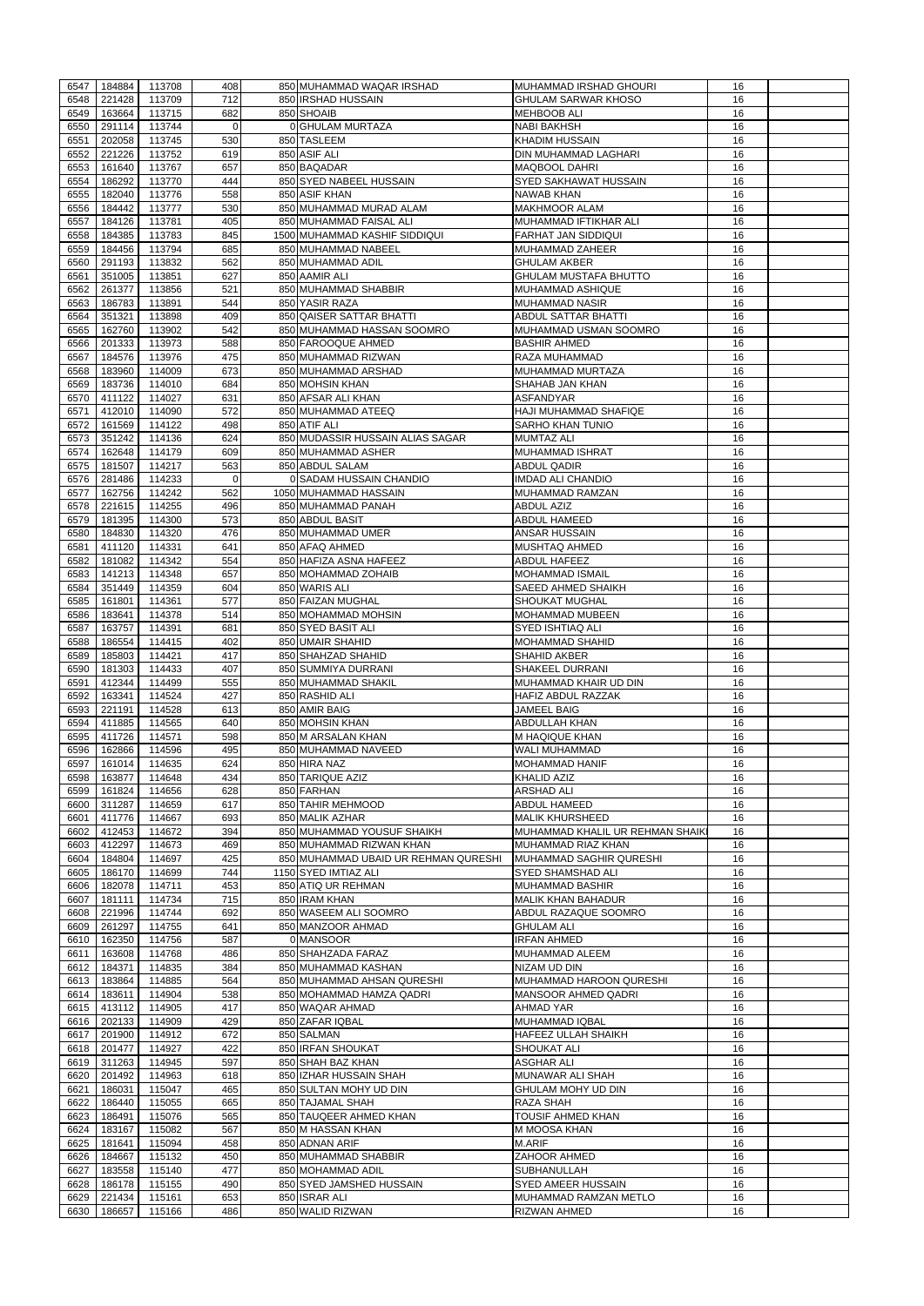| 6547         | 184884           | 113708             | 408         | 850 MUHAMMAD WAQAR IRSHAD            | MUHAMMAD IRSHAD GHOURI                       | 16       |  |
|--------------|------------------|--------------------|-------------|--------------------------------------|----------------------------------------------|----------|--|
| 6548         | 221428           | 113709             | 712         | 850 IRSHAD HUSSAIN                   | <b>GHULAM SARWAR KHOSO</b>                   | 16       |  |
| 6549         | 163664           | 113715             | 682         | 850 SHOAIB                           | <b>MEHBOOB ALI</b>                           | 16       |  |
| 6550         | 291114           | 113744             | $\mathbf 0$ | 0 GHULAM MURTAZA                     | <b>NABI BAKHSH</b>                           | 16       |  |
| 6551         | 202058           | 113745             | 530         | 850 TASLEEM                          | <b>KHADIM HUSSAIN</b>                        | 16       |  |
| 6552         | 221226           | 113752             | 619         | 850 ASIF ALI                         | DIN MUHAMMAD LAGHARI                         | 16       |  |
| 6553         | 161640           | 113767             | 657         | 850 BAQADAR                          | <b>MAQBOOL DAHRI</b>                         | 16       |  |
| 6554         | 186292           | 113770             | 444         | 850 SYED NABEEL HUSSAIN              | SYED SAKHAWAT HUSSAIN                        | 16       |  |
| 6555         | 182040           | 113776             | 558         | 850 ASIF KHAN                        | <b>NAWAB KHAN</b>                            | 16       |  |
| 6556         | 184442           | 113777             | 530         | 850 MUHAMMAD MURAD ALAM              | <b>MAKHMOOR ALAM</b>                         | 16       |  |
| 6557         | 184126           | 113781             | 405         | 850 MUHAMMAD FAISAL ALI              | MUHAMMAD IFTIKHAR ALI                        | 16       |  |
| 6558         | 184385           | 113783             | 845         | 1500 MUHAMMAD KASHIF SIDDIQUI        | <b>FARHAT JAN SIDDIQUI</b>                   | 16       |  |
|              |                  |                    |             |                                      |                                              |          |  |
| 6559         | 184456           | 113794             | 685         | 850 MUHAMMAD NABEEL                  | MUHAMMAD ZAHEER                              | 16       |  |
| 6560         | 291193           | 113832             | 562         | 850 MUHAMMAD ADIL                    | <b>GHULAM AKBER</b>                          | 16       |  |
| 6561         | 351005           | 113851             | 627         | 850 AAMIR ALI                        | <b>GHULAM MUSTAFA BHUTTO</b>                 | 16       |  |
| 6562         | 261377           | 113856             | 521         | 850 MUHAMMAD SHABBIR                 | <b>MUHAMMAD ASHIQUE</b>                      | 16       |  |
| 6563         | 186783           | 113891             | 544         | 850 YASIR RAZA                       | <b>MUHAMMAD NASIR</b>                        | 16       |  |
| 6564         | 351321           | 113898             | 409         | 850 QAISER SATTAR BHATTI             | <b>ABDUL SATTAR BHATTI</b>                   | 16       |  |
| 6565         | 162760           | 113902             | 542         | 850 MUHAMMAD HASSAN SOOMRO           | MUHAMMAD USMAN SOOMRO                        | 16       |  |
| 6566         | 201333           | 113973             | 588         | 850 FAROOQUE AHMED                   | <b>BASHIR AHMED</b>                          | 16       |  |
| 6567         | 184576           | 113976             | 475         | 850 MUHAMMAD RIZWAN                  | RAZA MUHAMMAD                                | 16       |  |
| 6568         | 183960           | 114009             | 673         | 850 MUHAMMAD ARSHAD                  | MUHAMMAD MURTAZA                             | 16       |  |
| 6569         | 183736           | 114010             | 684         | 850 MOHSIN KHAN                      | SHAHAB JAN KHAN                              | 16       |  |
| 6570         | 411122           | 114027             | 631         | 850 AFSAR ALI KHAN                   | <b>ASFANDYAR</b>                             | 16       |  |
| 6571         | 412010           | 114090             | 572         | 850 MUHAMMAD ATEEQ                   | HAJI MUHAMMAD SHAFIQE                        | 16       |  |
| 6572         | 161569           | 114122             | 498         | 850 ATIF ALI                         | <b>SARHO KHAN TUNIO</b>                      | 16       |  |
| 6573         | 351242           | 114136             | 624         | 850 MUDASSIR HUSSAIN ALIAS SAGAR     | <b>MUMTAZ ALI</b>                            | 16       |  |
| 6574         | 162648           | 114179             | 609         | 850 MUHAMMAD ASHER                   | <b>MUHAMMAD ISHRAT</b>                       | 16       |  |
| 6575         | 181507           | 114217             | 563         | 850 ABDUL SALAM                      | <b>ABDUL QADIR</b>                           | 16       |  |
|              |                  |                    |             | 0 SADAM HUSSAIN CHANDIO              | <b>IMDAD ALI CHANDIO</b>                     |          |  |
| 6576         | 281486           | 114233             | $\mathbf 0$ |                                      |                                              | 16       |  |
| 6577         | 162756           | 114242             | 562         | 1050 MUHAMMAD HASSAIN                | MUHAMMAD RAMZAN                              | 16       |  |
| 6578         | 221615           | 114255             | 496         | 850 MUHAMMAD PANAH                   | <b>ABDUL AZIZ</b>                            | 16       |  |
| 6579         | 181395           | 114300             | 573         | 850 ABDUL BASIT                      | <b>ABDUL HAMEED</b>                          | 16       |  |
| 6580         | 184830           | 114320             | 476         | 850 MUHAMMAD UMER                    | <b>ANSAR HUSSAIN</b>                         | 16       |  |
| 6581         | 411120           | 114331             | 641         | 850 AFAQ AHMED                       | <b>MUSHTAQ AHMED</b>                         | 16       |  |
|              | 6582 181082      | 114342             | 554         | 850 HAFIZA ASNA HAFEEZ               | <b>ABDUL HAFEEZ</b>                          | 16       |  |
|              | 6583 141213      | 114348             | 657         | 850 MOHAMMAD ZOHAIB                  | <b>MOHAMMAD ISMAIL</b>                       | 16       |  |
| 6584         | 351449           | 114359             | 604         | 850 WARIS ALI                        | <b>SAEED AHMED SHAIKH</b>                    | 16       |  |
| 6585         | 161801           | 114361             | 577         | 850 FAIZAN MUGHAL                    | <b>SHOUKAT MUGHAL</b>                        | 16       |  |
| 6586         | 183641           | 114378             | 514         | 850 MOHAMMAD MOHSIN                  | <b>MOHAMMAD MUBEEN</b>                       | 16       |  |
| 6587         | 163757           | 114391             | 681         | 850 SYED BASIT ALI                   | SYED ISHTIAQ ALI                             | 16       |  |
| 6588         | 186554           | 114415             | 402         | 850 UMAIR SHAHID                     | MOHAMMAD SHAHID                              | 16       |  |
| 6589         | 185803           | 114421             | 417         | 850 SHAHZAD SHAHID                   | <b>SHAHID AKBER</b>                          | 16       |  |
| 6590         | 181303           | 114433             | 407         | 850 SUMMIYA DURRANI                  | <b>SHAKEEL DURRANI</b>                       | 16       |  |
| 6591         | 412344           | 114499             | 555         | 850 MUHAMMAD SHAKIL                  | MUHAMMAD KHAIR UD DIN                        | 16       |  |
| 6592         | 163341           | 114524             | 427         | 850 RASHID ALI                       | HAFIZ ABDUL RAZZAK                           | 16       |  |
|              |                  |                    | 613         | 850 AMIR BAIG                        |                                              |          |  |
| 6593         | 221191           | 114528             |             |                                      | JAMEEL BAIG                                  | 16       |  |
| 6594         | 411885           | 114565             | 640         | 850 MOHSIN KHAN                      | <b>ABDULLAH KHAN</b>                         | 16       |  |
| 6595         | 411726           | 114571             |             | 850 M ARSALAN KHAN                   | M HAQIQUE KHAN                               |          |  |
| 6596         | 162866           |                    | 598         |                                      |                                              | 16       |  |
| 6597         |                  | 114596             | 495         | 850 MUHAMMAD NAVEED                  | WALI MUHAMMAD                                | 16       |  |
|              | 161014           | 114635             | 624         | 850 HIRA NAZ                         | <b>MOHAMMAD HANIF</b>                        | 16       |  |
| 6598         | 163877           | 114648             | 434         | 850 TARIQUE AZIZ                     | <b>KHALID AZIZ</b>                           | 16       |  |
| 6599         | 161824           | 114656             | 628         | 850 FARHAN                           | <b>ARSHAD ALI</b>                            | 16       |  |
| 6600         | 311287           | 114659             | 617         | 850 TAHIR MEHMOOD                    | ABDUL HAMEED                                 | 16       |  |
| 6601         | 411776           | 114667             | 693         | 850 MALIK AZHAR                      | <b>MALIK KHURSHEED</b>                       | 16       |  |
| 6602         | 412453           | 114672             | 394         | 850 MUHAMMAD YOUSUF SHAIKH           | MUHAMMAD KHALIL UR REHMAN SHAIK              | 16       |  |
| 6603         | 412297           | 114673             | 469         | 850 MUHAMMAD RIZWAN KHAN             | MUHAMMAD RIAZ KHAN                           | 16       |  |
| 6604         | 184804           | 114697             | 425         | 850 MUHAMMAD UBAID UR REHMAN QURESHI | MUHAMMAD SAGHIR QURESHI                      | 16       |  |
| 6605         | 186170           | 114699             | 744         | 1150 SYED IMTIAZ ALI                 | SYED SHAMSHAD ALI                            | 16       |  |
| 6606         |                  |                    |             |                                      | <b>MUHAMMAD BASHIR</b>                       | 16       |  |
|              | 182078           | 114711             | 453         | 850 ATIQ UR REHMAN                   |                                              |          |  |
| 6607         | 181111           | 114734             | 715         | 850 IRAM KHAN                        | <b>MALIK KHAN BAHADUR</b>                    | 16       |  |
| 6608         | 221996           | 114744             | 692         | 850 WASEEM ALI SOOMRO                | ABDUL RAZAQUE SOOMRO                         | 16       |  |
| 6609         | 261297           | 114755             | 641         | 850 MANZOOR AHMAD                    | <b>GHULAM ALI</b>                            | 16       |  |
| 6610         | 162350           | 114756             | 587         | 0 MANSOOR                            | <b>IRFAN AHMED</b>                           | 16       |  |
| 6611         | 163608           | 114768             | 486         | 850 SHAHZADA FARAZ                   | MUHAMMAD ALEEM                               | 16       |  |
| 6612         | 184371           | 114835             | 384         | 850 MUHAMMAD KASHAN                  | NIZAM UD DIN                                 | 16       |  |
| 6613         | 183864           | 114885             | 564         | 850 MUHAMMAD AHSAN QURESHI           | MUHAMMAD HAROON QURESHI                      | 16       |  |
| 6614         | 183611           | 114904             | 538         | 850 MOHAMMAD HAMZA QADRI             | <b>MANSOOR AHMED QADRI</b>                   | 16       |  |
| 6615         | 413112           | 114905             | 417         | 850 WAQAR AHMAD                      | <b>AHMAD YAR</b>                             | 16       |  |
| 6616         | 202133           | 114909             | 429         | 850 ZAFAR IQBAL                      | <b>MUHAMMAD IQBAL</b>                        | 16       |  |
| 6617         | 201900           | 114912             | 672         | 850 SALMAN                           | <b>HAFEEZ ULLAH SHAIKH</b>                   | 16       |  |
| 6618         | 201477           | 114927             | 422         | 850 IRFAN SHOUKAT                    | <b>SHOUKAT ALI</b>                           | 16       |  |
|              |                  | 6619 311263 114945 | 597         | 850 SHAH BAZ KHAN                    | <b>ASGHAR ALI</b>                            | 16       |  |
| 6620         | 201492           | 114963             | 618         | 850 IZHAR HUSSAIN SHAH               | <b>MUNAWAR ALI SHAH</b>                      | 16       |  |
| 6621         | 186031           | 115047             | 465         | 850 SULTAN MOHY UD DIN               | GHULAM MOHY UD DIN                           | 16       |  |
| 6622         | 186440           | 115055             | 665         | 850 TAJAMAL SHAH                     | RAZA SHAH                                    | 16       |  |
| 6623         | 186491           | 115076             | 565         | 850 TAUQEER AHMED KHAN               | TOUSIF AHMED KHAN                            | 16       |  |
|              | 183167           |                    |             | 850 M HASSAN KHAN                    |                                              |          |  |
| 6624         |                  | 115082             | 567         |                                      | M MOOSA KHAN                                 | 16       |  |
| 6625         | 181641           | 115094             | 458         | 850 ADNAN ARIF                       | M.ARIF                                       | 16       |  |
| 6626         | 184667           | 115132             | 450         | 850 MUHAMMAD SHABBIR                 | <b>ZAHOOR AHMED</b>                          | 16       |  |
| 6627         | 183558           | 115140             | 477         | 850 MOHAMMAD ADIL                    | SUBHANULLAH                                  | 16       |  |
| 6628         | 186178           | 115155             | 490         | 850 SYED JAMSHED HUSSAIN             | <b>SYED AMEER HUSSAIN</b>                    | 16       |  |
| 6629<br>6630 | 221434<br>186657 | 115161<br>115166   | 653<br>486  | 850 ISRAR ALI<br>850 WALID RIZWAN    | MUHAMMAD RAMZAN METLO<br><b>RIZWAN AHMED</b> | 16<br>16 |  |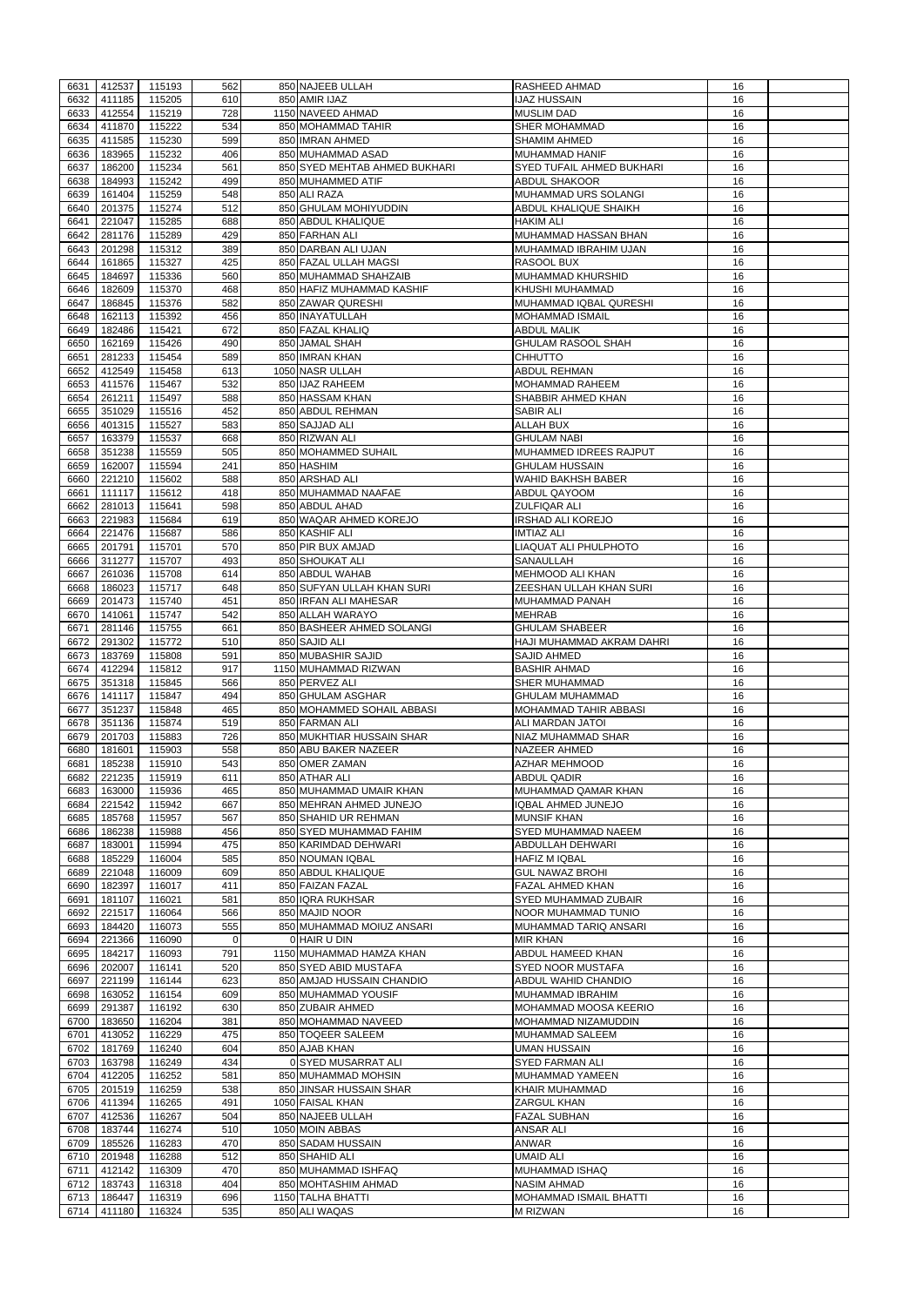| 6631         | 412537           | 115193             | 562        | 850 NAJEEB ULLAH                           | <b>RASHEED AHMAD</b>                      | 16       |  |
|--------------|------------------|--------------------|------------|--------------------------------------------|-------------------------------------------|----------|--|
| 6632         | 411185           | 115205             | 610        | 850 AMIR IJAZ                              | <b>IJAZ HUSSAIN</b>                       | 16       |  |
| 6633         | 412554           | 115219             | 728        | 1150 NAVEED AHMAD                          | <b>MUSLIM DAD</b>                         | 16       |  |
| 6634         | 411870           | 115222             | 534        | 850 MOHAMMAD TAHIR                         | <b>SHER MOHAMMAD</b>                      | 16       |  |
| 6635         | 411585           | 115230             | 599        | 850 IMRAN AHMED                            | <b>SHAMIM AHMED</b>                       | 16       |  |
| 6636         | 183965           | 115232             | 406        | 850 MUHAMMAD ASAD                          | MUHAMMAD HANIF                            | 16       |  |
| 6637         | 186200           | 115234             | 561        | 850 SYED MEHTAB AHMED BUKHARI              | SYED TUFAIL AHMED BUKHARI                 | 16       |  |
| 6638         | 184993           | 115242             | 499        | 850 MUHAMMED ATIF                          | <b>ABDUL SHAKOOR</b>                      | 16       |  |
| 6639         | 161404           | 115259             | 548        | 850 ALI RAZA                               | MUHAMMAD URS SOLANGI                      | 16       |  |
| 6640         | 201375           | 115274             | 512        | 850 GHULAM MOHIYUDDIN                      | ABDUL KHALIQUE SHAIKH                     | 16       |  |
| 6641         | 221047           | 115285             | 688        | 850 ABDUL KHALIQUE                         | HAKIM ALI                                 | 16       |  |
| 6642         | 281176           | 115289             | 429        | 850 FARHAN ALI                             | MUHAMMAD HASSAN BHAN                      | 16       |  |
| 6643         | 201298           | 115312             | 389        | 850 DARBAN ALI UJAN                        | MUHAMMAD IBRAHIM UJAN                     | 16       |  |
| 6644         | 161865           | 115327             | 425        | 850 FAZAL ULLAH MAGSI                      | <b>RASOOL BUX</b>                         | 16       |  |
| 6645         | 184697           | 115336             | 560        | 850 MUHAMMAD SHAHZAIB                      | MUHAMMAD KHURSHID                         | 16       |  |
| 6646         | 182609           | 115370             | 468        | 850 HAFIZ MUHAMMAD KASHIF                  | KHUSHI MUHAMMAD                           | 16       |  |
| 6647         | 186845           | 115376             | 582        | 850 ZAWAR QURESHI                          | MUHAMMAD IQBAL QURESHI                    | 16       |  |
| 6648         | 162113           | 115392             | 456        | 850 INAYATULLAH                            | <b>MOHAMMAD ISMAIL</b>                    | 16       |  |
| 6649         | 182486           | 115421             | 672        | 850 FAZAL KHALIQ                           | ABDUL MALIK                               | 16       |  |
| 6650         | 162169           | 115426             | 490        | 850 JAMAL SHAH                             | <b>GHULAM RASOOL SHAH</b>                 | 16       |  |
| 6651         | 281233           | 115454             | 589        | 850 IMRAN KHAN                             | <b>CHHUTTO</b>                            | 16       |  |
| 6652         | 412549           | 115458             | 613        | 1050 NASR ULLAH                            | ABDUL REHMAN                              | 16       |  |
| 6653         | 411576           | 115467             | 532        | 850 IJAZ RAHEEM                            | <b>MOHAMMAD RAHEEM</b>                    | 16       |  |
| 6654         | 261211           | 115497             | 588        | 850 HASSAM KHAN                            | SHABBIR AHMED KHAN                        | 16       |  |
| 6655         | 351029           | 115516             | 452        | 850 ABDUL REHMAN                           | <b>SABIR ALI</b>                          | 16       |  |
| 6656         | 401315           | 115527             | 583        | 850 SAJJAD ALI                             | <b>ALLAH BUX</b>                          | 16       |  |
| 6657         | 163379           | 115537             | 668        | 850 RIZWAN ALI                             | <b>GHULAM NABI</b>                        | 16       |  |
| 6658         | 351238           | 115559             | 505        | 850 MOHAMMED SUHAIL                        | MUHAMMED IDREES RAJPUT                    | 16       |  |
| 6659         | 162007           | 115594             | 241<br>588 | 850 HASHIM<br>850 ARSHAD ALI               | <b>GHULAM HUSSAIN</b>                     | 16       |  |
| 6660<br>6661 | 221210<br>111117 | 115602<br>115612   | 418        | 850 MUHAMMAD NAAFAE                        | <b>WAHID BAKHSH BABER</b><br>ABDUL QAYOOM | 16<br>16 |  |
| 6662         | 281013           | 115641             | 598        | 850 ABDUL AHAD                             | <b>ZULFIQAR ALI</b>                       | 16       |  |
| 6663         | 221983           | 115684             | 619        | 850 WAQAR AHMED KOREJO                     | <b>IRSHAD ALI KOREJO</b>                  | 16       |  |
| 6664         | 221476           | 115687             | 586        | 850 KASHIF ALI                             | <b>IMTIAZ ALI</b>                         | 16       |  |
| 6665         | 201791           | 115701             | 570        | 850 PIR BUX AMJAD                          | LIAQUAT ALI PHULPHOTO                     | 16       |  |
| 6666         | 311277           | 115707             | 493        | 850 SHOUKAT ALI                            | SANAULLAH                                 | 16       |  |
| 6667         | 261036           | 115708             | 614        | 850 ABDUL WAHAB                            | <b>MEHMOOD ALI KHAN</b>                   | 16       |  |
| 6668         | 186023           | 115717             | 648        | 850 SUFYAN ULLAH KHAN SURI                 | ZEESHAN ULLAH KHAN SURI                   | 16       |  |
| 6669         | 201473           | 115740             | 451        | 850 IRFAN ALI MAHESAR                      | MUHAMMAD PANAH                            | 16       |  |
| 6670         | 141061           | 115747             | 542        | 850 ALLAH WARAYO                           | <b>MEHRAB</b>                             | 16       |  |
| 6671         | 281146           | 115755             | 661        | 850 BASHEER AHMED SOLANGI                  | <b>GHULAM SHABEER</b>                     | 16       |  |
| 6672         | 291302           | 115772             | 510        | 850 SAJID ALI                              | HAJI MUHAMMAD AKRAM DAHRI                 | 16       |  |
| 6673         | 183769           | 115808             | 591        | 850 MUBASHIR SAJID                         | <b>SAJID AHMED</b>                        | 16       |  |
| 6674         | 412294           | 115812             | 917        | 1150 MUHAMMAD RIZWAN                       | <b>BASHIR AHMAD</b>                       | 16       |  |
| 6675         | 351318           | 115845             | 566        | 850 PERVEZ ALI                             | <b>SHER MUHAMMAD</b>                      | 16       |  |
| 6676         | 141117           | 115847             | 494        | 850 GHULAM ASGHAR                          | <b>GHULAM MUHAMMAD</b>                    | 16       |  |
| 6677         | 351237           | 115848             | 465        | 850 MOHAMMED SOHAIL ABBASI                 | MOHAMMAD TAHIR ABBASI                     | 16       |  |
| 6678         | 351136           | 115874             | 519        | 850 FARMAN ALI                             | <b>ALI MARDAN JATOI</b>                   | 16       |  |
| 6679         |                  |                    |            | 850 MUKHTIAR HUSSAIN SHAR                  |                                           |          |  |
|              | 201703           | 115883             | 726        |                                            | NIAZ MUHAMMAD SHAR                        | 16       |  |
| 6680         | 181601           | 115903             | 558        | 850 ABU BAKER NAZEER                       | <b>NAZEER AHMED</b>                       | 16       |  |
| 6681         | 185238           | 115910             | 543        | 850 OMER ZAMAN                             | <b>AZHAR MEHMOOD</b>                      | 16       |  |
| 6682         | 221235           | 115919             | 611        | 850 ATHAR ALI                              | ABDUL QADIR                               | 16       |  |
| 6683         | 163000           | 115936             | 465        | 850 MUHAMMAD UMAIR KHAN                    | MUHAMMAD QAMAR KHAN                       | 16       |  |
| 6684         | 221542           | 115942             | 667        | 850 MEHRAN AHMED JUNEJO                    | IQBAL AHMED JUNEJO                        | 16       |  |
| 6685         | 185768           | 115957             | 567        | 850 SHAHID UR REHMAN                       | <b>MUNSIF KHAN</b>                        | 16       |  |
| 6686         | 186238           | 115988             | 456        | 850 SYED MUHAMMAD FAHIM                    | SYED MUHAMMAD NAEEM                       | 16       |  |
| 6687         | 183001           | 115994             | 475        | 850 KARIMDAD DEHWARI                       | ABDULLAH DEHWARI                          | 16       |  |
| 6688         | 185229           | 116004             | 585        | 850 NOUMAN IQBAL                           | HAFIZ M IQBAL                             | 16       |  |
| 6689         | 221048           | 116009             | 609        | 850 ABDUL KHALIQUE                         | <b>GUL NAWAZ BROHI</b>                    | 16       |  |
| 6690         | 182397           | 116017             | 411        | 850 FAIZAN FAZAL                           | FAZAL AHMED KHAN                          | 16       |  |
| 6691         | 181107           | 116021             | 581        | 850 IQRA RUKHSAR                           | SYED MUHAMMAD ZUBAIR                      | 16       |  |
| 6692         | 221517           | 116064             | 566        | 850 MAJID NOOR                             | NOOR MUHAMMAD TUNIO                       | 16       |  |
| 6693         | 184420           | 116073             | 555        | 850 MUHAMMAD MOIUZ ANSARI                  | MUHAMMAD TARIQ ANSARI                     | 16       |  |
| 6694         | 221366           | 116090             | $\Omega$   | 0 HAIR U DIN                               | <b>MIR KHAN</b>                           | 16       |  |
| 6695         | 184217           | 116093             | 791        | 1150 MUHAMMAD HAMZA KHAN                   | ABDUL HAMEED KHAN                         | 16       |  |
| 6696         | 202007           | 116141             | 520        | 850 SYED ABID MUSTAFA                      | <b>SYED NOOR MUSTAFA</b>                  | 16       |  |
| 6697         | 221199           | 116144             | 623        | 850 AMJAD HUSSAIN CHANDIO                  | ABDUL WAHID CHANDIO                       | 16       |  |
| 6698         | 163052           | 116154             | 609        | 850 MUHAMMAD YOUSIF                        | <b>MUHAMMAD IBRAHIM</b>                   | 16       |  |
| 6699         | 291387           | 116192             | 630        | 850 ZUBAIR AHMED                           | <b>MOHAMMAD MOOSA KEERIO</b>              | 16       |  |
| 6700         | 183650           | 116204             | 381        | 850 MOHAMMAD NAVEED                        | MOHAMMAD NIZAMUDDIN                       | 16<br>16 |  |
| 6701         | 413052           | 116229             | 475        | 850 TOQEER SALEEM                          | MUHAMMAD SALEEM                           | 16       |  |
| 6702         | 181769           | 116240             | 604        | 850 AJAB KHAN                              | <b>UMAN HUSSAIN</b>                       |          |  |
| 6704         | 412205           | 6703 163798 116249 | 434<br>581 | 0 SYED MUSARRAT ALI<br>850 MUHAMMAD MOHSIN | <b>SYED FARMAN ALI</b>                    | 16<br>16 |  |
| 6705         | 201519           | 116252<br>116259   | 538        | 850 JINSAR HUSSAIN SHAR                    | MUHAMMAD YAMEEN<br>KHAIR MUHAMMAD         | 16       |  |
| 6706         | 411394           | 116265             | 491        | 1050 FAISAL KHAN                           | ZARGUL KHAN                               | 16       |  |
| 6707         | 412536           | 116267             | 504        | 850 NAJEEB ULLAH                           | <b>FAZAL SUBHAN</b>                       | 16       |  |
| 6708         | 183744           | 116274             | 510        | 1050 MOIN ABBAS                            | <b>ANSAR ALI</b>                          | 16       |  |
| 6709         | 185526           | 116283             | 470        | 850 SADAM HUSSAIN                          | <b>ANWAR</b>                              | 16       |  |
| 6710         | 201948           | 116288             | 512        | 850 SHAHID ALI                             | <b>UMAID ALI</b>                          | 16       |  |
| 6711         | 412142           | 116309             | 470        | 850 MUHAMMAD ISHFAQ                        | <b>MUHAMMAD ISHAQ</b>                     | 16       |  |
| 6712         | 183743           | 116318             | 404        | 850 MOHTASHIM AHMAD                        | <b>NASIM AHMAD</b>                        | 16       |  |
| 6713         | 186447           | 116319             | 696        | 1150 TALHA BHATTI<br>850 ALI WAQAS         | MOHAMMAD ISMAIL BHATTI                    | 16       |  |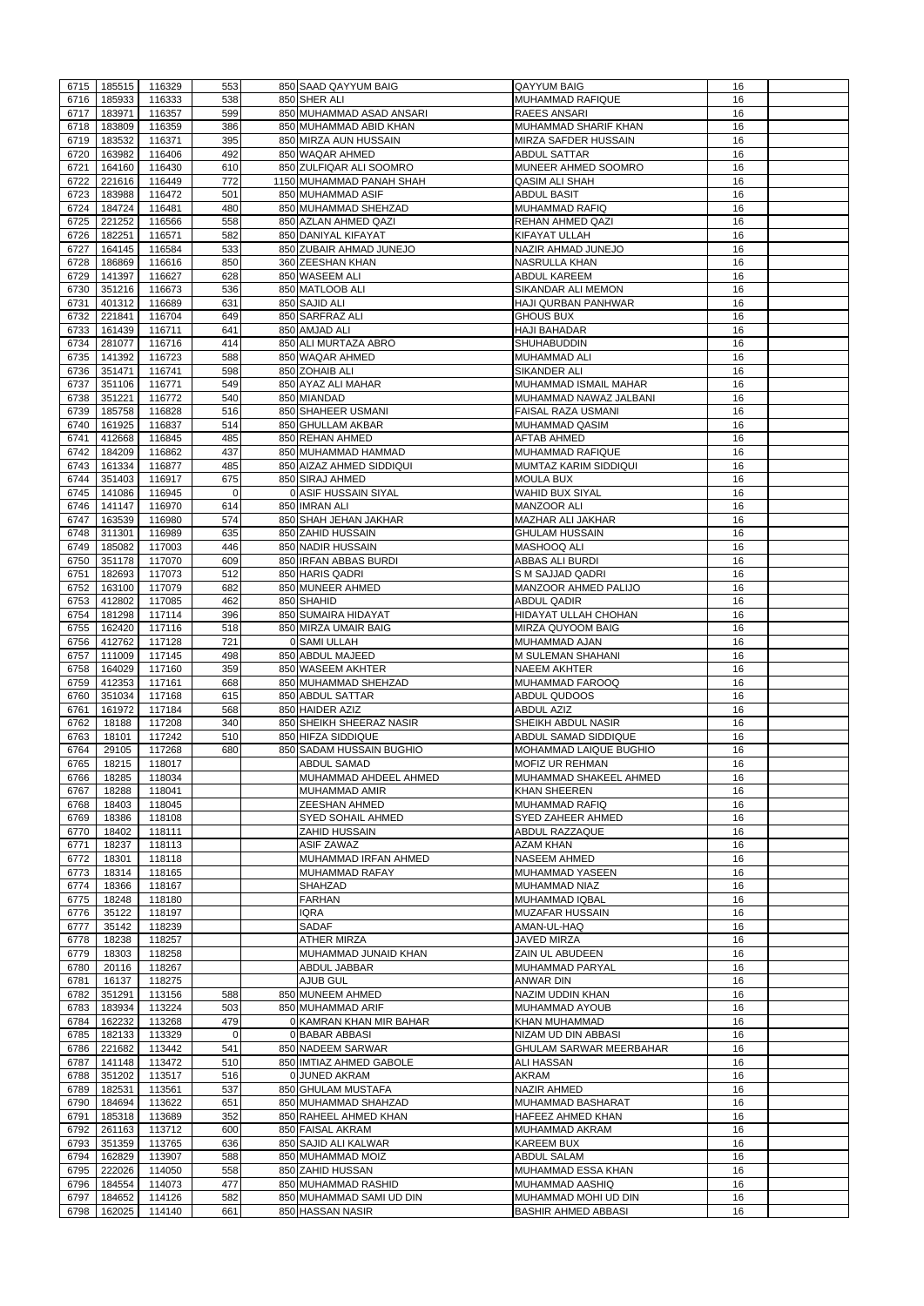|              |                  | 116329           |             |                                              | <b>QAYYUM BAIG</b>                                 |          |  |
|--------------|------------------|------------------|-------------|----------------------------------------------|----------------------------------------------------|----------|--|
| 6715         | 185515           |                  | 553         | 850 SAAD QAYYUM BAIG                         |                                                    | 16       |  |
| 6716         | 185933           | 116333           | 538         | 850 SHER ALI                                 | <b>MUHAMMAD RAFIQUE</b>                            | 16       |  |
| 6717         | 183971           | 116357           | 599         | 850 MUHAMMAD ASAD ANSARI                     | <b>RAEES ANSARI</b>                                | 16       |  |
| 6718         | 183809           | 116359           | 386         | 850 MUHAMMAD ABID KHAN                       | MUHAMMAD SHARIF KHAN                               | 16       |  |
| 6719         | 183532           | 116371           | 395         | 850 MIRZA AUN HUSSAIN                        | MIRZA SAFDER HUSSAIN                               | 16       |  |
|              |                  |                  | 492         |                                              |                                                    |          |  |
| 6720         | 163982           | 116406           |             | 850 WAQAR AHMED                              | <b>ABDUL SATTAR</b>                                | 16       |  |
| 6721         | 164160           | 116430           | 610         | 850 ZULFIQAR ALI SOOMRO                      | MUNEER AHMED SOOMRO                                | 16       |  |
| 6722         | 221616           | 116449           | 772         | 1150 MUHAMMAD PANAH SHAH                     | <b>QASIM ALI SHAH</b>                              | 16       |  |
| 6723         | 183988           | 116472           | 501         | 850 MUHAMMAD ASIF                            | <b>ABDUL BASIT</b>                                 | 16       |  |
| 6724         | 184724           | 116481           | 480         | 850 MUHAMMAD SHEHZAD                         | <b>MUHAMMAD RAFIQ</b>                              | 16       |  |
|              |                  |                  |             |                                              |                                                    |          |  |
| 6725         | 221252           | 116566           | 558         | 850 AZLAN AHMED QAZI                         | <b>REHAN AHMED QAZI</b>                            | 16       |  |
| 6726         | 182251           | 116571           | 582         | 850 DANIYAL KIFAYAT                          | <b>KIFAYAT ULLAH</b>                               | 16       |  |
| 6727         | 164145           | 116584           | 533         | 850 ZUBAIR AHMAD JUNEJO                      | NAZIR AHMAD JUNEJO                                 | 16       |  |
|              |                  |                  | 850         |                                              |                                                    |          |  |
| 6728         | 186869           | 116616           |             | 360 ZEESHAN KHAN                             | <b>NASRULLA KHAN</b>                               | 16       |  |
| 6729         | 141397           | 116627           | 628         | 850 WASEEM ALI                               | <b>ABDUL KAREEM</b>                                | 16       |  |
| 6730         | 351216           | 116673           | 536         | 850 MATLOOB ALI                              | <b>SIKANDAR ALI MEMON</b>                          | 16       |  |
| 6731         | 401312           | 116689           | 631         | 850 SAJID ALI                                | HAJI QURBAN PANHWAR                                | 16       |  |
|              |                  |                  |             |                                              |                                                    |          |  |
| 6732         | 221841           | 116704           | 649         | 850 SARFRAZ ALI                              | <b>GHOUS BUX</b>                                   | 16       |  |
| 6733         | 161439           | 116711           | 641         | 850 AMJAD ALI                                | <b>HAJI BAHADAR</b>                                | 16       |  |
| 6734         | 281077           | 116716           | 414         | 850 ALI MURTAZA ABRO                         | <b>SHUHABUDDIN</b>                                 | 16       |  |
| 6735         | 141392           | 116723           | 588         | 850 WAQAR AHMED                              | <b>MUHAMMAD ALI</b>                                | 16       |  |
|              |                  |                  |             |                                              |                                                    |          |  |
| 6736         | 351471           | 116741           | 598         | 850 ZOHAIB ALI                               | <b>SIKANDER ALI</b>                                | 16       |  |
| 6737         | 351106           | 116771           | 549         | 850 AYAZ ALI MAHAR                           | MUHAMMAD ISMAIL MAHAR                              | 16       |  |
| 6738         | 351221           | 116772           | 540         | 850 MIANDAD                                  | MUHAMMAD NAWAZ JALBANI                             | 16       |  |
| 6739         | 185758           | 116828           | 516         | 850 SHAHEER USMANI                           | <b>FAISAL RAZA USMANI</b>                          | 16       |  |
|              |                  |                  |             |                                              |                                                    |          |  |
| 6740         | 161925           | 116837           | 514         | 850 GHULLAM AKBAR                            | MUHAMMAD QASIM                                     | 16       |  |
| 6741         | 412668           | 116845           | 485         | 850 REHAN AHMED                              | <b>AFTAB AHMED</b>                                 | 16       |  |
| 6742         | 184209           | 116862           | 437         | 850 MUHAMMAD HAMMAD                          | MUHAMMAD RAFIQUE                                   | 16       |  |
| 6743         | 161334           | 116877           | 485         | 850 AIZAZ AHMED SIDDIQUI                     | MUMTAZ KARIM SIDDIQUI                              | 16       |  |
|              |                  |                  |             |                                              |                                                    |          |  |
| 6744         | 351403           | 116917           | 675         | 850 SIRAJ AHMED                              | <b>MOULA BUX</b>                                   | 16       |  |
| 6745         | 141086           | 116945           | $\mathbf 0$ | 0 ASIF HUSSAIN SIYAL                         | <b>WAHID BUX SIYAL</b>                             | 16       |  |
| 6746         | 141147           | 116970           | 614         | 850 IMRAN ALI                                | <b>MANZOOR ALI</b>                                 | 16       |  |
|              |                  |                  |             |                                              |                                                    |          |  |
| 6747         | 163539           | 116980           | 574         | 850 SHAH JEHAN JAKHAR                        | MAZHAR ALI JAKHAR                                  | 16       |  |
| 6748         | 311301           | 116989           | 635         | 850 ZAHID HUSSAIN                            | <b>GHULAM HUSSAIN</b>                              | 16       |  |
| 6749         | 185082           | 117003           | 446         | 850 NADIR HUSSAIN                            | MASHOOQ ALI                                        | 16       |  |
|              | 6750 351178      | 117070           | 609         | 850 IRFAN ABBAS BURDI                        | <b>ABBAS ALI BURDI</b>                             | 16       |  |
|              |                  |                  |             |                                              |                                                    |          |  |
| 6751         | 182693           | 117073           | 512         | 850 HARIS QADRI                              | S M SAJJAD QADRI                                   | 16       |  |
| 6752         | 163100           | 117079           | 682         | 850 MUNEER AHMED                             | <b>MANZOOR AHMED PALIJO</b>                        | 16       |  |
| 6753         | 412802           | 117085           | 462         | 850 SHAHID                                   | <b>ABDUL QADIR</b>                                 | 16       |  |
|              |                  |                  | 396         | 850 SUMAIRA HIDAYAT                          |                                                    |          |  |
| 6754         | 181298           | 117114           |             |                                              | HIDAYAT ULLAH CHOHAN                               | 16       |  |
| 6755         | 162420           | 117116           | 518         | 850 MIRZA UMAIR BAIG                         | <b>MIRZA QUYOOM BAIG</b>                           | 16       |  |
| 6756         | 412762           | 117128           | 721         | 0 SAMI ULLAH                                 | MUHAMMAD AJAN                                      | 16       |  |
| 6757         | 111009           | 117145           | 498         | 850 ABDUL MAJEED                             | <b>M SULEMAN SHAHANI</b>                           | 16       |  |
|              |                  |                  |             |                                              |                                                    |          |  |
| 6758         | 164029           | 117160           | 359         | 850 WASEEM AKHTER                            | <b>NAEEM AKHTER</b>                                | 16       |  |
| 6759         | 412353           | 117161           | 668         | 850 MUHAMMAD SHEHZAD                         | MUHAMMAD FAROOQ                                    | 16       |  |
| 6760         | 351034           | 117168           | 615         | 850 ABDUL SATTAR                             | <b>ABDUL QUDOOS</b>                                | 16       |  |
| 6761         | 161972           | 117184           | 568         | 850 HAIDER AZIZ                              | <b>ABDUL AZIZ</b>                                  | 16       |  |
|              |                  |                  |             |                                              |                                                    |          |  |
| 6762         | 18188            | 117208           | 340         | 850 SHEIKH SHEERAZ NASIR                     | SHEIKH ABDUL NASIR                                 | 16       |  |
| 6763         | 18101            | 117242           | 510         | 850 HIFZA SIDDIQUE                           | ABDUL SAMAD SIDDIQUE                               | 16       |  |
| 6764         | 29105            | 117268           | 680         | 850 SADAM HUSSAIN BUGHIO                     | <b>MOHAMMAD LAIQUE BUGHIO</b>                      | 16       |  |
| 6765         | 18215            | 118017           |             | <b>ABDUL SAMAD</b>                           | <b>MOFIZ UR REHMAN</b>                             | 16       |  |
|              |                  |                  |             |                                              |                                                    |          |  |
| 6766         | 18285            | 118034           |             | MUHAMMAD AHDEEL AHMED                        | MUHAMMAD SHAKEEL AHMED                             | 16       |  |
| 6767         | 18288            | 118041           |             | MUHAMMAD AMIR                                | <b>KHAN SHEEREN</b>                                | 16       |  |
| 6768         | 18403            | 118045           |             | <b>ZEESHAN AHMED</b>                         | <b>MUHAMMAD RAFIQ</b>                              | 16       |  |
| 6769         | 18386            | 118108           |             | SYED SOHAIL AHMED                            | <b>SYED ZAHEER AHMED</b>                           | 16       |  |
|              |                  |                  |             |                                              |                                                    |          |  |
| 6770         | 18402            | 118111           |             | <b>ZAHID HUSSAIN</b>                         | ABDUL RAZZAQUE                                     | 16       |  |
| 6771         | 18237            | 118113           |             | <b>ASIF ZAWAZ</b>                            | AZAM KHAN                                          | 16       |  |
| 6772         | 18301            | 118118           |             | MUHAMMAD IRFAN AHMED                         | <b>NASEEM AHMED</b>                                | 16       |  |
| 6773         | 18314            | 118165           |             | MUHAMMAD RAFAY                               | MUHAMMAD YASEEN                                    | 16       |  |
|              |                  |                  |             |                                              |                                                    |          |  |
| 6774         | 18366            | 118167           |             | <b>SHAHZAD</b>                               | MUHAMMAD NIAZ                                      | 16       |  |
| 6775         | 18248            | 118180           |             | <b>FARHAN</b>                                | <b>MUHAMMAD IQBAL</b>                              | 16       |  |
| 6776         | 35122            | 118197           |             | <b>IQRA</b>                                  | <b>MUZAFAR HUSSAIN</b>                             | 16       |  |
|              |                  |                  |             |                                              |                                                    |          |  |
|              |                  |                  |             |                                              |                                                    |          |  |
| 6777         | 35142            | 118239           |             | <b>SADAF</b>                                 | AMAN-UL-HAQ                                        | 16       |  |
| 6778         | 18238            | 118257           |             | <b>ATHER MIRZA</b>                           | <b>JAVED MIRZA</b>                                 | 16       |  |
| 6779         | 18303            | 118258           |             | MUHAMMAD JUNAID KHAN                         | ZAIN UL ABUDEEN                                    | 16       |  |
| 6780         | 20116            | 118267           |             | <b>ABDUL JABBAR</b>                          | MUHAMMAD PARYAL                                    | 16       |  |
|              |                  |                  |             |                                              |                                                    |          |  |
| 6781         | 16137            | 118275           |             | <b>AJUB GUL</b>                              | <b>ANWAR DIN</b>                                   | 16       |  |
| 6782         | 351291           | 113156           | 588         | 850 MUNEEM AHMED                             | NAZIM UDDIN KHAN                                   | 16       |  |
| 6783         | 183934           | 113224           | 503         | 850 MUHAMMAD ARIF                            | MUHAMMAD AYOUB                                     | 16       |  |
| 6784         | 162232           | 113268           | 479         | 0 KAMRAN KHAN MIR BAHAR                      | <b>KHAN MUHAMMAD</b>                               | 16       |  |
|              |                  |                  |             |                                              |                                                    |          |  |
| 6785         | 182133           | 113329           | 0           | 0 BABAR ABBASI                               | NIZAM UD DIN ABBASI                                | 16       |  |
| 6786         | 221682           | 113442           | 541         | 850 NADEEM SARWAR                            | <b>GHULAM SARWAR MEERBAHAR</b>                     | 16       |  |
|              | 6787 141148      | 113472           | 510         | 850 IMTIAZ AHMED GABOLE                      | <b>ALI HASSAN</b>                                  | 16       |  |
| 6788         | 351202           | 113517           | 516         | 0 JUNED AKRAM                                | <b>AKRAM</b>                                       | 16       |  |
|              |                  |                  |             |                                              |                                                    |          |  |
| 6789         | 182531           | 113561           | 537         | 850 GHULAM MUSTAFA                           | <b>NAZIR AHMED</b>                                 | 16       |  |
| 6790         | 184694           | 113622           | 651         | 850 MUHAMMAD SHAHZAD                         | MUHAMMAD BASHARAT                                  | 16       |  |
| 6791         | 185318           | 113689           | 352         | 850 RAHEEL AHMED KHAN                        | <b>HAFEEZ AHMED KHAN</b>                           | 16       |  |
| 6792         | 261163           | 113712           | 600         | 850 FAISAL AKRAM                             | MUHAMMAD AKRAM                                     | 16       |  |
|              |                  |                  |             |                                              |                                                    |          |  |
| 6793         | 351359           | 113765           | 636         | 850 SAJID ALI KALWAR                         | <b>KAREEM BUX</b>                                  | 16       |  |
| 6794         | 162829           | 113907           | 588         | 850 MUHAMMAD MOIZ                            | <b>ABDUL SALAM</b>                                 | 16       |  |
| 6795         | 222026           | 114050           | 558         | 850 ZAHID HUSSAN                             | MUHAMMAD ESSA KHAN                                 | 16       |  |
| 6796         | 184554           | 114073           | 477         | 850 MUHAMMAD RASHID                          | MUHAMMAD AASHIQ                                    | 16       |  |
|              |                  |                  |             |                                              |                                                    |          |  |
| 6797<br>6798 | 184652<br>162025 | 114126<br>114140 | 582<br>661  | 850 MUHAMMAD SAMI UD DIN<br>850 HASSAN NASIR | MUHAMMAD MOHI UD DIN<br><b>BASHIR AHMED ABBASI</b> | 16<br>16 |  |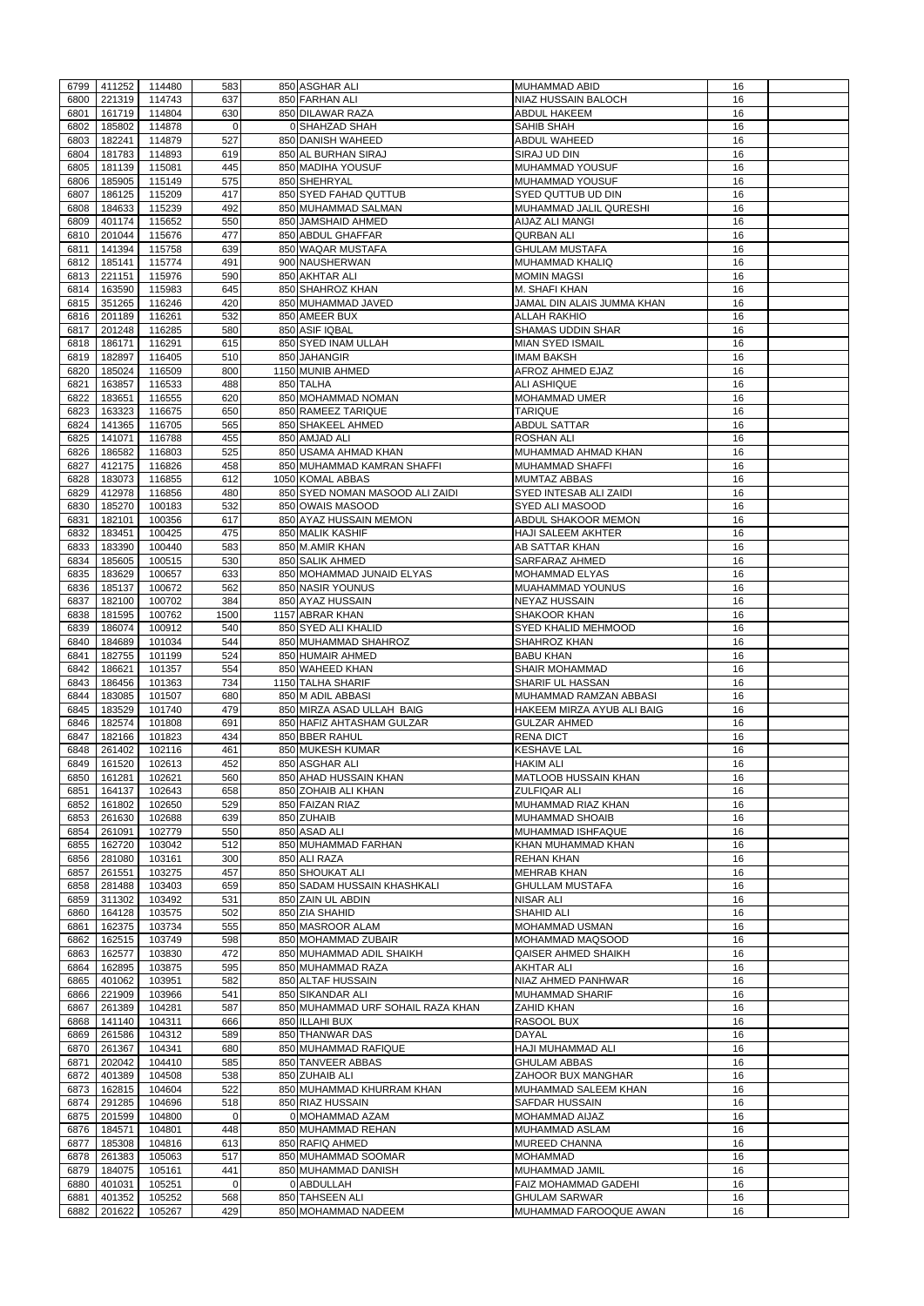| 6799<br>6800 | 411252           | 114480           | 583            | 850 ASGHAR ALI                         | <b>MUHAMMAD ABID</b>                              | 16       |  |
|--------------|------------------|------------------|----------------|----------------------------------------|---------------------------------------------------|----------|--|
|              |                  |                  |                |                                        |                                                   |          |  |
|              | 221319<br>161719 | 114743           | 637            | 850 FARHAN ALI                         | <b>NIAZ HUSSAIN BALOCH</b><br><b>ABDUL HAKEEM</b> | 16       |  |
| 6801         |                  | 114804           | 630            | 850 DILAWAR RAZA                       |                                                   | 16       |  |
| 6802         | 185802           | 114878           | $\overline{0}$ | 0 SHAHZAD SHAH                         | SAHIB SHAH                                        | 16       |  |
| 6803         | 182241           | 114879           | 527            | 850 DANISH WAHEED                      | ABDUL WAHEED                                      | 16       |  |
| 6804         | 181783           | 114893           | 619            | 850 AL BURHAN SIRAJ                    | SIRAJ UD DIN                                      | 16       |  |
| 6805         | 181139           | 115081           | 445            | 850 MADIHA YOUSUF                      | <b>MUHAMMAD YOUSUF</b>                            | 16       |  |
| 6806         | 185905           | 115149           | 575            | 850 SHEHRYAL                           | MUHAMMAD YOUSUF                                   | 16       |  |
| 6807         | 186125           | 115209           | 417            | 850 SYED FAHAD QUTTUB                  | SYED QUTTUB UD DIN                                | 16       |  |
| 6808         | 184633           | 115239           | 492            | 850 MUHAMMAD SALMAN                    | MUHAMMAD JALIL QURESHI                            | 16       |  |
| 6809         | 401174           | 115652           | 550            | 850 JAMSHAID AHMED                     | <b>AIJAZ ALI MANGI</b>                            | 16       |  |
| 6810         | 201044           | 115676           | 477            | 850 ABDUL GHAFFAR                      | <b>QURBAN ALI</b>                                 | 16       |  |
| 6811         | 141394           | 115758           | 639            | 850 WAQAR MUSTAFA                      | <b>GHULAM MUSTAFA</b>                             | 16       |  |
| 6812         | 185141           | 115774           | 491            | 900 NAUSHERWAN                         | <b>MUHAMMAD KHALIQ</b>                            | 16       |  |
| 6813         | 221151           | 115976           | 590            | 850 AKHTAR ALI                         | <b>MOMIN MAGSI</b>                                | 16       |  |
| 6814         | 163590           | 115983           | 645            | 850 SHAHROZ KHAN                       | M. SHAFI KHAN                                     | 16       |  |
| 6815         | 351265           | 116246           | 420            | 850 MUHAMMAD JAVED                     | JAMAL DIN ALAIS JUMMA KHAN                        | 16       |  |
| 6816         | 201189           | 116261           | 532            | 850 AMEER BUX                          | <b>ALLAH RAKHIO</b>                               | 16       |  |
| 6817         | 201248           | 116285           | 580            | 850 ASIF IQBAL                         | <b>SHAMAS UDDIN SHAR</b>                          | 16       |  |
|              | 186171           |                  | 615            | 850 SYED INAM ULLAH                    |                                                   | 16       |  |
| 6818         |                  | 116291           |                |                                        | <b>MIAN SYED ISMAIL</b>                           |          |  |
| 6819         | 182897           | 116405           | 510            | 850 JAHANGIR                           | <b>IMAM BAKSH</b>                                 | 16       |  |
| 6820         | 185024           | 116509           | 800            | 1150 MUNIB AHMED                       | AFROZ AHMED EJAZ                                  | 16       |  |
| 6821         | 163857           | 116533           | 488            | 850 TALHA                              | <b>ALI ASHIQUE</b>                                | 16       |  |
| 6822         | 183651           | 116555           | 620            | 850 MOHAMMAD NOMAN                     | <b>MOHAMMAD UMER</b>                              | 16       |  |
| 6823         | 163323           | 116675           | 650            | 850 RAMEEZ TARIQUE                     | <b>TARIQUE</b>                                    | 16       |  |
| 6824         | 141365           | 116705           | 565            | 850 SHAKEEL AHMED                      | <b>ABDUL SATTAR</b>                               | 16       |  |
| 6825         | 141071           | 116788           | 455            | 850 AMJAD ALI                          | <b>ROSHAN ALI</b>                                 | 16       |  |
| 6826         | 186582           | 116803           | 525            | 850 USAMA AHMAD KHAN                   | MUHAMMAD AHMAD KHAN                               | 16       |  |
| 6827         | 412175           | 116826           | 458            | 850 MUHAMMAD KAMRAN SHAFFI             | <b>MUHAMMAD SHAFFI</b>                            | 16       |  |
| 6828         | 183073           | 116855           | 612            | 1050 KOMAL ABBAS                       | <b>MUMTAZ ABBAS</b>                               | 16       |  |
| 6829         | 412978           | 116856           | 480            | 850 SYED NOMAN MASOOD ALI ZAIDI        | SYED INTESAB ALI ZAIDI                            | 16       |  |
| 6830         | 185270           | 100183           | 532            | 850 OWAIS MASOOD                       | <b>SYED ALI MASOOD</b>                            | 16       |  |
| 6831         | 182101           | 100356           | 617            | 850 AYAZ HUSSAIN MEMON                 | <b>ABDUL SHAKOOR MEMON</b>                        | 16       |  |
| 6832         | 183451           | 100425           | 475            | 850 MALIK KASHIF                       | <b>HAJI SALEEM AKHTER</b>                         | 16       |  |
| 6833         | 183390           | 100440           | 583            | 850 M.AMIR KHAN                        | <b>AB SATTAR KHAN</b>                             | 16       |  |
|              |                  |                  |                | 850 SALIK AHMED                        |                                                   |          |  |
| 6834         | 185605           | 100515           | 530            |                                        | <b>SARFARAZ AHMED</b>                             | 16       |  |
| 6835         | 183629           | 100657           | 633            | 850 MOHAMMAD JUNAID ELYAS              | <b>MOHAMMAD ELYAS</b>                             | 16       |  |
| 6836         | 185137           | 100672           | 562            | 850 NASIR YOUNUS                       | <b>MUAHAMMAD YOUNUS</b>                           | 16       |  |
| 6837         | 182100           | 100702           | 384            | 850 AYAZ HUSSAIN                       | <b>NEYAZ HUSSAIN</b>                              | 16       |  |
| 6838         | 181595           | 100762           | 1500           | 1157 ABRAR KHAN                        | SHAKOOR KHAN                                      | 16       |  |
| 6839         | 186074           | 100912           | 540            | 850 SYED ALI KHALID                    | <b>SYED KHALID MEHMOOD</b>                        | 16       |  |
| 6840         | 184689           | 101034           | 544            | 850 MUHAMMAD SHAHROZ                   | SHAHROZ KHAN                                      | 16       |  |
| 6841         | 182755           | 101199           | 524            | 850 HUMAIR AHMED                       | <b>BABU KHAN</b>                                  | 16       |  |
| 6842         | 186621           | 101357           | 554            | 850 WAHEED KHAN                        | <b>SHAIR MOHAMMAD</b>                             | 16       |  |
| 6843         | 186456           | 101363           | 734            | 1150 TALHA SHARIF                      | SHARIF UL HASSAN                                  | 16       |  |
| 6844         | 183085           | 101507           | 680            | 850 M ADIL ABBASI                      | MUHAMMAD RAMZAN ABBASI                            | 16       |  |
| 6845         | 183529           | 101740           | 479            | 850 MIRZA ASAD ULLAH BAIG              | HAKEEM MIRZA AYUB ALI BAIG                        | 16       |  |
| 6846         | 182574           | 101808           | 691            | 850 HAFIZ AHTASHAM GULZAR              | <b>GULZAR AHMED</b>                               | 16       |  |
| 6847         | 182166           | 101823           | 434            | 850 BBER RAHUL                         | <b>RENA DICT</b>                                  | 16       |  |
| 6848         | 261402           |                  |                | 850 MUKESH KUMAR                       | <b>KESHAVE LAL</b>                                |          |  |
| 6849         | 161520           |                  |                |                                        |                                                   |          |  |
| 6850         |                  | 102116           | 461            |                                        |                                                   | 16       |  |
|              |                  | 102613           | 452            | 850 ASGHAR ALI                         | <b>HAKIM ALI</b>                                  | 16       |  |
|              | 161281           | 102621           | 560            | 850 AHAD HUSSAIN KHAN                  | <b>MATLOOB HUSSAIN KHAN</b>                       | 16       |  |
| 6851         | 164137           | 102643           | 658            | 850 ZOHAIB ALI KHAN                    | <b>ZULFIQAR ALI</b>                               | 16       |  |
| 6852         | 161802           | 102650           | 529            | 850 FAIZAN RIAZ                        | MUHAMMAD RIAZ KHAN                                | 16       |  |
| 6853         | 261630           | 102688           | 639            | 850 ZUHAIB                             | <b>MUHAMMAD SHOAIB</b>                            | 16       |  |
| 6854         | 261091           | 102779           | 550            | 850 ASAD ALI                           | MUHAMMAD ISHFAQUE                                 | 16       |  |
| 6855         | 162720           | 103042           | 512            | 850 MUHAMMAD FARHAN                    | KHAN MUHAMMAD KHAN                                | 16       |  |
| 6856         | 281080           | 103161           | 300            | 850 ALI RAZA                           | <b>REHAN KHAN</b>                                 | 16       |  |
| 6857         | 261551           | 103275           | 457            | 850 SHOUKAT ALI                        | <b>MEHRAB KHAN</b>                                | 16       |  |
| 6858         | 281488           | 103403           | 659            | 850 SADAM HUSSAIN KHASHKALI            | <b>GHULLAM MUSTAFA</b>                            | 16       |  |
| 6859         | 311302           | 103492           | 531            | 850 ZAIN UL ABDIN                      | <b>NISAR ALI</b>                                  | 16       |  |
| 6860         | 164128           | 103575           | 502            | 850 ZIA SHAHID                         | <b>SHAHID ALI</b>                                 | 16       |  |
| 6861         | 162375           | 103734           | 555            | 850 MASROOR ALAM                       | <b>MOHAMMAD USMAN</b>                             | 16       |  |
| 6862         | 162515           | 103749           | 598            | 850 MOHAMMAD ZUBAIR                    | MOHAMMAD MAQSOOD                                  | 16       |  |
| 6863         | 162577           | 103830           | 472            | 850 MUHAMMAD ADIL SHAIKH               |                                                   | 16       |  |
|              |                  |                  |                |                                        | QAISER AHMED SHAIKH                               | 16       |  |
| 6864         | 162895           | 103875           | 595            | 850 MUHAMMAD RAZA                      | <b>AKHTAR ALI</b>                                 |          |  |
| 6865         | 401062           | 103951           | 582            | 850 ALTAF HUSSAIN                      | NIAZ AHMED PANHWAR                                | 16       |  |
| 6866         | 221909           | 103966           | 541            | 850 SIKANDAR ALI                       | <b>MUHAMMAD SHARIF</b>                            | 16       |  |
| 6867         | 261389           | 104281           | 587            | 850 MUHAMMAD URF SOHAIL RAZA KHAN      | <b>ZAHID KHAN</b>                                 | 16       |  |
| 6868         | 141140           | 104311           | 666            | 850 ILLAHI BUX                         | RASOOL BUX                                        | 16       |  |
| 6869         | 261586           | 104312           | 589            | 850 THANWAR DAS                        | <b>DAYAL</b>                                      | 16       |  |
| 6870         | 261367           | 104341           | 680            | 850 MUHAMMAD RAFIQUE                   | HAJI MUHAMMAD ALI                                 | 16       |  |
|              | 6871 202042      | 104410           | 585            | 850 TANVEER ABBAS                      | <b>GHULAM ABBAS</b>                               | 16       |  |
| 6872         | 401389           | 104508           | 538            | 850 ZUHAIB ALI                         | ZAHOOR BUX MANGHAR                                | 16       |  |
| 6873         | 162815           | 104604           | 522            | 850 MUHAMMAD KHURRAM KHAN              | MUHAMMAD SALEEM KHAN                              | 16       |  |
| 6874         | 291285           | 104696           | 518            | 850 RIAZ HUSSAIN                       | <b>SAFDAR HUSSAIN</b>                             | 16       |  |
| 6875         | 201599           | 104800           | $\Omega$       | 0 MOHAMMAD AZAM                        | <b>MOHAMMAD AIJAZ</b>                             | 16       |  |
| 6876         | 184571           | 104801           | 448            | 850 MUHAMMAD REHAN                     | MUHAMMAD ASLAM                                    | 16       |  |
| 6877         | 185308           | 104816           | 613            | 850 RAFIQ AHMED                        | <b>MUREED CHANNA</b>                              | 16       |  |
| 6878         | 261383           | 105063           | 517            | 850 MUHAMMAD SOOMAR                    | <b>MOHAMMAD</b>                                   | 16       |  |
| 6879         | 184075           | 105161           | 441            | 850 MUHAMMAD DANISH                    | MUHAMMAD JAMIL                                    | 16       |  |
| 6880         | 401031           | 105251           | $\Omega$       | 0 ABDULLAH                             | <b>FAIZ MOHAMMAD GADEHI</b>                       | 16       |  |
|              |                  |                  |                |                                        |                                                   |          |  |
| 6881<br>6882 | 401352<br>201622 | 105252<br>105267 | 568<br>429     | 850 TAHSEEN ALI<br>850 MOHAMMAD NADEEM | <b>GHULAM SARWAR</b><br>MUHAMMAD FAROOQUE AWAN    | 16<br>16 |  |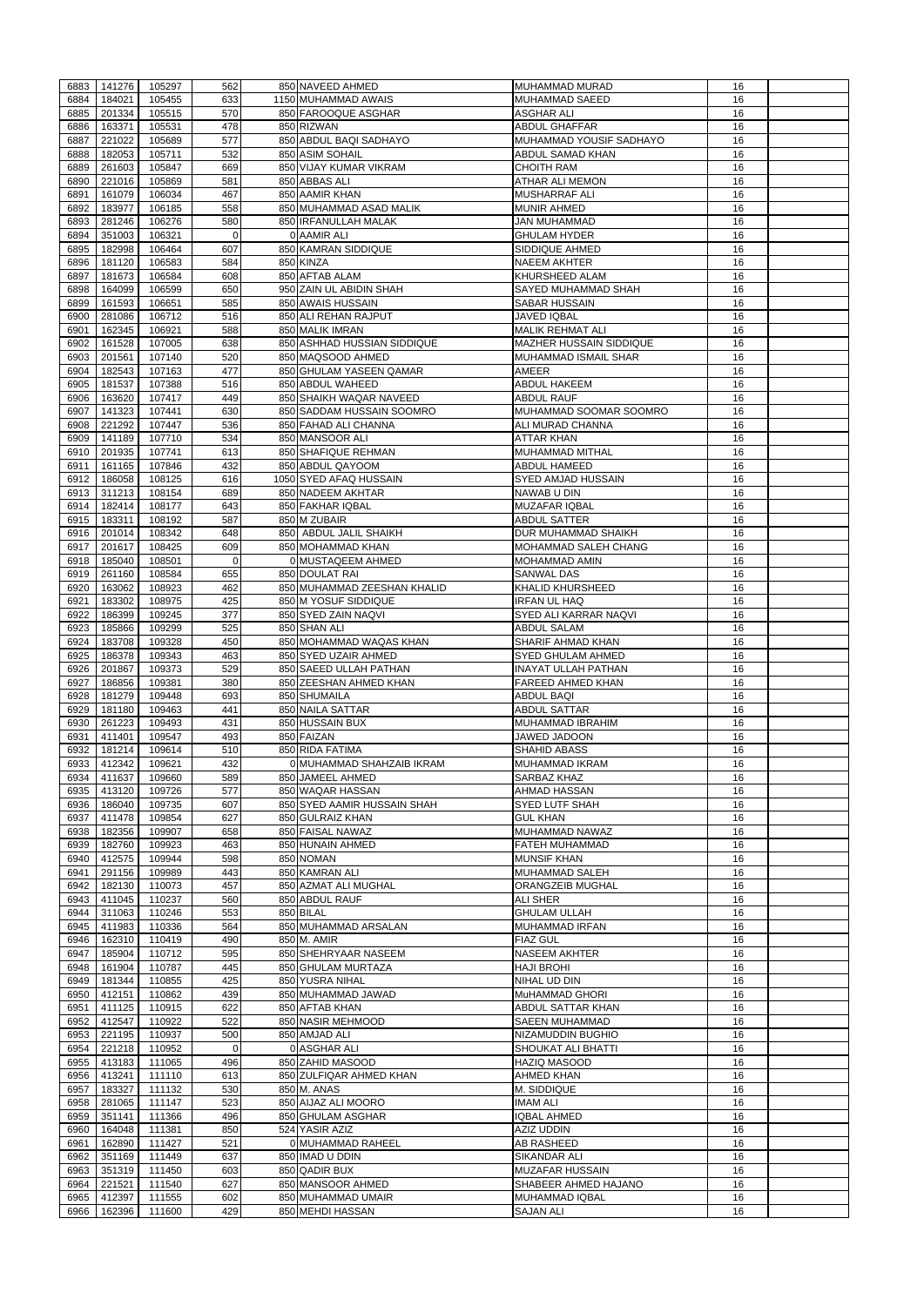| 6883 | 141276 | 105297             | 562            | 850 NAVEED AHMED            | <b>MUHAMMAD MURAD</b>          | 16 |  |
|------|--------|--------------------|----------------|-----------------------------|--------------------------------|----|--|
|      |        |                    | 633            |                             | <b>MUHAMMAD SAEED</b>          | 16 |  |
| 6884 | 184021 | 105455             |                | 1150 MUHAMMAD AWAIS         |                                |    |  |
| 6885 | 201334 | 105515             | 570            | 850 FAROOQUE ASGHAR         | <b>ASGHAR ALI</b>              | 16 |  |
| 6886 | 163371 | 105531             | 478            | 850 RIZWAN                  | <b>ABDUL GHAFFAR</b>           | 16 |  |
| 6887 | 221022 | 105689             | 577            | 850 ABDUL BAQI SADHAYO      | <b>MUHAMMAD YOUSIF SADHAYO</b> | 16 |  |
| 6888 | 182053 | 105711             | 532            | 850 ASIM SOHAIL             | <b>ABDUL SAMAD KHAN</b>        | 16 |  |
| 6889 | 261603 | 105847             | 669            | 850 VIJAY KUMAR VIKRAM      | <b>CHOITH RAM</b>              | 16 |  |
| 6890 | 221016 | 105869             | 581            | 850 ABBAS ALI               | <b>ATHAR ALI MEMON</b>         | 16 |  |
|      |        |                    |                |                             |                                |    |  |
| 6891 | 161079 | 106034             | 467            | 850 AAMIR KHAN              | <b>MUSHARRAF ALI</b>           | 16 |  |
| 6892 | 183977 | 106185             | 558            | 850 MUHAMMAD ASAD MALIK     | <b>MUNIR AHMED</b>             | 16 |  |
| 6893 | 281246 | 106276             | 580            | 850 IRFANULLAH MALAK        | JAN MUHAMMAD                   | 16 |  |
| 6894 | 351003 | 106321             | $\Omega$       | 0 AAMIR ALI                 | <b>GHULAM HYDER</b>            | 16 |  |
| 6895 | 182998 | 106464             | 607            | 850 KAMRAN SIDDIQUE         | <b>SIDDIQUE AHMED</b>          | 16 |  |
| 6896 | 181120 | 106583             | 584            | 850 KINZA                   | <b>NAEEM AKHTER</b>            | 16 |  |
| 6897 | 181673 | 106584             | 608            | 850 AFTAB ALAM              | <b>KHURSHEED ALAM</b>          | 16 |  |
|      |        |                    |                |                             |                                |    |  |
| 6898 | 164099 | 106599             | 650            | 950 ZAIN UL ABIDIN SHAH     | <b>SAYED MUHAMMAD SHAH</b>     | 16 |  |
| 6899 | 161593 | 106651             | 585            | 850 AWAIS HUSSAIN           | <b>SABAR HUSSAIN</b>           | 16 |  |
| 6900 | 281086 | 106712             | 516            | 850 ALI REHAN RAJPUT        | <b>JAVED IOBAL</b>             | 16 |  |
| 6901 | 162345 | 106921             | 588            | 850 MALIK IMRAN             | <b>MALIK REHMAT ALI</b>        | 16 |  |
| 6902 | 161528 | 107005             | 638            | 850 ASHHAD HUSSIAN SIDDIQUE | <b>MAZHER HUSSAIN SIDDIQUE</b> | 16 |  |
| 6903 | 201561 | 107140             | 520            | 850 MAQSOOD AHMED           | MUHAMMAD ISMAIL SHAR           | 16 |  |
| 6904 | 182543 | 107163             | 477            | 850 GHULAM YASEEN QAMAR     | AMEER                          | 16 |  |
|      |        |                    |                |                             |                                |    |  |
| 6905 | 181537 | 107388             | 516            | 850 ABDUL WAHEED            | <b>ABDUL HAKEEM</b>            | 16 |  |
| 6906 | 163620 | 107417             | 449            | 850 SHAIKH WAQAR NAVEED     | <b>ABDUL RAUF</b>              | 16 |  |
| 6907 | 141323 | 107441             | 630            | 850 SADDAM HUSSAIN SOOMRO   | MUHAMMAD SOOMAR SOOMRO         | 16 |  |
| 6908 | 221292 | 107447             | 536            | 850 FAHAD ALI CHANNA        | ALI MURAD CHANNA               | 16 |  |
| 6909 | 141189 | 107710             | 534            | 850 MANSOOR ALI             | <b>ATTAR KHAN</b>              | 16 |  |
| 6910 | 201935 | 107741             | 613            | 850 SHAFIQUE REHMAN         | <b>MUHAMMAD MITHAL</b>         | 16 |  |
| 6911 | 161165 | 107846             | 432            | 850 ABDUL QAYOOM            | <b>ABDUL HAMEED</b>            | 16 |  |
|      |        |                    |                |                             |                                |    |  |
| 6912 | 186058 | 108125             | 616            | 1050 SYED AFAQ HUSSAIN      | <b>SYED AMJAD HUSSAIN</b>      | 16 |  |
| 6913 | 311213 | 108154             | 689            | 850 NADEEM AKHTAR           | NAWAB U DIN                    | 16 |  |
| 6914 | 182414 | 108177             | 643            | 850 FAKHAR IQBAL            | <b>MUZAFAR IQBAL</b>           | 16 |  |
| 6915 | 183311 | 108192             | 587            | 850 M ZUBAIR                | <b>ABDUL SATTER</b>            | 16 |  |
| 6916 | 201014 | 108342             | 648            | 850 ABDUL JALIL SHAIKH      | DUR MUHAMMAD SHAIKH            | 16 |  |
| 6917 | 201617 | 108425             | 609            | 850 MOHAMMAD KHAN           | MOHAMMAD SALEH CHANG           | 16 |  |
| 6918 | 185040 | 108501             | οI             | 0 MUSTAQEEM AHMED           | <b>MOHAMMAD AMIN</b>           | 16 |  |
|      |        |                    |                |                             |                                |    |  |
| 6919 | 261160 | 108584             | 655            | 850 DOULAT RAI              | <b>SANWAL DAS</b>              | 16 |  |
| 6920 | 163062 | 108923             | 462            | 850 MUHAMMAD ZEESHAN KHALID | KHALID KHURSHEED               | 16 |  |
| 6921 | 183302 | 108975             | 425            | 850 M YOSUF SIDDIQUE        | <b>IRFAN UL HAQ</b>            | 16 |  |
| 6922 | 186399 | 109245             | 377            | 850 SYED ZAIN NAQVI         | SYED ALI KARRAR NAQVI          | 16 |  |
| 6923 | 185866 | 109299             | 525            | 850 SHAN ALI                | <b>ABDUL SALAM</b>             | 16 |  |
| 6924 | 183708 | 109328             | 450            | 850 MOHAMMAD WAQAS KHAN     | SHARIF AHMAD KHAN              | 16 |  |
|      |        |                    |                |                             |                                |    |  |
| 6925 | 186378 | 109343             | 463            | 850 SYED UZAIR AHMED        | <b>SYED GHULAM AHMED</b>       | 16 |  |
| 6926 | 201867 | 109373             | 529            | 850 SAEED ULLAH PATHAN      | <b>INAYAT ULLAH PATHAN</b>     | 16 |  |
| 6927 | 186856 | 109381             | 380            | 850 ZEESHAN AHMED KHAN      | <b>FAREED AHMED KHAN</b>       | 16 |  |
| 6928 | 181279 | 109448             | 693            | 850 SHUMAILA                | <b>ABDUL BAQI</b>              | 16 |  |
| 6929 | 181180 | 109463             | 441            | 850 NAILA SATTAR            | <b>ABDUL SATTAR</b>            | 16 |  |
| 6930 | 261223 | 109493             | 431            | 850 HUSSAIN BUX             | MUHAMMAD IBRAHIM               | 16 |  |
| 6931 | 411401 | 109547             | 493            | 850 FAIZAN                  | JAWED JADOON                   | 16 |  |
| 6932 | 181214 | 109614             |                | 850 RIDA FATIMA             |                                | 16 |  |
|      |        |                    | 510            |                             | <b>SHAHID ABASS</b>            |    |  |
| 6933 | 412342 | 109621             | 432            | 0 MUHAMMAD SHAHZAIB IKRAM   | MUHAMMAD IKRAM                 | 16 |  |
| 6934 | 411637 | 109660             | 589            | 850 JAMEEL AHMED            | <b>SARBAZ KHAZ</b>             | 16 |  |
| 6935 | 413120 | 109726             | 577            | 850 WAQAR HASSAN            |                                |    |  |
| 6936 | 186040 | 109735             | 607            |                             | AHMAD HASSAN                   | 16 |  |
| 6937 | 411478 | 109854             |                | 850 SYED AAMIR HUSSAIN SHAH | <b>SYED LUTF SHAH</b>          | 16 |  |
| 6938 | 182356 |                    | 627            | 850 GULRAIZ KHAN            | <b>GUL KHAN</b>                | 16 |  |
| 6939 |        |                    |                |                             |                                |    |  |
|      |        | 109907             | 658            | 850 FAISAL NAWAZ            | MUHAMMAD NAWAZ                 | 16 |  |
| 6940 | 182760 | 109923             | 463            | 850 HUNAIN AHMED            | FATEH MUHAMMAD                 | 16 |  |
|      | 412575 | 109944             | 598            | 850 NOMAN                   | <b>MUNSIF KHAN</b>             | 16 |  |
| 6941 | 291156 | 109989             | 443            | 850 KAMRAN ALI              | <b>MUHAMMAD SALEH</b>          | 16 |  |
| 6942 | 182130 | 110073             | 457            | 850 AZMAT ALI MUGHAL        | <b>ORANGZEIB MUGHAL</b>        | 16 |  |
| 6943 | 411045 | 110237             | 560            | 850 ABDUL RAUF              | <b>ALI SHER</b>                | 16 |  |
| 6944 | 311063 | 110246             | 553            | 850 BILAL                   | <b>GHULAM ULLAH</b>            | 16 |  |
| 6945 | 411983 | 110336             | 564            | 850 MUHAMMAD ARSALAN        | <b>MUHAMMAD IRFAN</b>          | 16 |  |
|      |        |                    |                | 850 M. AMIR                 | <b>FIAZ GUL</b>                |    |  |
| 6946 | 162310 | 110419             | 490            |                             |                                | 16 |  |
| 6947 | 185904 | 110712             | 595            | 850 SHEHRYAAR NASEEM        | <b>NASEEM AKHTER</b>           | 16 |  |
| 6948 | 161904 | 110787             | 445            | 850 GHULAM MURTAZA          | <b>HAJI BROHI</b>              | 16 |  |
| 6949 | 181344 | 110855             | 425            | 850 YUSRA NIHAL             | NIHAL UD DIN                   | 16 |  |
| 6950 | 412151 | 110862             | 439            | 850 MUHAMMAD JAWAD          | MuHAMMAD GHORI                 | 16 |  |
| 6951 | 411125 | 110915             | 622            | 850 AFTAB KHAN              | <b>ABDUL SATTAR KHAN</b>       | 16 |  |
| 6952 | 412547 | 110922             | 522            | 850 NASIR MEHMOOD           | <b>SAEEN MUHAMMAD</b>          | 16 |  |
|      |        |                    |                | 850 AMJAD ALI               |                                | 16 |  |
| 6953 | 221195 | 110937             | 500            |                             | NIZAMUDDIN BUGHIO              |    |  |
| 6954 | 221218 | 110952             | $\overline{0}$ | 0 ASGHAR ALI                | <b>SHOUKAT ALI BHATTI</b>      | 16 |  |
|      |        | 6955 413183 111065 | 496            | 850 ZAHID MASOOD            | <b>HAZIQ MASOOD</b>            | 16 |  |
| 6956 | 413241 | 111110             | 613            | 850 ZULFIQAR AHMED KHAN     | AHMED KHAN                     | 16 |  |
| 6957 | 183327 | 111132             | 530            | 850 M. ANAS                 | <b>M. SIDDIQUE</b>             | 16 |  |
| 6958 | 281065 | 111147             | 523            | 850 AIJAZ ALI MOORO         | <b>IMAM ALI</b>                | 16 |  |
| 6959 | 351141 | 111366             | 496            | 850 GHULAM ASGHAR           | <b>IQBAL AHMED</b>             | 16 |  |
|      |        |                    |                |                             | <b>AZIZ UDDIN</b>              |    |  |
| 6960 | 164048 | 111381             | 850            | 524 YASIR AZIZ              |                                | 16 |  |
| 6961 | 162890 | 111427             | 521            | 0 MUHAMMAD RAHEEL           | AB RASHEED                     | 16 |  |
| 6962 | 351169 | 111449             | 637            | 850 IMAD U DDIN             | <b>SIKANDAR ALI</b>            | 16 |  |
| 6963 | 351319 | 111450             | 603            | 850 QADIR BUX               | <b>MUZAFAR HUSSAIN</b>         | 16 |  |
| 6964 | 221521 | 111540             | 627            | 850 MANSOOR AHMED           | <b>SHABEER AHMED HAJANO</b>    | 16 |  |
| 6965 | 412397 | 111555             | 602            | 850 MUHAMMAD UMAIR          | <b>MUHAMMAD IQBAL</b>          | 16 |  |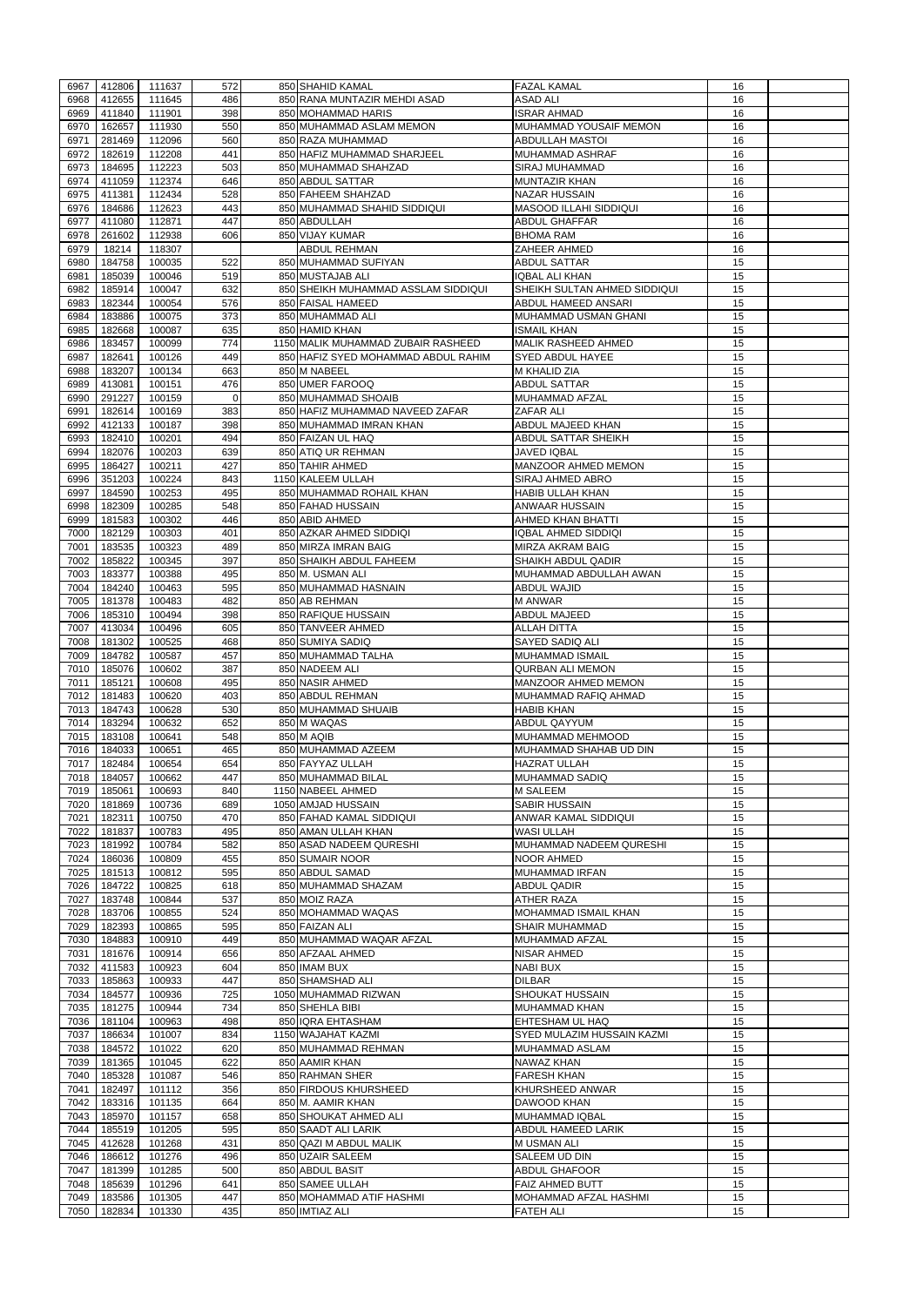| 6967 | 412806 | 111637             | 572         | 850 SHAHID KAMAL                    | <b>FAZAL KAMAL</b>            | 16 |  |
|------|--------|--------------------|-------------|-------------------------------------|-------------------------------|----|--|
|      |        |                    |             |                                     |                               |    |  |
| 6968 | 412655 | 111645             | 486         | 850 RANA MUNTAZIR MEHDI ASAD        | <b>ASAD ALI</b>               | 16 |  |
| 6969 | 411840 | 111901             | 398         | 850 MOHAMMAD HARIS                  | <b>ISRAR AHMAD</b>            | 16 |  |
| 6970 | 162657 | 111930             | 550         | 850 MUHAMMAD ASLAM MEMON            | MUHAMMAD YOUSAIF MEMON        | 16 |  |
|      |        |                    |             |                                     |                               |    |  |
| 6971 | 281469 | 112096             | 560         | 850 RAZA MUHAMMAD                   | <b>ABDULLAH MASTOI</b>        | 16 |  |
| 6972 | 182619 | 112208             | 441         | 850 HAFIZ MUHAMMAD SHARJEEL         | <b>MUHAMMAD ASHRAF</b>        | 16 |  |
| 6973 | 184695 | 112223             | 503         | 850 MUHAMMAD SHAHZAD                | <b>SIRAJ MUHAMMAD</b>         | 16 |  |
| 6974 | 411059 | 112374             | 646         | 850 ABDUL SATTAR                    | <b>MUNTAZIR KHAN</b>          | 16 |  |
|      |        |                    |             |                                     |                               |    |  |
| 6975 | 411381 | 112434             | 528         | 850 FAHEEM SHAHZAD                  | NAZAR HUSSAIN                 | 16 |  |
| 6976 | 184686 | 112623             | 443         | 850 MUHAMMAD SHAHID SIDDIQUI        | <b>MASOOD ILLAHI SIDDIQUI</b> | 16 |  |
| 6977 | 411080 | 112871             | 447         | 850 ABDULLAH                        | <b>ABDUL GHAFFAR</b>          | 16 |  |
|      |        |                    |             |                                     |                               |    |  |
| 6978 | 261602 | 112938             | 606         | 850 VIJAY KUMAR                     | <b>BHOMA RAM</b>              | 16 |  |
| 6979 | 18214  | 118307             |             | <b>ABDUL REHMAN</b>                 | <b>ZAHEER AHMED</b>           | 16 |  |
| 6980 | 184758 | 100035             | 522         | 850 MUHAMMAD SUFIYAN                | <b>ABDUL SATTAR</b>           | 15 |  |
| 6981 | 185039 | 100046             | 519         | 850 MUSTAJAB ALI                    | <b>IQBAL ALI KHAN</b>         | 15 |  |
|      |        |                    |             |                                     |                               |    |  |
| 6982 | 185914 | 100047             | 632         | 850 SHEIKH MUHAMMAD ASSLAM SIDDIQUI | SHEIKH SULTAN AHMED SIDDIQUI  | 15 |  |
| 6983 | 182344 | 100054             | 576         | 850 FAISAL HAMEED                   | ABDUL HAMEED ANSARI           | 15 |  |
| 6984 | 183886 | 100075             | 373         | 850 MUHAMMAD ALI                    | MUHAMMAD USMAN GHANI          | 15 |  |
|      |        |                    |             |                                     |                               |    |  |
| 6985 | 182668 | 100087             | 635         | 850 HAMID KHAN                      | <b>ISMAIL KHAN</b>            | 15 |  |
| 6986 | 183457 | 100099             | 774         | 1150 MALIK MUHAMMAD ZUBAIR RASHEED  | <b>MALIK RASHEED AHMED</b>    | 15 |  |
| 6987 | 182641 | 100126             | 449         | 850 HAFIZ SYED MOHAMMAD ABDUL RAHIM | <b>SYED ABDUL HAYEE</b>       | 15 |  |
| 6988 | 183207 | 100134             | 663         | 850 M NABEEL                        | <b>M KHALID ZIA</b>           | 15 |  |
|      |        |                    |             |                                     |                               |    |  |
| 6989 | 413081 | 100151             | 476         | 850 UMER FAROOQ                     | <b>ABDUL SATTAR</b>           | 15 |  |
| 6990 | 291227 | 100159             | $\mathbf 0$ | 850 MUHAMMAD SHOAIB                 | MUHAMMAD AFZAL                | 15 |  |
| 6991 | 182614 | 100169             | 383         | 850 HAFIZ MUHAMMAD NAVEED ZAFAR     | <b>ZAFAR ALI</b>              | 15 |  |
|      |        |                    |             |                                     |                               | 15 |  |
| 6992 | 412133 | 100187             | 398         | 850 MUHAMMAD IMRAN KHAN             | ABDUL MAJEED KHAN             |    |  |
| 6993 | 182410 | 100201             | 494         | 850 FAIZAN UL HAQ                   | <b>ABDUL SATTAR SHEIKH</b>    | 15 |  |
| 6994 | 182076 | 100203             | 639         | 850 ATIQ UR REHMAN                  | <b>JAVED IQBAL</b>            | 15 |  |
| 6995 | 186427 | 100211             | 427         | 850 TAHIR AHMED                     | MANZOOR AHMED MEMON           | 15 |  |
|      |        |                    |             |                                     |                               |    |  |
| 6996 | 351203 | 100224             | 843         | 1150 KALEEM ULLAH                   | <b>SIRAJ AHMED ABRO</b>       | 15 |  |
| 6997 | 184590 | 100253             | 495         | 850 MUHAMMAD ROHAIL KHAN            | <b>HABIB ULLAH KHAN</b>       | 15 |  |
| 6998 | 182309 | 100285             | 548         | 850 FAHAD HUSSAIN                   | <b>ANWAAR HUSSAIN</b>         | 15 |  |
|      |        |                    |             |                                     |                               |    |  |
| 6999 | 181583 | 100302             | 446         | 850 ABID AHMED                      | <b>AHMED KHAN BHATTI</b>      | 15 |  |
| 7000 | 182129 | 100303             | 401         | 850 AZKAR AHMED SIDDIQI             | IQBAL AHMED SIDDIQI           | 15 |  |
| 7001 | 183535 | 100323             | 489         | 850 MIRZA IMRAN BAIG                | <b>MIRZA AKRAM BAIG</b>       | 15 |  |
| 7002 | 185822 | 100345             | 397         | 850 SHAIKH ABDUL FAHEEM             | <b>SHAIKH ABDUL QADIR</b>     | 15 |  |
|      |        |                    |             |                                     |                               |    |  |
| 7003 | 183377 | 100388             | 495         | 850 M. USMAN ALI                    | MUHAMMAD ABDULLAH AWAN        | 15 |  |
| 7004 | 184240 | 100463             | 595         | 850 MUHAMMAD HASNAIN                | <b>ABDUL WAJID</b>            | 15 |  |
| 7005 | 181378 | 100483             | 482         | 850 AB REHMAN                       | <b>M ANWAR</b>                | 15 |  |
|      |        |                    |             |                                     |                               |    |  |
| 7006 | 185310 | 100494             | 398         | 850 RAFIQUE HUSSAIN                 | ABDUL MAJEED                  | 15 |  |
| 7007 | 413034 | 100496             | 605         | 850 TANVEER AHMED                   | <b>ALLAH DITTA</b>            | 15 |  |
| 7008 | 181302 | 100525             | 468         | 850 SUMIYA SADIQ                    | <b>SAYED SADIQ ALI</b>        | 15 |  |
| 7009 | 184782 | 100587             | 457         | 850 MUHAMMAD TALHA                  | <b>MUHAMMAD ISMAIL</b>        | 15 |  |
|      |        |                    |             |                                     |                               |    |  |
| 7010 | 185076 | 100602             | 387         | 850 NADEEM ALI                      | <b>QURBAN ALI MEMON</b>       | 15 |  |
| 7011 | 185121 | 100608             | 495         | 850 NASIR AHMED                     | MANZOOR AHMED MEMON           | 15 |  |
| 7012 | 181483 | 100620             | 403         | 850 ABDUL REHMAN                    | MUHAMMAD RAFIQ AHMAD          | 15 |  |
|      |        |                    | 530         |                                     |                               |    |  |
| 7013 | 184743 | 100628             |             | 850 MUHAMMAD SHUAIB                 | <b>HABIB KHAN</b>             | 15 |  |
| 7014 | 183294 | 100632             | 652         | 850 M WAQAS                         | <b>ABDUL QAYYUM</b>           | 15 |  |
| 7015 | 183108 | 100641             | 548         | 850 M AQIB                          | MUHAMMAD MEHMOOD              | 15 |  |
| 7016 | 184033 | 100651             | 465         | 850 MUHAMMAD AZEEM                  | MUHAMMAD SHAHAB UD DIN        | 15 |  |
|      |        |                    |             |                                     |                               |    |  |
| 7017 | 182484 | 100654             | 654         | 850 FAYYAZ ULLAH                    | <b>HAZRAT ULLAH</b>           | 15 |  |
| 7018 | 184057 | 100662             | 447         | 850 MUHAMMAD BILAL                  | <b>MUHAMMAD SADIQ</b>         | 15 |  |
| 7019 | 185061 | 100693             | 840         | 1150 NABEEL AHMED                   | <b>M SALEEM</b>               | 15 |  |
| 7020 | 181869 | 100736             | 689         | 1050 AMJAD HUSSAIN                  | <b>SABIR HUSSAIN</b>          | 15 |  |
|      |        |                    |             |                                     |                               |    |  |
| 7021 | 182311 | 100750             | 470         | 850 FAHAD KAMAL SIDDIQUI            | ANWAR KAMAL SIDDIQUI          | 15 |  |
| 7022 | 181837 | 100783             | 495         | 850 AMAN ULLAH KHAN                 | <b>WASI ULLAH</b>             | 15 |  |
| 7023 | 181992 | 100784             | 582         | 850 ASAD NADEEM QURESHI             | MUHAMMAD NADEEM QURESHI       | 15 |  |
| 7024 | 186036 | 100809             | 455         | 850 SUMAIR NOOR                     | <b>NOOR AHMED</b>             | 15 |  |
|      |        |                    |             |                                     |                               |    |  |
| 7025 | 181513 | 100812             | 595         | 850 ABDUL SAMAD                     | MUHAMMAD IRFAN                | 15 |  |
| 7026 | 184722 | 100825             | 618         | 850 MUHAMMAD SHAZAM                 | <b>ABDUL QADIR</b>            | 15 |  |
| 7027 | 183748 | 100844             | 537         | 850 MOIZ RAZA                       | <b>ATHER RAZA</b>             | 15 |  |
| 7028 | 183706 | 100855             | 524         | 850 MOHAMMAD WAQAS                  | MOHAMMAD ISMAIL KHAN          | 15 |  |
|      |        |                    |             |                                     |                               |    |  |
| 7029 | 182393 | 100865             | 595         | 850 FAIZAN ALI                      | <b>SHAIR MUHAMMAD</b>         | 15 |  |
| 7030 | 184883 | 100910             | 449         | 850 MUHAMMAD WAQAR AFZAL            | MUHAMMAD AFZAL                | 15 |  |
| 7031 | 181676 | 100914             | 656         | 850 AFZAAL AHMED                    | <b>NISAR AHMED</b>            | 15 |  |
| 7032 | 411583 | 100923             | 604         | 850 IMAM BUX                        | <b>NABI BUX</b>               | 15 |  |
|      |        |                    |             |                                     |                               |    |  |
| 7033 | 185863 | 100933             | 447         | 850 SHAMSHAD ALI                    | <b>DILBAR</b>                 | 15 |  |
| 7034 | 184577 | 100936             | 725         | 1050 MUHAMMAD RIZWAN                | <b>SHOUKAT HUSSAIN</b>        | 15 |  |
| 7035 | 181275 | 100944             | 734         | 850 SHEHLA BIBI                     | <b>MUHAMMAD KHAN</b>          | 15 |  |
|      |        |                    |             |                                     |                               |    |  |
| 7036 | 181104 | 100963             | 498         | 850 IQRA EHTASHAM                   | EHTESHAM UL HAQ               | 15 |  |
| 7037 | 186634 | 101007             | 834         | 1150 WAJAHAT KAZMI                  | SYED MULAZIM HUSSAIN KAZMI    | 15 |  |
| 7038 | 184572 | 101022             | 620         | 850 MUHAMMAD REHMAN                 | MUHAMMAD ASLAM                | 15 |  |
|      |        | 7039 181365 101045 | 622         | 850 AAMIR KHAN                      | NAWAZ KHAN                    | 15 |  |
|      |        |                    |             |                                     |                               |    |  |
| 7040 | 185328 | 101087             | 546         | 850 RAHMAN SHER                     | <b>FARESH KHAN</b>            | 15 |  |
| 7041 | 182497 | 101112             | 356         | 850 FIRDOUS KHURSHEED               | <b>KHURSHEED ANWAR</b>        | 15 |  |
| 7042 | 183316 | 101135             | 664         | 850 M. AAMIR KHAN                   | DAWOOD KHAN                   | 15 |  |
| 7043 | 185970 |                    | 658         | 850 SHOUKAT AHMED ALI               | MUHAMMAD IQBAL                | 15 |  |
|      |        | 101157             |             |                                     |                               |    |  |
| 7044 | 185519 | 101205             | 595         | 850 SAADT ALI LARIK                 | <b>ABDUL HAMEED LARIK</b>     | 15 |  |
| 7045 | 412628 | 101268             | 431         | 850 QAZI M ABDUL MALIK              | <b>MUSMAN ALI</b>             | 15 |  |
| 7046 | 186612 | 101276             | 496         | 850 UZAIR SALEEM                    | SALEEM UD DIN                 | 15 |  |
|      |        |                    |             |                                     |                               |    |  |
| 7047 | 181399 | 101285             | 500         | 850 ABDUL BASIT                     | <b>ABDUL GHAFOOR</b>          | 15 |  |
| 7048 | 185639 | 101296             | 641         | 850 SAMEE ULLAH                     | <b>FAIZ AHMED BUTT</b>        | 15 |  |
| 7049 | 183586 | 101305             | 447         | 850 MOHAMMAD ATIF HASHMI            | MOHAMMAD AFZAL HASHMI         | 15 |  |
| 7050 |        |                    |             |                                     |                               |    |  |
|      | 182834 | 101330             | 435         | 850 IMTIAZ ALI                      | <b>FATEH ALI</b>              | 15 |  |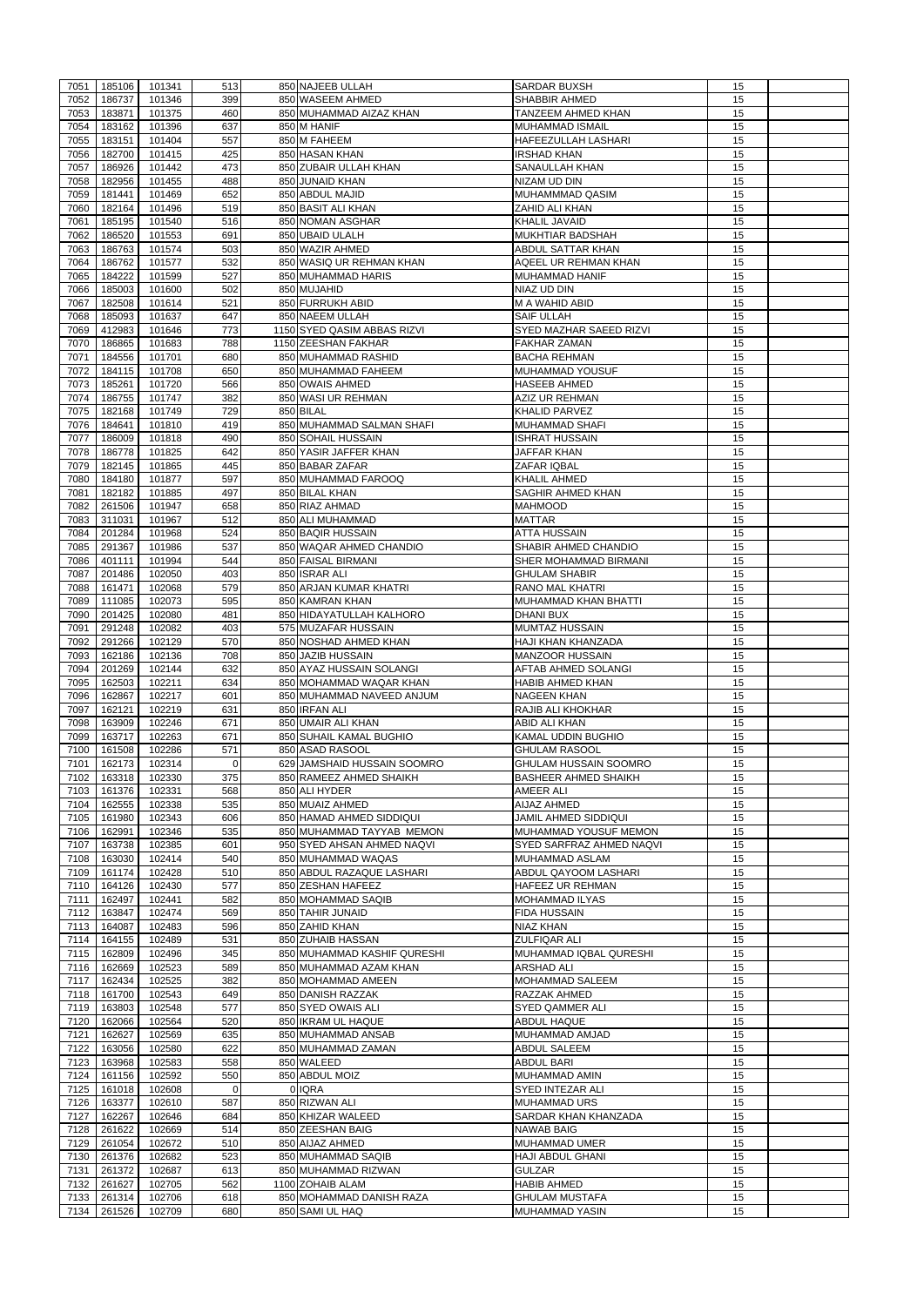| 7051         | 185106           | 101341           | 513         | 850 NAJEEB ULLAH                            | <b>SARDAR BUXSH</b>                            | 15       |  |
|--------------|------------------|------------------|-------------|---------------------------------------------|------------------------------------------------|----------|--|
|              | 186737           |                  | 399         |                                             | <b>SHABBIR AHMED</b>                           | 15       |  |
| 7052         |                  | 101346           |             | 850 WASEEM AHMED                            |                                                |          |  |
| 7053         | 183871           | 101375           | 460         | 850 MUHAMMAD AIZAZ KHAN                     | TANZEEM AHMED KHAN                             | 15       |  |
| 7054         | 183162           | 101396           | 637         | 850 M HANIF                                 | MUHAMMAD ISMAIL                                | 15       |  |
| 7055         | 183151           | 101404           | 557         | 850 M FAHEEM                                | <b>HAFEEZULLAH LASHARI</b>                     | 15       |  |
| 7056         | 182700           | 101415           | 425         | 850 HASAN KHAN                              | <b>IRSHAD KHAN</b>                             | 15       |  |
| 7057         | 186926           | 101442           | 473         | 850 ZUBAIR ULLAH KHAN                       | SANAULLAH KHAN                                 | 15       |  |
| 7058         | 182956           | 101455           | 488         | 850 JUNAID KHAN                             | NIZAM UD DIN                                   | 15       |  |
| 7059         | 181441           | 101469           | 652         | 850 ABDUL MAJID                             | MUHAMMMAD QASIM                                | 15       |  |
| 7060         | 182164           | 101496           | 519         | 850 BASIT ALI KHAN                          | ZAHID ALI KHAN                                 | 15       |  |
| 7061         | 185195           | 101540           | 516         | 850 NOMAN ASGHAR                            | KHALIL JAVAID                                  | 15       |  |
|              |                  |                  |             |                                             |                                                |          |  |
| 7062         | 186520           | 101553           | 691         | 850 UBAID ULALH                             | MUKHTIAR BADSHAH                               | 15       |  |
| 7063         | 186763           | 101574           | 503         | 850 WAZIR AHMED                             | ABDUL SATTAR KHAN                              | 15       |  |
| 7064         | 186762           | 101577           | 532         | 850 WASIQ UR REHMAN KHAN                    | AQEEL UR REHMAN KHAN                           | 15       |  |
| 7065         | 184222           | 101599           | 527         | 850 MUHAMMAD HARIS                          | <b>MUHAMMAD HANIF</b>                          | 15       |  |
| 7066         | 185003           | 101600           | 502         | 850 MUJAHID                                 | NIAZ UD DIN                                    | 15       |  |
| 7067         | 182508           | 101614           | 521         | 850 FURRUKH ABID                            | M A WAHID ABID                                 | 15       |  |
| 7068         | 185093           | 101637           | 647         | 850 NAEEM ULLAH                             | <b>SAIF ULLAH</b>                              | 15       |  |
| 7069         | 412983           | 101646           | 773         | 1150 SYED QASIM ABBAS RIZVI                 | SYED MAZHAR SAEED RIZVI                        | 15       |  |
| 7070         | 186865           | 101683           | 788         | 1150 ZEESHAN FAKHAR                         | FAKHAR ZAMAN                                   | 15       |  |
|              |                  |                  | 680         | 850 MUHAMMAD RASHID                         | <b>BACHA REHMAN</b>                            | 15       |  |
| 7071         | 184556           | 101701           |             |                                             |                                                |          |  |
| 7072         | 184115           | 101708           | 650         | 850 MUHAMMAD FAHEEM                         | MUHAMMAD YOUSUF                                | 15       |  |
| 7073         | 185261           | 101720           | 566         | 850 OWAIS AHMED                             | <b>HASEEB AHMED</b>                            | 15       |  |
| 7074         | 186755           | 101747           | 382         | 850 WASI UR REHMAN                          | AZIZ UR REHMAN                                 | 15       |  |
| 7075         | 182168           | 101749           | 729         | 850 BILAL                                   | <b>KHALID PARVEZ</b>                           | 15       |  |
| 7076         | 184641           | 101810           | 419         | 850 MUHAMMAD SALMAN SHAFI                   | <b>MUHAMMAD SHAFI</b>                          | 15       |  |
| 7077         | 186009           | 101818           | 490         | 850 SOHAIL HUSSAIN                          | <b>ISHRAT HUSSAIN</b>                          | 15       |  |
|              |                  |                  |             |                                             |                                                |          |  |
| 7078         | 186778           | 101825           | 642         | 850 YASIR JAFFER KHAN                       | JAFFAR KHAN                                    | 15       |  |
| 7079         | 182145           | 101865           | 445         | 850 BABAR ZAFAR                             | <b>ZAFAR IQBAL</b>                             | 15       |  |
| 7080         | 184180           | 101877           | 597         | 850 MUHAMMAD FAROOQ                         | KHALIL AHMED                                   | 15       |  |
| 7081         | 182182           | 101885           | 497         | 850 BILAL KHAN                              | <b>SAGHIR AHMED KHAN</b>                       | 15       |  |
| 7082         | 261506           | 101947           | 658         | 850 RIAZ AHMAD                              | <b>MAHMOOD</b>                                 | 15       |  |
| 7083         | 311031           | 101967           | 512         | 850 ALI MUHAMMAD                            | <b>MATTAR</b>                                  | 15       |  |
| 7084         |                  |                  |             |                                             |                                                |          |  |
|              | 201284           | 101968           | 524         | 850 BAQIR HUSSAIN                           | <b>ATTA HUSSAIN</b>                            | 15       |  |
| 7085         | 291367           | 101986           | 537         | 850 WAQAR AHMED CHANDIO                     | SHABIR AHMED CHANDIO                           | 15       |  |
| 7086         | 401111           | 101994           | 544         | 850 FAISAL BIRMANI                          | SHER MOHAMMAD BIRMANI                          | 15       |  |
| 7087         | 201486           | 102050           | 403         | 850 ISRAR ALI                               | <b>GHULAM SHABIR</b>                           | 15       |  |
| 7088         | 161471           | 102068           | 579         | 850 ARJAN KUMAR KHATRI                      | RANO MAL KHATRI                                | 15       |  |
| 7089         | 111085           | 102073           | 595         | 850 KAMRAN KHAN                             | MUHAMMAD KHAN BHATTI                           | 15       |  |
| 7090         | 201425           | 102080           | 481         | 850 HIDAYATULLAH KALHORO                    | <b>DHANI BUX</b>                               | 15       |  |
|              |                  |                  |             |                                             |                                                |          |  |
| 7091         | 291248           | 102082           | 403         | 575 MUZAFAR HUSSAIN                         | MUMTAZ HUSSAIN                                 | 15       |  |
| 7092         | 291266           | 102129           | 570         | 850 NOSHAD AHMED KHAN                       | HAJI KHAN KHANZADA                             | 15       |  |
| 7093         | 162186           | 102136           | 708         | 850 JAZIB HUSSAIN                           | MANZOOR HUSSAIN                                | 15       |  |
| 7094         | 201269           | 102144           | 632         | 850 AYAZ HUSSAIN SOLANGI                    | AFTAB AHMED SOLANGI                            | 15       |  |
| 7095         | 162503           | 102211           | 634         | 850 MOHAMMAD WAQAR KHAN                     | <b>HABIB AHMED KHAN</b>                        | 15       |  |
| 7096         | 162867           | 102217           | 601         | 850 MUHAMMAD NAVEED ANJUM                   | <b>NAGEEN KHAN</b>                             | 15       |  |
| 7097         | 162121           |                  | 631         |                                             |                                                |          |  |
|              |                  | 102219           |             | 850 IRFAN ALI                               | RAJIB ALI KHOKHAR                              | 15       |  |
| 7098         | 163909           | 102246           | 671         | 850 UMAIR ALI KHAN                          | ABID ALI KHAN                                  | 15       |  |
| 7099         | 163717           | 102263           | 671         | 850 SUHAIL KAMAL BUGHIO                     | KAMAL UDDIN BUGHIO                             | 15       |  |
| 7100         | 161508           | 102286           | 571         | 850 ASAD RASOOL                             | <b>GHULAM RASOOL</b>                           | 15       |  |
| 7101         | 162173           | 102314           | $\mathbf 0$ | 629 JAMSHAID HUSSAIN SOOMRO                 | <b>GHULAM HUSSAIN SOOMRO</b>                   | 15       |  |
| 7102         | 163318           | 102330           | 375         | 850 RAMEEZ AHMED SHAIKH                     | <b>BASHEER AHMED SHAIKH</b>                    | 15       |  |
| 7103         | 161376           | 102331           | 568         | 850 ALI HYDER                               | AMEER ALI                                      | 15       |  |
| 7104         | 162555           | 102338           | 535         | 850 MUAIZ AHMED                             | AIJAZ AHMED                                    | 15       |  |
|              | 161980           |                  |             | 850 HAMAD AHMED SIDDIQUI                    |                                                |          |  |
| 7105         |                  | 102343           | 606         |                                             | JAMIL AHMED SIDDIQUI                           | 15       |  |
| 7106         | 162991           | 102346           | 535         | 850 MUHAMMAD TAYYAB MEMON                   | MUHAMMAD YOUSUF MEMON                          | 15       |  |
| 7107         | 163738           | 102385           | 601         | 950 SYED AHSAN AHMED NAQVI                  | SYED SARFRAZ AHMED NAQVI                       | 15       |  |
| 7108         | 163030           | 102414           | 540         | 850 MUHAMMAD WAQAS                          | MUHAMMAD ASLAM                                 | 15       |  |
| 7109         | 161174           | 102428           | 510         | 850 ABDUL RAZAQUE LASHARI                   | ABDUL QAYOOM LASHARI                           | 15       |  |
| 7110         | 164126           | 102430           | 577         | 850 ZESHAN HAFEEZ                           | HAFEEZ UR REHMAN                               | 15       |  |
| 7111         | 162497           | 102441           | 582         | 850 MOHAMMAD SAQIB                          | MOHAMMAD ILYAS                                 | 15       |  |
| 7112         | 163847           | 102474           | 569         | 850 TAHIR JUNAID                            | <b>FIDA HUSSAIN</b>                            | 15       |  |
|              |                  |                  |             |                                             |                                                |          |  |
| 7113         | 164087           | 102483           | 596         | 850 ZAHID KHAN                              | <b>NIAZ KHAN</b>                               | 15       |  |
| 7114         | 164155           | 102489           | 531         | 850 ZUHAIB HASSAN                           | <b>ZULFIQAR ALI</b>                            | 15       |  |
| 7115         |                  |                  |             |                                             |                                                |          |  |
| 7116         | 162809           | 102496           | 345         | 850 MUHAMMAD KASHIF QURESHI                 | MUHAMMAD IQBAL QURESHI                         | 15       |  |
|              | 162669           | 102523           | 589         | 850 MUHAMMAD AZAM KHAN                      | <b>ARSHAD ALI</b>                              | 15       |  |
| 7117         | 162434           | 102525           | 382         | 850 MOHAMMAD AMEEN                          | <b>MOHAMMAD SALEEM</b>                         | 15       |  |
|              |                  |                  |             |                                             |                                                |          |  |
| 7118         | 161700           | 102543           | 649         | 850 DANISH RAZZAK                           | RAZZAK AHMED                                   | 15       |  |
| 7119         | 163803           | 102548           | 577         | 850 SYED OWAIS ALI                          | SYED QAMMER ALI                                | 15       |  |
| 7120         | 162066           | 102564           | 520         | 850 IKRAM UL HAQUE                          | ABDUL HAQUE                                    | 15       |  |
| 7121         | 162627           | 102569           | 635         | 850 MUHAMMAD ANSAB                          | MUHAMMAD AMJAD                                 | 15       |  |
| 7122         | 163056           | 102580           | 622         | 850 MUHAMMAD ZAMAN                          | <b>ABDUL SALEEM</b>                            | 15       |  |
|              | 7123 163968      | 102583           | 558         | 850 WALEED                                  | <b>ABDUL BARI</b>                              | 15       |  |
|              | 161156           |                  |             |                                             | MUHAMMAD AMIN                                  |          |  |
| 7124         |                  | 102592           | 550         | 850 ABDUL MOIZ                              |                                                | 15       |  |
| 7125         | 161018           | 102608           | 0           | 0 IQRA                                      | SYED INTEZAR ALI                               | 15       |  |
| 7126         | 163377           | 102610           | 587         | 850 RIZWAN ALI                              | MUHAMMAD URS                                   | 15       |  |
| 7127         | 162267           | 102646           | 684         | 850 KHIZAR WALEED                           | SARDAR KHAN KHANZADA                           | 15       |  |
| 7128         | 261622           | 102669           | 514         | 850 ZEESHAN BAIG                            | <b>NAWAB BAIG</b>                              | 15       |  |
| 7129         | 261054           | 102672           | 510         | 850 AIJAZ AHMED                             | <b>MUHAMMAD UMER</b>                           | 15       |  |
| 7130         | 261376           |                  |             | 850 MUHAMMAD SAQIB                          | <b>HAJI ABDUL GHANI</b>                        | 15       |  |
|              |                  | 102682           | 523         |                                             |                                                |          |  |
| 7131         | 261372           | 102687           | 613         | 850 MUHAMMAD RIZWAN                         | <b>GULZAR</b>                                  | 15       |  |
| 7132         | 261627           | 102705           | 562         | 1100 ZOHAIB ALAM                            | <b>HABIB AHMED</b>                             | 15       |  |
| 7133<br>7134 | 261314<br>261526 | 102706<br>102709 | 618<br>680  | 850 MOHAMMAD DANISH RAZA<br>850 SAMI UL HAQ | <b>GHULAM MUSTAFA</b><br><b>MUHAMMAD YASIN</b> | 15<br>15 |  |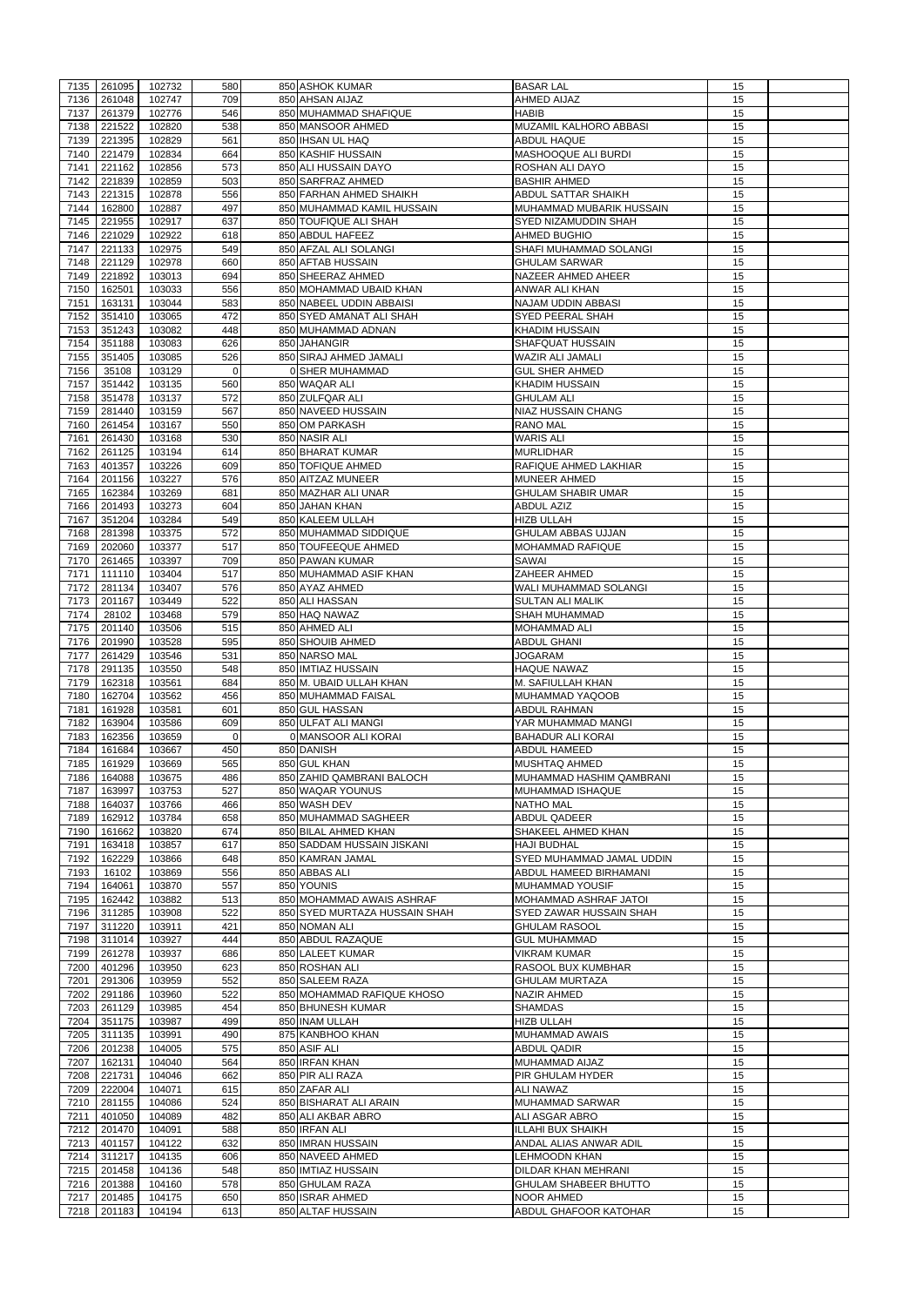| 7135 | 261095      | 102732 | 580         | 850 ASHOK KUMAR                      | <b>BASAR LAL</b>             | 15 |  |
|------|-------------|--------|-------------|--------------------------------------|------------------------------|----|--|
|      |             |        |             |                                      |                              |    |  |
| 7136 | 261048      | 102747 | 709         | 850 AHSAN AIJAZ                      | <b>AHMED AIJAZ</b>           | 15 |  |
| 7137 | 261379      | 102776 | 546         | 850 MUHAMMAD SHAFIQUE                | <b>HABIB</b>                 | 15 |  |
| 7138 | 221522      | 102820 | 538         | 850 MANSOOR AHMED                    | MUZAMIL KALHORO ABBASI       | 15 |  |
| 7139 | 221395      | 102829 | 561         | 850 IHSAN UL HAQ                     | <b>ABDUL HAQUE</b>           | 15 |  |
| 7140 | 221479      | 102834 | 664         | 850 KASHIF HUSSAIN                   | <b>MASHOOQUE ALI BURDI</b>   | 15 |  |
|      |             |        |             |                                      |                              |    |  |
| 7141 | 221162      | 102856 | 573         | 850 ALI HUSSAIN DAYO                 | ROSHAN ALI DAYO              | 15 |  |
| 7142 | 221839      | 102859 | 503         | 850 SARFRAZ AHMED                    | <b>BASHIR AHMED</b>          | 15 |  |
| 7143 | 221315      | 102878 | 556         | 850 FARHAN AHMED SHAIKH              | <b>ABDUL SATTAR SHAIKH</b>   | 15 |  |
| 7144 | 162800      | 102887 | 497         | 850 MUHAMMAD KAMIL HUSSAIN           | MUHAMMAD MUBARIK HUSSAIN     | 15 |  |
|      |             |        |             |                                      |                              |    |  |
| 7145 | 221955      | 102917 | 637         | 850 TOUFIQUE ALI SHAH                | <b>SYED NIZAMUDDIN SHAH</b>  | 15 |  |
| 7146 | 221029      | 102922 | 618         | 850 ABDUL HAFEEZ                     | <b>AHMED BUGHIO</b>          | 15 |  |
| 7147 | 221133      | 102975 | 549         | 850 AFZAL ALI SOLANGI                | SHAFI MUHAMMAD SOLANGI       | 15 |  |
| 7148 | 221129      | 102978 | 660         | 850 AFTAB HUSSAIN                    | <b>GHULAM SARWAR</b>         | 15 |  |
|      |             |        |             |                                      |                              |    |  |
| 7149 | 221892      | 103013 | 694         | 850 SHEERAZ AHMED                    | NAZEER AHMED AHEER           | 15 |  |
| 7150 | 162501      | 103033 | 556         | 850 MOHAMMAD UBAID KHAN              | <b>ANWAR ALI KHAN</b>        | 15 |  |
| 7151 | 163131      | 103044 | 583         | 850 NABEEL UDDIN ABBAISI             | NAJAM UDDIN ABBASI           | 15 |  |
|      |             |        | 472         |                                      |                              | 15 |  |
| 7152 | 351410      | 103065 |             | 850 SYED AMANAT ALI SHAH             | <b>SYED PEERAL SHAH</b>      |    |  |
| 7153 | 351243      | 103082 | 448         | 850 MUHAMMAD ADNAN                   | <b>KHADIM HUSSAIN</b>        | 15 |  |
| 7154 | 351188      | 103083 | 626         | 850 JAHANGIR                         | <b>SHAFQUAT HUSSAIN</b>      | 15 |  |
| 7155 | 351405      | 103085 | 526         | 850 SIRAJ AHMED JAMALI               | WAZIR ALI JAMALI             | 15 |  |
|      |             |        |             |                                      |                              | 15 |  |
| 7156 | 35108       | 103129 | $\mathbf 0$ | 0 SHER MUHAMMAD                      | <b>GUL SHER AHMED</b>        |    |  |
| 7157 | 351442      | 103135 | 560         | 850 WAQAR ALI                        | <b>KHADIM HUSSAIN</b>        | 15 |  |
| 7158 | 351478      | 103137 | 572         | 850 ZULFQAR ALI                      | <b>GHULAM ALI</b>            | 15 |  |
| 7159 | 281440      | 103159 | 567         | 850 NAVEED HUSSAIN                   | <b>NIAZ HUSSAIN CHANG</b>    | 15 |  |
|      |             |        |             |                                      |                              |    |  |
| 7160 | 261454      | 103167 | 550         | 850 OM PARKASH                       | <b>RANO MAL</b>              | 15 |  |
| 7161 | 261430      | 103168 | 530         | 850 NASIR ALI                        | <b>WARIS ALI</b>             | 15 |  |
| 7162 | 261125      | 103194 | 614         | 850 BHARAT KUMAR                     | <b>MURLIDHAR</b>             | 15 |  |
| 7163 | 401357      | 103226 | 609         | 850 TOFIQUE AHMED                    | RAFIQUE AHMED LAKHIAR        | 15 |  |
|      |             |        |             |                                      |                              |    |  |
| 7164 | 201156      | 103227 | 576         | 850 AITZAZ MUNEER                    | <b>MUNEER AHMED</b>          | 15 |  |
| 7165 | 162384      | 103269 | 681         | 850 MAZHAR ALI UNAR                  | <b>GHULAM SHABIR UMAR</b>    | 15 |  |
| 7166 | 201493      | 103273 | 604         | 850 JAHAN KHAN                       | <b>ABDUL AZIZ</b>            | 15 |  |
|      |             |        |             |                                      |                              |    |  |
| 7167 | 351204      | 103284 | 549         | 850 KALEEM ULLAH                     | <b>HIZB ULLAH</b>            | 15 |  |
| 7168 | 281398      | 103375 | 572         | 850 MUHAMMAD SIDDIQUE                | <b>GHULAM ABBAS UJJAN</b>    | 15 |  |
| 7169 | 202060      | 103377 | 517         | 850 TOUFEEQUE AHMED                  | <b>MOHAMMAD RAFIQUE</b>      | 15 |  |
| 7170 | 261465      | 103397 | 709         | 850 PAWAN KUMAR                      | SAWAI                        | 15 |  |
|      |             |        |             |                                      |                              |    |  |
| 7171 | 111110      | 103404 | 517         | 850 MUHAMMAD ASIF KHAN               | <b>ZAHEER AHMED</b>          | 15 |  |
| 7172 | 281134      | 103407 | 576         | 850 AYAZ AHMED                       | WALI MUHAMMAD SOLANGI        | 15 |  |
| 7173 | 201167      | 103449 | 522         | 850 ALI HASSAN                       | <b>SULTAN ALI MALIK</b>      | 15 |  |
| 7174 | 28102       | 103468 | 579         | 850 HAQ NAWAZ                        | <b>SHAH MUHAMMAD</b>         | 15 |  |
|      |             |        |             |                                      |                              |    |  |
| 7175 | 201140      | 103506 | 515         | 850 AHMED ALI                        | <b>MOHAMMAD ALI</b>          | 15 |  |
| 7176 | 201990      | 103528 | 595         | 850 SHOUIB AHMED                     | <b>ABDUL GHANI</b>           | 15 |  |
| 7177 | 261429      | 103546 | 531         | 850 NARSO MAL                        | <b>JOGARAM</b>               | 15 |  |
|      |             |        |             |                                      |                              |    |  |
| 7178 | 291135      | 103550 | 548         | 850 IMTIAZ HUSSAIN                   | <b>HAQUE NAWAZ</b>           | 15 |  |
| 7179 | 162318      | 103561 | 684         | 850 M. UBAID ULLAH KHAN              | M. SAFIULLAH KHAN            | 15 |  |
| 7180 | 162704      | 103562 | 456         | 850 MUHAMMAD FAISAL                  | MUHAMMAD YAQOOB              | 15 |  |
| 7181 | 161928      | 103581 | 601         | 850 GUL HASSAN                       | <b>ABDUL RAHMAN</b>          | 15 |  |
|      |             |        |             |                                      |                              |    |  |
| 7182 | 163904      | 103586 | 609         | 850 ULFAT ALI MANGI                  | YAR MUHAMMAD MANGI           | 15 |  |
| 7183 | 162356      | 103659 | $\Omega$    | 0 MANSOOR ALI KORAI                  | <b>BAHADUR ALI KORAI</b>     | 15 |  |
| 7184 | 161684      | 103667 | 450         | 850 DANISH                           | <b>ABDUL HAMEED</b>          | 15 |  |
| 7185 | 161929      | 103669 | 565         | 850 GUL KHAN                         | <b>MUSHTAQ AHMED</b>         | 15 |  |
|      |             |        |             |                                      |                              |    |  |
| 7186 | 164088      | 103675 | 486         | 850 ZAHID QAMBRANI BALOCH            | MUHAMMAD HASHIM QAMBRANI     | 15 |  |
| 7187 | 163997      | 103753 | 527         | 850 WAQAR YOUNUS                     | MUHAMMAD ISHAQUE             | 15 |  |
| 7188 | 164037      | 103766 | 466         | 850 WASH DEV                         | <b>NATHO MAL</b>             | 15 |  |
| 7189 | 162912      | 103784 | 658         | 850 MUHAMMAD SAGHEER                 | <b>ABDUL QADEER</b>          | 15 |  |
|      |             |        |             |                                      |                              |    |  |
| 7190 | 161662      | 103820 | 674         | 850 BILAL AHMED KHAN                 | SHAKEEL AHMED KHAN           | 15 |  |
| 7191 | 163418      | 103857 | 617         | 850 SADDAM HUSSAIN JISKANI           | <b>HAJI BUDHAL</b>           | 15 |  |
| 7192 | 162229      | 103866 | 648         | 850 KAMRAN JAMAL                     | SYED MUHAMMAD JAMAL UDDIN    | 15 |  |
| 7193 | 16102       | 103869 | 556         | 850 ABBAS ALI                        | ABDUL HAMEED BIRHAMANI       | 15 |  |
|      |             |        |             |                                      |                              |    |  |
| 7194 | 164061      | 103870 | 557         | 850 YOUNIS                           | MUHAMMAD YOUSIF              | 15 |  |
| 7195 | 162442      | 103882 | 513         | 850 MOHAMMAD AWAIS ASHRAF            | MOHAMMAD ASHRAF JATOI        | 15 |  |
| 7196 | 311285      | 103908 | 522         | 850 SYED MURTAZA HUSSAIN SHAH        | SYED ZAWAR HUSSAIN SHAH      | 15 |  |
| 7197 | 311220      | 103911 | 421         | 850 NOMAN ALI                        | <b>GHULAM RASOOL</b>         | 15 |  |
|      |             |        |             |                                      |                              |    |  |
| 7198 | 311014      | 103927 | 444         | 850 ABDUL RAZAQUE                    | <b>GUL MUHAMMAD</b>          | 15 |  |
| 7199 | 261278      | 103937 | 686         | 850 LALEET KUMAR                     | <b>VIKRAM KUMAR</b>          | 15 |  |
| 7200 | 401296      | 103950 | 623         | 850 ROSHAN ALI                       | <b>RASOOL BUX KUMBHAR</b>    | 15 |  |
| 7201 | 291306      | 103959 | 552         | 850 SALEEM RAZA                      | <b>GHULAM MURTAZA</b>        | 15 |  |
|      |             |        |             |                                      |                              |    |  |
| 7202 | 291186      | 103960 | 522         | 850 MOHAMMAD RAFIQUE KHOSO           | <b>NAZIR AHMED</b>           | 15 |  |
| 7203 |             |        |             |                                      |                              |    |  |
| 7204 | 261129      | 103985 | 454         | 850 BHUNESH KUMAR                    | <b>SHAMDAS</b>               | 15 |  |
| 7205 |             |        |             |                                      |                              | 15 |  |
|      | 351175      | 103987 | 499         | 850 INAM ULLAH                       | <b>HIZB ULLAH</b>            |    |  |
|      | 311135      | 103991 | 490         | 875 KANBHOO KHAN                     | <b>MUHAMMAD AWAIS</b>        | 15 |  |
| 7206 | 201238      | 104005 | 575         | 850 ASIF ALI                         | <b>ABDUL QADIR</b>           | 15 |  |
|      | 7207 162131 | 104040 | 564         | 850 IRFAN KHAN                       | MUHAMMAD AIJAZ               | 15 |  |
|      |             |        |             |                                      |                              |    |  |
| 7208 | 221731      | 104046 | 662         | 850 PIR ALI RAZA                     | PIR GHULAM HYDER             | 15 |  |
| 7209 | 222004      | 104071 | 615         | 850 ZAFAR ALI                        | <b>ALI NAWAZ</b>             | 15 |  |
| 7210 | 281155      | 104086 | 524         | 850 BISHARAT ALI ARAIN               | MUHAMMAD SARWAR              | 15 |  |
| 7211 | 401050      | 104089 | 482         | 850 ALI AKBAR ABRO                   | ALI ASGAR ABRO               | 15 |  |
|      |             |        |             |                                      |                              |    |  |
| 7212 | 201470      | 104091 | 588         | 850 IRFAN ALI                        | <b>ILLAHI BUX SHAIKH</b>     | 15 |  |
| 7213 | 401157      | 104122 | 632         | 850 IMRAN HUSSAIN                    | ANDAL ALIAS ANWAR ADIL       | 15 |  |
| 7214 | 311217      | 104135 | 606         | 850 NAVEED AHMED                     | <b>LEHMOODN KHAN</b>         | 15 |  |
|      |             |        |             |                                      |                              |    |  |
| 7215 | 201458      | 104136 | 548         | 850 IMTIAZ HUSSAIN                   | DILDAR KHAN MEHRANI          | 15 |  |
| 7216 | 201388      | 104160 | 578         | 850 GHULAM RAZA                      | <b>GHULAM SHABEER BHUTTO</b> | 15 |  |
| 7217 | 201485      | 104175 | 650<br>613  | 850 ISRAR AHMED<br>850 ALTAF HUSSAIN | <b>NOOR AHMED</b>            | 15 |  |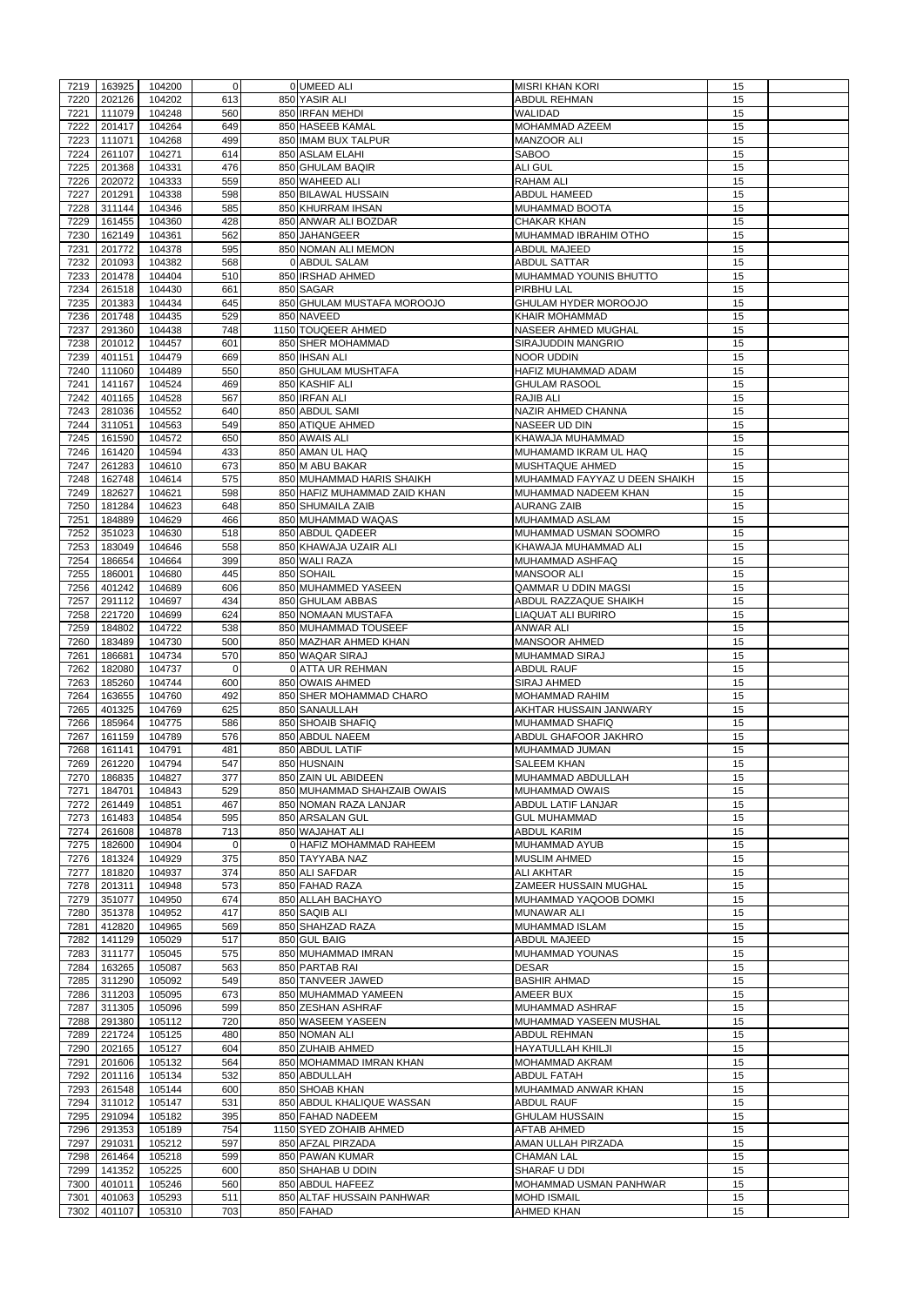| 7219         | 163925      | 104200 | $\Omega$   | 0 UMEED ALI                  | <b>MISRI KHAN KORI</b>        | 15       |  |
|--------------|-------------|--------|------------|------------------------------|-------------------------------|----------|--|
| 7220         | 202126      | 104202 | 613        | 850 YASIR ALI                | <b>ABDUL REHMAN</b>           | 15       |  |
| 7221         | 111079      | 104248 | 560        | 850 IRFAN MEHDI              | <b>WALIDAD</b>                | 15       |  |
| 7222         | 201417      | 104264 | 649        | 850 HASEEB KAMAL             | MOHAMMAD AZEEM                | 15       |  |
|              |             |        |            |                              | <b>MANZOOR ALI</b>            |          |  |
| 7223         | 111071      | 104268 | 499        | 850 IMAM BUX TALPUR          |                               | 15       |  |
| 7224         | 261107      | 104271 | 614        | 850 ASLAM ELAHI              | <b>SABOO</b>                  | 15       |  |
| 7225         | 201368      | 104331 | 476        | 850 GHULAM BAQIR             | <b>ALI GUL</b>                | 15       |  |
| 7226         | 202072      | 104333 | 559        | 850 WAHEED ALI               | <b>RAHAM ALI</b>              | 15       |  |
| 7227         | 201291      | 104338 | 598        | 850 BILAWAL HUSSAIN          | ABDUL HAMEED                  | 15       |  |
| 7228         | 311144      | 104346 | 585        | 850 KHURRAM IHSAN            | <b>MUHAMMAD BOOTA</b>         | 15       |  |
| 7229         | 161455      | 104360 | 428        | 850 ANWAR ALI BOZDAR         | <b>CHAKAR KHAN</b>            | 15       |  |
| 7230         | 162149      | 104361 | 562        | 850 JAHANGEER                | MUHAMMAD IBRAHIM OTHO         | 15       |  |
| 7231         | 201772      | 104378 | 595        | 850 NOMAN ALI MEMON          | <b>ABDUL MAJEED</b>           | 15       |  |
| 7232         | 201093      | 104382 | 568        | 0 ABDUL SALAM                | <b>ABDUL SATTAR</b>           | 15       |  |
| 7233         | 201478      | 104404 | 510        | 850 IRSHAD AHMED             | MUHAMMAD YOUNIS BHUTTO        | 15       |  |
| 7234         | 261518      | 104430 | 661        | 850 SAGAR                    | <b>PIRBHU LAL</b>             | 15       |  |
| 7235         | 201383      | 104434 | 645        | 850 GHULAM MUSTAFA MOROOJO   | <b>GHULAM HYDER MOROOJO</b>   | 15       |  |
| 7236         | 201748      | 104435 | 529        | 850 NAVEED                   | <b>KHAIR MOHAMMAD</b>         | 15       |  |
| 7237         | 291360      | 104438 | 748        | 1150 TOUQEER AHMED           | <b>NASEER AHMED MUGHAL</b>    | 15       |  |
| 7238         | 201012      | 104457 | 601        | 850 SHER MOHAMMAD            | <b>SIRAJUDDIN MANGRIO</b>     | 15       |  |
| 7239         | 401151      | 104479 | 669        | 850 IHSAN ALI                | <b>NOOR UDDIN</b>             | 15       |  |
| 7240         | 111060      | 104489 | 550        | 850 GHULAM MUSHTAFA          | HAFIZ MUHAMMAD ADAM           | 15       |  |
| 7241         | 141167      | 104524 | 469        | 850 KASHIF ALI               | <b>GHULAM RASOOL</b>          | 15       |  |
| 7242         | 401165      | 104528 | 567        | 850 IRFAN ALI                | RAJIB ALI                     | 15       |  |
| 7243         | 281036      | 104552 | 640        | 850 ABDUL SAMI               | NAZIR AHMED CHANNA            | 15       |  |
| 7244         | 311051      | 104563 | 549        | 850 ATIQUE AHMED             | <b>NASEER UD DIN</b>          | 15       |  |
| 7245         | 161590      | 104572 | 650        | 850 AWAIS ALI                | KHAWAJA MUHAMMAD              | 15       |  |
| 7246         | 161420      | 104594 | 433        | 850 AMAN UL HAQ              | MUHAMAMD IKRAM UL HAQ         | 15       |  |
|              |             |        | 673        |                              |                               | 15       |  |
| 7247         | 261283      | 104610 |            | 850 M ABU BAKAR              | MUSHTAQUE AHMED               |          |  |
| 7248         | 162748      | 104614 | 575        | 850 MUHAMMAD HARIS SHAIKH    | MUHAMMAD FAYYAZ U DEEN SHAIKH | 15       |  |
| 7249         | 182627      | 104621 | 598        | 850 HAFIZ MUHAMMAD ZAID KHAN | MUHAMMAD NADEEM KHAN          | 15       |  |
| 7250         | 181284      | 104623 | 648        | 850 SHUMAILA ZAIB            | <b>AURANG ZAIB</b>            | 15       |  |
| 7251         | 184889      | 104629 | 466        | 850 MUHAMMAD WAQAS           | MUHAMMAD ASLAM                | 15       |  |
| 7252         | 351023      | 104630 | 518        | 850 ABDUL QADEER             | MUHAMMAD USMAN SOOMRO         | 15       |  |
| 7253         | 183049      | 104646 | 558        | 850 KHAWAJA UZAIR ALI        | KHAWAJA MUHAMMAD ALI          | 15       |  |
| 7254         | 186654      | 104664 | 399        | 850 WALI RAZA                | <b>MUHAMMAD ASHFAQ</b>        | 15       |  |
| 7255         | 186001      | 104680 | 445        | 850 SOHAIL                   | <b>MANSOOR ALI</b>            | 15       |  |
| 7256         | 401242      | 104689 | 606        | 850 MUHAMMED YASEEN          | QAMMAR U DDIN MAGSI           | 15       |  |
| 7257         | 291112      | 104697 | 434        | 850 GHULAM ABBAS             | ABDUL RAZZAQUE SHAIKH         | 15       |  |
| 7258         | 221720      | 104699 | 624        | 850 NOMAAN MUSTAFA           | LIAQUAT ALI BURIRO            | 15       |  |
| 7259         | 184802      | 104722 | 538        | 850 MUHAMMAD TOUSEEF         | <b>ANWAR ALI</b>              | 15       |  |
| 7260         | 183489      | 104730 | 500        | 850 MAZHAR AHMED KHAN        | <b>MANSOOR AHMED</b>          | 15       |  |
| 7261         | 186681      | 104734 | 570        | 850 WAQAR SIRAJ              | MUHAMMAD SIRAJ                | 15       |  |
| 7262         | 182080      | 104737 | $\Omega$   | 0 ATTA UR REHMAN             | <b>ABDUL RAUF</b>             | 15       |  |
| 7263         | 185260      | 104744 | 600        | 850 OWAIS AHMED              | <b>SIRAJ AHMED</b>            | 15       |  |
| 7264         | 163655      | 104760 | 492        | 850 SHER MOHAMMAD CHARO      | <b>MOHAMMAD RAHIM</b>         | 15       |  |
| 7265         | 401325      | 104769 | 625        | 850 SANAULLAH                | AKHTAR HUSSAIN JANWARY        | 15       |  |
| 7266         | 185964      | 104775 | 586        | 850 SHOAIB SHAFIQ            | <b>MUHAMMAD SHAFIQ</b>        | 15       |  |
| 7267         | 161159      | 104789 | 576        | 850 ABDUL NAEEM              | <b>ABDUL GHAFOOR JAKHRO</b>   | 15       |  |
| 7268         | 161141      | 104791 | 481        | 850 ABDUL LATIF              | MUHAMMAD JUMAN                | 15       |  |
|              |             |        | 547        |                              |                               | 15       |  |
| 7269         | 261220      | 104794 |            | 850 HUSNAIN                  | <b>SALEEM KHAN</b>            |          |  |
| 7270         | 186835      | 104827 | 377        | 850 ZAIN UL ABIDEEN          | MUHAMMAD ABDULLAH             | 15       |  |
| 7271         | 184701      | 104843 | 529<br>467 | 850 MUHAMMAD SHAHZAIB OWAIS  | <b>MUHAMMAD OWAIS</b>         | 15<br>15 |  |
| 7272         | 261449      | 104851 |            | 850 NOMAN RAZA LANJAR        | <b>ABDUL LATIF LANJAR</b>     |          |  |
| 7273         | 161483      | 104854 | 595        | 850 ARSALAN GUL              | <b>GUL MUHAMMAD</b>           | 15       |  |
| 7274         | 261608      | 104878 | 713        | 850 WAJAHAT ALI              | <b>ABDUL KARIM</b>            | 15       |  |
| 7275         | 182600      | 104904 | 0          | 0 HAFIZ MOHAMMAD RAHEEM      | <b>MUHAMMAD AYUB</b>          | 15       |  |
| 7276         | 181324      | 104929 | 375        | 850 TAYYABA NAZ              | <b>MUSLIM AHMED</b>           | 15       |  |
| 7277         | 181820      | 104937 | 374        | 850 ALI SAFDAR               | <b>ALI AKHTAR</b>             | 15       |  |
| 7278         | 201311      | 104948 | 573        | 850 FAHAD RAZA               | ZAMEER HUSSAIN MUGHAL         | 15       |  |
| 7279         | 351077      | 104950 | 674        | 850 ALLAH BACHAYO            | MUHAMMAD YAQOOB DOMKI         | 15       |  |
| 7280         | 351378      | 104952 | 417        | 850 SAQIB ALI                | <b>MUNAWAR ALI</b>            | 15       |  |
| 7281         | 412820      | 104965 | 569        | 850 SHAHZAD RAZA             | <b>MUHAMMAD ISLAM</b>         | 15       |  |
| 7282         | 141129      | 105029 | 517        | 850 GUL BAIG                 | <b>ABDUL MAJEED</b>           | 15       |  |
| 7283         | 311177      | 105045 | 575        | 850 MUHAMMAD IMRAN           | <b>MUHAMMAD YOUNAS</b>        | 15       |  |
| 7284         | 163265      | 105087 | 563        | 850 PARTAB RAI               | <b>DESAR</b>                  | 15       |  |
| 7285         | 311290      | 105092 | 549        | 850 TANVEER JAWED            | <b>BASHIR AHMAD</b>           | 15       |  |
| 7286         | 311203      | 105095 | 673        | 850 MUHAMMAD YAMEEN          | <b>AMEER BUX</b>              | 15       |  |
| 7287         | 311305      | 105096 | 599        | 850 ZESHAN ASHRAF            | <b>MUHAMMAD ASHRAF</b>        | 15       |  |
| 7288         | 291380      | 105112 | 720        | 850 WASEEM YASEEN            | MUHAMMAD YASEEN MUSHAL        | 15       |  |
| 7289         | 221724      | 105125 | 480        | 850 NOMAN ALI                | <b>ABDUL REHMAN</b>           | 15       |  |
| 7290         | 202165      | 105127 | 604        | 850 ZUHAIB AHMED             | <b>HAYATULLAH KHILJI</b>      | 15       |  |
|              | 7291 201606 | 105132 | 564        | 850 MOHAMMAD IMRAN KHAN      | MOHAMMAD AKRAM                | 15       |  |
| 7292         | 201116      | 105134 | 532        | 850 ABDULLAH                 | <b>ABDUL FATAH</b>            | 15       |  |
| 7293         | 261548      | 105144 | 600        | 850 SHOAB KHAN               | MUHAMMAD ANWAR KHAN           | 15       |  |
| 7294         | 311012      | 105147 | 531        | 850 ABDUL KHALIQUE WASSAN    | <b>ABDUL RAUF</b>             | 15       |  |
| 7295         | 291094      | 105182 | 395        | 850 FAHAD NADEEM             | <b>GHULAM HUSSAIN</b>         | 15       |  |
| 7296         | 291353      | 105189 | 754        | 1150 SYED ZOHAIB AHMED       | <b>AFTAB AHMED</b>            | 15       |  |
| 7297         | 291031      | 105212 | 597        | 850 AFZAL PIRZADA            | AMAN ULLAH PIRZADA            | 15       |  |
| 7298         | 261464      | 105218 | 599        | 850 PAWAN KUMAR              | <b>CHAMAN LAL</b>             | 15       |  |
| 7299         | 141352      | 105225 | 600        | 850 SHAHAB U DDIN            | SHARAF U DDI                  | 15       |  |
|              |             |        |            |                              |                               |          |  |
| 7300         | 401011      | 105246 | 560        | 850 ABDUL HAFEEZ             | MOHAMMAD USMAN PANHWAR        | 15       |  |
| 7301<br>7302 | 401063      | 105293 | 511        | 850 ALTAF HUSSAIN PANHWAR    | <b>MOHD ISMAIL</b>            | 15       |  |
|              | 401107      | 105310 | 703        | 850 FAHAD                    | <b>AHMED KHAN</b>             | 15       |  |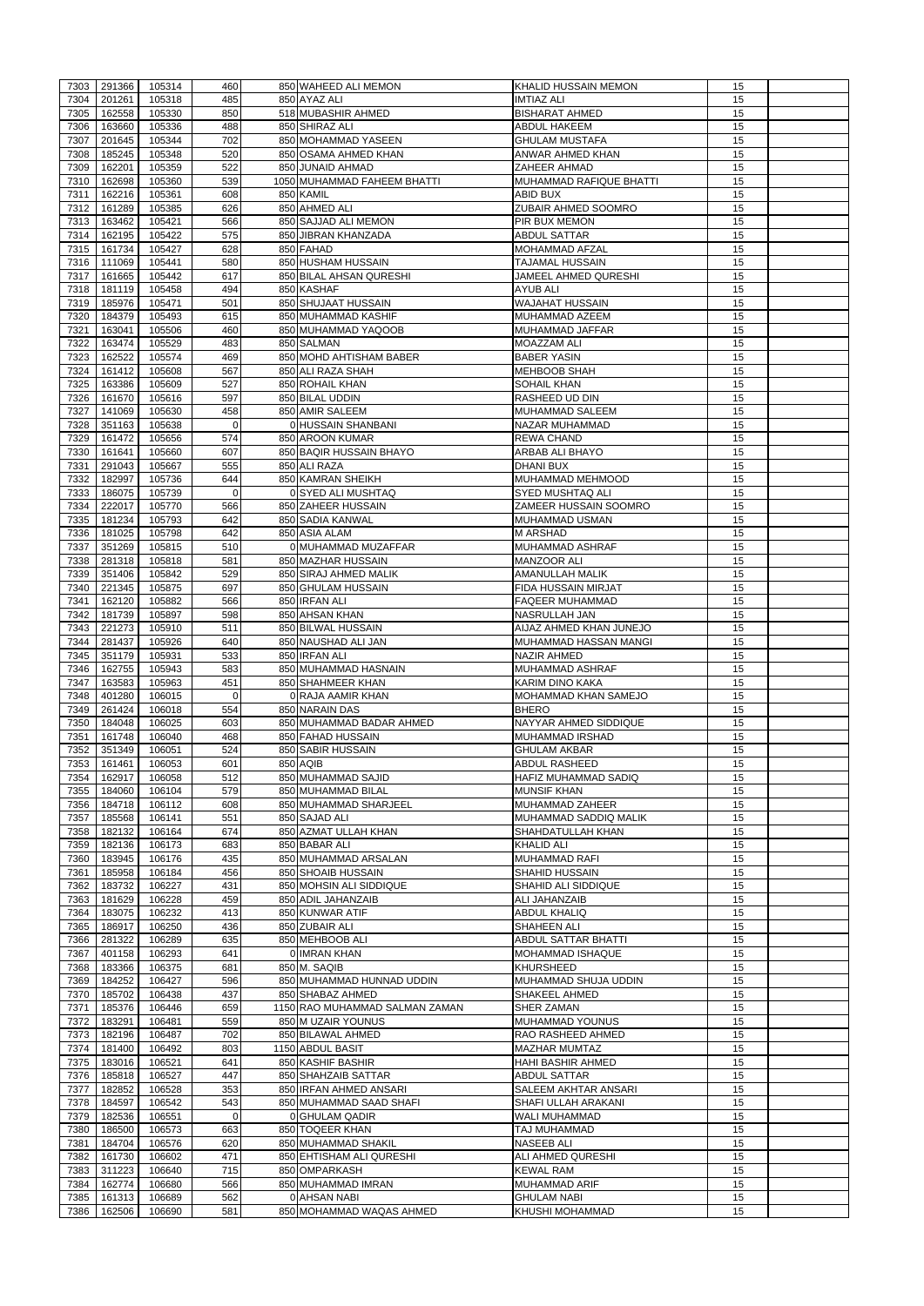|      | 291366      | 105314 | 460         | 850 WAHEED ALI MEMON           | <b>KHALID HUSSAIN MEMON</b> | 15 |  |
|------|-------------|--------|-------------|--------------------------------|-----------------------------|----|--|
| 7303 |             |        | 485         |                                |                             | 15 |  |
| 7304 | 201261      | 105318 |             | 850 AYAZ ALI                   | <b>IMTIAZ ALI</b>           |    |  |
| 7305 | 162558      | 105330 | 850         | 518 MUBASHIR AHMED             | <b>BISHARAT AHMED</b>       | 15 |  |
| 7306 | 163660      | 105336 | 488         | 850 SHIRAZ ALI                 | <b>ABDUL HAKEEM</b>         | 15 |  |
| 7307 | 201645      | 105344 | 702         | 850 MOHAMMAD YASEEN            | <b>GHULAM MUSTAFA</b>       | 15 |  |
| 7308 | 185245      | 105348 | 520         | 850 OSAMA AHMED KHAN           | <b>ANWAR AHMED KHAN</b>     | 15 |  |
|      |             |        | 522         |                                |                             | 15 |  |
| 7309 | 162201      | 105359 |             | 850 JUNAID AHMAD               | <b>ZAHEER AHMAD</b>         |    |  |
| 7310 | 162698      | 105360 | 539         | 1050 MUHAMMAD FAHEEM BHATTI    | MUHAMMAD RAFIQUE BHATTI     | 15 |  |
| 7311 | 162216      | 105361 | 608         | 850 KAMIL                      | ABID BUX                    | 15 |  |
| 7312 | 161289      | 105385 | 626         | 850 AHMED ALI                  | ZUBAIR AHMED SOOMRO         | 15 |  |
| 7313 | 163462      | 105421 | 566         | 850 SAJJAD ALI MEMON           | PIR BUX MEMON               | 15 |  |
|      |             |        |             |                                |                             |    |  |
| 7314 | 162195      | 105422 | 575         | 850 JIBRAN KHANZADA            | <b>ABDUL SATTAR</b>         | 15 |  |
| 7315 | 161734      | 105427 | 628         | 850 FAHAD                      | <b>MOHAMMAD AFZAL</b>       | 15 |  |
| 7316 | 111069      | 105441 | 580         | 850 HUSHAM HUSSAIN             | <b>TAJAMAL HUSSAIN</b>      | 15 |  |
| 7317 | 161665      | 105442 | 617         | 850 BILAL AHSAN QURESHI        | JAMEEL AHMED QURESHI        | 15 |  |
| 7318 | 181119      | 105458 | 494         | 850 KASHAF                     | <b>AYUB ALI</b>             | 15 |  |
|      |             |        |             | 850 SHUJAAT HUSSAIN            | <b>WAJAHAT HUSSAIN</b>      |    |  |
| 7319 | 185976      | 105471 | 501         |                                |                             | 15 |  |
| 7320 | 184379      | 105493 | 615         | 850 MUHAMMAD KASHIF            | MUHAMMAD AZEEM              | 15 |  |
| 7321 | 163041      | 105506 | 460         | 850 MUHAMMAD YAQOOB            | MUHAMMAD JAFFAR             | 15 |  |
| 7322 | 163474      | 105529 | 483         | 850 SALMAN                     | <b>MOAZZAM ALI</b>          | 15 |  |
| 7323 | 162522      | 105574 | 469         | 850 MOHD AHTISHAM BABER        | <b>BABER YASIN</b>          | 15 |  |
| 7324 | 161412      | 105608 | 567         | 850 ALI RAZA SHAH              | <b>MEHBOOB SHAH</b>         | 15 |  |
|      |             |        |             |                                |                             |    |  |
| 7325 | 163386      | 105609 | 527         | 850 ROHAIL KHAN                | <b>SOHAIL KHAN</b>          | 15 |  |
| 7326 | 161670      | 105616 | 597         | 850 BILAL UDDIN                | RASHEED UD DIN              | 15 |  |
| 7327 | 141069      | 105630 | 458         | 850 AMIR SALEEM                | <b>MUHAMMAD SALEEM</b>      | 15 |  |
| 7328 | 351163      | 105638 | $\Omega$    | 0 HUSSAIN SHANBANI             | NAZAR MUHAMMAD              | 15 |  |
|      |             |        |             |                                |                             |    |  |
| 7329 | 161472      | 105656 | 574         | 850 AROON KUMAR                | <b>REWA CHAND</b>           | 15 |  |
| 7330 | 161641      | 105660 | 607         | 850 BAQIR HUSSAIN BHAYO        | <b>ARBAB ALI BHAYO</b>      | 15 |  |
| 7331 | 291043      | 105667 | 555         | 850 ALI RAZA                   | <b>DHANI BUX</b>            | 15 |  |
| 7332 | 182997      | 105736 | 644         | 850 KAMRAN SHEIKH              | MUHAMMAD MEHMOOD            | 15 |  |
| 7333 | 186075      | 105739 | $\mathbf 0$ | 0 SYED ALI MUSHTAQ             | <b>SYED MUSHTAQ ALI</b>     | 15 |  |
|      |             |        |             |                                |                             |    |  |
| 7334 | 222017      | 105770 | 566         | 850 ZAHEER HUSSAIN             | ZAMEER HUSSAIN SOOMRO       | 15 |  |
| 7335 | 181234      | 105793 | 642         | 850 SADIA KANWAL               | MUHAMMAD USMAN              | 15 |  |
| 7336 | 181025      | 105798 | 642         | 850 ASIA ALAM                  | <b>M ARSHAD</b>             | 15 |  |
| 7337 | 351269      | 105815 | 510         | 0 MUHAMMAD MUZAFFAR            | <b>MUHAMMAD ASHRAF</b>      | 15 |  |
| 7338 | 281318      | 105818 | 581         | 850 MAZHAR HUSSAIN             | <b>MANZOOR ALI</b>          | 15 |  |
|      |             |        |             |                                |                             |    |  |
| 7339 | 351406      | 105842 | 529         | 850 SIRAJ AHMED MALIK          | <b>AMANULLAH MALIK</b>      | 15 |  |
| 7340 | 221345      | 105875 | 697         | 850 GHULAM HUSSAIN             | <b>FIDA HUSSAIN MIRJAT</b>  | 15 |  |
| 7341 | 162120      | 105882 | 566         | 850 IRFAN ALI                  | <b>FAQEER MUHAMMAD</b>      | 15 |  |
| 7342 | 181739      | 105897 | 598         | 850 AHSAN KHAN                 | <b>NASRULLAH JAN</b>        | 15 |  |
|      | 221273      | 105910 | 511         | 850 BILWAL HUSSAIN             |                             | 15 |  |
| 7343 |             |        |             |                                | AIJAZ AHMED KHAN JUNEJO     |    |  |
| 7344 | 281437      | 105926 | 640         | 850 NAUSHAD ALI JAN            | MUHAMMAD HASSAN MANGI       | 15 |  |
| 7345 | 351179      | 105931 | 533         | 850 IRFAN ALI                  | NAZIR AHMED                 | 15 |  |
| 7346 | 162755      | 105943 | 583         | 850 MUHAMMAD HASNAIN           | MUHAMMAD ASHRAF             | 15 |  |
| 7347 | 163583      | 105963 | 451         | 850 SHAHMEER KHAN              | <b>KARIM DINO KAKA</b>      | 15 |  |
|      |             |        |             |                                |                             |    |  |
| 7348 | 401280      | 106015 | $\Omega$    | 0 RAJA AAMIR KHAN              | MOHAMMAD KHAN SAMEJO        | 15 |  |
| 7349 | 261424      | 106018 | 554         | 850 NARAIN DAS                 | <b>BHERO</b>                | 15 |  |
| 7350 | 184048      | 106025 | 603         | 850 MUHAMMAD BADAR AHMED       | NAYYAR AHMED SIDDIQUE       | 15 |  |
| 7351 | 161748      | 106040 | 468         | 850 FAHAD HUSSAIN              | <b>MUHAMMAD IRSHAD</b>      | 15 |  |
| 7352 | 351349      | 106051 | 524         | 850 SABIR HUSSAIN              | <b>GHULAM AKBAR</b>         | 15 |  |
|      |             |        |             |                                |                             |    |  |
| 7353 | 161461      | 106053 | 601         | 850 AQIB                       | <b>ABDUL RASHEED</b>        | 15 |  |
| 7354 | 162917      | 106058 | 512         | 850 MUHAMMAD SAJID             | HAFIZ MUHAMMAD SADIQ        |    |  |
| 7355 | 184060      | 106104 |             |                                |                             | 15 |  |
| 7356 | 184718      |        | 579         | 850 MUHAMMAD BILAL             | <b>MUNSIF KHAN</b>          | 15 |  |
| 7357 |             |        |             |                                |                             |    |  |
|      |             | 106112 | 608         | 850 MUHAMMAD SHARJEEL          | MUHAMMAD ZAHEER             | 15 |  |
| 7358 | 185568      | 106141 | 551         | 850 SAJAD ALI                  | MUHAMMAD SADDIQ MALIK       | 15 |  |
|      | 182132      | 106164 | 674         | 850 AZMAT ULLAH KHAN           | SHAHDATULLAH KHAN           | 15 |  |
| 7359 | 182136      | 106173 | 683         | 850 BABAR ALI                  | <b>KHALID ALI</b>           | 15 |  |
| 7360 | 183945      | 106176 | 435         | 850 MUHAMMAD ARSALAN           | <b>MUHAMMAD RAFI</b>        | 15 |  |
|      |             |        |             |                                |                             |    |  |
| 7361 | 185958      | 106184 | 456         | 850 SHOAIB HUSSAIN             | <b>SHAHID HUSSAIN</b>       | 15 |  |
| 7362 | 183732      | 106227 | 431         | 850 MOHSIN ALI SIDDIQUE        | <b>SHAHID ALI SIDDIQUE</b>  | 15 |  |
| 7363 | 181629      | 106228 | 459         | 850 ADIL JAHANZAIB             | ALI JAHANZAIB               | 15 |  |
| 7364 | 183075      | 106232 | 413         | 850 KUNWAR ATIF                | <b>ABDUL KHALIQ</b>         | 15 |  |
| 7365 | 186917      | 106250 | 436         | 850 ZUBAIR ALI                 | <b>SHAHEEN ALI</b>          | 15 |  |
|      |             |        |             |                                | <b>ABDUL SATTAR BHATTI</b>  |    |  |
| 7366 | 281322      | 106289 | 635         | 850 MEHBOOB ALI                |                             | 15 |  |
| 7367 | 401158      | 106293 | 641         | 0 IMRAN KHAN                   | <b>MOHAMMAD ISHAQUE</b>     | 15 |  |
| 7368 | 183366      | 106375 | 681         | 850 M. SAQIB                   | <b>KHURSHEED</b>            | 15 |  |
| 7369 | 184252      | 106427 | 596         | 850 MUHAMMAD HUNNAD UDDIN      | MUHAMMAD SHUJA UDDIN        | 15 |  |
| 7370 | 185702      | 106438 | 437         | 850 SHABAZ AHMED               | <b>SHAKEEL AHMED</b>        | 15 |  |
|      |             |        |             |                                | <b>SHER ZAMAN</b>           |    |  |
| 7371 | 185376      | 106446 | 659         | 1150 RAO MUHAMMAD SALMAN ZAMAN |                             | 15 |  |
| 7372 | 183291      | 106481 | 559         | 850 M UZAIR YOUNUS             | <b>MUHAMMAD YOUNUS</b>      | 15 |  |
| 7373 | 182196      | 106487 | 702         | 850 BILAWAL AHMED              | RAO RASHEED AHMED           | 15 |  |
| 7374 | 181400      | 106492 | 803         | 1150 ABDUL BASIT               | <b>MAZHAR MUMTAZ</b>        | 15 |  |
|      | 7375 183016 | 106521 | 641         | 850 KASHIF BASHIR              | <b>HAHI BASHIR AHMED</b>    | 15 |  |
|      |             |        |             |                                |                             |    |  |
| 7376 | 185818      | 106527 | 447         | 850 SHAHZAIB SATTAR            | <b>ABDUL SATTAR</b>         | 15 |  |
| 7377 | 182852      | 106528 | 353         | 850 IRFAN AHMED ANSARI         | <b>SALEEM AKHTAR ANSARI</b> | 15 |  |
| 7378 | 184597      | 106542 | 543         | 850 MUHAMMAD SAAD SHAFI        | SHAFI ULLAH ARAKANI         | 15 |  |
| 7379 | 182536      | 106551 | 0           | 0 GHULAM QADIR                 | WALI MUHAMMAD               | 15 |  |
| 7380 | 186500      | 106573 | 663         | 850 TOQEER KHAN                | TAJ MUHAMMAD                | 15 |  |
|      |             |        |             |                                |                             |    |  |
| 7381 | 184704      | 106576 | 620         | 850 MUHAMMAD SHAKIL            | <b>NASEEB ALI</b>           | 15 |  |
| 7382 | 161730      | 106602 | 471         | 850 EHTISHAM ALI QURESHI       | ALI AHMED QURESHI           | 15 |  |
| 7383 | 311223      | 106640 | 715         | 850 OMPARKASH                  | <b>KEWAL RAM</b>            | 15 |  |
| 7384 | 162774      | 106680 | 566         | 850 MUHAMMAD IMRAN             | <b>MUHAMMAD ARIF</b>        | 15 |  |
| 7385 | 161313      | 106689 | 562         | 0 AHSAN NABI                   | <b>GHULAM NABI</b>          | 15 |  |
| 7386 | 162506      | 106690 | 581         | 850 MOHAMMAD WAQAS AHMED       | <b>KHUSHI MOHAMMAD</b>      | 15 |  |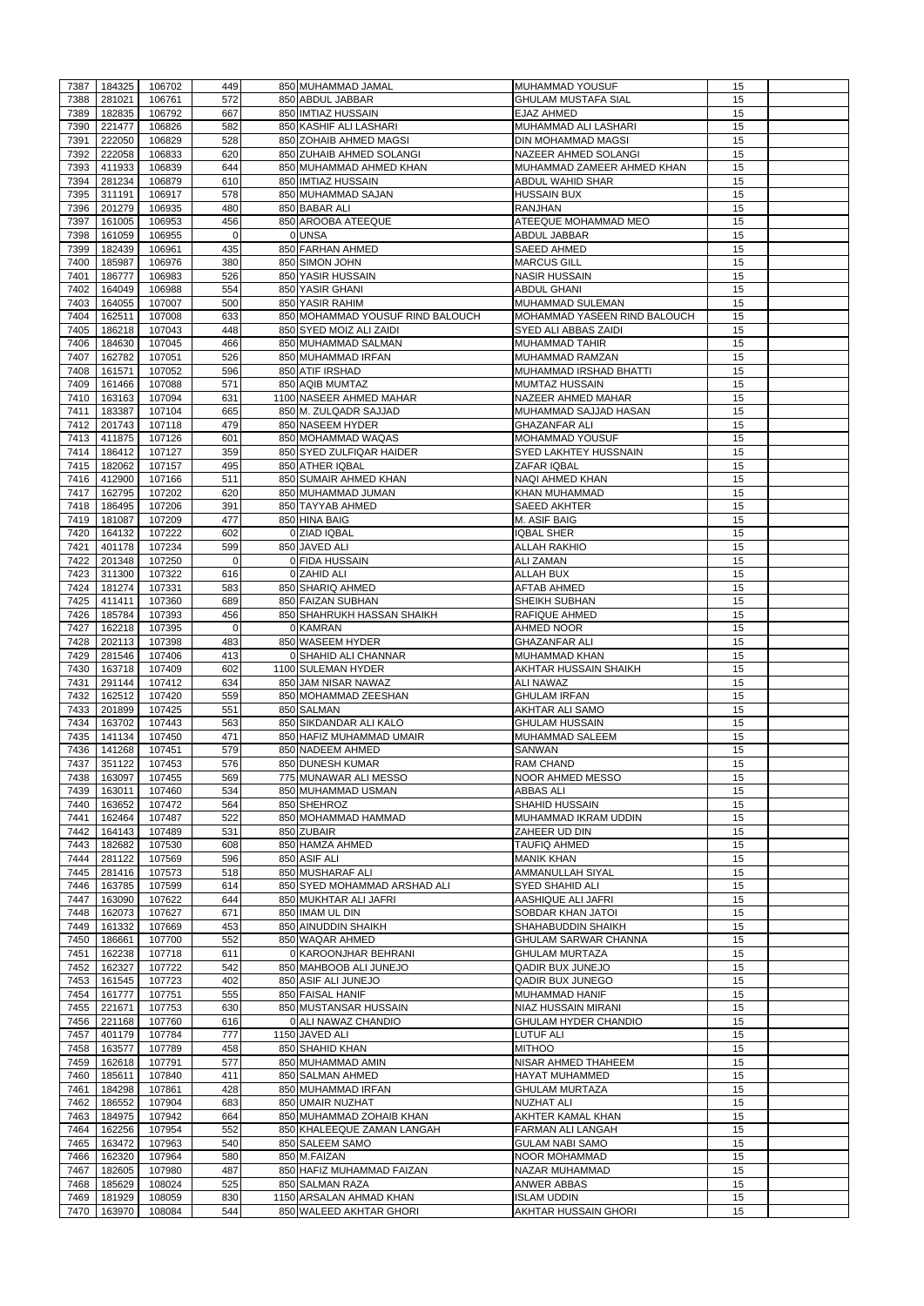|      | 184325      | 106702 | 449            | 850 MUHAMMAD JAMAL               | <b>MUHAMMAD YOUSUF</b>       | 15 |  |
|------|-------------|--------|----------------|----------------------------------|------------------------------|----|--|
| 7387 |             |        |                |                                  |                              |    |  |
| 7388 | 281021      | 106761 | 572            | 850 ABDUL JABBAR                 | <b>GHULAM MUSTAFA SIAL</b>   | 15 |  |
| 7389 | 182835      | 106792 | 667            | 850 IMTIAZ HUSSAIN               | EJAZ AHMED                   | 15 |  |
| 7390 | 221477      | 106826 | 582            | 850 KASHIF ALI LASHARI           | MUHAMMAD ALI LASHARI         | 15 |  |
| 7391 | 222050      | 106829 | 528            | 850 ZOHAIB AHMED MAGSI           | <b>DIN MOHAMMAD MAGSI</b>    | 15 |  |
| 7392 | 222058      | 106833 | 620            | 850 ZUHAIB AHMED SOLANGI         | NAZEER AHMED SOLANGI         | 15 |  |
|      |             |        |                |                                  |                              |    |  |
| 7393 | 411933      | 106839 | 644            | 850 MUHAMMAD AHMED KHAN          | MUHAMMAD ZAMEER AHMED KHAN   | 15 |  |
| 7394 | 281234      | 106879 | 610            | 850 IMTIAZ HUSSAIN               | ABDUL WAHID SHAR             | 15 |  |
| 7395 | 311191      | 106917 | 578            | 850 MUHAMMAD SAJAN               | <b>HUSSAIN BUX</b>           | 15 |  |
| 7396 | 201279      | 106935 | 480            | 850 BABAR ALI                    | <b>RANJHAN</b>               | 15 |  |
|      |             |        |                |                                  |                              |    |  |
| 7397 | 161005      | 106953 | 456            | 850 AROOBA ATEEQUE               | ATEEQUE MOHAMMAD MEO         | 15 |  |
| 7398 | 161059      | 106955 | $\mathbf 0$    | <b>OUNSA</b>                     | ABDUL JABBAR                 | 15 |  |
| 7399 | 182439      | 106961 | 435            | 850 FARHAN AHMED                 | SAEED AHMED                  | 15 |  |
| 7400 | 185987      | 106976 | 380            | 850 SIMON JOHN                   | <b>MARCUS GILL</b>           | 15 |  |
|      |             |        |                |                                  |                              |    |  |
| 7401 | 186777      | 106983 | 526            | 850 YASIR HUSSAIN                | <b>NASIR HUSSAIN</b>         | 15 |  |
| 7402 | 164049      | 106988 | 554            | 850 YASIR GHANI                  | <b>ABDUL GHANI</b>           | 15 |  |
| 7403 | 164055      | 107007 | 500            | 850 YASIR RAHIM                  | MUHAMMAD SULEMAN             | 15 |  |
| 7404 | 162511      | 107008 | 633            | 850 MOHAMMAD YOUSUF RIND BALOUCH | MOHAMMAD YASEEN RIND BALOUCH | 15 |  |
|      |             |        |                |                                  |                              |    |  |
| 7405 | 186218      | 107043 | 448            | 850 SYED MOIZ ALI ZAIDI          | SYED ALI ABBAS ZAIDI         | 15 |  |
| 7406 | 184630      | 107045 | 466            | 850 MUHAMMAD SALMAN              | <b>MUHAMMAD TAHIR</b>        | 15 |  |
| 7407 | 162782      | 107051 | 526            | 850 MUHAMMAD IRFAN               | MUHAMMAD RAMZAN              | 15 |  |
| 7408 | 161571      | 107052 | 596            | 850 ATIF IRSHAD                  | MUHAMMAD IRSHAD BHATTI       | 15 |  |
|      |             |        |                |                                  |                              |    |  |
| 7409 | 161466      | 107088 | 571            | 850 AQIB MUMTAZ                  | <b>MUMTAZ HUSSAIN</b>        | 15 |  |
| 7410 | 163163      | 107094 | 631            | 1100 NASEER AHMED MAHAR          | NAZEER AHMED MAHAR           | 15 |  |
| 7411 | 183387      | 107104 | 665            | 850 M. ZULQADR SAJJAD            | MUHAMMAD SAJJAD HASAN        | 15 |  |
| 7412 | 201743      | 107118 | 479            | 850 NASEEM HYDER                 | <b>GHAZANFAR ALI</b>         | 15 |  |
|      |             |        |                |                                  |                              |    |  |
| 7413 | 411875      | 107126 | 601            | 850 MOHAMMAD WAQAS               | MOHAMMAD YOUSUF              | 15 |  |
| 7414 | 186412      | 107127 | 359            | 850 SYED ZULFIQAR HAIDER         | SYED LAKHTEY HUSSNAIN        | 15 |  |
| 7415 | 182062      | 107157 | 495            | 850 ATHER IQBAL                  | ZAFAR IQBAL                  | 15 |  |
| 7416 | 412900      | 107166 | 511            | 850 SUMAIR AHMED KHAN            | NAQI AHMED KHAN              | 15 |  |
| 7417 | 162795      | 107202 | 620            | 850 MUHAMMAD JUMAN               | KHAN MUHAMMAD                | 15 |  |
|      |             |        |                |                                  |                              |    |  |
| 7418 | 186495      | 107206 | 391            | 850 TAYYAB AHMED                 | <b>SAEED AKHTER</b>          | 15 |  |
| 7419 | 181087      | 107209 | 477            | 850 HINA BAIG                    | M. ASIF BAIG                 | 15 |  |
| 7420 | 164132      | 107222 | 602            | 0 ZIAD IQBAL                     | <b>IQBAL SHER</b>            | 15 |  |
|      |             |        |                |                                  |                              |    |  |
| 7421 | 401178      | 107234 | 599            | 850 JAVED ALI                    | <b>ALLAH RAKHIO</b>          | 15 |  |
| 7422 | 201348      | 107250 | $\overline{0}$ | 0 FIDA HUSSAIN                   | <b>ALI ZAMAN</b>             | 15 |  |
| 7423 | 311300      | 107322 | 616            | 0 ZAHID ALI                      | <b>ALLAH BUX</b>             | 15 |  |
| 7424 | 181274      | 107331 | 583            | 850 SHARIQ AHMED                 | <b>AFTAB AHMED</b>           | 15 |  |
|      |             |        |                |                                  |                              |    |  |
| 7425 | 411411      | 107360 | 689            | 850 FAIZAN SUBHAN                | SHEIKH SUBHAN                | 15 |  |
| 7426 | 185784      | 107393 | 456            | 850 SHAHRUKH HASSAN SHAIKH       | RAFIQUE AHMED                | 15 |  |
| 7427 | 162218      | 107395 | $\mathbf 0$    | 0 KAMRAN                         | AHMED NOOR                   | 15 |  |
| 7428 | 202113      | 107398 | 483            | 850 WASEEM HYDER                 | <b>GHAZANFAR ALI</b>         | 15 |  |
|      |             |        |                |                                  |                              |    |  |
| 7429 | 281546      | 107406 | 413            | 0 SHAHID ALI CHANNAR             | <b>MUHAMMAD KHAN</b>         | 15 |  |
| 7430 | 163718      | 107409 | 602            | 1100 SULEMAN HYDER               | AKHTAR HUSSAIN SHAIKH        | 15 |  |
|      | 291144      | 107412 | 634            | 850 JAM NISAR NAWAZ              | <b>ALI NAWAZ</b>             | 15 |  |
|      |             |        |                |                                  |                              |    |  |
| 7431 |             |        |                |                                  |                              |    |  |
| 7432 | 162512      | 107420 | 559            | 850 MOHAMMAD ZEESHAN             | <b>GHULAM IRFAN</b>          | 15 |  |
| 7433 | 201899      | 107425 | 551            | 850 SALMAN                       | AKHTAR ALI SAMO              | 15 |  |
| 7434 | 163702      | 107443 | 563            | 850 SIKDANDAR ALI KALO           | <b>GHULAM HUSSAIN</b>        | 15 |  |
| 7435 |             | 107450 | 471            | 850 HAFIZ MUHAMMAD UMAIR         | <b>MUHAMMAD SALEEM</b>       | 15 |  |
|      | 141134      |        |                |                                  |                              |    |  |
| 7436 | 141268      | 107451 | 579            | 850 NADEEM AHMED                 | SANWAN                       | 15 |  |
| 7437 | 351122      | 107453 | 576            | 850 DUNESH KUMAR                 | RAM CHAND                    | 15 |  |
| 7438 | 163097      | 107455 | 569            | 775 MUNAWAR ALI MESSO            | NOOR AHMED MESSO             | 15 |  |
| 7439 | 163011      | 107460 | 534            | 850 MUHAMMAD USMAN               | <b>ABBAS ALI</b>             | 15 |  |
| 7440 | 163652      | 107472 | 564            | 850 SHEHROZ                      | <b>SHAHID HUSSAIN</b>        | 15 |  |
|      |             |        |                |                                  |                              |    |  |
| 7441 | 162464      | 107487 | 522            | 850 MOHAMMAD HAMMAD              | MUHAMMAD IKRAM UDDIN         | 15 |  |
| 7442 | 164143      | 107489 | 531            | 850 ZUBAIR                       | ZAHEER UD DIN                | 15 |  |
| 7443 | 182682      | 107530 | 608            | 850 HAMZA AHMED                  | <b>TAUFIQ AHMED</b>          | 15 |  |
| 7444 | 281122      | 107569 | 596            | 850 ASIF ALI                     | <b>MANIK KHAN</b>            | 15 |  |
|      |             |        |                |                                  |                              |    |  |
| 7445 | 281416      | 107573 | 518            | 850 MUSHARAF ALI                 | AMMANULLAH SIYAL             | 15 |  |
| 7446 | 163785      | 107599 | 614            | 850 SYED MOHAMMAD ARSHAD ALI     | <b>SYED SHAHID ALI</b>       | 15 |  |
| 7447 | 163090      | 107622 | 644            | 850 MUKHTAR ALI JAFRI            | AASHIQUE ALI JAFRI           | 15 |  |
| 7448 | 162073      | 107627 | 671            | 850 IMAM UL DIN                  | SOBDAR KHAN JATOI            | 15 |  |
| 7449 |             |        |                |                                  |                              |    |  |
|      | 161332      | 107669 | 453            | 850 AINUDDIN SHAIKH              | SHAHABUDDIN SHAIKH           | 15 |  |
| 7450 | 186661      | 107700 | 552            | 850 WAQAR AHMED                  | <b>GHULAM SARWAR CHANNA</b>  | 15 |  |
| 7451 | 162238      | 107718 | 611            | 0 KAROONJHAR BEHRANI             | <b>GHULAM MURTAZA</b>        | 15 |  |
| 7452 | 162327      | 107722 | 542            | 850 MAHBOOB ALI JUNEJO           | <b>QADIR BUX JUNEJO</b>      | 15 |  |
| 7453 | 161545      |        | 402            | 850 ASIF ALI JUNEJO              | <b>QADIR BUX JUNEGO</b>      | 15 |  |
|      |             | 107723 |                |                                  |                              |    |  |
| 7454 | 161777      | 107751 | 555            | 850 FAISAL HANIF                 | <b>MUHAMMAD HANIF</b>        | 15 |  |
| 7455 | 221671      | 107753 | 630            | 850 MUSTANSAR HUSSAIN            | NIAZ HUSSAIN MIRANI          | 15 |  |
| 7456 | 221168      | 107760 | 616            | 0 ALI NAWAZ CHANDIO              | <b>GHULAM HYDER CHANDIO</b>  | 15 |  |
| 7457 | 401179      | 107784 | 777            | 1150 JAVED ALI                   | <b>LUTUF ALI</b>             | 15 |  |
|      |             |        |                |                                  |                              |    |  |
| 7458 | 163577      | 107789 | 458            | 850 SHAHID KHAN                  | <b>MITHOO</b>                | 15 |  |
|      | 7459 162618 | 107791 | 577            | 850 MUHAMMAD AMIN                | NISAR AHMED THAHEEM          | 15 |  |
| 7460 | 185611      | 107840 | 411            | 850 SALMAN AHMED                 | <b>HAYAT MUHAMMED</b>        | 15 |  |
|      |             |        |                | 850 MUHAMMAD IRFAN               | <b>GHULAM MURTAZA</b>        |    |  |
| 7461 | 184298      | 107861 | 428            |                                  |                              | 15 |  |
| 7462 | 186552      | 107904 | 683            | 850 JUMAIR NUZHAT                | NUZHAT ALI                   | 15 |  |
| 7463 | 184975      | 107942 | 664            | 850 MUHAMMAD ZOHAIB KHAN         | AKHTER KAMAL KHAN            | 15 |  |
| 7464 | 162256      | 107954 | 552            | 850 KHALEEQUE ZAMAN LANGAH       | FARMAN ALI LANGAH            | 15 |  |
| 7465 | 163472      | 107963 | 540            | 850 SALEEM SAMO                  | <b>GULAM NABI SAMO</b>       | 15 |  |
|      |             |        |                |                                  |                              |    |  |
| 7466 | 162320      | 107964 | 580            | 850 M.FAIZAN                     | NOOR MOHAMMAD                | 15 |  |
| 7467 | 182605      | 107980 | 487            | 850 HAFIZ MUHAMMAD FAIZAN        | NAZAR MUHAMMAD               | 15 |  |
| 7468 | 185629      | 108024 | 525            | 850 SALMAN RAZA                  | ANWER ABBAS                  | 15 |  |
| 7469 | 181929      | 108059 | 830            | 1150 ARSALAN AHMAD KHAN          | <b>ISLAM UDDIN</b>           | 15 |  |
| 7470 | 163970      | 108084 | 544            | 850 WALEED AKHTAR GHORI          | AKHTAR HUSSAIN GHORI         | 15 |  |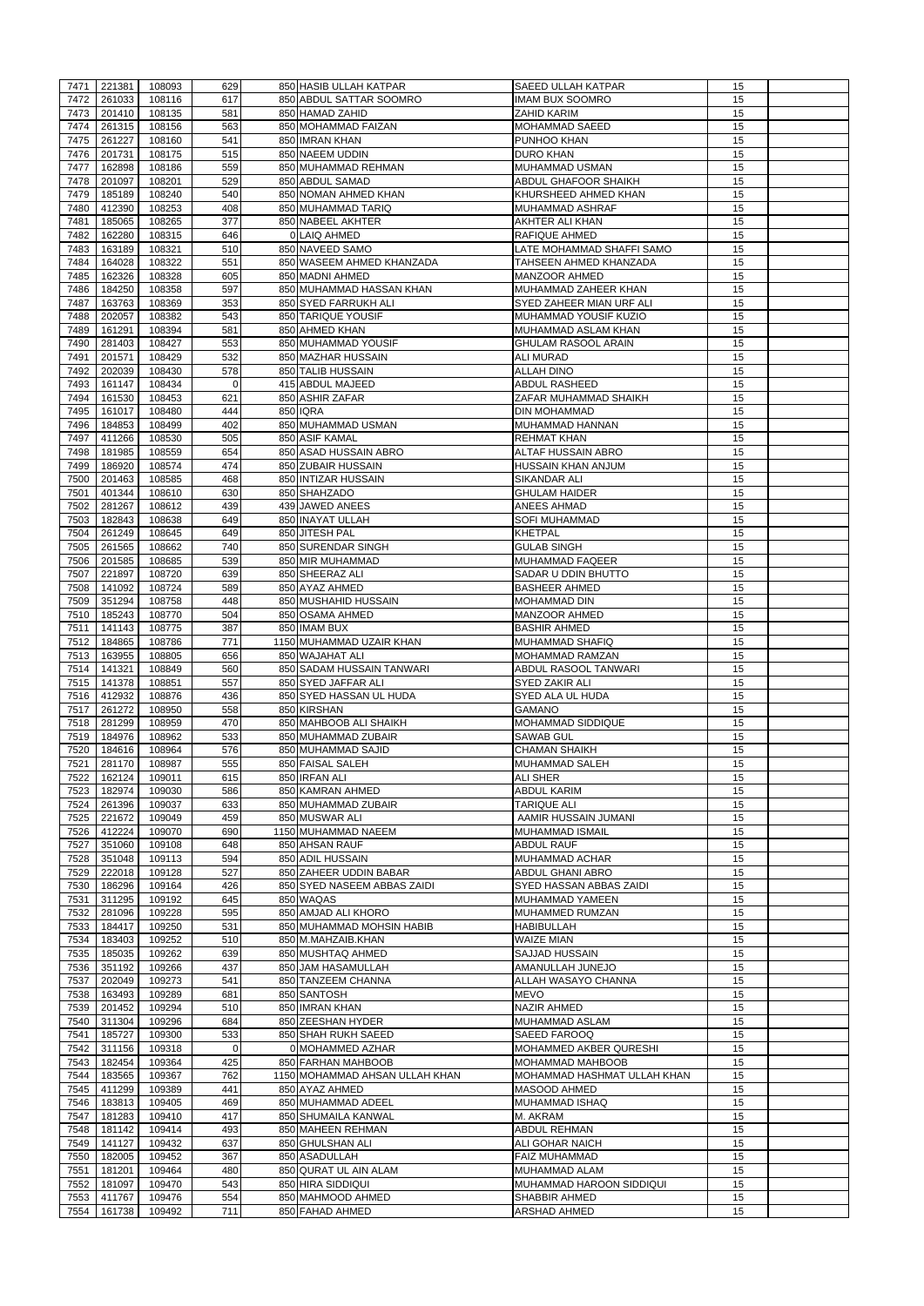| 7471         | 221381           | 108093             | 629        | 850 HASIB ULLAH KATPAR               | <b>SAEED ULLAH KATPAR</b>            | 15       |  |
|--------------|------------------|--------------------|------------|--------------------------------------|--------------------------------------|----------|--|
| 7472         | 261033           | 108116             | 617        | 850 ABDUL SATTAR SOOMRO              | <b>IMAM BUX SOOMRO</b>               | 15       |  |
| 7473         | 201410           | 108135             | 581        | 850 HAMAD ZAHID                      | <b>ZAHID KARIM</b>                   | 15       |  |
| 7474         | 261315           | 108156             | 563        | 850 MOHAMMAD FAIZAN                  | <b>MOHAMMAD SAEED</b>                | 15       |  |
| 7475         | 261227           | 108160             | 541        | 850 IMRAN KHAN                       | PUNHOO KHAN                          | 15       |  |
| 7476         | 201731           | 108175             | 515        | 850 NAEEM UDDIN                      | <b>DURO KHAN</b>                     | 15       |  |
| 7477         | 162898           | 108186             | 559        | 850 MUHAMMAD REHMAN                  | MUHAMMAD USMAN                       | 15       |  |
| 7478         | 201097           | 108201             | 529        | 850 ABDUL SAMAD                      | ABDUL GHAFOOR SHAIKH                 | 15       |  |
| 7479         | 185189           | 108240             | 540        | 850 NOMAN AHMED KHAN                 | KHURSHEED AHMED KHAN                 | 15       |  |
| 7480         | 412390           | 108253             | 408        | 850 MUHAMMAD TARIQ                   | MUHAMMAD ASHRAF                      | 15       |  |
| 7481         | 185065           | 108265             | 377        | 850 NABEEL AKHTER                    | AKHTER ALI KHAN                      | 15       |  |
| 7482         | 162280           | 108315             | 646        | 0 LAIQ AHMED                         | RAFIQUE AHMED                        | 15       |  |
| 7483         | 163189           | 108321             | 510        | 850 NAVEED SAMO                      | LATE MOHAMMAD SHAFFI SAMO            | 15       |  |
| 7484         | 164028           | 108322             | 551        | 850 WASEEM AHMED KHANZADA            | TAHSEEN AHMED KHANZADA               | 15       |  |
| 7485         | 162326           | 108328             | 605        | 850 MADNI AHMED                      | MANZOOR AHMED                        | 15       |  |
| 7486         | 184250           | 108358             | 597        | 850 MUHAMMAD HASSAN KHAN             | MUHAMMAD ZAHEER KHAN                 | 15       |  |
| 7487         | 163763           | 108369             | 353        | 850 SYED FARRUKH ALI                 | SYED ZAHEER MIAN URF ALI             | 15       |  |
| 7488         | 202057           | 108382             | 543        | 850 TARIQUE YOUSIF                   | MUHAMMAD YOUSIF KUZIO                | 15       |  |
| 7489         | 161291           | 108394             | 581        | 850 AHMED KHAN                       | MUHAMMAD ASLAM KHAN                  | 15       |  |
| 7490         | 281403           | 108427             | 553        | 850 MUHAMMAD YOUSIF                  | <b>GHULAM RASOOL ARAIN</b>           | 15       |  |
| 7491         | 201571           | 108429             | 532        | 850 MAZHAR HUSSAIN                   | <b>ALI MURAD</b>                     | 15       |  |
| 7492         | 202039           | 108430             | 578        | 850 TALIB HUSSAIN                    | <b>ALLAH DINO</b>                    | 15       |  |
| 7493         | 161147           | 108434             | $\Omega$   | 415 ABDUL MAJEED                     | <b>ABDUL RASHEED</b>                 | 15       |  |
| 7494         | 161530           | 108453             | 621        | 850 ASHIR ZAFAR                      | ZAFAR MUHAMMAD SHAIKH                | 15       |  |
| 7495         | 161017           | 108480             | 444        | 850 IQRA                             | DIN MOHAMMAD                         | 15       |  |
| 7496         | 184853           | 108499             | 402        | 850 MUHAMMAD USMAN                   | MUHAMMAD HANNAN                      | 15       |  |
| 7497         | 411266           | 108530             | 505        | 850 ASIF KAMAL                       | <b>REHMAT KHAN</b>                   | 15       |  |
| 7498         | 181985           | 108559             | 654        | 850 ASAD HUSSAIN ABRO                | ALTAF HUSSAIN ABRO                   | 15       |  |
| 7499         | 186920           | 108574             | 474        | 850 ZUBAIR HUSSAIN                   | HUSSAIN KHAN ANJUM                   | 15       |  |
| 7500         | 201463           | 108585             | 468        | 850 INTIZAR HUSSAIN                  | SIKANDAR ALI                         | 15       |  |
| 7501         | 401344           | 108610             | 630        | 850 SHAHZADO                         | <b>GHULAM HAIDER</b>                 | 15       |  |
| 7502         | 281267           | 108612             | 439        | 439 JAWED ANEES                      | ANEES AHMAD                          | 15       |  |
| 7503         | 182843           | 108638             | 649        | 850 INAYAT ULLAH                     | <b>SOFI MUHAMMAD</b>                 | 15       |  |
| 7504         | 261249           | 108645             | 649        | 850 JITESH PAL                       | <b>KHETPAL</b>                       | 15       |  |
| 7505         | 261565           | 108662             | 740        | 850 SURENDAR SINGH                   | <b>GULAB SINGH</b>                   | 15       |  |
| 7506         | 201585           | 108685             | 539        | 850 MIR MUHAMMAD                     | <b>MUHAMMAD FAQEER</b>               | 15       |  |
| 7507         | 221897           | 108720             | 639        | 850 SHEERAZ ALI                      | SADAR U DDIN BHUTTO                  | 15       |  |
| 7508         | 141092           | 108724             | 589        | 850 AYAZ AHMED                       | <b>BASHEER AHMED</b>                 | 15       |  |
| 7509         | 351294           | 108758             | 448        | 850 MUSHAHID HUSSAIN                 | MOHAMMAD DIN                         | 15       |  |
| 7510         | 185243           | 108770             | 504        | 850 OSAMA AHMED                      | MANZOOR AHMED                        | 15       |  |
| 7511         | 141143           | 108775             | 387        | 850 IMAM BUX                         | <b>BASHIR AHMED</b>                  | 15       |  |
| 7512         | 184865           | 108786             | 771        | 1150 MUHAMMAD UZAIR KHAN             | MUHAMMAD SHAFIQ                      | 15       |  |
| 7513         | 163955           | 108805             | 656        | 850 WAJAHAT ALI                      | MOHAMMAD RAMZAN                      | 15       |  |
| 7514         | 141321           | 108849             | 560        | 850 SADAM HUSSAIN TANWARI            | ABDUL RASOOL TANWARI                 | 15       |  |
| 7515         | 141378           | 108851             | 557        | 850 SYED JAFFAR ALI                  | SYED ZAKIR ALI                       | 15       |  |
| 7516         | 412932           | 108876             | 436        | 850 SYED HASSAN UL HUDA              | SYED ALA UL HUDA                     | 15       |  |
| 7517         | 261272           | 108950             | 558        | 850 KIRSHAN                          | <b>GAMANO</b>                        | 15       |  |
| 7518         | 281299           | 108959             | 470        | 850 MAHBOOB ALI SHAIKH               | MOHAMMAD SIDDIQUE                    | 15       |  |
| 7519         | 184976           | 108962             | 533        | 850 MUHAMMAD ZUBAIR                  | SAWAB GUL                            | 15       |  |
| 7520         | 184616           | 108964             |            | 850 MUHAMMAD SAJID                   | <b>CHAMAN SHAIKH</b>                 |          |  |
| 7521         | 281170           |                    |            |                                      |                                      |          |  |
| 7522         |                  |                    | 576        |                                      |                                      | 15       |  |
| 7523         |                  | 108987             | 555        | 850 FAISAL SALEH                     | <b>MUHAMMAD SALEH</b>                | 15       |  |
|              | 162124           | 109011             | 615        | 850 IRFAN ALI                        | <b>ALI SHER</b>                      | 15       |  |
|              | 182974           | 109030             | 586        | 850 KAMRAN AHMED                     | <b>ABDUL KARIM</b>                   | 15       |  |
| 7524         | 261396           | 109037             | 633        | 850 MUHAMMAD ZUBAIR                  | <b>TARIQUE ALI</b>                   | 15       |  |
| 7525         | 221672           | 109049             | 459        | 850 MUSWAR ALI                       | AAMIR HUSSAIN JUMANI                 | 15       |  |
| 7526         | 412224           | 109070             | 690        | 1150 MUHAMMAD NAEEM                  | MUHAMMAD ISMAIL                      | 15       |  |
| 7527         | 351060           | 109108             | 648        | 850 AHSAN RAUF                       | <b>ABDUL RAUF</b>                    | 15       |  |
| 7528         | 351048           | 109113             | 594        | 850 ADIL HUSSAIN                     | MUHAMMAD ACHAR                       | 15       |  |
| 7529         | 222018           | 109128             | 527        | 850 ZAHEER UDDIN BABAR               | ABDUL GHANI ABRO                     | 15       |  |
| 7530         | 186296           | 109164             | 426        | 850 SYED NASEEM ABBAS ZAIDI          | SYED HASSAN ABBAS ZAIDI              | 15       |  |
| 7531         | 311295           | 109192             | 645        | 850 WAQAS                            | MUHAMMAD YAMEEN                      | 15       |  |
| 7532         | 281096           | 109228             | 595        | 850 AMJAD ALI KHORO                  | MUHAMMED RUMZAN                      | 15       |  |
| 7533         | 184417           | 109250             | 531        | 850 MUHAMMAD MOHSIN HABIB            | <b>HABIBULLAH</b>                    | 15       |  |
| 7534         | 183403           | 109252             | 510        | 850 M.MAHZAIB.KHAN                   | <b>WAIZE MIAN</b>                    | 15       |  |
| 7535         | 185035           | 109262             | 639        | 850 MUSHTAQ AHMED                    | <b>SAJJAD HUSSAIN</b>                | 15       |  |
| 7536         | 351192           | 109266             | 437        | 850 JAM HASAMULLAH                   | AMANULLAH JUNEJO                     | 15       |  |
| 7537         | 202049           | 109273             | 541        | 850 TANZEEM CHANNA                   | ALLAH WASAYO CHANNA                  | 15       |  |
| 7538         | 163493           | 109289             | 681        | 850 SANTOSH                          | <b>MEVO</b>                          | 15       |  |
| 7539         | 201452           | 109294             | 510        | 850 IMRAN KHAN                       | <b>NAZIR AHMED</b>                   | 15       |  |
| 7540         | 311304           | 109296             | 684        | 850 ZEESHAN HYDER                    | <b>MUHAMMAD ASLAM</b>                | 15       |  |
| 7541         | 185727           | 109300             | 533        | 850 SHAH RUKH SAEED                  | SAEED FAROOQ                         | 15       |  |
| 7542         | 311156           | 109318             | 0          | 0 MOHAMMED AZHAR                     | MOHAMMED AKBER QURESHI               | 15       |  |
|              |                  | 7543 182454 109364 | 425        | 850 FARHAN MAHBOOB                   | MOHAMMAD MAHBOOB                     | 15       |  |
| 7544         | 183565           | 109367             | 762        | 1150 MOHAMMAD AHSAN ULLAH KHAN       | MOHAMMAD HASHMAT ULLAH KHAN          | 15       |  |
| 7545         | 411299           | 109389             | 441        | 850 AYAZ AHMED                       | MASOOD AHMED                         | 15       |  |
| 7546         | 183813           | 109405             | 469        | 850 MUHAMMAD ADEEL                   | MUHAMMAD ISHAQ                       | 15       |  |
| 7547         | 181283           | 109410             | 417        | 850 SHUMAILA KANWAL                  | M. AKRAM                             | 15       |  |
| 7548         | 181142           | 109414             | 493        | 850 MAHEEN REHMAN                    | ABDUL REHMAN                         | 15       |  |
| 7549         | 141127           | 109432             | 637        | 850 GHULSHAN ALI                     | ALI GOHAR NAICH                      | 15       |  |
| 7550         | 182005           | 109452             | 367        | 850 ASADULLAH                        | <b>FAIZ MUHAMMAD</b>                 | 15       |  |
| 7551         | 181201           | 109464             | 480        | 850 QURAT UL AIN ALAM                | MUHAMMAD ALAM                        | 15       |  |
| 7552         | 181097           | 109470             | 543        | 850 HIRA SIDDIQUI                    | MUHAMMAD HAROON SIDDIQUI             | 15       |  |
| 7553<br>7554 | 411767<br>161738 | 109476<br>109492   | 554<br>711 | 850 MAHMOOD AHMED<br>850 FAHAD AHMED | <b>SHABBIR AHMED</b><br>ARSHAD AHMED | 15<br>15 |  |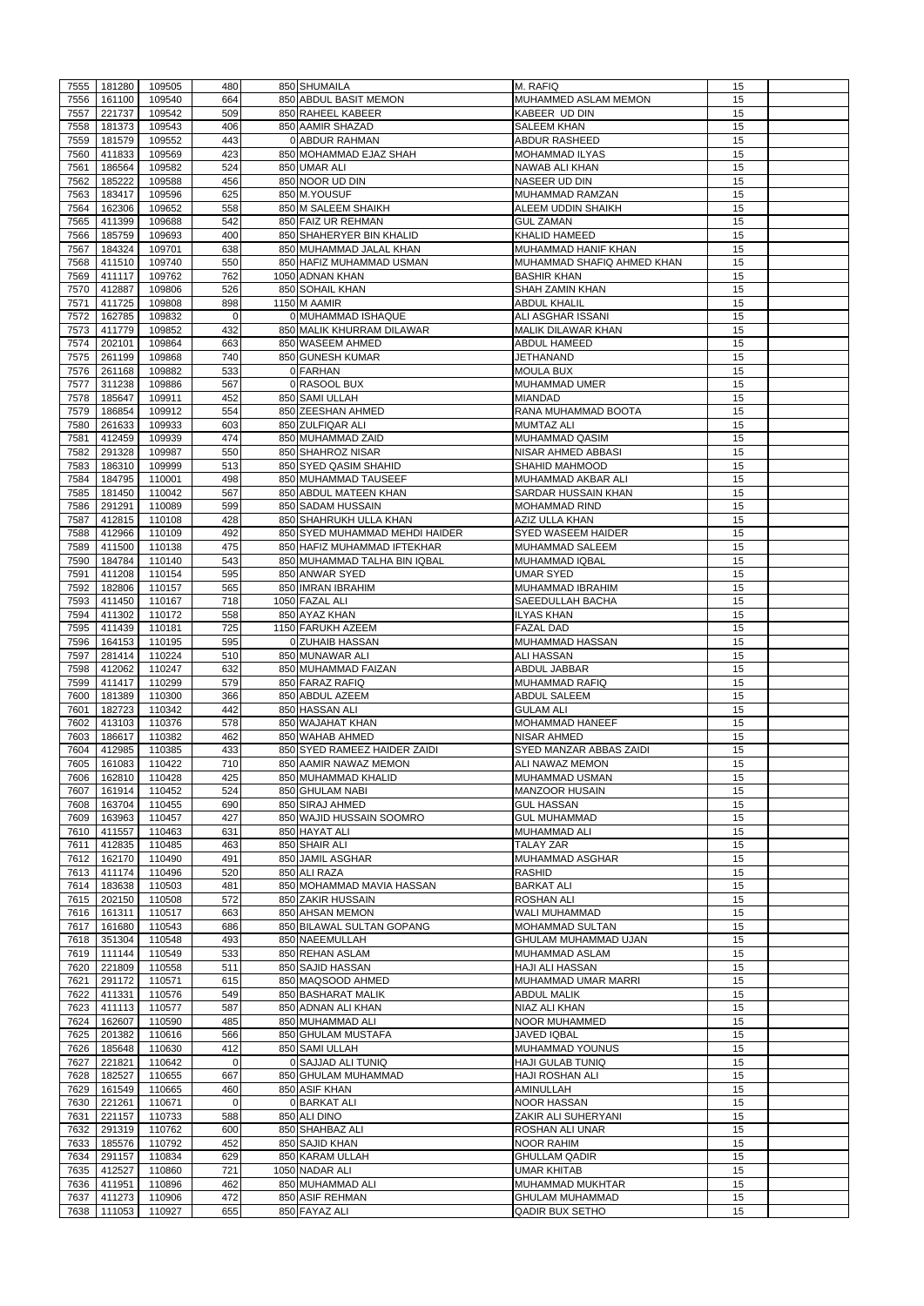| 7555<br>7556 | 181280           | 109505           | 480            | 850 SHUMAILA                     | M. RAFIQ                                         | 15       |  |
|--------------|------------------|------------------|----------------|----------------------------------|--------------------------------------------------|----------|--|
|              |                  |                  | 664            |                                  | <b>MUHAMMED ASLAM MEMON</b>                      |          |  |
|              | 161100           | 109540           |                | 850 ABDUL BASIT MEMON            |                                                  | 15       |  |
| 7557         | 221737           | 109542           | 509            | 850 RAHEEL KABEER                | KABEER UD DIN                                    | 15       |  |
| 7558         | 181373           | 109543           | 406            | 850 AAMIR SHAZAD                 | <b>SALEEM KHAN</b>                               | 15       |  |
| 7559         | 181579           | 109552           | 443            | 0 ABDUR RAHMAN                   | <b>ABDUR RASHEED</b>                             | 15       |  |
| 7560         | 411833           | 109569           | 423            | 850 MOHAMMAD EJAZ SHAH           | <b>MOHAMMAD ILYAS</b>                            | 15       |  |
| 7561         | 186564           | 109582           | 524            | 850 UMAR ALI                     | NAWAB ALI KHAN                                   | 15       |  |
| 7562         | 185222           | 109588           | 456            | 850 NOOR UD DIN                  | NASEER UD DIN                                    | 15       |  |
| 7563         | 183417           | 109596           | 625            | 850 M.YOUSUF                     | MUHAMMAD RAMZAN                                  | 15       |  |
| 7564         | 162306           | 109652           | 558            | 850 M SALEEM SHAIKH              | ALEEM UDDIN SHAIKH                               | 15       |  |
| 7565         | 411399           | 109688           | 542            | 850 FAIZ UR REHMAN               | <b>GUL ZAMAN</b>                                 | 15       |  |
| 7566         | 185759           | 109693           | 400            | 850 SHAHERYER BIN KHALID         | <b>KHALID HAMEED</b>                             | 15       |  |
| 7567         | 184324           | 109701           | 638            | 850 MUHAMMAD JALAL KHAN          | MUHAMMAD HANIF KHAN                              | 15       |  |
| 7568         | 411510           | 109740           | 550            | 850 HAFIZ MUHAMMAD USMAN         | MUHAMMAD SHAFIQ AHMED KHAN                       | 15       |  |
| 7569         | 411117           | 109762           | 762            | 1050 ADNAN KHAN                  | <b>BASHIR KHAN</b>                               | 15       |  |
| 7570         | 412887           | 109806           | 526            | 850 SOHAIL KHAN                  | <b>SHAH ZAMIN KHAN</b>                           | 15       |  |
| 7571         | 411725           | 109808           | 898            | 1150 M AAMIR                     | ABDUL KHALIL                                     | 15       |  |
| 7572         | 162785           | 109832           | $\Omega$       | 0 MUHAMMAD ISHAQUE               | ALI ASGHAR ISSANI                                | 15       |  |
| 7573         | 411779           | 109852           | 432            | 850 MALIK KHURRAM DILAWAR        | <b>MALIK DILAWAR KHAN</b>                        | 15       |  |
|              |                  |                  |                |                                  |                                                  |          |  |
| 7574         | 202101           | 109864           | 663            | 850 WASEEM AHMED                 | <b>ABDUL HAMEED</b>                              | 15       |  |
| 7575         | 261199           | 109868           | 740            | 850 GUNESH KUMAR                 | <b>JETHANAND</b>                                 | 15       |  |
| 7576         | 261168           | 109882           | 533            | 0 FARHAN                         | <b>MOULA BUX</b>                                 | 15       |  |
| 7577         | 311238           | 109886           | 567            | 0 RASOOL BUX                     | <b>MUHAMMAD UMER</b>                             | 15       |  |
| 7578         | 185647           | 109911           | 452            | 850 SAMI ULLAH                   | <b>MIANDAD</b>                                   | 15       |  |
| 7579         | 186854           | 109912           | 554            | 850 ZEESHAN AHMED                | RANA MUHAMMAD BOOTA                              | 15       |  |
| 7580         | 261633           | 109933           | 603            | 850 ZULFIQAR ALI                 | <b>MUMTAZ ALI</b>                                | 15       |  |
| 7581         | 412459           | 109939           | 474            | 850 MUHAMMAD ZAID                | <b>MUHAMMAD QASIM</b>                            | 15       |  |
| 7582         | 291328           | 109987           | 550            | 850 SHAHROZ NISAR                | NISAR AHMED ABBASI                               | 15       |  |
| 7583         | 186310           | 109999           | 513            | 850 SYED QASIM SHAHID            | <b>SHAHID MAHMOOD</b>                            | 15       |  |
| 7584         | 184795           | 110001           | 498            | 850 MUHAMMAD TAUSEEF             | MUHAMMAD AKBAR ALI                               | 15       |  |
| 7585         | 181450           | 110042           | 567            | 850 ABDUL MATEEN KHAN            | <b>SARDAR HUSSAIN KHAN</b>                       | 15       |  |
| 7586         | 291291           | 110089           | 599            | 850 SADAM HUSSAIN                | <b>MOHAMMAD RIND</b>                             | 15       |  |
| 7587         | 412815           | 110108           | 428            | 850 SHAHRUKH ULLA KHAN           | AZIZ ULLA KHAN                                   | 15       |  |
|              |                  |                  |                |                                  |                                                  |          |  |
| 7588         | 412966           | 110109           | 492            | 850 SYED MUHAMMAD MEHDI HAIDER   | <b>SYED WASEEM HAIDER</b>                        | 15       |  |
| 7589         | 411500           | 110138           | 475            | 850 HAFIZ MUHAMMAD IFTEKHAR      | <b>MUHAMMAD SALEEM</b>                           | 15       |  |
| 7590         | 184784           | 110140           | 543            | 850 MUHAMMAD TALHA BIN IQBAL     | MUHAMMAD IQBAL                                   | 15       |  |
| 7591         | 411208           | 110154           | 595            | 850 ANWAR SYED                   | <b>UMAR SYED</b>                                 | 15       |  |
| 7592         | 182806           | 110157           | 565            | 850 IMRAN IBRAHIM                | <b>MUHAMMAD IBRAHIM</b>                          | 15       |  |
| 7593         | 411450           | 110167           | 718            | 1050 FAZAL ALI                   | <b>SAEEDULLAH BACHA</b>                          | 15       |  |
| 7594         | 411302           | 110172           | 558            | 850 AYAZ KHAN                    | <b>ILYAS KHAN</b>                                | 15       |  |
| 7595         | 411439           | 110181           | 725            | 1150 FARUKH AZEEM                | <b>FAZAL DAD</b>                                 | 15       |  |
| 7596         | 164153           | 110195           | 595            | 0 ZUHAIB HASSAN                  | <b>MUHAMMAD HASSAN</b>                           | 15       |  |
| 7597         | 281414           | 110224           | 510            | 850 MUNAWAR ALI                  | <b>ALI HASSAN</b>                                | 15       |  |
| 7598         | 412062           | 110247           | 632            | 850 MUHAMMAD FAIZAN              | <b>ABDUL JABBAR</b>                              | 15       |  |
| 7599         | 411417           | 110299           | 579            | 850 FARAZ RAFIQ                  | <b>MUHAMMAD RAFIQ</b>                            | 15       |  |
| 7600         | 181389           | 110300           | 366            | 850 ABDUL AZEEM                  | <b>ABDUL SALEEM</b>                              | 15       |  |
|              | 182723           |                  | 442            |                                  |                                                  |          |  |
| 7601         |                  | 110342           | 578            | 850 HASSAN ALI                   | <b>GULAM ALI</b>                                 | 15       |  |
| 7602         | 413103           | 110376           |                | 850 WAJAHAT KHAN                 | <b>MOHAMMAD HANEEF</b>                           | 15       |  |
| 7603         |                  |                  |                | 850 WAHAB AHMED                  |                                                  |          |  |
|              | 186617           | 110382           | 462            |                                  | <b>NISAR AHMED</b>                               | 15       |  |
| 7604         | 412985           | 110385           | 433            | 850 SYED RAMEEZ HAIDER ZAIDI     | SYED MANZAR ABBAS ZAIDI                          | 15       |  |
| 7605         | 161083           | 110422           | 710            | 850 AAMIR NAWAZ MEMON            | ALI NAWAZ MEMON                                  | 15       |  |
| 7606         | 162810           | 110428           | 425            | 850 MUHAMMAD KHALID              | <b>MUHAMMAD USMAN</b>                            | 15       |  |
| 7607         | 161914           | 110452           | 524            | 850 GHULAM NABI                  | <b>MANZOOR HUSAIN</b>                            | 15       |  |
| 7608         | 163704           | 110455           | 690            | 850 SIRAJ AHMED                  | <b>GUL HASSAN</b>                                | 15       |  |
| 7609         | 163963           | 110457           | 427            | 850 WAJID HUSSAIN SOOMRO         | <b>GUL MUHAMMAD</b>                              | 15       |  |
| 7610         | 411557           | 110463           | 631            | 850 HAYAT ALI                    | MUHAMMAD ALI                                     | 15       |  |
| 7611         | 412835           | 110485           | 463            | 850 SHAIR ALI                    | <b>TALAY ZAR</b>                                 | 15       |  |
| 7612         | 162170           | 110490           | 491            | 850 JAMIL ASGHAR                 | <b>MUHAMMAD ASGHAR</b>                           | 15       |  |
| 7613         | 411174           | 110496           | 520            | 850 ALI RAZA                     | <b>RASHID</b>                                    | 15       |  |
| 7614         | 183638           | 110503           | 481            | 850 MOHAMMAD MAVIA HASSAN        | <b>BARKAT ALI</b>                                | 15       |  |
|              |                  |                  |                |                                  |                                                  |          |  |
| 7615         | 202150           | 110508           | 572            | 850 ZAKIR HUSSAIN                | <b>ROSHAN ALI</b>                                | 15       |  |
| 7616         | 161311           | 110517           | 663            | 850 AHSAN MEMON                  | WALI MUHAMMAD                                    | 15       |  |
| 7617         | 161680           | 110543           | 686            | 850 BILAWAL SULTAN GOPANG        | <b>MOHAMMAD SULTAN</b>                           | 15       |  |
| 7618         | 351304           | 110548           | 493            | 850 NAEEMULLAH                   | GHULAM MUHAMMAD UJAN                             | 15       |  |
| 7619         | 111144           | 110549           | 533            | 850 REHAN ASLAM                  | <b>MUHAMMAD ASLAM</b>                            | 15       |  |
| 7620         | 221809           | 110558           | 511            | 850 SAJID HASSAN                 | <b>HAJI ALI HASSAN</b>                           | 15       |  |
| 7621         | 291172           | 110571           | 615            | 850 MAQSOOD AHMED                | MUHAMMAD UMAR MARRI                              | 15       |  |
| 7622         | 411331           | 110576           | 549            | 850 BASHARAT MALIK               | <b>ABDUL MALIK</b>                               | 15       |  |
| 7623         | 411113           | 110577           | 587            | 850 ADNAN ALI KHAN               | <b>NIAZ ALI KHAN</b>                             | 15       |  |
| 7624         | 162607           | 110590           | 485            | 850 MUHAMMAD ALI                 | <b>NOOR MUHAMMED</b>                             | 15       |  |
| 7625         | 201382           | 110616           | 566            | 850 GHULAM MUSTAFA               | <b>JAVED IQBAL</b>                               | 15       |  |
| 7626         | 185648           | 110630           | 412            | 850 SAMI ULLAH                   | MUHAMMAD YOUNUS                                  | 15       |  |
| 7627         | 221821           | 110642           | $\overline{0}$ | 0 SAJJAD ALI TUNIQ               | <b>HAJI GULAB TUNIQ</b>                          | 15       |  |
| 7628         | 182527           | 110655           | 667            | 850 GHULAM MUHAMMAD              | <b>HAJI ROSHAN ALI</b>                           | 15       |  |
| 7629         | 161549           | 110665           | 460            | 850 ASIF KHAN                    | AMINULLAH                                        | 15       |  |
| 7630         | 221261           |                  | 0              | 0 BARKAT ALI                     | <b>NOOR HASSAN</b>                               |          |  |
|              |                  | 110671           |                | 850 ALI DINO                     |                                                  | 15       |  |
| 7631         | 221157           | 110733           | 588            |                                  | ZAKIR ALI SUHERYANI                              | 15       |  |
| 7632         | 291319           | 110762           | 600            | 850 SHAHBAZ ALI                  | <b>ROSHAN ALI UNAR</b>                           | 15       |  |
| 7633         | 185576           | 110792           | 452            | 850 SAJID KHAN                   | <b>NOOR RAHIM</b>                                | 15       |  |
| 7634         | 291157           | 110834           | 629            | 850 KARAM ULLAH                  | <b>GHULLAM QADIR</b>                             | 15       |  |
| 7635         | 412527           | 110860           | 721            | 1050 NADAR ALI                   | <b>UMAR KHITAB</b>                               | 15       |  |
| 7636         | 411951           | 110896           | 462            | 850 MUHAMMAD ALI                 | MUHAMMAD MUKHTAR                                 | 15       |  |
| 7637<br>7638 | 411273<br>111053 | 110906<br>110927 | 472<br>655     | 850 ASIF REHMAN<br>850 FAYAZ ALI | <b>GHULAM MUHAMMAD</b><br><b>QADIR BUX SETHO</b> | 15<br>15 |  |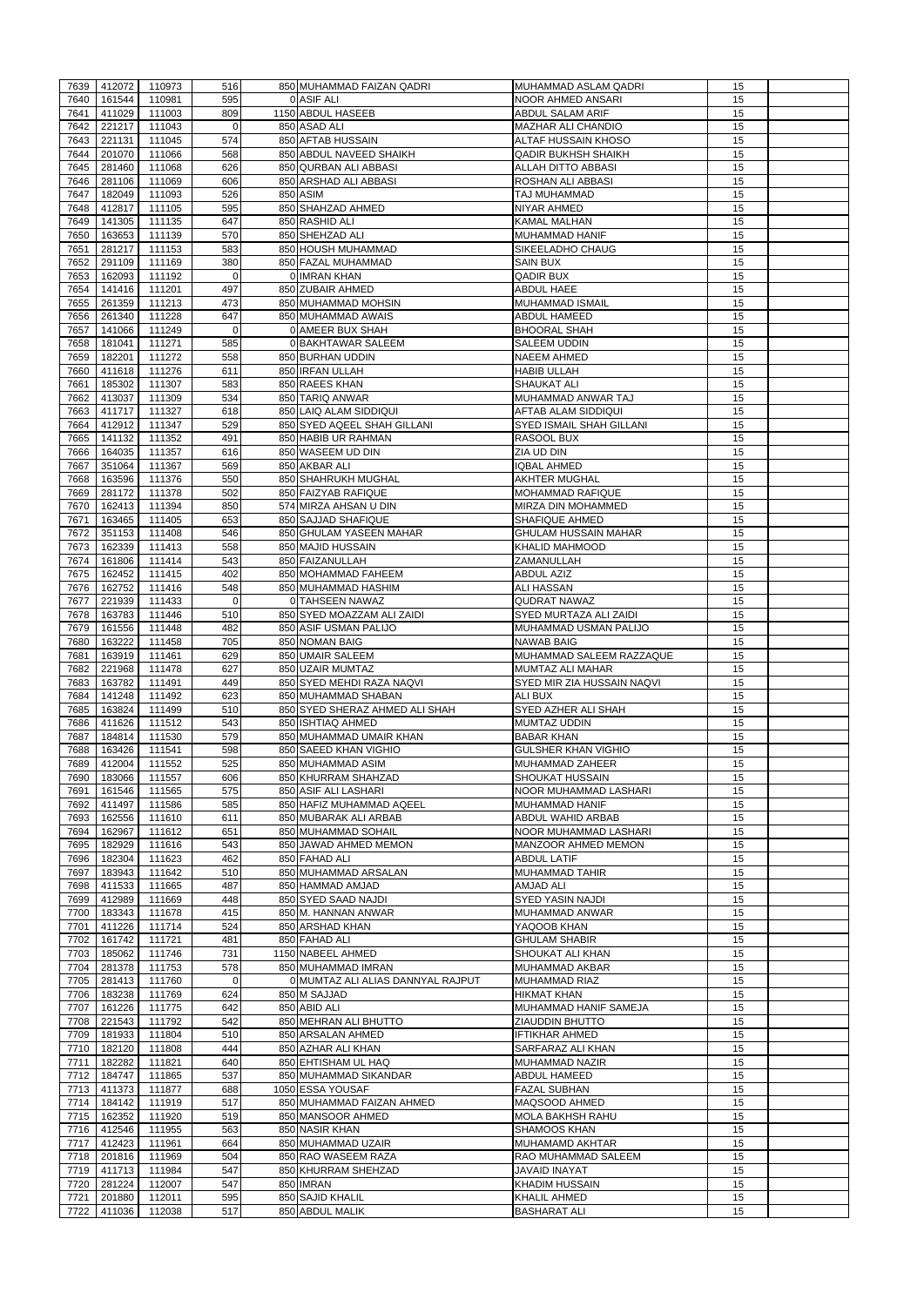| 7639 | 412072 | 110973             | 516            | 850 MUHAMMAD FAIZAN QADRI                    | MUHAMMAD ASLAM QADRI                       | 15 |  |
|------|--------|--------------------|----------------|----------------------------------------------|--------------------------------------------|----|--|
| 7640 | 161544 | 110981             | 595            | 0 ASIF ALI                                   | <b>NOOR AHMED ANSARI</b>                   | 15 |  |
| 7641 | 411029 | 111003             | 809            | 1150 ABDUL HASEEB                            | <b>ABDUL SALAM ARIF</b>                    | 15 |  |
| 7642 | 221217 | 111043             | $\Omega$       | 850 ASAD ALI                                 | <b>MAZHAR ALI CHANDIO</b>                  | 15 |  |
|      |        |                    |                |                                              |                                            |    |  |
| 7643 | 221131 | 111045             | 574            | 850 AFTAB HUSSAIN                            | <b>ALTAF HUSSAIN KHOSO</b>                 | 15 |  |
| 7644 | 201070 | 111066             | 568            | 850 ABDUL NAVEED SHAIKH                      | <b>QADIR BUKHSH SHAIKH</b>                 | 15 |  |
| 7645 | 281460 | 111068             | 626            | 850 QURBAN ALI ABBASI                        | <b>ALLAH DITTO ABBASI</b>                  | 15 |  |
| 7646 | 281106 | 111069             | 606            | 850 ARSHAD ALI ABBASI                        | ROSHAN ALI ABBASI                          | 15 |  |
| 7647 | 182049 | 111093             | 526            | <b>850 ASIM</b>                              | TAJ MUHAMMAD                               | 15 |  |
| 7648 | 412817 | 111105             | 595            | 850 SHAHZAD AHMED                            | <b>NIYAR AHMED</b>                         | 15 |  |
| 7649 | 141305 | 111135             | 647            | 850 RASHID ALI                               | KAMAL MALHAN                               | 15 |  |
| 7650 | 163653 | 111139             | 570            | 850 SHEHZAD ALI                              | <b>MUHAMMAD HANIF</b>                      | 15 |  |
| 7651 | 281217 | 111153             | 583            | 850 HOUSH MUHAMMAD                           | SIKEELADHO CHAUG                           | 15 |  |
| 7652 | 291109 | 111169             | 380            | 850 FAZAL MUHAMMAD                           | <b>SAIN BUX</b>                            | 15 |  |
| 7653 | 162093 | 111192             | $\overline{0}$ | 0 IMRAN KHAN                                 | <b>QADIR BUX</b>                           | 15 |  |
| 7654 | 141416 | 111201             | 497            | 850 ZUBAIR AHMED                             | <b>ABDUL HAEE</b>                          | 15 |  |
| 7655 | 261359 | 111213             | 473            | 850 MUHAMMAD MOHSIN                          | <b>MUHAMMAD ISMAIL</b>                     | 15 |  |
| 7656 | 261340 | 111228             | 647            | 850 MUHAMMAD AWAIS                           | <b>ABDUL HAMEED</b>                        | 15 |  |
| 7657 | 141066 | 111249             | $\Omega$       | 0 AMEER BUX SHAH                             | <b>BHOORAL SHAH</b>                        | 15 |  |
| 7658 | 181041 | 111271             | 585            | 0 BAKHTAWAR SALEEM                           | <b>SALEEM UDDIN</b>                        | 15 |  |
|      |        |                    |                |                                              |                                            |    |  |
| 7659 | 182201 | 111272             | 558            | 850 BURHAN UDDIN                             | <b>NAEEM AHMED</b>                         | 15 |  |
| 7660 | 411618 | 111276             | 611            | 850 IRFAN ULLAH                              | <b>HABIB ULLAH</b>                         | 15 |  |
| 7661 | 185302 | 111307             | 583            | 850 RAEES KHAN                               | <b>SHAUKAT ALI</b>                         | 15 |  |
| 7662 | 413037 | 111309             | 534            | 850 TARIQ ANWAR                              | MUHAMMAD ANWAR TAJ                         | 15 |  |
| 7663 | 411717 | 111327             | 618            | 850 LAIQ ALAM SIDDIQUI                       | AFTAB ALAM SIDDIQUI                        | 15 |  |
| 7664 | 412912 | 111347             | 529            | 850 SYED AQEEL SHAH GILLANI                  | <b>SYED ISMAIL SHAH GILLANI</b>            | 15 |  |
| 7665 | 141132 | 111352             | 491            | 850 HABIB UR RAHMAN                          | RASOOL BUX                                 | 15 |  |
| 7666 | 164035 | 111357             | 616            | 850 WASEEM UD DIN                            | ZIA UD DIN                                 | 15 |  |
| 7667 | 351064 | 111367             | 569            | 850 AKBAR ALI                                | <b>IQBAL AHMED</b>                         | 15 |  |
| 7668 | 163596 | 111376             | 550            | 850 SHAHRUKH MUGHAL                          | <b>AKHTER MUGHAL</b>                       | 15 |  |
| 7669 | 281172 | 111378             | 502            | 850 FAIZYAB RAFIQUE                          | <b>MOHAMMAD RAFIQUE</b>                    | 15 |  |
| 7670 | 162413 | 111394             | 850            | 574 MIRZA AHSAN U DIN                        | MIRZA DIN MOHAMMED                         | 15 |  |
| 7671 | 163465 | 111405             | 653            | 850 SAJJAD SHAFIQUE                          | <b>SHAFIQUE AHMED</b>                      | 15 |  |
|      |        |                    |                |                                              |                                            |    |  |
| 7672 | 351153 | 111408             | 546            | 850 GHULAM YASEEN MAHAR                      | <b>GHULAM HUSSAIN MAHAR</b>                | 15 |  |
| 7673 | 162339 | 111413             | 558            | 850 MAJID HUSSAIN                            | KHALID MAHMOOD                             | 15 |  |
| 7674 | 161806 | 111414             | 543            | 850 FAIZANULLAH                              | ZAMANULLAH                                 | 15 |  |
| 7675 | 162452 | 111415             | 402            | 850 MOHAMMAD FAHEEM                          | <b>ABDUL AZIZ</b>                          | 15 |  |
| 7676 | 162752 | 111416             | 548            | 850 MUHAMMAD HASHIM                          | <b>ALI HASSAN</b>                          | 15 |  |
| 7677 | 221939 | 111433             | $\overline{0}$ | 0 TAHSEEN NAWAZ                              | <b>QUDRAT NAWAZ</b>                        | 15 |  |
| 7678 | 163783 | 111446             | 510            | 850 SYED MOAZZAM ALI ZAIDI                   | SYED MURTAZA ALI ZAIDI                     | 15 |  |
| 7679 | 161556 | 111448             | 482            | 850 ASIF USMAN PALIJO                        | MUHAMMAD USMAN PALIJO                      | 15 |  |
| 7680 | 163222 | 111458             | 705            | 850 NOMAN BAIG                               | <b>NAWAB BAIG</b>                          | 15 |  |
| 7681 | 163919 | 111461             | 629            | 850 UMAIR SALEEM                             | MUHAMMAD SALEEM RAZZAQUE                   | 15 |  |
| 7682 | 221968 | 111478             | 627            | 850 UZAIR MUMTAZ                             | MUMTAZ ALI MAHAR                           | 15 |  |
| 7683 | 163782 | 111491             | 449            | 850 SYED MEHDI RAZA NAQVI                    | SYED MIR ZIA HUSSAIN NAQVI                 | 15 |  |
| 7684 | 141248 | 111492             | 623            | 850 MUHAMMAD SHABAN                          | ALI BUX                                    | 15 |  |
| 7685 | 163824 | 111499             | 510            | 850 SYED SHERAZ AHMED ALI SHAH               | SYED AZHER ALI SHAH                        | 15 |  |
|      |        |                    |                |                                              |                                            |    |  |
| 7686 | 411626 | 111512             | 543            | 850 ISHTIAQ AHMED                            | <b>MUMTAZ UDDIN</b>                        | 15 |  |
| 7687 | 184814 | 111530             |                | 850 MUHAMMAD UMAIR KHAN                      | <b>BABAR KHAN</b>                          |    |  |
| 7688 | 163426 |                    | 579            |                                              |                                            | 15 |  |
| 7689 |        | 111541             | 598            | 850 SAEED KHAN VIGHIO                        | <b>GULSHER KHAN VIGHIO</b>                 | 15 |  |
|      | 412004 | 111552             | 525            | 850 MUHAMMAD ASIM                            | MUHAMMAD ZAHEER                            | 15 |  |
| 7690 | 183066 | 111557             | 606            | 850 KHURRAM SHAHZAD                          | <b>SHOUKAT HUSSAIN</b>                     | 15 |  |
| 7691 | 161546 | 111565             | 575            | 850 ASIF ALI LASHARI                         | NOOR MUHAMMAD LASHARI                      | 15 |  |
| 7692 | 411497 | 111586             | 585            | 850 HAFIZ MUHAMMAD AQEEL                     | <b>MUHAMMAD HANIF</b>                      | 15 |  |
| 7693 | 162556 | 111610             | 611            | 850 MUBARAK ALI ARBAB                        | ABDUL WAHID ARBAB                          | 15 |  |
| 7694 | 162967 | 111612             | 651            | 850 MUHAMMAD SOHAIL                          | NOOR MUHAMMAD LASHARI                      | 15 |  |
| 7695 | 182929 | 111616             | 543            | 850 JAWAD AHMED MEMON                        | MANZOOR AHMED MEMON                        | 15 |  |
| 7696 | 182304 | 111623             | 462            | 850 FAHAD ALI                                | <b>ABDUL LATIF</b>                         | 15 |  |
| 7697 | 183943 | 111642             | 510            | 850 MUHAMMAD ARSALAN                         | <b>MUHAMMAD TAHIR</b>                      | 15 |  |
| 7698 |        |                    | 487            | 850 HAMMAD AMJAD                             | <b>AMJAD ALI</b>                           | 15 |  |
|      | 411533 | 111665             |                |                                              |                                            |    |  |
| 7699 | 412989 | 111669             | 448            | 850 SYED SAAD NAJDI                          | <b>SYED YASIN NAJDI</b>                    | 15 |  |
| 7700 | 183343 | 111678             | 415            | 850 M. HANNAN ANWAR                          | MUHAMMAD ANWAR                             | 15 |  |
| 7701 | 411226 | 111714             | 524            | 850 ARSHAD KHAN                              | YAQOOB KHAN                                | 15 |  |
| 7702 | 161742 | 111721             | 481            | 850 FAHAD ALI                                | <b>GHULAM SHABIR</b>                       | 15 |  |
| 7703 | 185062 | 111746             | 731            | 1150 NABEEL AHMED                            | <b>SHOUKAT ALI KHAN</b>                    | 15 |  |
| 7704 | 281378 | 111753             | 578            | 850 MUHAMMAD IMRAN                           | <b>MUHAMMAD AKBAR</b>                      | 15 |  |
| 7705 | 281413 | 111760             | $\Omega$       | 0 MUMTAZ ALI ALIAS DANNYAL RAJPUT            | <b>MUHAMMAD RIAZ</b>                       | 15 |  |
| 7706 | 183238 | 111769             | 624            | 850 M SAJJAD                                 | <b>HIKMAT KHAN</b>                         | 15 |  |
| 7707 | 161226 | 111775             | 642            | 850 ABID ALI                                 | MUHAMMAD HANIF SAMEJA                      | 15 |  |
| 7708 | 221543 | 111792             | 542            | 850 MEHRAN ALI BHUTTO                        | <b>ZIAUDDIN BHUTTO</b>                     | 15 |  |
| 7709 | 181933 | 111804             | 510            | 850 ARSALAN AHMED                            | <b>IFTIKHAR AHMED</b>                      | 15 |  |
| 7710 | 182120 | 111808             | 444            | 850 AZHAR ALI KHAN                           | <b>SARFARAZ ALI KHAN</b>                   | 15 |  |
|      |        |                    |                |                                              |                                            | 15 |  |
|      |        | 7711 182282 111821 | 640            | 850 EHTISHAM UL HAQ<br>850 MUHAMMAD SIKANDAR | MUHAMMAD NAZIR<br><b>ABDUL HAMEED</b>      | 15 |  |
| 7712 | 184747 | 111865             | 537            |                                              |                                            |    |  |
| 7713 | 411373 | 111877             | 688            | 1050 ESSA YOUSAF                             | <b>FAZAL SUBHAN</b>                        | 15 |  |
| 7714 | 184142 | 111919             | 517            | 850 MUHAMMAD FAIZAN AHMED                    | MAQSOOD AHMED                              | 15 |  |
| 7715 | 162352 | 111920             | 519            | 850 MANSOOR AHMED                            | <b>MOLA BAKHSH RAHU</b>                    | 15 |  |
| 7716 | 412546 | 111955             | 563            | 850 NASIR KHAN                               | <b>SHAMOOS KHAN</b>                        | 15 |  |
| 7717 | 412423 | 111961             | 664            | 850 MUHAMMAD UZAIR                           | MUHAMAMD AKHTAR                            | 15 |  |
| 7718 | 201816 | 111969             | 504            | 850 RAO WASEEM RAZA                          | RAO MUHAMMAD SALEEM                        | 15 |  |
| 7719 | 411713 | 111984             | 547            | 850 KHURRAM SHEHZAD                          | <b>JAVAID INAYAT</b>                       | 15 |  |
| 7720 | 281224 | 112007             | 547            | 850 IMRAN                                    | <b>KHADIM HUSSAIN</b>                      | 15 |  |
| 7721 | 201880 | 112011             | 595<br>517     | 850 SAJID KHALIL<br>850 ABDUL MALIK          | <b>KHALIL AHMED</b><br><b>BASHARAT ALI</b> | 15 |  |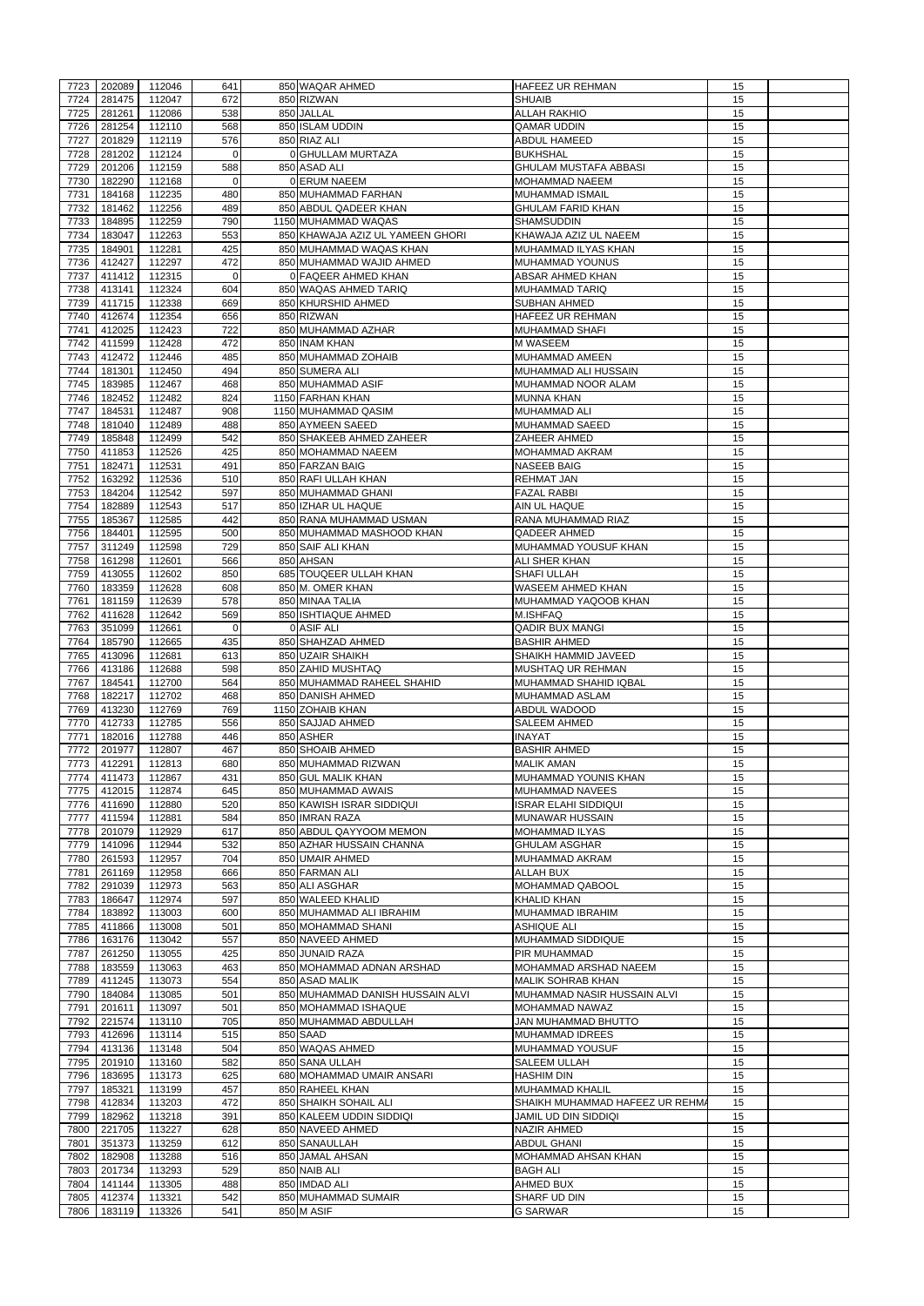| 7723         | 202089             | 112046           | 641         | 850 WAQAR AHMED                   | HAFEEZ UR REHMAN                | 15       |  |
|--------------|--------------------|------------------|-------------|-----------------------------------|---------------------------------|----------|--|
| 7724         | 281475             | 112047           | 672         | 850 RIZWAN                        | <b>SHUAIB</b>                   | 15       |  |
| 7725         | 281261             | 112086           | 538         | 850 JALLAL                        | <b>ALLAH RAKHIO</b>             | 15       |  |
| 7726         | 281254             | 112110           | 568         | 850 ISLAM UDDIN                   | <b>QAMAR UDDIN</b>              | 15       |  |
| 7727         | 201829             | 112119           | 576         | 850 RIAZ ALI                      | ABDUL HAMEED                    | 15       |  |
| 7728         | 281202             | 112124           | 0           | 0 GHULLAM MURTAZA                 | <b>BUKHSHAL</b>                 | 15       |  |
| 7729         | 201206             | 112159           | 588         | 850 ASAD ALI                      | <b>GHULAM MUSTAFA ABBASI</b>    | 15       |  |
| 7730         | 182290             | 112168           | $\mathbf 0$ | 0 ERUM NAEEM                      | MOHAMMAD NAEEM                  | 15       |  |
| 7731         | 184168             | 112235           | 480         | 850 MUHAMMAD FARHAN               | MUHAMMAD ISMAIL                 | 15       |  |
| 7732         | 181462             | 112256           | 489         | 850 ABDUL QADEER KHAN             | <b>GHULAM FARID KHAN</b>        | 15       |  |
| 7733         | 184895             | 112259           | 790         | 1150 MUHAMMAD WAQAS               | <b>SHAMSUDDIN</b>               | 15       |  |
|              |                    |                  | 553         |                                   | KHAWAJA AZIZ UL NAEEM           |          |  |
| 7734         | 183047             | 112263           |             | 850 KHAWAJA AZIZ UL YAMEEN GHORI  |                                 | 15       |  |
| 7735         | 184901             | 112281           | 425         | 850 MUHAMMAD WAQAS KHAN           | MUHAMMAD ILYAS KHAN             | 15       |  |
| 7736         | 412427             | 112297           | 472         | 850 MUHAMMAD WAJID AHMED          | MUHAMMAD YOUNUS                 | 15       |  |
| 7737         | 411412             | 112315           | $\Omega$    | 0 FAQEER AHMED KHAN               | ABSAR AHMED KHAN                | 15       |  |
| 7738         | 413141             | 112324           | 604         | 850 WAQAS AHMED TARIQ             | <b>MUHAMMAD TARIQ</b>           | 15       |  |
| 7739         | 411715             | 112338           | 669         | 850 KHURSHID AHMED                | <b>SUBHAN AHMED</b>             | 15       |  |
| 7740         | 412674             | 112354           | 656         | 850 RIZWAN                        | HAFEEZ UR REHMAN                | 15       |  |
| 7741         | 412025             | 112423           | 722         | 850 MUHAMMAD AZHAR                | <b>MUHAMMAD SHAFI</b>           | 15       |  |
| 7742         | 411599             | 112428           | 472         | 850 INAM KHAN                     | <b>M WASEEM</b>                 | 15       |  |
| 7743         | 412472             | 112446           | 485         | 850 MUHAMMAD ZOHAIB               | MUHAMMAD AMEEN                  | 15       |  |
| 7744         | 181301             | 112450           | 494         | 850 SUMERA ALI                    | MUHAMMAD ALI HUSSAIN            | 15       |  |
| 7745         | 183985             | 112467           | 468         | 850 MUHAMMAD ASIF                 | MUHAMMAD NOOR ALAM              | 15       |  |
| 7746         | 182452             | 112482           | 824         | 1150 FARHAN KHAN                  | <b>MUNNA KHAN</b>               | 15       |  |
| 7747         | 184531             | 112487           | 908         | 1150 MUHAMMAD QASIM               | MUHAMMAD ALI                    | 15       |  |
| 7748         | 181040             | 112489           | 488         | 850 AYMEEN SAEED                  | MUHAMMAD SAEED                  | 15       |  |
| 7749         | 185848             | 112499           | 542         | 850 SHAKEEB AHMED ZAHEER          | ZAHEER AHMED                    | 15       |  |
| 7750         | 411853             | 112526           | 425         | 850 MOHAMMAD NAEEM                | MOHAMMAD AKRAM                  | 15       |  |
|              |                    |                  | 491         |                                   |                                 |          |  |
| 7751         | 182471             | 112531           |             | 850 FARZAN BAIG                   | <b>NASEEB BAIG</b>              | 15       |  |
| 7752         | 163292             | 112536           | 510         | 850 RAFI ULLAH KHAN               | REHMAT JAN                      | 15       |  |
| 7753         | 184204             | 112542           | 597         | 850 MUHAMMAD GHANI                | <b>FAZAL RABBI</b>              | 15       |  |
| 7754         | 182889             | 112543           | 517         | 850 IZHAR UL HAQUE                | AIN UL HAQUE                    | 15       |  |
| 7755         | 185367             | 112585           | 442         | 850 RANA MUHAMMAD USMAN           | RANA MUHAMMAD RIAZ              | 15       |  |
| 7756         | 184401             | 112595           | 500         | 850 MUHAMMAD MASHOOD KHAN         | <b>QADEER AHMED</b>             | 15       |  |
| 7757         | 311249             | 112598           | 729         | 850 SAIF ALI KHAN                 | MUHAMMAD YOUSUF KHAN            | 15       |  |
| 7758         | 161298             | 112601           | 566         | 850 AHSAN                         | <b>ALI SHER KHAN</b>            | 15       |  |
| 7759         | 413055             | 112602           | 850         | 685 TOUQEER ULLAH KHAN            | <b>SHAFI ULLAH</b>              | 15       |  |
| 7760         | 183359             | 112628           | 608         | 850 M. OMER KHAN                  | WASEEM AHMED KHAN               | 15       |  |
| 7761         | 181159             | 112639           | 578         | 850 MINAA TALIA                   | MUHAMMAD YAQOOB KHAN            | 15       |  |
| 7762         | 411628             | 112642           | 569         | 850 ISHTIAQUE AHMED               | M.ISHFAQ                        | 15       |  |
| 7763         | 351099             | 112661           | $\mathbf 0$ | 0 ASIF ALI                        | <b>QADIR BUX MANGI</b>          | 15       |  |
| 7764         | 185790             | 112665           | 435         | 850 SHAHZAD AHMED                 | <b>BASHIR AHMED</b>             | 15       |  |
| 7765         | 413096             | 112681           | 613         | 850 UZAIR SHAIKH                  | SHAIKH HAMMID JAVEED            | 15       |  |
| 7766         | 413186             | 112688           | 598         | 850 ZAHID MUSHTAQ                 | MUSHTAQ UR REHMAN               | 15       |  |
|              |                    |                  |             |                                   |                                 |          |  |
| 7767         | 184541             | 112700           | 564         | 850 MUHAMMAD RAHEEL SHAHID        | MUHAMMAD SHAHID IQBAL           | 15       |  |
| 7768         | 182217             | 112702           | 468         | 850 DANISH AHMED                  | MUHAMMAD ASLAM                  | 15       |  |
| 7769         | 413230             | 112769           | 769         | 1150 ZOHAIB KHAN                  | ABDUL WADOOD                    | 15       |  |
| 7770         | 412733             | 112785           | 556         | 850 SAJJAD AHMED                  | SALEEM AHMED                    | 15       |  |
| 7771         | 182016             | 112788           | 446         | 850 ASHER                         | <b>INAYAT</b>                   | 15       |  |
| 7772         | 201977             | 112807           | 467         | 850 SHOAIB AHMED                  | <b>BASHIR AHMED</b>             | 15       |  |
| 7773         | 412291             | 112813           | 680         | 850 MUHAMMAD RIZWAN               | <b>MALIK AMAN</b>               | 15       |  |
| 7774         | 411473             | 112867           | 431         | 850 GUL MALIK KHAN                | MUHAMMAD YOUNIS KHAN            | 15       |  |
| 7775         | 412015             | 112874           | 645         | 850 MUHAMMAD AWAIS                | MUHAMMAD NAVEES                 | 15       |  |
| 7776         | 411690             | 112880           | 520         | 850 KAWISH ISRAR SIDDIQUI         | <b>ISRAR ELAHI SIDDIQUI</b>     | 15       |  |
| 7777         | 411594             | 112881           | 584         | 850 IMRAN RAZA                    | <b>MUNAWAR HUSSAIN</b>          | 15       |  |
| 7778         | 201079             | 112929           | 617         | 850 ABDUL QAYYOOM MEMON           | MOHAMMAD ILYAS                  | 15       |  |
| 7779         | 141096             | 112944           | 532         | 850 AZHAR HUSSAIN CHANNA          | <b>GHULAM ASGHAR</b>            | 15       |  |
| 7780         | 261593             | 112957           | 704         | 850 UMAIR AHMED                   | MUHAMMAD AKRAM                  | 15       |  |
| 7781         | 261169             | 112958           | 666         | 850 FARMAN ALI                    | <b>ALLAH BUX</b>                | 15       |  |
| 7782         | 291039             | 112973           | 563         | 850 ALI ASGHAR                    | MOHAMMAD QABOOL                 | 15       |  |
| 7783         | 186647             | 112974           | 597         | 850 WALEED KHALID                 | <b>KHALID KHAN</b>              | 15       |  |
| 7784         | 183892             | 113003           | 600         | 850 MUHAMMAD ALI IBRAHIM          | MUHAMMAD IBRAHIM                | 15       |  |
| 7785         | 411866             | 113008           | 501         | 850 MOHAMMAD SHANI                | <b>ASHIQUE ALI</b>              | 15       |  |
|              | 163176             |                  | 557         | 850 NAVEED AHMED                  | MUHAMMAD SIDDIQUE               | 15       |  |
| 7786         |                    | 113042           |             |                                   |                                 |          |  |
| 7787         | 261250             | 113055           | 425         | 850 JUNAID RAZA                   | PIR MUHAMMAD                    | 15       |  |
| 7788         | 183559             | 113063           | 463         | 850 MOHAMMAD ADNAN ARSHAD         | MOHAMMAD ARSHAD NAEEM           | 15       |  |
| 7789         | 411245             | 113073           | 554         | 850 ASAD MALIK                    | <b>MALIK SOHRAB KHAN</b>        | 15       |  |
| 7790         | 184084             | 113085           | 501         | 850 MUHAMMAD DANISH HUSSAIN ALVI  | MUHAMMAD NASIR HUSSAIN ALVI     | 15       |  |
| 7791         | 201611             | 113097           | 501         | 850 MOHAMMAD ISHAQUE              | MOHAMMAD NAWAZ                  | 15       |  |
| 7792         | 221574             | 113110           | 705         | 850 MUHAMMAD ABDULLAH             | JAN MUHAMMAD BHUTTO             | 15       |  |
| 7793         | 412696             | 113114           | 515         | 850 SAAD                          | MUHAMMAD IDREES                 | 15       |  |
| 7794         | 413136             | 113148           | 504         | 850 WAQAS AHMED                   | MUHAMMAD YOUSUF                 | 15       |  |
|              | 7795 201910 113160 |                  | 582         | 850 SANA ULLAH                    | <b>SALEEM ULLAH</b>             | 15       |  |
| 7796         | 183695             | 113173           | 625         | 680 MOHAMMAD UMAIR ANSARI         | <b>HASHIM DIN</b>               | 15       |  |
| 7797         | 185321             | 113199           | 457         | 850 RAHEEL KHAN                   | MUHAMMAD KHALIL                 | 15       |  |
| 7798         | 412834             | 113203           | 472         | 850 SHAIKH SOHAIL ALI             | SHAIKH MUHAMMAD HAFEEZ UR REHMA | 15       |  |
| 7799         | 182962             | 113218           | 391         | 850 KALEEM UDDIN SIDDIQI          | JAMIL UD DIN SIDDIQI            | 15       |  |
| 7800         | 221705             | 113227           | 628         | 850 NAVEED AHMED                  | NAZIR AHMED                     | 15       |  |
| 7801         | 351373             | 113259           | 612         | 850 SANAULLAH                     | <b>ABDUL GHANI</b>              | 15       |  |
|              |                    |                  |             |                                   |                                 |          |  |
| 7802         | 182908             | 113288           | 516         | 850 JAMAL AHSAN<br>850 NAIB ALI   | MOHAMMAD AHSAN KHAN             | 15       |  |
|              |                    |                  |             |                                   | <b>BAGH ALI</b>                 | 15       |  |
| 7803         | 201734             | 113293           | 529         |                                   |                                 |          |  |
| 7804         | 141144             | 113305           | 488         | 850 IMDAD ALI                     | <b>AHMED BUX</b>                | 15       |  |
| 7805<br>7806 | 412374<br>183119   | 113321<br>113326 | 542<br>541  | 850 MUHAMMAD SUMAIR<br>850 M ASIF | SHARF UD DIN<br><b>G SARWAR</b> | 15<br>15 |  |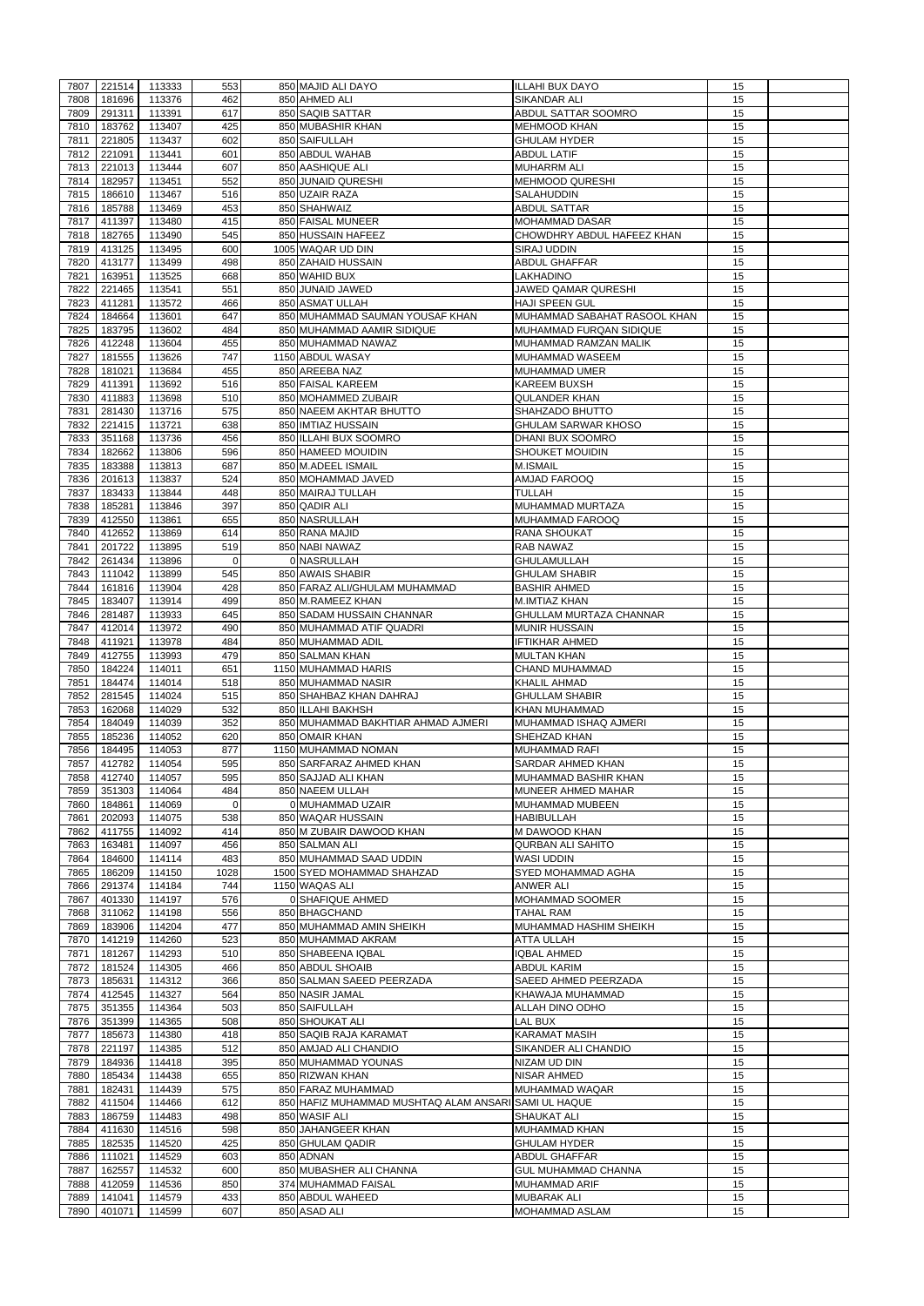| 7807 | 221514           | 113333 | 553            | 850 MAJID ALI DAYO                                   | <b>ILLAHI BUX DAYO</b>               | 15       |  |
|------|------------------|--------|----------------|------------------------------------------------------|--------------------------------------|----------|--|
| 7808 | 181696           | 113376 | 462            | 850 AHMED ALI                                        | <b>SIKANDAR ALI</b>                  | 15       |  |
| 7809 | 291311           | 113391 | 617            | 850 SAQIB SATTAR                                     | ABDUL SATTAR SOOMRO                  | 15       |  |
| 7810 | 183762           | 113407 | 425            | 850 MUBASHIR KHAN                                    | <b>MEHMOOD KHAN</b>                  | 15       |  |
| 7811 | 221805           | 113437 | 602            | 850 SAIFULLAH                                        | <b>GHULAM HYDER</b>                  | 15       |  |
| 7812 | 221091           | 113441 | 601            | 850 ABDUL WAHAB                                      | <b>ABDUL LATIF</b>                   | 15       |  |
| 7813 | 221013           | 113444 | 607            | 850 AASHIQUE ALI                                     | <b>MUHARRM ALI</b>                   | 15       |  |
| 7814 | 182957           | 113451 | 552            | 850 JUNAID QURESHI                                   | <b>MEHMOOD QURESHI</b>               | 15       |  |
|      |                  |        |                |                                                      |                                      |          |  |
| 7815 | 186610           | 113467 | 516            | 850 UZAIR RAZA                                       | <b>SALAHUDDIN</b>                    | 15       |  |
| 7816 | 185788           | 113469 | 453            | 850 SHAHWAIZ                                         | <b>ABDUL SATTAR</b>                  | 15       |  |
| 7817 | 411397           | 113480 | 415            | 850 FAISAL MUNEER                                    | <b>MOHAMMAD DASAR</b>                | 15       |  |
| 7818 | 182765           | 113490 | 545            | 850 HUSSAIN HAFEEZ                                   | CHOWDHRY ABDUL HAFEEZ KHAN           | 15       |  |
| 7819 | 413125           | 113495 | 600            | 1005 WAQAR UD DIN                                    | <b>SIRAJ UDDIN</b>                   | 15       |  |
| 7820 | 413177           | 113499 | 498            | 850 ZAHAID HUSSAIN                                   | <b>ABDUL GHAFFAR</b>                 | 15       |  |
| 7821 |                  |        | 668            |                                                      | <b>LAKHADINO</b>                     |          |  |
|      | 163951           | 113525 |                | 850 WAHID BUX                                        |                                      | 15       |  |
| 7822 | 221465           | 113541 | 551            | 850 JUNAID JAWED                                     | <b>JAWED QAMAR QURESHI</b>           | 15       |  |
| 7823 | 411281           | 113572 | 466            | 850 ASMAT ULLAH                                      | <b>HAJI SPEEN GUL</b>                | 15       |  |
| 7824 | 184664           | 113601 | 647            | 850 MUHAMMAD SAUMAN YOUSAF KHAN                      | MUHAMMAD SABAHAT RASOOL KHAN         | 15       |  |
| 7825 | 183795           | 113602 | 484            | 850 MUHAMMAD AAMIR SIDIQUE                           | MUHAMMAD FURQAN SIDIQUE              | 15       |  |
| 7826 | 412248           | 113604 | 455            | 850 MUHAMMAD NAWAZ                                   | MUHAMMAD RAMZAN MALIK                | 15       |  |
| 7827 | 181555           | 113626 | 747            | 1150 ABDUL WASAY                                     | <b>MUHAMMAD WASEEM</b>               | 15       |  |
| 7828 | 181021           | 113684 | 455            | 850 AREEBA NAZ                                       | MUHAMMAD UMER                        | 15       |  |
|      |                  |        |                |                                                      |                                      |          |  |
| 7829 | 411391           | 113692 | 516            | 850 FAISAL KAREEM                                    | <b>KAREEM BUXSH</b>                  | 15       |  |
| 7830 | 411883           | 113698 | 510            | 850 MOHAMMED ZUBAIR                                  | <b>QULANDER KHAN</b>                 | 15       |  |
| 7831 | 281430           | 113716 | 575            | 850 NAEEM AKHTAR BHUTTO                              | SHAHZADO BHUTTO                      | 15       |  |
| 7832 | 221415           | 113721 | 638            | 850 IMTIAZ HUSSAIN                                   | <b>GHULAM SARWAR KHOSO</b>           | 15       |  |
| 7833 | 351168           | 113736 | 456            | 850 ILLAHI BUX SOOMRO                                | DHANI BUX SOOMRO                     | 15       |  |
| 7834 | 182662           | 113806 | 596            | 850 HAMEED MOUIDIN                                   | <b>SHOUKET MOUIDIN</b>               | 15       |  |
| 7835 | 183388           | 113813 | 687            | 850 M.ADEEL ISMAIL                                   | <b>M.ISMAIL</b>                      | 15       |  |
|      |                  |        |                |                                                      |                                      |          |  |
| 7836 | 201613           | 113837 | 524            | 850 MOHAMMAD JAVED                                   | <b>AMJAD FAROOQ</b>                  | 15       |  |
| 7837 | 183433           | 113844 | 448            | 850 MAIRAJ TULLAH                                    | <b>TULLAH</b>                        | 15       |  |
| 7838 | 185281           | 113846 | 397            | 850 QADIR ALI                                        | MUHAMMAD MURTAZA                     | 15       |  |
| 7839 | 412550           | 113861 | 655            | 850 NASRULLAH                                        | MUHAMMAD FAROOQ                      | 15       |  |
| 7840 | 412652           | 113869 | 614            | 850 RANA MAJID                                       | <b>RANA SHOUKAT</b>                  | 15       |  |
| 7841 | 201722           | 113895 | 519            | 850 NABI NAWAZ                                       | <b>RAB NAWAZ</b>                     | 15       |  |
| 7842 | 261434           | 113896 | $\overline{0}$ | 0 NASRULLAH                                          | <b>GHULAMULLAH</b>                   | 15       |  |
|      |                  |        |                |                                                      |                                      |          |  |
| 7843 | 111042           | 113899 | 545            | 850 AWAIS SHABIR                                     | <b>GHULAM SHABIR</b>                 | 15       |  |
| 7844 | 161816           | 113904 | 428            | 850 FARAZ ALI/GHULAM MUHAMMAD                        | <b>BASHIR AHMED</b>                  | 15       |  |
| 7845 | 183407           | 113914 | 499            | 850 M.RAMEEZ KHAN                                    | M.IMTIAZ KHAN                        | 15       |  |
| 7846 | 281487           | 113933 | 645            | 850 SADAM HUSSAIN CHANNAR                            | <b>GHULLAM MURTAZA CHANNAR</b>       | 15       |  |
| 7847 | 412014           | 113972 | 490            | 850 MUHAMMAD ATIF QUADRI                             | <b>MUNIR HUSSAIN</b>                 | 15       |  |
| 7848 | 411921           | 113978 | 484            | 850 MUHAMMAD ADIL                                    | <b>IFTIKHAR AHMED</b>                | 15       |  |
| 7849 | 412755           | 113993 | 479            | 850 SALMAN KHAN                                      | <b>MULTAN KHAN</b>                   | 15       |  |
|      |                  |        |                |                                                      |                                      |          |  |
| 7850 | 184224           | 114011 | 651            | 1150 MUHAMMAD HARIS                                  | <b>CHAND MUHAMMAD</b>                | 15       |  |
| 7851 | 184474           | 114014 | 518            | 850 MUHAMMAD NASIR                                   | <b>KHALIL AHMAD</b>                  | 15       |  |
| 7852 | 281545           | 114024 | 515            | 850 SHAHBAZ KHAN DAHRAJ                              | <b>GHULLAM SHABIR</b>                | 15       |  |
| 7853 | 162068           | 114029 | 532            | 850 ILLAHI BAKHSH                                    | <b>KHAN MUHAMMAD</b>                 | 15       |  |
| 7854 | 184049           | 114039 | 352            | 850 MUHAMMAD BAKHTIAR AHMAD AJMERI                   | MUHAMMAD ISHAQ AJMERI                | 15       |  |
| 7855 | 185236           | 114052 | 620            | 850 OMAIR KHAN                                       | SHEHZAD KHAN                         | 15       |  |
| 7856 | 184495           | 114053 | 877            | 1150 MUHAMMAD NOMAN                                  | <b>MUHAMMAD RAFI</b>                 | 15       |  |
|      |                  |        |                |                                                      |                                      |          |  |
| 7857 | 412782           | 114054 |                | 850 SARFARAZ AHMED KHAN                              | <b>SARDAR AHMED KHAN</b>             |          |  |
| 7858 | 412740           |        | 595            |                                                      |                                      | 15       |  |
| 7859 | 351303           | 114057 | 595            | 850 SAJJAD ALI KHAN                                  | MUHAMMAD BASHIR KHAN                 | 15       |  |
| 7860 |                  | 114064 | 484            | 850 NAEEM ULLAH                                      | MUNEER AHMED MAHAR                   | 15       |  |
|      | 184861           | 114069 | $\mathbf 0$    | 0 MUHAMMAD UZAIR                                     | MUHAMMAD MUBEEN                      | 15       |  |
| 7861 | 202093           | 114075 | 538            | 850 WAQAR HUSSAIN                                    | <b>HABIBULLAH</b>                    | 15       |  |
|      |                  |        |                |                                                      |                                      |          |  |
| 7862 | 411755           | 114092 | 414            | 850 M ZUBAIR DAWOOD KHAN                             | M DAWOOD KHAN                        | 15       |  |
| 7863 | 163481           | 114097 | 456            | 850 SALMAN ALI                                       | <b>QURBAN ALI SAHITO</b>             | 15       |  |
| 7864 | 184600           | 114114 | 483            | 850 MUHAMMAD SAAD UDDIN                              | <b>WASI UDDIN</b>                    | 15       |  |
| 7865 | 186209           | 114150 | 1028           | 1500 SYED MOHAMMAD SHAHZAD                           | SYED MOHAMMAD AGHA                   | 15       |  |
| 7866 | 291374           | 114184 | 744            | 1150 WAQAS ALI                                       | <b>ANWER ALI</b>                     | 15       |  |
| 7867 | 401330           | 114197 | 576            | 0 SHAFIQUE AHMED                                     | <b>MOHAMMAD SOOMER</b>               | 15       |  |
| 7868 | 311062           | 114198 | 556            | 850 BHAGCHAND                                        | <b>TAHAL RAM</b>                     | 15       |  |
| 7869 | 183906           | 114204 | 477            | 850 MUHAMMAD AMIN SHEIKH                             | MUHAMMAD HASHIM SHEIKH               | 15       |  |
| 7870 | 141219           | 114260 | 523            | 850 MUHAMMAD AKRAM                                   | <b>ATTA ULLAH</b>                    | 15       |  |
|      |                  |        |                | 850 SHABEENA IQBAL                                   |                                      |          |  |
| 7871 | 181267           | 114293 | 510            |                                                      | <b>IQBAL AHMED</b>                   | 15       |  |
| 7872 | 181524           | 114305 | 466            | 850 ABDUL SHOAIB                                     | <b>ABDUL KARIM</b>                   | 15       |  |
| 7873 | 185631           | 114312 | 366            | 850 SALMAN SAEED PEERZADA                            | SAEED AHMED PEERZADA                 | 15       |  |
| 7874 | 412545           | 114327 | 564            | 850 NASIR JAMAL                                      | KHAWAJA MUHAMMAD                     | 15       |  |
| 7875 | 351355           | 114364 | 503            | 850 SAIFULLAH                                        | ALLAH DINO ODHO                      | 15       |  |
| 7876 | 351399           | 114365 | 508            | 850 SHOUKAT ALI                                      | <b>LAL BUX</b>                       | 15       |  |
| 7877 | 185673           | 114380 | 418            | 850 SAQIB RAJA KARAMAT                               | <b>KARAMAT MASIH</b>                 | 15       |  |
|      |                  |        |                | 850 AMJAD ALI CHANDIO                                |                                      |          |  |
| 7878 | 221197           | 114385 | 512            |                                                      | SIKANDER ALI CHANDIO                 | 15       |  |
| 7879 | 184936           | 114418 | 395            | 850 MUHAMMAD YOUNAS                                  | NIZAM UD DIN                         | 15       |  |
| 7880 | 185434           | 114438 | 655            | 850 RIZWAN KHAN                                      | NISAR AHMED                          | 15       |  |
| 7881 | 182431           | 114439 | 575            | 850 FARAZ MUHAMMAD                                   | MUHAMMAD WAQAR                       | 15       |  |
| 7882 | 411504           | 114466 | 612            | 850 HAFIZ MUHAMMAD MUSHTAQ ALAM ANSARI SAMI UL HAQUE |                                      | 15       |  |
| 7883 | 186759           | 114483 | 498            | 850 WASIF ALI                                        | <b>SHAUKAT ALI</b>                   | 15       |  |
| 7884 | 411630           | 114516 | 598            | 850 JAHANGEER KHAN                                   | MUHAMMAD KHAN                        | 15       |  |
|      |                  |        |                | 850 GHULAM QADIR                                     |                                      |          |  |
| 7885 | 182535           | 114520 | 425            |                                                      | <b>GHULAM HYDER</b>                  | 15       |  |
| 7886 | 111021           | 114529 | 603            | 850 ADNAN                                            | <b>ABDUL GHAFFAR</b>                 | 15       |  |
| 7887 | 162557           | 114532 | 600            | 850 MUBASHER ALI CHANNA                              | <b>GUL MUHAMMAD CHANNA</b>           | 15       |  |
| 7888 | 412059           | 114536 | 850            | 374 MUHAMMAD FAISAL                                  | <b>MUHAMMAD ARIF</b>                 | 15       |  |
| 7889 | 141041<br>401071 | 114579 | 433<br>607     | 850 ABDUL WAHEED<br>850 ASAD ALI                     | <b>MUBARAK ALI</b><br>MOHAMMAD ASLAM | 15<br>15 |  |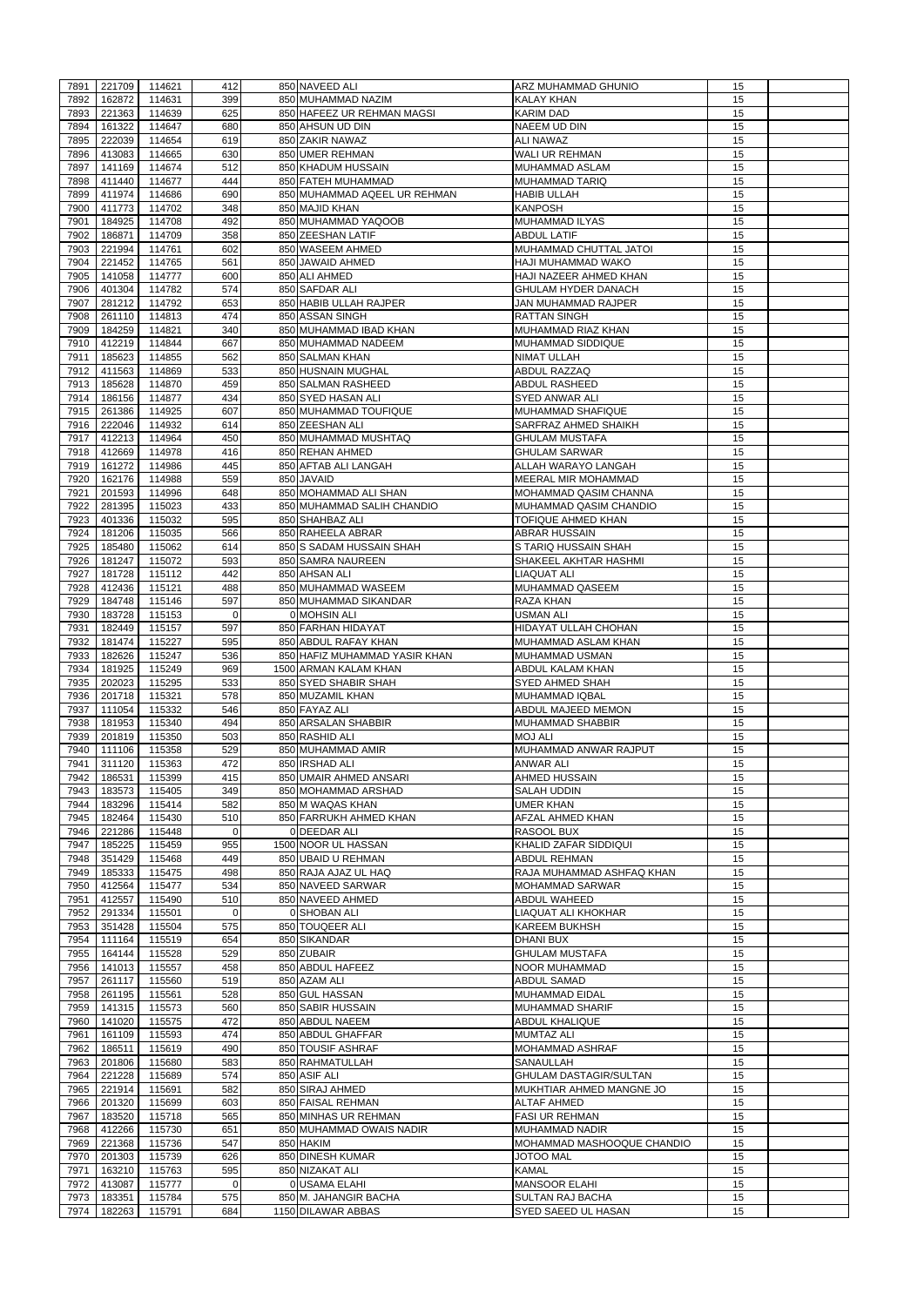| 7891         | 221709           | 114621             | 412         | 850 NAVEED ALI                              | <b>ARZ MUHAMMAD GHUNIO</b>                            | 15       |  |
|--------------|------------------|--------------------|-------------|---------------------------------------------|-------------------------------------------------------|----------|--|
| 7892         | 162872           | 114631             | 399         | 850 MUHAMMAD NAZIM                          | <b>KALAY KHAN</b>                                     | 15       |  |
| 7893         | 221363           | 114639             | 625         | 850 HAFEEZ UR REHMAN MAGSI                  | <b>KARIM DAD</b>                                      | 15       |  |
| 7894         | 161322           | 114647             | 680         | 850 AHSUN UD DIN                            | NAEEM UD DIN                                          | 15       |  |
| 7895         | 222039           | 114654             | 619         | 850 ZAKIR NAWAZ                             | <b>ALI NAWAZ</b>                                      | 15       |  |
| 7896         | 413083           | 114665             | 630         | 850 UMER REHMAN                             | WALI UR REHMAN                                        | 15       |  |
| 7897         | 141169           | 114674             | 512         | 850 KHADUM HUSSAIN                          | MUHAMMAD ASLAM                                        | 15       |  |
| 7898         | 411440           | 114677             | 444         | 850 FATEH MUHAMMAD                          | <b>MUHAMMAD TARIQ</b>                                 | 15       |  |
| 7899         | 411974           | 114686             | 690         | 850 MUHAMMAD AQEEL UR REHMAN                | <b>HABIB ULLAH</b>                                    | 15       |  |
| 7900         | 411773           | 114702             | 348         | 850 MAJID KHAN                              | <b>KANPOSH</b>                                        | 15       |  |
| 7901         | 184925           | 114708             | 492         | 850 MUHAMMAD YAQOOB                         | <b>MUHAMMAD ILYAS</b>                                 | 15       |  |
| 7902         | 186871           | 114709             | 358         | 850 ZEESHAN LATIF                           | <b>ABDUL LATIF</b>                                    | 15       |  |
| 7903         | 221994           | 114761             | 602         | 850 WASEEM AHMED                            | MUHAMMAD CHUTTAL JATOI                                | 15       |  |
|              | 221452           |                    | 561         |                                             |                                                       |          |  |
| 7904         |                  | 114765             |             | 850 JAWAID AHMED                            | HAJI MUHAMMAD WAKO                                    | 15       |  |
| 7905         | 141058           | 114777             | 600         | 850 ALI AHMED                               | HAJI NAZEER AHMED KHAN                                | 15       |  |
| 7906         | 401304           | 114782             | 574         | 850 SAFDAR ALI                              | <b>GHULAM HYDER DANACH</b>                            | 15       |  |
| 7907         | 281212           | 114792             | 653         | 850 HABIB ULLAH RAJPER                      | JAN MUHAMMAD RAJPER                                   | 15       |  |
| 7908         | 261110           | 114813             | 474         | 850 ASSAN SINGH                             | <b>RATTAN SINGH</b>                                   | 15       |  |
| 7909         | 184259           | 114821             | 340         | 850 MUHAMMAD IBAD KHAN                      | MUHAMMAD RIAZ KHAN                                    | 15       |  |
| 7910         | 412219           | 114844             | 667         | 850 MUHAMMAD NADEEM                         | <b>MUHAMMAD SIDDIQUE</b>                              | 15       |  |
| 7911         | 185623           | 114855             | 562         | 850 SALMAN KHAN                             | <b>NIMAT ULLAH</b>                                    | 15       |  |
| 7912         | 411563           | 114869             | 533         | 850 HUSNAIN MUGHAL                          | <b>ABDUL RAZZAQ</b>                                   | 15       |  |
| 7913         | 185628           | 114870             | 459         | 850 SALMAN RASHEED                          | <b>ABDUL RASHEED</b>                                  | 15       |  |
| 7914         | 186156           | 114877             | 434         | 850 SYED HASAN ALI                          | <b>SYED ANWAR ALI</b>                                 | 15       |  |
| 7915         | 261386           | 114925             | 607         | 850 MUHAMMAD TOUFIQUE                       | MUHAMMAD SHAFIQUE                                     | 15       |  |
| 7916         | 222046           | 114932             | 614         | 850 ZEESHAN ALI                             | <b>SARFRAZ AHMED SHAIKH</b>                           | 15       |  |
| 7917         | 412213           | 114964             | 450         | 850 MUHAMMAD MUSHTAQ                        | <b>GHULAM MUSTAFA</b>                                 | 15       |  |
| 7918         | 412669           | 114978             | 416         | 850 REHAN AHMED                             | <b>GHULAM SARWAR</b>                                  | 15       |  |
| 7919         | 161272           | 114986             | 445         | 850 AFTAB ALI LANGAH                        | ALLAH WARAYO LANGAH                                   | 15       |  |
| 7920         | 162176           | 114988             | 559         | 850 JAVAID                                  | MEERAL MIR MOHAMMAD                                   | 15       |  |
| 7921         | 201593           | 114996             | 648         | 850 MOHAMMAD ALI SHAN                       | MOHAMMAD QASIM CHANNA                                 | 15       |  |
| 7922         | 281395           | 115023             | 433         | 850 MUHAMMAD SALIH CHANDIO                  | MUHAMMAD QASIM CHANDIO                                | 15       |  |
| 7923         | 401336           | 115032             | 595         | 850 SHAHBAZ ALI                             | <b>TOFIQUE AHMED KHAN</b>                             | 15       |  |
| 7924         | 181206           | 115035             | 566         | 850 RAHEELA ABRAR                           | <b>ABRAR HUSSAIN</b>                                  | 15       |  |
|              |                  |                    |             |                                             |                                                       |          |  |
| 7925         | 185480           | 115062             | 614         | 850 S SADAM HUSSAIN SHAH                    | S TARIQ HUSSAIN SHAH                                  | 15       |  |
| 7926         | 181247           | 115072             | 593         | 850 SAMRA NAUREEN                           | <b>SHAKEEL AKHTAR HASHMI</b>                          | 15       |  |
| 7927         | 181728           | 115112             | 442         | 850 AHSAN ALI                               | <b>LIAQUAT ALI</b>                                    | 15       |  |
| 7928         | 412436           | 115121             | 488         | 850 MUHAMMAD WASEEM                         | <b>MUHAMMAD QASEEM</b>                                | 15       |  |
| 7929         | 184748           | 115146             | 597         | 850 MUHAMMAD SIKANDAR                       | RAZA KHAN                                             | 15       |  |
| 7930         | 183728           | 115153             | $\mathbf 0$ | 0 MOHSIN ALI                                | <b>USMAN ALI</b>                                      | 15       |  |
| 7931         | 182449           | 115157             | 597         | 850 FARHAN HIDAYAT                          | <b>HIDAYAT ULLAH CHOHAN</b>                           | 15       |  |
| 7932         | 181474           | 115227             | 595         | 850 ABDUL RAFAY KHAN                        | MUHAMMAD ASLAM KHAN                                   | 15       |  |
| 7933         | 182626           | 115247             | 536         | 850 HAFIZ MUHAMMAD YASIR KHAN               | <b>MUHAMMAD USMAN</b>                                 | 15       |  |
| 7934         | 181925           | 115249             | 969         | 1500 ARMAN KALAM KHAN                       | ABDUL KALAM KHAN                                      | 15       |  |
|              |                  |                    |             |                                             |                                                       |          |  |
| 7935         | 202023           | 115295             | 533         | 850 SYED SHABIR SHAH                        | <b>SYED AHMED SHAH</b>                                | 15       |  |
| 7936         | 201718           | 115321             | 578         | 850 MUZAMIL KHAN                            | MUHAMMAD IQBAL                                        | 15       |  |
| 7937         | 111054           | 115332             | 546         | 850 FAYAZ ALI                               | <b>ABDUL MAJEED MEMON</b>                             | 15       |  |
| 7938         | 181953           | 115340             | 494         | 850 ARSALAN SHABBIR                         | <b>MUHAMMAD SHABBIR</b>                               | 15       |  |
|              |                  |                    |             |                                             |                                                       |          |  |
| 7939         | 201819           | 115350             | 503         | 850 RASHID ALI                              | <b>MOJ ALI</b>                                        | 15       |  |
| 7940         | 111106           | 115358             | 529         | 850 MUHAMMAD AMIR                           | MUHAMMAD ANWAR RAJPUT                                 | 15       |  |
| 7941         | 311120           | 115363             | 472         | 850 IRSHAD ALI                              | <b>ANWAR ALI</b>                                      | 15       |  |
| 7942         | 186531           | 115399             | 415         | 850 UMAIR AHMED ANSARI                      | <b>AHMED HUSSAIN</b>                                  | 15       |  |
| 7943         | 183573           | 115405             | 349         | 850 MOHAMMAD ARSHAD                         | <b>SALAH UDDIN</b>                                    | 15       |  |
| 7944         | 183296           | 115414             | 582         | 850 M WAQAS KHAN                            | <b>UMER KHAN</b>                                      | 15       |  |
| 7945         | 182464           | 115430             | 510         | 850 FARRUKH AHMED KHAN                      | AFZAL AHMED KHAN                                      | 15       |  |
| 7946         | 221286           | 115448             | $\mathbf 0$ | 0 DEEDAR ALI                                | <b>RASOOL BUX</b>                                     | 15       |  |
| 7947         | 185225           | 115459             | 955         | 1500 NOOR UL HASSAN                         | KHALID ZAFAR SIDDIQUI                                 | 15       |  |
| 7948         | 351429           | 115468             | 449         | 850 UBAID U REHMAN                          | ABDUL REHMAN                                          | 15       |  |
| 7949         | 185333           | 115475             | 498         | 850 RAJA AJAZ UL HAQ                        | RAJA MUHAMMAD ASHFAQ KHAN                             | 15       |  |
| 7950         | 412564           | 115477             | 534         | 850 NAVEED SARWAR                           | <b>MOHAMMAD SARWAR</b>                                | 15       |  |
| 7951         | 412557           | 115490             | 510         | 850 NAVEED AHMED                            | <b>ABDUL WAHEED</b>                                   | 15       |  |
| 7952         | 291334           | 115501             | $\mathbf 0$ | 0 SHOBAN ALI                                | LIAQUAT ALI KHOKHAR                                   | 15       |  |
| 7953         | 351428           | 115504             | 575         | 850 TOUQEER ALI                             | <b>KAREEM BUKHSH</b>                                  | 15       |  |
| 7954         | 111164           | 115519             | 654         | 850 SIKANDAR                                | <b>DHANI BUX</b>                                      | 15       |  |
| 7955         | 164144           | 115528             | 529         | 850 ZUBAIR                                  | <b>GHULAM MUSTAFA</b>                                 | 15       |  |
| 7956         | 141013           | 115557             | 458         | 850 ABDUL HAFEEZ                            | <b>NOOR MUHAMMAD</b>                                  | 15       |  |
| 7957         | 261117           | 115560             | 519         | 850 AZAM ALI                                | <b>ABDUL SAMAD</b>                                    | 15       |  |
| 7958         | 261195           | 115561             | 528         | 850 GUL HASSAN                              | <b>MUHAMMAD EIDAL</b>                                 | 15       |  |
| 7959         | 141315           | 115573             | 560         | 850 SABIR HUSSAIN                           | <b>MUHAMMAD SHARIF</b>                                | 15       |  |
| 7960         | 141020           | 115575             | 472         | 850 ABDUL NAEEM                             | <b>ABDUL KHALIQUE</b>                                 | 15       |  |
| 7961         | 161109           | 115593             | 474         | 850 ABDUL GHAFFAR                           | <b>MUMTAZ ALI</b>                                     | 15       |  |
| 7962         | 186511           | 115619             | 490         | 850 TOUSIF ASHRAF                           | <b>MOHAMMAD ASHRAF</b>                                | 15       |  |
|              |                  | 7963 201806 115680 | 583         | 850 RAHMATULLAH                             | SANAULLAH                                             | 15       |  |
| 7964         |                  |                    | 574         |                                             | <b>GHULAM DASTAGIR/SULTAN</b>                         | 15       |  |
|              | 221228           | 115689             |             | 850 ASIF ALI                                |                                                       |          |  |
| 7965         | 221914           | 115691             | 582         | 850 SIRAJ AHMED                             | MUKHTIAR AHMED MANGNE JO                              | 15       |  |
| 7966         | 201320           | 115699             | 603         | 850 FAISAL REHMAN                           | <b>ALTAF AHMED</b>                                    | 15       |  |
| 7967         | 183520           | 115718             | 565         | 850 MINHAS UR REHMAN                        | <b>FASI UR REHMAN</b>                                 | 15       |  |
| 7968         | 412266           | 115730             | 651         | 850 MUHAMMAD OWAIS NADIR                    | <b>MUHAMMAD NADIR</b>                                 | 15       |  |
| 7969         | 221368           | 115736             | 547         | 850 HAKIM                                   | MOHAMMAD MASHOOQUE CHANDIO                            | 15       |  |
| 7970         | 201303           | 115739             | 626         | 850 DINESH KUMAR                            | <b>JOTOO MAL</b>                                      | 15       |  |
| 7971         | 163210           | 115763             | 595         | 850 NIZAKAT ALI                             | <b>KAMAL</b>                                          | 15       |  |
| 7972         | 413087           | 115777             | $\mathbf 0$ | 0 USAMA ELAHI                               | <b>MANSOOR ELAHI</b>                                  | 15       |  |
| 7973<br>7974 | 183351<br>182263 | 115784<br>115791   | 575<br>684  | 850 M. JAHANGIR BACHA<br>1150 DILAWAR ABBAS | <b>SULTAN RAJ BACHA</b><br><b>SYED SAEED UL HASAN</b> | 15<br>15 |  |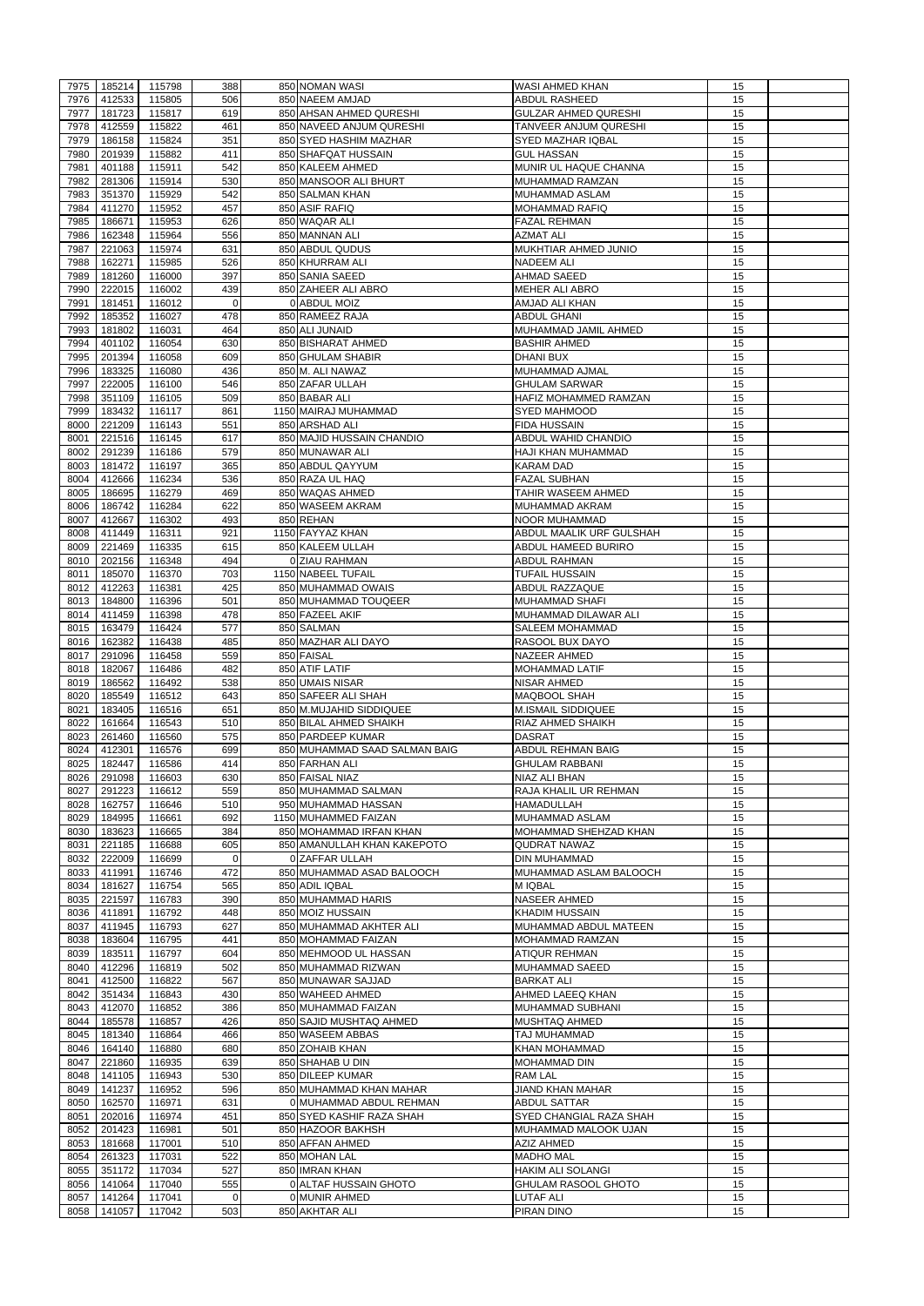| 7975 | 185214      | 115798 | 388         | 850 NOMAN WASI                | <b>WASI AHMED KHAN</b>         | 15 |  |
|------|-------------|--------|-------------|-------------------------------|--------------------------------|----|--|
|      |             |        |             |                               |                                |    |  |
| 7976 | 412533      | 115805 | 506         | 850 NAEEM AMJAD               | <b>ABDUL RASHEED</b>           | 15 |  |
| 7977 | 181723      | 115817 | 619         | 850 AHSAN AHMED QURESHI       | <b>GULZAR AHMED QURESHI</b>    | 15 |  |
| 7978 | 412559      | 115822 | 461         | 850 NAVEED ANJUM QURESHI      | <b>TANVEER ANJUM QURESHI</b>   | 15 |  |
| 7979 | 186158      | 115824 | 351         | 850 SYED HASHIM MAZHAR        | <b>SYED MAZHAR IQBAL</b>       | 15 |  |
| 7980 | 201939      | 115882 | 411         | 850 SHAFQAT HUSSAIN           | <b>GUL HASSAN</b>              | 15 |  |
| 7981 | 401188      | 115911 | 542         | 850 KALEEM AHMED              | MUNIR UL HAQUE CHANNA          | 15 |  |
| 7982 | 281306      | 115914 | 530         | 850 MANSOOR ALI BHURT         | MUHAMMAD RAMZAN                | 15 |  |
| 7983 | 351370      | 115929 | 542         | 850 SALMAN KHAN               | MUHAMMAD ASLAM                 | 15 |  |
| 7984 | 411270      | 115952 | 457         | 850 ASIF RAFIQ                | <b>MOHAMMAD RAFIQ</b>          | 15 |  |
|      |             |        |             |                               |                                |    |  |
| 7985 | 186671      | 115953 | 626         | 850 WAQAR ALI                 | <b>FAZAL REHMAN</b>            | 15 |  |
| 7986 | 162348      | 115964 | 556         | 850 MANNAN ALI                | <b>AZMAT ALI</b>               | 15 |  |
| 7987 | 221063      | 115974 | 631         | 850 ABDUL QUDUS               | MUKHTIAR AHMED JUNIO           | 15 |  |
| 7988 | 162271      | 115985 | 526         | 850 KHURRAM ALI               | <b>NADEEM ALI</b>              | 15 |  |
| 7989 | 181260      | 116000 | 397         | 850 SANIA SAEED               | <b>AHMAD SAEED</b>             | 15 |  |
| 7990 | 222015      | 116002 | 439         | 850 ZAHEER ALI ABRO           | <b>MEHER ALI ABRO</b>          | 15 |  |
|      |             |        | $\mathbf 0$ | 0 ABDUL MOIZ                  |                                | 15 |  |
| 7991 | 181451      | 116012 |             |                               | AMJAD ALI KHAN                 |    |  |
| 7992 | 185352      | 116027 | 478         | 850 RAMEEZ RAJA               | <b>ABDUL GHANI</b>             | 15 |  |
| 7993 | 181802      | 116031 | 464         | 850 ALI JUNAID                | MUHAMMAD JAMIL AHMED           | 15 |  |
| 7994 | 401102      | 116054 | 630         | 850 BISHARAT AHMED            | <b>BASHIR AHMED</b>            | 15 |  |
| 7995 | 201394      | 116058 | 609         | 850 GHULAM SHABIR             | <b>DHANI BUX</b>               | 15 |  |
| 7996 | 183325      | 116080 | 436         | 850 M. ALI NAWAZ              | MUHAMMAD AJMAL                 | 15 |  |
| 7997 | 222005      | 116100 | 546         | 850 ZAFAR ULLAH               | <b>GHULAM SARWAR</b>           | 15 |  |
|      |             |        |             |                               |                                |    |  |
| 7998 | 351109      | 116105 | 509         | 850 BABAR ALI                 | HAFIZ MOHAMMED RAMZAN          | 15 |  |
| 7999 | 183432      | 116117 | 861         | 1150 MAIRAJ MUHAMMAD          | <b>SYED MAHMOOD</b>            | 15 |  |
| 8000 | 221209      | 116143 | 551         | 850 ARSHAD ALI                | <b>FIDA HUSSAIN</b>            | 15 |  |
| 8001 | 221516      | 116145 | 617         | 850 MAJID HUSSAIN CHANDIO     | ABDUL WAHID CHANDIO            | 15 |  |
| 8002 | 291239      | 116186 | 579         | 850 MUNAWAR ALI               | HAJI KHAN MUHAMMAD             | 15 |  |
| 8003 | 181472      | 116197 | 365         | 850 ABDUL QAYYUM              | <b>KARAM DAD</b>               | 15 |  |
| 8004 | 412666      | 116234 | 536         | 850 RAZA UL HAQ               | <b>FAZAL SUBHAN</b>            | 15 |  |
|      |             |        |             |                               |                                |    |  |
| 8005 | 186695      | 116279 | 469         | 850 WAQAS AHMED               | <b>TAHIR WASEEM AHMED</b>      | 15 |  |
| 8006 | 186742      | 116284 | 622         | 850 WASEEM AKRAM              | MUHAMMAD AKRAM                 | 15 |  |
| 8007 | 412667      | 116302 | 493         | 850 REHAN                     | <b>NOOR MUHAMMAD</b>           | 15 |  |
| 8008 | 411449      | 116311 | 921         | 1150 FAYYAZ KHAN              | ABDUL MAALIK URF GULSHAH       | 15 |  |
| 8009 | 221469      | 116335 | 615         | 850 KALEEM ULLAH              | ABDUL HAMEED BURIRO            | 15 |  |
| 8010 | 202156      | 116348 | 494         | 0 ZIAU RAHMAN                 | <b>ABDUL RAHMAN</b>            | 15 |  |
| 8011 |             | 116370 | 703         | 1150 NABEEL TUFAIL            | <b>TUFAIL HUSSAIN</b>          | 15 |  |
|      | 185070      |        |             |                               |                                |    |  |
| 8012 | 412263      | 116381 | 425         | 850 MUHAMMAD OWAIS            | ABDUL RAZZAQUE                 | 15 |  |
| 8013 | 184800      | 116396 | 501         | 850 MUHAMMAD TOUQEER          | <b>MUHAMMAD SHAFI</b>          | 15 |  |
| 8014 | 411459      | 116398 | 478         | 850 FAZEEL AKIF               | MUHAMMAD DILAWAR ALI           | 15 |  |
| 8015 | 163479      | 116424 | 577         | 850 SALMAN                    | <b>SALEEM MOHAMMAD</b>         | 15 |  |
| 8016 | 162382      | 116438 | 485         | 850 MAZHAR ALI DAYO           | RASOOL BUX DAYO                | 15 |  |
| 8017 | 291096      | 116458 | 559         | 850 FAISAL                    | <b>NAZEER AHMED</b>            | 15 |  |
|      |             |        |             |                               |                                |    |  |
| 8018 | 182067      | 116486 | 482         | 850 ATIF LATIF                | <b>MOHAMMAD LATIF</b>          | 15 |  |
| 8019 | 186562      | 116492 | 538         | 850 UMAIS NISAR               | <b>NISAR AHMED</b>             | 15 |  |
| 8020 | 185549      | 116512 | 643         | 850 SAFEER ALI SHAH           | MAQBOOL SHAH                   | 15 |  |
| 8021 | 183405      | 116516 | 651         | 850 M.MUJAHID SIDDIQUEE       | M.ISMAIL SIDDIQUEE             | 15 |  |
| 8022 | 161664      | 116543 | 510         | 850 BILAL AHMED SHAIKH        | RIAZ AHMED SHAIKH              | 15 |  |
| 8023 | 261460      | 116560 | 575         | 850 PARDEEP KUMAR             | <b>DASRAT</b>                  | 15 |  |
| 8024 | 412301      | 116576 | 699         | 850 MUHAMMAD SAAD SALMAN BAIG | <b>ABDUL REHMAN BAIG</b>       | 15 |  |
|      |             |        |             |                               |                                |    |  |
| 8025 | 182447      | 116586 | 414         | 850 FARHAN ALI                | <b>GHULAM RABBANI</b>          | 15 |  |
| 8026 | 291098      | 116603 | 630         | 850 FAISAL NIAZ               | NIAZ ALI BHAN                  | 15 |  |
| 8027 | 291223      | 116612 | 559         | 850 MUHAMMAD SALMAN           | RAJA KHALIL UR REHMAN          | 15 |  |
| 8028 | 162757      | 116646 | 510         | 950 MUHAMMAD HASSAN           | <b>HAMADULLAH</b>              | 15 |  |
| 8029 | 184995      | 116661 | 692         | 1150 MUHAMMED FAIZAN          | MUHAMMAD ASLAM                 | 15 |  |
| 8030 | 183623      | 116665 | 384         | 850 MOHAMMAD IRFAN KHAN       | MOHAMMAD SHEHZAD KHAN          | 15 |  |
| 8031 | 221185      | 116688 | 605         | 850 AMANULLAH KHAN KAKEPOTO   | <b>QUDRAT NAWAZ</b>            | 15 |  |
|      |             |        |             |                               |                                |    |  |
| 8032 | 222009      | 116699 | $\mathbf 0$ | 0 ZAFFAR ULLAH                | <b>DIN MUHAMMAD</b>            | 15 |  |
| 8033 | 411991      | 116746 | 472         | 850 MUHAMMAD ASAD BALOOCH     | MUHAMMAD ASLAM BALOOCH         | 15 |  |
| 8034 | 181627      | 116754 | 565         | 850 ADIL IQBAL                | M IQBAL                        | 15 |  |
| 8035 | 221597      | 116783 | 390         | 850 MUHAMMAD HARIS            | <b>NASEER AHMED</b>            | 15 |  |
| 8036 | 411891      | 116792 | 448         | 850 MOIZ HUSSAIN              | <b>KHADIM HUSSAIN</b>          | 15 |  |
| 8037 | 411945      | 116793 | 627         | 850 MUHAMMAD AKHTER ALI       | MUHAMMAD ABDUL MATEEN          | 15 |  |
| 8038 | 183604      | 116795 | 441         | 850 MOHAMMAD FAIZAN           | MOHAMMAD RAMZAN                | 15 |  |
| 8039 | 183511      | 116797 | 604         | 850 MEHMOOD UL HASSAN         | <b>ATIQUR REHMAN</b>           | 15 |  |
|      |             |        |             |                               |                                |    |  |
| 8040 | 412296      | 116819 | 502         | 850 MUHAMMAD RIZWAN           | MUHAMMAD SAEED                 | 15 |  |
| 8041 | 412500      | 116822 | 567         | 850 MUNAWAR SAJJAD            | <b>BARKAT ALI</b>              | 15 |  |
| 8042 | 351434      | 116843 | 430         | 850 WAHEED AHMED              | AHMED LAEEQ KHAN               | 15 |  |
| 8043 | 412070      | 116852 | 386         | 850 MUHAMMAD FAIZAN           | <b>MUHAMMAD SUBHANI</b>        | 15 |  |
| 8044 | 185578      | 116857 | 426         | 850 SAJID MUSHTAQ AHMED       | MUSHTAQ AHMED                  | 15 |  |
| 8045 | 181340      | 116864 | 466         | 850 WASEEM ABBAS              | <b>TAJ MUHAMMAD</b>            | 15 |  |
|      |             |        |             |                               |                                |    |  |
| 8046 | 164140      | 116880 | 680         | 850 ZOHAIB KHAN               | <b>KHAN MOHAMMAD</b>           | 15 |  |
|      | 8047 221860 | 116935 | 639         | 850 SHAHAB U DIN              | <b>MOHAMMAD DIN</b>            | 15 |  |
| 8048 | 141105      | 116943 | 530         | 850 DILEEP KUMAR              | <b>RAM LAL</b>                 | 15 |  |
| 8049 | 141237      | 116952 | 596         | 850 MUHAMMAD KHAN MAHAR       | <b>JIAND KHAN MAHAR</b>        | 15 |  |
| 8050 | 162570      | 116971 | 631         | O MUHAMMAD ABDUL REHMAN       | <b>ABDUL SATTAR</b>            | 15 |  |
| 8051 | 202016      | 116974 | 451         | 850 SYED KASHIF RAZA SHAH     | <b>SYED CHANGIAL RAZA SHAH</b> | 15 |  |
| 8052 | 201423      | 116981 | 501         | 850 HAZOOR BAKHSH             | <b>MUHAMMAD MALOOK UJAN</b>    | 15 |  |
|      |             |        |             |                               |                                |    |  |
| 8053 | 181668      | 117001 | 510         | 850 AFFAN AHMED               | AZIZ AHMED                     | 15 |  |
| 8054 | 261323      | 117031 | 522         | 850 MOHAN LAL                 | <b>MADHO MAL</b>               | 15 |  |
| 8055 | 351172      | 117034 | 527         | 850 IMRAN KHAN                | <b>HAKIM ALI SOLANGI</b>       | 15 |  |
| 8056 | 141064      | 117040 | 555         | 0 ALTAF HUSSAIN GHOTO         | <b>GHULAM RASOOL GHOTO</b>     | 15 |  |
| 8057 | 141264      | 117041 | $\Omega$    | 0 MUNIR AHMED                 | <b>LUTAF ALI</b>               | 15 |  |
| 8058 | 141057      | 117042 | 503         | 850 AKHTAR ALI                | <b>PIRAN DINO</b>              | 15 |  |
|      |             |        |             |                               |                                |    |  |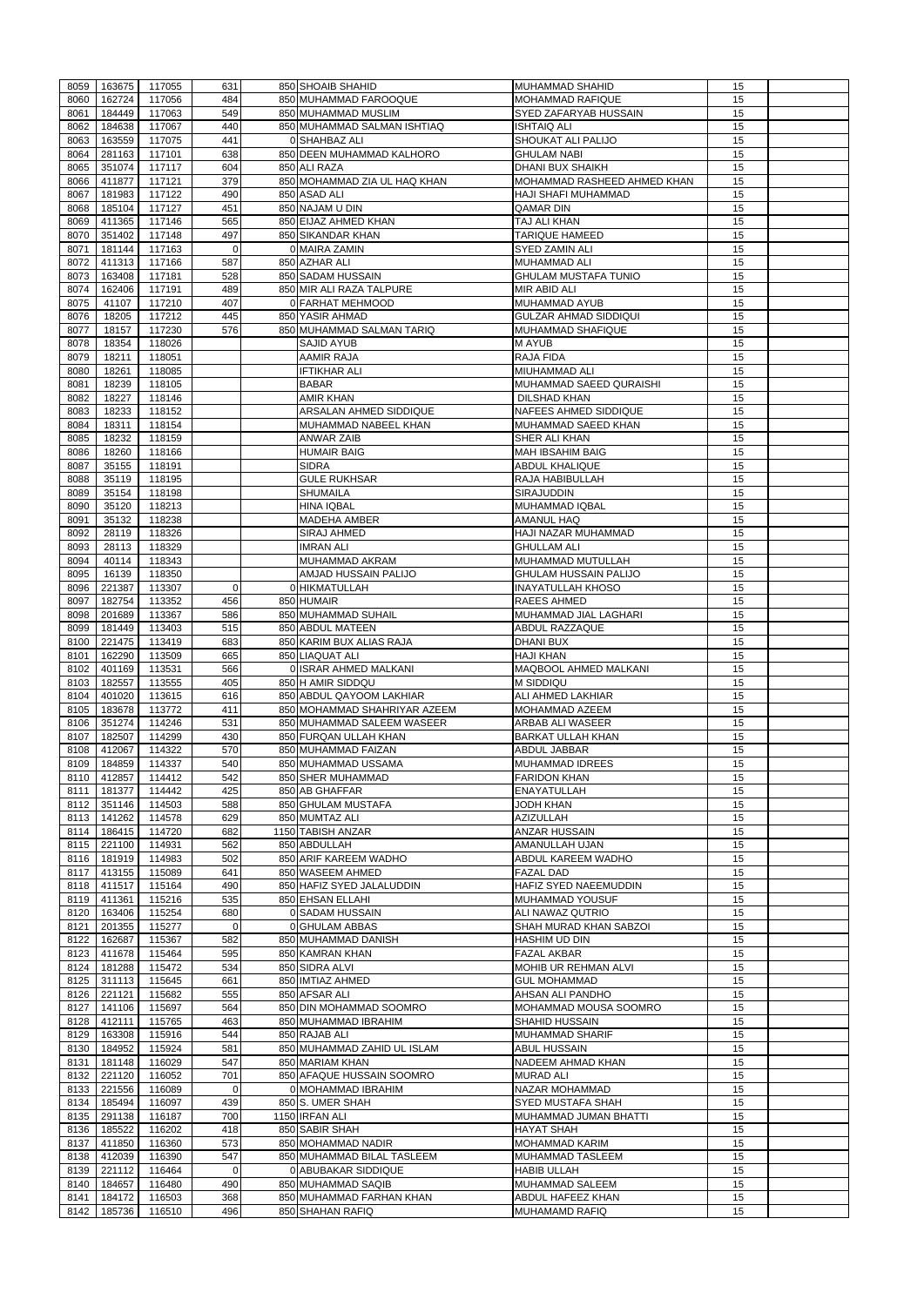| 8059         | 163675             | 117055           | 631         | 850 SHOAIB SHAHID                            | MUHAMMAD SHAHID                            | 15       |  |
|--------------|--------------------|------------------|-------------|----------------------------------------------|--------------------------------------------|----------|--|
|              |                    |                  |             |                                              |                                            |          |  |
| 8060         | 162724             | 117056           | 484         | 850 MUHAMMAD FAROOQUE                        | <b>MOHAMMAD RAFIQUE</b>                    | 15       |  |
| 8061         | 184449             | 117063           | 549         | 850 MUHAMMAD MUSLIM                          | <b>SYED ZAFARYAB HUSSAIN</b>               | 15       |  |
| 8062         | 184638             | 117067           | 440         | 850 MUHAMMAD SALMAN ISHTIAQ                  | <b>ISHTAIQ ALI</b>                         | 15       |  |
| 8063         | 163559             | 117075           | 441         | 0 SHAHBAZ ALI                                | SHOUKAT ALI PALIJO                         | 15       |  |
| 8064         | 281163             | 117101           | 638         | 850 DEEN MUHAMMAD KALHORO                    | <b>GHULAM NABI</b>                         | 15       |  |
|              |                    |                  |             |                                              |                                            |          |  |
| 8065         | 351074             | 117117           | 604         | 850 ALI RAZA                                 | <b>DHANI BUX SHAIKH</b>                    | 15       |  |
| 8066         | 411877             | 117121           | 379         | 850 MOHAMMAD ZIA UL HAQ KHAN                 | MOHAMMAD RASHEED AHMED KHAN                | 15       |  |
| 8067         | 181983             | 117122           | 490         | 850 ASAD ALI                                 | HAJI SHAFI MUHAMMAD                        | 15       |  |
| 8068         | 185104             | 117127           | 451         | 850 NAJAM U DIN                              | <b>QAMAR DIN</b>                           | 15       |  |
|              |                    |                  |             |                                              |                                            |          |  |
| 8069         | 411365             | 117146           | 565         | 850 EIJAZ AHMED KHAN                         | TAJ ALI KHAN                               | 15       |  |
| 8070         | 351402             | 117148           | 497         | 850 SIKANDAR KHAN                            | <b>TARIQUE HAMEED</b>                      | 15       |  |
| 8071         | 181144             | 117163           | $\Omega$    | 0 MAIRA ZAMIN                                | <b>SYED ZAMIN ALI</b>                      | 15       |  |
| 8072         | 411313             | 117166           | 587         | 850 AZHAR ALI                                | MUHAMMAD ALI                               | 15       |  |
|              |                    |                  |             |                                              |                                            |          |  |
| 8073         | 163408             | 117181           | 528         | 850 SADAM HUSSAIN                            | <b>GHULAM MUSTAFA TUNIO</b>                | 15       |  |
| 8074         | 162406             | 117191           | 489         | 850 MIR ALI RAZA TALPURE                     | <b>MIR ABID ALI</b>                        | 15       |  |
| 8075         | 41107              | 117210           | 407         | 0 FARHAT MEHMOOD                             | <b>MUHAMMAD AYUB</b>                       | 15       |  |
| 8076         | 18205              | 117212           | 445         | 850 YASIR AHMAD                              | <b>GULZAR AHMAD SIDDIQUI</b>               | 15       |  |
|              |                    |                  |             |                                              |                                            |          |  |
| 8077         | 18157              | 117230           | 576         | 850 MUHAMMAD SALMAN TARIQ                    | <b>MUHAMMAD SHAFIQUE</b>                   | 15       |  |
| 8078         | 18354              | 118026           |             | <b>SAJID AYUB</b>                            | <b>MAYUB</b>                               | 15       |  |
| 8079         | 18211              | 118051           |             | <b>AAMIR RAJA</b>                            | <b>RAJA FIDA</b>                           | 15       |  |
| 8080         | 18261              | 118085           |             | <b>IFTIKHAR ALI</b>                          | MIUHAMMAD ALI                              | 15       |  |
|              |                    |                  |             |                                              |                                            |          |  |
| 8081         | 18239              | 118105           |             | <b>BABAR</b>                                 | MUHAMMAD SAEED QURAISHI                    | 15       |  |
| 8082         | 18227              | 118146           |             | <b>AMIR KHAN</b>                             | DILSHAD KHAN                               | 15       |  |
| 8083         | 18233              | 118152           |             | ARSALAN AHMED SIDDIQUE                       | NAFEES AHMED SIDDIQUE                      | 15       |  |
| 8084         | 18311              | 118154           |             | IMUHAMMAD NABEEL KHAN                        | MUHAMMAD SAEED KHAN                        | 15       |  |
|              |                    |                  |             |                                              |                                            |          |  |
| 8085         | 18232              | 118159           |             | <b>ANWAR ZAIB</b>                            | SHER ALI KHAN                              | 15       |  |
| 8086         | 18260              | 118166           |             | <b>HUMAIR BAIG</b>                           | <b>MAH IBSAHIM BAIG</b>                    | 15       |  |
| 8087         | 35155              | 118191           |             | <b>SIDRA</b>                                 | <b>ABDUL KHALIQUE</b>                      | 15       |  |
| 8088         | 35119              | 118195           |             | <b>GULE RUKHSAR</b>                          | RAJA HABIBULLAH                            | 15       |  |
|              |                    |                  |             |                                              |                                            |          |  |
| 8089         | 35154              | 118198           |             | <b>SHUMAILA</b>                              | <b>SIRAJUDDIN</b>                          | 15       |  |
| 8090         | 35120              | 118213           |             | <b>HINA IQBAL</b>                            | <b>MUHAMMAD IQBAL</b>                      | 15       |  |
| 8091         | 35132              | 118238           |             | <b>MADEHA AMBER</b>                          | <b>AMANUL HAQ</b>                          | 15       |  |
| 8092         | 28119              | 118326           |             | <b>SIRAJ AHMED</b>                           | HAJI NAZAR MUHAMMAD                        | 15       |  |
|              |                    |                  |             |                                              |                                            |          |  |
| 8093         | 28113              | 118329           |             | <b>IMRAN ALI</b>                             | <b>GHULLAM ALI</b>                         | 15       |  |
| 8094         | 40114              | 118343           |             | <b>MUHAMMAD AKRAM</b>                        | <b>IMUHAMMAD MUTULLAH</b>                  | 15       |  |
| 8095         | 16139              | 118350           |             | <b>AMJAD HUSSAIN PALIJO</b>                  | <b>GHULAM HUSSAIN PALIJO</b>               | 15       |  |
| 8096         | 221387             | 113307           | $\mathbf 0$ | 0 HIKMATULLAH                                | <b>INAYATULLAH KHOSO</b>                   | 15       |  |
|              |                    |                  |             |                                              |                                            |          |  |
| 8097         | 182754             | 113352           | 456         | 850 HUMAIR                                   | <b>RAEES AHMED</b>                         | 15       |  |
| 8098         | 201689             | 113367           | 586         | 850 MUHAMMAD SUHAIL                          | MUHAMMAD JIAL LAGHARI                      | 15       |  |
| 8099         | 181449             | 113403           | 515         | 850 ABDUL MATEEN                             | ABDUL RAZZAQUE                             | 15       |  |
| 8100         | 221475             | 113419           | 683         | 850 KARIM BUX ALIAS RAJA                     | <b>DHANI BUX</b>                           | 15       |  |
|              |                    |                  |             |                                              |                                            |          |  |
| 8101         | 162290             | 113509           | 665         | 850 LIAQUAT ALI                              | <b>HAJI KHAN</b>                           | 15       |  |
| 8102         | 401169             | 113531           | 566         | 0 ISRAR AHMED MALKANI                        | MAQBOOL AHMED MALKANI                      | 15       |  |
| 8103         | 182557             | 113555           | 405         | 850 H AMIR SIDDQU                            | M SIDDIQU                                  | 15       |  |
| 8104         | 401020             | 113615           | 616         | 850 ABDUL QAYOOM LAKHIAR                     | ALI AHMED LAKHIAR                          | 15       |  |
|              |                    |                  |             |                                              |                                            |          |  |
| 8105         | 183678             | 113772           | 411         | 850 MOHAMMAD SHAHRIYAR AZEEM                 | MOHAMMAD AZEEM                             | 15       |  |
| 8106         | 351274             | 114246           | 531         | 850 MUHAMMAD SALEEM WASEER                   | ARBAB ALI WASEER                           | 15       |  |
|              |                    | 114299           |             | 850 FURQAN ULLAH KHAN                        |                                            |          |  |
|              |                    |                  |             |                                              |                                            |          |  |
| 8107         | 182507             |                  | 430         |                                              | <b>BARKAT ULLAH KHAN</b>                   | 15       |  |
| 8108         | 412067             | 114322           | 570         | 850 MUHAMMAD FAIZAN                          | ABDUL JABBAR                               | 15       |  |
| 8109         | 184859             | 114337           | 540         | 850 MUHAMMAD USSAMA                          | <b>MUHAMMAD IDREES</b>                     | 15       |  |
| 8110         | 412857             | 114412           | 542         | 850 SHER MUHAMMAD                            | <b>FARIDON KHAN</b>                        | 15       |  |
|              |                    |                  |             |                                              |                                            | 15       |  |
| 8111         | 181377             | 114442           | 425         | 850 AB GHAFFAR                               | <b>ENAYATULLAH</b>                         |          |  |
| 8112         | 351146             | 114503           | 588         | 850 GHULAM MUSTAFA                           | <b>JODH KHAN</b>                           | 15       |  |
| 8113         | 141262             | 114578           | 629         | 850 MUMTAZ ALI                               | <b>AZIZULLAH</b>                           | 15       |  |
| 8114         | 186415             | 114720           | 682         | 1150 TABISH ANZAR                            | <b>ANZAR HUSSAIN</b>                       | 15       |  |
| 8115         | 221100             | 114931           | 562         | 850 ABDULLAH                                 | AMANULLAH UJAN                             | 15       |  |
|              |                    |                  |             |                                              |                                            |          |  |
| 8116         | 181919             | 114983           | 502         | 850 ARIF KAREEM WADHO                        | ABDUL KAREEM WADHO                         | 15       |  |
| 8117         | 413155             | 115089           | 641         | 850 WASEEM AHMED                             | <b>FAZAL DAD</b>                           | 15       |  |
| 8118         | 411517             | 115164           | 490         | 850 HAFIZ SYED JALALUDDIN                    | HAFIZ SYED NAEEMUDDIN                      | 15       |  |
| 8119         | 411361             | 115216           | 535         | 850 EHSAN ELLAHI                             | <b>MUHAMMAD YOUSUF</b>                     | 15       |  |
| 8120         | 163406             | 115254           | 680         | 0 SADAM HUSSAIN                              | ALI NAWAZ QUTRIO                           | 15       |  |
|              |                    |                  |             |                                              |                                            |          |  |
| 8121         | 201355             | 115277           | $\Omega$    | 0 GHULAM ABBAS                               | <b>SHAH MURAD KHAN SABZOI</b>              | 15       |  |
| 8122         | 162687             | 115367           | 582         | 850 MUHAMMAD DANISH                          | <b>HASHIM UD DIN</b>                       | 15       |  |
| 8123         | 411678             | 115464           | 595         | 850 KAMRAN KHAN                              | <b>FAZAL AKBAR</b>                         | 15       |  |
| 8124         | 181288             | 115472           | 534         | 850 SIDRA ALVI                               | MOHIB UR REHMAN ALVI                       | 15       |  |
|              |                    |                  |             |                                              |                                            |          |  |
| 8125         | 311113             | 115645           | 661         | 850 IMTIAZ AHMED                             | <b>GUL MOHAMMAD</b>                        | 15       |  |
| 8126         | 221121             | 115682           | 555         | 850 AFSAR ALI                                | AHSAN ALI PANDHO                           | 15       |  |
| 8127         | 141106             | 115697           | 564         | 850 DIN MOHAMMAD SOOMRO                      | MOHAMMAD MOUSA SOOMRO                      | 15       |  |
| 8128         | 412111             | 115765           | 463         | 850 MUHAMMAD IBRAHIM                         | <b>SHAHID HUSSAIN</b>                      | 15       |  |
|              |                    |                  |             |                                              |                                            |          |  |
| 8129         | 163308             | 115916           | 544         | 850 RAJAB ALI                                | <b>MUHAMMAD SHARIF</b>                     | 15       |  |
| 8130         | 184952             | 115924           | 581         | 850 MUHAMMAD ZAHID UL ISLAM                  | <b>ABUL HUSSAIN</b>                        | 15       |  |
|              | 8131 181148 116029 |                  | 547         | 850 MARIAM KHAN                              | NADEEM AHMAD KHAN                          | 15       |  |
| 8132         | 221120             | 116052           | 701         | 850 AFAQUE HUSSAIN SOOMRO                    | <b>MURAD ALI</b>                           | 15       |  |
|              |                    |                  |             |                                              |                                            |          |  |
| 8133         | 221556             | 116089           | 0           | 0 MOHAMMAD IBRAHIM                           | NAZAR MOHAMMAD                             | 15       |  |
| 8134         | 185494             | 116097           | 439         | 850 S. UMER SHAH                             | <b>SYED MUSTAFA SHAH</b>                   | 15       |  |
| 8135         | 291138             | 116187           | 700         | 1150 IRFAN ALI                               | MUHAMMAD JUMAN BHATTI                      | 15       |  |
| 8136         | 185522             | 116202           | 418         | 850 SABIR SHAH                               | <b>HAYAT SHAH</b>                          | 15       |  |
|              |                    |                  |             |                                              |                                            |          |  |
| 8137         | 411850             | 116360           | 573         | 850 MOHAMMAD NADIR                           | <b>MOHAMMAD KARIM</b>                      | 15       |  |
| 8138         | 412039             | 116390           | 547         | 850 MUHAMMAD BILAL TASLEEM                   | MUHAMMAD TASLEEM                           | 15       |  |
| 8139         | 221112             | 116464           | $\mathbf 0$ | 0 ABUBAKAR SIDDIQUE                          | <b>HABIB ULLAH</b>                         | 15       |  |
| 8140         | 184657             | 116480           | 490         | 850 MUHAMMAD SAQIB                           | <b>MUHAMMAD SALEEM</b>                     | 15       |  |
|              |                    |                  |             |                                              |                                            |          |  |
| 8141<br>8142 | 184172<br>185736   | 116503<br>116510 | 368<br>496  | 850 MUHAMMAD FARHAN KHAN<br>850 SHAHAN RAFIQ | ABDUL HAFEEZ KHAN<br><b>MUHAMAMD RAFIQ</b> | 15<br>15 |  |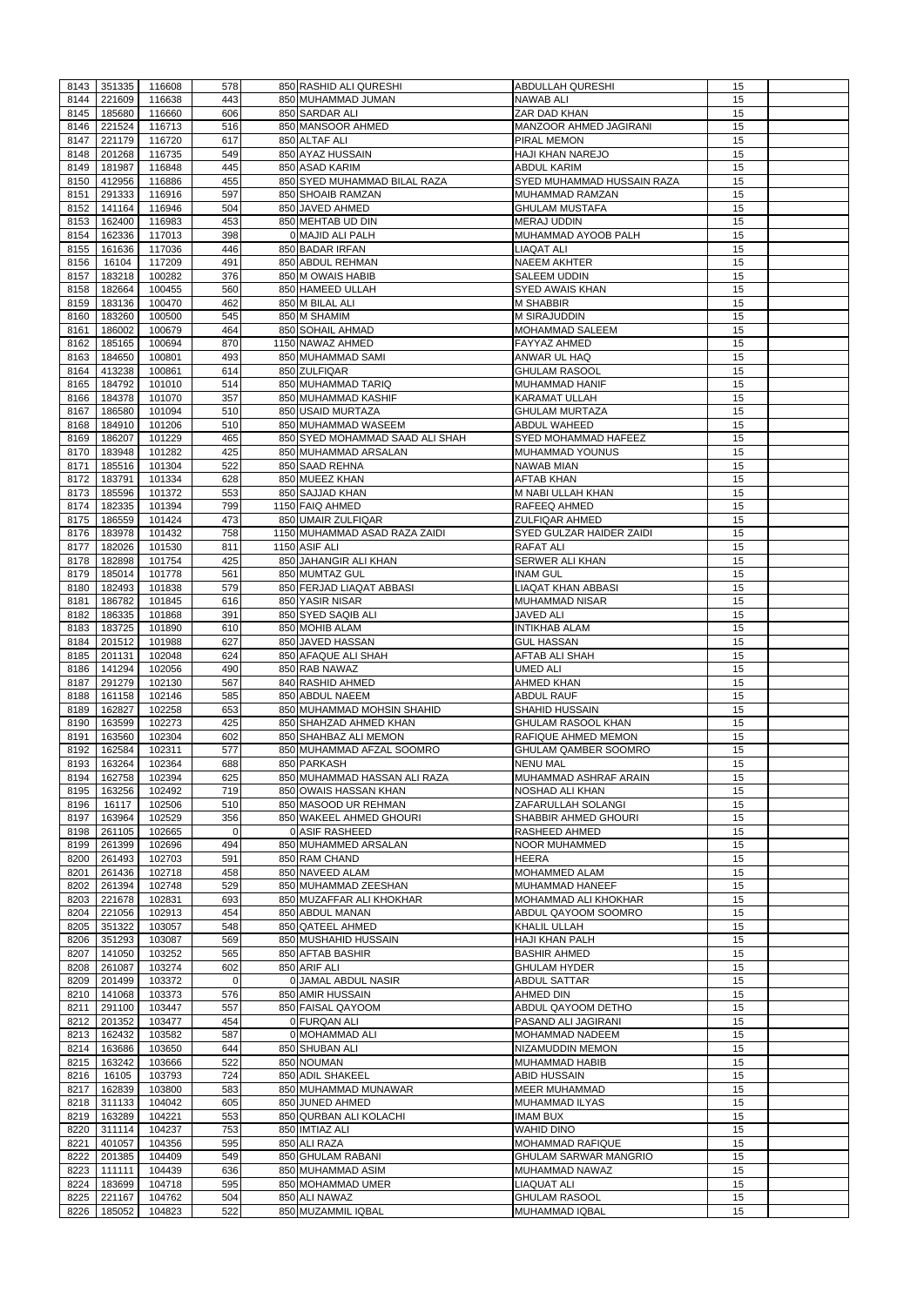| 8143 | 351335      | 116608 | 578         | 850 RASHID ALI QURESHI          | <b>ABDULLAH QURESHI</b>         | 15 |  |
|------|-------------|--------|-------------|---------------------------------|---------------------------------|----|--|
|      |             |        |             |                                 |                                 |    |  |
| 8144 | 221609      | 116638 | 443         | 850 MUHAMMAD JUMAN              | <b>NAWAB ALI</b>                | 15 |  |
| 8145 | 185680      | 116660 | 606         | 850 SARDAR ALI                  | <b>ZAR DAD KHAN</b>             | 15 |  |
| 8146 | 221524      | 116713 | 516         | 850 MANSOOR AHMED               | MANZOOR AHMED JAGIRANI          | 15 |  |
|      |             |        |             |                                 |                                 |    |  |
| 8147 | 221179      | 116720 | 617         | 850 ALTAF ALI                   | <b>PIRAL MEMON</b>              | 15 |  |
| 8148 | 201268      | 116735 | 549         | 850 AYAZ HUSSAIN                | <b>HAJI KHAN NAREJO</b>         | 15 |  |
| 8149 | 181987      | 116848 | 445         | 850 ASAD KARIM                  | <b>ABDUL KARIM</b>              | 15 |  |
|      |             |        |             |                                 |                                 |    |  |
| 8150 | 412956      | 116886 | 455         | 850 SYED MUHAMMAD BILAL RAZA    | SYED MUHAMMAD HUSSAIN RAZA      | 15 |  |
| 8151 | 291333      | 116916 | 597         | 850 SHOAIB RAMZAN               | MUHAMMAD RAMZAN                 | 15 |  |
| 8152 | 141164      | 116946 | 504         | 850 JAVED AHMED                 | <b>GHULAM MUSTAFA</b>           | 15 |  |
|      |             |        |             | 850 MEHTAB UD DIN               |                                 | 15 |  |
| 8153 | 162400      | 116983 | 453         |                                 | <b>MERAJ UDDIN</b>              |    |  |
| 8154 | 162336      | 117013 | 398         | 0 MAJID ALI PALH                | MUHAMMAD AYOOB PALH             | 15 |  |
| 8155 | 161636      | 117036 | 446         | 850 BADAR IRFAN                 | <b>LIAQAT ALI</b>               | 15 |  |
| 8156 | 16104       | 117209 | 491         | 850 ABDUL REHMAN                | <b>NAEEM AKHTER</b>             | 15 |  |
|      |             |        |             |                                 |                                 |    |  |
| 8157 | 183218      | 100282 | 376         | 850 M OWAIS HABIB               | <b>SALEEM UDDIN</b>             | 15 |  |
| 8158 | 182664      | 100455 | 560         | 850 HAMEED ULLAH                | <b>SYED AWAIS KHAN</b>          | 15 |  |
| 8159 | 183136      | 100470 | 462         | 850 M BILAL ALI                 | <b>M SHABBIR</b>                | 15 |  |
|      |             |        |             |                                 |                                 |    |  |
| 8160 | 183260      | 100500 | 545         | 850 M SHAMIM                    | <b>M SIRAJUDDIN</b>             | 15 |  |
| 8161 | 186002      | 100679 | 464         | 850 SOHAIL AHMAD                | <b>MOHAMMAD SALEEM</b>          | 15 |  |
| 8162 | 185165      | 100694 | 870         | 1150 NAWAZ AHMED                | <b>FAYYAZ AHMED</b>             | 15 |  |
|      |             |        |             |                                 |                                 |    |  |
| 8163 | 184650      | 100801 | 493         | 850 MUHAMMAD SAMI               | ANWAR UL HAQ                    | 15 |  |
| 8164 | 413238      | 100861 | 614         | 850 ZULFIQAR                    | <b>GHULAM RASOOL</b>            | 15 |  |
| 8165 | 184792      | 101010 | 514         | 850 MUHAMMAD TARIQ              | <b>MUHAMMAD HANIF</b>           | 15 |  |
|      |             |        |             |                                 |                                 |    |  |
| 8166 | 184378      | 101070 | 357         | 850 MUHAMMAD KASHIF             | <b>KARAMAT ULLAH</b>            | 15 |  |
| 8167 | 186580      | 101094 | 510         | 850 USAID MURTAZA               | <b>GHULAM MURTAZA</b>           | 15 |  |
| 8168 | 184910      | 101206 | 510         | 850 MUHAMMAD WASEEM             | <b>ABDUL WAHEED</b>             | 15 |  |
|      |             |        |             |                                 |                                 |    |  |
| 8169 | 186207      | 101229 | 465         | 850 SYED MOHAMMAD SAAD ALI SHAH | <b>SYED MOHAMMAD HAFEEZ</b>     | 15 |  |
| 8170 | 183948      | 101282 | 425         | 850 MUHAMMAD ARSALAN            | <b>MUHAMMAD YOUNUS</b>          | 15 |  |
| 8171 | 185516      | 101304 | 522         | 850 SAAD REHNA                  | <b>NAWAB MIAN</b>               | 15 |  |
| 8172 | 183791      | 101334 | 628         | 850 MUEEZ KHAN                  |                                 | 15 |  |
|      |             |        |             |                                 | <b>AFTAB KHAN</b>               |    |  |
| 8173 | 185596      | 101372 | 553         | 850 SAJJAD KHAN                 | M NABI ULLAH KHAN               | 15 |  |
| 8174 | 182335      | 101394 | 799         | 1150 FAIQ AHMED                 | <b>RAFEEQ AHMED</b>             | 15 |  |
| 8175 | 186559      | 101424 | 473         | 850 UMAIR ZULFIQAR              | <b>ZULFIQAR AHMED</b>           | 15 |  |
|      |             |        |             |                                 |                                 |    |  |
| 8176 | 183978      | 101432 | 758         | 1150 MUHAMMAD ASAD RAZA ZAIDI   | <b>SYED GULZAR HAIDER ZAIDI</b> | 15 |  |
| 8177 | 182026      | 101530 | 811         | 1150 ASIF ALI                   | <b>RAFAT ALI</b>                | 15 |  |
| 8178 | 182898      | 101754 | 425         | 850 JAHANGIR ALI KHAN           | <b>SERWER ALI KHAN</b>          | 15 |  |
|      |             |        |             |                                 |                                 |    |  |
| 8179 | 185014      | 101778 | 561         | 850 MUMTAZ GUL                  | <b>INAM GUL</b>                 | 15 |  |
| 8180 | 182493      | 101838 | 579         | 850 FERJAD LIAQAT ABBASI        | <b>LIAQAT KHAN ABBASI</b>       | 15 |  |
| 8181 | 186782      | 101845 | 616         | 850 YASIR NISAR                 | <b>MUHAMMAD NISAR</b>           | 15 |  |
|      |             |        |             |                                 |                                 |    |  |
| 8182 | 186335      | 101868 | 391         | 850 SYED SAQIB ALI              | <b>JAVED ALI</b>                | 15 |  |
| 8183 | 183725      | 101890 | 610         | 850 MOHIB ALAM                  | <b>INTIKHAB ALAM</b>            | 15 |  |
| 8184 | 201512      | 101988 | 627         | 850 JAVED HASSAN                | <b>GUL HASSAN</b>               | 15 |  |
|      |             |        |             |                                 |                                 |    |  |
| 8185 | 201131      | 102048 | 624         | 850 AFAQUE ALI SHAH             | <b>AFTAB ALI SHAH</b>           | 15 |  |
| 8186 | 141294      | 102056 | 490         | 850 RAB NAWAZ                   | <b>UMED ALI</b>                 | 15 |  |
| 8187 | 291279      | 102130 | 567         | 840 RASHID AHMED                | <b>AHMED KHAN</b>               | 15 |  |
|      |             |        |             |                                 |                                 |    |  |
| 8188 | 161158      | 102146 | 585         | 850 ABDUL NAEEM                 | <b>ABDUL RAUF</b>               | 15 |  |
| 8189 | 162827      | 102258 | 653         | 850 MUHAMMAD MOHSIN SHAHID      | <b>SHAHID HUSSAIN</b>           | 15 |  |
| 8190 | 163599      | 102273 | 425         | 850 SHAHZAD AHMED KHAN          | <b>GHULAM RASOOL KHAN</b>       | 15 |  |
|      |             |        |             |                                 |                                 |    |  |
| 8191 | 163560      | 102304 | 602         | 850 SHAHBAZ ALI MEMON           | RAFIQUE AHMED MEMON             | 15 |  |
| 8192 | 162584      | 102311 | 577         | 850 MUHAMMAD AFZAL SOOMRO       | <b>GHULAM QAMBER SOOMRO</b>     | 15 |  |
| 8193 | 163264      | 102364 | 688         | 850 PARKASH                     | <b>NENU MAL</b>                 | 15 |  |
|      |             |        |             | 850 MUHAMMAD HASSAN ALI RAZA    | MUHAMMAD ASHRAF ARAIN           | 15 |  |
| 8194 | 162758      | 102394 | 625         |                                 |                                 |    |  |
| 8195 | 163256      | 102492 | 719         | 850 OWAIS HASSAN KHAN           | NOSHAD ALI KHAN                 | 15 |  |
| 8196 | 16117       | 102506 | 510         | 850 MASOOD UR REHMAN            | ZAFARULLAH SOLANGI              | 15 |  |
| 8197 | 163964      | 102529 | 356         | 850 WAKEEL AHMED GHOURI         | SHABBIR AHMED GHOURI            | 15 |  |
|      |             |        |             |                                 |                                 |    |  |
| 8198 | 261105      | 102665 | $\mathbf 0$ | 0 ASIF RASHEED                  | RASHEED AHMED                   | 15 |  |
| 8199 | 261399      | 102696 | 494         | 850 MUHAMMED ARSALAN            | NOOR MUHAMMED                   | 15 |  |
| 8200 | 261493      | 102703 | 591         | 850 RAM CHAND                   | <b>HEERA</b>                    | 15 |  |
|      |             |        |             |                                 |                                 |    |  |
| 8201 | 261436      | 102718 | 458         | 850 NAVEED ALAM                 | MOHAMMED ALAM                   | 15 |  |
| 8202 | 261394      | 102748 | 529         | 850 MUHAMMAD ZEESHAN            | MUHAMMAD HANEEF                 | 15 |  |
| 8203 | 221678      | 102831 | 693         | 850 MUZAFFAR ALI KHOKHAR        | MOHAMMAD ALI KHOKHAR            | 15 |  |
| 8204 | 221056      | 102913 | 454         | 850 ABDUL MANAN                 | ABDUL QAYOOM SOOMRO             | 15 |  |
|      |             |        |             |                                 |                                 |    |  |
| 8205 | 351322      | 103057 | 548         | 850 QATEEL AHMED                | <b>KHALIL ULLAH</b>             | 15 |  |
| 8206 | 351293      | 103087 | 569         | 850 MUSHAHID HUSSAIN            | <b>HAJI KHAN PALH</b>           | 15 |  |
| 8207 | 141050      | 103252 | 565         | 850 AFTAB BASHIR                | <b>BASHIR AHMED</b>             | 15 |  |
|      |             |        |             |                                 |                                 |    |  |
| 8208 | 261087      | 103274 | 602         | 850 ARIF ALI                    | <b>GHULAM HYDER</b>             | 15 |  |
| 8209 | 201499      | 103372 | $\Omega$    | 0 JAMAL ABDUL NASIR             | <b>ABDUL SATTAR</b>             | 15 |  |
| 8210 | 141068      | 103373 | 576         | 850 AMIR HUSSAIN                | <b>AHMED DIN</b>                | 15 |  |
|      |             |        |             |                                 |                                 |    |  |
| 8211 | 291100      | 103447 | 557         | 850 FAISAL QAYOOM               | ABDUL QAYOOM DETHO              | 15 |  |
| 8212 | 201352      | 103477 | 454         | 0 FURQAN ALI                    | PASAND ALI JAGIRANI             | 15 |  |
| 8213 | 162432      | 103582 | 587         | 0 MOHAMMAD ALI                  | <b>MOHAMMAD NADEEM</b>          | 15 |  |
| 8214 | 163686      | 103650 | 644         | 850 SHUBAN ALI                  | NIZAMUDDIN MEMON                | 15 |  |
|      |             |        |             |                                 |                                 |    |  |
|      | 8215 163242 | 103666 | 522         | 850 NOUMAN                      | MUHAMMAD HABIB                  | 15 |  |
| 8216 | 16105       | 103793 | 724         | 850 ADIL SHAKEEL                | <b>ABID HUSSAIN</b>             | 15 |  |
| 8217 | 162839      | 103800 | 583         | 850 MUHAMMAD MUNAWAR            | <b>MEER MUHAMMAD</b>            | 15 |  |
|      |             |        |             |                                 |                                 |    |  |
| 8218 | 311133      | 104042 | 605         | 850 JUNED AHMED                 | MUHAMMAD ILYAS                  | 15 |  |
| 8219 | 163289      | 104221 | 553         | 850 QURBAN ALI KOLACHI          | <b>IMAM BUX</b>                 | 15 |  |
| 8220 | 311114      | 104237 | 753         | 850 IMTIAZ ALI                  | <b>WAHID DINO</b>               | 15 |  |
|      |             |        |             |                                 |                                 |    |  |
| 8221 | 401057      | 104356 | 595         | 850 ALI RAZA                    | <b>MOHAMMAD RAFIQUE</b>         | 15 |  |
| 8222 | 201385      | 104409 | 549         | 850 GHULAM RABANI               | <b>GHULAM SARWAR MANGRIO</b>    | 15 |  |
| 8223 | 111111      | 104439 | 636         | 850 MUHAMMAD ASIM               | MUHAMMAD NAWAZ                  | 15 |  |
|      |             |        |             |                                 |                                 |    |  |
| 8224 | 183699      | 104718 | 595         | 850 MOHAMMAD UMER               | <b>LIAQUAT ALI</b>              | 15 |  |
| 8225 | 221167      | 104762 | 504         | 850 ALI NAWAZ                   | <b>GHULAM RASOOL</b>            | 15 |  |
|      |             |        |             |                                 |                                 |    |  |
| 8226 | 185052      | 104823 | 522         | 850 MUZAMMIL IQBAL              | <b>MUHAMMAD IQBAL</b>           | 15 |  |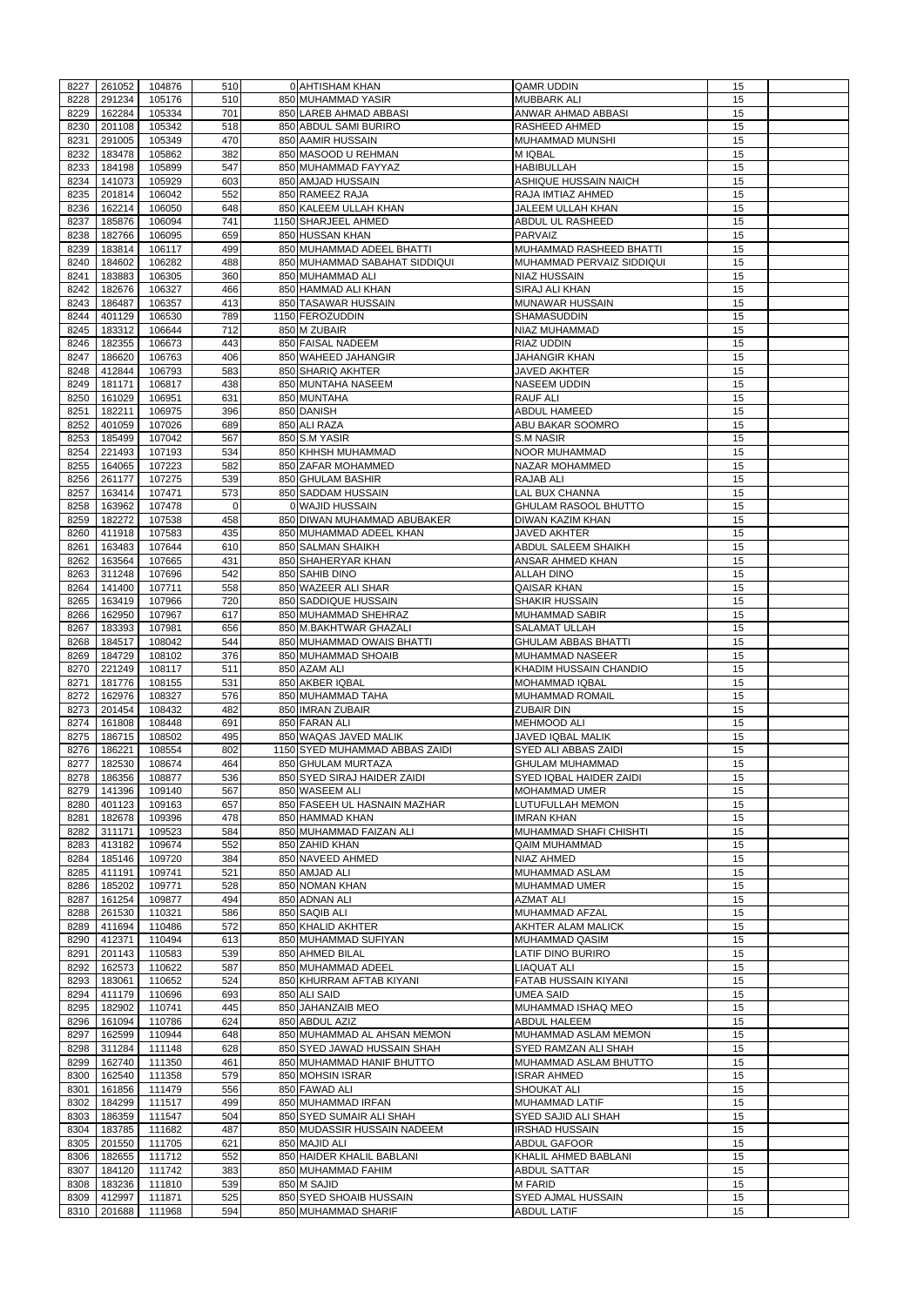| 8227         | 261052           | 104876           | 510         | 0 AHTISHAM KHAN                                | <b>QAMR UDDIN</b>                               | 15       |  |
|--------------|------------------|------------------|-------------|------------------------------------------------|-------------------------------------------------|----------|--|
| 8228         | 291234           | 105176           | 510         | 850 MUHAMMAD YASIR                             | <b>MUBBARK ALI</b>                              | 15       |  |
|              |                  |                  |             |                                                |                                                 |          |  |
| 8229         | 162284           | 105334           | 701         | 850 LAREB AHMAD ABBASI                         | ANWAR AHMAD ABBASI                              | 15       |  |
| 8230         | 201108           | 105342           | 518         | 850 ABDUL SAMI BURIRO                          | RASHEED AHMED                                   | 15       |  |
| 8231         | 291005           | 105349           | 470         | 850 AAMIR HUSSAIN                              | <b>MUHAMMAD MUNSHI</b>                          | 15       |  |
| 8232         | 183478           | 105862           | 382         | 850 MASOOD U REHMAN                            | M IQBAL                                         | 15       |  |
| 8233         | 184198           | 105899           | 547         | 850 MUHAMMAD FAYYAZ                            | <b>HABIBULLAH</b>                               | 15       |  |
| 8234         | 141073           | 105929           | 603         | 850 AMJAD HUSSAIN                              | ASHIQUE HUSSAIN NAICH                           | 15       |  |
|              |                  |                  |             |                                                |                                                 |          |  |
| 8235         | 201814           | 106042           | 552         | 850 RAMEEZ RAJA                                | RAJA IMTIAZ AHMED                               | 15       |  |
| 8236         | 162214           | 106050           | 648         | 850 KALEEM ULLAH KHAN                          | JALEEM ULLAH KHAN                               | 15       |  |
| 8237         | 185876           | 106094           | 741         | 1150 SHARJEEL AHMED                            | ABDUL UL RASHEED                                | 15       |  |
| 8238         | 182766           | 106095           | 659         | 850 HUSSAN KHAN                                | <b>PARVAIZ</b>                                  | 15       |  |
| 8239         | 183814           | 106117           | 499         | 850 MUHAMMAD ADEEL BHATTI                      | MUHAMMAD RASHEED BHATTI                         | 15       |  |
| 8240         | 184602           | 106282           | 488         | 850 MUHAMMAD SABAHAT SIDDIQUI                  | MUHAMMAD PERVAIZ SIDDIQUI                       | 15       |  |
| 8241         | 183883           | 106305           | 360         | 850 MUHAMMAD ALI                               | <b>NIAZ HUSSAIN</b>                             | 15       |  |
| 8242         |                  |                  | 466         |                                                |                                                 | 15       |  |
|              | 182676           | 106327           |             | 850 HAMMAD ALI KHAN                            | SIRAJ ALI KHAN                                  |          |  |
| 8243         | 186487           | 106357           | 413         | 850 TASAWAR HUSSAIN                            | <b>MUNAWAR HUSSAIN</b>                          | 15       |  |
| 8244         | 401129           | 106530           | 789         | 1150 FEROZUDDIN                                | <b>SHAMASUDDIN</b>                              | 15       |  |
| 8245         | 183312           | 106644           | 712         | 850 M ZUBAIR                                   | NIAZ MUHAMMAD                                   | 15       |  |
| 8246         | 182355           | 106673           | 443         | 850 FAISAL NADEEM                              | <b>RIAZ UDDIN</b>                               | 15       |  |
| 8247         | 186620           | 106763           | 406         | 850 WAHEED JAHANGIR                            | <b>JAHANGIR KHAN</b>                            | 15       |  |
| 8248         | 412844           | 106793           | 583         | 850 SHARIQ AKHTER                              | JAVED AKHTER                                    | 15       |  |
|              |                  |                  | 438         |                                                |                                                 | 15       |  |
| 8249         | 181171           | 106817           |             | 850 MUNTAHA NASEEM                             | <b>NASEEM UDDIN</b>                             |          |  |
| 8250         | 161029           | 106951           | 631         | 850 MUNTAHA                                    | <b>RAUF ALI</b>                                 | 15       |  |
| 8251         | 182211           | 106975           | 396         | 850 DANISH                                     | ABDUL HAMEED                                    | 15       |  |
| 8252         | 401059           | 107026           | 689         | 850 ALI RAZA                                   | ABU BAKAR SOOMRO                                | 15       |  |
| 8253         | 185499           | 107042           | 567         | 850 S.M YASIR                                  | <b>S.M NASIR</b>                                | 15       |  |
| 8254         | 221493           | 107193           | 534         | 850 KHHSH MUHAMMAD                             | <b>NOOR MUHAMMAD</b>                            | 15       |  |
| 8255         | 164065           | 107223           | 582         | 850 ZAFAR MOHAMMED                             | <b>NAZAR MOHAMMED</b>                           | 15       |  |
|              |                  |                  |             |                                                |                                                 |          |  |
| 8256         | 261177           | 107275           | 539         | 850 GHULAM BASHIR                              | RAJAB ALI                                       | 15       |  |
| 8257         | 163414           | 107471           | 573         | 850 SADDAM HUSSAIN                             | LAL BUX CHANNA                                  | 15       |  |
| 8258         | 163962           | 107478           | $\mathbf 0$ | O WAJID HUSSAIN                                | <b>GHULAM RASOOL BHUTTO</b>                     | 15       |  |
| 8259         | 182272           | 107538           | 458         | 850 DIWAN MUHAMMAD ABUBAKER                    | DIWAN KAZIM KHAN                                | 15       |  |
| 8260         | 411918           | 107583           | 435         | 850 MUHAMMAD ADEEL KHAN                        | <b>JAVED AKHTER</b>                             | 15       |  |
| 8261         | 163483           | 107644           | 610         | 850 SALMAN SHAIKH                              | ABDUL SALEEM SHAIKH                             | 15       |  |
| 8262         | 163564           | 107665           | 431         | 850 SHAHERYAR KHAN                             | <b>ANSAR AHMED KHAN</b>                         | 15       |  |
|              |                  |                  |             |                                                |                                                 |          |  |
| 8263         | 311248           | 107696           | 542         | 850 SAHIB DINO                                 | <b>ALLAH DINO</b>                               | 15       |  |
| 8264         | 141400           | 107711           | 558         | 850 WAZEER ALI SHAR                            | QAISAR KHAN                                     | 15       |  |
| 8265         | 163419           | 107966           | 720         | 850 SADDIQUE HUSSAIN                           | <b>SHAKIR HUSSAIN</b>                           | 15       |  |
| 8266         | 162950           | 107967           | 617         | 850 MUHAMMAD SHEHRAZ                           | <b>MUHAMMAD SABIR</b>                           | 15       |  |
| 8267         | 183393           | 107981           | 656         | 850 M.BAKHTWAR GHAZALI                         | <b>SALAMAT ULLAH</b>                            | 15       |  |
| 8268         | 184517           | 108042           | 544         | 850 MUHAMMAD OWAIS BHATTI                      | <b>GHULAM ABBAS BHATTI</b>                      | 15       |  |
| 8269         | 184729           | 108102           | 376         | 850 MUHAMMAD SHOAIB                            | MUHAMMAD NASEER                                 | 15       |  |
|              |                  |                  |             |                                                |                                                 |          |  |
| 8270         | 221249           | 108117           | 511         | 850 AZAM ALI                                   | KHADIM HUSSAIN CHANDIO                          | 15       |  |
| 8271         | 181776           | 108155           | 531         | 850 AKBER IQBAL                                | <b>MOHAMMAD IQBAL</b>                           | 15       |  |
| 8272         | 162976           | 108327           | 576         | 850 MUHAMMAD TAHA                              | MUHAMMAD ROMAIL                                 | 15       |  |
| 8273         | 201454           | 108432           | 482         | 850 IMRAN ZUBAIR                               | <b>ZUBAIR DIN</b>                               | 15       |  |
| 8274         | 161808           | 108448           | 691         | 850 FARAN ALI                                  | <b>MEHMOOD ALI</b>                              | 15       |  |
| 8275         | 186715           | 108502           | 495         | 850 WAQAS JAVED MALIK                          | JAVED IQBAL MALIK                               | 15       |  |
| 8276         | 186221           | 108554           | 802         | 1150 SYED MUHAMMAD ABBAS ZAIDI                 | SYED ALI ABBAS ZAIDI                            | 15       |  |
|              |                  |                  |             |                                                |                                                 |          |  |
| 8277         | 182530           | 108674           | 464         | 850 GHULAM MURTAZA                             | <b>GHULAM MUHAMMAD</b>                          | 15       |  |
| 8278         | 186356           | 108877           | 536         | 850 SYED SIRAJ HAIDER ZAIDI                    | SYED IQBAL HAIDER ZAIDI                         | 15       |  |
| 8279         | 141396           | 109140           | 567         | 850 WASEEM ALI                                 | MOHAMMAD UMER                                   | 15       |  |
| 8280         | 401123           | 109163           | 657         | 850 FASEEH UL HASNAIN MAZHAR                   | LUTUFULLAH MEMON                                | 15       |  |
| 8281         | 182678           | 109396           | 478         | 850 HAMMAD KHAN                                | <b>IMRAN KHAN</b>                               | 15       |  |
| 8282         | 311171           | 109523           | 584         | 850 MUHAMMAD FAIZAN ALI                        | MUHAMMAD SHAFI CHISHTI                          | 15       |  |
| 8283         | 413182           | 109674           | 552         | 850 ZAHID KHAN                                 | <b>QAIM MUHAMMAD</b>                            | 15       |  |
| 8284         | 185146           | 109720           | 384         | 850 NAVEED AHMED                               | NIAZ AHMED                                      | 15       |  |
|              |                  |                  |             |                                                |                                                 |          |  |
| 8285         | 411191           | 109741           | 521         | 850 AMJAD ALI                                  | MUHAMMAD ASLAM                                  | 15       |  |
| 8286         | 185202           | 109771           | 528         | 850 NOMAN KHAN                                 | MUHAMMAD UMER                                   | 15       |  |
| 8287         | 161254           | 109877           | 494         | 850 ADNAN ALI                                  | <b>AZMAT ALI</b>                                | 15       |  |
| 8288         | 261530           | 110321           | 586         | 850 SAQIB ALI                                  | MUHAMMAD AFZAL                                  | 15       |  |
| 8289         | 411694           | 110486           | 572         | 850 KHALID AKHTER                              | AKHTER ALAM MALICK                              | 15       |  |
| 8290         | 412371           | 110494           | 613         | 850 MUHAMMAD SUFIYAN                           | <b>MUHAMMAD QASIM</b>                           | 15       |  |
| 8291         | 201143           | 110583           | 539         | 850 AHMED BILAL                                | <b>LATIF DINO BURIRO</b>                        | 15       |  |
| 8292         | 162573           | 110622           | 587         | 850 MUHAMMAD ADEEL                             | <b>LIAQUAT ALI</b>                              | 15       |  |
|              |                  |                  |             |                                                |                                                 |          |  |
| 8293         | 183061           | 110652           | 524         | 850 KHURRAM AFTAB KIYANI                       | <b>FATAB HUSSAIN KIYANI</b>                     | 15       |  |
| 8294         | 411179           | 110696           | 693         | 850 ALI SAID                                   | <b>UMEA SAID</b>                                | 15       |  |
| 8295         | 182902           | 110741           | 445         | 850 JAHANZAIB MEO                              | MUHAMMAD ISHAQ MEO                              | 15       |  |
| 8296         | 161094           | 110786           | 624         | 850 ABDUL AZIZ                                 | ABDUL HALEEM                                    | 15       |  |
| 8297         | 162599           | 110944           | 648         | 850 MUHAMMAD AL AHSAN MEMON                    | MUHAMMAD ASLAM MEMON                            | 15       |  |
| 8298         | 311284           | 111148           | 628         | 850 SYED JAWAD HUSSAIN SHAH                    | SYED RAMZAN ALI SHAH                            | 15       |  |
|              | 8299 162740      | 111350           | 461         | 850 MUHAMMAD HANIF BHUTTO                      | MUHAMMAD ASLAM BHUTTO                           | 15       |  |
| 8300         | 162540           |                  | 579         | 850 MOHSIN ISRAR                               | <b>ISRAR AHMED</b>                              | 15       |  |
|              |                  | 111358           |             |                                                |                                                 |          |  |
| 8301         | 161856           | 111479           | 556         | 850 FAWAD ALI                                  | <b>SHOUKAT ALI</b>                              | 15       |  |
| 8302         | 184299           | 111517           | 499         | 850 MUHAMMAD IRFAN                             | <b>MUHAMMAD LATIF</b>                           | 15       |  |
| 8303         | 186359           | 111547           | 504         | 850 SYED SUMAIR ALI SHAH                       | <b>SYED SAJID ALI SHAH</b>                      | 15       |  |
| 8304         | 183785           | 111682           | 487         | 850 MUDASSIR HUSSAIN NADEEM                    | <b>IRSHAD HUSSAIN</b>                           | 15       |  |
| 8305         | 201550           | 111705           | 621         | 850 MAJID ALI                                  | <b>ABDUL GAFOOR</b>                             | 15       |  |
|              |                  | 111712           | 552         | 850 HAIDER KHALIL BABLANI                      | KHALIL AHMED BABLANI                            | 15       |  |
|              |                  |                  |             |                                                |                                                 |          |  |
| 8306         | 182655           |                  |             |                                                |                                                 |          |  |
| 8307         | 184120           | 111742           | 383         | 850 MUHAMMAD FAHIM                             | <b>ABDUL SATTAR</b>                             | 15       |  |
| 8308         | 183236           | 111810           | 539         | 850 M SAJID                                    | <b>M FARID</b>                                  | 15       |  |
| 8309<br>8310 | 412997<br>201688 | 111871<br>111968 | 525<br>594  | 850 SYED SHOAIB HUSSAIN<br>850 MUHAMMAD SHARIF | <b>SYED AJMAL HUSSAIN</b><br><b>ABDUL LATIF</b> | 15<br>15 |  |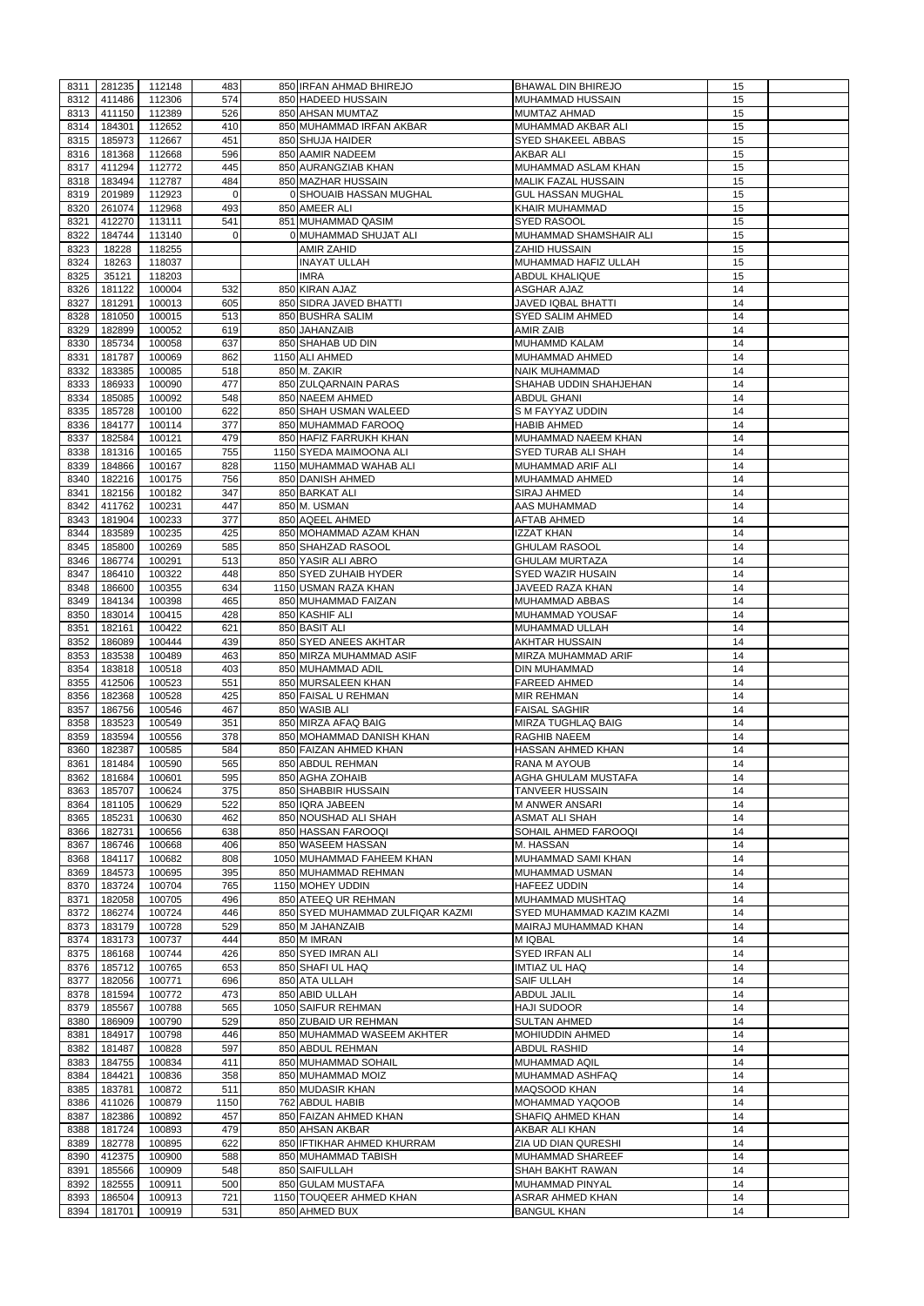| 8311         | 281235           | 112148             | 483         | 850 IRFAN AHMAD BHIREJO          | <b>BHAWAL DIN BHIREJO</b>                     | 15       |  |
|--------------|------------------|--------------------|-------------|----------------------------------|-----------------------------------------------|----------|--|
|              |                  |                    |             |                                  |                                               |          |  |
| 8312         | 411486           | 112306             | 574         | 850 HADEED HUSSAIN               | MUHAMMAD HUSSAIN                              | 15       |  |
| 8313         | 411150           | 112389             | 526         | 850 AHSAN MUMTAZ                 | <b>MUMTAZ AHMAD</b>                           | 15       |  |
| 8314         | 184301           | 112652             | 410         | 850 MUHAMMAD IRFAN AKBAR         | MUHAMMAD AKBAR ALI                            | 15       |  |
| 8315         | 185973           | 112667             | 451         | 850 SHUJA HAIDER                 | <b>SYED SHAKEEL ABBAS</b>                     | 15       |  |
| 8316         | 181368           | 112668             | 596         | 850 AAMIR NADEEM                 | AKBAR ALI                                     | 15       |  |
|              |                  |                    |             |                                  |                                               |          |  |
| 8317         | 411294           | 112772             | 445         | 850 AURANGZIAB KHAN              | MUHAMMAD ASLAM KHAN                           | 15       |  |
| 8318         | 183494           | 112787             | 484         | 850 MAZHAR HUSSAIN               | MALIK FAZAL HUSSAIN                           | 15       |  |
| 8319         | 201989           | 112923             | $\mathbf 0$ | 0 SHOUAIB HASSAN MUGHAL          | <b>GUL HASSAN MUGHAL</b>                      | 15       |  |
| 8320         | 261074           | 112968             | 493         | 850 AMEER ALI                    | KHAIR MUHAMMAD                                | 15       |  |
|              |                  |                    |             |                                  |                                               |          |  |
| 8321         | 412270           | 113111             | 541         | 851 MUHAMMAD QASIM               | <b>SYED RASOOL</b>                            | 15       |  |
| 8322         | 184744           | 113140             | $\Omega$    | 0 MUHAMMAD SHUJAT ALI            | MUHAMMAD SHAMSHAIR ALI                        | 15       |  |
| 8323         | 18228            | 118255             |             | <b>AMIR ZAHID</b>                | <b>ZAHID HUSSAIN</b>                          | 15       |  |
| 8324         | 18263            | 118037             |             | <b>INAYAT ULLAH</b>              | MUHAMMAD HAFIZ ULLAH                          | 15       |  |
|              |                  |                    |             |                                  |                                               |          |  |
| 8325         | 35121            | 118203             |             | <b>IMRA</b>                      | <b>ABDUL KHALIQUE</b>                         | 15       |  |
| 8326         | 181122           | 100004             | 532         | 850 KIRAN AJAZ                   | <b>ASGHAR AJAZ</b>                            | 14       |  |
| 8327         | 181291           | 100013             | 605         | 850 SIDRA JAVED BHATTI           | <b>JAVED IQBAL BHATTI</b>                     | 14       |  |
| 8328         | 181050           | 100015             | 513         | 850 BUSHRA SALIM                 | <b>SYED SALIM AHMED</b>                       | 14       |  |
|              |                  |                    |             |                                  |                                               |          |  |
| 8329         | 182899           | 100052             | 619         | 850 JAHANZAIB                    | <b>AMIR ZAIB</b>                              | 14       |  |
| 8330         | 185734           | 100058             | 637         | 850 SHAHAB UD DIN                | <b>MUHAMMD KALAM</b>                          | 14       |  |
| 8331         | 181787           | 100069             | 862         | 1150 ALI AHMED                   | MUHAMMAD AHMED                                | 14       |  |
| 8332         | 183385           | 100085             | 518         | 850 M. ZAKIR                     | <b>NAIK MUHAMMAD</b>                          | 14       |  |
|              |                  |                    |             |                                  |                                               |          |  |
| 8333         | 186933           | 100090             | 477         | 850 ZULQARNAIN PARAS             | SHAHAB UDDIN SHAHJEHAN                        | 14       |  |
| 8334         | 185085           | 100092             | 548         | 850 NAEEM AHMED                  | <b>ABDUL GHANI</b>                            | 14       |  |
| 8335         | 185728           | 100100             | 622         | 850 SHAH USMAN WALEED            | S M FAYYAZ UDDIN                              | 14       |  |
| 8336         | 184177           | 100114             | 377         | 850 MUHAMMAD FAROOQ              | HABIB AHMED                                   | 14       |  |
|              |                  |                    |             |                                  |                                               |          |  |
| 8337         | 182584           | 100121             | 479         | 850 HAFIZ FARRUKH KHAN           | MUHAMMAD NAEEM KHAN                           | 14       |  |
| 8338         | 181316           | 100165             | 755         | 1150 SYEDA MAIMOONA ALI          | SYED TURAB ALI SHAH                           | 14       |  |
| 8339         | 184866           | 100167             | 828         | 1150 MUHAMMAD WAHAB ALI          | MUHAMMAD ARIF ALI                             | 14       |  |
| 8340         | 182216           | 100175             | 756         | 850 DANISH AHMED                 | MUHAMMAD AHMED                                | 14       |  |
|              |                  |                    |             |                                  |                                               |          |  |
| 8341         | 182156           | 100182             | 347         | 850 BARKAT ALI                   | <b>SIRAJ AHMED</b>                            | 14       |  |
| 8342         | 411762           | 100231             | 447         | 850 M. USMAN                     | <b>AAS MUHAMMAD</b>                           | 14       |  |
| 8343         | 181904           | 100233             | 377         | 850 AQEEL AHMED                  | <b>AFTAB AHMED</b>                            | 14       |  |
| 8344         | 183589           | 100235             | 425         | 850 MOHAMMAD AZAM KHAN           | <b>IZZAT KHAN</b>                             | 14       |  |
|              |                  |                    |             |                                  |                                               |          |  |
| 8345         | 185800           | 100269             | 585         | 850 SHAHZAD RASOOL               | <b>GHULAM RASOOL</b>                          | 14       |  |
| 8346         | 186774           | 100291             | 513         | 850 YASIR ALI ABRO               | <b>GHULAM MURTAZA</b>                         | 14       |  |
| 8347         | 186410           | 100322             | 448         | 850 SYED ZUHAIB HYDER            | <b>SYED WAZIR HUSAIN</b>                      | 14       |  |
| 8348         | 186600           | 100355             | 634         | 1150 USMAN RAZA KHAN             | JAVEED RAZA KHAN                              | 14       |  |
|              |                  |                    |             |                                  |                                               |          |  |
| 8349         | 184134           | 100398             | 465         | 850 MUHAMMAD FAIZAN              | MUHAMMAD ABBAS                                | 14       |  |
| 8350         | 183014           | 100415             | 428         | 850 KASHIF ALI                   | MUHAMMAD YOUSAF                               | 14       |  |
| 8351         | 182161           | 100422             | 621         | 850 BASIT ALI                    | MUHAMMAD ULLAH                                | 14       |  |
| 8352         | 186089           | 100444             | 439         | 850 SYED ANEES AKHTAR            | <b>AKHTAR HUSSAIN</b>                         | 14       |  |
|              |                  |                    |             |                                  |                                               |          |  |
| 8353         | 183538           | 100489             | 463         | 850 MIRZA MUHAMMAD ASIF          | MIRZA MUHAMMAD ARIF                           | 14       |  |
| 8354         | 183818           | 100518             | 403         | 850 MUHAMMAD ADIL                | DIN MUHAMMAD                                  | 14       |  |
| 8355         | 412506           | 100523             | 551         | 850 MURSALEEN KHAN               | <b>FAREED AHMED</b>                           | 14       |  |
| 8356         | 182368           | 100528             | 425         | 850 FAISAL U REHMAN              | <b>MIR REHMAN</b>                             | 14       |  |
|              |                  |                    |             |                                  |                                               |          |  |
| 8357         | 186756           | 100546             | 467         | 850 WASIB ALI                    | <b>FAISAL SAGHIR</b>                          | 14       |  |
| 8358         | 183523           | 100549             | 351         | 850 MIRZA AFAQ BAIG              | <b>MIRZA TUGHLAQ BAIG</b>                     | 14       |  |
| 8359         | 183594           | 100556             | 378         | 850 MOHAMMAD DANISH KHAN         | <b>RAGHIB NAEEM</b>                           | 14       |  |
| 8360         | 182387           | 100585             |             | 850 FAIZAN AHMED KHAN            | HASSAN AHMED KHAN                             | 14       |  |
|              |                  |                    |             |                                  | RANA M AYOUB                                  |          |  |
| 8361         | 181484           |                    | 584         | 850 ABDUL REHMAN                 |                                               |          |  |
|              |                  | 100590             | 565         |                                  |                                               | 14       |  |
| 8362         | 181684           | 100601             | 595         | 850 AGHA ZOHAIB                  | AGHA GHULAM MUSTAFA                           | 14       |  |
| 8363         | 185707           | 100624             | 375         | 850 SHABBIR HUSSAIN              | <b>TANVEER HUSSAIN</b>                        | 14       |  |
|              |                  |                    |             |                                  |                                               | 14       |  |
| 8364         | 181105           | 100629             | 522         | 850 IQRA JABEEN                  | <b>M ANWER ANSARI</b>                         |          |  |
| 8365         | 185231           | 100630             | 462         | 850 NOUSHAD ALI SHAH             | <b>ASMAT ALI SHAH</b>                         | 14       |  |
| 8366         | 182731           | 100656             | 638         | 850 HASSAN FAROOQI               | SOHAIL AHMED FAROOQI                          | 14       |  |
| 8367         | 186746           | 100668             | 406         | 850 WASEEM HASSAN                | M. HASSAN                                     | 14       |  |
| 8368         | 184117           | 100682             | 808         | 1050 MUHAMMAD FAHEEM KHAN        | MUHAMMAD SAMI KHAN                            | 14       |  |
|              |                  |                    |             |                                  |                                               |          |  |
| 8369         | 184573           | 100695             | 395         | 850 MUHAMMAD REHMAN              | MUHAMMAD USMAN                                | 14       |  |
| 8370         | 183724           | 100704             | 765         | 1150 MOHEY UDDIN                 | <b>HAFEEZ UDDIN</b>                           | 14       |  |
| 8371         | 182058           | 100705             | 496         | 850 ATEEQ UR REHMAN              | MUHAMMAD MUSHTAQ                              | 14       |  |
| 8372         | 186274           | 100724             | 446         | 850 SYED MUHAMMAD ZULFIQAR KAZMI | SYED MUHAMMAD KAZIM KAZMI                     | 14       |  |
|              |                  |                    |             |                                  |                                               |          |  |
| 8373         | 183179           | 100728             | 529         | 850 M JAHANZAIB                  | MAIRAJ MUHAMMAD KHAN                          | 14       |  |
| 8374         | 183173           | 100737             | 444         | 850 M IMRAN                      | M IQBAL                                       | 14       |  |
| 8375         | 186168           | 100744             | 426         | 850 SYED IMRAN ALI               | <b>SYED IRFAN ALI</b>                         | 14       |  |
| 8376         | 185712           | 100765             | 653         | 850 SHAFI UL HAQ                 | <b>IMTIAZ UL HAQ</b>                          | 14       |  |
| 8377         |                  | 100771             | 696         | 850 ATA ULLAH                    | <b>SAIF ULLAH</b>                             | 14       |  |
|              | 182056           |                    |             |                                  |                                               |          |  |
| 8378         | 181594           | 100772             | 473         | 850 ABID ULLAH                   | <b>ABDUL JALIL</b>                            | 14       |  |
| 8379         | 185567           | 100788             | 565         | 1050 SAIFUR REHMAN               | <b>HAJI SUDOOR</b>                            | 14       |  |
| 8380         | 186909           | 100790             | 529         | 850 ZUBAID UR REHMAN             | <b>SULTAN AHMED</b>                           | 14       |  |
| 8381         | 184917           | 100798             | 446         |                                  | MOHIUDDIN AHMED                               | 14       |  |
|              |                  |                    |             | 850 MUHAMMAD WASEEM AKHTER       |                                               |          |  |
| 8382         | 181487           | 100828             | 597         | 850 ABDUL REHMAN                 | ABDUL RASHID                                  | 14       |  |
|              |                  | 8383 184755 100834 | 411         | 850 MUHAMMAD SOHAIL              | MUHAMMAD AQIL                                 | 14       |  |
| 8384         | 184421           | 100836             | 358         | 850 MUHAMMAD MOIZ                | MUHAMMAD ASHFAQ                               | 14       |  |
| 8385         |                  |                    |             | 850 MUDASIR KHAN                 | <b>MAQSOOD KHAN</b>                           |          |  |
|              | 183781           | 100872             | 511         |                                  |                                               | 14       |  |
| 8386         | 411026           | 100879             | 1150        | 762 ABDUL HABIB                  | MOHAMMAD YAQOOB                               | 14       |  |
| 8387         | 182386           | 100892             | 457         | 850 FAIZAN AHMED KHAN            | SHAFIQ AHMED KHAN                             | 14       |  |
| 8388         | 181724           | 100893             | 479         | 850 AHSAN AKBAR                  | AKBAR ALI KHAN                                | 14       |  |
| 8389         | 182778           |                    | 622         | 850 IFTIKHAR AHMED KHURRAM       | ZIA UD DIAN QURESHI                           | 14       |  |
|              |                  | 100895             |             |                                  |                                               |          |  |
| 8390         | 412375           | 100900             | 588         | 850 MUHAMMAD TABISH              | MUHAMMAD SHAREEF                              | 14       |  |
| 8391         | 185566           | 100909             | 548         | 850 SAIFULLAH                    | <b>SHAH BAKHT RAWAN</b>                       | 14       |  |
| 8392         | 182555           | 100911             | 500         | 850 GULAM MUSTAFA                | MUHAMMAD PINYAL                               | 14       |  |
|              |                  |                    |             | 1150 TOUQEER AHMED KHAN          |                                               |          |  |
| 8393<br>8394 | 186504<br>181701 | 100913<br>100919   | 721<br>531  | 850 AHMED BUX                    | <b>ASRAR AHMED KHAN</b><br><b>BANGUL KHAN</b> | 14<br>14 |  |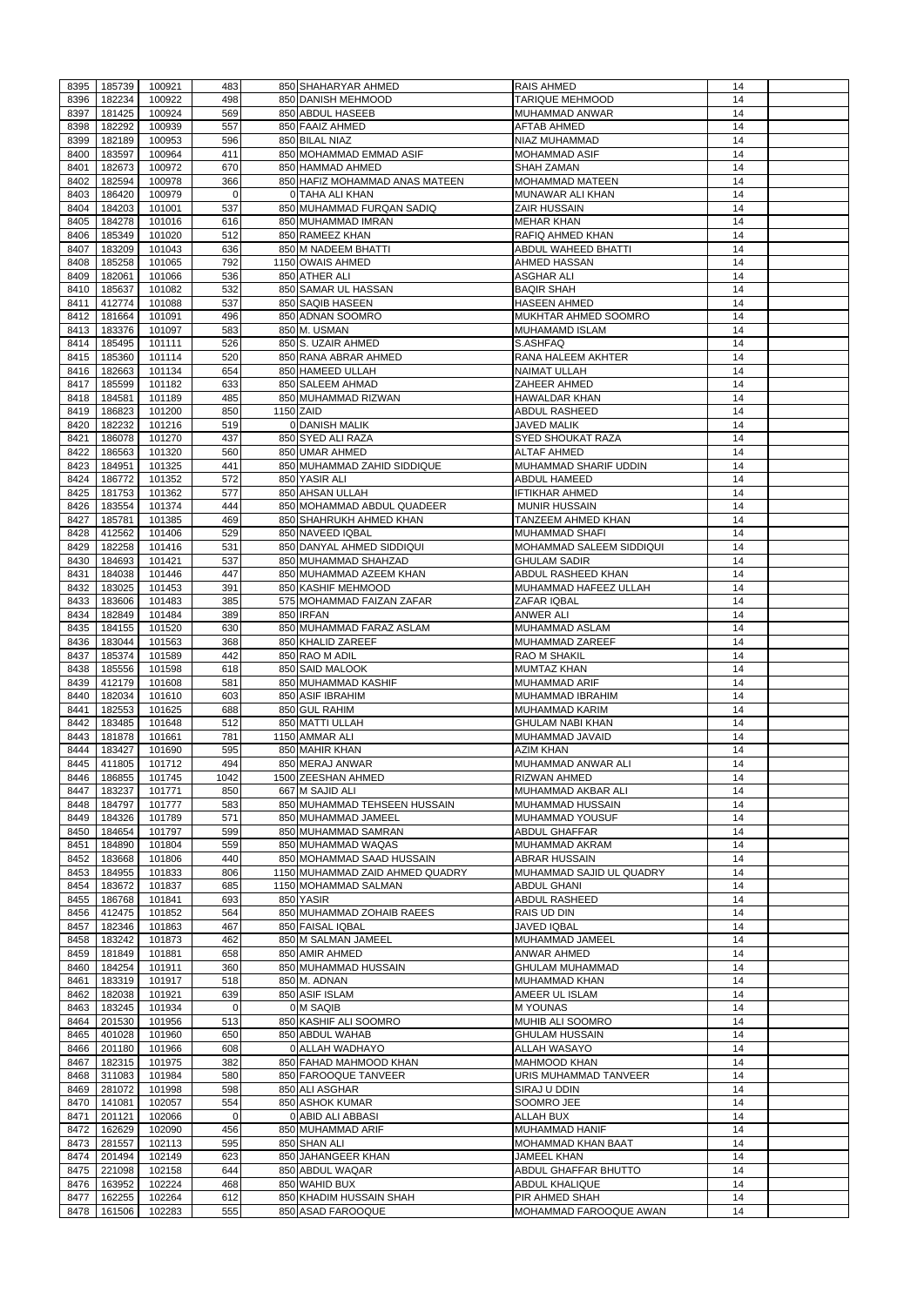| 8395         | 185739           | 100921           | 483         | 850 SHAHARYAR AHMED                          | <b>RAIS AHMED</b>                               | 14       |  |
|--------------|------------------|------------------|-------------|----------------------------------------------|-------------------------------------------------|----------|--|
|              |                  |                  |             |                                              |                                                 |          |  |
| 8396         | 182234           | 100922           | 498         | 850 DANISH MEHMOOD                           | <b>TARIQUE MEHMOOD</b>                          | 14       |  |
| 8397         | 181425           | 100924           | 569         | 850 ABDUL HASEEB                             | MUHAMMAD ANWAR                                  | 14       |  |
| 8398         | 182292           | 100939           | 557         | 850 FAAIZ AHMED                              | <b>AFTAB AHMED</b>                              | 14       |  |
| 8399         | 182189           | 100953           | 596         | 850 BILAL NIAZ                               | <b>NIAZ MUHAMMAD</b>                            | 14       |  |
| 8400         | 183597           | 100964           | 411         | 850 MOHAMMAD EMMAD ASIF                      | <b>MOHAMMAD ASIF</b>                            | 14       |  |
|              |                  |                  |             |                                              |                                                 |          |  |
| 8401         | 182673           | 100972           | 670         | 850 HAMMAD AHMED                             | <b>SHAH ZAMAN</b>                               | 14       |  |
| 8402         | 182594           | 100978           | 366         | 850 HAFIZ MOHAMMAD ANAS MATEEN               | <b>MOHAMMAD MATEEN</b>                          | 14       |  |
| 8403         | 186420           | 100979           | 0           | 0 TAHA ALI KHAN                              | <b>MUNAWAR ALI KHAN</b>                         | 14       |  |
| 8404         | 184203           | 101001           | 537         | 850 MUHAMMAD FURQAN SADIQ                    | <b>ZAIR HUSSAIN</b>                             | 14       |  |
|              |                  |                  |             |                                              |                                                 |          |  |
| 8405         | 184278           | 101016           | 616         | 850 MUHAMMAD IMRAN                           | <b>MEHAR KHAN</b>                               | 14       |  |
| 8406         | 185349           | 101020           | 512         | 850 RAMEEZ KHAN                              | <b>RAFIQ AHMED KHAN</b>                         | 14       |  |
| 8407         | 183209           | 101043           | 636         | 850 M NADEEM BHATTI                          | <b>ABDUL WAHEED BHATTI</b>                      | 14       |  |
| 8408         | 185258           | 101065           | 792         | 1150 OWAIS AHMED                             | <b>AHMED HASSAN</b>                             | 14       |  |
|              |                  |                  |             |                                              |                                                 |          |  |
| 8409         | 182061           | 101066           | 536         | 850 ATHER ALI                                | <b>ASGHAR ALI</b>                               | 14       |  |
| 8410         | 185637           | 101082           | 532         | 850 SAMAR UL HASSAN                          | <b>BAQIR SHAH</b>                               | 14       |  |
| 8411         | 412774           | 101088           | 537         | 850 SAQIB HASEEN                             | <b>HASEEN AHMED</b>                             | 14       |  |
| 8412         | 181664           | 101091           | 496         | 850 ADNAN SOOMRO                             | MUKHTAR AHMED SOOMRO                            | 14       |  |
|              |                  |                  |             |                                              |                                                 |          |  |
| 8413         | 183376           | 101097           | 583         | 850 M. USMAN                                 | <b>MUHAMAMD ISLAM</b>                           | 14       |  |
| 8414         | 185495           | 101111           | 526         | 850 S. UZAIR AHMED                           | S.ASHFAQ                                        | 14       |  |
| 8415         | 185360           | 101114           | 520         | 850 RANA ABRAR AHMED                         | <b>RANA HALEEM AKHTER</b>                       | 14       |  |
| 8416         | 182663           | 101134           | 654         | 850 HAMEED ULLAH                             | <b>NAIMAT ULLAH</b>                             | 14       |  |
|              |                  |                  |             |                                              |                                                 |          |  |
| 8417         | 185599           | 101182           | 633         | 850 SALEEM AHMAD                             | ZAHEER AHMED                                    | 14       |  |
| 8418         | 184581           | 101189           | 485         | 850 MUHAMMAD RIZWAN                          | <b>HAWALDAR KHAN</b>                            | 14       |  |
| 8419         | 186823           | 101200           | 850         | 1150 ZAID                                    | <b>ABDUL RASHEED</b>                            | 14       |  |
| 8420         | 182232           | 101216           | 519         | 0 DANISH MALIK                               | <b>JAVED MALIK</b>                              | 14       |  |
|              |                  |                  |             |                                              |                                                 |          |  |
| 8421         | 186078           | 101270           | 437         | 850 SYED ALI RAZA                            | <b>SYED SHOUKAT RAZA</b>                        | 14       |  |
| 8422         | 186563           | 101320           | 560         | 850 UMAR AHMED                               | <b>ALTAF AHMED</b>                              | 14       |  |
| 8423         | 184951           | 101325           | 441         | 850 MUHAMMAD ZAHID SIDDIQUE                  | MUHAMMAD SHARIF UDDIN                           | 14       |  |
| 8424         | 186772           | 101352           | 572         | 850 YASIR ALI                                | <b>ABDUL HAMEED</b>                             | 14       |  |
|              |                  |                  |             |                                              |                                                 |          |  |
| 8425         | 181753           | 101362           | 577         | 850 AHSAN ULLAH                              | <b>IFTIKHAR AHMED</b>                           | 14       |  |
| 8426         | 183554           | 101374           | 444         | 850 MOHAMMAD ABDUL QUADEER                   | <b>MUNIR HUSSAIN</b>                            | 14       |  |
| 8427         | 185781           | 101385           | 469         | 850 SHAHRUKH AHMED KHAN                      | <b>TANZEEM AHMED KHAN</b>                       | 14       |  |
| 8428         | 412562           | 101406           | 529         | 850 NAVEED IQBAL                             | <b>MUHAMMAD SHAFI</b>                           | 14       |  |
|              |                  |                  |             |                                              |                                                 |          |  |
| 8429         | 182258           | 101416           | 531         | 850 DANYAL AHMED SIDDIQUI                    | <b>MOHAMMAD SALEEM SIDDIQUI</b>                 | 14       |  |
| 8430         | 184693           | 101421           | 537         | 850 MUHAMMAD SHAHZAD                         | <b>GHULAM SADIR</b>                             | 14       |  |
| 8431         | 184038           | 101446           | 447         | 850 MUHAMMAD AZEEM KHAN                      | <b>ABDUL RASHEED KHAN</b>                       | 14       |  |
| 8432         | 183025           | 101453           | 391         | 850 KASHIF MEHMOOD                           | MUHAMMAD HAFEEZ ULLAH                           | 14       |  |
|              |                  |                  |             |                                              |                                                 |          |  |
| 8433         | 183606           | 101483           | 385         | 575 MOHAMMAD FAIZAN ZAFAR                    | <b>ZAFAR IQBAL</b>                              | 14       |  |
| 8434         | 182849           | 101484           | 389         | 850 IRFAN                                    | <b>ANWER ALI</b>                                | 14       |  |
| 8435         | 184155           | 101520           | 630         | 850 MUHAMMAD FARAZ ASLAM                     | MUHAMMAD ASLAM                                  | 14       |  |
| 8436         | 183044           | 101563           | 368         | 850 KHALID ZAREEF                            | MUHAMMAD ZAREEF                                 | 14       |  |
|              |                  |                  |             |                                              |                                                 |          |  |
| 8437         | 185374           | 101589           | 442         | 850 RAO M ADIL                               | RAO M SHAKIL                                    | 14       |  |
| 8438         | 185556           | 101598           | 618         | 850 SAID MALOOK                              | <b>MUMTAZ KHAN</b>                              | 14       |  |
| 8439         | 412179           | 101608           | 581         | 850 MUHAMMAD KASHIF                          | <b>MUHAMMAD ARIF</b>                            | 14       |  |
| 8440         | 182034           | 101610           | 603         | 850 ASIF IBRAHIM                             | MUHAMMAD IBRAHIM                                | 14       |  |
|              |                  |                  |             |                                              |                                                 |          |  |
| 8441         | 182553           | 101625           | 688         | 850 GUL RAHIM                                | MUHAMMAD KARIM                                  | 14       |  |
| 8442         | 183485           | 101648           | 512         | 850 MATTI ULLAH                              | <b>GHULAM NABI KHAN</b>                         | 14       |  |
| 8443         | 181878           | 101661           | 781         | 1150 AMMAR ALI                               | MUHAMMAD JAVAID                                 | 14       |  |
| 8444         | 183427           | 101690           | 595         | 850 MAHIR KHAN                               | <b>AZIM KHAN</b>                                | 14       |  |
|              |                  |                  |             |                                              |                                                 |          |  |
| 8445         | 411805           | 101712           | 494         | 850 MERAJ ANWAR                              | MUHAMMAD ANWAR ALI                              | 14       |  |
| 8446         | 186855           | 101745           | 1042        | 1500 ZEESHAN AHMED                           | RIZWAN AHMED                                    | 14       |  |
| 8447         | 183237           | 101771           | 850         | 667 M SAJID ALI                              | MUHAMMAD AKBAR ALI                              |          |  |
| 8448         | 184797           | 101777           | 583         |                                              |                                                 | 14       |  |
|              |                  |                  |             |                                              |                                                 |          |  |
| 8449         | 184326           | 101789           |             | 850 MUHAMMAD TEHSEEN HUSSAIN                 | MUHAMMAD HUSSAIN                                | 14       |  |
| 8450         | 184654           |                  | 571         | 850 MUHAMMAD JAMEEL                          | MUHAMMAD YOUSUF                                 | 14       |  |
| 8451         |                  | 101797           | 599         | 850 MUHAMMAD SAMRAN                          | <b>ABDUL GHAFFAR</b>                            | 14       |  |
|              | 184890           | 101804           | 559         | 850 MUHAMMAD WAQAS                           | <b>MUHAMMAD AKRAM</b>                           | 14       |  |
|              |                  |                  |             |                                              |                                                 |          |  |
| 8452         | 183668           | 101806           | 440         | 850 MOHAMMAD SAAD HUSSAIN                    | <b>ABRAR HUSSAIN</b>                            | 14       |  |
| 8453         | 184955           | 101833           | 806         | 1150 MUHAMMAD ZAID AHMED QUADRY              | MUHAMMAD SAJID UL QUADRY                        | 14       |  |
| 8454         | 183672           | 101837           | 685         | 1150 MOHAMMAD SALMAN                         | <b>ABDUL GHANI</b>                              | 14       |  |
| 8455         | 186768           | 101841           | 693         | 850 YASIR                                    | <b>ABDUL RASHEED</b>                            | 14       |  |
|              |                  |                  | 564         |                                              |                                                 |          |  |
| 8456         | 412475           | 101852           |             | 850 MUHAMMAD ZOHAIB RAEES                    | <b>RAIS UD DIN</b>                              | 14       |  |
| 8457         | 182346           | 101863           | 467         | 850 FAISAL IQBAL                             | <b>JAVED IQBAL</b>                              | 14       |  |
| 8458         | 183242           | 101873           | 462         | 850 M SALMAN JAMEEL                          | MUHAMMAD JAMEEL                                 | 14       |  |
| 8459         | 181849           | 101881           | 658         | 850 AMIR AHMED                               | <b>ANWAR AHMED</b>                              | 14       |  |
| 8460         | 184254           | 101911           | 360         | 850 MUHAMMAD HUSSAIN                         | <b>GHULAM MUHAMMAD</b>                          | 14       |  |
|              |                  |                  |             |                                              |                                                 |          |  |
| 8461         | 183319           | 101917           | 518         | 850 M. ADNAN                                 | <b>MUHAMMAD KHAN</b>                            | 14       |  |
| 8462         | 182038           | 101921           | 639         | 850 ASIF ISLAM                               | AMEER UL ISLAM                                  | 14       |  |
| 8463         | 183245           | 101934           | $\Omega$    | 0 M SAQIB                                    | <b>MYOUNAS</b>                                  | 14       |  |
| 8464         | 201530           | 101956           | 513         | 850 KASHIF ALI SOOMRO                        | <b>MUHIB ALI SOOMRO</b>                         | 14       |  |
|              |                  |                  |             |                                              |                                                 |          |  |
| 8465         | 401028           | 101960           | 650         | 850 ABDUL WAHAB                              | <b>GHULAM HUSSAIN</b>                           | 14       |  |
| 8466         | 201180           | 101966           | 608         | 0 ALLAH WADHAYO                              | ALLAH WASAYO                                    | 14       |  |
|              | 8467 182315      | 101975           | 382         | 850 FAHAD MAHMOOD KHAN                       | <b>MAHMOOD KHAN</b>                             | 14       |  |
| 8468         | 311083           | 101984           | 580         | 850 FAROOQUE TANVEER                         | URIS MUHAMMAD TANVEER                           | 14       |  |
|              |                  |                  |             |                                              |                                                 |          |  |
| 8469         | 281072           | 101998           | 598         | 850 ALI ASGHAR                               | SIRAJ U DDIN                                    | 14       |  |
| 8470         | 141081           | 102057           | 554         | 850 ASHOK KUMAR                              | SOOMRO JEE                                      | 14       |  |
| 8471         | 201121           | 102066           | $\mathbf 0$ | 0 ABID ALI ABBASI                            | <b>ALLAH BUX</b>                                | 14       |  |
| 8472         | 162629           | 102090           | 456         | 850 MUHAMMAD ARIF                            | MUHAMMAD HANIF                                  | 14       |  |
|              | 281557           |                  |             |                                              |                                                 |          |  |
| 8473         |                  | 102113           | 595         | 850 SHAN ALI                                 | <b>MOHAMMAD KHAN BAAT</b>                       | 14       |  |
| 8474         | 201494           | 102149           | 623         | 850 JAHANGEER KHAN                           | <b>JAMEEL KHAN</b>                              | 14       |  |
| 8475         | 221098           | 102158           | 644         | 850 ABDUL WAQAR                              | ABDUL GHAFFAR BHUTTO                            | 14       |  |
| 8476         | 163952           | 102224           | 468         | 850 WAHID BUX                                | <b>ABDUL KHALIQUE</b>                           | 14       |  |
|              |                  |                  |             |                                              |                                                 |          |  |
| 8477<br>8478 | 162255<br>161506 | 102264<br>102283 | 612<br>555  | 850 KHADIM HUSSAIN SHAH<br>850 ASAD FAROOQUE | <b>PIR AHMED SHAH</b><br>MOHAMMAD FAROOQUE AWAN | 14<br>14 |  |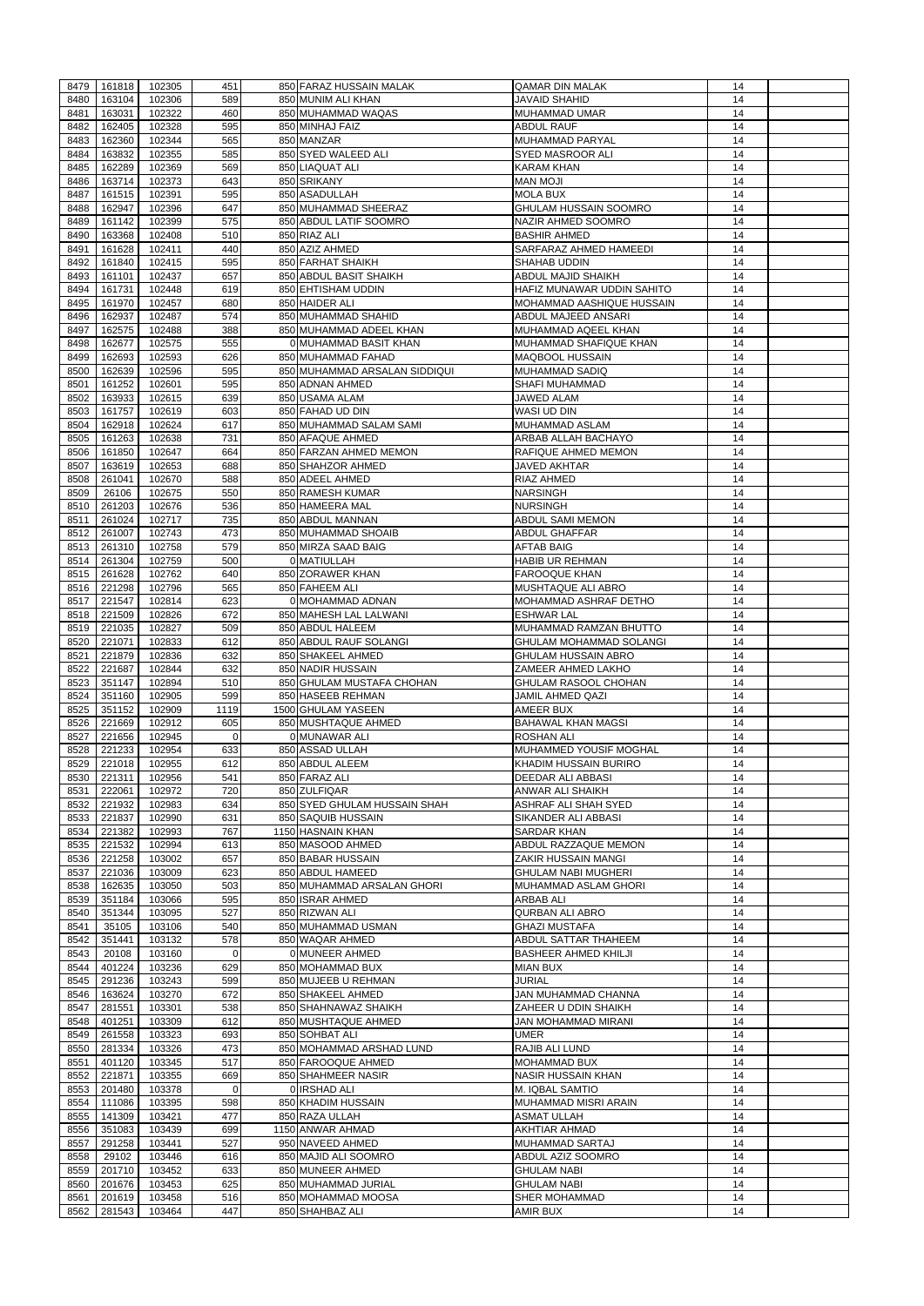|              | 161818           | 102305 | 451         | 850 FARAZ HUSSAIN MALAK               | <b>QAMAR DIN MALAK</b>           | 14 |  |
|--------------|------------------|--------|-------------|---------------------------------------|----------------------------------|----|--|
| 8479         |                  |        |             |                                       |                                  |    |  |
| 8480         | 163104           | 102306 | 589         | 850 MUNIM ALI KHAN                    | <b>JAVAID SHAHID</b>             | 14 |  |
| 8481         | 163031           | 102322 | 460         | 850 MUHAMMAD WAQAS                    | <b>MUHAMMAD UMAR</b>             | 14 |  |
| 8482         | 162405           | 102328 | 595         | 850 MINHAJ FAIZ                       | <b>ABDUL RAUF</b>                | 14 |  |
|              |                  |        |             |                                       |                                  |    |  |
| 8483         | 162360           | 102344 | 565         | 850 MANZAR                            | <b>MUHAMMAD PARYAL</b>           | 14 |  |
| 8484         | 163832           | 102355 | 585         | 850 SYED WALEED ALI                   | <b>SYED MASROOR ALI</b>          | 14 |  |
| 8485         | 162289           | 102369 | 569         | 850 LIAQUAT ALI                       | <b>KARAM KHAN</b>                | 14 |  |
| 8486         | 163714           | 102373 | 643         | 850 SRIKANY                           | <b>MAN MOJI</b>                  | 14 |  |
|              |                  |        |             |                                       |                                  |    |  |
| 8487         | 161515           | 102391 | 595         | 850 ASADULLAH                         | <b>MOLA BUX</b>                  | 14 |  |
| 8488         | 162947           | 102396 | 647         | 850 MUHAMMAD SHEERAZ                  | <b>GHULAM HUSSAIN SOOMRO</b>     | 14 |  |
| 8489         | 161142           | 102399 | 575         | 850 ABDUL LATIF SOOMRO                | NAZIR AHMED SOOMRO               | 14 |  |
|              |                  |        |             |                                       |                                  |    |  |
| 8490         | 163368           | 102408 | 510         | 850 RIAZ ALI                          | <b>BASHIR AHMED</b>              | 14 |  |
| 8491         | 161628           | 102411 | 440         | 850 AZIZ AHMED                        | SARFARAZ AHMED HAMEEDI           | 14 |  |
| 8492         | 161840           | 102415 | 595         | 850 FARHAT SHAIKH                     | <b>SHAHAB UDDIN</b>              | 14 |  |
| 8493         | 161101           | 102437 | 657         | 850 ABDUL BASIT SHAIKH                | <b>ABDUL MAJID SHAIKH</b>        | 14 |  |
|              |                  |        |             |                                       |                                  |    |  |
| 8494         | 161731           | 102448 | 619         | 850 EHTISHAM UDDIN                    | HAFIZ MUNAWAR UDDIN SAHITO       | 14 |  |
| 8495         | 161970           | 102457 | 680         | 850 HAIDER ALI                        | MOHAMMAD AASHIQUE HUSSAIN        | 14 |  |
| 8496         | 162937           | 102487 | 574         | 850 MUHAMMAD SHAHID                   | ABDUL MAJEED ANSARI              | 14 |  |
| 8497         | 162575           | 102488 | 388         | 850 MUHAMMAD ADEEL KHAN               | MUHAMMAD AQEEL KHAN              | 14 |  |
|              |                  |        |             |                                       |                                  |    |  |
| 8498         | 162677           | 102575 | 555         | O MUHAMMAD BASIT KHAN                 | MUHAMMAD SHAFIQUE KHAN           | 14 |  |
| 8499         | 162693           | 102593 | 626         | 850 MUHAMMAD FAHAD                    | <b>MAQBOOL HUSSAIN</b>           | 14 |  |
| 8500         | 162639           | 102596 | 595         | 850 MUHAMMAD ARSALAN SIDDIQUI         | <b>MUHAMMAD SADIQ</b>            | 14 |  |
|              |                  |        | 595         |                                       |                                  | 14 |  |
| 8501         | 161252           | 102601 |             | 850 ADNAN AHMED                       | SHAFI MUHAMMAD                   |    |  |
| 8502         | 163933           | 102615 | 639         | 850 USAMA ALAM                        | JAWED ALAM                       | 14 |  |
| 8503         | 161757           | 102619 | 603         | 850 FAHAD UD DIN                      | WASI UD DIN                      | 14 |  |
| 8504         | 162918           | 102624 | 617         | 850 MUHAMMAD SALAM SAMI               | <b>MUHAMMAD ASLAM</b>            | 14 |  |
|              |                  |        |             |                                       |                                  |    |  |
| 8505         | 161263           | 102638 | 731         | 850 AFAQUE AHMED                      | ARBAB ALLAH BACHAYO              | 14 |  |
| 8506         | 161850           | 102647 | 664         | 850 FARZAN AHMED MEMON                | RAFIQUE AHMED MEMON              | 14 |  |
| 8507         | 163619           | 102653 | 688         | 850 SHAHZOR AHMED                     | <b>JAVED AKHTAR</b>              | 14 |  |
|              | 261041           | 102670 | 588         |                                       |                                  | 14 |  |
| 8508         |                  |        |             | 850 ADEEL AHMED                       | <b>RIAZ AHMED</b>                |    |  |
| 8509         | 26106            | 102675 | 550         | 850 RAMESH KUMAR                      | <b>NARSINGH</b>                  | 14 |  |
| 8510         | 261203           | 102676 | 536         | 850 HAMEERA MAL                       | <b>NURSINGH</b>                  | 14 |  |
| 8511         | 261024           | 102717 | 735         | 850 ABDUL MANNAN                      | <b>ABDUL SAMI MEMON</b>          | 14 |  |
|              |                  |        |             |                                       |                                  |    |  |
| 8512         | 261007           | 102743 | 473         | 850 MUHAMMAD SHOAIB                   | <b>ABDUL GHAFFAR</b>             | 14 |  |
| 8513         | 261310           | 102758 | 579         | 850 MIRZA SAAD BAIG                   | <b>AFTAB BAIG</b>                | 14 |  |
| 8514         | 261304           | 102759 | 500         | 0 MATIULLAH                           | <b>HABIB UR REHMAN</b>           | 14 |  |
| 8515         | 261628           | 102762 | 640         | 850 ZORAWER KHAN                      | <b>FAROOQUE KHAN</b>             | 14 |  |
|              |                  |        |             |                                       |                                  |    |  |
| 8516         | 221298           | 102796 | 565         | 850 FAHEEM ALI                        | <b>MUSHTAQUE ALI ABRO</b>        | 14 |  |
| 8517         | 221547           | 102814 | 623         | 0 MOHAMMAD ADNAN                      | <b>MOHAMMAD ASHRAF DETHO</b>     | 14 |  |
| 8518         | 221509           | 102826 | 672         | 850 MAHESH LAL LALWANI                | <b>ESHWAR LAL</b>                | 14 |  |
|              |                  |        |             |                                       |                                  |    |  |
| 8519         | 221035           | 102827 | 509         | 850 ABDUL HALEEM                      | MUHAMMAD RAMZAN BHUTTO           | 14 |  |
| 8520         | 221071           | 102833 | 612         | 850 ABDUL RAUF SOLANGI                | <b>GHULAM MOHAMMAD SOLANGI</b>   | 14 |  |
| 8521         | 221879           | 102836 | 632         | 850 SHAKEEL AHMED                     | <b>GHULAM HUSSAIN ABRO</b>       | 14 |  |
| 8522         | 221687           | 102844 | 632         | 850 NADIR HUSSAIN                     | ZAMEER AHMED LAKHO               | 14 |  |
|              |                  |        |             |                                       |                                  |    |  |
| 8523         | 351147           | 102894 | 510         | 850 GHULAM MUSTAFA CHOHAN             | <b>GHULAM RASOOL CHOHAN</b>      | 14 |  |
| 8524         | 351160           | 102905 | 599         | 850 HASEEB REHMAN                     | <b>JAMIL AHMED QAZI</b>          | 14 |  |
| 8525         | 351152           | 102909 | 1119        | 1500 GHULAM YASEEN                    | <b>AMEER BUX</b>                 | 14 |  |
|              |                  |        |             |                                       |                                  |    |  |
| 8526         | 221669           | 102912 | 605         | 850 MUSHTAQUE AHMED                   | <b>BAHAWAL KHAN MAGSI</b>        | 14 |  |
| 8527         | 221656           | 102945 | $\mathbf 0$ | 0 MUNAWAR ALI                         | <b>ROSHAN ALI</b>                | 14 |  |
| 8528         | 221233           | 102954 | 633         | 850 ASSAD ULLAH                       | MUHAMMED YOUSIF MOGHAL           | 14 |  |
| 8529         | 221018           | 102955 | 612         | 850 ABDUL ALEEM                       | <b>KHADIM HUSSAIN BURIRO</b>     | 14 |  |
|              |                  |        |             |                                       |                                  |    |  |
| 8530         | 221311           | 102956 | 541         | 850 FARAZ ALI                         | <b>DEEDAR ALI ABBASI</b>         | 14 |  |
| 8531         | 222061           | 102972 | 720         | 850 ZULFIQAR                          | <b>ANWAR ALI SHAIKH</b>          | 14 |  |
| 8532         | 221932           | 102983 | 634         | 850 SYED GHULAM HUSSAIN SHAH          | <b>ASHRAF ALI SHAH SYED</b>      | 14 |  |
| 8533         | 221837           | 102990 | 631         | 850 SAQUIB HUSSAIN                    | SIKANDER ALI ABBASI              | 14 |  |
|              |                  |        |             |                                       |                                  |    |  |
| 8534         | 221382           | 102993 | 767         | 1150 HASNAIN KHAN                     |                                  |    |  |
| 8535         | 221532           | 102994 | 613         |                                       | <b>SARDAR KHAN</b>               | 14 |  |
| 8536         | 221258           | 103002 |             | 850 MASOOD AHMED                      | ABDUL RAZZAQUE MEMON             | 14 |  |
| 8537         | 221036           |        |             |                                       |                                  |    |  |
|              |                  |        | 657         | 850 BABAR HUSSAIN                     | ZAKIR HUSSAIN MANGI              | 14 |  |
|              |                  | 103009 | 623         | 850 ABDUL HAMEED                      | <b>GHULAM NABI MUGHERI</b>       | 14 |  |
| 8538         | 162635           | 103050 | 503         | 850 MUHAMMAD ARSALAN GHORI            | MUHAMMAD ASLAM GHORI             | 14 |  |
| 8539         | 351184           | 103066 | 595         | 850 ISRAR AHMED                       | <b>ARBAB ALI</b>                 | 14 |  |
| 8540         | 351344           | 103095 | 527         | 850 RIZWAN ALI                        | <b>QURBAN ALI ABRO</b>           | 14 |  |
|              |                  |        |             |                                       |                                  |    |  |
| 8541         | 35105            | 103106 | 540         | 850 MUHAMMAD USMAN                    | <b>GHAZI MUSTAFA</b>             | 14 |  |
| 8542         | 351441           | 103132 | 578         | 850 WAQAR AHMED                       | ABDUL SATTAR THAHEEM             | 14 |  |
| 8543         | 20108            | 103160 | $\mathbf 0$ | 0 MUNEER AHMED                        | <b>BASHEER AHMED KHILJI</b>      | 14 |  |
|              | 401224           |        |             |                                       |                                  |    |  |
| 8544         |                  | 103236 | 629         | 850 MOHAMMAD BUX                      | <b>MIAN BUX</b>                  | 14 |  |
| 8545         | 291236           | 103243 | 599         | 850 MUJEEB U REHMAN                   | <b>JURIAL</b>                    | 14 |  |
| 8546         | 163624           | 103270 | 672         | 850 SHAKEEL AHMED                     | JAN MUHAMMAD CHANNA              | 14 |  |
| 8547         | 281551           | 103301 | 538         | 850 SHAHNAWAZ SHAIKH                  | ZAHEER U DDIN SHAIKH             | 14 |  |
|              |                  |        |             |                                       |                                  | 14 |  |
| 8548         | 401251           | 103309 | 612         | 850 MUSHTAQUE AHMED                   | JAN MOHAMMAD MIRANI              |    |  |
| 8549         | 261558           | 103323 | 693         | 850 SOHBAT ALI                        | <b>UMER</b>                      | 14 |  |
| 8550         | 281334           | 103326 | 473         | 850 MOHAMMAD ARSHAD LUND              | RAJIB ALI LUND                   | 14 |  |
|              | 8551 401120      | 103345 | 517         | 850 FAROOQUE AHMED                    | <b>MOHAMMAD BUX</b>              | 14 |  |
|              |                  |        |             |                                       |                                  |    |  |
| 8552         | 221871           | 103355 | 669         | 850 SHAHMEER NASIR                    | <b>NASIR HUSSAIN KHAN</b>        | 14 |  |
| 8553         | 201480           | 103378 | 0           | 0 IRSHAD ALI                          | M. IQBAL SAMTIO                  | 14 |  |
| 8554         | 111086           | 103395 | 598         | 850 KHADIM HUSSAIN                    | MUHAMMAD MISRI ARAIN             | 14 |  |
|              | 141309           |        | 477         | 850 RAZA ULLAH                        | <b>ASMAT ULLAH</b>               | 14 |  |
| 8555         |                  | 103421 |             |                                       |                                  |    |  |
| 8556         | 351083           | 103439 | 699         | 1150 ANWAR AHMAD                      | <b>AKHTIAR AHMAD</b>             | 14 |  |
| 8557         | 291258           | 103441 | 527         | 950 NAVEED AHMED                      | <b>MUHAMMAD SARTAJ</b>           | 14 |  |
| 8558         | 29102            | 103446 | 616         | 850 MAJID ALI SOOMRO                  | ABDUL AZIZ SOOMRO                | 14 |  |
|              |                  |        |             |                                       |                                  |    |  |
| 8559         | 201710           | 103452 | 633         | 850 MUNEER AHMED                      | <b>GHULAM NABI</b>               | 14 |  |
| 8560         | 201676           | 103453 | 625         | 850 MUHAMMAD JURIAL                   | <b>GHULAM NABI</b>               | 14 |  |
| 8561<br>8562 | 201619<br>281543 | 103458 | 516<br>447  | 850 MOHAMMAD MOOSA<br>850 SHAHBAZ ALI | <b>SHER MOHAMMAD</b><br>AMIR BUX | 14 |  |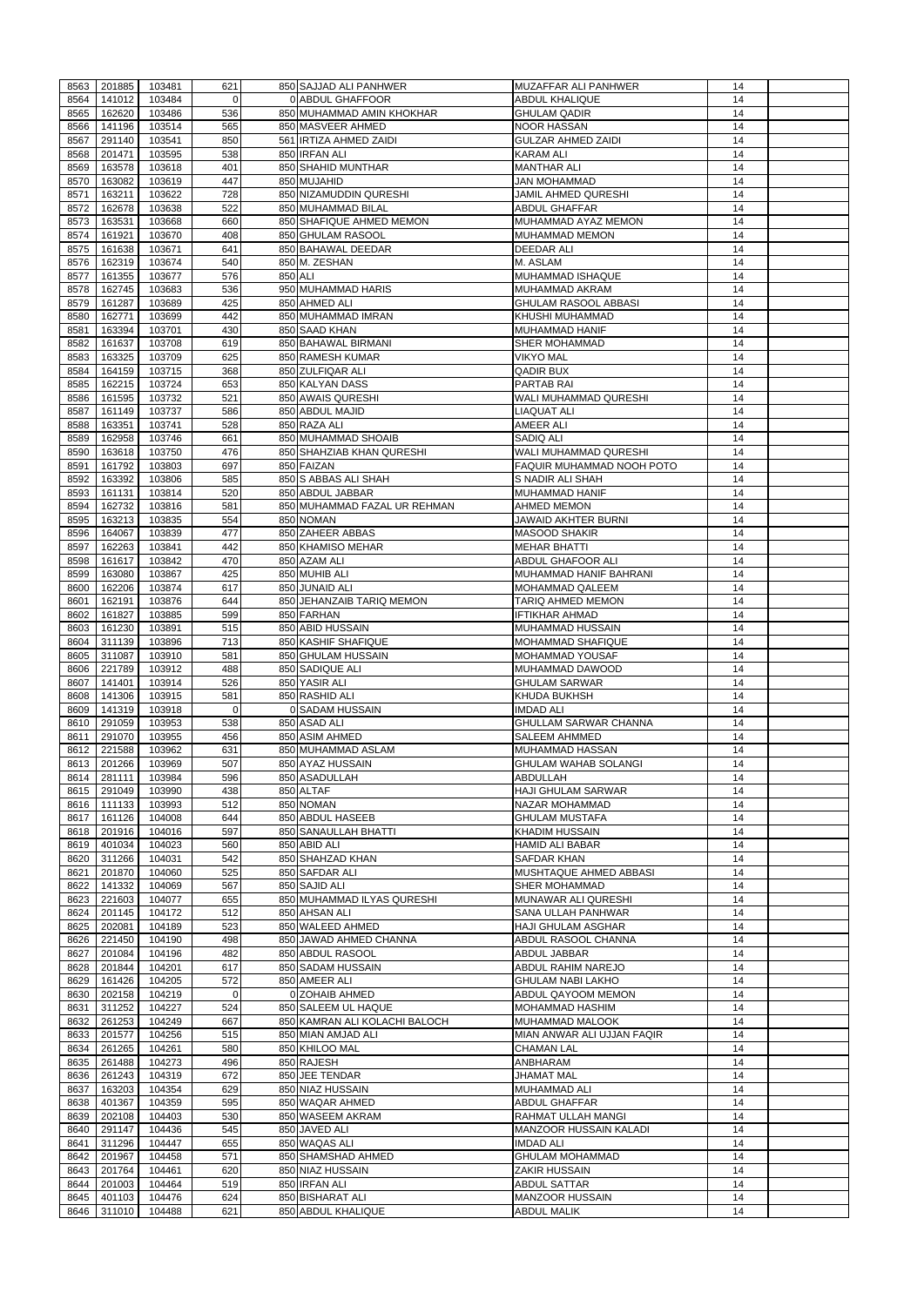| 8563         | 201885           | 103481           | 621        |         | 850 SAJJAD ALI PANHWER                 | MUZAFFAR ALI PANHWER                         | 14       |  |
|--------------|------------------|------------------|------------|---------|----------------------------------------|----------------------------------------------|----------|--|
|              |                  |                  |            |         |                                        |                                              |          |  |
| 8564         | 141012           | 103484           | $\Omega$   |         | 0 ABDUL GHAFFOOR                       | <b>ABDUL KHALIQUE</b>                        | 14       |  |
| 8565         | 162620           | 103486           | 536        |         | 850 MUHAMMAD AMIN KHOKHAR              | <b>GHULAM QADIR</b>                          | 14       |  |
| 8566         | 141196           | 103514           | 565        |         | 850 MASVEER AHMED                      | <b>NOOR HASSAN</b>                           | 14       |  |
|              |                  |                  |            |         |                                        |                                              |          |  |
| 8567         | 291140           | 103541           | 850        |         | 561 IRTIZA AHMED ZAIDI                 | <b>GULZAR AHMED ZAIDI</b>                    | 14       |  |
| 8568         | 201471           | 103595           | 538        |         | 850 IRFAN ALI                          | <b>KARAM ALI</b>                             | 14       |  |
| 8569         | 163578           | 103618           | 401        |         | 850 SHAHID MUNTHAR                     | <b>MANTHAR ALI</b>                           | 14       |  |
|              |                  |                  | 447        |         |                                        |                                              |          |  |
| 8570         | 163082           | 103619           |            |         | 850 MUJAHID                            | JAN MOHAMMAD                                 | 14       |  |
| 8571         | 163211           | 103622           | 728        |         | 850 NIZAMUDDIN QURESHI                 | <b>JAMIL AHMED QURESHI</b>                   | 14       |  |
| 8572         | 162678           | 103638           | 522        |         | 850 MUHAMMAD BILAL                     | <b>ABDUL GHAFFAR</b>                         | 14       |  |
| 8573         | 163531           | 103668           | 660        |         | 850 SHAFIQUE AHMED MEMON               | MUHAMMAD AYAZ MEMON                          | 14       |  |
|              |                  |                  |            |         |                                        |                                              |          |  |
| 8574         | 161921           | 103670           | 408        |         | 850 GHULAM RASOOL                      | <b>MUHAMMAD MEMON</b>                        | 14       |  |
| 8575         | 161638           | 103671           | 641        |         | 850 BAHAWAL DEEDAR                     | <b>DEEDAR ALI</b>                            | 14       |  |
| 8576         | 162319           | 103674           | 540        |         | 850 M. ZESHAN                          | M. ASLAM                                     | 14       |  |
|              |                  |                  |            |         |                                        |                                              |          |  |
| 8577         | 161355           | 103677           | 576        | 850 ALI |                                        | MUHAMMAD ISHAQUE                             | 14       |  |
| 8578         | 162745           | 103683           | 536        |         | 950 MUHAMMAD HARIS                     | MUHAMMAD AKRAM                               | 14       |  |
| 8579         | 161287           | 103689           | 425        |         | 850 AHMED ALI                          | <b>GHULAM RASOOL ABBASI</b>                  | 14       |  |
|              |                  |                  | 442        |         |                                        |                                              |          |  |
| 8580         | 162771           | 103699           |            |         | 850 MUHAMMAD IMRAN                     | KHUSHI MUHAMMAD                              | 14       |  |
| 8581         | 163394           | 103701           | 430        |         | 850 SAAD KHAN                          | <b>MUHAMMAD HANIF</b>                        | 14       |  |
| 8582         | 161637           | 103708           | 619        |         | 850 BAHAWAL BIRMANI                    | <b>SHER MOHAMMAD</b>                         | 14       |  |
| 8583         | 163325           | 103709           | 625        |         | 850 RAMESH KUMAR                       | <b>VIKYO MAL</b>                             | 14       |  |
|              |                  |                  |            |         |                                        |                                              |          |  |
| 8584         | 164159           | 103715           | 368        |         | 850 ZULFIQAR ALI                       | <b>QADIR BUX</b>                             | 14       |  |
| 8585         | 162215           | 103724           | 653        |         | 850 KALYAN DASS                        | <b>PARTAB RAI</b>                            | 14       |  |
| 8586         | 161595           | 103732           | 521        |         | 850 AWAIS QURESHI                      | WALI MUHAMMAD QURESHI                        | 14       |  |
|              |                  |                  |            |         |                                        |                                              |          |  |
| 8587         | 161149           | 103737           | 586        |         | 850 ABDUL MAJID                        | LIAQUAT ALI                                  | 14       |  |
| 8588         | 163351           | 103741           | 528        |         | 850 RAZA ALI                           | <b>AMEER ALI</b>                             | 14       |  |
| 8589         | 162958           | 103746           | 661        |         | 850 MUHAMMAD SHOAIB                    | <b>SADIQ ALI</b>                             | 14       |  |
|              |                  |                  |            |         |                                        |                                              |          |  |
| 8590         | 163618           | 103750           | 476        |         | 850 SHAHZIAB KHAN QURESHI              | WALI MUHAMMAD QURESHI                        | 14       |  |
| 8591         | 161792           | 103803           | 697        |         | 850 FAIZAN                             | FAQUIR MUHAMMAD NOOH POTO                    | 14       |  |
| 8592         | 163392           | 103806           | 585        |         | 850 S ABBAS ALI SHAH                   | S NADIR ALI SHAH                             | 14       |  |
|              |                  |                  |            |         |                                        |                                              |          |  |
| 8593         | 161131           | 103814           | 520        |         | 850 ABDUL JABBAR                       | MUHAMMAD HANIF                               | 14       |  |
| 8594         | 162732           | 103816           | 581        |         | 850 MUHAMMAD FAZAL UR REHMAN           | <b>AHMED MEMON</b>                           | 14       |  |
| 8595         | 163213           | 103835           | 554        |         | 850 NOMAN                              | <b>JAWAID AKHTER BURNI</b>                   | 14       |  |
|              |                  |                  |            |         |                                        |                                              |          |  |
| 8596         | 164067           | 103839           | 477        |         | 850 ZAHEER ABBAS                       | <b>MASOOD SHAKIR</b>                         | 14       |  |
| 8597         | 162263           | 103841           | 442        |         | 850 KHAMISO MEHAR                      | <b>MEHAR BHATTI</b>                          | 14       |  |
| 8598         | 161617           | 103842           | 470        |         | 850 AZAM ALI                           | <b>ABDUL GHAFOOR ALI</b>                     | 14       |  |
| 8599         | 163080           | 103867           | 425        |         | 850 MUHIB ALI                          | MUHAMMAD HANIF BAHRANI                       | 14       |  |
|              |                  |                  |            |         |                                        |                                              |          |  |
| 8600         | 162206           | 103874           | 617        |         | 850 JUNAID ALI                         | <b>MOHAMMAD QALEEM</b>                       | 14       |  |
| 8601         | 162191           | 103876           | 644        |         | 850 JEHANZAIB TARIQ MEMON              | TARIQ AHMED MEMON                            | 14       |  |
| 8602         | 161827           | 103885           | 599        |         | 850 FARHAN                             | <b>IFTIKHAR AHMAD</b>                        | 14       |  |
|              |                  |                  |            |         |                                        |                                              |          |  |
| 8603         | 161230           | 103891           | 515        |         | 850 ABID HUSSAIN                       | MUHAMMAD HUSSAIN                             | 14       |  |
| 8604         | 311139           | 103896           | 713        |         | 850 KASHIF SHAFIQUE                    | <b>MOHAMMAD SHAFIQUE</b>                     | 14       |  |
| 8605         | 311087           | 103910           | 581        |         | 850 GHULAM HUSSAIN                     | <b>MOHAMMAD YOUSAF</b>                       | 14       |  |
|              |                  |                  |            |         |                                        |                                              |          |  |
| 8606         | 221789           | 103912           | 488        |         | 850 SADIQUE ALI                        | MUHAMMAD DAWOOD                              | 14       |  |
| 8607         | 141401           | 103914           | 526        |         | 850 YASIR ALI                          | <b>GHULAM SARWAR</b>                         | 14       |  |
| 8608         | 141306           | 103915           | 581        |         | 850 RASHID ALI                         | <b>KHUDA BUKHSH</b>                          | 14       |  |
|              |                  |                  |            |         |                                        |                                              |          |  |
| 8609         | 141319           | 103918           | $\Omega$   |         | 0 SADAM HUSSAIN                        | <b>IMDAD ALI</b>                             | 14       |  |
| 8610         | 291059           | 103953           | 538        |         | 850 ASAD ALI                           | <b>GHULLAM SARWAR CHANNA</b>                 | 14       |  |
| 8611         | 291070           | 103955           | 456        |         | 850 ASIM AHMED                         | <b>SALEEM AHMMED</b>                         | 14       |  |
| 8612         | 221588           | 103962           | 631        |         | 850 MUHAMMAD ASLAM                     | <b>MUHAMMAD HASSAN</b>                       | 14       |  |
|              |                  |                  |            |         |                                        |                                              |          |  |
| 8613         | 201266           | 103969           | 507        |         | 850 AYAZ HUSSAIN                       | <b>GHULAM WAHAB SOLANGI</b>                  | 14       |  |
| 8614         | 281111           | 103984           |            |         |                                        |                                              |          |  |
| 8615         | 291049           |                  | 596        |         | 850 ASADULLAH                          | <b>ABDULLAH</b>                              | 14       |  |
|              |                  |                  |            |         |                                        |                                              |          |  |
| 8616         |                  | 103990           | 438        |         | 850 ALTAF                              | <b>HAJI GHULAM SARWAR</b>                    | 14       |  |
|              | 111133           | 103993           | 512        |         | 850 NOMAN                              | NAZAR MOHAMMAD                               | 14       |  |
| 8617         | 161126           | 104008           | 644        |         | 850 ABDUL HASEEB                       | <b>GHULAM MUSTAFA</b>                        | 14       |  |
| 8618         |                  |                  |            |         |                                        |                                              | 14       |  |
|              | 201916           | 104016           | 597        |         | 850 SANAULLAH BHATTI                   | <b>KHADIM HUSSAIN</b>                        |          |  |
| 8619         | 401034           | 104023           | 560        |         | 850 ABID ALI                           | <b>HAMID ALI BABAR</b>                       | 14       |  |
| 8620         | 311266           | 104031           | 542        |         | 850 SHAHZAD KHAN                       | <b>SAFDAR KHAN</b>                           | 14       |  |
| 8621         | 201870           | 104060           | 525        |         | 850 SAFDAR ALI                         | MUSHTAQUE AHMED ABBASI                       | 14       |  |
|              |                  |                  |            |         |                                        |                                              |          |  |
| 8622         | 141332           | 104069           | 567        |         | 850 SAJID ALI                          | <b>SHER MOHAMMAD</b>                         | 14       |  |
| 8623         | 221603           | 104077           | 655        |         | 850 MUHAMMAD ILYAS QURESHI             | MUNAWAR ALI QURESHI                          | 14       |  |
| 8624         | 201145           | 104172           | 512        |         | 850 AHSAN ALI                          | SANA ULLAH PANHWAR                           | 14       |  |
| 8625         | 202081           | 104189           | 523        |         | 850 WALEED AHMED                       | <b>HAJI GHULAM ASGHAR</b>                    | 14       |  |
|              |                  |                  |            |         |                                        |                                              |          |  |
| 8626         | 221450           | 104190           | 498        |         | 850 JAWAD AHMED CHANNA                 | ABDUL RASOOL CHANNA                          | 14       |  |
| 8627         | 201084           | 104196           | 482        |         | 850 ABDUL RASOOL                       | ABDUL JABBAR                                 | 14       |  |
| 8628         | 201844           | 104201           | 617        |         | 850 SADAM HUSSAIN                      | <b>ABDUL RAHIM NAREJO</b>                    | 14       |  |
|              |                  |                  |            |         |                                        |                                              |          |  |
| 8629         | 161426           | 104205           | 572        |         | 850 AMEER ALI                          | <b>GHULAM NABI LAKHO</b>                     | 14       |  |
| 8630         | 202158           | 104219           | $\Omega$   |         | 0 ZOHAIB AHMED                         | ABDUL QAYOOM MEMON                           | 14       |  |
| 8631         | 311252           | 104227           | 524        |         | 850 SALEEM UL HAQUE                    | <b>MOHAMMAD HASHIM</b>                       | 14       |  |
|              |                  |                  |            |         |                                        |                                              | 14       |  |
| 8632         | 261253           | 104249           | 667        |         | 850 KAMRAN ALI KOLACHI BALOCH          | MUHAMMAD MALOOK                              |          |  |
| 8633         | 201577           | 104256           | 515        |         | 850 MIAN AMJAD ALI                     | MIAN ANWAR ALI UJJAN FAQIR                   | 14       |  |
| 8634         | 261265           | 104261           | 580        |         | 850 KHILOO MAL                         | <b>CHAMAN LAL</b>                            | 14       |  |
|              |                  |                  |            |         |                                        |                                              |          |  |
|              | 8635 261488      | 104273           | 496        |         | 850 RAJESH                             | ANBHARAM                                     | 14       |  |
| 8636         | 261243           | 104319           | 672        |         | 850 JEE TENDAR                         | <b>JHAMAT MAL</b>                            | 14       |  |
| 8637         | 163203           | 104354           | 629        |         | 850 NIAZ HUSSAIN                       | MUHAMMAD ALI                                 | 14       |  |
| 8638         | 401367           |                  |            |         | 850 WAQAR AHMED                        | <b>ABDUL GHAFFAR</b>                         | 14       |  |
|              |                  | 104359           | 595        |         |                                        |                                              |          |  |
| 8639         | 202108           | 104403           | 530        |         | 850 WASEEM AKRAM                       | RAHMAT ULLAH MANGI                           | 14       |  |
| 8640         | 291147           | 104436           | 545        |         | 850 JAVED ALI                          | <b>MANZOOR HUSSAIN KALADI</b>                | 14       |  |
| 8641         | 311296           | 104447           | 655        |         | 850 WAQAS ALI                          | <b>IMDAD ALI</b>                             | 14       |  |
|              |                  |                  |            |         |                                        |                                              |          |  |
| 8642         | 201967           | 104458           | 571        |         | 850 SHAMSHAD AHMED                     | <b>GHULAM MOHAMMAD</b>                       | 14       |  |
| 8643         | 201764           | 104461           | 620        |         | 850 NIAZ HUSSAIN                       | <b>ZAKIR HUSSAIN</b>                         | 14       |  |
| 8644         | 201003           | 104464           | 519        |         | 850 IRFAN ALI                          | <b>ABDUL SATTAR</b>                          | 14       |  |
|              |                  |                  |            |         |                                        |                                              |          |  |
| 8645<br>8646 | 401103<br>311010 | 104476<br>104488 | 624<br>621 |         | 850 BISHARAT ALI<br>850 ABDUL KHALIQUE | <b>MANZOOR HUSSAIN</b><br><b>ABDUL MALIK</b> | 14<br>14 |  |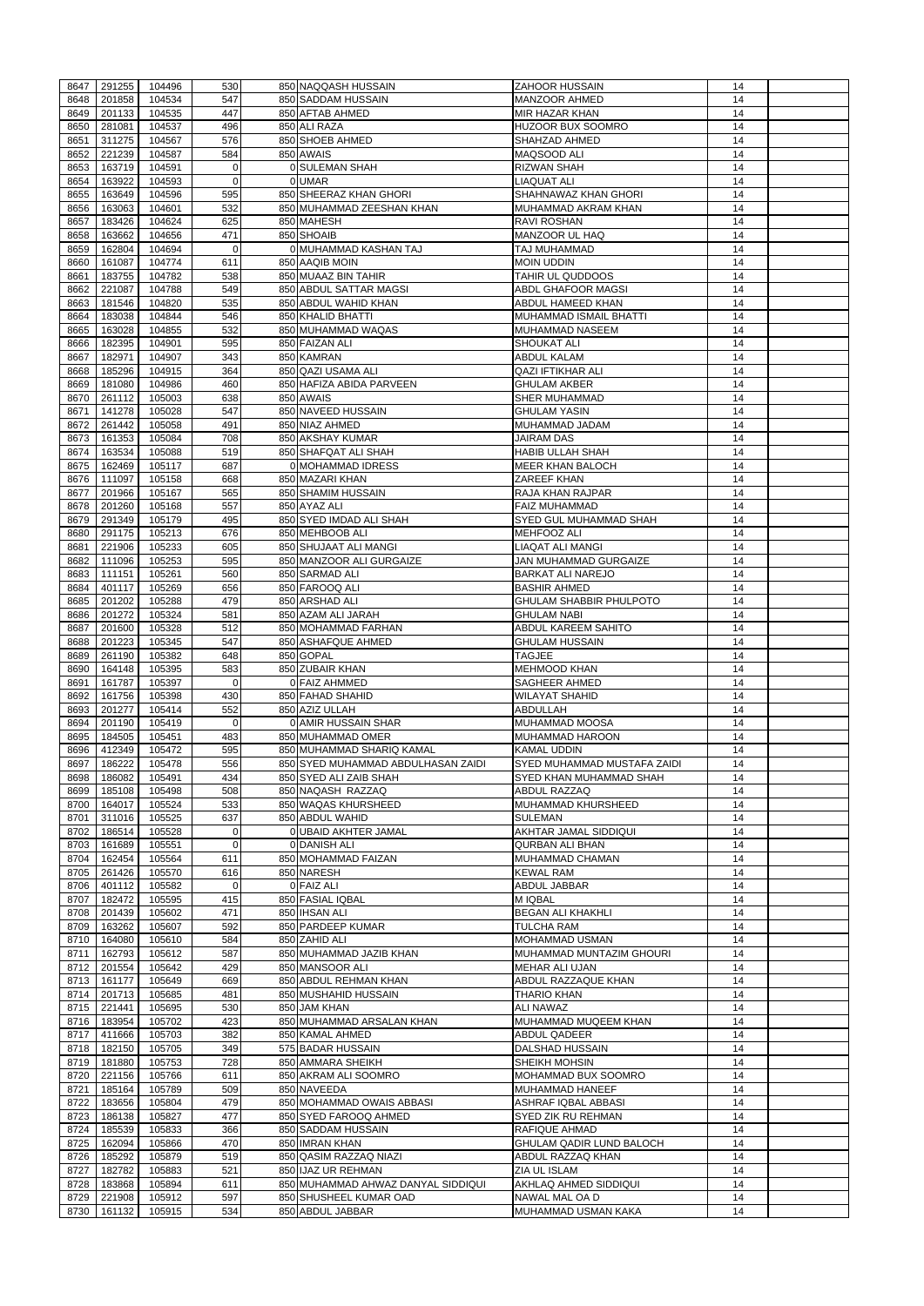| 8647         | 291255           | 104496           | 530            | 850 NAQQASH HUSSAIN                        | <b>ZAHOOR HUSSAIN</b>                 | 14       |  |
|--------------|------------------|------------------|----------------|--------------------------------------------|---------------------------------------|----------|--|
|              |                  |                  |                |                                            |                                       |          |  |
| 8648         | 201858           | 104534           | 547            | 850 SADDAM HUSSAIN                         | <b>MANZOOR AHMED</b>                  | 14       |  |
| 8649         | 201133           | 104535           | 447            | 850 AFTAB AHMED                            | <b>MIR HAZAR KHAN</b>                 | 14       |  |
| 8650         | 281081           | 104537           | 496            | 850 ALI RAZA                               | <b>HUZOOR BUX SOOMRO</b>              | 14       |  |
| 8651         | 311275           | 104567           | 576            | 850 SHOEB AHMED                            | SHAHZAD AHMED                         | 14       |  |
| 8652         | 221239           | 104587           | 584            | 850 AWAIS                                  | MAQSOOD ALI                           | 14       |  |
| 8653         | 163719           | 104591           |                | 0 SULEMAN SHAH                             | <b>RIZWAN SHAH</b>                    | 14       |  |
|              |                  |                  | $\mathbf 0$    |                                            |                                       |          |  |
| 8654         | 163922           | 104593           | $\overline{0}$ | 0 UMAR                                     | LIAQUAT ALI                           | 14       |  |
| 8655         | 163649           | 104596           | 595            | 850 SHEERAZ KHAN GHORI                     | <b>SHAHNAWAZ KHAN GHORI</b>           | 14       |  |
| 8656         | 163063           | 104601           | 532            | 850 MUHAMMAD ZEESHAN KHAN                  | MUHAMMAD AKRAM KHAN                   | 14       |  |
| 8657         | 183426           | 104624           | 625            | 850 MAHESH                                 | <b>RAVI ROSHAN</b>                    | 14       |  |
|              |                  |                  |                |                                            |                                       |          |  |
| 8658         | 163662           | 104656           | 471            | 850 SHOAIB                                 | MANZOOR UL HAQ                        | 14       |  |
| 8659         | 162804           | 104694           | $\Omega$       | 0 MUHAMMAD KASHAN TAJ                      | TAJ MUHAMMAD                          | 14       |  |
| 8660         | 161087           | 104774           | 611            | 850 AAQIB MOIN                             | <b>MOIN UDDIN</b>                     | 14       |  |
| 8661         | 183755           | 104782           | 538            | 850 MUAAZ BIN TAHIR                        | TAHIR UL QUDDOOS                      | 14       |  |
| 8662         | 221087           | 104788           | 549            | 850 ABDUL SATTAR MAGSI                     | <b>ABDL GHAFOOR MAGSI</b>             | 14       |  |
|              |                  |                  |                |                                            |                                       |          |  |
| 8663         | 181546           | 104820           | 535            | 850 ABDUL WAHID KHAN                       | ABDUL HAMEED KHAN                     | 14       |  |
| 8664         | 183038           | 104844           | 546            | 850 KHALID BHATTI                          | MUHAMMAD ISMAIL BHATTI                | 14       |  |
| 8665         | 163028           | 104855           | 532            | 850 MUHAMMAD WAQAS                         | <b>MUHAMMAD NASEEM</b>                | 14       |  |
| 8666         | 182395           | 104901           | 595            | 850 FAIZAN ALI                             | <b>SHOUKAT ALI</b>                    | 14       |  |
| 8667         | 182971           | 104907           | 343            | 850 KAMRAN                                 | <b>ABDUL KALAM</b>                    | 14       |  |
| 8668         | 185296           | 104915           | 364            | 850 QAZI USAMA ALI                         | <b>QAZI IFTIKHAR ALI</b>              | 14       |  |
|              |                  |                  |                |                                            |                                       |          |  |
| 8669         | 181080           | 104986           | 460            | 850 HAFIZA ABIDA PARVEEN                   | <b>GHULAM AKBER</b>                   | 14       |  |
| 8670         | 261112           | 105003           | 638            | 850 AWAIS                                  | <b>SHER MUHAMMAD</b>                  | 14       |  |
| 8671         | 141278           | 105028           | 547            | 850 NAVEED HUSSAIN                         | <b>GHULAM YASIN</b>                   | 14       |  |
| 8672         | 261442           | 105058           | 491            | 850 NIAZ AHMED                             | MUHAMMAD JADAM                        | 14       |  |
|              |                  |                  |                |                                            |                                       |          |  |
| 8673         | 161353           | 105084           | 708            | 850 AKSHAY KUMAR                           | <b>JAIRAM DAS</b>                     | 14       |  |
| 8674         | 163534           | 105088           | 519            | 850 SHAFQAT ALI SHAH                       | <b>HABIB ULLAH SHAH</b>               | 14       |  |
| 8675         | 162469           | 105117           | 687            | 0 MOHAMMAD IDRESS                          | <b>MEER KHAN BALOCH</b>               | 14       |  |
| 8676         | 111097           | 105158           | 668            | 850 MAZARI KHAN                            | ZAREEF KHAN                           | 14       |  |
| 8677         | 201966           | 105167           | 565            | 850 SHAMIM HUSSAIN                         | RAJA KHAN RAJPAR                      | 14       |  |
|              |                  |                  |                |                                            |                                       |          |  |
| 8678         | 201260           | 105168           | 557            | 850 AYAZ ALI                               | <b>FAIZ MUHAMMAD</b>                  | 14       |  |
| 8679         | 291349           | 105179           | 495            | 850 SYED IMDAD ALI SHAH                    | <b>SYED GUL MUHAMMAD SHAH</b>         | 14       |  |
| 8680         | 291175           | 105213           | 676            | 850 MEHBOOB ALI                            | <b>MEHFOOZ ALI</b>                    | 14       |  |
| 8681         | 221906           | 105233           | 605            | 850 SHUJAAT ALI MANGI                      | LIAQAT ALI MANGI                      | 14       |  |
| 8682         | 111096           | 105253           | 595            | 850 MANZOOR ALI GURGAIZE                   | <b>JAN MUHAMMAD GURGAIZE</b>          | 14       |  |
|              |                  |                  |                |                                            |                                       |          |  |
| 8683         | 111151           | 105261           | 560            | 850 SARMAD ALI                             | <b>BARKAT ALI NAREJO</b>              | 14       |  |
| 8684         | 401117           | 105269           | 656            | 850 FAROOQ ALI                             | <b>BASHIR AHMED</b>                   | 14       |  |
| 8685         | 201202           | 105288           | 479            | 850 ARSHAD ALI                             | <b>GHULAM SHABBIR PHULPOTO</b>        | 14       |  |
| 8686         | 201272           | 105324           | 581            | 850 AZAM ALI JARAH                         | <b>GHULAM NABI</b>                    | 14       |  |
|              |                  | 105328           | 512            | 850 MOHAMMAD FARHAN                        | <b>ABDUL KAREEM SAHITO</b>            |          |  |
| 8687         | 201600           |                  |                |                                            |                                       | 14       |  |
| 8688         | 201223           | 105345           | 547            | 850 ASHAFQUE AHMED                         | <b>GHULAM HUSSAIN</b>                 | 14       |  |
| 8689         | 261190           | 105382           | 648            | 850 GOPAL                                  | <b>TAGJEE</b>                         | 14       |  |
|              | 164148           | 105395           | 583            | 850 ZUBAIR KHAN                            | <b>MEHMOOD KHAN</b>                   | 14       |  |
|              |                  |                  |                |                                            |                                       |          |  |
| 8690         |                  |                  |                |                                            |                                       |          |  |
| 8691         | 161787           | 105397           | $\Omega$       | 0 FAIZ AHMMED                              | <b>SAGHEER AHMED</b>                  | 14       |  |
| 8692         | 161756           | 105398           | 430            | 850 FAHAD SHAHID                           | <b>WILAYAT SHAHID</b>                 | 14       |  |
| 8693         | 201277           | 105414           | 552            | 850 AZIZ ULLAH                             | <b>ABDULLAH</b>                       | 14       |  |
| 8694         | 201190           | 105419           | $\overline{0}$ | 0 AMIR HUSSAIN SHAR                        | MUHAMMAD MOOSA                        | 14       |  |
|              |                  |                  |                |                                            |                                       |          |  |
| 8695         | 184505           | 105451           | 483            | 850 MUHAMMAD OMER                          | MUHAMMAD HAROON                       | 14       |  |
| 8696         | 412349           | 105472           | 595            | 850 MUHAMMAD SHARIQ KAMAL                  | <b>KAMAL UDDIN</b>                    | 14       |  |
| 8697         | 186222           | 105478           | 556            | 850 SYED MUHAMMAD ABDULHASAN ZAIDI         | SYED MUHAMMAD MUSTAFA ZAIDI           | 14       |  |
| 8698         | 186082           | 105491           | 434            | 850 SYED ALI ZAIB SHAH                     | SYED KHAN MUHAMMAD SHAH               | 14       |  |
| 8699         | 185108           | 105498           | 508            | 850 NAQASH RAZZAQ                          | ABDUL RAZZAQ                          | 14       |  |
|              |                  |                  |                |                                            |                                       |          |  |
| 8700         | 164017           | 105524           | 533            | 850 WAQAS KHURSHEED                        | MUHAMMAD KHURSHEED                    | 14       |  |
| 8701         | 311016           | 105525           | 637            | 850 ABDUL WAHID                            | <b>SULEMAN</b>                        | 14       |  |
| 8702         | 186514           | 105528           | $\mathbf 0$    | 0 UBAID AKHTER JAMAL                       | AKHTAR JAMAL SIDDIQUI                 | 14       |  |
| 8703         | 161689           | 105551           | $\overline{0}$ | 0 DANISH ALI                               | <b>QURBAN ALI BHAN</b>                | 14       |  |
| 8704         | 162454           | 105564           | 611            | 850 MOHAMMAD FAIZAN                        | MUHAMMAD CHAMAN                       | 14       |  |
|              |                  |                  |                |                                            |                                       |          |  |
| 8705         | 261426           | 105570           | 616            | 850 NARESH                                 | <b>KEWAL RAM</b>                      | 14       |  |
| 8706         | 401112           | 105582           | $\mathbf 0$    | OF AIZ ALI                                 | ABDUL JABBAR                          | 14       |  |
| 8707         | 182472           | 105595           | 415            | 850 FASIAL IQBAL                           | <b>MIQBAL</b>                         | 14       |  |
| 8708         | 201439           | 105602           | 471            | 850 IHSAN ALI                              | <b>BEGAN ALI KHAKHLI</b>              | 14       |  |
| 8709         | 163262           | 105607           | 592            | 850 PARDEEP KUMAR                          | <b>TULCHA RAM</b>                     | 14       |  |
|              |                  |                  |                |                                            |                                       |          |  |
| 8710         | 164080           | 105610           | 584            | 850 ZAHID ALI                              | <b>MOHAMMAD USMAN</b>                 | 14       |  |
| 8711         | 162793           | 105612           | 587            | 850 MUHAMMAD JAZIB KHAN                    | MUHAMMAD MUNTAZIM GHOURI              | 14       |  |
| 8712         | 201554           | 105642           | 429            | 850 MANSOOR ALI                            | <b>MEHAR ALI UJAN</b>                 | 14       |  |
| 8713         | 161177           | 105649           | 669            | 850 ABDUL REHMAN KHAN                      | ABDUL RAZZAQUE KHAN                   | 14       |  |
|              |                  |                  |                | 850 MUSHAHID HUSSAIN                       | <b>THARIO KHAN</b>                    | 14       |  |
| 8714         | 201713           | 105685           | 481            |                                            |                                       |          |  |
| 8715         | 221441           | 105695           | 530            | 850 JAM KHAN                               | <b>ALI NAWAZ</b>                      | 14       |  |
| 8716         | 183954           | 105702           | 423            | 850 MUHAMMAD ARSALAN KHAN                  | MUHAMMAD MUQEEM KHAN                  | 14       |  |
| 8717         | 411666           | 105703           | 382            | 850 KAMAL AHMED                            | <b>ABDUL QADEER</b>                   | 14       |  |
| 8718         | 182150           | 105705           | 349            | 575 BADAR HUSSAIN                          | <b>DALSHAD HUSSAIN</b>                | 14       |  |
|              |                  |                  |                |                                            |                                       |          |  |
|              | 8719 181880      | 105753           | 728            | 850 AMMARA SHEIKH                          | SHEIKH MOHSIN                         | 14       |  |
| 8720         | 221156           | 105766           | 611            | 850 AKRAM ALI SOOMRO                       | <b>MOHAMMAD BUX SOOMRO</b>            | 14       |  |
| 8721         | 185164           | 105789           | 509            | 850 NAVEEDA                                | MUHAMMAD HANEEF                       | 14       |  |
| 8722         | 183656           | 105804           | 479            | 850 MOHAMMAD OWAIS ABBASI                  | ASHRAF IQBAL ABBASI                   | 14       |  |
| 8723         | 186138           | 105827           | 477            | 850 SYED FAROOQ AHMED                      | SYED ZIK RU REHMAN                    | 14       |  |
| 8724         |                  |                  |                | 850 SADDAM HUSSAIN                         |                                       |          |  |
|              | 185539           | 105833           | 366            |                                            | <b>RAFIQUE AHMAD</b>                  | 14       |  |
| 8725         | 162094           | 105866           | 470            | 850 IMRAN KHAN                             | <b>GHULAM QADIR LUND BALOCH</b>       | 14       |  |
| 8726         | 185292           | 105879           | 519            | 850 QASIM RAZZAQ NIAZI                     | ABDUL RAZZAQ KHAN                     | 14       |  |
| 8727         | 182782           | 105883           | 521            | 850 IJAZ UR REHMAN                         | ZIA UL ISLAM                          | 14       |  |
| 8728         | 183868           | 105894           | 611            | 850 MUHAMMAD AHWAZ DANYAL SIDDIQUI         | AKHLAQ AHMED SIDDIQUI                 | 14       |  |
|              |                  |                  |                |                                            |                                       |          |  |
| 8729<br>8730 | 221908<br>161132 | 105912<br>105915 | 597<br>534     | 850 SHUSHEEL KUMAR OAD<br>850 ABDUL JABBAR | NAWAL MAL OA D<br>MUHAMMAD USMAN KAKA | 14<br>14 |  |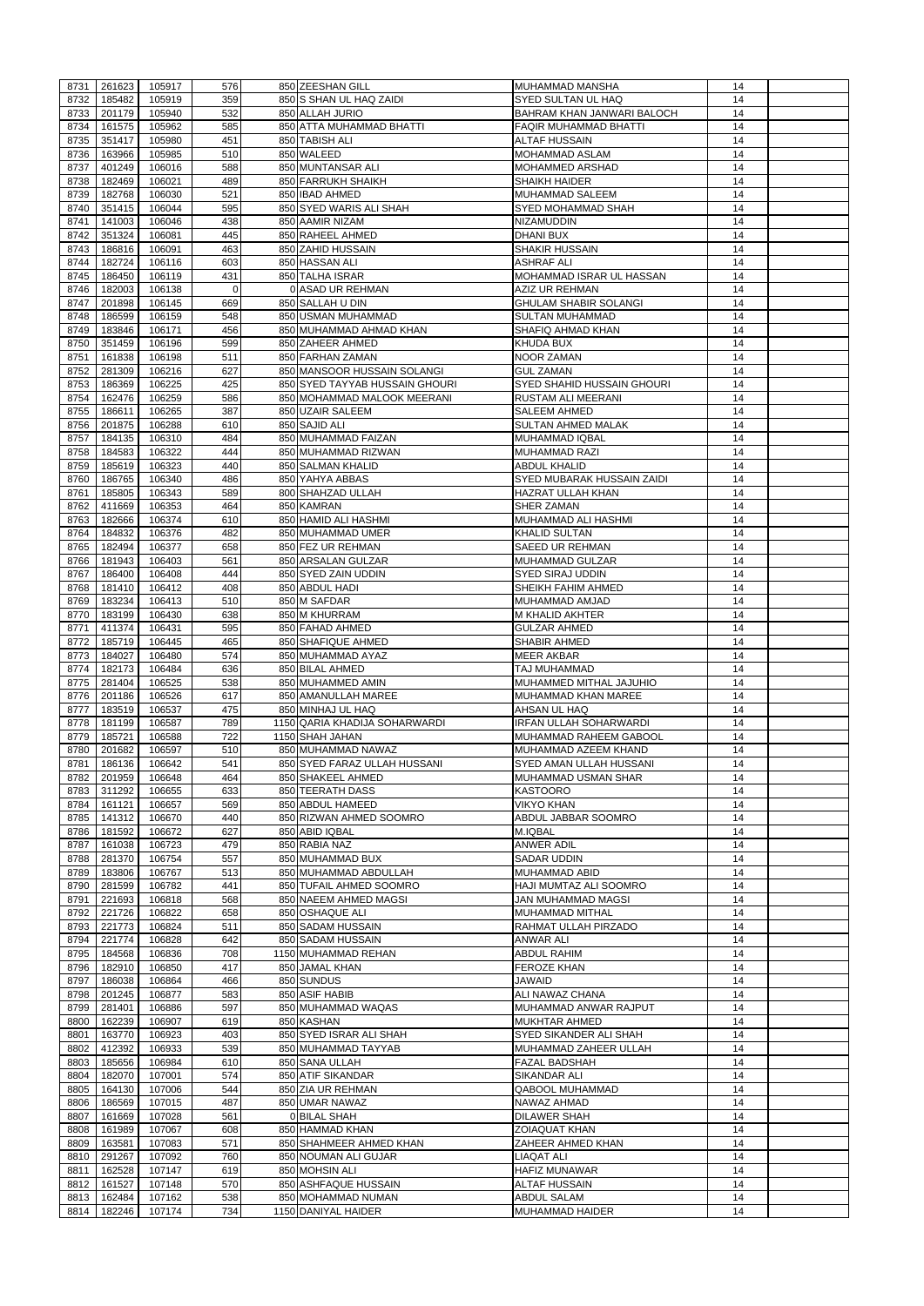| 8731         | 261623           | 105917             | 576        | 850 ZEESHAN GILL                       | MUHAMMAD MANSHA                            | 14       |  |
|--------------|------------------|--------------------|------------|----------------------------------------|--------------------------------------------|----------|--|
| 8732         | 185482           | 105919             | 359        | 850 S SHAN UL HAQ ZAIDI                | <b>SYED SULTAN UL HAQ</b>                  | 14       |  |
| 8733         | 201179           | 105940             | 532        | 850 ALLAH JURIO                        | BAHRAM KHAN JANWARI BALOCH                 | 14       |  |
| 8734         | 161575           | 105962             | 585        | 850 ATTA MUHAMMAD BHATTI               | <b>FAQIR MUHAMMAD BHATTI</b>               | 14       |  |
| 8735         | 351417           | 105980             | 451        | 850 TABISH ALI                         | <b>ALTAF HUSSAIN</b>                       | 14       |  |
| 8736         | 163966           | 105985             | 510        | 850 WALEED                             | MOHAMMAD ASLAM                             | 14       |  |
| 8737         | 401249           | 106016             | 588        | 850 MUNTANSAR ALI                      | <b>MOHAMMED ARSHAD</b>                     | 14       |  |
| 8738         | 182469           | 106021             | 489        | 850 FARRUKH SHAIKH                     | <b>SHAIKH HAIDER</b>                       | 14       |  |
| 8739         | 182768           | 106030             | 521        | 850 IBAD AHMED                         | MUHAMMAD SALEEM                            | 14       |  |
| 8740         | 351415           | 106044             | 595        | 850 SYED WARIS ALI SHAH                | SYED MOHAMMAD SHAH                         | 14       |  |
| 8741         | 141003           | 106046             | 438        | 850 AAMIR NIZAM                        | <b>NIZAMUDDIN</b>                          | 14       |  |
| 8742         | 351324           | 106081             | 445        | 850 RAHEEL AHMED                       | DHANI BUX                                  | 14       |  |
| 8743         | 186816           | 106091             | 463        | 850 ZAHID HUSSAIN                      | <b>SHAKIR HUSSAIN</b>                      | 14       |  |
| 8744         | 182724           | 106116             | 603<br>431 | 850 HASSAN ALI                         | <b>ASHRAF ALI</b>                          | 14       |  |
| 8745<br>8746 | 186450<br>182003 | 106119<br>106138   | $\Omega$   | 850 TALHA ISRAR<br>0 ASAD UR REHMAN    | MOHAMMAD ISRAR UL HASSAN<br>AZIZ UR REHMAN | 14<br>14 |  |
| 8747         | 201898           | 106145             | 669        | 850 SALLAH U DIN                       | <b>GHULAM SHABIR SOLANGI</b>               | 14       |  |
| 8748         | 186599           | 106159             | 548        | 850 USMAN MUHAMMAD                     | SULTAN MUHAMMAD                            | 14       |  |
| 8749         | 183846           | 106171             | 456        | 850 MUHAMMAD AHMAD KHAN                | SHAFIQ AHMAD KHAN                          | 14       |  |
| 8750         | 351459           | 106196             | 599        | 850 ZAHEER AHMED                       | KHUDA BUX                                  | 14       |  |
| 8751         | 161838           | 106198             | 511        | 850 FARHAN ZAMAN                       | <b>NOOR ZAMAN</b>                          | 14       |  |
| 8752         | 281309           | 106216             | 627        | 850 MANSOOR HUSSAIN SOLANGI            | <b>GUL ZAMAN</b>                           | 14       |  |
| 8753         | 186369           | 106225             | 425        | 850 SYED TAYYAB HUSSAIN GHOURI         | SYED SHAHID HUSSAIN GHOURI                 | 14       |  |
| 8754         | 162476           | 106259             | 586        | 850 MOHAMMAD MALOOK MEERANI            | RUSTAM ALI MEERANI                         | 14       |  |
| 8755         | 186611           | 106265             | 387        | 850 UZAIR SALEEM                       | <b>SALEEM AHMED</b>                        | 14       |  |
| 8756         | 201875           | 106288             | 610        | 850 SAJID ALI                          | SULTAN AHMED MALAK                         | 14       |  |
| 8757         | 184135           | 106310             | 484        | 850 MUHAMMAD FAIZAN                    | MUHAMMAD IQBAL                             | 14       |  |
| 8758         | 184583           | 106322             | 444        | 850 MUHAMMAD RIZWAN                    | <b>MUHAMMAD RAZI</b>                       | 14       |  |
| 8759         | 185619           | 106323             | 440        | 850 SALMAN KHALID                      | ABDUL KHALID                               | 14       |  |
| 8760         | 186765           | 106340             | 486        | 850 YAHYA ABBAS                        | SYED MUBARAK HUSSAIN ZAIDI                 | 14       |  |
| 8761         | 185805           | 106343             | 589        | 800 SHAHZAD ULLAH                      | HAZRAT ULLAH KHAN                          | 14       |  |
| 8762         | 411669           | 106353             | 464        | 850 KAMRAN                             | SHER ZAMAN                                 | 14       |  |
| 8763         | 182666           | 106374             | 610        | 850 HAMID ALI HASHMI                   | MUHAMMAD ALI HASHMI                        | 14       |  |
| 8764         | 184832           | 106376             | 482        | 850 MUHAMMAD UMER                      | <b>KHALID SULTAN</b>                       | 14       |  |
| 8765         | 182494           | 106377             | 658        | 850 FEZ UR REHMAN                      | SAEED UR REHMAN                            | 14       |  |
| 8766         | 181943           | 106403             | 561        | 850 ARSALAN GULZAR                     | MUHAMMAD GULZAR                            | 14       |  |
| 8767         | 186400           | 106408             | 444        | 850 SYED ZAIN UDDIN                    | <b>SYED SIRAJ UDDIN</b>                    | 14       |  |
| 8768         | 181410           | 106412             | 408        | 850 ABDUL HADI                         | SHEIKH FAHIM AHMED                         | 14       |  |
| 8769         | 183234           | 106413             | 510        | 850 M SAFDAR                           | MUHAMMAD AMJAD                             | 14       |  |
| 8770         | 183199           | 106430             | 638        | 850 M KHURRAM                          | M KHALID AKHTER                            | 14       |  |
| 8771         | 411374           | 106431             | 595        | 850 FAHAD AHMED                        | <b>GULZAR AHMED</b>                        | 14       |  |
| 8772         | 185719           | 106445             | 465        | 850 SHAFIQUE AHMED                     | SHABIR AHMED                               | 14       |  |
|              |                  |                    |            |                                        |                                            |          |  |
| 8773         | 184027           | 106480             | 574        | 850 MUHAMMAD AYAZ                      | <b>MEER AKBAR</b>                          | 14       |  |
| 8774         | 182173           | 106484             | 636        | 850 BILAL AHMED                        | TAJ MUHAMMAD                               | 14       |  |
| 8775         | 281404           | 106525             | 538        | 850 MUHAMMED AMIN                      | MUHAMMED MITHAL JAJUHIO                    | 14       |  |
| 8776         | 201186           | 106526             | 617        | 850 AMANULLAH MAREE                    | MUHAMMAD KHAN MAREE                        | 14       |  |
| 8777         | 183519           | 106537             | 475        | 850 MINHAJ UL HAQ                      | AHSAN UL HAQ                               | 14       |  |
| 8778         | 181199           | 106587             | 789        | 1150 QARIA KHADIJA SOHARWARDI          | <b>IRFAN ULLAH SOHARWARDI</b>              | 14       |  |
| 8779         | 185721           | 106588             | 722        | 1150 SHAH JAHAN                        | MUHAMMAD RAHEEM GABOOL                     | 14       |  |
| 8780         | 201682           | 106597             | 510        | 850 MUHAMMAD NAWAZ                     | MUHAMMAD AZEEM KHAND                       | 14       |  |
| 8781         | 186136           | 106642             | 541        | 850 SYED FARAZ ULLAH HUSSANI           | <b>SYED AMAN ULLAH HUSSANI</b>             | 14       |  |
| 8782         | 201959           | 106648             | 464        | 850 SHAKEEL AHMED                      | MUHAMMAD USMAN SHAR                        | 14       |  |
| 8783         | 311292           | 106655             | 633        | 850 TEERATH DASS                       | <b>KASTOORO</b>                            | 14       |  |
| 8784         | 161121           | 106657             | 569        | 850 ABDUL HAMEED                       | <b>VIKYO KHAN</b>                          | 14       |  |
| 8785         | 141312           | 106670             | 440        | 850 RIZWAN AHMED SOOMRO                | ABDUL JABBAR SOOMRO                        | 14       |  |
| 8786         | 181592           | 106672             | 627        | 850 ABID IQBAL                         | M.IQBAL                                    | 14       |  |
| 8787         | 161038           | 106723             | 479        | 850 RABIA NAZ                          | <b>ANWER ADIL</b>                          | 14       |  |
| 8788         | 281370           | 106754             | 557        | 850 MUHAMMAD BUX                       | SADAR UDDIN                                | 14       |  |
| 8789         | 183806           | 106767             | 513        | 850 MUHAMMAD ABDULLAH                  | MUHAMMAD ABID                              | 14       |  |
| 8790         | 281599           | 106782             | 441        | 850 TUFAIL AHMED SOOMRO                | HAJI MUMTAZ ALI SOOMRO                     | 14       |  |
| 8791         | 221693           | 106818             | 568        | 850 NAEEM AHMED MAGSI                  | JAN MUHAMMAD MAGSI                         | 14       |  |
| 8792         | 221726           | 106822             | 658        | 850 OSHAQUE ALI                        | MUHAMMAD MITHAL                            | 14       |  |
| 8793         | 221773           | 106824             | 511        | 850 SADAM HUSSAIN                      | RAHMAT ULLAH PIRZADO                       | 14       |  |
| 8794         | 221774           | 106828             | 642        | 850 SADAM HUSSAIN                      | <b>ANWAR ALI</b>                           | 14       |  |
| 8795         | 184568           | 106836             | 708        | 1150 MUHAMMAD REHAN                    | <b>ABDUL RAHIM</b>                         | 14       |  |
| 8796         | 182910           | 106850             | 417        | 850 JAMAL KHAN                         | <b>FEROZE KHAN</b>                         | 14       |  |
| 8797         | 186038           | 106864             | 466        | 850 SUNDUS                             | <b>JAWAID</b>                              | 14       |  |
| 8798         | 201245           | 106877             | 583        | 850 ASIF HABIB                         | ALI NAWAZ CHANA                            | 14       |  |
| 8799         | 281401           | 106886             | 597        | 850 MUHAMMAD WAQAS                     | MUHAMMAD ANWAR RAJPUT                      | 14       |  |
| 8800         | 162239           | 106907             | 619        | 850 KASHAN                             | <b>MUKHTAR AHMED</b>                       | 14       |  |
| 8801         | 163770           | 106923             | 403        | 850 SYED ISRAR ALI SHAH                | SYED SIKANDER ALI SHAH                     | 14       |  |
| 8802         | 412392           | 106933             | 539        | 850 MUHAMMAD TAYYAB                    | MUHAMMAD ZAHEER ULLAH                      | 14       |  |
|              |                  | 8803 185656 106984 | 610        | 850 SANA ULLAH                         | FAZAL BADSHAH                              | 14       |  |
| 8804         | 182070           | 107001             | 574        | 850 ATIF SIKANDAR                      | <b>SIKANDAR ALI</b>                        | 14       |  |
| 8805         | 164130           | 107006             | 544        | 850 ZIA UR REHMAN                      | QABOOL MUHAMMAD                            | 14       |  |
| 8806         | 186569           | 107015             | 487        | 850 UMAR NAWAZ                         | NAWAZ AHMAD<br>DILAWER SHAH                | 14       |  |
| 8807<br>8808 | 161669<br>161989 | 107028<br>107067   | 561<br>608 | 0 BILAL SHAH<br>850 HAMMAD KHAN        | <b>ZOIAQUAT KHAN</b>                       | 14<br>14 |  |
| 8809         | 163581           |                    | 571        | 850 SHAHMEER AHMED KHAN                | ZAHEER AHMED KHAN                          | 14       |  |
| 8810         |                  | 107083<br>107092   |            |                                        | LIAQAT ALI                                 | 14       |  |
| 8811         | 291267<br>162528 |                    | 760<br>619 | 850 NOUMAN ALI GUJAR<br>850 MOHSIN ALI | <b>HAFIZ MUNAWAR</b>                       | 14       |  |
| 8812         | 161527           | 107147             |            | 850 ASHFAQUE HUSSAIN                   | <b>ALTAF HUSSAIN</b>                       |          |  |
| 8813         | 162484           | 107148<br>107162   | 570<br>538 | 850 MOHAMMAD NUMAN                     | <b>ABDUL SALAM</b>                         | 14<br>14 |  |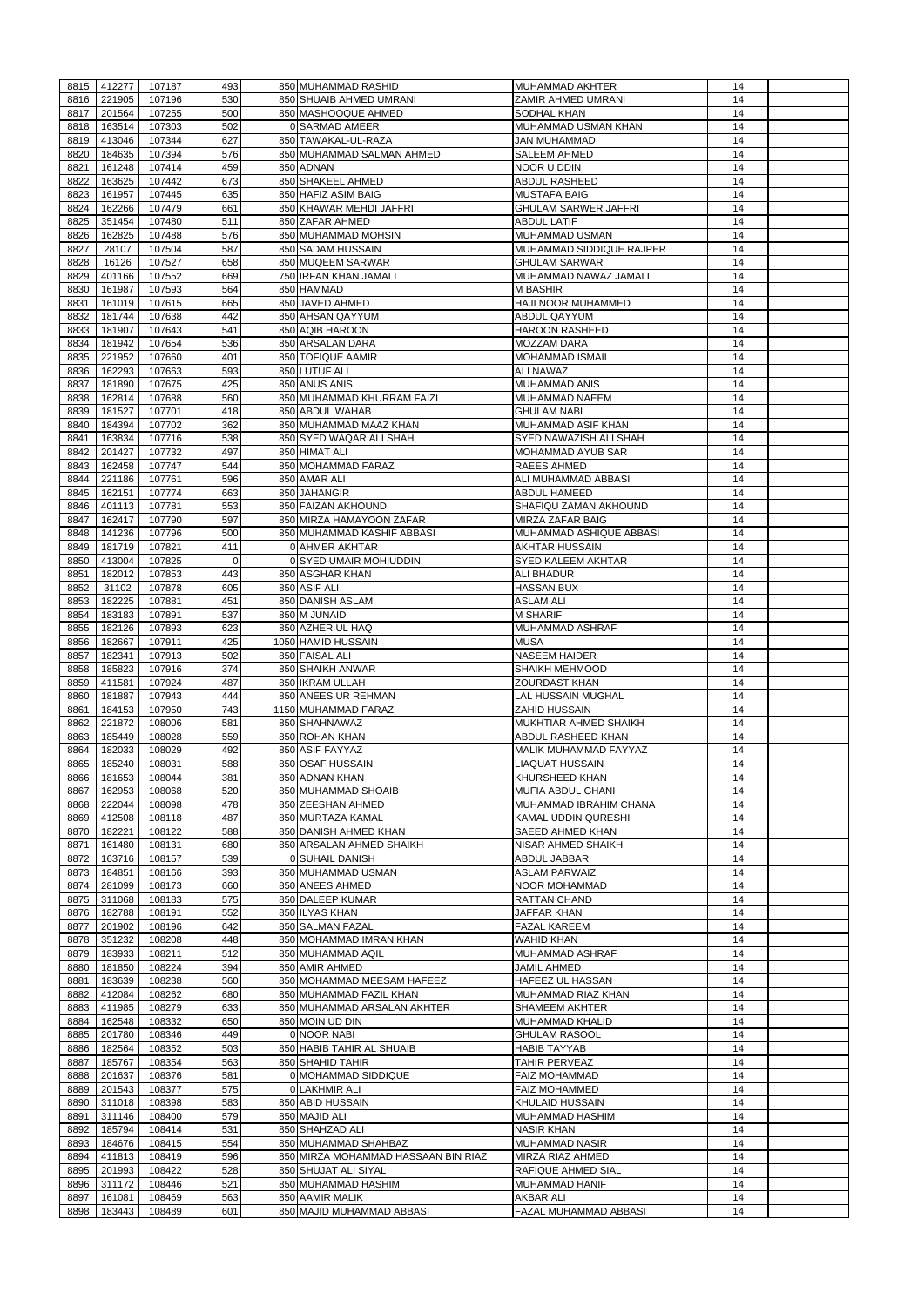| 8815         | 412277           | 107187           | 493        | 850 MUHAMMAD RASHID                          | <b>MUHAMMAD AKHTER</b>                    | 14       |  |
|--------------|------------------|------------------|------------|----------------------------------------------|-------------------------------------------|----------|--|
|              |                  |                  |            |                                              |                                           |          |  |
| 8816         | 221905           | 107196           | 530        | 850 SHUAIB AHMED UMRANI                      | <b>ZAMIR AHMED UMRANI</b>                 | 14       |  |
| 8817         | 201564           | 107255           | 500        | 850 MASHOOQUE AHMED                          | <b>SODHAL KHAN</b>                        | 14       |  |
| 8818         | 163514           | 107303           | 502        | 0 SARMAD AMEER                               | MUHAMMAD USMAN KHAN                       | 14       |  |
| 8819         | 413046           | 107344           | 627        | 850 TAWAKAL-UL-RAZA                          | <b>JAN MUHAMMAD</b>                       | 14       |  |
| 8820         | 184635           | 107394           | 576        | 850 MUHAMMAD SALMAN AHMED                    | <b>SALEEM AHMED</b>                       | 14       |  |
|              |                  |                  |            |                                              |                                           |          |  |
| 8821         | 161248           | 107414           | 459        | 850 ADNAN                                    | NOOR U DDIN                               | 14       |  |
| 8822         | 163625           | 107442           | 673        | 850 SHAKEEL AHMED                            | <b>ABDUL RASHEED</b>                      | 14       |  |
| 8823         | 161957           | 107445           | 635        | 850 HAFIZ ASIM BAIG                          | <b>MUSTAFA BAIG</b>                       | 14       |  |
| 8824         | 162266           | 107479           | 661        | 850 KHAWAR MEHDI JAFFRI                      | <b>GHULAM SARWER JAFFRI</b>               | 14       |  |
|              |                  |                  |            |                                              |                                           |          |  |
| 8825         | 351454           | 107480           | 511        | 850 ZAFAR AHMED                              | <b>ABDUL LATIF</b>                        | 14       |  |
| 8826         | 162825           | 107488           | 576        | 850 MUHAMMAD MOHSIN                          | MUHAMMAD USMAN                            | 14       |  |
| 8827         | 28107            | 107504           | 587        | 850 SADAM HUSSAIN                            | MUHAMMAD SIDDIQUE RAJPER                  | 14       |  |
| 8828         | 16126            | 107527           | 658        | 850 MUQEEM SARWAR                            | <b>GHULAM SARWAR</b>                      | 14       |  |
|              |                  |                  |            |                                              |                                           |          |  |
| 8829         | 401166           | 107552           | 669        | 750 IRFAN KHAN JAMALI                        | MUHAMMAD NAWAZ JAMALI                     | 14       |  |
| 8830         | 161987           | 107593           | 564        | 850 HAMMAD                                   | <b>M BASHIR</b>                           | 14       |  |
| 8831         | 161019           | 107615           | 665        | 850 JAVED AHMED                              | HAJI NOOR MUHAMMED                        | 14       |  |
|              |                  |                  | 442        | 850 AHSAN QAYYUM                             | <b>ABDUL QAYYUM</b>                       |          |  |
| 8832         | 181744           | 107638           |            |                                              |                                           | 14       |  |
| 8833         | 181907           | 107643           | 541        | 850 AQIB HAROON                              | <b>HAROON RASHEED</b>                     | 14       |  |
| 8834         | 181942           | 107654           | 536        | 850 ARSALAN DARA                             | <b>MOZZAM DARA</b>                        | 14       |  |
| 8835         | 221952           | 107660           | 401        | 850 TOFIQUE AAMIR                            | <b>MOHAMMAD ISMAIL</b>                    | 14       |  |
|              |                  |                  | 593        | 850 LUTUF ALI                                |                                           |          |  |
| 8836         | 162293           | 107663           |            |                                              | <b>ALI NAWAZ</b>                          | 14       |  |
| 8837         | 181890           | 107675           | 425        | 850 ANUS ANIS                                | <b>MUHAMMAD ANIS</b>                      | 14       |  |
| 8838         | 162814           | 107688           | 560        | 850 MUHAMMAD KHURRAM FAIZI                   | <b>MUHAMMAD NAEEM</b>                     | 14       |  |
| 8839         | 181527           | 107701           | 418        | 850 ABDUL WAHAB                              | <b>GHULAM NABI</b>                        | 14       |  |
|              |                  |                  |            |                                              |                                           |          |  |
| 8840         | 184394           | 107702           | 362        | 850 MUHAMMAD MAAZ KHAN                       | MUHAMMAD ASIF KHAN                        | 14       |  |
| 8841         | 163834           | 107716           | 538        | 850 SYED WAQAR ALI SHAH                      | SYED NAWAZISH ALI SHAH                    | 14       |  |
| 8842         | 201427           | 107732           | 497        | 850 HIMAT ALI                                | <b>MOHAMMAD AYUB SAR</b>                  | 14       |  |
| 8843         | 162458           | 107747           | 544        | 850 MOHAMMAD FARAZ                           | <b>RAEES AHMED</b>                        | 14       |  |
|              |                  |                  |            |                                              |                                           |          |  |
| 8844         | 221186           | 107761           | 596        | 850 AMAR ALI                                 | ALI MUHAMMAD ABBASI                       | 14       |  |
| 8845         | 162151           | 107774           | 663        | 850 JAHANGIR                                 | <b>ABDUL HAMEED</b>                       | 14       |  |
| 8846         | 401113           | 107781           | 553        | 850 FAIZAN AKHOUND                           | SHAFIQU ZAMAN AKHOUND                     | 14       |  |
| 8847         | 162417           | 107790           | 597        | 850 MIRZA HAMAYOON ZAFAR                     | <b>MIRZA ZAFAR BAIG</b>                   | 14       |  |
|              |                  |                  |            |                                              |                                           |          |  |
| 8848         | 141236           | 107796           | 500        | 850 MUHAMMAD KASHIF ABBASI                   | MUHAMMAD ASHIQUE ABBASI                   | 14       |  |
| 8849         | 181719           | 107821           | 411        | 0 AHMER AKHTAR                               | <b>AKHTAR HUSSAIN</b>                     | 14       |  |
| 8850         | 413004           | 107825           | οI         | 0 SYED UMAIR MOHIUDDIN                       | <b>SYED KALEEM AKHTAR</b>                 | 14       |  |
| 8851         | 182012           | 107853           | 443        | 850 ASGHAR KHAN                              | <b>ALI BHADUR</b>                         | 14       |  |
|              |                  |                  |            |                                              |                                           |          |  |
| 8852         | 31102            | 107878           | 605        | 850 ASIF ALI                                 | <b>HASSAN BUX</b>                         | 14       |  |
| 8853         | 182225           | 107881           | 451        | 850 DANISH ASLAM                             | <b>ASLAM ALI</b>                          | 14       |  |
| 8854         | 183183           | 107891           | 537        | 850 M JUNAID                                 | <b>M SHARIF</b>                           | 14       |  |
|              |                  |                  |            | 850 AZHER UL HAQ                             |                                           |          |  |
| 8855         | 182126           | 107893           | 623        |                                              | <b>MUHAMMAD ASHRAF</b>                    | 14       |  |
| 8856         | 182667           | 107911           | 425        | 1050 HAMID HUSSAIN                           | <b>MUSA</b>                               | 14       |  |
| 8857         | 182341           | 107913           | 502        | 850 FAISAL ALI                               | <b>NASEEM HAIDER</b>                      | 14       |  |
| 8858         | 185823           | 107916           | 374        | 850 SHAIKH ANWAR                             | <b>SHAIKH MEHMOOD</b>                     | 14       |  |
|              |                  |                  |            |                                              |                                           |          |  |
| 8859         | 411581           | 107924           | 487        | 850 IKRAM ULLAH                              | <b>ZOURDAST KHAN</b>                      | 14       |  |
| 8860         | 181887           | 107943           | 444        | 850 ANEES UR REHMAN                          | LAL HUSSAIN MUGHAL                        | 14       |  |
| 8861         | 184153           | 107950           | 743        | 1150 MUHAMMAD FARAZ                          | <b>ZAHID HUSSAIN</b>                      | 14       |  |
| 8862         | 221872           | 108006           | 581        | 850 SHAHNAWAZ                                | MUKHTIAR AHMED SHAIKH                     | 14       |  |
|              |                  |                  |            |                                              |                                           |          |  |
| 8863         | 185449           | 108028           | 559        | 850 ROHAN KHAN                               | ABDUL RASHEED KHAN                        | 14       |  |
| 8864         | 182033           | 108029           | 492        | 850 ASIF FAYYAZ                              | MALIK MUHAMMAD FAYYAZ                     | 14       |  |
| 8865         | 185240           | 108031           | 588        | 850 OSAF HUSSAIN                             | <b>LIAQUAT HUSSAIN</b>                    | 14       |  |
| 8866         | 181653           | 108044           | 381        | 850 ADNAN KHAN                               | <b>KHURSHEED KHAN</b>                     | 14       |  |
|              |                  |                  |            |                                              |                                           |          |  |
| 8867         | 162953           | 108068           | 520        | 850 MUHAMMAD SHOAIB                          | MUFIA ABDUL GHANI                         | 14       |  |
| 8868         | 222044           | 108098           | 478        | 850 ZEESHAN AHMED                            | MUHAMMAD IBRAHIM CHANA                    |          |  |
| 8869         | 412508           | 108118           | 487        |                                              |                                           | 14       |  |
| 8870         | 182221           | 108122           |            | 850 MURTAZA KAMAL                            | KAMAL UDDIN QURESHI                       | 14       |  |
|              |                  | 108131           |            |                                              |                                           |          |  |
| 8871         | 161480           |                  | 588        | 850 DANISH AHMED KHAN                        | <b>SAEED AHMED KHAN</b>                   | 14       |  |
| 8872         |                  |                  | 680        | 850 ARSALAN AHMED SHAIKH                     | NISAR AHMED SHAIKH                        | 14       |  |
| 8873         | 163716           | 108157           | 539        | 0 SUHAIL DANISH                              | ABDUL JABBAR                              | 14       |  |
|              | 184851           | 108166           | 393        | 850 MUHAMMAD USMAN                           | <b>ASLAM PARWAIZ</b>                      | 14       |  |
|              |                  |                  |            |                                              |                                           |          |  |
| 8874         | 281099           | 108173           | 660        | 850 ANEES AHMED                              | <b>NOOR MOHAMMAD</b>                      | 14       |  |
| 8875         | 311068           | 108183           | 575        | 850 DALEEP KUMAR                             | <b>RATTAN CHAND</b>                       | 14       |  |
| 8876         | 182788           | 108191           | 552        | 850 ILYAS KHAN                               | JAFFAR KHAN                               | 14       |  |
| 8877         | 201902           | 108196           | 642        | 850 SALMAN FAZAL                             | <b>FAZAL KAREEM</b>                       | 14       |  |
|              |                  |                  |            |                                              |                                           |          |  |
| 8878         | 351232           | 108208           | 448        | 850 MOHAMMAD IMRAN KHAN                      | <b>WAHID KHAN</b>                         | 14       |  |
| 8879         | 183933           | 108211           | 512        | 850 MUHAMMAD AQIL                            | <b>MUHAMMAD ASHRAF</b>                    | 14       |  |
| 8880         | 181850           | 108224           | 394        | 850 AMIR AHMED                               | <b>JAMIL AHMED</b>                        | 14       |  |
| 8881         | 183639           | 108238           | 560        | 850 MOHAMMAD MEESAM HAFEEZ                   | <b>HAFEEZ UL HASSAN</b>                   | 14       |  |
|              |                  |                  |            |                                              |                                           |          |  |
| 8882         | 412084           | 108262           | 680        | 850 MUHAMMAD FAZIL KHAN                      | MUHAMMAD RIAZ KHAN                        | 14       |  |
| 8883         | 411985           | 108279           | 633        | 850 MUHAMMAD ARSALAN AKHTER                  | <b>SHAMEEM AKHTER</b>                     | 14       |  |
| 8884         | 162548           | 108332           | 650        | 850 MOIN UD DIN                              | <b>MUHAMMAD KHALID</b>                    | 14       |  |
| 8885         | 201780           | 108346           | 449        | 0 NOOR NABI                                  | <b>GHULAM RASOOL</b>                      | 14       |  |
|              |                  |                  |            |                                              |                                           |          |  |
| 8886         | 182564           | 108352           | 503        | 850 HABIB TAHIR AL SHUAIB                    | <b>HABIB TAYYAB</b>                       | 14       |  |
|              | 8887 185767      | 108354           | 563        | 850 SHAHID TAHIR                             | <b>TAHIR PERVEAZ</b>                      | 14       |  |
| 8888         | 201637           | 108376           | 581        | 0 MOHAMMAD SIDDIQUE                          | <b>FAIZ MOHAMMAD</b>                      | 14       |  |
|              |                  |                  |            |                                              |                                           |          |  |
| 8889         | 201543           | 108377           | 575        | <b>OLAKHMIR ALI</b>                          | <b>FAIZ MOHAMMED</b>                      | 14       |  |
| 8890         | 311018           | 108398           | 583        | 850 ABID HUSSAIN                             | KHULAID HUSSAIN                           | 14       |  |
| 8891         | 311146           | 108400           | 579        | 850 MAJID ALI                                | MUHAMMAD HASHIM                           | 14       |  |
| 8892         | 185794           | 108414           | 531        | 850 SHAHZAD ALI                              | <b>NASIR KHAN</b>                         | 14       |  |
|              |                  |                  |            | 850 MUHAMMAD SHAHBAZ                         |                                           |          |  |
| 8893         | 184676           | 108415           | 554        |                                              | <b>MUHAMMAD NASIR</b>                     | 14       |  |
| 8894         | 411813           | 108419           | 596        | 850 MIRZA MOHAMMAD HASSAAN BIN RIAZ          | <b>MIRZA RIAZ AHMED</b>                   | 14       |  |
| 8895         | 201993           | 108422           | 528        | 850 SHUJAT ALI SIYAL                         | <b>RAFIQUE AHMED SIAL</b>                 | 14       |  |
| 8896         | 311172           | 108446           | 521        | 850 MUHAMMAD HASHIM                          | MUHAMMAD HANIF                            | 14       |  |
|              |                  |                  |            |                                              |                                           |          |  |
| 8897<br>8898 | 161081<br>183443 | 108469<br>108489 | 563<br>601 | 850 AAMIR MALIK<br>850 MAJID MUHAMMAD ABBASI | <b>AKBAR ALI</b><br>FAZAL MUHAMMAD ABBASI | 14<br>14 |  |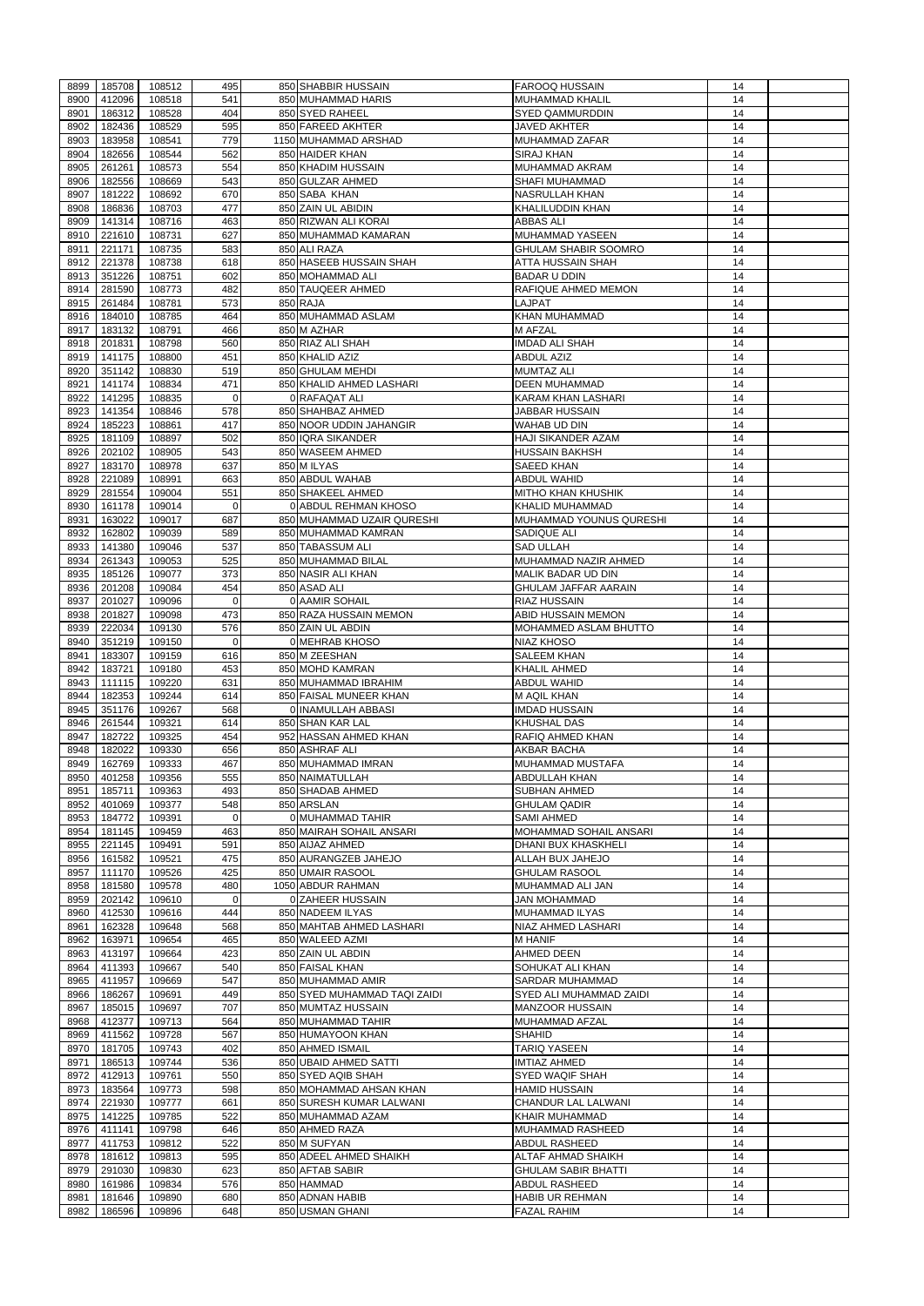| 8899 | 185708      | 108512 | 495            | 850 SHABBIR HUSSAIN          | <b>FAROOQ HUSSAIN</b>       | 14 |  |
|------|-------------|--------|----------------|------------------------------|-----------------------------|----|--|
|      | 412096      |        | 541            |                              |                             | 14 |  |
| 8900 |             | 108518 |                | 850 MUHAMMAD HARIS           | <b>MUHAMMAD KHALIL</b>      |    |  |
| 8901 | 186312      | 108528 | 404            | 850 SYED RAHEEL              | <b>SYED QAMMURDDIN</b>      | 14 |  |
| 8902 | 182436      | 108529 | 595            | 850 FAREED AKHTER            | <b>JAVED AKHTER</b>         | 14 |  |
| 8903 | 183958      | 108541 | 779            | 1150 MUHAMMAD ARSHAD         | <b>MUHAMMAD ZAFAR</b>       | 14 |  |
| 8904 | 182656      | 108544 | 562            | 850 HAIDER KHAN              | <b>SIRAJ KHAN</b>           | 14 |  |
| 8905 | 261261      | 108573 | 554            | 850 KHADIM HUSSAIN           | MUHAMMAD AKRAM              | 14 |  |
| 8906 | 182556      | 108669 | 543            | 850 GULZAR AHMED             | SHAFI MUHAMMAD              | 14 |  |
| 8907 | 181222      | 108692 | 670            | 850 SABA KHAN                | <b>NASRULLAH KHAN</b>       | 14 |  |
| 8908 | 186836      | 108703 | 477            | 850 ZAIN UL ABIDIN           | <b>KHALILUDDIN KHAN</b>     | 14 |  |
| 8909 | 141314      | 108716 | 463            | 850 RIZWAN ALI KORAI         | <b>ABBAS ALI</b>            | 14 |  |
|      |             |        |                |                              |                             |    |  |
| 8910 | 221610      | 108731 | 627            | 850 MUHAMMAD KAMARAN         | MUHAMMAD YASEEN             | 14 |  |
| 8911 | 221171      | 108735 | 583            | 850 ALI RAZA                 | <b>GHULAM SHABIR SOOMRO</b> | 14 |  |
| 8912 | 221378      | 108738 | 618            | 850 HASEEB HUSSAIN SHAH      | <b>ATTA HUSSAIN SHAH</b>    | 14 |  |
| 8913 | 351226      | 108751 | 602            | 850 MOHAMMAD ALI             | <b>BADAR U DDIN</b>         | 14 |  |
| 8914 | 281590      | 108773 | 482            | 850 TAUQEER AHMED            | RAFIQUE AHMED MEMON         | 14 |  |
| 8915 | 261484      | 108781 | 573            | 850 RAJA                     | LAJPAT                      | 14 |  |
| 8916 | 184010      | 108785 | 464            | 850 MUHAMMAD ASLAM           | KHAN MUHAMMAD               | 14 |  |
| 8917 | 183132      | 108791 | 466            | 850 M AZHAR                  | <b>M AFZAL</b>              | 14 |  |
|      |             | 108798 | 560            |                              | <b>IMDAD ALI SHAH</b>       |    |  |
| 8918 | 201831      |        |                | 850 RIAZ ALI SHAH            |                             | 14 |  |
| 8919 | 141175      | 108800 | 451            | 850 KHALID AZIZ              | <b>ABDUL AZIZ</b>           | 14 |  |
| 8920 | 351142      | 108830 | 519            | 850 GHULAM MEHDI             | <b>MUMTAZ ALI</b>           | 14 |  |
| 8921 | 141174      | 108834 | 471            | 850 KHALID AHMED LASHARI     | <b>DEEN MUHAMMAD</b>        | 14 |  |
| 8922 | 141295      | 108835 | $\overline{0}$ | 0 RAFAQAT ALI                | KARAM KHAN LASHARI          | 14 |  |
| 8923 | 141354      | 108846 | 578            | 850 SHAHBAZ AHMED            | <b>JABBAR HUSSAIN</b>       | 14 |  |
| 8924 | 185223      | 108861 | 417            | 850 NOOR UDDIN JAHANGIR      | WAHAB UD DIN                | 14 |  |
|      |             | 108897 | 502            |                              |                             |    |  |
| 8925 | 181109      |        |                | 850 IQRA SIKANDER            | HAJI SIKANDER AZAM          | 14 |  |
| 8926 | 202102      | 108905 | 543            | 850 WASEEM AHMED             | <b>HUSSAIN BAKHSH</b>       | 14 |  |
| 8927 | 183170      | 108978 | 637            | 850 M ILYAS                  | <b>SAEED KHAN</b>           | 14 |  |
| 8928 | 221089      | 108991 | 663            | 850 ABDUL WAHAB              | ABDUL WAHID                 | 14 |  |
| 8929 | 281554      | 109004 | 551            | 850 SHAKEEL AHMED            | <b>MITHO KHAN KHUSHIK</b>   | 14 |  |
| 8930 | 161178      | 109014 | 0              | 0 ABDUL REHMAN KHOSO         | <b>KHALID MUHAMMAD</b>      | 14 |  |
| 8931 | 163022      | 109017 | 687            | 850 MUHAMMAD UZAIR QURESHI   | MUHAMMAD YOUNUS QURESHI     | 14 |  |
| 8932 | 162802      | 109039 | 589            | 850 MUHAMMAD KAMRAN          | SADIQUE ALI                 | 14 |  |
|      |             |        |                |                              |                             |    |  |
| 8933 | 141380      | 109046 | 537            | 850 TABASSUM ALI             | <b>SAD ULLAH</b>            | 14 |  |
| 8934 | 261343      | 109053 | 525            | 850 MUHAMMAD BILAL           | MUHAMMAD NAZIR AHMED        | 14 |  |
| 8935 | 185126      | 109077 | 373            | 850 NASIR ALI KHAN           | <b>MALIK BADAR UD DIN</b>   | 14 |  |
| 8936 | 201208      | 109084 | 454            | 850 ASAD ALI                 | <b>GHULAM JAFFAR AARAIN</b> | 14 |  |
| 8937 | 201027      | 109096 | $\overline{0}$ | 0 AAMIR SOHAIL               | <b>RIAZ HUSSAIN</b>         | 14 |  |
| 8938 | 201827      | 109098 | 473            | 850 RAZA HUSSAIN MEMON       | ABID HUSSAIN MEMON          | 14 |  |
|      | 222034      |        | 576            | 850 ZAIN UL ABDIN            | MOHAMMED ASLAM BHUTTO       |    |  |
| 8939 |             | 109130 |                |                              |                             | 14 |  |
| 8940 | 351219      | 109150 | $\Omega$       | 0 MEHRAB KHOSO               | NIAZ KHOSO                  | 14 |  |
| 8941 | 183307      | 109159 | 616            | 850 M ZEESHAN                | <b>SALEEM KHAN</b>          | 14 |  |
| 8942 | 183721      | 109180 | 453            | 850 MOHD KAMRAN              | KHALIL AHMED                | 14 |  |
| 8943 | 111115      | 109220 | 631            | 850 MUHAMMAD IBRAHIM         | ABDUL WAHID                 | 14 |  |
| 8944 | 182353      | 109244 | 614            | 850 FAISAL MUNEER KHAN       | <b>M AQIL KHAN</b>          | 14 |  |
| 8945 | 351176      | 109267 | 568            | 0 INAMULLAH ABBASI           | <b>IMDAD HUSSAIN</b>        | 14 |  |
| 8946 | 261544      | 109321 | 614            | 850 SHAN KAR LAL             | KHUSHAL DAS                 | 14 |  |
|      |             |        |                |                              |                             |    |  |
| 8947 | 182722      | 109325 | 454            | 952 HASSAN AHMED KHAN        | <b>RAFIQ AHMED KHAN</b>     | 14 |  |
| 8948 | 182022      | 109330 | 656            | 850 ASHRAF ALI               | AKBAR BACHA                 | 14 |  |
| 8949 | 162769      | 109333 | 467            | 850 MUHAMMAD IMRAN           | <b>MUHAMMAD MUSTAFA</b>     | 14 |  |
| 8950 | 401258      | 109356 | 555            | 850 NAIMATULLAH              | ABDULLAH KHAN               | 14 |  |
| 8951 | 185711      | 109363 | 493            | 850 SHADAB AHMED             | <b>SUBHAN AHMED</b>         | 14 |  |
| 8952 | 401069      | 109377 | 548            | 850 ARSLAN                   | <b>GHULAM QADIR</b>         | 14 |  |
| 8953 | 184772      | 109391 | $\overline{0}$ | 0 MUHAMMAD TAHIR             | <b>SAMI AHMED</b>           | 14 |  |
|      |             |        |                | 850 MAIRAH SOHAIL ANSARI     |                             | 14 |  |
| 8954 | 181145      | 109459 | 463            |                              | MOHAMMAD SOHAIL ANSARI      |    |  |
| 8955 | 221145      | 109491 | 591            | 850 AIJAZ AHMED              | DHANI BUX KHASKHELI         | 14 |  |
| 8956 | 161582      | 109521 | 475            | 850 AURANGZEB JAHEJO         | ALLAH BUX JAHEJO            | 14 |  |
| 8957 | 111170      | 109526 | 425            | 850 UMAIR RASOOL             | <b>GHULAM RASOOL</b>        | 14 |  |
| 8958 | 181580      | 109578 | 480            | 1050 ABDUR RAHMAN            | MUHAMMAD ALI JAN            | 14 |  |
| 8959 | 202142      | 109610 | $\Omega$       | 0 ZAHEER HUSSAIN             | <b>JAN MOHAMMAD</b>         | 14 |  |
| 8960 | 412530      | 109616 | 444            | 850 NADEEM ILYAS             | <b>MUHAMMAD ILYAS</b>       | 14 |  |
| 8961 | 162328      | 109648 | 568            | 850 MAHTAB AHMED LASHARI     | <b>NIAZ AHMED LASHARI</b>   | 14 |  |
| 8962 | 163971      | 109654 | 465            | 850 WALEED AZMI              | <b>M HANIF</b>              | 14 |  |
|      |             |        |                |                              |                             |    |  |
| 8963 | 413197      | 109664 | 423            | 850 ZAIN UL ABDIN            | AHMED DEEN                  | 14 |  |
| 8964 | 411393      | 109667 | 540            | 850 FAISAL KHAN              | SOHUKAT ALI KHAN            | 14 |  |
| 8965 | 411957      | 109669 | 547            | 850 MUHAMMAD AMIR            | SARDAR MUHAMMAD             | 14 |  |
| 8966 | 186267      | 109691 | 449            | 850 SYED MUHAMMAD TAQI ZAIDI | SYED ALI MUHAMMAD ZAIDI     | 14 |  |
| 8967 | 185015      | 109697 | 707            | 850 MUMTAZ HUSSAIN           | <b>MANZOOR HUSSAIN</b>      | 14 |  |
| 8968 | 412377      | 109713 | 564            | 850 MUHAMMAD TAHIR           | MUHAMMAD AFZAL              | 14 |  |
| 8969 | 411562      | 109728 | 567            | 850 HUMAYOON KHAN            | <b>SHAHID</b>               | 14 |  |
|      |             |        |                |                              |                             |    |  |
| 8970 | 181705      | 109743 | 402            | 850 AHMED ISMAIL             | <b>TARIQ YASEEN</b>         | 14 |  |
|      | 8971 186513 | 109744 | 536            | 850 UBAID AHMED SATTI        | <b>IMTIAZ AHMED</b>         | 14 |  |
| 8972 | 412913      | 109761 | 550            | 850 SYED AQIB SHAH           | <b>SYED WAQIF SHAH</b>      | 14 |  |
| 8973 | 183564      | 109773 | 598            | 850 MOHAMMAD AHSAN KHAN      | <b>HAMID HUSSAIN</b>        | 14 |  |
| 8974 | 221930      | 109777 | 661            | 850 SURESH KUMAR LALWANI     | <b>CHANDUR LAL LALWANI</b>  | 14 |  |
| 8975 | 141225      | 109785 | 522            | 850 MUHAMMAD AZAM            | KHAIR MUHAMMAD              | 14 |  |
| 8976 | 411141      | 109798 | 646            | 850 AHMED RAZA               | MUHAMMAD RASHEED            | 14 |  |
| 8977 | 411753      | 109812 | 522            | 850 M SUFYAN                 | <b>ABDUL RASHEED</b>        | 14 |  |
|      |             |        |                |                              |                             |    |  |
| 8978 | 181612      | 109813 | 595            | 850 ADEEL AHMED SHAIKH       | <b>ALTAF AHMAD SHAIKH</b>   | 14 |  |
| 8979 | 291030      | 109830 | 623            | 850 AFTAB SABIR              | <b>GHULAM SABIR BHATTI</b>  | 14 |  |
| 8980 | 161986      | 109834 | 576            | 850 HAMMAD                   | <b>ABDUL RASHEED</b>        | 14 |  |
| 8981 | 181646      | 109890 | 680            | 850 ADNAN HABIB              | <b>HABIB UR REHMAN</b>      | 14 |  |
| 8982 | 186596      | 109896 | 648            | 850 USMAN GHANI              | <b>FAZAL RAHIM</b>          | 14 |  |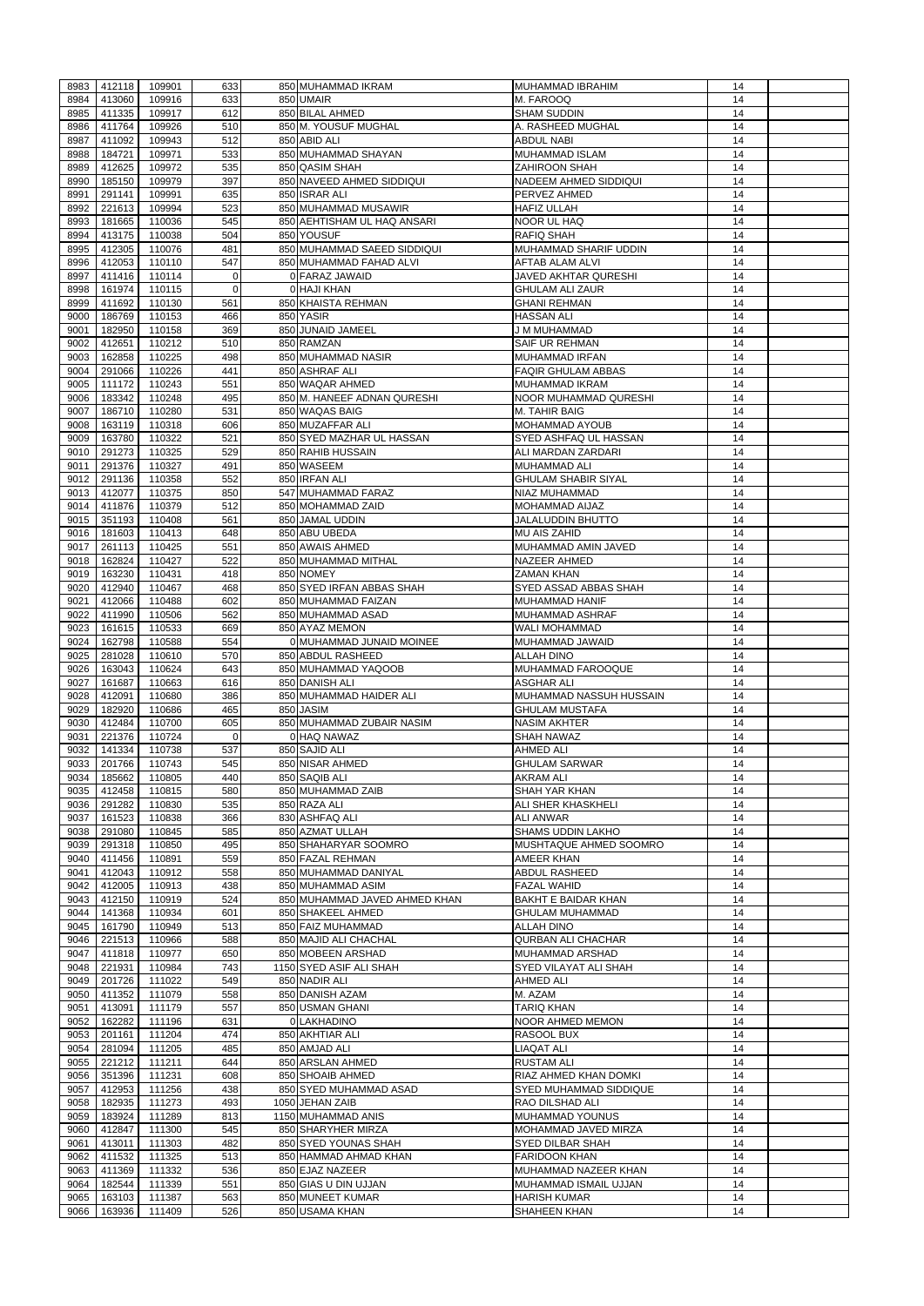| 8983         | 412118           | 109901             | 633         | 850 MUHAMMAD IKRAM                                     | <b>MUHAMMAD IBRAHIM</b>                         | 14       |  |
|--------------|------------------|--------------------|-------------|--------------------------------------------------------|-------------------------------------------------|----------|--|
| 8984         | 413060           | 109916             | 633         | 850 UMAIR                                              | M. FAROOQ                                       | 14       |  |
| 8985         | 411335           | 109917             | 612         | 850 BILAL AHMED                                        | <b>SHAM SUDDIN</b>                              | 14       |  |
| 8986         | 411764<br>411092 | 109926             | 510<br>512  | 850 M. YOUSUF MUGHAL                                   | A. RASHEED MUGHAL                               | 14<br>14 |  |
| 8987<br>8988 | 184721           | 109943<br>109971   | 533         | 850 ABID ALI<br>850 MUHAMMAD SHAYAN                    | <b>ABDUL NABI</b><br>MUHAMMAD ISLAM             | 14       |  |
| 8989         | 412625           | 109972             | 535         | 850 QASIM SHAH                                         | <b>ZAHIROON SHAH</b>                            | 14       |  |
| 8990         | 185150           | 109979             | 397         | 850 NAVEED AHMED SIDDIQUI                              | NADEEM AHMED SIDDIQUI                           | 14       |  |
| 8991         | 291141           | 109991             | 635         | 850 ISRAR ALI                                          | PERVEZ AHMED                                    | 14       |  |
| 8992         | 221613           | 109994             | 523         | 850 MUHAMMAD MUSAWIR                                   | <b>HAFIZ ULLAH</b>                              | 14       |  |
| 8993         | 181665           | 110036             | 545         | 850 AEHTISHAM UL HAQ ANSARI                            | NOOR UL HAQ                                     | 14       |  |
| 8994         | 413175           | 110038             | 504         | 850 YOUSUF                                             | <b>RAFIQ SHAH</b>                               | 14       |  |
| 8995         | 412305<br>412053 | 110076             | 481<br>547  | 850 MUHAMMAD SAEED SIDDIQUI<br>850 MUHAMMAD FAHAD ALVI | MUHAMMAD SHARIF UDDIN<br><b>AFTAB ALAM ALVI</b> | 14       |  |
| 8996<br>8997 | 411416           | 110110<br>110114   | $\mathbf 0$ | 0 FARAZ JAWAID                                         | <b>JAVED AKHTAR QURESHI</b>                     | 14<br>14 |  |
| 8998         | 161974           | 110115             | $\mathbf 0$ | 0 HAJI KHAN                                            | <b>GHULAM ALI ZAUR</b>                          | 14       |  |
| 8999         | 411692           | 110130             | 561         | 850 KHAISTA REHMAN                                     | <b>GHANI REHMAN</b>                             | 14       |  |
| 9000         | 186769           | 110153             | 466         | 850 YASIR                                              | <b>HASSAN ALI</b>                               | 14       |  |
| 9001         | 182950           | 110158             | 369         | 850 JUNAID JAMEEL                                      | J M MUHAMMAD                                    | 14       |  |
| 9002         | 412651           | 110212             | 510         | 850 RAMZAN                                             | SAIF UR REHMAN                                  | 14       |  |
| 9003         | 162858           | 110225             | 498         | 850 MUHAMMAD NASIR                                     | MUHAMMAD IRFAN                                  | 14       |  |
| 9004<br>9005 | 291066<br>111172 | 110226<br>110243   | 441<br>551  | 850 ASHRAF ALI<br>850 WAQAR AHMED                      | <b>FAQIR GHULAM ABBAS</b><br>MUHAMMAD IKRAM     | 14<br>14 |  |
| 9006         | 183342           | 110248             | 495         | 850 M. HANEEF ADNAN QURESHI                            | NOOR MUHAMMAD QURESHI                           | 14       |  |
| 9007         | 186710           | 110280             | 531         | 850 WAQAS BAIG                                         | M. TAHIR BAIG                                   | 14       |  |
| 9008         | 163119           | 110318             | 606         | 850 MUZAFFAR ALI                                       | MOHAMMAD AYOUB                                  | 14       |  |
| 9009         | 163780           | 110322             | 521         | 850 SYED MAZHAR UL HASSAN                              | SYED ASHFAQ UL HASSAN                           | 14       |  |
| 9010         | 291273           | 110325             | 529         | 850 RAHIB HUSSAIN                                      | ALI MARDAN ZARDARI                              | 14       |  |
| 9011         | 291376           | 110327             | 491         | 850 WASEEM                                             | MUHAMMAD ALI                                    | 14       |  |
| 9012         | 291136           | 110358             | 552         | 850 IRFAN ALI                                          | <b>GHULAM SHABIR SIYAL</b>                      | 14       |  |
| 9013<br>9014 | 412077<br>411876 | 110375<br>110379   | 850<br>512  | 547 MUHAMMAD FARAZ<br>850 MOHAMMAD ZAID                | NIAZ MUHAMMAD<br><b>MOHAMMAD AIJAZ</b>          | 14<br>14 |  |
| 9015         | 351193           | 110408             | 561         | 850 JAMAL UDDIN                                        | <b>JALALUDDIN BHUTTO</b>                        | 14       |  |
| 9016         | 181603           | 110413             | 648         | 850 ABU UBEDA                                          | <b>MU AIS ZAHID</b>                             | 14       |  |
| 9017         | 261113           | 110425             | 551         | 850 AWAIS AHMED                                        | MUHAMMAD AMIN JAVED                             | 14       |  |
| 9018         | 162824           | 110427             | 522         | 850 MUHAMMAD MITHAL                                    | NAZEER AHMED                                    | 14       |  |
|              | 9019   163230    | 110431             | 418         | 850 NOMEY                                              | <b>ZAMAN KHAN</b>                               | 14       |  |
| 9020         | 412940           | 110467             | 468         | 850 SYED IRFAN ABBAS SHAH                              | <b>SYED ASSAD ABBAS SHAH</b>                    | 14       |  |
| 9021         | 412066           | 110488             | 602         | 850 MUHAMMAD FAIZAN                                    | MUHAMMAD HANIF                                  | 14       |  |
| 9022         | 411990           | 110506             | 562         | 850 MUHAMMAD ASAD                                      | MUHAMMAD ASHRAF                                 | 14       |  |
| 9023         | 161615<br>162798 | 110533<br>110588   | 669<br>554  | 850 AYAZ MEMON<br>0 MUHAMMAD JUNAID MOINEE             | WALI MOHAMMAD                                   | 14       |  |
| 9024<br>9025 | 281028           | 110610             | 570         | 850 ABDUL RASHEED                                      | MUHAMMAD JAWAID<br><b>ALLAH DINO</b>            | 14<br>14 |  |
| 9026         | 163043           | 110624             | 643         | 850 MUHAMMAD YAQOOB                                    | MUHAMMAD FAROOQUE                               | 14       |  |
| 9027         | 161687           | 110663             | 616         | 850 DANISH ALI                                         | <b>ASGHAR ALI</b>                               | 14       |  |
| 9028         |                  |                    |             |                                                        |                                                 |          |  |
|              | 412091           | 110680             | 386         | 850 MUHAMMAD HAIDER ALI                                | MUHAMMAD NASSUH HUSSAIN                         | 14       |  |
| 9029         | 182920           | 110686             | 465         | 850 JASIM                                              | <b>GHULAM MUSTAFA</b>                           | 14       |  |
| 9030         | 412484           | 110700             | 605         | 850 MUHAMMAD ZUBAIR NASIM                              | <b>NASIM AKHTER</b>                             | 14       |  |
| 9031         | 221376           | 110724             | $\Omega$    | 0 HAQ NAWAZ                                            | <b>SHAH NAWAZ</b>                               | 14       |  |
| 9032         | 141334           | 110738             | 537         | 850 SAJID ALI                                          | <b>AHMED ALI</b>                                | 14       |  |
| 9033         | 201766           | 110743             | 545         | 850 NISAR AHMED                                        | <b>GHULAM SARWAR</b>                            | 14       |  |
| 9034         | 185662           | 110805             | 440         | 850 SAQIB ALI                                          | <b>AKRAM ALI</b>                                | 14       |  |
| 9035<br>9036 | 412458<br>291282 | 110815<br>110830   | 580<br>535  | 850 MUHAMMAD ZAIB<br>850 RAZA ALI                      | SHAH YAR KHAN<br>ALI SHER KHASKHELI             | 14<br>14 |  |
| 9037         | 161523           | 110838             | 366         | 830 ASHFAQ ALI                                         | <b>ALI ANWAR</b>                                | 14       |  |
| 9038         | 291080           | 110845             | 585         | 850 AZMAT ULLAH                                        | SHAMS UDDIN LAKHO                               | 14       |  |
| 9039         | 291318           | 110850             | 495         | 850 SHAHARYAR SOOMRO                                   | MUSHTAQUE AHMED SOOMRO                          | 14       |  |
| 9040         | 411456           | 110891             | 559         | 850 FAZAL REHMAN                                       | AMEER KHAN                                      | 14       |  |
| 9041         | 412043           | 110912             | 558         | 850 MUHAMMAD DANIYAL                                   | <b>ABDUL RASHEED</b>                            | 14       |  |
| 9042         | 412005           | 110913             | 438         | 850 MUHAMMAD ASIM                                      | <b>FAZAL WAHID</b>                              | 14       |  |
| 9043<br>9044 | 412150           | 110919             | 524         | 850 MUHAMMAD JAVED AHMED KHAN                          | BAKHT E BAIDAR KHAN                             | 14       |  |
| 9045         | 141368<br>161790 | 110934<br>110949   | 601<br>513  | 850 SHAKEEL AHMED<br>850 FAIZ MUHAMMAD                 | <b>GHULAM MUHAMMAD</b><br><b>ALLAH DINO</b>     | 14<br>14 |  |
| 9046         | 221513           | 110966             | 588         | 850 MAJID ALI CHACHAL                                  | <b>QURBAN ALI CHACHAR</b>                       | 14       |  |
| 9047         | 411818           | 110977             | 650         | 850 MOBEEN ARSHAD                                      | MUHAMMAD ARSHAD                                 | 14       |  |
| 9048         | 221931           | 110984             | 743         | 1150 SYED ASIF ALI SHAH                                | SYED VILAYAT ALI SHAH                           | 14       |  |
| 9049         | 201726           | 111022             | 549         | 850 NADIR ALI                                          | <b>AHMED ALI</b>                                | 14       |  |
| 9050         | 411352           | 111079             | 558         | 850 DANISH AZAM                                        | M. AZAM                                         | 14       |  |
| 9051         | 413091           | 111179             | 557         | 850 USMAN GHANI                                        | <b>TARIQ KHAN</b>                               | 14       |  |
| 9052<br>9053 | 162282<br>201161 | 111196<br>111204   | 631<br>474  | 0 LAKHADINO<br>850 AKHTIAR ALI                         | NOOR AHMED MEMON<br>RASOOL BUX                  | 14<br>14 |  |
| 9054         | 281094           | 111205             | 485         | 850 AMJAD ALI                                          | <b>LIAQAT ALI</b>                               | 14       |  |
|              |                  | 9055 221212 111211 | 644         | 850 ARSLAN AHMED                                       | <b>RUSTAM ALI</b>                               | 14       |  |
| 9056         | 351396           | 111231             | 608         | 850 SHOAIB AHMED                                       | RIAZ AHMED KHAN DOMKI                           | 14       |  |
| 9057         | 412953           | 111256             | 438         | 850 SYED MUHAMMAD ASAD                                 | SYED MUHAMMAD SIDDIQUE                          | 14       |  |
| 9058         | 182935           | 111273             | 493         | 1050 JEHAN ZAIB                                        | RAO DILSHAD ALI                                 | 14       |  |
| 9059         | 183924           | 111289             | 813         | 1150 MUHAMMAD ANIS                                     | MUHAMMAD YOUNUS                                 | 14       |  |
| 9060         | 412847           | 111300             | 545         | 850 SHARYHER MIRZA                                     | MOHAMMAD JAVED MIRZA                            | 14       |  |
| 9061         | 413011           | 111303             | 482         | 850 SYED YOUNAS SHAH                                   | <b>SYED DILBAR SHAH</b>                         | 14       |  |
| 9062<br>9063 | 411532<br>411369 | 111325<br>111332   | 513<br>536  | 850 HAMMAD AHMAD KHAN<br>850 EJAZ NAZEER               | <b>FARIDOON KHAN</b><br>MUHAMMAD NAZEER KHAN    | 14<br>14 |  |
| 9064         | 182544           | 111339             | 551         | 850 GIAS U DIN UJJAN                                   | MUHAMMAD ISMAIL UJJAN                           | 14       |  |
| 9065         | 163103           | 111387             | 563         | 850 MUNEET KUMAR                                       | <b>HARISH KUMAR</b>                             | 14       |  |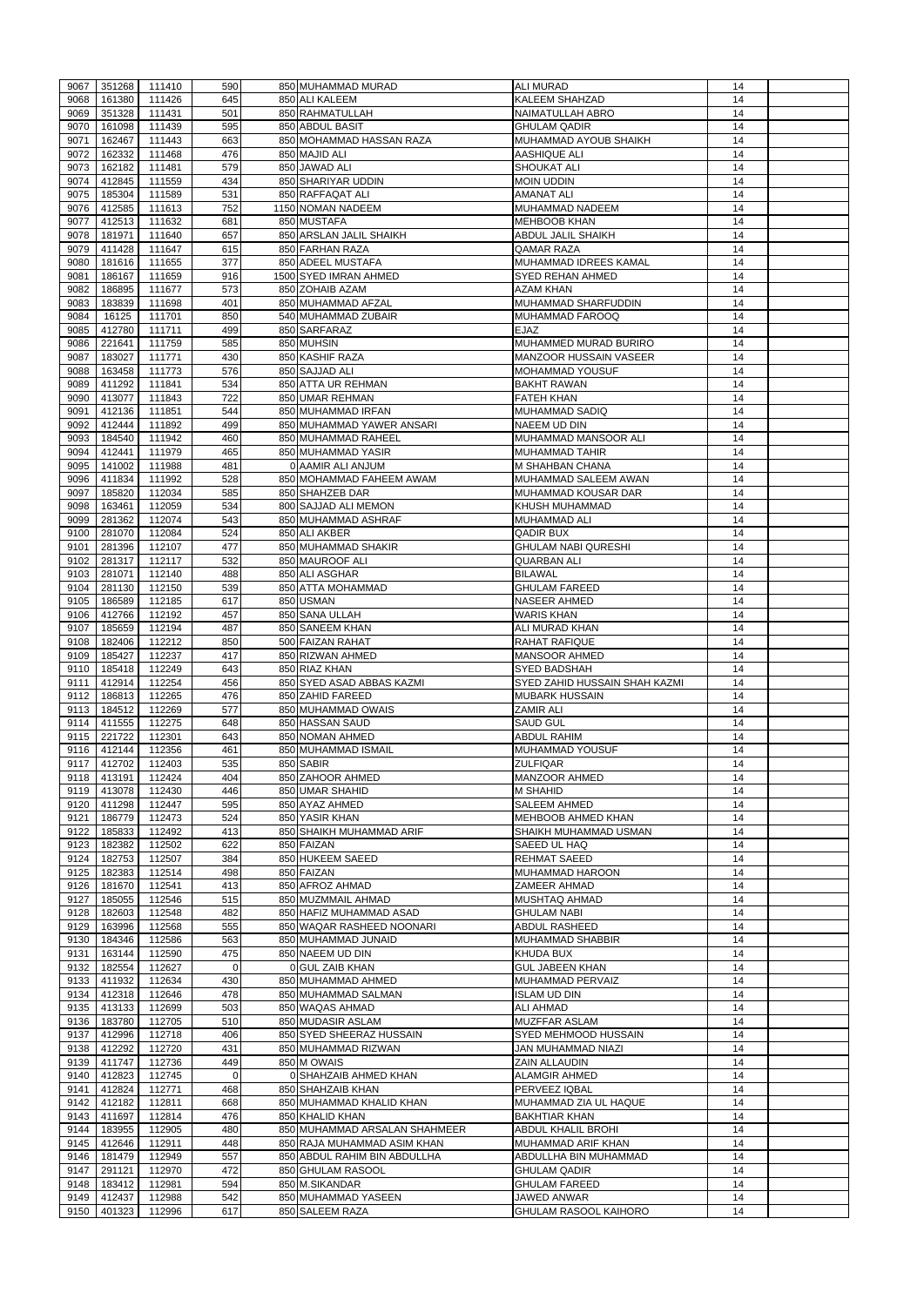|              | 351268           | 111410           | 590        | 850 MUHAMMAD MURAD                     | <b>ALI MURAD</b>                                   | 14       |  |
|--------------|------------------|------------------|------------|----------------------------------------|----------------------------------------------------|----------|--|
| 9067         | 161380           |                  | 645        | 850 ALI KALEEM                         | <b>KALEEM SHAHZAD</b>                              |          |  |
| 9068         | 351328           | 111426           |            |                                        | NAIMATULLAH ABRO                                   | 14       |  |
| 9069         |                  | 111431           | 501        | 850 RAHMATULLAH                        |                                                    | 14       |  |
| 9070         | 161098           | 111439           | 595        | 850 ABDUL BASIT                        | <b>GHULAM QADIR</b>                                | 14       |  |
| 9071         | 162467           | 111443           | 663        | 850 MOHAMMAD HASSAN RAZA               | MUHAMMAD AYOUB SHAIKH                              | 14       |  |
| 9072         | 162332           | 111468           | 476        | 850 MAJID ALI                          | <b>AASHIQUE ALI</b>                                | 14       |  |
| 9073         | 162182           | 111481           | 579        | 850 JAWAD ALI                          | <b>SHOUKAT ALI</b>                                 | 14       |  |
| 9074         | 412845           | 111559           | 434        | 850 SHARIYAR UDDIN                     | <b>MOIN UDDIN</b>                                  | 14       |  |
| 9075         | 185304           | 111589           | 531        | 850 RAFFAQAT ALI                       | <b>AMANAT ALI</b>                                  | 14       |  |
| 9076         | 412585           | 111613           | 752        | 1150 NOMAN NADEEM                      | MUHAMMAD NADEEM                                    | 14       |  |
| 9077         | 412513           | 111632           | 681        | 850 MUSTAFA                            | <b>MEHBOOB KHAN</b>                                | 14       |  |
| 9078         | 181971           | 111640           | 657        | 850 ARSLAN JALIL SHAIKH                | <b>ABDUL JALIL SHAIKH</b>                          | 14       |  |
| 9079         | 411428           | 111647           | 615        | 850 FARHAN RAZA                        | <b>QAMAR RAZA</b>                                  | 14       |  |
| 9080         | 181616           | 111655           | 377        | 850 ADEEL MUSTAFA                      | MUHAMMAD IDREES KAMAL                              | 14       |  |
| 9081         | 186167           | 111659           | 916        | 1500 SYED IMRAN AHMED                  | <b>SYED REHAN AHMED</b>                            | 14       |  |
| 9082         | 186895           | 111677           | 573        | 850 ZOHAIB AZAM                        | <b>AZAM KHAN</b>                                   | 14       |  |
| 9083         | 183839           | 111698           | 401        | 850 MUHAMMAD AFZAL                     | MUHAMMAD SHARFUDDIN                                | 14       |  |
| 9084         | 16125            | 111701           | 850        | 540 MUHAMMAD ZUBAIR                    | MUHAMMAD FAROOQ                                    | 14       |  |
| 9085         | 412780           | 111711           | 499        | 850 SARFARAZ                           | <b>EJAZ</b>                                        | 14       |  |
|              |                  |                  |            |                                        |                                                    |          |  |
| 9086         | 221641           | 111759           | 585        | 850 MUHSIN                             | MUHAMMED MURAD BURIRO                              | 14       |  |
| 9087         | 183027           | 111771           | 430        | 850 KASHIF RAZA                        | <b>MANZOOR HUSSAIN VASEER</b>                      | 14       |  |
| 9088         | 163458           | 111773           | 576        | 850 SAJJAD ALI                         | <b>MOHAMMAD YOUSUF</b>                             | 14       |  |
| 9089         | 411292           | 111841           | 534        | 850 ATTA UR REHMAN                     | <b>BAKHT RAWAN</b>                                 | 14       |  |
| 9090         | 413077           | 111843           | 722        | 850 UMAR REHMAN                        | <b>FATEH KHAN</b>                                  | 14       |  |
| 9091         | 412136           | 111851           | 544        | 850 MUHAMMAD IRFAN                     | <b>MUHAMMAD SADIQ</b>                              | 14       |  |
| 9092         | 412444           | 111892           | 499        | 850 MUHAMMAD YAWER ANSARI              | NAEEM UD DIN                                       | 14       |  |
| 9093         | 184540           | 111942           | 460        | 850 MUHAMMAD RAHEEL                    | MUHAMMAD MANSOOR ALI                               | 14       |  |
| 9094         | 412441           | 111979           | 465        | 850 MUHAMMAD YASIR                     | <b>MUHAMMAD TAHIR</b>                              | 14       |  |
| 9095         | 141002           | 111988           | 481        | 0 AAMIR ALI ANJUM                      | <b>M SHAHBAN CHANA</b>                             | 14       |  |
| 9096         | 411834           | 111992           | 528        | 850 MOHAMMAD FAHEEM AWAM               | MUHAMMAD SALEEM AWAN                               | 14       |  |
| 9097         | 185820           | 112034           | 585        | 850 SHAHZEB DAR                        | MUHAMMAD KOUSAR DAR                                | 14       |  |
| 9098         | 163461           | 112059           | 534        | 800 SAJJAD ALI MEMON                   | <b>KHUSH MUHAMMAD</b>                              | 14       |  |
| 9099         | 281362           | 112074           | 543        | 850 MUHAMMAD ASHRAF                    | MUHAMMAD ALI                                       | 14       |  |
| 9100         | 281070           | 112084           | 524        | 850 ALI AKBER                          | <b>QADIR BUX</b>                                   | 14       |  |
|              |                  |                  |            |                                        |                                                    |          |  |
| 9101         | 281396           | 112107           | 477        | 850 MUHAMMAD SHAKIR                    | <b>GHULAM NABI QURESHI</b>                         | 14       |  |
| 9102         | 281317           | 112117           | 532        | 850 MAUROOF ALI                        | <b>QUARBAN ALI</b>                                 | 14       |  |
| 9103         | 281071           | 112140           | 488        | 850 ALI ASGHAR                         | <b>BILAWAL</b>                                     | 14       |  |
| 9104         | 281130           | 112150           | 539        | 850 ATTA MOHAMMAD                      | <b>GHULAM FAREED</b>                               | 14       |  |
| 9105         | 186589           | 112185           | 617        | 850 USMAN                              | <b>NASEER AHMED</b>                                | 14       |  |
| 9106         | 412766           | 112192           | 457        | 850 SANA ULLAH                         | <b>WARIS KHAN</b>                                  | 14       |  |
| 9107         | 185659           | 112194           | 487        | 850 SANEEM KHAN                        | ALI MURAD KHAN                                     | 14       |  |
| 9108         | 182406           | 112212           | 850        | 500 FAIZAN RAHAT                       | <b>RAHAT RAFIQUE</b>                               | 14       |  |
| 9109         | 185427           | 112237           | 417        | 850 RIZWAN AHMED                       | <b>MANSOOR AHMED</b>                               | 14       |  |
|              |                  |                  |            |                                        |                                                    |          |  |
|              |                  |                  |            |                                        |                                                    |          |  |
| 9110         | 185418           | 112249           | 643        | 850 RIAZ KHAN                          | <b>SYED BADSHAH</b>                                | 14       |  |
| 9111         | 412914           | 112254           | 456        | 850 SYED ASAD ABBAS KAZMI              | SYED ZAHID HUSSAIN SHAH KAZMI                      | 14       |  |
| 9112         | 186813           | 112265           | 476        | 850 ZAHID FAREED                       | <b>MUBARK HUSSAIN</b>                              | 14       |  |
| 9113         | 184512           | 112269           | 577        | 850 MUHAMMAD OWAIS                     | <b>ZAMIR ALI</b>                                   | 14       |  |
| 9114         | 411555           | 112275           | 648        | 850 HASSAN SAUD                        | <b>SAUD GUL</b>                                    | 14       |  |
| 9115         | 221722           | 112301           | 643        | 850 NOMAN AHMED                        | <b>ABDUL RAHIM</b>                                 | 14       |  |
| 9116         | 412144           | 112356           | 461        | 850 MUHAMMAD ISMAIL                    | MUHAMMAD YOUSUF                                    | 14       |  |
| 9117         | 412702           | 112403           | 535        | 850 SABIR                              | <b>ZULFIQAR</b>                                    | 14       |  |
| 9118         | 413191           | 112424           | 404        | 850 ZAHOOR AHMED                       | <b>MANZOOR AHMED</b>                               | 14       |  |
| 9119         | 413078           | 112430           | 446        | 850 UMAR SHAHID                        | <b>M SHAHID</b>                                    | 14       |  |
| 9120         | 411298           | 112447           | 595        | 850 AYAZ AHMED                         | <b>SALEEM AHMED</b>                                | 14       |  |
| 9121         | 186779           | 112473           | 524        | 850 YASIR KHAN                         | MEHBOOB AHMED KHAN                                 | 14       |  |
| 9122         | 185833           | 112492           | 413        | 850 SHAIKH MUHAMMAD ARIF               | SHAIKH MUHAMMAD USMAN                              | 14       |  |
| 9123         | 182382           | 112502           | 622        | 850 FAIZAN                             | SAEED UL HAQ                                       | 14       |  |
| 9124         | 182753           | 112507           | 384        | 850 HUKEEM SAEED                       | <b>REHMAT SAEED</b>                                | 14       |  |
| 9125         | 182383           | 112514           | 498        | 850 FAIZAN                             | <b>MUHAMMAD HAROON</b>                             | 14       |  |
| 9126         | 181670           | 112541           | 413        | 850 AFROZ AHMAD                        | <b>ZAMEER AHMAD</b>                                | 14       |  |
| 9127         | 185055           | 112546           | 515        | 850 MUZMMAIL AHMAD                     | MUSHTAQ AHMAD                                      | 14       |  |
| 9128         | 182603           | 112548           | 482        | 850 HAFIZ MUHAMMAD ASAD                | <b>GHULAM NABI</b>                                 | 14       |  |
|              |                  |                  |            |                                        | <b>ABDUL RASHEED</b>                               |          |  |
| 9129         | 163996           | 112568           | 555        | 850 WAQAR RASHEED NOONARI              |                                                    | 14       |  |
| 9130         | 184346           | 112586           | 563        | 850 MUHAMMAD JUNAID                    | <b>MUHAMMAD SHABBIR</b>                            | 14       |  |
| 9131         | 163144           | 112590           | 475        | 850 NAEEM UD DIN                       | <b>KHUDA BUX</b>                                   | 14       |  |
| 9132         | 182554           | 112627           | $\Omega$   | 0 GUL ZAIB KHAN                        | <b>GUL JABEEN KHAN</b>                             | 14       |  |
| 9133         | 411932           | 112634           | 430        | 850 MUHAMMAD AHMED                     | MUHAMMAD PERVAIZ                                   | 14       |  |
| 9134         | 412318           | 112646           | 478        | 850 MUHAMMAD SALMAN                    | <b>ISLAM UD DIN</b>                                | 14       |  |
| 9135         | 413133           | 112699           | 503        | 850 WAQAS AHMAD                        | <b>ALI AHMAD</b>                                   | 14       |  |
| 9136         | 183780           | 112705           | 510        | 850 MUDASIR ASLAM                      | <b>MUZFFAR ASLAM</b>                               | 14       |  |
| 9137         | 412996           | 112718           | 406        | 850 SYED SHEERAZ HUSSAIN               | <b>SYED MEHMOOD HUSSAIN</b>                        | 14       |  |
| 9138         | 412292           | 112720           | 431        | 850 MUHAMMAD RIZWAN                    | JAN MUHAMMAD NIAZI                                 | 14       |  |
|              | 9139 411747      | 112736           | 449        | 850 M OWAIS                            | <b>ZAIN ALLAUDIN</b>                               | 14       |  |
| 9140         | 412823           | 112745           | $\Omega$   | 0 SHAHZAIB AHMED KHAN                  | <b>ALAMGIR AHMED</b>                               | 14       |  |
| 9141         | 412824           | 112771           | 468        | 850 SHAHZAIB KHAN                      | <b>PERVEEZ IQBAL</b>                               | 14       |  |
| 9142         | 412182           | 112811           | 668        | 850 MUHAMMAD KHALID KHAN               | MUHAMMAD ZIA UL HAQUE                              | 14       |  |
| 9143         | 411697           | 112814           | 476        | 850 KHALID KHAN                        | <b>BAKHTIAR KHAN</b>                               | 14       |  |
| 9144         | 183955           | 112905           | 480        | 850 MUHAMMAD ARSALAN SHAHMEER          | <b>ABDUL KHALIL BROHI</b>                          | 14       |  |
| 9145         | 412646           | 112911           | 448        | 850 RAJA MUHAMMAD ASIM KHAN            | MUHAMMAD ARIF KHAN                                 | 14       |  |
|              |                  |                  |            | 850 ABDUL RAHIM BIN ABDULLHA           | ABDULLHA BIN MUHAMMAD                              |          |  |
| 9146         | 181479           | 112949           | 557        |                                        |                                                    | 14       |  |
| 9147         | 291121           | 112970           | 472        | 850 GHULAM RASOOL                      | <b>GHULAM QADIR</b>                                | 14       |  |
| 9148         | 183412           | 112981           | 594        | 850 M.SIKANDAR                         | <b>GHULAM FAREED</b>                               | 14       |  |
| 9149<br>9150 | 412437<br>401323 | 112988<br>112996 | 542<br>617 | 850 MUHAMMAD YASEEN<br>850 SALEEM RAZA | <b>JAWED ANWAR</b><br><b>GHULAM RASOOL KAIHORO</b> | 14<br>14 |  |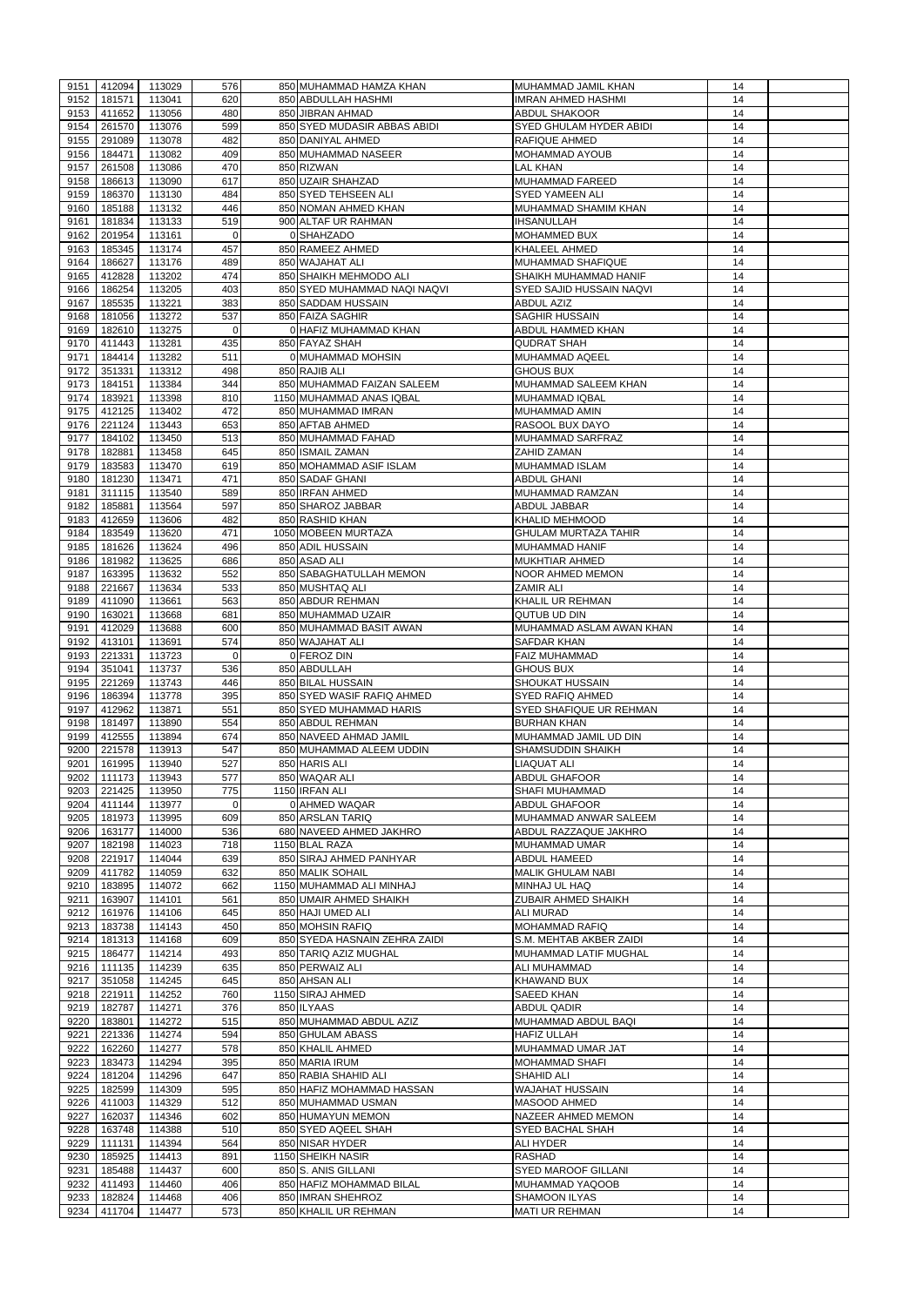| 9151         | 412094           | 113029             | 576            | 850 MUHAMMAD HAMZA KHAN                         | MUHAMMAD JAMIL KHAN                            | 14       |  |
|--------------|------------------|--------------------|----------------|-------------------------------------------------|------------------------------------------------|----------|--|
| 9152         | 181571           | 113041             | 620            | 850 ABDULLAH HASHMI                             | <b>IMRAN AHMED HASHMI</b>                      | 14       |  |
| 9153         | 411652           | 113056             | 480            | 850 JIBRAN AHMAD                                | <b>ABDUL SHAKOOR</b>                           | 14       |  |
| 9154         | 261570           | 113076             | 599            | 850 SYED MUDASIR ABBAS ABIDI                    | SYED GHULAM HYDER ABIDI                        | 14       |  |
| 9155         | 291089           | 113078             | 482            | 850 DANIYAL AHMED                               | RAFIQUE AHMED                                  | 14       |  |
| 9156         | 184471           | 113082             | 409            | 850 MUHAMMAD NASEER                             | MOHAMMAD AYOUB                                 | 14       |  |
| 9157         | 261508           | 113086             | 470            | 850 RIZWAN                                      | <b>LAL KHAN</b>                                | 14       |  |
| 9158         | 186613<br>186370 | 113090             | 617            | 850 UZAIR SHAHZAD                               | MUHAMMAD FAREED                                | 14       |  |
| 9159<br>9160 | 185188           | 113130<br>113132   | 484<br>446     | 850 SYED TEHSEEN ALI<br>850 NOMAN AHMED KHAN    | SYED YAMEEN ALI<br>MUHAMMAD SHAMIM KHAN        | 14<br>14 |  |
| 9161         | 181834           | 113133             | 519            | 900 ALTAF UR RAHMAN                             | <b>IHSANULLAH</b>                              | 14       |  |
| 9162         | 201954           | 113161             | $\overline{0}$ | 0 SHAHZADO                                      | <b>MOHAMMED BUX</b>                            | 14       |  |
| 9163         | 185345           | 113174             | 457            | 850 RAMEEZ AHMED                                | KHALEEL AHMED                                  | 14       |  |
| 9164         | 186627           | 113176             | 489            | 850 WAJAHAT ALI                                 | MUHAMMAD SHAFIQUE                              | 14       |  |
| 9165         | 412828           | 113202             | 474            | 850 SHAIKH MEHMODO ALI                          | SHAIKH MUHAMMAD HANIF                          | 14       |  |
| 9166         | 186254           | 113205             | 403            | 850 SYED MUHAMMAD NAQI NAQVI                    | SYED SAJID HUSSAIN NAQVI                       | 14       |  |
| 9167         | 185535           | 113221             | 383            | 850 SADDAM HUSSAIN                              | <b>ABDUL AZIZ</b>                              | 14       |  |
| 9168         | 181056           | 113272             | 537            | 850 FAIZA SAGHIR                                | <b>SAGHIR HUSSAIN</b>                          | 14       |  |
| 9169         | 182610           | 113275             | $\overline{0}$ | 0 HAFIZ MUHAMMAD KHAN                           | ABDUL HAMMED KHAN                              | 14       |  |
| 9170         | 411443           | 113281             | 435            | 850 FAYAZ SHAH                                  | <b>QUDRAT SHAH</b>                             | 14       |  |
| 9171         | 184414           | 113282             | 511            | 0 MUHAMMAD MOHSIN                               | MUHAMMAD AQEEL                                 | 14       |  |
| 9172         | 351331           | 113312             | 498            | 850 RAJIB ALI                                   | <b>GHOUS BUX</b>                               | 14       |  |
| 9173         | 184151           | 113384             | 344            | 850 MUHAMMAD FAIZAN SALEEM                      | MUHAMMAD SALEEM KHAN                           | 14       |  |
| 9174         | 183921           | 113398             | 810            | 1150 MUHAMMAD ANAS IQBAL                        | MUHAMMAD IQBAL                                 | 14       |  |
| 9175         | 412125           | 113402             | 472            | 850 MUHAMMAD IMRAN                              | MUHAMMAD AMIN                                  | 14       |  |
| 9176         | 221124           | 113443             | 653            | 850 AFTAB AHMED                                 | RASOOL BUX DAYO                                | 14       |  |
| 9177         | 184102           | 113450             | 513            | 850 MUHAMMAD FAHAD                              | MUHAMMAD SARFRAZ                               | 14       |  |
| 9178         | 182881           | 113458             | 645            | 850 ISMAIL ZAMAN                                | ZAHID ZAMAN                                    | 14       |  |
| 9179         | 183583           | 113470             | 619            | 850 MOHAMMAD ASIF ISLAM                         | <b>MUHAMMAD ISLAM</b>                          | 14       |  |
| 9180         | 181230           | 113471             | 471            | 850 SADAF GHANI                                 | ABDUL GHANI                                    | 14       |  |
| 9181         | 311115           | 113540             | 589            | 850 IRFAN AHMED                                 | MUHAMMAD RAMZAN                                | 14       |  |
| 9182         | 185881           | 113564             | 597            | 850 SHAROZ JABBAR                               | ABDUL JABBAR                                   | 14       |  |
| 9183         | 412659           | 113606             | 482            | 850 RASHID KHAN                                 | <b>KHALID MEHMOOD</b>                          | 14       |  |
| 9184         | 183549           | 113620             | 471            | 1050 MOBEEN MURTAZA                             | <b>GHULAM MURTAZA TAHIR</b>                    | 14       |  |
| 9185         | 181626           | 113624             | 496            | 850 ADIL HUSSAIN                                | <b>MUHAMMAD HANIF</b>                          | 14       |  |
| 9186         | 181982           | 113625             | 686            | 850 ASAD ALI                                    | <b>MUKHTIAR AHMED</b>                          | 14       |  |
| 9187         | 163395           | 113632             | 552            | 850 SABAGHATULLAH MEMON                         | <b>NOOR AHMED MEMON</b>                        | 14       |  |
| 9188         | 221667           | 113634             | 533            | 850 MUSHTAQ ALI                                 | <b>ZAMIR ALI</b>                               | 14       |  |
| 9189         | 411090           | 113661             | 563            | 850 ABDUR REHMAN                                | KHALIL UR REHMAN                               | 14       |  |
| 9190         | 163021           | 113668             | 681            | 850 MUHAMMAD UZAIR                              | QUTUB UD DIN                                   | 14       |  |
| 9191         | 412029<br>413101 | 113688<br>113691   | 600<br>574     | 850 MUHAMMAD BASIT AWAN<br>850 WAJAHAT ALI      | MUHAMMAD ASLAM AWAN KHAN<br><b>SAFDAR KHAN</b> | 14<br>14 |  |
| 9192<br>9193 | 221331           | 113723             | $\overline{0}$ | 0 FEROZ DIN                                     | <b>FAIZ MUHAMMAD</b>                           | 14       |  |
|              |                  |                    |                |                                                 |                                                |          |  |
|              |                  |                    |                |                                                 |                                                |          |  |
| 9194         | 351041           | 113737             | 536            | 850 ABDULLAH                                    | <b>GHOUS BUX</b>                               | 14       |  |
| 9195         | 221269           | 113743             | 446            | 850 BILAL HUSSAIN                               | <b>SHOUKAT HUSSAIN</b>                         | 14       |  |
| 9196         | 186394           | 113778             | 395            | 850 SYED WASIF RAFIQ AHMED                      | <b>SYED RAFIQ AHMED</b>                        | 14       |  |
| 9197         | 412962           | 113871             | 551            | 850 SYED MUHAMMAD HARIS                         | SYED SHAFIQUE UR REHMAN                        | 14       |  |
| 9198<br>9199 | 181497<br>412555 | 113890<br>113894   | 554<br>674     | 850 ABDUL REHMAN<br>850 NAVEED AHMAD JAMIL      | <b>BURHAN KHAN</b><br>MUHAMMAD JAMIL UD DIN    | 14<br>14 |  |
| 9200         | 221578           | 113913             | 547            | 850 MUHAMMAD ALEEM UDDIN                        | SHAMSUDDIN SHAIKH                              | 14       |  |
| 9201         | 161995           | 113940             | 527            | 850 HARIS ALI                                   | <b>LIAQUAT ALI</b>                             | 14       |  |
| 9202         | 111173           | 113943             | 577            | 850 WAQAR ALI                                   | <b>ABDUL GHAFOOR</b>                           | 14       |  |
| 9203         | 221425           | 113950             | 775            | 1150 IRFAN ALI                                  | SHAFI MUHAMMAD                                 | 14       |  |
| 9204         | 411144           | 113977             | $\overline{0}$ | 0 AHMED WAQAR                                   | <b>ABDUL GHAFOOR</b>                           | 14       |  |
| 9205         | 181973           | 113995             | 609            | 850 ARSLAN TARIQ                                | MUHAMMAD ANWAR SALEEM                          | 14       |  |
| 9206         | 163177           | 114000             | 536            | 680 NAVEED AHMED JAKHRO                         | ABDUL RAZZAQUE JAKHRO                          | 14       |  |
| 9207         | 182198           | 114023             | 718            | 1150 BLAL RAZA                                  | MUHAMMAD UMAR                                  | 14       |  |
| 9208         | 221917           | 114044             | 639            | 850 SIRAJ AHMED PANHYAR                         | ABDUL HAMEED                                   | 14       |  |
| 9209         | 411782           | 114059             | 632            | 850 MALIK SOHAIL                                | <b>MALIK GHULAM NABI</b>                       | 14       |  |
| 9210         | 183895           | 114072             | 662            | 1150 MUHAMMAD ALI MINHAJ                        | MINHAJ UL HAQ                                  | 14       |  |
| 9211         | 163907           | 114101             | 561            | 850 UMAIR AHMED SHAIKH                          | ZUBAIR AHMED SHAIKH                            | 14       |  |
| 9212         | 161976           | 114106             | 645            | 850 HAJI UMED ALI                               | <b>ALI MURAD</b>                               | 14       |  |
| 9213         | 183738           | 114143             | 450            | 850 MOHSIN RAFIQ                                | <b>MOHAMMAD RAFIQ</b>                          | 14       |  |
| 9214         | 181313           | 114168             | 609            | 850 SYEDA HASNAIN ZEHRA ZAIDI                   | S.M. MEHTAB AKBER ZAIDI                        | 14       |  |
| 9215         | 186477           | 114214             | 493            | 850 TARIQ AZIZ MUGHAL                           | MUHAMMAD LATIF MUGHAL                          | 14       |  |
| 9216         | 111135           | 114239             | 635            | 850 PERWAIZ ALI                                 | <b>ALI MUHAMMAD</b>                            | 14       |  |
| 9217         | 351058           | 114245             | 645            | 850 AHSAN ALI                                   | <b>KHAWAND BUX</b>                             | 14       |  |
| 9218         | 221911           | 114252             | 760            | 1150 SIRAJ AHMED                                | <b>SAEED KHAN</b>                              | 14       |  |
| 9219         | 182787           | 114271             | 376            | 850 ILYAAS                                      | <b>ABDUL QADIR</b>                             | 14       |  |
| 9220         | 183801           | 114272             | 515            | 850 MUHAMMAD ABDUL AZIZ                         | MUHAMMAD ABDUL BAQI                            | 14       |  |
| 9221         | 221336           | 114274             | 594            | 850 GHULAM ABASS                                | <b>HAFIZ ULLAH</b>                             | 14       |  |
| 9222         | 162260           | 114277             | 578            | 850 KHALIL AHMED                                | MUHAMMAD UMAR JAT                              | 14       |  |
|              |                  | 9223 183473 114294 | 395            | 850 MARIA IRUM                                  | <b>MOHAMMAD SHAFI</b>                          | 14       |  |
| 9224<br>9225 | 181204           | 114296             | 647            | 850 RABIA SHAHID ALI                            | <b>SHAHID ALI</b><br><b>WAJAHAT HUSSAIN</b>    | 14       |  |
| 9226         | 182599<br>411003 | 114309             | 595<br>512     | 850 HAFIZ MOHAMMAD HASSAN<br>850 MUHAMMAD USMAN | MASOOD AHMED                                   | 14<br>14 |  |
| 9227         | 162037           | 114329<br>114346   | 602            | 850 HUMAYUN MEMON                               | NAZEER AHMED MEMON                             | 14       |  |
| 9228         | 163748           | 114388             | 510            | 850 SYED AQEEL SHAH                             | SYED BACHAL SHAH                               | 14       |  |
| 9229         | 111131           | 114394             | 564            | 850 NISAR HYDER                                 | <b>ALI HYDER</b>                               | 14       |  |
| 9230         | 185925           | 114413             | 891            | 1150 SHEIKH NASIR                               | <b>RASHAD</b>                                  | 14       |  |
| 9231         | 185488           | 114437             | 600            | 850 S. ANIS GILLANI                             | <b>SYED MAROOF GILLANI</b>                     | 14       |  |
| 9232         | 411493           | 114460             | 406            | 850 HAFIZ MOHAMMAD BILAL                        | MUHAMMAD YAQOOB                                | 14       |  |
| 9233         | 182824           | 114468             | 406            | 850 IMRAN SHEHROZ                               | <b>SHAMOON ILYAS</b>                           | 14       |  |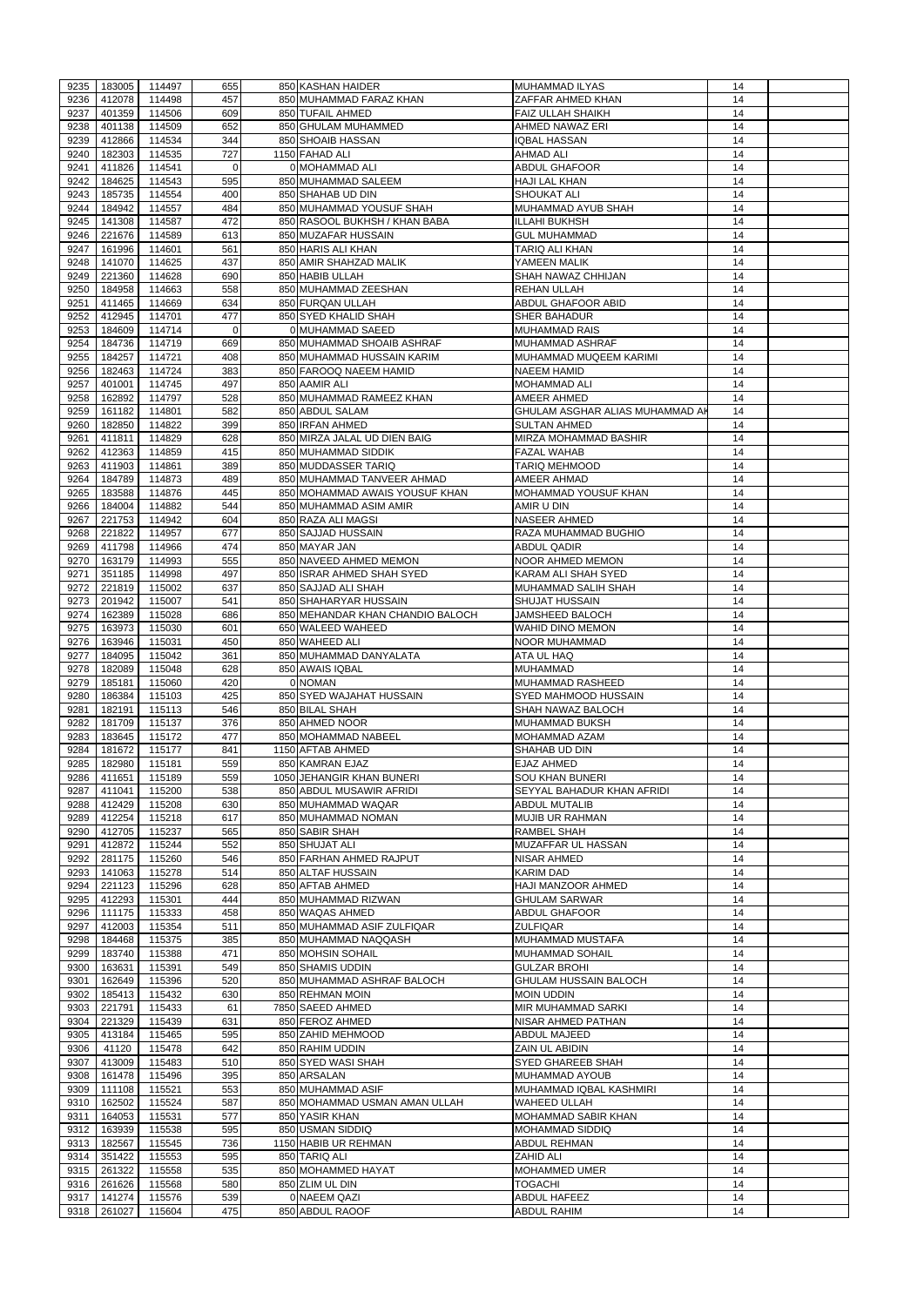|              | 183005           | 114497           | 655            | 850 KASHAN HAIDER                | MUHAMMAD ILYAS                            | 14       |  |
|--------------|------------------|------------------|----------------|----------------------------------|-------------------------------------------|----------|--|
| 9235<br>9236 | 412078           | 114498           | 457            | 850 MUHAMMAD FARAZ KHAN          | ZAFFAR AHMED KHAN                         | 14       |  |
| 9237         | 401359           | 114506           | 609            | 850 TUFAIL AHMED                 | <b>FAIZ ULLAH SHAIKH</b>                  | 14       |  |
| 9238         | 401138           | 114509           | 652            | 850 GHULAM MUHAMMED              | <b>AHMED NAWAZ ERI</b>                    | 14       |  |
|              |                  |                  |                |                                  |                                           |          |  |
| 9239         | 412866           | 114534           | 344            | 850 SHOAIB HASSAN                | <b>IQBAL HASSAN</b>                       | 14       |  |
| 9240         | 182303           | 114535           | 727            | 1150 FAHAD ALI                   | <b>AHMAD ALI</b>                          | 14       |  |
| 9241         | 411826           | 114541           | 0              | 0 MOHAMMAD ALI                   | <b>ABDUL GHAFOOR</b>                      | 14       |  |
| 9242         | 184625           | 114543           | 595            | 850 MUHAMMAD SALEEM              | <b>HAJI LAL KHAN</b>                      | 14       |  |
| 9243         | 185735           | 114554           | 400            | 850 SHAHAB UD DIN                | <b>SHOUKAT ALI</b>                        | 14       |  |
| 9244         | 184942           | 114557           | 484            | 850 MUHAMMAD YOUSUF SHAH         | MUHAMMAD AYUB SHAH                        | 14       |  |
| 9245         | 141308           | 114587           | 472            | 850 RASOOL BUKHSH / KHAN BABA    | <b>ILLAHI BUKHSH</b>                      | 14       |  |
| 9246         | 221676           | 114589           | 613            | 850 MUZAFAR HUSSAIN              | <b>GUL MUHAMMAD</b>                       | 14       |  |
| 9247         | 161996           | 114601           | 561            | 850 HARIS ALI KHAN               | <b>TARIQ ALI KHAN</b>                     | 14       |  |
| 9248         | 141070           | 114625           | 437            | 850 AMIR SHAHZAD MALIK           | YAMEEN MALIK                              | 14       |  |
| 9249         | 221360           | 114628           | 690            | 850 HABIB ULLAH                  | SHAH NAWAZ CHHIJAN                        | 14       |  |
| 9250         | 184958           | 114663           | 558            | 850 MUHAMMAD ZEESHAN             | <b>REHAN ULLAH</b>                        | 14       |  |
| 9251         | 411465           | 114669           | 634            | 850 FURQAN ULLAH                 | <b>ABDUL GHAFOOR ABID</b>                 | 14       |  |
| 9252         | 412945           | 114701           | 477            | 850 SYED KHALID SHAH             | <b>SHER BAHADUR</b>                       | 14       |  |
| 9253         | 184609           | 114714           | $\overline{0}$ | 0 MUHAMMAD SAEED                 | <b>MUHAMMAD RAIS</b>                      | 14       |  |
| 9254         | 184736           | 114719           | 669            | 850 MUHAMMAD SHOAIB ASHRAF       | <b>MUHAMMAD ASHRAF</b>                    | 14       |  |
| 9255         | 184257           | 114721           | 408            | 850 MUHAMMAD HUSSAIN KARIM       | <b>MUHAMMAD MUQEEM KARIMI</b>             | 14       |  |
| 9256         | 182463           | 114724           | 383            | 850 FAROOQ NAEEM HAMID           | <b>NAEEM HAMID</b>                        | 14       |  |
| 9257         | 401001           | 114745           | 497            | 850 AAMIR ALI                    | <b>MOHAMMAD ALI</b>                       | 14       |  |
|              |                  |                  |                |                                  |                                           |          |  |
| 9258         | 162892           | 114797           | 528            | 850 MUHAMMAD RAMEEZ KHAN         | AMEER AHMED                               | 14       |  |
| 9259         | 161182           | 114801           | 582            | 850 ABDUL SALAM                  | GHULAM ASGHAR ALIAS MUHAMMAD AH           | 14       |  |
| 9260         | 182850           | 114822           | 399            | 850 IRFAN AHMED                  | <b>SULTAN AHMED</b>                       | 14       |  |
| 9261         | 411811           | 114829           | 628            | 850 MIRZA JALAL UD DIEN BAIG     | MIRZA MOHAMMAD BASHIR                     | 14       |  |
| 9262         | 412363           | 114859           | 415            | 850 MUHAMMAD SIDDIK              | <b>FAZAL WAHAB</b>                        | 14       |  |
| 9263         | 411903           | 114861           | 389            | 850 MUDDASSER TARIQ              | <b>TARIQ MEHMOOD</b>                      | 14       |  |
| 9264         | 184789           | 114873           | 489            | 850 MUHAMMAD TANVEER AHMAD       | AMEER AHMAD                               | 14       |  |
| 9265         | 183588           | 114876           | 445            | 850 MOHAMMAD AWAIS YOUSUF KHAN   | <b>MOHAMMAD YOUSUF KHAN</b>               | 14       |  |
| 9266         | 184004           | 114882           | 544            | 850 MUHAMMAD ASIM AMIR           | AMIR U DIN                                | 14       |  |
| 9267         | 221753           | 114942           | 604            | 850 RAZA ALI MAGSI               | <b>NASEER AHMED</b>                       | 14       |  |
| 9268         | 221822           | 114957           | 677            | 850 SAJJAD HUSSAIN               | RAZA MUHAMMAD BUGHIO                      | 14       |  |
| 9269         | 411798           | 114966           | 474            | 850 MAYAR JAN                    | <b>ABDUL QADIR</b>                        | 14       |  |
| 9270         | 163179           | 114993           | 555            | 850 NAVEED AHMED MEMON           | <b>NOOR AHMED MEMON</b>                   | 14       |  |
| 9271         | 351185           | 114998           | 497            | 850 ISRAR AHMED SHAH SYED        | <b>KARAM ALI SHAH SYED</b>                | 14       |  |
| 9272         | 221819           | 115002           | 637            | 850 SAJJAD ALI SHAH              | MUHAMMAD SALIH SHAH                       | 14       |  |
| 9273         | 201942           | 115007           | 541            | 850 SHAHARYAR HUSSAIN            | <b>SHUJAT HUSSAIN</b>                     | 14       |  |
| 9274         | 162389           | 115028           | 686            | 850 MEHANDAR KHAN CHANDIO BALOCH | JAMSHEED BALOCH                           | 14       |  |
|              |                  |                  |                |                                  |                                           |          |  |
| 9275         | 163973           | 115030           | 601            | 650 WALEED WAHEED                | WAHID DINO MEMON                          | 14       |  |
| 9276         | 163946           | 115031           | 450            | 850 WAHEED ALI                   | <b>NOOR MUHAMMAD</b>                      | 14       |  |
| 9277         | 184095           | 115042           | 361            | 850 MUHAMMAD DANYALATA           | ATA UL HAQ                                | 14       |  |
| 9278         | 182089           | 115048           | 628            | 850 AWAIS IQBAL                  | <b>MUHAMMAD</b>                           | 14       |  |
| 9279         | 185181           | 115060           | 420            | 0 NOMAN                          | MUHAMMAD RASHEED                          | 14       |  |
| 9280         | 186384           | 115103           | 425            | 850 SYED WAJAHAT HUSSAIN         | SYED MAHMOOD HUSSAIN                      | 14       |  |
| 9281         | 182191           | 115113           | 546            | 850 BILAL SHAH                   | SHAH NAWAZ BALOCH                         | 14       |  |
| 9282         | 181709           | 115137           | 376            | 850 AHMED NOOR                   | <b>MUHAMMAD BUKSH</b>                     | 14       |  |
| 9283         | 183645           | 115172           | 477            | 850 MOHAMMAD NABEEL              | <b>MOHAMMAD AZAM</b>                      | 14       |  |
| 9284         | 181672           | 115177           | 841            | 1150 AFTAB AHMED                 | SHAHAB UD DIN                             | 14       |  |
| 9285         | 182980           | 115181           | 559            | 850 KAMRAN EJAZ                  | <b>EJAZ AHMED</b>                         | 14       |  |
| 9286         | 411651           | 115189           | 559            | 1050 JEHANGIR KHAN BUNERI        | <b>SOU KHAN BUNERI</b>                    |          |  |
| 9287         | 411041           | 115200           |                |                                  |                                           | 14       |  |
| 9288         | 412429           | 115208           | 538            | 850 ABDUL MUSAWIR AFRIDI         | SEYYAL BAHADUR KHAN AFRIDI                | 14       |  |
| 9289         | 412254           |                  | 630            | 850 MUHAMMAD WAQAR               | <b>ABDUL MUTALIB</b>                      | 14       |  |
| 9290         |                  |                  | 617            | 850 MUHAMMAD NOMAN               | <b>MUJIB UR RAHMAN</b>                    | 14       |  |
| 9291         |                  | 115218           |                |                                  |                                           |          |  |
|              | 412705           | 115237           | 565            | 850 SABIR SHAH                   | <b>RAMBEL SHAH</b>                        | 14       |  |
|              | 412872           | 115244           | 552            | 850 SHUJAT ALI                   | MUZAFFAR UL HASSAN                        | 14       |  |
| 9292         | 281175           | 115260           | 546            | 850 FARHAN AHMED RAJPUT          | <b>NISAR AHMED</b>                        | 14       |  |
| 9293         | 141063           | 115278           | 514            | 850 ALTAF HUSSAIN                | <b>KARIM DAD</b>                          | 14       |  |
| 9294         | 221123           | 115296           | 628            | 850 AFTAB AHMED                  | HAJI MANZOOR AHMED                        | 14       |  |
| 9295         | 412293           | 115301           | 444            | 850 MUHAMMAD RIZWAN              | <b>GHULAM SARWAR</b>                      | 14       |  |
| 9296         | 111175           | 115333           | 458            | 850 WAQAS AHMED                  | <b>ABDUL GHAFOOR</b>                      | 14       |  |
| 9297         | 412003           | 115354           | 511            | 850 MUHAMMAD ASIF ZULFIQAR       | <b>ZULFIQAR</b>                           | 14       |  |
| 9298         | 184468           | 115375           | 385            | 850 MUHAMMAD NAQQASH             | MUHAMMAD MUSTAFA                          | 14       |  |
| 9299         | 183740           | 115388           | 471            | 850 MOHSIN SOHAIL                | MUHAMMAD SOHAIL                           | 14       |  |
| 9300         | 163631           | 115391           | 549            | 850 SHAMIS UDDIN                 | <b>GULZAR BROHI</b>                       | 14       |  |
| 9301         | 162649           | 115396           | 520            | 850 MUHAMMAD ASHRAF BALOCH       | <b>GHULAM HUSSAIN BALOCH</b>              | 14       |  |
| 9302         | 185413           | 115432           | 630            | 850 REHMAN MOIN                  | <b>MOIN UDDIN</b>                         | 14       |  |
| 9303         | 221791           | 115433           | 61             | 7850 SAEED AHMED                 | <b>MIR MUHAMMAD SARKI</b>                 | 14       |  |
| 9304         | 221329           | 115439           | 631            | 850 FEROZ AHMED                  | NISAR AHMED PATHAN                        | 14       |  |
| 9305         | 413184           | 115465           | 595            | 850 ZAHID MEHMOOD                | ABDUL MAJEED                              | 14       |  |
| 9306         | 41120            | 115478           | 642            | 850 RAHIM UDDIN                  | ZAIN UL ABIDIN                            | 14       |  |
|              | 9307 413009      | 115483           | 510            | 850 SYED WASI SHAH               | <b>SYED GHAREEB SHAH</b>                  | 14       |  |
| 9308         | 161478           | 115496           | 395            | 850 ARSALAN                      | MUHAMMAD AYOUB                            | 14       |  |
|              |                  |                  |                |                                  | MUHAMMAD IQBAL KASHMIRI                   |          |  |
| 9309         | 111108           | 115521           | 553            | 850 MUHAMMAD ASIF                |                                           | 14       |  |
| 9310         | 162502           | 115524           | 587            | 850 MOHAMMAD USMAN AMAN ULLAH    | <b>WAHEED ULLAH</b>                       | 14       |  |
| 9311         | 164053           | 115531           | 577            | 850 YASIR KHAN                   | <b>MOHAMMAD SABIR KHAN</b>                | 14       |  |
| 9312         | 163939           | 115538           | 595            | 850 USMAN SIDDIQ                 | <b>MOHAMMAD SIDDIQ</b>                    | 14       |  |
| 9313         | 182567           | 115545           | 736            | 1150 HABIB UR REHMAN             | <b>ABDUL REHMAN</b>                       | 14       |  |
| 9314         | 351422           | 115553           | 595            | 850 TARIQ ALI                    | <b>ZAHID ALI</b>                          | 14       |  |
| 9315         | 261322           | 115558           | 535            | 850 MOHAMMED HAYAT               | <b>MOHAMMED UMER</b>                      | 14       |  |
| 9316         | 261626           | 115568           | 580            | 850 ZLIM UL DIN                  | <b>TOGACHI</b>                            | 14       |  |
| 9317<br>9318 | 141274<br>261027 | 115576<br>115604 | 539<br>475     | 0 NAEEM QAZI<br>850 ABDUL RAOOF  | <b>ABDUL HAFEEZ</b><br><b>ABDUL RAHIM</b> | 14<br>14 |  |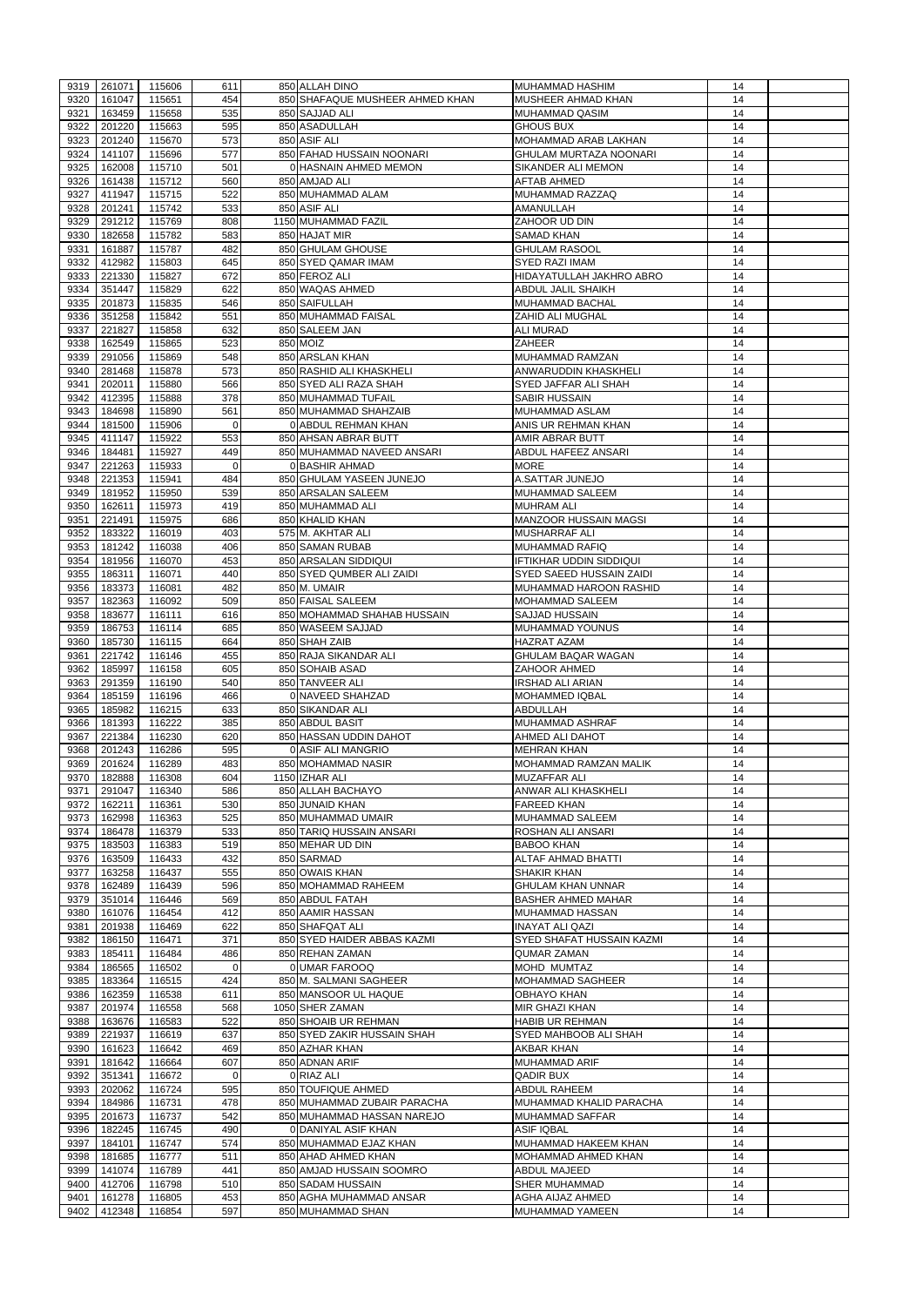| 9319 | 261071 | 115606 | 611      | 850 ALLAH DINO                  | MUHAMMAD HASHIM                 | 14 |  |
|------|--------|--------|----------|---------------------------------|---------------------------------|----|--|
| 9320 | 161047 | 115651 | 454      | 850 SHAFAQUE MUSHEER AHMED KHAN | MUSHEER AHMAD KHAN              | 14 |  |
| 9321 | 163459 | 115658 | 535      | 850 SAJJAD ALI                  | <b>MUHAMMAD QASIM</b>           | 14 |  |
| 9322 | 201220 | 115663 | 595      | 850 ASADULLAH                   | <b>GHOUS BUX</b>                | 14 |  |
| 9323 | 201240 | 115670 | 573      | 850 ASIF ALI                    | MOHAMMAD ARAB LAKHAN            | 14 |  |
|      |        |        | 577      |                                 |                                 |    |  |
| 9324 | 141107 | 115696 |          | 850 FAHAD HUSSAIN NOONARI       | <b>GHULAM MURTAZA NOONARI</b>   | 14 |  |
| 9325 | 162008 | 115710 | 501      | 0 HASNAIN AHMED MEMON           | SIKANDER ALI MEMON              | 14 |  |
| 9326 | 161438 | 115712 | 560      | 850 AMJAD ALI                   | AFTAB AHMED                     | 14 |  |
| 9327 | 411947 | 115715 | 522      | 850 MUHAMMAD ALAM               | MUHAMMAD RAZZAQ                 | 14 |  |
| 9328 | 201241 | 115742 | 533      | 850 ASIF ALI                    | AMANULLAH                       | 14 |  |
| 9329 | 291212 | 115769 | 808      | 1150 MUHAMMAD FAZIL             | ZAHOOR UD DIN                   | 14 |  |
| 9330 | 182658 | 115782 | 583      | 850 HAJAT MIR                   | <b>SAMAD KHAN</b>               | 14 |  |
| 9331 | 161887 | 115787 | 482      | 850 GHULAM GHOUSE               | <b>GHULAM RASOOL</b>            | 14 |  |
| 9332 | 412982 | 115803 | 645      | 850 SYED QAMAR IMAM             | <b>SYED RAZI IMAM</b>           | 14 |  |
| 9333 | 221330 | 115827 | 672      | 850 FEROZ ALI                   | HIDAYATULLAH JAKHRO ABRO        | 14 |  |
| 9334 | 351447 | 115829 | 622      | 850 WAQAS AHMED                 | ABDUL JALIL SHAIKH              | 14 |  |
| 9335 | 201873 | 115835 | 546      | 850 SAIFULLAH                   | MUHAMMAD BACHAL                 | 14 |  |
| 9336 | 351258 | 115842 | 551      | 850 MUHAMMAD FAISAL             | ZAHID ALI MUGHAL                | 14 |  |
| 9337 | 221827 | 115858 | 632      | 850 SALEEM JAN                  | <b>ALI MURAD</b>                | 14 |  |
| 9338 | 162549 | 115865 | 523      | 850 MOIZ                        | <b>ZAHEER</b>                   | 14 |  |
| 9339 | 291056 | 115869 | 548      | 850 ARSLAN KHAN                 | MUHAMMAD RAMZAN                 | 14 |  |
| 9340 | 281468 | 115878 | 573      | 850 RASHID ALI KHASKHELI        | ANWARUDDIN KHASKHELI            | 14 |  |
| 9341 | 202011 | 115880 | 566      | 850 SYED ALI RAZA SHAH          | SYED JAFFAR ALI SHAH            | 14 |  |
|      |        |        | 378      |                                 |                                 |    |  |
| 9342 | 412395 | 115888 |          | 850 MUHAMMAD TUFAIL             | <b>SABIR HUSSAIN</b>            | 14 |  |
| 9343 | 184698 | 115890 | 561      | 850 MUHAMMAD SHAHZAIB           | MUHAMMAD ASLAM                  | 14 |  |
| 9344 | 181500 | 115906 | $\Omega$ | 0 ABDUL REHMAN KHAN             | ANIS UR REHMAN KHAN             | 14 |  |
| 9345 | 411147 | 115922 | 553      | 850 AHSAN ABRAR BUTT            | AMIR ABRAR BUTT                 | 14 |  |
| 9346 | 184481 | 115927 | 449      | 850 MUHAMMAD NAVEED ANSARI      | ABDUL HAFEEZ ANSARI             | 14 |  |
| 9347 | 221263 | 115933 | $\Omega$ | 0 BASHIR AHMAD                  | <b>MORE</b>                     | 14 |  |
| 9348 | 221353 | 115941 | 484      | 850 GHULAM YASEEN JUNEJO        | A.SATTAR JUNEJO                 | 14 |  |
| 9349 | 181952 | 115950 | 539      | 850 ARSALAN SALEEM              | <b>MUHAMMAD SALEEM</b>          | 14 |  |
| 9350 | 162611 | 115973 | 419      | 850 MUHAMMAD ALI                | <b>MUHRAM ALI</b>               | 14 |  |
| 9351 | 221491 | 115975 | 686      | 850 KHALID KHAN                 | <b>MANZOOR HUSSAIN MAGSI</b>    | 14 |  |
| 9352 | 183322 | 116019 | 403      | 575 M. AKHTAR ALI               | <b>MUSHARRAF ALI</b>            | 14 |  |
| 9353 | 181242 | 116038 | 406      | 850 SAMAN RUBAB                 | <b>MUHAMMAD RAFIQ</b>           | 14 |  |
| 9354 | 181956 | 116070 | 453      | 850 ARSALAN SIDDIQUI            | <b>IFTIKHAR UDDIN SIDDIQUI</b>  | 14 |  |
| 9355 | 186311 | 116071 | 440      | 850 SYED QUMBER ALI ZAIDI       | <b>SYED SAEED HUSSAIN ZAIDI</b> | 14 |  |
| 9356 | 183373 | 116081 | 482      | 850 M. UMAIR                    | <b>MUHAMMAD HAROON RASHID</b>   | 14 |  |
| 9357 | 182363 | 116092 | 509      | 850 FAISAL SALEEM               | <b>MOHAMMAD SALEEM</b>          | 14 |  |
| 9358 | 183677 | 116111 | 616      | 850 MOHAMMAD SHAHAB HUSSAIN     | SAJJAD HUSSAIN                  | 14 |  |
| 9359 | 186753 | 116114 | 685      | 850 WASEEM SAJJAD               | <b>MUHAMMAD YOUNUS</b>          | 14 |  |
| 9360 | 185730 | 116115 | 664      | 850 SHAH ZAIB                   | HAZRAT AZAM                     | 14 |  |
|      |        |        | 455      | 850 RAJA SIKANDAR ALI           | <b>GHULAM BAQAR WAGAN</b>       |    |  |
| 9361 | 221742 | 116146 |          |                                 |                                 | 14 |  |
| 9362 | 185997 | 116158 | 605      | 850 SOHAIB ASAD                 | <b>ZAHOOR AHMED</b>             | 14 |  |
| 9363 | 291359 | 116190 | 540      | 850 TANVEER ALI                 | <b>IRSHAD ALI ARIAN</b>         | 14 |  |
| 9364 | 185159 | 116196 | 466      | 0 NAVEED SHAHZAD                | <b>MOHAMMED IQBAL</b>           | 14 |  |
| 9365 | 185982 | 116215 | 633      | 850 SIKANDAR ALI                | ABDULLAH                        | 14 |  |
| 9366 | 181393 | 116222 | 385      | 850 ABDUL BASIT                 | MUHAMMAD ASHRAF                 | 14 |  |
| 9367 | 221384 | 116230 | 620      | 850 HASSAN UDDIN DAHOT          | AHMED ALI DAHOT                 | 14 |  |
| 9368 | 201243 | 116286 | 595      | 0 ASIF ALI MANGRIO              | <b>MEHRAN KHAN</b>              | 14 |  |
| 9369 | 201624 | 116289 | 483      | 850 MOHAMMAD NASIR              | MOHAMMAD RAMZAN MALIK           | 14 |  |
| 9370 | 182888 | 116308 | 604      | 1150 IZHAR ALI                  | <b>MUZAFFAR ALI</b>             | 14 |  |
| 9371 | 291047 | 116340 | 586      | 850 ALLAH BACHAYO               | ANWAR ALI KHASKHELI             | 14 |  |
| 9372 | 162211 | 116361 | 530      | 850 JUNAID KHAN                 | <b>FAREED KHAN</b>              | 14 |  |
| 9373 | 162998 | 116363 | 525      | 850 MUHAMMAD UMAIR              | MUHAMMAD SALEEM                 | 14 |  |
| 9374 | 186478 | 116379 | 533      | 850 TARIQ HUSSAIN ANSARI        | ROSHAN ALI ANSARI               | 14 |  |
| 9375 | 183503 | 116383 | 519      | 850 MEHAR UD DIN                | <b>BABOO KHAN</b>               | 14 |  |
| 9376 | 163509 | 116433 | 432      | 850 SARMAD                      | ALTAF AHMAD BHATTI              | 14 |  |
| 9377 | 163258 | 116437 | 555      | 850 OWAIS KHAN                  | <b>SHAKIR KHAN</b>              | 14 |  |
| 9378 | 162489 | 116439 | 596      | 850 MOHAMMAD RAHEEM             | <b>GHULAM KHAN UNNAR</b>        | 14 |  |
| 9379 | 351014 | 116446 | 569      | 850 ABDUL FATAH                 | <b>BASHER AHMED MAHAR</b>       | 14 |  |
| 9380 | 161076 | 116454 | 412      | 850 AAMIR HASSAN                | MUHAMMAD HASSAN                 | 14 |  |
| 9381 | 201938 | 116469 | 622      | 850 SHAFQAT ALI                 | <b>INAYAT ALI QAZI</b>          | 14 |  |
| 9382 | 186150 | 116471 | 371      | 850 SYED HAIDER ABBAS KAZMI     | SYED SHAFAT HUSSAIN KAZMI       | 14 |  |
| 9383 | 185411 | 116484 | 486      | 850 REHAN ZAMAN                 | <b>QUMAR ZAMAN</b>              | 14 |  |
|      |        |        | $\Omega$ | <b>OUMAR FAROOQ</b>             |                                 |    |  |
| 9384 | 186565 | 116502 |          |                                 | MOHD MUMTAZ                     | 14 |  |
| 9385 | 183364 | 116515 | 424      | 850 M. SALMANI SAGHEER          | <b>MOHAMMAD SAGHEER</b>         | 14 |  |
| 9386 | 162359 | 116538 | 611      | 850 MANSOOR UL HAQUE            | <b>OBHAYO KHAN</b>              | 14 |  |
| 9387 | 201974 | 116558 | 568      | 1050 SHER ZAMAN                 | MIR GHAZI KHAN                  | 14 |  |
| 9388 | 163676 | 116583 | 522      | 850 SHOAIB UR REHMAN            | <b>HABIB UR REHMAN</b>          | 14 |  |
| 9389 | 221937 | 116619 | 637      | 850 SYED ZAKIR HUSSAIN SHAH     | SYED MAHBOOB ALI SHAH           | 14 |  |
| 9390 | 161623 | 116642 | 469      | 850 AZHAR KHAN                  | AKBAR KHAN                      | 14 |  |
| 9391 | 181642 | 116664 | 607      | 850 ADNAN ARIF                  | MUHAMMAD ARIF                   | 14 |  |
| 9392 | 351341 | 116672 | 0        | 0 RIAZ ALI                      | <b>QADIR BUX</b>                | 14 |  |
| 9393 | 202062 | 116724 | 595      | 850 TOUFIQUE AHMED              | ABDUL RAHEEM                    | 14 |  |
| 9394 | 184986 | 116731 | 478      | 850 MUHAMMAD ZUBAIR PARACHA     | MUHAMMAD KHALID PARACHA         | 14 |  |
| 9395 | 201673 | 116737 | 542      | 850 MUHAMMAD HASSAN NAREJO      | <b>MUHAMMAD SAFFAR</b>          | 14 |  |
| 9396 | 182245 | 116745 | 490      | 0 DANIYAL ASIF KHAN             | <b>ASIF IQBAL</b>               | 14 |  |
| 9397 | 184101 | 116747 | 574      | 850 MUHAMMAD EJAZ KHAN          | MUHAMMAD HAKEEM KHAN            | 14 |  |
| 9398 | 181685 | 116777 | 511      | 850 AHAD AHMED KHAN             | <b>MOHAMMAD AHMED KHAN</b>      | 14 |  |
| 9399 | 141074 | 116789 | 441      | 850 AMJAD HUSSAIN SOOMRO        | ABDUL MAJEED                    | 14 |  |
| 9400 | 412706 | 116798 | 510      | 850 SADAM HUSSAIN               | SHER MUHAMMAD                   | 14 |  |
| 9401 | 161278 | 116805 | 453      | 850 AGHA MUHAMMAD ANSAR         | <b>AGHA AIJAZ AHMED</b>         | 14 |  |
| 9402 | 412348 | 116854 | 597      | 850 MUHAMMAD SHAN               | MUHAMMAD YAMEEN                 | 14 |  |
|      |        |        |          |                                 |                                 |    |  |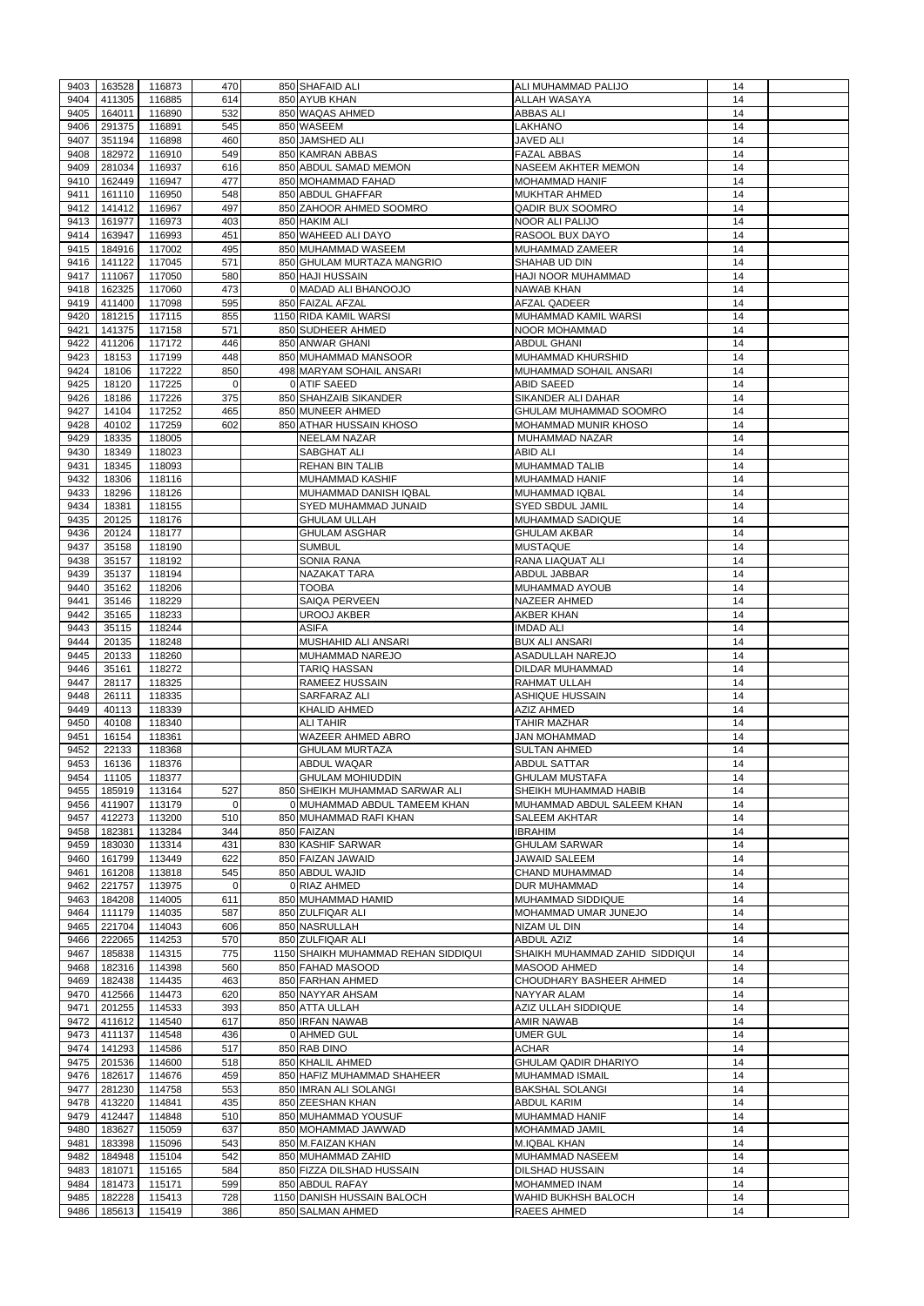| 9403         | 163528           | 116873           | 470         | 850 SHAFAID ALI                     | ALI MUHAMMAD PALIJO            | 14 |  |
|--------------|------------------|------------------|-------------|-------------------------------------|--------------------------------|----|--|
|              |                  |                  |             |                                     |                                |    |  |
| 9404         | 411305           | 116885           | 614         | 850 AYUB KHAN                       | <b>ALLAH WASAYA</b>            | 14 |  |
| 9405         | 164011           | 116890           | 532         | 850 WAQAS AHMED                     | <b>ABBAS ALI</b>               | 14 |  |
| 9406         | 291375           | 116891           | 545         | 850 WASEEM                          | LAKHANO                        | 14 |  |
| 9407         | 351194           | 116898           | 460         | 850 JAMSHED ALI                     | <b>JAVED ALI</b>               | 14 |  |
| 9408         | 182972           | 116910           | 549         | 850 KAMRAN ABBAS                    | <b>FAZAL ABBAS</b>             | 14 |  |
|              |                  |                  |             |                                     |                                |    |  |
| 9409         | 281034           | 116937           | 616         | 850 ABDUL SAMAD MEMON               | NASEEM AKHTER MEMON            | 14 |  |
| 9410         | 162449           | 116947           | 477         | 850 MOHAMMAD FAHAD                  | <b>MOHAMMAD HANIF</b>          | 14 |  |
| 9411         | 161110           | 116950           | 548         | 850 ABDUL GHAFFAR                   | <b>MUKHTAR AHMED</b>           | 14 |  |
| 9412         | 141412           | 116967           | 497         | 850 ZAHOOR AHMED SOOMRO             | <b>QADIR BUX SOOMRO</b>        | 14 |  |
| 9413         | 161977           | 116973           | 403         | 850 HAKIM ALI                       | <b>NOOR ALI PALIJO</b>         | 14 |  |
|              |                  |                  |             |                                     |                                |    |  |
| 9414         | 163947           | 116993           | 451         | 850 WAHEED ALI DAYO                 | RASOOL BUX DAYO                | 14 |  |
| 9415         | 184916           | 117002           | 495         | 850 MUHAMMAD WASEEM                 | <b>MUHAMMAD ZAMEER</b>         | 14 |  |
| 9416         | 141122           | 117045           | 571         | 850 GHULAM MURTAZA MANGRIO          | SHAHAB UD DIN                  | 14 |  |
| 9417         | 111067           | 117050           | 580         | 850 HAJI HUSSAIN                    | HAJI NOOR MUHAMMAD             | 14 |  |
|              | 162325           |                  | 473         | 0 MADAD ALI BHANOOJO                | <b>NAWAB KHAN</b>              |    |  |
| 9418         |                  | 117060           |             |                                     |                                | 14 |  |
| 9419         | 411400           | 117098           | 595         | 850 FAIZAL AFZAL                    | <b>AFZAL QADEER</b>            | 14 |  |
| 9420         | 181215           | 117115           | 855         | 1150 RIDA KAMIL WARSI               | MUHAMMAD KAMIL WARSI           | 14 |  |
| 9421         | 141375           | 117158           | 571         | 850 SUDHEER AHMED                   | <b>NOOR MOHAMMAD</b>           | 14 |  |
| 9422         | 411206           | 117172           | 446         | 850 ANWAR GHANI                     | <b>ABDUL GHANI</b>             | 14 |  |
|              |                  |                  |             |                                     |                                |    |  |
| 9423         | 18153            | 117199           | 448         | 850 MUHAMMAD MANSOOR                | <b>MUHAMMAD KHURSHID</b>       | 14 |  |
| 9424         | 18106            | 117222           | 850         | 498 MARYAM SOHAIL ANSARI            | MUHAMMAD SOHAIL ANSARI         | 14 |  |
| 9425         | 18120            | 117225           | $\mathbf 0$ | 0 ATIF SAEED                        | <b>ABID SAEED</b>              | 14 |  |
|              |                  |                  | 375         | 850 SHAHZAIB SIKANDER               |                                | 14 |  |
| 9426         | 18186            | 117226           |             |                                     | SIKANDER ALI DAHAR             |    |  |
| 9427         | 14104            | 117252           | 465         | 850 MUNEER AHMED                    | GHULAM MUHAMMAD SOOMRO         | 14 |  |
| 9428         | 40102            | 117259           | 602         | 850 ATHAR HUSSAIN KHOSO             | MOHAMMAD MUNIR KHOSO           | 14 |  |
| 9429         | 18335            | 118005           |             | <b>NEELAM NAZAR</b>                 | MUHAMMAD NAZAR                 | 14 |  |
| 9430         | 18349            | 118023           |             | SABGHAT ALI                         | ABID ALI                       | 14 |  |
|              |                  |                  |             |                                     |                                |    |  |
| 9431         | 18345            | 118093           |             | <b>REHAN BIN TALIB</b>              | <b>MUHAMMAD TALIB</b>          | 14 |  |
| 9432         | 18306            | 118116           |             | MUHAMMAD KASHIF                     | <b>MUHAMMAD HANIF</b>          | 14 |  |
| 9433         | 18296            | 118126           |             | MUHAMMAD DANISH IQBAL               | <b>MUHAMMAD IQBAL</b>          | 14 |  |
| 9434         | 18381            | 118155           |             | SYED MUHAMMAD JUNAID                | <b>SYED SBDUL JAMIL</b>        | 14 |  |
|              |                  |                  |             |                                     |                                |    |  |
| 9435         | 20125            | 118176           |             | <b>GHULAM ULLAH</b>                 | <b>MUHAMMAD SADIQUE</b>        | 14 |  |
| 9436         | 20124            | 118177           |             | <b>GHULAM ASGHAR</b>                | <b>GHULAM AKBAR</b>            | 14 |  |
| 9437         | 35158            | 118190           |             | <b>SUMBUL</b>                       | <b>MUSTAQUE</b>                | 14 |  |
| 9438         | 35157            | 118192           |             | <b>SONIA RANA</b>                   | <b>RANA LIAQUAT ALI</b>        | 14 |  |
|              |                  |                  |             |                                     |                                |    |  |
| 9439         | 35137            | 118194           |             | <b>NAZAKAT TARA</b>                 | <b>ABDUL JABBAR</b>            | 14 |  |
| 9440         | 35162            | 118206           |             | <b>TOOBA</b>                        | MUHAMMAD AYOUB                 | 14 |  |
| 9441         | 35146            | 118229           |             | SAIQA PERVEEN                       | <b>NAZEER AHMED</b>            | 14 |  |
| 9442         | 35165            | 118233           |             | <b>UROOJ AKBER</b>                  | AKBER KHAN                     | 14 |  |
|              |                  |                  |             |                                     |                                |    |  |
| 9443         | 35115            | 118244           |             | <b>ASIFA</b>                        | <b>IMDAD ALI</b>               | 14 |  |
| 9444         | 20135            | 118248           |             | MUSHAHID ALI ANSARI                 | <b>BUX ALI ANSARI</b>          | 14 |  |
| 9445         | 20133            | 118260           |             | MUHAMMAD NAREJO                     | <b>ASADULLAH NAREJO</b>        | 14 |  |
| 9446         | 35161            | 118272           |             | TARIQ HASSAN                        | DILDAR MUHAMMAD                | 14 |  |
|              |                  |                  |             |                                     |                                |    |  |
| 9447         | 28117            | 118325           |             | RAMEEZ HUSSAIN                      | <b>RAHMAT ULLAH</b>            | 14 |  |
| 9448         | 26111            | 118335           |             | SARFARAZ ALI                        | <b>ASHIQUE HUSSAIN</b>         | 14 |  |
| 9449         | 40113            | 118339           |             | KHALID AHMED                        | <b>AZIZ AHMED</b>              | 14 |  |
| 9450         | 40108            | 118340           |             | <b>ALI TAHIR</b>                    | <b>TAHIR MAZHAR</b>            | 14 |  |
|              |                  |                  |             |                                     |                                |    |  |
| 9451         | 16154            | 118361           |             | <b>WAZEER AHMED ABRO</b>            | <b>JAN MOHAMMAD</b>            | 14 |  |
| 9452         | 22133            | 118368           |             | <b>GHULAM MURTAZA</b>               | <b>SULTAN AHMED</b>            | 14 |  |
| 9453         | 16136            | 118376           |             | ABDUL WAQAR                         | <b>ABDUL SATTAR</b>            | 14 |  |
| 9454         | 11105            | 118377           |             | <b>GHULAM MOHIUDDIN</b>             | <b>GHULAM MUSTAFA</b>          | 14 |  |
|              |                  |                  |             |                                     |                                |    |  |
| 9455         | 185919           | 113164           | 527         | 850 SHEIKH MUHAMMAD SARWAR ALI      | SHEIKH MUHAMMAD HABIB          | 14 |  |
| 9456         | 411907           | 113179           | $\mathbf 0$ | 0 MUHAMMAD ABDUL TAMEEM KHAN        | MUHAMMAD ABDUL SALEEM KHAN     | 14 |  |
| 9457         | 412273           | 113200           | 510         | 850 MUHAMMAD RAFI KHAN              | <b>SALEEM AKHTAR</b>           | 14 |  |
| 9458         | 182381           | 113284           | 344         | 850 FAIZAN                          | <b>IBRAHIM</b>                 | 14 |  |
| 9459         | 183030           | 113314           | 431         | 830 KASHIF SARWAR                   | <b>GHULAM SARWAR</b>           | 14 |  |
|              |                  |                  |             |                                     |                                |    |  |
| 9460         | 161799           | 113449           | 622         | 850 FAIZAN JAWAID                   | <b>JAWAID SALEEM</b>           | 14 |  |
| 9461         | 161208           | 113818           | 545         | 850 ABDUL WAJID                     | CHAND MUHAMMAD                 | 14 |  |
| 9462         | 221757           | 113975           | $\Omega$    | 0 RIAZ AHMED                        | DUR MUHAMMAD                   | 14 |  |
| 9463         | 184208           | 114005           | 611         | 850 MUHAMMAD HAMID                  | <b>MUHAMMAD SIDDIQUE</b>       | 14 |  |
| 9464         |                  |                  | 587         |                                     |                                |    |  |
|              | 111179           | 114035           |             | 850 ZULFIQAR ALI                    | MOHAMMAD UMAR JUNEJO           | 14 |  |
| 9465         | 221704           | 114043           | 606         | 850 NASRULLAH                       | NIZAM UL DIN                   | 14 |  |
| 9466         | 222065           | 114253           | 570         | 850 ZULFIQAR ALI                    | <b>ABDUL AZIZ</b>              | 14 |  |
| 9467         | 185838           | 114315           | 775         | 1150 SHAIKH MUHAMMAD REHAN SIDDIQUI | SHAIKH MUHAMMAD ZAHID SIDDIQUI | 14 |  |
| 9468         | 182316           | 114398           | 560         | 850 FAHAD MASOOD                    | <b>MASOOD AHMED</b>            | 14 |  |
|              |                  |                  |             |                                     |                                |    |  |
| 9469         | 182438           | 114435           | 463         | 850 FARHAN AHMED                    | CHOUDHARY BASHEER AHMED        | 14 |  |
| 9470         | 412566           | 114473           | 620         | 850 NAYYAR AHSAM                    | <b>NAYYAR ALAM</b>             | 14 |  |
| 9471         | 201255           | 114533           | 393         | 850 ATTA ULLAH                      | AZIZ ULLAH SIDDIQUE            | 14 |  |
| 9472         | 411612           | 114540           | 617         | 850 IRFAN NAWAB                     | <b>AMIR NAWAB</b>              | 14 |  |
|              |                  |                  |             |                                     |                                |    |  |
| 9473         | 411137           | 114548           | 436         | 0 AHMED GUL                         | <b>UMER GUL</b>                | 14 |  |
| 9474         | 141293           | 114586           | 517         | 850 RAB DINO                        | <b>ACHAR</b>                   | 14 |  |
|              | 9475 201536      | 114600           | 518         | 850 KHALIL AHMED                    | <b>GHULAM QADIR DHARIYO</b>    | 14 |  |
| 9476         | 182617           | 114676           | 459         | 850 HAFIZ MUHAMMAD SHAHEER          | <b>MUHAMMAD ISMAIL</b>         | 14 |  |
|              |                  |                  |             |                                     |                                |    |  |
| 9477         | 281230           | 114758           | 553         | 850 IMRAN ALI SOLANGI               | <b>BAKSHAL SOLANGI</b>         | 14 |  |
| 9478         | 413220           | 114841           | 435         | 850 ZEESHAN KHAN                    | ABDUL KARIM                    | 14 |  |
| 9479         | 412447           | 114848           | 510         | 850 MUHAMMAD YOUSUF                 | <b>MUHAMMAD HANIF</b>          | 14 |  |
| 9480         | 183627           | 115059           | 637         | 850 MOHAMMAD JAWWAD                 | MOHAMMAD JAMIL                 | 14 |  |
|              |                  |                  |             | 850 M.FAIZAN KHAN                   |                                |    |  |
| 9481         | 183398           | 115096           | 543         |                                     | <b>M.IQBAL KHAN</b>            | 14 |  |
| 9482         | 184948           | 115104           | 542         | 850 MUHAMMAD ZAHID                  | MUHAMMAD NASEEM                | 14 |  |
| 9483         | 181071           | 115165           | 584         | 850 FIZZA DILSHAD HUSSAIN           | <b>DILSHAD HUSSAIN</b>         | 14 |  |
| 9484         | 181473           | 115171           | 599         | 850 ABDUL RAFAY                     | MOHAMMED INAM                  | 14 |  |
|              |                  |                  | 728         | 1150 DANISH HUSSAIN BALOCH          |                                |    |  |
|              |                  |                  |             |                                     | <b>WAHID BUKHSH BALOCH</b>     | 14 |  |
| 9485<br>9486 | 182228<br>185613 | 115413<br>115419 | 386         | 850 SALMAN AHMED                    | <b>RAEES AHMED</b>             | 14 |  |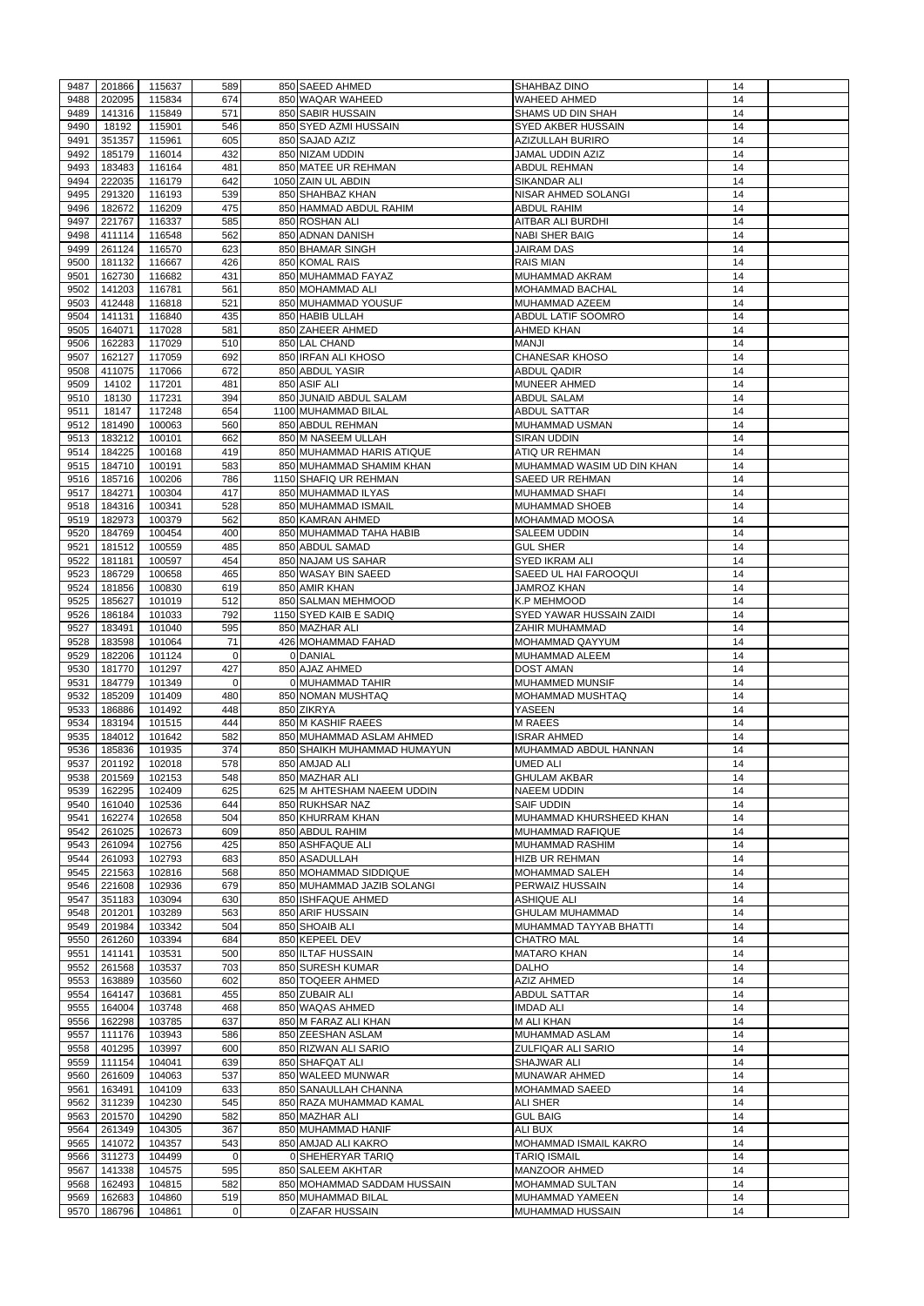| 9487 | 201866      | 115637 | 589      | 850 SAEED AHMED             | <b>SHAHBAZ DINO</b>          | 14 |  |
|------|-------------|--------|----------|-----------------------------|------------------------------|----|--|
| 9488 | 202095      | 115834 | 674      |                             | <b>WAHEED AHMED</b>          | 14 |  |
|      |             |        |          | 850 WAQAR WAHEED            |                              |    |  |
| 9489 | 141316      | 115849 | 571      | 850 SABIR HUSSAIN           | <b>SHAMS UD DIN SHAH</b>     | 14 |  |
| 9490 | 18192       | 115901 | 546      | 850 SYED AZMI HUSSAIN       | <b>SYED AKBER HUSSAIN</b>    | 14 |  |
| 9491 | 351357      | 115961 | 605      | 850 SAJAD AZIZ              | <b>AZIZULLAH BURIRO</b>      | 14 |  |
| 9492 | 185179      | 116014 | 432      | 850 NIZAM UDDIN             | JAMAL UDDIN AZIZ             | 14 |  |
| 9493 | 183483      | 116164 | 481      | 850 MATEE UR REHMAN         | ABDUL REHMAN                 | 14 |  |
| 9494 | 222035      | 116179 | 642      | 1050 ZAIN UL ABDIN          | SIKANDAR ALI                 | 14 |  |
|      |             |        |          |                             |                              |    |  |
| 9495 | 291320      | 116193 | 539      | 850 SHAHBAZ KHAN            | <b>NISAR AHMED SOLANGI</b>   | 14 |  |
| 9496 | 182672      | 116209 | 475      | 850 HAMMAD ABDUL RAHIM      | <b>ABDUL RAHIM</b>           | 14 |  |
| 9497 | 221767      | 116337 | 585      | 850 ROSHAN ALI              | AITBAR ALI BURDHI            | 14 |  |
| 9498 | 411114      | 116548 | 562      | 850 ADNAN DANISH            | <b>NABI SHER BAIG</b>        | 14 |  |
| 9499 | 261124      | 116570 | 623      | 850 BHAMAR SINGH            | <b>JAIRAM DAS</b>            | 14 |  |
| 9500 | 181132      | 116667 | 426      | 850 KOMAL RAIS              | <b>RAIS MIAN</b>             | 14 |  |
| 9501 | 162730      | 116682 | 431      | 850 MUHAMMAD FAYAZ          | <b>MUHAMMAD AKRAM</b>        | 14 |  |
|      |             |        |          |                             |                              |    |  |
| 9502 | 141203      | 116781 | 561      | 850 MOHAMMAD ALI            | <b>MOHAMMAD BACHAL</b>       | 14 |  |
| 9503 | 412448      | 116818 | 521      | 850 MUHAMMAD YOUSUF         | MUHAMMAD AZEEM               | 14 |  |
| 9504 | 141131      | 116840 | 435      | 850 HABIB ULLAH             | <b>ABDUL LATIF SOOMRO</b>    | 14 |  |
| 9505 | 164071      | 117028 | 581      | 850 ZAHEER AHMED            | <b>AHMED KHAN</b>            | 14 |  |
| 9506 | 162283      | 117029 | 510      | 850 LAL CHAND               | <b>MANJI</b>                 | 14 |  |
| 9507 | 162127      | 117059 | 692      | 850 IRFAN ALI KHOSO         | <b>CHANESAR KHOSO</b>        | 14 |  |
|      |             |        |          |                             |                              |    |  |
| 9508 | 411075      | 117066 | 672      | 850 ABDUL YASIR             | <b>ABDUL QADIR</b>           | 14 |  |
| 9509 | 14102       | 117201 | 481      | 850 ASIF ALI                | <b>MUNEER AHMED</b>          | 14 |  |
| 9510 | 18130       | 117231 | 394      | 850 JUNAID ABDUL SALAM      | ABDUL SALAM                  | 14 |  |
| 9511 | 18147       | 117248 | 654      | 1100 MUHAMMAD BILAL         | <b>ABDUL SATTAR</b>          | 14 |  |
| 9512 | 181490      | 100063 | 560      | 850 ABDUL REHMAN            | MUHAMMAD USMAN               | 14 |  |
| 9513 | 183212      | 100101 | 662      | 850 M NASEEM ULLAH          | <b>SIRAN UDDIN</b>           | 14 |  |
|      |             |        |          |                             |                              |    |  |
| 9514 | 184225      | 100168 | 419      | 850 MUHAMMAD HARIS ATIQUE   | <b>ATIQ UR REHMAN</b>        | 14 |  |
| 9515 | 184710      | 100191 | 583      | 850 MUHAMMAD SHAMIM KHAN    | MUHAMMAD WASIM UD DIN KHAN   | 14 |  |
| 9516 | 185716      | 100206 | 786      | 1150 SHAFIQ UR REHMAN       | <b>SAEED UR REHMAN</b>       | 14 |  |
| 9517 | 184271      | 100304 | 417      | 850 MUHAMMAD ILYAS          | <b>MUHAMMAD SHAFI</b>        | 14 |  |
| 9518 | 184316      | 100341 | 528      | 850 MUHAMMAD ISMAIL         | <b>MUHAMMAD SHOEB</b>        | 14 |  |
| 9519 | 182973      | 100379 | 562      | 850 KAMRAN AHMED            | <b>MOHAMMAD MOOSA</b>        | 14 |  |
|      |             |        |          |                             |                              |    |  |
| 9520 | 184769      | 100454 | 400      | 850 MUHAMMAD TAHA HABIB     | <b>SALEEM UDDIN</b>          | 14 |  |
| 9521 | 181512      | 100559 | 485      | 850 ABDUL SAMAD             | <b>GUL SHER</b>              | 14 |  |
| 9522 | 181181      | 100597 | 454      | 850 NAJAM US SAHAR          | <b>SYED IKRAM ALI</b>        | 14 |  |
| 9523 | 186729      | 100658 | 465      | 850 WASAY BIN SAEED         | SAEED UL HAI FAROOQUI        | 14 |  |
| 9524 | 181856      | 100830 | 619      | 850 AMIR KHAN               | <b>JAMROZ KHAN</b>           | 14 |  |
| 9525 | 185627      | 101019 | 512      | 850 SALMAN MEHMOOD          | <b>K.P MEHMOOD</b>           | 14 |  |
|      |             |        |          |                             |                              |    |  |
| 9526 | 186184      | 101033 | 792      | 1150 SYED KAIB E SADIQ      | SYED YAWAR HUSSAIN ZAIDI     | 14 |  |
| 9527 | 183491      | 101040 | 595      | 850 MAZHAR ALI              | ZAHIR MUHAMMAD               | 14 |  |
| 9528 | 183598      | 101064 | 71       | 426 MOHAMMAD FAHAD          | <b>MOHAMMAD QAYYUM</b>       | 14 |  |
| 9529 | 182206      | 101124 | $\Omega$ | 0 DANIAL                    | MUHAMMAD ALEEM               | 14 |  |
| 9530 | 181770      | 101297 | 427      | 850 AJAZ AHMED              | <b>DOST AMAN</b>             | 14 |  |
| 9531 | 184779      | 101349 | $\Omega$ | 0 MUHAMMAD TAHIR            | MUHAMMED MUNSIF              | 14 |  |
| 9532 | 185209      | 101409 | 480      | 850 NOMAN MUSHTAQ           | MOHAMMAD MUSHTAQ             | 14 |  |
|      |             |        |          |                             |                              |    |  |
| 9533 | 186886      | 101492 | 448      | 850 ZIKRYA                  | <b>YASEEN</b>                | 14 |  |
| 9534 | 183194      | 101515 | 444      | 850 M KASHIF RAEES          | <b>M RAEES</b>               | 14 |  |
| 9535 | 184012      | 101642 | 582      | 850 MUHAMMAD ASLAM AHMED    | <b>ISRAR AHMED</b>           | 14 |  |
| 9536 | 185836      | 101935 | 374      | 850 SHAIKH MUHAMMAD HUMAYUN | MUHAMMAD ABDUL HANNAN        | 14 |  |
| 9537 | 201192      | 102018 | 578      | 850 AMJAD ALI               | <b>UMED ALI</b>              | 14 |  |
| 9538 | 201569      | 102153 | 548      | 850 MAZHAR ALI              | <b>GHULAM AKBAR</b>          | 14 |  |
| 9539 | 162295      | 102409 | 625      | 625 M AHTESHAM NAEEM UDDIN  | <b>NAEEM UDDIN</b>           | 14 |  |
|      |             |        |          |                             |                              |    |  |
| 9540 | 161040      | 102536 | 644      | 850 RUKHSAR NAZ             | <b>SAIF UDDIN</b>            | 14 |  |
| 9541 | 162274      | 102658 | 504      | 850 KHURRAM KHAN            | MUHAMMAD KHURSHEED KHAN      | 14 |  |
| 9542 | 261025      | 102673 | 609      | 850 ABDUL RAHIM             | <b>MUHAMMAD RAFIQUE</b>      | 14 |  |
| 9543 | 261094      | 102756 | 425      | 850 ASHFAQUE ALI            | <b>MUHAMMAD RASHIM</b>       | 14 |  |
| 9544 | 261093      | 102793 | 683      | 850 ASADULLAH               | HIZB UR REHMAN               | 14 |  |
| 9545 | 221563      | 102816 | 568      | 850 MOHAMMAD SIDDIQUE       | <b>MOHAMMAD SALEH</b>        | 14 |  |
|      |             |        | 679      | 850 MUHAMMAD JAZIB SOLANGI  |                              |    |  |
| 9546 | 221608      | 102936 |          |                             | PERWAIZ HUSSAIN              | 14 |  |
| 9547 | 351183      | 103094 | 630      | 850 ISHFAQUE AHMED          | <b>ASHIQUE ALI</b>           | 14 |  |
| 9548 | 201201      | 103289 | 563      | 850 ARIF HUSSAIN            | <b>GHULAM MUHAMMAD</b>       | 14 |  |
| 9549 | 201984      | 103342 | 504      | 850 SHOAIB ALI              | MUHAMMAD TAYYAB BHATTI       | 14 |  |
| 9550 | 261260      | 103394 | 684      | 850 KEPEEL DEV              | <b>CHATRO MAL</b>            | 14 |  |
| 9551 | 141141      | 103531 | 500      | 850 ILTAF HUSSAIN           | <b>MATARO KHAN</b>           | 14 |  |
| 9552 | 261568      | 103537 | 703      | 850 SURESH KUMAR            | <b>DALHO</b>                 | 14 |  |
|      |             |        |          |                             |                              |    |  |
| 9553 | 163889      | 103560 | 602      | 850 TOQEER AHMED            | <b>AZIZ AHMED</b>            | 14 |  |
| 9554 | 164147      | 103681 | 455      | 850 ZUBAIR ALI              | <b>ABDUL SATTAR</b>          | 14 |  |
| 9555 | 164004      | 103748 | 468      | 850 WAQAS AHMED             | <b>IMDAD ALI</b>             | 14 |  |
| 9556 | 162298      | 103785 | 637      | 850 M FARAZ ALI KHAN        | <b>M ALI KHAN</b>            | 14 |  |
| 9557 | 111176      | 103943 | 586      | 850 ZEESHAN ASLAM           | MUHAMMAD ASLAM               | 14 |  |
| 9558 | 401295      | 103997 | 600      | 850 RIZWAN ALI SARIO        | ZULFIQAR ALI SARIO           | 14 |  |
|      | 9559 111154 | 104041 |          | 850 SHAFQAT ALI             | <b>SHAJWAR ALI</b>           |    |  |
|      |             |        | 639      |                             |                              | 14 |  |
| 9560 | 261609      | 104063 | 537      | 850 WALEED MUNWAR           | MUNAWAR AHMED                | 14 |  |
| 9561 | 163491      | 104109 | 633      | 850 SANAULLAH CHANNA        | <b>MOHAMMAD SAEED</b>        | 14 |  |
| 9562 | 311239      | 104230 | 545      | 850 RAZA MUHAMMAD KAMAL     | <b>ALI SHER</b>              | 14 |  |
| 9563 | 201570      | 104290 | 582      | 850 MAZHAR ALI              | <b>GUL BAIG</b>              | 14 |  |
| 9564 | 261349      | 104305 | 367      | 850 MUHAMMAD HANIF          | ALI BUX                      | 14 |  |
| 9565 | 141072      | 104357 | 543      | 850 AMJAD ALI KAKRO         | <b>MOHAMMAD ISMAIL KAKRO</b> | 14 |  |
|      |             |        |          |                             |                              |    |  |
| 9566 | 311273      | 104499 | $\Omega$ | 0 SHEHERYAR TARIQ           | <b>TARIQ ISMAIL</b>          | 14 |  |
| 9567 | 141338      | 104575 | 595      | 850 SALEEM AKHTAR           | <b>MANZOOR AHMED</b>         | 14 |  |
| 9568 | 162493      | 104815 | 582      | 850 MOHAMMAD SADDAM HUSSAIN | <b>MOHAMMAD SULTAN</b>       | 14 |  |
|      |             |        |          | 850 MUHAMMAD BILAL          | MUHAMMAD YAMEEN              | 14 |  |
| 9569 | 162683      | 104860 | 519      |                             |                              |    |  |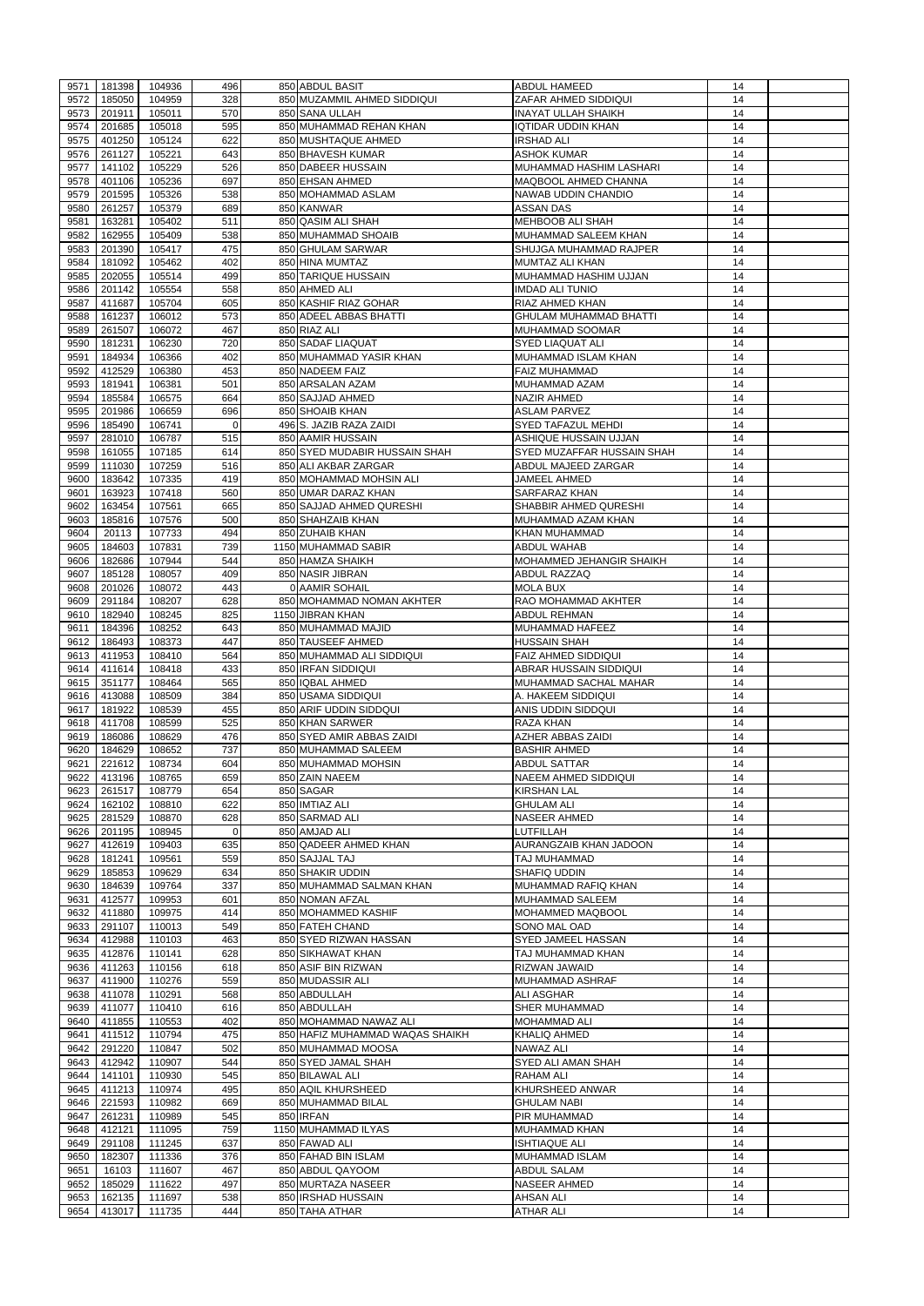| 9571         | 181398           | 104936           | 496            | 850 ABDUL BASIT                      | <b>ABDUL HAMEED</b>                  | 14       |  |
|--------------|------------------|------------------|----------------|--------------------------------------|--------------------------------------|----------|--|
|              |                  |                  | 328            |                                      | ZAFAR AHMED SIDDIQUI                 |          |  |
| 9572         | 185050           | 104959           |                | 850 MUZAMMIL AHMED SIDDIQUI          |                                      | 14       |  |
| 9573         | 201911           | 105011           | 570            | 850 SANA ULLAH                       | <b>INAYAT ULLAH SHAIKH</b>           | 14       |  |
| 9574         | 201685           | 105018           | 595            | 850 MUHAMMAD REHAN KHAN              | <b>IQTIDAR UDDIN KHAN</b>            | 14       |  |
| 9575         | 401250           | 105124           | 622            | 850 MUSHTAQUE AHMED                  | <b>IRSHAD ALI</b>                    | 14       |  |
| 9576         | 261127           | 105221           | 643            | 850 BHAVESH KUMAR                    | <b>ASHOK KUMAR</b>                   | 14       |  |
| 9577         | 141102           | 105229           | 526            | 850 DABEER HUSSAIN                   | MUHAMMAD HASHIM LASHARI              | 14       |  |
| 9578         | 401106           | 105236           | 697            | 850 EHSAN AHMED                      | MAQBOOL AHMED CHANNA                 | 14       |  |
|              |                  |                  |                |                                      |                                      |          |  |
| 9579         | 201595           | 105326           | 538            | 850 MOHAMMAD ASLAM                   | NAWAB UDDIN CHANDIO                  | 14       |  |
| 9580         | 261257           | 105379           | 689            | 850 KANWAR                           | <b>ASSAN DAS</b>                     | 14       |  |
| 9581         | 163281           | 105402           | 511            | 850 QASIM ALI SHAH                   | <b>MEHBOOB ALI SHAH</b>              | 14       |  |
| 9582         | 162955           | 105409           | 538            | 850 MUHAMMAD SHOAIB                  | MUHAMMAD SALEEM KHAN                 | 14       |  |
| 9583         | 201390           | 105417           | 475            | 850 GHULAM SARWAR                    | <b>SHUJGA MUHAMMAD RAJPER</b>        | 14       |  |
| 9584         | 181092           | 105462           | 402            | 850 HINA MUMTAZ                      | MUMTAZ ALI KHAN                      | 14       |  |
| 9585         | 202055           | 105514           | 499            | 850 TARIQUE HUSSAIN                  | MUHAMMAD HASHIM UJJAN                | 14       |  |
| 9586         | 201142           | 105554           | 558            | 850 AHMED ALI                        | <b>IMDAD ALI TUNIO</b>               | 14       |  |
|              |                  |                  |                |                                      |                                      |          |  |
| 9587         | 411687           | 105704           | 605            | 850 KASHIF RIAZ GOHAR                | RIAZ AHMED KHAN                      | 14       |  |
| 9588         | 161237           | 106012           | 573            | 850 ADEEL ABBAS BHATTI               | <b>GHULAM MUHAMMAD BHATTI</b>        | 14       |  |
| 9589         | 261507           | 106072           | 467            | 850 RIAZ ALI                         | MUHAMMAD SOOMAR                      | 14       |  |
| 9590         | 181231           | 106230           | 720            | 850 SADAF LIAQUAT                    | <b>SYED LIAQUAT ALI</b>              | 14       |  |
| 9591         | 184934           | 106366           | 402            | 850 MUHAMMAD YASIR KHAN              | MUHAMMAD ISLAM KHAN                  | 14       |  |
| 9592         | 412529           | 106380           | 453            | 850 NADEEM FAIZ                      | <b>FAIZ MUHAMMAD</b>                 | 14       |  |
| 9593         | 181941           | 106381           | 501            | 850 ARSALAN AZAM                     | MUHAMMAD AZAM                        | 14       |  |
| 9594         | 185584           | 106575           | 664            | 850 SAJJAD AHMED                     | <b>NAZIR AHMED</b>                   | 14       |  |
|              |                  |                  |                |                                      |                                      |          |  |
| 9595         | 201986           | 106659           | 696            | 850 SHOAIB KHAN                      | <b>ASLAM PARVEZ</b>                  | 14       |  |
| 9596         | 185490           | 106741           | $\mathbf 0$    | 496 S. JAZIB RAZA ZAIDI              | <b>SYED TAFAZUL MEHDI</b>            | 14       |  |
| 9597         | 281010           | 106787           | 515            | 850 AAMIR HUSSAIN                    | ASHIQUE HUSSAIN UJJAN                | 14       |  |
| 9598         | 161055           | 107185           | 614            | 850 SYED MUDABIR HUSSAIN SHAH        | SYED MUZAFFAR HUSSAIN SHAH           | 14       |  |
| 9599         | 111030           | 107259           | 516            | 850 ALI AKBAR ZARGAR                 | ABDUL MAJEED ZARGAR                  | 14       |  |
| 9600         | 183642           | 107335           | 419            | 850 MOHAMMAD MOHSIN ALI              | JAMEEL AHMED                         | 14       |  |
| 9601         | 163923           | 107418           | 560            | 850 UMAR DARAZ KHAN                  | <b>SARFARAZ KHAN</b>                 | 14       |  |
| 9602         | 163454           | 107561           | 665            | 850 SAJJAD AHMED QURESHI             | SHABBIR AHMED QURESHI                | 14       |  |
|              |                  |                  |                |                                      |                                      |          |  |
| 9603         | 185816           | 107576           | 500            | 850 SHAHZAIB KHAN                    | MUHAMMAD AZAM KHAN                   | 14       |  |
| 9604         | 20113            | 107733           | 494            | 850 ZUHAIB KHAN                      | KHAN MUHAMMAD                        | 14       |  |
| 9605         | 184603           | 107831           | 739            | 1150 MUHAMMAD SABIR                  | <b>ABDUL WAHAB</b>                   | 14       |  |
| 9606         | 182686           | 107944           | 544            | 850 HAMZA SHAIKH                     | MOHAMMED JEHANGIR SHAIKH             | 14       |  |
| 9607         | 185128           | 108057           | 409            | 850 NASIR JIBRAN                     | <b>ABDUL RAZZAQ</b>                  | 14       |  |
| 9608         | 201026           | 108072           | 443            | 0 AAMIR SOHAIL                       | <b>MOLA BUX</b>                      | 14       |  |
| 9609         | 291184           | 108207           | 628            | 850 MOHAMMAD NOMAN AKHTER            | RAO MOHAMMAD AKHTER                  | 14       |  |
|              | 182940           |                  | 825            | 1150 JIBRAN KHAN                     | <b>ABDUL REHMAN</b>                  |          |  |
| 9610         |                  | 108245           |                |                                      |                                      | 14       |  |
| 9611         | 184396           | 108252           | 643            | 850 MUHAMMAD MAJID                   | MUHAMMAD HAFEEZ                      | 14       |  |
| 9612         | 186493           | 108373           | 447            | 850 TAUSEEF AHMED                    | <b>HUSSAIN SHAH</b>                  | 14       |  |
| 9613         | 411953           | 108410           | 564            | 850 MUHAMMAD ALI SIDDIQUI            | FAIZ AHMED SIDDIQUI                  | 14       |  |
| 9614         | 411614           | 108418           | 433            | 850 IRFAN SIDDIQUI                   | ABRAR HUSSAIN SIDDIQUI               | 14       |  |
| 9615         | 351177           | 108464           | 565            | 850 IQBAL AHMED                      | MUHAMMAD SACHAL MAHAR                | 14       |  |
| 9616         | 413088           | 108509           | 384            | 850 USAMA SIDDIQUI                   | A. HAKEEM SIDDIQUI                   | 14       |  |
| 9617         | 181922           | 108539           | 455            | 850 ARIF UDDIN SIDDQUI               | ANIS UDDIN SIDDQUI                   | 14       |  |
|              |                  |                  |                |                                      |                                      |          |  |
| 9618         | 411708           | 108599           | 525            | 850 KHAN SARWER                      | RAZA KHAN                            | 14       |  |
| 9619         | 186086           | 108629           | 476            | 850 SYED AMIR ABBAS ZAIDI            | <b>AZHER ABBAS ZAIDI</b>             | 14       |  |
| 9620         | 184629           | 108652           | 737            | 850 MUHAMMAD SALEEM                  | <b>BASHIR AHMED</b>                  | 14       |  |
| 9621         | 221612           | 108734           | 604            | 850 MUHAMMAD MOHSIN                  | <b>ABDUL SATTAR</b>                  | 14       |  |
| 9622         | 413196           | 108765           | 659            | 850 ZAIN NAEEM                       | <b>NAEEM AHMED SIDDIQUI</b>          | 14       |  |
| 9623         | 261517           | 108779           | 654            | 850 SAGAR                            | <b>KIRSHAN LAL</b>                   | 14       |  |
| 9624         | 162102           | 108810           | 622            | 850 IMTIAZ ALI                       | <b>GHULAM ALI</b>                    | 14       |  |
| 9625         | 281529           | 108870           | 628            | 850 SARMAD ALI                       | <b>NASEER AHMED</b>                  | 14       |  |
| 9626         | 201195           | 108945           | $\overline{0}$ | 850 AMJAD ALI                        | LUTFILLAH                            | 14       |  |
| 9627         | 412619           | 109403           | 635            | 850 QADEER AHMED KHAN                |                                      |          |  |
|              |                  |                  |                |                                      |                                      |          |  |
| 9628         | 181241           | 109561           |                |                                      | AURANGZAIB KHAN JADOON               | 14       |  |
| 9629         | 185853           |                  | 559            | 850 SAJJAL TAJ                       | TAJ MUHAMMAD                         | 14       |  |
| 9630         |                  | 109629           | 634            | 850 SHAKIR UDDIN                     | <b>SHAFIQ UDDIN</b>                  | 14       |  |
|              | 184639           | 109764           | 337            | 850 MUHAMMAD SALMAN KHAN             | MUHAMMAD RAFIQ KHAN                  | 14       |  |
| 9631         | 412577           | 109953           | 601            | 850 NOMAN AFZAL                      | <b>MUHAMMAD SALEEM</b>               | 14       |  |
| 9632         | 411880           | 109975           | 414            | 850 MOHAMMED KASHIF                  | MOHAMMED MAQBOOL                     | 14       |  |
| 9633         | 291107           | 110013           | 549            | 850 FATEH CHAND                      | SONO MAL OAD                         | 14       |  |
| 9634         | 412988           | 110103           | 463            | 850 SYED RIZWAN HASSAN               | SYED JAMEEL HASSAN                   | 14       |  |
| 9635         | 412876           | 110141           | 628            |                                      | TAJ MUHAMMAD KHAN                    | 14       |  |
|              |                  |                  |                | 850 SIKHAWAT KHAN                    |                                      |          |  |
| 9636         | 411263           | 110156           | 618            | 850 ASIF BIN RIZWAN                  | <b>RIZWAN JAWAID</b>                 | 14       |  |
| 9637         | 411900           | 110276           | 559            | 850 MUDASSIR ALI                     | <b>MUHAMMAD ASHRAF</b>               | 14       |  |
| 9638         | 411078           | 110291           | 568            | 850 ABDULLAH                         | <b>ALI ASGHAR</b>                    | 14       |  |
| 9639         | 411077           | 110410           | 616            | 850 ABDULLAH                         | <b>SHER MUHAMMAD</b>                 | 14       |  |
| 9640         | 411855           | 110553           | 402            | 850 MOHAMMAD NAWAZ ALI               | <b>MOHAMMAD ALI</b>                  | 14       |  |
| 9641         | 411512           | 110794           | 475            | 850 HAFIZ MUHAMMAD WAQAS SHAIKH      | <b>KHALIQ AHMED</b>                  | 14       |  |
| 9642         | 291220           | 110847           | 502            | 850 MUHAMMAD MOOSA                   | NAWAZ ALI                            | 14       |  |
|              | 9643 412942      | 110907           | 544            | 850 SYED JAMAL SHAH                  | SYED ALI AMAN SHAH                   | 14       |  |
|              |                  |                  |                |                                      |                                      |          |  |
| 9644         | 141101           | 110930           | 545            | 850 BILAWAL ALI                      | <b>RAHAM ALI</b>                     | 14       |  |
| 9645         | 411213           | 110974           | 495            | 850 AQIL KHURSHEED                   | <b>KHURSHEED ANWAR</b>               | 14       |  |
| 9646         | 221593           | 110982           | 669            | 850 MUHAMMAD BILAL                   | <b>GHULAM NABI</b>                   | 14       |  |
| 9647         | 261231           | 110989           | 545            | 850 IRFAN                            | PIR MUHAMMAD                         | 14       |  |
| 9648         | 412121           | 111095           | 759            | 1150 MUHAMMAD ILYAS                  | <b>MUHAMMAD KHAN</b>                 | 14       |  |
| 9649         | 291108           | 111245           | 637            | 850 FAWAD ALI                        | <b>ISHTIAQUE ALI</b>                 | 14       |  |
| 9650         | 182307           | 111336           | 376            | 850 FAHAD BIN ISLAM                  | MUHAMMAD ISLAM                       | 14       |  |
| 9651         | 16103            | 111607           | 467            | 850 ABDUL QAYOOM                     | <b>ABDUL SALAM</b>                   | 14       |  |
| 9652         | 185029           | 111622           | 497            | 850 MURTAZA NASEER                   | <b>NASEER AHMED</b>                  | 14       |  |
|              |                  |                  |                |                                      |                                      |          |  |
| 9653<br>9654 | 162135<br>413017 | 111697<br>111735 | 538<br>444     | 850 IRSHAD HUSSAIN<br>850 TAHA ATHAR | <b>AHSAN ALI</b><br><b>ATHAR ALI</b> | 14<br>14 |  |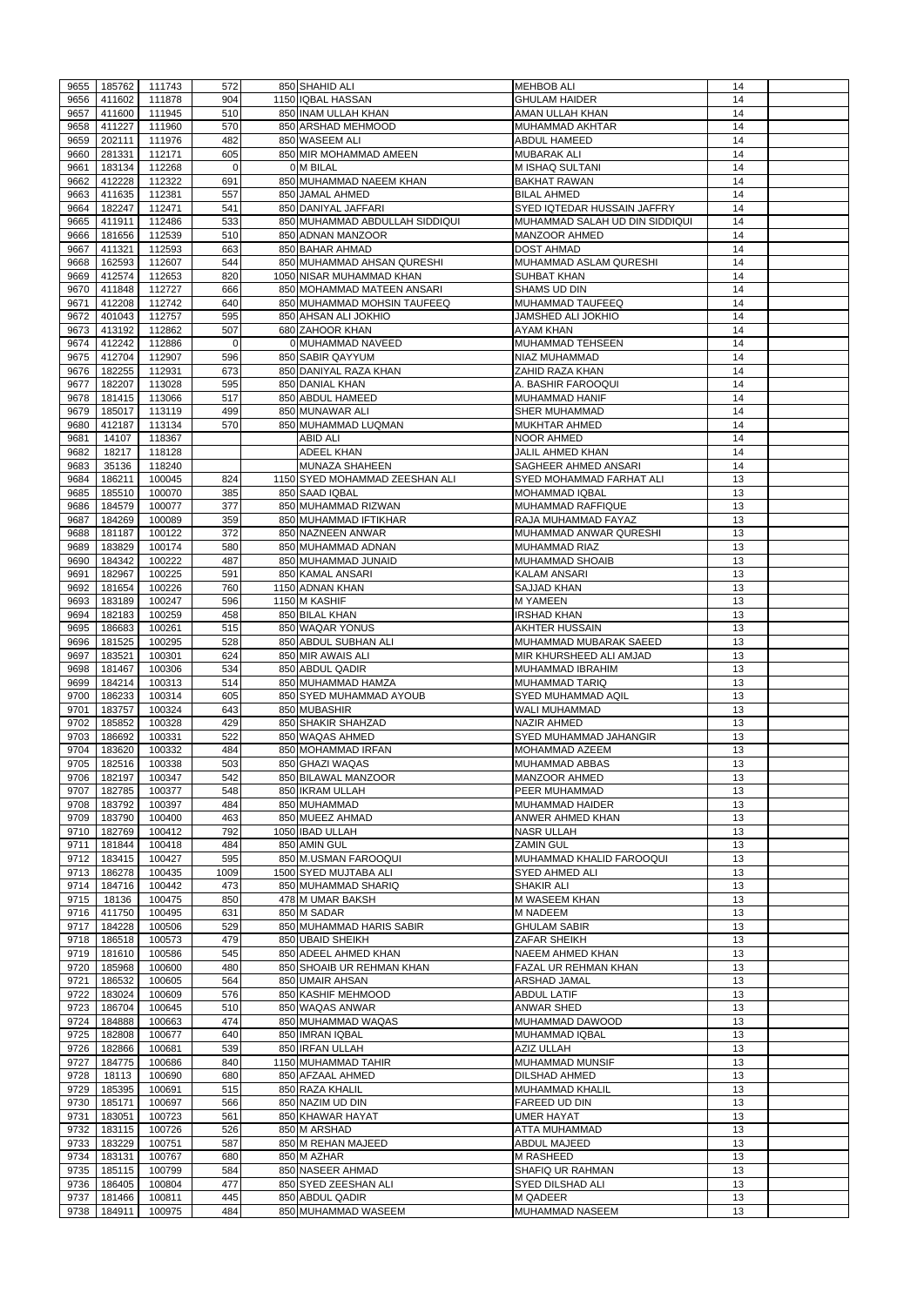| 9655 | 185762 | 111743             | 572         | 850 SHAHID ALI                 | <b>MEHBOB ALI</b>                  | 14 |  |
|------|--------|--------------------|-------------|--------------------------------|------------------------------------|----|--|
| 9656 | 411602 | 111878             | 904         | 1150 IQBAL HASSAN              | <b>GHULAM HAIDER</b>               | 14 |  |
| 9657 | 411600 | 111945             | 510         | 850 INAM ULLAH KHAN            | AMAN ULLAH KHAN                    | 14 |  |
| 9658 | 411227 | 111960             | 570         | 850 ARSHAD MEHMOOD             | <b>MUHAMMAD AKHTAR</b>             | 14 |  |
| 9659 | 202111 | 111976             | 482         | 850 WASEEM ALI                 | <b>ABDUL HAMEED</b>                | 14 |  |
| 9660 | 281331 | 112171             | 605         | 850 MIR MOHAMMAD AMEEN         | <b>MUBARAK ALI</b>                 | 14 |  |
| 9661 | 183134 | 112268             | $\mathbf 0$ | 0 M BILAL                      | M ISHAQ SULTANI                    | 14 |  |
|      |        |                    |             |                                |                                    |    |  |
| 9662 | 412228 | 112322             | 691         | 850 MUHAMMAD NAEEM KHAN        | <b>BAKHAT RAWAN</b>                | 14 |  |
| 9663 | 411635 | 112381             | 557         | 850 JAMAL AHMED                | <b>BILAL AHMED</b>                 | 14 |  |
| 9664 | 182247 | 112471             | 541         | 850 DANIYAL JAFFARI            | <b>SYED IQTEDAR HUSSAIN JAFFRY</b> | 14 |  |
| 9665 | 411911 | 112486             | 533         | 850 MUHAMMAD ABDULLAH SIDDIQUI | MUHAMMAD SALAH UD DIN SIDDIQUI     | 14 |  |
| 9666 | 181656 | 112539             | 510         | 850 ADNAN MANZOOR              | <b>MANZOOR AHMED</b>               | 14 |  |
| 9667 | 411321 | 112593             | 663         | 850 BAHAR AHMAD                | <b>DOST AHMAD</b>                  | 14 |  |
| 9668 | 162593 | 112607             | 544         | 850 MUHAMMAD AHSAN QURESHI     | MUHAMMAD ASLAM QURESHI             | 14 |  |
| 9669 | 412574 | 112653             | 820         | 1050 NISAR MUHAMMAD KHAN       | <b>SUHBAT KHAN</b>                 | 14 |  |
| 9670 | 411848 | 112727             | 666         | 850 MOHAMMAD MATEEN ANSARI     | <b>SHAMS UD DIN</b>                | 14 |  |
| 9671 | 412208 | 112742             | 640         | 850 MUHAMMAD MOHSIN TAUFEEQ    | MUHAMMAD TAUFEEQ                   | 14 |  |
| 9672 | 401043 | 112757             | 595         | 850 AHSAN ALI JOKHIO           | <b>JAMSHED ALI JOKHIO</b>          | 14 |  |
| 9673 | 413192 | 112862             | 507         | 680 ZAHOOR KHAN                | <b>AYAM KHAN</b>                   | 14 |  |
| 9674 | 412242 | 112886             | $\Omega$    | 0 MUHAMMAD NAVEED              | <b>MUHAMMAD TEHSEEN</b>            | 14 |  |
| 9675 | 412704 | 112907             | 596         | 850 SABIR QAYYUM               | <b>NIAZ MUHAMMAD</b>               | 14 |  |
| 9676 | 182255 | 112931             | 673         | 850 DANIYAL RAZA KHAN          | <b>ZAHID RAZA KHAN</b>             | 14 |  |
| 9677 | 182207 | 113028             | 595         | 850 DANIAL KHAN                | A. BASHIR FAROOQUI                 | 14 |  |
|      |        |                    |             |                                |                                    |    |  |
| 9678 | 181415 | 113066             | 517         | 850 ABDUL HAMEED               | <b>MUHAMMAD HANIF</b>              | 14 |  |
| 9679 | 185017 | 113119             | 499         | 850 MUNAWAR ALI                | <b>SHER MUHAMMAD</b>               | 14 |  |
| 9680 | 412187 | 113134             | 570         | 850 MUHAMMAD LUQMAN            | MUKHTAR AHMED                      | 14 |  |
| 9681 | 14107  | 118367             |             | <b>ABID ALI</b>                | <b>NOOR AHMED</b>                  | 14 |  |
| 9682 | 18217  | 118128             |             | <b>ADEEL KHAN</b>              | JALIL AHMED KHAN                   | 14 |  |
| 9683 | 35136  | 118240             |             | MUNAZA SHAHEEN                 | SAGHEER AHMED ANSARI               | 14 |  |
| 9684 | 186211 | 100045             | 824         | 1150 SYED MOHAMMAD ZEESHAN ALI | SYED MOHAMMAD FARHAT ALI           | 13 |  |
| 9685 | 185510 | 100070             | 385         | 850 SAAD IQBAL                 | <b>MOHAMMAD IQBAL</b>              | 13 |  |
| 9686 | 184579 | 100077             | 377         | 850 MUHAMMAD RIZWAN            | MUHAMMAD RAFFIQUE                  | 13 |  |
| 9687 | 184269 | 100089             | 359         | 850 MUHAMMAD IFTIKHAR          | RAJA MUHAMMAD FAYAZ                | 13 |  |
| 9688 | 181187 | 100122             | 372         | 850 NAZNEEN ANWAR              | MUHAMMAD ANWAR QURESHI             | 13 |  |
| 9689 | 183829 | 100174             | 580         | 850 MUHAMMAD ADNAN             | <b>MUHAMMAD RIAZ</b>               | 13 |  |
| 9690 | 184342 | 100222             | 487         | 850 MUHAMMAD JUNAID            | <b>MUHAMMAD SHOAIB</b>             | 13 |  |
| 9691 | 182967 | 100225             | 591         | 850 KAMAL ANSARI               | <b>KALAM ANSARI</b>                | 13 |  |
|      |        |                    |             |                                |                                    |    |  |
| 9692 | 181654 | 100226             | 760         | 1150 ADNAN KHAN                | <b>SAJJAD KHAN</b>                 | 13 |  |
| 9693 | 183189 | 100247             | 596         | 1150 M KASHIF                  | <b>M YAMEEN</b>                    | 13 |  |
| 9694 | 182183 | 100259             | 458         | 850 BILAL KHAN                 | <b>IRSHAD KHAN</b>                 | 13 |  |
| 9695 | 186683 | 100261             | 515         | 850 WAQAR YONUS                | <b>AKHTER HUSSAIN</b>              | 13 |  |
| 9696 | 181525 | 100295             | 528         | 850 ABDUL SUBHAN ALI           | MUHAMMAD MUBARAK SAEED             | 13 |  |
| 9697 | 183521 | 100301             | 624         | 850 MIR AWAIS ALI              | MIR KHURSHEED ALI AMJAD            | 13 |  |
| 9698 | 181467 | 100306             | 534         | 850 ABDUL QADIR                | <b>MUHAMMAD IBRAHIM</b>            | 13 |  |
| 9699 | 184214 | 100313             | 514         | 850 MUHAMMAD HAMZA             | <b>MUHAMMAD TARIQ</b>              | 13 |  |
| 9700 | 186233 | 100314             | 605         | 850 SYED MUHAMMAD AYOUB        | <b>SYED MUHAMMAD AQIL</b>          | 13 |  |
| 9701 | 183757 | 100324             | 643         | 850 MUBASHIR                   | WALI MUHAMMAD                      | 13 |  |
| 9702 | 185852 | 100328             | 429         | 850 SHAKIR SHAHZAD             | <b>NAZIR AHMED</b>                 | 13 |  |
| 9703 | 186692 | 100331             | 522         | 850 WAQAS AHMED                | SYED MUHAMMAD JAHANGIR             | 13 |  |
| 9704 | 183620 | 100332             | 484         | 850 MOHAMMAD IRFAN             | MOHAMMAD AZEEM                     | 13 |  |
| 9705 | 182516 | 100338             | 503         | 850 GHAZI WAQAS                | <b>MUHAMMAD ABBAS</b>              | 13 |  |
| 9706 | 182197 | 100347             | 542         | 850 BILAWAL MANZOOR            | <b>MANZOOR AHMED</b>               | 13 |  |
| 9707 | 182785 |                    | 548         |                                |                                    | 13 |  |
|      |        | 100377             |             | 850 IKRAM ULLAH                | <b>PEER MUHAMMAD</b>               |    |  |
| 9708 | 183792 | 100397             | 484         | 850 MUHAMMAD                   | <b>MUHAMMAD HAIDER</b>             | 13 |  |
| 9709 | 183790 | 100400             | 463         | 850 MUEEZ AHMAD                | <b>ANWER AHMED KHAN</b>            | 13 |  |
| 9710 | 182769 | 100412             | 792         | 1050 IBAD ULLAH                | <b>NASR ULLAH</b>                  | 13 |  |
| 9711 | 181844 | 100418             | 484         | 850 AMIN GUL                   | <b>ZAMIN GUL</b>                   | 13 |  |
| 9712 | 183415 | 100427             | 595         | 850 M.USMAN FAROOQUI           | MUHAMMAD KHALID FAROOQUI           | 13 |  |
| 9713 | 186278 | 100435             | 1009        | 1500 SYED MUJTABA ALI          | <b>SYED AHMED ALI</b>              | 13 |  |
| 9714 | 184716 | 100442             | 473         | 850 MUHAMMAD SHARIQ            | <b>SHAKIR ALI</b>                  | 13 |  |
| 9715 | 18136  | 100475             | 850         | 478 M UMAR BAKSH               | M WASEEM KHAN                      | 13 |  |
| 9716 | 411750 | 100495             | 631         | 850 M SADAR                    | <b>M NADEEM</b>                    | 13 |  |
| 9717 | 184228 | 100506             | 529         | 850 MUHAMMAD HARIS SABIR       | <b>GHULAM SABIR</b>                | 13 |  |
| 9718 | 186518 | 100573             | 479         | 850 UBAID SHEIKH               | ZAFAR SHEIKH                       | 13 |  |
| 9719 | 181610 | 100586             | 545         | 850 ADEEL AHMED KHAN           | <b>NAEEM AHMED KHAN</b>            | 13 |  |
| 9720 | 185968 | 100600             | 480         | 850 SHOAIB UR REHMAN KHAN      | FAZAL UR REHMAN KHAN               | 13 |  |
| 9721 | 186532 | 100605             | 564         | 850 UMAIR AHSAN                | <b>ARSHAD JAMAL</b>                | 13 |  |
| 9722 | 183024 | 100609             | 576         | 850 KASHIF MEHMOOD             | <b>ABDUL LATIF</b>                 | 13 |  |
| 9723 | 186704 | 100645             | 510         | 850 WAQAS ANWAR                | <b>ANWAR SHED</b>                  | 13 |  |
| 9724 | 184888 | 100663             | 474         | 850 MUHAMMAD WAQAS             | <b>MUHAMMAD DAWOOD</b>             | 13 |  |
| 9725 | 182808 | 100677             | 640         | 850 IMRAN IQBAL                | <b>MUHAMMAD IQBAL</b>              | 13 |  |
|      | 182866 |                    | 539         | 850 IRFAN ULLAH                | <b>AZIZ ULLAH</b>                  | 13 |  |
| 9726 |        | 100681             |             |                                |                                    |    |  |
|      |        | 9727 184775 100686 | 840         | 1150 MUHAMMAD TAHIR            | MUHAMMAD MUNSIF                    | 13 |  |
| 9728 | 18113  | 100690             | 680         | 850 AFZAAL AHMED               | <b>DILSHAD AHMED</b>               | 13 |  |
| 9729 | 185395 | 100691             | 515         | 850 RAZA KHALIL                | <b>MUHAMMAD KHALIL</b>             | 13 |  |
| 9730 | 185171 | 100697             | 566         | 850 NAZIM UD DIN               | FAREED UD DIN                      | 13 |  |
| 9731 | 183051 | 100723             | 561         | 850 KHAWAR HAYAT               | <b>UMER HAYAT</b>                  | 13 |  |
| 9732 | 183115 | 100726             | 526         | 850 M ARSHAD                   | ATTA MUHAMMAD                      | 13 |  |
| 9733 | 183229 | 100751             | 587         | 850 M REHAN MAJEED             | ABDUL MAJEED                       | 13 |  |
| 9734 | 183131 | 100767             | 680         | 850 M AZHAR                    | <b>M RASHEED</b>                   | 13 |  |
| 9735 | 185115 | 100799             | 584         | 850 NASEER AHMAD               | <b>SHAFIQ UR RAHMAN</b>            | 13 |  |
| 9736 | 186405 | 100804             | 477         | 850 SYED ZEESHAN ALI           | <b>SYED DILSHAD ALI</b>            | 13 |  |
| 9737 | 181466 | 100811             | 445         | 850 ABDUL QADIR                | <b>M QADEER</b>                    | 13 |  |
| 9738 | 184911 | 100975             | 484         | 850 MUHAMMAD WASEEM            | <b>MUHAMMAD NASEEM</b>             | 13 |  |
|      |        |                    |             |                                |                                    |    |  |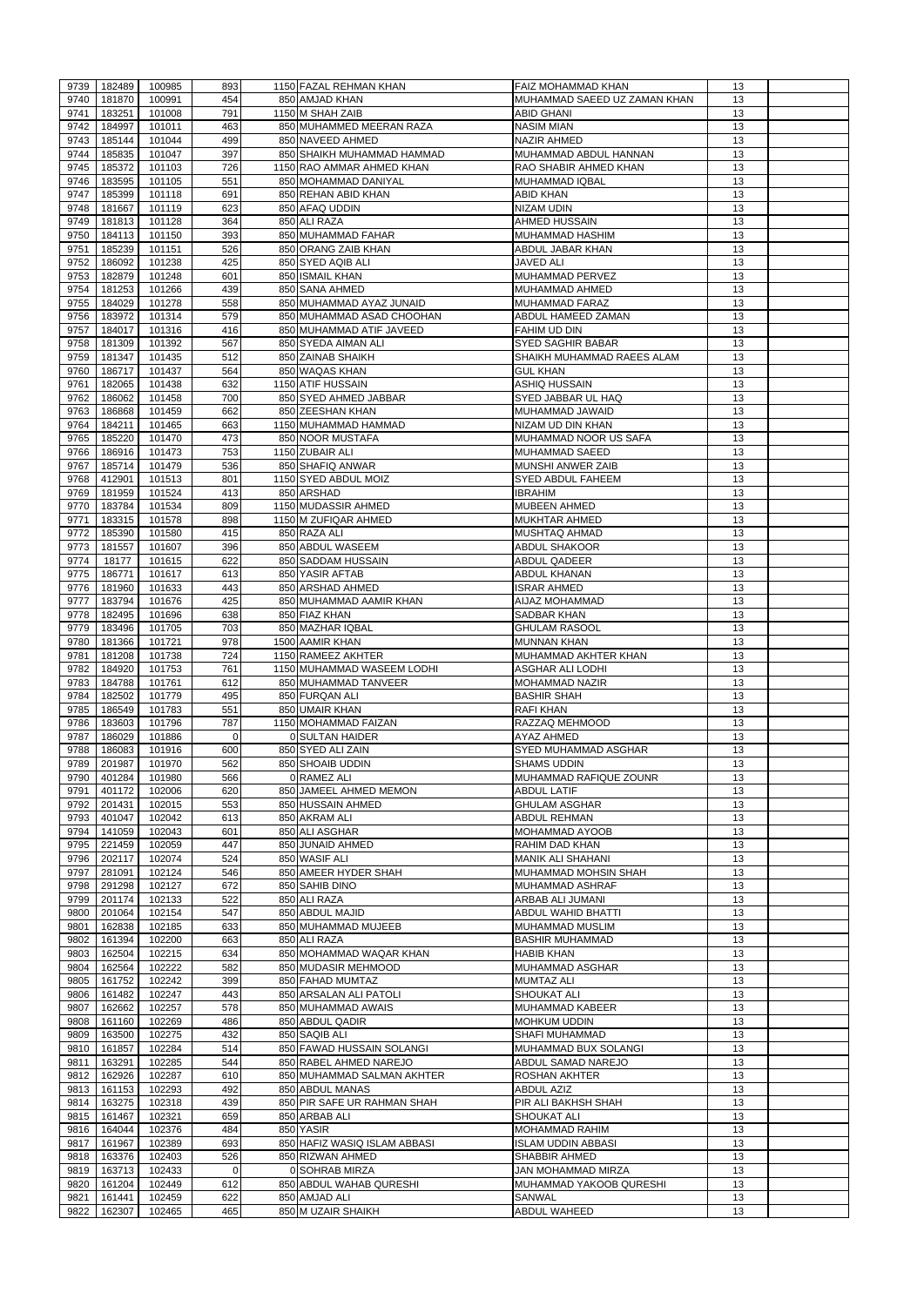| 9739         | 182489           | 100985             | 893         | 1150 FAZAL REHMAN KHAN              | <b>FAIZ MOHAMMAD KHAN</b>     | 13              |  |
|--------------|------------------|--------------------|-------------|-------------------------------------|-------------------------------|-----------------|--|
| 9740         | 181870           | 100991             | 454         | 850 AMJAD KHAN                      | MUHAMMAD SAEED UZ ZAMAN KHAN  | 13              |  |
| 9741         | 183251           | 101008             | 791         | 1150 M SHAH ZAIB                    | <b>ABID GHANI</b>             | 13              |  |
| 9742         | 184997           | 101011             | 463         | 850 MUHAMMED MEERAN RAZA            | <b>NASIM MIAN</b>             | 13              |  |
| 9743         | 185144           | 101044             | 499         | 850 NAVEED AHMED                    | NAZIR AHMED                   | 13              |  |
| 9744         | 185835           | 101047             | 397         | 850 SHAIKH MUHAMMAD HAMMAD          | MUHAMMAD ABDUL HANNAN         | 13              |  |
|              |                  |                    | 726         | 1150 RAO AMMAR AHMED KHAN           | RAO SHABIR AHMED KHAN         |                 |  |
| 9745         | 185372           | 101103             |             |                                     |                               | 13              |  |
| 9746         | 183595           | 101105             | 551         | 850 MOHAMMAD DANIYAL                | <b>MUHAMMAD IQBAL</b>         | 13              |  |
| 9747         | 185399           | 101118             | 691         | 850 REHAN ABID KHAN                 | <b>ABID KHAN</b>              | 13              |  |
| 9748         | 181667           | 101119             | 623         | 850 AFAQ UDDIN                      | <b>NIZAM UDIN</b>             | 13              |  |
| 9749         | 181813           | 101128             | 364         | 850 ALI RAZA                        | <b>AHMED HUSSAIN</b>          | 13              |  |
| 9750         | 184113           | 101150             | 393         | 850 MUHAMMAD FAHAR                  | <b>MUHAMMAD HASHIM</b>        | 13              |  |
| 9751         | 185239           | 101151             | 526         | 850 ORANG ZAIB KHAN                 | ABDUL JABAR KHAN              | 13              |  |
| 9752         | 186092           | 101238             | 425         | 850 SYED AQIB ALI                   | <b>JAVED ALI</b>              | 13              |  |
| 9753         | 182879           | 101248             | 601         | 850 ISMAIL KHAN                     | MUHAMMAD PERVEZ               | 13              |  |
| 9754         | 181253           | 101266             | 439         | 850 SANA AHMED                      | MUHAMMAD AHMED                | 13              |  |
| 9755         | 184029           | 101278             | 558         | 850 MUHAMMAD AYAZ JUNAID            | MUHAMMAD FARAZ                | 13              |  |
| 9756         | 183972           | 101314             | 579         | 850 MUHAMMAD ASAD CHOOHAN           | ABDUL HAMEED ZAMAN            | 13              |  |
| 9757         | 184017           | 101316             | 416         | 850 MUHAMMAD ATIF JAVEED            | <b>FAHIM UD DIN</b>           | 13              |  |
| 9758         | 181309           | 101392             | 567         | 850 SYEDA AIMAN ALI                 | <b>SYED SAGHIR BABAR</b>      | 13              |  |
| 9759         | 181347           | 101435             | 512         | 850 ZAINAB SHAIKH                   | SHAIKH MUHAMMAD RAEES ALAM    | 13              |  |
| 9760         | 186717           | 101437             | 564         | 850 WAQAS KHAN                      | <b>GUL KHAN</b>               | 13              |  |
|              | 182065           | 101438             | 632         | 1150 ATIF HUSSAIN                   | <b>ASHIQ HUSSAIN</b>          | 13              |  |
| 9761         |                  |                    |             |                                     |                               |                 |  |
| 9762         | 186062           | 101458             | 700         | 850 SYED AHMED JABBAR               | SYED JABBAR UL HAQ            | 13              |  |
| 9763         | 186868           | 101459             | 662         | 850 ZEESHAN KHAN                    | MUHAMMAD JAWAID               | 13              |  |
| 9764         | 184211           | 101465             | 663         | 1150 MUHAMMAD HAMMAD                | NIZAM UD DIN KHAN             | 13              |  |
| 9765         | 185220           | 101470             | 473         | 850 NOOR MUSTAFA                    | MUHAMMAD NOOR US SAFA         | 13              |  |
| 9766         | 186916           | 101473             | 753         | 1150 ZUBAIR ALI                     | <b>MUHAMMAD SAEED</b>         | 13              |  |
| 9767         | 185714           | 101479             | 536         | 850 SHAFIQ ANWAR                    | MUNSHI ANWER ZAIB             | 13              |  |
| 9768         | 412901           | 101513             | 801         | 1150 SYED ABDUL MOIZ                | <b>SYED ABDUL FAHEEM</b>      | 13              |  |
| 9769         | 181959           | 101524             | 413         | 850 ARSHAD                          | <b>IBRAHIM</b>                | 13              |  |
| 9770         | 183784           | 101534             | 809         | 1150 MUDASSIR AHMED                 | <b>MUBEEN AHMED</b>           | 13              |  |
| 9771         | 183315           | 101578             | 898         | 1150 M ZUFIQAR AHMED                | <b>MUKHTAR AHMED</b>          | 13              |  |
| 9772         | 185390           | 101580             | 415         | 850 RAZA ALI                        | MUSHTAQ AHMAD                 | 13              |  |
| 9773         | 181557           | 101607             | 396         | 850 ABDUL WASEEM                    | <b>ABDUL SHAKOOR</b>          | 13              |  |
| 9774         | 18177            | 101615             | 622         | 850 SADDAM HUSSAIN                  | <b>ABDUL QADEER</b>           | 13              |  |
|              |                  |                    |             |                                     |                               |                 |  |
| 9775         | 186771           | 101617             | 613         | 850 YASIR AFTAB                     | <b>ABDUL KHANAN</b>           | 13              |  |
| 9776         | 181960           | 101633             | 443         | 850 ARSHAD AHMED                    | <b>ISRAR AHMED</b>            | 13              |  |
| 9777         | 183794           | 101676             | 425         | 850 MUHAMMAD AAMIR KHAN             | <b>AIJAZ MOHAMMAD</b>         | 13              |  |
| 9778         | 182495           | 101696             | 638         | 850 FIAZ KHAN                       | <b>SADBAR KHAN</b>            | 13              |  |
| 9779         | 183496           | 101705             | 703         | 850 MAZHAR IQBAL                    | <b>GHULAM RASOOL</b>          | 13              |  |
| 9780         | 181366           | 101721             | 978         | 1500 AAMIR KHAN                     | <b>MUNNAN KHAN</b>            | 13              |  |
| 9781         | 181208           | 101738             | 724         | 1150 RAMEEZ AKHTER                  | MUHAMMAD AKHTER KHAN          | 13              |  |
| 9782         | 184920           | 101753             | 761         | 1150 MUHAMMAD WASEEM LODHI          | <b>ASGHAR ALI LODHI</b>       | 13              |  |
| 9783         | 184788           | 101761             | 612         | 850 MUHAMMAD TANVEER                | <b>MOHAMMAD NAZIR</b>         | 13              |  |
| 9784         | 182502           | 101779             | 495         | 850 FURQAN ALI                      | <b>BASHIR SHAH</b>            | 13              |  |
| 9785         | 186549           | 101783             | 551         | 850 UMAIR KHAN                      | <b>RAFI KHAN</b>              | 13              |  |
| 9786         | 183603           | 101796             | 787         | 1150 MOHAMMAD FAIZAN                | RAZZAQ MEHMOOD                | 13              |  |
| 9787         | 186029           | 101886             | $\mathbf 0$ | 0 SULTAN HAIDER                     | <b>AYAZ AHMED</b>             | 13              |  |
| 9788         | 186083           | 101916             | 600         | 850 SYED ALI ZAIN                   | SYED MUHAMMAD ASGHAR          | 13              |  |
| 9789         | 201987           | 101970             | 562         | 850 SHOAIB UDDIN                    | <b>SHAMS UDDIN</b>            | 13              |  |
| 9790         | 401284           | 101980             | 566         | 0 RAMEZ ALI                         | MUHAMMAD RAFIQUE ZOUNR        |                 |  |
|              |                  |                    |             |                                     |                               |                 |  |
| 9791         | 401172           | 102006             |             |                                     |                               | 13              |  |
| 9792         | 201431           | 102015             | 620         | 850 JAMEEL AHMED MEMON              | <b>ABDUL LATIF</b>            | 13              |  |
| 9793         | 401047           |                    | 553         | 850 HUSSAIN AHMED                   | <b>GHULAM ASGHAR</b>          | 13              |  |
| 9794         |                  | 102042             | 613         | 850 AKRAM ALI                       | <b>ABDUL REHMAN</b>           | 13              |  |
| 9795         | 141059           | 102043             | 601         | 850 ALI ASGHAR                      | <b>MOHAMMAD AYOOB</b>         | 13              |  |
|              | 221459           | 102059             | 447         | 850 JUNAID AHMED                    | RAHIM DAD KHAN                | 13              |  |
| 9796         | 202117           | 102074             | 524         | 850 WASIF ALI                       | <b>MANIK ALI SHAHANI</b>      | 13              |  |
| 9797         | 281091           | 102124             | 546         | 850 AMEER HYDER SHAH                | MUHAMMAD MOHSIN SHAH          | 13              |  |
| 9798         | 291298           | 102127             | 672         | 850 SAHIB DINO                      | MUHAMMAD ASHRAF               | 13              |  |
| 9799         | 201174           | 102133             | 522         | 850 ALI RAZA                        | ARBAB ALI JUMANI              | 13              |  |
| 9800         | 201064           | 102154             | 547         | 850 ABDUL MAJID                     | ABDUL WAHID BHATTI            | 13              |  |
| 9801         | 162838           | 102185             | 633         | 850 MUHAMMAD MUJEEB                 | <b>MUHAMMAD MUSLIM</b>        | 13              |  |
| 9802         | 161394           | 102200             | 663         | 850 ALI RAZA                        | <b>BASHIR MUHAMMAD</b>        | 13              |  |
| 9803         | 162504           | 102215             | 634         | 850 MOHAMMAD WAQAR KHAN             | <b>HABIB KHAN</b>             | 13              |  |
|              |                  |                    |             |                                     |                               |                 |  |
| 9804         | 162564           | 102222             | 582         | 850 MUDASIR MEHMOOD                 | MUHAMMAD ASGHAR               | 13              |  |
| 9805         | 161752           | 102242             | 399         | 850 FAHAD MUMTAZ                    | <b>MUMTAZ ALI</b>             | 13              |  |
| 9806         | 161482           | 102247             | 443         | 850 ARSALAN ALI PATOLI              | <b>SHOUKAT ALI</b>            | 13              |  |
| 9807         | 162662           | 102257             | 578         | 850 MUHAMMAD AWAIS                  | <b>MUHAMMAD KABEER</b>        | 13              |  |
| 9808         | 161160           | 102269             | 486         | 850 ABDUL QADIR                     | <b>MOHKUM UDDIN</b>           | 13              |  |
| 9809         | 163500           | 102275             | 432         | 850 SAQIB ALI                       | <b>SHAFI MUHAMMAD</b>         | 13              |  |
| 9810         | 161857           | 102284             | 514         | 850 FAWAD HUSSAIN SOLANGI           | MUHAMMAD BUX SOLANGI          | 13              |  |
|              |                  | 9811 163291 102285 | 544         | 850 RABEL AHMED NAREJO              | ABDUL SAMAD NAREJO            | $\overline{13}$ |  |
| 9812         | 162926           | 102287             | 610         | 850 MUHAMMAD SALMAN AKHTER          | <b>ROSHAN AKHTER</b>          | 13              |  |
| 9813         | 161153           | 102293             | 492         | 850 ABDUL MANAS                     | <b>ABDUL AZIZ</b>             | 13              |  |
| 9814         | 163275           | 102318             | 439         | 850 PIR SAFE UR RAHMAN SHAH         | PIR ALI BAKHSH SHAH           | 13              |  |
| 9815         | 161467           | 102321             | 659         | 850 ARBAB ALI                       | <b>SHOUKAT ALI</b>            | 13              |  |
| 9816         | 164044           | 102376             | 484         | 850 YASIR                           | <b>MOHAMMAD RAHIM</b>         | 13              |  |
| 9817         | 161967           | 102389             | 693         | 850 HAFIZ WASIQ ISLAM ABBASI        | ISLAM UDDIN ABBASI            | 13              |  |
| 9818         | 163376           | 102403             | 526         | 850 RIZWAN AHMED                    | <b>SHABBIR AHMED</b>          | 13              |  |
| 9819         | 163713           | 102433             | $\Omega$    | 0 SOHRAB MIRZA                      | JAN MOHAMMAD MIRZA            | 13              |  |
| 9820         |                  |                    |             | 850 ABDUL WAHAB QURESHI             | MUHAMMAD YAKOOB QURESHI       |                 |  |
|              | 161204           | 102449             | 612         |                                     |                               | 13              |  |
| 9821<br>9822 | 161441<br>162307 | 102459<br>102465   | 622<br>465  | 850 AMJAD ALI<br>850 M UZAIR SHAIKH | <b>SANWAL</b><br>ABDUL WAHEED | 13<br>13        |  |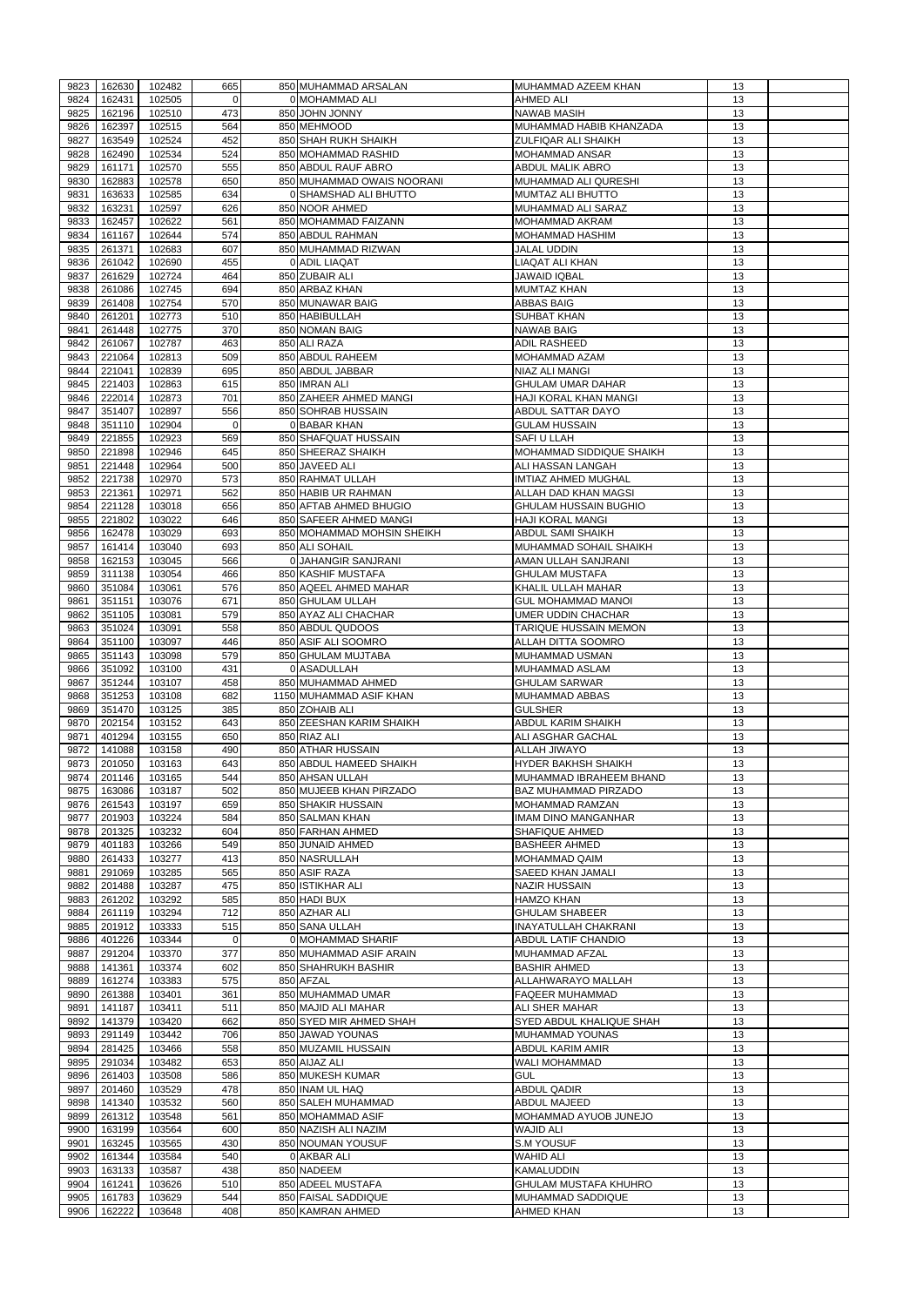| 9823         | 162630           | 102482             | 665         | 850 MUHAMMAD ARSALAN                       | MUHAMMAD AZEEM KHAN                                      | 13       |  |
|--------------|------------------|--------------------|-------------|--------------------------------------------|----------------------------------------------------------|----------|--|
| 9824         | 162431           | 102505             | $\Omega$    | 0 MOHAMMAD ALI                             | <b>AHMED ALI</b>                                         | 13       |  |
| 9825         | 162196           | 102510             | 473         | 850 JOHN JONNY                             | <b>NAWAB MASIH</b>                                       | 13       |  |
| 9826         | 162397           | 102515             | 564         | 850 MEHMOOD                                | MUHAMMAD HABIB KHANZADA                                  | 13       |  |
| 9827         | 163549           | 102524             | 452         | 850 SHAH RUKH SHAIKH                       | ZULFIQAR ALI SHAIKH                                      | 13       |  |
| 9828         | 162490           | 102534             | 524<br>555  | 850 MOHAMMAD RASHID<br>850 ABDUL RAUF ABRO | <b>MOHAMMAD ANSAR</b>                                    | 13       |  |
| 9829<br>9830 | 161171<br>162883 | 102570<br>102578   | 650         | 850 MUHAMMAD OWAIS NOORANI                 | <b>ABDUL MALIK ABRO</b><br>MUHAMMAD ALI QURESHI          | 13<br>13 |  |
| 9831         | 163633           | 102585             | 634         | 0 SHAMSHAD ALI BHUTTO                      | <b>MUMTAZ ALI BHUTTO</b>                                 | 13       |  |
| 9832         | 163231           | 102597             | 626         | 850 NOOR AHMED                             | MUHAMMAD ALI SARAZ                                       | 13       |  |
| 9833         | 162457           | 102622             | 561         | 850 MOHAMMAD FAIZANN                       | <b>MOHAMMAD AKRAM</b>                                    | 13       |  |
| 9834         | 161167           | 102644             | 574         | 850 ABDUL RAHMAN                           | <b>MOHAMMAD HASHIM</b>                                   | 13       |  |
| 9835         | 261371           | 102683             | 607         | 850 MUHAMMAD RIZWAN                        | JALAL UDDIN                                              | 13       |  |
| 9836         | 261042           | 102690             | 455         | 0 ADIL LIAQAT                              | LIAQAT ALI KHAN                                          | 13       |  |
| 9837         | 261629           | 102724             | 464         | 850 ZUBAIR ALI                             | <b>JAWAID IQBAL</b>                                      | 13       |  |
| 9838         | 261086           | 102745             | 694         | 850 ARBAZ KHAN                             | <b>MUMTAZ KHAN</b>                                       | 13       |  |
| 9839         | 261408           | 102754             | 570         | 850 MUNAWAR BAIG                           | <b>ABBAS BAIG</b>                                        | 13       |  |
| 9840         | 261201           | 102773             | 510         | 850 HABIBULLAH                             | <b>SUHBAT KHAN</b>                                       | 13       |  |
| 9841         | 261448           | 102775             | 370         | 850 NOMAN BAIG                             | <b>NAWAB BAIG</b>                                        | 13       |  |
| 9842         | 261067           | 102787             | 463         | 850 ALI RAZA                               | ADIL RASHEED                                             | 13       |  |
| 9843         | 221064           | 102813             | 509         | 850 ABDUL RAHEEM                           | <b>MOHAMMAD AZAM</b>                                     | 13       |  |
| 9844         | 221041           | 102839             | 695         | 850 ABDUL JABBAR                           | <b>NIAZ ALI MANGI</b>                                    | 13       |  |
| 9845<br>9846 | 221403<br>222014 | 102863<br>102873   | 615<br>701  | 850 IMRAN ALI<br>850 ZAHEER AHMED MANGI    | <b>GHULAM UMAR DAHAR</b><br><b>HAJI KORAL KHAN MANGI</b> | 13<br>13 |  |
| 9847         | 351407           | 102897             | 556         | 850 SOHRAB HUSSAIN                         | ABDUL SATTAR DAYO                                        | 13       |  |
| 9848         | 351110           | 102904             | $\mathbf 0$ | 0 BABAR KHAN                               | <b>GULAM HUSSAIN</b>                                     | 13       |  |
| 9849         | 221855           | 102923             | 569         | 850 SHAFQUAT HUSSAIN                       | <b>SAFI U LLAH</b>                                       | 13       |  |
| 9850         | 221898           | 102946             | 645         | 850 SHEERAZ SHAIKH                         | MOHAMMAD SIDDIQUE SHAIKH                                 | 13       |  |
| 9851         | 221448           | 102964             | 500         | 850 JAVEED ALI                             | ALI HASSAN LANGAH                                        | 13       |  |
| 9852         | 221738           | 102970             | 573         | 850 RAHMAT ULLAH                           | <b>IMTIAZ AHMED MUGHAL</b>                               | 13       |  |
| 9853         | 221361           | 102971             | 562         | 850 HABIB UR RAHMAN                        | ALLAH DAD KHAN MAGSI                                     | 13       |  |
| 9854         | 221128           | 103018             | 656         | 850 AFTAB AHMED BHUGIO                     | <b>GHULAM HUSSAIN BUGHIO</b>                             | 13       |  |
| 9855         | 221802           | 103022             | 646         | 850 SAFEER AHMED MANGI                     | <b>HAJI KORAL MANGI</b>                                  | 13       |  |
| 9856         | 162478           | 103029             | 693         | 850 MOHAMMAD MOHSIN SHEIKH                 | <b>ABDUL SAMI SHAIKH</b>                                 | 13       |  |
| 9857         | 161414           | 103040             | 693         | 850 ALI SOHAIL                             | MUHAMMAD SOHAIL SHAIKH                                   | 13       |  |
| 9858         | 162153           | 103045             | 566         | 0 JAHANGIR SANJRANI                        | AMAN ULLAH SANJRANI                                      | 13       |  |
|              | 9859 311138      | 103054             | 466         | 850 KASHIF MUSTAFA                         | <b>GHULAM MUSTAFA</b>                                    | 13       |  |
| 9860         | 351084           | 103061             | 576         | 850 AQEEL AHMED MAHAR                      | KHALIL ULLAH MAHAR                                       | 13       |  |
| 9861         | 351151           | 103076             | 671         | 850 GHULAM ULLAH                           | <b>GUL MOHAMMAD MANOI</b>                                | 13       |  |
| 9862         | 351105           | 103081             | 579         | 850 AYAZ ALI CHACHAR                       | UMER UDDIN CHACHAR                                       | 13       |  |
| 9863         | 351024           | 103091             | 558         | 850 ABDUL QUDOOS                           | <b>TARIQUE HUSSAIN MEMON</b>                             | 13       |  |
| 9864         | 351100           | 103097             | 446         | 850 ASIF ALI SOOMRO                        | ALLAH DITTA SOOMRO                                       | 13       |  |
| 9865         | 351143           | 103098             | 579         | 850 GHULAM MUJTABA                         | MUHAMMAD USMAN                                           | 13       |  |
| 9866         | 351092           | 103100             | 431         | 0 ASADULLAH                                | MUHAMMAD ASLAM                                           | 13       |  |
| 9867         | 351244           | 103107             | 458         | 850 MUHAMMAD AHMED                         | <b>GHULAM SARWAR</b>                                     | 13       |  |
| 9868         | 351253           | 103108             | 682         | 1150 MUHAMMAD ASIF KHAN                    | MUHAMMAD ABBAS                                           | 13       |  |
| 9869         | 351470           | 103125             | 385         | 850 ZOHAIB ALI                             | <b>GULSHER</b>                                           | 13       |  |
| 9870         | 202154<br>401294 | 103152<br>103155   | 643<br>650  | 850 ZEESHAN KARIM SHAIKH<br>850 RIAZ ALI   | <b>ABDUL KARIM SHAIKH</b><br>ALI ASGHAR GACHAL           | 13<br>13 |  |
| 9871<br>9872 | 141088           | 103158             | 490         | 850 ATHAR HUSSAIN                          | <b>ALLAH JIWAYO</b>                                      | 13       |  |
| 9873         | 201050           | 103163             | 643         | 850 ABDUL HAMEED SHAIKH                    | HYDER BAKHSH SHAIKH                                      | 13       |  |
| 9874         | 201146           | 103165             | 544         | 850 AHSAN ULLAH                            | MUHAMMAD IBRAHEEM BHAND                                  | 13       |  |
| 9875         | 163086           | 103187             | 502         | 850 MUJEEB KHAN PIRZADO                    | <b>BAZ MUHAMMAD PIRZADO</b>                              | 13       |  |
| 9876         | 261543           | 103197             | 659         | 850 SHAKIR HUSSAIN                         | MOHAMMAD RAMZAN                                          | 13       |  |
| 9877         | 201903           | 103224             | 584         | 850 SALMAN KHAN                            | <b>IMAM DINO MANGANHAR</b>                               | 13       |  |
| 9878         | 201325           | 103232             | 604         | 850 FARHAN AHMED                           | <b>SHAFIQUE AHMED</b>                                    | 13       |  |
| 9879         | 401183           | 103266             | 549         | 850 JUNAID AHMED                           | <b>BASHEER AHMED</b>                                     | 13       |  |
| 9880         | 261433           | 103277             | 413         | 850 NASRULLAH                              | <b>MOHAMMAD QAIM</b>                                     | 13       |  |
| 9881         | 291069           | 103285             | 565         | 850 ASIF RAZA                              | <b>SAEED KHAN JAMALI</b>                                 | 13       |  |
| 9882         | 201488           | 103287             | 475         | 850 ISTIKHAR ALI                           | <b>NAZIR HUSSAIN</b>                                     | 13       |  |
| 9883         | 261202           | 103292             | 585         | 850 HADI BUX                               | <b>HAMZO KHAN</b>                                        | 13       |  |
| 9884         | 261119           | 103294             | 712         | 850 AZHAR ALI                              | <b>GHULAM SHABEER</b>                                    | 13       |  |
| 9885         | 201912           | 103333             | 515         | 850 SANA ULLAH                             | <b>INAYATULLAH CHAKRANI</b>                              | 13       |  |
| 9886         | 401226           | 103344             | $\Omega$    | 0 MOHAMMAD SHARIF                          | <b>ABDUL LATIF CHANDIO</b>                               | 13       |  |
| 9887         | 291204           | 103370             | 377         | 850 MUHAMMAD ASIF ARAIN                    | MUHAMMAD AFZAL                                           | 13       |  |
| 9888         | 141361           | 103374             | 602         | 850 SHAHRUKH BASHIR                        | <b>BASHIR AHMED</b>                                      | 13       |  |
| 9889         | 161274           | 103383             | 575         | 850 AFZAL                                  | ALLAHWARAYO MALLAH                                       | 13       |  |
| 9890         | 261388           | 103401             | 361         | 850 MUHAMMAD UMAR                          | <b>FAQEER MUHAMMAD</b>                                   | 13       |  |
| 9891         | 141187           | 103411             | 511         | 850 MAJID ALI MAHAR                        | <b>ALI SHER MAHAR</b>                                    | 13       |  |
| 9892         | 141379           | 103420             | 662         | 850 SYED MIR AHMED SHAH                    | <b>SYED ABDUL KHALIQUE SHAH</b>                          | 13       |  |
| 9893<br>9894 | 291149<br>281425 | 103442<br>103466   | 706<br>558  | 850 JAWAD YOUNAS<br>850 MUZAMIL HUSSAIN    | <b>MUHAMMAD YOUNAS</b><br><b>ABDUL KARIM AMIR</b>        | 13       |  |
|              |                  | 9895 291034 103482 | 653         | 850 AIJAZ ALI                              | WALI MOHAMMAD                                            | 13<br>13 |  |
| 9896         | 261403           | 103508             | 586         | 850 MUKESH KUMAR                           | <b>GUL</b>                                               | 13       |  |
| 9897         | 201460           | 103529             | 478         | 850 INAM UL HAQ                            | <b>ABDUL QADIR</b>                                       | 13       |  |
| 9898         | 141340           | 103532             | 560         | 850 SALEH MUHAMMAD                         | ABDUL MAJEED                                             | 13       |  |
| 9899         | 261312           | 103548             | 561         | 850 MOHAMMAD ASIF                          | MOHAMMAD AYUOB JUNEJO                                    | 13       |  |
| 9900         | 163199           | 103564             | 600         | 850 NAZISH ALI NAZIM                       | WAJID ALI                                                | 13       |  |
| 9901         | 163245           | 103565             | 430         | 850 NOUMAN YOUSUF                          | <b>S.M YOUSUF</b>                                        | 13       |  |
| 9902         | 161344           | 103584             | 540         | 0 AKBAR ALI                                | <b>WAHID ALI</b>                                         | 13       |  |
| 9903         | 163133           | 103587             | 438         | 850 NADEEM                                 | <b>KAMALUDDIN</b>                                        | 13       |  |
| 9904         | 161241           | 103626             | 510         | 850 ADEEL MUSTAFA                          | <b>GHULAM MUSTAFA KHUHRO</b>                             | 13       |  |
| 9905         | 161783           | 103629             | 544         | 850 FAISAL SADDIQUE                        | MUHAMMAD SADDIQUE                                        | 13       |  |
|              |                  | 103648             | 408         | 850 KAMRAN AHMED                           | <b>AHMED KHAN</b>                                        | 13       |  |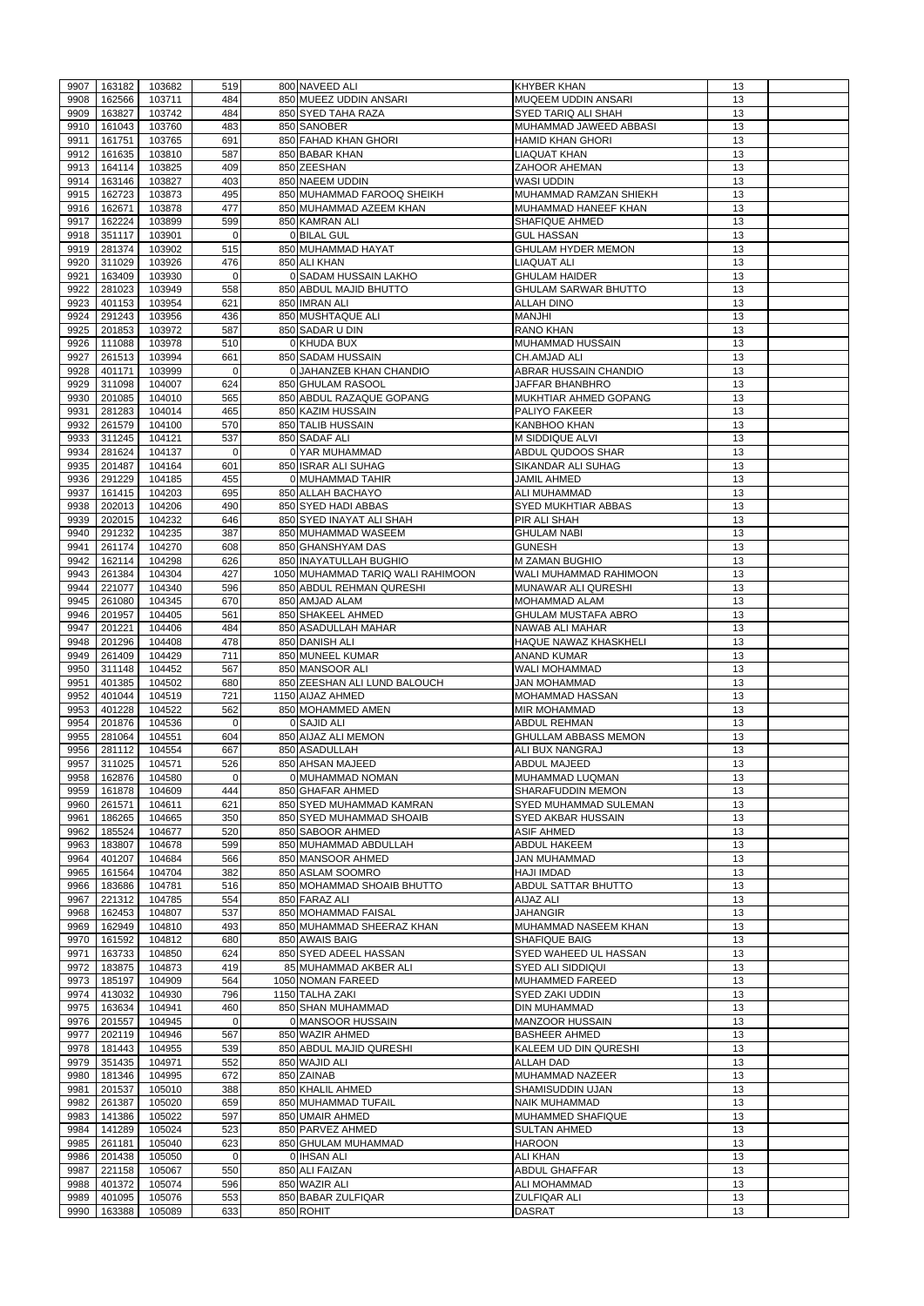| 9907 | 163182      | 103682 | 519            | 800 NAVEED ALI                    | <b>KHYBER KHAN</b>          | 13 |  |
|------|-------------|--------|----------------|-----------------------------------|-----------------------------|----|--|
| 9908 | 162566      | 103711 | 484            | 850 MUEEZ UDDIN ANSARI            | MUQEEM UDDIN ANSARI         | 13 |  |
|      | 163827      | 103742 | 484            | 850 SYED TAHA RAZA                | <b>SYED TARIQ ALI SHAH</b>  | 13 |  |
| 9909 |             |        |                |                                   |                             |    |  |
| 9910 | 161043      | 103760 | 483            | 850 SANOBER                       | MUHAMMAD JAWEED ABBASI      | 13 |  |
| 9911 | 161751      | 103765 | 691            | 850 FAHAD KHAN GHORI              | <b>HAMID KHAN GHORI</b>     | 13 |  |
| 9912 | 161635      | 103810 | 587            | 850 BABAR KHAN                    | LIAQUAT KHAN                | 13 |  |
| 9913 | 164114      | 103825 | 409            | 850 ZEESHAN                       | ZAHOOR AHEMAN               | 13 |  |
| 9914 | 163146      | 103827 | 403            | 850 NAEEM UDDIN                   | WASI UDDIN                  | 13 |  |
| 9915 | 162723      | 103873 | 495            | 850 MUHAMMAD FAROOQ SHEIKH        | MUHAMMAD RAMZAN SHIEKH      | 13 |  |
| 9916 | 162671      | 103878 | 477            | 850 MUHAMMAD AZEEM KHAN           | MUHAMMAD HANEEF KHAN        | 13 |  |
| 9917 | 162224      | 103899 | 599            | 850 KAMRAN ALI                    | <b>SHAFIQUE AHMED</b>       | 13 |  |
| 9918 | 351117      | 103901 | $\Omega$       | 0 BILAL GUL                       | <b>GUL HASSAN</b>           | 13 |  |
|      |             |        |                |                                   |                             |    |  |
| 9919 | 281374      | 103902 | 515            | 850 MUHAMMAD HAYAT                | <b>GHULAM HYDER MEMON</b>   | 13 |  |
| 9920 | 311029      | 103926 | 476            | 850 ALI KHAN                      | <b>LIAQUAT ALI</b>          | 13 |  |
| 9921 | 163409      | 103930 | $\Omega$       | 0 SADAM HUSSAIN LAKHO             | <b>GHULAM HAIDER</b>        | 13 |  |
| 9922 | 281023      | 103949 | 558            | 850 ABDUL MAJID BHUTTO            | <b>GHULAM SARWAR BHUTTO</b> | 13 |  |
| 9923 | 401153      | 103954 | 621            | 850 IMRAN ALI                     | <b>ALLAH DINO</b>           | 13 |  |
| 9924 | 291243      | 103956 | 436            | 850 MUSHTAQUE ALI                 | <b>MANJHI</b>               | 13 |  |
| 9925 | 201853      | 103972 | 587            | 850 SADAR U DIN                   | <b>RANO KHAN</b>            | 13 |  |
| 9926 | 111088      | 103978 | 510            | OIKHUDA BUX                       | MUHAMMAD HUSSAIN            | 13 |  |
|      |             |        |                |                                   |                             |    |  |
| 9927 | 261513      | 103994 | 661            | 850 SADAM HUSSAIN                 | CH.AMJAD ALI                | 13 |  |
| 9928 | 401171      | 103999 | $\mathbf 0$    | 0 JAHANZEB KHAN CHANDIO           | ABRAR HUSSAIN CHANDIO       | 13 |  |
| 9929 | 311098      | 104007 | 624            | 850 GHULAM RASOOL                 | <b>JAFFAR BHANBHRO</b>      | 13 |  |
| 9930 | 201085      | 104010 | 565            | 850 ABDUL RAZAQUE GOPANG          | MUKHTIAR AHMED GOPANG       | 13 |  |
| 9931 | 281283      | 104014 | 465            | 850 KAZIM HUSSAIN                 | <b>PALIYO FAKEER</b>        | 13 |  |
| 9932 | 261579      | 104100 | 570            | 850 TALIB HUSSAIN                 | <b>KANBHOO KHAN</b>         | 13 |  |
| 9933 | 311245      | 104121 | 537            | 850 SADAF ALI                     | M SIDDIQUE ALVI             | 13 |  |
|      |             | 104137 | $\Omega$       | 0 YAR MUHAMMAD                    | ABDUL QUDOOS SHAR           | 13 |  |
| 9934 | 281624      |        |                |                                   |                             |    |  |
| 9935 | 201487      | 104164 | 601            | 850 ISRAR ALI SUHAG               | <b>SIKANDAR ALI SUHAG</b>   | 13 |  |
| 9936 | 291229      | 104185 | 455            | 0 MUHAMMAD TAHIR                  | <b>JAMIL AHMED</b>          | 13 |  |
| 9937 | 161415      | 104203 | 695            | 850 ALLAH BACHAYO                 | ALI MUHAMMAD                | 13 |  |
| 9938 | 202013      | 104206 | 490            | 850 SYED HADI ABBAS               | <b>SYED MUKHTIAR ABBAS</b>  | 13 |  |
| 9939 | 202015      | 104232 | 646            | 850 SYED INAYAT ALI SHAH          | <b>PIR ALI SHAH</b>         | 13 |  |
| 9940 | 291232      | 104235 | 387            | 850 MUHAMMAD WASEEM               | <b>GHULAM NABI</b>          | 13 |  |
| 9941 | 261174      | 104270 | 608            | 850 GHANSHYAM DAS                 | <b>GUNESH</b>               | 13 |  |
|      |             |        |                |                                   |                             |    |  |
| 9942 | 162114      | 104298 | 626            | 850 INAYATULLAH BUGHIO            | <b>M ZAMAN BUGHIO</b>       | 13 |  |
| 9943 | 261384      | 104304 | 427            | 1050 MUHAMMAD TARIQ WALI RAHIMOON | WALI MUHAMMAD RAHIMOON      | 13 |  |
| 9944 | 221077      | 104340 | 596            | 850 ABDUL REHMAN QURESHI          | <b>MUNAWAR ALI QURESHI</b>  | 13 |  |
| 9945 | 261080      | 104345 | 670            | 850 AMJAD ALAM                    | <b>MOHAMMAD ALAM</b>        | 13 |  |
| 9946 | 201957      | 104405 | 561            | 850 SHAKEEL AHMED                 | GHULAM MUSTAFA ABRO         | 13 |  |
| 9947 | 201221      | 104406 | 484            | 850 ASADULLAH MAHAR               | NAWAB ALI MAHAR             | 13 |  |
| 9948 | 201296      | 104408 | 478            | 850 DANISH ALI                    | HAQUE NAWAZ KHASKHELI       | 13 |  |
|      |             |        |                |                                   |                             |    |  |
| 9949 | 261409      | 104429 | 711            | 850 MUNEEL KUMAR                  | <b>ANAND KUMAR</b>          | 13 |  |
| 9950 | 311148      | 104452 | 567            | 850 MANSOOR ALI                   | <b>WALI MOHAMMAD</b>        | 13 |  |
| 9951 | 401385      | 104502 | 680            | 850 ZEESHAN ALI LUND BALOUCH      | <b>JAN MOHAMMAD</b>         | 13 |  |
| 9952 | 401044      | 104519 | 721            | 1150 AIJAZ AHMED                  | <b>MOHAMMAD HASSAN</b>      | 13 |  |
| 9953 | 401228      | 104522 | 562            | 850 MOHAMMED AMEN                 | <b>MIR MOHAMMAD</b>         | 13 |  |
| 9954 | 201876      | 104536 | $\Omega$       | 0 SAJID ALI                       | <b>ABDUL REHMAN</b>         | 13 |  |
| 9955 | 281064      | 104551 | 604            | 850 AIJAZ ALI MEMON               | <b>GHULLAM ABBASS MEMON</b> | 13 |  |
| 9956 | 281112      | 104554 | 667            | 850 ASADULLAH                     | ALI BUX NANGRAJ             | 13 |  |
|      |             |        |                |                                   |                             |    |  |
| 9957 | 311025      | 104571 | 526            | 850 AHSAN MAJEED                  | <b>ABDUL MAJEED</b>         | 13 |  |
| 9958 | 162876      | 104580 | $\mathbf 0$    | 0 MUHAMMAD NOMAN                  | MUHAMMAD LUQMAN             | 13 |  |
| 9959 | 161878      | 104609 | 444            | 850 GHAFAR AHMED                  | SHARAFUDDIN MEMON           | 13 |  |
| 9960 | 261571      | 104611 | 621            | 850 SYED MUHAMMAD KAMRAN          | SYED MUHAMMAD SULEMAN       | 13 |  |
| 9961 | 186265      | 104665 | 350            | 850 SYED MUHAMMAD SHOAIB          | <b>SYED AKBAR HUSSAIN</b>   | 13 |  |
| 9962 | 185524      | 104677 | 520            | 850 SABOOR AHMED                  | <b>ASIF AHMED</b>           | 13 |  |
| 9963 | 183807      | 104678 | 599            | 850 MUHAMMAD ABDULLAH             | <b>ABDUL HAKEEM</b>         | 13 |  |
| 9964 | 401207      | 104684 | 566            | 850 MANSOOR AHMED                 | JAN MUHAMMAD                | 13 |  |
| 9965 | 161564      | 104704 | 382            | 850 ASLAM SOOMRO                  | HAJI IMDAD                  | 13 |  |
|      |             |        |                |                                   |                             |    |  |
| 9966 | 183686      | 104781 | 516            | 850 MOHAMMAD SHOAIB BHUTTO        | <b>ABDUL SATTAR BHUTTO</b>  | 13 |  |
| 9967 | 221312      | 104785 | 554            | 850 FARAZ ALI                     | <b>AIJAZ ALI</b>            | 13 |  |
| 9968 | 162453      | 104807 | 537            | 850 MOHAMMAD FAISAL               | <b>JAHANGIR</b>             | 13 |  |
| 9969 | 162949      | 104810 | 493            | 850 MUHAMMAD SHEERAZ KHAN         | MUHAMMAD NASEEM KHAN        | 13 |  |
| 9970 | 161592      | 104812 | 680            | 850 AWAIS BAIG                    | <b>SHAFIQUE BAIG</b>        | 13 |  |
| 9971 | 163733      | 104850 | 624            | 850 SYED ADEEL HASSAN             | SYED WAHEED UL HASSAN       | 13 |  |
| 9972 | 183875      | 104873 | 419            | 85 MUHAMMAD AKBER ALI             | <b>SYED ALI SIDDIQUI</b>    | 13 |  |
| 9973 | 185197      | 104909 | 564            | 1050 NOMAN FAREED                 | <b>MUHAMMED FAREED</b>      | 13 |  |
|      | 413032      |        |                | 1150 TALHA ZAKI                   |                             | 13 |  |
| 9974 |             | 104930 | 796            |                                   | <b>SYED ZAKI UDDIN</b>      |    |  |
| 9975 | 163634      | 104941 | 460            | 850 SHAN MUHAMMAD                 | DIN MUHAMMAD                | 13 |  |
| 9976 | 201557      | 104945 | $\overline{0}$ | 0 MANSOOR HUSSAIN                 | <b>MANZOOR HUSSAIN</b>      | 13 |  |
| 9977 | 202119      | 104946 | 567            | 850 WAZIR AHMED                   | <b>BASHEER AHMED</b>        | 13 |  |
| 9978 | 181443      | 104955 | 539            | 850 ABDUL MAJID QURESHI           | KALEEM UD DIN QURESHI       | 13 |  |
|      | 9979 351435 | 104971 | 552            | 850 WAJID ALI                     | <b>ALLAH DAD</b>            | 13 |  |
| 9980 | 181346      | 104995 | 672            | 850 ZAINAB                        | <b>MUHAMMAD NAZEER</b>      | 13 |  |
| 9981 | 201537      | 105010 | 388            | 850 KHALIL AHMED                  | <b>SHAMISUDDIN UJAN</b>     | 13 |  |
|      |             |        | 659            |                                   |                             |    |  |
| 9982 | 261387      | 105020 |                | 850 MUHAMMAD TUFAIL               | <b>NAIK MUHAMMAD</b>        | 13 |  |
| 9983 | 141386      | 105022 | 597            | 850 UMAIR AHMED                   | MUHAMMED SHAFIQUE           | 13 |  |
| 9984 | 141289      | 105024 | 523            | 850 PARVEZ AHMED                  | <b>SULTAN AHMED</b>         | 13 |  |
| 9985 | 261181      | 105040 | 623            | 850 GHULAM MUHAMMAD               | <b>HAROON</b>               | 13 |  |
| 9986 | 201438      | 105050 | $\Omega$       | 0 IHSAN ALI                       | <b>ALI KHAN</b>             | 13 |  |
| 9987 | 221158      | 105067 | 550            | 850 ALI FAIZAN                    | <b>ABDUL GHAFFAR</b>        | 13 |  |
| 9988 | 401372      | 105074 | 596            | 850 WAZIR ALI                     | ALI MOHAMMAD                | 13 |  |
| 9989 | 401095      | 105076 | 553            | 850 BABAR ZULFIQAR                | <b>ZULFIQAR ALI</b>         | 13 |  |
|      |             |        |                |                                   |                             |    |  |
| 9990 | 163388      | 105089 | 633            | 850 ROHIT                         | <b>DASRAT</b>               | 13 |  |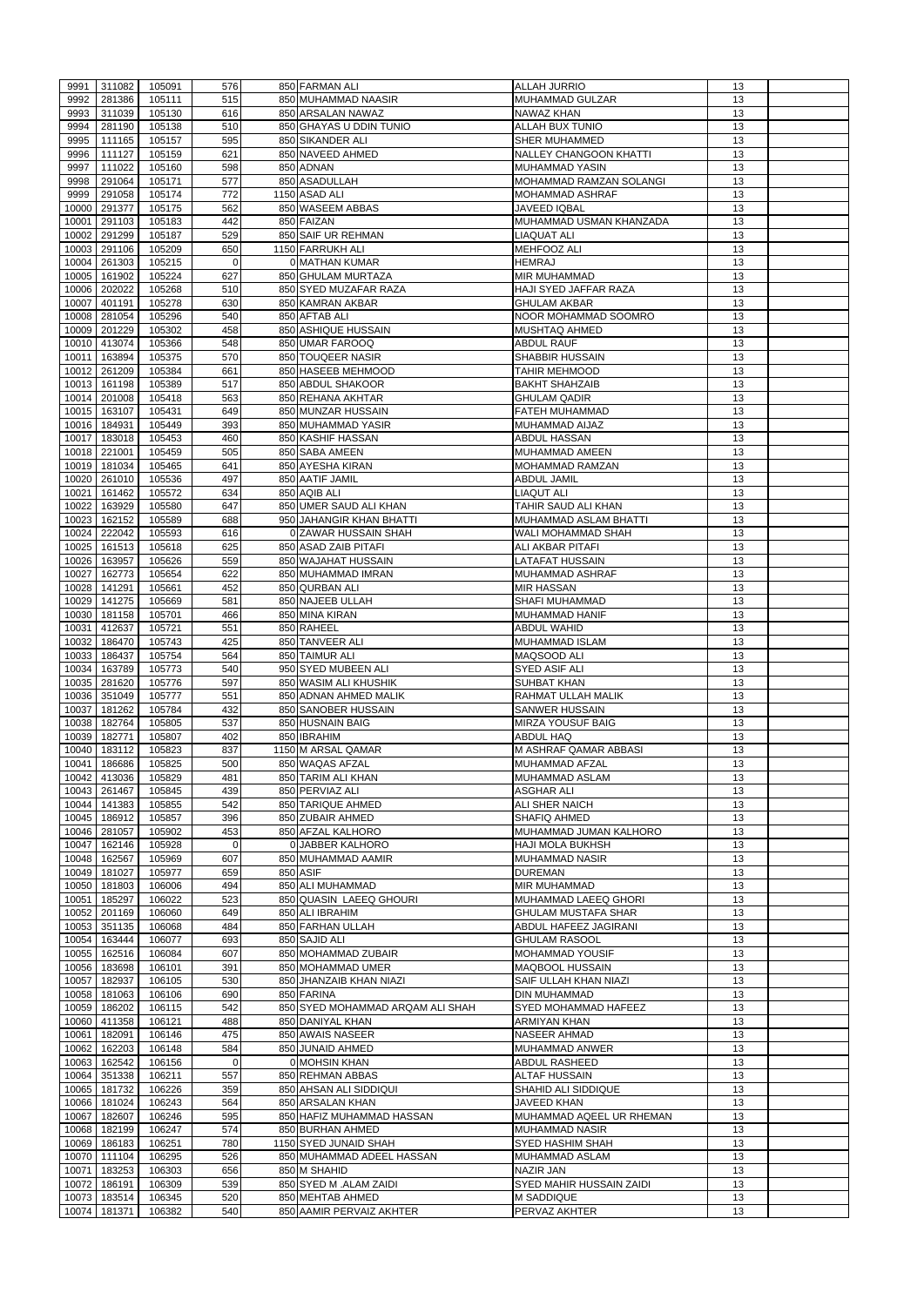| 9991  | 311082                 | 105091           | 576            | 850 FARMAN ALI                   | <b>ALLAH JURRIO</b>             | 13 |  |
|-------|------------------------|------------------|----------------|----------------------------------|---------------------------------|----|--|
|       |                        |                  |                |                                  |                                 |    |  |
| 9992  | 281386                 | 105111           | 515            | 850 MUHAMMAD NAASIR              | <b>MUHAMMAD GULZAR</b>          | 13 |  |
| 9993  | 311039                 | 105130           | 616            | 850 ARSALAN NAWAZ                | <b>NAWAZ KHAN</b>               | 13 |  |
| 9994  | 281190                 | 105138           | 510            | 850 GHAYAS U DDIN TUNIO          | <b>ALLAH BUX TUNIO</b>          | 13 |  |
| 9995  | 111165                 | 105157           | 595            | 850 SIKANDER ALI                 | <b>SHER MUHAMMED</b>            | 13 |  |
|       |                        |                  |                |                                  |                                 |    |  |
| 9996  | 111127                 | 105159           | 621            | 850 NAVEED AHMED                 | <b>NALLEY CHANGOON KHATTI</b>   | 13 |  |
| 9997  | 111022                 | 105160           | 598            | 850 ADNAN                        | <b>MUHAMMAD YASIN</b>           | 13 |  |
| 9998  | 291064                 | 105171           | 577            | 850 ASADULLAH                    | MOHAMMAD RAMZAN SOLANGI         | 13 |  |
| 9999  | 291058                 | 105174           | 772            | 1150 ASAD ALI                    | <b>MOHAMMAD ASHRAF</b>          | 13 |  |
|       |                        |                  |                |                                  |                                 |    |  |
| 10000 | 291377                 | 105175           | 562            | 850 WASEEM ABBAS                 | <b>JAVEED IQBAL</b>             | 13 |  |
| 10001 | 291103                 | 105183           | 442            | 850 FAIZAN                       | MUHAMMAD USMAN KHANZADA         | 13 |  |
| 10002 | 291299                 | 105187           | 529            | 850 SAIF UR REHMAN               | <b>LIAQUAT ALI</b>              | 13 |  |
| 10003 | 291106                 | 105209           | 650            | 1150 FARRUKH ALI                 | <b>MEHFOOZ ALI</b>              | 13 |  |
|       | 261303                 | 105215           | $\Omega$       | 0 MATHAN KUMAR                   | <b>HEMRAJ</b>                   | 13 |  |
| 10004 |                        |                  |                |                                  |                                 |    |  |
| 10005 | 161902                 | 105224           | 627            | 850 GHULAM MURTAZA               | <b>MIR MUHAMMAD</b>             | 13 |  |
| 10006 | 202022                 | 105268           | 510            | 850 SYED MUZAFAR RAZA            | HAJI SYED JAFFAR RAZA           | 13 |  |
| 10007 | 401191                 | 105278           | 630            | 850 KAMRAN AKBAR                 | <b>GHULAM AKBAR</b>             | 13 |  |
| 10008 | 281054                 | 105296           | 540            | 850 AFTAB ALI                    | NOOR MOHAMMAD SOOMRO            | 13 |  |
|       |                        |                  |                |                                  |                                 |    |  |
| 10009 | 201229                 | 105302           | 458            | 850 ASHIQUE HUSSAIN              | <b>MUSHTAQ AHMED</b>            | 13 |  |
| 10010 | 413074                 | 105366           | 548            | 850 UMAR FAROOQ                  | <b>ABDUL RAUF</b>               | 13 |  |
| 10011 | 163894                 | 105375           | 570            | 850 TOUQEER NASIR                | <b>SHABBIR HUSSAIN</b>          | 13 |  |
| 10012 | 261209                 | 105384           | 661            | 850 HASEEB MEHMOOD               | <b>TAHIR MEHMOOD</b>            | 13 |  |
|       | 161198                 |                  |                |                                  |                                 |    |  |
| 10013 |                        | 105389           | 517            | 850 ABDUL SHAKOOR                | <b>BAKHT SHAHZAIB</b>           | 13 |  |
| 10014 | 201008                 | 105418           | 563            | 850 REHANA AKHTAR                | <b>GHULAM QADIR</b>             | 13 |  |
| 10015 | 163107                 | 105431           | 649            | 850 MUNZAR HUSSAIN               | <b>FATEH MUHAMMAD</b>           | 13 |  |
| 10016 | 184931                 | 105449           | 393            | 850 MUHAMMAD YASIR               | MUHAMMAD AIJAZ                  | 13 |  |
| 10017 | 183018                 | 105453           | 460            | 850 KASHIF HASSAN                | ABDUL HASSAN                    | 13 |  |
|       |                        |                  |                |                                  |                                 |    |  |
| 10018 | 221001                 | 105459           | 505            | 850 SABA AMEEN                   | <b>MUHAMMAD AMEEN</b>           | 13 |  |
| 10019 | 181034                 | 105465           | 641            | 850 AYESHA KIRAN                 | MOHAMMAD RAMZAN                 | 13 |  |
| 10020 | 261010                 | 105536           | 497            | 850 AATIF JAMIL                  | <b>ABDUL JAMIL</b>              | 13 |  |
| 10021 | 161462                 | 105572           | 634            | 850 AQIB ALI                     | <b>LIAQUT ALI</b>               | 13 |  |
| 10022 |                        | 105580           | 647            | 850 UMER SAUD ALI KHAN           | <b>TAHIR SAUD ALI KHAN</b>      | 13 |  |
|       | 163929                 |                  |                |                                  |                                 |    |  |
| 10023 | 162152                 | 105589           | 688            | 950 JAHANGIR KHAN BHATTI         | MUHAMMAD ASLAM BHATTI           | 13 |  |
| 10024 | 222042                 | 105593           | 616            | 0 ZAWAR HUSSAIN SHAH             | WALI MOHAMMAD SHAH              | 13 |  |
| 10025 | 161513                 | 105618           | 625            | 850 ASAD ZAIB PITAFI             | <b>ALI AKBAR PITAFI</b>         | 13 |  |
| 10026 | 163957                 | 105626           | 559            | 850 WAJAHAT HUSSAIN              | <b>LATAFAT HUSSAIN</b>          | 13 |  |
|       |                        |                  |                |                                  |                                 |    |  |
|       | 10027 162773           | 105654           | 622            | 850 MUHAMMAD IMRAN               | <b>MUHAMMAD ASHRAF</b>          | 13 |  |
| 10028 | 141291                 | 105661           | 452            | 850 QURBAN ALI                   | <b>MIR HASSAN</b>               | 13 |  |
| 10029 | 141275                 | 105669           | 581            | 850 NAJEEB ULLAH                 | <b>SHAFI MUHAMMAD</b>           | 13 |  |
| 10030 | 181158                 | 105701           | 466            | 850 MINA KIRAN                   | <b>MUHAMMAD HANIF</b>           | 13 |  |
| 10031 | 412637                 | 105721           | 551            | 850 RAHEEL                       | ABDUL WAHID                     | 13 |  |
|       |                        |                  |                |                                  |                                 |    |  |
| 10032 | 186470                 | 105743           | 425            | 850 TANVEER ALI                  | <b>MUHAMMAD ISLAM</b>           | 13 |  |
| 10033 | 186437                 | 105754           | 564            | 850 TAIMUR ALI                   | MAQSOOD ALI                     | 13 |  |
| 10034 | 163789                 | 105773           | 540            | 950 SYED MUBEEN ALI              | SYED ASIF ALI                   | 13 |  |
| 10035 | 281620                 | 105776           | 597            | 850 WASIM ALI KHUSHIK            | <b>SUHBAT KHAN</b>              | 13 |  |
| 10036 | 351049                 | 105777           | 551            | 850 ADNAN AHMED MALIK            | RAHMAT ULLAH MALIK              |    |  |
|       |                        |                  |                |                                  |                                 | 13 |  |
| 10037 | 181262                 | 105784           | 432            | 850 SANOBER HUSSAIN              | <b>SANWER HUSSAIN</b>           | 13 |  |
| 10038 | 182764                 | 105805           | 537            | 850 HUSNAIN BAIG                 | <b>MIRZA YOUSUF BAIG</b>        | 13 |  |
| 10039 | 182771                 | 105807           | 402            | 850 IBRAHIM                      | <b>ABDUL HAQ</b>                | 13 |  |
| 10040 | 183112                 | 105823           | 837            | 1150 M ARSAL QAMAR               | M ASHRAF QAMAR ABBASI           | 13 |  |
|       |                        |                  |                |                                  |                                 |    |  |
| 10041 | 186686                 | 105825           | 500            | 850 WAQAS AFZAL                  | <b>MUHAMMAD AFZAL</b>           | 13 |  |
| 10042 | 413036                 | 105829           | 481            | 850 TARIM ALI KHAN               | <b>MUHAMMAD ASLAM</b>           | 13 |  |
| 10043 | 261467                 | 105845           | 439            | 850 PERVIAZ ALI                  | <b>ASGHAR ALI</b>               | 13 |  |
| 10044 | 141383                 | 105855           | 542            | 850 TARIQUE AHMED                | <b>ALI SHER NAICH</b>           | 13 |  |
| 10045 | 186912                 | 105857           | 396            | 850 ZUBAIR AHMED                 | <b>SHAFIQ AHMED</b>             | 13 |  |
|       |                        |                  |                |                                  |                                 |    |  |
| 10046 | 281057                 | 105902           | 453            | 850 AFZAL KALHORO                | MUHAMMAD JUMAN KALHORO          | 13 |  |
| 10047 | 162146                 | 105928           | $\mathbf 0$    | 0 JABBER KALHORO                 | <b>HAJI MOLA BUKHSH</b>         | 13 |  |
| 10048 | 162567                 | 105969           | 607            | 850 MUHAMMAD AAMIR               | <b>MUHAMMAD NASIR</b>           | 13 |  |
| 10049 | 181027                 | 105977           | 659            | 850 ASIF                         | <b>DUREMAN</b>                  | 13 |  |
| 10050 | 181803                 | 106006           | 494            | 850 ALI MUHAMMAD                 | <b>MIR MUHAMMAD</b>             | 13 |  |
|       |                        |                  |                |                                  |                                 |    |  |
| 10051 | 185297                 | 106022           | 523            | 850 QUASIN LAEEQ GHOURI          | MUHAMMAD LAEEQ GHORI            | 13 |  |
| 10052 | 201169                 | 106060           | 649            | 850 ALI IBRAHIM                  | <b>GHULAM MUSTAFA SHAR</b>      | 13 |  |
| 10053 | 351135                 | 106068           | 484            | 850 FARHAN ULLAH                 | ABDUL HAFEEZ JAGIRANI           | 13 |  |
| 10054 | 163444                 | 106077           | 693            | 850 SAJID ALI                    | <b>GHULAM RASOOL</b>            | 13 |  |
|       |                        |                  |                | 850 MOHAMMAD ZUBAIR              |                                 |    |  |
| 10055 | 162516                 | 106084           | 607            |                                  | <b>MOHAMMAD YOUSIF</b>          | 13 |  |
| 10056 | 183698                 | 106101           | 391            | 850 MOHAMMAD UMER                | <b>MAQBOOL HUSSAIN</b>          | 13 |  |
| 10057 | 182937                 | 106105           | 530            | 850 JHANZAIB KHAN NIAZI          | <b>SAIF ULLAH KHAN NIAZI</b>    | 13 |  |
| 10058 | 181063                 | 106106           | 690            | 850 FARINA                       | <b>DIN MUHAMMAD</b>             | 13 |  |
| 10059 | 186202                 | 106115           | 542            | 850 SYED MOHAMMAD ARQAM ALI SHAH | SYED MOHAMMAD HAFEEZ            | 13 |  |
|       |                        |                  |                |                                  |                                 |    |  |
| 10060 | 411358                 | 106121           | 488            | 850 DANIYAL KHAN                 | <b>ARMIYAN KHAN</b>             | 13 |  |
| 10061 | 182091                 | 106146           | 475            | 850 AWAIS NASEER                 | <b>NASEER AHMAD</b>             | 13 |  |
| 10062 | 162203                 | 106148           | 584            | 850 JUNAID AHMED                 | MUHAMMAD ANWER                  | 13 |  |
|       | 10063 162542           | 106156           | $\overline{0}$ | 0 MOHSIN KHAN                    | <b>ABDUL RASHEED</b>            | 13 |  |
| 10064 | 351338                 | 106211           | 557            | 850 REHMAN ABBAS                 | <b>ALTAF HUSSAIN</b>            | 13 |  |
|       |                        |                  |                |                                  |                                 |    |  |
|       | 10065 181732           | 106226           | 359            | 850 AHSAN ALI SIDDIQUI           | SHAHID ALI SIDDIQUE             | 13 |  |
|       | 10066 181024           | 106243           | 564            | 850 ARSALAN KHAN                 | JAVEED KHAN                     | 13 |  |
| 10067 | 182607                 | 106246           | 595            | 850 HAFIZ MUHAMMAD HASSAN        | MUHAMMAD AQEEL UR RHEMAN        | 13 |  |
| 10068 | 182199                 | 106247           | 574            | 850 BURHAN AHMED                 | MUHAMMAD NASIR                  | 13 |  |
|       |                        |                  |                |                                  |                                 |    |  |
| 10069 | 186183                 | 106251           | 780            | 1150 SYED JUNAID SHAH            | <b>SYED HASHIM SHAH</b>         | 13 |  |
| 10070 | 111104                 | 106295           | 526            | 850 MUHAMMAD ADEEL HASSAN        | MUHAMMAD ASLAM                  | 13 |  |
| 10071 | 183253                 | 106303           | 656            | 850 M SHAHID                     | <b>NAZIR JAN</b>                | 13 |  |
| 10072 | 186191                 | 106309           | 539            | 850 SYED M.ALAM ZAIDI            | <b>SYED MAHIR HUSSAIN ZAIDI</b> | 13 |  |
|       |                        |                  | 520            | 850 MEHTAB AHMED                 | <b>M SADDIQUE</b>               | 13 |  |
|       |                        |                  |                |                                  |                                 |    |  |
| 10073 | 183514<br>10074 181371 | 106345<br>106382 | 540            | 850 AAMIR PERVAIZ AKHTER         | PERVAZ AKHTER                   | 13 |  |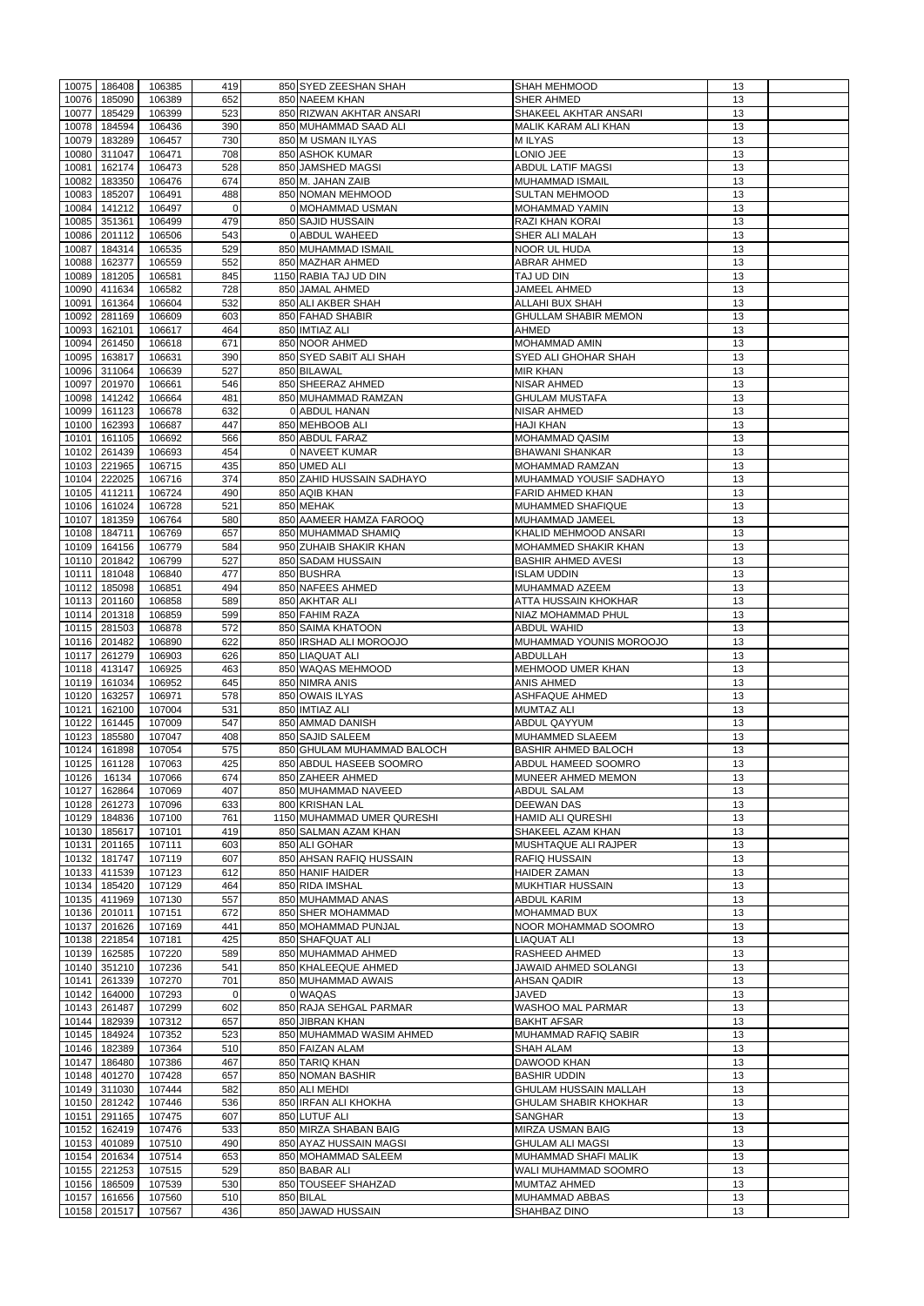|       | 10075 186408 | 106385 | 419         | 850 SYED ZEESHAN SHAH      | <b>SHAH MEHMOOD</b>          | 13 |  |
|-------|--------------|--------|-------------|----------------------------|------------------------------|----|--|
|       |              |        |             |                            |                              |    |  |
| 10076 | 185090       | 106389 | 652         | 850 NAEEM KHAN             | <b>SHER AHMED</b>            | 13 |  |
| 10077 | 185429       | 106399 | 523         | 850 RIZWAN AKHTAR ANSARI   | <b>SHAKEEL AKHTAR ANSARI</b> | 13 |  |
| 10078 | 184594       | 106436 | 390         | 850 MUHAMMAD SAAD ALI      | MALIK KARAM ALI KHAN         | 13 |  |
| 10079 | 183289       | 106457 | 730         | 850 M USMAN ILYAS          | <b>MILYAS</b>                | 13 |  |
| 10080 | 311047       | 106471 | 708         | 850 ASHOK KUMAR            | LONIO JEE                    | 13 |  |
|       |              |        | 528         |                            |                              |    |  |
| 10081 | 162174       | 106473 |             | 850 JAMSHED MAGSI          | <b>ABDUL LATIF MAGSI</b>     | 13 |  |
| 10082 | 183350       | 106476 | 674         | 850 M. JAHAN ZAIB          | <b>MUHAMMAD ISMAIL</b>       | 13 |  |
| 10083 | 185207       | 106491 | 488         | 850 NOMAN MEHMOOD          | <b>SULTAN MEHMOOD</b>        | 13 |  |
| 10084 | 141212       | 106497 | $\mathbf 0$ | 0 MOHAMMAD USMAN           | <b>MOHAMMAD YAMIN</b>        | 13 |  |
| 10085 | 351361       | 106499 | 479         | 850 SAJID HUSSAIN          | RAZI KHAN KORAI              | 13 |  |
|       |              |        |             |                            |                              |    |  |
|       | 10086 201112 | 106506 | 543         | 0 ABDUL WAHEED             | <b>SHER ALI MALAH</b>        | 13 |  |
| 10087 | 184314       | 106535 | 529         | 850 MUHAMMAD ISMAIL        | <b>NOOR UL HUDA</b>          | 13 |  |
| 10088 | 162377       | 106559 | 552         | 850 MAZHAR AHMED           | <b>ABRAR AHMED</b>           | 13 |  |
| 10089 | 181205       | 106581 | 845         | 1150 RABIA TAJ UD DIN      | TAJ UD DIN                   | 13 |  |
| 10090 | 411634       | 106582 | 728         | 850 JAMAL AHMED            | JAMEEL AHMED                 | 13 |  |
| 10091 | 161364       | 106604 | 532         | 850 ALI AKBER SHAH         | <b>ALLAHI BUX SHAH</b>       | 13 |  |
|       |              |        |             |                            |                              |    |  |
| 10092 | 281169       | 106609 | 603         | 850 FAHAD SHABIR           | <b>GHULLAM SHABIR MEMON</b>  | 13 |  |
| 10093 | 162101       | 106617 | 464         | 850 IMTIAZ ALI             | <b>AHMED</b>                 | 13 |  |
| 10094 | 261450       | 106618 | 671         | 850 NOOR AHMED             | <b>MOHAMMAD AMIN</b>         | 13 |  |
| 10095 | 163817       | 106631 | 390         | 850 SYED SABIT ALI SHAH    | SYED ALI GHOHAR SHAH         | 13 |  |
|       | 10096 311064 | 106639 | 527         | 850 BILAWAL                | <b>MIR KHAN</b>              | 13 |  |
|       |              |        |             |                            |                              |    |  |
| 10097 | 201970       | 106661 | 546         | 850 SHEERAZ AHMED          | <b>NISAR AHMED</b>           | 13 |  |
| 10098 | 141242       | 106664 | 481         | 850 MUHAMMAD RAMZAN        | <b>GHULAM MUSTAFA</b>        | 13 |  |
| 10099 | 161123       | 106678 | 632         | 0 ABDUL HANAN              | <b>NISAR AHMED</b>           | 13 |  |
| 10100 | 162393       | 106687 | 447         | 850 MEHBOOB ALI            | <b>HAJI KHAN</b>             | 13 |  |
| 10101 | 161105       | 106692 | 566         | 850 ABDUL FARAZ            | MOHAMMAD QASIM               | 13 |  |
|       |              |        |             |                            |                              |    |  |
| 10102 | 261439       | 106693 | 454         | 0 NAVEET KUMAR             | <b>BHAWANI SHANKAR</b>       | 13 |  |
|       | 10103 221965 | 106715 | 435         | 850 UMED ALI               | MOHAMMAD RAMZAN              | 13 |  |
|       | 10104 222025 | 106716 | 374         | 850 ZAHID HUSSAIN SADHAYO  | MUHAMMAD YOUSIF SADHAYO      | 13 |  |
| 10105 | 411211       | 106724 | 490         | 850 AQIB KHAN              | <b>FARID AHMED KHAN</b>      | 13 |  |
| 10106 | 161024       | 106728 | 521         | 850 MEHAK                  | <b>MUHAMMED SHAFIQUE</b>     | 13 |  |
|       |              |        |             |                            |                              |    |  |
| 10107 | 181359       | 106764 | 580         | 850 AAMEER HAMZA FAROOQ    | MUHAMMAD JAMEEL              | 13 |  |
| 10108 | 184711       | 106769 | 657         | 850 MUHAMMAD SHAMIQ        | KHALID MEHMOOD ANSARI        | 13 |  |
|       | 10109 164156 | 106779 | 584         | 950 ZUHAIB SHAKIR KHAN     | <b>MOHAMMED SHAKIR KHAN</b>  | 13 |  |
|       | 10110 201842 | 106799 | 527         | 850 SADAM HUSSAIN          | <b>BASHIR AHMED AVESI</b>    | 13 |  |
|       |              |        |             |                            |                              |    |  |
|       | 10111 181048 | 106840 | 477         | 850 BUSHRA                 | <b>ISLAM UDDIN</b>           | 13 |  |
|       | 10112 185098 | 106851 | 494         | 850 NAFEES AHMED           | MUHAMMAD AZEEM               | 13 |  |
|       | 10113 201160 | 106858 | 589         | 850 AKHTAR ALI             | <b>ATTA HUSSAIN KHOKHAR</b>  | 13 |  |
|       | 10114 201318 | 106859 | 599         | 850 FAHIM RAZA             | NIAZ MOHAMMAD PHUL           | 13 |  |
|       | 10115 281503 | 106878 | 572         | 850 SAIMA KHATOON          | <b>ABDUL WAHID</b>           | 13 |  |
|       |              |        |             |                            |                              |    |  |
|       | 10116 201482 | 106890 | 622         | 850 IRSHAD ALI MOROOJO     | MUHAMMAD YOUNIS MOROOJO      | 13 |  |
|       | 10117 261279 | 106903 | 626         | 850 LIAQUAT ALI            | ABDULLAH                     | 13 |  |
|       | 10118 413147 | 106925 | 463         | 850 WAQAS MEHMOOD          | <b>MEHMOOD UMER KHAN</b>     | 13 |  |
|       | 10119 161034 | 106952 | 645         | 850 NIMRA ANIS             | <b>ANIS AHMED</b>            | 13 |  |
| 10120 | 163257       |        | 578         | 850 OWAIS ILYAS            | <b>ASHFAQUE AHMED</b>        |    |  |
|       |              | 106971 |             |                            |                              | 13 |  |
| 10121 | 162100       | 107004 | 531         | 850 IMTIAZ ALI             | <b>MUMTAZ ALI</b>            | 13 |  |
| 10122 | 161445       | 107009 | 547         | 850 AMMAD DANISH           | ABDUL QAYYUM                 | 13 |  |
| 10123 | 185580       | 107047 | 408         | 850 SAJID SALEEM           | <b>MUHAMMED SLAEEM</b>       | 13 |  |
|       | 10124 161898 | 107054 | 575         | 850 GHULAM MUHAMMAD BALOCH | <b>BASHIR AHMED BALOCH</b>   | 13 |  |
|       | 10125 161128 |        |             | 850 ABDUL HASEEB SOOMRO    | ABDUL HAMEED SOOMRO          | 13 |  |
|       |              | 107063 | 425         |                            |                              |    |  |
| 10126 | 16134        | 107066 |             | 850 ZAHEER AHMED           | MUNEER AHMED MEMON           |    |  |
| 10127 | 162864       |        | 674         |                            |                              | 13 |  |
| 10128 |              | 107069 | 407         | 850 MUHAMMAD NAVEED        | <b>ABDUL SALAM</b>           | 13 |  |
| 10129 | 261273       | 107096 | 633         | 800 KRISHAN LAL            | <b>DEEWAN DAS</b>            | 13 |  |
|       |              |        |             |                            |                              |    |  |
|       | 184836       | 107100 | 761         | 1150 MUHAMMAD UMER QURESHI | HAMID ALI QURESHI            | 13 |  |
| 10130 | 185617       | 107101 | 419         | 850 SALMAN AZAM KHAN       | SHAKEEL AZAM KHAN            | 13 |  |
| 10131 | 201165       | 107111 | 603         | 850 ALI GOHAR              | MUSHTAQUE ALI RAJPER         | 13 |  |
| 10132 | 181747       | 107119 | 607         | 850 AHSAN RAFIQ HUSSAIN    | <b>RAFIQ HUSSAIN</b>         | 13 |  |
|       | 10133 411539 | 107123 | 612         | 850 HANIF HAIDER           | <b>HAIDER ZAMAN</b>          | 13 |  |
|       |              |        |             |                            |                              |    |  |
|       | 10134 185420 | 107129 | 464         | 850 RIDA IMSHAL            | <b>MUKHTIAR HUSSAIN</b>      | 13 |  |
|       | 10135 411969 | 107130 | 557         | 850 MUHAMMAD ANAS          | <b>ABDUL KARIM</b>           | 13 |  |
|       | 10136 201011 | 107151 | 672         | 850 SHER MOHAMMAD          | <b>MOHAMMAD BUX</b>          | 13 |  |
|       | 10137 201626 | 107169 | 441         | 850 MOHAMMAD PUNJAL        | NOOR MOHAMMAD SOOMRO         | 13 |  |
|       | 10138 221854 | 107181 | 425         | 850 SHAFQUAT ALI           | <b>LIAQUAT ALI</b>           | 13 |  |
|       |              |        |             |                            |                              |    |  |
| 10139 | 162585       | 107220 | 589         | 850 MUHAMMAD AHMED         | <b>RASHEED AHMED</b>         | 13 |  |
| 10140 | 351210       | 107236 | 541         | 850 KHALEEQUE AHMED        | JAWAID AHMED SOLANGI         | 13 |  |
| 10141 | 261339       | 107270 | 701         | 850 MUHAMMAD AWAIS         | <b>AHSAN QADIR</b>           | 13 |  |
|       | 10142 164000 | 107293 | $\Omega$    | 0 WAQAS                    | <b>JAVED</b>                 | 13 |  |
| 10143 | 261487       | 107299 | 602         | 850 RAJA SEHGAL PARMAR     | <b>WASHOO MAL PARMAR</b>     | 13 |  |
|       |              |        |             |                            |                              |    |  |
| 10144 | 182939       | 107312 | 657         | 850 JIBRAN KHAN            | <b>BAKHT AFSAR</b>           | 13 |  |
|       | 10145 184924 | 107352 | 523         | 850 MUHAMMAD WASIM AHMED   | MUHAMMAD RAFIQ SABIR         | 13 |  |
|       | 10146 182389 | 107364 | 510         | 850 FAIZAN ALAM            | <b>SHAH ALAM</b>             | 13 |  |
|       | 10147 186480 | 107386 | 467         | 850 TARIQ KHAN             | <b>DAWOOD KHAN</b>           | 13 |  |
| 10148 | 401270       | 107428 | 657         | 850 NOMAN BASHIR           | <b>BASHIR UDDIN</b>          | 13 |  |
|       |              |        |             |                            |                              |    |  |
|       | 10149 311030 | 107444 | 582         | 850 ALI MEHDI              | GHULAM HUSSAIN MALLAH        | 13 |  |
|       | 10150 281242 | 107446 | 536         | 850 IRFAN ALI KHOKHA       | <b>GHULAM SHABIR KHOKHAR</b> | 13 |  |
|       | 10151 291165 | 107475 | 607         | 850 LUTUF ALI              | <b>SANGHAR</b>               | 13 |  |
|       | 10152 162419 | 107476 | 533         | 850 MIRZA SHABAN BAIG      | <b>MIRZA USMAN BAIG</b>      | 13 |  |
|       |              |        | 490         | 850 AYAZ HUSSAIN MAGSI     | <b>GHULAM ALI MAGSI</b>      | 13 |  |
|       | 10153 401089 | 107510 |             |                            |                              |    |  |
|       | 10154 201634 | 107514 | 653         | 850 MOHAMMAD SALEEM        | MUHAMMAD SHAFI MALIK         | 13 |  |
| 10155 | 221253       | 107515 | 529         | 850 BABAR ALI              | WALI MUHAMMAD SOOMRO         | 13 |  |
| 10156 | 186509       | 107539 | 530         | 850 TOUSEEF SHAHZAD        | <b>MUMTAZ AHMED</b>          | 13 |  |
| 10157 | 161656       | 107560 | 510         | 850 BILAL                  | <b>MUHAMMAD ABBAS</b>        | 13 |  |
|       | 10158 201517 | 107567 | 436         | 850 JAWAD HUSSAIN          | <b>SHAHBAZ DINO</b>          | 13 |  |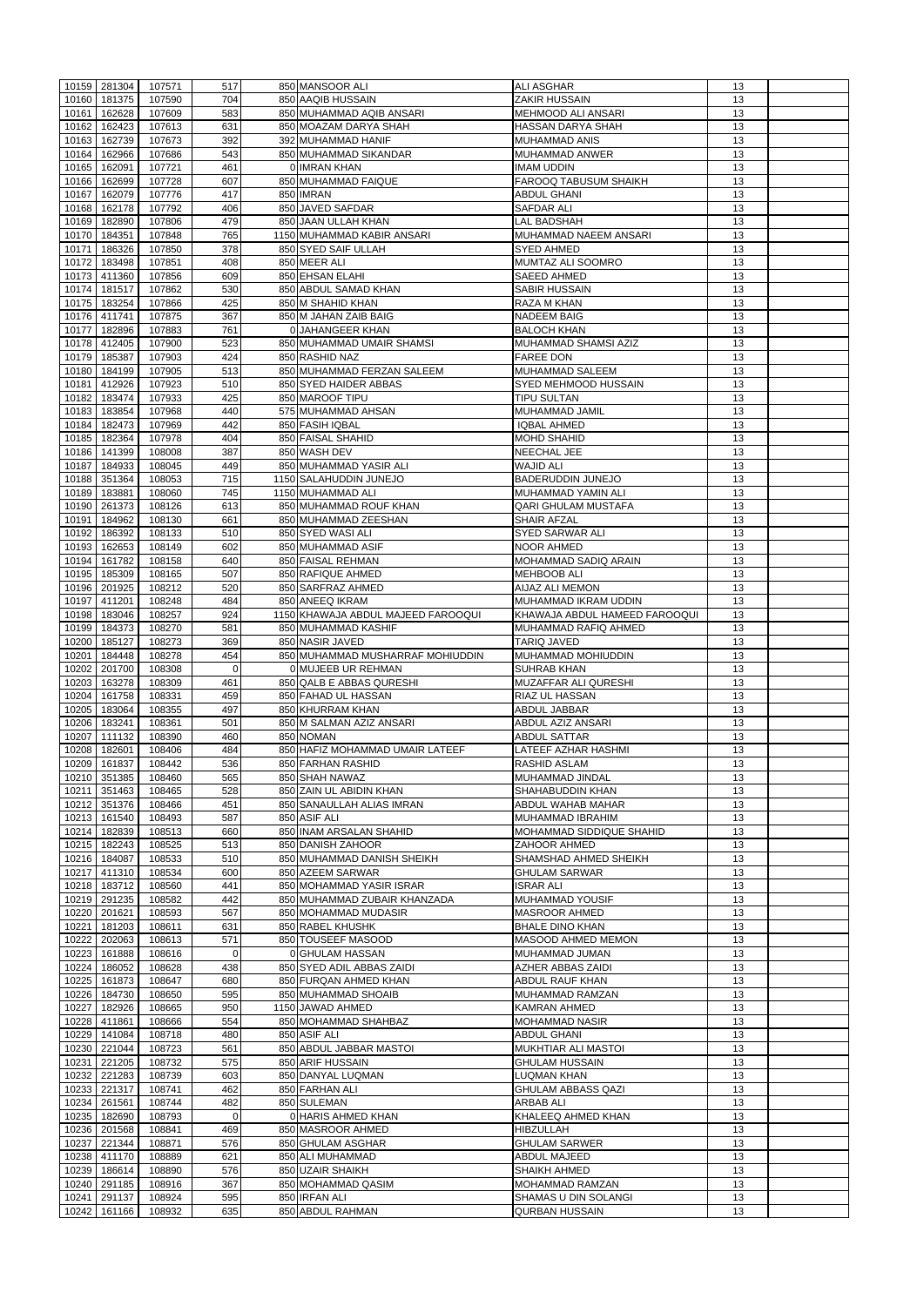|                | 10159 281304                 | 107571           | 517                | 850 MANSOOR ALI                             | <b>ALI ASGHAR</b>                                    | 13       |  |
|----------------|------------------------------|------------------|--------------------|---------------------------------------------|------------------------------------------------------|----------|--|
| 10160          |                              |                  | 704                |                                             |                                                      |          |  |
|                | 181375                       | 107590           | 583                | 850 AAQIB HUSSAIN                           | <b>ZAKIR HUSSAIN</b>                                 | 13<br>13 |  |
| 10161          | 162628                       | 107609           | 631                | 850 MUHAMMAD AQIB ANSARI                    | MEHMOOD ALI ANSARI                                   | 13       |  |
| 10162<br>10163 | 162423<br>162739             | 107613<br>107673 | 392                | 850 MOAZAM DARYA SHAH<br>392 MUHAMMAD HANIF | <b>HASSAN DARYA SHAH</b><br><b>MUHAMMAD ANIS</b>     | 13       |  |
| 10164          | 162966                       |                  | 543                | 850 MUHAMMAD SIKANDAR                       | MUHAMMAD ANWER                                       | 13       |  |
| 10165          |                              | 107686           | 461                |                                             |                                                      |          |  |
| 10166          | 162091                       | 107721           | 607                | 0 IMRAN KHAN                                | <b>IMAM UDDIN</b><br><b>FAROOQ TABUSUM SHAIKH</b>    | 13<br>13 |  |
|                | 162699                       | 107728           |                    | 850 MUHAMMAD FAIQUE<br>850 IMRAN            |                                                      |          |  |
| 10167          | 162079                       | 107776           | 417                |                                             | <b>ABDUL GHANI</b>                                   | 13       |  |
| 10168          | 162178                       | 107792           | 406                | 850 JAVED SAFDAR                            | <b>SAFDAR ALI</b>                                    | 13       |  |
| 10169          | 182890                       | 107806           | 479                | 850 JAAN ULLAH KHAN                         | <b>LAL BADSHAH</b>                                   | 13       |  |
| 10170          | 184351                       | 107848           | 765                | 1150 MUHAMMAD KABIR ANSARI                  | MUHAMMAD NAEEM ANSARI                                | 13       |  |
| 10171          | 186326                       | 107850           | 378                | 850 SYED SAIF ULLAH                         | <b>SYED AHMED</b>                                    | 13       |  |
| 10172          | 183498                       | 107851           | 408                | 850 MEER ALI                                | MUMTAZ ALI SOOMRO                                    | 13       |  |
|                | 10173 411360                 | 107856           | 609                | 850 EHSAN ELAHI                             | <b>SAEED AHMED</b>                                   | 13       |  |
|                | 10174 181517                 | 107862           | 530                | 850 ABDUL SAMAD KHAN                        | <b>SABIR HUSSAIN</b>                                 | 13       |  |
|                | 10175 183254                 | 107866           | 425                | 850 M SHAHID KHAN                           | RAZA M KHAN                                          | 13       |  |
|                | 10176 411741                 | 107875           | 367                | 850 M JAHAN ZAIB BAIG                       | <b>NADEEM BAIG</b>                                   | 13       |  |
| 10177          | 182896                       | 107883           | 761                | 0 JAHANGEER KHAN                            | <b>BALOCH KHAN</b>                                   | 13       |  |
| 10178          | 412405                       | 107900           | 523                | 850 MUHAMMAD UMAIR SHAMSI                   | MUHAMMAD SHAMSI AZIZ                                 | 13       |  |
| 10179          | 185387                       | 107903           | 424                | 850 RASHID NAZ                              | <b>FAREE DON</b>                                     | 13       |  |
| 10180          | 184199                       | 107905           | 513                | 850 MUHAMMAD FERZAN SALEEM                  | MUHAMMAD SALEEM                                      | 13       |  |
| 10181          | 412926                       | 107923           | 510                | 850 SYED HAIDER ABBAS                       | <b>SYED MEHMOOD HUSSAIN</b>                          | 13       |  |
| 10182          | 183474                       | 107933           | 425                | 850 MAROOF TIPU                             | <b>TIPU SULTAN</b>                                   | 13       |  |
| 10183          | 183854                       | 107968           | 440                | 575 MUHAMMAD AHSAN                          | MUHAMMAD JAMIL                                       | 13       |  |
| 10184          | 182473                       | 107969           | 442                | 850 FASIH IQBAL                             | <b>IQBAL AHMED</b>                                   | 13       |  |
| 10185          | 182364                       | 107978           | 404                | 850 FAISAL SHAHID                           | <b>MOHD SHAHID</b>                                   | 13       |  |
| 10186          | 141399                       | 108008           | 387                | 850 WASH DEV                                | NEECHAL JEE                                          | 13       |  |
| 10187          | 184933                       | 108045           | 449                | 850 MUHAMMAD YASIR ALI                      | <b>WAJID ALI</b>                                     | 13       |  |
| 10188          | 351364                       | 108053           | 715                | 1150 SALAHUDDIN JUNEJO                      | <b>BADERUDDIN JUNEJO</b>                             | 13       |  |
| 10189          | 183881                       | 108060           | 745                | 1150 MUHAMMAD ALI                           | MUHAMMAD YAMIN ALI                                   | 13       |  |
| 10190          | 261373                       | 108126           | 613                | 850 MUHAMMAD ROUF KHAN                      | <b>QARI GHULAM MUSTAFA</b>                           | 13       |  |
| 10191          | 184962                       | 108130           | 661                | 850 MUHAMMAD ZEESHAN                        | <b>SHAIR AFZAL</b>                                   | 13       |  |
| 10192          | 186392                       | 108133           | 510                | 850 SYED WASI ALI                           | <b>SYED SARWAR ALI</b>                               | 13       |  |
| 10193          | 162653                       | 108149           | 602                | 850 MUHAMMAD ASIF                           | <b>NOOR AHMED</b>                                    | 13       |  |
|                | 10194 161782                 | 108158           | 640                | 850 FAISAL REHMAN                           | <b>MOHAMMAD SADIO ARAIN</b>                          | 13       |  |
|                | 10195 185309                 | 108165           | 507                | 850 RAFIQUE AHMED                           | <b>MEHBOOB ALI</b>                                   | 13       |  |
| 10196          | 201925                       | 108212           | 520                | 850 SARFRAZ AHMED                           | <b>AIJAZ ALI MEMON</b>                               | 13       |  |
| 10197          | 411201                       | 108248           | 484                | 850 ANEEQ IKRAM                             | MUHAMMAD IKRAM UDDIN                                 | 13       |  |
| 10198          | 183046                       | 108257           | 924                | 1150 KHAWAJA ABDUL MAJEED FAROOQUI          | KHAWAJA ABDUL HAMEED FAROOQUI                        | 13       |  |
| 10199          | 184373                       | 108270           | 581                | 850 MUHAMMAD KASHIF                         | MUHAMMAD RAFIQ AHMED                                 | 13       |  |
| 10200          | 185127                       | 108273           | 369                | 850 NASIR JAVED                             | <b>TARIQ JAVED</b>                                   | 13       |  |
| 10201          | 184448                       | 108278           | 454                | 850 MUHAMMAD MUSHARRAF MOHIUDDIN            | MUHAMMAD MOHIUDDIN                                   | 13       |  |
| 10202          |                              |                  |                    |                                             |                                                      |          |  |
|                | 201700                       | 108308           | $\Omega$           | 0 MUJEEB UR REHMAN                          | <b>SUHRAB KHAN</b>                                   | 13       |  |
| 10203          | 163278                       | 108309           | 461                | 850 QALB E ABBAS QURESHI                    | <b>MUZAFFAR ALI QURESHI</b>                          | 13       |  |
| 10204          | 161758                       | 108331           | 459                | 850 FAHAD UL HASSAN                         | RIAZ UL HASSAN                                       | 13       |  |
| 10205          | 183064                       | 108355           | 497                | 850 KHURRAM KHAN                            | <b>ABDUL JABBAR</b>                                  | 13       |  |
| 10206          | 183241                       | 108361           | 501                | 850 M SALMAN AZIZ ANSARI                    | ABDUL AZIZ ANSARI                                    | 13       |  |
| 10207          | 111132                       | 108390           | 460                | 850 NOMAN                                   | <b>ABDUL SATTAR</b>                                  | 13       |  |
| 10208          | 182601                       | 108406           | 484                | 850 HAFIZ MOHAMMAD UMAIR LATEEF             | LATEEF AZHAR HASHMI                                  | 13       |  |
| 10209          | 161837                       | 108442           | 536                | 850 FARHAN RASHID                           | <b>RASHID ASLAM</b>                                  | 13       |  |
| 10210          | 351385                       | 108460           | 565                | 850 SHAH NAWAZ                              | MUHAMMAD JINDAL                                      | 13       |  |
| 10211          | 351463                       | 108465           | 528                | 850 ZAIN UL ABIDIN KHAN                     | SHAHABUDDIN KHAN                                     | 13       |  |
| 10212          | 351376                       | 108466           | 451                | 850 SANAULLAH ALIAS IMRAN                   | <b>ABDUL WAHAB MAHAR</b>                             | 13       |  |
| 10213          | 161540                       | 108493           | 587                | 850 ASIF ALI                                | <b>MUHAMMAD IBRAHIM</b>                              | 13       |  |
| 10214          | 182839                       | 108513           | 660                | 850 INAM ARSALAN SHAHID                     | MOHAMMAD SIDDIQUE SHAHID                             | 13       |  |
| 10215          | 182243                       | 108525           | 513                | 850 DANISH ZAHOOR                           | <b>ZAHOOR AHMED</b>                                  | 13       |  |
| 10216          | 184087                       | 108533           | 510                | 850 MUHAMMAD DANISH SHEIKH                  | SHAMSHAD AHMED SHEIKH                                | 13       |  |
|                | 10217 411310                 | 108534           | 600                | 850 AZEEM SARWAR                            | <b>GHULAM SARWAR</b>                                 | 13       |  |
|                | 10218 183712                 | 108560           | 441                | 850 MOHAMMAD YASIR ISRAR                    | <b>ISRAR ALI</b>                                     | 13       |  |
| 10219          | 291235                       | 108582           | 442                | 850 MUHAMMAD ZUBAIR KHANZADA                | MUHAMMAD YOUSIF                                      | 13       |  |
| 10220          | 201621                       | 108593           | 567                | 850 MOHAMMAD MUDASIR                        | <b>MASROOR AHMED</b>                                 | 13       |  |
| 10221          | 181203                       | 108611           | 631                | 850 RABEL KHUSHK                            | <b>BHALE DINO KHAN</b>                               | 13       |  |
| 10222          | 202063                       | 108613           | 571                | 850 TOUSEEF MASOOD                          | MASOOD AHMED MEMON                                   | 13       |  |
| 10223          | 161888                       | 108616           | $\Omega$           | 0 GHULAM HASSAN                             | MUHAMMAD JUMAN                                       | 13       |  |
| 10224          | 186052                       | 108628           | 438                | 850 SYED ADIL ABBAS ZAIDI                   | <b>AZHER ABBAS ZAIDI</b>                             | 13       |  |
| 10225          | 161873                       | 108647           | 680                | 850 FURQAN AHMED KHAN                       | <b>ABDUL RAUF KHAN</b>                               | 13       |  |
| 10226          | 184730                       | 108650           | 595                | 850 MUHAMMAD SHOAIB                         | MUHAMMAD RAMZAN                                      | 13       |  |
| 10227          | 182926                       | 108665           | 950                | 1150 JAWAD AHMED                            | <b>KAMRAN AHMED</b>                                  | 13       |  |
| 10228          | 411861                       | 108666           | 554                | 850 MOHAMMAD SHAHBAZ                        | <b>MOHAMMAD NASIR</b>                                | 13       |  |
| 10229          | 141084                       | 108718           | 480                | 850 ASIF ALI                                | <b>ABDUL GHANI</b>                                   | 13       |  |
|                |                              | 108723           | 561                | 850 ABDUL JABBAR MASTOI                     | MUKHTIAR ALI MASTOI                                  | 13       |  |
| 10230          | 221044                       |                  |                    |                                             |                                                      |          |  |
|                | 10231 221205                 | 108732           | 575<br>603         | 850 ARIF HUSSAIN<br>850 DANYAL LUQMAN       | <b>GHULAM HUSSAIN</b><br><b>LUQMAN KHAN</b>          | 13<br>13 |  |
|                | 10232 221283<br>10233 221317 | 108739<br>108741 |                    | 850 FARHAN ALI                              | <b>GHULAM ABBASS QAZI</b>                            |          |  |
| 10234          | 261561                       |                  | 462                | 850 SULEMAN                                 | <b>ARBAB ALI</b>                                     | 13       |  |
| 10235          | 182690                       | 108744<br>108793 | 482<br>$\mathbf 0$ | 0 HARIS AHMED KHAN                          | KHALEEQ AHMED KHAN                                   | 13<br>13 |  |
|                |                              |                  |                    |                                             | <b>HIBZULLAH</b>                                     |          |  |
|                | 10236 201568                 | 108841           | 469                | 850 MASROOR AHMED                           |                                                      | 13       |  |
| 10237          | 221344                       | 108871           | 576                | 850 GHULAM ASGHAR                           | <b>GHULAM SARWER</b>                                 | 13       |  |
| 10238          | 411170                       | 108889           | 621                | 850 ALI MUHAMMAD                            | <b>ABDUL MAJEED</b>                                  | 13       |  |
| 10239          | 186614                       | 108890           | 576                | 850 UZAIR SHAIKH                            | <b>SHAIKH AHMED</b>                                  | 13       |  |
| 10240          | 291185                       | 108916           | 367                | 850 MOHAMMAD QASIM                          | <b>MOHAMMAD RAMZAN</b>                               | 13       |  |
| 10241          | 291137<br>10242 161166       | 108924<br>108932 | 595<br>635         | 850 IRFAN ALI<br>850 ABDUL RAHMAN           | <b>SHAMAS U DIN SOLANGI</b><br><b>QURBAN HUSSAIN</b> | 13<br>13 |  |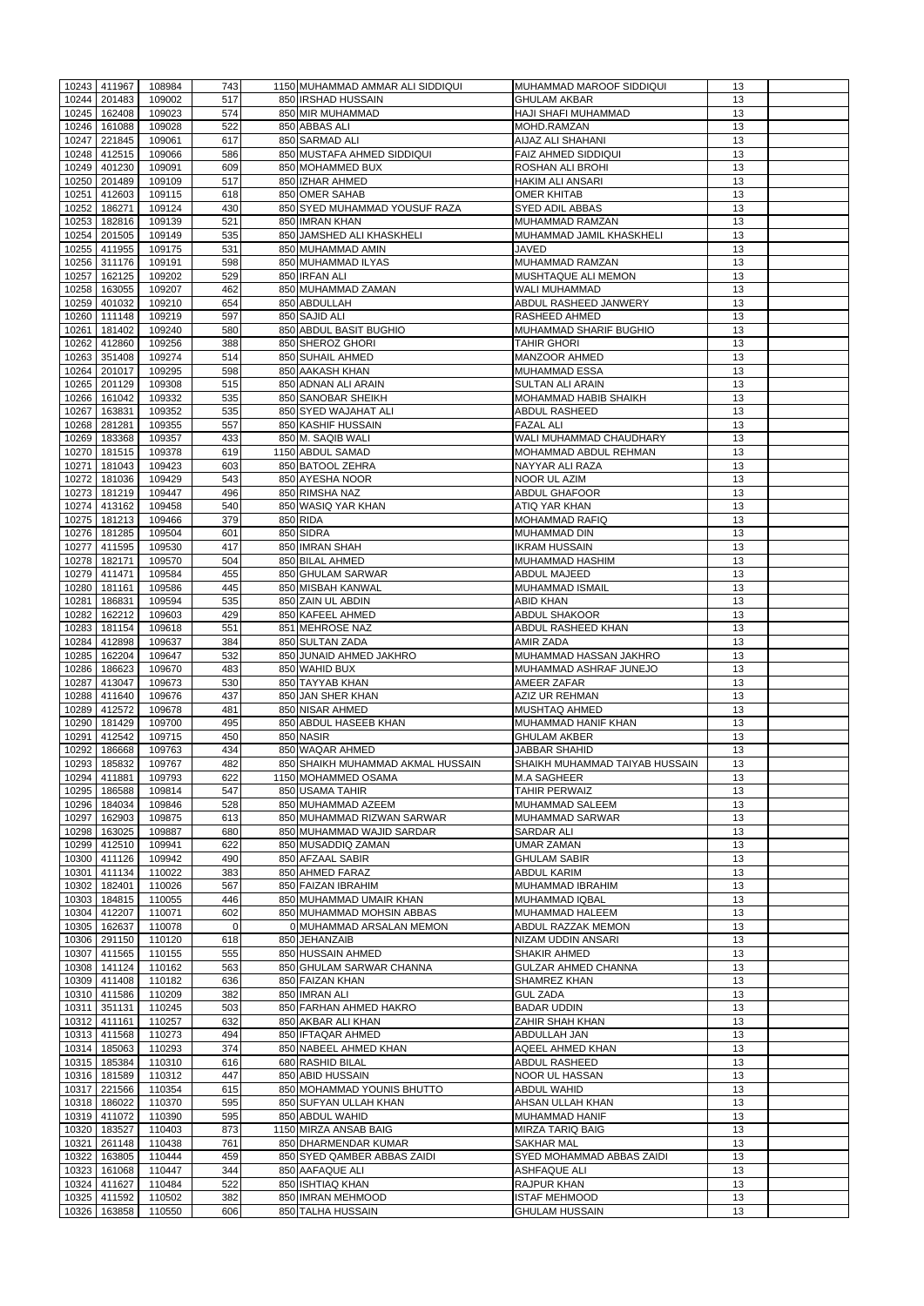|                | 10243 411967        | 108984           | 743        | 1150 MUHAMMAD AMMAR ALI SIDDIQUI       | MUHAMMAD MAROOF SIDDIQUI                      | 13              |  |
|----------------|---------------------|------------------|------------|----------------------------------------|-----------------------------------------------|-----------------|--|
| 10244          | 201483              | 109002           | 517        | 850 IRSHAD HUSSAIN                     | <b>GHULAM AKBAR</b>                           | 13              |  |
| 10245          | 162408              | 109023           | 574        | 850 MIR MUHAMMAD                       | <b>HAJI SHAFI MUHAMMAD</b>                    | 13              |  |
| 10246          | 161088              | 109028           | 522        | 850 ABBAS ALI                          | MOHD.RAMZAN                                   | 13              |  |
| 10247          | 221845              | 109061           | 617        | 850 SARMAD ALI                         | AIJAZ ALI SHAHANI                             | 13              |  |
| 10248          | 412515              | 109066           | 586        | 850 MUSTAFA AHMED SIDDIQUI             | <b>FAIZ AHMED SIDDIQUI</b>                    | 13              |  |
| 10249          | 401230              | 109091           | 609        | 850 MOHAMMED BUX                       | <b>ROSHAN ALI BROHI</b>                       | 13              |  |
| 10250          | 201489              | 109109           | 517        | 850 IZHAR AHMED                        | <b>HAKIM ALI ANSARI</b>                       | 13              |  |
| 10251          | 412603              | 109115           | 618        | 850 OMER SAHAB                         | <b>OMER KHITAB</b>                            | 13              |  |
| 10252          | 186271              | 109124           | 430        | 850 SYED MUHAMMAD YOUSUF RAZA          | <b>SYED ADIL ABBAS</b>                        | 13              |  |
| 10253          | 182816              | 109139           | 521        | 850 IMRAN KHAN                         | MUHAMMAD RAMZAN                               | 13              |  |
| 10254          | 201505              | 109149           | 535        | 850 JAMSHED ALI KHASKHELI              | MUHAMMAD JAMIL KHASKHELI                      | 13              |  |
|                |                     |                  | 531        |                                        | <b>JAVED</b>                                  |                 |  |
| 10255          | 411955              | 109175           |            | 850 MUHAMMAD AMIN                      |                                               | 13              |  |
| 10256          | 311176              | 109191           | 598        | 850 MUHAMMAD ILYAS                     | MUHAMMAD RAMZAN                               | 13              |  |
| 10257          | 162125              | 109202           | 529        | 850 IRFAN ALI                          | MUSHTAQUE ALI MEMON                           | 13              |  |
| 10258          | 163055              | 109207           | 462        | 850 MUHAMMAD ZAMAN                     | WALI MUHAMMAD                                 | 13              |  |
| 10259          | 401032              | 109210           | 654        | 850 ABDULLAH                           | ABDUL RASHEED JANWERY                         | 13              |  |
| 10260          | 111148              | 109219           | 597        | 850 SAJID ALI                          | <b>RASHEED AHMED</b>                          | 13              |  |
| 10261          | 181402              | 109240           | 580        | 850 ABDUL BASIT BUGHIO                 | <b>MUHAMMAD SHARIF BUGHIO</b>                 | 13              |  |
| 10262          | 412860              | 109256           | 388        | 850 SHEROZ GHORI                       | <b>TAHIR GHORI</b>                            | 13              |  |
| 10263          | 351408              | 109274           | 514        | 850 SUHAIL AHMED                       | <b>MANZOOR AHMED</b>                          | 13              |  |
| 10264          | 201017              | 109295           | 598        | 850 AAKASH KHAN                        | <b>MUHAMMAD ESSA</b>                          | 13              |  |
| 10265          | 201129              | 109308           | 515        | 850 ADNAN ALI ARAIN                    | <b>SULTAN ALI ARAIN</b>                       | 13              |  |
| 10266          | 161042              | 109332           | 535        | 850 SANOBAR SHEIKH                     | <b>MOHAMMAD HABIB SHAIKH</b>                  | 13              |  |
| 10267          | 163831              | 109352           | 535        | 850 SYED WAJAHAT ALI                   | <b>ABDUL RASHEED</b>                          | 13              |  |
| 10268          | 281281              | 109355           | 557        | 850 KASHIF HUSSAIN                     | <b>FAZAL ALI</b>                              | 13              |  |
| 10269          | 183368              | 109357           | 433        | 850 M. SAQIB WALI                      | WALI MUHAMMAD CHAUDHARY                       | 13              |  |
| 10270          | 181515              | 109378           | 619        | 1150 ABDUL SAMAD                       | MOHAMMAD ABDUL REHMAN                         | 13              |  |
| 10271          | 181043              | 109423           | 603        | 850 BATOOL ZEHRA                       | NAYYAR ALI RAZA                               | 13              |  |
| 10272          | 181036              | 109429           | 543        | 850 AYESHA NOOR                        | <b>NOOR UL AZIM</b>                           | 13              |  |
|                |                     |                  |            |                                        |                                               |                 |  |
| 10273          | 181219              | 109447           | 496        | 850 RIMSHA NAZ                         | <b>ABDUL GHAFOOR</b>                          | 13              |  |
| 10274          | 413162              | 109458           | 540        | 850 WASIQ YAR KHAN                     | <b>ATIQ YAR KHAN</b>                          | 13              |  |
| 10275          | 181213              | 109466           | 379        | 850 RIDA                               | <b>MOHAMMAD RAFIQ</b>                         | 13              |  |
| 10276          | 181285              | 109504           | 601        | 850 SIDRA                              | <b>MUHAMMAD DIN</b>                           | 13              |  |
| 10277          | 411595              | 109530           | 417        | 850 IMRAN SHAH                         | <b>IKRAM HUSSAIN</b>                          | 13              |  |
|                | 10278 182171        | 109570           | 504        | 850 BILAL AHMED                        | <b>MUHAMMAD HASHIM</b>                        | 13              |  |
|                | 10279 411471        | 109584           | 455        | 850 GHULAM SARWAR                      | <b>ABDUL MAJEED</b>                           | 13              |  |
| 10280          | 181161              | 109586           | 445        | 850 MISBAH KANWAL                      | <b>MUHAMMAD ISMAIL</b>                        | 13              |  |
| 10281          | 186831              | 109594           | 535        | 850 ZAIN UL ABDIN                      | <b>ABID KHAN</b>                              | 13              |  |
| 10282          | 162212              | 109603           | 429        | 850 KAFEEL AHMED                       | ABDUL SHAKOOR                                 | 13              |  |
| 10283          | 181154              | 109618           | 551        | 851 MEHROSE NAZ                        | ABDUL RASHEED KHAN                            | 13              |  |
| 10284          | 412898              | 109637           | 384        | 850 SULTAN ZADA                        | <b>AMIR ZADA</b>                              | 13              |  |
| 10285          | 162204              | 109647           | 532        | 850 JUNAID AHMED JAKHRO                | MUHAMMAD HASSAN JAKHRO                        | 13              |  |
| 10286          | 186623              | 109670           | 483        | 850 WAHID BUX                          | MUHAMMAD ASHRAF JUNEJO                        | 13              |  |
| 10287          | 413047              | 109673           | 530        | 850 TAYYAB KHAN                        | AMEER ZAFAR                                   | 13              |  |
| 10288          | 411640              | 109676           | 437        | 850 JAN SHER KHAN                      | AZIZ UR REHMAN                                | 13              |  |
| 10289          | 412572              | 109678           | 481        | 850 NISAR AHMED                        | <b>MUSHTAQ AHMED</b>                          | 13              |  |
| 10290          | 181429              | 109700           | 495        | 850 ABDUL HASEEB KHAN                  | MUHAMMAD HANIF KHAN                           | 13              |  |
|                |                     |                  |            |                                        |                                               |                 |  |
| 10291          | 412542              | 109715           | 450        | 850 NASIR                              | <b>GHULAM AKBER</b>                           | 13              |  |
| 10292          | 186668              | 109763           | 434        | 850 WAQAR AHMED                        | <b>JABBAR SHAHID</b>                          | 13              |  |
| 10293          | 185832              | 109767           | 482        | 850 SHAIKH MUHAMMAD AKMAL HUSSAIN      | SHAIKH MUHAMMAD TAIYAB HUSSAIN                | 13              |  |
| 10294          | 411881              | 109793           | 622        | 1150 MOHAMMED OSAMA                    | <b>M.A SAGHEER</b>                            | 13              |  |
| 10295          | 186588              | 109814           | 547        | 850 USAMA TAHIR                        | <b>TAHIR PERWAIZ</b>                          | 13              |  |
| 10296          | 184034              | 109846           | 528        | 850 MUHAMMAD AZEEM                     | <b>MUHAMMAD SALEEM</b>                        | 13              |  |
| 10297          | 162903              | 109875           | 613        | 850 MUHAMMAD RIZWAN SARWAR             | <b>MUHAMMAD SARWAR</b>                        | 13              |  |
| 10298          | 163025              | 109887           | 680        | 850 MUHAMMAD WAJID SARDAR              | <b>SARDAR ALI</b>                             | 13              |  |
| 10299          | 412510              | 109941           | 622        | 850 MUSADDIQ ZAMAN                     | <b>UMAR ZAMAN</b>                             | 13              |  |
| 10300          | 411126              | 109942           | 490        | 850 AFZAAL SABIR                       | <b>GHULAM SABIR</b>                           | 13              |  |
| 10301          | 411134              | 110022           | 383        | 850 AHMED FARAZ                        | <b>ABDUL KARIM</b>                            | 13              |  |
| 10302          | 182401              | 110026           | 567        | 850 FAIZAN IBRAHIM                     | MUHAMMAD IBRAHIM                              | 13              |  |
| 10303          | 184815              | 110055           | 446        | 850 MUHAMMAD UMAIR KHAN                | MUHAMMAD IQBAL                                | 13              |  |
| 10304          | 412207              | 110071           | 602        | 850 MUHAMMAD MOHSIN ABBAS              | <b>MUHAMMAD HALEEM</b>                        | 13              |  |
| 10305          | 162637              | 110078           | $\Omega$   | 0 MUHAMMAD ARSALAN MEMON               | ABDUL RAZZAK MEMON                            | 13              |  |
| 10306          | 291150              | 110120           | 618        | 850 JEHANZAIB                          | <b>NIZAM UDDIN ANSARI</b>                     | 13              |  |
| 10307          | 411565              | 110155           | 555        | 850 HUSSAIN AHMED                      | <b>SHAKIR AHMED</b>                           | 13              |  |
| 10308          | 141124              | 110162           | 563        | 850 GHULAM SARWAR CHANNA               | <b>GULZAR AHMED CHANNA</b>                    | 13              |  |
| 10309          | 411408              | 110182           | 636        | 850 FAIZAN KHAN                        | <b>SHAMREZ KHAN</b>                           | 13              |  |
|                | 411586              |                  |            |                                        |                                               |                 |  |
| 10310          |                     | 110209           | 382        | 850 IMRAN ALI                          | <b>GUL ZADA</b>                               | 13              |  |
| 10311          | 351131              | 110245           | 503        | 850 FARHAN AHMED HAKRO                 | <b>BADAR UDDIN</b>                            | 13              |  |
| 10312          | 411161              | 110257           | 632        | 850 AKBAR ALI KHAN                     | <b>ZAHIR SHAH KHAN</b>                        | 13              |  |
| 10313          | 411568              | 110273           | 494        | 850 IFTAQAR AHMED                      | ABDULLAH JAN                                  | 13              |  |
|                | 10314 185063        | 110293           | 374        | 850 NABEEL AHMED KHAN                  | AQEEL AHMED KHAN                              | 13              |  |
|                | 10315 185384 110310 |                  | 616        | 680 RASHID BILAL                       | <b>ABDUL RASHEED</b>                          | $\overline{13}$ |  |
|                | 10316 181589        | 110312           | 447        | 850 ABID HUSSAIN                       | <b>NOOR UL HASSAN</b>                         | 13              |  |
| 10317          | 221566              | 110354           | 615        | 850 MOHAMMAD YOUNIS BHUTTO             | ABDUL WAHID                                   | 13              |  |
| 10318          | 186022              | 110370           | 595        | 850 SUFYAN ULLAH KHAN                  | AHSAN ULLAH KHAN                              | 13              |  |
|                | 10319 411072        | 110390           | 595        | 850 ABDUL WAHID                        | MUHAMMAD HANIF                                | 13              |  |
| 10320          | 183527              | 110403           | 873        | 1150 MIRZA ANSAB BAIG                  | <b>MIRZA TARIQ BAIG</b>                       | 13              |  |
| 10321          | 261148              | 110438           | 761        | 850 DHARMENDAR KUMAR                   | <b>SAKHAR MAL</b>                             | 13              |  |
| 10322          | 163805              | 110444           | 459        | 850 SYED QAMBER ABBAS ZAIDI            | <b>SYED MOHAMMAD ABBAS ZAIDI</b>              | 13              |  |
| 10323          | 161068              | 110447           | 344        | 850 AAFAQUE ALI                        | <b>ASHFAQUE ALI</b>                           | 13              |  |
| 10324          |                     | 110484           | 522        | 850 ISHTIAQ KHAN                       | <b>RAJPUR KHAN</b>                            | 13              |  |
|                |                     |                  |            |                                        |                                               |                 |  |
|                | 411627              |                  |            |                                        |                                               |                 |  |
| 10325<br>10326 | 411592<br>163858    | 110502<br>110550 | 382<br>606 | 850 IMRAN MEHMOOD<br>850 TALHA HUSSAIN | <b>ISTAF MEHMOOD</b><br><b>GHULAM HUSSAIN</b> | 13<br>13        |  |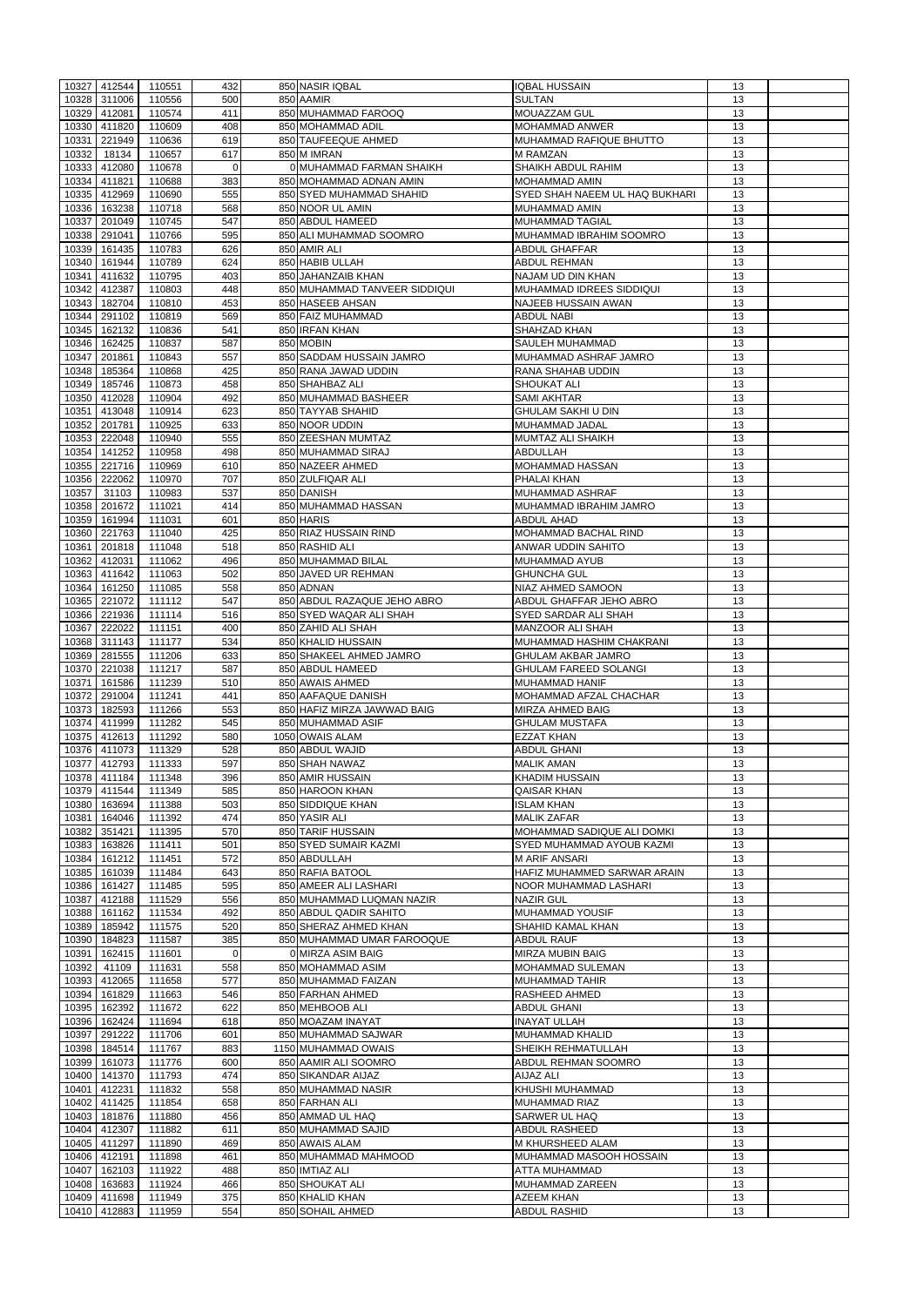| 10327 | 412544                 | 110551           | 432        | 850 NASIR IQBAL                     | <b>IQBAL HUSSAIN</b>                     | 13       |  |
|-------|------------------------|------------------|------------|-------------------------------------|------------------------------------------|----------|--|
| 10328 | 311006                 | 110556           | 500        | 850 AAMIR                           | <b>SULTAN</b>                            | 13       |  |
| 10329 | 412081                 | 110574           | 411        | 850 MUHAMMAD FAROOQ                 | MOUAZZAM GUL                             | 13       |  |
| 10330 | 411820                 | 110609           | 408        | 850 MOHAMMAD ADIL                   | <b>MOHAMMAD ANWER</b>                    | 13       |  |
| 10331 | 221949                 | 110636           | 619        | 850 TAUFEEQUE AHMED                 | MUHAMMAD RAFIQUE BHUTTO                  | 13       |  |
|       |                        |                  |            |                                     |                                          |          |  |
| 10332 | 18134                  | 110657           | 617        | 850 M IMRAN                         | <b>M RAMZAN</b>                          | 13       |  |
| 10333 | 412080                 | 110678           | 0          | 0 MUHAMMAD FARMAN SHAIKH            | SHAIKH ABDUL RAHIM                       | 13       |  |
| 10334 | 411821                 | 110688           | 383        | 850 MOHAMMAD ADNAN AMIN             | <b>MOHAMMAD AMIN</b>                     | 13       |  |
| 10335 | 412969                 | 110690           | 555        | 850 SYED MUHAMMAD SHAHID            | <b>SYED SHAH NAEEM UL HAQ BUKHARI</b>    | 13       |  |
| 10336 | 163238                 | 110718           | 568        | 850 NOOR UL AMIN                    | MUHAMMAD AMIN                            | 13       |  |
| 10337 | 201049                 | 110745           | 547        | 850 ABDUL HAMEED                    | <b>MUHAMMAD TAGIAL</b>                   | 13       |  |
| 10338 | 291041                 | 110766           | 595        | 850 ALI MUHAMMAD SOOMRO             | MUHAMMAD IBRAHIM SOOMRO                  | 13       |  |
| 10339 | 161435                 | 110783           | 626        | 850 AMIR ALI                        | <b>ABDUL GHAFFAR</b>                     | 13       |  |
| 10340 | 161944                 | 110789           | 624        | 850 HABIB ULLAH                     | <b>ABDUL REHMAN</b>                      | 13       |  |
| 10341 | 411632                 | 110795           | 403        | 850 JAHANZAIB KHAN                  | NAJAM UD DIN KHAN                        | 13       |  |
| 10342 | 412387                 | 110803           | 448        | 850 MUHAMMAD TANVEER SIDDIQUI       | <b>MUHAMMAD IDREES SIDDIQUI</b>          | 13       |  |
| 10343 | 182704                 | 110810           | 453        | 850 HASEEB AHSAN                    | <b>NAJEEB HUSSAIN AWAN</b>               | 13       |  |
| 10344 | 291102                 | 110819           | 569        | 850 FAIZ MUHAMMAD                   | <b>ABDUL NABI</b>                        | 13       |  |
| 10345 | 162132                 | 110836           | 541        | 850 IRFAN KHAN                      | SHAHZAD KHAN                             | 13       |  |
| 10346 | 162425                 | 110837           | 587        | 850 MOBIN                           | SAULEH MUHAMMAD                          | 13       |  |
| 10347 | 201861                 | 110843           | 557        | 850 SADDAM HUSSAIN JAMRO            | MUHAMMAD ASHRAF JAMRO                    | 13       |  |
| 10348 | 185364                 | 110868           | 425        | 850 RANA JAWAD UDDIN                | RANA SHAHAB UDDIN                        | 13       |  |
| 10349 | 185746                 | 110873           | 458        | 850 SHAHBAZ ALI                     |                                          | 13       |  |
|       |                        |                  |            |                                     | SHOUKAT ALI                              |          |  |
| 10350 | 412028                 | 110904           | 492        | 850 MUHAMMAD BASHEER                | <b>SAMI AKHTAR</b>                       | 13       |  |
| 10351 | 413048                 | 110914           | 623        | 850 TAYYAB SHAHID                   | <b>GHULAM SAKHI U DIN</b>                | 13       |  |
| 10352 | 201781                 | 110925           | 633        | 850 NOOR UDDIN                      | MUHAMMAD JADAL                           | 13       |  |
| 10353 | 222048                 | 110940           | 555        | 850 ZEESHAN MUMTAZ                  | MUMTAZ ALI SHAIKH                        | 13       |  |
| 10354 | 141252                 | 110958           | 498        | 850 MUHAMMAD SIRAJ                  | ABDULLAH                                 | 13       |  |
| 10355 | 221716                 | 110969           | 610        | 850 NAZEER AHMED                    | <b>MOHAMMAD HASSAN</b>                   | 13       |  |
| 10356 | 222062                 | 110970           | 707        | 850 ZULFIQAR ALI                    | PHALAI KHAN                              | 13       |  |
| 10357 | 31103                  | 110983           | 537        | 850 DANISH                          | MUHAMMAD ASHRAF                          | 13       |  |
| 10358 | 201672                 | 111021           | 414        | 850 MUHAMMAD HASSAN                 | MUHAMMAD IBRAHIM JAMRO                   | 13       |  |
| 10359 | 161994                 | 111031           | 601        | 850 HARIS                           | <b>ABDUL AHAD</b>                        | 13       |  |
| 10360 | 221763                 | 111040           | 425        | 850 RIAZ HUSSAIN RIND               | <b>MOHAMMAD BACHAL RIND</b>              | 13       |  |
| 10361 | 201818                 | 111048           | 518        | 850 RASHID ALI                      | ANWAR UDDIN SAHITO                       | 13       |  |
|       | 10362 412031           | 111062           | 496        | 850 MUHAMMAD BILAL                  | <b>MUHAMMAD AYUB</b>                     | 13       |  |
|       | 10363 411642           | 111063           | 502        | 850 JAVED UR REHMAN                 | <b>GHUNCHA GUL</b>                       | 13       |  |
| 10364 | 161250                 | 111085           | 558        | 850 ADNAN                           | NIAZ AHMED SAMOON                        | 13       |  |
| 10365 | 221072                 | 111112           | 547        | 850 ABDUL RAZAQUE JEHO ABRO         | ABDUL GHAFFAR JEHO ABRO                  | 13       |  |
| 10366 | 221936                 | 111114           | 516        | 850 SYED WAQAR ALI SHAH             | SYED SARDAR ALI SHAH                     | 13       |  |
|       |                        |                  |            |                                     |                                          |          |  |
| 10367 | 222022                 | 111151           | 400        | 850 ZAHID ALI SHAH                  | MANZOOR ALI SHAH                         | 13       |  |
| 10368 | 311143                 | 111177           | 534        | 850 KHALID HUSSAIN                  | MUHAMMAD HASHIM CHAKRANI                 | 13       |  |
| 10369 | 281555                 | 111206           | 633        | 850 SHAKEEL AHMED JAMRO             | <b>GHULAM AKBAR JAMRO</b>                | 13       |  |
| 10370 | 221038                 | 111217           | 587        | 850 ABDUL HAMEED                    | <b>GHULAM FAREED SOLANGI</b>             | 13       |  |
| 10371 | 161586                 | 111239           | 510        | 850 AWAIS AHMED                     | <b>MUHAMMAD HANIF</b>                    | 13       |  |
| 10372 | 291004                 | 111241           | 441        | 850 AAFAQUE DANISH                  | MOHAMMAD AFZAL CHACHAR                   | 13       |  |
| 10373 | 182593                 | 111266           | 553        | 850 HAFIZ MIRZA JAWWAD BAIG         | <b>MIRZA AHMED BAIG</b>                  | 13       |  |
| 10374 | 411999                 | 111282           | 545        | 850 MUHAMMAD ASIF                   | <b>GHULAM MUSTAFA</b>                    | 13       |  |
| 10375 | 412613                 | 111292           | 580        | 1050 OWAIS ALAM                     | <b>EZZAT KHAN</b>                        | 13       |  |
|       | 10376 411073           | 111329           | 528        | 850 ABDUL WAJID                     | <b>ABDUL GHANI</b>                       | 13       |  |
| 10377 | 412793                 | 111333           | 597        | 850 SHAH NAWAZ                      | <b>MALIK AMAN</b>                        | 13       |  |
| 10378 | 411184                 | 111348           | 396        | 850 AMIR HUSSAIN                    | <b>KHADIM HUSSAIN</b>                    | 13       |  |
| 10379 | 411544                 | 111349           | 585        | 850 HAROON KHAN                     | <b>QAISAR KHAN</b>                       | 13       |  |
| 10380 | 163694                 | 111388           | 503        | 850 SIDDIQUE KHAN                   | <b>ISLAM KHAN</b>                        | 13       |  |
| 10381 | 164046                 | 111392           | 474        | 850 YASIR ALI                       | <b>MALIK ZAFAR</b>                       | 13       |  |
| 10382 | 351421                 | 111395           | 570        | 850 TARIF HUSSAIN                   | MOHAMMAD SADIQUE ALI DOMKI               | 13       |  |
| 10383 | 163826                 | 111411           | 501        | 850 SYED SUMAIR KAZMI               | SYED MUHAMMAD AYOUB KAZMI                | 13       |  |
| 10384 | 161212                 | 111451           | 572        | 850 ABDULLAH                        | <b>M ARIF ANSARI</b>                     | 13       |  |
| 10385 | 161039                 | 111484           | 643        | 850 RAFIA BATOOL                    | HAFIZ MUHAMMED SARWAR ARAIN              | 13       |  |
| 10386 | 161427                 | 111485           | 595        | 850 AMEER ALI LASHARI               | <b>NOOR MUHAMMAD LASHARI</b>             | 13       |  |
| 10387 | 412188                 | 111529           | 556        | 850 MUHAMMAD LUQMAN NAZIR           | <b>NAZIR GUL</b>                         | 13       |  |
|       |                        |                  | 492        |                                     |                                          |          |  |
| 10388 | 161162                 | 111534           |            | 850 ABDUL QADIR SAHITO              | <b>MUHAMMAD YOUSIF</b>                   | 13       |  |
| 10389 | 185942                 | 111575           | 520        | 850 SHERAZ AHMED KHAN               | SHAHID KAMAL KHAN                        | 13       |  |
| 10390 | 184823                 | 111587           | 385        | 850 MUHAMMAD UMAR FAROOQUE          | <b>ABDUL RAUF</b>                        | 13       |  |
| 10391 | 162415                 | 111601           | $\Omega$   | 0 MIRZA ASIM BAIG                   | <b>MIRZA MUBIN BAIG</b>                  | 13       |  |
| 10392 | 41109                  | 111631           | 558        | 850 MOHAMMAD ASIM                   | <b>MOHAMMAD SULEMAN</b>                  | 13       |  |
| 10393 | 412065                 | 111658           | 577        | 850 MUHAMMAD FAIZAN                 | <b>MUHAMMAD TAHIR</b>                    | 13       |  |
| 10394 | 161829                 | 111663           | 546        | 850 FARHAN AHMED                    | <b>RASHEED AHMED</b>                     | 13       |  |
| 10395 | 162392                 | 111672           | 622        | 850 MEHBOOB ALI                     | <b>ABDUL GHANI</b>                       | 13       |  |
| 10396 | 162424                 | 111694           | 618        | 850 MOAZAM INAYAT                   | <b>INAYAT ULLAH</b>                      | 13       |  |
| 10397 | 291222                 | 111706           | 601        | 850 MUHAMMAD SAJWAR                 | <b>MUHAMMAD KHALID</b>                   | 13       |  |
| 10398 | 184514                 | 111767           | 883        | 1150 MUHAMMAD OWAIS                 | SHEIKH REHMATULLAH                       | 13       |  |
|       |                        |                  | 600        | 850 AAMIR ALI SOOMRO                | <b>ABDUL REHMAN SOOMRO</b>               | 13       |  |
|       | 10399 161073           | 111776           |            |                                     |                                          |          |  |
|       | 10400 141370           | 111793           | 474        | 850 SIKANDAR AIJAZ                  | AIJAZ ALI                                | 13       |  |
| 10401 | 412231                 | 111832           | 558        | 850 MUHAMMAD NASIR                  | KHUSHI MUHAMMAD                          | 13       |  |
|       |                        |                  |            |                                     | MUHAMMAD RIAZ                            |          |  |
| 10403 | 10402 411425<br>181876 | 111854           | 658<br>456 | 850 FARHAN ALI<br>850 AMMAD UL HAQ  | <b>SARWER UL HAQ</b>                     | 13<br>13 |  |
|       |                        | 111880           |            |                                     |                                          |          |  |
| 10404 | 412307                 | 111882           | 611        | 850 MUHAMMAD SAJID                  | ABDUL RASHEED                            | 13       |  |
| 10405 | 411297                 | 111890           | 469        | 850 AWAIS ALAM                      | M KHURSHEED ALAM                         | 13       |  |
| 10406 | 412191                 | 111898           | 461        | 850 MUHAMMAD MAHMOOD                | MUHAMMAD MASOOH HOSSAIN                  | 13       |  |
| 10407 | 162103                 | 111922           | 488        | 850 IMTIAZ ALI                      | <b>ATTA MUHAMMAD</b>                     | 13       |  |
| 10408 | 163683                 | 111924           | 466        | 850 SHOUKAT ALI                     | MUHAMMAD ZAREEN                          | 13       |  |
| 10409 | 411698<br>10410 412883 | 111949<br>111959 | 375<br>554 | 850 KHALID KHAN<br>850 SOHAIL AHMED | <b>AZEEM KHAN</b><br><b>ABDUL RASHID</b> | 13<br>13 |  |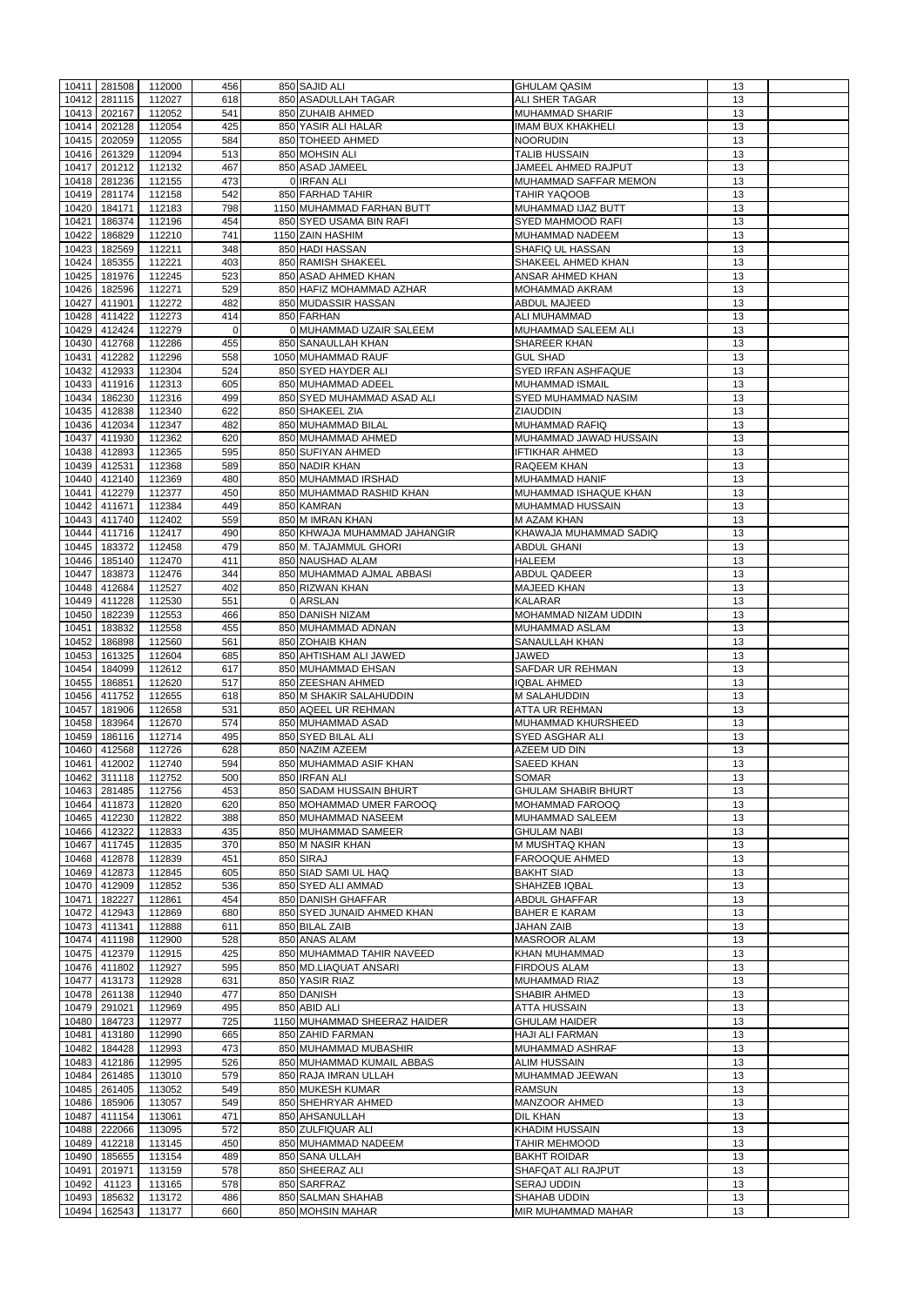|                | 10411 281508     | 112000           | 456            | 850 SAJID ALI                         | <b>GHULAM QASIM</b>                       | 13       |  |
|----------------|------------------|------------------|----------------|---------------------------------------|-------------------------------------------|----------|--|
|                |                  |                  | 618            | 850 ASADULLAH TAGAR                   |                                           |          |  |
|                | 10412 281115     | 112027           |                |                                       | <b>ALI SHER TAGAR</b>                     | 13       |  |
|                | 10413 202167     | 112052           | 541            | 850 ZUHAIB AHMED                      | <b>MUHAMMAD SHARIF</b>                    | 13       |  |
|                | 10414 202128     | 112054           | 425            | 850 YASIR ALI HALAR                   | <b>IMAM BUX KHAKHELI</b>                  | 13       |  |
| 10415          | 202059           | 112055           | 584            | 850 TOHEED AHMED                      | <b>NOORUDIN</b>                           | 13       |  |
| 10416          | 261329           | 112094           | 513            | 850 MOHSIN ALI                        | <b>TALIB HUSSAIN</b>                      | 13       |  |
| 10417          | 201212           | 112132           | 467            | 850 ASAD JAMEEL                       | JAMEEL AHMED RAJPUT                       | 13       |  |
| 10418          | 281236           | 112155           | 473            | 0 IRFAN ALI                           | MUHAMMAD SAFFAR MEMON                     | 13       |  |
|                | 10419 281174     | 112158           | 542            | 850 FARHAD TAHIR                      | <b>TAHIR YAQOOB</b>                       | 13       |  |
|                | 10420 184171     | 112183           | 798            | 1150 MUHAMMAD FARHAN BUTT             | MUHAMMAD IJAZ BUTT                        | 13       |  |
| 10421          | 186374           | 112196           | 454            | 850 SYED USAMA BIN RAFI               | <b>SYED MAHMOOD RAFI</b>                  | 13       |  |
| 10422          | 186829           | 112210           | 741            | 1150 ZAIN HASHIM                      | MUHAMMAD NADEEM                           | 13       |  |
| 10423          | 182569           | 112211           | 348            | 850 HADI HASSAN                       | SHAFIQ UL HASSAN                          | 13       |  |
|                |                  |                  |                |                                       |                                           |          |  |
|                | 10424 185355     | 112221           | 403            | 850 RAMISH SHAKEEL                    | SHAKEEL AHMED KHAN                        | 13       |  |
| 10425          | 181976           | 112245           | 523            | 850 ASAD AHMED KHAN                   | <b>ANSAR AHMED KHAN</b>                   | 13       |  |
|                | 10426 182596     | 112271           | 529            | 850 HAFIZ MOHAMMAD AZHAR              | <b>MOHAMMAD AKRAM</b>                     | 13       |  |
| 10427          | 411901           | 112272           | 482            | 850 MUDASSIR HASSAN                   | <b>ABDUL MAJEED</b>                       | 13       |  |
| 10428          | 411422           | 112273           | 414            | 850 FARHAN                            | <b>ALI MUHAMMAD</b>                       | 13       |  |
| 10429          | 412424           | 112279           | $\overline{0}$ | 0 MUHAMMAD UZAIR SALEEM               | MUHAMMAD SALEEM ALI                       | 13       |  |
| 10430          | 412768           | 112286           | 455            | 850 SANAULLAH KHAN                    | <b>SHAREER KHAN</b>                       | 13       |  |
| 10431          | 412282           | 112296           | 558            | 1050 MUHAMMAD RAUF                    | <b>GUL SHAD</b>                           | 13       |  |
| 10432          | 412933           | 112304           | 524            | 850 SYED HAYDER ALI                   | <b>SYED IRFAN ASHFAQUE</b>                | 13       |  |
| 10433          | 411916           | 112313           | 605            | 850 MUHAMMAD ADEEL                    | <b>MUHAMMAD ISMAIL</b>                    | 13       |  |
|                |                  |                  |                |                                       |                                           |          |  |
|                | 10434 186230     | 112316           | 499            | 850 SYED MUHAMMAD ASAD ALI            | <b>SYED MUHAMMAD NASIM</b>                | 13       |  |
|                | 10435 412838     | 112340           | 622            | 850 SHAKEEL ZIA                       | <b>ZIAUDDIN</b>                           | 13       |  |
|                | 10436 412034     | 112347           | 482            | 850 MUHAMMAD BILAL                    | <b>MUHAMMAD RAFIQ</b>                     | 13       |  |
| 10437          | 411930           | 112362           | 620            | 850 MUHAMMAD AHMED                    | MUHAMMAD JAWAD HUSSAIN                    | 13       |  |
|                | 10438 412893     | 112365           | 595            | 850 SUFIYAN AHMED                     | <b>IFTIKHAR AHMED</b>                     | 13       |  |
|                | 10439 412531     | 112368           | 589            | 850 NADIR KHAN                        | <b>RAQEEM KHAN</b>                        | 13       |  |
| 10440          | 412140           | 112369           | 480            | 850 MUHAMMAD IRSHAD                   | MUHAMMAD HANIF                            | 13       |  |
| 10441          | 412279           | 112377           | 450            | 850 MUHAMMAD RASHID KHAN              | MUHAMMAD ISHAQUE KHAN                     | 13       |  |
| 10442          | 411671           | 112384           | 449            | 850 KAMRAN                            | <b>MUHAMMAD HUSSAIN</b>                   | 13       |  |
| 10443          | 411740           | 112402           | 559            | 850 M IMRAN KHAN                      | <b>M AZAM KHAN</b>                        | 13       |  |
|                |                  |                  |                |                                       |                                           |          |  |
| 10444          | 411716           | 112417           | 490            | 850 KHWAJA MUHAMMAD JAHANGIR          | KHAWAJA MUHAMMAD SADIQ                    | 13       |  |
| 10445          | 183372           | 112458           | 479            | 850 M. TAJAMMUL GHORI                 | <b>ABDUL GHANI</b>                        | 13       |  |
|                | 10446 185140     | 112470           | 411            | 850 NAUSHAD ALAM                      | <b>HALEEM</b>                             | 13       |  |
|                | 10447 183873     | 112476           | 344            | 850 MUHAMMAD AJMAL ABBASI             | <b>ABDUL QADEER</b>                       | 13       |  |
| 10448          | 412684           | 112527           | 402            | 850 RIZWAN KHAN                       | <b>MAJEED KHAN</b>                        | 13       |  |
| 10449          | 411228           | 112530           | 551            | 0 ARSLAN                              | <b>KALARAR</b>                            | 13       |  |
| 10450          | 182239           | 112553           | 466            | 850 DANISH NIZAM                      | MOHAMMAD NIZAM UDDIN                      | 13       |  |
| 10451          | 183832           | 112558           | 455            | 850 MUHAMMAD ADNAN                    | <b>MUHAMMAD ASLAM</b>                     | 13       |  |
| 10452          | 186898           | 112560           | 561            | 850 ZOHAIB KHAN                       | SANAULLAH KHAN                            | 13       |  |
| 10453          | 161325           | 112604           | 685            | 850 AHTISHAM ALI JAWED                | <b>JAWED</b>                              | 13       |  |
|                |                  |                  |                |                                       |                                           |          |  |
| 10454          | 184099<br>186851 | 112612           | 617            | 850 MUHAMMAD EHSAN                    | <b>SAFDAR UR REHMAN</b>                   | 13       |  |
| 10455          |                  | 112620           | 517            | 850 ZEESHAN AHMED                     | <b>IQBAL AHMED</b>                        | 13       |  |
|                |                  |                  |                |                                       |                                           |          |  |
| 10456          | 411752           | 112655           | 618            | 850 M SHAKIR SALAHUDDIN               | M SALAHUDDIN                              | 13       |  |
| 10457          | 181906           | 112658           | 531            | 850 AQEEL UR REHMAN                   | <b>ATTA UR REHMAN</b>                     | 13       |  |
| 10458          | 183964           | 112670           | 574            | 850 MUHAMMAD ASAD                     | MUHAMMAD KHURSHEED                        | 13       |  |
| 10459          | 186116           | 112714           | 495            | 850 SYED BILAL ALI                    | <b>SYED ASGHAR ALI</b>                    | 13       |  |
|                |                  |                  |                |                                       |                                           |          |  |
| 10460          | 412568           | 112726           | 628            | 850 NAZIM AZEEM                       | AZEEM UD DIN                              | 13       |  |
| 10461          | 412002           | 112740           | 594            | 850 MUHAMMAD ASIF KHAN                | <b>SAEED KHAN</b>                         | 13       |  |
| 10462          | 311118           | 112752           | 500            | 850 IRFAN ALI                         | <b>SOMAR</b>                              | 13       |  |
| 10463          | 281485           | 112756           | 453            | 850 SADAM HUSSAIN BHURT               | <b>GHULAM SHABIR BHURT</b>                | 13       |  |
|                | 10464 411873     | 112820           | 620            | 850 MOHAMMAD UMER FAROOQ              | <b>MOHAMMAD FAROOQ</b>                    | 13       |  |
| 10465          | 412230           | 112822           | 388            | 850 MUHAMMAD NASEEM                   | <b>MUHAMMAD SALEEM</b>                    | 13       |  |
| 10466          | 412322           | 112833           | 435            | 850 MUHAMMAD SAMEER                   | <b>GHULAM NABI</b>                        | 13       |  |
| 10467          | 411745           | 112835           | 370            | 850 M NASIR KHAN                      | M MUSHTAQ KHAN                            | 13       |  |
|                | 10468 412878     | 112839           | 451            | 850 SIRAJ                             | <b>FAROOQUE AHMED</b>                     | 13       |  |
|                | 10469 412873     | 112845           | 605            | 850 SIAD SAMI UL HAQ                  | <b>BAKHT SIAD</b>                         | 13       |  |
|                | 10470 412909     | 112852           | 536            | 850 SYED ALI AMMAD                    | SHAHZEB IQBAL                             | 13       |  |
| 10471          | 182227           | 112861           | 454            | 850 DANISH GHAFFAR                    | <b>ABDUL GHAFFAR</b>                      | 13       |  |
|                |                  |                  |                |                                       |                                           |          |  |
|                | 10472 412943     | 112869           | 680            | 850 SYED JUNAID AHMED KHAN            | <b>BAHER E KARAM</b>                      | 13       |  |
|                | 10473 411341     | 112888           | 611            | 850 BILAL ZAIB                        | <b>JAHAN ZAIB</b>                         | 13       |  |
|                | 10474 411198     | 112900           | 528            | 850 ANAS ALAM                         | <b>MASROOR ALAM</b>                       | 13       |  |
|                | 10475 412379     | 112915           | 425            | 850 MUHAMMAD TAHIR NAVEED             | <b>KHAN MUHAMMAD</b>                      | 13       |  |
|                | 10476 411802     | 112927           | 595            | 850 MD.LIAQUAT ANSARI                 | <b>FIRDOUS ALAM</b>                       | 13       |  |
|                | 10477 413173     | 112928           | 631            | 850 YASIR RIAZ                        | <b>MUHAMMAD RIAZ</b>                      | 13       |  |
|                | 10478 261138     | 112940           | 477            | 850 DANISH                            | <b>SHABIR AHMED</b>                       | 13       |  |
| 10479          | 291021           | 112969           | 495            | 850 ABID ALI                          | <b>ATTA HUSSAIN</b>                       | 13       |  |
| 10480          | 184723           | 112977           | 725            | 1150 MUHAMMAD SHEERAZ HAIDER          | <b>GHULAM HAIDER</b>                      | 13       |  |
| 10481          | 413180           | 112990           | 665            | 850 ZAHID FARMAN                      | <b>HAJI ALI FARMAN</b>                    | 13       |  |
|                |                  |                  |                |                                       |                                           |          |  |
| 10482          | 184428           | 112993           | 473            | 850 MUHAMMAD MUBASHIR                 | <b>MUHAMMAD ASHRAF</b>                    | 13       |  |
|                | 10483 412186     | 112995           | 526            | 850 MUHAMMAD KUMAIL ABBAS             | <b>ALIM HUSSAIN</b>                       | 13       |  |
|                | 10484 261485     | 113010           | 579            | 850 RAJA IMRAN ULLAH                  | MUHAMMAD JEEWAN                           | 13       |  |
|                | 10485 261405     | 113052           | 549            | 850 MUKESH KUMAR                      | <b>RAMSUN</b>                             | 13       |  |
|                | 10486 185906     | 113057           | 549            | 850 SHEHRYAR AHMED                    | <b>MANZOOR AHMED</b>                      | 13       |  |
| 10487          | 411154           | 113061           | 471            | 850 AHSANULLAH                        | <b>DIL KHAN</b>                           | 13       |  |
|                | 10488 222066     | 113095           | 572            | 850 ZULFIQUAR ALI                     | <b>KHADIM HUSSAIN</b>                     | 13       |  |
|                | 10489 412218     | 113145           | 450            | 850 MUHAMMAD NADEEM                   | <b>TAHIR MEHMOOD</b>                      | 13       |  |
| 10490          | 185655           | 113154           | 489            | 850 SANA ULLAH                        | <b>BAKHT ROIDAR</b>                       | 13       |  |
|                |                  |                  |                | 850 SHEERAZ ALI                       |                                           |          |  |
| 10491          | 201971           | 113159           | 578            |                                       | SHAFQAT ALI RAJPUT                        | 13       |  |
| 10492          | 41123            | 113165           | 578            | 850 SARFRAZ                           | <b>SERAJ UDDIN</b>                        | 13       |  |
| 10493<br>10494 | 185632<br>162543 | 113172<br>113177 | 486<br>660     | 850 SALMAN SHAHAB<br>850 MOHSIN MAHAR | <b>SHAHAB UDDIN</b><br>MIR MUHAMMAD MAHAR | 13<br>13 |  |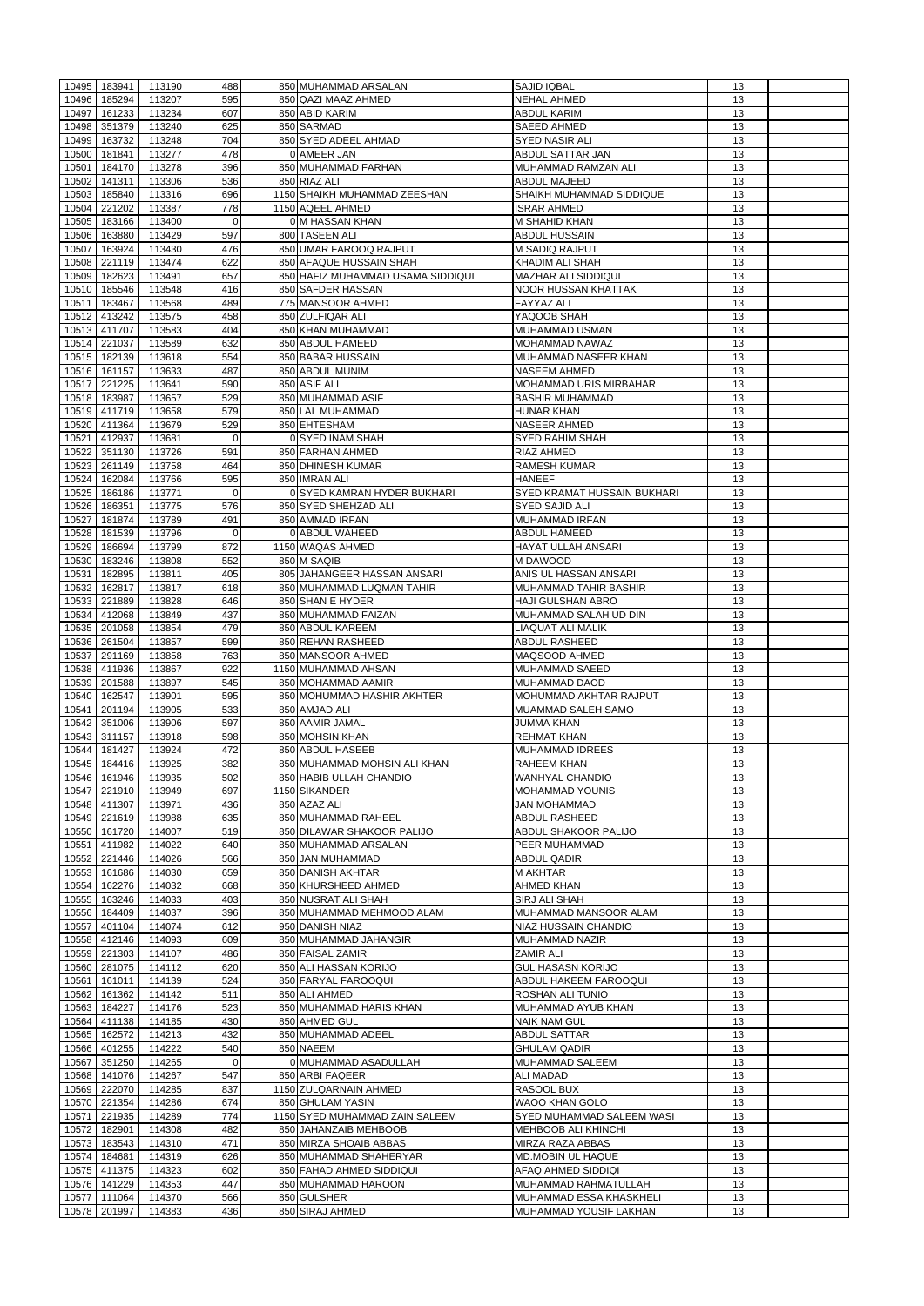|       | 10495 183941 | 113190 | 488            | 850 MUHAMMAD ARSALAN              | <b>SAJID IQBAL</b>           | 13 |  |
|-------|--------------|--------|----------------|-----------------------------------|------------------------------|----|--|
|       | 185294       |        | 595            |                                   | <b>NEHAL AHMED</b>           |    |  |
| 10496 |              | 113207 |                | 850 QAZI MAAZ AHMED               |                              | 13 |  |
| 10497 | 161233       | 113234 | 607            | 850 ABID KARIM                    | <b>ABDUL KARIM</b>           | 13 |  |
| 10498 | 351379       | 113240 | 625            | 850 SARMAD                        | <b>SAEED AHMED</b>           | 13 |  |
| 10499 | 163732       | 113248 | 704            | 850 SYED ADEEL AHMAD              | <b>SYED NASIR ALI</b>        | 13 |  |
| 10500 | 181841       | 113277 | 478            | 0 AMEER JAN                       | ABDUL SATTAR JAN             | 13 |  |
| 10501 | 184170       | 113278 | 396            | 850 MUHAMMAD FARHAN               | MUHAMMAD RAMZAN ALI          | 13 |  |
| 10502 | 141311       | 113306 | 536            | 850 RIAZ ALI                      | <b>ABDUL MAJEED</b>          | 13 |  |
| 10503 | 185840       | 113316 | 696            | 1150 SHAIKH MUHAMMAD ZEESHAN      | SHAIKH MUHAMMAD SIDDIQUE     | 13 |  |
| 10504 | 221202       | 113387 | 778            | 1150 AQEEL AHMED                  | <b>ISRAR AHMED</b>           | 13 |  |
|       |              |        |                |                                   |                              |    |  |
| 10505 | 183166       | 113400 | $\mathbf 0$    | 0 M HASSAN KHAN                   | <b>M SHAHID KHAN</b>         | 13 |  |
| 10506 | 163880       | 113429 | 597            | 800 TASEEN ALI                    | <b>ABDUL HUSSAIN</b>         | 13 |  |
| 10507 | 163924       | 113430 | 476            | 850 UMAR FAROOQ RAJPUT            | M SADIQ RAJPUT               | 13 |  |
| 10508 | 221119       | 113474 | 622            | 850 AFAQUE HUSSAIN SHAH           | <b>KHADIM ALI SHAH</b>       | 13 |  |
| 10509 | 182623       | 113491 | 657            | 850 HAFIZ MUHAMMAD USAMA SIDDIQUI | <b>MAZHAR ALI SIDDIQUI</b>   | 13 |  |
| 10510 | 185546       | 113548 | 416            | 850 SAFDER HASSAN                 | <b>NOOR HUSSAN KHATTAK</b>   | 13 |  |
|       | 10511 183467 | 113568 | 489            | 775 MANSOOR AHMED                 | <b>FAYYAZ ALI</b>            | 13 |  |
|       |              |        |                |                                   |                              |    |  |
|       | 10512 413242 | 113575 | 458            | 850 ZULFIQAR ALI                  | YAQOOB SHAH                  | 13 |  |
|       | 10513 411707 | 113583 | 404            | 850 KHAN MUHAMMAD                 | <b>MUHAMMAD USMAN</b>        | 13 |  |
|       | 10514 221037 | 113589 | 632            | 850 ABDUL HAMEED                  | MOHAMMAD NAWAZ               | 13 |  |
|       | 10515 182139 | 113618 | 554            | 850 BABAR HUSSAIN                 | MUHAMMAD NASEER KHAN         | 13 |  |
| 10516 | 161157       | 113633 | 487            | 850 ABDUL MUNIM                   | <b>NASEEM AHMED</b>          | 13 |  |
| 10517 | 221225       | 113641 | 590            | 850 ASIF ALI                      | MOHAMMAD URIS MIRBAHAR       | 13 |  |
|       |              |        |                |                                   |                              |    |  |
|       | 10518 183987 | 113657 | 529            | 850 MUHAMMAD ASIF                 | <b>BASHIR MUHAMMAD</b>       | 13 |  |
|       | 10519 411719 | 113658 | 579            | 850 LAL MUHAMMAD                  | <b>HUNAR KHAN</b>            | 13 |  |
| 10520 | 411364       | 113679 | 529            | 850 EHTESHAM                      | <b>NASEER AHMED</b>          | 13 |  |
| 10521 | 412937       | 113681 | $\Omega$       | 0 SYED INAM SHAH                  | <b>SYED RAHIM SHAH</b>       | 13 |  |
| 10522 | 351130       | 113726 | 591            | 850 FARHAN AHMED                  | <b>RIAZ AHMED</b>            | 13 |  |
| 10523 | 261149       | 113758 | 464            | 850 DHINESH KUMAR                 | <b>RAMESH KUMAR</b>          | 13 |  |
| 10524 | 162084       | 113766 | 595            | 850 IMRAN ALI                     | <b>HANEEF</b>                | 13 |  |
|       |              |        | $\mathbf 0$    | 0 SYED KAMRAN HYDER BUKHARI       | SYED KRAMAT HUSSAIN BUKHARI  | 13 |  |
| 10525 | 186186       | 113771 |                |                                   |                              |    |  |
| 10526 | 186351       | 113775 | 576            | 850 SYED SHEHZAD ALI              | <b>SYED SAJID ALI</b>        | 13 |  |
| 10527 | 181874       | 113789 | 491            | 850 AMMAD IRFAN                   | <b>MUHAMMAD IRFAN</b>        | 13 |  |
| 10528 | 181539       | 113796 | $\overline{0}$ | 0 ABDUL WAHEED                    | <b>ABDUL HAMEED</b>          | 13 |  |
| 10529 | 186694       | 113799 | 872            | 1150 WAQAS AHMED                  | HAYAT ULLAH ANSARI           | 13 |  |
|       | 10530 183246 | 113808 | 552            | 850 M SAQIB                       | <b>M DAWOOD</b>              | 13 |  |
|       | 10531 182895 | 113811 | 405            | 805 JAHANGEER HASSAN ANSARI       | ANIS UL HASSAN ANSARI        | 13 |  |
|       |              |        |                |                                   |                              |    |  |
| 10532 | 162817       | 113817 | 618            | 850 MUHAMMAD LUQMAN TAHIR         | <b>MUHAMMAD TAHIR BASHIR</b> | 13 |  |
| 10533 | 221889       | 113828 | 646            | 850 SHAN E HYDER                  | <b>HAJI GULSHAN ABRO</b>     | 13 |  |
|       | 10534 412068 | 113849 | 437            | 850 MUHAMMAD FAIZAN               | MUHAMMAD SALAH UD DIN        | 13 |  |
|       | 10535 201058 | 113854 | 479            | 850 ABDUL KAREEM                  | LIAQUAT ALI MALIK            | 13 |  |
|       | 10536 261504 | 113857 | 599            | 850 REHAN RASHEED                 | <b>ABDUL RASHEED</b>         | 13 |  |
| 10537 | 291169       | 113858 | 763            | 850 MANSOOR AHMED                 | MAQSOOD AHMED                | 13 |  |
|       |              |        |                |                                   |                              |    |  |
|       |              |        |                |                                   |                              |    |  |
|       | 10538 411936 | 113867 | 922            | 1150 MUHAMMAD AHSAN               | MUHAMMAD SAEED               | 13 |  |
|       | 10539 201588 | 113897 | 545            | 850 MOHAMMAD AAMIR                | <b>MUHAMMAD DAOD</b>         | 13 |  |
| 10540 | 162547       | 113901 | 595            | 850 MOHUMMAD HASHIR AKHTER        | MOHUMMAD AKHTAR RAJPUT       | 13 |  |
| 10541 | 201194       | 113905 | 533            | 850 AMJAD ALI                     | MUAMMAD SALEH SAMO           | 13 |  |
| 10542 | 351006       | 113906 | 597            | 850 AAMIR JAMAL                   | <b>JUMMA KHAN</b>            | 13 |  |
|       |              |        |                |                                   |                              |    |  |
| 10543 | 311157       | 113918 | 598            | 850 MOHSIN KHAN                   | <b>REHMAT KHAN</b>           | 13 |  |
| 10544 | 181427       | 113924 | 472            | 850 ABDUL HASEEB                  | <b>MUHAMMAD IDREES</b>       | 13 |  |
| 10545 | 184416       | 113925 | 382            | 850 MUHAMMAD MOHSIN ALI KHAN      | <b>RAHEEM KHAN</b>           | 13 |  |
| 10546 | 161946       | 113935 | 502            | 850 HABIB ULLAH CHANDIO           | <b>WANHYAL CHANDIO</b>       | 13 |  |
| 10547 | 221910       | 113949 | 697            | 1150 SIKANDER                     | <b>MOHAMMAD YOUNIS</b>       | 13 |  |
| 10548 | 411307       | 113971 | 436            | 850 AZAZ ALI                      | JAN MOHAMMAD                 | 13 |  |
| 10549 | 221619       | 113988 | 635            | 850 MUHAMMAD RAHEEL               | ABDUL RASHEED                | 13 |  |
| 10550 | 161720       | 114007 | 519            | 850 DILAWAR SHAKOOR PALIJO        | ABDUL SHAKOOR PALIJO         | 13 |  |
|       |              |        |                |                                   |                              | 13 |  |
| 10551 | 411982       | 114022 | 640            | 850 MUHAMMAD ARSALAN              | PEER MUHAMMAD                |    |  |
| 10552 | 221446       | 114026 | 566            | 850 JAN MUHAMMAD                  | <b>ABDUL QADIR</b>           | 13 |  |
|       | 10553 161686 | 114030 | 659            | 850 DANISH AKHTAR                 | <b>M AKHTAR</b>              | 13 |  |
|       | 10554 162276 | 114032 | 668            | 850 KHURSHEED AHMED               | AHMED KHAN                   | 13 |  |
| 10555 | 163246       | 114033 | 403            | 850 NUSRAT ALI SHAH               | <b>SIRJ ALI SHAH</b>         | 13 |  |
|       | 10556 184409 | 114037 | 396            | 850 MUHAMMAD MEHMOOD ALAM         | MUHAMMAD MANSOOR ALAM        | 13 |  |
| 10557 | 401104       | 114074 | 612            | 950 DANISH NIAZ                   | NIAZ HUSSAIN CHANDIO         | 13 |  |
| 10558 | 412146       | 114093 | 609            | 850 MUHAMMAD JAHANGIR             | MUHAMMAD NAZIR               | 13 |  |
|       |              |        |                | 850 FAISAL ZAMIR                  |                              |    |  |
| 10559 | 221303       | 114107 | 486            |                                   | <b>ZAMIR ALI</b>             | 13 |  |
| 10560 | 281075       | 114112 | 620            | 850 ALI HASSAN KORIJO             | <b>GUL HASASN KORIJO</b>     | 13 |  |
| 10561 | 161011       | 114139 | 524            | 850 FARYAL FAROOQUI               | <b>ABDUL HAKEEM FAROOQUI</b> | 13 |  |
| 10562 | 161362       | 114142 | 511            | 850 ALI AHMED                     | ROSHAN ALI TUNIO             | 13 |  |
| 10563 | 184227       | 114176 | 523            | 850 MUHAMMAD HARIS KHAN           | MUHAMMAD AYUB KHAN           | 13 |  |
| 10564 | 411138       | 114185 | 430            | 850 AHMED GUL                     | <b>NAIK NAM GUL</b>          | 13 |  |
| 10565 | 162572       | 114213 | 432            | 850 MUHAMMAD ADEEL                | <b>ABDUL SATTAR</b>          | 13 |  |
|       |              |        |                |                                   |                              |    |  |
| 10566 | 401255       | 114222 | 540            | 850 NAEEM                         | <b>GHULAM QADIR</b>          | 13 |  |
|       | 10567 351250 | 114265 | $\overline{O}$ | 0 MUHAMMAD ASADULLAH              | MUHAMMAD SALEEM              | 13 |  |
|       | 10568 141076 | 114267 | 547            | 850 ARBI FAQEER                   | <b>ALI MADAD</b>             | 13 |  |
|       | 10569 222070 | 114285 | 837            | 1150 ZULQARNAIN AHMED             | <b>RASOOL BUX</b>            | 13 |  |
|       | 10570 221354 | 114286 | 674            | 850 GHULAM YASIN                  | WAOO KHAN GOLO               | 13 |  |
| 10571 | 221935       | 114289 | 774            | 1150 SYED MUHAMMAD ZAIN SALEEM    | SYED MUHAMMAD SALEEM WASI    | 13 |  |
|       | 10572 182901 | 114308 | 482            | 850 JAHANZAIB MEHBOOB             | <b>MEHBOOB ALI KHINCHI</b>   | 13 |  |
|       |              |        |                |                                   |                              |    |  |
| 10573 | 183543       | 114310 | 471            | 850 MIRZA SHOAIB ABBAS            | MIRZA RAZA ABBAS             | 13 |  |
| 10574 | 184681       | 114319 | 626            | 850 MUHAMMAD SHAHERYAR            | MD.MOBIN UL HAQUE            | 13 |  |
| 10575 | 411375       | 114323 | 602            | 850 FAHAD AHMED SIDDIQUI          | AFAQ AHMED SIDDIQI           | 13 |  |
|       | 10576 141229 | 114353 | 447            | 850 MUHAMMAD HAROON               | MUHAMMAD RAHMATULLAH         | 13 |  |
| 10577 | 111064       | 114370 | 566            | 850 GULSHER<br>850 SIRAJ AHMED    | MUHAMMAD ESSA KHASKHELI      | 13 |  |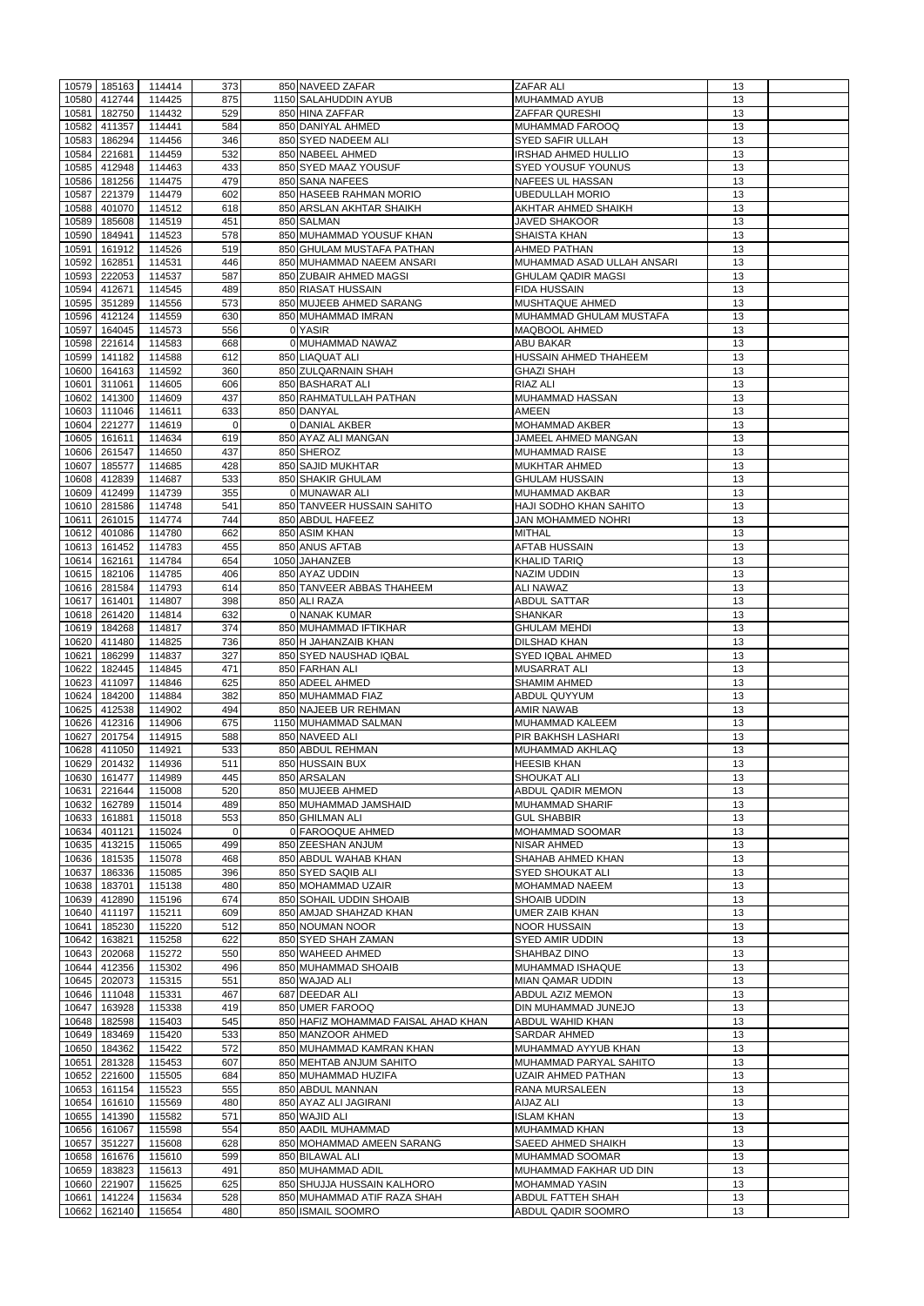|                | 10579 185163     | 114414           | 373         | 850 NAVEED ZAFAR                                 | <b>ZAFAR ALI</b>                               | 13       |  |
|----------------|------------------|------------------|-------------|--------------------------------------------------|------------------------------------------------|----------|--|
| 10580          | 412744           | 114425           | 875         | 1150 SALAHUDDIN AYUB                             | <b>MUHAMMAD AYUB</b>                           | 13       |  |
| 10581          | 182750           | 114432           | 529         | 850 HINA ZAFFAR                                  | <b>ZAFFAR QURESHI</b>                          | 13       |  |
| 10582          | 411357           | 114441           | 584         | 850 DANIYAL AHMED                                | MUHAMMAD FAROOQ                                | 13       |  |
| 10583          | 186294           | 114456           | 346         | 850 SYED NADEEM ALI                              | <b>SYED SAFIR ULLAH</b>                        | 13       |  |
| 10584          | 221681           | 114459           | 532         | 850 NABEEL AHMED                                 | <b>IRSHAD AHMED HULLIO</b>                     | 13       |  |
| 10585          | 412948           | 114463           | 433         | 850 SYED MAAZ YOUSUF                             | <b>SYED YOUSUF YOUNUS</b>                      | 13       |  |
|                |                  |                  |             |                                                  |                                                |          |  |
| 10586          | 181256           | 114475           | 479         | 850 SANA NAFEES                                  | NAFEES UL HASSAN                               | 13       |  |
| 10587          | 221379           | 114479           | 602         | 850 HASEEB RAHMAN MORIO                          | UBEDULLAH MORIO                                | 13       |  |
| 10588          | 401070           | 114512           | 618         | 850 ARSLAN AKHTAR SHAIKH                         | AKHTAR AHMED SHAIKH                            | 13       |  |
| 10589          | 185608           | 114519           | 451         | 850 SALMAN                                       | <b>JAVED SHAKOOR</b>                           | 13       |  |
| 10590          | 184941           | 114523           | 578         | 850 MUHAMMAD YOUSUF KHAN                         | <b>SHAISTA KHAN</b>                            | 13       |  |
| 10591          | 161912           | 114526           | 519         | 850 GHULAM MUSTAFA PATHAN                        | <b>AHMED PATHAN</b>                            | 13       |  |
|                |                  |                  |             |                                                  |                                                |          |  |
| 10592          | 162851           | 114531           | 446         | 850 MUHAMMAD NAEEM ANSARI                        | MUHAMMAD ASAD ULLAH ANSARI                     | 13       |  |
| 10593          | 222053           | 114537           | 587         | 850 ZUBAIR AHMED MAGSI                           | <b>GHULAM QADIR MAGSI</b>                      | 13       |  |
|                | 10594 412671     | 114545           | 489         | 850 RIASAT HUSSAIN                               | <b>FIDA HUSSAIN</b>                            | 13       |  |
| 10595          | 351289           | 114556           | 573         | 850 MUJEEB AHMED SARANG                          | <b>MUSHTAQUE AHMED</b>                         | 13       |  |
| 10596          | 412124           | 114559           | 630         | 850 MUHAMMAD IMRAN                               | MUHAMMAD GHULAM MUSTAFA                        | 13       |  |
| 10597          | 164045           | 114573           | 556         | 0 YASIR                                          | <b>MAQBOOL AHMED</b>                           | 13       |  |
| 10598          | 221614           | 114583           | 668         | 0 MUHAMMAD NAWAZ                                 | <b>ABU BAKAR</b>                               | 13       |  |
|                |                  |                  |             |                                                  |                                                |          |  |
| 10599          | 141182           | 114588           | 612         | 850 LIAQUAT ALI                                  | HUSSAIN AHMED THAHEEM                          | 13       |  |
| 10600          | 164163           | 114592           | 360         | 850 ZULQARNAIN SHAH                              | <b>GHAZI SHAH</b>                              | 13       |  |
| 10601          | 311061           | 114605           | 606         | 850 BASHARAT ALI                                 | <b>RIAZ ALI</b>                                | 13       |  |
| 10602          | 141300           | 114609           | 437         | 850 RAHMATULLAH PATHAN                           | MUHAMMAD HASSAN                                | 13       |  |
| 10603          | 111046           | 114611           | 633         | 850 DANYAL                                       | AMEEN                                          | 13       |  |
|                |                  |                  | $\Omega$    | 0 DANIAL AKBER                                   |                                                | 13       |  |
| 10604          | 221277           | 114619           |             |                                                  | <b>MOHAMMAD AKBER</b>                          |          |  |
| 10605          | 161611           | 114634           | 619         | 850 AYAZ ALI MANGAN                              | JAMEEL AHMED MANGAN                            | 13       |  |
| 10606          | 261547           | 114650           | 437         | 850 SHEROZ                                       | <b>MUHAMMAD RAISE</b>                          | 13       |  |
| 10607          | 185577           | 114685           | 428         | 850 SAJID MUKHTAR                                | <b>MUKHTAR AHMED</b>                           | 13       |  |
| 10608          | 412839           | 114687           | 533         | 850 SHAKIR GHULAM                                | <b>GHULAM HUSSAIN</b>                          | 13       |  |
| 10609          | 412499           | 114739           | 355         | 0 MUNAWAR ALI                                    | MUHAMMAD AKBAR                                 | 13       |  |
| 10610          | 281586           | 114748           | 541         | 850 TANVEER HUSSAIN SAHITO                       | HAJI SODHO KHAN SAHITO                         | 13       |  |
|                |                  |                  |             |                                                  |                                                |          |  |
| 10611          | 261015           | 114774           | 744         | 850 ABDUL HAFEEZ                                 | <b>JAN MOHAMMED NOHRI</b>                      | 13       |  |
| 10612          | 401086           | 114780           | 662         | 850 ASIM KHAN                                    | <b>MITHAL</b>                                  | 13       |  |
| 10613          | 161452           | 114783           | 455         | 850 ANUS AFTAB                                   | <b>AFTAB HUSSAIN</b>                           | 13       |  |
|                | 10614 162161     | 114784           | 654         | 1050 JAHANZEB                                    | <b>KHALID TARIQ</b>                            | 13       |  |
|                | 10615 182106     | 114785           | 406         | 850 AYAZ UDDIN                                   | <b>NAZIM UDDIN</b>                             | 13       |  |
|                | 10616 281584     | 114793           | 614         | 850 TANVEER ABBAS THAHEEM                        | <b>ALI NAWAZ</b>                               | 13       |  |
|                |                  |                  |             |                                                  |                                                |          |  |
|                | 10617 161401     | 114807           | 398         | 850 ALI RAZA                                     | <b>ABDUL SATTAR</b>                            | 13       |  |
| 10618          | 261420           | 114814           | 632         | 0 NANAK KUMAR                                    | <b>SHANKAR</b>                                 | 13       |  |
|                | 10619 184268     | 114817           | 374         | 850 MUHAMMAD IFTIKHAR                            | <b>GHULAM MEHDI</b>                            | 13       |  |
| 10620          | 411480           | 114825           | 736         | 850 H JAHANZAIB KHAN                             | <b>DILSHAD KHAN</b>                            | 13       |  |
| 10621          | 186299           | 114837           | 327         | 850 SYED NAUSHAD IQBAL                           | SYED IQBAL AHMED                               | 13       |  |
| 10622          | 182445           | 114845           | 471         | 850 FARHAN ALI                                   | <b>MUSARRAT ALI</b>                            | 13       |  |
|                |                  |                  |             |                                                  |                                                |          |  |
| 10623          | 411097           | 114846           | 625         | 850 ADEEL AHMED                                  | <b>SHAMIM AHMED</b>                            | 13       |  |
| 10624          | 184200           | 114884           | 382         | 850 MUHAMMAD FIAZ                                | <b>ABDUL QUYYUM</b>                            | 13       |  |
| 10625          |                  | 114902           | 494         | 850 NAJEEB UR REHMAN                             | <b>AMIR NAWAB</b>                              | 13       |  |
|                | 412538           |                  |             |                                                  |                                                |          |  |
|                |                  |                  |             |                                                  |                                                |          |  |
| 10626          | 412316           | 114906           | 675         | 1150 MUHAMMAD SALMAN                             | MUHAMMAD KALEEM                                | 13       |  |
| 10627          | 201754           | 114915           | 588         | 850 NAVEED ALI                                   | PIR BAKHSH LASHARI                             | 13       |  |
| 10628          | 411050           | 114921           | 533         | 850 ABDUL REHMAN                                 | MUHAMMAD AKHLAQ                                | 13       |  |
| 10629          | 201432           | 114936           | 511         | 850 HUSSAIN BUX                                  | <b>HEESIB KHAN</b>                             | 13       |  |
| 10630          | 161477           | 114989           | 445         | 850 ARSALAN                                      | <b>SHOUKAT ALI</b>                             | 13       |  |
| 10631          | 221644           | 115008           | 520         | 850 MUJEEB AHMED                                 | ABDUL QADIR MEMON                              | 13       |  |
| 10632          | 162789           | 115014           | 489         | 850 MUHAMMAD JAMSHAID                            | <b>MUHAMMAD SHARIF</b>                         | 13       |  |
|                |                  |                  |             |                                                  |                                                |          |  |
| 10633          | 161881           | 115018           | 553         | 850 GHILMAN ALI                                  | <b>GUL SHABBIR</b>                             | 13       |  |
| 10634          | 401121           | 115024           | $\mathbf 0$ | 0 FAROOQUE AHMED                                 | MOHAMMAD SOOMAR                                | 13       |  |
| 10635          | 413215           | 115065           | 499         | 850 ZEESHAN ANJUM                                | <b>NISAR AHMED</b>                             | 13       |  |
| 10636          | 181535           | 115078           | 468         | 850 ABDUL WAHAB KHAN                             | SHAHAB AHMED KHAN                              | 13       |  |
|                | 10637 186336     | 115085           | 396         | 850 SYED SAQIB ALI                               | <b>SYED SHOUKAT ALI</b>                        | 13       |  |
| 10638          | 183701           | 115138           | 480         | 850 MOHAMMAD UZAIR                               | <b>MOHAMMAD NAEEM</b>                          | 13       |  |
|                | 10639 412890     | 115196           | 674         | 850 SOHAIL UDDIN SHOAIB                          | <b>SHOAIB UDDIN</b>                            | 13       |  |
|                |                  |                  |             |                                                  |                                                |          |  |
| 10640          | 411197           | 115211           | 609         | 850 AMJAD SHAHZAD KHAN                           | <b>UMER ZAIB KHAN</b>                          | 13       |  |
| 10641          | 185230           | 115220           | 512         | 850 NOUMAN NOOR                                  | <b>NOOR HUSSAIN</b>                            | 13       |  |
| 10642          | 163821           | 115258           | 622         | 850 SYED SHAH ZAMAN                              | <b>SYED AMIR UDDIN</b>                         | 13       |  |
| 10643          | 202068           | 115272           | 550         | 850 WAHEED AHMED                                 | <b>SHAHBAZ DINO</b>                            | 13       |  |
| 10644          | 412356           | 115302           | 496         | 850 MUHAMMAD SHOAIB                              | MUHAMMAD ISHAQUE                               | 13       |  |
| 10645          | 202073           | 115315           | 551         | 850 WAJAD ALI                                    | <b>MIAN QAMAR UDDIN</b>                        | 13       |  |
|                | 111048           |                  | 467         | 687 DEEDAR ALI                                   | ABDUL AZIZ MEMON                               | 13       |  |
| 10646          |                  | 115331           |             |                                                  |                                                |          |  |
| 10647          | 163928           | 115338           | 419         | 850 UMER FAROOQ                                  | DIN MUHAMMAD JUNEJO                            | 13       |  |
| 10648          | 182598           | 115403           | 545         | 850 HAFIZ MOHAMMAD FAISAL AHAD KHAN              | ABDUL WAHID KHAN                               | 13       |  |
| 10649          | 183469           | 115420           | 533         | 850 MANZOOR AHMED                                | <b>SARDAR AHMED</b>                            | 13       |  |
| 10650          | 184362           | 115422           | 572         | 850 MUHAMMAD KAMRAN KHAN                         | MUHAMMAD AYYUB KHAN                            | 13       |  |
|                | 10651 281328     | 115453           | 607         | 850 MEHTAB ANJUM SAHITO                          | MUHAMMAD PARYAL SAHITO                         | 13       |  |
|                |                  |                  |             | 850 MUHAMMAD HUZIFA                              | UZAIR AHMED PATHAN                             |          |  |
|                | 10652 221600     | 115505           | 684         |                                                  |                                                | 13       |  |
|                | 10653 161154     | 115523           | 555         | 850 ABDUL MANNAN                                 | <b>RANA MURSALEEN</b>                          | 13       |  |
|                | 10654 161610     | 115569           | 480         | 850 AYAZ ALI JAGIRANI                            | AIJAZ ALI                                      | 13       |  |
|                | 10655 141390     | 115582           | 571         | 850 WAJID ALI                                    | <b>ISLAM KHAN</b>                              | 13       |  |
|                | 10656 161067     | 115598           | 554         | 850 AADIL MUHAMMAD                               | <b>MUHAMMAD KHAN</b>                           | 13       |  |
| 10657          | 351227           | 115608           | 628         | 850 MOHAMMAD AMEEN SARANG                        | <b>SAEED AHMED SHAIKH</b>                      | 13       |  |
|                | 161676           |                  |             | 850 BILAWAL ALI                                  | MUHAMMAD SOOMAR                                |          |  |
| 10658          |                  | 115610           | 599         |                                                  |                                                | 13       |  |
| 10659          | 183823           | 115613           | 491         | 850 MUHAMMAD ADIL                                | MUHAMMAD FAKHAR UD DIN                         | 13       |  |
| 10660          | 221907           | 115625           | 625         | 850 SHUJJA HUSSAIN KALHORO                       | <b>MOHAMMAD YASIN</b>                          | 13       |  |
| 10661<br>10662 | 141224<br>162140 | 115634<br>115654 | 528<br>480  | 850 MUHAMMAD ATIF RAZA SHAH<br>850 ISMAIL SOOMRO | <b>ABDUL FATTEH SHAH</b><br>ABDUL QADIR SOOMRO | 13<br>13 |  |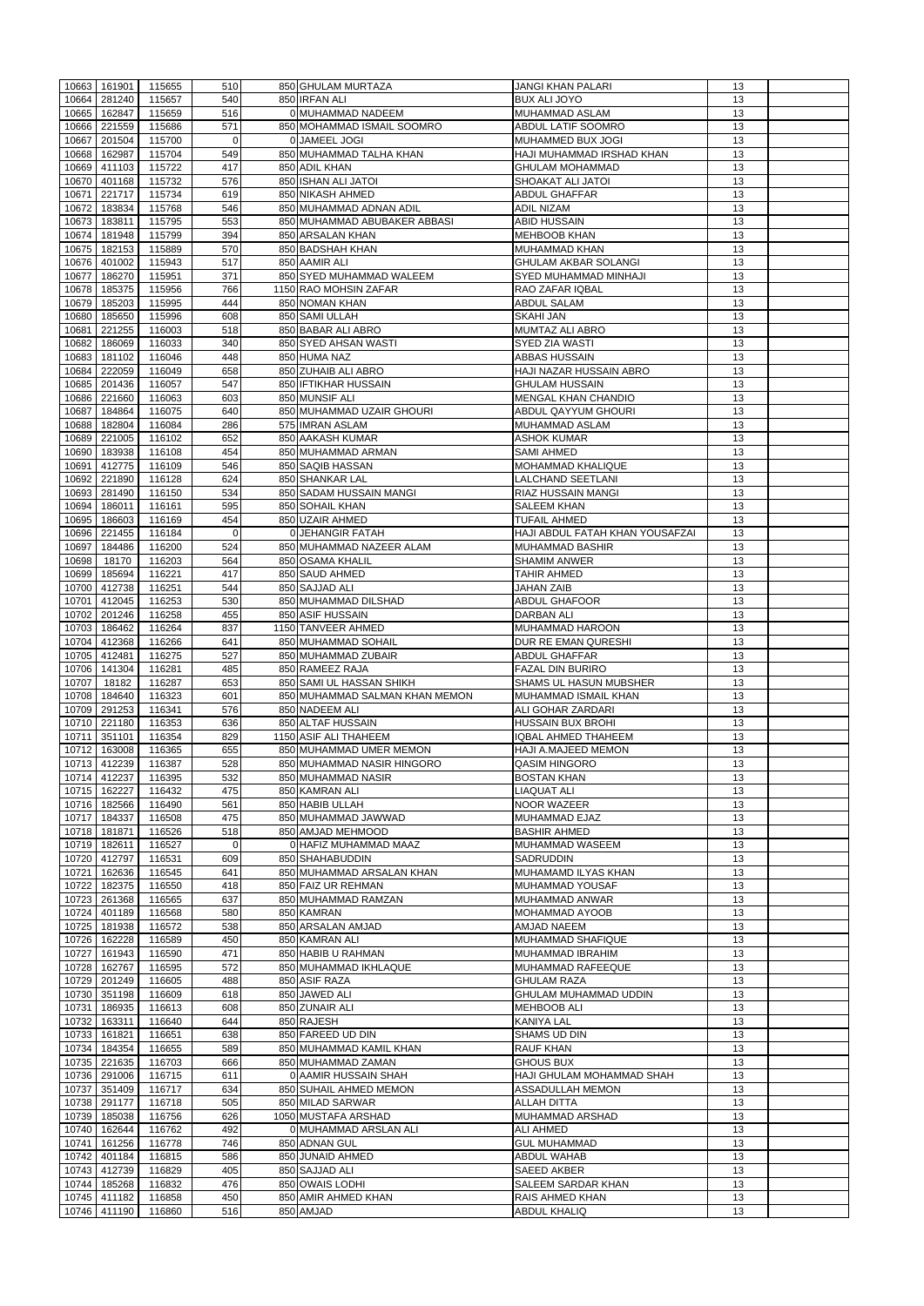|                | 10663 161901           | 115655           | 510            | 850 GHULAM MURTAZA                           | <b>JANGI KHAN PALARI</b>                        | 13                    |  |
|----------------|------------------------|------------------|----------------|----------------------------------------------|-------------------------------------------------|-----------------------|--|
| 10664          | 281240                 | 115657           | 540            | 850 IRFAN ALI                                | <b>BUX ALI JOYO</b>                             | 13                    |  |
| 10665          | 162847                 | 115659           | 516            | 0 MUHAMMAD NADEEM                            | MUHAMMAD ASLAM                                  | 13                    |  |
| 10666          | 221559                 | 115686           | 571            | 850 MOHAMMAD ISMAIL SOOMRO                   | ABDUL LATIF SOOMRO                              | 13                    |  |
| 10667          | 201504                 | 115700           | $\overline{0}$ | 0 JAMEEL JOGI                                | MUHAMMED BUX JOGI                               | 13                    |  |
| 10668          | 162987                 | 115704           | 549            | 850 MUHAMMAD TALHA KHAN                      | HAJI MUHAMMAD IRSHAD KHAN                       | 13                    |  |
| 10669          | 411103                 | 115722           | 417            | 850 ADIL KHAN                                | <b>GHULAM MOHAMMAD</b>                          | 13                    |  |
| 10670          | 401168                 | 115732           | 576            | 850 ISHAN ALI JATOI                          | SHOAKAT ALI JATOI                               | 13                    |  |
| 10671<br>10672 | 221717<br>183834       | 115734<br>115768 | 619<br>546     | 850 NIKASH AHMED<br>850 MUHAMMAD ADNAN ADIL  | <b>ABDUL GHAFFAR</b><br><b>ADIL NIZAM</b>       | 13<br>13              |  |
| 10673          | 183811                 | 115795           | 553            | 850 MUHAMMAD ABUBAKER ABBASI                 | <b>ABID HUSSAIN</b>                             | 13                    |  |
| 10674          | 181948                 | 115799           | 394            | 850 ARSALAN KHAN                             | <b>MEHBOOB KHAN</b>                             | 13                    |  |
| 10675          | 182153                 | 115889           | 570            | 850 BADSHAH KHAN                             | <b>MUHAMMAD KHAN</b>                            | 13                    |  |
| 10676          | 401002                 | 115943           | 517            | 850 AAMIR ALI                                | <b>GHULAM AKBAR SOLANGI</b>                     | 13                    |  |
| 10677          | 186270                 | 115951           | 371            | 850 SYED MUHAMMAD WALEEM                     | SYED MUHAMMAD MINHAJI                           | 13                    |  |
| 10678          | 185375                 | 115956           | 766            | 1150 RAO MOHSIN ZAFAR                        | <b>RAO ZAFAR IQBAL</b>                          | 13                    |  |
| 10679          | 185203                 | 115995           | 444            | 850 NOMAN KHAN                               | ABDUL SALAM                                     | 13                    |  |
| 10680          | 185650                 | 115996           | 608            | 850 SAMI ULLAH                               | <b>SKAHI JAN</b>                                | 13                    |  |
| 10681          | 221255                 | 116003           | 518            | 850 BABAR ALI ABRO                           | MUMTAZ ALI ABRO                                 | 13                    |  |
| 10682          | 186069                 | 116033           | 340            | 850 SYED AHSAN WASTI                         | <b>SYED ZIA WASTI</b>                           | 13                    |  |
| 10683          | 181102                 | 116046           | 448            | 850 HUMA NAZ                                 | ABBAS HUSSAIN                                   | 13                    |  |
| 10684          | 222059                 | 116049           | 658            | 850 ZUHAIB ALI ABRO                          | HAJI NAZAR HUSSAIN ABRO                         | 13                    |  |
| 10685          | 201436                 | 116057           | 547            | 850 <b>IFTIKHAR HUSSAIN</b>                  | <b>GHULAM HUSSAIN</b>                           | 13                    |  |
| 10686          | 221660                 | 116063           | 603            | 850 MUNSIF ALI                               | <b>MENGAL KHAN CHANDIO</b>                      | 13                    |  |
| 10687          | 184864                 | 116075           | 640            | 850 MUHAMMAD UZAIR GHOURI                    | ABDUL QAYYUM GHOURI                             | 13                    |  |
| 10688          | 182804                 | 116084           | 286            | 575 IMRAN ASLAM                              | MUHAMMAD ASLAM                                  | 13                    |  |
| 10689          | 221005                 | 116102           | 652            | 850 AAKASH KUMAR                             | ASHOK KUMAR                                     | 13                    |  |
| 10690          | 183938                 | 116108           | 454            | 850 MUHAMMAD ARMAN                           | SAMI AHMED                                      | 13                    |  |
| 10691          | 412775                 | 116109           | 546            | 850 SAQIB HASSAN                             | <b>MOHAMMAD KHALIQUE</b>                        | 13                    |  |
| 10692          | 221890                 | 116128           | 624            | 850 SHANKAR LAL                              | <b>LALCHAND SEETLANI</b>                        | 13                    |  |
| 10693          | 281490                 | 116150           | 534            | 850 SADAM HUSSAIN MANGI                      | <b>RIAZ HUSSAIN MANGI</b>                       | 13                    |  |
| 10694          | 186011                 | 116161           | 595            | 850 SOHAIL KHAN                              | <b>SALEEM KHAN</b>                              | 13                    |  |
| 10695          | 186603                 | 116169           | 454            | 850 UZAIR AHMED                              | <b>TUFAIL AHMED</b>                             | 13                    |  |
| 10696          | 221455                 | 116184           | $\overline{0}$ | 0 JEHANGIR FATAH                             | HAJI ABDUL FATAH KHAN YOUSAFZAI                 | 13                    |  |
| 10697          | 184486                 | 116200           | 524            | 850 MUHAMMAD NAZEER ALAM                     | <b>MUHAMMAD BASHIR</b>                          | 13                    |  |
| 10698          | 18170                  | 116203           | 564            | 850 OSAMA KHALIL                             | <b>SHAMIM ANWER</b>                             | 13                    |  |
|                | 10699 185694           | 116221           | 417            | 850 SAUD AHMED                               | <b>TAHIR AHMED</b>                              | 13                    |  |
| 10700          | 412738                 | 116251           | 544            | 850 SAJJAD ALI                               | <b>JAHAN ZAIB</b>                               | 13                    |  |
| 10701          | 412045                 | 116253           | 530            | 850 MUHAMMAD DILSHAD                         | <b>ABDUL GHAFOOR</b>                            | 13                    |  |
| 10702          | 201246                 | 116258           | 455            | 850 ASIF HUSSAIN                             | <b>DARBAN ALI</b>                               | 13                    |  |
| 10703          | 186462                 | 116264           | 837            | 1150 TANVEER AHMED                           | MUHAMMAD HAROON<br>DUR RE EMAN QURESHI          | 13                    |  |
| 10704          | 412368                 | 116266           | 641<br>527     | 850 MUHAMMAD SOHAIL<br>850 MUHAMMAD ZUBAIR   |                                                 | 13                    |  |
| 10705<br>10706 | 412481<br>141304       | 116275<br>116281 | 485            | 850 RAMEEZ RAJA                              | <b>ABDUL GHAFFAR</b><br><b>FAZAL DIN BURIRO</b> | 13<br>13              |  |
| 10707          | 18182                  | 116287           | 653            | 850 SAMI UL HASSAN SHIKH                     | SHAMS UL HASUN MUBSHER                          | 13                    |  |
| 10708          | 184640                 | 116323           | 601            | 850 MUHAMMAD SALMAN KHAN MEMON               | MUHAMMAD ISMAIL KHAN                            | 13                    |  |
| 10709          | 291253                 | 116341           | 576            | 850 NADEEM ALI                               | ALI GOHAR ZARDARI                               | 13                    |  |
| 10710          | 221180                 | 116353           | 636            | 850 ALTAF HUSSAIN                            | <b>HUSSAIN BUX BROHI</b>                        | 13                    |  |
| 10711          | 351101                 | 116354           | 829            | 1150 ASIF ALI THAHEEM                        | IQBAL AHMED THAHEEM                             | 13                    |  |
| 10712          | 163008                 | 116365           | 655            | 850 MUHAMMAD UMER MEMON                      | HAJI A.MAJEED MEMON                             | 13                    |  |
| 10713          | 412239                 | 116387           | 528            | 850 MUHAMMAD NASIR HINGORO                   | <b>QASIM HINGORO</b>                            | 13                    |  |
| 10714          | 412237                 | 116395           | 532            | 850 MUHAMMAD NASIR                           | <b>BOSTAN KHAN</b>                              | 13                    |  |
| 10715          | 162227                 | 116432           | 475            | 850 KAMRAN ALI                               | <b>LIAQUAT ALI</b>                              | 13                    |  |
| 10716          | 182566                 | 116490           | 561            | 850 HABIB ULLAH                              | <b>NOOR WAZEER</b>                              | 13                    |  |
| 10717          | 184337                 | 116508           | 475            | 850 MUHAMMAD JAWWAD                          | MUHAMMAD EJAZ                                   | 13                    |  |
| 10718          | 181871                 | 116526           | 518            | 850 AMJAD MEHMOOD                            | <b>BASHIR AHMED</b>                             | 13                    |  |
| 10719          | 182611                 | 116527           | 0              | 0 HAFIZ MUHAMMAD MAAZ                        | MUHAMMAD WASEEM                                 | 13                    |  |
| 10720          | 412797                 | 116531           | 609            | 850 SHAHABUDDIN                              | SADRUDDIN                                       | 13                    |  |
| 10721          | 162636                 | 116545           | 641            | 850 MUHAMMAD ARSALAN KHAN                    | MUHAMAMD ILYAS KHAN                             | 13                    |  |
| 10722          | 182375                 | 116550           | 418            | 850 FAIZ UR REHMAN                           | MUHAMMAD YOUSAF                                 | 13                    |  |
| 10723          | 261368                 | 116565           | 637            | 850 MUHAMMAD RAMZAN                          | MUHAMMAD ANWAR                                  | 13                    |  |
| 10724          | 401189                 | 116568           | 580            | 850 KAMRAN                                   | <b>MOHAMMAD AYOOB</b>                           | 13                    |  |
| 10725          | 181938                 | 116572           | 538            | 850 ARSALAN AMJAD                            | <b>AMJAD NAEEM</b>                              | 13                    |  |
| 10726          | 162228                 | 116589           | 450            | 850 KAMRAN ALI                               | MUHAMMAD SHAFIQUE                               | 13                    |  |
| 10727          | 161943                 | 116590           | 471            | 850 HABIB U RAHMAN                           | MUHAMMAD IBRAHIM                                | 13                    |  |
| 10728          | 162767                 | 116595           | 572            | 850 MUHAMMAD IKHLAQUE                        | MUHAMMAD RAFEEQUE                               | 13                    |  |
| 10729          | 201249                 | 116605           | 488            | 850 ASIF RAZA                                | <b>GHULAM RAZA</b>                              | 13                    |  |
| 10730          | 351198                 | 116609           | 618            | 850 JAWED ALI                                | GHULAM MUHAMMAD UDDIN                           | 13                    |  |
| 10731          | 186935                 | 116613           | 608            | 850 ZUNAIR ALI                               | <b>MEHBOOB ALI</b>                              | 13                    |  |
| 10732          | 163311                 | 116640           | 644            | 850 RAJESH                                   | <b>KANIYA LAL</b>                               | 13                    |  |
| 10733          | 161821<br>184354       | 116651           | 638            | 850 FAREED UD DIN<br>850 MUHAMMAD KAMIL KHAN | <b>SHAMS UD DIN</b><br><b>RAUF KHAN</b>         | 13                    |  |
| 10734          | 10735 221635 116703    | 116655           | 589<br>666     | 850 MUHAMMAD ZAMAN                           | <b>GHOUS BUX</b>                                | 13<br>$\overline{13}$ |  |
|                |                        |                  |                |                                              |                                                 |                       |  |
|                | 10736 291006           | 116715           | 611            | 0 AAMIR HUSSAIN SHAH                         | HAJI GHULAM MOHAMMAD SHAH                       | 13                    |  |
| 10737          | 351409<br>10738 291177 | 116717           | 634<br>505     | 850 SUHAIL AHMED MEMON<br>850 MILAD SARWAR   | ASSADULLAH MEMON<br>ALLAH DITTA                 | 13                    |  |
| 10739          | 185038                 | 116718<br>116756 | 626            | 1050 MUSTAFA ARSHAD                          | MUHAMMAD ARSHAD                                 | 13<br>13              |  |
| 10740          | 162644                 | 116762           | 492            | 0 MUHAMMAD ARSLAN ALI                        | ALI AHMED                                       | 13                    |  |
| 10741          |                        | 116778           | 746            | 850 ADNAN GUL                                | <b>GUL MUHAMMAD</b>                             | 13                    |  |
|                |                        |                  |                |                                              |                                                 |                       |  |
|                | 161256                 |                  |                |                                              |                                                 |                       |  |
| 10742          | 401184<br>412739       | 116815           | 586            | 850 JUNAID AHMED                             | ABDUL WAHAB<br><b>SAEED AKBER</b>               | 13                    |  |
| 10743<br>10744 | 185268                 | 116829           | 405            | 850 SAJJAD ALI<br>850 OWAIS LODHI            | <b>SALEEM SARDAR KHAN</b>                       | 13<br>13              |  |
| 10745          | 411182                 | 116832<br>116858 | 476<br>450     | 850 AMIR AHMED KHAN                          | <b>RAIS AHMED KHAN</b>                          | 13                    |  |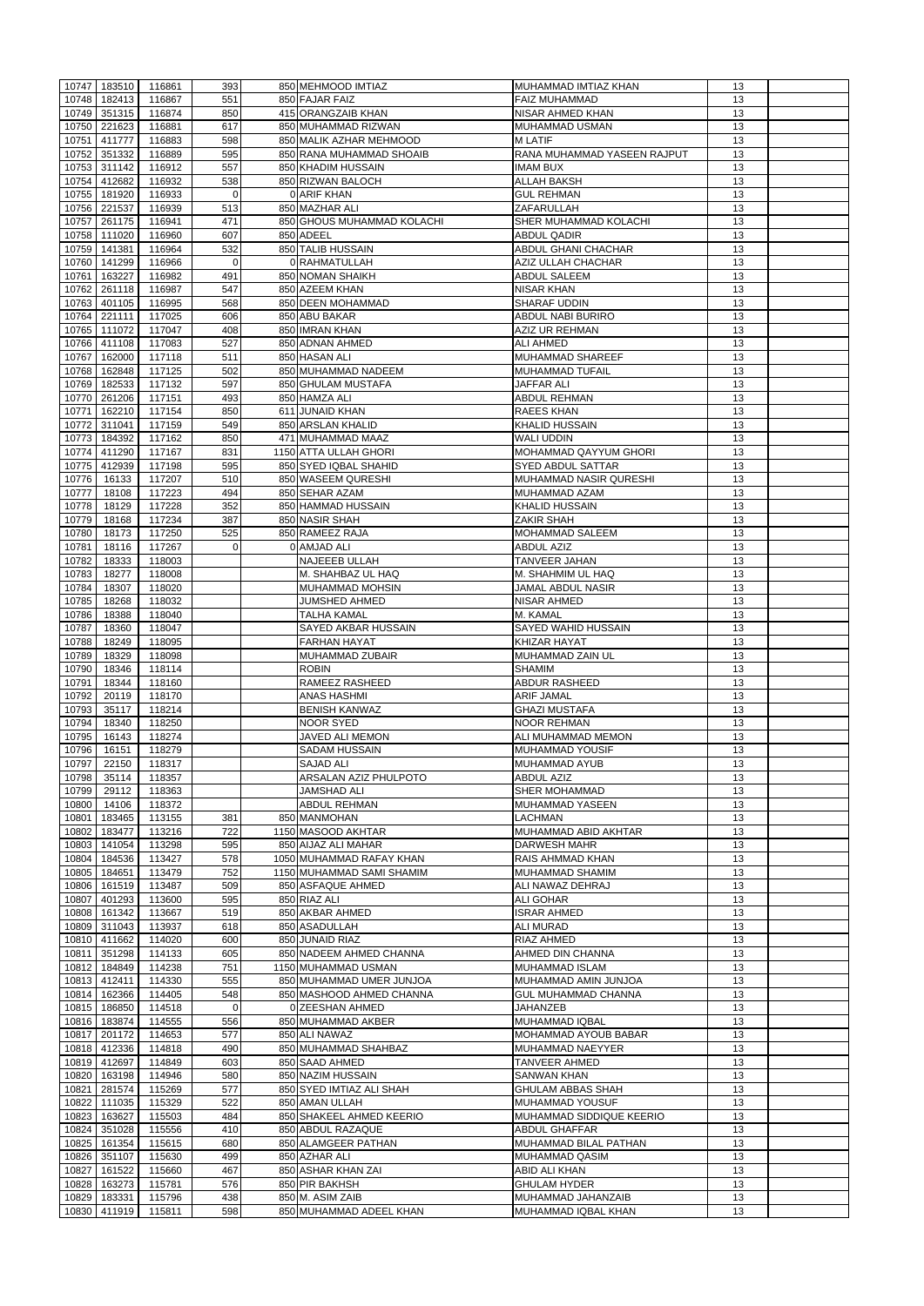| 10747 | 183510              | 116861 | 393      | 850 MEHMOOD IMTIAZ                          | MUHAMMAD IMTIAZ KHAN         | 13 |  |
|-------|---------------------|--------|----------|---------------------------------------------|------------------------------|----|--|
|       |                     |        |          |                                             |                              |    |  |
| 10748 | 182413              | 116867 | 551      | 850 FAJAR FAIZ                              | <b>FAIZ MUHAMMAD</b>         | 13 |  |
| 10749 | 351315              | 116874 | 850      | 415 ORANGZAIB KHAN                          | <b>NISAR AHMED KHAN</b>      | 13 |  |
| 10750 | 221623              | 116881 | 617      | 850 MUHAMMAD RIZWAN                         | <b>MUHAMMAD USMAN</b>        | 13 |  |
| 10751 | 411777              | 116883 | 598      | 850 MALIK AZHAR MEHMOOD                     | <b>MLATIF</b>                | 13 |  |
|       |                     |        |          |                                             |                              |    |  |
| 10752 | 351332              | 116889 | 595      | 850 RANA MUHAMMAD SHOAIB                    | RANA MUHAMMAD YASEEN RAJPUT  | 13 |  |
| 10753 | 311142              | 116912 | 557      | 850 KHADIM HUSSAIN                          | <b>IMAM BUX</b>              | 13 |  |
| 10754 | 412682              | 116932 | 538      | 850 RIZWAN BALOCH                           | <b>ALLAH BAKSH</b>           | 13 |  |
| 10755 | 181920              | 116933 | 0        | 0 ARIF KHAN                                 | <b>GUL REHMAN</b>            | 13 |  |
|       |                     |        |          |                                             |                              |    |  |
| 10756 | 221537              | 116939 | 513      | 850 MAZHAR ALI                              | <b>ZAFARULLAH</b>            | 13 |  |
| 10757 | 261175              | 116941 | 471      | 850 GHOUS MUHAMMAD KOLACHI                  | SHER MUHAMMAD KOLACHI        | 13 |  |
| 10758 | 111020              | 116960 | 607      | 850 ADEEL                                   | <b>ABDUL QADIR</b>           | 13 |  |
| 10759 | 141381              | 116964 | 532      | 850 TALIB HUSSAIN                           | ABDUL GHANI CHACHAR          | 13 |  |
| 10760 | 141299              |        | $\Omega$ | 0 RAHMATULLAH                               | AZIZ ULLAH CHACHAR           | 13 |  |
|       |                     | 116966 |          |                                             |                              |    |  |
| 10761 | 163227              | 116982 | 491      | 850 NOMAN SHAIKH                            | ABDUL SALEEM                 | 13 |  |
| 10762 | 261118              | 116987 | 547      | 850 AZEEM KHAN                              | <b>NISAR KHAN</b>            | 13 |  |
| 10763 | 401105              | 116995 | 568      | 850 DEEN MOHAMMAD                           | <b>SHARAF UDDIN</b>          | 13 |  |
| 10764 | 221111              | 117025 | 606      | 850 ABU BAKAR                               | ABDUL NABI BURIRO            | 13 |  |
|       |                     |        |          |                                             |                              |    |  |
| 10765 | 111072              | 117047 | 408      | 850 IMRAN KHAN                              | AZIZ UR REHMAN               | 13 |  |
| 10766 | 411108              | 117083 | 527      | 850 ADNAN AHMED                             | <b>ALI AHMED</b>             | 13 |  |
| 10767 | 162000              | 117118 | 511      | 850 HASAN ALI                               | <b>MUHAMMAD SHAREEF</b>      | 13 |  |
| 10768 | 162848              | 117125 | 502      | 850 MUHAMMAD NADEEM                         | <b>MUHAMMAD TUFAIL</b>       | 13 |  |
| 10769 |                     |        | 597      |                                             | <b>JAFFAR ALI</b>            |    |  |
|       | 182533              | 117132 |          | 850 GHULAM MUSTAFA                          |                              | 13 |  |
| 10770 | 261206              | 117151 | 493      | 850 HAMZA ALI                               | ABDUL REHMAN                 | 13 |  |
| 10771 | 162210              | 117154 | 850      | 611 JUNAID KHAN                             | <b>RAEES KHAN</b>            | 13 |  |
| 10772 | 311041              | 117159 | 549      | 850 ARSLAN KHALID                           | <b>KHALID HUSSAIN</b>        | 13 |  |
| 10773 | 184392              | 117162 | 850      | 471 MUHAMMAD MAAZ                           | <b>WALI UDDIN</b>            | 13 |  |
|       |                     |        | 831      |                                             |                              | 13 |  |
| 10774 | 411290              | 117167 |          | 1150 ATTA ULLAH GHORI                       | <b>MOHAMMAD QAYYUM GHORI</b> |    |  |
| 10775 | 412939              | 117198 | 595      | 850 SYED IQBAL SHAHID                       | <b>SYED ABDUL SATTAR</b>     | 13 |  |
| 10776 | 16133               | 117207 | 510      | 850 WASEEM QURESHI                          | MUHAMMAD NASIR QURESHI       | 13 |  |
| 10777 | 18108               | 117223 | 494      | 850 SEHAR AZAM                              | <b>MUHAMMAD AZAM</b>         | 13 |  |
| 10778 | 18129               | 117228 | 352      | 850 HAMMAD HUSSAIN                          | <b>KHALID HUSSAIN</b>        | 13 |  |
|       |                     |        |          |                                             |                              |    |  |
| 10779 | 18168               | 117234 | 387      | 850 NASIR SHAH                              | <b>ZAKIR SHAH</b>            | 13 |  |
| 10780 | 18173               | 117250 | 525      | 850 RAMEEZ RAJA                             | <b>MOHAMMAD SALEEM</b>       | 13 |  |
| 10781 | 18116               | 117267 | $\Omega$ | 0 AMJAD ALI                                 | <b>ABDUL AZIZ</b>            | 13 |  |
| 10782 | 18333               | 118003 |          | NAJEEEB ULLAH                               | <b>TANVEER JAHAN</b>         | 13 |  |
| 10783 | 18277               | 118008 |          | M. SHAHBAZ UL HAQ                           | M. SHAHMIM UL HAQ            | 13 |  |
|       |                     |        |          |                                             |                              |    |  |
| 10784 | 18307               | 118020 |          | MUHAMMAD MOHSIN                             | <b>JAMAL ABDUL NASIR</b>     | 13 |  |
| 10785 | 18268               | 118032 |          | JUMSHED AHMED                               | <b>NISAR AHMED</b>           | 13 |  |
| 10786 | 18388               | 118040 |          | <b>TALHA KAMAL</b>                          | M. KAMAL                     | 13 |  |
| 10787 | 18360               | 118047 |          | SAYED AKBAR HUSSAIN                         | SAYED WAHID HUSSAIN          | 13 |  |
| 10788 | 18249               |        |          |                                             |                              |    |  |
|       |                     | 118095 |          | <b>FARHAN HAYAT</b>                         | KHIZAR HAYAT                 | 13 |  |
| 10789 | 18329               | 118098 |          | <b>MUHAMMAD ZUBAIR</b>                      | MUHAMMAD ZAIN UL             | 13 |  |
| 10790 | 18346               | 118114 |          | <b>ROBIN</b>                                | <b>SHAMIM</b>                | 13 |  |
| 10791 | 18344               | 118160 |          | RAMEEZ RASHEED                              | ABDUR RASHEED                | 13 |  |
| 10792 | 20119               | 118170 |          | <b>ANAS HASHMI</b>                          | <b>ARIF JAMAL</b>            | 13 |  |
| 10793 | 35117               | 118214 |          | <b>BENISH KANWAZ</b>                        | <b>GHAZI MUSTAFA</b>         | 13 |  |
|       |                     |        |          |                                             |                              |    |  |
| 10794 | 18340               | 118250 |          | <b>NOOR SYED</b>                            | <b>NOOR REHMAN</b>           | 13 |  |
| 10795 | 16143               | 118274 |          | JAVED ALI MEMON                             | ALI MUHAMMAD MEMON           | 13 |  |
| 10796 | 16151               | 118279 |          | SADAM HUSSAIN                               | <b>MUHAMMAD YOUSIF</b>       | 13 |  |
| 10797 | 22150               | 118317 |          | SAJAD ALI                                   | <b>MUHAMMAD AYUB</b>         | 13 |  |
| 10798 | 35114               | 118357 |          | ARSALAN AZIZ PHULPOTO                       | ABDUL AZIZ                   | 13 |  |
|       |                     |        |          |                                             |                              |    |  |
| 10799 | 29112               | 118363 |          | <b>JAMSHAD ALI</b>                          | <b>SHER MOHAMMAD</b>         | 13 |  |
| 10800 | 14106               | 118372 |          | ABDUL REHMAN                                | MUHAMMAD YASEEN              | 13 |  |
| 10801 | 183465              | 113155 | 381      | 850 MANMOHAN                                | <b>LACHMAN</b>               | 13 |  |
| 10802 | 183477              | 113216 | 722      | 1150 MASOOD AKHTAR                          | MUHAMMAD ABID AKHTAR         | 13 |  |
| 10803 | 141054              | 113298 | 595      | 850 AIJAZ ALI MAHAR                         | <b>DARWESH MAHR</b>          | 13 |  |
|       |                     |        |          |                                             |                              |    |  |
| 10804 | 184536              | 113427 | 578      | 1050 MUHAMMAD RAFAY KHAN                    | RAIS AHMMAD KHAN             | 13 |  |
| 10805 | 184651              | 113479 | 752      | 1150 MUHAMMAD SAMI SHAMIM                   | MUHAMMAD SHAMIM              | 13 |  |
| 10806 | 161519              | 113487 | 509      | 850 ASFAQUE AHMED                           | ALI NAWAZ DEHRAJ             | 13 |  |
| 10807 | 401293              | 113600 | 595      | 850 RIAZ ALI                                | <b>ALI GOHAR</b>             | 13 |  |
| 10808 | 161342              | 113667 | 519      | 850 AKBAR AHMED                             | <b>ISRAR AHMED</b>           | 13 |  |
|       |                     |        |          |                                             |                              |    |  |
|       | 10809 311043        | 113937 | 618      | 850 ASADULLAH                               | <b>ALI MURAD</b>             | 13 |  |
| 10810 | 411662              | 114020 | 600      | 850 JUNAID RIAZ                             | <b>RIAZ AHMED</b>            | 13 |  |
| 10811 | 351298              | 114133 | 605      | 850 NADEEM AHMED CHANNA                     | <b>AHMED DIN CHANNA</b>      | 13 |  |
| 10812 | 184849              | 114238 | 751      | 1150 MUHAMMAD USMAN                         | <b>MUHAMMAD ISLAM</b>        | 13 |  |
| 10813 | 412411              | 114330 | 555      | 850 MUHAMMAD UMER JUNJOA                    | MUHAMMAD AMIN JUNJOA         | 13 |  |
|       |                     |        |          |                                             |                              |    |  |
| 10814 | 162366              | 114405 | 548      | 850 MASHOOD AHMED CHANNA                    | <b>GUL MUHAMMAD CHANNA</b>   | 13 |  |
| 10815 | 186850              | 114518 | $\Omega$ | 0 ZEESHAN AHMED                             | <b>JAHANZEB</b>              | 13 |  |
| 10816 | 183874              | 114555 | 556      | 850 MUHAMMAD AKBER                          | <b>MUHAMMAD IQBAL</b>        | 13 |  |
| 10817 | 201172              | 114653 | 577      | 850 ALI NAWAZ                               | <b>MOHAMMAD AYOUB BABAR</b>  | 13 |  |
|       |                     | 114818 | 490      | 850 MUHAMMAD SHAHBAZ                        | MUHAMMAD NAEYYER             | 13 |  |
|       | 10818 412336        |        |          |                                             |                              |    |  |
|       | 10819 412697 114849 |        | 603      | 850 SAAD AHMED                              | <b>TANVEER AHMED</b>         | 13 |  |
| 10820 | 163198              | 114946 | 580      | 850 NAZIM HUSSAIN                           | SANWAN KHAN                  | 13 |  |
| 10821 | 281574              | 115269 | 577      | 850 SYED IMTIAZ ALI SHAH                    | <b>GHULAM ABBAS SHAH</b>     | 13 |  |
|       | 10822 111035        | 115329 | 522      | 850 AMAN ULLAH                              | <b>MUHAMMAD YOUSUF</b>       | 13 |  |
| 10823 | 163627              | 115503 | 484      | 850 SHAKEEL AHMED KEERIO                    | MUHAMMAD SIDDIQUE KEERIO     | 13 |  |
|       |                     |        |          |                                             |                              |    |  |
| 10824 | 351028              | 115556 | 410      | 850 ABDUL RAZAQUE                           | <b>ABDUL GHAFFAR</b>         | 13 |  |
| 10825 | 161354              | 115615 | 680      | 850 ALAMGEER PATHAN                         | MUHAMMAD BILAL PATHAN        | 13 |  |
| 10826 | 351107              | 115630 | 499      | 850 AZHAR ALI                               | <b>MUHAMMAD QASIM</b>        | 13 |  |
| 10827 | 161522              | 115660 | 467      | 850 ASHAR KHAN ZAI                          | <b>ABID ALI KHAN</b>         | 13 |  |
| 10828 | 163273              | 115781 | 576      | 850 PIR BAKHSH                              | <b>GHULAM HYDER</b>          | 13 |  |
| 10829 |                     |        |          |                                             |                              |    |  |
|       | 183331              | 115796 | 438      | 850 M. ASIM ZAIB<br>850 MUHAMMAD ADEEL KHAN | MUHAMMAD JAHANZAIB           | 13 |  |
|       | 10830 411919        | 115811 | 598      |                                             | MUHAMMAD IQBAL KHAN          | 13 |  |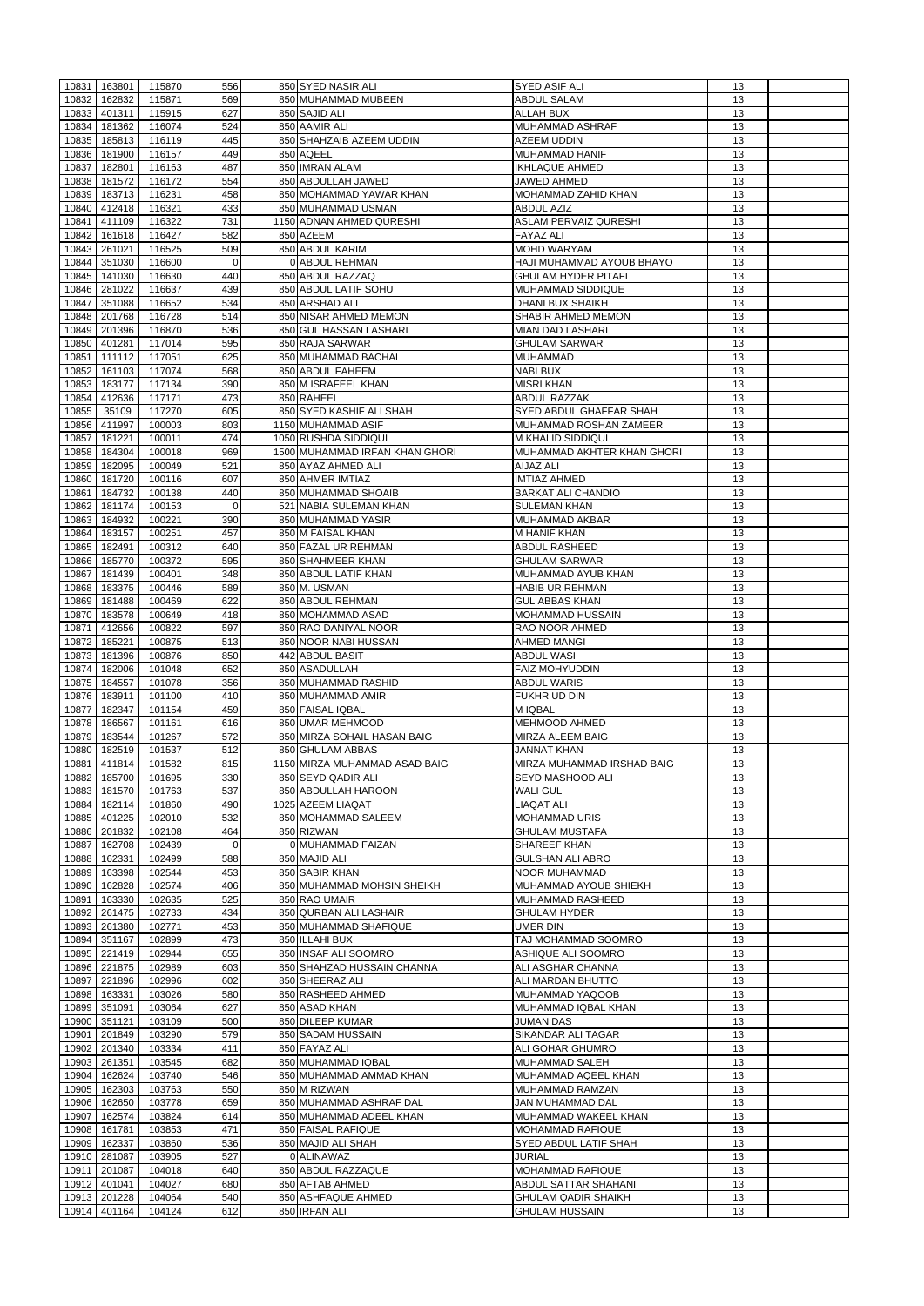|       | 10831 163801           | 115870           | 556            | 850 SYED NASIR ALI                  | <b>SYED ASIF ALI</b>                                | 13       |  |
|-------|------------------------|------------------|----------------|-------------------------------------|-----------------------------------------------------|----------|--|
| 10832 | 162832                 | 115871           | 569            | 850 MUHAMMAD MUBEEN                 | <b>ABDUL SALAM</b>                                  | 13       |  |
| 10833 | 401311                 | 115915           | 627            | 850 SAJID ALI                       | <b>ALLAH BUX</b>                                    | 13       |  |
| 10834 | 181362                 | 116074           | 524            | 850 AAMIR ALI                       | <b>MUHAMMAD ASHRAF</b>                              | 13       |  |
|       |                        |                  |                |                                     |                                                     |          |  |
| 10835 | 185813                 | 116119           | 445            | 850 SHAHZAIB AZEEM UDDIN            | <b>AZEEM UDDIN</b>                                  | 13       |  |
| 10836 | 181900                 | 116157           | 449            | 850 AQEEL                           | <b>MUHAMMAD HANIF</b>                               | 13       |  |
| 10837 | 182801                 | 116163           | 487            | 850 IMRAN ALAM                      | <b>IKHLAQUE AHMED</b>                               | 13       |  |
|       |                        |                  |                |                                     |                                                     |          |  |
| 10838 | 181572                 | 116172           | 554            | 850 ABDULLAH JAWED                  | JAWED AHMED                                         | 13       |  |
| 10839 | 183713                 | 116231           | 458            | 850 MOHAMMAD YAWAR KHAN             | <b>MOHAMMAD ZAHID KHAN</b>                          | 13       |  |
| 10840 | 412418                 | 116321           | 433            | 850 MUHAMMAD USMAN                  | <b>ABDUL AZIZ</b>                                   | 13       |  |
|       |                        |                  |                |                                     |                                                     |          |  |
| 10841 | 411109                 | 116322           | 731            | 1150 ADNAN AHMED QURESHI            | <b>ASLAM PERVAIZ QURESHI</b>                        | 13       |  |
| 10842 | 161618                 | 116427           | 582            | 850 AZEEM                           | <b>FAYAZ ALI</b>                                    | 13       |  |
| 10843 | 261021                 | 116525           | 509            | 850 ABDUL KARIM                     | <b>MOHD WARYAM</b>                                  | 13       |  |
|       |                        |                  |                |                                     |                                                     |          |  |
| 10844 | 351030                 | 116600           | $\Omega$       | 0 ABDUL REHMAN                      | HAJI MUHAMMAD AYOUB BHAYO                           | 13       |  |
| 10845 | 141030                 | 116630           | 440            | 850 ABDUL RAZZAQ                    | <b>GHULAM HYDER PITAFI</b>                          | 13       |  |
| 10846 | 281022                 | 116637           | 439            | 850 ABDUL LATIF SOHU                | <b>MUHAMMAD SIDDIQUE</b>                            | 13       |  |
|       |                        |                  |                |                                     |                                                     |          |  |
| 10847 | 351088                 | 116652           | 534            | 850 ARSHAD ALI                      | <b>DHANI BUX SHAIKH</b>                             | 13       |  |
| 10848 | 201768                 | 116728           | 514            | 850 NISAR AHMED MEMON               | <b>SHABIR AHMED MEMON</b>                           | 13       |  |
| 10849 | 201396                 | 116870           | 536            | 850 GUL HASSAN LASHARI              | <b>MIAN DAD LASHARI</b>                             | 13       |  |
|       |                        |                  |                |                                     |                                                     |          |  |
| 10850 | 401281                 | 117014           | 595            | 850 RAJA SARWAR                     | <b>GHULAM SARWAR</b>                                | 13       |  |
| 10851 | 111112                 | 117051           | 625            | 850 MUHAMMAD BACHAL                 | <b>MUHAMMAD</b>                                     | 13       |  |
| 10852 | 161103                 | 117074           | 568            | 850 ABDUL FAHEEM                    | <b>NABI BUX</b>                                     | 13       |  |
|       |                        |                  |                |                                     |                                                     |          |  |
| 10853 | 183177                 | 117134           | 390            | 850 M ISRAFEEL KHAN                 | <b>MISRI KHAN</b>                                   | 13       |  |
| 10854 | 412636                 | 117171           | 473            | 850 RAHEEL                          | <b>ABDUL RAZZAK</b>                                 | 13       |  |
| 10855 |                        | 117270           | 605            | 850 SYED KASHIF ALI SHAH            |                                                     | 13       |  |
|       | 35109                  |                  |                |                                     | SYED ABDUL GHAFFAR SHAH                             |          |  |
| 10856 | 411997                 | 100003           | 803            | 1150 MUHAMMAD ASIF                  | MUHAMMAD ROSHAN ZAMEER                              | 13       |  |
| 10857 | 181221                 | 100011           | 474            | 1050 RUSHDA SIDDIQUI                | M KHALID SIDDIQUI                                   | 13       |  |
|       |                        |                  |                |                                     |                                                     | 13       |  |
| 10858 | 184304                 | 100018           | 969            | 1500 MUHAMMAD IRFAN KHAN GHORI      | MUHAMMAD AKHTER KHAN GHORI                          |          |  |
| 10859 | 182095                 | 100049           | 521            | 850 AYAZ AHMED ALI                  | <b>AIJAZ ALI</b>                                    | 13       |  |
| 10860 | 181720                 | 100116           | 607            | 850 AHMER IMTIAZ                    | <b>IMTIAZ AHMED</b>                                 | 13       |  |
|       |                        |                  |                |                                     |                                                     |          |  |
| 10861 | 184732                 | 100138           | 440            | 850 MUHAMMAD SHOAIB                 | <b>BARKAT ALI CHANDIO</b>                           | 13       |  |
| 10862 | 181174                 | 100153           | $\overline{0}$ | 521 NABIA SULEMAN KHAN              | <b>SULEMAN KHAN</b>                                 | 13       |  |
| 10863 | 184932                 | 100221           | 390            | 850 MUHAMMAD YASIR                  | <b>MUHAMMAD AKBAR</b>                               | 13       |  |
|       |                        |                  |                |                                     |                                                     |          |  |
| 10864 | 183157                 | 100251           | 457            | 850 M FAISAL KHAN                   | <b>M HANIF KHAN</b>                                 | 13       |  |
| 10865 | 182491                 | 100312           | 640            | 850 FAZAL UR REHMAN                 | <b>ABDUL RASHEED</b>                                | 13       |  |
|       | 10866 185770           | 100372           | 595            | 850 SHAHMEER KHAN                   | <b>GHULAM SARWAR</b>                                | 13       |  |
|       |                        |                  |                |                                     |                                                     |          |  |
|       | 10867 181439           | 100401           | 348            | 850 ABDUL LATIF KHAN                | MUHAMMAD AYUB KHAN                                  | 13       |  |
| 10868 | 183375                 | 100446           | 589            | 850 M. USMAN                        | <b>HABIB UR REHMAN</b>                              | 13       |  |
| 10869 | 181488                 | 100469           | 622            | 850 ABDUL REHMAN                    | <b>GUL ABBAS KHAN</b>                               | 13       |  |
|       |                        |                  |                |                                     |                                                     |          |  |
| 10870 | 183578                 | 100649           | 418            | 850 MOHAMMAD ASAD                   | MOHAMMAD HUSSAIN                                    | 13       |  |
| 10871 | 412656                 | 100822           | 597            | 850 RAO DANIYAL NOOR                | <b>RAO NOOR AHMED</b>                               | 13       |  |
| 10872 | 185221                 | 100875           | 513            | 850 NOOR NABI HUSSAN                | AHMED MANGI                                         | 13       |  |
|       |                        |                  |                |                                     |                                                     |          |  |
| 10873 | 181396                 | 100876           | 850            | 442 ABDUL BASIT                     | <b>ABDUL WASI</b>                                   | 13       |  |
| 10874 | 182006                 | 101048           | 652            | 850 ASADULLAH                       | <b>FAIZ MOHYUDDIN</b>                               | 13       |  |
|       |                        |                  |                |                                     |                                                     |          |  |
|       |                        |                  |                |                                     |                                                     |          |  |
| 10875 | 184557                 | 101078           | 356            | 850 MUHAMMAD RASHID                 | <b>ABDUL WARIS</b>                                  | 13       |  |
| 10876 | 183911                 | 101100           | 410            | 850 MUHAMMAD AMIR                   | <b>FUKHR UD DIN</b>                                 | 13       |  |
| 10877 | 182347                 | 101154           | 459            | 850 FAISAL IQBAL                    | <b>MIQBAL</b>                                       | 13       |  |
|       |                        |                  |                |                                     |                                                     |          |  |
| 10878 | 186567                 | 101161           | 616            | 850 UMAR MEHMOOD                    | <b>MEHMOOD AHMED</b>                                | 13       |  |
| 10879 | 183544                 | 101267           | 572            | 850 MIRZA SOHAIL HASAN BAIG         | MIRZA ALEEM BAIG                                    | 13       |  |
| 10880 | 182519                 | 101537           | 512            | 850 GHULAM ABBAS                    | <b>JANNAT KHAN</b>                                  | 13       |  |
|       |                        |                  |                |                                     |                                                     |          |  |
| 10881 | 411814                 | 101582           | 815            | 1150 MIRZA MUHAMMAD ASAD BAIG       | MIRZA MUHAMMAD IRSHAD BAIG                          | 13       |  |
| 10882 | 185700                 | 101695           | 330            | 850 SEYD QADIR ALI                  | SEYD MASHOOD ALI                                    | 13       |  |
| 10883 | 181570                 | 101763           | 537            | 850 ABDULLAH HAROON                 | <b>WALI GUL</b>                                     | 13       |  |
|       |                        |                  |                |                                     |                                                     |          |  |
| 10884 | 182114                 | 101860           | 490            | 1025 AZEEM LIAQAT                   | <b>LIAQAT ALI</b>                                   | 13       |  |
| 10885 | 401225                 | 102010           | 532            | 850 MOHAMMAD SALEEM                 | <b>MOHAMMAD URIS</b>                                | 13       |  |
| 10886 | 201832                 | 102108           | 464            | 850 RIZWAN                          | <b>GHULAM MUSTAFA</b>                               | 13       |  |
|       |                        |                  | $\overline{0}$ |                                     |                                                     |          |  |
| 10887 | 162708                 | 102439           |                | 0 MUHAMMAD FAIZAN                   | SHAREEF KHAN                                        | 13       |  |
| 10888 | 162331                 | 102499           | 588            | 850 MAJID ALI                       | <b>GULSHAN ALI ABRO</b>                             | 13       |  |
| 10889 | 163398                 | 102544           | 453            | 850 SABIR KHAN                      | NOOR MUHAMMAD                                       | 13       |  |
| 10890 | 162828                 | 102574           | 406            | 850 MUHAMMAD MOHSIN SHEIKH          | MUHAMMAD AYOUB SHIEKH                               | 13       |  |
|       |                        |                  |                |                                     |                                                     |          |  |
| 10891 | 163330                 | 102635           | 525            | 850 RAO UMAIR                       | MUHAMMAD RASHEED                                    | 13       |  |
| 10892 | 261475                 | 102733           | 434            | 850 QURBAN ALI LASHAIR              | <b>GHULAM HYDER</b>                                 | 13       |  |
| 10893 | 261380                 | 102771           | 453            | 850 MUHAMMAD SHAFIQUE               | <b>UMER DIN</b>                                     | 13       |  |
|       |                        |                  |                |                                     |                                                     |          |  |
|       | 10894 351167           | 102899           | 473            | 850 ILLAHI BUX                      | TAJ MOHAMMAD SOOMRO                                 | 13       |  |
| 10895 | 221419                 | 102944           | 655            | 850 INSAF ALI SOOMRO                | <b>ASHIQUE ALI SOOMRO</b>                           | 13       |  |
| 10896 | 221875                 | 102989           | 603            | 850 SHAHZAD HUSSAIN CHANNA          | ALI ASGHAR CHANNA                                   | 13       |  |
|       |                        |                  |                |                                     |                                                     |          |  |
| 10897 | 221896                 | 102996           | 602            | 850 SHEERAZ ALI                     | ALI MARDAN BHUTTO                                   | 13       |  |
| 10898 | 163331                 | 103026           | 580            | 850 RASHEED AHMED                   | MUHAMMAD YAQOOB                                     | 13       |  |
| 10899 | 351091                 | 103064           | 627            | 850 ASAD KHAN                       | MUHAMMAD IQBAL KHAN                                 | 13       |  |
|       |                        |                  |                |                                     |                                                     |          |  |
| 10900 | 351121                 | 103109           | 500            | 850 DILEEP KUMAR                    | <b>JUMAN DAS</b>                                    | 13       |  |
| 10901 | 201849                 | 103290           | 579            | 850 SADAM HUSSAIN                   | <b>SIKANDAR ALI TAGAR</b>                           | 13       |  |
|       | 10902 201340           | 103334           | 411            | 850 FAYAZ ALI                       | ALI GOHAR GHUMRO                                    | 13       |  |
|       |                        |                  |                |                                     |                                                     |          |  |
|       | 10903 261351           | 103545           | 682            | 850 MUHAMMAD IQBAL                  | MUHAMMAD SALEH                                      | 13       |  |
|       | 10904 162624           | 103740           | 546            | 850 MUHAMMAD AMMAD KHAN             | MUHAMMAD AQEEL KHAN                                 | 13       |  |
|       | 10905 162303           | 103763           | 550            | 850 M RIZWAN                        | MUHAMMAD RAMZAN                                     | 13       |  |
|       |                        |                  |                |                                     |                                                     |          |  |
|       | 10906 162650           | 103778           | 659            | 850 MUHAMMAD ASHRAF DAL             | JAN MUHAMMAD DAL                                    | 13       |  |
| 10907 | 162574                 | 103824           | 614            | 850 MUHAMMAD ADEEL KHAN             | MUHAMMAD WAKEEL KHAN                                | 13       |  |
| 10908 | 161781                 | 103853           | 471            | 850 FAISAL RAFIQUE                  | <b>MOHAMMAD RAFIQUE</b>                             | 13       |  |
|       |                        |                  |                |                                     |                                                     |          |  |
| 10909 | 162337                 | 103860           | 536            | 850 MAJID ALI SHAH                  | <b>SYED ABDUL LATIF SHAH</b>                        | 13       |  |
| 10910 | 281087                 | 103905           | 527            | 0 ALINAWAZ                          | <b>JURIAL</b>                                       | 13       |  |
| 10911 | 201087                 | 104018           | 640            | 850 ABDUL RAZZAQUE                  | <b>MOHAMMAD RAFIQUE</b>                             | 13       |  |
|       |                        |                  |                |                                     |                                                     |          |  |
| 10912 | 401041                 | 104027           | 680            | 850 AFTAB AHMED                     | <b>ABDUL SATTAR SHAHANI</b>                         | 13       |  |
| 10913 | 201228<br>10914 401164 | 104064<br>104124 | 540<br>612     | 850 ASHFAQUE AHMED<br>850 IRFAN ALI | <b>GHULAM QADIR SHAIKH</b><br><b>GHULAM HUSSAIN</b> | 13<br>13 |  |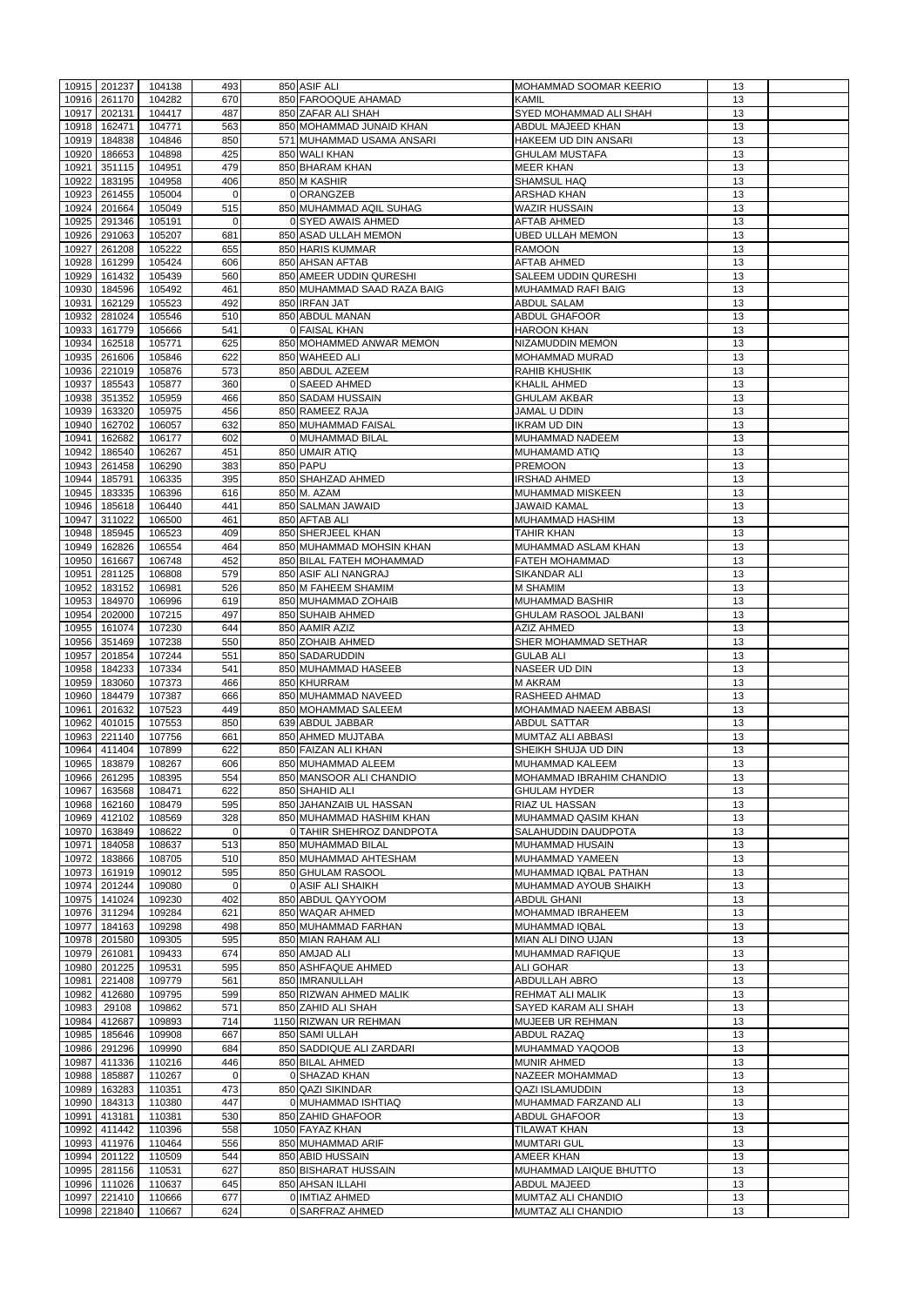|       | 10915 201237 | 104138 | 493         | 850 ASIF ALI                | MOHAMMAD SOOMAR KEERIO          | 13 |  |
|-------|--------------|--------|-------------|-----------------------------|---------------------------------|----|--|
|       |              |        |             |                             |                                 |    |  |
| 10916 | 261170       | 104282 | 670         | 850 FAROOQUE AHAMAD         | <b>KAMIL</b>                    | 13 |  |
| 10917 | 202131       | 104417 | 487         | 850 ZAFAR ALI SHAH          | <b>SYED MOHAMMAD ALI SHAH</b>   | 13 |  |
| 10918 | 162471       | 104771 | 563         | 850 MOHAMMAD JUNAID KHAN    | ABDUL MAJEED KHAN               | 13 |  |
| 10919 | 184838       | 104846 | 850         | 571 MUHAMMAD USAMA ANSARI   | <b>HAKEEM UD DIN ANSARI</b>     | 13 |  |
| 10920 | 186653       | 104898 | 425         | 850 WALI KHAN               | <b>GHULAM MUSTAFA</b>           | 13 |  |
| 10921 | 351115       | 104951 | 479         | 850 BHARAM KHAN             | <b>MEER KHAN</b>                | 13 |  |
| 10922 | 183195       | 104958 | 406         | 850 M KASHIR                | <b>SHAMSUL HAQ</b>              | 13 |  |
| 10923 | 261455       | 105004 | $\Omega$    | 0 ORANGZEB                  | <b>ARSHAD KHAN</b>              | 13 |  |
| 10924 | 201664       | 105049 | 515         | 850 MUHAMMAD AQIL SUHAG     | <b>WAZIR HUSSAIN</b>            | 13 |  |
|       |              |        |             |                             |                                 |    |  |
| 10925 | 291346       | 105191 | $\Omega$    | 0 SYED AWAIS AHMED          | <b>AFTAB AHMED</b>              | 13 |  |
| 10926 | 291063       | 105207 | 681         | 850 ASAD ULLAH MEMON        | <b>UBED ULLAH MEMON</b>         | 13 |  |
| 10927 | 261208       | 105222 | 655         | 850 HARIS KUMMAR            | <b>RAMOON</b>                   | 13 |  |
| 10928 | 161299       | 105424 | 606         | 850 AHSAN AFTAB             | <b>AFTAB AHMED</b>              | 13 |  |
| 10929 | 161432       | 105439 | 560         | 850 AMEER UDDIN QURESHI     | <b>SALEEM UDDIN QURESHI</b>     | 13 |  |
| 10930 | 184596       | 105492 | 461         | 850 MUHAMMAD SAAD RAZA BAIG | MUHAMMAD RAFI BAIG              | 13 |  |
| 10931 | 162129       | 105523 | 492         | 850 IRFAN JAT               | ABDUL SALAM                     | 13 |  |
|       |              |        |             |                             |                                 |    |  |
| 10932 | 281024       | 105546 | 510         | 850 ABDUL MANAN             | <b>ABDUL GHAFOOR</b>            | 13 |  |
| 10933 | 161779       | 105666 | 541         | 0 FAISAL KHAN               | <b>HAROON KHAN</b>              | 13 |  |
| 10934 | 162518       | 105771 | 625         | 850 MOHAMMED ANWAR MEMON    | <b>NIZAMUDDIN MEMON</b>         | 13 |  |
| 10935 | 261606       | 105846 | 622         | 850 WAHEED ALI              | <b>MOHAMMAD MURAD</b>           | 13 |  |
| 10936 | 221019       | 105876 | 573         | 850 ABDUL AZEEM             | <b>RAHIB KHUSHIK</b>            | 13 |  |
| 10937 | 185543       | 105877 | 360         | 0 SAEED AHMED               | <b>KHALIL AHMED</b>             | 13 |  |
|       |              |        |             |                             |                                 |    |  |
| 10938 | 351352       | 105959 | 466         | 850 SADAM HUSSAIN           | <b>GHULAM AKBAR</b>             | 13 |  |
| 10939 | 163320       | 105975 | 456         | 850 RAMEEZ RAJA             | JAMAL U DDIN                    | 13 |  |
| 10940 | 162702       | 106057 | 632         | 850 MUHAMMAD FAISAL         | <b>IKRAM UD DIN</b>             | 13 |  |
| 10941 | 162682       | 106177 | 602         | 0 MUHAMMAD BILAL            | MUHAMMAD NADEEM                 | 13 |  |
| 10942 | 186540       | 106267 | 451         | 850 UMAIR ATIQ              | <b>MUHAMAMD ATIQ</b>            | 13 |  |
| 10943 | 261458       | 106290 | 383         | 850 PAPU                    | <b>PREMOON</b>                  | 13 |  |
| 10944 | 185791       | 106335 | 395         | 850 SHAHZAD AHMED           | <b>IRSHAD AHMED</b>             | 13 |  |
|       |              |        |             |                             |                                 |    |  |
| 10945 | 183335       | 106396 | 616         | 850 M. AZAM                 | <b>MUHAMMAD MISKEEN</b>         | 13 |  |
| 10946 | 185618       | 106440 | 441         | 850 SALMAN JAWAID           | <b>JAWAID KAMAL</b>             | 13 |  |
| 10947 | 311022       | 106500 | 461         | 850 AFTAB ALI               | MUHAMMAD HASHIM                 | 13 |  |
| 10948 | 185945       | 106523 | 409         | 850 SHERJEEL KHAN           | <b>TAHIR KHAN</b>               | 13 |  |
| 10949 | 162826       | 106554 | 464         | 850 MUHAMMAD MOHSIN KHAN    | MUHAMMAD ASLAM KHAN             | 13 |  |
|       | 10950 161667 | 106748 | 452         | 850 BILAL FATEH MOHAMMAD    | <b>FATEH MOHAMMAD</b>           | 13 |  |
|       | 281125       |        |             |                             |                                 |    |  |
| 10951 |              | 106808 | 579         | 850 ASIF ALI NANGRAJ        | <b>SIKANDAR ALI</b>             | 13 |  |
| 10952 | 183152       | 106981 | 526         | 850 M FAHEEM SHAMIM         | M SHAMIM                        | 13 |  |
| 10953 | 184970       | 106996 | 619         | 850 MUHAMMAD ZOHAIB         | <b>MUHAMMAD BASHIR</b>          | 13 |  |
| 10954 | 202000       | 107215 | 497         | 850 SUHAIB AHMED            | <b>GHULAM RASOOL JALBANI</b>    | 13 |  |
| 10955 | 161074       | 107230 | 644         | 850 AAMIR AZIZ              | AZIZ AHMED                      | 13 |  |
| 10956 | 351469       | 107238 | 550         | 850 ZOHAIB AHMED            | SHER MOHAMMAD SETHAR            | 13 |  |
| 10957 | 201854       | 107244 | 551         | 850 SADARUDDIN              | <b>GULAB ALI</b>                | 13 |  |
|       |              |        |             |                             |                                 |    |  |
| 10958 | 184233       | 107334 | 541         | 850 MUHAMMAD HASEEB         | NASEER UD DIN                   | 13 |  |
| 10959 | 183060       | 107373 | 466         | 850 KHURRAM                 | <b>M AKRAM</b>                  | 13 |  |
| 10960 | 184479       | 107387 | 666         | 850 MUHAMMAD NAVEED         | <b>RASHEED AHMAD</b>            | 13 |  |
| 10961 | 201632       | 107523 | 449         | 850 MOHAMMAD SALEEM         | <b>MOHAMMAD NAEEM ABBASI</b>    | 13 |  |
| 10962 | 401015       | 107553 | 850         | 639 ABDUL JABBAR            | <b>ABDUL SATTAR</b>             | 13 |  |
| 10963 | 221140       | 107756 | 661         | 850 AHMED MUJTABA           | MUMTAZ ALI ABBASI               | 13 |  |
| 10964 | 411404       | 107899 | 622         | 850 FAIZAN ALI KHAN         | SHEIKH SHUJA UD DIN             | 13 |  |
|       |              |        |             |                             |                                 |    |  |
| 10965 | 183879       | 108267 | 606         | 850 MUHAMMAD ALEEM          | <b>MUHAMMAD KALEEM</b>          | 13 |  |
| 10966 | 261295       | 108395 | 554         | 850 MANSOOR ALI CHANDIO     | <b>MOHAMMAD IBRAHIM CHANDIO</b> | 13 |  |
| 10967 | 163568       | 108471 | 622         | 850 SHAHID ALI              | <b>GHULAM HYDER</b>             | 13 |  |
| 10968 | 162160       | 108479 | 595         | 850 JAHANZAIB UL HASSAN     | <b>RIAZ UL HASSAN</b>           | 13 |  |
| 10969 | 412102       | 108569 | 328         | 850 MUHAMMAD HASHIM KHAN    | MUHAMMAD QASIM KHAN             | 13 |  |
| 10970 | 163849       | 108622 | $\mathbf 0$ | 0 TAHIR SHEHROZ DANDPOTA    | SALAHUDDIN DAUDPOTA             | 13 |  |
| 10971 | 184058       | 108637 | 513         | 850 MUHAMMAD BILAL          | MUHAMMAD HUSAIN                 | 13 |  |
| 10972 | 183866       | 108705 | 510         | 850 MUHAMMAD AHTESHAM       | MUHAMMAD YAMEEN                 | 13 |  |
|       |              |        |             |                             |                                 |    |  |
| 10973 | 161919       | 109012 | 595         | 850 GHULAM RASOOL           | MUHAMMAD IQBAL PATHAN           | 13 |  |
| 10974 | 201244       | 109080 | $\Omega$    | 0 ASIF ALI SHAIKH           | <b>MUHAMMAD AYOUB SHAIKH</b>    | 13 |  |
| 10975 | 141024       | 109230 | 402         | 850 ABDUL QAYYOOM           | <b>ABDUL GHANI</b>              | 13 |  |
|       | 10976 311294 | 109284 | 621         | 850 WAQAR AHMED             | <b>MOHAMMAD IBRAHEEM</b>        | 13 |  |
| 10977 | 184163       | 109298 | 498         | 850 MUHAMMAD FARHAN         | <b>MUHAMMAD IQBAL</b>           | 13 |  |
| 10978 | 201580       | 109305 | 595         | 850 MIAN RAHAM ALI          | <b>MIAN ALI DINO UJAN</b>       | 13 |  |
| 10979 | 261081       | 109433 | 674         | 850 AMJAD ALI               | MUHAMMAD RAFIQUE                | 13 |  |
|       |              |        |             |                             |                                 | 13 |  |
| 10980 | 201225       | 109531 | 595         | 850 ASHFAQUE AHMED          | <b>ALI GOHAR</b>                |    |  |
| 10981 | 221408       | 109779 | 561         | 850 IMRANULLAH              | ABDULLAH ABRO                   | 13 |  |
| 10982 | 412680       | 109795 | 599         | 850 RIZWAN AHMED MALIK      | <b>REHMAT ALI MALIK</b>         | 13 |  |
| 10983 | 29108        | 109862 | 571         | 850 ZAHID ALI SHAH          | SAYED KARAM ALI SHAH            | 13 |  |
| 10984 | 412687       | 109893 | 714         | 1150 RIZWAN UR REHMAN       | <b>MUJEEB UR REHMAN</b>         | 13 |  |
| 10985 | 185646       | 109908 | 667         | 850 SAMI ULLAH              | ABDUL RAZAQ                     | 13 |  |
| 10986 | 291296       | 109990 | 684         | 850 SADDIQUE ALI ZARDARI    | MUHAMMAD YAQOOB                 | 13 |  |
|       |              |        |             |                             |                                 |    |  |
|       | 10987 411336 | 110216 | 446         | 850 BILAL AHMED             | <b>MUNIR AHMED</b>              | 13 |  |
| 10988 | 185887       | 110267 | $\Omega$    | 0 SHAZAD KHAN               | NAZEER MOHAMMAD                 | 13 |  |
|       | 10989 163283 | 110351 | 473         | 850 QAZI SIKINDAR           | QAZI ISLAMUDDIN                 | 13 |  |
| 10990 | 184313       | 110380 | 447         | 0 MUHAMMAD ISHTIAQ          | MUHAMMAD FARZAND ALI            | 13 |  |
| 10991 | 413181       | 110381 | 530         | 850 ZAHID GHAFOOR           | <b>ABDUL GHAFOOR</b>            | 13 |  |
| 10992 | 411442       | 110396 | 558         | 1050 FAYAZ KHAN             | <b>TILAWAT KHAN</b>             | 13 |  |
| 10993 | 411976       | 110464 | 556         | 850 MUHAMMAD ARIF           | <b>MUMTARI GUL</b>              | 13 |  |
|       |              |        |             |                             |                                 |    |  |
| 10994 | 201122       | 110509 | 544         | 850 ABID HUSSAIN            | <b>AMEER KHAN</b>               | 13 |  |
| 10995 | 281156       | 110531 | 627         | 850 BISHARAT HUSSAIN        | MUHAMMAD LAIQUE BHUTTO          | 13 |  |
| 10996 | 111026       | 110637 | 645         | 850 AHSAN ILLAHI            | <b>ABDUL MAJEED</b>             | 13 |  |
| 10997 | 221410       | 110666 | 677         | 0 IMTIAZ AHMED              | MUMTAZ ALI CHANDIO              | 13 |  |
| 10998 | 221840       | 110667 | 624         | 0 SARFRAZ AHMED             | MUMTAZ ALI CHANDIO              | 13 |  |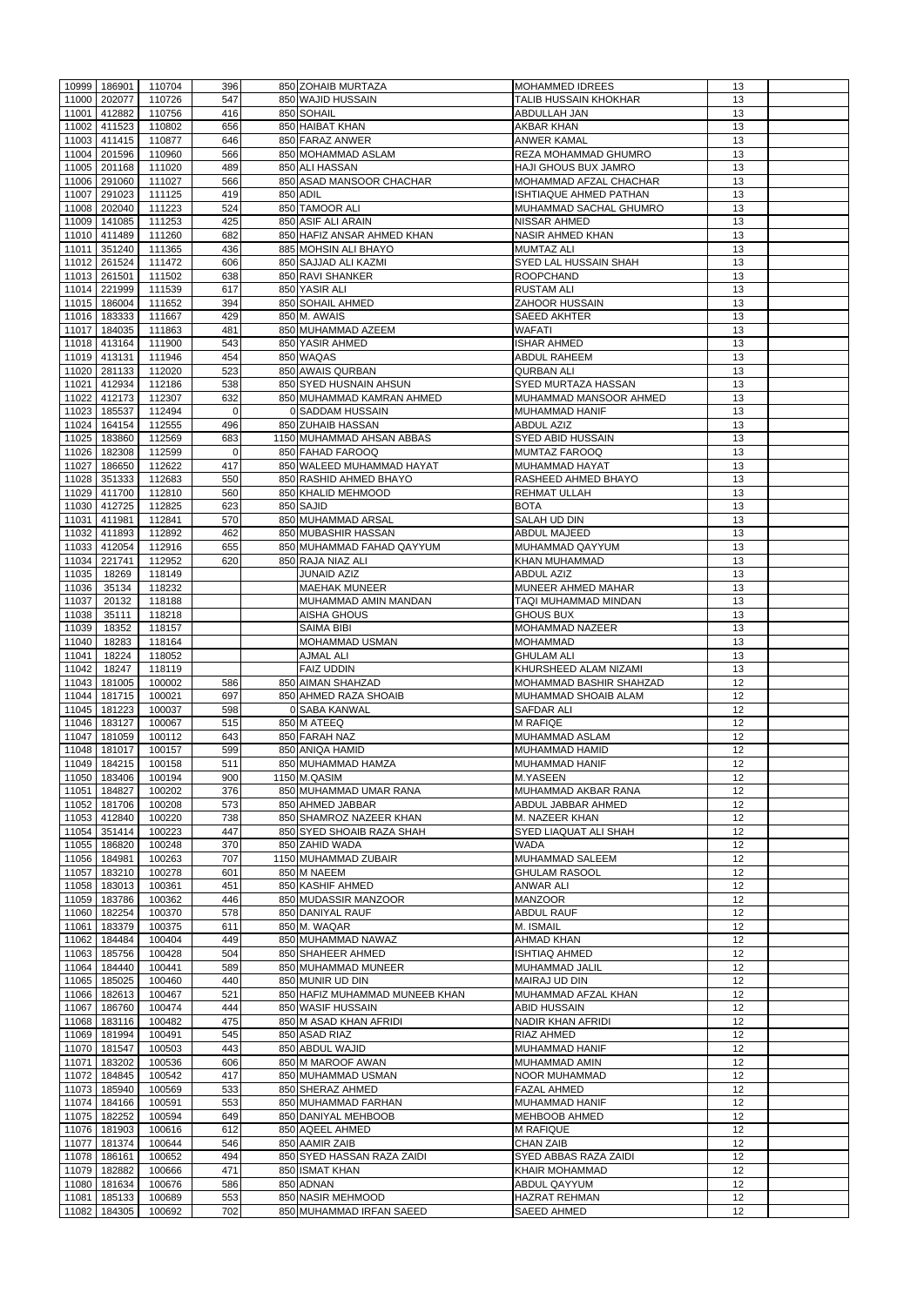| 10999 |              |        |          |                                |                                |    |  |
|-------|--------------|--------|----------|--------------------------------|--------------------------------|----|--|
|       | 186901       | 110704 | 396      | 850 ZOHAIB MURTAZA             | <b>MOHAMMED IDREES</b>         | 13 |  |
| 11000 | 202077       | 110726 | 547      | 850 WAJID HUSSAIN              | <b>TALIB HUSSAIN KHOKHAR</b>   | 13 |  |
| 11001 | 412882       | 110756 | 416      | 850 SOHAIL                     | <b>ABDULLAH JAN</b>            | 13 |  |
| 11002 | 411523       | 110802 | 656      | 850 HAIBAT KHAN                | <b>AKBAR KHAN</b>              | 13 |  |
|       |              |        |          |                                |                                |    |  |
| 11003 | 411415       | 110877 | 646      | 850 FARAZ ANWER                | <b>ANWER KAMAL</b>             | 13 |  |
| 11004 | 201596       | 110960 | 566      | 850 MOHAMMAD ASLAM             | REZA MOHAMMAD GHUMRO           | 13 |  |
| 11005 | 201168       | 111020 | 489      | 850 ALI HASSAN                 | <b>HAJI GHOUS BUX JAMRO</b>    | 13 |  |
|       |              |        |          |                                |                                |    |  |
| 11006 | 291060       | 111027 | 566      | 850 ASAD MANSOOR CHACHAR       | MOHAMMAD AFZAL CHACHAR         | 13 |  |
| 11007 | 291023       | 111125 | 419      | 850 ADIL                       | ISHTIAQUE AHMED PATHAN         | 13 |  |
|       | 11008 202040 | 111223 | 524      | 850 TAMOOR ALI                 | MUHAMMAD SACHAL GHUMRO         | 13 |  |
|       |              |        |          |                                |                                |    |  |
| 11009 | 141085       | 111253 | 425      | 850 ASIF ALI ARAIN             | <b>NISSAR AHMED</b>            | 13 |  |
| 11010 | 411489       | 111260 | 682      | 850 HAFIZ ANSAR AHMED KHAN     | <b>NASIR AHMED KHAN</b>        | 13 |  |
| 11011 | 351240       | 111365 | 436      | 885 MOHSIN ALI BHAYO           | <b>MUMTAZ ALI</b>              | 13 |  |
|       |              |        |          |                                |                                |    |  |
| 11012 | 261524       | 111472 | 606      | 850 SAJJAD ALI KAZMI           | <b>SYED LAL HUSSAIN SHAH</b>   | 13 |  |
| 11013 | 261501       | 111502 | 638      | 850 RAVI SHANKER               | <b>ROOPCHAND</b>               | 13 |  |
| 11014 | 221999       | 111539 | 617      | 850 YASIR ALI                  | <b>RUSTAM ALI</b>              | 13 |  |
|       |              |        |          |                                |                                |    |  |
| 11015 | 186004       | 111652 | 394      | 850 SOHAIL AHMED               | <b>ZAHOOR HUSSAIN</b>          | 13 |  |
| 11016 | 183333       | 111667 | 429      | 850 M. AWAIS                   | <b>SAEED AKHTER</b>            | 13 |  |
| 11017 | 184035       | 111863 | 481      | 850 MUHAMMAD AZEEM             | <b>WAFATI</b>                  | 13 |  |
|       |              |        |          |                                |                                |    |  |
| 11018 | 413164       | 111900 | 543      | 850 YASIR AHMED                | <b>ISHAR AHMED</b>             | 13 |  |
| 11019 | 413131       | 111946 | 454      | 850 WAQAS                      | <b>ABDUL RAHEEM</b>            | 13 |  |
| 11020 | 281133       | 112020 | 523      | 850 AWAIS QURBAN               | <b>QURBAN ALI</b>              | 13 |  |
|       |              |        |          |                                |                                |    |  |
| 11021 | 412934       | 112186 | 538      | 850 SYED HUSNAIN AHSUN         | SYED MURTAZA HASSAN            | 13 |  |
| 11022 | 412173       | 112307 | 632      | 850 MUHAMMAD KAMRAN AHMED      | MUHAMMAD MANSOOR AHMED         | 13 |  |
| 11023 | 185537       | 112494 | $\Omega$ | 0 SADDAM HUSSAIN               | MUHAMMAD HANIF                 | 13 |  |
|       |              |        |          |                                |                                |    |  |
| 11024 | 164154       | 112555 | 496      | 850 ZUHAIB HASSAN              | <b>ABDUL AZIZ</b>              | 13 |  |
| 11025 | 183860       | 112569 | 683      | 1150 MUHAMMAD AHSAN ABBAS      | <b>SYED ABID HUSSAIN</b>       | 13 |  |
|       |              | 112599 | $\Omega$ |                                |                                |    |  |
| 11026 | 182308       |        |          | 850 FAHAD FAROOQ               | <b>MUMTAZ FAROOQ</b>           | 13 |  |
| 11027 | 186650       | 112622 | 417      | 850 WALEED MUHAMMAD HAYAT      | MUHAMMAD HAYAT                 | 13 |  |
| 11028 | 351333       | 112683 | 550      | 850 RASHID AHMED BHAYO         | <b>RASHEED AHMED BHAYO</b>     | 13 |  |
|       |              |        |          |                                |                                |    |  |
| 11029 | 411700       | 112810 | 560      | 850 KHALID MEHMOOD             | <b>REHMAT ULLAH</b>            | 13 |  |
| 11030 | 412725       | 112825 | 623      | 850 SAJID                      | <b>BOTA</b>                    | 13 |  |
| 11031 | 411981       | 112841 | 570      | 850 MUHAMMAD ARSAL             | <b>SALAH UD DIN</b>            | 13 |  |
|       |              |        |          |                                |                                |    |  |
| 11032 | 411893       | 112892 | 462      | 850 MUBASHIR HASSAN            | <b>ABDUL MAJEED</b>            | 13 |  |
| 11033 | 412054       | 112916 | 655      | 850 MUHAMMAD FAHAD QAYYUM      | MUHAMMAD QAYYUM                | 13 |  |
|       | 11034 221741 | 112952 | 620      | 850 RAJA NIAZ ALI              | <b>KHAN MUHAMMAD</b>           | 13 |  |
|       |              |        |          |                                |                                |    |  |
| 11035 | 18269        | 118149 |          | <b>JUNAID AZIZ</b>             | <b>ABDUL AZIZ</b>              | 13 |  |
| 11036 | 35134        | 118232 |          | <b>MAEHAK MUNEER</b>           | MUNEER AHMED MAHAR             | 13 |  |
| 11037 | 20132        | 118188 |          | MUHAMMAD AMIN MANDAN           | TAQI MUHAMMAD MINDAN           | 13 |  |
|       |              |        |          |                                |                                |    |  |
| 11038 | 35111        | 118218 |          | <b>AISHA GHOUS</b>             | <b>GHOUS BUX</b>               | 13 |  |
| 11039 | 18352        | 118157 |          | <b>SAIMA BIBI</b>              | <b>MOHAMMAD NAZEER</b>         | 13 |  |
| 11040 | 18283        | 118164 |          | MOHAMMAD USMAN                 | <b>MOHAMMAD</b>                | 13 |  |
|       |              |        |          |                                |                                |    |  |
| 11041 | 18224        | 118052 |          | <b>AJMAL ALI</b>               | <b>GHULAM ALI</b>              | 13 |  |
| 11042 | 18247        | 118119 |          | <b>FAIZ UDDIN</b>              | KHURSHEED ALAM NIZAMI          | 13 |  |
| 11043 | 181005       | 100002 | 586      | 850 AIMAN SHAHZAD              | <b>MOHAMMAD BASHIR SHAHZAD</b> | 12 |  |
|       |              |        |          |                                |                                |    |  |
|       |              |        |          |                                |                                |    |  |
| 11044 | 181715       | 100021 | 697      | 850 AHMED RAZA SHOAIB          | MUHAMMAD SHOAIB ALAM           | 12 |  |
| 11045 | 181223       | 100037 | 598      | 0 SABA KANWAL                  | <b>SAFDAR ALI</b>              | 12 |  |
|       |              |        |          |                                |                                |    |  |
| 11046 | 183127       | 100067 | 515      | 850 M ATEEQ                    | <b>M RAFIQE</b>                | 12 |  |
| 11047 | 181059       | 100112 | 643      | 850 FARAH NAZ                  | MUHAMMAD ASLAM                 | 12 |  |
| 11048 | 181017       | 100157 | 599      | 850 ANIQA HAMID                | MUHAMMAD HAMID                 | 12 |  |
|       |              |        |          |                                |                                |    |  |
| 11049 | 184215       | 100158 | 511      | 850 MUHAMMAD HAMZA             | MUHAMMAD HANIF                 | 12 |  |
| 11050 | 183406       | 100194 | 900      | 1150 M.QASIM                   | M.YASEEN                       | 12 |  |
| 11051 | 184827       | 100202 | 376      | 850 MUHAMMAD UMAR RANA         | MUHAMMAD AKBAR RANA            | 12 |  |
|       |              |        |          |                                |                                |    |  |
| 11052 | 181706       | 100208 | 573      | 850 AHMED JABBAR               | ABDUL JABBAR AHMED             | 12 |  |
| 11053 | 412840       | 100220 | 738      | 850 SHAMROZ NAZEER KHAN        | M. NAZEER KHAN                 | 12 |  |
| 11054 | 351414       | 100223 | 447      | 850 SYED SHOAIB RAZA SHAH      | SYED LIAQUAT ALI SHAH          | 12 |  |
|       |              |        |          |                                |                                |    |  |
| 11055 | 186820       | 100248 | 370      | 850 ZAHID WADA                 | <b>WADA</b>                    | 12 |  |
| 11056 | 184981       | 100263 | 707      | 1150 MUHAMMAD ZUBAIR           | <b>MUHAMMAD SALEEM</b>         | 12 |  |
| 11057 | 183210       | 100278 | 601      | 850 M NAEEM                    | <b>GHULAM RASOOL</b>           | 12 |  |
|       |              |        |          |                                |                                |    |  |
| 11058 | 183013       | 100361 | 451      | 850 KASHIF AHMED               | <b>ANWAR ALI</b>               | 12 |  |
| 11059 | 183786       | 100362 | 446      | 850 MUDASSIR MANZOOR           | <b>MANZOOR</b>                 | 12 |  |
| 11060 | 182254       | 100370 | 578      | 850 DANIYAL RAUF               | <b>ABDUL RAUF</b>              | 12 |  |
|       |              |        |          |                                |                                |    |  |
| 11061 | 183379       | 100375 | 611      | 850 M. WAQAR                   | M. ISMAIL                      | 12 |  |
| 11062 | 184484       | 100404 | 449      | 850 MUHAMMAD NAWAZ             | <b>AHMAD KHAN</b>              | 12 |  |
| 11063 | 185756       | 100428 | 504      | 850 SHAHEER AHMED              | <b>ISHTIAQ AHMED</b>           | 12 |  |
| 11064 | 184440       | 100441 | 589      | 850 MUHAMMAD MUNEER            | MUHAMMAD JALIL                 | 12 |  |
|       |              |        |          |                                |                                |    |  |
| 11065 | 185025       | 100460 | 440      | 850 MUNIR UD DIN               | MAIRAJ UD DIN                  | 12 |  |
| 11066 | 182613       | 100467 | 521      | 850 HAFIZ MUHAMMAD MUNEEB KHAN | MUHAMMAD AFZAL KHAN            | 12 |  |
|       |              |        |          |                                |                                | 12 |  |
| 11067 | 186760       | 100474 | 444      | 850 WASIF HUSSAIN              | <b>ABID HUSSAIN</b>            |    |  |
| 11068 | 183116       | 100482 | 475      | 850 M ASAD KHAN AFRIDI         | <b>NADIR KHAN AFRIDI</b>       | 12 |  |
| 11069 | 181994       | 100491 | 545      | 850 ASAD RIAZ                  | RIAZ AHMED                     | 12 |  |
|       |              |        |          |                                |                                |    |  |
| 11070 | 181547       | 100503 | 443      | 850 ABDUL WAJID                | <b>MUHAMMAD HANIF</b>          | 12 |  |
|       | 11071 183202 | 100536 | 606      | 850 M MAROOF AWAN              | MUHAMMAD AMIN                  | 12 |  |
|       | 11072 184845 | 100542 | 417      | 850 MUHAMMAD USMAN             | <b>NOOR MUHAMMAD</b>           | 12 |  |
|       |              |        |          |                                |                                |    |  |
|       | 11073 185940 | 100569 | 533      | 850 SHERAZ AHMED               | IFAZAL AHMED                   | 12 |  |
| 11074 | 184166       | 100591 | 553      | 850 MUHAMMAD FARHAN            | MUHAMMAD HANIF                 | 12 |  |
|       | 11075 182252 | 100594 | 649      | 850 DANIYAL MEHBOOB            | <b>MEHBOOB AHMED</b>           | 12 |  |
|       |              |        |          |                                |                                |    |  |
| 11076 | 181903       | 100616 | 612      | 850 AQEEL AHMED                | <b>M RAFIQUE</b>               | 12 |  |
| 11077 | 181374       | 100644 | 546      | 850 AAMIR ZAIB                 | <b>CHAN ZAIB</b>               | 12 |  |
| 11078 | 186161       | 100652 | 494      | 850 SYED HASSAN RAZA ZAIDI     | <b>SYED ABBAS RAZA ZAIDI</b>   | 12 |  |
|       |              |        |          |                                |                                |    |  |
| 11079 | 182882       | 100666 | 471      | 850 ISMAT KHAN                 | <b>KHAIR MOHAMMAD</b>          | 12 |  |
| 11080 | 181634       | 100676 | 586      | 850 ADNAN                      | ABDUL QAYYUM                   | 12 |  |
| 11081 | 185133       | 100689 | 553      | 850 NASIR MEHMOOD              | <b>HAZRAT REHMAN</b>           | 12 |  |
| 11082 | 184305       | 100692 | 702      | 850 MUHAMMAD IRFAN SAEED       | <b>SAEED AHMED</b>             | 12 |  |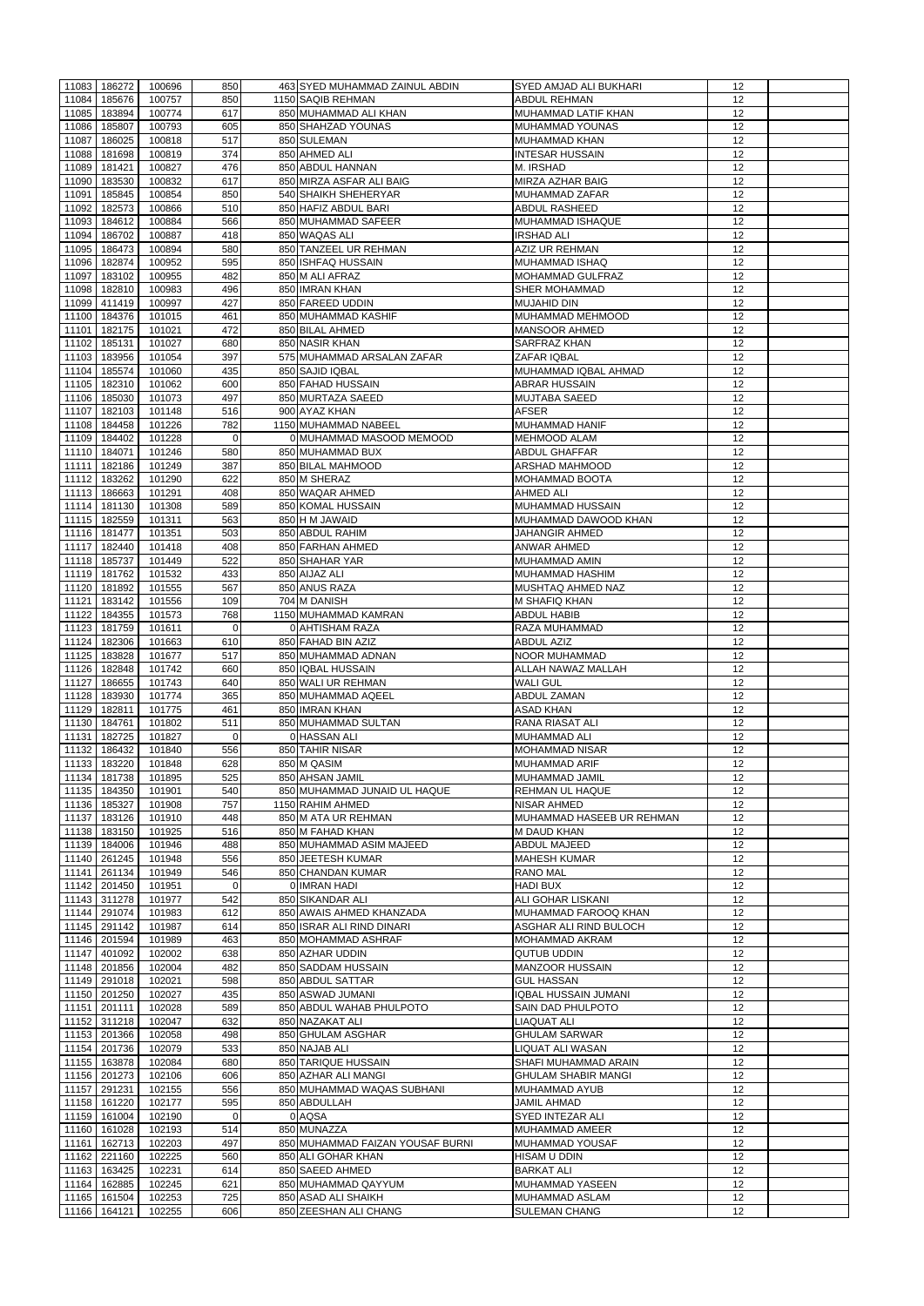|                | 11083 186272     | 100696           | 850        | 463 SYED MUHAMMAD ZAINUL ABDIN     | <b>SYED AMJAD ALI BUKHARI</b>                  | 12       |  |
|----------------|------------------|------------------|------------|------------------------------------|------------------------------------------------|----------|--|
| 11084          | 185676           |                  | 850        |                                    |                                                | 12       |  |
| 11085          | 183894           | 100757           |            | 1150 SAQIB REHMAN                  | <b>ABDUL REHMAN</b>                            |          |  |
|                |                  | 100774           | 617        | 850 MUHAMMAD ALI KHAN              | MUHAMMAD LATIF KHAN                            | 12       |  |
| 11086          | 185807           | 100793           | 605        | 850 SHAHZAD YOUNAS                 | MUHAMMAD YOUNAS                                | 12       |  |
| 11087<br>11088 | 186025<br>181698 | 100818           | 517<br>374 | 850 SULEMAN<br>850 AHMED ALI       | <b>MUHAMMAD KHAN</b><br><b>INTESAR HUSSAIN</b> | 12<br>12 |  |
|                |                  | 100819           |            |                                    |                                                |          |  |
| 11089          | 181421           | 100827<br>100832 | 476<br>617 | 850 ABDUL HANNAN                   | <b>M. IRSHAD</b><br>MIRZA AZHAR BAIG           | 12<br>12 |  |
| 11090          | 183530           |                  |            | 850 MIRZA ASFAR ALI BAIG           |                                                |          |  |
|                | 11091 185845     | 100854           | 850        | 540 SHAIKH SHEHERYAR               | <b>MUHAMMAD ZAFAR</b>                          | 12       |  |
|                | 11092 182573     | 100866           | 510        | 850 HAFIZ ABDUL BARI               | ABDUL RASHEED                                  | 12       |  |
|                | 11093 184612     | 100884           | 566        | 850 MUHAMMAD SAFEER                | MUHAMMAD ISHAQUE                               | 12       |  |
| 11094          | 186702           | 100887           | 418        | 850 WAQAS ALI                      | <b>IRSHAD ALI</b>                              | 12       |  |
| 11095          | 186473           | 100894           | 580        | 850 TANZEEL UR REHMAN              | <b>AZIZ UR REHMAN</b>                          | 12       |  |
| 11096          | 182874           | 100952           | 595        | 850 ISHFAQ HUSSAIN                 | <b>MUHAMMAD ISHAQ</b>                          | 12       |  |
| 11097          | 183102           | 100955           | 482        | 850 M ALI AFRAZ                    | <b>MOHAMMAD GULFRAZ</b>                        | 12       |  |
|                | 11098 182810     | 100983           | 496<br>427 | 850 IMRAN KHAN<br>850 FAREED UDDIN | <b>SHER MOHAMMAD</b>                           | 12       |  |
|                | 11099 411419     | 100997           |            |                                    | IMUJAHID DIN                                   | 12       |  |
|                | 11100 184376     | 101015           | 461        | 850 MUHAMMAD KASHIF                | MUHAMMAD MEHMOOD                               | 12       |  |
| 11101          | 182175           | 101021           | 472        | 850 BILAL AHMED                    | <b>MANSOOR AHMED</b>                           | 12       |  |
|                | 11102 185131     | 101027           | 680        | 850 NASIR KHAN                     | <b>SARFRAZ KHAN</b>                            | 12       |  |
| 11103          | 183956           | 101054           | 397        | 575 MUHAMMAD ARSALAN ZAFAR         | ZAFAR IQBAL                                    | 12       |  |
| 11104          | 185574           | 101060           | 435        | 850 SAJID IQBAL                    | MUHAMMAD IQBAL AHMAD                           | 12       |  |
|                | 11105 182310     | 101062           | 600        | 850 FAHAD HUSSAIN                  | <b>ABRAR HUSSAIN</b>                           | 12       |  |
|                | 11106 185030     | 101073           | 497        | 850 MURTAZA SAEED                  | <b>MUJTABA SAEED</b>                           | 12       |  |
| 11107          | 182103           | 101148           | 516        | 900 AYAZ KHAN                      | <b>AFSER</b>                                   | 12       |  |
|                | 11108 184458     | 101226           | 782        | 1150 MUHAMMAD NABEEL               | <b>MUHAMMAD HANIF</b>                          | 12       |  |
|                | 11109 184402     | 101228           | $\Omega$   | 0 MUHAMMAD MASOOD MEMOOD           | MEHMOOD ALAM                                   | 12       |  |
| 11110          | 184071           | 101246           | 580        | 850 MUHAMMAD BUX                   | <b>ABDUL GHAFFAR</b>                           | 12       |  |
| 11111          | 182186           | 101249           | 387        | 850 BILAL MAHMOOD                  | <b>ARSHAD MAHMOOD</b>                          | 12       |  |
| 11112          | 183262           | 101290           | 622        | 850 M SHERAZ                       | <b>MOHAMMAD BOOTA</b>                          | 12       |  |
| 11113          | 186663           | 101291           | 408        | 850 WAQAR AHMED                    | <b>AHMED ALI</b>                               | 12       |  |
| 11114          | 181130           | 101308           | 589        | 850 KOMAL HUSSAIN                  | MUHAMMAD HUSSAIN                               | 12       |  |
| 11115          | 182559           | 101311           | 563        | 850 H M JAWAID                     | MUHAMMAD DAWOOD KHAN                           | 12       |  |
|                | 11116 181477     | 101351           | 503        | 850 ABDUL RAHIM                    | <b>JAHANGIR AHMED</b>                          | 12       |  |
| 11117          | 182440           | 101418           | 408        | 850 FARHAN AHMED                   | <b>ANWAR AHMED</b>                             | 12       |  |
|                | 11118 185737     | 101449           | 522        | 850 SHAHAR YAR                     | <b>MUHAMMAD AMIN</b>                           | 12       |  |
|                | 11119 181762     | 101532           | 433        | 850 AIJAZ ALI                      | <b>MUHAMMAD HASHIM</b>                         | 12       |  |
| 11120          | 181892           | 101555           | 567        | 850 ANUS RAZA                      | MUSHTAQ AHMED NAZ                              | 12       |  |
|                | 11121 183142     | 101556           | 109        | 704 M DANISH                       | M SHAFIQ KHAN                                  | 12       |  |
| 11122          | 184355           | 101573           | 768        | 1150 MUHAMMAD KAMRAN               | <b>ABDUL HABIB</b>                             | 12       |  |
|                | 11123 181759     | 101611           | $\Omega$   | 0 AHTISHAM RAZA                    | RAZA MUHAMMAD                                  | 12       |  |
|                | 11124 182306     | 101663           | 610        | 850 FAHAD BIN AZIZ                 | ABDUL AZIZ                                     | 12       |  |
|                | 11125 183828     | 101677           | 517        | 850 MUHAMMAD ADNAN                 | <b>NOOR MUHAMMAD</b>                           | 12       |  |
|                |                  |                  |            |                                    |                                                |          |  |
|                | 11126 182848     | 101742           | 660        | 850 IQBAL HUSSAIN                  | ALLAH NAWAZ MALLAH                             | 12       |  |
| 11127          | 186655           | 101743           | 640        | 850 WALI UR REHMAN                 | <b>WALI GUL</b>                                | 12       |  |
| 11128          | 183930           | 101774           | 365        | 850 MUHAMMAD AQEEL                 | <b>ABDUL ZAMAN</b>                             | 12       |  |
| 11129          | 182811           | 101775           | 461        | 850 IMRAN KHAN                     | <b>ASAD KHAN</b>                               | 12       |  |
| 11130          | 184761           | 101802           | 511        | 850 MUHAMMAD SULTAN                | <b>RANA RIASAT ALI</b>                         | 12       |  |
| 11131          | 182725           | 101827           | $\Omega$   | 0 HASSAN ALI                       | <b>MUHAMMAD ALI</b>                            | 12       |  |
|                | 11132 186432     | 101840           | 556        | 850 TAHIR NISAR                    | <b>MOHAMMAD NISAR</b>                          | 12       |  |
| 11133          | 183220           | 101848           | 628        | 850 M QASIM                        | <b>MUHAMMAD ARIF</b>                           | 12       |  |
| 11134          | 181738           | 101895           | 525        | 850 AHSAN JAMIL                    | MUHAMMAD JAMIL                                 | 12       |  |
| 11135          | 184350           | 101901           | 540        | 850 MUHAMMAD JUNAID UL HAQUE       | <b>REHMAN UL HAQUE</b>                         | 12       |  |
| 11136          | 185327           | 101908           | 757        | 1150 RAHIM AHMED                   | <b>NISAR AHMED</b>                             | 12       |  |
| 11137          | 183126           | 101910           | 448        | 850 M ATA UR REHMAN                | MUHAMMAD HASEEB UR REHMAN                      | 12       |  |
| 11138          | 183150           | 101925           | 516        | 850 M FAHAD KHAN                   | <b>M DAUD KHAN</b>                             | 12       |  |
| 11139          | 184006           | 101946           | 488        | 850 MUHAMMAD ASIM MAJEED           | ABDUL MAJEED                                   | 12       |  |
|                | 11140 261245     | 101948           | 556        | 850 JEETESH KUMAR                  | <b>MAHESH KUMAR</b>                            | 12       |  |
|                | 11141 261134     | 101949           | 546        | 850 CHANDAN KUMAR                  | <b>RANO MAL</b>                                | 12       |  |
|                | 11142 201450     | 101951           | $\Omega$   | 0 IMRAN HADI                       | <b>HADI BUX</b>                                | 12       |  |
|                | 11143 311278     | 101977           | 542        | 850 SIKANDAR ALI                   | ALI GOHAR LISKANI                              | 12       |  |
|                | 11144 291074     | 101983           | 612        | 850 AWAIS AHMED KHANZADA           | MUHAMMAD FAROOQ KHAN                           | 12       |  |
|                | 11145 291142     | 101987           | 614        | 850 ISRAR ALI RIND DINARI          | ASGHAR ALI RIND BULOCH                         | 12       |  |
|                | 11146 201594     | 101989           | 463        | 850 MOHAMMAD ASHRAF                | MOHAMMAD AKRAM                                 | 12       |  |
| 11147          | 401092           | 102002           | 638        | 850 AZHAR UDDIN                    | <b>QUTUB UDDIN</b>                             | 12       |  |
|                | 11148 201856     | 102004           | 482        | 850 SADDAM HUSSAIN                 | <b>MANZOOR HUSSAIN</b>                         | 12       |  |
|                | 11149 291018     | 102021           | 598        | 850 ABDUL SATTAR                   | <b>GUL HASSAN</b>                              | 12       |  |
|                | 11150 201250     | 102027           | 435        | 850 ASWAD JUMANI                   | <b>IQBAL HUSSAIN JUMANI</b>                    | 12       |  |
|                | 11151 201111     | 102028           | 589        | 850 ABDUL WAHAB PHULPOTO           | SAIN DAD PHULPOTO                              | 12       |  |
|                | 11152 311218     | 102047           | 632        | 850 NAZAKAT ALI                    | <b>LIAQUAT ALI</b>                             | 12       |  |
|                | 11153 201366     | 102058           | 498        | 850 GHULAM ASGHAR                  | <b>GHULAM SARWAR</b>                           | 12       |  |
|                | 11154 201736     | 102079           | 533        | 850 NAJAB ALI                      | LIQUAT ALI WASAN                               | 12       |  |
|                | 11155 163878     | 102084           | 680        | 850 TARIQUE HUSSAIN                | SHAFI MUHAMMAD ARAIN                           | 12       |  |
|                | 11156 201273     | 102106           | 606        | 850 AZHAR ALI MANGI                | <b>GHULAM SHABIR MANGI</b>                     | $12 \,$  |  |
|                | 11157 291231     | 102155           | 556        | 850 MUHAMMAD WAQAS SUBHANI         | MUHAMMAD AYUB                                  | 12       |  |
|                | 11158 161220     | 102177           | 595        | 850 ABDULLAH                       | <b>JAMIL AHMAD</b>                             | 12       |  |
|                | 11159 161004     | 102190           | $\Omega$   | 0 AQSA                             | <b>SYED INTEZAR ALI</b>                        | 12       |  |
|                | 11160 161028     | 102193           | 514        | 850 MUNAZZA                        | MUHAMMAD AMEER                                 | 12       |  |
| 11161          | 162713           | 102203           | 497        | 850 MUHAMMAD FAIZAN YOUSAF BURNI   | MUHAMMAD YOUSAF                                | 12       |  |
|                | 11162 221160     | 102225           | 560        | 850 ALI GOHAR KHAN                 | <b>HISAM U DDIN</b>                            | 12       |  |
| 11163          | 163425           | 102231           | 614        | 850 SAEED AHMED                    | <b>BARKAT ALI</b>                              | 12       |  |
| 11164          | 162885           | 102245           | 621        | 850 MUHAMMAD QAYYUM                | <b>MUHAMMAD YASEEN</b>                         | 12       |  |
|                | 11165 161504     | 102253           | 725        | 850 ASAD ALI SHAIKH                | <b>MUHAMMAD ASLAM</b>                          | 12       |  |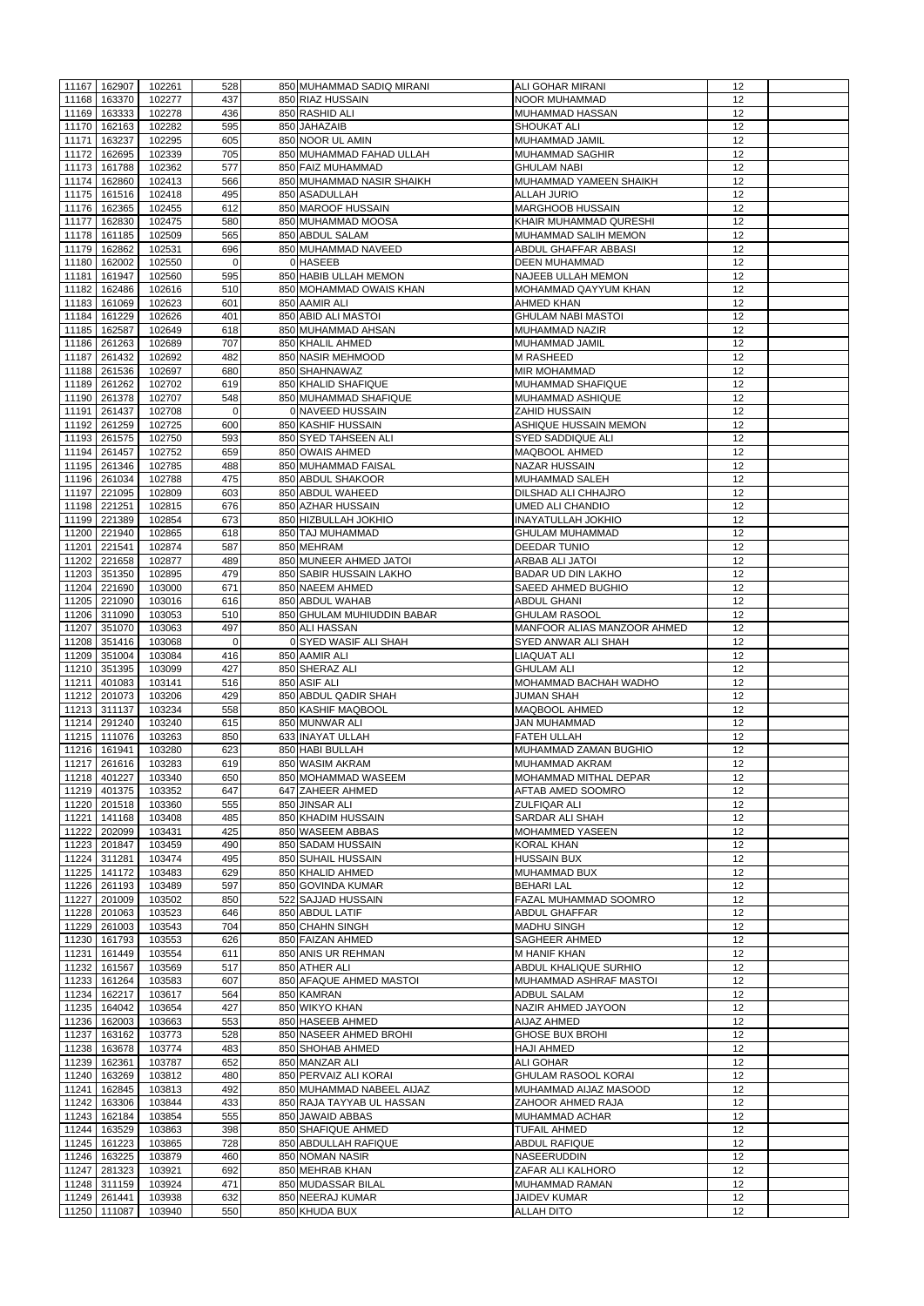|       | 11167 162907           | 102261           | 528            | 850 MUHAMMAD SADIQ MIRANI         | ALI GOHAR MIRANI                         | 12       |  |
|-------|------------------------|------------------|----------------|-----------------------------------|------------------------------------------|----------|--|
|       |                        |                  |                |                                   |                                          |          |  |
|       | 11168 163370           | 102277           | 437            | 850 RIAZ HUSSAIN                  | <b>NOOR MUHAMMAD</b>                     | 12       |  |
| 11169 | 163333                 | 102278           | 436            | 850 RASHID ALI                    | MUHAMMAD HASSAN                          | 12       |  |
| 11170 | 162163                 | 102282           | 595            | 850 JAHAZAIB                      | <b>SHOUKAT ALI</b>                       | 12       |  |
| 11171 | 163237                 | 102295           | 605            | 850 NOOR UL AMIN                  | MUHAMMAD JAMIL                           | 12       |  |
| 11172 | 162695                 | 102339           | 705            | 850 MUHAMMAD FAHAD ULLAH          | <b>MUHAMMAD SAGHIR</b>                   | 12       |  |
|       | 11173 161788           | 102362           | 577            | 850 FAIZ MUHAMMAD                 | <b>GHULAM NABI</b>                       | 12       |  |
|       |                        |                  |                |                                   |                                          |          |  |
|       | 11174 162860           | 102413           | 566            | 850 MUHAMMAD NASIR SHAIKH         | MUHAMMAD YAMEEN SHAIKH                   | 12       |  |
|       | 11175 161516           | 102418           | 495            | 850 ASADULLAH                     | <b>ALLAH JURIO</b>                       | 12       |  |
|       | 11176 162365           | 102455           | 612            | 850 MAROOF HUSSAIN                | <b>MARGHOOB HUSSAIN</b>                  | 12       |  |
|       | 11177 162830           | 102475           | 580            | 850 MUHAMMAD MOOSA                | KHAIR MUHAMMAD QURESHI                   | 12       |  |
|       | 11178 161185           | 102509           | 565            | 850 ABDUL SALAM                   | MUHAMMAD SALIH MEMON                     | 12       |  |
|       | 11179 162862           |                  |                | 850 MUHAMMAD NAVEED               |                                          | 12       |  |
|       |                        | 102531           | 696            |                                   | <b>ABDUL GHAFFAR ABBASI</b>              |          |  |
| 11180 | 162002                 | 102550           | $\overline{0}$ | 0 HASEEB                          | <b>DEEN MUHAMMAD</b>                     | 12       |  |
|       | 11181 161947           | 102560           | 595            | 850 HABIB ULLAH MEMON             | <b>NAJEEB ULLAH MEMON</b>                | 12       |  |
|       | 11182 162486           | 102616           | 510            | 850 MOHAMMAD OWAIS KHAN           | IMOHAMMAD QAYYUM KHAN                    | 12       |  |
|       | 11183 161069           | 102623           | 601            | 850 AAMIR ALI                     | AHMED KHAN                               | 12       |  |
|       | 11184 161229           | 102626           | 401            | 850 ABID ALI MASTOI               | <b>GHULAM NABI MASTOI</b>                | 12       |  |
|       | 11185 162587           | 102649           | 618            | 850 MUHAMMAD AHSAN                | MUHAMMAD NAZIR                           | 12       |  |
|       |                        |                  |                |                                   |                                          |          |  |
|       | 11186 261263           | 102689           | 707            | 850 KHALIL AHMED                  | MUHAMMAD JAMIL                           | 12       |  |
| 11187 | 261432                 | 102692           | 482            | 850 NASIR MEHMOOD                 | M RASHEED                                | 12       |  |
|       | 11188 261536           | 102697           | 680            | 850 SHAHNAWAZ                     | <b>MIR MOHAMMAD</b>                      | 12       |  |
|       | 11189 261262           | 102702           | 619            | 850 KHALID SHAFIQUE               | MUHAMMAD SHAFIQUE                        | 12       |  |
|       | 11190 261378           | 102707           | 548            | 850 MUHAMMAD SHAFIQUE             | MUHAMMAD ASHIQUE                         | 12       |  |
|       | 11191 261437           | 102708           | $\Omega$       | 0 NAVEED HUSSAIN                  | <b>ZAHID HUSSAIN</b>                     | 12       |  |
|       |                        |                  |                |                                   |                                          |          |  |
|       | 11192 261259           | 102725           | 600            | 850 KASHIF HUSSAIN                | <b>ASHIQUE HUSSAIN MEMON</b>             | 12       |  |
|       | 11193 261575           | 102750           | 593            | 850 SYED TAHSEEN ALI              | <b>SYED SADDIQUE ALI</b>                 | 12       |  |
| 11194 | 261457                 | 102752           | 659            | 850 OWAIS AHMED                   | MAQBOOL AHMED                            | 12       |  |
|       | 11195 261346           | 102785           | 488            | 850 MUHAMMAD FAISAL               | NAZAR HUSSAIN                            | 12       |  |
| 11196 | 261034                 | 102788           | 475            | 850 ABDUL SHAKOOR                 | MUHAMMAD SALEH                           | 12       |  |
| 11197 |                        |                  |                |                                   |                                          |          |  |
|       | 221095                 | 102809           | 603            | 850 ABDUL WAHEED                  | <b>DILSHAD ALI CHHAJRO</b>               | 12       |  |
| 11198 | 221251                 | 102815           | 676            | 850 AZHAR HUSSAIN                 | UMED ALI CHANDIO                         | 12       |  |
| 11199 | 221389                 | 102854           | 673            | 850 HIZBULLAH JOKHIO              | <b>INAYATULLAH JOKHIO</b>                | 12       |  |
| 11200 | 221940                 | 102865           | 618            | 850 TAJ MUHAMMAD                  | <b>GHULAM MUHAMMAD</b>                   | 12       |  |
| 11201 | 221541                 | 102874           | 587            | 850 MEHRAM                        | <b>DEEDAR TUNIO</b>                      | 12       |  |
|       | 11202 221658           | 102877           | 489            | 850 MUNEER AHMED JATOI            | <b>ARBAB ALI JATOI</b>                   | 12       |  |
|       |                        |                  |                |                                   |                                          |          |  |
|       | 11203 351350           | 102895           | 479            | 850 SABIR HUSSAIN LAKHO           | <b>BADAR UD DIN LAKHO</b>                | 12       |  |
|       | 11204 221690           | 103000           | 671            | 850 NAEEM AHMED                   | <b>SAEED AHMED BUGHIO</b>                | 12       |  |
|       | 11205 221090           | 103016           | 616            | 850 ABDUL WAHAB                   | <b>ABDUL GHANI</b>                       | 12       |  |
|       | 11206 311090           | 103053           | 510            | 850 GHULAM MUHIUDDIN BABAR        | <b>GHULAM RASOOL</b>                     | 12       |  |
| 11207 | 351070                 | 103063           | 497            | 850 ALI HASSAN                    | MANFOOR ALIAS MANZOOR AHMED              | 12       |  |
|       | 11208 351416           | 103068           | $\Omega$       | 0 SYED WASIF ALI SHAH             | <b>SYED ANWAR ALI SHAH</b>               | 12       |  |
|       |                        |                  |                |                                   |                                          |          |  |
|       | 11209 351004           | 103084           | 416            | 850 AAMIR ALI                     | <b>LIAQUAT ALI</b>                       | 12       |  |
|       | 11210 351395           | 103099           | 427            | 850 SHERAZ ALI                    | <b>GHULAM ALI</b>                        | 12       |  |
| 11211 | 401083                 | 103141           | 516            | 850 ASIF ALI                      | MOHAMMAD BACHAH WADHO                    | 12       |  |
| 11212 | 201073                 | 103206           | 429            | 850 ABDUL QADIR SHAH              | <b>JUMAN SHAH</b>                        | 12       |  |
|       | 11213 311137           | 103234           | 558            | 850 KASHIF MAQBOOL                | <b>MAQBOOL AHMED</b>                     | 12       |  |
|       | 11214 291240           | 103240           | 615            | 850 MUNWAR ALI                    | <b>JAN MUHAMMAD</b>                      | 12       |  |
|       |                        |                  |                |                                   |                                          |          |  |
|       | 11215 111076           | 103263           | 850            | 633 INAYAT ULLAH                  | <b>FATEH ULLAH</b>                       | 12       |  |
|       | 11216 161941           | 103280           | 623            | 850 HABI BULLAH                   | MUHAMMAD ZAMAN BUGHIO                    | 12       |  |
| 11217 | 261616                 | 103283           | 619            | 850 WASIM AKRAM                   | MUHAMMAD AKRAM                           |          |  |
|       | 11218 401227           | 103340           |                |                                   |                                          | 12       |  |
| 11219 | 401375                 |                  |                |                                   |                                          | 12       |  |
| 11220 |                        |                  | 650            | 850 MOHAMMAD WASEEM               | MOHAMMAD MITHAL DEPAR                    |          |  |
|       |                        | 103352           | 647            | 647 ZAHEER AHMED                  | <b>AFTAB AMED SOOMRO</b>                 | 12       |  |
|       | 201518                 | 103360           | 555            | 850 JINSAR ALI                    | <b>ZULFIQAR ALI</b>                      | 12       |  |
| 11221 | 141168                 | 103408           | 485            | 850 KHADIM HUSSAIN                | <b>SARDAR ALI SHAH</b>                   | 12       |  |
| 11222 | 202099                 | 103431           | 425            | 850 WASEEM ABBAS                  | <b>MOHAMMED YASEEN</b>                   | 12       |  |
| 11223 | 201847                 | 103459           | 490            | 850 SADAM HUSSAIN                 | <b>KORAL KHAN</b>                        | 12       |  |
|       | 11224 311281           | 103474           | 495            | 850 SUHAIL HUSSAIN                | <b>HUSSAIN BUX</b>                       | 12       |  |
|       |                        |                  |                |                                   |                                          |          |  |
|       | 11225 141172           | 103483           | 629            | 850 KHALID AHMED                  | <b>MUHAMMAD BUX</b>                      | 12       |  |
|       | 11226 261193           | 103489           | 597            | 850 GOVINDA KUMAR                 | <b>BEHARI LAL</b>                        | 12       |  |
| 11227 | 201009                 | 103502           | 850            | 522 SAJJAD HUSSAIN                | <b>FAZAL MUHAMMAD SOOMRO</b>             | 12       |  |
| 11228 | 201063                 | 103523           | 646            | 850 ABDUL LATIF                   | <b>ABDUL GHAFFAR</b>                     | 12       |  |
| 11229 | 261003                 | 103543           | 704            | 850 CHAHN SINGH                   | <b>MADHU SINGH</b>                       | 12       |  |
| 11230 | 161793                 | 103553           | 626            | 850 FAIZAN AHMED                  | <b>SAGHEER AHMED</b>                     | 12       |  |
|       |                        |                  |                |                                   |                                          |          |  |
| 11231 | 161449                 | 103554           | 611            | 850 ANIS UR REHMAN                | <b>M HANIF KHAN</b>                      | 12       |  |
| 11232 | 161567                 | 103569           | 517            | 850 ATHER ALI                     | <b>ABDUL KHALIQUE SURHIO</b>             | 12       |  |
|       | 11233 161264           | 103583           | 607            | 850 AFAQUE AHMED MASTOI           | MUHAMMAD ASHRAF MASTOI                   | 12       |  |
| 11234 | 162217                 | 103617           | 564            | 850 KAMRAN                        | <b>ADBUL SALAM</b>                       | 12       |  |
| 11235 | 164042                 | 103654           | 427            | 850 WIKYO KHAN                    | NAZIR AHMED JAYOON                       | 12       |  |
| 11236 | 162003                 | 103663           | 553            | 850 HASEEB AHMED                  | <b>AIJAZ AHMED</b>                       | 12       |  |
|       |                        |                  |                |                                   |                                          | 12       |  |
| 11237 | 163162                 | 103773           | 528            | 850 NASEER AHMED BROHI            | <b>GHOSE BUX BROHI</b>                   |          |  |
|       | 11238 163678           | 103774           | 483            | 850 SHOHAB AHMED                  | <b>HAJI AHMED</b>                        | 12       |  |
|       | 11239 162361           | 103787           | 652            | 850 MANZAR ALI                    | <b>ALI GOHAR</b>                         | 12       |  |
|       | 11240 163269           | 103812           | 480            | 850 PERVAIZ ALI KORAI             | <b>GHULAM RASOOL KORAI</b>               | 12       |  |
|       | 11241 162845           | 103813           | 492            | 850 MUHAMMAD NABEEL AIJAZ         | MUHAMMAD AIJAZ MASOOD                    | 12       |  |
|       | 11242 163306           | 103844           | 433            | 850 RAJA TAYYAB UL HASSAN         | <b>ZAHOOR AHMED RAJA</b>                 | 12       |  |
|       | 11243 162184           | 103854           | 555            | 850 JAWAID ABBAS                  | MUHAMMAD ACHAR                           | 12       |  |
|       |                        |                  |                |                                   |                                          |          |  |
|       | 11244 163529           | 103863           | 398            | 850 SHAFIQUE AHMED                | <b>TUFAIL AHMED</b>                      | 12       |  |
|       | 11245 161223           | 103865           | 728            | 850 ABDULLAH RAFIQUE              | <b>ABDUL RAFIQUE</b>                     | 12       |  |
|       | 11246 163225           | 103879           | 460            | 850 NOMAN NASIR                   | <b>NASEERUDDIN</b>                       | 12       |  |
| 11247 | 281323                 | 103921           | 692            | 850 MEHRAB KHAN                   | ZAFAR ALI KALHORO                        | 12       |  |
|       | 11248 311159           | 103924           | 471            | 850 MUDASSAR BILAL                | MUHAMMAD RAMAN                           | 12       |  |
|       |                        |                  |                |                                   |                                          |          |  |
| 11249 | 261441<br>11250 111087 | 103938<br>103940 | 632<br>550     | 850 NEERAJ KUMAR<br>850 KHUDA BUX | <b>JAIDEV KUMAR</b><br><b>ALLAH DITO</b> | 12<br>12 |  |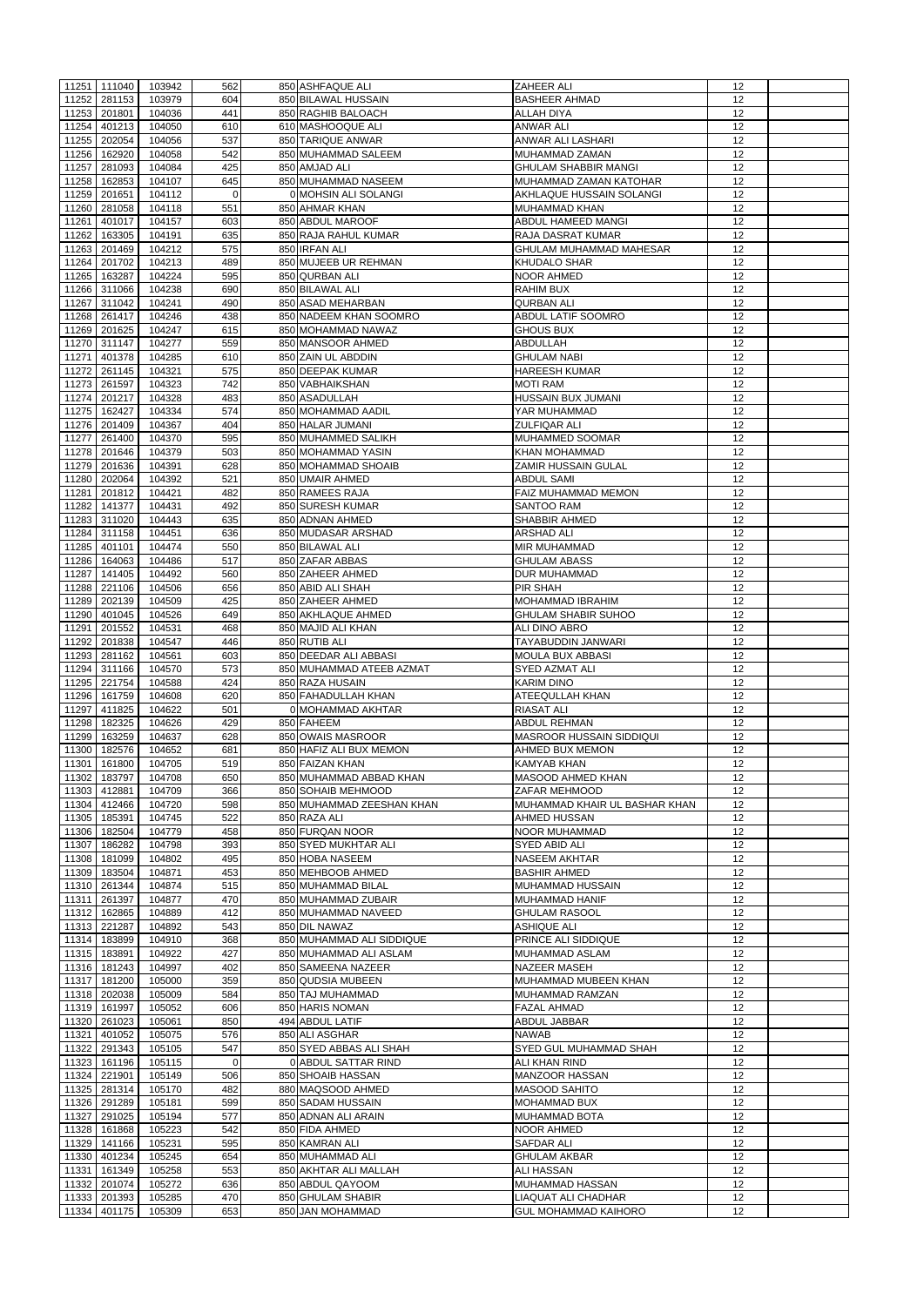|                | 11251 111040     | 103942           | 562            | 850 ASHFAQUE ALI                      | <b>ZAHEER ALI</b>                                  | 12       |  |
|----------------|------------------|------------------|----------------|---------------------------------------|----------------------------------------------------|----------|--|
| 11252          | 281153           | 103979           | 604            | 850 BILAWAL HUSSAIN                   | <b>BASHEER AHMAD</b>                               | 12       |  |
| 11253          | 201801           | 104036           | 441            | 850 RAGHIB BALOACH                    | ALLAH DIYA                                         | 12       |  |
| 11254          | 401213           | 104050           | 610            | 610 MASHOOQUE ALI                     | <b>ANWAR ALI</b>                                   | 12       |  |
|                |                  |                  |                |                                       |                                                    |          |  |
| 11255          | 202054           | 104056           | 537            | 850 TARIQUE ANWAR                     | ANWAR ALI LASHARI                                  | 12       |  |
| 11256          | 162920           | 104058           | 542            | 850 MUHAMMAD SALEEM                   | MUHAMMAD ZAMAN                                     | 12       |  |
| 11257          | 281093           | 104084           | 425            | 850 AMJAD ALI                         | <b>GHULAM SHABBIR MANGI</b>                        | 12       |  |
|                |                  |                  |                |                                       |                                                    |          |  |
| 11258          | 162853           | 104107           | 645            | 850 MUHAMMAD NASEEM                   | MUHAMMAD ZAMAN KATOHAR                             | 12       |  |
| 11259          | 201651           | 104112           | $\Omega$       | 0 MOHSIN ALI SOLANGI                  | AKHLAQUE HUSSAIN SOLANGI                           | 12       |  |
| 11260          | 281058           | 104118           | 551            | 850 AHMAR KHAN                        | MUHAMMAD KHAN                                      | 12       |  |
|                |                  |                  |                |                                       |                                                    |          |  |
| 11261          | 401017           | 104157           | 603            | 850 ABDUL MAROOF                      | <b>ABDUL HAMEED MANGI</b>                          | 12       |  |
| 11262          | 163305           | 104191           | 635            | 850 RAJA RAHUL KUMAR                  | <b>RAJA DASRAT KUMAR</b>                           | 12       |  |
| 11263          | 201469           | 104212           | 575            | 850 IRFAN ALI                         | <b>GHULAM MUHAMMAD MAHESAR</b>                     | 12       |  |
|                |                  |                  |                |                                       |                                                    |          |  |
| 11264          | 201702           | 104213           | 489            | 850 MUJEEB UR REHMAN                  | KHUDALO SHAR                                       | 12       |  |
| 11265          | 163287           | 104224           | 595            | 850 QURBAN ALI                        | <b>NOOR AHMED</b>                                  | 12       |  |
| 11266          | 311066           | 104238           | 690            | 850 BILAWAL ALI                       | <b>RAHIM BUX</b>                                   | 12       |  |
| 11267          | 311042           | 104241           | 490            | 850 ASAD MEHARBAN                     | <b>QURBAN ALI</b>                                  | 12       |  |
|                |                  |                  |                |                                       |                                                    |          |  |
| 11268          | 261417           | 104246           | 438            | 850 NADEEM KHAN SOOMRO                | <b>ABDUL LATIF SOOMRO</b>                          | 12       |  |
| 11269          | 201625           | 104247           | 615            | 850 MOHAMMAD NAWAZ                    | <b>GHOUS BUX</b>                                   | 12       |  |
| 11270          | 311147           | 104277           | 559            | 850 MANSOOR AHMED                     | ABDULLAH                                           | 12       |  |
|                |                  |                  |                |                                       |                                                    |          |  |
| 11271          | 401378           | 104285           | 610            | 850 ZAIN UL ABDDIN                    | <b>GHULAM NABI</b>                                 | 12       |  |
| 11272          | 261145           | 104321           | 575            | 850 DEEPAK KUMAR                      | <b>HAREESH KUMAR</b>                               | 12       |  |
| 11273          | 261597           | 104323           | 742            | 850 VABHAIKSHAN                       | <b>MOTI RAM</b>                                    | 12       |  |
|                |                  |                  |                |                                       |                                                    |          |  |
| 11274          | 201217           | 104328           | 483            | 850 ASADULLAH                         | <b>HUSSAIN BUX JUMANI</b>                          | 12       |  |
| 11275          | 162427           | 104334           | 574            | 850 MOHAMMAD AADIL                    | YAR MUHAMMAD                                       | 12       |  |
| 11276          | 201409           | 104367           | 404            | 850 HALAR JUMANI                      | <b>ZULFIQAR ALI</b>                                | 12       |  |
|                |                  |                  |                |                                       |                                                    |          |  |
| 11277          | 261400           | 104370           | 595            | 850 MUHAMMED SALIKH                   | <b>MUHAMMED SOOMAR</b>                             | 12       |  |
| 11278          | 201646           | 104379           | 503            | 850 MOHAMMAD YASIN                    | <b>KHAN MOHAMMAD</b>                               | 12       |  |
| 11279          | 201636           | 104391           | 628            | 850 MOHAMMAD SHOAIB                   | <b>ZAMIR HUSSAIN GULAL</b>                         | 12       |  |
|                |                  |                  |                |                                       |                                                    |          |  |
| 11280          | 202064           | 104392           | 521            | 850 UMAIR AHMED                       | <b>ABDUL SAMI</b>                                  | 12       |  |
| 11281          | 201812           | 104421           | 482            | 850 RAMEES RAJA                       | <b>FAIZ MUHAMMAD MEMON</b>                         | 12       |  |
| 11282          | 141377           | 104431           | 492            | 850 SURESH KUMAR                      | <b>SANTOO RAM</b>                                  | 12       |  |
|                |                  |                  |                |                                       |                                                    |          |  |
| 11283          | 311020           | 104443           | 635            | 850 ADNAN AHMED                       | <b>SHABBIR AHMED</b>                               | 12       |  |
| 11284          | 311158           | 104451           | 636            | 850 MUDASAR ARSHAD                    | <b>ARSHAD ALI</b>                                  | 12       |  |
| 11285          | 401101           | 104474           | 550            | 850 BILAWAL ALI                       | <b>MIR MUHAMMAD</b>                                | 12       |  |
|                |                  |                  |                |                                       |                                                    |          |  |
|                | 11286 164063     | 104486           | 517            | 850 ZAFAR ABBAS                       | <b>GHULAM ABASS</b>                                | 12       |  |
|                | 11287 141405     | 104492           | 560            | 850 ZAHEER AHMED                      | <b>DUR MUHAMMAD</b>                                | 12       |  |
|                | 11288 221106     | 104506           | 656            | 850 ABID ALI SHAH                     | <b>PIR SHAH</b>                                    | 12       |  |
|                |                  |                  |                |                                       |                                                    |          |  |
|                | 11289 202139     | 104509           | 425            | 850 ZAHEER AHMED                      | MOHAMMAD IBRAHIM                                   | 12       |  |
| 11290          | 401045           | 104526           | 649            | 850 AKHLAQUE AHMED                    | <b>GHULAM SHABIR SUHOO</b>                         | 12       |  |
| 11291          | 201552           | 104531           | 468            | 850 MAJID ALI KHAN                    | <b>ALI DINO ABRO</b>                               | 12       |  |
|                |                  |                  |                |                                       |                                                    |          |  |
| 11292          | 201838           | 104547           | 446            | 850 RUTIB ALI                         | TAYABUDDIN JANWARI                                 | 12       |  |
| 11293          | 281162           | 104561           | 603            | 850 DEEDAR ALI ABBASI                 | <b>MOULA BUX ABBASI</b>                            | 12       |  |
| 11294          | 311166           | 104570           | 573            | 850 MUHAMMAD ATEEB AZMAT              | <b>SYED AZMAT ALI</b>                              | 12       |  |
|                |                  |                  |                |                                       |                                                    |          |  |
| 11295          | 221754           | 104588           | 424            | 850 RAZA HUSAIN                       | <b>KARIM DINO</b>                                  | 12       |  |
| 11296          | 161759           | 104608           | 620            | 850 FAHADULLAH KHAN                   | <b>ATEEQULLAH KHAN</b>                             | 12       |  |
| 11297          | 411825           | 104622           | 501            | 0 MOHAMMAD AKHTAR                     | <b>RIASAT ALI</b>                                  | 12       |  |
|                |                  |                  |                |                                       |                                                    |          |  |
| 11298          | 182325           | 104626           | 429            | 850 FAHEEM                            | <b>ABDUL REHMAN</b>                                | 12       |  |
| 11299          | 163259           | 104637           | 628            | 850 OWAIS MASROOR                     | <b>MASROOR HUSSAIN SIDDIQUI</b>                    | 12       |  |
| 11300          | 182576           | 104652           | 681            | 850 HAFIZ ALI BUX MEMON               | AHMED BUX MEMON                                    | 12       |  |
|                |                  |                  |                |                                       |                                                    |          |  |
| 11301          | 161800           | 104705           | 519            | 850 FAIZAN KHAN                       | <b>KAMYAB KHAN</b>                                 | 12       |  |
| 11302          | 183797           | 104708           | 650            | 850 MUHAMMAD ABBAD KHAN               | <b>MASOOD AHMED KHAN</b>                           | 12       |  |
| 11303          | 412881           | 104709           | 366            | 850 SOHAIB MEHMOOD                    | ZAFAR MEHMOOD                                      | 12       |  |
|                |                  |                  |                |                                       |                                                    |          |  |
| 11304          | 412466           | 104720           | 598            | 850 MUHAMMAD ZEESHAN KHAN             | MUHAMMAD KHAIR UL BASHAR KHAN                      | 12       |  |
| 11305          | 185391           | 104745           | 522            | 850 RAZA ALI                          | AHMED HUSSAN                                       | 12       |  |
| 11306          | 182504           | 104779           | 458            | 850 FURQAN NOOR                       | <b>NOOR MUHAMMAD</b>                               | 12       |  |
| 11307          | 186282           | 104798           | 393            | 850 SYED MUKHTAR ALI                  | <b>SYED ABID ALI</b>                               | 12       |  |
|                |                  |                  |                |                                       |                                                    |          |  |
| 11308          | 181099           | 104802           | 495            | 850 HOBA NASEEM                       | <b>NASEEM AKHTAR</b>                               | 12       |  |
| 11309          | 183504           | 104871           | 453            | 850 MEHBOOB AHMED                     | <b>BASHIR AHMED</b>                                | 12       |  |
| 11310          | 261344           | 104874           | 515            | 850 MUHAMMAD BILAL                    | <b>MUHAMMAD HUSSAIN</b>                            | 12       |  |
|                |                  |                  |                |                                       |                                                    |          |  |
| 11311          | 261397           | 104877           | 470            | 850 MUHAMMAD ZUBAIR                   | MUHAMMAD HANIF                                     | 12       |  |
| 11312          | 162865           | 104889           | 412            | 850 MUHAMMAD NAVEED                   | <b>GHULAM RASOOL</b>                               | 12       |  |
|                | 11313 221287     | 104892           | 543            | 850 DIL NAWAZ                         | <b>ASHIQUE ALI</b>                                 | 12       |  |
| 11314          | 183899           | 104910           | 368            | 850 MUHAMMAD ALI SIDDIQUE             | <b>PRINCE ALI SIDDIQUE</b>                         | 12       |  |
|                |                  |                  |                |                                       |                                                    |          |  |
|                |                  |                  |                |                                       |                                                    |          |  |
|                | 11315 183891     | 104922           | 427            | 850 MUHAMMAD ALI ASLAM                | MUHAMMAD ASLAM                                     | 12       |  |
|                | 11316 181243     | 104997           | 402            | 850 SAMEENA NAZEER                    | <b>NAZEER MASEH</b>                                | 12       |  |
|                |                  |                  |                |                                       |                                                    |          |  |
| 11317          | 181200           | 105000           | 359            | 850 QUDSIA MUBEEN                     | MUHAMMAD MUBEEN KHAN                               | 12       |  |
| 11318          | 202038           | 105009           | 584            | 850 TAJ MUHAMMAD                      | MUHAMMAD RAMZAN                                    | 12       |  |
| 11319          | 161997           | 105052           | 606            | 850 HARIS NOMAN                       | <b>FAZAL AHMAD</b>                                 | 12       |  |
|                |                  |                  |                |                                       |                                                    |          |  |
| 11320          | 261023           | 105061           | 850            | 494 ABDUL LATIF                       | ABDUL JABBAR                                       | 12       |  |
| 11321          | 401052           | 105075           | 576            | 850 ALI ASGHAR                        | <b>NAWAB</b>                                       | 12       |  |
|                | 11322 291343     | 105105           | 547            | 850 SYED ABBAS ALI SHAH               | SYED GUL MUHAMMAD SHAH                             | 12       |  |
|                |                  |                  |                |                                       |                                                    |          |  |
|                | 11323 161196     | 105115           | $\overline{0}$ | 0 ABDUL SATTAR RIND                   | <b>ALI KHAN RIND</b>                               | 12       |  |
| 11324          | 221901           | 105149           | 506            | 850 SHOAIB HASSAN                     | MANZOOR HASSAN                                     | 12       |  |
|                | 11325 281314     | 105170           | 482            | 880 MAQSOOD AHMED                     | <b>MASOOD SAHITO</b>                               | 12       |  |
|                |                  |                  |                |                                       |                                                    |          |  |
| 11326          | 291289           | 105181           | 599            | 850 SADAM HUSSAIN                     | <b>MOHAMMAD BUX</b>                                | 12       |  |
| 11327          | 291025           | 105194           | 577            | 850 ADNAN ALI ARAIN                   | <b>MUHAMMAD BOTA</b>                               | 12       |  |
| 11328          | 161868           | 105223           | 542            | 850 FIDA AHMED                        | <b>NOOR AHMED</b>                                  | 12       |  |
|                |                  |                  |                |                                       |                                                    |          |  |
| 11329          | 141166           | 105231           | 595            | 850 KAMRAN ALI                        | <b>SAFDAR ALI</b>                                  | 12       |  |
| 11330          | 401234           | 105245           | 654            | 850 MUHAMMAD ALI                      | <b>GHULAM AKBAR</b>                                | 12       |  |
| 11331          | 161349           | 105258           | 553            | 850 AKHTAR ALI MALLAH                 | <b>ALI HASSAN</b>                                  | 12       |  |
|                |                  |                  |                |                                       |                                                    |          |  |
| 11332          | 201074           | 105272           | 636            | 850 ABDUL QAYOOM                      | MUHAMMAD HASSAN                                    | 12       |  |
| 11333<br>11334 | 201393<br>401175 | 105285<br>105309 | 470<br>653     | 850 GHULAM SHABIR<br>850 JAN MOHAMMAD | LIAQUAT ALI CHADHAR<br><b>GUL MOHAMMAD KAIHORO</b> | 12<br>12 |  |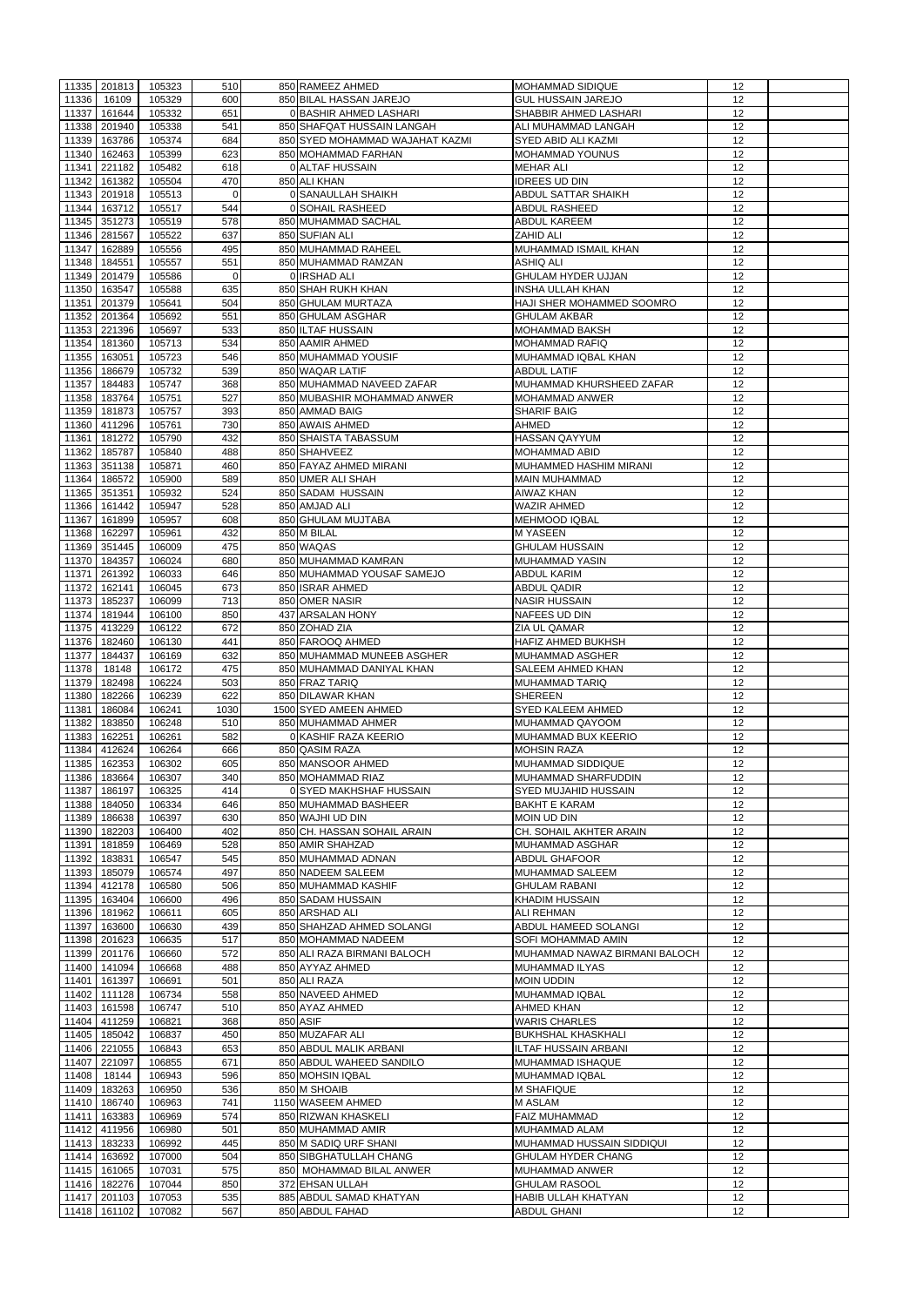|       | 11335 201813           | 105323           | 510        | 850 RAMEEZ AHMED<br>MOHAMMAD SIDIQUE                                                           | 12       |  |
|-------|------------------------|------------------|------------|------------------------------------------------------------------------------------------------|----------|--|
| 11336 |                        |                  |            | <b>GUL HUSSAIN JAREJO</b>                                                                      | 12       |  |
|       | 16109<br>161644        | 105329           | 600<br>651 | 850 BILAL HASSAN JAREJO                                                                        |          |  |
| 11337 |                        | 105332           |            | 0 BASHIR AHMED LASHARI<br>SHABBIR AHMED LASHARI                                                | 12       |  |
| 11338 | 201940                 | 105338           | 541        | 850 SHAFQAT HUSSAIN LANGAH<br>ALI MUHAMMAD LANGAH                                              | 12       |  |
| 11339 | 163786                 | 105374           | 684        | 850 SYED MOHAMMAD WAJAHAT KAZMI<br><b>SYED ABID ALI KAZMI</b>                                  | 12       |  |
| 11340 | 162463                 | 105399           | 623        | 850 MOHAMMAD FARHAN<br><b>MOHAMMAD YOUNUS</b>                                                  | 12       |  |
| 11341 | 221182                 | 105482           | 618        | 0 ALTAF HUSSAIN<br><b>MEHAR ALI</b>                                                            | 12       |  |
| 11342 | 161382                 | 105504           | 470        | 850 ALI KHAN<br><b>IDREES UD DIN</b>                                                           | 12       |  |
|       | 11343 201918           | 105513           | $\Omega$   | 0 SANAULLAH SHAIKH<br><b>ABDUL SATTAR SHAIKH</b>                                               | 12       |  |
|       | 11344 163712           | 105517           | 544        | 0 SOHAIL RASHEED<br><b>ABDUL RASHEED</b>                                                       | 12       |  |
|       | 11345 351273           | 105519           | 578        | 850 MUHAMMAD SACHAL<br><b>ABDUL KAREEM</b>                                                     | 12       |  |
|       | 11346 281567           | 105522           | 637        | 850 SUFIAN ALI<br><b>ZAHID ALI</b>                                                             | 12       |  |
| 11347 | 162889                 | 105556           | 495        | 850 MUHAMMAD RAHEEL<br>MUHAMMAD ISMAIL KHAN                                                    | 12       |  |
|       |                        |                  |            |                                                                                                |          |  |
|       | 11348 184551           | 105557           | 551        | 850 MUHAMMAD RAMZAN<br><b>ASHIQ ALI</b>                                                        | 12       |  |
| 11349 | 201479                 | 105586           | $\Omega$   | 0 IRSHAD ALI<br><b>GHULAM HYDER UJJAN</b>                                                      | 12       |  |
|       | 11350 163547           | 105588           | 635        | 850 SHAH RUKH KHAN<br>IINSHA ULLAH KHAN                                                        | 12       |  |
| 11351 | 201379                 | 105641           | 504        | 850 GHULAM MURTAZA<br>HAJI SHER MOHAMMED SOOMRO                                                | 12       |  |
|       | 11352 201364           | 105692           | 551        | 850 GHULAM ASGHAR<br><b>GHULAM AKBAR</b>                                                       | 12       |  |
| 11353 | 221396                 | 105697           | 533        | 850 ILTAF HUSSAIN<br><b>MOHAMMAD BAKSH</b>                                                     | 12       |  |
| 11354 | 181360                 | 105713           | 534        | 850 AAMIR AHMED<br><b>MOHAMMAD RAFIQ</b>                                                       | 12       |  |
| 11355 | 163051                 | 105723           | 546        | 850 MUHAMMAD YOUSIF<br>MUHAMMAD IQBAL KHAN                                                     | 12       |  |
| 11356 | 186679                 | 105732           | 539        | 850 WAQAR LATIF<br><b>ABDUL LATIF</b>                                                          | 12       |  |
| 11357 | 184483                 | 105747           | 368        | 850 MUHAMMAD NAVEED ZAFAR<br>MUHAMMAD KHURSHEED ZAFAR                                          | 12       |  |
|       |                        |                  |            |                                                                                                |          |  |
|       | 11358 183764           | 105751           | 527        | 850 MUBASHIR MOHAMMAD ANWER<br>MOHAMMAD ANWER                                                  | 12       |  |
|       | 11359 181873           | 105757           | 393        | 850 AMMAD BAIG<br><b>SHARIF BAIG</b>                                                           | 12       |  |
|       | 11360 411296           | 105761           | 730        | 850 AWAIS AHMED<br><b>AHMED</b>                                                                | 12       |  |
|       | 11361 181272           | 105790           | 432        | 850 SHAISTA TABASSUM<br><b>HASSAN QAYYUM</b>                                                   | 12       |  |
| 11362 | 185787                 | 105840           | 488        | 850 SHAHVEEZ<br><b>MOHAMMAD ABID</b>                                                           | 12       |  |
| 11363 | 351138                 | 105871           | 460        | 850 FAYAZ AHMED MIRANI<br>MUHAMMED HASHIM MIRANI                                               | 12       |  |
| 11364 | 186572                 | 105900           | 589        | 850 UMER ALI SHAH<br><b>MAIN MUHAMMAD</b>                                                      | 12       |  |
| 11365 | 351351                 | 105932           | 524        | 850 SADAM HUSSAIN<br><b>AIWAZ KHAN</b>                                                         | 12       |  |
| 11366 | 161442                 | 105947           | 528        | 850 AMJAD ALI<br><b>WAZIR AHMED</b>                                                            | 12       |  |
| 11367 | 161899                 | 105957           | 608        | 850 GHULAM MUJTABA<br><b>MEHMOOD IQBAL</b>                                                     | 12       |  |
| 11368 | 162297                 | 105961           | 432        | 850 M BILAL<br><b>MYASEEN</b>                                                                  | 12       |  |
|       |                        |                  |            |                                                                                                |          |  |
| 11369 | 351445                 | 106009           | 475        | 850 WAQAS<br><b>GHULAM HUSSAIN</b>                                                             | 12       |  |
|       | 11370 184357           | 106024           | 680        | 850 MUHAMMAD KAMRAN<br>MUHAMMAD YASIN                                                          | 12       |  |
|       | 11371 261392           | 106033           | 646        | 850 MUHAMMAD YOUSAF SAMEJO<br><b>ABDUL KARIM</b>                                               | 12       |  |
|       | 11372 162141           | 106045           | 673        | 850 ISRAR AHMED<br><b>ABDUL QADIR</b>                                                          | 12       |  |
|       | 11373 185237           | 106099           | 713        | 850 OMER NASIR<br><b>NASIR HUSSAIN</b>                                                         | 12       |  |
|       | 11374 181944           | 106100           | 850        | 437 ARSALAN HONY<br><b>NAFEES UD DIN</b>                                                       | 12       |  |
|       | 11375 413229           | 106122           | 672        | 850 ZOHAD ZIA<br><b>ZIA UL QAMAR</b>                                                           | 12       |  |
|       | 11376 182460           | 106130           | 441        | 850 FAROOQ AHMED<br><b>HAFIZ AHMED BUKHSH</b>                                                  | 12       |  |
| 11377 | 184437                 | 106169           | 632        | 850 MUHAMMAD MUNEEB ASGHER<br><b>MUHAMMAD ASGHER</b>                                           | 12       |  |
| 11378 | 18148                  | 106172           | 475        | 850 MUHAMMAD DANIYAL KHAN<br><b>SALEEM AHMED KHAN</b>                                          | 12       |  |
|       |                        |                  |            |                                                                                                |          |  |
| 11379 | 182498                 | 106224           | 503        | 850 FRAZ TARIQ<br><b>MUHAMMAD TARIQ</b>                                                        | 12       |  |
| 11380 | 182266                 | 106239           | 622        | 850 DILAWAR KHAN<br><b>SHEREEN</b>                                                             | 12       |  |
| 11381 | 186084                 | 106241           | 1030       | 1500 SYED AMEEN AHMED<br><b>SYED KALEEM AHMED</b>                                              | 12       |  |
| 11382 | 183850                 | 106248           | 510        | 850 MUHAMMAD AHMER<br>MUHAMMAD QAYOOM                                                          | 12       |  |
| 11383 | 162251                 | 106261           | 582        | 0 KASHIF RAZA KEERIO<br>MUHAMMAD BUX KEERIO                                                    | 12       |  |
| 11384 | 412624                 | 106264           | 666        | 850 QASIM RAZA<br><b>MOHSIN RAZA</b>                                                           | 12       |  |
| 11385 | 162353                 | 106302           | 605        | 850 MANSOOR AHMED<br><b>MUHAMMAD SIDDIQUE</b>                                                  | 12       |  |
| 11386 | 183664                 | 106307           | 340        | 850 MOHAMMAD RIAZ<br>MUHAMMAD SHARFUDDIN                                                       |          |  |
| 11387 | 186197                 | 106325           |            |                                                                                                | 12       |  |
| 11388 | 184050                 | 106334           |            |                                                                                                |          |  |
|       |                        |                  | 414        | 0 SYED MAKHSHAF HUSSAIN<br><b>SYED MUJAHID HUSSAIN</b>                                         | 12       |  |
| 11389 | 186638                 |                  | 646        | 850 MUHAMMAD BASHEER<br><b>BAKHT E KARAM</b>                                                   | 12       |  |
| 11390 |                        | 106397           | 630        | 850 WAJHI UD DIN<br>MOIN UD DIN                                                                | 12       |  |
| 11391 | 182203                 | 106400           | 402        | 850 CH. HASSAN SOHAIL ARAIN<br>CH. SOHAIL AKHTER ARAIN                                         | 12       |  |
|       | 181859                 | 106469           | 528        | 850 AMIR SHAHZAD<br><b>MUHAMMAD ASGHAR</b>                                                     | 12       |  |
| 11392 | 183831                 | 106547           | 545        | <b>ABDUL GHAFOOR</b><br>850 MUHAMMAD ADNAN                                                     | 12       |  |
|       | 11393 185079           | 106574           | 497        | 850 NADEEM SALEEM<br>MUHAMMAD SALEEM                                                           | 12       |  |
| 11394 | 412178                 | 106580           | 506        | 850 MUHAMMAD KASHIF<br><b>GHULAM RABANI</b>                                                    | 12       |  |
|       | 11395 163404           | 106600           | 496        | 850 SADAM HUSSAIN<br><b>KHADIM HUSSAIN</b>                                                     | 12       |  |
|       | 11396 181962           | 106611           | 605        | 850 ARSHAD ALI<br><b>ALI REHMAN</b>                                                            | 12       |  |
|       |                        |                  |            |                                                                                                |          |  |
| 11397 | 163600                 | 106630           | 439        | 850 SHAHZAD AHMED SOLANGI<br>ABDUL HAMEED SOLANGI                                              | 12       |  |
|       | 11398 201623           | 106635           | 517        | 850 MOHAMMAD NADEEM<br>SOFI MOHAMMAD AMIN                                                      | 12       |  |
| 11399 | 201176                 | 106660           | 572        | 850 ALI RAZA BIRMANI BALOCH<br>MUHAMMAD NAWAZ BIRMANI BALOCH                                   | 12       |  |
|       | 11400 141094           | 106668           | 488        | 850 AYYAZ AHMED<br>MUHAMMAD ILYAS                                                              | 12       |  |
|       | 11401 161397           | 106691           | 501        | 850 ALI RAZA<br><b>MOIN UDDIN</b>                                                              | 12       |  |
| 11402 | 111128                 | 106734           | 558        | 850 NAVEED AHMED<br>MUHAMMAD IQBAL                                                             | 12       |  |
|       | 11403 161598           | 106747           | 510        | 850 AYAZ AHMED<br><b>AHMED KHAN</b>                                                            | 12       |  |
|       | 11404 411259           | 106821           | 368        | 850 ASIF<br><b>WARIS CHARLES</b>                                                               | 12       |  |
|       | 11405 185042           | 106837           | 450        | <b>BUKHSHAL KHASKHALI</b><br>850 MUZAFAR ALI                                                   | 12       |  |
|       |                        | 106843           | 653        | 850 ABDUL MALIK ARBANI<br>ILTAF HUSSAIN ARBANI                                                 | 12       |  |
|       | 11406 221055           |                  |            |                                                                                                |          |  |
|       | 11407 221097           | 106855           | 671        | 850 ABDUL WAHEED SANDILO<br>MUHAMMAD ISHAQUE                                                   | 12       |  |
| 11408 | 18144                  | 106943           | 596        | 850 MOHSIN IQBAL<br>MUHAMMAD IQBAL                                                             | 12       |  |
|       | 11409 183263           | 106950           | 536        | 850 M SHOAIB<br><b>M SHAFIQUE</b>                                                              | 12       |  |
|       | 11410 186740           | 106963           | 741        | 1150 WASEEM AHMED<br><b>M ASLAM</b>                                                            | 12       |  |
|       | 11411 163383           | 106969           | 574        | 850 RIZWAN KHASKELI<br><b>FAIZ MUHAMMAD</b>                                                    | 12       |  |
|       | 11412 411956           | 106980           | 501        | 850 MUHAMMAD AMIR<br>MUHAMMAD ALAM                                                             | 12       |  |
|       | 11413 183233           | 106992           | 445        | MUHAMMAD HUSSAIN SIDDIQUI<br>850 M SADIQ URF SHANI                                             | 12       |  |
|       | 11414 163692           | 107000           | 504        | 850 SIBGHATULLAH CHANG<br><b>GHULAM HYDER CHANG</b>                                            | 12       |  |
|       | 11415 161065           | 107031           | 575        | 850 MOHAMMAD BILAL ANWER<br>MUHAMMAD ANWER                                                     | 12       |  |
|       |                        |                  |            |                                                                                                |          |  |
|       | 11416 182276           | 107044           | 850        | 372 EHSAN ULLAH<br><b>GHULAM RASOOL</b>                                                        | 12       |  |
| 11417 | 201103<br>11418 161102 | 107053<br>107082 | 535<br>567 | 885 ABDUL SAMAD KHATYAN<br><b>HABIB ULLAH KHATYAN</b><br>850 ABDUL FAHAD<br><b>ABDUL GHANI</b> | 12<br>12 |  |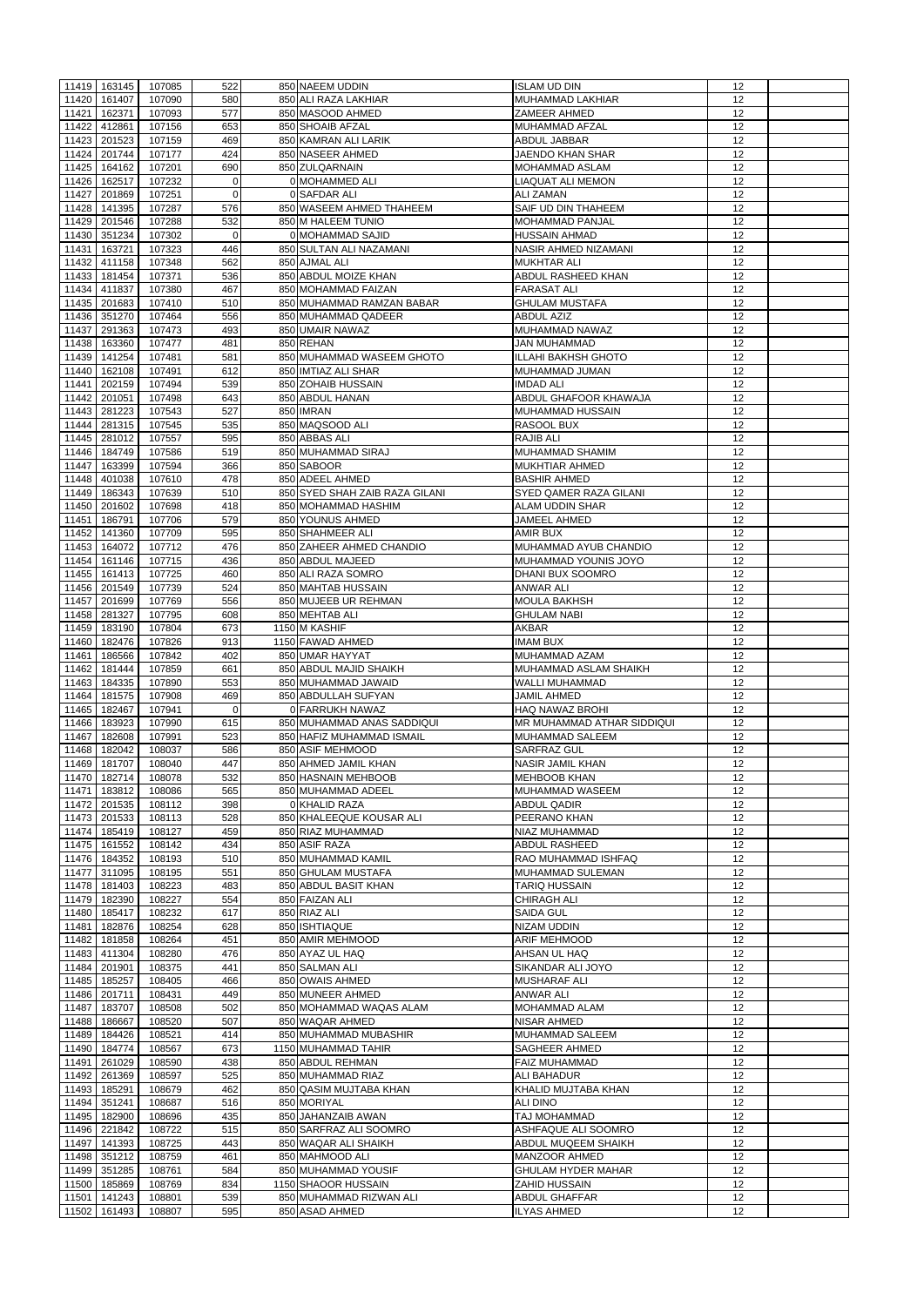|       | 11419 163145           | 107085           | 522        | 850 NAEEM UDDIN                           | <b>ISLAM UD DIN</b>                        | 12       |  |
|-------|------------------------|------------------|------------|-------------------------------------------|--------------------------------------------|----------|--|
| 11420 | 161407                 |                  | 580        |                                           |                                            | 12       |  |
| 11421 | 162371                 | 107090           |            | 850 ALI RAZA LAKHIAR<br>850 MASOOD AHMED  | <b>MUHAMMAD LAKHIAR</b>                    |          |  |
|       |                        | 107093           | 577        |                                           | <b>ZAMEER AHMED</b>                        | 12       |  |
| 11422 | 412861                 | 107156           | 653        | 850 SHOAIB AFZAL                          | MUHAMMAD AFZAL                             | 12       |  |
| 11423 | 201523                 | 107159           | 469        | 850 KAMRAN ALI LARIK                      | ABDUL JABBAR                               | 12       |  |
| 11424 | 201744                 | 107177           | 424        | 850 NASEER AHMED                          | JAENDO KHAN SHAR                           | 12       |  |
|       | 11425 164162           | 107201           | 690        | 850 ZULQARNAIN                            | MOHAMMAD ASLAM                             | 12       |  |
|       | 11426 162517           | 107232           | $\Omega$   | 0 MOHAMMED ALI                            | <b>LIAQUAT ALI MEMON</b>                   | 12       |  |
|       | 11427 201869           | 107251           | $\Omega$   | 0 SAFDAR ALI                              | <b>ALI ZAMAN</b>                           | 12       |  |
|       | 11428 141395           | 107287           | 576        | 850 WASEEM AHMED THAHEEM                  | <b>SAIF UD DIN THAHEEM</b>                 | 12       |  |
|       | 11429 201546           | 107288           | 532        | 850 M HALEEM TUNIO                        | <b>MOHAMMAD PANJAL</b>                     | 12       |  |
|       | 11430 351234           | 107302           | $\Omega$   | 0 MOHAMMAD SAJID                          | <b>HUSSAIN AHMAD</b>                       | 12       |  |
| 11431 | 163721                 | 107323           | 446        | 850 SULTAN ALI NAZAMANI                   | NASIR AHMED NIZAMANI                       | 12       |  |
| 11432 | 411158                 | 107348           | 562        | 850 AJMAL ALI                             | <b>MUKHTAR ALI</b>                         | 12       |  |
|       | 11433 181454           | 107371           | 536        | 850 ABDUL MOIZE KHAN                      | <b>ABDUL RASHEED KHAN</b>                  | 12       |  |
|       | 11434 411837           | 107380           | 467        | 850 MOHAMMAD FAIZAN                       | <b>FARASAT ALI</b>                         | 12       |  |
|       | 11435 201683           | 107410           | 510        | 850 MUHAMMAD RAMZAN BABAR                 | <b>GHULAM MUSTAFA</b>                      | 12       |  |
|       | 11436 351270           | 107464           | 556        | 850 MUHAMMAD QADEER                       | <b>ABDUL AZIZ</b>                          | 12       |  |
| 11437 | 291363                 | 107473           | 493        | 850 UMAIR NAWAZ                           | MUHAMMAD NAWAZ                             | 12       |  |
|       |                        |                  |            |                                           |                                            |          |  |
|       | 11438 163360           | 107477           | 481        | 850 REHAN                                 | JAN MUHAMMAD                               | 12       |  |
| 11439 | 141254                 | 107481           | 581        | 850 MUHAMMAD WASEEM GHOTO                 | <b>ILLAHI BAKHSH GHOTO</b>                 | 12       |  |
| 11440 | 162108                 | 107491           | 612        | 850 IMTIAZ ALI SHAR                       | MUHAMMAD JUMAN                             | 12       |  |
| 11441 | 202159                 | 107494           | 539        | 850 ZOHAIB HUSSAIN                        | <b>IMDAD ALI</b>                           | 12       |  |
| 11442 | 201051                 | 107498           | 643        | 850 ABDUL HANAN                           | ABDUL GHAFOOR KHAWAJA                      | 12       |  |
|       | 11443 281223           | 107543           | 527        | 850 IMRAN                                 | MUHAMMAD HUSSAIN                           | 12       |  |
| 11444 | 281315                 | 107545           | 535        | 850 MAQSOOD ALI                           | RASOOL BUX                                 | 12       |  |
| 11445 | 281012                 | 107557           | 595        | 850 ABBAS ALI                             | <b>RAJIB ALI</b>                           | 12       |  |
| 11446 | 184749                 | 107586           | 519        | 850 MUHAMMAD SIRAJ                        | MUHAMMAD SHAMIM                            | 12       |  |
| 11447 | 163399                 | 107594           | 366        | 850 SABOOR                                | <b>MUKHTIAR AHMED</b>                      | 12       |  |
| 11448 | 401038                 | 107610           | 478        | 850 ADEEL AHMED                           | <b>BASHIR AHMED</b>                        | 12       |  |
| 11449 | 186343                 | 107639           | 510        | 850 SYED SHAH ZAIB RAZA GILANI            | SYED QAMER RAZA GILANI                     | 12       |  |
| 11450 | 201602                 | 107698           | 418        | 850 MOHAMMAD HASHIM                       | <b>ALAM UDDIN SHAR</b>                     | 12       |  |
| 11451 | 186791                 | 107706           | 579        | 850 YOUNUS AHMED                          | <b>JAMEEL AHMED</b>                        | 12       |  |
|       |                        |                  |            |                                           |                                            |          |  |
| 11452 | 141360                 | 107709           | 595        | 850 SHAHMEER ALI                          | <b>AMIR BUX</b>                            | 12       |  |
| 11453 | 164072                 | 107712           | 476        | 850 ZAHEER AHMED CHANDIO                  | MUHAMMAD AYUB CHANDIO                      | 12       |  |
|       | 11454 161146           | 107715           | 436        | 850 ABDUL MAJEED                          | MUHAMMAD YOUNIS JOYO                       | 12       |  |
|       | 11455   161413         | 107725           | 460        | 850 ALI RAZA SOMRO                        | <b>DHANI BUX SOOMRO</b>                    | 12       |  |
|       | 11456 201549           | 107739           | 524        | 850 MAHTAB HUSSAIN                        | <b>ANWAR ALI</b>                           | 12       |  |
|       | 11457 201699           | 107769           | 556        | 850 MUJEEB UR REHMAN                      | <b>MOULA BAKHSH</b>                        | 12       |  |
| 11458 | 281327                 | 107795           | 608        | 850 MEHTAB ALI                            | <b>GHULAM NABI</b>                         | 12       |  |
|       | 11459 183190           | 107804           | 673        | 1150 M KASHIF                             | <b>AKBAR</b>                               | 12       |  |
|       | 11460 182476           | 107826           | 913        | 1150 FAWAD AHMED                          | <b>IMAM BUX</b>                            | 12       |  |
| 11461 | 186566                 | 107842           | 402        | 850 UMAR HAYYAT                           | MUHAMMAD AZAM                              | 12       |  |
| 11462 | 181444                 | 107859           | 661        | 850 ABDUL MAJID SHAIKH                    | MUHAMMAD ASLAM SHAIKH                      | 12       |  |
| 11463 | 184335                 | 107890           | 553        | 850 MUHAMMAD JAWAID                       | <b>WALLI MUHAMMAD</b>                      | 12       |  |
|       |                        |                  |            | 850 ABDULLAH SUFYAN                       | <b>JAMIL AHMED</b>                         | 12       |  |
|       |                        |                  |            |                                           |                                            |          |  |
| 11464 | 181575                 | 107908           | 469        |                                           |                                            |          |  |
| 11465 | 182467                 | 107941           | $\Omega$   | 0 FARRUKH NAWAZ                           | <b>HAQ NAWAZ BROHI</b>                     | 12       |  |
| 11466 | 183923                 | 107990           | 615        | 850 MUHAMMAD ANAS SADDIQUI                | MR MUHAMMAD ATHAR SIDDIQUI                 | 12       |  |
| 11467 | 182608                 | 107991           | 523        | 850 HAFIZ MUHAMMAD ISMAIL                 | <b>MUHAMMAD SALEEM</b>                     | 12       |  |
|       | 11468 182042           | 108037           | 586        | 850 ASIF MEHMOOD                          | <b>SARFRAZ GUL</b>                         | 12       |  |
| 11469 | 181707                 | 108040           | 447        | 850 AHMED JAMIL KHAN                      | <b>NASIR JAMIL KHAN</b>                    | 12       |  |
|       | 11470 182714           | 108078           | 532        | 850 HASNAIN MEHBOOB                       | <b>MEHBOOB KHAN</b>                        | 12       |  |
| 11471 | 183812                 | 108086           | 565        | 850 MUHAMMAD ADEEL                        | MUHAMMAD WASEEM                            | 12       |  |
|       | 11472 201535           | 108112           | 398        | 0 KHALID RAZA                             | <b>ABDUL QADIR</b>                         | 12       |  |
| 11473 | 201533                 | 108113           | 528        | 850 KHALEEQUE KOUSAR ALI                  | PEERANO KHAN                               | 12       |  |
| 11474 | 185419                 | 108127           | 459        | 850 RIAZ MUHAMMAD                         | <b>NIAZ MUHAMMAD</b>                       | 12       |  |
|       | 11475 161552           | 108142           | 434        | 850 ASIF RAZA                             | ABDUL RASHEED                              | 12       |  |
|       | 11476 184352           | 108193           | 510        | 850 MUHAMMAD KAMIL                        | RAO MUHAMMAD ISHFAQ                        | 12       |  |
|       | 11477 311095           | 108195           | 551        | 850 GHULAM MUSTAFA                        | MUHAMMAD SULEMAN                           | 12       |  |
|       | 11478 181403           | 108223           | 483        | 850 ABDUL BASIT KHAN                      |                                            | 12       |  |
|       |                        |                  |            |                                           | TARIQ HUSSAIN                              |          |  |
|       | 11479 182390           | 108227           | 554        | 850 FAIZAN ALI                            | <b>CHIRAGH ALI</b>                         | 12       |  |
| 11480 | 185417                 | 108232           | 617        | 850 RIAZ ALI                              | <b>SAIDA GUL</b>                           | 12       |  |
| 11481 | 182876                 | 108254           | 628        | 850 ISHTIAQUE                             | <b>NIZAM UDDIN</b>                         | 12       |  |
| 11482 | 181858                 | 108264           | 451        | 850 AMIR MEHMOOD                          | <b>ARIF MEHMOOD</b>                        | 12       |  |
| 11483 | 411304                 | 108280           | 476        | 850 AYAZ UL HAQ                           | AHSAN UL HAQ                               | 12       |  |
| 11484 | 201901                 | 108375           | 441        | 850 SALMAN ALI                            | <b>SIKANDAR ALI JOYO</b>                   | 12       |  |
| 11485 | 185257                 | 108405           | 466        | 850 OWAIS AHMED                           | <b>MUSHARAF ALI</b>                        | 12       |  |
| 11486 | 201711                 | 108431           | 449        | 850 MUNEER AHMED                          | ANWAR ALI                                  | 12       |  |
| 11487 | 183707                 | 108508           | 502        | 850 MOHAMMAD WAQAS ALAM                   | <b>MOHAMMAD ALAM</b>                       | 12       |  |
| 11488 | 186667                 | 108520           | 507        | 850 WAQAR AHMED                           | <b>NISAR AHMED</b>                         | 12       |  |
| 11489 | 184426                 | 108521           | 414        | 850 MUHAMMAD MUBASHIR                     | MUHAMMAD SALEEM                            | 12       |  |
| 11490 | 184774                 | 108567           | 673        | 1150 MUHAMMAD TAHIR                       | <b>SAGHEER AHMED</b>                       | 12       |  |
|       | 11491 261029           | 108590           | 438        | 850 ABDUL REHMAN                          | <b>FAIZ MUHAMMAD</b>                       | 12       |  |
|       | 11492 261369           | 108597           | 525        | 850 MUHAMMAD RIAZ                         | <b>ALI BAHADUR</b>                         | $12 \,$  |  |
|       | 11493 185291           | 108679           | 462        | 850 QASIM MUJTABA KHAN                    | KHALID MUJTABA KHAN                        | 12       |  |
|       | 11494 351241           | 108687           | 516        | 850 MORIYAL                               | ALI DINO                                   | 12       |  |
|       | 11495 182900           | 108696           | 435        | 850 JAHANZAIB AWAN                        | TAJ MOHAMMAD                               | 12       |  |
|       |                        |                  |            |                                           |                                            |          |  |
|       | 11496 221842           | 108722           | 515        | 850 SARFRAZ ALI SOOMRO                    | <b>ASHFAQUE ALI SOOMRO</b>                 | 12       |  |
| 11497 | 141393                 | 108725           | 443        | 850 WAQAR ALI SHAIKH                      | <b>ABDUL MUQEEM SHAIKH</b>                 | 12       |  |
| 11498 | 351212                 | 108759           | 461        | 850 MAHMOOD ALI                           | <b>MANZOOR AHMED</b>                       | 12       |  |
| 11499 | 351285                 | 108761           | 584        | 850 MUHAMMAD YOUSIF                       | <b>GHULAM HYDER MAHAR</b>                  | 12       |  |
| 11500 | 185869                 | 108769           | 834        | 1150 SHAOOR HUSSAIN                       | <b>ZAHID HUSSAIN</b>                       | 12       |  |
| 11501 | 141243<br>11502 161493 | 108801<br>108807 | 539<br>595 | 850 MUHAMMAD RIZWAN ALI<br>850 ASAD AHMED | <b>ABDUL GHAFFAR</b><br><b>ILYAS AHMED</b> | 12<br>12 |  |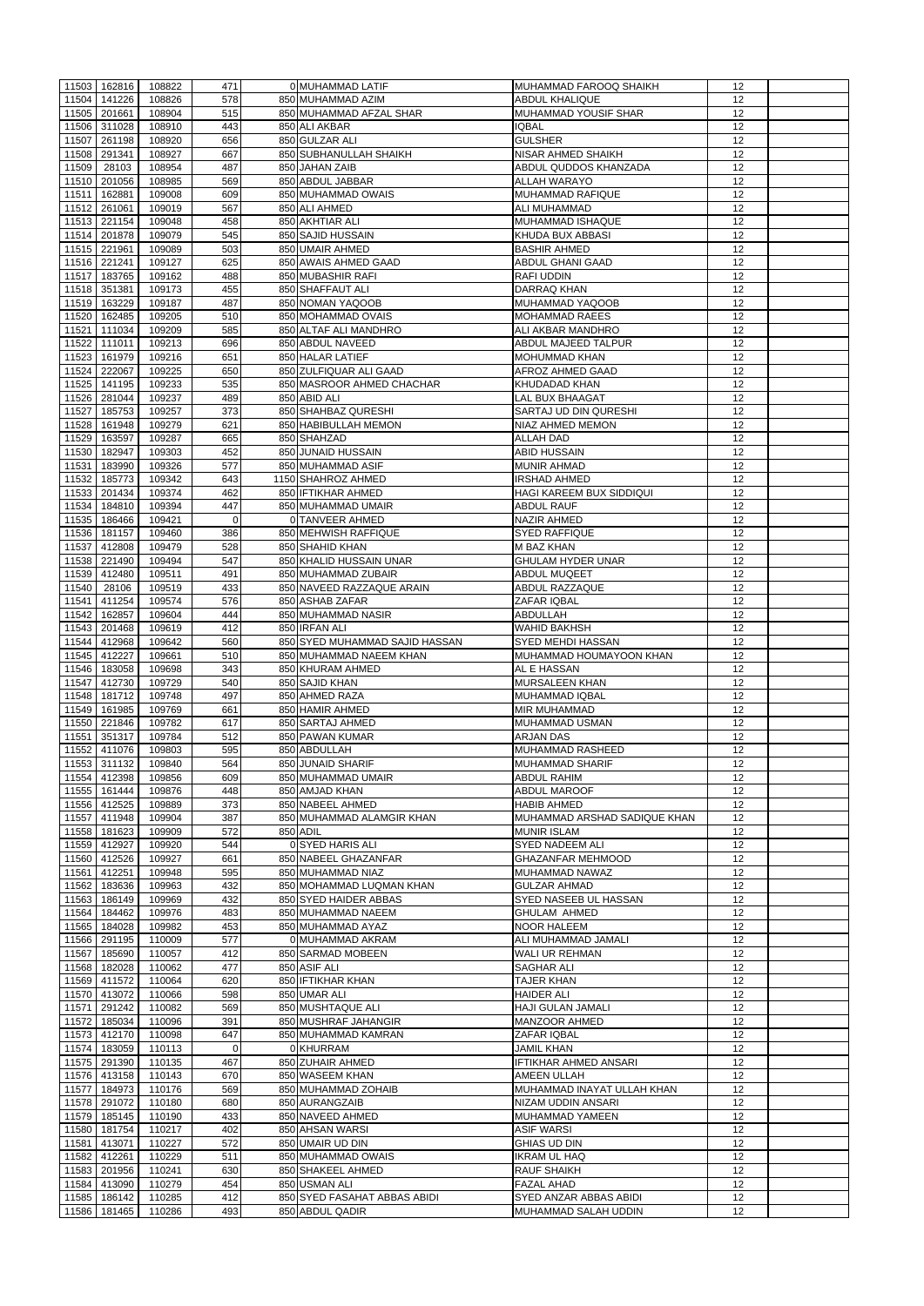|       | 11503 162816 | 108822              | 471         | 0 MUHAMMAD LATIF               | MUHAMMAD FAROOQ SHAIKH          | 12              |  |
|-------|--------------|---------------------|-------------|--------------------------------|---------------------------------|-----------------|--|
|       |              |                     |             |                                |                                 |                 |  |
| 11504 | 141226       | 108826              | 578         | 850 MUHAMMAD AZIM              | <b>ABDUL KHALIQUE</b>           | 12              |  |
| 11505 | 201661       | 108904              | 515         | 850 MUHAMMAD AFZAL SHAR        | IMUHAMMAD YOUSIF SHAR           | 12              |  |
| 11506 | 311028       | 108910              | 443         | 850 ALI AKBAR                  | <b>IQBAL</b>                    | 12              |  |
| 11507 | 261198       | 108920              | 656         | 850 GULZAR ALI                 | <b>GULSHER</b>                  | 12              |  |
|       |              |                     |             |                                |                                 |                 |  |
| 11508 | 291341       | 108927              | 667         | 850 SUBHANULLAH SHAIKH         | <b>NISAR AHMED SHAIKH</b>       | 12              |  |
| 11509 | 28103        | 108954              | 487         | 850 JAHAN ZAIB                 | ABDUL QUDDOS KHANZADA           | 12              |  |
| 11510 | 201056       | 108985              | 569         | 850 ABDUL JABBAR               | <b>ALLAH WARAYO</b>             | 12              |  |
| 11511 | 162881       | 109008              | 609         | 850 MUHAMMAD OWAIS             | <b>MUHAMMAD RAFIQUE</b>         | 12              |  |
|       |              |                     |             |                                |                                 |                 |  |
|       | 11512 261061 | 109019              | 567         | 850 ALI AHMED                  | ALI MUHAMMAD                    | 12              |  |
|       | 11513 221154 | 109048              | 458         | 850 AKHTIAR ALI                | MUHAMMAD ISHAQUE                | 12              |  |
|       | 11514 201878 | 109079              | 545         | 850 SAJID HUSSAIN              | <b>KHUDA BUX ABBASI</b>         | 12              |  |
|       | 11515 221961 | 109089              | 503         | 850 UMAIR AHMED                | <b>BASHIR AHMED</b>             | 12              |  |
|       |              | 109127              | 625         |                                |                                 | 12              |  |
|       | 11516 221241 |                     |             | 850 AWAIS AHMED GAAD           | <b>ABDUL GHANI GAAD</b>         |                 |  |
| 11517 | 183765       | 109162              | 488         | 850 MUBASHIR RAFI              | <b>RAFI UDDIN</b>               | 12              |  |
| 11518 | 351381       | 109173              | 455         | 850 SHAFFAUT ALI               | <b>DARRAQ KHAN</b>              | 12              |  |
|       | 11519 163229 | 109187              | 487         | 850 NOMAN YAQOOB               | MUHAMMAD YAQOOB                 | 12              |  |
|       | 11520 162485 | 109205              | 510         | 850 MOHAMMAD OVAIS             | <b>MOHAMMAD RAEES</b>           | 12              |  |
|       |              |                     |             |                                |                                 |                 |  |
| 11521 | 111034       | 109209              | 585         | 850 ALTAF ALI MANDHRO          | ALI AKBAR MANDHRO               | 12              |  |
| 11522 | 111011       | 109213              | 696         | 850 ABDUL NAVEED               | <b>ABDUL MAJEED TALPUR</b>      | 12              |  |
| 11523 | 161979       | 109216              | 651         | 850 HALAR LATIEF               | <b>MOHUMMAD KHAN</b>            | 12              |  |
| 11524 | 222067       | 109225              | 650         | 850 ZULFIQUAR ALI GAAD         | <b>AFROZ AHMED GAAD</b>         | 12              |  |
|       | 11525 141195 | 109233              | 535         | 850 MASROOR AHMED CHACHAR      | <b>KHUDADAD KHAN</b>            | 12              |  |
|       |              |                     |             |                                |                                 |                 |  |
| 11526 | 281044       | 109237              | 489         | 850 ABID ALI                   | <b>LAL BUX BHAAGAT</b>          | 12              |  |
| 11527 | 185753       | 109257              | 373         | 850 SHAHBAZ QURESHI            | SARTAJ UD DIN QURESHI           | 12              |  |
|       | 11528 161948 | 109279              | 621         | 850 HABIBULLAH MEMON           | <b>NIAZ AHMED MEMON</b>         | 12              |  |
| 11529 | 163597       | 109287              | 665         | 850 SHAHZAD                    | <b>ALLAH DAD</b>                | 12              |  |
|       |              |                     |             |                                |                                 |                 |  |
|       | 11530 182947 | 109303              | 452         | 850 JUNAID HUSSAIN             | <b>ABID HUSSAIN</b>             | 12              |  |
| 11531 | 183990       | 109326              | 577         | 850 MUHAMMAD ASIF              | <b>MUNIR AHMAD</b>              | 12              |  |
| 11532 | 185773       | 109342              | 643         | 1150 SHAHROZ AHMED             | <b>IRSHAD AHMED</b>             | 12              |  |
| 11533 | 201434       | 109374              | 462         | 850 IFTIKHAR AHMED             | <b>HAGI KAREEM BUX SIDDIQUI</b> | 12              |  |
| 11534 |              |                     | 447         |                                |                                 |                 |  |
|       | 184810       | 109394              |             | 850 MUHAMMAD UMAIR             | <b>ABDUL RAUF</b>               | 12              |  |
| 11535 | 186466       | 109421              | $\mathbf 0$ | 0 TANVEER AHMED                | <b>NAZIR AHMED</b>              | 12              |  |
| 11536 | 181157       | 109460              | 386         | 850 MEHWISH RAFFIQUE           | <b>SYED RAFFIQUE</b>            | 12              |  |
| 11537 | 412808       | 109479              | 528         | 850 SHAHID KHAN                | M BAZ KHAN                      | 12              |  |
|       | 11538 221490 | 109494              | 547         | 850 KHALID HUSSAIN UNAR        | <b>GHULAM HYDER UNAR</b>        | 12              |  |
|       |              |                     |             |                                |                                 |                 |  |
|       | 11539 412480 | 109511              | 491         | 850 MUHAMMAD ZUBAIR            | <b>ABDUL MUQEET</b>             | 12 <sup>2</sup> |  |
| 11540 | 28106        | 109519              | 433         | 850 NAVEED RAZZAQUE ARAIN      | ABDUL RAZZAQUE                  | 12              |  |
| 11541 | 411254       | 109574              | 576         | 850 ASHAB ZAFAR                | ZAFAR IQBAL                     | 12              |  |
| 11542 | 162857       | 109604              | 444         | 850 MUHAMMAD NASIR             | <b>ABDULLAH</b>                 | 12              |  |
|       | 11543 201468 | 109619              | 412         | 850 IRFAN ALI                  | <b>WAHID BAKHSH</b>             | 12              |  |
|       |              |                     |             |                                |                                 |                 |  |
|       | 11544 412968 | 109642              | 560         | 850 SYED MUHAMMAD SAJID HASSAN | <b>SYED MEHDI HASSAN</b>        | 12              |  |
|       | 11545 412227 | 109661              | 510         | 850 MUHAMMAD NAEEM KHAN        | MUHAMMAD HOUMAYOON KHAN         | 12              |  |
|       | 11546 183058 | 109698              | 343         | 850 KHURAM AHMED               | AL E HASSAN                     | 12              |  |
| 11547 | 412730       | 109729              | 540         | 850 SAJID KHAN                 | <b>MURSALEEN KHAN</b>           | 12              |  |
|       | 11548 181712 | 109748              | 497         | 850 AHMED RAZA                 | MUHAMMAD IQBAL                  | 12              |  |
|       |              |                     |             |                                |                                 |                 |  |
|       |              |                     |             |                                |                                 |                 |  |
| 11549 | 161985       | 109769              | 661         | 850 HAMIR AHMED                | <b>MIR MUHAMMAD</b>             | 12              |  |
| 11550 | 221846       | 109782              | 617         | 850 SARTAJ AHMED               | MUHAMMAD USMAN                  | 12              |  |
| 11551 | 351317       | 109784              | 512         | 850 PAWAN KUMAR                | <b>ARJAN DAS</b>                | 12              |  |
|       |              |                     |             |                                |                                 |                 |  |
|       | 11552 411076 | 109803              | 595         | 850 ABDULLAH                   | MUHAMMAD RASHEED                | 12              |  |
|       | 11553 311132 | 109840              | 564         | 850 JUNAID SHARIF              | MUHAMMAD SHARIF                 | 12              |  |
| 11554 | 412398       | 109856              | 609         | 850 MUHAMMAD UMAIR             | <b>ABDUL RAHIM</b>              | 12              |  |
|       | 11555 161444 | 109876              | 448         | 850 AMJAD KHAN                 | <b>ABDUL MAROOF</b>             | 12              |  |
| 11556 | 412525       | 109889              | 373         | 850 NABEEL AHMED               | <b>HABIB AHMED</b>              | 12              |  |
|       |              |                     | 387         | 850 MUHAMMAD ALAMGIR KHAN      | MUHAMMAD ARSHAD SADIQUE KHAN    | 12              |  |
| 11557 | 411948       | 109904              |             |                                |                                 |                 |  |
| 11558 | 181623       | 109909              | 572         | 850 ADIL                       | <b>MUNIR ISLAM</b>              | 12              |  |
| 11559 | 412927       | 109920              | 544         | 0 SYED HARIS ALI               | <b>SYED NADEEM ALI</b>          | 12              |  |
| 11560 | 412526       | 109927              | 661         | 850 NABEEL GHAZANFAR           | <b>GHAZANFAR MEHMOOD</b>        | 12              |  |
| 11561 | 412251       | 109948              | 595         | 850 MUHAMMAD NIAZ              | MUHAMMAD NAWAZ                  | 12              |  |
|       |              |                     |             |                                | <b>GULZAR AHMAD</b>             |                 |  |
|       | 11562 183636 | 109963              | 432         | 850 MOHAMMAD LUQMAN KHAN       |                                 | 12              |  |
|       | 11563 186149 | 109969              | 432         | 850 SYED HAIDER ABBAS          | <b>SYED NASEEB UL HASSAN</b>    | 12              |  |
|       | 11564 184462 | 109976              | 483         | 850 MUHAMMAD NAEEM             | <b>GHULAM AHMED</b>             | 12              |  |
|       | 11565 184028 | 109982              | 453         | 850 MUHAMMAD AYAZ              | <b>NOOR HALEEM</b>              | 12              |  |
|       | 11566 291195 | 110009              | 577         | 0 MUHAMMAD AKRAM               | ALI MUHAMMAD JAMALI             | 12              |  |
|       |              |                     |             |                                |                                 |                 |  |
| 11567 | 185690       | 110057              | 412         | 850 SARMAD MOBEEN              | <b>WALI UR REHMAN</b>           | 12              |  |
|       | 11568 182028 | 110062              | 477         | 850 ASIF ALI                   | <b>SAGHAR ALI</b>               | 12              |  |
|       | 11569 411572 | 110064              | 620         | 850 IFTIKHAR KHAN              | <b>TAJER KHAN</b>               | 12              |  |
|       | 11570 413072 | 110066              | 598         | 850 UMAR ALI                   | <b>HAIDER ALI</b>               | 12              |  |
|       | 291242       |                     |             |                                |                                 |                 |  |
| 11571 |              | 110082              | 569         | 850 MUSHTAQUE ALI              | <b>HAJI GULAN JAMALI</b>        | 12              |  |
|       | 11572 185034 | 110096              | 391         | 850 MUSHRAF JAHANGIR           | <b>MANZOOR AHMED</b>            | 12              |  |
| 11573 | 412170       | 110098              | 647         | 850 MUHAMMAD KAMRAN            | <b>ZAFAR IQBAL</b>              | 12              |  |
|       | 11574 183059 | 110113              | $\Omega$    | 0 KHURRAM                      | <b>JAMIL KHAN</b>               | 12              |  |
|       |              | 11575 291390 110135 | 467         | 850 ZUHAIR AHMED               | <b>IFTIKHAR AHMED ANSARI</b>    | 12              |  |
|       |              |                     |             |                                |                                 |                 |  |
|       | 11576 413158 | 110143              | 670         | 850 WASEEM KHAN                | AMEEN ULLAH                     | 12              |  |
|       | 11577 184973 | 110176              | 569         | 850 MUHAMMAD ZOHAIB            | MUHAMMAD INAYAT ULLAH KHAN      | 12              |  |
|       | 11578 291072 | 110180              | 680         | 850 AURANGZAIB                 | INIZAM UDDIN ANSARI             | 12              |  |
|       | 11579 185145 | 110190              | 433         | 850 NAVEED AHMED               | MUHAMMAD YAMEEN                 | 12              |  |
|       | 11580 181754 | 110217              | 402         | 850 AHSAN WARSI                | <b>ASIF WARSI</b>               | 12              |  |
| 11581 | 413071       | 110227              | 572         | 850 UMAIR UD DIN               | <b>GHIAS UD DIN</b>             | 12              |  |
|       |              |                     |             |                                |                                 |                 |  |
|       | 11582 412261 | 110229              | 511         | 850 MUHAMMAD OWAIS             | IKRAM UL HAQ                    | 12              |  |
| 11583 | 201956       | 110241              | 630         | 850 SHAKEEL AHMED              | <b>RAUF SHAIKH</b>              | 12              |  |
| 11584 | 413090       | 110279              | 454         | 850 USMAN ALI                  | <b>FAZAL AHAD</b>               | 12              |  |
| 11585 | 186142       | 110285              | 412         | 850 SYED FASAHAT ABBAS ABIDI   | SYED ANZAR ABBAS ABIDI          | 12              |  |
|       | 11586 181465 | 110286              | 493         | 850 ABDUL QADIR                | MUHAMMAD SALAH UDDIN            | 12 <sup>2</sup> |  |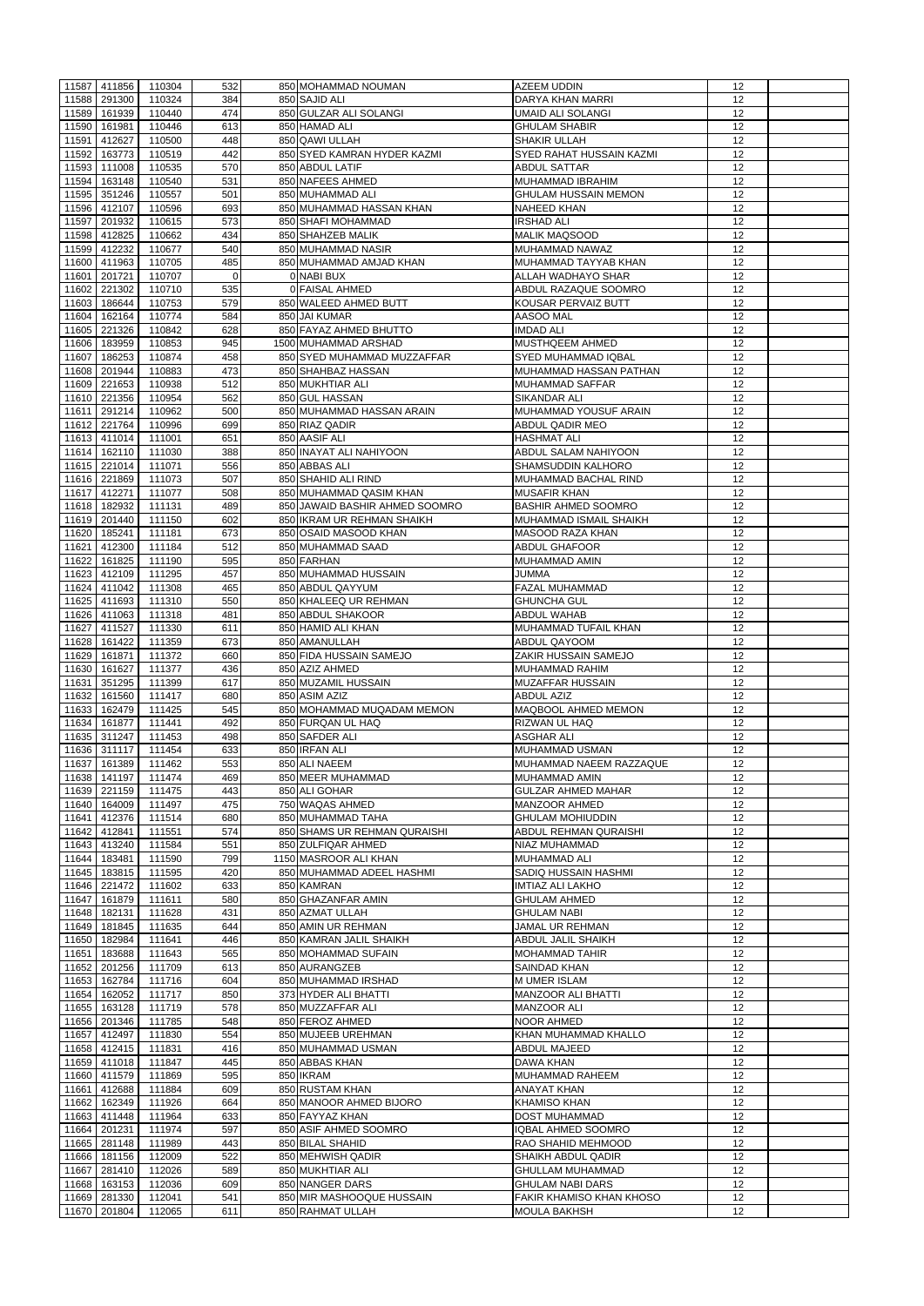|                | 11587 411856 |                  |            |                                      |                                                  | 12 |  |
|----------------|--------------|------------------|------------|--------------------------------------|--------------------------------------------------|----|--|
| 11588          | 291300       | 110304<br>110324 | 532<br>384 | 850 MOHAMMAD NOUMAN<br>850 SAJID ALI | <b>AZEEM UDDIN</b><br>DARYA KHAN MARRI           | 12 |  |
|                | 161939       |                  | 474        | 850 GULZAR ALI SOLANGI               |                                                  | 12 |  |
| 11589<br>11590 | 161981       | 110440           | 613        | 850 HAMAD ALI                        | <b>UMAID ALI SOLANGI</b><br><b>GHULAM SHABIR</b> | 12 |  |
|                |              | 110446           |            |                                      |                                                  |    |  |
| 11591          | 412627       | 110500           | 448        | 850 QAWI ULLAH                       | SHAKIR ULLAH                                     | 12 |  |
| 11592          | 163773       | 110519           | 442        | 850 SYED KAMRAN HYDER KAZMI          | <b>SYED RAHAT HUSSAIN KAZMI</b>                  | 12 |  |
| 11593          | 111008       | 110535           | 570        | 850 ABDUL LATIF                      | <b>ABDUL SATTAR</b>                              | 12 |  |
| 11594          | 163148       | 110540           | 531        | 850 NAFEES AHMED                     | <b>MUHAMMAD IBRAHIM</b>                          | 12 |  |
| 11595          | 351246       | 110557           | 501        | 850 MUHAMMAD ALI                     | <b>GHULAM HUSSAIN MEMON</b>                      | 12 |  |
|                | 11596 412107 | 110596           | 693        | 850 MUHAMMAD HASSAN KHAN             | <b>NAHEED KHAN</b>                               | 12 |  |
| 11597          | 201932       | 110615           | 573        | 850 SHAFI MOHAMMAD                   | <b>IRSHAD ALI</b>                                | 12 |  |
| 11598          | 412825       | 110662           | 434        | 850 SHAHZEB MALIK                    | <b>MALIK MAQSOOD</b>                             | 12 |  |
| 11599          | 412232       | 110677           | 540        | 850 MUHAMMAD NASIR                   | MUHAMMAD NAWAZ                                   | 12 |  |
| 11600          | 411963       | 110705           | 485        | 850 MUHAMMAD AMJAD KHAN              | MUHAMMAD TAYYAB KHAN                             | 12 |  |
| 11601          | 201721       | 110707           | $\Omega$   | 0 NABI BUX                           | <b>ALLAH WADHAYO SHAR</b>                        | 12 |  |
| 11602          | 221302       | 110710           | 535        | 0 FAISAL AHMED                       | ABDUL RAZAQUE SOOMRO                             | 12 |  |
| 11603          | 186644       | 110753           | 579        | 850 WALEED AHMED BUTT                | KOUSAR PERVAIZ BUTT                              | 12 |  |
|                |              |                  | 584        |                                      |                                                  | 12 |  |
| 11604          | 162164       | 110774           |            | 850 JAI KUMAR                        | AASOO MAL                                        |    |  |
| 11605          | 221326       | 110842           | 628        | 850 FAYAZ AHMED BHUTTO               | <b>IMDAD ALI</b>                                 | 12 |  |
| 11606          | 183959       | 110853           | 945        | 1500 MUHAMMAD ARSHAD                 | <b>MUSTHQEEM AHMED</b>                           | 12 |  |
| 11607          | 186253       | 110874           | 458        | 850 SYED MUHAMMAD MUZZAFFAR          | <b>SYED MUHAMMAD IQBAL</b>                       | 12 |  |
| 11608          | 201944       | 110883           | 473        | 850 SHAHBAZ HASSAN                   | MUHAMMAD HASSAN PATHAN                           | 12 |  |
| 11609          | 221653       | 110938           | 512        | 850 MUKHTIAR ALI                     | <b>MUHAMMAD SAFFAR</b>                           | 12 |  |
| 11610          | 221356       | 110954           | 562        | 850 GUL HASSAN                       | SIKANDAR ALI                                     | 12 |  |
| 11611          | 291214       | 110962           | 500        | 850 MUHAMMAD HASSAN ARAIN            | MUHAMMAD YOUSUF ARAIN                            | 12 |  |
| 11612          | 221764       | 110996           | 699        | 850 RIAZ QADIR                       | <b>ABDUL QADIR MEO</b>                           | 12 |  |
| 11613          | 411014       | 111001           | 651        | 850 AASIF ALI                        | <b>HASHMAT ALI</b>                               | 12 |  |
| 11614          | 162110       | 111030           | 388        | 850 INAYAT ALI NAHIYOON              | ABDUL SALAM NAHIYOON                             | 12 |  |
| 11615          | 221014       | 111071           | 556        | 850 ABBAS ALI                        | SHAMSUDDIN KALHORO                               | 12 |  |
| 11616          | 221869       | 111073           | 507        | 850 SHAHID ALI RIND                  | MUHAMMAD BACHAL RIND                             | 12 |  |
| 11617          | 412271       | 111077           | 508        | 850 MUHAMMAD QASIM KHAN              | <b>MUSAFIR KHAN</b>                              | 12 |  |
| 11618          | 182932       | 111131           | 489        | 850 JAWAID BASHIR AHMED SOOMRO       | <b>BASHIR AHMED SOOMRO</b>                       | 12 |  |
|                |              |                  |            |                                      |                                                  |    |  |
| 11619          | 201440       | 111150           | 602        | 850 IKRAM UR REHMAN SHAIKH           | MUHAMMAD ISMAIL SHAIKH                           | 12 |  |
| 11620          | 185241       | 111181           | 673        | 850 OSAID MASOOD KHAN                | <b>MASOOD RAZA KHAN</b>                          | 12 |  |
| 11621          | 412300       | 111184           | 512        | 850 MUHAMMAD SAAD                    | <b>ABDUL GHAFOOR</b>                             | 12 |  |
|                | 11622 161825 | 111190           | 595        | 850 FARHAN                           | <b>MUHAMMAD AMIN</b>                             | 12 |  |
|                | 11623 412109 | 111295           | 457        | 850 MUHAMMAD HUSSAIN                 | <b>JUMMA</b>                                     | 12 |  |
| 11624          | 411042       | 111308           | 465        | 850 ABDUL QAYYUM                     | FAZAL MUHAMMAD                                   | 12 |  |
|                | 11625 411693 | 111310           | 550        | 850 KHALEEQ UR REHMAN                | <b>GHUNCHA GUL</b>                               | 12 |  |
| 11626          | 411063       | 111318           | 481        | 850 ABDUL SHAKOOR                    | <b>ABDUL WAHAB</b>                               | 12 |  |
| 11627          | 411527       | 111330           | 611        | 850 HAMID ALI KHAN                   | MUHAMMAD TUFAIL KHAN                             | 12 |  |
| 11628          | 161422       | 111359           | 673        | 850 AMANULLAH                        | ABDUL QAYOOM                                     | 12 |  |
| 11629          | 161871       | 111372           | 660        | 850 FIDA HUSSAIN SAMEJO              | ZAKIR HUSSAIN SAMEJO                             | 12 |  |
| 11630          | 161627       | 111377           | 436        | 850 AZIZ AHMED                       | MUHAMMAD RAHIM                                   | 12 |  |
| 11631          | 351295       | 111399           | 617        | 850 MUZAMIL HUSSAIN                  | <b>MUZAFFAR HUSSAIN</b>                          | 12 |  |
|                |              |                  |            | 850 ASIM AZIZ                        |                                                  |    |  |
| 11632          | 161560       | 111417           | 680        |                                      | <b>ABDUL AZIZ</b>                                | 12 |  |
| 11633          | 162479       | 111425           | 545        | 850 MOHAMMAD MUQADAM MEMON           | <b>MAQBOOL AHMED MEMON</b>                       | 12 |  |
| 11634          | 161877       | 111441           | 492        | 850 FURQAN UL HAQ                    | <b>RIZWAN UL HAQ</b>                             | 12 |  |
| 11635          | 311247       | 111453           | 498        | 850 SAFDER ALI                       | <b>ASGHAR ALI</b>                                | 12 |  |
| 11636          | 311117       | 111454           | 633        | 850 IRFAN ALI                        | <b>MUHAMMAD USMAN</b>                            | 12 |  |
| 11637          | 161389       | 111462           | 553        | 850 ALI NAEEM                        | MUHAMMAD NAEEM RAZZAQUE                          | 12 |  |
| 11638          | 141197       | 111474           | 469        | 850 MEER MUHAMMAD                    | MUHAMMAD AMIN                                    | 12 |  |
| 11639          | 221159       | 111475           | 443        | 850 ALI GOHAR                        | <b>GULZAR AHMED MAHAR</b>                        | 12 |  |
| 11640          | 164009       | 111497           | 475        | 750 WAQAS AHMED                      | <b>MANZOOR AHMED</b>                             | 12 |  |
| 11641          | 412376       | 111514           | 680        | 850 MUHAMMAD TAHA                    | <b>GHULAM MOHIUDDIN</b>                          | 12 |  |
| 11642          | 412841       | 111551           | 574        | 850 SHAMS UR REHMAN QURAISHI         | ABDUL REHMAN QURAISHI                            | 12 |  |
| 11643          | 413240       | 111584           | 551        | 850 ZULFIQAR AHMED                   | NIAZ MUHAMMAD                                    | 12 |  |
| 11644          | 183481       | 111590           | 799        | 1150 MASROOR ALI KHAN                | <b>MUHAMMAD ALI</b>                              | 12 |  |
| 11645          | 183815       | 111595           | 420        | 850 MUHAMMAD ADEEL HASHMI            | SADIQ HUSSAIN HASHMI                             | 12 |  |
| 11646          | 221472       | 111602           | 633        | 850 KAMRAN                           | <b>IMTIAZ ALI LAKHO</b>                          | 12 |  |
| 11647          | 161879       | 111611           | 580        | 850 GHAZANFAR AMIN                   | <b>GHULAM AHMED</b>                              | 12 |  |
| 11648          | 182131       | 111628           | 431        | 850 AZMAT ULLAH                      | <b>GHULAM NABI</b>                               | 12 |  |
|                |              |                  | 644        |                                      |                                                  |    |  |
| 11649          | 181845       | 111635           |            | 850 AMIN UR REHMAN                   | <b>JAMAL UR REHMAN</b>                           | 12 |  |
| 11650          | 182984       | 111641           | 446        | 850 KAMRAN JALIL SHAIKH              | <b>ABDUL JALIL SHAIKH</b>                        | 12 |  |
| 11651          |              |                  |            |                                      |                                                  |    |  |
|                | 183688       | 111643           | 565        | 850 MOHAMMAD SUFAIN                  | <b>MOHAMMAD TAHIR</b>                            | 12 |  |
| 11652          | 201256       | 111709           | 613        | 850 AURANGZEB                        | <b>SAINDAD KHAN</b>                              | 12 |  |
| 11653          | 162784       | 111716           | 604        | 850 MUHAMMAD IRSHAD                  | <b>MUMER ISLAM</b>                               | 12 |  |
| 11654          | 162052       | 111717           | 850        | 373 HYDER ALI BHATTI                 | <b>MANZOOR ALI BHATTI</b>                        | 12 |  |
| 11655          | 163128       | 111719           | 578        | 850 MUZZAFFAR ALI                    | <b>MANZOOR ALI</b>                               | 12 |  |
| 11656          | 201346       | 111785           | 548        | 850 FEROZ AHMED                      | <b>NOOR AHMED</b>                                | 12 |  |
| 11657          | 412497       | 111830           | 554        | 850 MUJEEB UREHMAN                   | KHAN MUHAMMAD KHALLO                             | 12 |  |
| 11658          | 412415       | 111831           | 416        | 850 MUHAMMAD USMAN                   | <b>ABDUL MAJEED</b>                              | 12 |  |
|                |              | 111847           |            |                                      |                                                  | 12 |  |
|                | 11659 411018 |                  | 445        | 850 ABBAS KHAN                       | <b>DAWA KHAN</b>                                 |    |  |
|                | 11660 411579 | 111869           | 595        | 850 IKRAM                            | <b>MUHAMMAD RAHEEM</b>                           | 12 |  |
| 11661          | 412688       | 111884           | 609        | 850 RUSTAM KHAN                      | <b>ANAYAT KHAN</b>                               | 12 |  |
|                | 11662 162349 | 111926           | 664        | 850 MANOOR AHMED BIJORO              | <b>KHAMISO KHAN</b>                              | 12 |  |
| 11663          | 411448       | 111964           | 633        | 850 FAYYAZ KHAN                      | <b>DOST MUHAMMAD</b>                             | 12 |  |
| 11664          | 201231       | 111974           | 597        | 850 ASIF AHMED SOOMRO                | IQBAL AHMED SOOMRO                               | 12 |  |
| 11665          | 281148       | 111989           | 443        | 850 BILAL SHAHID                     | <b>RAO SHAHID MEHMOOD</b>                        | 12 |  |
| 11666          | 181156       | 112009           | 522        | 850 MEHWISH QADIR                    | <b>SHAIKH ABDUL QADIR</b>                        | 12 |  |
| 11667          | 281410       | 112026           | 589        | 850 MUKHTIAR ALI                     | <b>GHULLAM MUHAMMAD</b>                          | 12 |  |
| 11668          | 163153       | 112036           | 609        | 850 NANGER DARS                      | <b>GHULAM NABI DARS</b>                          | 12 |  |
| 11669          | 281330       | 112041           | 541        | 850 MIR MASHOOQUE HUSSAIN            | <b>FAKIR KHAMISO KHAN KHOSO</b>                  | 12 |  |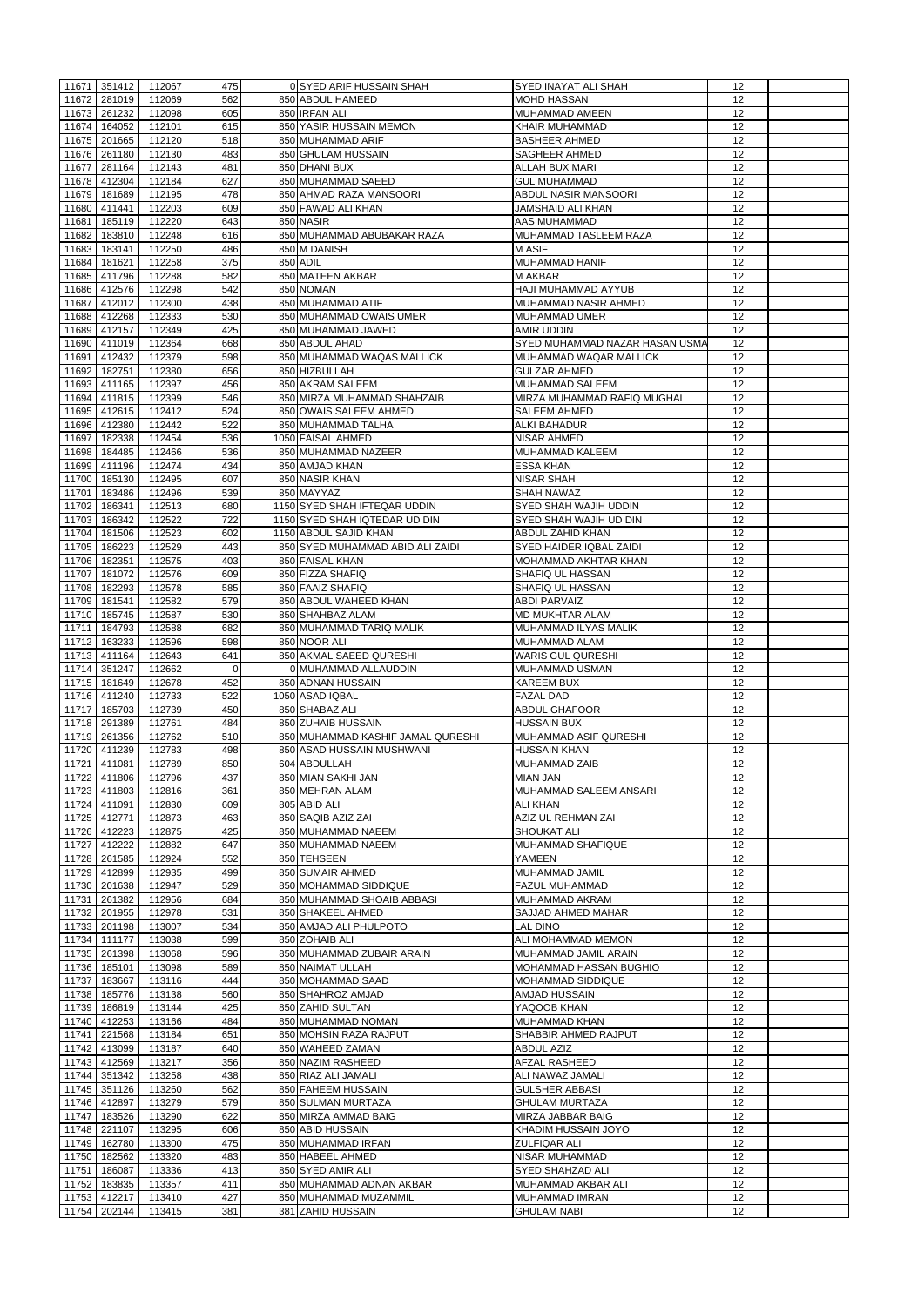| 11671          | 351412                       | 112067           | 475        | 0 SYED ARIF HUSSAIN SHAH                      | <b>SYED INAYAT ALI SHAH</b>                              | 12       |  |
|----------------|------------------------------|------------------|------------|-----------------------------------------------|----------------------------------------------------------|----------|--|
|                |                              |                  | 562        |                                               |                                                          |          |  |
| 11672          | 281019                       | 112069           |            | 850 ABDUL HAMEED                              | <b>MOHD HASSAN</b>                                       | 12       |  |
| 11673          | 261232                       | 112098           | 605        | 850 IRFAN ALI                                 | <b>MUHAMMAD AMEEN</b>                                    | 12       |  |
| 11674          | 164052                       | 112101           | 615        | 850 YASIR HUSSAIN MEMON                       | <b>KHAIR MUHAMMAD</b>                                    | 12       |  |
| 11675          | 201665                       | 112120           | 518        | 850 MUHAMMAD ARIF                             | <b>BASHEER AHMED</b>                                     | 12       |  |
| 11676          | 261180                       | 112130           | 483        | 850 GHULAM HUSSAIN                            | <b>SAGHEER AHMED</b>                                     | 12       |  |
| 11677          | 281164                       | 112143           | 481        | 850 DHANI BUX                                 | ALLAH BUX MARI                                           | 12       |  |
| 11678          | 412304                       | 112184           | 627        | 850 MUHAMMAD SAEED                            | <b>GUL MUHAMMAD</b>                                      | 12       |  |
| 11679          | 181689                       | 112195           | 478        | 850 AHMAD RAZA MANSOORI                       | ABDUL NASIR MANSOORI                                     | 12       |  |
| 11680          | 411441                       | 112203           | 609        | 850 FAWAD ALI KHAN                            | JAMSHAID ALI KHAN                                        | 12       |  |
| 11681          | 185119                       | 112220           | 643        | 850 NASIR                                     | AAS MUHAMMAD                                             | 12       |  |
| 11682          | 183810                       | 112248           | 616        | 850 MUHAMMAD ABUBAKAR RAZA                    | MUHAMMAD TASLEEM RAZA                                    | 12       |  |
| 11683          | 183141                       | 112250           | 486        | 850 M DANISH                                  | <b>MASIF</b>                                             | 12       |  |
| 11684          | 181621                       | 112258           | 375        | 850 ADIL                                      | <b>MUHAMMAD HANIF</b>                                    | 12       |  |
| 11685          | 411796                       | 112288           | 582        | 850 MATEEN AKBAR                              | <b>M AKBAR</b>                                           | 12       |  |
| 11686          | 412576                       | 112298           | 542        | 850 NOMAN                                     | HAJI MUHAMMAD AYYUB                                      | 12       |  |
| 11687          | 412012                       | 112300           | 438        | 850 MUHAMMAD ATIF                             | IMUHAMMAD NASIR AHMED                                    | 12       |  |
| 11688          | 412268                       | 112333           | 530<br>425 | 850 MUHAMMAD OWAIS UMER<br>850 MUHAMMAD JAWED | <b>MUHAMMAD UMER</b><br><b>AMIR UDDIN</b>                | 12<br>12 |  |
| 11689<br>11690 | 412157                       | 112349<br>112364 | 668        |                                               |                                                          |          |  |
| 11691          | 411019<br>412432             | 112379           | 598        | 850 ABDUL AHAD<br>850 MUHAMMAD WAQAS MALLICK  | SYED MUHAMMAD NAZAR HASAN USMA<br>MUHAMMAD WAQAR MALLICK | 12<br>12 |  |
|                |                              |                  | 656        |                                               |                                                          | 12       |  |
| 11692          | 182751                       | 112380           | 456        | 850 HIZBULLAH<br>850 AKRAM SALEEM             | <b>GULZAR AHMED</b><br><b>MUHAMMAD SALEEM</b>            |          |  |
| 11693          | 411165                       | 112397           |            |                                               |                                                          | 12       |  |
| 11694          | 411815                       | 112399           | 546        | 850 MIRZA MUHAMMAD SHAHZAIB                   | MIRZA MUHAMMAD RAFIQ MUGHAL                              | 12       |  |
| 11695          | 412615                       | 112412           | 524        | 850 OWAIS SALEEM AHMED                        | <b>SALEEM AHMED</b>                                      | 12       |  |
| 11696          | 412380                       | 112442           | 522        | 850 MUHAMMAD TALHA                            | ALKI BAHADUR                                             | 12       |  |
| 11697          | 182338                       | 112454           | 536        | 1050 FAISAL AHMED                             | <b>NISAR AHMED</b>                                       | 12       |  |
| 11698          | 184485                       | 112466           | 536        | 850 MUHAMMAD NAZEER                           | <b>MUHAMMAD KALEEM</b>                                   | 12       |  |
| 11699          | 411196                       | 112474           | 434        | 850 AMJAD KHAN                                | <b>ESSA KHAN</b>                                         | 12       |  |
| 11700          | 185130                       | 112495           | 607        | 850 NASIR KHAN                                | <b>NISAR SHAH</b>                                        | 12       |  |
| 11701          | 183486                       | 112496           | 539        | 850 MAYYAZ                                    | <b>SHAH NAWAZ</b>                                        | 12       |  |
| 11702          | 186341                       | 112513           | 680        | 1150 SYED SHAH IFTEQAR UDDIN                  | <b>SYED SHAH WAJIH UDDIN</b>                             | 12       |  |
| 11703          | 186342                       | 112522           | 722        | 1150 SYED SHAH IQTEDAR UD DIN                 | <b>SYED SHAH WAJIH UD DIN</b>                            | 12       |  |
| 11704          | 181506                       | 112523           | 602        | 1150 ABDUL SAJID KHAN                         | <b>ABDUL ZAHID KHAN</b>                                  | 12       |  |
| 11705          | 186223                       | 112529           | 443        | 850 SYED MUHAMMAD ABID ALI ZAIDI              | <b>SYED HAIDER IQBAL ZAIDI</b>                           | 12       |  |
|                | 11706 182351                 | 112575           | 403        | 850 FAISAL KHAN                               | MOHAMMAD AKHTAR KHAN                                     | 12       |  |
|                | 11707 181072                 | 112576           | 609        | 850 FIZZA SHAFIQ                              | <b>SHAFIQ UL HASSAN</b>                                  | 12       |  |
| 11708          | 182293                       | 112578           | 585        | 850 FAAIZ SHAFIQ                              | <b>SHAFIQ UL HASSAN</b>                                  | 12       |  |
|                | 11709 181541                 | 112582           | 579        | 850 ABDUL WAHEED KHAN                         | <b>ABDI PARVAIZ</b>                                      | 12       |  |
| 11710          | 185745                       | 112587           | 530        | 850 SHAHBAZ ALAM                              | <b>MD MUKHTAR ALAM</b>                                   | 12       |  |
| 11711          | 184793                       | 112588           | 682        | 850 MUHAMMAD TARIQ MALIK                      | MUHAMMAD ILYAS MALIK                                     | 12       |  |
|                | 11712 163233                 | 112596           | 598        | 850 NOOR ALI                                  | MUHAMMAD ALAM                                            | 12       |  |
|                | 11713 411164                 | 112643           | 641        | 850 AKMAL SAEED QURESHI                       | <b>WARIS GUL QURESHI</b>                                 | 12       |  |
| 11714          | 351247                       | 112662           | $\Omega$   | 0 MUHAMMAD ALLAUDDIN                          | MUHAMMAD USMAN                                           | 12       |  |
|                | 11715 181649                 | 112678           | 452        | 850 ADNAN HUSSAIN                             | <b>KAREEM BUX</b>                                        | 12       |  |
|                | 11716 411240                 | 112733           | 522        | 1050 ASAD IQBAL                               | <b>FAZAL DAD</b>                                         | 12       |  |
| 11717          | 185703                       | 112739           | 450        | 850 SHABAZ ALI                                | ABDUL GHAFOOR                                            | 12       |  |
| 11718          | 291389                       | 112761           | 484        | 850 ZUHAIB HUSSAIN                            | <b>HUSSAIN BUX</b>                                       | 12       |  |
| 11719          | 261356                       | 112762           | 510        | 850 MUHAMMAD KASHIF JAMAL QURESHI             | MUHAMMAD ASIF QURESHI                                    | 12       |  |
| 11720          | 411239                       | 112783           | 498        | 850 ASAD HUSSAIN MUSHWANI                     | <b>HUSSAIN KHAN</b>                                      | 12       |  |
| 11721          | 411081                       | 112789           | 850        | 604 ABDULLAH                                  | <b>MUHAMMAD ZAIB</b>                                     | 12       |  |
| 11722          | 411806                       | 112796           | 437        | 850 MIAN SAKHI JAN                            | <b>MIAN JAN</b>                                          | 12       |  |
| 11723          | 411803                       | 112816           | 361        | 850 MEHRAN ALAM                               | MUHAMMAD SALEEM ANSARI                                   | 12       |  |
| 11724          | 411091                       | 112830           | 609        | 805 ABID ALI                                  | <b>ALI KHAN</b>                                          | 12       |  |
| 11725          | 412771                       | 112873           | 463        | 850 SAQIB AZIZ ZAI                            | AZIZ UL REHMAN ZAI                                       | 12       |  |
| 11726          | 412223                       | 112875           | 425        | 850 MUHAMMAD NAEEM                            | <b>SHOUKAT ALI</b>                                       | 12       |  |
| 11727          | 412222                       | 112882           | 647<br>552 | 850 MUHAMMAD NAEEM                            | MUHAMMAD SHAFIQUE                                        | 12       |  |
| 11728          | 261585                       | 112924           |            | 850 TEHSEEN                                   | <b>YAMEEN</b>                                            | 12       |  |
|                | 11729 412899<br>11730 201638 | 112935<br>112947 | 499<br>529 | 850 SUMAIR AHMED<br>850 MOHAMMAD SIDDIQUE     | MUHAMMAD JAMIL<br><b>FAZUL MUHAMMAD</b>                  | 12<br>12 |  |
| 11731          | 261382                       | 112956           | 684        | 850 MUHAMMAD SHOAIB ABBASI                    | MUHAMMAD AKRAM                                           | 12       |  |
|                | 11732 201955                 | 112978           | 531        | 850 SHAKEEL AHMED                             | <b>SAJJAD AHMED MAHAR</b>                                | 12       |  |
| 11733          | 201198                       | 113007           | 534        | 850 AMJAD ALI PHULPOTO                        | <b>LAL DINO</b>                                          | 12       |  |
| 11734          | 111177                       | 113038           | 599        | 850 ZOHAIB ALI                                | ALI MOHAMMAD MEMON                                       | 12       |  |
| 11735          | 261398                       | 113068           | 596        | 850 MUHAMMAD ZUBAIR ARAIN                     | MUHAMMAD JAMIL ARAIN                                     | 12       |  |
| 11736          | 185101                       | 113098           | 589        | 850 NAIMAT ULLAH                              | <b>MOHAMMAD HASSAN BUGHIO</b>                            | 12       |  |
| 11737          | 183667                       | 113116           | 444        | 850 MOHAMMAD SAAD                             | <b>MOHAMMAD SIDDIQUE</b>                                 | 12       |  |
| 11738          | 185776                       | 113138           | 560        | 850 SHAHROZ AMJAD                             | AMJAD HUSSAIN                                            | 12       |  |
| 11739          | 186819                       | 113144           | 425        | 850 ZAHID SULTAN                              | YAQOOB KHAN                                              | 12       |  |
| 11740          | 412253                       | 113166           | 484        | 850 MUHAMMAD NOMAN                            | MUHAMMAD KHAN                                            | 12       |  |
| 11741          | 221568                       | 113184           | 651        | 850 MOHSIN RAZA RAJPUT                        | SHABBIR AHMED RAJPUT                                     | 12       |  |
|                | 11742 413099                 | 113187           | 640        | 850 WAHEED ZAMAN                              | ABDUL AZIZ                                               | 12       |  |
|                | 11743 412569                 | 113217           | 356        | 850 NAZIM RASHEED                             | <b>AFZAL RASHEED</b>                                     | 12       |  |
|                | 11744 351342                 | 113258           | 438        | 850 RIAZ ALI JAMALI                           | ALI NAWAZ JAMALI                                         | 12       |  |
|                | 11745 351126                 | 113260           | 562        | 850 FAHEEM HUSSAIN                            | <b>GULSHER ABBASI</b>                                    | 12       |  |
|                | 11746 412897                 | 113279           | 579        | 850 SULMAN MURTAZA                            | <b>GHULAM MURTAZA</b>                                    | 12       |  |
| 11747          | 183526                       | 113290           | 622        | 850 MIRZA AMMAD BAIG                          | <b>MIRZA JABBAR BAIG</b>                                 | 12       |  |
|                | 11748 221107                 | 113295           | 606        | 850 ABID HUSSAIN                              | KHADIM HUSSAIN JOYO                                      | 12       |  |
| 11749          | 162780                       | 113300           | 475        | 850 MUHAMMAD IRFAN                            | <b>ZULFIQAR ALI</b>                                      | 12       |  |
| 11750          | 182562                       | 113320           | 483        | 850 HABEEL AHMED                              | <b>NISAR MUHAMMAD</b>                                    | 12       |  |
| 11751          | 186087                       | 113336           | 413        | 850 SYED AMIR ALI                             | <b>SYED SHAHZAD ALI</b>                                  | 12       |  |
| 11752          | 183835                       | 113357           | 411        | 850 MUHAMMAD ADNAN AKBAR                      | MUHAMMAD AKBAR ALI                                       | 12       |  |
| 11753          | 412217                       | 113410           | 427        | 850 MUHAMMAD MUZAMMIL                         | MUHAMMAD IMRAN                                           | 12       |  |
|                | 202144                       | 113415           | 381        | 381 ZAHID HUSSAIN                             | <b>GHULAM NABI</b>                                       | 12       |  |
| 11754          |                              |                  |            |                                               |                                                          |          |  |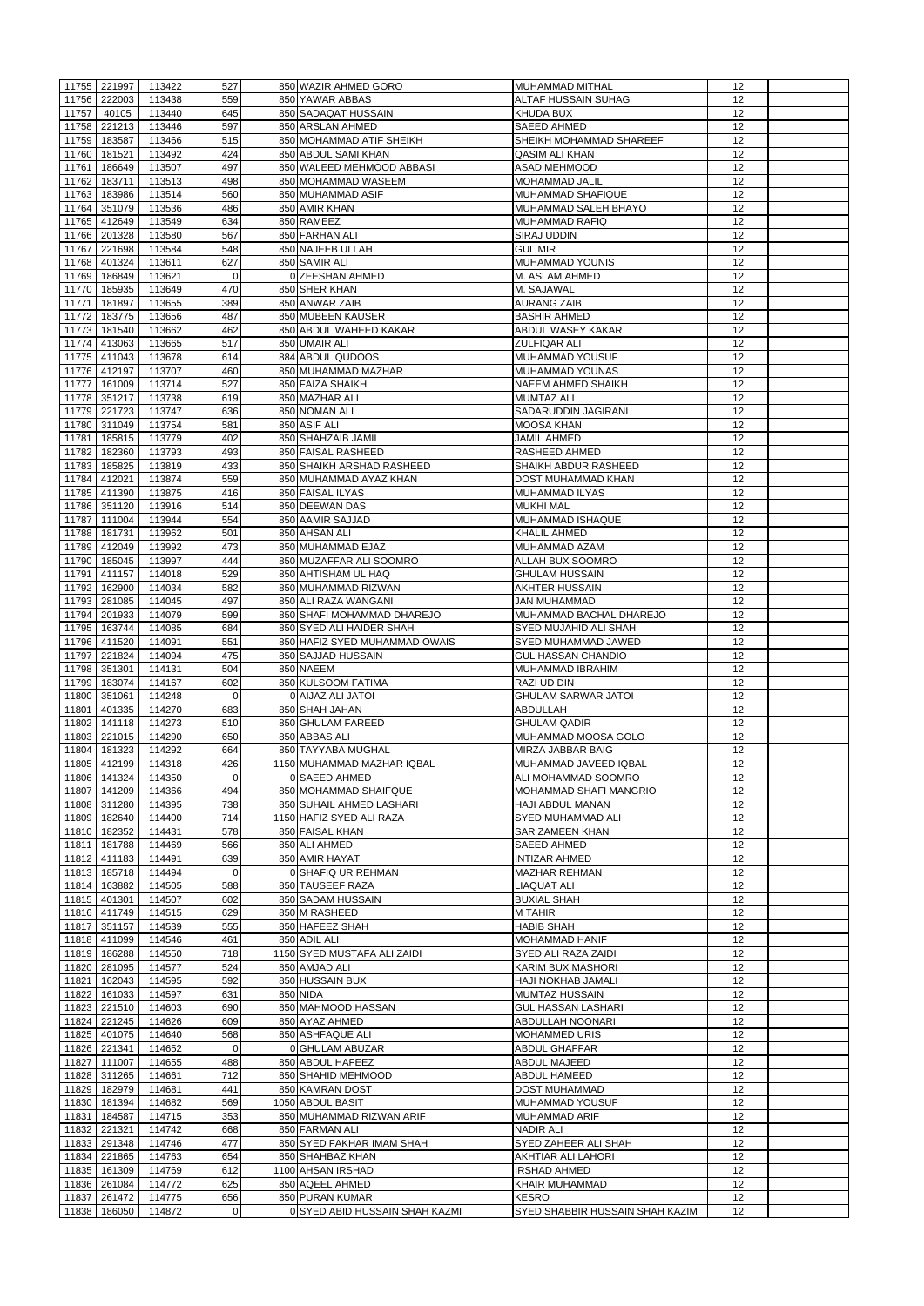|                | 11755 221997   | 113422 | 527            | 850 WAZIR AHMED GORO                              | MUHAMMAD MITHAL                                        | 12       |  |
|----------------|----------------|--------|----------------|---------------------------------------------------|--------------------------------------------------------|----------|--|
| 11756          |                |        | 559            |                                                   |                                                        |          |  |
|                | 222003         | 113438 | 645            | 850 YAWAR ABBAS                                   | <b>ALTAF HUSSAIN SUHAG</b>                             | 12       |  |
| 11757          | 40105          | 113440 |                | 850 SADAQAT HUSSAIN                               | KHUDA BUX                                              | 12       |  |
| 11758          | 221213         | 113446 | 597            | 850 ARSLAN AHMED                                  | <b>SAEED AHMED</b>                                     | 12       |  |
| 11759          | 183587         | 113466 | 515            | 850 MOHAMMAD ATIF SHEIKH                          | SHEIKH MOHAMMAD SHAREEF                                | 12       |  |
| 11760          | 181521         | 113492 | 424            | 850 ABDUL SAMI KHAN                               | <b>QASIM ALI KHAN</b>                                  | 12       |  |
| 11761          | 186649         | 113507 | 497            | 850 WALEED MEHMOOD ABBASI                         | <b>ASAD MEHMOOD</b>                                    | 12       |  |
| 11762          | 183711         | 113513 | 498            | 850 MOHAMMAD WASEEM                               | <b>MOHAMMAD JALIL</b>                                  | 12       |  |
| 11763          | 183986         | 113514 | 560            | 850 MUHAMMAD ASIF                                 | MUHAMMAD SHAFIQUE                                      | 12       |  |
| 11764          | 351079         | 113536 | 486            | 850 AMIR KHAN                                     | MUHAMMAD SALEH BHAYO                                   | 12       |  |
| 11765          | 412649         | 113549 | 634            | 850 RAMEEZ                                        | <b>MUHAMMAD RAFIQ</b>                                  | 12       |  |
| 11766          | 201328         | 113580 | 567            | 850 FARHAN ALI                                    | <b>SIRAJ UDDIN</b>                                     | 12       |  |
| 11767          | 221698         | 113584 | 548            | 850 NAJEEB ULLAH                                  | <b>GUL MIR</b>                                         | 12       |  |
| 11768          | 401324         | 113611 | 627            | 850 SAMIR ALI                                     | <b>MUHAMMAD YOUNIS</b>                                 | 12       |  |
| 11769          | 186849         | 113621 | $\Omega$       | 0 ZEESHAN AHMED                                   | M. ASLAM AHMED                                         | 12       |  |
| 11770          | 185935         | 113649 | 470            | 850 SHER KHAN                                     | M. SAJAWAL                                             | 12       |  |
|                |                |        |                |                                                   |                                                        |          |  |
| 11771          | 181897         | 113655 | 389            | 850 ANWAR ZAIB                                    | <b>AURANG ZAIB</b>                                     | 12       |  |
| 11772          | 183775         | 113656 | 487            | 850 MUBEEN KAUSER                                 | <b>BASHIR AHMED</b>                                    | 12       |  |
| 11773          | 181540         | 113662 | 462            | 850 ABDUL WAHEED KAKAR                            | ABDUL WASEY KAKAR                                      | 12       |  |
| 11774          | 413063         | 113665 | 517            | 850 UMAIR ALI                                     | <b>ZULFIQAR ALI</b>                                    | 12       |  |
| 11775          | 411043         | 113678 | 614            | 884 ABDUL QUDOOS                                  | <b>MUHAMMAD YOUSUF</b>                                 | 12       |  |
| 11776          | 412197         | 113707 | 460            | 850 MUHAMMAD MAZHAR                               | MUHAMMAD YOUNAS                                        | 12       |  |
| 11777          | 161009         | 113714 | 527            | 850 FAIZA SHAIKH                                  | <b>NAEEM AHMED SHAIKH</b>                              | 12       |  |
| 11778          | 351217         | 113738 | 619            | 850 MAZHAR ALI                                    | <b>MUMTAZ ALI</b>                                      | 12       |  |
| 11779          | 221723         | 113747 | 636            | 850 NOMAN ALI                                     | <b>SADARUDDIN JAGIRANI</b>                             | 12       |  |
| 11780          | 311049         | 113754 | 581            | 850 ASIF ALI                                      | <b>MOOSA KHAN</b>                                      | 12       |  |
| 11781          | 185815         | 113779 | 402            | 850 SHAHZAIB JAMIL                                | JAMIL AHMED                                            | 12       |  |
|                |                |        | 493            |                                                   |                                                        |          |  |
| 11782          | 182360         | 113793 |                | 850 FAISAL RASHEED                                | <b>RASHEED AHMED</b>                                   | 12       |  |
| 11783          | 185825         | 113819 | 433            | 850 SHAIKH ARSHAD RASHEED                         | <b>SHAIKH ABDUR RASHEED</b>                            | 12       |  |
| 11784          | 412021         | 113874 | 559            | 850 MUHAMMAD AYAZ KHAN                            | <b>DOST MUHAMMAD KHAN</b>                              | 12       |  |
| 11785          | 411390         | 113875 | 416            | 850 FAISAL ILYAS                                  | <b>MUHAMMAD ILYAS</b>                                  | 12       |  |
| 11786          | 351120         | 113916 | 514            | 850 DEEWAN DAS                                    | <b>MUKHI MAL</b>                                       | 12       |  |
| 11787          | 111004         | 113944 | 554            | 850 AAMIR SAJJAD                                  | MUHAMMAD ISHAQUE                                       | 12       |  |
| 11788          | 181731         | 113962 | 501            | 850 AHSAN ALI                                     | <b>KHALIL AHMED</b>                                    | 12       |  |
| 11789          | 412049         | 113992 | 473            | 850 MUHAMMAD EJAZ                                 | MUHAMMAD AZAM                                          | 12       |  |
|                | 11790 185045   | 113997 | 444            | 850 MUZAFFAR ALI SOOMRO                           | ALLAH BUX SOOMRO                                       | 12       |  |
|                | 11791   411157 | 114018 | 529            | 850 AHTISHAM UL HAQ                               | <b>GHULAM HUSSAIN</b>                                  | 12       |  |
| 11792          | 162900         | 114034 | 582            | 850 MUHAMMAD RIZWAN                               | AKHTER HUSSAIN                                         | 12       |  |
|                |                |        |                |                                                   |                                                        |          |  |
|                | 11793 281085   | 114045 | 497            | 850 ALI RAZA WANGANI                              | JAN MUHAMMAD                                           | 12       |  |
| 11794          | 201933         | 114079 | 599            | 850 SHAFI MOHAMMAD DHAREJO                        | MUHAMMAD BACHAL DHAREJO                                | 12       |  |
| 11795          | 163744         | 114085 | 684            | 850 SYED ALI HAIDER SHAH                          | SYED MUJAHID ALI SHAH                                  | 12       |  |
| 11796          | 411520         | 114091 | 551            | 850 HAFIZ SYED MUHAMMAD OWAIS                     | <b>SYED MUHAMMAD JAWED</b>                             | 12       |  |
| 11797          | 221824         | 114094 | 475            | 850 SAJJAD HUSSAIN                                |                                                        |          |  |
|                |                |        |                |                                                   | <b>GUL HASSAN CHANDIO</b>                              | 12       |  |
| 11798          | 351301         | 114131 | 504            | 850 NAEEM                                         | MUHAMMAD IBRAHIM                                       | 12       |  |
| 11799          | 183074         | 114167 | 602            |                                                   | RAZI UD DIN                                            | 12       |  |
|                |                |        | $\Omega$       | 850 KULSOOM FATIMA                                |                                                        |          |  |
| 11800          | 351061         | 114248 |                | 0 AIJAZ ALI JATOI                                 | <b>GHULAM SARWAR JATOI</b>                             | 12       |  |
| 11801          | 401335         | 114270 | 683            | 850 SHAH JAHAN                                    | ABDULLAH                                               | 12       |  |
| 11802          | 141118         | 114273 | 510            | 850 GHULAM FAREED                                 | <b>GHULAM QADIR</b>                                    | 12       |  |
| 11803          | 221015         | 114290 | 650            | 850 ABBAS ALI                                     | MUHAMMAD MOOSA GOLO                                    | 12       |  |
| 11804          | 181323         | 114292 | 664            | 850 TAYYABA MUGHAL                                | MIRZA JABBAR BAIG                                      | 12       |  |
| 11805          | 412199         | 114318 | 426            | 1150 MUHAMMAD MAZHAR IQBAL                        | MUHAMMAD JAVEED IQBAL                                  | 12       |  |
| 11806          | 141324         | 114350 | $\overline{0}$ | 0 SAEED AHMED                                     | ALI MOHAMMAD SOOMRO                                    | 12       |  |
| 11807          | 141209         | 114366 | 494            | 850 MOHAMMAD SHAIFQUE                             | <b>MOHAMMAD SHAFI MANGRIO</b>                          | 12       |  |
| 11808          | 311280         | 114395 | 738            | 850 SUHAIL AHMED LASHARI                          | <b>HAJI ABDUL MANAN</b>                                | 12       |  |
| 11809          | 182640         | 114400 | 714            | 1150 HAFIZ SYED ALI RAZA                          | <b>SYED MUHAMMAD ALI</b>                               | 12       |  |
|                |                |        |                |                                                   |                                                        |          |  |
| 11810          | 182352         | 114431 | 578            | 850 FAISAL KHAN                                   | <b>SAR ZAMEEN KHAN</b>                                 | 12       |  |
| 11811          | 181788         | 114469 | 566            | 850 ALI AHMED                                     | SAEED AHMED                                            | 12       |  |
| 11812          | 411183         | 114491 | 639            | 850 AMIR HAYAT                                    | <b>INTIZAR AHMED</b>                                   | 12       |  |
|                | 11813 185718   | 114494 | $\Omega$       | 0 SHAFIQ UR REHMAN                                | <b>MAZHAR REHMAN</b>                                   | 12       |  |
| 11814          | 163882         | 114505 | 588            | 850 TAUSEEF RAZA                                  | <b>LIAQUAT ALI</b>                                     | 12       |  |
| 11815          | 401301         | 114507 | 602            | 850 SADAM HUSSAIN                                 | <b>BUXIAL SHAH</b>                                     | 12       |  |
|                | 11816 411749   | 114515 | 629            | 850 M RASHEED                                     | <b>M TAHIR</b>                                         | 12       |  |
| 11817          | 351157         | 114539 | 555            | 850 HAFEEZ SHAH                                   | <b>HABIB SHAH</b>                                      | 12       |  |
|                | 11818 411099   | 114546 | 461            | 850 ADIL ALI                                      | <b>MOHAMMAD HANIF</b>                                  | 12       |  |
| 11819          | 186288         | 114550 | 718            | 1150 SYED MUSTAFA ALI ZAIDI                       | <b>SYED ALI RAZA ZAIDI</b>                             | 12       |  |
|                |                |        |                |                                                   |                                                        |          |  |
| 11820          | 281095         | 114577 | 524            | 850 AMJAD ALI                                     | <b>KARIM BUX MASHORI</b>                               | 12       |  |
| 11821          | 162043         | 114595 | 592            | 850 HUSSAIN BUX                                   | <b>HAJI NOKHAB JAMALI</b>                              | 12       |  |
| 11822          | 161033         | 114597 | 631            | <b>850 NIDA</b>                                   | <b>MUMTAZ HUSSAIN</b>                                  | 12       |  |
| 11823          | 221510         | 114603 | 690            | 850 MAHMOOD HASSAN                                | <b>GUL HASSAN LASHARI</b>                              | 12       |  |
| 11824          | 221245         | 114626 | 609            | 850 AYAZ AHMED                                    | ABDULLAH NOONARI                                       | 12       |  |
| 11825          | 401075         | 114640 | 568            | 850 ASHFAQUE ALI                                  | <b>MOHAMMED URIS</b>                                   | 12       |  |
| 11826          | 221341         | 114652 | $\Omega$       | 0 GHULAM ABUZAR                                   | <b>ABDUL GHAFFAR</b>                                   | 12       |  |
|                | 11827 111007   | 114655 | 488            | 850 ABDUL HAFEEZ                                  | <b>ABDUL MAJEED</b>                                    | 12       |  |
|                | 11828 311265   | 114661 | 712            | 850 SHAHID MEHMOOD                                | ABDUL HAMEED                                           | 12       |  |
|                | 11829 182979   | 114681 | 441            | 850 KAMRAN DOST                                   | DOST MUHAMMAD                                          | 12       |  |
|                | 11830 181394   | 114682 | 569            | 1050 ABDUL BASIT                                  | MUHAMMAD YOUSUF                                        | 12       |  |
|                | 184587         |        |                | 850 MUHAMMAD RIZWAN ARIF                          | MUHAMMAD ARIF                                          |          |  |
| 11831          |                | 114715 | 353            |                                                   |                                                        | 12       |  |
|                | 11832 221321   | 114742 | 668            | 850 FARMAN ALI                                    | <b>NADIR ALI</b>                                       | 12       |  |
| 11833          | 291348         | 114746 | 477            | 850 SYED FAKHAR IMAM SHAH                         | <b>SYED ZAHEER ALI SHAH</b>                            | 12       |  |
| 11834          | 221865         | 114763 | 654            | 850 SHAHBAZ KHAN                                  | AKHTIAR ALI LAHORI                                     | 12       |  |
| 11835          | 161309         | 114769 | 612            | 1100 AHSAN IRSHAD                                 | <b>IRSHAD AHMED</b>                                    | 12       |  |
| 11836          | 261084         | 114772 | 625            | 850 AQEEL AHMED                                   | <b>KHAIR MUHAMMAD</b>                                  | 12       |  |
| 11837<br>11838 | 261472         | 114775 | 656            | 850 PURAN KUMAR<br>0 SYED ABID HUSSAIN SHAH KAZMI | <b>KESRO</b><br><b>SYED SHABBIR HUSSAIN SHAH KAZIM</b> | 12<br>12 |  |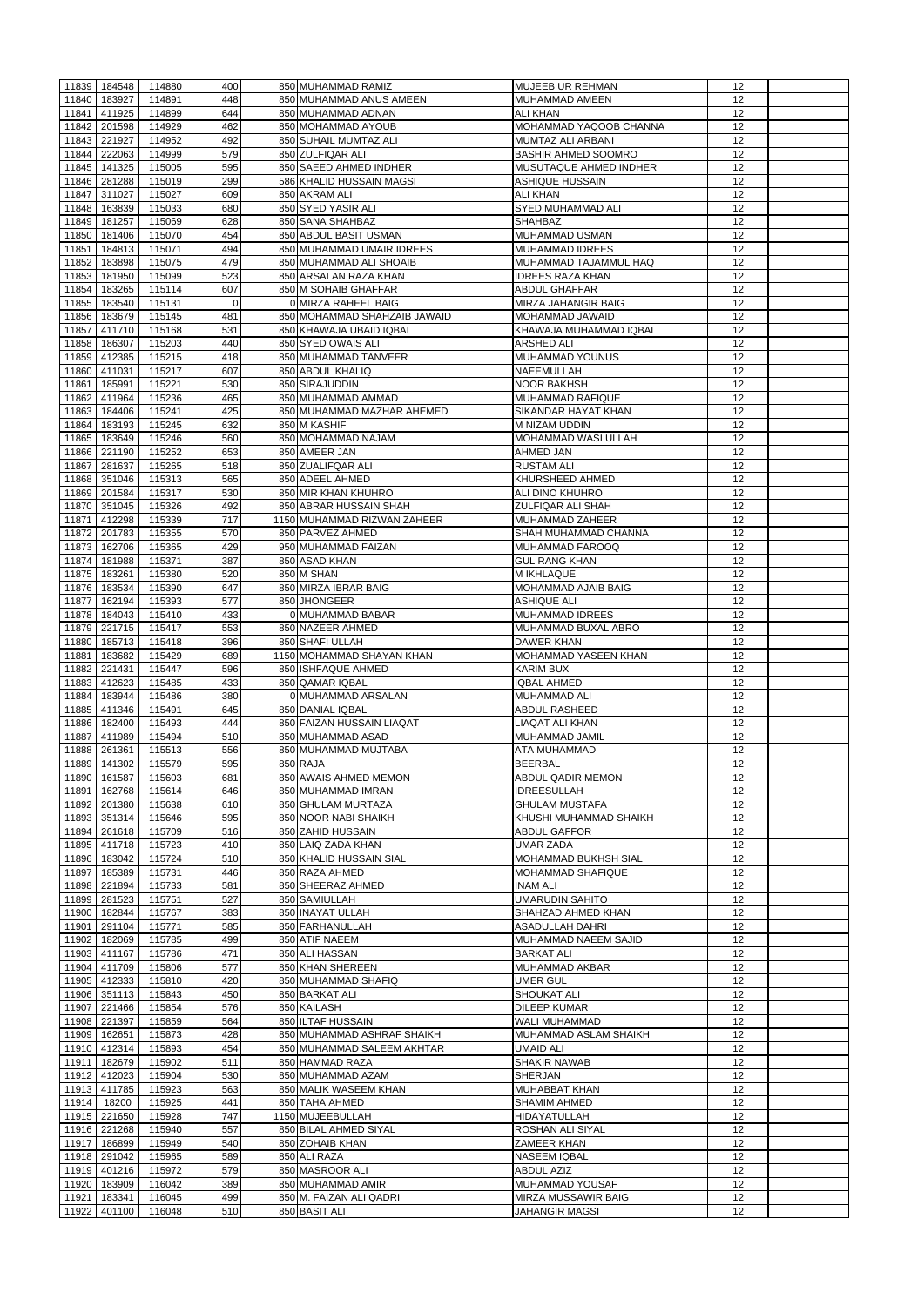|              | 11839 184548 | 114880 | 400      | 850 MUHAMMAD RAMIZ           | <b>MUJEEB UR REHMAN</b>     | 12 |  |
|--------------|--------------|--------|----------|------------------------------|-----------------------------|----|--|
|              | 183927       |        | 448      |                              | <b>IMUHAMMAD AMEEN</b>      | 12 |  |
| 11840        |              | 114891 |          | 850 MUHAMMAD ANUS AMEEN      |                             |    |  |
| 11841        | 411925       | 114899 | 644      | 850 MUHAMMAD ADNAN           | <b>ALI KHAN</b>             | 12 |  |
| 11842        | 201598       | 114929 | 462      | 850 MOHAMMAD AYOUB           | MOHAMMAD YAQOOB CHANNA      | 12 |  |
| 11843        | 221927       | 114952 | 492      | 850 SUHAIL MUMTAZ ALI        | MUMTAZ ALI ARBANI           | 12 |  |
| 11844        | 222063       | 114999 | 579      | 850 ZULFIQAR ALI             | <b>BASHIR AHMED SOOMRO</b>  | 12 |  |
| 11845        | 141325       | 115005 | 595      | 850 SAEED AHMED INDHER       | MUSUTAQUE AHMED INDHER      | 12 |  |
| 11846        | 281288       | 115019 | 299      | 586 KHALID HUSSAIN MAGSI     | <b>ASHIQUE HUSSAIN</b>      | 12 |  |
| 11847        | 311027       | 115027 | 609      | 850 AKRAM ALI                | <b>ALI KHAN</b>             | 12 |  |
|              | 11848 163839 | 115033 | 680      | 850 SYED YASIR ALI           | <b>SYED MUHAMMAD ALI</b>    | 12 |  |
|              |              |        | 628      | 850 SANA SHAHBAZ             |                             |    |  |
| 11849        | 181257       | 115069 |          |                              | <b>SHAHBAZ</b>              | 12 |  |
| 11850        | 181406       | 115070 | 454      | 850 ABDUL BASIT USMAN        | MUHAMMAD USMAN              | 12 |  |
| 11851        | 184813       | 115071 | 494      | 850 MUHAMMAD UMAIR IDREES    | <b>MUHAMMAD IDREES</b>      | 12 |  |
| 11852        | 183898       | 115075 | 479      | 850 MUHAMMAD ALI SHOAIB      | MUHAMMAD TAJAMMUL HAQ       | 12 |  |
| 11853        | 181950       | 115099 | 523      | 850 ARSALAN RAZA KHAN        | <b>IDREES RAZA KHAN</b>     | 12 |  |
| 11854        | 183265       | 115114 | 607      | 850 M SOHAIB GHAFFAR         | <b>ABDUL GHAFFAR</b>        | 12 |  |
|              | 11855 183540 | 115131 | $\Omega$ | O MIRZA RAHEEL BAIG          | <b>MIRZA JAHANGIR BAIG</b>  | 12 |  |
|              |              |        |          | 850 MOHAMMAD SHAHZAIB JAWAID |                             | 12 |  |
| 11856        | 183679       | 115145 | 481      |                              | <b>MOHAMMAD JAWAID</b>      |    |  |
| 11857        | 411710       | 115168 | 531      | 850 KHAWAJA UBAID IQBAL      | KHAWAJA MUHAMMAD IQBAL      | 12 |  |
| 11858        | 186307       | 115203 | 440      | 850 SYED OWAIS ALI           | <b>ARSHED ALI</b>           | 12 |  |
| 11859        | 412385       | 115215 | 418      | 850 MUHAMMAD TANVEER         | <b>MUHAMMAD YOUNUS</b>      | 12 |  |
| 11860        | 411031       | 115217 | 607      | 850 ABDUL KHALIQ             | NAEEMULLAH                  | 12 |  |
| 11861        | 185991       | 115221 | 530      | 850 SIRAJUDDIN               | <b>NOOR BAKHSH</b>          | 12 |  |
| 11862        | 411964       | 115236 | 465      | 850 MUHAMMAD AMMAD           | MUHAMMAD RAFIQUE            | 12 |  |
|              |              |        |          |                              |                             |    |  |
|              | 11863 184406 | 115241 | 425      | 850 MUHAMMAD MAZHAR AHEMED   | <b>SIKANDAR HAYAT KHAN</b>  | 12 |  |
| 11864        | 183193       | 115245 | 632      | 850 M KASHIF                 | M NIZAM UDDIN               | 12 |  |
|              | 11865 183649 | 115246 | 560      | 850 MOHAMMAD NAJAM           | MOHAMMAD WASI ULLAH         | 12 |  |
| 11866        | 221190       | 115252 | 653      | 850 AMEER JAN                | <b>AHMED JAN</b>            | 12 |  |
| 11867        | 281637       | 115265 | 518      | 850 ZUALIFQAR ALI            | <b>RUSTAM ALI</b>           | 12 |  |
| 11868        | 351046       | 115313 | 565      | 850 ADEEL AHMED              | <b>KHURSHEED AHMED</b>      | 12 |  |
| 11869        | 201584       | 115317 | 530      | 850 MIR KHAN KHUHRO          | <b>ALI DINO KHUHRO</b>      | 12 |  |
|              |              |        |          |                              |                             |    |  |
| 11870        | 351045       | 115326 | 492      | 850 ABRAR HUSSAIN SHAH       | <b>ZULFIQAR ALI SHAH</b>    | 12 |  |
| 11871        | 412298       | 115339 | 717      | 1150 MUHAMMAD RIZWAN ZAHEER  | MUHAMMAD ZAHEER             | 12 |  |
| 11872        | 201783       | 115355 | 570      | 850 PARVEZ AHMED             | <b>SHAH MUHAMMAD CHANNA</b> | 12 |  |
| 11873        | 162706       | 115365 | 429      | 950 MUHAMMAD FAIZAN          | <b>MUHAMMAD FAROOQ</b>      | 12 |  |
|              | 11874 181988 | 115371 | 387      | 850 ASAD KHAN                | <b>GUL RANG KHAN</b>        | 12 |  |
|              | 11875 183261 | 115380 | 520      | 850 M SHAN                   | M IKHLAQUE                  | 12 |  |
|              |              |        |          |                              |                             |    |  |
|              | 11876 183534 | 115390 | 647      | 850 MIRZA IBRAR BAIG         | MOHAMMAD AJAIB BAIG         | 12 |  |
| 11877        | 162194       | 115393 | 577      | 850 JHONGEER                 | <b>ASHIQUE ALI</b>          | 12 |  |
|              | 11878 184043 | 115410 | 433      | 0 MUHAMMAD BABAR             | <b>MUHAMMAD IDREES</b>      | 12 |  |
| 11879        | 221715       | 115417 | 553      | 850 NAZEER AHMED             | MUHAMMAD BUXAL ABRO         | 12 |  |
|              | 11880 185713 | 115418 | 396      | 850 SHAFI ULLAH              | <b>DAWER KHAN</b>           | 12 |  |
| 11881        | 183682       | 115429 | 689      | 1150 MOHAMMAD SHAYAN KHAN    | MOHAMMAD YASEEN KHAN        | 12 |  |
| 11882        | 221431       | 115447 | 596      | 850 ISHFAQUE AHMED           | <b>KARIM BUX</b>            | 12 |  |
|              |              |        |          |                              |                             |    |  |
| 11883        | 412623       | 115485 | 433      | 850 QAMAR IQBAL              | <b>IQBAL AHMED</b>          | 12 |  |
| 11884        | 183944       | 115486 | 380      | 0 MUHAMMAD ARSALAN           | MUHAMMAD ALI                | 12 |  |
| 11885        | 411346       | 115491 | 645      | 850 DANIAL IQBAL             | <b>ABDUL RASHEED</b>        | 12 |  |
| 11886        | 182400       | 115493 | 444      | 850 FAIZAN HUSSAIN LIAQAT    | LIAQAT ALI KHAN             | 12 |  |
| 11887        | 411989       | 115494 | 510      | 850 MUHAMMAD ASAD            | MUHAMMAD JAMIL              | 12 |  |
| 11888        | 261361       | 115513 | 556      | 850 MUHAMMAD MUJTABA         | <b>ATA MUHAMMAD</b>         | 12 |  |
| 11889        | 141302       | 115579 | 595      | 850 RAJA                     | <b>BEERBAL</b>              | 12 |  |
|              |              |        |          |                              |                             |    |  |
| 11890        | 161587       | 115603 | 681      | 850 AWAIS AHMED MEMON        | ABDUL QADIR MEMON           | 12 |  |
| 11891        | 162768       | 115614 | 646      | 850 MUHAMMAD IMRAN           | <b>IDREESULLAH</b>          | 12 |  |
| 11892        | 201380       | 115638 | 610      | 850 GHULAM MURTAZA           | <b>GHULAM MUSTAFA</b>       | 12 |  |
| 11893        | 351314       | 115646 | 595      | 850 NOOR NABI SHAIKH         | KHUSHI MUHAMMAD SHAIKH      | 12 |  |
| 11894        | 261618       | 115709 | 516      | 850 ZAHID HUSSAIN            | <b>ABDUL GAFFOR</b>         | 12 |  |
| 11895        | 411718       | 115723 | 410      | 850 LAIQ ZADA KHAN           | <b>UMAR ZADA</b>            | 12 |  |
|              | 11896 183042 | 115724 | 510      | 850 KHALID HUSSAIN SIAL      | <b>MOHAMMAD BUKHSH SIAL</b> | 12 |  |
|              |              |        |          |                              |                             |    |  |
|              | 11897 185389 | 115731 | 446      | 850 RAZA AHMED               | <b>MOHAMMAD SHAFIQUE</b>    | 12 |  |
|              | 11898 221894 | 115733 | 581      | 850 SHEERAZ AHMED            | <b>INAM ALI</b>             | 12 |  |
|              | 11899 281523 | 115751 | 527      | 850 SAMIULLAH                | <b>UMARUDIN SAHITO</b>      | 12 |  |
|              | 11900 182844 | 115767 | 383      | 850 INAYAT ULLAH             | <b>SHAHZAD AHMED KHAN</b>   | 12 |  |
| 11901        | 291104       | 115771 | 585      | 850 FARHANULLAH              | <b>ASADULLAH DAHRI</b>      | 12 |  |
| 11902        | 182069       | 115785 | 499      | 850 ATIF NAEEM               | MUHAMMAD NAEEM SAJID        | 12 |  |
|              | 11903 411167 | 115786 | 471      | 850 ALI HASSAN               | <b>BARKAT ALI</b>           | 12 |  |
|              |              |        | 577      |                              | MUHAMMAD AKBAR              |    |  |
|              | 11904 411709 | 115806 |          | 850 KHAN SHEREEN             |                             | 12 |  |
| 11905 412333 |              |        |          |                              |                             |    |  |
| 11906        |              | 115810 | 420      | 850 MUHAMMAD SHAFIQ          | <b>UMER GUL</b>             | 12 |  |
| 11907        | 351113       | 115843 | 450      | 850 BARKAT ALI               | <b>SHOUKAT ALI</b>          | 12 |  |
|              | 221466       | 115854 | 576      | 850 KAILASH                  | <b>DILEEP KUMAR</b>         | 12 |  |
|              | 11908 221397 | 115859 | 564      | 850 ILTAF HUSSAIN            | WALI MUHAMMAD               | 12 |  |
|              |              |        | 428      |                              |                             | 12 |  |
| 11909        | 162651       | 115873 |          | 850 MUHAMMAD ASHRAF SHAIKH   | MUHAMMAD ASLAM SHAIKH       |    |  |
|              | 11910 412314 | 115893 | 454      | 850 MUHAMMAD SALEEM AKHTAR   | <b>UMAID ALI</b>            | 12 |  |
|              | 11911 182679 | 115902 | 511      | 850 HAMMAD RAZA              | <b>SHAKIR NAWAB</b>         | 12 |  |
|              | 11912 412023 | 115904 | 530      | 850 MUHAMMAD AZAM            | <b>SHERJAN</b>              | 12 |  |
|              | 11913 411785 | 115923 | 563      | 850 MALIK WASEEM KHAN        | MUHABBAT KHAN               | 12 |  |
| 11914        | 18200        | 115925 | 441      | 850 TAHA AHMED               | <b>SHAMIM AHMED</b>         | 12 |  |
|              | 11915 221650 | 115928 | 747      | 1150 MUJEEBULLAH             | HIDAYATULLAH                | 12 |  |
|              |              |        |          |                              |                             |    |  |
|              | 11916 221268 | 115940 | 557      | 850 BILAL AHMED SIYAL        | <b>ROSHAN ALI SIYAL</b>     | 12 |  |
|              | 11917 186899 | 115949 | 540      | 850 ZOHAIB KHAN              | <b>ZAMEER KHAN</b>          | 12 |  |
|              | 11918 291042 | 115965 | 589      | 850 ALI RAZA                 | <b>NASEEM IQBAL</b>         | 12 |  |
| 11919        | 401216       | 115972 | 579      | 850 MASROOR ALI              | <b>ABDUL AZIZ</b>           | 12 |  |
| 11920        | 183909       | 116042 | 389      | 850 MUHAMMAD AMIR            | MUHAMMAD YOUSAF             | 12 |  |
| 11921        | 183341       | 116045 | 499      | 850 M. FAIZAN ALI QADRI      | MIRZA MUSSAWIR BAIG         | 12 |  |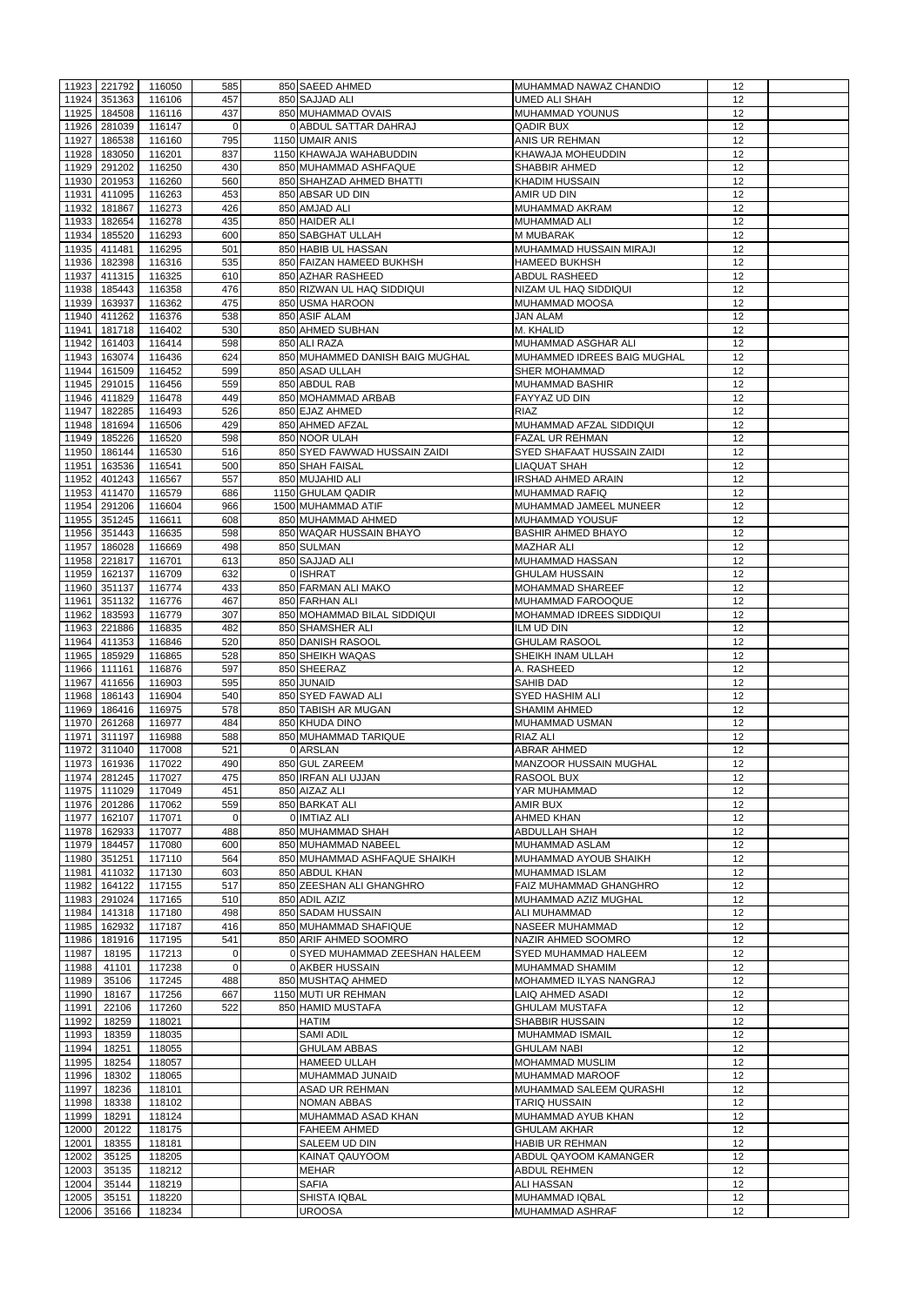| 11923<br>11924 |                | 116050           | 585         | 850 SAEED AHMED                 | MUHAMMAD NAWAZ CHANDIO            | 12       |  |
|----------------|----------------|------------------|-------------|---------------------------------|-----------------------------------|----------|--|
|                | 221792         |                  |             |                                 |                                   |          |  |
|                | 351363         | 116106           | 457         | 850 SAJJAD ALI                  | <b>UMED ALI SHAH</b>              | 12       |  |
| 11925          | 184508         | 116116           | 437         | 850 MUHAMMAD OVAIS              | <b>MUHAMMAD YOUNUS</b>            | 12       |  |
| 11926          | 281039         | 116147           | 0           | 0 ABDUL SATTAR DAHRAJ           | <b>QADIR BUX</b>                  | 12       |  |
|                |                |                  |             |                                 |                                   |          |  |
| 11927          | 186538         | 116160           | 795         | 1150 UMAIR ANIS                 | ANIS UR REHMAN                    | 12       |  |
| 11928          | 183050         | 116201           | 837         | 1150 KHAWAJA WAHABUDDIN         | KHAWAJA MOHEUDDIN                 | 12       |  |
| 11929          | 291202         | 116250           | 430         | 850 MUHAMMAD ASHFAQUE           | <b>SHABBIR AHMED</b>              | 12       |  |
| 11930          | 201953         | 116260           | 560         | 850 SHAHZAD AHMED BHATTI        | <b>KHADIM HUSSAIN</b>             | 12       |  |
|                |                |                  |             |                                 |                                   |          |  |
| 11931          | 411095         | 116263           | 453         | 850 ABSAR UD DIN                | AMIR UD DIN                       | 12       |  |
| 11932          | 181867         | 116273           | 426         | 850 AMJAD ALI                   | MUHAMMAD AKRAM                    | 12       |  |
| 11933          | 182654         | 116278           | 435         | 850 HAIDER ALI                  | <b>MUHAMMAD ALI</b>               | 12       |  |
|                |                |                  |             |                                 |                                   |          |  |
| 11934          | 185520         | 116293           | 600         | 850 SABGHAT ULLAH               | <b>M MUBARAK</b>                  | 12       |  |
| 11935          | 411481         | 116295           | 501         | 850 HABIB UL HASSAN             | MUHAMMAD HUSSAIN MIRAJI           | 12       |  |
| 11936          | 182398         | 116316           | 535         | 850 FAIZAN HAMEED BUKHSH        | <b>HAMEED BUKHSH</b>              | 12       |  |
| 11937          | 411315         |                  |             |                                 |                                   |          |  |
|                |                | 116325           | 610         | 850 AZHAR RASHEED               | ABDUL RASHEED                     | 12       |  |
| 11938          | 185443         | 116358           | 476         | 850 RIZWAN UL HAQ SIDDIQUI      | NIZAM UL HAQ SIDDIQUI             | 12       |  |
| 11939          | 163937         | 116362           | 475         | 850 USMA HAROON                 | <b>MUHAMMAD MOOSA</b>             | 12       |  |
| 11940          | 411262         | 116376           | 538         | 850 ASIF ALAM                   | <b>JAN ALAM</b>                   | 12       |  |
|                |                |                  |             |                                 |                                   |          |  |
| 11941          | 181718         | 116402           | 530         | 850 AHMED SUBHAN                | M. KHALID                         | 12       |  |
| 11942          | 161403         | 116414           | 598         | 850 ALI RAZA                    | MUHAMMAD ASGHAR ALI               | 12       |  |
| 11943          | 163074         | 116436           | 624         | 850 MUHAMMED DANISH BAIG MUGHAL | MUHAMMED IDREES BAIG MUGHAL       | 12       |  |
| 11944          | 161509         | 116452           | 599         | 850 ASAD ULLAH                  | <b>SHER MOHAMMAD</b>              | 12       |  |
|                |                |                  |             |                                 |                                   |          |  |
| 11945          | 291015         | 116456           | 559         | 850 ABDUL RAB                   | <b>MUHAMMAD BASHIR</b>            | 12       |  |
| 11946          | 411829         | 116478           | 449         | 850 MOHAMMAD ARBAB              | <b>FAYYAZ UD DIN</b>              | 12       |  |
| 11947          | 182285         | 116493           | 526         | 850 EJAZ AHMED                  | <b>RIAZ</b>                       | 12       |  |
|                |                |                  |             |                                 |                                   |          |  |
| 11948          | 181694         | 116506           | 429         | 850 AHMED AFZAL                 | MUHAMMAD AFZAL SIDDIQUI           | 12       |  |
| 11949          | 185226         | 116520           | 598         | 850 NOOR ULAH                   | <b>FAZAL UR REHMAN</b>            | 12       |  |
| 11950          | 186144         | 116530           | 516         | 850 SYED FAWWAD HUSSAIN ZAIDI   | <b>SYED SHAFAAT HUSSAIN ZAIDI</b> | 12       |  |
|                |                |                  |             |                                 |                                   |          |  |
| 11951          | 163536         | 116541           | 500         | 850 SHAH FAISAL                 | <b>LIAQUAT SHAH</b>               | 12       |  |
| 11952          | 401243         | 116567           | 557         | 850 MUJAHID ALI                 | <b>IRSHAD AHMED ARAIN</b>         | 12       |  |
| 11953          | 411470         | 116579           | 686         | 1150 GHULAM QADIR               | <b>MUHAMMAD RAFIQ</b>             | 12       |  |
| 11954          | 291206         | 116604           | 966         | 1500 MUHAMMAD ATIF              | MUHAMMAD JAMEEL MUNEER            | 12       |  |
|                |                |                  |             |                                 |                                   |          |  |
| 11955          | 351245         | 116611           | 608         | 850 MUHAMMAD AHMED              | <b>MUHAMMAD YOUSUF</b>            | 12       |  |
| 11956          | 351443         | 116635           | 598         | 850 WAQAR HUSSAIN BHAYO         | <b>BASHIR AHMED BHAYO</b>         | 12       |  |
| 11957          | 186028         | 116669           | 498         | 850 SULMAN                      | <b>MAZHAR ALI</b>                 | 12       |  |
|                |                |                  |             |                                 |                                   |          |  |
|                | 11958 221817   | 116701           | 613         | 850 SAJJAD ALI                  | MUHAMMAD HASSAN                   | 12       |  |
|                | 11959 162137   | 116709           | 632         | 0 ISHRAT                        | <b>GHULAM HUSSAIN</b>             | $12 \,$  |  |
| 11960          | 351137         | 116774           | 433         | 850 FARMAN ALI MAKO             | <b>MOHAMMAD SHAREEF</b>           | 12       |  |
|                |                |                  |             |                                 |                                   |          |  |
| 11961          | 351132         | 116776           | 467         | 850 FARHAN ALI                  | MUHAMMAD FAROOQUE                 | 12       |  |
| 11962          | 183593         | 116779           | 307         | 850 MOHAMMAD BILAL SIDDIQUI     | <b>MOHAMMAD IDREES SIDDIQUI</b>   | 12       |  |
| 11963          | 221886         | 116835           | 482         | 850 SHAMSHER ALI                | <b>ILM UD DIN</b>                 | 12       |  |
|                |                |                  |             |                                 |                                   |          |  |
| 11964          | 411353         | 116846           | 520         | 850 DANISH RASOOL               | <b>GHULAM RASOOL</b>              | 12       |  |
| 11965          | 185929         | 116865           | 528         | 850 SHEIKH WAQAS                | <b>SHEIKH INAM ULLAH</b>          | 12       |  |
| 11966          | 111161         | 116876           | 597         | 850 SHEERAZ                     | A. RASHEED                        | 12       |  |
| 11967          | 411656         | 116903           | 595         | 850 JUNAID                      |                                   | 12       |  |
|                |                |                  |             |                                 | <b>SAHIB DAD</b>                  |          |  |
| 11968          | 186143         | 116904           | 540         | 850 SYED FAWAD ALI              | <b>SYED HASHIM ALI</b>            | 12       |  |
| 11969          | 186416         | 116975           | 578         | 850 TABISH AR MUGAN             | <b>SHAMIM AHMED</b>               | 12       |  |
|                | 261268         | 116977           | 484         | 850 KHUDA DINO                  | MUHAMMAD USMAN                    | 12       |  |
|                |                |                  |             |                                 |                                   |          |  |
| 11970          |                |                  |             |                                 |                                   |          |  |
| 11971          | 311197         | 116988           | 588         | 850 MUHAMMAD TARIQUE            | <b>RIAZ ALI</b>                   | 12       |  |
| 11972          | 311040         | 117008           | 521         | 0 ARSLAN                        | <b>ABRAR AHMED</b>                | 12       |  |
|                |                |                  |             |                                 |                                   |          |  |
| 11973          | 161936         | 117022           | 490         | 850 GUL ZAREEM                  | MANZOOR HUSSAIN MUGHAL            | 12       |  |
| 11974          | 281245         | 117027           | 475         | 850 IRFAN ALI UJJAN             | <b>RASOOL BUX</b>                 | 12       |  |
| 11975          | 111029         | 117049           | 451         | 850 AIZAZ ALI                   | YAR MUHAMMAD                      | 12       |  |
| 11976          | 201286         | 117062           |             | 850 BARKAT ALI                  | AMIR BUX                          | 12       |  |
|                |                |                  | 559         |                                 |                                   |          |  |
| 11977          | 162107         | 117071           | $\mathbf 0$ | 0 IMTIAZ ALI                    | <b>AHMED KHAN</b>                 | 12       |  |
| 11978          | 162933         | 117077           | 488         | 850 MUHAMMAD SHAH               | ABDULLAH SHAH                     | 12       |  |
| 11979          | 184457         | 117080           | 600         | 850 MUHAMMAD NABEEL             | <b>MUHAMMAD ASLAM</b>             | 12       |  |
|                |                |                  |             |                                 |                                   |          |  |
| 11980          | 351251         | 117110           | 564         | 850 MUHAMMAD ASHFAQUE SHAIKH    | <b>MUHAMMAD AYOUB SHAIKH</b>      | 12       |  |
| 11981          | 411032         | 117130           | 603         | 850 ABDUL KHAN                  | <b>MUHAMMAD ISLAM</b>             | 12       |  |
| 11982          | 164122         | 117155           | 517         | 850 ZEESHAN ALI GHANGHRO        | <b>FAIZ MUHAMMAD GHANGHRO</b>     | 12       |  |
| 11983          | 291024         | 117165           | 510         | 850 ADIL AZIZ                   | MUHAMMAD AZIZ MUGHAL              | 12       |  |
|                |                |                  |             |                                 |                                   |          |  |
| 11984          | 141318         | 117180           | 498         | 850 SADAM HUSSAIN               | ALI MUHAMMAD                      | 12       |  |
| 11985          | 162932         | 117187           | 416         | 850 MUHAMMAD SHAFIQUE           | NASEER MUHAMMAD                   | 12       |  |
| 11986          | 181916         | 117195           | 541         | 850 ARIF AHMED SOOMRO           | NAZIR AHMED SOOMRO                | 12       |  |
| 11987          | 18195          | 117213           | $\mathbf 0$ | 0 SYED MUHAMMAD ZEESHAN HALEEM  | <b>SYED MUHAMMAD HALEEM</b>       | 12       |  |
|                |                |                  |             |                                 |                                   |          |  |
| 11988          | 41101          | 117238           | $\Omega$    | 0 AKBER HUSSAIN                 | MUHAMMAD SHAMIM                   | 12       |  |
| 11989          | 35106          | 117245           | 488         | 850 MUSHTAQ AHMED               | MOHAMMED ILYAS NANGRAJ            | 12       |  |
| 11990          | 18167          | 117256           | 667         | 1150 MUTI UR REHMAN             | <b>LAIQ AHMED ASADI</b>           | 12       |  |
|                |                |                  |             |                                 |                                   |          |  |
| 11991          | 22106          | 117260           | 522         | 850 HAMID MUSTAFA               | <b>GHULAM MUSTAFA</b>             | 12       |  |
| 11992          | 18259          | 118021           |             | <b>HATIM</b>                    | SHABBIR HUSSAIN                   | 12       |  |
| 11993          | 18359          | 118035           |             | <b>SAMI ADIL</b>                | <b>MUHAMMAD ISMAIL</b>            | 12       |  |
| 11994          | 18251          | 118055           |             | <b>GHULAM ABBAS</b>             | <b>GHULAM NABI</b>                | 12       |  |
|                |                |                  |             |                                 |                                   |          |  |
|                | 11995 18254    | 118057           |             | <b>HAMEED ULLAH</b>             | <b>MOHAMMAD MUSLIM</b>            | 12       |  |
| 11996          | 18302          | 118065           |             | MUHAMMAD JUNAID                 | MUHAMMAD MAROOF                   | 12       |  |
| 11997          | 18236          | 118101           |             | ASAD UR REHMAN                  | MUHAMMAD SALEEM QURASHI           | 12       |  |
|                |                |                  |             |                                 |                                   |          |  |
| 11998          | 18338          | 118102           |             | <b>NOMAN ABBAS</b>              | TARIQ HUSSAIN                     | 12       |  |
| 11999          | 18291          | 118124           |             | MUHAMMAD ASAD KHAN              | MUHAMMAD AYUB KHAN                | 12       |  |
| 12000          | 20122          | 118175           |             | <b>FAHEEM AHMED</b>             | <b>GHULAM AKHAR</b>               | 12       |  |
| 12001          | 18355          | 118181           |             | SALEEM UD DIN                   | <b>HABIB UR REHMAN</b>            | 12       |  |
|                |                |                  |             |                                 |                                   |          |  |
| 12002          | 35125          | 118205           |             | KAINAT QAUYOOM                  | ABDUL QAYOOM KAMANGER             | 12       |  |
| 12003          | 35135          | 118212           |             | <b>MEHAR</b>                    | <b>ABDUL REHMEN</b>               | 12       |  |
| 12004          | 35144          | 118219           |             | <b>SAFIA</b>                    | <b>ALI HASSAN</b>                 | 12       |  |
|                |                |                  |             |                                 |                                   |          |  |
| 12005<br>12006 | 35151<br>35166 | 118220<br>118234 |             | SHISTA IQBAL<br><b>UROOSA</b>   | MUHAMMAD IQBAL<br>MUHAMMAD ASHRAF | 12<br>12 |  |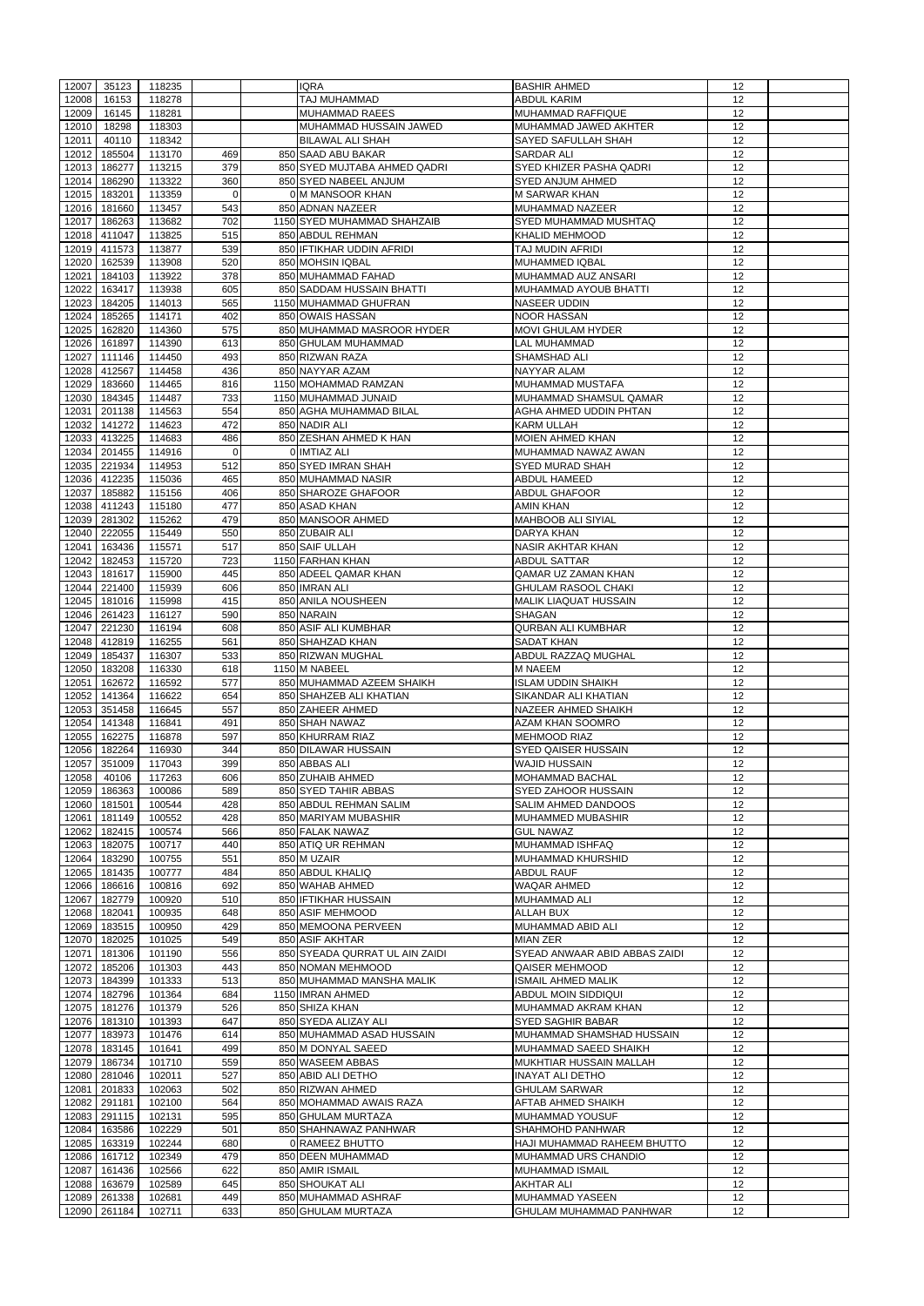| 12007 | 35123          | 118235 |             | <b>IQRA</b>                    | <b>BASHIR AHMED</b>            | 12 |  |
|-------|----------------|--------|-------------|--------------------------------|--------------------------------|----|--|
| 12008 | 16153          | 118278 |             | TAJ MUHAMMAD                   | <b>ABDUL KARIM</b>             | 12 |  |
| 12009 | 16145          | 118281 |             | <b>MUHAMMAD RAEES</b>          | MUHAMMAD RAFFIQUE              | 12 |  |
| 12010 | 18298          | 118303 |             | MUHAMMAD HUSSAIN JAWED         | MUHAMMAD JAWED AKHTER          | 12 |  |
| 12011 | 40110          | 118342 |             | <b>BILAWAL ALI SHAH</b>        | SAYED SAFULLAH SHAH            | 12 |  |
| 12012 | 185504         | 113170 | 469         | 850 SAAD ABU BAKAR             | <b>SARDAR ALI</b>              | 12 |  |
|       |                |        |             |                                |                                |    |  |
| 12013 | 186277         | 113215 | 379         | 850 SYED MUJTABA AHMED QADRI   | SYED KHIZER PASHA QADRI        | 12 |  |
| 12014 | 186290         | 113322 | 360         | 850 SYED NABEEL ANJUM          | <b>SYED ANJUM AHMED</b>        | 12 |  |
| 12015 | 183201         | 113359 | $\Omega$    | 0 M MANSOOR KHAN               | <b>M SARWAR KHAN</b>           | 12 |  |
| 12016 | 181660         | 113457 | 543         | 850 ADNAN NAZEER               | <b>MUHAMMAD NAZEER</b>         | 12 |  |
|       |                |        |             |                                |                                |    |  |
| 12017 | 186263         | 113682 | 702         | 1150 SYED MUHAMMAD SHAHZAIB    | <b>SYED MUHAMMAD MUSHTAQ</b>   | 12 |  |
| 12018 | 411047         | 113825 | 515         | 850 ABDUL REHMAN               | <b>KHALID MEHMOOD</b>          | 12 |  |
| 12019 | 411573         | 113877 | 539         | 850 IFTIKHAR UDDIN AFRIDI      | <b>TAJ MUDIN AFRIDI</b>        | 12 |  |
| 12020 | 162539         | 113908 | 520         | 850 MOHSIN IQBAL               | <b>MUHAMMED IQBAL</b>          | 12 |  |
| 12021 | 184103         | 113922 | 378         | 850 MUHAMMAD FAHAD             | MUHAMMAD AUZ ANSARI            | 12 |  |
|       |                |        |             |                                |                                |    |  |
| 12022 | 163417         | 113938 | 605         | 850 SADDAM HUSSAIN BHATTI      | MUHAMMAD AYOUB BHATTI          | 12 |  |
| 12023 | 184205         | 114013 | 565         | 1150 MUHAMMAD GHUFRAN          | <b>NASEER UDDIN</b>            | 12 |  |
| 12024 | 185265         | 114171 | 402         | 850 OWAIS HASSAN               | <b>NOOR HASSAN</b>             | 12 |  |
| 12025 | 162820         | 114360 | 575         | 850 MUHAMMAD MASROOR HYDER     | <b>MOVI GHULAM HYDER</b>       | 12 |  |
|       |                |        |             |                                |                                |    |  |
| 12026 | 161897         | 114390 | 613         | 850 GHULAM MUHAMMAD            | <b>LAL MUHAMMAD</b>            | 12 |  |
| 12027 | 111146         | 114450 | 493         | 850 RIZWAN RAZA                | <b>SHAMSHAD ALI</b>            | 12 |  |
| 12028 | 412567         | 114458 | 436         | 850 NAYYAR AZAM                | <b>NAYYAR ALAM</b>             | 12 |  |
| 12029 | 183660         | 114465 | 816         | 1150 MOHAMMAD RAMZAN           | MUHAMMAD MUSTAFA               | 12 |  |
| 12030 | 184345         | 114487 | 733         | 1150 MUHAMMAD JUNAID           | MUHAMMAD SHAMSUL QAMAR         | 12 |  |
|       |                |        |             |                                |                                |    |  |
| 12031 | 201138         | 114563 | 554         | 850 AGHA MUHAMMAD BILAL        | AGHA AHMED UDDIN PHTAN         | 12 |  |
| 12032 | 141272         | 114623 | 472         | 850 NADIR ALI                  | <b>KARM ULLAH</b>              | 12 |  |
| 12033 | 413225         | 114683 | 486         | 850 ZESHAN AHMED K HAN         | <b>MOIEN AHMED KHAN</b>        | 12 |  |
| 12034 | 201455         | 114916 | $\mathbf 0$ | 0 IMTIAZ ALI                   | MUHAMMAD NAWAZ AWAN            | 12 |  |
|       |                |        |             |                                |                                |    |  |
| 12035 | 221934         | 114953 | 512         | 850 SYED IMRAN SHAH            | <b>SYED MURAD SHAH</b>         | 12 |  |
| 12036 | 412235         | 115036 | 465         | 850 MUHAMMAD NASIR             | <b>ABDUL HAMEED</b>            | 12 |  |
| 12037 | 185882         | 115156 | 406         | 850 SHAROZE GHAFOOR            | <b>ABDUL GHAFOOR</b>           | 12 |  |
| 12038 | 411243         | 115180 | 477         | 850 ASAD KHAN                  | <b>AMIN KHAN</b>               | 12 |  |
|       |                |        |             |                                |                                |    |  |
| 12039 | 281302         | 115262 | 479         | 850 MANSOOR AHMED              | <b>MAHBOOB ALI SIYIAL</b>      | 12 |  |
| 12040 | 222055         | 115449 | 550         | 850 ZUBAIR ALI                 | <b>DARYA KHAN</b>              | 12 |  |
| 12041 | 163436         | 115571 | 517         | 850 SAIF ULLAH                 | <b>NASIR AKHTAR KHAN</b>       | 12 |  |
|       | 12042 182453   | 115720 | 723         | 1150 FARHAN KHAN               | <b>ABDUL SATTAR</b>            | 12 |  |
|       |                |        |             |                                |                                |    |  |
|       | 12043   181617 | 115900 | 445         | 850 ADEEL QAMAR KHAN           | QAMAR UZ ZAMAN KHAN            | 12 |  |
| 12044 | 221400         | 115939 | 606         | 850 IMRAN ALI                  | <b>GHULAM RASOOL CHAKI</b>     | 12 |  |
|       | 12045 181016   | 115998 | 415         | 850 ANILA NOUSHEEN             | <b>MALIK LIAQUAT HUSSAIN</b>   | 12 |  |
| 12046 | 261423         | 116127 | 590         | 850 NARAIN                     | <b>SHAGAN</b>                  | 12 |  |
|       |                |        |             |                                |                                |    |  |
| 12047 | 221230         | 116194 | 608         | 850 ASIF ALI KUMBHAR           | QURBAN ALI KUMBHAR             | 12 |  |
| 12048 | 412819         | 116255 | 561         | 850 SHAHZAD KHAN               | <b>SADAT KHAN</b>              | 12 |  |
| 12049 | 185437         | 116307 | 533         | 850 RIZWAN MUGHAL              | ABDUL RAZZAQ MUGHAL            | 12 |  |
| 12050 | 183208         | 116330 | 618         | 1150 M NABEEL                  | <b>M NAEEM</b>                 | 12 |  |
| 12051 | 162672         | 116592 | 577         | 850 MUHAMMAD AZEEM SHAIKH      | <b>ISLAM UDDIN SHAIKH</b>      | 12 |  |
|       |                |        |             |                                |                                |    |  |
| 12052 | 141364         | 116622 | 654         | 850 SHAHZEB ALI KHATIAN        | SIKANDAR ALI KHATIAN           | 12 |  |
| 12053 | 351458         | 116645 | 557         | 850 ZAHEER AHMED               | <b>NAZEER AHMED SHAIKH</b>     | 12 |  |
| 12054 | 141348         | 116841 | 491         | 850 SHAH NAWAZ                 | <b>AZAM KHAN SOOMRO</b>        | 12 |  |
| 12055 | 162275         | 116878 | 597         | 850 KHURRAM RIAZ               | <b>MEHMOOD RIAZ</b>            | 12 |  |
|       |                |        |             |                                |                                |    |  |
| 12056 | 182264         | 116930 | 344         | 850 DILAWAR HUSSAIN            | <b>SYED QAISER HUSSAIN</b>     | 12 |  |
| 12057 | 351009         | 117043 | 399         | 850 ABBAS ALI                  | <b>WAJID HUSSAIN</b>           | 12 |  |
| 12058 | 40106          | 117263 | 606         | 850 ZUHAIB AHMED               | <b>MOHAMMAD BACHAL</b>         | 12 |  |
| 12059 | 186363         | 100086 | 589         | 850 SYED TAHIR ABBAS           | <b>SYED ZAHOOR HUSSAIN</b>     | 12 |  |
| 12060 | 181501         | 100544 | 428         | 850 ABDUL REHMAN SALIM         | SALIM AHMED DANDOOS            | 12 |  |
|       |                |        |             |                                |                                |    |  |
| 12061 | 181149         | 100552 | 428         | 850 MARIYAM MUBASHIR           | <b>MUHAMMED MUBASHIR</b>       | 12 |  |
| 12062 | 182415         | 100574 | 566         | 850 FALAK NAWAZ                | <b>GUL NAWAZ</b>               | 12 |  |
| 12063 | 182075         | 100717 | 440         | 850 ATIQ UR REHMAN             | <b>MUHAMMAD ISHFAQ</b>         | 12 |  |
| 12064 | 183290         | 100755 | 551         | 850 M UZAIR                    | <b>MUHAMMAD KHURSHID</b>       | 12 |  |
| 12065 | 181435         | 100777 | 484         | 850 ABDUL KHALIQ               | <b>ABDUL RAUF</b>              | 12 |  |
|       |                |        |             |                                |                                |    |  |
| 12066 | 186616         | 100816 | 692         | 850 WAHAB AHMED                | <b>WAQAR AHMED</b>             | 12 |  |
| 12067 | 182779         | 100920 | 510         | 850 IFTIKHAR HUSSAIN           | MUHAMMAD ALI                   | 12 |  |
| 12068 | 182041         | 100935 | 648         | 850 ASIF MEHMOOD               | <b>ALLAH BUX</b>               | 12 |  |
| 12069 | 183515         | 100950 | 429         | 850 MEMOONA PERVEEN            | MUHAMMAD ABID ALI              | 12 |  |
|       |                |        |             |                                |                                |    |  |
| 12070 | 182025         | 101025 | 549         | 850 ASIF AKHTAR                | <b>MIAN ZER</b>                | 12 |  |
| 12071 | 181306         | 101190 | 556         | 850 SYEADA QURRAT UL AIN ZAIDI | SYEAD ANWAAR ABID ABBAS ZAIDI  | 12 |  |
| 12072 | 185206         | 101303 | 443         | 850 NOMAN MEHMOOD              | <b>QAISER MEHMOOD</b>          | 12 |  |
| 12073 | 184399         | 101333 | 513         | 850 MUHAMMAD MANSHA MALIK      | <b>ISMAIL AHMED MALIK</b>      | 12 |  |
| 12074 | 182796         | 101364 | 684         | 1150 IMRAN AHMED               | ABDUL MOIN SIDDIQUI            | 12 |  |
|       |                |        |             |                                |                                |    |  |
| 12075 | 181276         | 101379 | 526         | 850 SHIZA KHAN                 | MUHAMMAD AKRAM KHAN            | 12 |  |
| 12076 | 181310         | 101393 | 647         | 850 SYEDA ALIZAY ALI           | <b>SYED SAGHIR BABAR</b>       | 12 |  |
| 12077 | 183973         | 101476 | 614         | 850 MUHAMMAD ASAD HUSSAIN      | MUHAMMAD SHAMSHAD HUSSAIN      | 12 |  |
| 12078 | 183145         | 101641 | 499         | 850 M DONYAL SAEED             | MUHAMMAD SAEED SHAIKH          | 12 |  |
|       | 12079 186734   | 101710 | 559         | 850 WASEEM ABBAS               | MUKHTIAR HUSSAIN MALLAH        |    |  |
|       |                |        |             |                                |                                | 12 |  |
| 12080 | 281046         | 102011 | 527         | 850 ABID ALI DETHO             | <b>INAYAT ALI DETHO</b>        | 12 |  |
| 12081 | 201833         | 102063 | 502         | 850 RIZWAN AHMED               | <b>GHULAM SARWAR</b>           | 12 |  |
| 12082 | 291181         | 102100 | 564         | 850 MOHAMMAD AWAIS RAZA        | AFTAB AHMED SHAIKH             | 12 |  |
|       | 291115         |        |             |                                | MUHAMMAD YOUSUF                |    |  |
| 12083 |                | 102131 | 595         | 850 GHULAM MURTAZA             |                                | 12 |  |
| 12084 | 163586         | 102229 | 501         | 850 SHAHNAWAZ PANHWAR          | <b>SHAHMOHD PANHWAR</b>        | 12 |  |
| 12085 | 163319         | 102244 | 680         | 0 RAMEEZ BHUTTO                | IHAJI MUHAMMAD RAHEEM BHUTTO   | 12 |  |
| 12086 | 161712         | 102349 | 479         | 850 DEEN MUHAMMAD              | MUHAMMAD URS CHANDIO           | 12 |  |
| 12087 | 161436         | 102566 | 622         | 850 AMIR ISMAIL                | <b>MUHAMMAD ISMAIL</b>         | 12 |  |
|       |                |        |             |                                |                                |    |  |
| 12088 | 163679         | 102589 | 645         | 850 SHOUKAT ALI                | <b>AKHTAR ALI</b>              | 12 |  |
| 12089 | 261338         | 102681 | 449         | 850 MUHAMMAD ASHRAF            | MUHAMMAD YASEEN                | 12 |  |
| 12090 | 261184         | 102711 | 633         | 850 GHULAM MURTAZA             | <b>GHULAM MUHAMMAD PANHWAR</b> | 12 |  |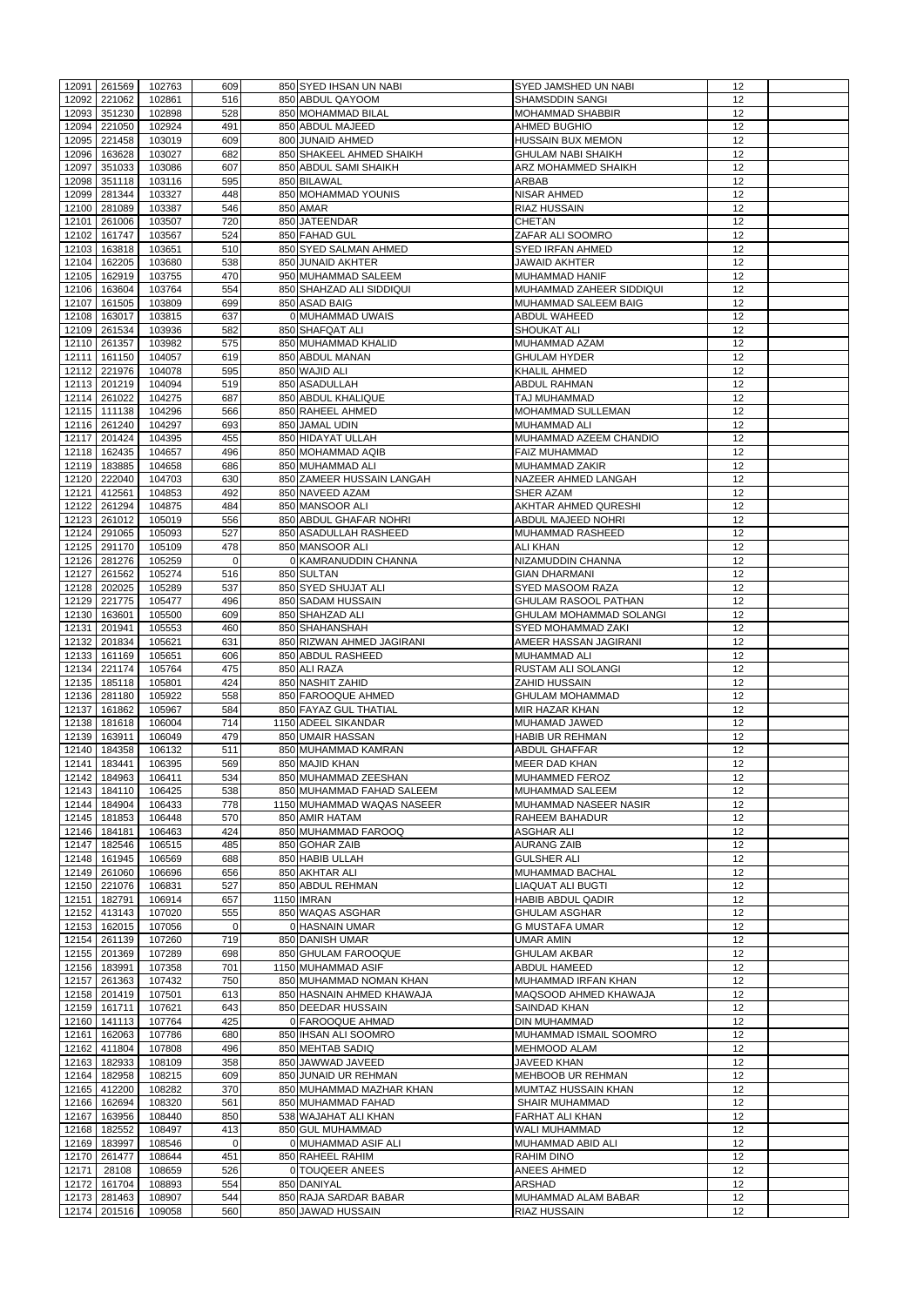|       |                        | 102763           |                | 850 SYED IHSAN UN NABI                     | <b>SYED JAMSHED UN NABI</b>                |                 |  |
|-------|------------------------|------------------|----------------|--------------------------------------------|--------------------------------------------|-----------------|--|
| 12091 | 261569                 |                  | 609            |                                            |                                            | 12              |  |
| 12092 | 221062                 | 102861           | 516            | 850 ABDUL QAYOOM                           | <b>SHAMSDDIN SANGI</b>                     | 12              |  |
| 12093 | 351230                 | 102898           | 528            | 850 MOHAMMAD BILAL                         | <b>MOHAMMAD SHABBIR</b>                    | 12              |  |
| 12094 | 221050                 | 102924           | 491            | 850 ABDUL MAJEED                           | AHMED BUGHIO                               | 12              |  |
| 12095 | 221458                 | 103019           | 609            | 800 JUNAID AHMED                           | <b>HUSSAIN BUX MEMON</b>                   | 12              |  |
| 12096 | 163628                 | 103027           | 682            | 850 SHAKEEL AHMED SHAIKH                   | <b>GHULAM NABI SHAIKH</b>                  | 12              |  |
| 12097 | 351033                 | 103086           | 607            | 850 ABDUL SAMI SHAIKH                      | ARZ MOHAMMED SHAIKH                        | 12              |  |
| 12098 | 351118                 | 103116           | 595            | 850 BILAWAL                                | ARBAB                                      | 12              |  |
| 12099 | 281344                 | 103327           | 448            | 850 MOHAMMAD YOUNIS                        | <b>NISAR AHMED</b>                         | 12              |  |
| 12100 | 281089                 | 103387           | 546            | 850 AMAR                                   | <b>RIAZ HUSSAIN</b>                        | 12              |  |
| 12101 | 261006                 | 103507           | 720            | 850 JATEENDAR                              | <b>CHETAN</b>                              | 12              |  |
| 12102 | 161747                 | 103567           | 524            | 850 FAHAD GUL                              | ZAFAR ALI SOOMRO                           | 12              |  |
| 12103 | 163818                 | 103651           | 510            | 850 SYED SALMAN AHMED                      | <b>SYED IRFAN AHMED</b>                    | 12              |  |
| 12104 | 162205                 | 103680           | 538            | 850 JUNAID AKHTER                          | <b>JAWAID AKHTER</b>                       | 12              |  |
| 12105 | 162919                 | 103755           | 470            | 950 MUHAMMAD SALEEM                        | MUHAMMAD HANIF                             | 12              |  |
| 12106 | 163604                 | 103764           | 554            | 850 SHAHZAD ALI SIDDIQUI                   | MUHAMMAD ZAHEER SIDDIQUI                   | 12              |  |
|       |                        |                  |                |                                            |                                            |                 |  |
| 12107 | 161505                 | 103809           | 699            | 850 ASAD BAIG                              | MUHAMMAD SALEEM BAIG                       | 12              |  |
| 12108 | 163017                 | 103815           | 637            | 0 MUHAMMAD UWAIS                           | <b>ABDUL WAHEED</b>                        | 12              |  |
| 12109 | 261534                 | 103936           | 582            | 850 SHAFQAT ALI                            | <b>SHOUKAT ALI</b>                         | 12              |  |
| 12110 | 261357                 | 103982           | 575            | 850 MUHAMMAD KHALID                        | <b>MUHAMMAD AZAM</b>                       | 12              |  |
| 12111 | 161150                 | 104057           | 619            | 850 ABDUL MANAN                            | <b>GHULAM HYDER</b>                        | 12              |  |
| 12112 | 221976                 | 104078           | 595            | 850 WAJID ALI                              | KHALIL AHMED                               | 12              |  |
| 12113 | 201219                 | 104094           | 519            | 850 ASADULLAH                              | ABDUL RAHMAN                               | 12              |  |
| 12114 | 261022                 | 104275           | 687            | 850 ABDUL KHALIQUE                         | TAJ MUHAMMAD                               | 12              |  |
|       | 12115 111138           | 104296           | 566            | 850 RAHEEL AHMED                           | MOHAMMAD SULLEMAN                          | 12              |  |
|       | 12116 261240           | 104297           | 693            | 850 JAMAL UDIN                             | MUHAMMAD ALI                               | 12              |  |
| 12117 | 201424                 | 104395           | 455            | 850 HIDAYAT ULLAH                          | MUHAMMAD AZEEM CHANDIO                     | 12              |  |
| 12118 | 162435                 | 104657           | 496            | 850 MOHAMMAD AQIB                          | <b>FAIZ MUHAMMAD</b>                       | 12              |  |
| 12119 | 183885                 | 104658           | 686            | 850 MUHAMMAD ALI                           | <b>MUHAMMAD ZAKIR</b>                      | 12              |  |
|       |                        |                  |                |                                            |                                            |                 |  |
| 12120 | 222040                 | 104703           | 630            | 850 ZAMEER HUSSAIN LANGAH                  | NAZEER AHMED LANGAH                        | 12              |  |
| 12121 | 412561                 | 104853           | 492            | 850 NAVEED AZAM                            | <b>SHER AZAM</b>                           | 12              |  |
| 12122 | 261294                 | 104875           | 484            | 850 MANSOOR ALI                            | AKHTAR AHMED QURESHI                       | 12              |  |
| 12123 | 261012                 | 105019           | 556            | 850 ABDUL GHAFAR NOHRI                     | ABDUL MAJEED NOHRI                         | 12              |  |
| 12124 | 291065                 | 105093           | 527            | 850 ASADULLAH RASHEED                      | MUHAMMAD RASHEED                           | 12              |  |
| 12125 | 291170                 | 105109           | 478            | 850 MANSOOR ALI                            | <b>ALI KHAN</b>                            | 12              |  |
|       | 12126 281276           | 105259           | $\overline{0}$ | 0 KAMRANUDDIN CHANNA                       | NIZAMUDDIN CHANNA                          | 12              |  |
|       | 12127 261562           | 105274           | 516            | 850 SULTAN                                 | <b>GIAN DHARMANI</b>                       | 12              |  |
| 12128 | 202025                 | 105289           | 537            | 850 SYED SHUJAT ALI                        | <b>SYED MASOOM RAZA</b>                    | 12              |  |
| 12129 | 221775                 | 105477           | 496            | 850 SADAM HUSSAIN                          | <b>GHULAM RASOOL PATHAN</b>                | 12              |  |
| 12130 | 163601                 | 105500           | 609            | 850 SHAHZAD ALI                            | <b>GHULAM MOHAMMAD SOLANGI</b>             | 12              |  |
| 12131 | 201941                 | 105553           | 460            | 850 SHAHANSHAH                             | <b>SYED MOHAMMAD ZAKI</b>                  | 12              |  |
|       |                        |                  |                |                                            |                                            |                 |  |
| 12132 | 201834                 | 105621           | 631            | 850 RIZWAN AHMED JAGIRANI                  | AMEER HASSAN JAGIRANI                      | 12              |  |
| 12133 | 161169                 | 105651           | 606            | 850 ABDUL RASHEED                          | MUHAMMAD ALI                               | 12              |  |
| 12134 | 221174                 | 105764           | 475            | 850 ALI RAZA                               | <b>RUSTAM ALI SOLANGI</b>                  | 12              |  |
| 12135 | 185118                 | 105801           | 424            | 850 NASHIT ZAHID                           | <b>ZAHID HUSSAIN</b>                       | 12              |  |
| 12136 | 281180                 | 105922           | 558            | 850 FAROOQUE AHMED                         | <b>GHULAM MOHAMMAD</b>                     | 12              |  |
| 12137 | 161862                 | 105967           | 584            | 850 FAYAZ GUL THATIAL                      | <b>MIR HAZAR KHAN</b>                      | 12              |  |
| 12138 | 181618                 | 106004           | 714            | 1150 ADEEL SIKANDAR                        | MUHAMAD JAWED                              | 12              |  |
| 12139 | 163911                 | 106049           | 479            | 850 UMAIR HASSAN                           | <b>HABIB UR REHMAN</b>                     | 12              |  |
| 12140 | 184358                 | 106132           | 511            | 850 MUHAMMAD KAMRAN                        | ABDUL GHAFFAR                              | 12              |  |
| 12141 | 183441                 | 106395           | 569            | 850 MAJID KHAN                             | <b>MEER DAD KHAN</b>                       | 12              |  |
| 12142 | 184963                 | 106411           | 534            | 850 MUHAMMAD ZEESHAN                       | <b>MUHAMMED FEROZ</b>                      | 12              |  |
| 12143 | 184110                 | 106425           | 538            | 850 MUHAMMAD FAHAD SALEEM                  | MUHAMMAD SALEEM                            | 12              |  |
| 12144 | 184904                 | 106433           | 778            | 1150 MUHAMMAD WAQAS NASEER                 | MUHAMMAD NASEER NASIR                      | 12              |  |
|       |                        |                  |                |                                            |                                            |                 |  |
| 12145 | 181853                 | 106448           | 570            | 850 AMIR HATAM                             | <b>RAHEEM BAHADUR</b>                      | 12              |  |
| 12146 | 184181                 | 106463           | 424            | 850 MUHAMMAD FAROOQ                        | ASGHAR ALI                                 | 12              |  |
| 12147 | 182546                 | 106515           | 485            | 850 GOHAR ZAIB                             | <b>AURANG ZAIB</b>                         | 12              |  |
| 12148 | 161945                 | 106569           | 688            | 850 HABIB ULLAH                            | <b>GULSHER ALI</b>                         | 12              |  |
| 12149 | 261060                 | 106696           | 656            | 850 AKHTAR ALI                             |                                            |                 |  |
| 12150 | 221076                 |                  |                |                                            | <b>MUHAMMAD BACHAL</b>                     | 12              |  |
|       |                        | 106831           | 527            | 850 ABDUL REHMAN                           | <b>LIAQUAT ALI BUGTI</b>                   | 12              |  |
| 12151 | 182791                 | 106914           | 657            | 1150 IMRAN                                 | <b>HABIB ABDUL QADIR</b>                   | 12              |  |
| 12152 | 413143                 | 107020           | 555            | 850 WAQAS ASGHAR                           | <b>GHULAM ASGHAR</b>                       | 12              |  |
|       | 162015                 |                  | $\Omega$       |                                            |                                            | 12              |  |
| 12153 |                        | 107056           |                | 0 HASNAIN UMAR                             | <b>G MUSTAFA UMAR</b>                      |                 |  |
| 12154 | 261139                 | 107260           | 719            | 850 DANISH UMAR                            | <b>UMAR AMIN</b>                           | 12              |  |
| 12155 | 201369                 | 107289           | 698            | 850 GHULAM FAROOQUE                        | <b>GHULAM AKBAR</b>                        | 12              |  |
| 12156 | 183991                 | 107358           | 701            | 1150 MUHAMMAD ASIF                         | ABDUL HAMEED                               | 12              |  |
| 12157 | 261363                 | 107432           | 750            | 850 MUHAMMAD NOMAN KHAN                    | MUHAMMAD IRFAN KHAN                        | 12              |  |
| 12158 | 201419                 | 107501           | 613            | 850 HASNAIN AHMED KHAWAJA                  | MAQSOOD AHMED KHAWAJA                      | 12              |  |
| 12159 | 161711                 | 107621           | 643            | 850 DEEDAR HUSSAIN                         | SAINDAD KHAN                               | 12              |  |
| 12160 | 141113                 | 107764           | 425            | 0 FAROOQUE AHMAD                           | <b>DIN MUHAMMAD</b>                        | 12              |  |
| 12161 | 162063                 | 107786           | 680            | 850 IHSAN ALI SOOMRO                       | MUHAMMAD ISMAIL SOOMRO                     | 12              |  |
| 12162 | 411804                 | 107808           | 496            | 850 MEHTAB SADIQ                           | <b>MEHMOOD ALAM</b>                        | 12              |  |
|       | 12163 182933           | 108109           | 358            | 850 JAWWAD JAVEED                          | <b>JAVEED KHAN</b>                         | 12              |  |
|       | 12164 182958           | 108215           | 609            | 850 JUNAID UR REHMAN                       | <b>MEHBOOB UR REHMAN</b>                   | 12              |  |
|       | 12165 412200           | 108282           | 370            | 850 MUHAMMAD MAZHAR KHAN                   | MUMTAZ HUSSAIN KHAN                        | 12              |  |
|       |                        |                  |                |                                            |                                            |                 |  |
| 12166 | 162694                 | 108320           | 561            | 850 MUHAMMAD FAHAD                         | <b>SHAIR MUHAMMAD</b>                      | 12              |  |
| 12167 | 163956                 | 108440           | 850            | 538 WAJAHAT ALI KHAN                       | FARHAT ALI KHAN                            | 12              |  |
| 12168 | 182552                 | 108497           | 413            | 850 GUL MUHAMMAD                           | <b>WALI MUHAMMAD</b>                       | 12              |  |
| 12169 | 183997                 | 108546           | $\Omega$       | 0 MUHAMMAD ASIF ALI                        | MUHAMMAD ABID ALI                          | 12              |  |
| 12170 | 261477                 | 108644           | 451            | 850 RAHEEL RAHIM                           | <b>RAHIM DINO</b>                          | 12              |  |
| 12171 | 28108                  | 108659           | 526            | 0 TOUQEER ANEES                            | <b>ANEES AHMED</b>                         | 12 <sup>2</sup> |  |
| 12172 | 161704                 | 108893           | 554            | 850 DANIYAL                                | <b>ARSHAD</b>                              | 12              |  |
| 12173 | 281463<br>12174 201516 | 108907<br>109058 | 544<br>560     | 850 RAJA SARDAR BABAR<br>850 JAWAD HUSSAIN | MUHAMMAD ALAM BABAR<br><b>RIAZ HUSSAIN</b> | 12<br>12        |  |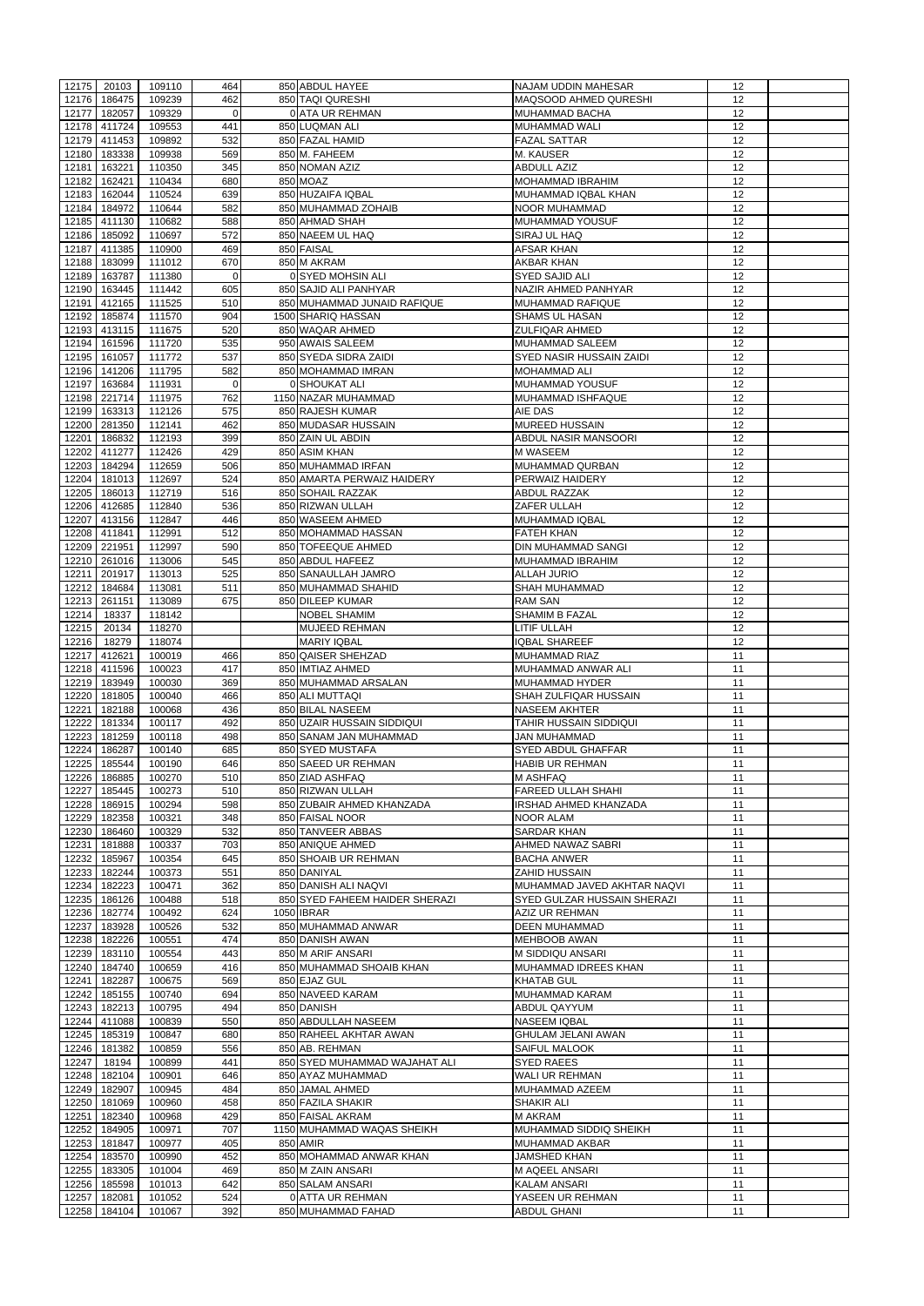|       |              |        | 464            |                                |                                    |    |  |
|-------|--------------|--------|----------------|--------------------------------|------------------------------------|----|--|
|       | 12175 20103  | 109110 |                | 850 ABDUL HAYEE                | <b>NAJAM UDDIN MAHESAR</b>         | 12 |  |
| 12176 | 186475       | 109239 | 462            | 850 TAQI QURESHI               | <b>MAQSOOD AHMED QURESHI</b>       | 12 |  |
| 12177 | 182057       | 109329 | $\overline{0}$ | 0 ATA UR REHMAN                | <b>MUHAMMAD BACHA</b>              | 12 |  |
| 12178 | 411724       | 109553 | 441            | 850 LUQMAN ALI                 | <b>MUHAMMAD WALI</b>               | 12 |  |
| 12179 | 411453       | 109892 | 532            | 850 FAZAL HAMID                | <b>FAZAL SATTAR</b>                | 12 |  |
| 12180 | 183338       | 109938 | 569            | 850 M. FAHEEM                  | M. KAUSER                          | 12 |  |
|       | 163221       |        | 345            | 850 NOMAN AZIZ                 |                                    | 12 |  |
| 12181 |              | 110350 |                |                                | <b>ABDULL AZIZ</b>                 |    |  |
| 12182 | 162421       | 110434 | 680            | 850 MOAZ                       | <b>MOHAMMAD IBRAHIM</b>            | 12 |  |
|       | 12183 162044 | 110524 | 639            | 850 HUZAIFA IQBAL              | MUHAMMAD IQBAL KHAN                | 12 |  |
|       | 12184 184972 | 110644 | 582            | 850 MUHAMMAD ZOHAIB            | <b>NOOR MUHAMMAD</b>               | 12 |  |
|       | 12185 411130 | 110682 | 588            | 850 AHMAD SHAH                 | MUHAMMAD YOUSUF                    | 12 |  |
|       | 12186 185092 | 110697 | 572            | 850 NAEEM UL HAQ               | SIRAJ UL HAQ                       | 12 |  |
| 12187 | 411385       | 110900 | 469            | 850 FAISAL                     | <b>AFSAR KHAN</b>                  | 12 |  |
|       |              |        |                |                                |                                    |    |  |
| 12188 | 183099       | 111012 | 670            | 850 M AKRAM                    | <b>AKBAR KHAN</b>                  | 12 |  |
|       | 12189 163787 | 111380 | $\Omega$       | 0 SYED MOHSIN ALI              | <b>SYED SAJID ALI</b>              | 12 |  |
|       | 12190 163445 | 111442 | 605            | 850 SAJID ALI PANHYAR          | NAZIR AHMED PANHYAR                | 12 |  |
| 12191 | 412165       | 111525 | 510            | 850 MUHAMMAD JUNAID RAFIQUE    | MUHAMMAD RAFIQUE                   | 12 |  |
|       | 12192 185874 | 111570 | 904            | 1500 SHARIQ HASSAN             | <b>SHAMS UL HASAN</b>              | 12 |  |
|       | 12193 413115 | 111675 | 520            | 850 WAQAR AHMED                | <b>ZULFIQAR AHMED</b>              | 12 |  |
| 12194 | 161596       | 111720 | 535            | 950 AWAIS SALEEM               | MUHAMMAD SALEEM                    | 12 |  |
|       |              |        |                |                                |                                    |    |  |
| 12195 | 161057       | 111772 | 537            | 850 SYEDA SIDRA ZAIDI          | <b>SYED NASIR HUSSAIN ZAIDI</b>    | 12 |  |
| 12196 | 141206       | 111795 | 582            | 850 MOHAMMAD IMRAN             | <b>MOHAMMAD ALI</b>                | 12 |  |
|       | 12197 163684 | 111931 | $\mathbf 0$    | 0 SHOUKAT ALI                  | <b>MUHAMMAD YOUSUF</b>             | 12 |  |
|       | 12198 221714 | 111975 | 762            | 1150 NAZAR MUHAMMAD            | MUHAMMAD ISHFAQUE                  | 12 |  |
|       | 12199 163313 | 112126 | 575            | 850 RAJESH KUMAR               | AIE DAS                            | 12 |  |
| 12200 | 281350       | 112141 | 462            | 850 MUDASAR HUSSAIN            | <b>MUREED HUSSAIN</b>              | 12 |  |
|       |              |        |                |                                |                                    |    |  |
| 12201 | 186832       | 112193 | 399            | 850 ZAIN UL ABDIN              | <b>ABDUL NASIR MANSOORI</b>        | 12 |  |
| 12202 | 411277       | 112426 | 429            | 850 ASIM KHAN                  | M WASEEM                           | 12 |  |
| 12203 | 184294       | 112659 | 506            | 850 MUHAMMAD IRFAN             | MUHAMMAD QURBAN                    | 12 |  |
| 12204 | 181013       | 112697 | 524            | 850 AMARTA PERWAIZ HAIDERY     | <b>PERWAIZ HAIDERY</b>             | 12 |  |
| 12205 | 186013       | 112719 | 516            | 850 SOHAIL RAZZAK              | <b>ABDUL RAZZAK</b>                | 12 |  |
| 12206 | 412685       | 112840 | 536            | 850 RIZWAN ULLAH               | <b>ZAFER ULLAH</b>                 | 12 |  |
| 12207 | 413156       | 112847 | 446            | 850 WASEEM AHMED               | <b>MUHAMMAD IQBAL</b>              | 12 |  |
|       |              |        |                |                                |                                    |    |  |
| 12208 | 411841       | 112991 | 512            | 850 MOHAMMAD HASSAN            | <b>FATEH KHAN</b>                  | 12 |  |
| 12209 | 221951       | 112997 | 590            | 850 TOFEEQUE AHMED             | <b>DIN MUHAMMAD SANGI</b>          | 12 |  |
|       | 12210 261016 | 113006 | 545            | 850 ABDUL HAFEEZ               | <b>MUHAMMAD IBRAHIM</b>            | 12 |  |
|       | 12211 201917 | 113013 | 525            | 850 SANAULLAH JAMRO            | <b>ALLAH JURIO</b>                 | 12 |  |
| 12212 | 184684       | 113081 | 511            | 850 MUHAMMAD SHAHID            | <b>SHAH MUHAMMAD</b>               | 12 |  |
| 12213 | 261151       | 113089 | 675            | 850 DILEEP KUMAR               | <b>RAM SAN</b>                     | 12 |  |
|       |              |        |                |                                | SHAMIM B FAZAL                     |    |  |
| 12214 | 18337        | 118142 |                | <b>NOBEL SHAMIM</b>            |                                    | 12 |  |
| 12215 | 20134        | 118270 |                | <b>MUJEED REHMAN</b>           | LITIF ULLAH                        | 12 |  |
| 12216 | 18279        | 118074 |                | <b>MARIY IQBAL</b>             | <b>IQBAL SHAREEF</b>               | 12 |  |
| 12217 | 412621       | 100019 | 466            | 850 QAISER SHEHZAD             | <b>MUHAMMAD RIAZ</b>               | 11 |  |
| 12218 | 411596       | 100023 | 417            | 850 IMTIAZ AHMED               | MUHAMMAD ANWAR ALI                 | 11 |  |
| 12219 | 183949       | 100030 | 369            | 850 MUHAMMAD ARSALAN           | MUHAMMAD HYDER                     | 11 |  |
| 12220 | 181805       | 100040 | 466            | 850 ALI MUTTAQI                | SHAH ZULFIQAR HUSSAIN              | 11 |  |
|       |              |        |                |                                |                                    |    |  |
| 12221 | 182188       | 100068 | 436            | 850 BILAL NASEEM               | <b>NASEEM AKHTER</b>               | 11 |  |
| 12222 | 181334       | 100117 | 492            | 850 UZAIR HUSSAIN SIDDIQUI     | TAHIR HUSSAIN SIDDIQUI             | 11 |  |
| 12223 | 181259       | 100118 | 498            | 850 SANAM JAN MUHAMMAD         | <b>JAN MUHAMMAD</b>                | 11 |  |
| 12224 | 186287       | 100140 | 685            | 850 SYED MUSTAFA               | <b>SYED ABDUL GHAFFAR</b>          | 11 |  |
| 12225 | 185544       | 100190 | 646            | 850 SAEED UR REHMAN            | <b>HABIB UR REHMAN</b>             | 11 |  |
| 12226 | 186885       | 100270 | 510            | 850 ZIAD ASHFAQ                | M ASHFAQ                           | 11 |  |
| 12227 | 185445       | 100273 | 510            | 850 RIZWAN ULLAH               | <b>FAREED ULLAH SHAHI</b>          | 11 |  |
|       |              |        |                |                                |                                    |    |  |
| 12228 | 186915       | 100294 | 598            | 850 ZUBAIR AHMED KHANZADA      | <b>IRSHAD AHMED KHANZADA</b>       | 11 |  |
| 12229 | 182358       | 100321 | 348            | 850 FAISAL NOOR                | <b>NOOR ALAM</b>                   | 11 |  |
| 12230 | 186460       | 100329 | 532            | 850 TANVEER ABBAS              | <b>SARDAR KHAN</b>                 | 11 |  |
| 12231 | 181888       | 100337 | 703            | 850 ANIQUE AHMED               | AHMED NAWAZ SABRI                  | 11 |  |
| 12232 | 185967       | 100354 | 645            | 850 SHOAIB UR REHMAN           | <b>BACHA ANWER</b>                 | 11 |  |
| 12233 | 182244       | 100373 | 551            | 850 DANIYAL                    | <b>ZAHID HUSSAIN</b>               | 11 |  |
| 12234 | 182223       | 100471 | 362            | 850 DANISH ALI NAQVI           | MUHAMMAD JAVED AKHTAR NAQVI        | 11 |  |
|       |              |        |                |                                |                                    |    |  |
| 12235 | 186126       | 100488 | 518            | 850 SYED FAHEEM HAIDER SHERAZI | <b>SYED GULZAR HUSSAIN SHERAZI</b> | 11 |  |
| 12236 | 182774       | 100492 | 624            | 1050 IBRAR                     | <b>AZIZ UR REHMAN</b>              | 11 |  |
| 12237 | 183928       | 100526 | 532            | 850 MUHAMMAD ANWAR             | <b>DEEN MUHAMMAD</b>               | 11 |  |
| 12238 | 182226       | 100551 | 474            | 850 DANISH AWAN                | <b>MEHBOOB AWAN</b>                | 11 |  |
| 12239 | 183110       | 100554 | 443            | 850 M ARIF ANSARI              | M SIDDIQU ANSARI                   | 11 |  |
| 12240 | 184740       | 100659 | 416            | 850 MUHAMMAD SHOAIB KHAN       | MUHAMMAD IDREES KHAN               | 11 |  |
| 12241 | 182287       | 100675 | 569            | 850 EJAZ GUL                   | <b>KHATAB GUL</b>                  | 11 |  |
|       |              |        | 694            |                                |                                    | 11 |  |
| 12242 | 185155       | 100740 |                | 850 NAVEED KARAM               | <b>MUHAMMAD KARAM</b>              |    |  |
| 12243 | 182213       | 100795 | 494            | 850 DANISH                     | <b>ABDUL QAYYUM</b>                | 11 |  |
| 12244 | 411088       | 100839 | 550            | 850 ABDULLAH NASEEM            | <b>NASEEM IQBAL</b>                | 11 |  |
| 12245 | 185319       | 100847 | 680            | 850 RAHEEL AKHTAR AWAN         | <b>GHULAM JELANI AWAN</b>          | 11 |  |
| 12246 | 181382       | 100859 | 556            | 850 AB. REHMAN                 | <b>SAIFUL MALOOK</b>               | 11 |  |
|       | 12247 18194  | 100899 | 441            | 850 SYED MUHAMMAD WAJAHAT ALI  | <b>SYED RAEES</b>                  | 11 |  |
|       | 12248 182104 | 100901 | 646            | 850 AYAZ MUHAMMAD              | <b>WALI UR REHMAN</b>              | 11 |  |
|       |              |        |                |                                |                                    |    |  |
|       | 12249 182907 | 100945 | 484            | 850 JAMAL AHMED                | MUHAMMAD AZEEM                     | 11 |  |
| 12250 | 181069       | 100960 | 458            | 850 FAZILA SHAKIR              | <b>SHAKIR ALI</b>                  | 11 |  |
| 12251 | 182340       | 100968 | 429            | 850 FAISAL AKRAM               | <b>M AKRAM</b>                     | 11 |  |
| 12252 | 184905       | 100971 | 707            | 1150 MUHAMMAD WAQAS SHEIKH     | MUHAMMAD SIDDIQ SHEIKH             | 11 |  |
| 12253 | 181847       | 100977 | 405            | 850 AMIR                       | MUHAMMAD AKBAR                     | 11 |  |
| 12254 | 183570       | 100990 | 452            | 850 MOHAMMAD ANWAR KHAN        | <b>JAMSHED KHAN</b>                | 11 |  |
| 12255 | 183305       | 101004 | 469            | 850 M ZAIN ANSARI              | M AQEEL ANSARI                     | 11 |  |
|       |              |        |                |                                |                                    |    |  |
| 12256 | 185598       | 101013 | 642            | 850 SALAM ANSARI               | <b>KALAM ANSARI</b>                | 11 |  |
| 12257 | 182081       | 101052 | 524            | 0 ATTA UR REHMAN               | YASEEN UR REHMAN                   | 11 |  |
|       | 12258 184104 | 101067 | 392            | 850 MUHAMMAD FAHAD             | <b>ABDUL GHANI</b>                 | 11 |  |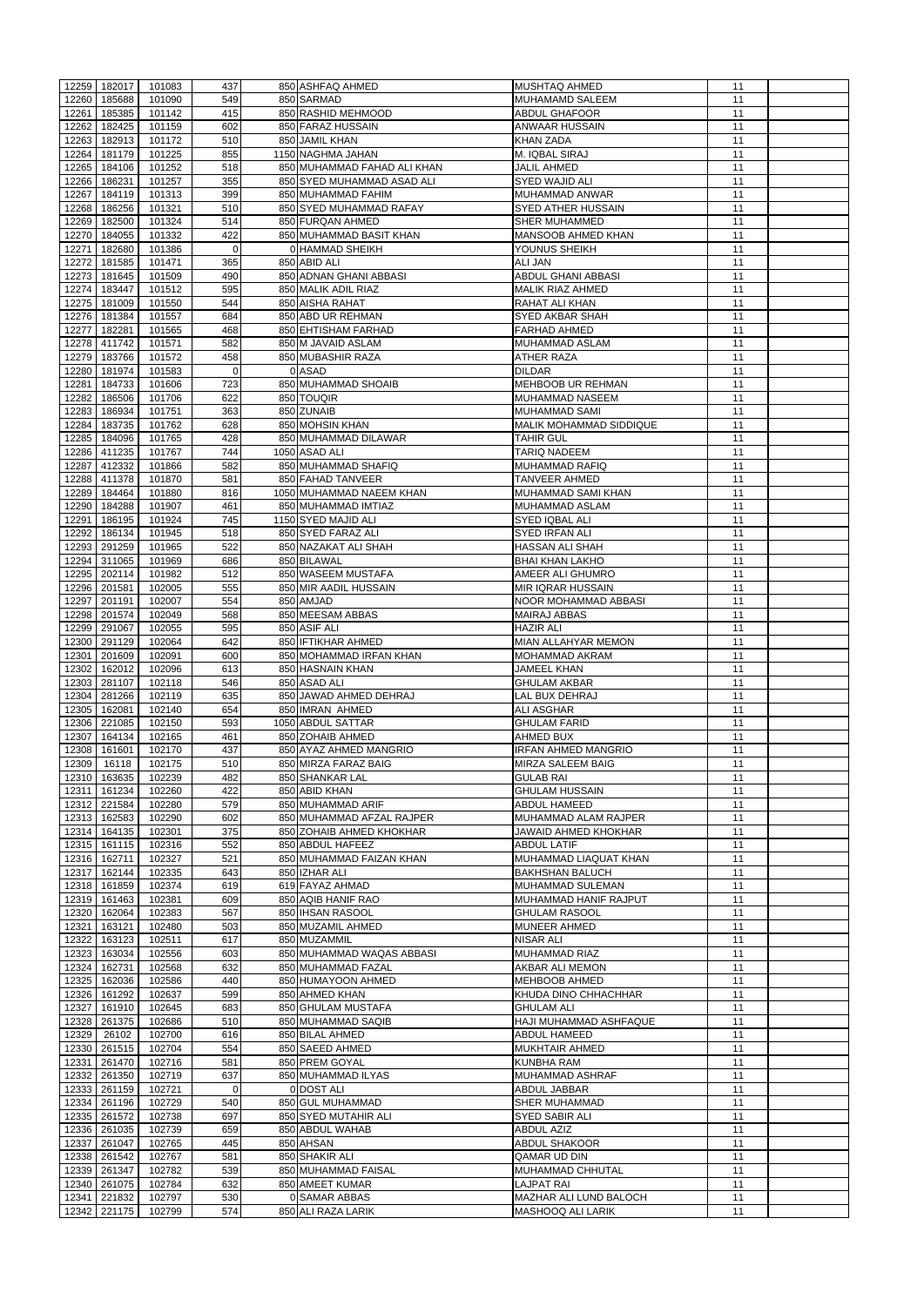|                | 12259 182017     | 101083           | 437            | 850 ASHFAQ AHMED                    | <b>MUSHTAQ AHMED</b>                                      | 11       |  |
|----------------|------------------|------------------|----------------|-------------------------------------|-----------------------------------------------------------|----------|--|
|                |                  |                  |                |                                     |                                                           |          |  |
| 12260          | 185688           | 101090           | 549            | 850 SARMAD                          | <b>MUHAMAMD SALEEM</b>                                    | 11       |  |
| 12261          | 185385           | 101142           | 415            | 850 RASHID MEHMOOD                  | <b>ABDUL GHAFOOR</b>                                      | 11       |  |
| 12262          | 182425           | 101159           | 602            | 850 FARAZ HUSSAIN                   | <b>ANWAAR HUSSAIN</b>                                     | 11       |  |
| 12263          | 182913           | 101172           | 510            | 850 JAMIL KHAN                      | <b>KHAN ZADA</b>                                          | 11       |  |
|                |                  |                  |                |                                     |                                                           |          |  |
| 12264          | 181179           | 101225           | 855            | 1150 NAGHMA JAHAN                   | M. IQBAL SIRAJ                                            | 11       |  |
| 12265          | 184106           | 101252           | 518            | 850 MUHAMMAD FAHAD ALI KHAN         | <b>JALIL AHMED</b>                                        | 11       |  |
| 12266          | 186231           | 101257           | 355            | 850 SYED MUHAMMAD ASAD ALI          | <b>SYED WAJID ALI</b>                                     | 11       |  |
| 12267          | 184119           | 101313           | 399            | 850 MUHAMMAD FAHIM                  | <b>MUHAMMAD ANWAR</b>                                     | 11       |  |
|                |                  |                  |                |                                     |                                                           |          |  |
| 12268          | 186256           | 101321           | 510            | 850 SYED MUHAMMAD RAFAY             | <b>SYED ATHER HUSSAIN</b>                                 | 11       |  |
| 12269          | 182500           | 101324           | 514            | 850 FURQAN AHMED                    | <b>SHER MUHAMMED</b>                                      | 11       |  |
| 12270          | 184055           | 101332           | 422            | 850 MUHAMMAD BASIT KHAN             | <b>MANSOOB AHMED KHAN</b>                                 | 11       |  |
| 12271          | 182680           | 101386           | $\mathbf 0$    | 0 HAMMAD SHEIKH                     | YOUNUS SHEIKH                                             | 11       |  |
| 12272          | 181585           | 101471           | 365            | 850 ABID ALI                        | <b>ALI JAN</b>                                            | 11       |  |
|                |                  |                  |                |                                     |                                                           |          |  |
| 12273          | 181645           | 101509           | 490            | 850 ADNAN GHANI ABBASI              | <b>ABDUL GHANI ABBASI</b>                                 | 11       |  |
| 12274          | 183447           | 101512           | 595            | 850 MALIK ADIL RIAZ                 | <b>MALIK RIAZ AHMED</b>                                   | 11       |  |
| 12275          | 181009           | 101550           | 544            | 850 AISHA RAHAT                     | RAHAT ALI KHAN                                            | 11       |  |
| 12276          | 181384           | 101557           | 684            | 850 ABD UR REHMAN                   | <b>SYED AKBAR SHAH</b>                                    | 11       |  |
|                |                  |                  |                |                                     |                                                           |          |  |
| 12277          | 182281           | 101565           | 468            | 850 EHTISHAM FARHAD                 | <b>FARHAD AHMED</b>                                       | 11       |  |
| 12278          | 411742           | 101571           | 582            | 850 M JAVAID ASLAM                  | MUHAMMAD ASLAM                                            | 11       |  |
| 12279          | 183766           | 101572           | 458            | 850 MUBASHIR RAZA                   | <b>ATHER RAZA</b>                                         | 11       |  |
| 12280          | 181974           | 101583           | $\overline{0}$ | 0 ASAD                              | <b>DILDAR</b>                                             | 11       |  |
| 12281          | 184733           | 101606           | 723            | 850 MUHAMMAD SHOAIB                 | MEHBOOB UR REHMAN                                         | 11       |  |
|                |                  |                  |                |                                     |                                                           |          |  |
| 12282          | 186506           | 101706           | 622            | 850 TOUQIR                          | MUHAMMAD NASEEM                                           | 11       |  |
| 12283          | 186934           | 101751           | 363            | 850 ZUNAIB                          | <b>MUHAMMAD SAMI</b>                                      | 11       |  |
| 12284          | 183735           | 101762           | 628            | 850 MOHSIN KHAN                     | MALIK MOHAMMAD SIDDIQUE                                   | 11       |  |
| 12285          | 184096           | 101765           | 428            | 850 MUHAMMAD DILAWAR                | <b>TAHIR GUL</b>                                          | 11       |  |
|                |                  | 101767           | 744            | 1050 ASAD ALI                       |                                                           | 11       |  |
| 12286          | 411235           |                  |                |                                     | <b>TARIQ NADEEM</b>                                       |          |  |
| 12287          | 412332           | 101866           | 582            | 850 MUHAMMAD SHAFIQ                 | MUHAMMAD RAFIQ                                            | 11       |  |
| 12288          | 411378           | 101870           | 581            | 850 FAHAD TANVEER                   | <b>TANVEER AHMED</b>                                      | 11       |  |
| 12289          | 184464           | 101880           | 816            | 1050 MUHAMMAD NAEEM KHAN            | MUHAMMAD SAMI KHAN                                        | 11       |  |
| 12290          | 184288           | 101907           | 461            | 850 MUHAMMAD IMTIAZ                 | <b>MUHAMMAD ASLAM</b>                                     | 11       |  |
|                |                  |                  |                |                                     |                                                           |          |  |
| 12291          | 186195           | 101924           | 745            | 1150 SYED MAJID ALI                 | SYED IQBAL ALI                                            | 11       |  |
| 12292          | 186134           | 101945           | 518            | 850 SYED FARAZ ALI                  | <b>SYED IRFAN ALI</b>                                     | 11       |  |
| 12293          | 291259           | 101965           | 522            | 850 NAZAKAT ALI SHAH                | <b>HASSAN ALI SHAH</b>                                    | 11       |  |
| 12294          | 311065           | 101969           | 686            | 850 BILAWAL                         | <b>BHAI KHAN LAKHO</b>                                    | 11       |  |
|                |                  |                  |                |                                     |                                                           |          |  |
|                | 12295 202114     | 101982           | 512            | 850 WASEEM MUSTAFA                  | <b>AMEER ALI GHUMRO</b>                                   | 11       |  |
| 12296          | 201581           | 102005           | 555            | 850 MIR AADIL HUSSAIN               | <b>MIR IQRAR HUSSAIN</b>                                  | 11       |  |
| 12297          | 201191           | 102007           | 554            | 850 AMJAD                           | <b>NOOR MOHAMMAD ABBASI</b>                               | 11       |  |
| 12298          | 201574           | 102049           | 568            | 850 MEESAM ABBAS                    | <b>MAIRAJ ABBAS</b>                                       | 11       |  |
| 12299          | 291067           | 102055           | 595            | 850 ASIF ALI                        | <b>HAZIR ALI</b>                                          | 11       |  |
|                |                  |                  |                |                                     |                                                           |          |  |
| 12300          | 291129           | 102064           | 642            | 850 IFTIKHAR AHMED                  | MIAN ALLAHYAR MEMON                                       | 11       |  |
| 12301          | 201609           | 102091           | 600            | 850 MOHAMMAD IRFAN KHAN             | <b>MOHAMMAD AKRAM</b>                                     | 11       |  |
| 12302          | 162012           | 102096           | 613            | 850 HASNAIN KHAN                    | <b>JAMEEL KHAN</b>                                        | 11       |  |
| 12303          | 281107           | 102118           | 546            | 850 ASAD ALI                        | <b>GHULAM AKBAR</b>                                       | 11       |  |
| 12304          | 281266           | 102119           | 635            | 850 JAWAD AHMED DEHRAJ              | LAL BUX DEHRAJ                                            | 11       |  |
|                |                  |                  |                |                                     |                                                           |          |  |
| 12305          | 162081           | 102140           | 654            | 850 IMRAN AHMED                     | <b>ALI ASGHAR</b>                                         | 11       |  |
| 12306          | 221085           | 102150           | 593            | 1050 ABDUL SATTAR                   | <b>GHULAM FARID</b>                                       | 11       |  |
| 12307          | 164134           | 102165           | 461            | 850 ZOHAIB AHMED                    | <b>AHMED BUX</b>                                          | 11       |  |
| 12308          | 161601           | 102170           | 437            | 850 AYAZ AHMED MANGRIO              | <b>IRFAN AHMED MANGRIO</b>                                | 11       |  |
| 12309          | 16118            | 102175           | 510            | 850 MIRZA FARAZ BAIG                | <b>MIRZA SALEEM BAIG</b>                                  | 11       |  |
|                |                  |                  |                |                                     |                                                           |          |  |
| 12310          | 163635           | 102239           | 482            | 850 SHANKAR LAL                     | <b>GULAB RAI</b>                                          | 11       |  |
| 12311          | 161234           | 102260           | 422            | 850 ABID KHAN                       | <b>GHULAM HUSSAIN</b>                                     | 11       |  |
| 12312          | 221584           | 102280           | 579            | 850 MUHAMMAD ARIF                   | <b>ABDUL HAMEED</b>                                       | 11       |  |
| 12313          | 162583           | 102290           | 602            | 850 MUHAMMAD AFZAL RAJPER           | MUHAMMAD ALAM RAJPER                                      | 11       |  |
| 12314          | 164135           | 102301           | 375            | 850 ZOHAIB AHMED KHOKHAR            | JAWAID AHMED KHOKHAR                                      | 11       |  |
|                |                  |                  |                |                                     |                                                           |          |  |
| 12315          | 161115           | 102316           | 552            | 850 ABDUL HAFEEZ                    | <b>ABDUL LATIF</b>                                        | 11       |  |
| 12316          | 162711           | 102327           | 521            | 850 MUHAMMAD FAIZAN KHAN            | MUHAMMAD LIAQUAT KHAN                                     | 11       |  |
| 12317          | 162144           | 102335           | 643            | 850 IZHAR ALI                       | <b>BAKHSHAN BALUCH</b>                                    | 11       |  |
|                | 12318 161859     | 102374           | 619            | 619 FAYAZ AHMAD                     | MUHAMMAD SULEMAN                                          | 11       |  |
|                | 12319 161463     | 102381           | 609            | 850 AQIB HANIF RAO                  | MUHAMMAD HANIF RAJPUT                                     | 11       |  |
|                |                  |                  |                |                                     |                                                           |          |  |
| 12320          | 162064           | 102383           | 567            | 850 IHSAN RASOOL                    | <b>GHULAM RASOOL</b>                                      | 11       |  |
|                |                  |                  |                |                                     |                                                           |          |  |
| 12321          | 163121           | 102480           | 503            | 850 MUZAMIL AHMED                   | <b>MUNEER AHMED</b>                                       | 11       |  |
| 12322          | 163123           | 102511           | 617            | 850 MUZAMMIL                        | <b>NISAR ALI</b>                                          | 11       |  |
|                |                  |                  |                |                                     |                                                           |          |  |
| 12323          | 163034           | 102556           | 603            | 850 MUHAMMAD WAQAS ABBASI           | <b>MUHAMMAD RIAZ</b>                                      | 11       |  |
| 12324          | 162731           | 102568           | 632            | 850 MUHAMMAD FAZAL                  | AKBAR ALI MEMON                                           | 11       |  |
| 12325          | 162036           | 102586           | 440            | 850 HUMAYOON AHMED                  | <b>MEHBOOB AHMED</b>                                      | 11       |  |
| 12326          | 161292           | 102637           | 599            | 850 AHMED KHAN                      | KHUDA DINO CHHACHHAR                                      | 11       |  |
|                |                  |                  |                |                                     |                                                           |          |  |
| 12327          | 161910           | 102645           | 683            | 850 GHULAM MUSTAFA                  | <b>GHULAM ALI</b>                                         | 11       |  |
| 12328          | 261375           | 102686           | 510            | 850 MUHAMMAD SAQIB                  | HAJI MUHAMMAD ASHFAQUE                                    | 11       |  |
| 12329          | 26102            | 102700           | 616            | 850 BILAL AHMED                     | <b>ABDUL HAMEED</b>                                       | 11       |  |
| 12330          | 261515           | 102704           | 554            | 850 SAEED AHMED                     | <b>MUKHTAIR AHMED</b>                                     | 11       |  |
|                | 12331 261470     | 102716           | 581            | 850 PREM GOYAL                      | KUNBHA RAM                                                | 11       |  |
|                |                  |                  |                |                                     |                                                           |          |  |
| 12332          | 261350           | 102719           | 637            | 850 MUHAMMAD ILYAS                  | MUHAMMAD ASHRAF                                           | 11       |  |
|                | 12333 261159     | 102721           | $\overline{0}$ | 0 DOST ALI                          | ABDUL JABBAR                                              | 11       |  |
|                | 12334 261196     | 102729           | 540            | 850 GUL MUHAMMAD                    | SHER MUHAMMAD                                             | 11       |  |
|                | 12335 261572     | 102738           | 697            | 850 SYED MUTAHIR ALI                | <b>SYED SABIR ALI</b>                                     | 11       |  |
| 12336          | 261035           | 102739           | 659            | 850 ABDUL WAHAB                     | <b>ABDUL AZIZ</b>                                         | 11       |  |
|                |                  |                  |                |                                     |                                                           |          |  |
| 12337          | 261047           | 102765           | 445            | 850 AHSAN                           | <b>ABDUL SHAKOOR</b>                                      | 11       |  |
| 12338          | 261542           | 102767           | 581            | 850 SHAKIR ALI                      | QAMAR UD DIN                                              | 11       |  |
| 12339          | 261347           | 102782           | 539            | 850 MUHAMMAD FAISAL                 | MUHAMMAD CHHUTAL                                          | 11       |  |
| 12340          | 261075           | 102784           | 632            | 850 AMEET KUMAR                     | <b>LAJPAT RAI</b>                                         | 11       |  |
|                |                  |                  |                |                                     |                                                           |          |  |
| 12341<br>12342 | 221832<br>221175 | 102797<br>102799 | 530<br>574     | 0 SAMAR ABBAS<br>850 ALI RAZA LARIK | <b>MAZHAR ALI LUND BALOCH</b><br><b>MASHOOQ ALI LARIK</b> | 11<br>11 |  |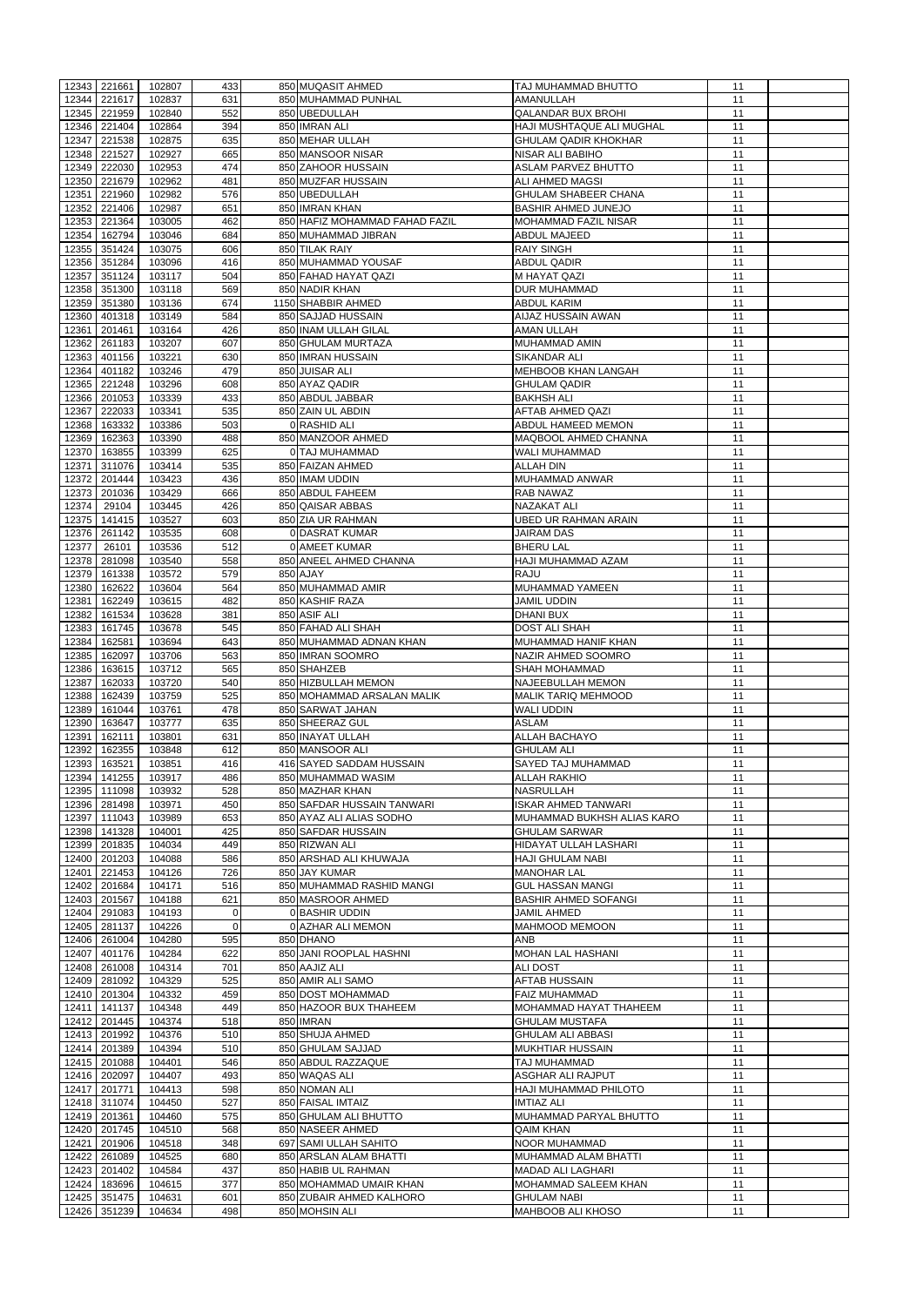|                | 12343 221661     | 102807           | 433         | 850 MUQASIT AHMED                          | TAJ MUHAMMAD BHUTTO                            | 11       |  |
|----------------|------------------|------------------|-------------|--------------------------------------------|------------------------------------------------|----------|--|
| 12344          | 221617           | 102837           | 631         | 850 MUHAMMAD PUNHAL                        | AMANULLAH                                      | 11       |  |
| 12345          | 221959           | 102840           | 552         | 850 UBEDULLAH                              | <b>QALANDAR BUX BROHI</b>                      | 11       |  |
| 12346          | 221404           | 102864           | 394         | 850 IMRAN ALI                              | HAJI MUSHTAQUE ALI MUGHAL                      | 11       |  |
| 12347          | 221538           | 102875           | 635         | 850 MEHAR ULLAH                            | <b>GHULAM QADIR KHOKHAR</b>                    | 11       |  |
|                |                  |                  |             |                                            |                                                |          |  |
| 12348          | 221527           | 102927           | 665         | 850 MANSOOR NISAR                          | <b>NISAR ALI BABIHO</b>                        | 11       |  |
| 12349          | 222030           | 102953           | 474         | 850 ZAHOOR HUSSAIN                         | <b>ASLAM PARVEZ BHUTTO</b>                     | 11       |  |
| 12350          | 221679           | 102962           | 481         | 850 MUZFAR HUSSAIN                         | ALI AHMED MAGSI                                | 11       |  |
| 12351          | 221960           | 102982           | 576         | 850 UBEDULLAH                              | <b>GHULAM SHABEER CHANA</b>                    | 11       |  |
| 12352          | 221406           | 102987           | 651         | 850 IMRAN KHAN                             | <b>BASHIR AHMED JUNEJO</b>                     | 11       |  |
|                |                  |                  |             |                                            |                                                |          |  |
| 12353          | 221364           | 103005           | 462         | 850 HAFIZ MOHAMMAD FAHAD FAZIL             | <b>MOHAMMAD FAZIL NISAR</b>                    | 11       |  |
| 12354          | 162794           | 103046           | 684         | 850 MUHAMMAD JIBRAN                        | ABDUL MAJEED                                   | 11       |  |
| 12355          | 351424           | 103075           | 606         | 850 TILAK RAIY                             | <b>RAIY SINGH</b>                              | 11       |  |
| 12356          | 351284           | 103096           | 416         | 850 MUHAMMAD YOUSAF                        | <b>ABDUL QADIR</b>                             | 11       |  |
|                |                  |                  |             |                                            |                                                |          |  |
| 12357          | 351124           | 103117           | 504         | 850 FAHAD HAYAT QAZI                       | M HAYAT QAZI                                   | 11       |  |
| 12358          | 351300           | 103118           | 569         | 850 NADIR KHAN                             | <b>DUR MUHAMMAD</b>                            | 11       |  |
| 12359          | 351380           | 103136           | 674         | 1150 SHABBIR AHMED                         | <b>ABDUL KARIM</b>                             | 11       |  |
| 12360          | 401318           | 103149           | 584         | 850 SAJJAD HUSSAIN                         | AIJAZ HUSSAIN AWAN                             | 11       |  |
|                |                  |                  |             |                                            |                                                |          |  |
| 12361          | 201461           | 103164           | 426         | 850 INAM ULLAH GILAL                       | <b>AMAN ULLAH</b>                              | 11       |  |
| 12362          | 261183           | 103207           | 607         | 850 GHULAM MURTAZA                         | MUHAMMAD AMIN                                  | 11       |  |
| 12363          | 401156           | 103221           | 630         | 850 IMRAN HUSSAIN                          | SIKANDAR ALI                                   | 11       |  |
| 12364          | 401182           | 103246           | 479         | 850 JUISAR ALI                             | <b>MEHBOOB KHAN LANGAH</b>                     | 11       |  |
|                |                  |                  |             |                                            |                                                |          |  |
| 12365          | 221248           | 103296           | 608         | 850 AYAZ QADIR                             | <b>GHULAM QADIR</b>                            | 11       |  |
| 12366          | 201053           | 103339           | 433         | 850 ABDUL JABBAR                           | <b>BAKHSH ALI</b>                              | 11       |  |
| 12367          | 222033           | 103341           | 535         | 850 ZAIN UL ABDIN                          | AFTAB AHMED QAZI                               | 11       |  |
| 12368          | 163332           | 103386           | 503         | 0 RASHID ALI                               | ABDUL HAMEED MEMON                             | 11       |  |
|                |                  |                  |             |                                            |                                                |          |  |
| 12369          | 162363           | 103390           | 488         | 850 MANZOOR AHMED                          | MAQBOOL AHMED CHANNA                           | 11       |  |
| 12370          | 163855           | 103399           | 625         | 0 TAJ MUHAMMAD                             | WALI MUHAMMAD                                  | 11       |  |
| 12371          | 311076           | 103414           | 535         | 850 FAIZAN AHMED                           | <b>ALLAH DIN</b>                               | 11       |  |
| 12372          | 201444           | 103423           | 436         | 850 IMAM UDDIN                             | MUHAMMAD ANWAR                                 | 11       |  |
| 12373          | 201036           |                  | 666         |                                            |                                                | 11       |  |
|                |                  | 103429           |             | 850 ABDUL FAHEEM                           | <b>RAB NAWAZ</b>                               |          |  |
| 12374          | 29104            | 103445           | 426         | 850 QAISAR ABBAS                           | <b>NAZAKAT ALI</b>                             | 11       |  |
| 12375          | 141415           | 103527           | 603         | 850 ZIA UR RAHMAN                          | UBED UR RAHMAN ARAIN                           | 11       |  |
| 12376          | 261142           | 103535           | 608         | 0 DASRAT KUMAR                             | <b>JAIRAM DAS</b>                              | 11       |  |
|                |                  |                  |             |                                            |                                                |          |  |
| 12377          | 26101            | 103536           | 512         | 0 AMEET KUMAR                              | <b>BHERU LAL</b>                               | 11       |  |
|                | 12378 281098     | 103540           | 558         | 850 ANEEL AHMED CHANNA                     | <b>HAJI MUHAMMAD AZAM</b>                      | 11       |  |
|                | 12379 161338     | 103572           | 579         | 850 AJAY                                   | <b>RAJU</b>                                    | 11       |  |
| 12380          | 162622           | 103604           | 564         | 850 MUHAMMAD AMIR                          | <b>MUHAMMAD YAMEEN</b>                         | 11       |  |
|                |                  |                  |             |                                            |                                                |          |  |
| 12381          | 162249           | 103615           | 482         | 850 KASHIF RAZA                            | <b>JAMIL UDDIN</b>                             | 11       |  |
| 12382          | 161534           | 103628           | 381         | 850 ASIF ALI                               | <b>DHANI BUX</b>                               | 11       |  |
| 12383          | 161745           | 103678           | 545         | 850 FAHAD ALI SHAH                         | <b>DOST ALI SHAH</b>                           | 11       |  |
| 12384          | 162581           | 103694           | 643         | 850 MUHAMMAD ADNAN KHAN                    | MUHAMMAD HANIF KHAN                            | 11       |  |
| 12385          | 162097           | 103706           | 563         | 850 IMRAN SOOMRO                           | NAZIR AHMED SOOMRO                             | 11       |  |
|                |                  |                  |             |                                            |                                                |          |  |
| 12386          | 163615           | 103712           | 565         | 850 SHAHZEB                                | <b>SHAH MOHAMMAD</b>                           | 11       |  |
| 12387          | 162033           | 103720           | 540         | 850 HIZBULLAH MEMON                        | <b>NAJEEBULLAH MEMON</b>                       | 11       |  |
| 12388          | 162439           | 103759           | 525         | 850 MOHAMMAD ARSALAN MALIK                 | <b>MALIK TARIQ MEHMOOD</b>                     | 11       |  |
| 12389          | 161044           | 103761           | 478         | 850 SARWAT JAHAN                           | <b>WALI UDDIN</b>                              | 11       |  |
|                |                  |                  |             |                                            |                                                |          |  |
| 12390          | 163647           | 103777           | 635         | 850 SHEERAZ GUL                            | <b>ASLAM</b>                                   | 11       |  |
| 12391          | 162111           | 103801           | 631         | 850 INAYAT ULLAH                           | ALLAH BACHAYO                                  | 11       |  |
| 12392          | 162355           | 103848           | 612         | 850 MANSOOR ALI                            | <b>GHULAM ALI</b>                              | 11       |  |
| 12393          | 163521           | 103851           | 416         | 416 SAYED SADDAM HUSSAIN                   | SAYED TAJ MUHAMMAD                             | 11       |  |
| 12394          | 141255           | 103917           | 486         | 850 MUHAMMAD WASIM                         | <b>ALLAH RAKHIO</b>                            | 11       |  |
|                |                  |                  |             |                                            |                                                |          |  |
| 12395          | 111098           | 103932           | 528         | 850 MAZHAR KHAN                            | <b>NASRULLAH</b>                               | 11       |  |
| 12396          | 281498           | 103971           | 450         | 850 SAFDAR HUSSAIN TANWARI                 | <b>ISKAR AHMED TANWARI</b>                     | 11       |  |
| 12397          | 111043           | 103989           | 653         | 850 AYAZ ALI ALIAS SODHO                   | MUHAMMAD BUKHSH ALIAS KARO                     | 11       |  |
| 12398          | 141328           | 104001           | 425         | 850 SAFDAR HUSSAIN                         | <b>GHULAM SARWAR</b>                           | 11       |  |
|                |                  |                  | 449         |                                            |                                                |          |  |
| 12399          | 201835           | 104034           |             | 850 RIZWAN ALI                             | HIDAYAT ULLAH LASHARI                          | 11       |  |
| 12400          | 201203           | 104088           | 586         | 850 ARSHAD ALI KHUWAJA                     | <b>HAJI GHULAM NABI</b>                        | 11       |  |
| 12401          | 221453           | 104126           | 726         | 850 JAY KUMAR                              | <b>MANOHAR LAL</b>                             | 11       |  |
| 12402          | 201684           | 104171           | 516         | 850 MUHAMMAD RASHID MANGI                  | <b>GUL HASSAN MANGI</b>                        | 11       |  |
| 12403          | 201567           | 104188           | 621         | 850 MASROOR AHMED                          | <b>BASHIR AHMED SOFANGI</b>                    | 11       |  |
| 12404          | 291083           | 104193           | $\mathbf 0$ | 0 BASHIR UDDIN                             |                                                |          |  |
|                |                  |                  |             |                                            | <b>JAMIL AHMED</b>                             | 11       |  |
| 12405          | 281137           | 104226           | $\Omega$    | 0 AZHAR ALI MEMON                          | <b>MAHMOOD MEMOON</b>                          | 11       |  |
| 12406          | 261004           | 104280           | 595         | 850 DHANO                                  | <b>ANB</b>                                     | 11       |  |
| 12407          | 401176           | 104284           | 622         | 850 JANI ROOPLAL HASHNI                    | <b>MOHAN LAL HASHANI</b>                       | 11       |  |
| 12408          | 261008           | 104314           | 701         | 850 AAJIZ ALI                              | <b>ALI DOST</b>                                | 11       |  |
|                |                  |                  |             |                                            |                                                |          |  |
| 12409          | 281092           | 104329           | 525         | 850 AMIR ALI SAMO                          | <b>AFTAB HUSSAIN</b>                           | 11       |  |
| 12410          | 201304           | 104332           | 459         | 850 DOST MOHAMMAD                          | <b>FAIZ MUHAMMAD</b>                           | 11       |  |
| 12411          | 141137           | 104348           | 449         | 850 HAZOOR BUX THAHEEM                     | <b>MOHAMMAD HAYAT THAHEEM</b>                  | 11       |  |
| 12412          | 201445           | 104374           | 518         | 850 IMRAN                                  | <b>GHULAM MUSTAFA</b>                          | 11       |  |
|                |                  |                  |             |                                            |                                                |          |  |
| 12413          | 201992           | 104376           | 510         | 850 SHUJA AHMED                            | <b>GHULAM ALI ABBASI</b>                       | 11       |  |
| 12414          | 201389           | 104394           | 510         | 850 GHULAM SAJJAD                          | <b>MUKHTIAR HUSSAIN</b>                        | 11       |  |
|                | 12415 201088     | 104401           | 546         | 850 ABDUL RAZZAQUE                         | TAJ MUHAMMAD                                   | 11       |  |
|                | 12416 202097     | 104407           | 493         | 850 WAQAS ALI                              | ASGHAR ALI RAJPUT                              | 11       |  |
|                | 12417 201771     |                  |             |                                            | HAJI MUHAMMAD PHILOTO                          |          |  |
|                |                  | 104413           | 598         | 850 NOMAN ALI                              |                                                | 11       |  |
|                | 12418 311074     | 104450           | 527         | 850 FAISAL IMTAIZ                          | <b>IMTIAZ ALI</b>                              | 11       |  |
| 12419 201361   |                  | 104460           | 575         | 850 GHULAM ALI BHUTTO                      | MUHAMMAD PARYAL BHUTTO                         | 11       |  |
|                |                  | 104510           | 568         | 850 NASEER AHMED                           | <b>QAIM KHAN</b>                               | 11       |  |
| 12420          | 201745           |                  |             |                                            |                                                |          |  |
|                |                  |                  |             |                                            |                                                |          |  |
| 12421          | 201906           | 104518           | 348         | 697 SAMI ULLAH SAHITO                      | <b>NOOR MUHAMMAD</b>                           | 11       |  |
| 12422          | 261089           | 104525           | 680         | 850 ARSLAN ALAM BHATTI                     | MUHAMMAD ALAM BHATTI                           | 11       |  |
| 12423          | 201402           | 104584           | 437         | 850 HABIB UL RAHMAN                        | <b>MADAD ALI LAGHARI</b>                       | 11       |  |
|                | 183696           |                  | 377         | 850 MOHAMMAD UMAIR KHAN                    | <b>MOHAMMAD SALEEM KHAN</b>                    | 11       |  |
| 12424          |                  | 104615           |             |                                            |                                                |          |  |
| 12425<br>12426 | 351475<br>351239 | 104631<br>104634 | 601<br>498  | 850 ZUBAIR AHMED KALHORO<br>850 MOHSIN ALI | <b>GHULAM NABI</b><br><b>MAHBOOB ALI KHOSO</b> | 11<br>11 |  |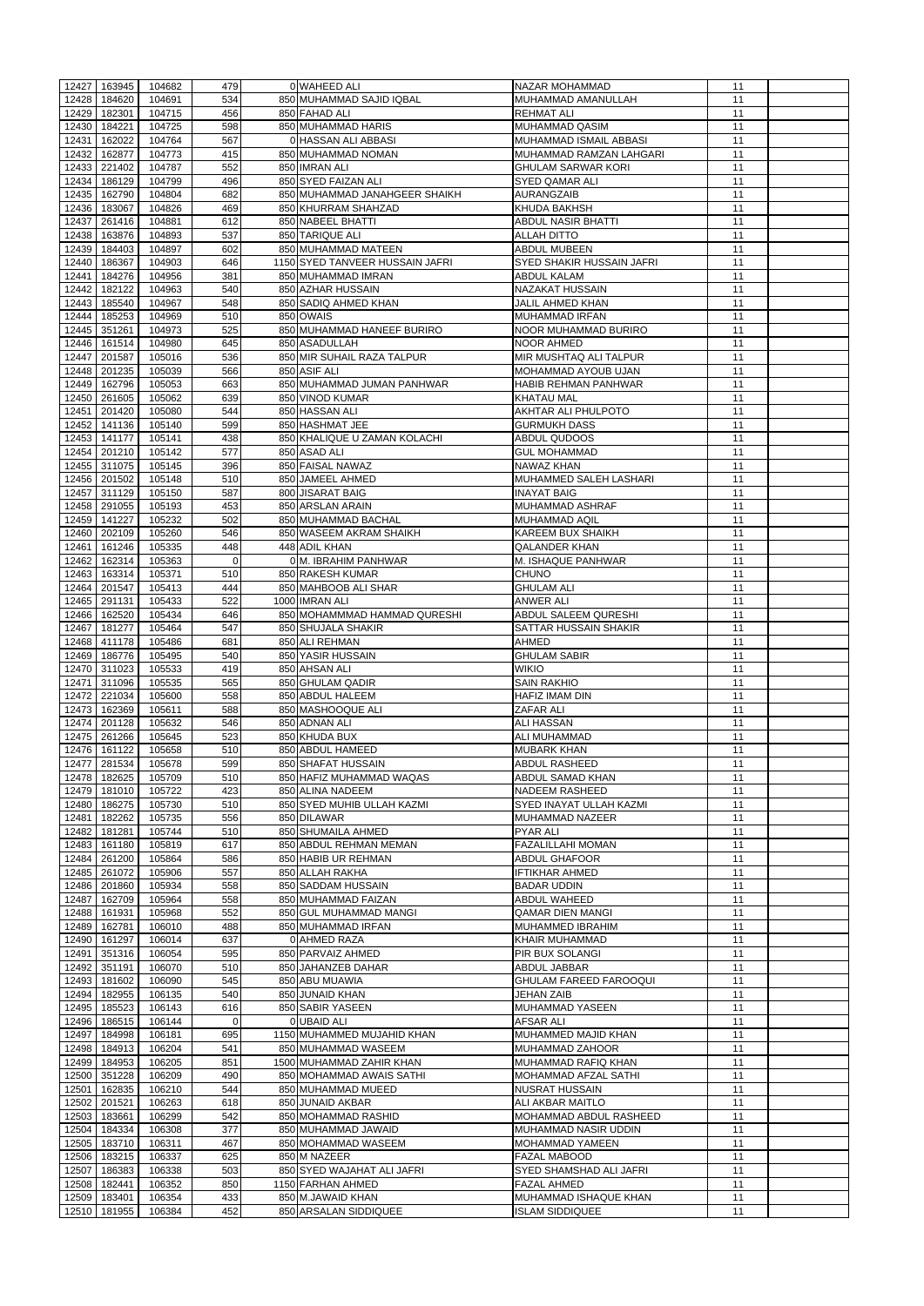| 12427 | 163945                 | 104682           | 479              | O WAHEED ALI                               | NAZAR MOHAMMAD                                  | 11       |  |
|-------|------------------------|------------------|------------------|--------------------------------------------|-------------------------------------------------|----------|--|
|       |                        |                  |                  |                                            |                                                 |          |  |
| 12428 | 184620                 | 104691           | 534              | 850 MUHAMMAD SAJID IQBAL                   | MUHAMMAD AMANULLAH                              | 11       |  |
| 12429 | 182301                 | 104715           | 456              | 850 FAHAD ALI                              | <b>REHMAT ALI</b>                               | 11       |  |
| 12430 | 184221                 | 104725           | 598              | 850 MUHAMMAD HARIS                         | <b>MUHAMMAD QASIM</b>                           | 11       |  |
| 12431 | 162022                 | 104764           | 567              | 0 HASSAN ALI ABBASI                        | MUHAMMAD ISMAIL ABBASI                          | 11       |  |
| 12432 | 162877                 | 104773           | 415              | 850 MUHAMMAD NOMAN                         | MUHAMMAD RAMZAN LAHGARI                         | 11       |  |
| 12433 | 221402                 | 104787           | 552              | 850 IMRAN ALI                              | <b>GHULAM SARWAR KORI</b>                       | 11       |  |
|       |                        |                  |                  |                                            |                                                 |          |  |
| 12434 | 186129                 | 104799           | 496              | 850 SYED FAIZAN ALI                        | <b>SYED QAMAR ALI</b>                           | 11       |  |
| 12435 | 162790                 | 104804           | 682              | 850 MUHAMMAD JANAHGEER SHAIKH              | <b>AURANGZAIB</b>                               | 11       |  |
| 12436 | 183067                 | 104826           | 469              | 850 KHURRAM SHAHZAD                        | <b>KHUDA BAKHSH</b>                             | 11       |  |
| 12437 | 261416                 | 104881           | 612              | 850 NABEEL BHATTI                          | <b>ABDUL NASIR BHATTI</b>                       | 11       |  |
|       |                        |                  |                  |                                            |                                                 |          |  |
| 12438 | 163876                 | 104893           | 537              | 850 TARIQUE ALI                            | <b>ALLAH DITTO</b>                              | 11       |  |
| 12439 | 184403                 | 104897           | 602              | 850 MUHAMMAD MATEEN                        | <b>ABDUL MUBEEN</b>                             | 11       |  |
| 12440 | 186367                 | 104903           | 646              | 1150 SYED TANVEER HUSSAIN JAFRI            | <b>SYED SHAKIR HUSSAIN JAFRI</b>                | 11       |  |
| 12441 | 184276                 | 104956           | 381              | 850 MUHAMMAD IMRAN                         | <b>ABDUL KALAM</b>                              | 11       |  |
| 12442 | 182122                 | 104963           | 540              | 850 AZHAR HUSSAIN                          | <b>NAZAKAT HUSSAIN</b>                          | 11       |  |
|       |                        |                  |                  |                                            |                                                 |          |  |
| 12443 | 185540                 | 104967           | 548              | 850 SADIQ AHMED KHAN                       | <b>JALIL AHMED KHAN</b>                         | 11       |  |
| 12444 | 185253                 | 104969           | 510              | 850 OWAIS                                  | <b>MUHAMMAD IRFAN</b>                           | 11       |  |
| 12445 | 351261                 | 104973           | 525              | 850 MUHAMMAD HANEEF BURIRO                 | <b>NOOR MUHAMMAD BURIRO</b>                     | 11       |  |
| 12446 | 161514                 | 104980           | 645              | 850 ASADULLAH                              | <b>NOOR AHMED</b>                               | 11       |  |
| 12447 | 201587                 | 105016           | 536              | 850 MIR SUHAIL RAZA TALPUR                 | MIR MUSHTAQ ALI TALPUR                          | 11       |  |
| 12448 | 201235                 | 105039           | 566              | 850 ASIF ALI                               | MOHAMMAD AYOUB UJAN                             | 11       |  |
|       |                        |                  |                  |                                            |                                                 |          |  |
| 12449 | 162796                 | 105053           | 663              | 850 MUHAMMAD JUMAN PANHWAR                 | HABIB REHMAN PANHWAR                            | 11       |  |
| 12450 | 261605                 | 105062           | 639              | 850 VINOD KUMAR                            | <b>KHATAU MAL</b>                               | 11       |  |
| 12451 | 201420                 | 105080           | 544              | 850 HASSAN ALI                             | AKHTAR ALI PHULPOTO                             | 11       |  |
| 12452 | 141136                 | 105140           | 599              | 850 HASHMAT JEE                            | <b>GURMUKH DASS</b>                             | 11       |  |
|       |                        |                  |                  |                                            |                                                 |          |  |
| 12453 | 141177                 | 105141           | 438              | 850 KHALIQUE U ZAMAN KOLACHI               | ABDUL QUDOOS                                    | 11       |  |
| 12454 | 201210                 | 105142           | $\overline{577}$ | 850 ASAD ALI                               | <b>GUL MOHAMMAD</b>                             | 11       |  |
| 12455 | 311075                 | 105145           | 396              | 850 FAISAL NAWAZ                           | <b>NAWAZ KHAN</b>                               | 11       |  |
| 12456 | 201502                 | 105148           | 510              | 850 JAMEEL AHMED                           | MUHAMMED SALEH LASHARI                          | 11       |  |
| 12457 | 311129                 | 105150           | 587              | 800 JISARAT BAIG                           | <b>INAYAT BAIG</b>                              | 11       |  |
|       |                        |                  |                  |                                            |                                                 |          |  |
| 12458 | 291055                 | 105193           | 453              | 850 ARSLAN ARAIN                           | MUHAMMAD ASHRAF                                 | 11       |  |
| 12459 | 141227                 | 105232           | 502              | 850 MUHAMMAD BACHAL                        | <b>MUHAMMAD AQIL</b>                            | 11       |  |
| 12460 | 202109                 | 105260           | 546              | 850 WASEEM AKRAM SHAIKH                    | <b>KAREEM BUX SHAIKH</b>                        | 11       |  |
| 12461 | 161246                 | 105335           | 448              | 448 ADIL KHAN                              | <b>QALANDER KHAN</b>                            | 11       |  |
|       | 12462 162314           | 105363           | $\overline{0}$   | OM. IBRAHIM PANHWAR                        | M. ISHAQUE PANHWAR                              | 11       |  |
|       |                        |                  |                  |                                            |                                                 |          |  |
|       | 12463 163314           | 105371           | 510              | 850 RAKESH KUMAR                           | <b>CHUNO</b>                                    | 11       |  |
| 12464 | 201547                 | 105413           | 444              | 850 MAHBOOB ALI SHAR                       | <b>GHULAM ALI</b>                               | 11       |  |
| 12465 | 291131                 | 105433           | 522              | 1000 IMRAN ALI                             | <b>ANWER ALI</b>                                | 11       |  |
| 12466 | 162520                 | 105434           | 646              | 850 MOHAMMMAD HAMMAD QURESHI               | ABDUL SALEEM QURESHI                            | 11       |  |
|       |                        |                  |                  |                                            |                                                 |          |  |
| 12467 | 181277                 | 105464           | 547              | 850 SHUJALA SHAKIR                         | SATTAR HUSSAIN SHAKIR                           | 11       |  |
| 12468 | 411178                 | 105486           | 681              | 850 ALI REHMAN                             | <b>AHMED</b>                                    | 11       |  |
| 12469 | 186776                 | 105495           | 540              | 850 YASIR HUSSAIN                          | <b>GHULAM SABIR</b>                             | 11       |  |
| 12470 | 311023                 | 105533           | 419              | 850 AHSAN ALI                              | <b>WIKIO</b>                                    | 11       |  |
| 12471 | 311096                 | 105535           | 565              | 850 GHULAM QADIR                           | <b>SAIN RAKHIO</b>                              | 11       |  |
|       |                        |                  |                  |                                            |                                                 |          |  |
| 12472 | 221034                 | 105600           | 558              | 850 ABDUL HALEEM                           | <b>HAFIZ IMAM DIN</b>                           | 11       |  |
| 12473 | 162369                 | 105611           | 588              | 850 MASHOOQUE ALI                          | ZAFAR ALI                                       | 11       |  |
| 12474 | 201128                 | 105632           | 546              | 850 ADNAN ALI                              | <b>ALI HASSAN</b>                               | 11       |  |
| 12475 | 261266                 | 105645           | 523              | 850 KHUDA BUX                              | <b>ALI MUHAMMAD</b>                             | 11       |  |
| 12476 | 161122                 | 105658           | 510              | 850 ABDUL HAMEED                           | <b>MUBARK KHAN</b>                              | 11       |  |
|       |                        |                  |                  |                                            |                                                 |          |  |
| 12477 | 281534                 | 105678           | 599              | 850 SHAFAT HUSSAIN                         | <b>ABDUL RASHEED</b>                            | 11       |  |
| 12478 | 182625                 | 105709           | 510              | 850 HAFIZ MUHAMMAD WAQAS                   | ABDUL SAMAD KHAN                                | 11       |  |
| 12479 | 181010                 | 105722           | 423              | 850 ALINA NADEEM                           | <b>NADEEM RASHEED</b>                           | 11       |  |
| 12480 | 186275                 | 105730           | 510              | 850 SYED MUHIB ULLAH KAZMI                 | SYED INAYAT ULLAH KAZMI                         | 11       |  |
| 12481 | 182262                 | 105735           | 556              | 850 DILAWAR                                | <b>MUHAMMAD NAZEER</b>                          | 11       |  |
|       |                        |                  |                  |                                            |                                                 |          |  |
| 12482 | 181281                 | 105744           | 510              | 850 SHUMAILA AHMED                         | <b>PYAR ALI</b>                                 | 11       |  |
| 12483 | 161180                 | 105819           | 617              | 850 ABDUL REHMAN MEMAN                     | <b>FAZALILLAHI MOMAN</b>                        | 11       |  |
| 12484 | 261200                 | 105864           | 586              | 850 HABIB UR REHMAN                        | <b>ABDUL GHAFOOR</b>                            | 11       |  |
| 12485 | 261072                 | 105906           | 557              |                                            |                                                 |          |  |
|       | 201860                 |                  |                  |                                            |                                                 |          |  |
| 12486 |                        |                  |                  | 850 ALLAH RAKHA                            | <b>IFTIKHAR AHMED</b>                           | 11       |  |
| 12487 |                        | 105934           | 558              | 850 SADDAM HUSSAIN                         | <b>BADAR UDDIN</b>                              | 11       |  |
|       | 162709                 | 105964           | 558              | 850 MUHAMMAD FAIZAN                        | ABDUL WAHEED                                    | 11       |  |
| 12488 | 161931                 | 105968           | 552              | 850 GUL MUHAMMAD MANGI                     | <b>QAMAR DIEN MANGI</b>                         | 11       |  |
| 12489 | 162781                 | 106010           | 488              | 850 MUHAMMAD IRFAN                         | <b>MUHAMMED IBRAHIM</b>                         | 11       |  |
|       |                        |                  |                  |                                            |                                                 |          |  |
| 12490 | 161297                 | 106014           | 637              | 0 AHMED RAZA                               | <b>KHAIR MUHAMMAD</b>                           | 11       |  |
| 12491 | 351316                 | 106054           | 595              | 850 PARVAIZ AHMED                          | PIR BUX SOLANGI                                 | 11       |  |
| 12492 | 351191                 | 106070           | 510              | 850 JAHANZEB DAHAR                         | ABDUL JABBAR                                    | 11       |  |
| 12493 | 181602                 | 106090           | 545              | 850 ABU MUAWIA                             | <b>GHULAM FAREED FAROOQUI</b>                   | 11       |  |
| 12494 | 182955                 | 106135           | 540              | 850 JUNAID KHAN                            | <b>JEHAN ZAIB</b>                               | 11       |  |
|       |                        |                  |                  |                                            |                                                 |          |  |
| 12495 | 185523                 | 106143           | 616              | 850 SABIR YASEEN                           | MUHAMMAD YASEEN                                 | 11       |  |
| 12496 | 186515                 | 106144           | $\Omega$         | <b>OUBAID ALI</b>                          | <b>AFSAR ALI</b>                                | 11       |  |
| 12497 | 184998                 | 106181           | 695              | 1150 MUHAMMED MUJAHID KHAN                 | MUHAMMED MAJID KHAN                             | 11       |  |
| 12498 | 184913                 | 106204           | 541              | 850 MUHAMMAD WASEEM                        | MUHAMMAD ZAHOOR                                 | 11       |  |
|       |                        |                  |                  |                                            |                                                 |          |  |
|       | 12499 184953           | 106205           | 851              | 1500 MUHAMMAD ZAHIR KHAN                   | MUHAMMAD RAFIQ KHAN                             | 11       |  |
| 12500 | 351228                 | 106209           | 490              | 850 MOHAMMAD AWAIS SATHI                   | MOHAMMAD AFZAL SATHI                            | 11       |  |
| 12501 | 162835                 | 106210           | 544              | 850 MUHAMMAD MUEED                         | NUSRAT HUSSAIN                                  | 11       |  |
| 12502 | 201521                 | 106263           | 618              | 850 JUNAID AKBAR                           | <b>ALI AKBAR MAITLO</b>                         | 11       |  |
| 12503 | 183661                 | 106299           | 542              | 850 MOHAMMAD RASHID                        | MOHAMMAD ABDUL RASHEED                          | 11       |  |
|       | 184334                 |                  |                  | 850 MUHAMMAD JAWAID                        | MUHAMMAD NASIR UDDIN                            |          |  |
| 12504 |                        | 106308           | 377              |                                            |                                                 | 11       |  |
| 12505 | 183710                 | 106311           | 467              | 850 MOHAMMAD WASEEM                        | <b>MOHAMMAD YAMEEN</b>                          | 11       |  |
| 12506 | 183215                 | 106337           | 625              | 850 M NAZEER                               | <b>FAZAL MABOOD</b>                             | 11       |  |
| 12507 | 186383                 | 106338           | 503              | 850 SYED WAJAHAT ALI JAFRI                 | <b>SYED SHAMSHAD ALI JAFRI</b>                  | 11       |  |
| 12508 | 182441                 | 106352           | 850              | 1150 FARHAN AHMED                          | <b>FAZAL AHMED</b>                              | 11       |  |
|       |                        |                  |                  |                                            |                                                 |          |  |
| 12509 | 183401<br>12510 181955 | 106354<br>106384 | 433<br>452       | 850 M.JAWAID KHAN<br>850 ARSALAN SIDDIQUEE | MUHAMMAD ISHAQUE KHAN<br><b>ISLAM SIDDIQUEE</b> | 11<br>11 |  |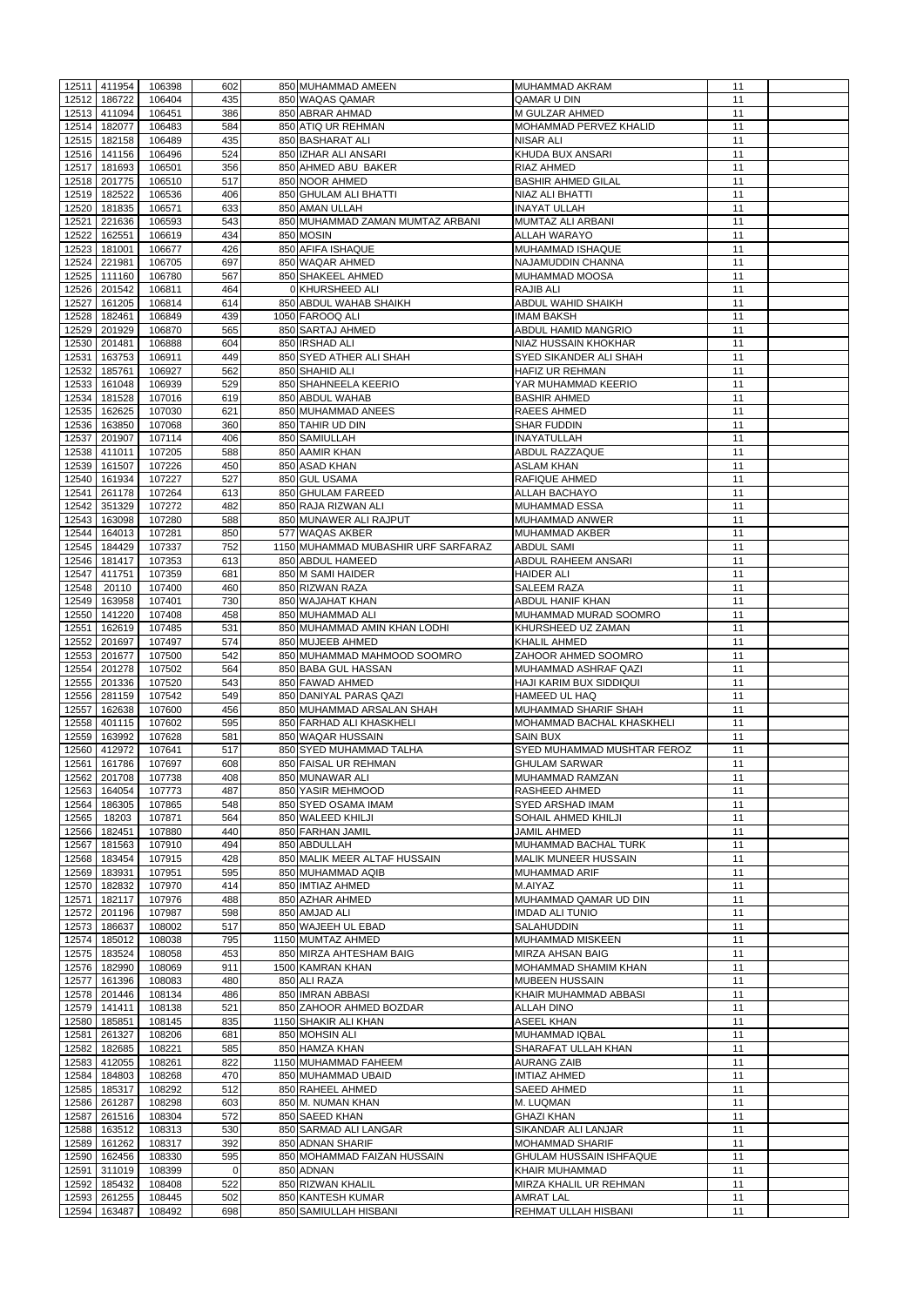| 12511          | 411954           | 106398           | 602        | 850 MUHAMMAD AMEEN                         | MUHAMMAD AKRAM                                  | 11       |  |
|----------------|------------------|------------------|------------|--------------------------------------------|-------------------------------------------------|----------|--|
|                |                  |                  |            |                                            |                                                 |          |  |
| 12512          | 186722           | 106404           | 435        | 850 WAQAS QAMAR                            | QAMAR U DIN                                     | 11       |  |
| 12513          | 411094           | 106451           | 386        | 850 ABRAR AHMAD                            | M GULZAR AHMED                                  | 11       |  |
| 12514          | 182077           | 106483           | 584        | 850 ATIQ UR REHMAN                         | MOHAMMAD PERVEZ KHALID                          | 11       |  |
| 12515          | 182158           | 106489           | 435        | 850 BASHARAT ALI                           | <b>NISAR ALI</b>                                | 11       |  |
| 12516          | 141156           | 106496           | 524        | 850 IZHAR ALI ANSARI                       | KHUDA BUX ANSARI                                | 11       |  |
| 12517          | 181693           | 106501           | 356        | 850 AHMED ABU BAKER                        | <b>RIAZ AHMED</b>                               | 11       |  |
| 12518          | 201775           | 106510           | 517        | 850 NOOR AHMED                             | <b>BASHIR AHMED GILAL</b>                       | 11       |  |
| 12519          | 182522           | 106536           | 406        | 850 GHULAM ALI BHATTI                      | NIAZ ALI BHATTI                                 | 11       |  |
| 12520          | 181835           | 106571           | 633        | 850 AMAN ULLAH                             | <b>INAYAT ULLAH</b>                             | 11       |  |
| 12521          | 221636           | 106593           | 543        | 850 MUHAMMAD ZAMAN MUMTAZ ARBANI           | MUMTAZ ALI ARBANI                               | 11       |  |
| 12522          | 162551           | 106619           | 434        | 850 MOSIN                                  | <b>ALLAH WARAYO</b>                             | 11       |  |
| 12523          | 181001           | 106677           | 426        | 850 AFIFA ISHAQUE                          | MUHAMMAD ISHAQUE                                | 11       |  |
|                |                  |                  |            |                                            |                                                 |          |  |
| 12524          | 221981           | 106705           | 697        | 850 WAQAR AHMED                            | NAJAMUDDIN CHANNA                               | 11       |  |
| 12525          | 111160           | 106780           | 567        | 850 SHAKEEL AHMED                          | <b>MUHAMMAD MOOSA</b>                           | 11       |  |
| 12526          | 201542           | 106811           | 464        | 0 KHURSHEED ALI                            | RAJIB ALI                                       | 11       |  |
| 12527          | 161205           | 106814           | 614        | 850 ABDUL WAHAB SHAIKH                     | ABDUL WAHID SHAIKH                              | 11       |  |
| 12528          | 182461           | 106849           | 439        | 1050 FAROOQ ALI                            | <b>IMAM BAKSH</b>                               | 11       |  |
| 12529          | 201929           | 106870           | 565        | 850 SARTAJ AHMED                           | ABDUL HAMID MANGRIO                             | 11       |  |
| 12530          | 201481           | 106888           | 604        | 850 IRSHAD ALI                             | <b>NIAZ HUSSAIN KHOKHAR</b>                     | 11       |  |
| 12531          | 163753           | 106911           | 449        | 850 SYED ATHER ALI SHAH                    | SYED SIKANDER ALI SHAH                          | 11       |  |
| 12532          | 185761           | 106927           | 562        | 850 SHAHID ALI                             | <b>HAFIZ UR REHMAN</b>                          | 11       |  |
|                | 161048           |                  |            |                                            |                                                 | 11       |  |
| 12533          |                  | 106939           | 529        | 850 SHAHNEELA KEERIO                       | YAR MUHAMMAD KEERIO                             |          |  |
| 12534          | 181528           | 107016           | 619        | 850 ABDUL WAHAB                            | <b>BASHIR AHMED</b>                             | 11       |  |
| 12535          | 162625           | 107030           | 621        | 850 MUHAMMAD ANEES                         | <b>RAEES AHMED</b>                              | 11       |  |
| 12536          | 163850           | 107068           | 360        | 850 TAHIR UD DIN                           | <b>SHAR FUDDIN</b>                              | 11       |  |
| 12537          | 201907           | 107114           | 406        | 850 SAMIULLAH                              | <b>INAYATULLAH</b>                              | 11       |  |
| 12538          | 411011           | 107205           | 588        | 850 AAMIR KHAN                             | ABDUL RAZZAQUE                                  | 11       |  |
| 12539          | 161507           | 107226           | 450        | 850 ASAD KHAN                              | <b>ASLAM KHAN</b>                               | 11       |  |
| 12540          | 161934           | 107227           | 527        | 850 GUL USAMA                              | <b>RAFIQUE AHMED</b>                            | 11       |  |
| 12541          | 261178           | 107264           | 613        | 850 GHULAM FAREED                          | <b>ALLAH BACHAYO</b>                            | 11       |  |
| 12542          | 351329           | 107272           | 482        | 850 RAJA RIZWAN ALI                        | <b>MUHAMMAD ESSA</b>                            | 11       |  |
| 12543          | 163098           | 107280           | 588        | 850 MUNAWER ALI RAJPUT                     | MUHAMMAD ANWER                                  | 11       |  |
|                |                  |                  |            |                                            |                                                 |          |  |
| 12544          | 164013           | 107281           | 850        | 577 WAQAS AKBER                            | <b>MUHAMMAD AKBER</b>                           | 11       |  |
| 12545          | 184429           | 107337           | 752        | 1150 MUHAMMAD MUBASHIR URF SARFARAZ        | <b>ABDUL SAMI</b>                               | 11       |  |
|                | 12546 181417     | 107353           | 613        | 850 ABDUL HAMEED                           | <b>ABDUL RAHEEM ANSARI</b>                      | 11       |  |
|                | 12547 411751     | 107359           | 681        | 850 M SAMI HAIDER                          | <b>HAIDER ALI</b>                               | 11       |  |
| 12548          | 20110            | 107400           | 460        | 850 RIZWAN RAZA                            | <b>SALEEM RAZA</b>                              | 11       |  |
| 12549          | 163958           | 107401           | 730        | 850 WAJAHAT KHAN                           | ABDUL HANIF KHAN                                | 11       |  |
| 12550          | 141220           | 107408           | 458        | 850 MUHAMMAD ALI                           | MUHAMMAD MURAD SOOMRO                           | 11       |  |
| 12551          | 162619           | 107485           | 531        | 850 MUHAMMAD AMIN KHAN LODHI               | KHURSHEED UZ ZAMAN                              | 11       |  |
| 12552          | 201697           | 107497           | 574        | 850 MUJEEB AHMED                           | <b>KHALIL AHMED</b>                             | 11       |  |
| 12553          | 201677           | 107500           | 542        | 850 MUHAMMAD MAHMOOD SOOMRO                | ZAHOOR AHMED SOOMRO                             | 11       |  |
|                |                  |                  |            |                                            |                                                 |          |  |
| 12554          | 201278           | 107502           | 564        | 850 BABA GUL HASSAN                        | MUHAMMAD ASHRAF QAZI                            | 11       |  |
| 12555          | 201336           | 107520           | 543        | 850 FAWAD AHMED                            | HAJI KARIM BUX SIDDIQUI                         | 11       |  |
| 12556          | 281159           | 107542           | 549        | 850 DANIYAL PARAS QAZI                     | <b>HAMEED UL HAQ</b>                            | 11       |  |
| 12557          | 162638           | 107600           | 456        | 850 MUHAMMAD ARSALAN SHAH                  | MUHAMMAD SHARIF SHAH                            | 11       |  |
| 12558          | 401115           | 107602           | 595        | 850 FARHAD ALI KHASKHELI                   | MOHAMMAD BACHAL KHASKHELI                       | 11       |  |
| 12559          | 163992           | 107628           |            | 850 WAQAR HUSSAIN                          | <b>SAIN BUX</b>                                 |          |  |
| 12560          |                  |                  | 581        |                                            |                                                 | 11       |  |
|                | 412972           | 107641           | 517        | 850 SYED MUHAMMAD TALHA                    | <b>SYED MUHAMMAD MUSHTAR FEROZ</b>              | 11       |  |
|                |                  |                  |            |                                            |                                                 | 11       |  |
| 12561          | 161786           | 107697           | 608        | 850 FAISAL UR REHMAN                       | <b>GHULAM SARWAR</b>                            |          |  |
| 12562          | 201708           | 107738           | 408        | 850 MUNAWAR ALI                            | MUHAMMAD RAMZAN                                 | 11       |  |
| 12563          | 164054           | 107773           | 487        | 850 YASIR MEHMOOD                          | <b>RASHEED AHMED</b>                            | 11       |  |
| 12564          | 186305           | 107865           | 548        | 850 SYED OSAMA IMAM                        | <b>SYED ARSHAD IMAM</b>                         | 11       |  |
| 12565          | 18203            | 107871           | 564        | 850 WALEED KHILJI                          | SOHAIL AHMED KHILJI                             | 11       |  |
| 12566          | 182451           | 107880           | 440        | 850 FARHAN JAMIL                           | JAMIL AHMED                                     | 11       |  |
| 12567          | 181563           | 107910           | 494        | 850 ABDULLAH                               | MUHAMMAD BACHAL TURK                            | 11       |  |
| 12568          | 183454           | 107915           | 428        | 850 MALIK MEER ALTAF HUSSAIN               | MALIK MUNEER HUSSAIN                            | 11       |  |
| 12569          | 183931           | 107951           | 595        | 850 MUHAMMAD AQIB                          | MUHAMMAD ARIF                                   | 11       |  |
| 12570          | 182832           | 107970           | 414        | 850 IMTIAZ AHMED                           | M.AIYAZ                                         | 11       |  |
| 12571          | 182117           | 107976           | 488        | 850 AZHAR AHMED                            | MUHAMMAD QAMAR UD DIN                           | 11       |  |
| 12572          | 201196           | 107987           | 598        | 850 AMJAD ALI                              | <b>IMDAD ALI TUNIO</b>                          | 11       |  |
|                |                  |                  |            |                                            |                                                 |          |  |
| 12573          | 186637           | 108002           | 517        | 850 WAJEEH UL EBAD                         | <b>SALAHUDDIN</b>                               | 11       |  |
| 12574          | 185012           | 108038           | 795        | 1150 MUMTAZ AHMED                          | <b>MUHAMMAD MISKEEN</b>                         | 11       |  |
| 12575          | 183524           | 108058           | 453        | 850 MIRZA AHTESHAM BAIG                    | <b>MIRZA AHSAN BAIG</b>                         | 11       |  |
| 12576          | 182990           | 108069           | 911        | 1500 KAMRAN KHAN                           | <b>MOHAMMAD SHAMIM KHAN</b>                     | 11       |  |
| 12577          | 161396           | 108083           | 480        | 850 ALI RAZA                               | <b>MUBEEN HUSSAIN</b>                           | 11       |  |
| 12578          | 201446           | 108134           | 486        | 850 IMRAN ABBASI                           | KHAIR MUHAMMAD ABBASI                           | 11       |  |
| 12579          | 141411           | 108138           | 521        | 850 ZAHOOR AHMED BOZDAR                    | <b>ALLAH DINO</b>                               | 11       |  |
| 12580          | 185851           | 108145           | 835        | 1150 SHAKIR ALI KHAN                       | <b>ASEEL KHAN</b>                               | 11       |  |
| 12581          | 261327           | 108206           | 681        | 850 MOHSIN ALI                             | <b>MUHAMMAD IQBAL</b>                           | 11       |  |
| 12582          | 182685           | 108221           | 585        | 850 HAMZA KHAN                             | SHARAFAT ULLAH KHAN                             | 11       |  |
|                |                  |                  |            |                                            |                                                 |          |  |
|                | 12583 412055     | 108261           | 822        | 1150 MUHAMMAD FAHEEM                       | <b>AURANG ZAIB</b>                              | 11       |  |
| 12584          | 184803           | 108268           | 470        | 850 MUHAMMAD UBAID                         | IMTIAZ AHMED                                    | 11       |  |
|                | 12585 185317     | 108292           | 512        | 850 RAHEEL AHMED                           | <b>SAEED AHMED</b>                              | 11       |  |
| 12586          | 261287           | 108298           | 603        | 850 M. NUMAN KHAN                          | M. LUQMAN                                       | 11       |  |
| 12587          | 261516           | 108304           | 572        | 850 SAEED KHAN                             | <b>GHAZI KHAN</b>                               | 11       |  |
| 12588          | 163512           | 108313           | 530        | 850 SARMAD ALI LANGAR                      | <b>SIKANDAR ALI LANJAR</b>                      | 11       |  |
| 12589          | 161262           | 108317           | 392        | 850 ADNAN SHARIF                           | <b>MOHAMMAD SHARIF</b>                          | 11       |  |
| 12590          | 162456           | 108330           | 595        | 850 MOHAMMAD FAIZAN HUSSAIN                | <b>GHULAM HUSSAIN ISHFAQUE</b>                  | 11       |  |
| 12591          | 311019           | 108399           | $\Omega$   | 850 ADNAN                                  | <b>KHAIR MUHAMMAD</b>                           | 11       |  |
| 12592          | 185432           | 108408           | 522        | 850 RIZWAN KHALIL                          | MIRZA KHALIL UR REHMAN                          | 11       |  |
|                |                  |                  |            |                                            |                                                 |          |  |
| 12593<br>12594 | 261255<br>163487 | 108445<br>108492 | 502<br>698 | 850 KANTESH KUMAR<br>850 SAMIULLAH HISBANI | <b>AMRAT LAL</b><br><b>REHMAT ULLAH HISBANI</b> | 11<br>11 |  |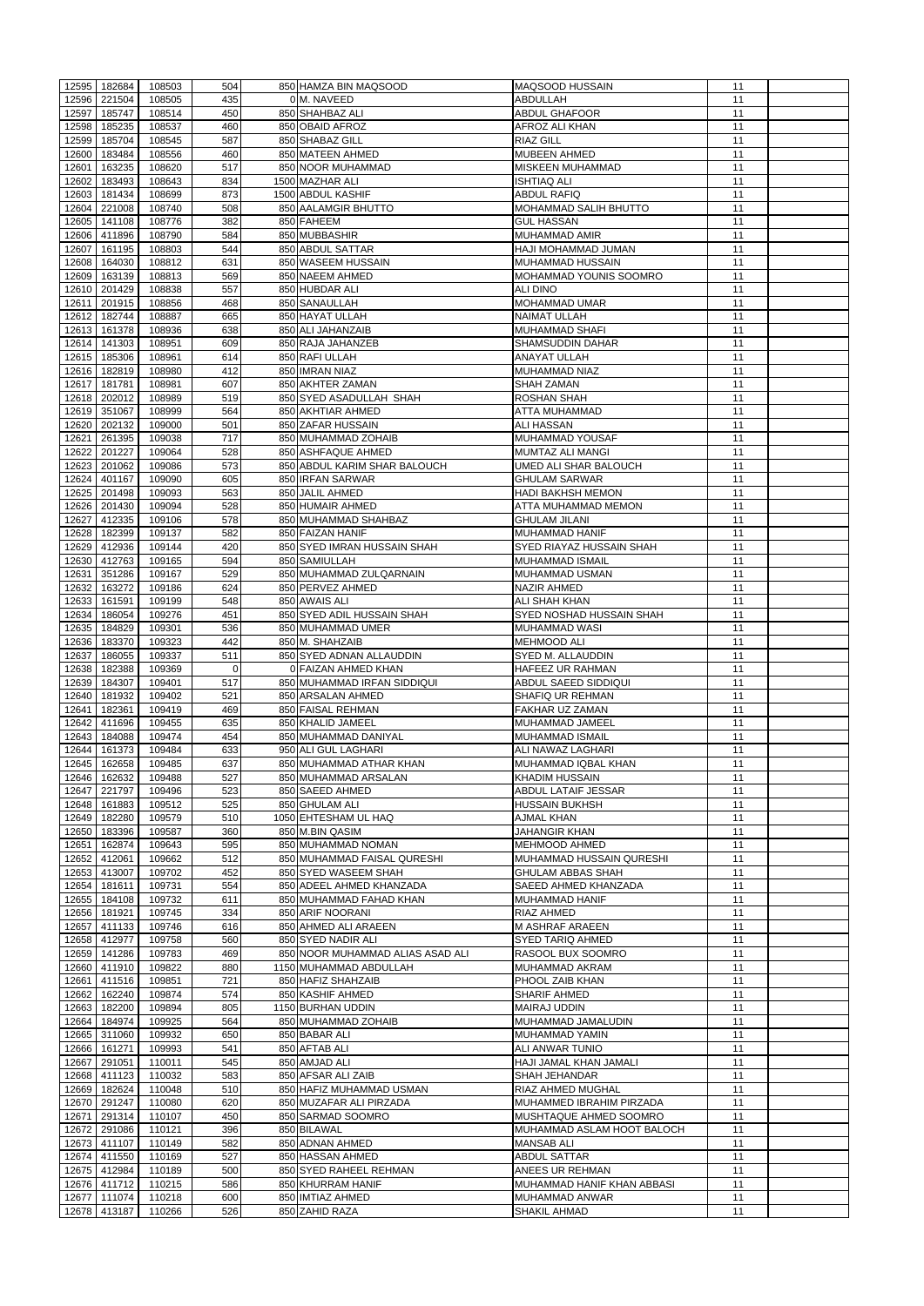| 12595          | 182684           | 108503           | 504             | 850 HAMZA BIN MAQSOOD                              | <b>MAQSOOD HUSSAIN</b>                              | 11       |  |
|----------------|------------------|------------------|-----------------|----------------------------------------------------|-----------------------------------------------------|----------|--|
| 12596          |                  | 108505           | 435             | OM. NAVEED                                         | <b>ABDULLAH</b>                                     |          |  |
|                | 221504           |                  | 450             |                                                    |                                                     | 11       |  |
| 12597          | 185747           | 108514           | 460             | 850 SHAHBAZ ALI                                    | <b>ABDUL GHAFOOR</b>                                | 11       |  |
| 12598          | 185235           | 108537           |                 | 850 OBAID AFROZ                                    | <b>AFROZ ALI KHAN</b>                               | 11       |  |
| 12599          | 185704           | 108545           | 587             | 850 SHABAZ GILL                                    | <b>RIAZ GILL</b>                                    | 11       |  |
| 12600          | 183484           | 108556           | 460             | 850 MATEEN AHMED                                   | <b>MUBEEN AHMED</b>                                 | 11       |  |
| 12601          | 163235           | 108620           | 517             | 850 NOOR MUHAMMAD                                  | <b>MISKEEN MUHAMMAD</b>                             | 11       |  |
| 12602          | 183493           | 108643           | 834             | 1500 MAZHAR ALI                                    | <b>ISHTIAQ ALI</b>                                  | 11       |  |
| 12603          | 181434           | 108699           | 873             | 1500 ABDUL KASHIF                                  | <b>ABDUL RAFIQ</b>                                  | 11       |  |
| 12604          | 221008           | 108740           | 508             | 850 AALAMGIR BHUTTO                                | <b>MOHAMMAD SALIH BHUTTO</b>                        | 11       |  |
| 12605          | 141108           | 108776           | 382             | 850 FAHEEM                                         | <b>GUL HASSAN</b>                                   | 11       |  |
| 12606          | 411896           | 108790           | 584             | 850 MUBBASHIR                                      | MUHAMMAD AMIR                                       | 11       |  |
| 12607          | 161195           | 108803           | 544             | 850 ABDUL SATTAR                                   | HAJI MOHAMMAD JUMAN                                 | 11       |  |
| 12608          | 164030           | 108812           | 631             | 850 WASEEM HUSSAIN                                 | <b>MUHAMMAD HUSSAIN</b>                             | 11       |  |
| 12609          | 163139           | 108813           | 569             | 850 NAEEM AHMED                                    | MOHAMMAD YOUNIS SOOMRO                              | 11       |  |
| 12610          | 201429           | 108838           | 557             | 850 HUBDAR ALI                                     | <b>ALI DINO</b>                                     | 11       |  |
| 12611          | 201915           | 108856           | 468             | 850 SANAULLAH                                      | <b>MOHAMMAD UMAR</b>                                | 11       |  |
|                | 12612 182744     | 108887           | 665             | 850 HAYAT ULLAH                                    | NAIMAT ULLAH                                        | 11       |  |
| 12613          | 161378           | 108936           | 638             | 850 ALI JAHANZAIB                                  | <b>MUHAMMAD SHAFI</b>                               | 11       |  |
| 12614          | 141303<br>185306 | 108951<br>108961 | 609<br>614      | 850 RAJA JAHANZEB                                  | <b>SHAMSUDDIN DAHAR</b><br><b>ANAYAT ULLAH</b>      | 11<br>11 |  |
| 12615          | 182819           |                  | 412             | 850 RAFI ULLAH<br>850 IMRAN NIAZ                   | <b>MUHAMMAD NIAZ</b>                                | 11       |  |
| 12616<br>12617 |                  | 108980           | 607             | 850 AKHTER ZAMAN                                   | <b>SHAH ZAMAN</b>                                   |          |  |
|                | 181781           | 108981           |                 |                                                    |                                                     | 11       |  |
| 12618          | 202012           | 108989           | 519             | 850 SYED ASADULLAH SHAH                            | <b>ROSHAN SHAH</b>                                  | 11       |  |
| 12619          | 351067           | 108999           | 564             | 850 AKHTIAR AHMED                                  | ATTA MUHAMMAD                                       | 11       |  |
| 12620          | 202132           | 109000           | 501             | 850 ZAFAR HUSSAIN                                  | <b>ALI HASSAN</b>                                   | 11       |  |
| 12621          | 261395           | 109038<br>109064 | 717<br>528      | 850 MUHAMMAD ZOHAIB                                | <b>MUHAMMAD YOUSAF</b>                              | 11       |  |
| 12622<br>12623 | 201227           | 109086           | 573             | 850 ASHFAQUE AHMED<br>850 ABDUL KARIM SHAR BALOUCH | MUMTAZ ALI MANGI<br><b>UMED ALI SHAR BALOUCH</b>    | 11<br>11 |  |
| 12624          | 201062<br>401167 | 109090           |                 |                                                    |                                                     |          |  |
|                |                  |                  | 605<br>563      | 850 IRFAN SARWAR                                   | <b>GHULAM SARWAR</b><br><b>HADI BAKHSH MEMON</b>    | 11       |  |
| 12625          | 201498           | 109093           |                 | 850 JALIL AHMED                                    |                                                     | 11       |  |
| 12626<br>12627 | 201430<br>412335 | 109094           | 528<br>578      | 850 HUMAIR AHMED<br>850 MUHAMMAD SHAHBAZ           | <b>ATTA MUHAMMAD MEMON</b>                          | 11<br>11 |  |
| 12628          | 182399           | 109106<br>109137 | 582             | 850 FAIZAN HANIF                                   | <b>GHULAM JILANI</b><br><b>MUHAMMAD HANIF</b>       | 11       |  |
| 12629          | 412936           | 109144           | 420             | 850 SYED IMRAN HUSSAIN SHAH                        | <b>SYED RIAYAZ HUSSAIN SHAH</b>                     | 11       |  |
|                | 12630 412763     | 109165           | 594             | 850 SAMIULLAH                                      | <b>MUHAMMAD ISMAIL</b>                              | 11       |  |
|                | 12631 351286     | 109167           | 529             | 850 MUHAMMAD ZULQARNAIN                            | <b>MUHAMMAD USMAN</b>                               | 11       |  |
|                | 163272           |                  | 624             | 850 PERVEZ AHMED                                   | <b>NAZIR AHMED</b>                                  | 11       |  |
| 12632          |                  | 109186           | 548             | 850 AWAIS ALI                                      | <b>ALI SHAH KHAN</b>                                |          |  |
| 12633<br>12634 | 161591           | 109199           | 451             | 850 SYED ADIL HUSSAIN SHAH                         | SYED NOSHAD HUSSAIN SHAH                            | 11       |  |
|                | 186054           | 109276           |                 |                                                    |                                                     | 11       |  |
| 12635          | 184829           | 109301           | 536             | 850 MUHAMMAD UMER                                  | <b>MUHAMMAD WASI</b>                                | 11       |  |
| 12636          | 183370           | 109323           | 442             | 850 M. SHAHZAIB<br>850 SYED ADNAN ALLAUDDIN        | MEHMOOD ALI                                         | 11       |  |
| 12637          | 186055           | 109337           | 511<br>$\Omega$ | 0 FAIZAN AHMED KHAN                                | SYED M. ALLAUDDIN                                   | 11       |  |
| 12638<br>12639 | 182388           | 109369           | 517             |                                                    | HAFEEZ UR RAHMAN                                    | 11       |  |
|                | 184307           | 109401           |                 | 850 MUHAMMAD IRFAN SIDDIQUI                        | ABDUL SAEED SIDDIQUI                                | 11       |  |
| 12640<br>12641 | 181932           | 109402           | 521<br>469      | 850 ARSALAN AHMED                                  | SHAFIQ UR REHMAN                                    | 11       |  |
| 12642          | 182361<br>411696 | 109419<br>109455 | 635             | 850 FAISAL REHMAN<br>850 KHALID JAMEEL             | FAKHAR UZ ZAMAN<br>MUHAMMAD JAMEEL                  | 11<br>11 |  |
| 12643          | 184088           | 109474           | 454             | 850 MUHAMMAD DANIYAL                               | <b>MUHAMMAD ISMAIL</b>                              | 11       |  |
| 12644          | 161373           | 109484           | 633             | 950 ALI GUL LAGHARI                                | ALI NAWAZ LAGHARI                                   | 11       |  |
|                |                  |                  |                 |                                                    |                                                     |          |  |
| 12645<br>12646 | 162658<br>162632 | 109485<br>109488 | 637<br>527      | 850 MUHAMMAD ATHAR KHAN<br>850 MUHAMMAD ARSALAN    | MUHAMMAD IQBAL KHAN<br><b>KHADIM HUSSAIN</b>        | 11<br>11 |  |
|                |                  |                  |                 |                                                    |                                                     |          |  |
| 12647<br>12648 | 221797<br>161883 | 109496<br>109512 | 523<br>525      | 850 SAEED AHMED<br>850 GHULAM ALI                  | <b>ABDUL LATAIF JESSAR</b><br><b>HUSSAIN BUKHSH</b> | 11<br>11 |  |
| 12649          | 182280           | 109579           | 510             | 1050 EHTESHAM UL HAQ                               | <b>AJMAL KHAN</b>                                   | 11       |  |
| 12650          | 183396           | 109587           | 360             | 850 M.BIN QASIM                                    | <b>JAHANGIR KHAN</b>                                | 11       |  |
| 12651          | 162874           | 109643           | 595             | 850 MUHAMMAD NOMAN                                 | MEHMOOD AHMED                                       | 11       |  |
| 12652          | 412061           | 109662           | 512             | 850 MUHAMMAD FAISAL QURESHI                        | MUHAMMAD HUSSAIN QURESHI                            | 11       |  |
| 12653          | 413007           | 109702           | 452             | 850 SYED WASEEM SHAH                               | <b>GHULAM ABBAS SHAH</b>                            | 11       |  |
| 12654          | 181611           | 109731           | 554             | 850 ADEEL AHMED KHANZADA                           | SAEED AHMED KHANZADA                                | 11       |  |
| 12655          | 184108           | 109732           | 611             | 850 MUHAMMAD FAHAD KHAN                            | <b>MUHAMMAD HANIF</b>                               | 11       |  |
| 12656          | 181921           | 109745           | 334             | 850 ARIF NOORANI                                   | <b>RIAZ AHMED</b>                                   | 11       |  |
| 12657          | 411133           | 109746           | 616             | 850 AHMED ALI ARAEEN                               | <b>M ASHRAF ARAEEN</b>                              | 11       |  |
| 12658          | 412977           | 109758           | 560             | 850 SYED NADIR ALI                                 | <b>SYED TARIQ AHMED</b>                             | 11       |  |
| 12659          | 141286           | 109783           | 469             | 850 NOOR MUHAMMAD ALIAS ASAD ALI                   | RASOOL BUX SOOMRO                                   | 11       |  |
| 12660          | 411910           | 109822           | 880             | 1150 MUHAMMAD ABDULLAH                             | <b>MUHAMMAD AKRAM</b>                               | 11       |  |
| 12661          | 411516           | 109851           | 721             | 850 HAFIZ SHAHZAIB                                 | PHOOL ZAIB KHAN                                     | 11       |  |
| 12662          | 162240           | 109874           | 574             | 850 KASHIF AHMED                                   | <b>SHARIF AHMED</b>                                 | 11       |  |
| 12663          | 182200           | 109894           | 805             | 1150 BURHAN UDDIN                                  | <b>MAIRAJ UDDIN</b>                                 | 11       |  |
| 12664          | 184974           | 109925           | 564             | 850 MUHAMMAD ZOHAIB                                | MUHAMMAD JAMALUDIN                                  | 11       |  |
| 12665          | 311060           | 109932           | 650             | 850 BABAR ALI                                      | MUHAMMAD YAMIN                                      | 11       |  |
| 12666          | 161271           | 109993           | 541             | 850 AFTAB ALI                                      | ALI ANWAR TUNIO                                     | 11       |  |
|                | 12667 291051     | 110011           | 545             | 850 AMJAD ALI                                      | HAJI JAMAL KHAN JAMALI                              | 11       |  |
|                | 12668 411123     | 110032           | 583             | 850 AFSAR ALI ZAIB                                 | <b>SHAH JEHANDAR</b>                                | 11       |  |
|                | 12669 182624     | 110048           | 510             | 850 HAFIZ MUHAMMAD USMAN                           | RIAZ AHMED MUGHAL                                   | 11       |  |
|                | 12670 291247     | 110080           | 620             | 850 MUZAFAR ALI PIRZADA                            | MUHAMMED IBRAHIM PIRZADA                            | 11       |  |
| 12671          | 291314           | 110107           | 450             | 850 SARMAD SOOMRO                                  | MUSHTAQUE AHMED SOOMRO                              | 11       |  |
|                | 12672 291086     | 110121           | 396             | 850 BILAWAL                                        | MUHAMMAD ASLAM HOOT BALOCH                          | 11       |  |
|                | 12673 411107     | 110149           | 582             | 850 ADNAN AHMED                                    | <b>MANSAB ALI</b>                                   | 11       |  |
| 12674          | 411550           | 110169           | 527             | 850 HASSAN AHMED                                   | <b>ABDUL SATTAR</b>                                 | 11       |  |
| 12675          | 412984           | 110189           | 500             | 850 SYED RAHEEL REHMAN                             | ANEES UR REHMAN                                     | 11       |  |
|                | 12676 411712     | 110215           | 586             | 850 KHURRAM HANIF                                  | MUHAMMAD HANIF KHAN ABBASI                          | 11       |  |
| 12677          | 111074           | 110218           | 600             | 850 IMTIAZ AHMED                                   | MUHAMMAD ANWAR                                      | 11       |  |
|                | 12678 413187     | 110266           | 526             | 850 ZAHID RAZA                                     | <b>SHAKIL AHMAD</b>                                 | 11       |  |
|                |                  |                  |                 |                                                    |                                                     |          |  |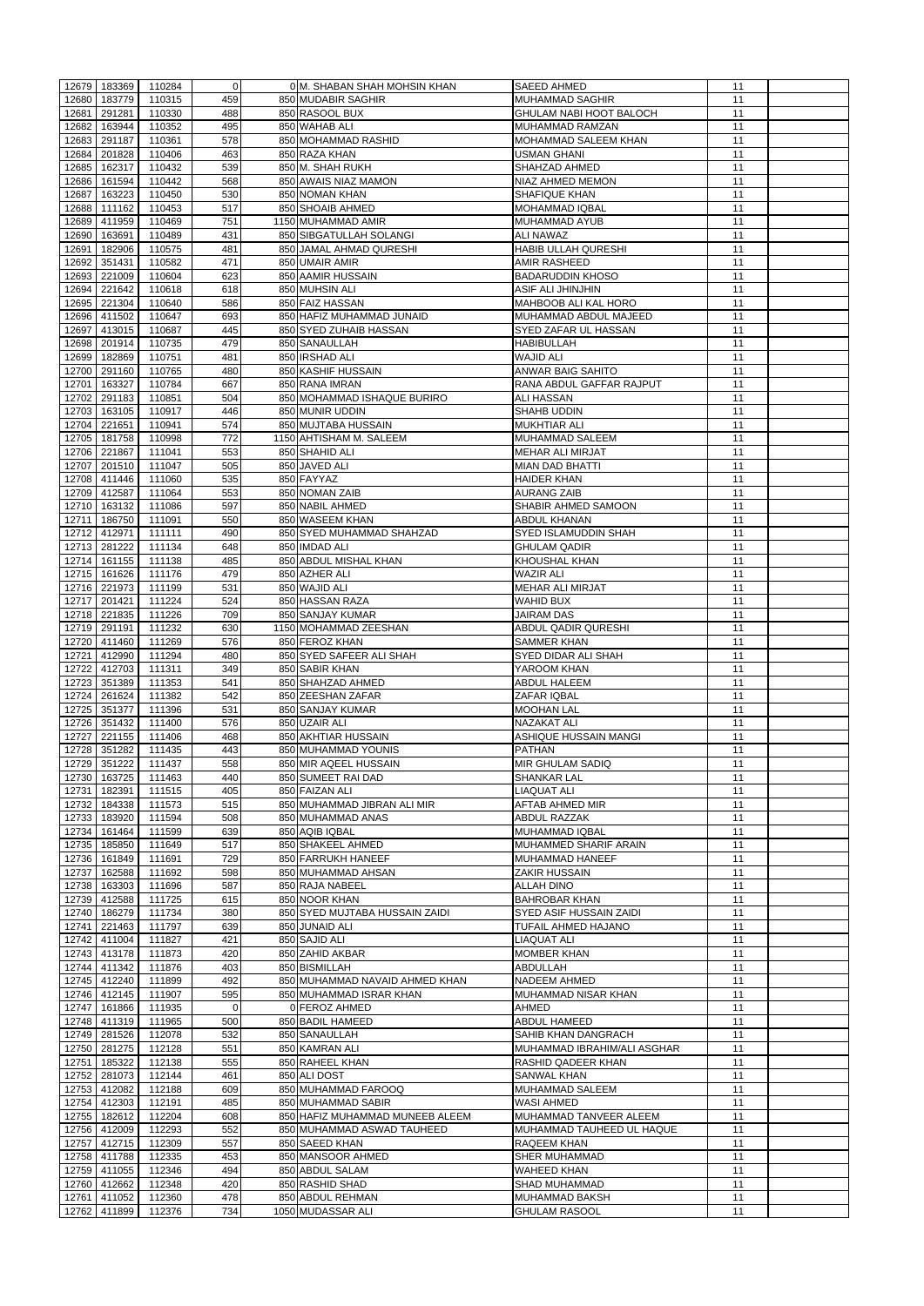| 12679 | 183369                 | 110284           | $\Omega$   | 0 M. SHABAN SHAH MOHSIN KHAN          | <b>SAEED AHMED</b>                            | 11       |  |
|-------|------------------------|------------------|------------|---------------------------------------|-----------------------------------------------|----------|--|
|       |                        |                  |            |                                       |                                               |          |  |
| 12680 | 183779                 | 110315           | 459        | 850 MUDABIR SAGHIR                    | <b>MUHAMMAD SAGHIR</b>                        | 11       |  |
| 12681 | 291281                 | 110330           | 488        | 850 RASOOL BUX                        | <b>GHULAM NABI HOOT BALOCH</b>                | 11       |  |
| 12682 | 163944                 | 110352           | 495        | 850 WAHAB ALI                         | MUHAMMAD RAMZAN                               | 11       |  |
| 12683 | 291187                 | 110361           | 578        | 850 MOHAMMAD RASHID                   | MOHAMMAD SALEEM KHAN                          | 11       |  |
| 12684 | 201828                 | 110406           | 463        | 850 RAZA KHAN                         | <b>USMAN GHANI</b>                            | 11       |  |
|       |                        |                  |            |                                       |                                               |          |  |
| 12685 | 162317                 | 110432           | 539        | 850 M. SHAH RUKH                      | <b>SHAHZAD AHMED</b>                          | 11       |  |
| 12686 | 161594                 | 110442           | 568        | 850 AWAIS NIAZ MAMON                  | NIAZ AHMED MEMON                              | 11       |  |
| 12687 | 163223                 | 110450           | 530        | 850 NOMAN KHAN                        | <b>SHAFIQUE KHAN</b>                          | 11       |  |
| 12688 | 111162                 | 110453           | 517        | 850 SHOAIB AHMED                      | <b>MOHAMMAD IQBAL</b>                         | 11       |  |
|       |                        |                  |            |                                       |                                               |          |  |
| 12689 | 411959                 | 110469           | 751        | 1150 MUHAMMAD AMIR                    | <b>MUHAMMAD AYUB</b>                          | 11       |  |
| 12690 | 163691                 | 110489           | 431        | 850 SIBGATULLAH SOLANGI               | <b>ALI NAWAZ</b>                              | 11       |  |
| 12691 | 182906                 | 110575           | 481        | 850 JAMAL AHMAD QURESHI               | <b>HABIB ULLAH QURESHI</b>                    | 11       |  |
| 12692 | 351431                 | 110582           | 471        | 850 UMAIR AMIR                        | <b>AMIR RASHEED</b>                           | 11       |  |
|       |                        |                  |            |                                       |                                               |          |  |
| 12693 | 221009                 | 110604           | 623        | 850 AAMIR HUSSAIN                     | <b>BADARUDDIN KHOSO</b>                       | 11       |  |
| 12694 | 221642                 | 110618           | 618        | 850 MUHSIN ALI                        | <b>ASIF ALI JHINJHIN</b>                      | 11       |  |
| 12695 | 221304                 | 110640           | 586        | 850 FAIZ HASSAN                       | <b>MAHBOOB ALI KAL HORO</b>                   | 11       |  |
|       |                        |                  |            |                                       |                                               |          |  |
| 12696 | 411502                 | 110647           | 693        | 850 HAFIZ MUHAMMAD JUNAID             | MUHAMMAD ABDUL MAJEED                         | 11       |  |
| 12697 | 413015                 | 110687           | 445        | 850 SYED ZUHAIB HASSAN                | SYED ZAFAR UL HASSAN                          | 11       |  |
| 12698 | 201914                 | 110735           | 479        | 850 SANAULLAH                         | <b>HABIBULLAH</b>                             | 11       |  |
| 12699 | 182869                 | 110751           | 481        | 850 IRSHAD ALI                        | <b>WAJID ALI</b>                              | 11       |  |
|       |                        |                  |            |                                       |                                               |          |  |
| 12700 | 291160                 | 110765           | 480        | 850 KASHIF HUSSAIN                    | <b>ANWAR BAIG SAHITO</b>                      | 11       |  |
| 12701 | 163327                 | 110784           | 667        | 850 RANA IMRAN                        | RANA ABDUL GAFFAR RAJPUT                      | 11       |  |
| 12702 | 291183                 | 110851           | 504        | 850 MOHAMMAD ISHAQUE BURIRO           | <b>ALI HASSAN</b>                             | 11       |  |
| 12703 | 163105                 | 110917           | 446        | 850 MUNIR UDDIN                       | SHAHB UDDIN                                   | 11       |  |
|       |                        |                  |            |                                       |                                               |          |  |
| 12704 | 221651                 | 110941           | 574        | 850 MUJTABA HUSSAIN                   | <b>MUKHTIAR ALI</b>                           | 11       |  |
| 12705 | 181758                 | 110998           | 772        | 1150 AHTISHAM M. SALEEM               | <b>MUHAMMAD SALEEM</b>                        | 11       |  |
| 12706 | 221867                 | 111041           | 553        | 850 SHAHID ALI                        | <b>MEHAR ALI MIRJAT</b>                       | 11       |  |
| 12707 | 201510                 | 111047           | 505        | 850 JAVED ALI                         | <b>MIAN DAD BHATTI</b>                        | 11       |  |
|       |                        |                  |            |                                       |                                               |          |  |
| 12708 | 411446                 | 111060           | 535        | 850 FAYYAZ                            | <b>HAIDER KHAN</b>                            | 11       |  |
| 12709 | 412587                 | 111064           | 553        | 850 NOMAN ZAIB                        | <b>AURANG ZAIB</b>                            | 11       |  |
| 12710 | 163132                 | 111086           | 597        | 850 NABIL AHMED                       | <b>SHABIR AHMED SAMOON</b>                    | 11       |  |
|       |                        |                  |            |                                       |                                               |          |  |
| 12711 | 186750                 | 111091           | 550        | 850 WASEEM KHAN                       | <b>ABDUL KHANAN</b>                           | 11       |  |
| 12712 | 412971                 | 111111           | 490        | 850 SYED MUHAMMAD SHAHZAD             | <b>SYED ISLAMUDDIN SHAH</b>                   | 11       |  |
| 12713 | 281222                 | 111134           | 648        | 850 IMDAD ALI                         | <b>GHULAM QADIR</b>                           | 11       |  |
|       | 12714 161155           | 111138           | 485        | 850 ABDUL MISHAL KHAN                 | <b>KHOUSHAL KHAN</b>                          | 11       |  |
|       |                        |                  |            |                                       |                                               |          |  |
|       | 12715 161626           | 111176           | 479        | 850 AZHER ALI                         | <b>WAZIR ALI</b>                              | 11       |  |
|       | 12716 221973           | 111199           | 531        | 850 WAJID ALI                         | <b>MEHAR ALI MIRJAT</b>                       | 11       |  |
|       | 12717 201421           | 111224           | 524        | 850 HASSAN RAZA                       | <b>WAHID BUX</b>                              | 11       |  |
|       | 221835                 | 111226           | 709        | 850 SANJAY KUMAR                      | <b>JAIRAM DAS</b>                             | 11       |  |
| 12718 |                        |                  |            |                                       |                                               |          |  |
| 12719 | 291191                 | 111232           | 630        | 1150 MOHAMMAD ZEESHAN                 | <b>ABDUL QADIR QURESHI</b>                    | 11       |  |
| 12720 | 411460                 | 111269           | 576        | 850 FEROZ KHAN                        | <b>SAMMER KHAN</b>                            | 11       |  |
| 12721 | 412990                 | 111294           | 480        | 850 SYED SAFEER ALI SHAH              | SYED DIDAR ALI SHAH                           | 11       |  |
|       |                        |                  |            |                                       |                                               |          |  |
| 12722 | 412703                 | 111311           | 349        | 850 SABIR KHAN                        | YAROOM KHAN                                   | 11       |  |
| 12723 | 351389                 | 111353           | 541        | 850 SHAHZAD AHMED                     | <b>ABDUL HALEEM</b>                           | 11       |  |
| 12724 | 261624                 | 111382           | 542        | 850 ZEESHAN ZAFAR                     | <b>ZAFAR IQBAL</b>                            | 11       |  |
|       | 351377                 | 111396           | 531        | 850 SANJAY KUMAR                      | <b>MOOHAN LAL</b>                             |          |  |
|       |                        |                  |            |                                       |                                               |          |  |
| 12725 |                        |                  |            |                                       |                                               | 11       |  |
| 12726 | 351432                 | 111400           | 576        | 850 UZAIR ALI                         | <b>NAZAKAT ALI</b>                            | 11       |  |
| 12727 | 221155                 | 111406           | 468        | 850 AKHTIAR HUSSAIN                   | ASHIQUE HUSSAIN MANGI                         | 11       |  |
|       |                        |                  |            |                                       |                                               |          |  |
| 12728 | 351282                 | 111435           | 443        | 850 MUHAMMAD YOUNIS                   | <b>PATHAN</b>                                 | 11       |  |
| 12729 | 351222                 | 111437           | 558        | 850 MIR AQEEL HUSSAIN                 | <b>MIR GHULAM SADIQ</b>                       | 11       |  |
| 12730 | 163725                 | 111463           | 440        | 850 SUMEET RAI DAD                    | <b>SHANKAR LAL</b>                            | 11       |  |
| 12731 | 182391                 | 111515           | 405        | 850 FAIZAN ALI                        | <b>LIAQUAT ALI</b>                            | 11       |  |
| 12732 | 184338                 | 111573           | 515        | 850 MUHAMMAD JIBRAN ALI MIR           | <b>AFTAB AHMED MIR</b>                        | 11       |  |
|       |                        |                  |            |                                       |                                               |          |  |
| 12733 | 183920                 | 111594           | 508        | 850 MUHAMMAD ANAS                     | <b>ABDUL RAZZAK</b>                           | 11       |  |
| 12734 | 161464                 | 111599           | 639        | 850 AQIB IQBAL                        | <b>MUHAMMAD IQBAL</b>                         | 11       |  |
| 12735 | 185850                 | 111649           | 517        | 850 SHAKEEL AHMED                     | MUHAMMED SHARIF ARAIN                         | 11       |  |
| 12736 | 161849                 | 111691           | 729        | 850 FARRUKH HANEEF                    | <b>MUHAMMAD HANEEF</b>                        | 11       |  |
|       |                        |                  |            |                                       |                                               |          |  |
| 12737 | 162588                 | 111692           | 598        | 850 MUHAMMAD AHSAN                    | <b>ZAKIR HUSSAIN</b>                          | 11       |  |
| 12738 | 163303                 | 111696           | 587        | 850 RAJA NABEEL                       | <b>ALLAH DINO</b>                             | 11       |  |
| 12739 | 412588                 | 111725           | 615        | 850 NOOR KHAN                         | <b>BAHROBAR KHAN</b>                          | 11       |  |
| 12740 | 186279                 | 111734           | 380        | 850 SYED MUJTABA HUSSAIN ZAIDI        | SYED ASIF HUSSAIN ZAIDI                       | 11       |  |
| 12741 | 221463                 | 111797           | 639        | 850 JUNAID ALI                        | TUFAIL AHMED HAJANO                           | 11       |  |
|       |                        |                  |            |                                       |                                               |          |  |
| 12742 | 411004                 | 111827           | 421        | 850 SAJID ALI                         | <b>LIAQUAT ALI</b>                            | 11       |  |
|       | 12743 413178           | 111873           | 420        | 850 ZAHID AKBAR                       | <b>MOMBER KHAN</b>                            | 11       |  |
| 12744 | 411342                 | 111876           | 403        | 850 BISMILLAH                         | <b>ABDULLAH</b>                               | 11       |  |
|       |                        |                  |            |                                       |                                               |          |  |
|       | 12745 412240           | 111899           | 492        | 850 MUHAMMAD NAVAID AHMED KHAN        | <b>NADEEM AHMED</b>                           | 11       |  |
| 12746 | 412145                 | 111907           | 595        | 850 MUHAMMAD ISRAR KHAN               | <b>MUHAMMAD NISAR KHAN</b>                    | 11       |  |
| 12747 | 161866                 | 111935           | $\Omega$   | 0 FEROZ AHMED                         | AHMED                                         | 11       |  |
| 12748 | 411319                 | 111965           | 500        | 850 BADIL HAMEED                      | <b>ABDUL HAMEED</b>                           | 11       |  |
|       |                        |                  |            |                                       |                                               |          |  |
| 12749 | 281526                 | 112078           | 532        | 850 SANAULLAH                         | SAHIB KHAN DANGRACH                           | 11       |  |
| 12750 | 281275                 | 112128           | 551        | 850 KAMRAN ALI                        | MUHAMMAD IBRAHIM/ALI ASGHAR                   | 11       |  |
|       | 12751 185322           | 112138           | 555        | 850 RAHEEL KHAN                       | RASHID QADEER KHAN                            | 11       |  |
| 12752 | 281073                 | 112144           | 461        | 850 ALI DOST                          | <b>SANWAL KHAN</b>                            | 11       |  |
|       |                        |                  |            |                                       |                                               |          |  |
|       | 12753 412082           | 112188           | 609        | 850 MUHAMMAD FAROOQ                   | <b>MUHAMMAD SALEEM</b>                        | 11       |  |
|       | 12754 412303           | 112191           | 485        | 850 MUHAMMAD SABIR                    | <b>WASI AHMED</b>                             | 11       |  |
|       | 12755 182612           | 112204           | 608        | 850 HAFIZ MUHAMMAD MUNEEB ALEEM       | MUHAMMAD TANVEER ALEEM                        | 11       |  |
|       | 12756 412009           | 112293           | 552        | 850 MUHAMMAD ASWAD TAUHEED            | MUHAMMAD TAUHEED UL HAQUE                     | 11       |  |
|       |                        |                  |            |                                       |                                               |          |  |
| 12757 | 412715                 | 112309           | 557        | 850 SAEED KHAN                        | <b>RAQEEM KHAN</b>                            | 11       |  |
| 12758 | 411788                 | 112335           | 453        | 850 MANSOOR AHMED                     | <b>SHER MUHAMMAD</b>                          | 11       |  |
| 12759 | 411055                 | 112346           | 494        | 850 ABDUL SALAM                       | <b>WAHEED KHAN</b>                            | 11       |  |
| 12760 | 412662                 | 112348           | 420        | 850 RASHID SHAD                       | <b>SHAD MUHAMMAD</b>                          | 11       |  |
|       |                        |                  |            |                                       |                                               |          |  |
| 12761 | 411052<br>12762 411899 | 112360<br>112376 | 478<br>734 | 850 ABDUL REHMAN<br>1050 MUDASSAR ALI | <b>MUHAMMAD BAKSH</b><br><b>GHULAM RASOOL</b> | 11<br>11 |  |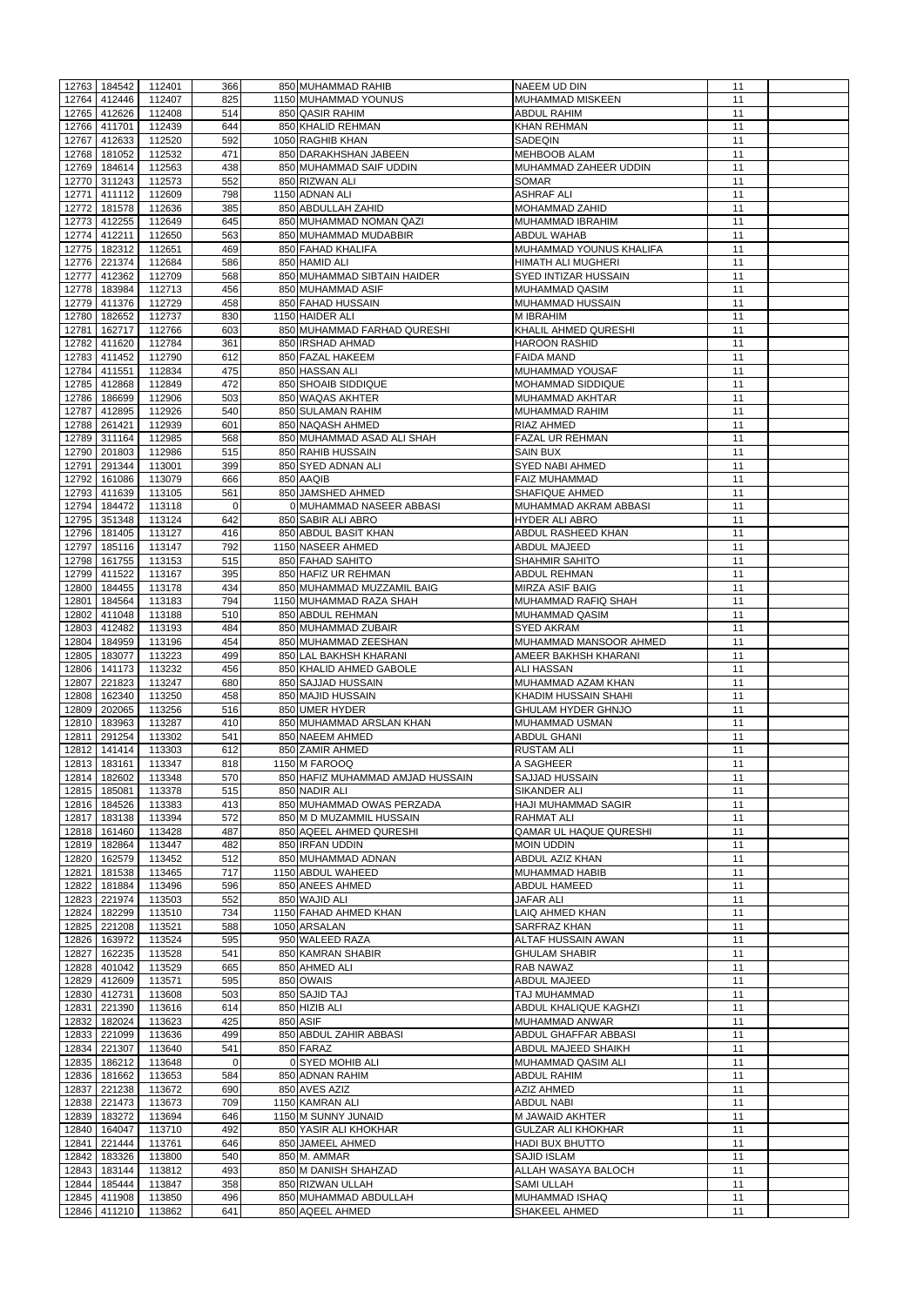| 12763 |                        |                  | 366                     |                                          |                                        | 11       |  |
|-------|------------------------|------------------|-------------------------|------------------------------------------|----------------------------------------|----------|--|
|       | 184542                 | 112401           |                         | 850 MUHAMMAD RAHIB                       | <b>NAEEM UD DIN</b>                    |          |  |
| 12764 | 412446                 | 112407           | 825                     | 1150 MUHAMMAD YOUNUS                     | MUHAMMAD MISKEEN                       | 11       |  |
| 12765 | 412626                 | 112408           | 514                     | 850 QASIR RAHIM                          | <b>ABDUL RAHIM</b>                     | 11       |  |
| 12766 | 411701                 | 112439           | 644                     | 850 KHALID REHMAN                        | <b>KHAN REHMAN</b>                     | 11       |  |
|       |                        |                  |                         |                                          |                                        |          |  |
| 12767 | 412633                 | 112520           | 592                     | 1050 RAGHIB KHAN                         | <b>SADEQIN</b>                         | 11       |  |
| 12768 | 181052                 | 112532           | 471                     | 850 DARAKHSHAN JABEEN                    | <b>MEHBOOB ALAM</b>                    | 11       |  |
| 12769 | 184614                 | 112563           | 438                     | 850 MUHAMMAD SAIF UDDIN                  | MUHAMMAD ZAHEER UDDIN                  | 11       |  |
|       |                        |                  |                         |                                          |                                        |          |  |
| 12770 | 311243                 | 112573           | 552                     | 850 RIZWAN ALI                           | <b>SOMAR</b>                           | 11       |  |
| 12771 | 411112                 | 112609           | 798                     | 1150 ADNAN ALI                           | <b>ASHRAF ALI</b>                      | 11       |  |
| 12772 | 181578                 | 112636           | 385                     | 850 ABDULLAH ZAHID                       | <b>MOHAMMAD ZAHID</b>                  | 11       |  |
|       |                        |                  |                         |                                          |                                        |          |  |
| 12773 | 412255                 | 112649           | 645                     | 850 MUHAMMAD NOMAN QAZI                  | <b>MUHAMMAD IBRAHIM</b>                | 11       |  |
| 12774 | 412211                 | 112650           | 563                     | 850 MUHAMMAD MUDABBIR                    | ABDUL WAHAB                            | 11       |  |
|       |                        |                  | 469                     | 850 FAHAD KHALIFA                        | MUHAMMAD YOUNUS KHALIFA                |          |  |
| 12775 | 182312                 | 112651           |                         |                                          |                                        | 11       |  |
| 12776 | 221374                 | 112684           | 586                     | 850 HAMID ALI                            | <b>HIMATH ALI MUGHERI</b>              | 11       |  |
| 12777 | 412362                 | 112709           | 568                     | 850 MUHAMMAD SIBTAIN HAIDER              | <b>SYED INTIZAR HUSSAIN</b>            | 11       |  |
|       |                        |                  |                         |                                          |                                        |          |  |
| 12778 | 183984                 | 112713           | 456                     | 850 MUHAMMAD ASIF                        | <b>MUHAMMAD QASIM</b>                  | 11       |  |
| 12779 | 411376                 | 112729           | 458                     | 850 FAHAD HUSSAIN                        | MUHAMMAD HUSSAIN                       | 11       |  |
| 12780 | 182652                 | 112737           | 830                     | 1150 HAIDER ALI                          | <b>M IBRAHIM</b>                       | 11       |  |
|       |                        |                  |                         |                                          |                                        |          |  |
| 12781 | 162717                 | 112766           | 603                     | 850 MUHAMMAD FARHAD QURESHI              | <b>KHALIL AHMED QURESHI</b>            | 11       |  |
| 12782 | 411620                 | 112784           | 361                     | 850 IRSHAD AHMAD                         | <b>HAROON RASHID</b>                   | 11       |  |
| 12783 | 411452                 | 112790           | 612                     | 850 FAZAL HAKEEM                         | <b>FAIDA MAND</b>                      | 11       |  |
|       |                        |                  |                         |                                          |                                        |          |  |
| 12784 | 411551                 | 112834           | 475                     | 850 HASSAN ALI                           | <b>MUHAMMAD YOUSAF</b>                 | 11       |  |
| 12785 | 412868                 | 112849           | 472                     | 850 SHOAIB SIDDIQUE                      | <b>MOHAMMAD SIDDIQUE</b>               | 11       |  |
| 12786 | 186699                 | 112906           | 503                     | 850 WAQAS AKHTER                         | MUHAMMAD AKHTAR                        | 11       |  |
|       |                        |                  |                         |                                          |                                        |          |  |
| 12787 | 412895                 | 112926           | 540                     | 850 SULAMAN RAHIM                        | MUHAMMAD RAHIM                         | 11       |  |
| 12788 | 261421                 | 112939           | 601                     | 850 NAQASH AHMED                         | RIAZ AHMED                             | 11       |  |
| 12789 | 311164                 | 112985           | 568                     | 850 MUHAMMAD ASAD ALI SHAH               | <b>FAZAL UR REHMAN</b>                 | 11       |  |
|       |                        |                  |                         |                                          |                                        |          |  |
| 12790 | 201803                 | 112986           | 515                     | 850 RAHIB HUSSAIN                        | <b>SAIN BUX</b>                        | 11       |  |
| 12791 | 291344                 | 113001           | 399                     | 850 SYED ADNAN ALI                       | <b>SYED NABI AHMED</b>                 | 11       |  |
| 12792 | 161086                 | 113079           | 666                     | 850 AAQIB                                | <b>FAIZ MUHAMMAD</b>                   | 11       |  |
|       |                        |                  |                         |                                          |                                        |          |  |
| 12793 | 411639                 | 113105           | 561                     | 850 JAMSHED AHMED                        | <b>SHAFIQUE AHMED</b>                  | 11       |  |
| 12794 | 184472                 | 113118           | $\mathbf 0$             | 0 MUHAMMAD NASEER ABBASI                 | MUHAMMAD AKRAM ABBASI                  | 11       |  |
| 12795 | 351348                 | 113124           | 642                     | 850 SABIR ALI ABRO                       | <b>HYDER ALI ABRO</b>                  | 11       |  |
|       |                        |                  |                         |                                          |                                        |          |  |
| 12796 | 181405                 | 113127           | 416                     | 850 ABDUL BASIT KHAN                     | ABDUL RASHEED KHAN                     | 11       |  |
| 12797 | 185116                 | 113147           | 792                     | 1150 NASEER AHMED                        | <b>ABDUL MAJEED</b>                    | 11       |  |
|       |                        |                  |                         |                                          | <b>SHAHMIR SAHITO</b>                  |          |  |
|       | 12798 161755           | 113153           | 515                     | 850 FAHAD SAHITO                         |                                        | 11       |  |
|       | 12799 411522           | 113167           | 395                     | 850 HAFIZ UR REHMAN                      | <b>ABDUL REHMAN</b>                    | 11       |  |
| 12800 | 184455                 | 113178           | 434                     | 850 MUHAMMAD MUZZAMIL BAIG               | <b>MIRZA ASIF BAIG</b>                 | 11       |  |
|       |                        |                  |                         |                                          |                                        |          |  |
| 12801 | 184564                 | 113183           | 794                     | 1150 MUHAMMAD RAZA SHAH                  | <b>MUHAMMAD RAFIQ SHAH</b>             | 11       |  |
| 12802 | 411048                 | 113188           | 510                     | 850 ABDUL REHMAN                         | <b>MUHAMMAD QASIM</b>                  | 11       |  |
| 12803 | 412482                 | 113193           | 484                     | 850 MUHAMMAD ZUBAIR                      | <b>SYED AKRAM</b>                      | 11       |  |
|       |                        |                  |                         |                                          |                                        |          |  |
| 12804 | 184959                 | 113196           | 454                     | 850 MUHAMMAD ZEESHAN                     | MUHAMMAD MANSOOR AHMED                 | 11       |  |
| 12805 | 183077                 | 113223           | 499                     | 850 LAL BAKHSH KHARANI                   | AMEER BAKHSH KHARANI                   | 11       |  |
| 12806 | 141173                 | 113232           | 456                     | 850 KHALID AHMED GABOLE                  | ALI HASSAN                             | 11       |  |
|       |                        |                  |                         |                                          |                                        |          |  |
| 12807 | 221823                 | 113247           | 680                     | 850 SAJJAD HUSSAIN                       | MUHAMMAD AZAM KHAN                     | 11       |  |
| 12808 | 162340                 | 113250           | 458                     | 850 MAJID HUSSAIN                        | KHADIM HUSSAIN SHAHI                   | 11       |  |
| 12809 | 202065                 | 113256           | 516                     | 850 UMER HYDER                           | <b>GHULAM HYDER GHNJO</b>              | 11       |  |
|       |                        |                  |                         |                                          |                                        |          |  |
| 12810 | 183963                 | 113287           | 410                     | 850 MUHAMMAD ARSLAN KHAN                 | MUHAMMAD USMAN                         | 11       |  |
| 12811 | 291254                 | 113302           | 541                     | 850 NAEEM AHMED                          | <b>ABDUL GHANI</b>                     | 11       |  |
| 12812 | 141414                 | 113303           |                         | 850 ZAMIR AHMED                          | <b>RUSTAM ALI</b>                      |          |  |
|       |                        |                  |                         |                                          |                                        |          |  |
|       |                        |                  | 612                     |                                          |                                        | 11       |  |
| 12813 | 183161                 | 113347           | 818                     | 1150 M FAROOQ                            | A SAGHEER                              | 11       |  |
| 12814 | 182602                 | 113348           | 570                     | 850 HAFIZ MUHAMMAD AMJAD HUSSAIN         | <b>SAJJAD HUSSAIN</b>                  | 11       |  |
|       |                        |                  |                         |                                          |                                        |          |  |
| 12815 | 185081                 | 113378           | 515                     | 850 NADIR ALI                            | <b>SIKANDER ALI</b>                    | 11       |  |
| 12816 | 184526                 | 113383           | 413                     | 850 MUHAMMAD OWAS PERZADA                | <b>HAJI MUHAMMAD SAGIR</b>             | 11       |  |
| 12817 | 183138                 | 113394           | 572                     | 850 M D MUZAMMIL HUSSAIN                 | <b>RAHMAT ALI</b>                      | 11       |  |
|       |                        |                  |                         |                                          |                                        |          |  |
| 12818 | 161460                 | 113428           | 487                     | 850 AQEEL AHMED QURESHI                  | QAMAR UL HAQUE QURESHI                 | 11       |  |
| 12819 | 182864                 | 113447           | 482                     | 850 IRFAN UDDIN                          | <b>MOIN UDDIN</b>                      | 11       |  |
| 12820 | 162579                 | 113452           | 512                     | 850 MUHAMMAD ADNAN                       | ABDUL AZIZ KHAN                        | 11       |  |
| 12821 | 181538                 | 113465           | 717                     | 1150 ABDUL WAHEED                        | MUHAMMAD HABIB                         | 11       |  |
|       |                        |                  |                         |                                          |                                        |          |  |
| 12822 | 181884                 | 113496           | 596                     | 850 ANEES AHMED                          | ABDUL HAMEED                           | 11       |  |
| 12823 | 221974                 | 113503           | 552                     | 850 WAJID ALI                            | <b>JAFAR ALI</b>                       | 11       |  |
| 12824 | 182299                 | 113510           | 734                     | 1150 FAHAD AHMED KHAN                    | <b>LAIQ AHMED KHAN</b>                 | 11       |  |
|       |                        |                  |                         |                                          |                                        |          |  |
| 12825 | 221208                 | 113521           | 588                     | 1050 ARSALAN                             | <b>SARFRAZ KHAN</b>                    | 11       |  |
| 12826 | 163972                 | 113524           | 595                     | 950 WALEED RAZA                          | <b>ALTAF HUSSAIN AWAN</b>              | 11       |  |
| 12827 | 162235                 | 113528           | 541                     | 850 KAMRAN SHABIR                        | <b>GHULAM SHABIR</b>                   | 11       |  |
|       |                        |                  |                         |                                          |                                        |          |  |
| 12828 | 401042                 | 113529           | 665                     | 850 AHMED ALI                            | <b>RAB NAWAZ</b>                       | 11       |  |
| 12829 | 412609                 | 113571           | 595                     | 850 OWAIS                                | ABDUL MAJEED                           | 11       |  |
| 12830 | 412731                 | 113608           | 503                     | 850 SAJID TAJ                            | <b>TAJ MUHAMMAD</b>                    | 11       |  |
|       |                        |                  |                         |                                          |                                        |          |  |
| 12831 | 221390                 | 113616           | 614                     | 850 HIZIB ALI                            | ABDUL KHALIQUE KAGHZI                  | 11       |  |
| 12832 | 182024                 | 113623           | 425                     | 850 ASIF                                 | MUHAMMAD ANWAR                         | 11       |  |
| 12833 | 221099                 | 113636           | 499                     | 850 ABDUL ZAHIR ABBASI                   | ABDUL GHAFFAR ABBASI                   | 11       |  |
|       |                        |                  |                         |                                          |                                        |          |  |
| 12834 | 221307                 | 113640           | 541                     | 850 FARAZ                                | ABDUL MAJEED SHAIKH                    | 11       |  |
|       | 12835 186212           | 113648           | $\overline{\mathbf{0}}$ | 0 SYED MOHIB ALI                         | MUHAMMAD QASIM ALI                     | 11       |  |
| 12836 | 181662                 | 113653           | 584                     | 850 ADNAN RAHIM                          | ABDUL RAHIM                            | 11       |  |
|       |                        |                  |                         |                                          |                                        |          |  |
| 12837 | 221238                 | 113672           | 690                     | 850 AVES AZIZ                            | AZIZ AHMED                             | 11       |  |
|       | 12838 221473           | 113673           | 709                     | 1150 KAMRAN ALI                          | ABDUL NABI                             | 11       |  |
| 12839 | 183272                 | 113694           | 646                     | 1150 M SUNNY JUNAID                      | M JAWAID AKHTER                        | 11       |  |
|       |                        |                  |                         |                                          |                                        |          |  |
| 12840 | 164047                 | 113710           | 492                     | 850 YASIR ALI KHOKHAR                    | <b>GULZAR ALI KHOKHAR</b>              | 11       |  |
| 12841 | 221444                 | 113761           | 646                     | 850 JAMEEL AHMED                         | <b>HADI BUX BHUTTO</b>                 | 11       |  |
| 12842 | 183326                 | 113800           | 540                     | 850 M. AMMAR                             | <b>SAJID ISLAM</b>                     | 11       |  |
|       |                        |                  |                         |                                          |                                        |          |  |
| 12843 | 183144                 | 113812           | 493                     | 850 M DANISH SHAHZAD                     | ALLAH WASAYA BALOCH                    | 11       |  |
| 12844 | 185444                 | 113847           | 358                     | 850 RIZWAN ULLAH                         | <b>SAMI ULLAH</b>                      | 11       |  |
|       |                        |                  |                         |                                          |                                        |          |  |
| 12845 | 411908<br>12846 411210 | 113850<br>113862 | 496<br>641              | 850 MUHAMMAD ABDULLAH<br>850 AQEEL AHMED | <b>MUHAMMAD ISHAQ</b><br>SHAKEEL AHMED | 11<br>11 |  |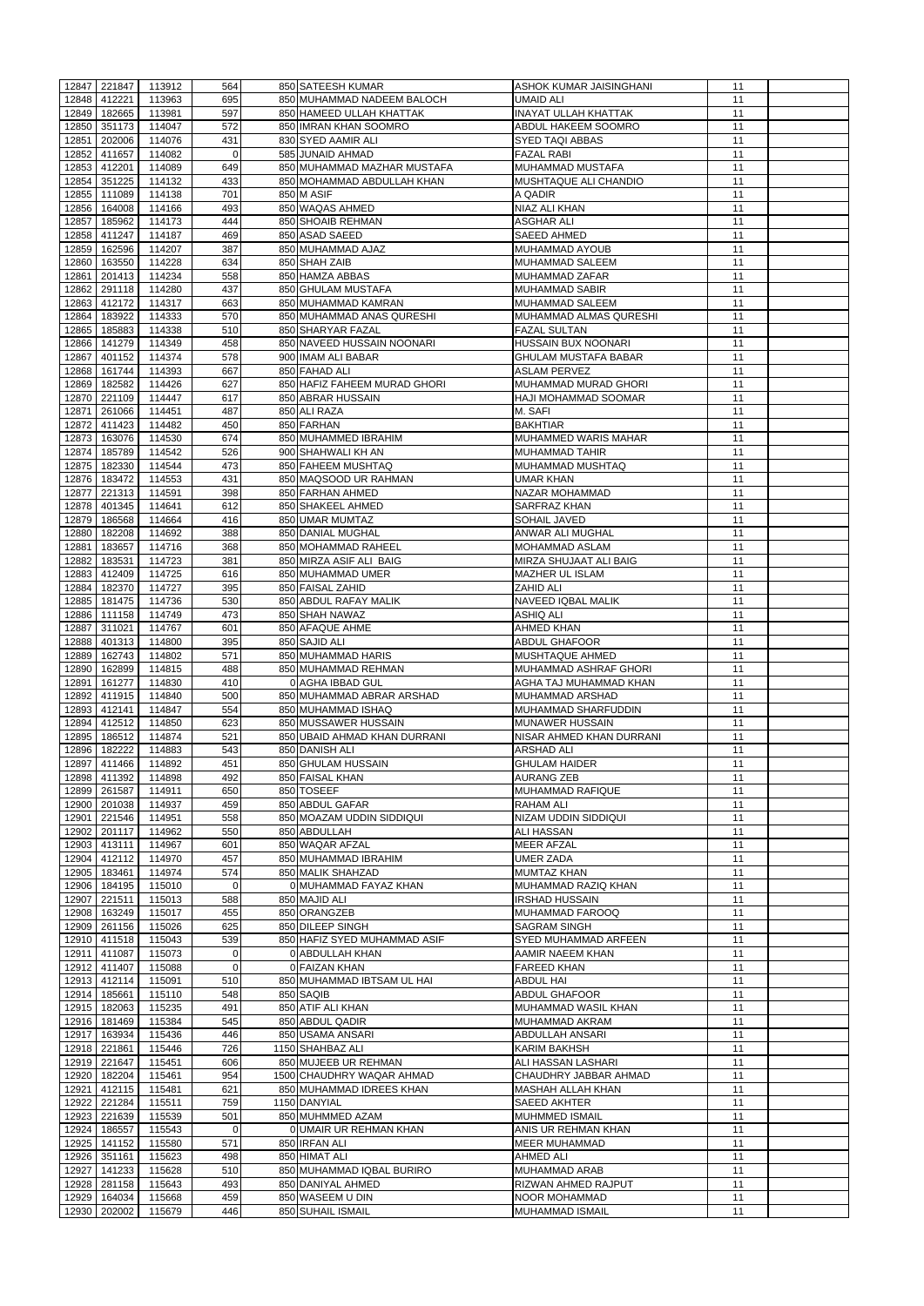| 12847          | 221847           | 113912           | 564            | 850 SATEESH KUMAR                     | ASHOK KUMAR JAISINGHANI                         | 11       |  |
|----------------|------------------|------------------|----------------|---------------------------------------|-------------------------------------------------|----------|--|
|                | 412221           |                  | 695            | 850 MUHAMMAD NADEEM BALOCH            |                                                 |          |  |
| 12848          |                  | 113963           | 597            |                                       | <b>UMAID ALI</b><br><b>INAYAT ULLAH KHATTAK</b> | 11       |  |
| 12849          | 182665           | 113981           |                | 850 HAMEED ULLAH KHATTAK              |                                                 | 11       |  |
| 12850          | 351173           | 114047           | 572            | 850 IMRAN KHAN SOOMRO                 | <b>ABDUL HAKEEM SOOMRO</b>                      | 11       |  |
| 12851          | 202006           | 114076           | 431            | 830 SYED AAMIR ALI                    | <b>SYED TAQI ABBAS</b>                          | 11       |  |
| 12852          | 411657           | 114082           | $\overline{0}$ | 585 JUNAID AHMAD                      | <b>FAZAL RABI</b>                               | 11       |  |
| 12853          | 412201           | 114089           | 649            | 850 MUHAMMAD MAZHAR MUSTAFA           | MUHAMMAD MUSTAFA                                | 11       |  |
| 12854          | 351225           | 114132           | 433            | 850 MOHAMMAD ABDULLAH KHAN            | MUSHTAQUE ALI CHANDIO                           | 11       |  |
| 12855          | 111089           | 114138           | 701            | 850 M ASIF                            | A QADIR                                         | 11       |  |
| 12856          | 164008           | 114166           | 493            | 850 WAQAS AHMED                       | NIAZ ALI KHAN                                   | 11       |  |
| 12857          | 185962           | 114173           | 444            | 850 SHOAIB REHMAN                     | <b>ASGHAR ALI</b>                               | 11       |  |
| 12858          | 411247           | 114187           | 469            | 850 ASAD SAEED                        | <b>SAEED AHMED</b>                              | 11       |  |
| 12859          | 162596           | 114207           | 387            | 850 MUHAMMAD AJAZ                     | MUHAMMAD AYOUB                                  | 11       |  |
| 12860          | 163550           | 114228           | 634            | 850 SHAH ZAIB                         | <b>MUHAMMAD SALEEM</b>                          | 11       |  |
| 12861          | 201413           | 114234           | 558            | 850 HAMZA ABBAS                       | <b>MUHAMMAD ZAFAR</b>                           | 11       |  |
| 12862          | 291118           | 114280           | 437            | 850 GHULAM MUSTAFA                    | <b>MUHAMMAD SABIR</b>                           | 11       |  |
| 12863          | 412172           | 114317           | 663            | 850 MUHAMMAD KAMRAN                   | <b>MUHAMMAD SALEEM</b>                          | 11       |  |
| 12864          | 183922           | 114333           | 570            | 850 MUHAMMAD ANAS QURESHI             | MUHAMMAD ALMAS QURESHI                          | 11       |  |
|                | 185883           | 114338           | 510            | 850 SHARYAR FAZAL                     |                                                 |          |  |
| 12865          |                  |                  |                |                                       | <b>FAZAL SULTAN</b>                             | 11       |  |
| 12866          | 141279           | 114349           | 458            | 850 NAVEED HUSSAIN NOONARI            | <b>HUSSAIN BUX NOONARI</b>                      | 11       |  |
| 12867          | 401152           | 114374           | 578            | 900 IMAM ALI BABAR                    | <b>GHULAM MUSTAFA BABAR</b>                     | 11       |  |
| 12868          | 161744           | 114393           | 667            | 850 FAHAD ALI                         | <b>ASLAM PERVEZ</b>                             | 11       |  |
| 12869          | 182582           | 114426           | 627            | 850 HAFIZ FAHEEM MURAD GHORI          | MUHAMMAD MURAD GHORI                            | 11       |  |
| 12870          | 221109           | 114447           | 617            | 850 ABRAR HUSSAIN                     | HAJI MOHAMMAD SOOMAR                            | 11       |  |
| 12871          | 261066           | 114451           | 487            | 850 ALI RAZA                          | M. SAFI                                         | 11       |  |
| 12872          | 411423           | 114482           | 450            | 850 FARHAN                            | <b>BAKHTIAR</b>                                 | 11       |  |
| 12873          | 163076           | 114530           | 674            | 850 MUHAMMED IBRAHIM                  | MUHAMMED WARIS MAHAR                            | 11       |  |
| 12874          | 185789           | 114542           | 526            | 900 SHAHWALI KH AN                    | <b>MUHAMMAD TAHIR</b>                           | 11       |  |
| 12875          | 182330           | 114544           | 473            | 850 FAHEEM MUSHTAQ                    | MUHAMMAD MUSHTAQ                                | 11       |  |
| 12876          | 183472           | 114553           | 431            | 850 MAQSOOD UR RAHMAN                 | <b>UMAR KHAN</b>                                | 11       |  |
| 12877          | 221313           | 114591           | 398            | 850 FARHAN AHMED                      | NAZAR MOHAMMAD                                  | 11       |  |
| 12878          | 401345           | 114641           | 612            | 850 SHAKEEL AHMED                     | <b>SARFRAZ KHAN</b>                             | 11       |  |
| 12879          | 186568           | 114664           | 416            | 850 UMAR MUMTAZ                       | <b>SOHAIL JAVED</b>                             | 11       |  |
|                |                  |                  |                |                                       |                                                 |          |  |
| 12880          | 182208           | 114692           | 388            | 850 DANIAL MUGHAL                     | ANWAR ALI MUGHAL                                | 11       |  |
| 12881          | 183657           | 114716           | 368            | 850 MOHAMMAD RAHEEL                   | <b>MOHAMMAD ASLAM</b>                           | 11       |  |
|                | 12882 183531     | 114723           | 381            | 850 MIRZA ASIF ALI BAIG               | MIRZA SHUJAAT ALI BAIG                          | 11       |  |
|                | 12883 412409     | 114725           | 616            | 850 MUHAMMAD UMER                     | <b>MAZHER UL ISLAM</b>                          | 11       |  |
| 12884          | 182370           | 114727           | 395            | 850 FAISAL ZAHID                      | <b>ZAHID ALI</b>                                | 11       |  |
| 12885          | 181475           | 114736           | 530            | 850 ABDUL RAFAY MALIK                 | NAVEED IQBAL MALIK                              | 11       |  |
| 12886          | 111158           | 114749           | 473            | 850 SHAH NAWAZ                        | <b>ASHIQ ALI</b>                                | 11       |  |
| 12887          | 311021           | 114767           | 601            | 850 AFAQUE AHME                       | <b>AHMED KHAN</b>                               | 11       |  |
| 12888          | 401313           | 114800           | 395            | 850 SAJID ALI                         | <b>ABDUL GHAFOOR</b>                            | 11       |  |
| 12889          | 162743           | 114802           | 571            | 850 MUHAMMAD HARIS                    | MUSHTAQUE AHMED                                 | 11       |  |
| 12890          | 162899           | 114815           | 488            | 850 MUHAMMAD REHMAN                   | MUHAMMAD ASHRAF GHORI                           | 11       |  |
| 12891          | 161277           | 114830           | 410            | 0 AGHA IBBAD GUL                      | AGHA TAJ MUHAMMAD KHAN                          | 11       |  |
| 12892          | 411915           | 114840           | 500            | 850 MUHAMMAD ABRAR ARSHAD             | <b>MUHAMMAD ARSHAD</b>                          | 11       |  |
| 12893          |                  |                  | 554            |                                       | MUHAMMAD SHARFUDDIN                             |          |  |
|                | 412141           | 114847           |                | 850 MUHAMMAD ISHAQ                    |                                                 | 11       |  |
| 12894          | 412512           | 114850           | 623            | 850 MUSSAWER HUSSAIN                  | <b>MUNAWER HUSSAIN</b>                          | 11       |  |
| 12895          | 186512           | 114874           | 521            | 850 UBAID AHMAD KHAN DURRANI          | NISAR AHMED KHAN DURRANI                        | 11       |  |
| 12896          | 182222           | 114883           | 543            | 850 DANISH ALI                        | <b>ARSHAD ALI</b>                               | 11       |  |
| 12897          | 411466           | 114892           | 451            | 850 GHULAM HUSSAIN                    | <b>GHULAM HAIDER</b>                            | 11       |  |
| 12898          | 411392           | 114898           | 492            | 850 FAISAL KHAN                       | <b>AURANG ZEB</b>                               | 11       |  |
| 12899          | 261587           | 114911           | 650            | 850 TOSEEF                            | <b>MUHAMMAD RAFIQUE</b>                         | 11       |  |
| 12900          | 201038           | 114937           | 459            | 850 ABDUL GAFAR                       | <b>RAHAM ALI</b>                                | 11       |  |
| 12901          | 221546           | 114951           | 558            | 850 MOAZAM UDDIN SIDDIQUI             | NIZAM UDDIN SIDDIQUI                            | 11       |  |
| 12902          | 201117           | 114962           | 550            | 850 ABDULLAH                          | <b>ALI HASSAN</b>                               | 11       |  |
| 12903          | 413111           | 114967           | 601            | 850 WAQAR AFZAL                       | <b>MEER AFZAL</b>                               | 11       |  |
| 12904          | 412112           | 114970           | 457            | 850 MUHAMMAD IBRAHIM                  | <b>UMER ZADA</b>                                | 11       |  |
| 12905          | 183461           | 114974           | 574            | 850 MALIK SHAHZAD                     | <b>MUMTAZ KHAN</b>                              | 11       |  |
| 12906          | 184195           | 115010           | $\Omega$       | 0 MUHAMMAD FAYAZ KHAN                 | MUHAMMAD RAZIQ KHAN                             | 11       |  |
| 12907          | 221511           | 115013           | 588            | 850 MAJID ALI                         | <b>IRSHAD HUSSAIN</b>                           | 11       |  |
| 12908          | 163249           | 115017           | 455            | 850 ORANGZEB                          | MUHAMMAD FAROOQ                                 | 11       |  |
| 12909          | 261156           | 115026           | 625            | 850 DILEEP SINGH                      | <b>SAGRAM SINGH</b>                             | 11       |  |
|                | 411518           |                  |                | 850 HAFIZ SYED MUHAMMAD ASIF          | SYED MUHAMMAD ARFEEN                            |          |  |
| 12910          |                  | 115043           | 539            |                                       |                                                 | 11       |  |
| 12911          | 411087           | 115073           | $\mathbf 0$    | 0 ABDULLAH KHAN                       | AAMIR NAEEM KHAN                                | 11       |  |
| 12912          | 411407           | 115088           | $\Omega$       | 0 FAIZAN KHAN                         | <b>FAREED KHAN</b>                              | 11       |  |
| 12913          | 412114           | 115091           | 510            | 850 MUHAMMAD IBTSAM UL HAI            | ABDUL HAI                                       | 11       |  |
| 12914          | 185661           | 115110           | 548            | 850 SAQIB                             | <b>ABDUL GHAFOOR</b>                            | 11       |  |
| 12915          | 182063           | 115235           | 491            | 850 ATIF ALI KHAN                     | MUHAMMAD WASIL KHAN                             | 11       |  |
| 12916          | 181469           | 115384           | 545            | 850 ABDUL QADIR                       | MUHAMMAD AKRAM                                  | 11       |  |
| 12917          | 163934           | 115436           | 446            | 850 USAMA ANSARI                      | ABDULLAH ANSARI                                 | 11       |  |
| 12918          | 221861           | 115446           | 726            | 1150 SHAHBAZ ALI                      | <b>KARIM BAKHSH</b>                             | 11       |  |
|                | 12919 221647     | 115451           | 606            | 850 MUJEEB UR REHMAN                  | ALI HASSAN LASHARI                              | 11       |  |
| 12920          | 182204           | 115461           | 954            | 1500 CHAUDHRY WAQAR AHMAD             | CHAUDHRY JABBAR AHMAD                           | 11       |  |
| 12921          | 412115           | 115481           | 621            | 850 MUHAMMAD IDREES KHAN              | <b>MASHAH ALLAH KHAN</b>                        | 11       |  |
| 12922          | 221284           | 115511           | 759            | 1150 DANYIAL                          | <b>SAEED AKHTER</b>                             | 11       |  |
| 12923          | 221639           | 115539           | 501            | 850 MUHMMED AZAM                      | <b>MUHMMED ISMAIL</b>                           | 11       |  |
| 12924          | 186557           | 115543           | $\Omega$       | O UMAIR UR REHMAN KHAN                | ANIS UR REHMAN KHAN                             | 11       |  |
| 12925          | 141152           | 115580           | 571            | 850 IRFAN ALI                         | <b>MEER MUHAMMAD</b>                            | 11       |  |
| 12926          | 351161           | 115623           | 498            | 850 HIMAT ALI                         | <b>AHMED ALI</b>                                | 11       |  |
|                |                  |                  |                |                                       |                                                 |          |  |
|                |                  |                  |                |                                       |                                                 |          |  |
| 12927          | 141233           | 115628           | 510            | 850 MUHAMMAD IQBAL BURIRO             | <b>MUHAMMAD ARAB</b>                            | 11       |  |
| 12928          | 281158           | 115643           | 493            | 850 DANIYAL AHMED                     | <b>RIZWAN AHMED RAJPUT</b>                      | 11       |  |
| 12929<br>12930 | 164034<br>202002 | 115668<br>115679 | 459<br>446     | 850 WASEEM U DIN<br>850 SUHAIL ISMAIL | NOOR MOHAMMAD<br><b>MUHAMMAD ISMAIL</b>         | 11<br>11 |  |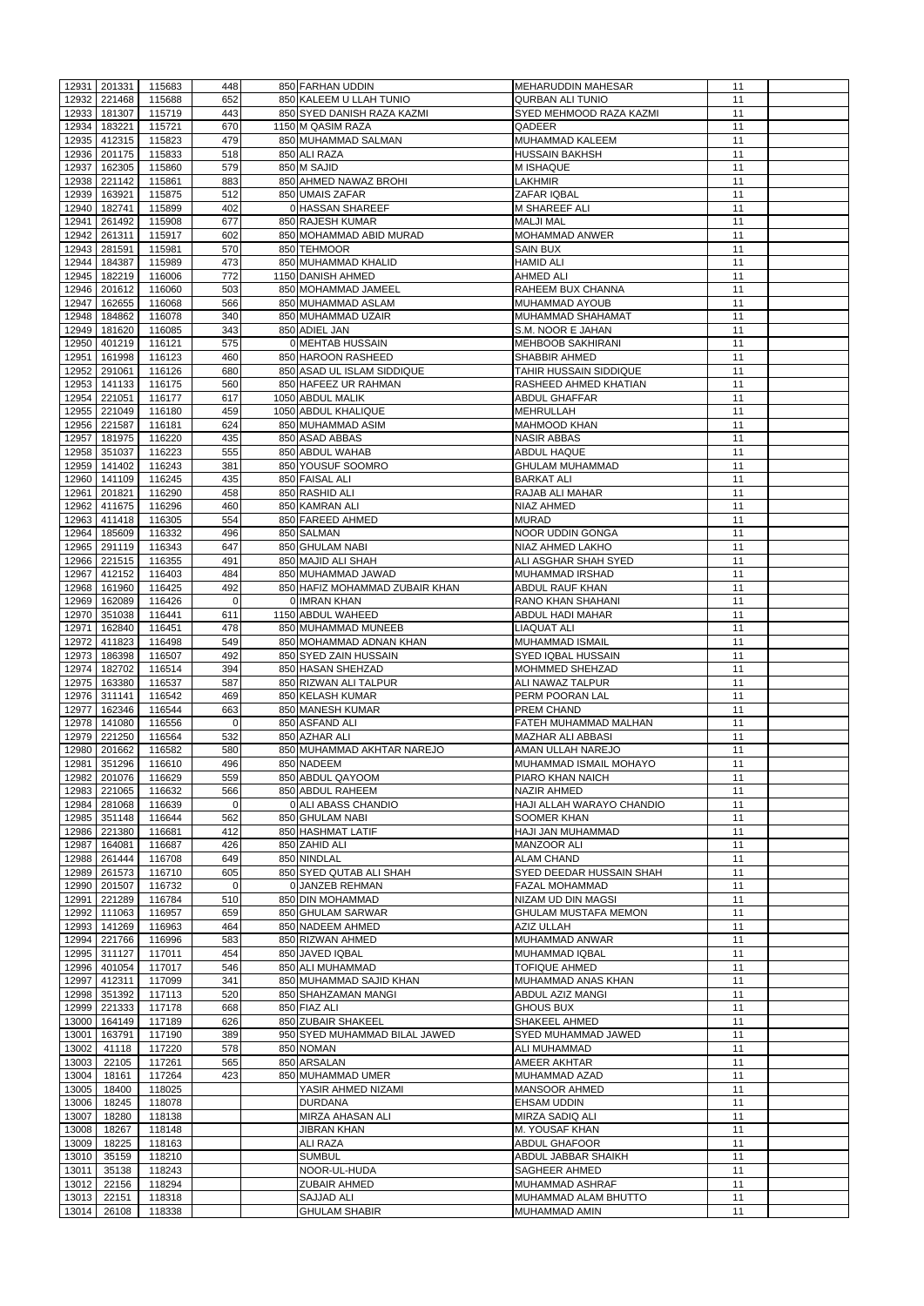| 12931 | 201331       | 115683 | 448            | 850 FARHAN UDDIN               | MEHARUDDIN MAHESAR          | 11 |  |
|-------|--------------|--------|----------------|--------------------------------|-----------------------------|----|--|
| 12932 | 221468       | 115688 | 652            | 850 KALEEM U LLAH TUNIO        | <b>QURBAN ALI TUNIO</b>     | 11 |  |
| 12933 | 181307       | 115719 | 443            | 850 SYED DANISH RAZA KAZMI     | SYED MEHMOOD RAZA KAZMI     | 11 |  |
| 12934 | 183221       | 115721 | 670            | 1150 M QASIM RAZA              | QADEER                      | 11 |  |
|       |              |        |                |                                |                             |    |  |
| 12935 | 412315       | 115823 | 479            | 850 MUHAMMAD SALMAN            | MUHAMMAD KALEEM             | 11 |  |
| 12936 | 201175       | 115833 | 518            | 850 ALI RAZA                   | <b>HUSSAIN BAKHSH</b>       | 11 |  |
| 12937 | 162305       | 115860 | 579            | 850 M SAJID                    | M ISHAQUE                   | 11 |  |
| 12938 | 221142       | 115861 | 883            | 850 AHMED NAWAZ BROHI          | LAKHMIR                     | 11 |  |
| 12939 | 163921       | 115875 | 512            | 850 UMAIS ZAFAR                | <b>ZAFAR IQBAL</b>          | 11 |  |
| 12940 | 182741       | 115899 | 402            | 0 HASSAN SHAREEF               | <b>M SHAREEF ALI</b>        | 11 |  |
| 12941 | 261492       | 115908 | 677            | 850 RAJESH KUMAR               | <b>MALJI MAL</b>            | 11 |  |
| 12942 | 261311       | 115917 | 602            | 850 MOHAMMAD ABID MURAD        | <b>MOHAMMAD ANWER</b>       | 11 |  |
| 12943 | 281591       | 115981 | 570            | 850 TEHMOOR                    | <b>SAIN BUX</b>             | 11 |  |
| 12944 | 184387       | 115989 | 473            | 850 MUHAMMAD KHALID            | <b>HAMID ALI</b>            | 11 |  |
| 12945 | 182219       | 116006 | 772            | 1150 DANISH AHMED              | <b>AHMED ALI</b>            | 11 |  |
| 12946 | 201612       | 116060 | 503            | 850 MOHAMMAD JAMEEL            | <b>RAHEEM BUX CHANNA</b>    | 11 |  |
| 12947 | 162655       | 116068 | 566            | 850 MUHAMMAD ASLAM             | <b>MUHAMMAD AYOUB</b>       | 11 |  |
| 12948 | 184862       | 116078 | 340            | 850 MUHAMMAD UZAIR             | MUHAMMAD SHAHAMAT           | 11 |  |
| 12949 | 181620       | 116085 | 343            | 850 ADIEL JAN                  | S.M. NOOR E JAHAN           | 11 |  |
| 12950 | 401219       | 116121 | 575            | 0 MEHTAB HUSSAIN               | <b>MEHBOOB SAKHIRANI</b>    | 11 |  |
| 12951 | 161998       | 116123 | 460            | 850 HAROON RASHEED             | <b>SHABBIR AHMED</b>        | 11 |  |
| 12952 | 291061       | 116126 | 680            | 850 ASAD UL ISLAM SIDDIQUE     | TAHIR HUSSAIN SIDDIQUE      | 11 |  |
| 12953 | 141133       | 116175 | 560            | 850 HAFEEZ UR RAHMAN           | RASHEED AHMED KHATIAN       | 11 |  |
| 12954 | 221051       | 116177 | 617            | 1050 ABDUL MALIK               | <b>ABDUL GHAFFAR</b>        | 11 |  |
| 12955 | 221049       | 116180 | 459            | 1050 ABDUL KHALIQUE            | <b>MEHRULLAH</b>            | 11 |  |
|       |              |        |                |                                |                             |    |  |
| 12956 | 221587       | 116181 | 624            | 850 MUHAMMAD ASIM              | <b>MAHMOOD KHAN</b>         | 11 |  |
| 12957 | 181975       | 116220 | 435            | 850 ASAD ABBAS                 | <b>NASIR ABBAS</b>          | 11 |  |
| 12958 | 351037       | 116223 | 555            | 850 ABDUL WAHAB                | <b>ABDUL HAQUE</b>          | 11 |  |
| 12959 | 141402       | 116243 | 381            | 850 YOUSUF SOOMRO              | <b>GHULAM MUHAMMAD</b>      | 11 |  |
| 12960 | 141109       | 116245 | 435            | 850 FAISAL ALI                 | <b>BARKAT ALI</b>           | 11 |  |
| 12961 | 201821       | 116290 | 458            | 850 RASHID ALI                 | <b>RAJAB ALI MAHAR</b>      | 11 |  |
| 12962 | 411675       | 116296 | 460            | 850 KAMRAN ALI                 | <b>NIAZ AHMED</b>           | 11 |  |
| 12963 | 411418       | 116305 | 554            | 850 FAREED AHMED               | <b>MURAD</b>                | 11 |  |
| 12964 | 185609       | 116332 | 496            | 850 SALMAN                     | <b>NOOR UDDIN GONGA</b>     | 11 |  |
| 12965 | 291119       | 116343 | 647            | 850 GHULAM NABI                | NIAZ AHMED LAKHO            | 11 |  |
|       | 12966 221515 | 116355 | 491            | 850 MAJID ALI SHAH             | <b>ALI ASGHAR SHAH SYED</b> | 11 |  |
|       | 12967 412152 | 116403 | 484            | 850 MUHAMMAD JAWAD             | MUHAMMAD IRSHAD             | 11 |  |
| 12968 | 161960       | 116425 | 492            | 850 HAFIZ MOHAMMAD ZUBAIR KHAN | <b>ABDUL RAUF KHAN</b>      | 11 |  |
| 12969 | 162089       | 116426 | $\overline{0}$ | 0 IMRAN KHAN                   | <b>RANO KHAN SHAHANI</b>    | 11 |  |
| 12970 | 351038       | 116441 | 611            | 1150 ABDUL WAHEED              | <b>ABDUL HADI MAHAR</b>     | 11 |  |
| 12971 | 162840       | 116451 | 478            | 850 MUHAMMAD MUNEEB            | LIAQUAT ALI                 | 11 |  |
| 12972 | 411823       | 116498 | 549            | 850 MOHAMMAD ADNAN KHAN        | <b>MUHAMMAD ISMAIL</b>      | 11 |  |
| 12973 | 186398       | 116507 | 492            | 850 SYED ZAIN HUSSAIN          | SYED IQBAL HUSSAIN          | 11 |  |
| 12974 | 182702       | 116514 | 394            | 850 HASAN SHEHZAD              | MOHMMED SHEHZAD             | 11 |  |
| 12975 | 163380       | 116537 | 587            | 850 RIZWAN ALI TALPUR          | ALI NAWAZ TALPUR            | 11 |  |
|       | 12976 311141 |        | 469            |                                |                             | 11 |  |
|       |              | 116542 |                | 850 KELASH KUMAR               | PERM POORAN LAL             |    |  |
| 12977 | 162346       | 116544 | 663            | 850 MANESH KUMAR               | <b>PREM CHAND</b>           | 11 |  |
| 12978 | 141080       | 116556 | $\overline{0}$ | 850 ASFAND ALI                 | FATEH MUHAMMAD MALHAN       | 11 |  |
| 12979 | 221250       | 116564 | 532            | 850 AZHAR ALI                  | <b>MAZHAR ALI ABBASI</b>    | 11 |  |
| 12980 | 201662       | 116582 | 580            | 850 MUHAMMAD AKHTAR NAREJO     | AMAN ULLAH NAREJO           | 11 |  |
| 12981 | 351296       | 116610 | 496            | 850 NADEEM                     | MUHAMMAD ISMAIL MOHAYO      | 11 |  |
| 12982 | 201076       | 116629 | 559            | 850 ABDUL QAYOOM               | PIARO KHAN NAICH            | 11 |  |
| 12983 | 221065       | 116632 | 566            | 850 ABDUL RAHEEM               | NAZIR AHMED                 | 11 |  |
| 12984 | 281068       | 116639 | $\overline{0}$ | 0 ALI ABASS CHANDIO            | HAJI ALLAH WARAYO CHANDIO   | 11 |  |
| 12985 | 351148       | 116644 | 562            | 850 GHULAM NABI                | <b>SOOMER KHAN</b>          | 11 |  |
| 12986 | 221380       | 116681 | 412            | 850 HASHMAT LATIF              | HAJI JAN MUHAMMAD           | 11 |  |
| 12987 | 164081       | 116687 | 426            | 850 ZAHID ALI                  | MANZOOR ALI                 | 11 |  |
| 12988 | 261444       | 116708 | 649            | 850 NINDLAL                    | <b>ALAM CHAND</b>           | 11 |  |
| 12989 | 261573       | 116710 | 605            | 850 SYED QUTAB ALI SHAH        | SYED DEEDAR HUSSAIN SHAH    | 11 |  |
| 12990 | 201507       | 116732 | $\Omega$       | 0 JANZEB REHMAN                | FAZAL MOHAMMAD              | 11 |  |
| 12991 | 221289       | 116784 | 510            | 850 DIN MOHAMMAD               | NIZAM UD DIN MAGSI          | 11 |  |
| 12992 | 111063       | 116957 | 659            | 850 GHULAM SARWAR              | <b>GHULAM MUSTAFA MEMON</b> | 11 |  |
| 12993 | 141269       | 116963 | 464            | 850 NADEEM AHMED               | <b>AZIZ ULLAH</b>           | 11 |  |
| 12994 | 221766       | 116996 | 583            | 850 RIZWAN AHMED               | MUHAMMAD ANWAR              | 11 |  |
| 12995 | 311127       | 117011 | 454            | 850 JAVED IQBAL                | <b>MUHAMMAD IQBAL</b>       | 11 |  |
| 12996 | 401054       | 117017 | 546            | 850 ALI MUHAMMAD               | <b>TOFIQUE AHMED</b>        | 11 |  |
| 12997 | 412311       | 117099 | 341            | 850 MUHAMMAD SAJID KHAN        | MUHAMMAD ANAS KHAN          | 11 |  |
| 12998 | 351392       | 117113 | 520            | 850 SHAHZAMAN MANGI            | <b>ABDUL AZIZ MANGI</b>     | 11 |  |
| 12999 | 221333       | 117178 | 668            | 850 FIAZ ALI                   | <b>GHOUS BUX</b>            | 11 |  |
| 13000 | 164149       | 117189 | 626            | 850 ZUBAIR SHAKEEL             | SHAKEEL AHMED               | 11 |  |
| 13001 | 163791       | 117190 | 389            | 950 SYED MUHAMMAD BILAL JAWED  | SYED MUHAMMAD JAWED         | 11 |  |
| 13002 | 41118        | 117220 | 578            | 850 NOMAN                      | <b>ALI MUHAMMAD</b>         | 11 |  |
| 13003 | 22105        | 117261 | 565            | 850 ARSALAN                    | <b>AMEER AKHTAR</b>         | 11 |  |
|       |              |        |                |                                |                             |    |  |
| 13004 | 18161        | 117264 | 423            | 850 MUHAMMAD UMER              | MUHAMMAD AZAD               | 11 |  |
| 13005 | 18400        | 118025 |                | YASIR AHMED NIZAMI             | MANSOOR AHMED               | 11 |  |
| 13006 | 18245        | 118078 |                | <b>DURDANA</b>                 | <b>EHSAM UDDIN</b>          | 11 |  |
| 13007 | 18280        | 118138 |                | MIRZA AHASAN ALI               | MIRZA SADIQ ALI             | 11 |  |
| 13008 | 18267        | 118148 |                | <b>JIBRAN KHAN</b>             | M. YOUSAF KHAN              | 11 |  |
| 13009 | 18225        | 118163 |                | <b>ALI RAZA</b>                | <b>ABDUL GHAFOOR</b>        | 11 |  |
| 13010 | 35159        | 118210 |                | <b>SUMBUL</b>                  | ABDUL JABBAR SHAIKH         | 11 |  |
| 13011 | 35138        | 118243 |                | NOOR-UL-HUDA                   | <b>SAGHEER AHMED</b>        | 11 |  |
| 13012 | 22156        | 118294 |                | ZUBAIR AHMED                   | <b>MUHAMMAD ASHRAF</b>      | 11 |  |
| 13013 | 22151        | 118318 |                | <b>SAJJAD ALI</b>              | MUHAMMAD ALAM BHUTTO        | 11 |  |
| 13014 | 26108        | 118338 |                | <b>GHULAM SHABIR</b>           | <b>MUHAMMAD AMIN</b>        | 11 |  |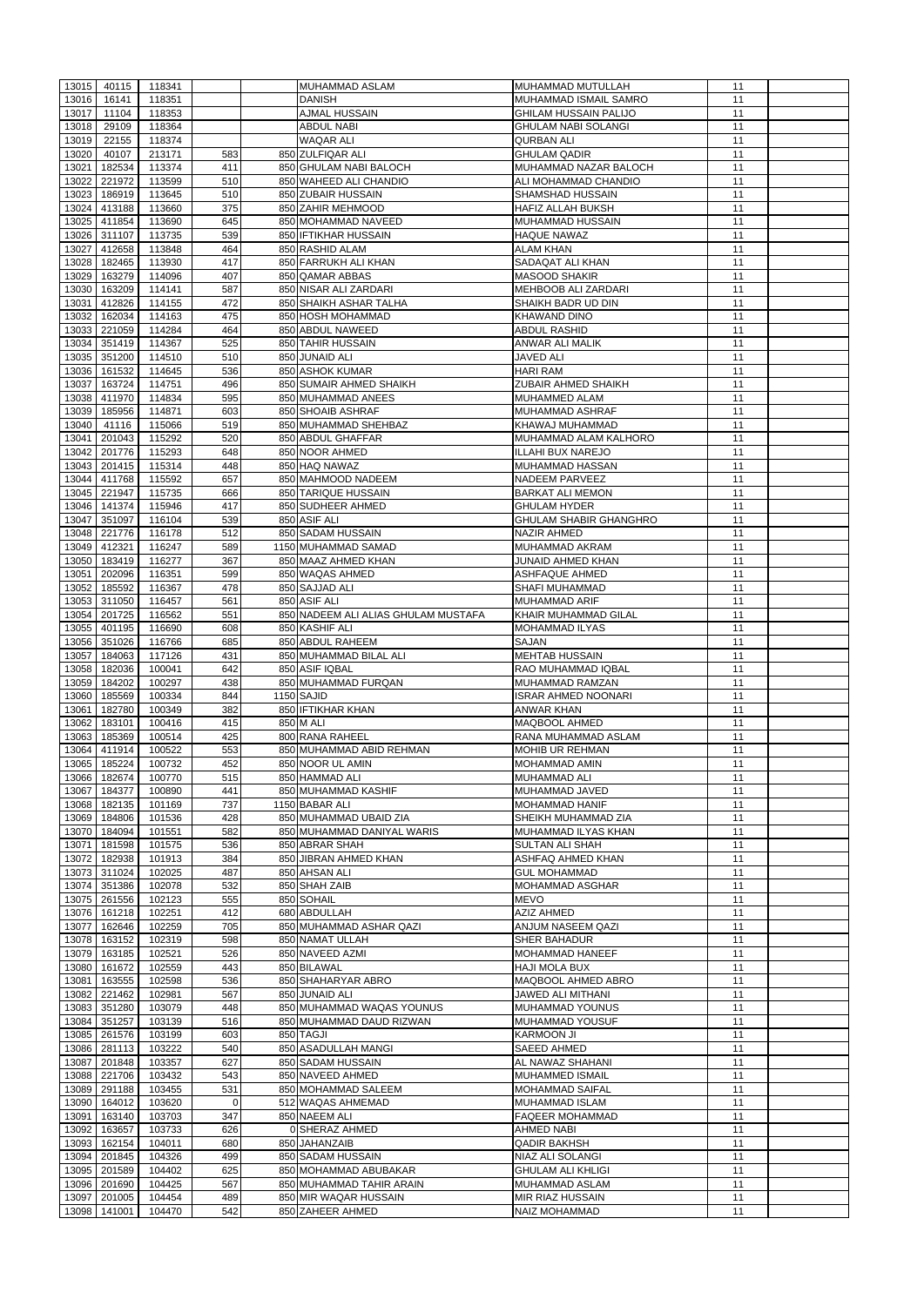| 13015 | 40115        | 118341 |                | MUHAMMAD ASLAM                      | MUHAMMAD MUTULLAH             | 11 |  |
|-------|--------------|--------|----------------|-------------------------------------|-------------------------------|----|--|
|       |              |        |                |                                     | MUHAMMAD ISMAIL SAMRO         |    |  |
| 13016 | 16141        | 118351 |                | <b>DANISH</b>                       |                               | 11 |  |
| 13017 | 11104        | 118353 |                | <b>AJMAL HUSSAIN</b>                | <b>GHILAM HUSSAIN PALIJO</b>  | 11 |  |
| 13018 | 29109        | 118364 |                | <b>ABDUL NABI</b>                   | <b>GHULAM NABI SOLANGI</b>    | 11 |  |
| 13019 | 22155        | 118374 |                | <b>WAQAR ALI</b>                    | <b>QURBAN ALI</b>             | 11 |  |
| 13020 | 40107        | 213171 | 583            | 850 ZULFIQAR ALI                    | <b>GHULAM QADIR</b>           | 11 |  |
| 13021 | 182534       | 113374 | 411            | 850 GHULAM NABI BALOCH              | MUHAMMAD NAZAR BALOCH         | 11 |  |
| 13022 | 221972       | 113599 | 510            | 850 WAHEED ALI CHANDIO              | ALI MOHAMMAD CHANDIO          | 11 |  |
|       |              |        |                |                                     |                               |    |  |
| 13023 | 186919       | 113645 | 510            | 850 ZUBAIR HUSSAIN                  | <b>SHAMSHAD HUSSAIN</b>       | 11 |  |
| 13024 | 413188       | 113660 | 375            | 850 ZAHIR MEHMOOD                   | <b>HAFIZ ALLAH BUKSH</b>      | 11 |  |
| 13025 | 411854       | 113690 | 645            | 850 MOHAMMAD NAVEED                 | <b>MUHAMMAD HUSSAIN</b>       | 11 |  |
| 13026 | 311107       | 113735 | 539            | 850 IFTIKHAR HUSSAIN                | <b>HAQUE NAWAZ</b>            | 11 |  |
| 13027 | 412658       | 113848 | 464            | 850 RASHID ALAM                     | <b>ALAM KHAN</b>              | 11 |  |
| 13028 | 182465       | 113930 | 417            | 850 FARRUKH ALI KHAN                | SADAQAT ALI KHAN              | 11 |  |
| 13029 | 163279       | 114096 | 407            | 850 QAMAR ABBAS                     | <b>MASOOD SHAKIR</b>          | 11 |  |
| 13030 | 163209       | 114141 | 587            | 850 NISAR ALI ZARDARI               | MEHBOOB ALI ZARDARI           | 11 |  |
|       |              |        |                |                                     |                               |    |  |
| 13031 | 412826       | 114155 | 472            | 850 SHAIKH ASHAR TALHA              | SHAIKH BADR UD DIN            | 11 |  |
| 13032 | 162034       | 114163 | 475            | 850 HOSH MOHAMMAD                   | <b>KHAWAND DINO</b>           | 11 |  |
| 13033 | 221059       | 114284 | 464            | 850 ABDUL NAWEED                    | <b>ABDUL RASHID</b>           | 11 |  |
| 13034 | 351419       | 114367 | 525            | 850 TAHIR HUSSAIN                   | ANWAR ALI MALIK               | 11 |  |
| 13035 | 351200       | 114510 | 510            | 850 JUNAID ALI                      | <b>JAVED ALI</b>              | 11 |  |
| 13036 | 161532       | 114645 | 536            | 850 ASHOK KUMAR                     | <b>HARI RAM</b>               | 11 |  |
| 13037 | 163724       | 114751 | 496            | 850 SUMAIR AHMED SHAIKH             | ZUBAIR AHMED SHAIKH           | 11 |  |
| 13038 | 411970       | 114834 | 595            | 850 MUHAMMAD ANEES                  | MUHAMMED ALAM                 | 11 |  |
|       |              |        |                |                                     |                               |    |  |
| 13039 | 185956       | 114871 | 603            | 850 SHOAIB ASHRAF                   | MUHAMMAD ASHRAF               | 11 |  |
| 13040 | 41116        | 115066 | 519            | 850 MUHAMMAD SHEHBAZ                | KHAWAJ MUHAMMAD               | 11 |  |
| 13041 | 201043       | 115292 | 520            | 850 ABDUL GHAFFAR                   | MUHAMMAD ALAM KALHORO         | 11 |  |
| 13042 | 201776       | 115293 | 648            | 850 NOOR AHMED                      | ILLAHI BUX NAREJO             | 11 |  |
| 13043 | 201415       | 115314 | 448            | 850 HAQ NAWAZ                       | <b>MUHAMMAD HASSAN</b>        | 11 |  |
| 13044 | 411768       | 115592 | 657            | 850 MAHMOOD NADEEM                  | NADEEM PARVEEZ                | 11 |  |
| 13045 | 221947       | 115735 | 666            | 850 TARIQUE HUSSAIN                 | <b>BARKAT ALI MEMON</b>       | 11 |  |
| 13046 | 141374       | 115946 | 417            | 850 SUDHEER AHMED                   | <b>GHULAM HYDER</b>           | 11 |  |
| 13047 | 351097       | 116104 | 539            | 850 ASIF ALI                        | <b>GHULAM SHABIR GHANGHRO</b> | 11 |  |
| 13048 | 221776       | 116178 | 512            | 850 SADAM HUSSAIN                   |                               | 11 |  |
|       |              |        |                |                                     | NAZIR AHMED                   |    |  |
| 13049 | 412321       | 116247 | 589            | 1150 MUHAMMAD SAMAD                 | MUHAMMAD AKRAM                | 11 |  |
|       | 13050 183419 | 116277 | 367            | 850 MAAZ AHMED KHAN                 | <b>JUNAID AHMED KHAN</b>      | 11 |  |
|       | 13051 202096 | 116351 | 599            | 850 WAQAS AHMED                     | <b>ASHFAQUE AHMED</b>         | 11 |  |
| 13052 | 185592       | 116367 | 478            | 850 SAJJAD ALI                      | SHAFI MUHAMMAD                | 11 |  |
|       | 13053 311050 | 116457 | 561            | 850 ASIF ALI                        | MUHAMMAD ARIF                 | 11 |  |
| 13054 | 201725       | 116562 | 551            | 850 NADEEM ALI ALIAS GHULAM MUSTAFA | KHAIR MUHAMMAD GILAL          | 11 |  |
| 13055 | 401195       | 116690 | 608            | 850 KASHIF ALI                      | <b>MOHAMMAD ILYAS</b>         | 11 |  |
| 13056 | 351026       | 116766 | 685            | 850 ABDUL RAHEEM                    | <b>SAJAN</b>                  | 11 |  |
| 13057 | 184063       | 117126 | 431            | 850 MUHAMMAD BILAL ALI              | <b>MEHTAB HUSSAIN</b>         | 11 |  |
| 13058 | 182036       | 100041 | 642            | 850 ASIF IQBAL                      | RAO MUHAMMAD IQBAL            | 11 |  |
| 13059 | 184202       | 100297 | 438            | 850 MUHAMMAD FURQAN                 | MUHAMMAD RAMZAN               | 11 |  |
| 13060 | 185569       | 100334 | 844            | 1150 SAJID                          | <b>ISRAR AHMED NOONARI</b>    | 11 |  |
|       |              |        |                |                                     |                               |    |  |
| 13061 | 182780       | 100349 | 382            | 850 IFTIKHAR KHAN                   | <b>ANWAR KHAN</b>             | 11 |  |
| 13062 | 183101       | 100416 | 415            | 850 M ALI                           | <b>MAQBOOL AHMED</b>          | 11 |  |
| 13063 | 185369       | 100514 | 425            | 800 RANA RAHEEL                     | RANA MUHAMMAD ASLAM           | 11 |  |
| 13064 | 411914       | 100522 |                | 850 MUHAMMAD ABID REHMAN            | <b>MOHIB UR REHMAN</b>        |    |  |
| 13065 | 185224       |        | 553            |                                     |                               | 11 |  |
| 13066 |              | 100732 | 452            | 850 NOOR UL AMIN                    | <b>MOHAMMAD AMIN</b>          | 11 |  |
| 13067 | 182674       | 100770 | 515            | 850 HAMMAD ALI                      | MUHAMMAD ALI                  | 11 |  |
| 13068 | 184377       | 100890 | 441            | 850 MUHAMMAD KASHIF                 | MUHAMMAD JAVED                | 11 |  |
|       |              |        |                |                                     |                               |    |  |
|       | 182135       | 101169 | 737            | 1150 BABAR ALI                      | <b>MOHAMMAD HANIF</b>         | 11 |  |
| 13069 | 184806       | 101536 | 428            | 850 MUHAMMAD UBAID ZIA              | SHEIKH MUHAMMAD ZIA           | 11 |  |
| 13070 | 184094       | 101551 | 582            | 850 MUHAMMAD DANIYAL WARIS          | MUHAMMAD ILYAS KHAN           | 11 |  |
| 13071 | 181598       | 101575 | 536            | 850 ABRAR SHAH                      | <b>SULTAN ALI SHAH</b>        | 11 |  |
| 13072 | 182938       | 101913 | 384            | 850 JIBRAN AHMED KHAN               | ASHFAQ AHMED KHAN             | 11 |  |
| 13073 | 311024       | 102025 | 487            | 850 AHSAN ALI                       | <b>GUL MOHAMMAD</b>           | 11 |  |
| 13074 | 351386       | 102078 | 532            | 850 SHAH ZAIB                       | <b>MOHAMMAD ASGHAR</b>        | 11 |  |
|       | 13075 261556 | 102123 | 555            | 850 SOHAIL                          | <b>MEVO</b>                   | 11 |  |
| 13076 | 161218       | 102251 | 412            | 680 ABDULLAH                        | <b>AZIZ AHMED</b>             | 11 |  |
|       |              |        | 705            |                                     |                               |    |  |
| 13077 | 162646       | 102259 |                | 850 MUHAMMAD ASHAR QAZI             | ANJUM NASEEM QAZI             | 11 |  |
| 13078 | 163152       | 102319 | 598            | 850 NAMAT ULLAH                     | <b>SHER BAHADUR</b>           | 11 |  |
| 13079 | 163185       | 102521 | 526            | 850 NAVEED AZMI                     | <b>MOHAMMAD HANEEF</b>        | 11 |  |
| 13080 | 161672       | 102559 | 443            | 850 BILAWAL                         | <b>HAJI MOLA BUX</b>          | 11 |  |
| 13081 | 163555       | 102598 | 536            | 850 SHAHARYAR ABRO                  | MAQBOOL AHMED ABRO            | 11 |  |
| 13082 | 221462       | 102981 | 567            | 850 JUNAID ALI                      | <b>JAWED ALI MITHANI</b>      | 11 |  |
| 13083 | 351280       | 103079 | 448            | 850 MUHAMMAD WAQAS YOUNUS           | <b>MUHAMMAD YOUNUS</b>        | 11 |  |
| 13084 | 351257       | 103139 | 516            | 850 MUHAMMAD DAUD RIZWAN            | <b>MUHAMMAD YOUSUF</b>        | 11 |  |
| 13085 | 261576       | 103199 | 603            | 850 TAGJI                           | <b>KARMOON JI</b>             | 11 |  |
|       | 13086 281113 | 103222 | 540            | 850 ASADULLAH MANGI                 | <b>SAEED AHMED</b>            | 11 |  |
|       | 13087 201848 | 103357 | 627            |                                     | AL NAWAZ SHAHANI              | 11 |  |
| 13088 |              |        |                | 850 SADAM HUSSAIN                   | <b>MUHAMMED ISMAIL</b>        | 11 |  |
|       | 221706       | 103432 | 543            | 850 NAVEED AHMED                    |                               |    |  |
|       | 13089 291188 | 103455 | 531            | 850 MOHAMMAD SALEEM                 | <b>MOHAMMAD SAIFAL</b>        | 11 |  |
|       | 13090 164012 | 103620 | $\overline{0}$ | 512 WAQAS AHMEMAD                   | <b>MUHAMMAD ISLAM</b>         | 11 |  |
| 13091 | 163140       | 103703 | 347            | 850 NAEEM ALI                       | <b>FAQEER MOHAMMAD</b>        | 11 |  |
| 13092 | 163657       | 103733 | 626            | 0 SHERAZ AHMED                      | <b>AHMED NABI</b>             | 11 |  |
| 13093 | 162154       | 104011 | 680            | 850 JAHANZAIB                       | <b>QADIR BAKHSH</b>           | 11 |  |
| 13094 | 201845       | 104326 | 499            | 850 SADAM HUSSAIN                   | NIAZ ALI SOLANGI              | 11 |  |
| 13095 | 201589       | 104402 | 625            | 850 MOHAMMAD ABUBAKAR               | <b>GHULAM ALI KHLIGI</b>      | 11 |  |
| 13096 | 201690       | 104425 | 567            | 850 MUHAMMAD TAHIR ARAIN            | <b>MUHAMMAD ASLAM</b>         | 11 |  |
| 13097 | 201005       | 104454 | 489            | 850 MIR WAQAR HUSSAIN               | <b>MIR RIAZ HUSSAIN</b>       | 11 |  |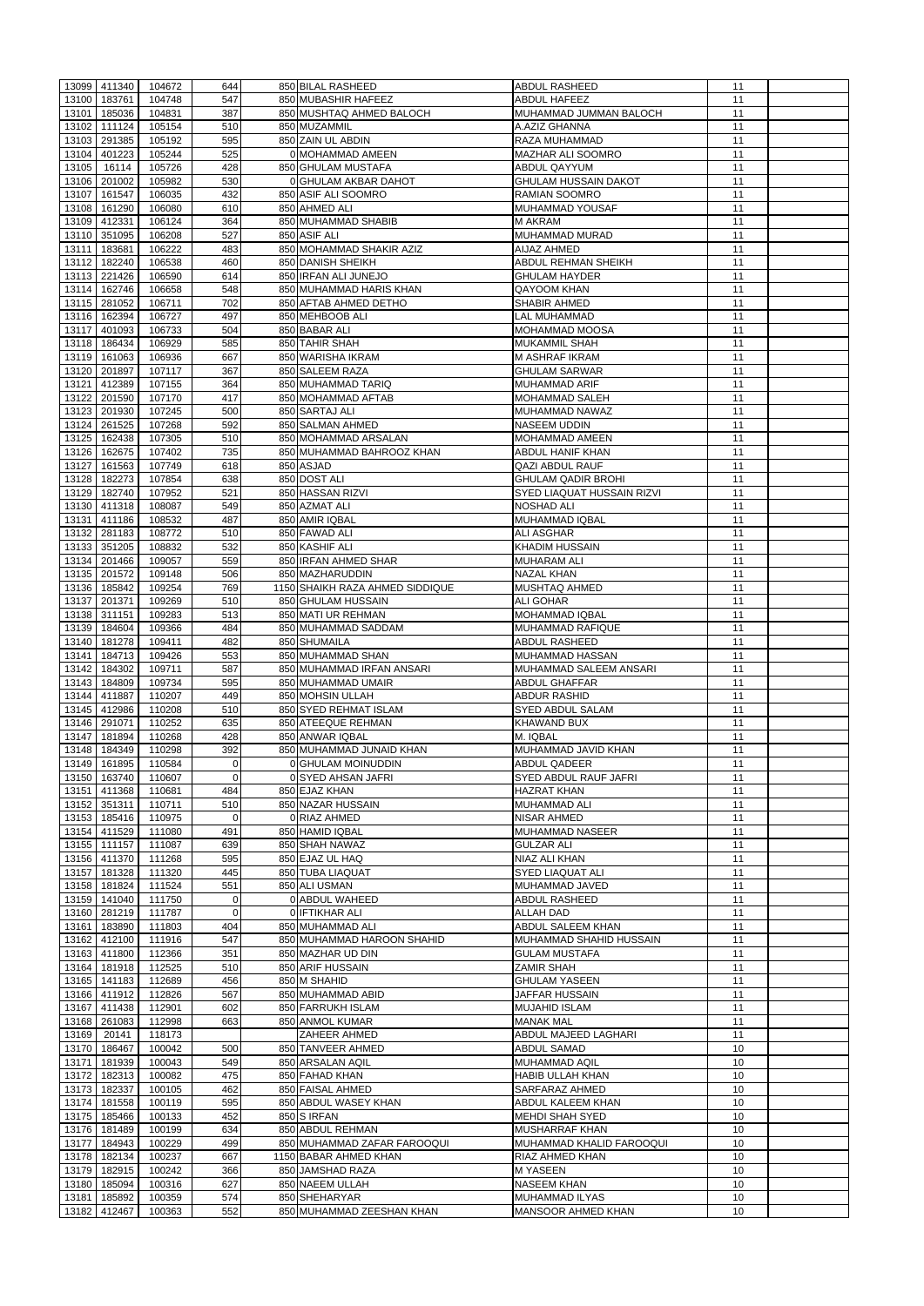|       | 13099 411340           | 104672           | 644        | 850 BILAL RASHEED                          | <b>ABDUL RASHEED</b>                               | 11       |  |
|-------|------------------------|------------------|------------|--------------------------------------------|----------------------------------------------------|----------|--|
|       |                        |                  |            |                                            |                                                    |          |  |
| 13100 | 183761                 | 104748           | 547        | 850 MUBASHIR HAFEEZ                        | ABDUL HAFEEZ                                       | 11       |  |
| 13101 | 185036                 | 104831           | 387        | 850 MUSHTAQ AHMED BALOCH                   | MUHAMMAD JUMMAN BALOCH                             | 11       |  |
| 13102 | 111124                 | 105154           | 510        | 850 MUZAMMIL                               | A.AZIZ GHANNA                                      | 11       |  |
| 13103 | 291385                 | 105192           | 595        | 850 ZAIN UL ABDIN                          | RAZA MUHAMMAD                                      | 11       |  |
| 13104 | 401223                 | 105244           | 525        | 0 MOHAMMAD AMEEN                           | <b>MAZHAR ALI SOOMRO</b>                           | 11       |  |
| 13105 |                        | 105726           | 428        | 850 GHULAM MUSTAFA                         |                                                    | 11       |  |
|       | 16114                  |                  |            |                                            | ABDUL QAYYUM                                       |          |  |
|       | 13106 201002           | 105982           | 530        | 0 GHULAM AKBAR DAHOT                       | <b>GHULAM HUSSAIN DAKOT</b>                        | 11       |  |
|       | 13107 161547           | 106035           | 432        | 850 ASIF ALI SOOMRO                        | <b>RAMIAN SOOMRO</b>                               | 11       |  |
|       | 13108 161290           | 106080           | 610        | 850 AHMED ALI                              | <b>MUHAMMAD YOUSAF</b>                             | 11       |  |
|       | 13109 412331           | 106124           | 364        | 850 MUHAMMAD SHABIB                        | <b>M AKRAM</b>                                     | 11       |  |
|       |                        |                  |            |                                            |                                                    |          |  |
| 13110 | 351095                 | 106208           | 527        | 850 ASIF ALI                               | <b>MUHAMMAD MURAD</b>                              | 11       |  |
| 13111 | 183681                 | 106222           | 483        | 850 MOHAMMAD SHAKIR AZIZ                   | <b>AIJAZ AHMED</b>                                 | 11       |  |
| 13112 | 182240                 | 106538           | 460        | 850 DANISH SHEIKH                          | <b>ABDUL REHMAN SHEIKH</b>                         | 11       |  |
|       | 13113 221426           | 106590           | 614        | 850 IRFAN ALI JUNEJO                       | <b>GHULAM HAYDER</b>                               | 11       |  |
|       | 13114 162746           | 106658           | 548        | 850 MUHAMMAD HARIS KHAN                    | <b>QAYOOM KHAN</b>                                 | 11       |  |
|       |                        |                  |            |                                            |                                                    |          |  |
| 13115 | 281052                 | 106711           | 702        | 850 AFTAB AHMED DETHO                      | SHABIR AHMED                                       | 11       |  |
|       | 13116 162394           | 106727           | 497        | 850 MEHBOOB ALI                            | <b>LAL MUHAMMAD</b>                                | 11       |  |
| 13117 | 401093                 | 106733           | 504        | 850 BABAR ALI                              | <b>MOHAMMAD MOOSA</b>                              | 11       |  |
|       | 13118 186434           | 106929           | 585        | 850 TAHIR SHAH                             | <b>MUKAMMIL SHAH</b>                               | 11       |  |
| 13119 |                        |                  | 667        | 850 WARISHA IKRAM                          |                                                    | 11       |  |
|       | 161063                 | 106936           |            |                                            | <b>M ASHRAF IKRAM</b>                              |          |  |
| 13120 | 201897                 | 107117           | 367        | 850 SALEEM RAZA                            | <b>GHULAM SARWAR</b>                               | 11       |  |
| 13121 | 412389                 | 107155           | 364        | 850 MUHAMMAD TARIQ                         | MUHAMMAD ARIF                                      | 11       |  |
|       | 13122 201590           | 107170           | 417        | 850 MOHAMMAD AFTAB                         | <b>MOHAMMAD SALEH</b>                              | 11       |  |
|       | 13123 201930           | 107245           | 500        | 850 SARTAJ ALI                             | MUHAMMAD NAWAZ                                     | 11       |  |
|       |                        |                  |            |                                            |                                                    |          |  |
| 13124 | 261525                 | 107268           | 592        | 850 SALMAN AHMED                           | <b>NASEEM UDDIN</b>                                | 11       |  |
| 13125 | 162438                 | 107305           | 510        | 850 MOHAMMAD ARSALAN                       | <b>MOHAMMAD AMEEN</b>                              | 11       |  |
|       | 13126 162675           | 107402           | 735        | 850 MUHAMMAD BAHROOZ KHAN                  | ABDUL HANIF KHAN                                   | 11       |  |
| 13127 | 161563                 | 107749           | 618        | 850 ASJAD                                  | <b>QAZI ABDUL RAUF</b>                             | 11       |  |
| 13128 | 182273                 | 107854           | 638        | 850 DOST ALI                               | <b>GHULAM QADIR BROHI</b>                          | 11       |  |
|       |                        |                  |            |                                            |                                                    |          |  |
| 13129 | 182740                 | 107952           | 521        | 850 HASSAN RIZVI                           | <b>SYED LIAQUAT HUSSAIN RIZVI</b>                  | 11       |  |
|       | 13130 411318           | 108087           | 549        | 850 AZMAT ALI                              | <b>NOSHAD ALI</b>                                  | 11       |  |
| 13131 | 411186                 | 108532           | 487        | 850 AMIR IQBAL                             | <b>MUHAMMAD IQBAL</b>                              | 11       |  |
| 13132 | 281183                 | 108772           | 510        | 850 FAWAD ALI                              | <b>ALI ASGHAR</b>                                  | 11       |  |
| 13133 | 351205                 | 108832           | 532        | 850 KASHIF ALI                             | <b>KHADIM HUSSAIN</b>                              | 11       |  |
|       |                        |                  |            |                                            |                                                    |          |  |
|       | 13134 201466           | 109057           | 559        | 850 IRFAN AHMED SHAR                       | <b>MUHARAM ALI</b>                                 | 11       |  |
|       | 13135 201572           | 109148           | 506        | 850 MAZHARUDDIN                            | <b>NAZAL KHAN</b>                                  | 11       |  |
|       | 13136 185842           | 109254           | 769        | 1150 SHAIKH RAZA AHMED SIDDIQUE            | MUSHTAQ AHMED                                      | 11       |  |
| 13137 | 201371                 | 109269           | 510        | 850 GHULAM HUSSAIN                         | <b>ALI GOHAR</b>                                   | 11       |  |
|       |                        |                  |            |                                            |                                                    |          |  |
|       | 13138 311151           | 109283           | 513        | 850 MATI UR REHMAN                         | <b>MOHAMMAD IQBAL</b>                              | 11       |  |
|       | 13139 184604           | 109366           | 484        | 850 MUHAMMAD SADDAM                        | MUHAMMAD RAFIQUE                                   | 11       |  |
|       | 13140 181278           | 109411           | 482        | 850 SHUMAILA                               | ABDUL RASHEED                                      | 11       |  |
| 13141 | 184713                 | 109426           | 553        | 850 MUHAMMAD SHAN                          | MUHAMMAD HASSAN                                    | 11       |  |
| 13142 | 184302                 | 109711           | 587        | 850 MUHAMMAD IRFAN ANSARI                  | MUHAMMAD SALEEM ANSARI                             | 11       |  |
|       |                        |                  |            |                                            |                                                    |          |  |
| 13143 | 184809                 | 109734           | 595        | 850 MUHAMMAD UMAIR                         | <b>ABDUL GHAFFAR</b>                               | 11       |  |
| 13144 | 411887                 | 110207           | 449        | 850 MOHSIN ULLAH                           | <b>ABDUR RASHID</b>                                | 11       |  |
| 13145 | 412986                 | 110208           | 510        | 850 SYED REHMAT ISLAM                      | <b>SYED ABDUL SALAM</b>                            | 11       |  |
| 13146 | 291071                 | 110252           | 635        | 850 ATEEQUE REHMAN                         | <b>KHAWAND BUX</b>                                 | 11       |  |
| 13147 | 181894                 | 110268           | 428        | 850 ANWAR IQBAL                            | M. IQBAL                                           | 11       |  |
|       |                        |                  |            |                                            |                                                    |          |  |
| 13148 | 184349                 | 110298           | 392        | 850 MUHAMMAD JUNAID KHAN                   | MUHAMMAD JAVID KHAN                                | 11       |  |
| 13149 | 161895                 | 110584           | 0          | 0 GHULAM MOINUDDIN                         | ABDUL QADEER                                       | 11       |  |
| 13150 | 163740                 | 110607           | $\Omega$   | 0 SYED AHSAN JAFRI                         | <b>SYED ABDUL RAUF JAFRI</b>                       | 11       |  |
| 13151 | 411368                 | 110681           | 484        | 850 EJAZ KHAN                              | <b>HAZRAT KHAN</b>                                 | 11       |  |
| 13152 | 351311                 | 110711           | 510        | 850 NAZAR HUSSAIN                          | <b>MUHAMMAD ALI</b>                                | 11       |  |
|       |                        |                  |            |                                            |                                                    |          |  |
| 13153 | 185416                 | 110975           | 0          | 0 RIAZ AHMED                               | <b>NISAR AHMED</b>                                 | 11       |  |
| 13154 | 411529                 | 111080           | 491        | 850 HAMID IQBAL                            | <b>MUHAMMAD NASEER</b>                             | 11       |  |
|       | 13155 111157           | 111087           | 639        | 850 SHAH NAWAZ                             | <b>GULZAR ALI</b>                                  | 11       |  |
|       | 13156 411370           | 111268           | 595        | 850 EJAZ UL HAQ                            | <b>NIAZ ALI KHAN</b>                               | 11       |  |
|       |                        |                  |            |                                            |                                                    |          |  |
|       | 13157 181328           | 111320           | 445        | 850 TUBA LIAQUAT                           | <b>SYED LIAQUAT ALI</b>                            | 11       |  |
|       | 13158 181824           | 111524           | 551        | 850 ALI USMAN                              | MUHAMMAD JAVED                                     | 11       |  |
|       | 13159 141040           | 111750           | $\Omega$   | 0 ABDUL WAHEED                             | ABDUL RASHEED                                      | 11       |  |
|       | 13160 281219           | 111787           | $\Omega$   | 0 <b>IFTIKHAR ALI</b>                      | <b>ALLAH DAD</b>                                   | 11       |  |
| 13161 | 183890                 | 111803           | 404        | 850 MUHAMMAD ALI                           | <b>ABDUL SALEEM KHAN</b>                           | 11       |  |
|       |                        |                  |            |                                            |                                                    |          |  |
| 13162 | 412100                 | 111916           | 547        | 850 MUHAMMAD HAROON SHAHID                 | MUHAMMAD SHAHID HUSSAIN                            | 11       |  |
|       | 13163 411800           | 112366           | 351        | 850 MAZHAR UD DIN                          | <b>GULAM MUSTAFA</b>                               | 11       |  |
|       | 13164 181918           | 112525           | 510        | 850 ARIF HUSSAIN                           | <b>ZAMIR SHAH</b>                                  | 11       |  |
|       | 13165 141183           | 112689           | 456        | 850 M SHAHID                               | <b>GHULAM YASEEN</b>                               | 11       |  |
| 13166 | 411912                 | 112826           | 567        | 850 MUHAMMAD ABID                          | JAFFAR HUSSAIN                                     | 11       |  |
|       |                        |                  |            |                                            |                                                    |          |  |
| 13167 | 411438                 | 112901           | 602        | 850 FARRUKH ISLAM                          | <b>MUJAHID ISLAM</b>                               | 11       |  |
| 13168 |                        |                  |            | 850 ANMOL KUMAR                            | <b>MANAK MAL</b>                                   | 11       |  |
| 13169 | 261083                 | 112998           | 663        |                                            |                                                    |          |  |
| 13170 | 20141                  | 118173           |            | ZAHEER AHMED                               | ABDUL MAJEED LAGHARI                               | 11       |  |
|       |                        |                  |            |                                            |                                                    | 10       |  |
|       | 186467                 | 100042           | 500        | 850 TANVEER AHMED                          | <b>ABDUL SAMAD</b>                                 |          |  |
|       | 13171 181939           | 100043           | 549        | 850 ARSALAN AQIL                           | MUHAMMAD AQIL                                      | 10       |  |
|       | 13172 182313           | 100082           | 475        | 850 FAHAD KHAN                             | HABIB ULLAH KHAN                                   | 10       |  |
|       | 13173 182337           | 100105           | 462        | 850 FAISAL AHMED                           | <b>SARFARAZ AHMED</b>                              | 10       |  |
|       | 13174 181558           | 100119           | 595        | 850 ABDUL WASEY KHAN                       | ABDUL KALEEM KHAN                                  | 10       |  |
|       |                        |                  |            |                                            |                                                    |          |  |
|       | 13175 185466           | 100133           | 452        | 850 S IRFAN                                | <b>MEHDI SHAH SYED</b>                             | 10       |  |
|       | 13176 181489           | 100199           | 634        | 850 ABDUL REHMAN                           | <b>MUSHARRAF KHAN</b>                              | 10       |  |
| 13177 | 184943                 | 100229           | 499        | 850 MUHAMMAD ZAFAR FAROOQUI                | MUHAMMAD KHALID FAROOQUI                           | 10       |  |
| 13178 | 182134                 | 100237           | 667        | 1150 BABAR AHMED KHAN                      | <b>RIAZ AHMED KHAN</b>                             | 10       |  |
| 13179 | 182915                 | 100242           | 366        | 850 JAMSHAD RAZA                           | <b>MYASEEN</b>                                     | 10       |  |
|       |                        |                  |            |                                            |                                                    |          |  |
| 13180 | 185094                 | 100316           | 627        | 850 NAEEM ULLAH                            | <b>NASEEM KHAN</b>                                 | 10       |  |
| 13181 | 185892<br>13182 412467 | 100359<br>100363 | 574<br>552 | 850 SHEHARYAR<br>850 MUHAMMAD ZEESHAN KHAN | <b>MUHAMMAD ILYAS</b><br><b>MANSOOR AHMED KHAN</b> | 10<br>10 |  |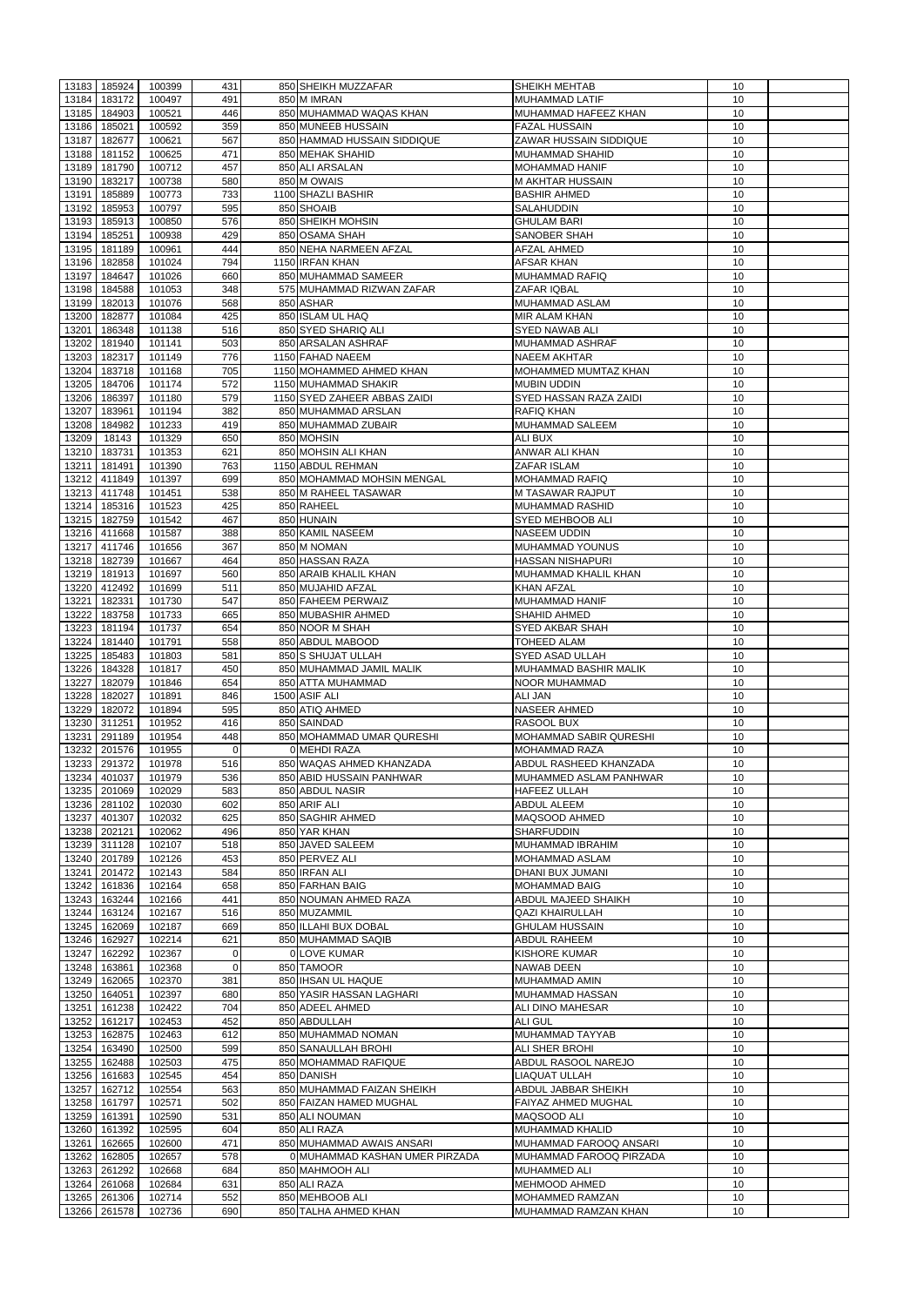|       | 13183 185924           | 100399           | 431         | 850 SHEIKH MUZZAFAR                     | <b>SHEIKH MEHTAB</b>                           | 10       |  |
|-------|------------------------|------------------|-------------|-----------------------------------------|------------------------------------------------|----------|--|
| 13184 | 183172                 | 100497           | 491         | 850 M IMRAN                             | <b>MUHAMMAD LATIF</b>                          | 10       |  |
| 13185 | 184903                 | 100521           | 446         | 850 MUHAMMAD WAQAS KHAN                 | MUHAMMAD HAFEEZ KHAN                           | 10       |  |
|       |                        |                  |             |                                         |                                                |          |  |
| 13186 | 185021                 | 100592           | 359         | 850 MUNEEB HUSSAIN                      | <b>FAZAL HUSSAIN</b>                           | 10       |  |
| 13187 | 182677                 | 100621           | 567         | 850 HAMMAD HUSSAIN SIDDIQUE             | ZAWAR HUSSAIN SIDDIQUE                         | 10       |  |
| 13188 | 181152                 | 100625           | 471         | 850 MEHAK SHAHID                        | <b>MUHAMMAD SHAHID</b>                         | 10       |  |
|       |                        |                  |             |                                         |                                                |          |  |
| 13189 | 181790                 | 100712           | 457         | 850 ALI ARSALAN                         | <b>MOHAMMAD HANIF</b>                          | 10       |  |
| 13190 | 183217                 | 100738           | 580         | 850 M OWAIS                             | <b>M AKHTAR HUSSAIN</b>                        | 10       |  |
| 13191 | 185889                 | 100773           | 733         | 1100 SHAZLI BASHIR                      | <b>BASHIR AHMED</b>                            | 10       |  |
|       |                        |                  |             |                                         |                                                |          |  |
| 13192 | 185953                 | 100797           | 595         | 850 SHOAIB                              | <b>SALAHUDDIN</b>                              | 10       |  |
| 13193 | 185913                 | 100850           | 576         | 850 SHEIKH MOHSIN                       | <b>GHULAM BARI</b>                             | 10       |  |
| 13194 | 185251                 | 100938           | 429         | 850 OSAMA SHAH                          | SANOBER SHAH                                   | 10       |  |
|       |                        |                  |             |                                         |                                                |          |  |
| 13195 | 181189                 | 100961           | 444         | 850 NEHA NARMEEN AFZAL                  | <b>AFZAL AHMED</b>                             | 10       |  |
| 13196 | 182858                 | 101024           | 794         | 1150 IRFAN KHAN                         | <b>AFSAR KHAN</b>                              | 10       |  |
| 13197 | 184647                 | 101026           | 660         | 850 MUHAMMAD SAMEER                     | <b>MUHAMMAD RAFIQ</b>                          | 10       |  |
|       |                        |                  |             |                                         |                                                |          |  |
| 13198 | 184588                 | 101053           | 348         | 575 MUHAMMAD RIZWAN ZAFAR               | <b>ZAFAR IQBAL</b>                             | 10       |  |
| 13199 | 182013                 | 101076           | 568         | 850 ASHAR                               | <b>MUHAMMAD ASLAM</b>                          | 10       |  |
| 13200 | 182877                 | 101084           | 425         | 850 ISLAM UL HAQ                        | <b>MIR ALAM KHAN</b>                           | 10       |  |
|       |                        |                  |             |                                         |                                                |          |  |
| 13201 | 186348                 | 101138           | 516         | 850 SYED SHARIQ ALI                     | <b>SYED NAWAB ALI</b>                          | 10       |  |
| 13202 | 181940                 | 101141           | 503         | 850 ARSALAN ASHRAF                      | <b>MUHAMMAD ASHRAF</b>                         | 10       |  |
| 13203 | 182317                 | 101149           | 776         | 1150 FAHAD NAEEM                        | <b>NAEEM AKHTAR</b>                            | 10       |  |
|       |                        |                  |             |                                         |                                                |          |  |
| 13204 | 183718                 | 101168           | 705         | 1150 MOHAMMED AHMED KHAN                | <b>MOHAMMED MUMTAZ KHAN</b>                    | 10       |  |
| 13205 | 184706                 | 101174           | 572         | 1150 MUHAMMAD SHAKIR                    | <b>MUBIN UDDIN</b>                             | 10       |  |
|       |                        |                  | 579         |                                         | SYED HASSAN RAZA ZAIDI                         |          |  |
| 13206 | 186397                 | 101180           |             | 1150 SYED ZAHEER ABBAS ZAIDI            |                                                | 10       |  |
| 13207 | 183961                 | 101194           | 382         | 850 MUHAMMAD ARSLAN                     | <b>RAFIQ KHAN</b>                              | 10       |  |
| 13208 | 184982                 | 101233           | 419         | 850 MUHAMMAD ZUBAIR                     | <b>MUHAMMAD SALEEM</b>                         | 10       |  |
|       |                        |                  |             |                                         |                                                |          |  |
| 13209 | 18143                  | 101329           | 650         | 850 MOHSIN                              | ALI BUX                                        | 10       |  |
| 13210 | 183731                 | 101353           | 621         | 850 MOHSIN ALI KHAN                     | ANWAR ALI KHAN                                 | 10       |  |
| 13211 | 181491                 | 101390           | 763         | 1150 ABDUL REHMAN                       | <b>ZAFAR ISLAM</b>                             | 10       |  |
|       |                        |                  |             |                                         |                                                |          |  |
| 13212 | 411849                 | 101397           | 699         | 850 MOHAMMAD MOHSIN MENGAL              | <b>MOHAMMAD RAFIQ</b>                          | 10       |  |
| 13213 | 411748                 | 101451           | 538         | 850 M RAHEEL TASAWAR                    | M TASAWAR RAJPUT                               | 10       |  |
| 13214 | 185316                 | 101523           | 425         | 850 RAHEEL                              | <b>MUHAMMAD RASHID</b>                         | 10       |  |
|       |                        |                  |             |                                         |                                                |          |  |
| 13215 | 182759                 | 101542           | 467         | 850 HUNAIN                              | <b>SYED MEHBOOB ALI</b>                        | 10       |  |
| 13216 | 411668                 | 101587           | 388         | 850 KAMIL NASEEM                        | <b>NASEEM UDDIN</b>                            | 10       |  |
| 13217 | 411746                 | 101656           | 367         | 850 M NOMAN                             | <b>MUHAMMAD YOUNUS</b>                         | 10       |  |
|       |                        |                  |             |                                         |                                                |          |  |
|       | 13218 182739           | 101667           | 464         | 850 HASSAN RAZA                         | <b>HASSAN NISHAPURI</b>                        | 10       |  |
|       | 13219   181913         | 101697           | 560         | 850 ARAIB KHALIL KHAN                   | MUHAMMAD KHALIL KHAN                           | 10       |  |
| 13220 | 412492                 | 101699           | 511         | 850 MUJAHID AFZAL                       | <b>KHAN AFZAL</b>                              | 10       |  |
|       |                        |                  |             |                                         |                                                |          |  |
| 13221 | 182331                 | 101730           | 547         | 850 FAHEEM PERWAIZ                      | <b>MUHAMMAD HANIF</b>                          | 10       |  |
| 13222 | 183758                 | 101733           | 665         | 850 MUBASHIR AHMED                      | SHAHID AHMED                                   | 10       |  |
| 13223 | 181194                 | 101737           | 654         | 850 NOOR M SHAH                         | <b>SYED AKBAR SHAH</b>                         | 10       |  |
|       |                        |                  |             |                                         |                                                |          |  |
| 13224 | 181440                 | 101791           | 558         | 850 ABDUL MABOOD                        | <b>TOHEED ALAM</b>                             | 10       |  |
| 13225 | 185483                 | 101803           | 581         | 850 S SHUJAT ULLAH                      | <b>SYED ASAD ULLAH</b>                         | 10       |  |
|       |                        |                  |             |                                         |                                                |          |  |
| 13226 | 184328                 | 101817           | 450         | 850 MUHAMMAD JAMIL MALIK                | MUHAMMAD BASHIR MALIK                          | 10       |  |
| 13227 | 182079                 | 101846           | 654         | 850 ATTA MUHAMMAD                       | <b>NOOR MUHAMMAD</b>                           | 10       |  |
| 13228 | 182027                 | 101891           | 846         | 1500 ASIF ALI                           | <b>ALI JAN</b>                                 | 10       |  |
|       |                        |                  |             |                                         |                                                |          |  |
| 13229 | 182072                 | 101894           | 595         | 850 ATIQ AHMED                          | <b>NASEER AHMED</b>                            | 10       |  |
| 13230 | 311251                 | 101952           | 416         | 850 SAINDAD                             | RASOOL BUX                                     | 10       |  |
| 13231 | 291189                 | 101954           | 448         | 850 MOHAMMAD UMAR QURESHI               | MOHAMMAD SABIR QURESHI                         | 10       |  |
|       |                        |                  | $\Omega$    |                                         |                                                | 10       |  |
| 13232 | 201576                 | 101955           |             | 0 MEHDI RAZA                            | <b>MOHAMMAD RAZA</b>                           |          |  |
| 13233 | 291372                 | 101978           |             |                                         |                                                |          |  |
| 13234 |                        |                  | 516         | 850 WAQAS AHMED KHANZADA                | ABDUL RASHEED KHANZADA                         | 10       |  |
|       |                        |                  |             |                                         |                                                |          |  |
|       | 401037                 | 101979           | 536         | 850 ABID HUSSAIN PANHWAR                | MUHAMMED ASLAM PANHWAR                         | 10       |  |
| 13235 | 201069                 | 102029           | 583         | 850 ABDUL NASIR                         | <b>HAFEEZ ULLAH</b>                            | 10       |  |
| 13236 | 281102                 | 102030           | 602         | 850 ARIF ALI                            | ABDUL ALEEM                                    | 10       |  |
|       |                        |                  |             |                                         |                                                |          |  |
| 13237 | 401307                 | 102032           | 625         | 850 SAGHIR AHMED                        | MAQSOOD AHMED                                  | 10       |  |
| 13238 | 202121                 | 102062           | 496         | 850 YAR KHAN                            | <b>SHARFUDDIN</b>                              | 10       |  |
| 13239 | 311128                 | 102107           | 518         | 850 JAVED SALEEM                        | MUHAMMAD IBRAHIM                               | 10       |  |
|       |                        |                  |             |                                         |                                                |          |  |
| 13240 | 201789                 | 102126           | 453         | 850 PERVEZ ALI                          | <b>MOHAMMAD ASLAM</b>                          | 10       |  |
| 13241 | 201472                 | 102143           | 584         | 850 IRFAN ALI                           | DHANI BUX JUMANI                               | 10       |  |
|       | 13242 161836           | 102164           | 658         | 850 FARHAN BAIG                         | <b>MOHAMMAD BAIG</b>                           | 10       |  |
|       |                        |                  |             |                                         |                                                |          |  |
|       | 13243 163244           | 102166           | 441         | 850 NOUMAN AHMED RAZA                   | ABDUL MAJEED SHAIKH                            | 10       |  |
| 13244 | 163124                 | 102167           | 516         | 850 MUZAMMIL                            | <b>QAZI KHAIRULLAH</b>                         | 10       |  |
| 13245 | 162069                 | 102187           | 669         | 850 ILLAHI BUX DOBAL                    | <b>GHULAM HUSSAIN</b>                          | 10       |  |
|       |                        |                  |             |                                         |                                                |          |  |
| 13246 | 162927                 | 102214           | 621         | 850 MUHAMMAD SAQIB                      | <b>ABDUL RAHEEM</b>                            | 10       |  |
| 13247 | 162292                 | 102367           | $\mathbf 0$ | 0 LOVE KUMAR                            | <b>KISHORE KUMAR</b>                           | 10       |  |
| 13248 | 163861                 | 102368           | $\Omega$    | 850 TAMOOR                              | <b>NAWAB DEEN</b>                              | 10       |  |
|       |                        |                  |             |                                         |                                                |          |  |
| 13249 | 162065                 | 102370           | 381         | 850 IHSAN UL HAQUE                      | <b>MUHAMMAD AMIN</b>                           | 10       |  |
| 13250 | 164051                 | 102397           | 680         | 850 YASIR HASSAN LAGHARI                | <b>MUHAMMAD HASSAN</b>                         | 10       |  |
| 13251 | 161238                 | 102422           | 704         | 850 ADEEL AHMED                         | ALI DINO MAHESAR                               | 10       |  |
|       |                        |                  |             |                                         |                                                |          |  |
| 13252 | 161217                 | 102453           | 452         | 850 ABDULLAH                            | <b>ALI GUL</b>                                 | 10       |  |
| 13253 | 162875                 | 102463           | 612         | 850 MUHAMMAD NOMAN                      | MUHAMMAD TAYYAB                                | 10       |  |
| 13254 | 163490                 | 102500           | 599         | 850 SANAULLAH BROHI                     | ALI SHER BROHI                                 | 10       |  |
|       |                        |                  |             |                                         |                                                |          |  |
|       | 13255 162488           | 102503           | 475         | 850 MOHAMMAD RAFIQUE                    | ABDUL RASOOL NAREJO                            | 10       |  |
| 13256 | 161683                 | 102545           | 454         | 850 DANISH                              | LIAQUAT ULLAH                                  | 10       |  |
| 13257 | 162712                 | 102554           | 563         | 850 MUHAMMAD FAIZAN SHEIKH              | ABDUL JABBAR SHEIKH                            | 10       |  |
|       |                        |                  |             |                                         |                                                |          |  |
|       | 13258 161797           | 102571           | 502         | 850 FAIZAN HAMED MUGHAL                 | FAIYAZ AHMED MUGHAL                            | 10       |  |
|       | 13259 161391           | 102590           | 531         | 850 ALI NOUMAN                          | MAQSOOD ALI                                    | 10       |  |
| 13260 | 161392                 | 102595           | 604         | 850 ALI RAZA                            | <b>MUHAMMAD KHALID</b>                         | 10       |  |
|       |                        |                  |             |                                         |                                                |          |  |
| 13261 | 162665                 | 102600           | 471         | 850 MUHAMMAD AWAIS ANSARI               | MUHAMMAD FAROOQ ANSARI                         | 10       |  |
| 13262 | 162805                 | 102657           | 578         | OIMUHAMMAD KASHAN UMER PIRZADA          | MUHAMMAD FAROOQ PIRZADA                        | 10       |  |
| 13263 | 261292                 | 102668           | 684         | 850 MAHMOOH ALI                         | MUHAMMED ALI                                   | 10       |  |
|       |                        |                  |             |                                         |                                                |          |  |
| 13264 | 261068                 | 102684           | 631         | 850 ALI RAZA                            | <b>MEHMOOD AHMED</b>                           | 10       |  |
| 13265 | 261306<br>13266 261578 | 102714<br>102736 | 552<br>690  | 850 MEHBOOB ALI<br>850 TALHA AHMED KHAN | <b>MOHAMMED RAMZAN</b><br>MUHAMMAD RAMZAN KHAN | 10<br>10 |  |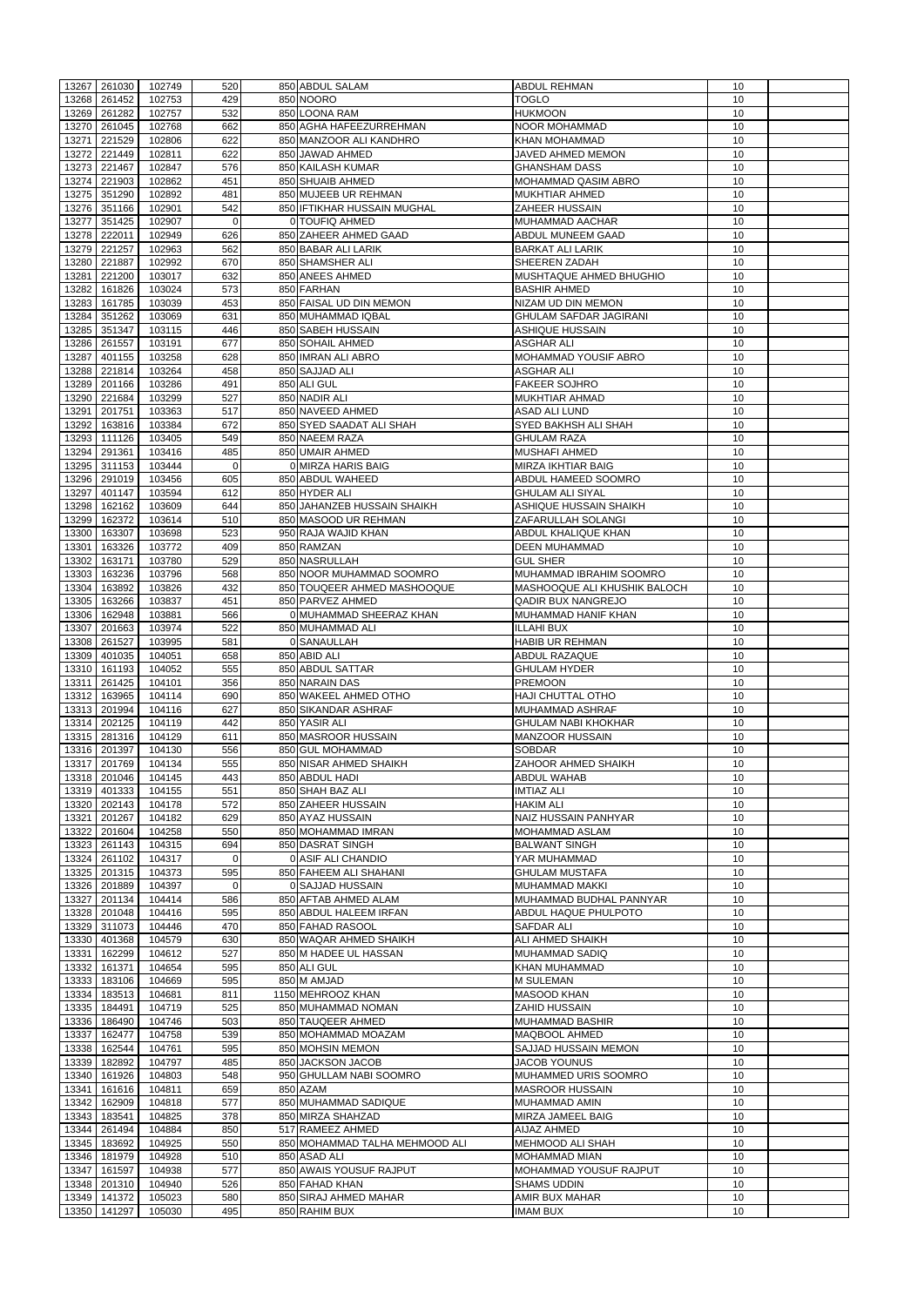|       | 261030           | 102749           | 520         | 850 ABDUL SALAM                | <b>ABDUL REHMAN</b>           | 10 |  |
|-------|------------------|------------------|-------------|--------------------------------|-------------------------------|----|--|
| 13267 |                  |                  | 429         |                                |                               | 10 |  |
| 13268 | 261452           | 102753           |             | 850 NOORO                      | <b>TOGLO</b>                  |    |  |
| 13269 | 261282           | 102757           | 532         | 850 LOONA RAM                  | <b>HUKMOON</b>                | 10 |  |
| 13270 | 261045           | 102768           | 662         | 850 AGHA HAFEEZURREHMAN        | <b>NOOR MOHAMMAD</b>          | 10 |  |
| 13271 | 221529           | 102806           | 622         | 850 MANZOOR ALI KANDHRO        | <b>KHAN MOHAMMAD</b>          | 10 |  |
| 13272 | 221449           | 102811           | 622         | 850 JAWAD AHMED                | <b>JAVED AHMED MEMON</b>      | 10 |  |
| 13273 | 221467           | 102847           | 576         | 850 KAILASH KUMAR              | <b>GHANSHAM DASS</b>          | 10 |  |
|       |                  |                  |             |                                |                               |    |  |
| 13274 | 221903           | 102862           | 451         | 850 SHUAIB AHMED               | <b>MOHAMMAD QASIM ABRO</b>    | 10 |  |
| 13275 | 351290           | 102892           | 481         | 850 MUJEEB UR REHMAN           | <b>MUKHTIAR AHMED</b>         | 10 |  |
| 13276 | 351166           | 102901           | 542         | 850 IFTIKHAR HUSSAIN MUGHAL    | <b>ZAHEER HUSSAIN</b>         | 10 |  |
| 13277 | 351425           | 102907           | $\mathbf 0$ | 0 TOUFIQ AHMED                 | MUHAMMAD AACHAR               | 10 |  |
|       |                  |                  |             |                                |                               |    |  |
| 13278 | 222011           | 102949           | 626         | 850 ZAHEER AHMED GAAD          | ABDUL MUNEEM GAAD             | 10 |  |
| 13279 | 221257           | 102963           | 562         | 850 BABAR ALI LARIK            | <b>BARKAT ALI LARIK</b>       | 10 |  |
| 13280 | 221887           | 102992           | 670         | 850 SHAMSHER ALI               | <b>SHEEREN ZADAH</b>          | 10 |  |
| 13281 | 221200           | 103017           | 632         | 850 ANEES AHMED                | MUSHTAQUE AHMED BHUGHIO       | 10 |  |
| 13282 | 161826           | 103024           | 573         | 850 FARHAN                     | <b>BASHIR AHMED</b>           | 10 |  |
|       | 161785           |                  | 453         | 850 FAISAL UD DIN MEMON        |                               | 10 |  |
| 13283 |                  | 103039           |             |                                | NIZAM UD DIN MEMON            |    |  |
| 13284 | 351262           | 103069           | 631         | 850 MUHAMMAD IQBAL             | <b>GHULAM SAFDAR JAGIRANI</b> | 10 |  |
| 13285 | 351347           | 103115           | 446         | 850 SABEH HUSSAIN              | <b>ASHIQUE HUSSAIN</b>        | 10 |  |
| 13286 | 261557           | 103191           | 677         | 850 SOHAIL AHMED               | <b>ASGHAR ALI</b>             | 10 |  |
| 13287 | 401155           | 103258           | 628         | 850 IMRAN ALI ABRO             | <b>MOHAMMAD YOUSIF ABRO</b>   | 10 |  |
| 13288 | 221814           | 103264           | 458         | 850 SAJJAD ALI                 | <b>ASGHAR ALI</b>             | 10 |  |
|       |                  |                  |             |                                |                               |    |  |
| 13289 | 201166           | 103286           | 491         | 850 ALI GUL                    | <b>FAKEER SOJHRO</b>          | 10 |  |
| 13290 | 221684           | 103299           | 527         | 850 NADIR ALI                  | <b>MUKHTIAR AHMAD</b>         | 10 |  |
| 13291 | 201751           | 103363           | 517         | 850 NAVEED AHMED               | ASAD ALI LUND                 | 10 |  |
| 13292 | 163816           | 103384           | 672         | 850 SYED SAADAT ALI SHAH       | SYED BAKHSH ALI SHAH          | 10 |  |
|       |                  |                  |             |                                |                               |    |  |
| 13293 | 111126           | 103405           | 549         | 850 NAEEM RAZA                 | <b>GHULAM RAZA</b>            | 10 |  |
| 13294 | 291361           | 103416           | 485         | 850 UMAIR AHMED                | <b>MUSHAFI AHMED</b>          | 10 |  |
| 13295 | 311153           | 103444           | $\Omega$    | 0 MIRZA HARIS BAIG             | <b>MIRZA IKHTIAR BAIG</b>     | 10 |  |
| 13296 | 291019           | 103456           | 605         | 850 ABDUL WAHEED               | <b>ABDUL HAMEED SOOMRO</b>    | 10 |  |
| 13297 | 401147           | 103594           | 612         | 850 HYDER ALI                  | <b>GHULAM ALI SIYAL</b>       | 10 |  |
|       |                  |                  |             |                                |                               |    |  |
| 13298 | 162162           | 103609           | 644         | 850 JAHANZEB HUSSAIN SHAIKH    | <b>ASHIQUE HUSSAIN SHAIKH</b> | 10 |  |
| 13299 | 162372           | 103614           | 510         | 850 MASOOD UR REHMAN           | ZAFARULLAH SOLANGI            | 10 |  |
| 13300 | 163307           | 103698           | 523         | 950 RAJA WAJID KHAN            | ABDUL KHALIQUE KHAN           | 10 |  |
| 13301 | 163326           | 103772           | 409         | 850 RAMZAN                     | <b>DEEN MUHAMMAD</b>          | 10 |  |
|       | 13302 163171     | 103780           | 529         | 850 NASRULLAH                  | <b>GUL SHER</b>               | 10 |  |
|       |                  |                  |             |                                |                               |    |  |
|       | 13303 163236     | 103796           | 568         | 850 NOOR MUHAMMAD SOOMRO       | MUHAMMAD IBRAHIM SOOMRO       | 10 |  |
| 13304 | 163892           | 103826           | 432         | 850 TOUQEER AHMED MASHOOQUE    | MASHOOQUE ALI KHUSHIK BALOCH  | 10 |  |
| 13305 | 163266           | 103837           | 451         | 850 PARVEZ AHMED               | <b>QADIR BUX NANGREJO</b>     | 10 |  |
| 13306 | 162948           | 103881           | 566         | 0 MUHAMMAD SHEERAZ KHAN        | MUHAMMAD HANIF KHAN           | 10 |  |
|       |                  |                  |             |                                |                               |    |  |
| 13307 | 201663           | 103974           | 522         | 850 MUHAMMAD ALI               | <b>ILLAHI BUX</b>             | 10 |  |
| 13308 | 261527           | 103995           | 581         | 0 SANAULLAH                    | HABIB UR REHMAN               | 10 |  |
| 13309 | 401035           | 104051           | 658         | 850 ABID ALI                   | <b>ABDUL RAZAQUE</b>          | 10 |  |
| 13310 | 161193           | 104052           | 555         | 850 ABDUL SATTAR               | <b>GHULAM HYDER</b>           | 10 |  |
|       |                  |                  |             |                                |                               |    |  |
|       |                  |                  |             |                                |                               |    |  |
| 13311 | 261425           | 104101           | 356         | 850 NARAIN DAS                 | <b>PREMOON</b>                | 10 |  |
| 13312 | 163965           | 104114           | 690         | 850 WAKEEL AHMED OTHO          | <b>HAJI CHUTTAL OTHO</b>      | 10 |  |
| 13313 | 201994           | 104116           | 627         | 850 SIKANDAR ASHRAF            | <b>MUHAMMAD ASHRAF</b>        | 10 |  |
| 13314 | 202125           | 104119           | 442         | 850 YASIR ALI                  | <b>GHULAM NABI KHOKHAR</b>    | 10 |  |
|       |                  |                  |             |                                |                               | 10 |  |
| 13315 | 281316           | 104129           | 611         | 850 MASROOR HUSSAIN            | <b>MANZOOR HUSSAIN</b>        |    |  |
| 13316 | 201397           | 104130           | 556         | 850 GUL MOHAMMAD               | <b>SOBDAR</b>                 | 10 |  |
| 13317 | 201769           | 104134           | 555         | 850 NISAR AHMED SHAIKH         | ZAHOOR AHMED SHAIKH           | 10 |  |
| 13318 | 201046           | 104145           | 443         | 850 ABDUL HADI                 | <b>ABDUL WAHAB</b>            | 10 |  |
| 13319 | 401333           | 104155           | 551         | 850 SHAH BAZ ALI               | <b>IMTIAZ ALI</b>             | 10 |  |
| 13320 | 202143           | 104178           | 572         | 850 ZAHEER HUSSAIN             | <b>HAKIM ALI</b>              | 10 |  |
|       |                  |                  |             |                                |                               |    |  |
| 13321 | 201267           | 104182           | 629         | 850 AYAZ HUSSAIN               | <b>NAIZ HUSSAIN PANHYAR</b>   | 10 |  |
| 13322 | 201604           | 104258           | 550         | 850 MOHAMMAD IMRAN             | <b>MOHAMMAD ASLAM</b>         | 10 |  |
| 13323 | 261143           | 104315           | 694         | 850 DASRAT SINGH               | <b>BALWANT SINGH</b>          | 10 |  |
| 13324 | 261102           | 104317           | $\mathbf 0$ | 0 ASIF ALI CHANDIO             | YAR MUHAMMAD                  | 10 |  |
|       | 201315           | 104373           |             |                                | <b>GHULAM MUSTAFA</b>         | 10 |  |
| 13325 |                  |                  | 595         | 850 FAHEEM ALI SHAHANI         |                               |    |  |
| 13326 | 201889           | 104397           | $\Omega$    | 0 SAJJAD HUSSAIN               | <b>MUHAMMAD MAKKI</b>         | 10 |  |
| 13327 | 201134           | 104414           | 586         | 850 AFTAB AHMED ALAM           | MUHAMMAD BUDHAL PANNYAR       | 10 |  |
| 13328 | 201048           | 104416           | 595         | 850 ABDUL HALEEM IRFAN         | ABDUL HAQUE PHULPOTO          | 10 |  |
| 13329 | 311073           | 104446           | 470         | 850 FAHAD RASOOL               | <b>SAFDAR ALI</b>             | 10 |  |
| 13330 | 401368           | 104579           | 630         | 850 WAQAR AHMED SHAIKH         | <b>ALI AHMED SHAIKH</b>       | 10 |  |
|       |                  |                  |             |                                |                               |    |  |
| 13331 | 162299           | 104612           | 527         | 850 M HADEE UL HASSAN          | <b>MUHAMMAD SADIQ</b>         | 10 |  |
| 13332 | 161371           | 104654           | 595         | 850 ALI GUL                    | <b>KHAN MUHAMMAD</b>          | 10 |  |
| 13333 | 183106           | 104669           | 595         | 850 M AMJAD                    | <b>M SULEMAN</b>              | 10 |  |
| 13334 | 183513           | 104681           | 811         | 1150 MEHROOZ KHAN              | <b>MASOOD KHAN</b>            | 10 |  |
|       |                  |                  |             |                                |                               | 10 |  |
| 13335 | 184491           | 104719           | 525         | 850 MUHAMMAD NOMAN             | <b>ZAHID HUSSAIN</b>          |    |  |
| 13336 | 186490           | 104746           | 503         | 850 TAUQEER AHMED              | <b>MUHAMMAD BASHIR</b>        | 10 |  |
| 13337 | 162477           | 104758           | 539         | 850 MOHAMMAD MOAZAM            | <b>MAQBOOL AHMED</b>          | 10 |  |
| 13338 | 162544           | 104761           | 595         | 850 MOHSIN MEMON               | <b>SAJJAD HUSSAIN MEMON</b>   | 10 |  |
|       | 13339 182892     | 104797           | 485         | 850 JACKSON JACOB              | <b>JACOB YOUNUS</b>           | 10 |  |
|       |                  |                  |             |                                |                               |    |  |
| 13340 | 161926           | 104803           | 548         | 950 GHULLAM NABI SOOMRO        | MUHAMMED URIS SOOMRO          | 10 |  |
| 13341 | 161616           | 104811           | 659         | 850 AZAM                       | <b>MASROOR HUSSAIN</b>        | 10 |  |
|       | 13342 162909     | 104818           | 577         | 850 MUHAMMAD SADIQUE           | <b>MUHAMMAD AMIN</b>          | 10 |  |
| 13343 | 183541           | 104825           | 378         | 850 MIRZA SHAHZAD              | MIRZA JAMEEL BAIG             | 10 |  |
| 13344 | 261494           | 104884           | 850         | 517 RAMEEZ AHMED               | AIJAZ AHMED                   | 10 |  |
|       |                  |                  |             |                                |                               |    |  |
| 13345 | 183692           | 104925           | 550         | 850 MOHAMMAD TALHA MEHMOOD ALI | <b>MEHMOOD ALI SHAH</b>       | 10 |  |
| 13346 | 181979           | 104928           | 510         | 850 ASAD ALI                   | <b>MOHAMMAD MIAN</b>          | 10 |  |
| 13347 | 161597           | 104938           | 577         | 850 AWAIS YOUSUF RAJPUT        | <b>MOHAMMAD YOUSUF RAJPUT</b> | 10 |  |
| 13348 | 201310           | 104940           | 526         | 850 FAHAD KHAN                 | <b>SHAMS UDDIN</b>            | 10 |  |
| 13349 |                  |                  |             | 850 SIRAJ AHMED MAHAR          | <b>AMIR BUX MAHAR</b>         | 10 |  |
| 13350 | 141372<br>141297 | 105023<br>105030 | 580<br>495  | 850 RAHIM BUX                  | <b>IMAM BUX</b>               | 10 |  |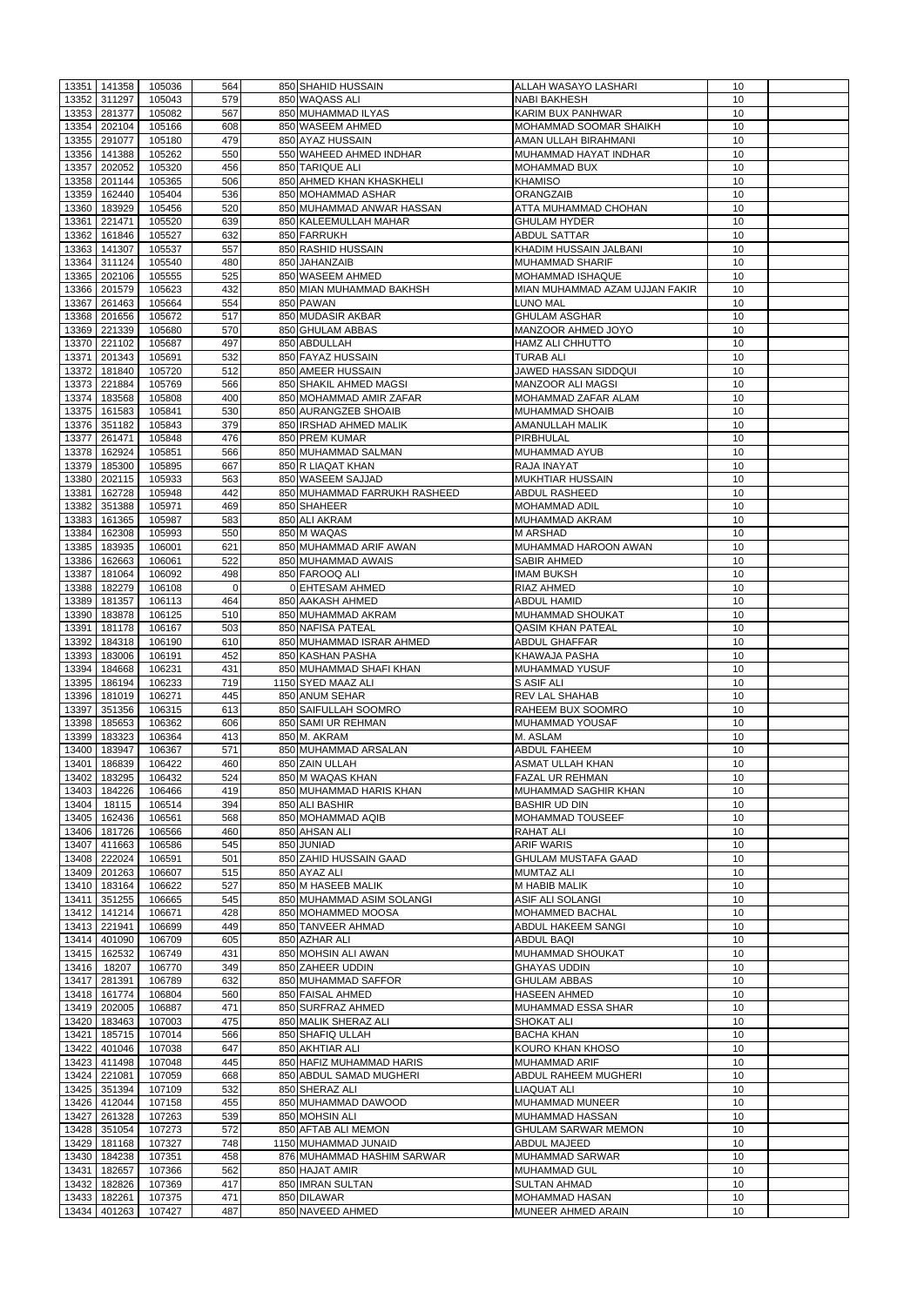| 13351 | 141358       | 105036 | 564      | 850 SHAHID HUSSAIN           | <b>ALLAH WASAYO LASHARI</b>    | 10 |  |
|-------|--------------|--------|----------|------------------------------|--------------------------------|----|--|
|       |              |        |          |                              |                                |    |  |
| 13352 | 311297       | 105043 | 579      | 850 WAQASS ALI               | <b>NABI BAKHESH</b>            | 10 |  |
| 13353 | 281377       | 105082 | 567      | 850 MUHAMMAD ILYAS           | KARIM BUX PANHWAR              | 10 |  |
| 13354 | 202104       | 105166 | 608      | 850 WASEEM AHMED             | <b>MOHAMMAD SOOMAR SHAIKH</b>  | 10 |  |
|       |              |        |          |                              |                                |    |  |
| 13355 | 291077       | 105180 | 479      | 850 AYAZ HUSSAIN             | AMAN ULLAH BIRAHMANI           | 10 |  |
| 13356 | 141388       | 105262 | 550      | 550 WAHEED AHMED INDHAR      | MUHAMMAD HAYAT INDHAR          | 10 |  |
| 13357 | 202052       | 105320 | 456      | 850 TARIQUE ALI              | <b>MOHAMMAD BUX</b>            | 10 |  |
| 13358 | 201144       | 105365 | 506      | 850 AHMED KHAN KHASKHELI     | <b>KHAMISO</b>                 | 10 |  |
|       |              |        |          |                              |                                |    |  |
| 13359 | 162440       | 105404 | 536      | 850 MOHAMMAD ASHAR           | <b>ORANGZAIB</b>               | 10 |  |
| 13360 | 183929       | 105456 | 520      | 850 MUHAMMAD ANWAR HASSAN    | ATTA MUHAMMAD CHOHAN           | 10 |  |
| 13361 | 221471       | 105520 | 639      | 850 KALEEMULLAH MAHAR        | <b>GHULAM HYDER</b>            | 10 |  |
|       |              |        |          |                              |                                |    |  |
| 13362 | 161846       | 105527 | 632      | 850 FARRUKH                  | <b>ABDUL SATTAR</b>            | 10 |  |
| 13363 | 141307       | 105537 | 557      | 850 RASHID HUSSAIN           | KHADIM HUSSAIN JALBANI         | 10 |  |
| 13364 | 311124       | 105540 | 480      | 850 JAHANZAIB                | <b>MUHAMMAD SHARIF</b>         | 10 |  |
|       |              |        | 525      | 850 WASEEM AHMED             |                                |    |  |
| 13365 | 202106       | 105555 |          |                              | <b>MOHAMMAD ISHAQUE</b>        | 10 |  |
| 13366 | 201579       | 105623 | 432      | 850 MIAN MUHAMMAD BAKHSH     | MIAN MUHAMMAD AZAM UJJAN FAKIR | 10 |  |
| 13367 | 261463       | 105664 | 554      | 850 PAWAN                    | <b>LUNO MAL</b>                | 10 |  |
| 13368 | 201656       | 105672 | 517      | 850 MUDASIR AKBAR            | <b>GHULAM ASGHAR</b>           | 10 |  |
|       |              |        |          |                              |                                |    |  |
| 13369 | 221339       | 105680 | 570      | 850 GHULAM ABBAS             | MANZOOR AHMED JOYO             | 10 |  |
| 13370 | 221102       | 105687 | 497      | 850 ABDULLAH                 | <b>HAMZ ALI CHHUTTO</b>        | 10 |  |
| 13371 | 201343       | 105691 | 532      | 850 FAYAZ HUSSAIN            | <b>TURAB ALI</b>               | 10 |  |
|       |              |        |          |                              |                                |    |  |
| 13372 | 181840       | 105720 | 512      | 850 AMEER HUSSAIN            | JAWED HASSAN SIDDQUI           | 10 |  |
| 13373 | 221884       | 105769 | 566      | 850 SHAKIL AHMED MAGSI       | <b>MANZOOR ALI MAGSI</b>       | 10 |  |
| 13374 | 183568       | 105808 | 400      | 850 MOHAMMAD AMIR ZAFAR      | MOHAMMAD ZAFAR ALAM            | 10 |  |
| 13375 | 161583       | 105841 | 530      | 850 AURANGZEB SHOAIB         | <b>MUHAMMAD SHOAIB</b>         | 10 |  |
|       |              |        |          |                              |                                |    |  |
| 13376 | 351182       | 105843 | 379      | 850 IRSHAD AHMED MALIK       | <b>AMANULLAH MALIK</b>         | 10 |  |
| 13377 | 261471       | 105848 | 476      | 850 PREM KUMAR               | PIRBHULAL                      | 10 |  |
| 13378 | 162924       | 105851 | 566      | 850 MUHAMMAD SALMAN          | <b>MUHAMMAD AYUB</b>           | 10 |  |
|       |              |        |          |                              |                                |    |  |
| 13379 | 185300       | 105895 | 667      | 850 R LIAQAT KHAN            | RAJA INAYAT                    | 10 |  |
| 13380 | 202115       | 105933 | 563      | 850 WASEEM SAJJAD            | <b>MUKHTIAR HUSSAIN</b>        | 10 |  |
| 13381 | 162728       | 105948 | 442      | 850 MUHAMMAD FARRUKH RASHEED | <b>ABDUL RASHEED</b>           | 10 |  |
|       |              |        |          |                              |                                |    |  |
| 13382 | 351388       | 105971 | 469      | 850 SHAHEER                  | <b>MOHAMMAD ADIL</b>           | 10 |  |
| 13383 | 161365       | 105987 | 583      | 850 ALI AKRAM                | <b>MUHAMMAD AKRAM</b>          | 10 |  |
| 13384 | 162308       | 105993 | 550      | 850 M WAQAS                  | <b>MARSHAD</b>                 | 10 |  |
|       |              |        |          |                              |                                |    |  |
| 13385 | 183935       | 106001 | 621      | 850 MUHAMMAD ARIF AWAN       | MUHAMMAD HAROON AWAN           | 10 |  |
| 13386 | 162663       | 106061 | 522      | 850 MUHAMMAD AWAIS           | <b>SABIR AHMED</b>             | 10 |  |
|       | 13387 181064 | 106092 | 498      | 850 FAROOQ ALI               | <b>IMAM BUKSH</b>              | 10 |  |
| 13388 | 182279       |        | $\Omega$ | 0 EHTESAM AHMED              | RIAZ AHMED                     | 10 |  |
|       |              | 106108 |          |                              |                                |    |  |
| 13389 | 181357       | 106113 | 464      | 850 AAKASH AHMED             | <b>ABDUL HAMID</b>             | 10 |  |
| 13390 | 183878       | 106125 | 510      | 850 MUHAMMAD AKRAM           | MUHAMMAD SHOUKAT               | 10 |  |
|       |              |        |          |                              |                                |    |  |
| 13391 | 181178       | 106167 | 503      | 850 NAFISA PATEAL            | <b>QASIM KHAN PATEAL</b>       | 10 |  |
| 13392 | 184318       | 106190 | 610      | 850 MUHAMMAD ISRAR AHMED     | ABDUL GHAFFAR                  | 10 |  |
| 13393 | 183006       | 106191 | 452      | 850 KASHAN PASHA             | <b>KHAWAJA PASHA</b>           | 10 |  |
| 13394 | 184668       | 106231 | 431      | 850 MUHAMMAD SHAFI KHAN      | MUHAMMAD YUSUF                 | 10 |  |
|       |              |        |          |                              |                                |    |  |
| 13395 | 186194       | 106233 | 719      | 1150 SYED MAAZ ALI           | S ASIF ALI                     | 10 |  |
| 13396 | 181019       | 106271 | 445      | 850 ANUM SEHAR               | <b>REV LAL SHAHAB</b>          | 10 |  |
| 13397 | 351356       | 106315 | 613      | 850 SAIFULLAH SOOMRO         | RAHEEM BUX SOOMRO              | 10 |  |
|       |              |        |          |                              |                                |    |  |
| 13398 | 185653       | 106362 | 606      | 850 SAMI UR REHMAN           | MUHAMMAD YOUSAF                | 10 |  |
| 13399 | 183323       | 106364 | 413      | 850 M. AKRAM                 | M. ASLAM                       | 10 |  |
| 13400 | 183947       | 106367 | 571      | 850 MUHAMMAD ARSALAN         | <b>ABDUL FAHEEM</b>            | 10 |  |
|       |              |        |          |                              |                                |    |  |
| 13401 | 186839       | 106422 | 460      | 850 ZAIN ULLAH               | <b>ASMAT ULLAH KHAN</b>        | 10 |  |
| 13402 | 183295       | 106432 | 524      | 850 M WAQAS KHAN             | FAZAL UR REHMAN                | 10 |  |
| 13403 | 184226       | 106466 | 419      | 850 MUHAMMAD HARIS KHAN      | MUHAMMAD SAGHIR KHAN           | 10 |  |
| 13404 | 18115        | 106514 | 394      | 850 ALI BASHIR               | <b>BASHIR UD DIN</b>           | 10 |  |
|       |              |        |          |                              |                                |    |  |
| 13405 | 162436       | 106561 | 568      | 850 MOHAMMAD AQIB            | <b>MOHAMMAD TOUSEEF</b>        | 10 |  |
| 13406 | 181726       | 106566 | 460      | 850 AHSAN ALI                | <b>RAHAT ALI</b>               | 10 |  |
| 13407 | 411663       | 106586 | 545      | 850 JUNIAD                   | <b>ARIF WARIS</b>              | 10 |  |
|       |              |        |          |                              |                                |    |  |
| 13408 | 222024       | 106591 | 501      | 850 ZAHID HUSSAIN GAAD       | <b>GHULAM MUSTAFA GAAD</b>     | 10 |  |
| 13409 | 201263       | 106607 | 515      | 850 AYAZ ALI                 | <b>MUMTAZ ALI</b>              | 10 |  |
| 13410 | 183164       | 106622 | 527      | 850 M HASEEB MALIK           | <b>M HABIB MALIK</b>           | 10 |  |
| 13411 | 351255       | 106665 | 545      | 850 MUHAMMAD ASIM SOLANGI    | <b>ASIF ALI SOLANGI</b>        | 10 |  |
|       |              |        |          |                              |                                |    |  |
| 13412 | 141214       | 106671 | 428      | 850 MOHAMMED MOOSA           | <b>MOHAMMED BACHAL</b>         | 10 |  |
|       | 13413 221941 | 106699 | 449      | 850 TANVEER AHMAD            | <b>ABDUL HAKEEM SANGI</b>      | 10 |  |
| 13414 | 401090       | 106709 | 605      | 850 AZHAR ALI                | <b>ABDUL BAQI</b>              | 10 |  |
|       |              |        |          |                              |                                |    |  |
| 13415 | 162532       | 106749 | 431      | 850 MOHSIN ALI AWAN          | MUHAMMAD SHOUKAT               | 10 |  |
| 13416 | 18207        | 106770 | 349      | 850 ZAHEER UDDIN             | <b>GHAYAS UDDIN</b>            | 10 |  |
| 13417 | 281391       | 106789 | 632      | 850 MUHAMMAD SAFFOR          | <b>GHULAM ABBAS</b>            | 10 |  |
| 13418 | 161774       | 106804 | 560      | 850 FAISAL AHMED             | <b>HASEEN AHMED</b>            | 10 |  |
|       |              |        |          |                              |                                |    |  |
| 13419 | 202005       | 106887 | 471      | 850 SURFRAZ AHMED            | <b>MUHAMMAD ESSA SHAR</b>      | 10 |  |
| 13420 | 183463       | 107003 | 475      | 850 MALIK SHERAZ ALI         | <b>SHOKAT ALI</b>              | 10 |  |
| 13421 | 185715       | 107014 | 566      | 850 SHAFIQ ULLAH             | <b>BACHA KHAN</b>              | 10 |  |
|       |              |        |          |                              |                                |    |  |
| 13422 | 401046       | 107038 | 647      | 850 AKHTIAR ALI              | KOURO KHAN KHOSO               | 10 |  |
|       | 13423 411498 | 107048 | 445      | 850 HAFIZ MUHAMMAD HARIS     | MUHAMMAD ARIF                  | 10 |  |
| 13424 | 221081       | 107059 | 668      | 850 ABDUL SAMAD MUGHERI      | <b>ABDUL RAHEEM MUGHERI</b>    | 10 |  |
|       |              |        |          |                              |                                |    |  |
|       | 13425 351394 | 107109 | 532      | 850 SHERAZ ALI               | LIAQUAT ALI                    | 10 |  |
|       | 13426 412044 | 107158 | 455      | 850 MUHAMMAD DAWOOD          | <b>MUHAMMAD MUNEER</b>         | 10 |  |
| 13427 | 261328       | 107263 | 539      | 850 MOHSIN ALI               | MUHAMMAD HASSAN                | 10 |  |
| 13428 | 351054       | 107273 | 572      | 850 AFTAB ALI MEMON          | <b>GHULAM SARWAR MEMON</b>     | 10 |  |
|       |              |        |          |                              |                                |    |  |
| 13429 | 181168       | 107327 | 748      | 1150 MUHAMMAD JUNAID         | <b>ABDUL MAJEED</b>            | 10 |  |
| 13430 | 184238       | 107351 | 458      | 876 MUHAMMAD HASHIM SARWAR   | MUHAMMAD SARWAR                | 10 |  |
| 13431 | 182657       | 107366 | 562      | 850 HAJAT AMIR               | <b>MUHAMMAD GUL</b>            | 10 |  |
|       |              |        |          |                              |                                |    |  |
| 13432 | 182826       | 107369 | 417      | 850 IMRAN SULTAN             | <b>SULTAN AHMAD</b>            | 10 |  |
| 13433 | 182261       | 107375 | 471      | 850 DILAWAR                  | <b>MOHAMMAD HASAN</b>          | 10 |  |
|       |              |        |          |                              |                                |    |  |
|       | 13434 401263 | 107427 | 487      | 850 NAVEED AHMED             | MUNEER AHMED ARAIN             | 10 |  |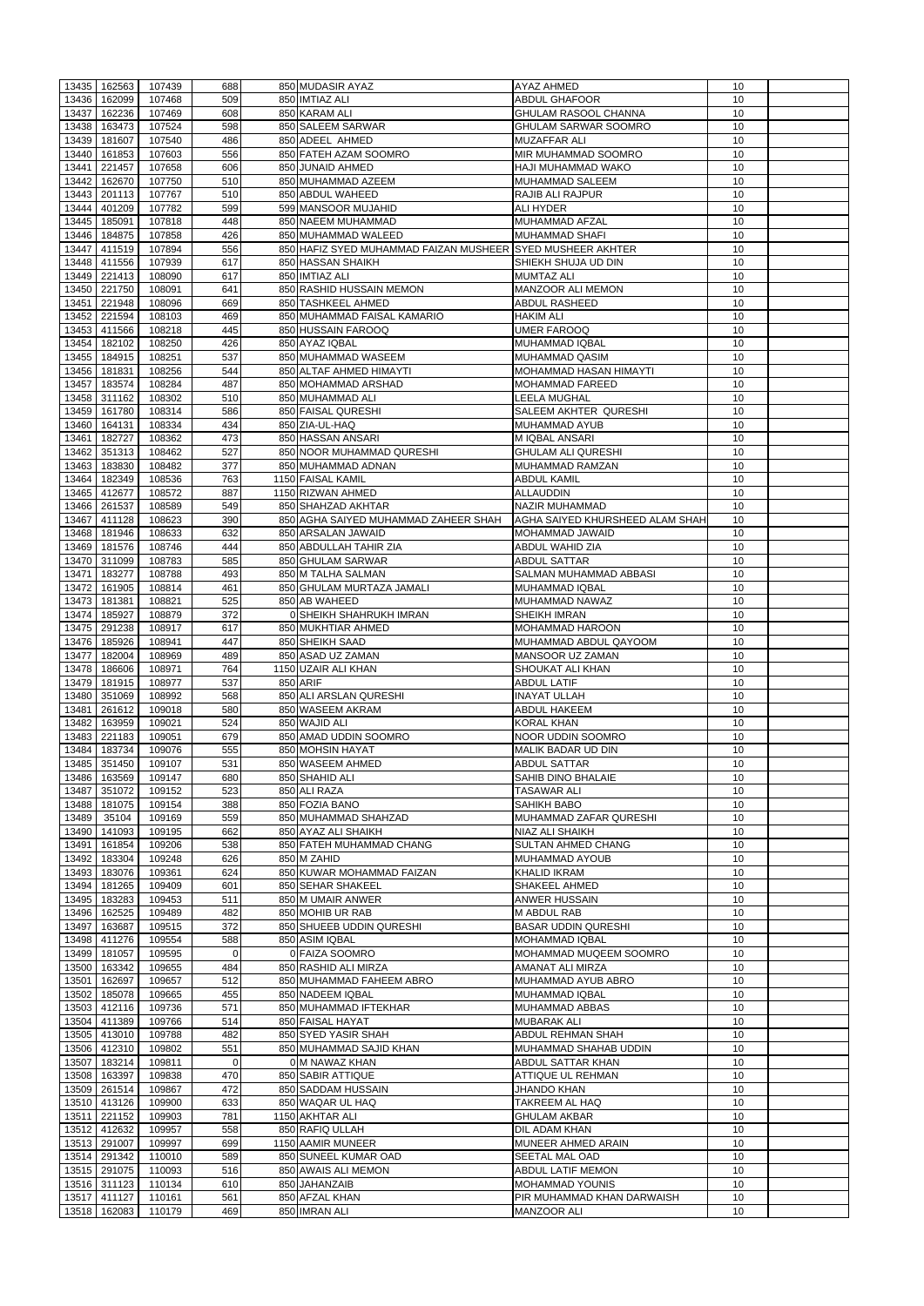|       | 162563                 | 107439              | 688            | 850 MUDASIR AYAZ                                           | <b>AYAZ AHMED</b>                         | 10       |  |
|-------|------------------------|---------------------|----------------|------------------------------------------------------------|-------------------------------------------|----------|--|
| 13435 |                        |                     |                |                                                            |                                           |          |  |
| 13436 | 162099                 | 107468              | 509            | 850 IMTIAZ ALI                                             | <b>ABDUL GHAFOOR</b>                      | 10       |  |
| 13437 | 162236                 | 107469              | 608            | 850 KARAM ALI                                              | <b>GHULAM RASOOL CHANNA</b>               | 10       |  |
| 13438 | 163473                 | 107524              | 598            | 850 SALEEM SARWAR                                          | <b>GHULAM SARWAR SOOMRO</b>               | 10       |  |
| 13439 | 181607                 | 107540              | 486            | 850 ADEEL AHMED                                            | <b>MUZAFFAR ALI</b>                       | 10       |  |
| 13440 | 161853                 | 107603              | 556            | 850 FATEH AZAM SOOMRO                                      | MIR MUHAMMAD SOOMRO                       | 10       |  |
|       |                        |                     |                |                                                            |                                           |          |  |
| 13441 | 221457                 | 107658              | 606            | 850 JUNAID AHMED                                           | <b>HAJI MUHAMMAD WAKO</b>                 | 10       |  |
| 13442 | 162670                 | 107750              | 510            | 850 MUHAMMAD AZEEM                                         | <b>MUHAMMAD SALEEM</b>                    | 10       |  |
| 13443 | 201113                 | 107767              | 510            | 850 ABDUL WAHEED                                           | <b>RAJIB ALI RAJPUR</b>                   | 10       |  |
| 13444 | 401209                 | 107782              | 599            | 599 MANSOOR MUJAHID                                        | <b>ALI HYDER</b>                          | 10       |  |
|       |                        |                     |                |                                                            |                                           |          |  |
| 13445 | 185091                 | 107818              | 448            | 850 NAEEM MUHAMMAD                                         | MUHAMMAD AFZAL                            | 10       |  |
| 13446 | 184875                 | 107858              | 426            | 850 MUHAMMAD WALEED                                        | <b>MUHAMMAD SHAFI</b>                     | 10       |  |
| 13447 | 411519                 | 107894              | 556            | 850 HAFIZ SYED MUHAMMAD FAIZAN MUSHEER SYED MUSHEER AKHTER |                                           | 10       |  |
| 13448 | 411556                 | 107939              | 617            | 850 HASSAN SHAIKH                                          | SHIEKH SHUJA UD DIN                       | 10       |  |
|       |                        |                     |                |                                                            |                                           |          |  |
| 13449 | 221413                 | 108090              | 617            | 850 IMTIAZ ALI                                             | <b>MUMTAZ ALI</b>                         | 10       |  |
| 13450 | 221750                 | 108091              | 641            | 850 RASHID HUSSAIN MEMON                                   | <b>MANZOOR ALI MEMON</b>                  | 10       |  |
| 13451 | 221948                 | 108096              | 669            | 850 TASHKEEL AHMED                                         | ABDUL RASHEED                             | 10       |  |
| 13452 | 221594                 | 108103              | 469            | 850 MUHAMMAD FAISAL KAMARIO                                | <b>HAKIM ALI</b>                          | 10       |  |
|       |                        |                     |                |                                                            |                                           |          |  |
| 13453 | 411566                 | 108218              | 445            | 850 HUSSAIN FAROOQ                                         | <b>UMER FAROOQ</b>                        | 10       |  |
| 13454 | 182102                 | 108250              | 426            | 850 AYAZ IQBAL                                             | <b>MUHAMMAD IQBAL</b>                     | 10       |  |
| 13455 | 184915                 | 108251              | 537            | 850 MUHAMMAD WASEEM                                        | <b>MUHAMMAD QASIM</b>                     | 10       |  |
| 13456 | 181831                 | 108256              | 544            | 850 ALTAF AHMED HIMAYTI                                    | <b>MOHAMMAD HASAN HIMAYTI</b>             | 10       |  |
|       |                        |                     |                |                                                            |                                           |          |  |
| 13457 | 183574                 | 108284              | 487            | 850 MOHAMMAD ARSHAD                                        | <b>MOHAMMAD FAREED</b>                    | 10       |  |
| 13458 | 311162                 | 108302              | 510            | 850 MUHAMMAD ALI                                           | <b>LEELA MUGHAL</b>                       | 10       |  |
| 13459 | 161780                 | 108314              | 586            | 850 FAISAL QURESHI                                         | SALEEM AKHTER QURESHI                     | 10       |  |
| 13460 | 164131                 | 108334              | 434            | 850 ZIA-UL-HAQ                                             | MUHAMMAD AYUB                             | 10       |  |
|       |                        |                     |                |                                                            |                                           |          |  |
| 13461 | 182727                 | 108362              | 473            | 850 HASSAN ANSARI                                          | M IQBAL ANSARI                            | 10       |  |
| 13462 | 351313                 | 108462              | 527            | 850 NOOR MUHAMMAD QURESHI                                  | <b>GHULAM ALI QURESHI</b>                 | 10       |  |
| 13463 | 183830                 | 108482              | 377            | 850 MUHAMMAD ADNAN                                         | MUHAMMAD RAMZAN                           | 10       |  |
| 13464 | 182349                 | 108536              | 763            | 1150 FAISAL KAMIL                                          | <b>ABDUL KAMIL</b>                        | 10       |  |
|       |                        |                     |                |                                                            |                                           |          |  |
| 13465 | 412677                 | 108572              | 887            | 1150 RIZWAN AHMED                                          | <b>ALLAUDDIN</b>                          | 10       |  |
| 13466 | 261537                 | 108589              | 549            | 850 SHAHZAD AKHTAR                                         | NAZIR MUHAMMAD                            | 10       |  |
| 13467 | 411128                 | 108623              | 390            | 850 AGHA SAIYED MUHAMMAD ZAHEER SHAH                       | <b>AGHA SAIYED KHURSHEED ALAM SHAH</b>    | 10       |  |
| 13468 | 181946                 | 108633              | 632            | 850 ARSALAN JAWAID                                         | <b>MOHAMMAD JAWAID</b>                    | 10       |  |
|       |                        |                     |                |                                                            |                                           |          |  |
| 13469 | 181576                 | 108746              | 444            | 850 ABDULLAH TAHIR ZIA                                     | <b>ABDUL WAHID ZIA</b>                    | 10       |  |
|       | 13470 311099           | 108783              | 585            | 850 GHULAM SARWAR                                          | <b>ABDUL SATTAR</b>                       | 10       |  |
|       | 13471 183277           | 108788              | 493            | 850 M TALHA SALMAN                                         | <b>SALMAN MUHAMMAD ABBASI</b>             | 10       |  |
| 13472 |                        | 108814              | 461            |                                                            |                                           | 10       |  |
|       | 161905                 |                     |                | 850 GHULAM MURTAZA JAMALI                                  | <b>MUHAMMAD IQBAL</b>                     |          |  |
| 13473 | 181381                 | 108821              | 525            | 850 AB WAHEED                                              | MUHAMMAD NAWAZ                            | 10       |  |
| 13474 | 185927                 | 108879              | 372            | 0 SHEIKH SHAHRUKH IMRAN                                    | SHEIKH IMRAN                              | 10       |  |
| 13475 | 291238                 | 108917              | 617            | 850 MUKHTIAR AHMED                                         | <b>MOHAMMAD HAROON</b>                    | 10       |  |
|       |                        |                     |                |                                                            |                                           |          |  |
| 13476 | 185926                 | 108941              | 447            | 850 SHEIKH SAAD                                            | MUHAMMAD ABDUL QAYOOM                     | 10       |  |
| 13477 | 182004                 | 108969              | 489            | 850 ASAD UZ ZAMAN                                          | MANSOOR UZ ZAMAN                          | 10       |  |
|       |                        |                     |                |                                                            |                                           |          |  |
|       |                        |                     |                |                                                            |                                           |          |  |
| 13478 | 186606                 | 108971              | 764            | 1150 UZAIR ALI KHAN                                        | <b>SHOUKAT ALI KHAN</b>                   | 10       |  |
| 13479 | 181915                 | 108977              | 537            | 850 ARIF                                                   | <b>ABDUL LATIF</b>                        | 10       |  |
| 13480 | 351069                 | 108992              | 568            | 850 ALI ARSLAN QURESHI                                     | <b>INAYAT ULLAH</b>                       | 10       |  |
| 13481 | 261612                 | 109018              | 580            | 850 WASEEM AKRAM                                           | ABDUL HAKEEM                              | 10       |  |
|       |                        |                     |                |                                                            |                                           |          |  |
| 13482 | 163959                 | 109021              | 524            | 850 WAJID ALI                                              | <b>KORAL KHAN</b>                         | 10       |  |
| 13483 | 221183                 | 109051              | 679            | 850 AMAD UDDIN SOOMRO                                      | NOOR UDDIN SOOMRO                         | 10       |  |
| 13484 | 183734                 | 109076              | 555            | 850 MOHSIN HAYAT                                           | MALIK BADAR UD DIN                        | 10       |  |
| 13485 | 351450                 | 109107              | 531            | 850 WASEEM AHMED                                           | <b>ABDUL SATTAR</b>                       | 10       |  |
| 13486 | 163569                 | 109147              | 680            | 850 SHAHID ALI                                             | <b>SAHIB DINO BHALAIE</b>                 | 10       |  |
|       |                        |                     |                |                                                            |                                           |          |  |
| 13487 | 351072                 | 109152              | 523            | 850 ALI RAZA                                               | <b>TASAWAR ALI</b>                        | 10       |  |
| 13488 | 181075                 | 109154              | 388            | 850 FOZIA BANO                                             | SAHIKH BABO                               | 10       |  |
| 13489 | 35104                  | 109169              | 559            | 850 MUHAMMAD SHAHZAD                                       | MUHAMMAD ZAFAR QURESHI                    | 10       |  |
| 13490 | 141093                 | 109195              | 662            | 850 AYAZ ALI SHAIKH                                        | NIAZ ALI SHAIKH                           | 10       |  |
|       |                        |                     |                |                                                            |                                           |          |  |
| 13491 | 161854                 | 109206              | 538            | 850 FATEH MUHAMMAD CHANG                                   | SULTAN AHMED CHANG                        | 10       |  |
| 13492 | 183304                 | 109248              | 626            | 850 M ZAHID                                                | <b>MUHAMMAD AYOUB</b>                     | 10       |  |
| 13493 | 183076                 | 109361              | 624            | 850 KUWAR MOHAMMAD FAIZAN                                  | <b>KHALID IKRAM</b>                       | 10       |  |
| 13494 | 181265                 | 109409              | 601            | 850 SEHAR SHAKEEL                                          | <b>SHAKEEL AHMED</b>                      | 10       |  |
| 13495 | 183283                 | 109453              | 511            | 850 M UMAIR ANWER                                          | ANWER HUSSAIN                             | 10       |  |
|       |                        |                     |                |                                                            |                                           |          |  |
| 13496 | 162525                 | 109489              | 482            | 850 MOHIB UR RAB                                           | <b>M ABDUL RAB</b>                        | 10       |  |
| 13497 | 163687                 | 109515              | 372            | 850 SHUEEB UDDIN QURESHI                                   | <b>BASAR UDDIN QURESHI</b>                | 10       |  |
| 13498 | 411276                 | 109554              | 588            | 850 ASIM IQBAL                                             | <b>MOHAMMAD IQBAL</b>                     | 10       |  |
| 13499 | 181057                 | 109595              | $\Omega$       | 0 FAIZA SOOMRO                                             | MOHAMMAD MUQEEM SOOMRO                    | 10       |  |
|       |                        |                     |                |                                                            |                                           |          |  |
| 13500 | 163342                 | 109655              | 484            | 850 RASHID ALI MIRZA                                       | <b>AMANAT ALI MIRZA</b>                   | 10       |  |
| 13501 | 162697                 | 109657              | 512            | 850 MUHAMMAD FAHEEM ABRO                                   | MUHAMMAD AYUB ABRO                        | 10       |  |
| 13502 | 185078                 | 109665              | 455            | 850 NADEEM IQBAL                                           | <b>MUHAMMAD IQBAL</b>                     | 10       |  |
| 13503 | 412116                 | 109736              | 571            | 850 MUHAMMAD IFTEKHAR                                      | <b>MUHAMMAD ABBAS</b>                     | 10       |  |
|       |                        |                     |                |                                                            |                                           | 10       |  |
| 13504 | 411389                 | 109766              | 514            | 850 FAISAL HAYAT                                           | <b>MUBARAK ALI</b>                        |          |  |
| 13505 | 413010                 | 109788              | 482            | 850 SYED YASIR SHAH                                        | ABDUL REHMAN SHAH                         | 10       |  |
| 13506 | 412310                 | 109802              | 551            | 850 MUHAMMAD SAJID KHAN                                    | MUHAMMAD SHAHAB UDDIN                     | 10       |  |
|       |                        | 13507 183214 109811 | $\overline{0}$ | 0 M NAWAZ KHAN                                             | ABDUL SATTAR KHAN                         | 10       |  |
|       |                        |                     |                |                                                            |                                           |          |  |
| 13508 | 163397                 | 109838              | 470            | 850 SABIR ATTIQUE                                          | ATTIQUE UL REHMAN                         | 10       |  |
|       | 13509 261514           | 109867              | 472            | 850 SADDAM HUSSAIN                                         | <b>JHANDO KHAN</b>                        | 10       |  |
|       | 13510 413126           | 109900              | 633            | 850 WAQAR UL HAQ                                           | TAKREEM AL HAQ                            | 10       |  |
| 13511 | 221152                 | 109903              | 781            | 1150 AKHTAR ALI                                            | <b>GHULAM AKBAR</b>                       | 10       |  |
|       |                        |                     |                | 850 RAFIQ ULLAH                                            |                                           |          |  |
|       | 13512 412632           | 109957              | 558            |                                                            | DIL ADAM KHAN                             | 10       |  |
|       | 13513 291007           | 109997              | 699            | 1150 AAMIR MUNEER                                          | MUNEER AHMED ARAIN                        | 10       |  |
|       | 13514 291342           | 110010              | 589            | 850 SUNEEL KUMAR OAD                                       | <b>SEETAL MAL OAD</b>                     | 10       |  |
|       | 13515 291075           | 110093              | 516            | 850 AWAIS ALI MEMON                                        | ABDUL LATIF MEMON                         | 10       |  |
|       |                        |                     |                |                                                            |                                           |          |  |
|       | 13516 311123           | 110134              | 610            | 850 JAHANZAIB                                              | <b>MOHAMMAD YOUNIS</b>                    | 10       |  |
| 13517 | 411127<br>13518 162083 | 110161<br>110179    | 561<br>469     | 850 AFZAL KHAN<br>850 IMRAN ALI                            | PIR MUHAMMAD KHAN DARWAISH<br>MANZOOR ALI | 10<br>10 |  |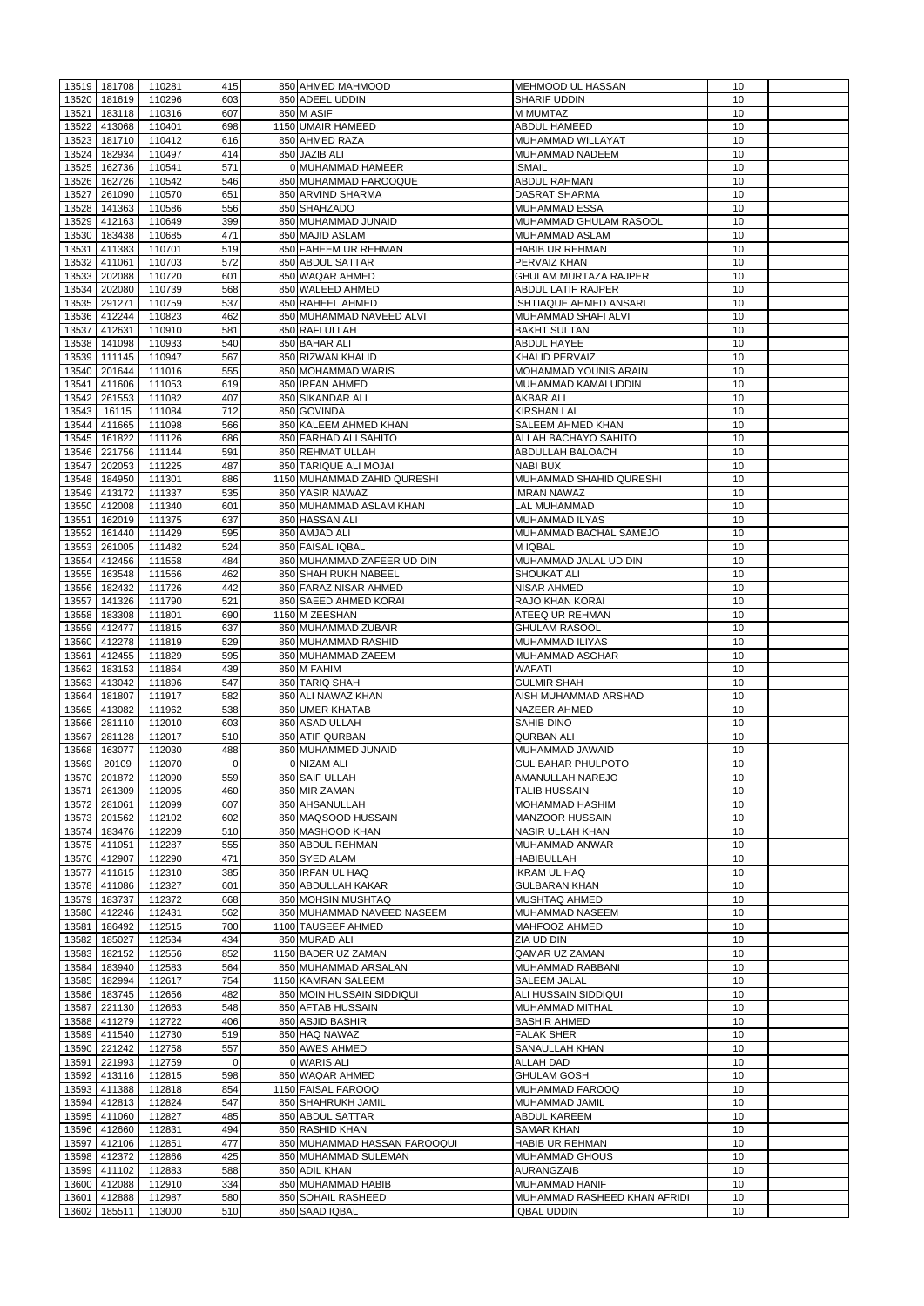|                | 13519 181708     | 110281              | 415            | 850 AHMED MAHMOOD                              | <b>MEHMOOD UL HASSAN</b>                           | 10       |  |
|----------------|------------------|---------------------|----------------|------------------------------------------------|----------------------------------------------------|----------|--|
| 13520          | 181619           | 110296              | 603            | 850 ADEEL UDDIN                                | <b>SHARIF UDDIN</b>                                | 10       |  |
| 13521          | 183118           | 110316              | 607            | 850 M ASIF                                     | M MUMTAZ                                           | 10       |  |
| 13522          | 413068           | 110401              | 698            | 1150 UMAIR HAMEED                              | <b>ABDUL HAMEED</b>                                | 10       |  |
| 13523          | 181710           | 110412              | 616            | 850 AHMED RAZA                                 | MUHAMMAD WILLAYAT                                  | 10       |  |
| 13524          | 182934           | 110497              | 414            | 850 JAZIB ALI                                  | <b>MUHAMMAD NADEEM</b>                             | 10       |  |
| 13525          | 162736           | 110541              | 571            | 0 MUHAMMAD HAMEER                              | <b>ISMAIL</b>                                      | 10       |  |
| 13526          | 162726           | 110542              | 546            | 850 MUHAMMAD FAROOQUE                          | <b>ABDUL RAHMAN</b>                                | 10       |  |
| 13527          | 261090           | 110570              | 651            | 850 ARVIND SHARMA                              | <b>DASRAT SHARMA</b>                               | 10       |  |
| 13528          | 141363           | 110586              | 556            | 850 SHAHZADO                                   | <b>MUHAMMAD ESSA</b>                               | 10       |  |
| 13529          | 412163           | 110649              | 399            | 850 MUHAMMAD JUNAID                            | MUHAMMAD GHULAM RASOOL                             | 10       |  |
| 13530          | 183438           | 110685              | 471            | 850 MAJID ASLAM                                | MUHAMMAD ASLAM                                     | 10       |  |
| 13531          | 411383           | 110701              | 519            | 850 FAHEEM UR REHMAN                           | <b>HABIB UR REHMAN</b>                             | 10       |  |
| 13532          | 411061           | 110703              | 572            | 850 ABDUL SATTAR                               | PERVAIZ KHAN                                       | 10       |  |
| 13533          | 202088           | 110720              | 601            | 850 WAQAR AHMED                                | <b>GHULAM MURTAZA RAJPER</b>                       | 10       |  |
| 13534          | 202080           | 110739              | 568            | 850 WALEED AHMED                               | <b>ABDUL LATIF RAJPER</b>                          | 10       |  |
| 13535          | 291271           | 110759              | 537            | 850 RAHEEL AHMED                               | ISHTIAQUE AHMED ANSARI                             | 10       |  |
|                | 13536 412244     | 110823              | 462            | 850 MUHAMMAD NAVEED ALVI                       | MUHAMMAD SHAFI ALVI                                | 10       |  |
| 13537          | 412631           | 110910              | 581            | 850 RAFI ULLAH                                 | <b>BAKHT SULTAN</b>                                | 10       |  |
|                | 13538 141098     | 110933              | 540            | 850 BAHAR ALI                                  | <b>ABDUL HAYEE</b>                                 | 10       |  |
| 13539          | 111145           | 110947              | 567            | 850 RIZWAN KHALID                              | <b>KHALID PERVAIZ</b>                              | 10       |  |
| 13540          | 201644           | 111016              | 555            | 850 MOHAMMAD WARIS                             | <b>MOHAMMAD YOUNIS ARAIN</b>                       | 10       |  |
| 13541          | 411606           | 111053              | 619            | 850 IRFAN AHMED                                | MUHAMMAD KAMALUDDIN                                | 10       |  |
| 13542          | 261553           | 111082              | 407            | 850 SIKANDAR ALI                               | AKBAR ALI                                          | 10       |  |
| 13543          | 16115            | 111084              | 712            | 850 GOVINDA                                    | <b>KIRSHAN LAL</b>                                 | 10       |  |
| 13544          | 411665           | 111098              | 566            | 850 KALEEM AHMED KHAN                          | SALEEM AHMED KHAN                                  | 10       |  |
| 13545          | 161822           | 111126              | 686            | 850 FARHAD ALI SAHITO                          | ALLAH BACHAYO SAHITO                               | 10       |  |
| 13546          | 221756           | 111144              | 591            | 850 REHMAT ULLAH                               | ABDULLAH BALOACH                                   | 10       |  |
| 13547          | 202053           | 111225              | 487            | 850 TARIQUE ALI MOJAI                          | <b>NABI BUX</b>                                    | 10       |  |
| 13548          | 184950           | 111301              | 886            | 1150 MUHAMMAD ZAHID QURESHI                    | MUHAMMAD SHAHID QURESHI                            | 10       |  |
| 13549          | 413172           | 111337              | 535            | 850 YASIR NAWAZ                                | <b>IMRAN NAWAZ</b>                                 | 10       |  |
| 13550          | 412008           | 111340              | 601            | 850 MUHAMMAD ASLAM KHAN                        | <b>LAL MUHAMMAD</b>                                | 10       |  |
| 13551          | 162019           | 111375              | 637            | 850 HASSAN ALI                                 | <b>MUHAMMAD ILYAS</b>                              | 10       |  |
| 13552          | 161440           | 111429              | 595            | 850 AMJAD ALI                                  | MUHAMMAD BACHAL SAMEJO                             | 10       |  |
| 13553          | 261005           | 111482              | 524            | 850 FAISAL IQBAL                               | <b>MIQBAL</b>                                      | 10       |  |
|                | 13554 412456     | 111558              | 484            | 850 MUHAMMAD ZAFEER UD DIN                     | MUHAMMAD JALAL UD DIN                              | 10       |  |
|                | 13555 163548     | 111566              | 462            | 850 SHAH RUKH NABEEL                           | <b>SHOUKAT ALI</b>                                 | 10       |  |
| 13556          | 182432           | 111726              | 442            | 850 FARAZ NISAR AHMED                          | <b>NISAR AHMED</b>                                 | 10       |  |
| 13557          | 141326           | 111790              | 521            | 850 SAEED AHMED KORAI                          | <b>RAJO KHAN KORAI</b>                             | 10       |  |
| 13558          | 183308           | 111801              | 690            | 1150 M ZEESHAN                                 | ATEEQ UR REHMAN                                    | 10       |  |
| 13559          | 412477           | 111815              | 637            | 850 MUHAMMAD ZUBAIR                            | <b>GHULAM RASOOL</b>                               | 10       |  |
| 13560          | 412278           | 111819              | 529            | 850 MUHAMMAD RASHID                            | MUHAMMAD ILIYAS                                    | 10       |  |
|                |                  |                     |                |                                                |                                                    |          |  |
|                | 412455           |                     |                |                                                |                                                    | 10       |  |
| 13561<br>13562 | 183153           | 111829<br>111864    | 595<br>439     | 850 MUHAMMAD ZAEEM<br>850 M FAHIM              | <b>MUHAMMAD ASGHAR</b><br><b>WAFATI</b>            | 10       |  |
|                | 413042           |                     | 547            | 850 TARIQ SHAH                                 | <b>GULMIR SHAH</b>                                 | 10       |  |
| 13563          |                  | 111896              |                |                                                |                                                    |          |  |
| 13564          | 181807           | 111917              | 582            | 850 ALI NAWAZ KHAN                             | AISH MUHAMMAD ARSHAD                               | 10       |  |
| 13565          | 413082<br>281110 | 111962<br>112010    | 538<br>603     | 850 UMER KHATAB<br>850 ASAD ULLAH              | <b>NAZEER AHMED</b>                                | 10<br>10 |  |
| 13566          |                  |                     | 510            |                                                | <b>SAHIB DINO</b>                                  | 10       |  |
| 13567          | 281128<br>163077 | 112017<br>112030    | 488            | 850 ATIF QURBAN<br>850 MUHAMMED JUNAID         | <b>QURBAN ALI</b><br>MUHAMMAD JAWAID               | 10       |  |
| 13568          |                  |                     | $\Omega$       | 0 NIZAM ALI                                    | <b>GUL BAHAR PHULPOTO</b>                          | 10       |  |
| 13569          | 20109<br>201872  | 112070<br>112090    | 559            | 850 SAIF ULLAH                                 | AMANULLAH NAREJO                                   | 10       |  |
| 13570<br>13571 | 261309           | 112095              | 460            | 850 MIR ZAMAN                                  |                                                    | 10       |  |
| 13572          | 281061           | 112099              | 607            | 850 AHSANULLAH                                 | TALIB HUSSAIN<br><b>MOHAMMAD HASHIM</b>            | 10       |  |
| 13573          | 201562           | 112102              | 602            | 850 MAQSOOD HUSSAIN                            | <b>MANZOOR HUSSAIN</b>                             | 10       |  |
| 13574          | 183476           | 112209              | 510            | 850 MASHOOD KHAN                               | <b>NASIR ULLAH KHAN</b>                            | 10       |  |
| 13575          | 411051           | 112287              | 555            | 850 ABDUL REHMAN                               | MUHAMMAD ANWAR                                     | 10       |  |
| 13576          | 412907           | 112290              | 471            | 850 SYED ALAM                                  | <b>HABIBULLAH</b>                                  | 10       |  |
| 13577          | 411615           | 112310              | 385            | 850 IRFAN UL HAQ                               | <b>IKRAM UL HAQ</b>                                | 10       |  |
| 13578          | 411086           | 112327              | 601            | 850 ABDULLAH KAKAR                             | <b>GULBARAN KHAN</b>                               | 10       |  |
|                | 13579 183737     | 112372              | 668            | 850 MOHSIN MUSHTAQ                             | <b>MUSHTAQ AHMED</b>                               | 10       |  |
| 13580          | 412246           | 112431              | 562            | 850 MUHAMMAD NAVEED NASEEM                     | <b>MUHAMMAD NASEEM</b>                             | 10       |  |
| 13581          | 186492           | 112515              | 700            | 1100 TAUSEEF AHMED                             | <b>MAHFOOZ AHMED</b>                               | 10       |  |
| 13582          | 185027           | 112534              | 434            | 850 MURAD ALI                                  | ZIA UD DIN                                         | 10       |  |
| 13583          | 182152           | 112556              | 852            | 1150 BADER UZ ZAMAN                            | QAMAR UZ ZAMAN                                     | 10       |  |
| 13584          | 183940           | 112583              | 564            | 850 MUHAMMAD ARSALAN                           | MUHAMMAD RABBANI                                   | 10       |  |
|                | 182994           | 112617              | 754            | 1150 KAMRAN SALEEM                             | <b>SALEEM JALAL</b>                                | 10       |  |
| 13585          | 183745           | 112656              | 482            |                                                | ALI HUSSAIN SIDDIQUI                               | 10       |  |
| 13586          | 221130           | 112663              | 548            | 850 MOIN HUSSAIN SIDDIQUI<br>850 AFTAB HUSSAIN | MUHAMMAD MITHAL                                    | 10       |  |
| 13587          |                  |                     |                |                                                |                                                    | 10       |  |
| 13588          | 411279<br>411540 | 112722<br>112730    | 406            | 850 ASJID BASHIR                               | <b>BASHIR AHMED</b><br><b>FALAK SHER</b>           | 10       |  |
| 13589          |                  |                     | 519            | 850 HAQ NAWAZ                                  | <b>SANAULLAH KHAN</b>                              |          |  |
|                | 13590 221242     | 112758              | 557            | 850 AWES AHMED                                 |                                                    | 10       |  |
|                |                  | 13591 221993 112759 | $\overline{0}$ | 0 WARIS ALI                                    | <b>ALLAH DAD</b>                                   | 10       |  |
| 13592          | 413116           | 112815              | 598            | 850 WAQAR AHMED                                | <b>GHULAM GOSH</b>                                 | 10       |  |
| 13593          | 411388           | 112818              | 854            | 1150 FAISAL FAROOQ                             | <b>MUHAMMAD FAROOQ</b>                             | 10       |  |
|                | 13594 412813     | 112824              | 547            | 850 SHAHRUKH JAMIL                             | MUHAMMAD JAMIL                                     | 10       |  |
|                | 13595 411060     | 112827              | 485            | 850 ABDUL SATTAR                               | <b>ABDUL KAREEM</b>                                | 10       |  |
|                | 13596 412660     | 112831              | 494            | 850 RASHID KHAN                                | <b>SAMAR KHAN</b>                                  | 10       |  |
| 13597          | 412106           | 112851              | 477            | 850 MUHAMMAD HASSAN FAROOQUI                   | <b>HABIB UR REHMAN</b>                             | 10       |  |
|                | 13598 412372     | 112866              | 425            | 850 MUHAMMAD SULEMAN                           | <b>MUHAMMAD GHOUS</b>                              | 10       |  |
| 13599          | 411102           | 112883              | 588            | 850 ADIL KHAN                                  | <b>AURANGZAIB</b>                                  | 10       |  |
| 13600          | 412088           | 112910              | 334            | 850 MUHAMMAD HABIB                             | MUHAMMAD HANIF                                     | 10       |  |
| 13601<br>13602 | 412888<br>185511 | 112987<br>113000    | 580<br>510     | 850 SOHAIL RASHEED<br>850 SAAD IQBAL           | MUHAMMAD RASHEED KHAN AFRIDI<br><b>IQBAL UDDIN</b> | 10<br>10 |  |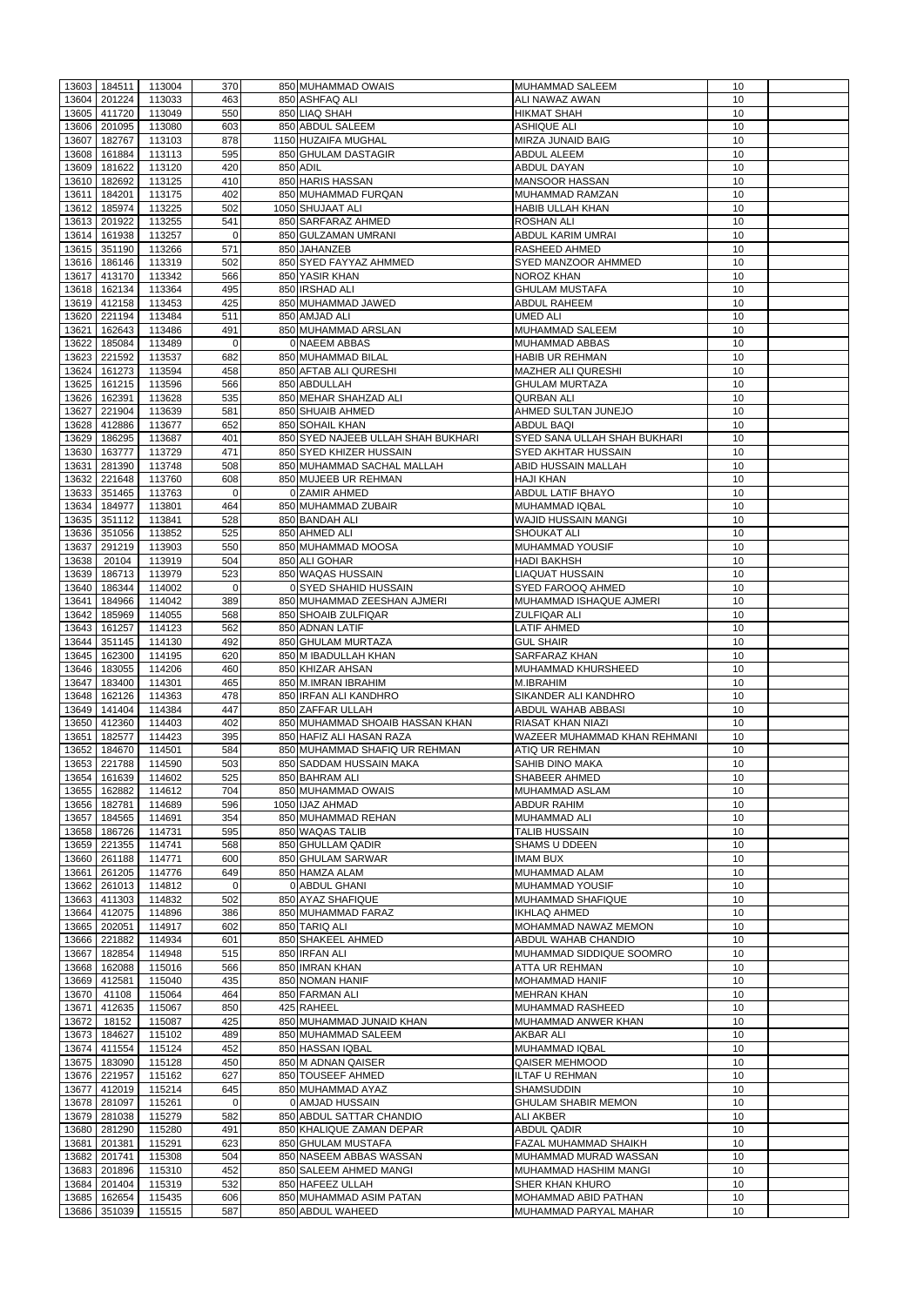|                | 13603 184511     | 113004           | 370            | 850 MUHAMMAD OWAIS                          | MUHAMMAD SALEEM                               | 10       |  |
|----------------|------------------|------------------|----------------|---------------------------------------------|-----------------------------------------------|----------|--|
| 13604          | 201224           | 113033           | 463            | 850 ASHFAQ ALI                              | ALI NAWAZ AWAN                                | 10       |  |
| 13605          | 411720           | 113049           | 550            | 850 LIAQ SHAH                               | <b>HIKMAT SHAH</b>                            | 10       |  |
| 13606          | 201095           | 113080           | 603            | 850 ABDUL SALEEM                            | <b>ASHIQUE ALI</b>                            | 10       |  |
| 13607          | 182767           | 113103           | 878            | 1150 HUZAIFA MUGHAL                         | <b>MIRZA JUNAID BAIG</b>                      | 10       |  |
| 13608          | 161884           | 113113           | 595            | 850 GHULAM DASTAGIR                         | ABDUL ALEEM                                   | 10       |  |
| 13609          | 181622           | 113120           | 420            | 850 ADIL                                    | ABDUL DAYAN                                   | 10       |  |
|                |                  |                  |                |                                             |                                               |          |  |
| 13610          | 182692           | 113125           | 410            | 850 HARIS HASSAN                            | <b>MANSOOR HASSAN</b>                         | 10       |  |
| 13611          | 184201           | 113175           | 402            | 850 MUHAMMAD FURQAN                         | MUHAMMAD RAMZAN                               | 10       |  |
|                | 13612 185974     | 113225           | 502            | 1050 SHUJAAT ALI                            | HABIB ULLAH KHAN                              | 10       |  |
|                | 13613 201922     | 113255           | 541            | 850 SARFARAZ AHMED                          | <b>ROSHAN ALI</b>                             | 10       |  |
|                | 13614 161938     | 113257           | $\overline{0}$ | 850 GULZAMAN UMRANI                         | ABDUL KARIM UMRAI                             | 10       |  |
|                | 13615 351190     | 113266           | 571            | 850 JAHANZEB                                | <b>RASHEED AHMED</b>                          | 10       |  |
|                | 13616 186146     | 113319           | 502            | 850 SYED FAYYAZ AHMMED                      | <b>SYED MANZOOR AHMMED</b>                    | 10       |  |
|                | 13617 413170     | 113342           | 566            | 850 YASIR KHAN                              | <b>NOROZ KHAN</b>                             | 10       |  |
|                | 13618 162134     | 113364           | 495            | 850 <b>IRSHAD ALI</b>                       | <b>GHULAM MUSTAFA</b>                         | 10       |  |
|                | 13619 412158     | 113453           | 425            | 850 MUHAMMAD JAWED                          | ABDUL RAHEEM                                  | 10       |  |
|                | 13620 221194     | 113484           | 511            | 850 AMJAD ALI                               | <b>UMED ALI</b>                               | 10       |  |
| 13621          | 162643           | 113486           | 491            | 850 MUHAMMAD ARSLAN                         | MUHAMMAD SALEEM                               | 10       |  |
| 13622          | 185084           | 113489           | $\overline{0}$ | 0 NAEEM ABBAS                               | MUHAMMAD ABBAS                                | 10       |  |
| 13623          | 221592           | 113537           | 682            | 850 MUHAMMAD BILAL                          | <b>HABIB UR REHMAN</b>                        | 10       |  |
| 13624          | 161273           | 113594           | 458            | 850 AFTAB ALI QURESHI                       | <b>MAZHER ALI QURESHI</b>                     | 10       |  |
| 13625          | 161215           | 113596           | 566            | 850 ABDULLAH                                | <b>GHULAM MURTAZA</b>                         | 10       |  |
| 13626          | 162391           | 113628           | 535            | 850 MEHAR SHAHZAD ALI                       | <b>QURBAN ALI</b>                             | 10       |  |
| 13627          | 221904           | 113639           | 581            | 850 SHUAIB AHMED                            | AHMED SULTAN JUNEJO                           | 10       |  |
| 13628          | 412886           | 113677           | 652            | 850 SOHAIL KHAN                             | ABDUL BAQI                                    | 10       |  |
| 13629          | 186295           | 113687           | 401            | 850 SYED NAJEEB ULLAH SHAH BUKHARI          | SYED SANA ULLAH SHAH BUKHARI                  | 10       |  |
| 13630          | 163777           | 113729           | 471            | 850 SYED KHIZER HUSSAIN                     | <b>SYED AKHTAR HUSSAIN</b>                    | 10       |  |
|                |                  | 113748           | 508            | 850 MUHAMMAD SACHAL MALLAH                  | ABID HUSSAIN MALLAH                           | 10       |  |
| 13631          | 281390           |                  |                |                                             |                                               |          |  |
| 13632          | 221648           | 113760           | 608            | 850 MUJEEB UR REHMAN                        | <b>HAJI KHAN</b>                              | 10       |  |
| 13633          | 351465           | 113763           | $\overline{0}$ | 0 ZAMIR AHMED                               | <b>ABDUL LATIF BHAYO</b>                      | 10       |  |
| 13634          | 184977           | 113801           | 464            | 850 MUHAMMAD ZUBAIR                         | <b>MUHAMMAD IQBAL</b>                         | 10       |  |
| 13635          | 351112           | 113841           | 528            | 850 BANDAH ALI                              | WAJID HUSSAIN MANGI                           | 10       |  |
| 13636          | 351056           | 113852           | 525            | 850 AHMED ALI                               | <b>SHOUKAT ALI</b>                            | 10       |  |
| 13637          | 291219           | 113903           | 550            | 850 MUHAMMAD MOOSA                          | MUHAMMAD YOUSIF                               | 10       |  |
|                | 13638 20104      | 113919           | 504            | 850 ALI GOHAR                               | <b>HADI BAKHSH</b>                            | 10       |  |
|                | 13639 186713     | 113979           | 523            | 850 WAQAS HUSSAIN                           | <b>LIAQUAT HUSSAIN</b>                        | 10       |  |
| 13640          | 186344           | 114002           | $\Omega$       | 0 SYED SHAHID HUSSAIN                       | <b>SYED FAROOQ AHMED</b>                      | 10       |  |
| 13641          | 184966           | 114042           | 389            | 850 MUHAMMAD ZEESHAN AJMERI                 | MUHAMMAD ISHAQUE AJMERI                       | 10       |  |
| 13642          | 185969           | 114055           | 568            | 850 SHOAIB ZULFIQAR                         | <b>ZULFIQAR ALI</b>                           | 10       |  |
| 13643          | 161257           | 114123           | 562            | 850 ADNAN LATIF                             | LATIF AHMED                                   | 10       |  |
| 13644          | 351145           | 114130           | 492            | 850 GHULAM MURTAZA                          | <b>GUL SHAIR</b>                              | 10       |  |
| 13645          | 162300           | 114195           | 620            | 850 M IBADULLAH KHAN                        | SARFARAZ KHAN                                 | 10       |  |
| 13646          | 183055           | 114206           | 460            | 850 KHIZAR AHSAN                            | MUHAMMAD KHURSHEED                            | 10       |  |
| 13647          | 183400           | 114301           | 465            | 850 M.IMRAN IBRAHIM                         | M.IBRAHIM                                     | 10       |  |
| 13648          | 162126           | 114363           | 478            | 850 IRFAN ALI KANDHRO                       | SIKANDER ALI KANDHRO                          | 10       |  |
| 13649          | 141404           | 114384           | 447            | 850 ZAFFAR ULLAH                            | ABDUL WAHAB ABBASI                            | 10       |  |
| 13650          | 412360           | 114403           | 402            | 850 MUHAMMAD SHOAIB HASSAN KHAN             | RIASAT KHAN NIAZI                             | 10       |  |
| 13651          | 182577           | 114423           | 395            | 850 HAFIZ ALI HASAN RAZA                    | WAZEER MUHAMMAD KHAN REHMANI                  | 10       |  |
| 13652          | 184670           | 114501           |                | 850 MUHAMMAD SHAFIQ UR REHMAN               | ATIQ UR REHMAN                                |          |  |
|                | 221788           |                  |                |                                             |                                               |          |  |
| 13653          |                  |                  | 584            |                                             |                                               | 10       |  |
| 13654          |                  | 114590           | 503            | 850 SADDAM HUSSAIN MAKA                     | SAHIB DINO MAKA                               | 10       |  |
| 13655          | 161639           | 114602           | 525            | 850 BAHRAM ALI                              | SHABEER AHMED                                 | 10       |  |
|                | 162882           | 114612           | 704            | 850 MUHAMMAD OWAIS                          | MUHAMMAD ASLAM                                | 10       |  |
| 13656          | 182781           | 114689           | 596            | 1050 IJAZ AHMAD                             | <b>ABDUR RAHIM</b>                            | 10       |  |
| 13657          | 184565           | 114691           | 354            | 850 MUHAMMAD REHAN                          | MUHAMMAD ALI                                  | 10       |  |
| 13658          | 186726           | 114731           | 595            | 850 WAQAS TALIB                             | <b>TALIB HUSSAIN</b>                          | 10       |  |
| 13659          | 221355           | 114741           | 568            | 850 GHULLAM QADIR                           | SHAMS U DDEEN                                 | 10       |  |
| 13660          | 261188           | 114771           | 600            | 850 GHULAM SARWAR                           | <b>IMAM BUX</b>                               | 10       |  |
| 13661          | 261205           | 114776           | 649            | 850 HAMZA ALAM                              | MUHAMMAD ALAM                                 | 10       |  |
| 13662          | 261013           | 114812           | $\mathbf 0$    | 0 ABDUL GHANI                               | MUHAMMAD YOUSIF                               | 10       |  |
| 13663          | 411303           | 114832           | 502            | 850 AYAZ SHAFIQUE                           | MUHAMMAD SHAFIQUE                             | 10       |  |
| 13664          | 412075           | 114896           | 386            | 850 MUHAMMAD FARAZ                          | <b>IKHLAQ AHMED</b>                           | 10       |  |
| 13665          | 202051           | 114917           | 602            | 850 TARIQ ALI                               | MOHAMMAD NAWAZ MEMON                          | 10       |  |
| 13666          | 221882           | 114934           | 601            | 850 SHAKEEL AHMED                           | ABDUL WAHAB CHANDIO                           | 10       |  |
| 13667          | 182854           | 114948           | 515            | 850 IRFAN ALI                               | MUHAMMAD SIDDIQUE SOOMRO                      | 10       |  |
| 13668          | 162088           | 115016           | 566            | 850 IMRAN KHAN                              | ATTA UR REHMAN                                | 10       |  |
| 13669          | 412581           | 115040           | 435            | 850 NOMAN HANIF                             | <b>MOHAMMAD HANIF</b>                         | 10       |  |
| 13670          | 41108            | 115064           | 464            | 850 FARMAN ALI                              | <b>MEHRAN KHAN</b>                            | 10       |  |
| 13671          | 412635           | 115067           | 850            | 425 RAHEEL                                  | MUHAMMAD RASHEED                              | 10       |  |
| 13672          | 18152            | 115087           | 425            | 850 MUHAMMAD JUNAID KHAN                    | MUHAMMAD ANWER KHAN                           | 10       |  |
| 13673          | 184627           | 115102           | 489            | 850 MUHAMMAD SALEEM                         | <b>AKBAR ALI</b>                              | 10       |  |
| 13674          | 411554           | 115124           | 452            | 850 HASSAN IQBAL                            | <b>MUHAMMAD IQBAL</b>                         | 10       |  |
|                |                  |                  |                |                                             |                                               |          |  |
|                | 13675 183090     | 115128           | 450            | 850 M ADNAN QAISER                          | QAISER MEHMOOD                                | 10       |  |
|                | 13676 221957     | 115162           | 627            | 850 TOUSEEF AHMED                           | <b>ILTAF U REHMAN</b>                         | 10       |  |
|                | 13677 412019     | 115214           | 645            | 850 MUHAMMAD AYAZ                           | <b>SHAMSUDDIN</b>                             | 10       |  |
|                | 13678 281097     | 115261           | 0              | 0 AMJAD HUSSAIN                             | <b>GHULAM SHABIR MEMON</b>                    | 10       |  |
|                | 13679 281038     | 115279           | 582            | 850 ABDUL SATTAR CHANDIO                    | <b>ALI AKBER</b>                              | 10       |  |
| 13680          | 281290           | 115280           | 491            | 850 KHALIQUE ZAMAN DEPAR                    | <b>ABDUL QADIR</b>                            | 10       |  |
| 13681          | 201381           | 115291           | 623            | 850 GHULAM MUSTAFA                          | <b>FAZAL MUHAMMAD SHAIKH</b>                  | 10       |  |
| 13682          | 201741           | 115308           | 504            | 850 NASEEM ABBAS WASSAN                     | MUHAMMAD MURAD WASSAN                         | 10       |  |
| 13683          | 201896           | 115310           | 452            | 850 SALEEM AHMED MANGI                      | MUHAMMAD HASHIM MANGI                         | 10       |  |
| 13684          | 201404           | 115319           | 532            | 850 HAFEEZ ULLAH                            | <b>SHER KHAN KHURO</b>                        | 10       |  |
| 13685<br>13686 | 162654<br>351039 | 115435<br>115515 | 606<br>587     | 850 MUHAMMAD ASIM PATAN<br>850 ABDUL WAHEED | MOHAMMAD ABID PATHAN<br>MUHAMMAD PARYAL MAHAR | 10<br>10 |  |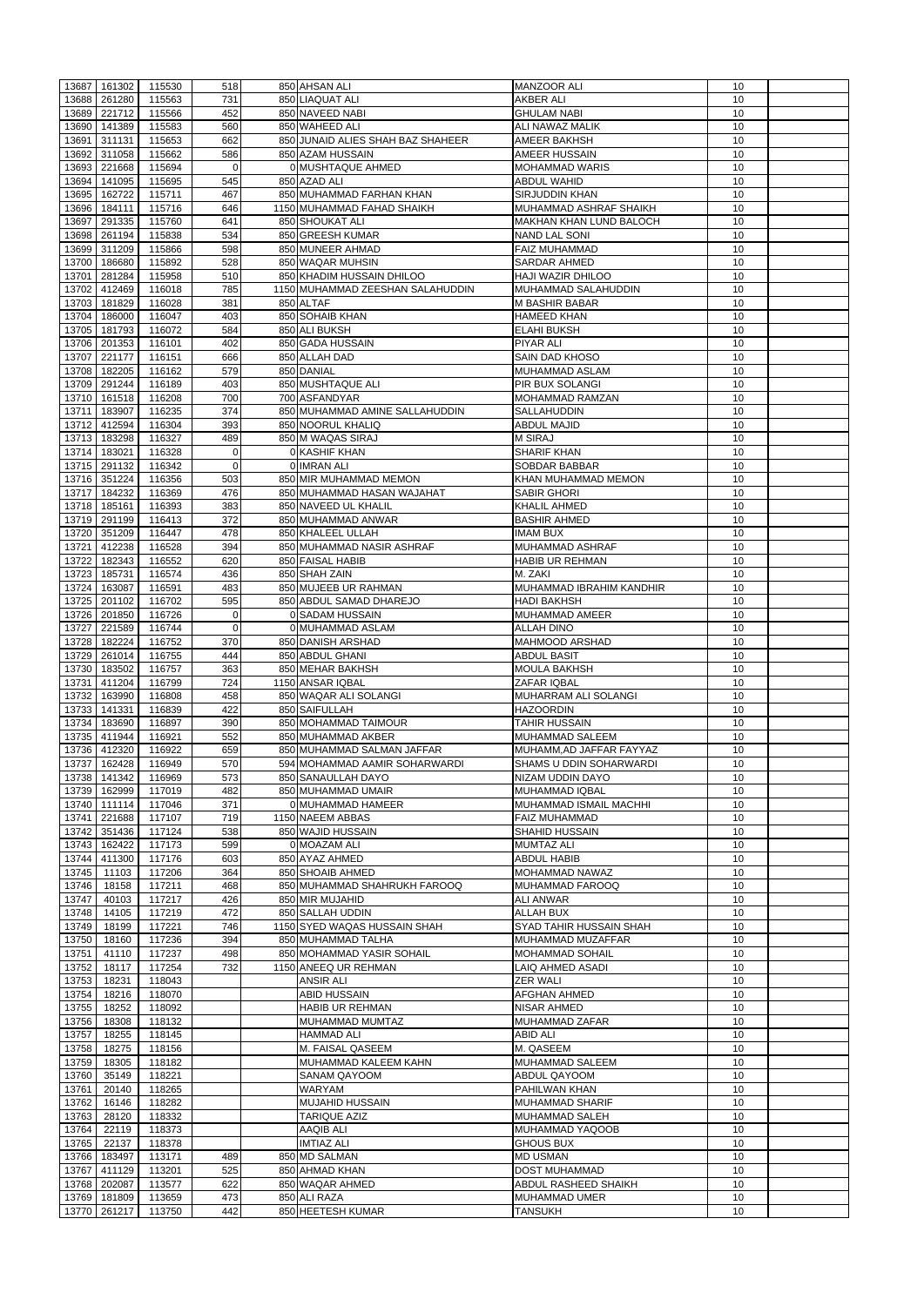| 13687 | 161302                 | 115530           | 518        | 850 AHSAN ALI                     | <b>MANZOOR ALI</b>              | 10       |  |
|-------|------------------------|------------------|------------|-----------------------------------|---------------------------------|----------|--|
| 13688 | 261280                 | 115563           | 731        |                                   |                                 | 10       |  |
|       |                        |                  |            | 850 LIAQUAT ALI                   | AKBER ALI                       |          |  |
| 13689 | 221712                 | 115566           | 452        | 850 NAVEED NABI                   | <b>GHULAM NABI</b>              | 10       |  |
| 13690 | 141389                 | 115583           | 560        | 850 WAHEED ALI                    | <b>ALI NAWAZ MALIK</b>          | 10       |  |
| 13691 | 311131                 | 115653           | 662        | 850 JUNAID ALIES SHAH BAZ SHAHEER | AMEER BAKHSH                    | 10       |  |
| 13692 | 311058                 | 115662           | 586        | 850 AZAM HUSSAIN                  | <b>AMEER HUSSAIN</b>            | 10       |  |
| 13693 | 221668                 | 115694           | $\Omega$   | 0 MUSHTAQUE AHMED                 | <b>MOHAMMAD WARIS</b>           | 10       |  |
|       |                        |                  |            | 850 AZAD ALI                      |                                 |          |  |
| 13694 | 141095                 | 115695           | 545        |                                   | <b>ABDUL WAHID</b>              | 10       |  |
| 13695 | 162722                 | 115711           | 467        | 850 MUHAMMAD FARHAN KHAN          | <b>SIRJUDDIN KHAN</b>           | 10       |  |
| 13696 | 184111                 | 115716           | 646        | 1150 MUHAMMAD FAHAD SHAIKH        | MUHAMMAD ASHRAF SHAIKH          | 10       |  |
| 13697 | 291335                 | 115760           | 641        | 850 SHOUKAT ALI                   | <b>MAKHAN KHAN LUND BALOCH</b>  | 10       |  |
| 13698 | 261194                 | 115838           | 534        | 850 GREESH KUMAR                  | <b>NAND LAL SONI</b>            | 10       |  |
| 13699 | 311209                 | 115866           | 598        | 850 MUNEER AHMAD                  | <b>FAIZ MUHAMMAD</b>            | 10       |  |
|       | 186680                 |                  | 528        |                                   | <b>SARDAR AHMED</b>             |          |  |
| 13700 |                        | 115892           |            | 850 WAQAR MUHSIN                  |                                 | 10       |  |
| 13701 | 281284                 | 115958           | 510        | 850 KHADIM HUSSAIN DHILOO         | <b>HAJI WAZIR DHILOO</b>        | 10       |  |
| 13702 | 412469                 | 116018           | 785        | 1150 MUHAMMAD ZEESHAN SALAHUDDIN  | IMUHAMMAD SALAHUDDIN            | 10       |  |
| 13703 | 181829                 | 116028           | 381        | 850 ALTAF                         | <b>M BASHIR BABAR</b>           | 10       |  |
| 13704 | 186000                 | 116047           | 403        | 850 SOHAIB KHAN                   | <b>HAMEED KHAN</b>              | 10       |  |
| 13705 | 181793                 | 116072           | 584        | 850 ALI BUKSH                     | <b>ELAHI BUKSH</b>              | 10       |  |
| 13706 | 201353                 | 116101           | 402        | 850 GADA HUSSAIN                  | <b>PIYAR ALI</b>                | 10       |  |
|       |                        |                  |            |                                   |                                 |          |  |
| 13707 | 221177                 | 116151           | 666        | 850 ALLAH DAD                     | <b>SAIN DAD KHOSO</b>           | 10       |  |
| 13708 | 182205                 | 116162           | 579        | 850 DANIAL                        | <b>MUHAMMAD ASLAM</b>           | 10       |  |
| 13709 | 291244                 | 116189           | 403        | 850 MUSHTAQUE ALI                 | <b>PIR BUX SOLANGI</b>          | 10       |  |
|       | 13710 161518           | 116208           | 700        | 700 ASFANDYAR                     | MOHAMMAD RAMZAN                 | 10       |  |
| 13711 | 183907                 | 116235           | 374        | 850 MUHAMMAD AMINE SALLAHUDDIN    | <b>SALLAHUDDIN</b>              | 10       |  |
|       |                        |                  |            |                                   |                                 |          |  |
| 13712 | 412594                 | 116304           | 393        | 850 NOORUL KHALIQ                 | <b>ABDUL MAJID</b>              | 10       |  |
| 13713 | 183298                 | 116327           | 489        | 850 M WAQAS SIRAJ                 | <b>M SIRAJ</b>                  | 10       |  |
| 13714 | 183021                 | 116328           | $\Omega$   | 0 KASHIF KHAN                     | <b>SHARIF KHAN</b>              | 10       |  |
| 13715 | 291132                 | 116342           | $\Omega$   | 0 IMRAN ALI                       | <b>SOBDAR BABBAR</b>            | 10       |  |
| 13716 | 351224                 | 116356           | 503        | 850 MIR MUHAMMAD MEMON            | KHAN MUHAMMAD MEMON             | 10       |  |
| 13717 | 184232                 | 116369           | 476        | 850 MUHAMMAD HASAN WAJAHAT        | <b>SABIR GHORI</b>              | 10       |  |
|       |                        |                  |            |                                   |                                 |          |  |
| 13718 | 185161                 | 116393           | 383        | 850 NAVEED UL KHALIL              | <b>KHALIL AHMED</b>             | 10       |  |
| 13719 | 291199                 | 116413           | 372        | 850 MUHAMMAD ANWAR                | <b>BASHIR AHMED</b>             | 10       |  |
| 13720 | 351209                 | 116447           | 478        | 850 KHALEEL ULLAH                 | <b>IMAM BUX</b>                 | 10       |  |
| 13721 | 412238                 | 116528           | 394        | 850 MUHAMMAD NASIR ASHRAF         | <b>MUHAMMAD ASHRAF</b>          | 10       |  |
|       | 13722 182343           | 116552           | 620        | 850 FAISAL HABIB                  | <b>HABIB UR REHMAN</b>          | 10       |  |
|       |                        |                  | 436        | 850 SHAH ZAIN                     | M. ZAKI                         | 10       |  |
|       | 13723 185731           | 116574           |            |                                   |                                 |          |  |
| 13724 | 163087                 | 116591           | 483        | 850 MUJEEB UR RAHMAN              | MUHAMMAD IBRAHIM KANDHIR        | 10       |  |
| 13725 | 201102                 | 116702           | 595        | 850 ABDUL SAMAD DHAREJO           | <b>HADI BAKHSH</b>              | 10       |  |
| 13726 | 201850                 | 116726           | $\Omega$   | 0 SADAM HUSSAIN                   | <b>MUHAMMAD AMEER</b>           | 10       |  |
| 13727 | 221589                 | 116744           | $\Omega$   | 0 MUHAMMAD ASLAM                  | <b>ALLAH DINO</b>               | 10       |  |
| 13728 | 182224                 | 116752           | 370        | 850 DANISH ARSHAD                 | <b>MAHMOOD ARSHAD</b>           | 10       |  |
|       |                        |                  |            |                                   |                                 |          |  |
| 13729 | 261014                 | 116755           | 444        | 850 ABDUL GHANI                   | <b>ABDUL BASIT</b>              | 10       |  |
| 13730 | 183502                 | 116757           | 363        | 850 MEHAR BAKHSH                  | <b>MOULA BAKHSH</b>             | 10       |  |
| 13731 | 411204                 | 116799           | 724        | 1150 ANSAR IQBAL                  | <b>ZAFAR IQBAL</b>              | 10       |  |
| 13732 | 163990                 | 116808           | 458        | 850 WAQAR ALI SOLANGI             | MUHARRAM ALI SOLANGI            | 10       |  |
|       |                        | 116839           |            | 850 SAIFULLAH                     | <b>HAZOORDIN</b>                | 10       |  |
|       |                        |                  |            |                                   |                                 |          |  |
| 13733 | 141331                 |                  | 422        |                                   |                                 |          |  |
| 13734 | 183690                 | 116897           | 390        | 850 MOHAMMAD TAIMOUR              | <b>TAHIR HUSSAIN</b>            | 10       |  |
| 13735 | 411944                 | 116921           | 552        | 850 MUHAMMAD AKBER                | MUHAMMAD SALEEM                 | 10       |  |
|       | 13736 412320           | 116922           | 659        | 850 MUHAMMAD SALMAN JAFFAR        | MUHAMM, AD JAFFAR FAYYAZ        | 10       |  |
| 13737 | 162428                 | 116949           | 570        | 594 MOHAMMAD AAMIR SOHARWARDI     | <b>SHAMS U DDIN SOHARWARDI</b>  | 10       |  |
|       |                        |                  |            |                                   |                                 |          |  |
| 13738 | 141342                 | 116969           | 573        | 850 SANAULLAH DAYO                | <b>NIZAM UDDIN DAYO</b>         | 10       |  |
| 13739 | 162999                 | 117019           | 482        | 850 MUHAMMAD UMAIR                | <b>MUHAMMAD IQBAL</b>           | 10       |  |
| 13740 | 111114                 | 117046           | 371        | 0 MUHAMMAD HAMEER                 | MUHAMMAD ISMAIL MACHHI          | 10       |  |
| 13741 | 221688                 | 117107           | 719        | 1150 NAEEM ABBAS                  | <b>FAIZ MUHAMMAD</b>            | 10       |  |
| 13742 | 351436                 | 117124           | 538        | 850 WAJID HUSSAIN                 | <b>SHAHID HUSSAIN</b>           | 10       |  |
| 13743 | 162422                 | 117173           | 599        | 0 MOAZAM ALI                      | <b>MUMTAZ ALI</b>               | 10       |  |
| 13744 | 411300                 | 117176           | 603        | 850 AYAZ AHMED                    | <b>ABDUL HABIB</b>              | 10       |  |
|       |                        |                  |            |                                   |                                 |          |  |
| 13745 | 11103                  | 117206           | 364        | 850 SHOAIB AHMED                  | MOHAMMAD NAWAZ                  | 10       |  |
| 13746 | 18158                  | 117211           | 468        | 850 MUHAMMAD SHAHRUKH FAROOQ      | <b>MUHAMMAD FAROOQ</b>          | 10       |  |
| 13747 | 40103                  | 117217           | 426        | 850 MIR MUJAHID                   | <b>ALI ANWAR</b>                | 10       |  |
| 13748 | 14105                  | 117219           | 472        | 850 SALLAH UDDIN                  | <b>ALLAH BUX</b>                | 10       |  |
| 13749 | 18199                  | 117221           | 746        | 1150 SYED WAQAS HUSSAIN SHAH      | <b>SYAD TAHIR HUSSAIN SHAH</b>  | 10       |  |
| 13750 | 18160                  | 117236           | 394        | 850 MUHAMMAD TALHA                | MUHAMMAD MUZAFFAR               | 10       |  |
|       |                        |                  |            | 850 MOHAMMAD YASIR SOHAIL         |                                 | 10       |  |
| 13751 | 41110                  | 117237           | 498        |                                   | <b>MOHAMMAD SOHAIL</b>          |          |  |
| 13752 | 18117                  | 117254           | 732        | 1150 ANEEQ UR REHMAN              | LAIQ AHMED ASADI                | 10       |  |
| 13753 | 18231                  | 118043           |            | <b>ANSIR ALI</b>                  | <b>ZER WALI</b>                 | 10       |  |
| 13754 | 18216                  | 118070           |            | <b>ABID HUSSAIN</b>               | <b>AFGHAN AHMED</b>             | 10       |  |
| 13755 | 18252                  | 118092           |            | <b>HABIB UR REHMAN</b>            | <b>NISAR AHMED</b>              | 10       |  |
| 13756 | 18308                  | 118132           |            | MUHAMMAD MUMTAZ                   | MUHAMMAD ZAFAR                  | 10       |  |
|       |                        |                  |            |                                   |                                 |          |  |
| 13757 | 18255                  | 118145           |            | <b>HAMMAD ALI</b>                 | <b>ABID ALI</b>                 | 10       |  |
| 13758 | 18275                  | 118156           |            | M. FAISAL QASEEM                  | M. QASEEM                       | 10       |  |
| 13759 | 18305                  | 118182           |            | MUHAMMAD KALEEM KAHN              | MUHAMMAD SALEEM                 | 10       |  |
| 13760 | 35149                  | 118221           |            | SANAM QAYOOM                      | <b>ABDUL QAYOOM</b>             | 10       |  |
| 13761 | 20140                  | 118265           |            | WARYAM                            | <b>PAHILWAN KHAN</b>            | 10       |  |
| 13762 | 16146                  | 118282           |            | <b>MUJAHID HUSSAIN</b>            | MUHAMMAD SHARIF                 | 10       |  |
|       | 28120                  |                  |            |                                   |                                 |          |  |
| 13763 |                        | 118332           |            | <b>TARIQUE AZIZ</b>               | MUHAMMAD SALEH                  | 10       |  |
| 13764 | 22119                  | 118373           |            | AAQIB ALI                         | IMUHAMMAD YAQOOB                | 10       |  |
| 13765 | 22137                  | 118378           |            | <b>IMTIAZ ALI</b>                 | <b>GHOUS BUX</b>                | 10       |  |
| 13766 | 183497                 | 113171           | 489        | 850 MD SALMAN                     | <b>MD USMAN</b>                 | 10       |  |
| 13767 | 411129                 | 113201           | 525        | 850 AHMAD KHAN                    | <b>DOST MUHAMMAD</b>            | 10       |  |
| 13768 | 202087                 | 113577           | 622        | 850 WAQAR AHMED                   | <b>ABDUL RASHEED SHAIKH</b>     | 10       |  |
|       |                        |                  |            |                                   |                                 |          |  |
| 13769 | 181809<br>13770 261217 | 113659<br>113750 | 473<br>442 | 850 ALI RAZA<br>850 HEETESH KUMAR | MUHAMMAD UMER<br><b>TANSUKH</b> | 10<br>10 |  |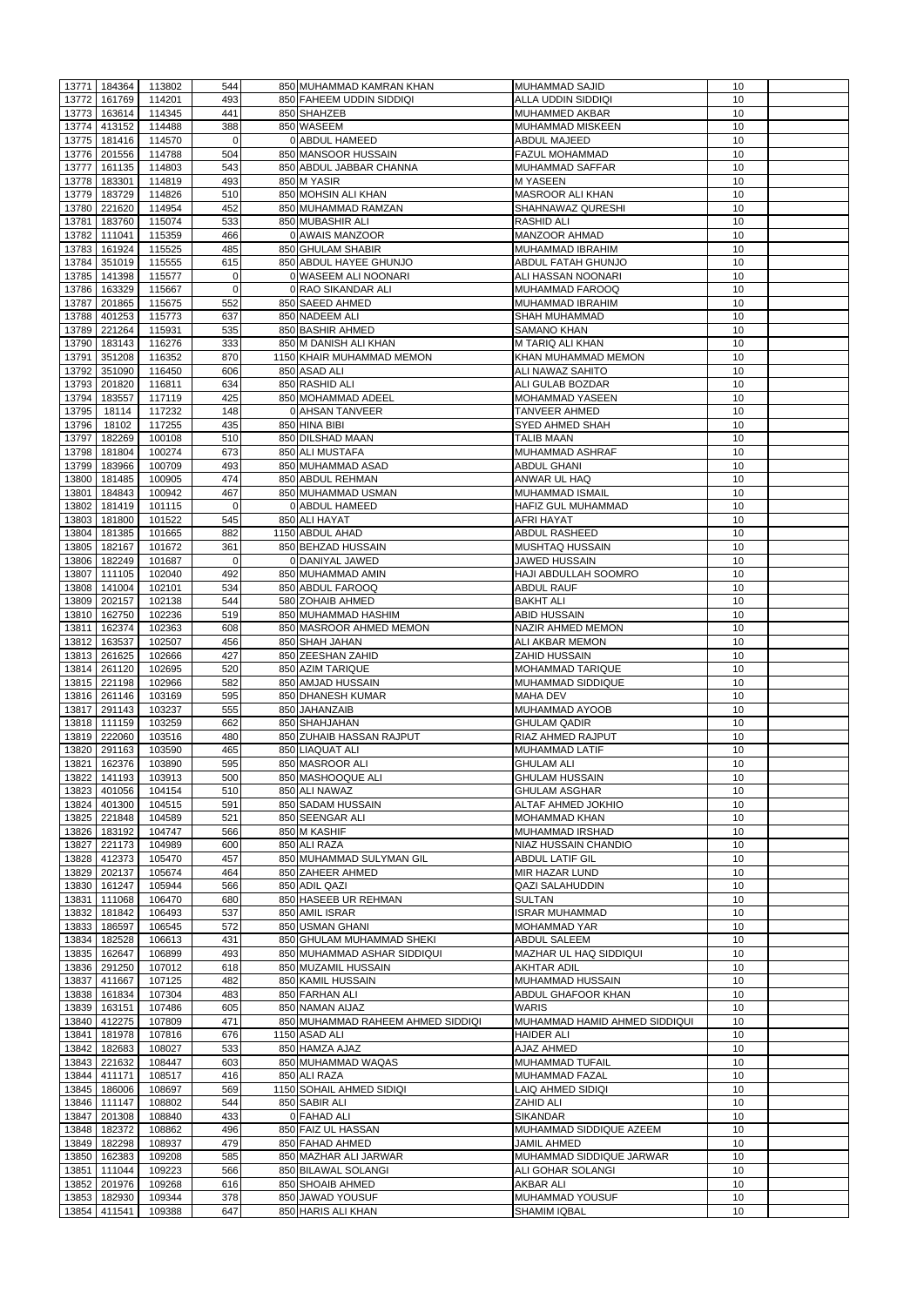|         | 13771 184364           | 113802           | 544            | 850 MUHAMMAD KAMRAN KHAN               | <b>MUHAMMAD SAJID</b>                         | 10       |  |
|---------|------------------------|------------------|----------------|----------------------------------------|-----------------------------------------------|----------|--|
|         |                        |                  |                |                                        |                                               |          |  |
| 13772   | 161769                 | 114201           | 493            | 850 FAHEEM UDDIN SIDDIQI               | ALLA UDDIN SIDDIQI                            | 10       |  |
| 13773   | 163614                 | 114345           | 441            | 850 SHAHZEB                            | <b>MUHAMMED AKBAR</b>                         | 10       |  |
| 13774   | 413152                 | 114488           | 388            | 850 WASEEM                             | <b>MUHAMMAD MISKEEN</b>                       | 10       |  |
| 13775   | 181416                 | 114570           | $\overline{0}$ | 0 ABDUL HAMEED                         | <b>ABDUL MAJEED</b>                           | 10       |  |
|         |                        |                  |                |                                        |                                               |          |  |
| 13776   | 201556                 | 114788           | 504            | 850 MANSOOR HUSSAIN                    | <b>FAZUL MOHAMMAD</b>                         | 10       |  |
| 13777   | 161135                 | 114803           | 543            | 850 ABDUL JABBAR CHANNA                | <b>MUHAMMAD SAFFAR</b>                        | 10       |  |
| 13778   | 183301                 | 114819           | 493            | 850 M YASIR                            | <b>MYASEEN</b>                                | 10       |  |
| 13779   | 183729                 | 114826           | 510            | 850 MOHSIN ALI KHAN                    | <b>MASROOR ALI KHAN</b>                       | 10       |  |
|         |                        |                  |                |                                        |                                               |          |  |
| 13780   | 221620                 | 114954           | 452            | 850 MUHAMMAD RAMZAN                    | SHAHNAWAZ QURESHI                             | 10       |  |
| 13781   | 183760                 | 115074           | 533            | 850 MUBASHIR ALI                       | <b>RASHID ALI</b>                             | 10       |  |
| 13782   | 111041                 | 115359           | 466            | 0 AWAIS MANZOOR                        | <b>MANZOOR AHMAD</b>                          | 10       |  |
| 13783   | 161924                 | 115525           | 485            | 850 GHULAM SHABIR                      | <b>MUHAMMAD IBRAHIM</b>                       | 10       |  |
| 13784   | 351019                 |                  |                |                                        |                                               | 10       |  |
|         |                        | 115555           | 615            | 850 ABDUL HAYEE GHUNJO                 | <b>ABDUL FATAH GHUNJO</b>                     |          |  |
| 13785   | 141398                 | 115577           | $\overline{0}$ | 0 WASEEM ALI NOONARI                   | ALI HASSAN NOONARI                            | 10       |  |
| 13786   | 163329                 | 115667           | $\Omega$       | 0 RAO SIKANDAR ALI                     | MUHAMMAD FAROOQ                               | 10       |  |
| 13787   | 201865                 | 115675           | 552            | 850 SAEED AHMED                        | <b>MUHAMMAD IBRAHIM</b>                       | 10       |  |
| 13788   | 401253                 | 115773           | 637            | 850 NADEEM ALI                         | <b>SHAH MUHAMMAD</b>                          | 10       |  |
|         |                        |                  |                |                                        |                                               |          |  |
| 13789   | 221264                 | 115931           | 535            | 850 BASHIR AHMED                       | <b>SAMANO KHAN</b>                            | 10       |  |
| 13790   | 183143                 | 116276           | 333            | 850 M DANISH ALI KHAN                  | <b>M TARIO ALI KHAN</b>                       | 10       |  |
| 13791   | 351208                 | 116352           | 870            | 1150 KHAIR MUHAMMAD MEMON              | KHAN MUHAMMAD MEMON                           | 10       |  |
| 13792   | 351090                 | 116450           | 606            | 850 ASAD ALI                           | ALI NAWAZ SAHITO                              | 10       |  |
|         |                        |                  | 634            | 850 RASHID ALI                         |                                               |          |  |
| 13793   | 201820                 | 116811           |                |                                        | ALI GULAB BOZDAR                              | 10       |  |
| 13794   | 183557                 | 117119           | 425            | 850 MOHAMMAD ADEEL                     | <b>MOHAMMAD YASEEN</b>                        | 10       |  |
| 13795   | 18114                  | 117232           | 148            | 0 AHSAN TANVEER                        | TANVEER AHMED                                 | 10       |  |
| 13796   | 18102                  | 117255           | 435            | 850 HINA BIBI                          | <b>SYED AHMED SHAH</b>                        | 10       |  |
| 13797   | 182269                 | 100108           | 510            | 850 DILSHAD MAAN                       | <b>TALIB MAAN</b>                             | 10       |  |
|         |                        |                  | 673            |                                        |                                               |          |  |
| 13798   | 181804                 | 100274           |                | 850 ALI MUSTAFA                        | <b>MUHAMMAD ASHRAF</b>                        | 10       |  |
| 13799   | 183966                 | 100709           | 493            | 850 MUHAMMAD ASAD                      | <b>ABDUL GHANI</b>                            | 10       |  |
| 13800   | 181485                 | 100905           | 474            | 850 ABDUL REHMAN                       | ANWAR UL HAQ                                  | 10       |  |
| 13801   | 184843                 | 100942           | 467            | 850 MUHAMMAD USMAN                     | <b>MUHAMMAD ISMAIL</b>                        | 10       |  |
| 13802   | 181419                 | 101115           | $\Omega$       | 0 ABDUL HAMEED                         | <b>HAFIZ GUL MUHAMMAD</b>                     | 10       |  |
|         |                        |                  |                |                                        |                                               |          |  |
| 13803   | 181800                 | 101522           | 545            | 850 ALI HAYAT                          | AFRI HAYAT                                    | 10       |  |
| 13804   | 181385                 | 101665           | 882            | 1150 ABDUL AHAD                        | <b>ABDUL RASHEED</b>                          | 10       |  |
| 13805   | 182167                 | 101672           | 361            | 850 BEHZAD HUSSAIN                     | <b>MUSHTAQ HUSSAIN</b>                        | 10       |  |
|         | 13806 182249           | 101687           | $\overline{0}$ | 0 DANIYAL JAWED                        | <b>JAWED HUSSAIN</b>                          | 10       |  |
|         | 13807 111105           | 102040           | 492            | 850 MUHAMMAD AMIN                      | <b>HAJI ABDULLAH SOOMRO</b>                   | 10       |  |
|         |                        |                  |                |                                        |                                               |          |  |
| 13808   | 141004                 | 102101           | 534            | 850 ABDUL FAROOQ                       | <b>ABDUL RAUF</b>                             | 10       |  |
| 13809   | 202157                 | 102138           | 544            | 580 ZOHAIB AHMED                       | <b>BAKHT ALI</b>                              | 10       |  |
| 13810   | 162750                 | 102236           | 519            | 850 MUHAMMAD HASHIM                    | <b>ABID HUSSAIN</b>                           | 10       |  |
| 13811   | 162374                 | 102363           | 608            | 850 MASROOR AHMED MEMON                | NAZIR AHMED MEMON                             | 10       |  |
|         | 163537                 |                  | 456            |                                        |                                               |          |  |
| 13812   |                        | 102507           |                | 850 SHAH JAHAN                         | ALI AKBAR MEMON                               | 10       |  |
| 13813   | 261625                 | 102666           | 427            | 850 ZEESHAN ZAHID                      | <b>ZAHID HUSSAIN</b>                          | 10       |  |
| 13814   | 261120                 | 102695           | 520            | 850 AZIM TARIQUE                       | <b>MOHAMMAD TARIQUE</b>                       | 10       |  |
|         | 13815 221198           | 102966           | 582            | 850 AMJAD HUSSAIN                      | <b>MUHAMMAD SIDDIQUE</b>                      | 10       |  |
|         | 13816 261146           | 103169           | 595            | 850 DHANESH KUMAR                      | <b>MAHA DEV</b>                               | 10       |  |
|         | 291143                 | 103237           | 555            | 850 JAHANZAIB                          | MUHAMMAD AYOOB                                | 10       |  |
| 13817   |                        |                  |                |                                        |                                               |          |  |
| 13818   | 111159                 | 103259           | 662            | 850 SHAHJAHAN                          | <b>GHULAM QADIR</b>                           | 10       |  |
| 13819   | 222060                 | 103516           | 480            | 850 ZUHAIB HASSAN RAJPUT               | <b>RIAZ AHMED RAJPUT</b>                      | 10       |  |
| 13820   | 291163                 | 103590           | 465            | 850 LIAQUAT ALI                        | <b>MUHAMMAD LATIF</b>                         | 10       |  |
| 13821   | 162376                 | 103890           | 595            | 850 MASROOR ALI                        | <b>GHULAM ALI</b>                             | 10       |  |
|         |                        |                  |                |                                        |                                               |          |  |
| 13822   | 141193                 | 103913           | 500            | 850 MASHOOQUE ALI                      | <b>GHULAM HUSSAIN</b>                         | 10       |  |
| 13823   | 401056                 | 104154           | 510            | 850 ALI NAWAZ                          |                                               |          |  |
| 13824   | 401300                 | 104515           |                |                                        | <b>GHULAM ASGHAR</b>                          | 10       |  |
| 13825   | 221848                 |                  | 591            | 850 SADAM HUSSAIN                      | <b>ALTAF AHMED JOKHIO</b>                     | 10       |  |
| 13826   |                        | 104589           | 521            | 850 SEENGAR ALI                        | <b>MOHAMMAD KHAN</b>                          | 10       |  |
|         |                        |                  |                |                                        |                                               |          |  |
|         | 183192                 | 104747           | 566            | 850 M KASHIF                           | MUHAMMAD IRSHAD                               | 10       |  |
| 13827   | 221173                 | 104989           | 600            | 850 ALI RAZA                           | NIAZ HUSSAIN CHANDIO                          | 10       |  |
| 13828   | 412373                 | 105470           | 457            | 850 MUHAMMAD SULYMAN GIL               | <b>ABDUL LATIF GIL</b>                        | 10       |  |
| 13829   | 202137                 | 105674           | 464            | 850 ZAHEER AHMED                       | <b>MIR HAZAR LUND</b>                         | 10       |  |
|         |                        |                  |                |                                        |                                               |          |  |
| 13830   | 161247                 | 105944           | 566            | 850 ADIL QAZI                          | <b>QAZI SALAHUDDIN</b>                        | 10       |  |
| 13831   | 111068                 | 106470           | 680            | 850 HASEEB UR REHMAN                   | <b>SULTAN</b>                                 | 10       |  |
| 13832   | 181842                 | 106493           | 537            | 850 AMIL ISRAR                         | <b>ISRAR MUHAMMAD</b>                         | 10       |  |
| 13833   | 186597                 | 106545           | 572            | 850 USMAN GHANI                        | <b>MOHAMMAD YAR</b>                           | 10       |  |
| 13834   | 182528                 | 106613           | 431            | 850 GHULAM MUHAMMAD SHEKI              | <b>ABDUL SALEEM</b>                           | 10       |  |
| 13835   | 162647                 | 106899           | 493            | 850 MUHAMMAD ASHAR SIDDIQUI            | MAZHAR UL HAQ SIDDIQUI                        | 10       |  |
|         |                        |                  |                |                                        |                                               |          |  |
| 13836   | 291250                 | 107012           | 618            | 850 MUZAMIL HUSSAIN                    | <b>AKHTAR ADIL</b>                            | 10       |  |
| 13837   | 411667                 | 107125           | 482            | 850 KAMIL HUSSAIN                      | MUHAMMAD HUSSAIN                              | 10       |  |
| 13838   | 161834                 | 107304           | 483            | 850 FARHAN ALI                         | ABDUL GHAFOOR KHAN                            | 10       |  |
| 13839   | 163151                 | 107486           | 605            | 850 NAMAN AIJAZ                        | <b>WARIS</b>                                  | 10       |  |
| 13840   | 412275                 | 107809           | 471            | 850 MUHAMMAD RAHEEM AHMED SIDDIQI      | MUHAMMAD HAMID AHMED SIDDIQUI                 | 10       |  |
|         |                        |                  |                |                                        |                                               |          |  |
| 13841   | 181978                 | 107816           | 676            | 1150 ASAD ALI                          | <b>HAIDER ALI</b>                             | 10       |  |
| 13842   | 182683                 | 108027           | 533            | 850 HAMZA AJAZ                         | <b>AJAZ AHMED</b>                             | 10       |  |
|         | 13843 221632           | 108447           | 603            | 850 MUHAMMAD WAQAS                     | <b>MUHAMMAD TUFAIL</b>                        | 10       |  |
| 13844 l | 411171                 | 108517           | 416            | 850 ALI RAZA                           | MUHAMMAD FAZAL                                | 10       |  |
|         | 13845 186006           | 108697           | 569            | 1150 SOHAIL AHMED SIDIQI               | LAIQ AHMED SIDIQI                             | 10       |  |
|         |                        |                  |                |                                        |                                               |          |  |
|         | 13846 111147           | 108802           | 544            | 850 SABIR ALI                          | ZAHID ALI                                     | 10       |  |
| 13847   | 201308                 | 108840           | 433            | 0 FAHAD ALI                            | <b>SIKANDAR</b>                               | 10       |  |
| 13848   | 182372                 | 108862           | 496            | 850 FAIZ UL HASSAN                     | MUHAMMAD SIDDIQUE AZEEM                       | 10       |  |
| 13849   | 182298                 | 108937           | 479            | 850 FAHAD AHMED                        | <b>JAMIL AHMED</b>                            | 10       |  |
| 13850   | 162383                 | 109208           | 585            | 850 MAZHAR ALI JARWAR                  | MUHAMMAD SIDDIQUE JARWAR                      | 10       |  |
| 13851   | 111044                 | 109223           | 566            | 850 BILAWAL SOLANGI                    | ALI GOHAR SOLANGI                             | 10       |  |
|         |                        |                  |                |                                        |                                               |          |  |
| 13852   | 201976                 | 109268           | 616            | 850 SHOAIB AHMED                       | <b>AKBAR ALI</b>                              | 10       |  |
| 13853   | 182930<br>13854 411541 | 109344<br>109388 | 378<br>647     | 850 JAWAD YOUSUF<br>850 HARIS ALI KHAN | <b>MUHAMMAD YOUSUF</b><br><b>SHAMIM IQBAL</b> | 10<br>10 |  |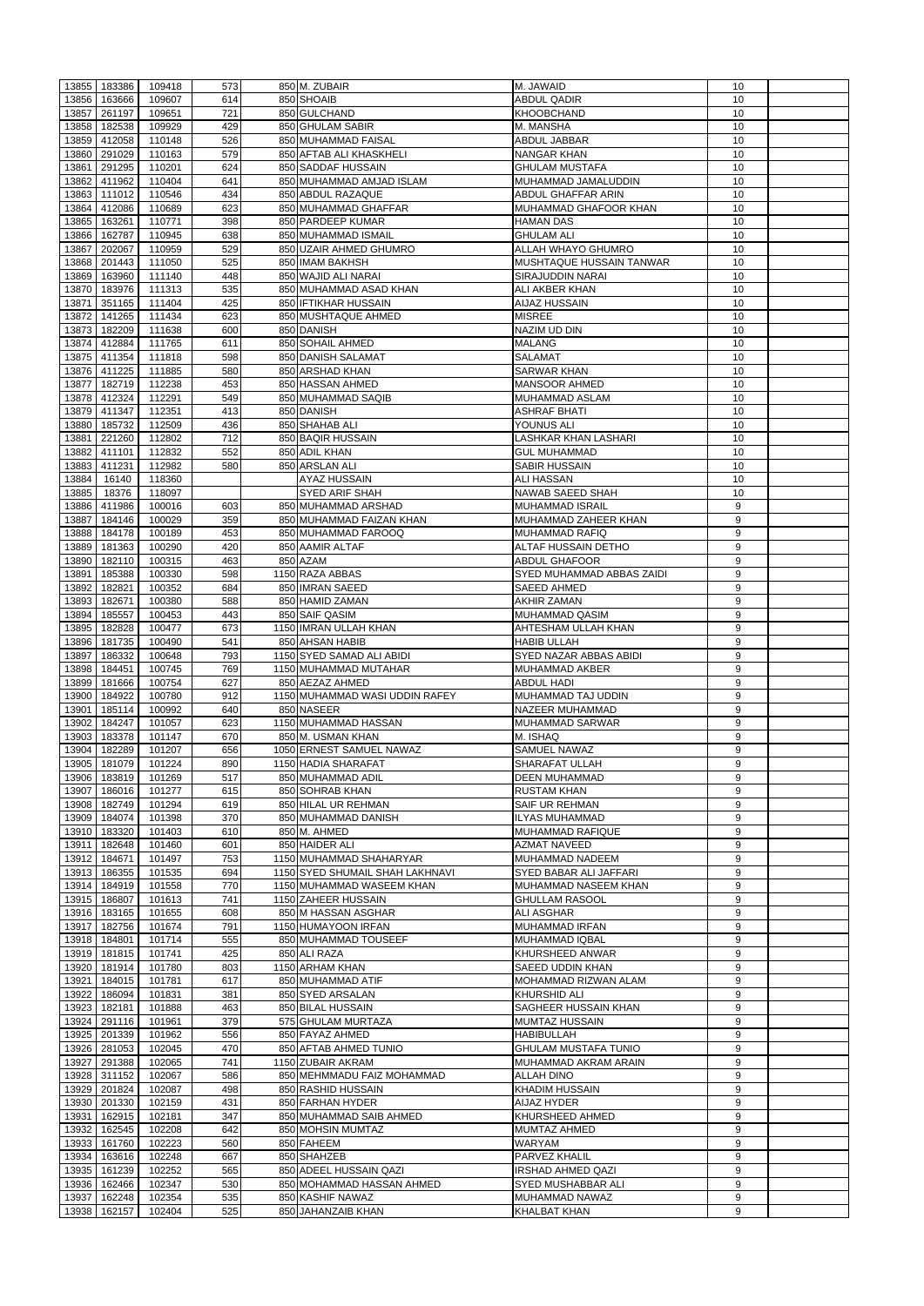| 13855          | 183386                 | 109418           | 573        | 850 M. ZUBAIR                                      | M. JAWAID                             | 10               |  |
|----------------|------------------------|------------------|------------|----------------------------------------------------|---------------------------------------|------------------|--|
| 13856          | 163666                 | 109607           | 614        | 850 SHOAIB                                         | <b>ABDUL QADIR</b>                    | 10               |  |
| 13857          | 261197                 | 109651           | 721        | 850 GULCHAND                                       | <b>KHOOBCHAND</b>                     | 10               |  |
| 13858          | 182538                 | 109929           | 429        | 850 GHULAM SABIR                                   | M. MANSHA                             | 10               |  |
| 13859          | 412058                 | 110148           | 526        | 850 MUHAMMAD FAISAL                                | <b>ABDUL JABBAR</b>                   | 10               |  |
|                |                        |                  |            | 850 AFTAB ALI KHASKHELI                            |                                       |                  |  |
| 13860          | 291029                 | 110163           | 579        |                                                    | <b>NANGAR KHAN</b>                    | 10               |  |
| 13861          | 291295                 | 110201           | 624        | 850 SADDAF HUSSAIN                                 | <b>GHULAM MUSTAFA</b>                 | 10               |  |
| 13862          | 411962                 | 110404           | 641        | 850 MUHAMMAD AMJAD ISLAM                           | MUHAMMAD JAMALUDDIN                   | 10               |  |
| 13863          | 111012                 | 110546           | 434        | 850 ABDUL RAZAQUE                                  | ABDUL GHAFFAR ARIN                    | 10               |  |
| 13864          | 412086                 | 110689           | 623        | 850 MUHAMMAD GHAFFAR                               | MUHAMMAD GHAFOOR KHAN                 | 10               |  |
| 13865          | 163261                 | 110771           | 398        | 850 PARDEEP KUMAR                                  | <b>HAMAN DAS</b>                      | 10               |  |
| 13866          | 162787                 | 110945           | 638        | 850 MUHAMMAD ISMAIL                                | <b>GHULAM ALI</b>                     | 10               |  |
| 13867          | 202067                 | 110959           | 529        | 850 UZAIR AHMED GHUMRO                             | <b>ALLAH WHAYO GHUMRO</b>             | 10               |  |
| 13868          | 201443                 | 111050           | 525        | 850 IMAM BAKHSH                                    | MUSHTAQUE HUSSAIN TANWAR              | 10               |  |
| 13869          | 163960                 | 111140           | 448        | 850 WAJID ALI NARAI                                | <b>SIRAJUDDIN NARAI</b>               | 10               |  |
| 13870          | 183976                 | 111313           | 535        | 850 MUHAMMAD ASAD KHAN                             | <b>ALI AKBER KHAN</b>                 | 10               |  |
| 13871          | 351165                 | 111404           | 425        | 850 IFTIKHAR HUSSAIN                               | <b>AIJAZ HUSSAIN</b>                  | 10               |  |
| 13872          | 141265                 | 111434           | 623        | 850 MUSHTAQUE AHMED                                | <b>MISREE</b>                         | 10               |  |
| 13873          | 182209                 | 111638           | 600        | 850 DANISH                                         | NAZIM UD DIN                          | 10               |  |
| 13874          | 412884                 | 111765           | 611        | 850 SOHAIL AHMED                                   | <b>MALANG</b>                         | 10               |  |
| 13875          | 411354                 | 111818           | 598        | 850 DANISH SALAMAT                                 | <b>SALAMAT</b>                        | 10               |  |
| 13876          | 411225                 | 111885           | 580        | 850 ARSHAD KHAN                                    | <b>SARWAR KHAN</b>                    | 10               |  |
| 13877          | 182719                 | 112238           | 453        | 850 HASSAN AHMED                                   | <b>MANSOOR AHMED</b>                  | 10               |  |
|                |                        |                  |            |                                                    |                                       |                  |  |
| 13878          | 412324                 | 112291           | 549        | 850 MUHAMMAD SAQIB                                 | MUHAMMAD ASLAM                        | 10               |  |
| 13879          | 411347                 | 112351           | 413        | 850 DANISH                                         | <b>ASHRAF BHATI</b>                   | 10               |  |
| 13880          | 185732                 | 112509           | 436        | 850 SHAHAB ALI                                     | YOUNUS ALI                            | 10               |  |
| 13881          | 221260                 | 112802           | 712        | 850 BAQIR HUSSAIN                                  | <b>LASHKAR KHAN LASHARI</b>           | 10               |  |
| 13882          | 411101                 | 112832           | 552        | 850 ADIL KHAN                                      | <b>GUL MUHAMMAD</b>                   | 10               |  |
| 13883          | 411231                 | 112982           | 580        | 850 ARSLAN ALI                                     | <b>SABIR HUSSAIN</b>                  | 10               |  |
| 13884          | 16140                  | 118360           |            | <b>AYAZ HUSSAIN</b>                                | <b>ALI HASSAN</b>                     | 10               |  |
| 13885          | 18376                  | 118097           |            | <b>SYED ARIF SHAH</b>                              | <b>NAWAB SAEED SHAH</b>               | 10               |  |
| 13886          | 411986                 | 100016           | 603        | 850 MUHAMMAD ARSHAD                                | <b>MUHAMMAD ISRAIL</b>                | 9                |  |
| 13887          | 184146                 | 100029           | 359        | 850 MUHAMMAD FAIZAN KHAN                           | MUHAMMAD ZAHEER KHAN                  | 9                |  |
| 13888          | 184178                 | 100189           | 453        | 850 MUHAMMAD FAROOQ                                | <b>MUHAMMAD RAFIQ</b>                 | 9                |  |
| 13889          | 181363                 | 100290           | 420        | 850 AAMIR ALTAF                                    | <b>ALTAF HUSSAIN DETHO</b>            | 9                |  |
|                | 13890 182110           | 100315           | 463        | 850 AZAM                                           | <b>ABDUL GHAFOOR</b>                  | 9                |  |
|                | 13891 185388           | 100330           | 598        | 1150 RAZA ABBAS                                    | <b>SYED MUHAMMAD ABBAS ZAIDI</b>      | 9                |  |
| 13892          | 182821                 | 100352           | 684        | 850 IMRAN SAEED                                    | <b>SAEED AHMED</b>                    | 9                |  |
| 13893          | 182671                 | 100380           | 588        | 850 HAMID ZAMAN                                    | <b>AKHIR ZAMAN</b>                    | 9                |  |
| 13894          | 185557                 | 100453           | 443        | 850 SAIF QASIM                                     | MUHAMMAD QASIM                        | 9                |  |
| 13895          | 182828                 | 100477           | 673        | 1150 IMRAN ULLAH KHAN                              | AHTESHAM ULLAH KHAN                   | 9                |  |
|                |                        |                  | 541        | 850 AHSAN HABIB                                    |                                       | $\boldsymbol{9}$ |  |
| 13896          | 181735                 | 100490           |            |                                                    | <b>HABIB ULLAH</b>                    |                  |  |
| 13897<br>13898 | 186332                 | 100648           | 793        | 1150 SYED SAMAD ALI ABIDI<br>1150 MUHAMMAD MUTAHAR | SYED NAZAR ABBAS ABIDI                | 9                |  |
|                |                        |                  |            |                                                    |                                       |                  |  |
|                | 184451                 | 100745           | 769        |                                                    | <b>MUHAMMAD AKBER</b>                 | 9                |  |
| 13899          | 181666                 | 100754           | 627        | 850 AEZAZ AHMED                                    | <b>ABDUL HADI</b>                     | 9                |  |
| 13900          | 184922                 | 100780           | 912        | 1150 MUHAMMAD WASI UDDIN RAFEY                     | MUHAMMAD TAJ UDDIN                    | 9                |  |
| 13901          | 185114                 | 100992           | 640        | 850 NASEER                                         | NAZEER MUHAMMAD                       | 9                |  |
| 13902          | 184247                 | 101057           | 623        | 1150 MUHAMMAD HASSAN                               | <b>MUHAMMAD SARWAR</b>                | 9                |  |
| 13903          | 183378                 | 101147           | 670        | 850 M. USMAN KHAN                                  | M. ISHAQ                              | 9                |  |
| 13904          | 182289                 | 101207           | 656        | 1050 ERNEST SAMUEL NAWAZ                           | <b>SAMUEL NAWAZ</b>                   | 9                |  |
| 13905          | 181079                 | 101224           | 890        | 1150 HADIA SHARAFAT                                | <b>SHARAFAT ULLAH</b>                 | 9                |  |
| 13906          | 183819                 | 101269           | 517        | 850 MUHAMMAD ADIL                                  | <b>DEEN MUHAMMAD</b>                  | 9                |  |
| 13907          | 186016                 | 101277           | 615        | 850 SOHRAB KHAN                                    | <b>RUSTAM KHAN</b>                    | 9                |  |
| 13908          | 182749                 | 101294           | 619        | 850 HILAL UR REHMAN                                | <b>SAIF UR REHMAN</b>                 | 9                |  |
| 13909          | 184074                 | 101398           | 370        | 850 MUHAMMAD DANISH                                | <b>ILYAS MUHAMMAD</b>                 | 9                |  |
| 13910          | 183320                 | 101403           | 610        | 850 M. AHMED                                       | <b>MUHAMMAD RAFIQUE</b>               | 9                |  |
|                |                        |                  |            |                                                    |                                       |                  |  |
| 13911          | 182648                 | 101460           | 601        | 850 HAIDER ALI                                     | <b>AZMAT NAVEED</b>                   | 9                |  |
| 13912          | 184671                 | 101497           | 753        | 1150 MUHAMMAD SHAHARYAR                            | MUHAMMAD NADEEM                       | 9                |  |
| 13913          | 186355                 | 101535           | 694        | 1150 SYED SHUMAIL SHAH LAKHNAVI                    | SYED BABAR ALI JAFFARI                | 9                |  |
| 13914          | 184919                 | 101558           | 770        | 1150 MUHAMMAD WASEEM KHAN                          | MUHAMMAD NASEEM KHAN                  | 9                |  |
|                | 13915 186807           | 101613           | 741        | 1150 ZAHEER HUSSAIN                                | <b>GHULLAM RASOOL</b>                 | 9                |  |
|                | 13916 183165           | 101655           | 608        | 850 M HASSAN ASGHAR                                | <b>ALI ASGHAR</b>                     | 9                |  |
| 13917          | 182756                 | 101674           | 791        | 1150 HUMAYOON IRFAN                                | <b>MUHAMMAD IRFAN</b>                 | 9                |  |
|                | 13918 184801           | 101714           | 555        | 850 MUHAMMAD TOUSEEF                               | MUHAMMAD IQBAL                        | 9                |  |
| 13919          | 181815                 | 101741           | 425        | 850 ALI RAZA                                       | KHURSHEED ANWAR                       | 9                |  |
| 13920          | 181914                 | 101780           | 803        | 1150 ARHAM KHAN                                    | <b>SAEED UDDIN KHAN</b>               | 9                |  |
| 13921          | 184015                 | 101781           | 617        | 850 MUHAMMAD ATIF                                  | MOHAMMAD RIZWAN ALAM                  | 9                |  |
| 13922          | 186094                 | 101831           | 381        | 850 SYED ARSALAN                                   | <b>KHURSHID ALI</b>                   | 9                |  |
| 13923          | 182181                 | 101888           | 463        | 850 BILAL HUSSAIN                                  | SAGHEER HUSSAIN KHAN                  | 9                |  |
|                | 13924 291116           | 101961           | 379        | 575 GHULAM MURTAZA                                 | <b>MUMTAZ HUSSAIN</b>                 | 9                |  |
|                | 13925 201339           | 101962           | 556        | 850 FAYAZ AHMED                                    | <b>HABIBULLAH</b>                     | $\boldsymbol{9}$ |  |
|                | 13926 281053           | 102045           | 470        | 850 AFTAB AHMED TUNIO                              | <b>GHULAM MUSTAFA TUNIO</b>           | 9                |  |
|                | 13927 291388           | 102065           | 741        | 1150 ZUBAIR AKRAM                                  | MUHAMMAD AKRAM ARAIN                  | 9                |  |
|                | 13928 311152           | 102067           | 586        | 850 MEHMMADU FAIZ MOHAMMAD                         | <b>ALLAH DINO</b>                     | 9                |  |
|                | 13929 201824           | 102087           | 498        | 850 RASHID HUSSAIN                                 | <b>KHADIM HUSSAIN</b>                 | 9                |  |
|                | 13930 201330           | 102159           | 431        | 850 FARHAN HYDER                                   | <b>AIJAZ HYDER</b>                    | 9                |  |
| 13931          | 162915                 | 102181           | 347        | 850 MUHAMMAD SAIB AHMED                            | KHURSHEED AHMED                       | 9                |  |
|                | 13932 162545           | 102208           | 642        | 850 MOHSIN MUMTAZ                                  | MUMTAZ AHMED                          | 9                |  |
|                | 161760                 | 102223           | 560        | 850 FAHEEM                                         | <b>WARYAM</b>                         | 9                |  |
| 13933          |                        |                  |            | 850 SHAHZEB                                        | <b>PARVEZ KHALIL</b>                  |                  |  |
| 13934          | 163616                 | 102248           | 667        |                                                    |                                       | 9                |  |
| 13935          | 161239                 | 102252           | 565        | 850 ADEEL HUSSAIN QAZI                             | <b>IRSHAD AHMED QAZI</b>              | 9                |  |
| 13936          | 162466                 | 102347           | 530        | 850 MOHAMMAD HASSAN AHMED                          | <b>SYED MUSHABBAR ALI</b>             | 9                |  |
| 13937          | 162248<br>13938 162157 | 102354<br>102404 | 535<br>525 | 850 KASHIF NAWAZ<br>850 JAHANZAIB KHAN             | MUHAMMAD NAWAZ<br><b>KHALBAT KHAN</b> | 9<br>9           |  |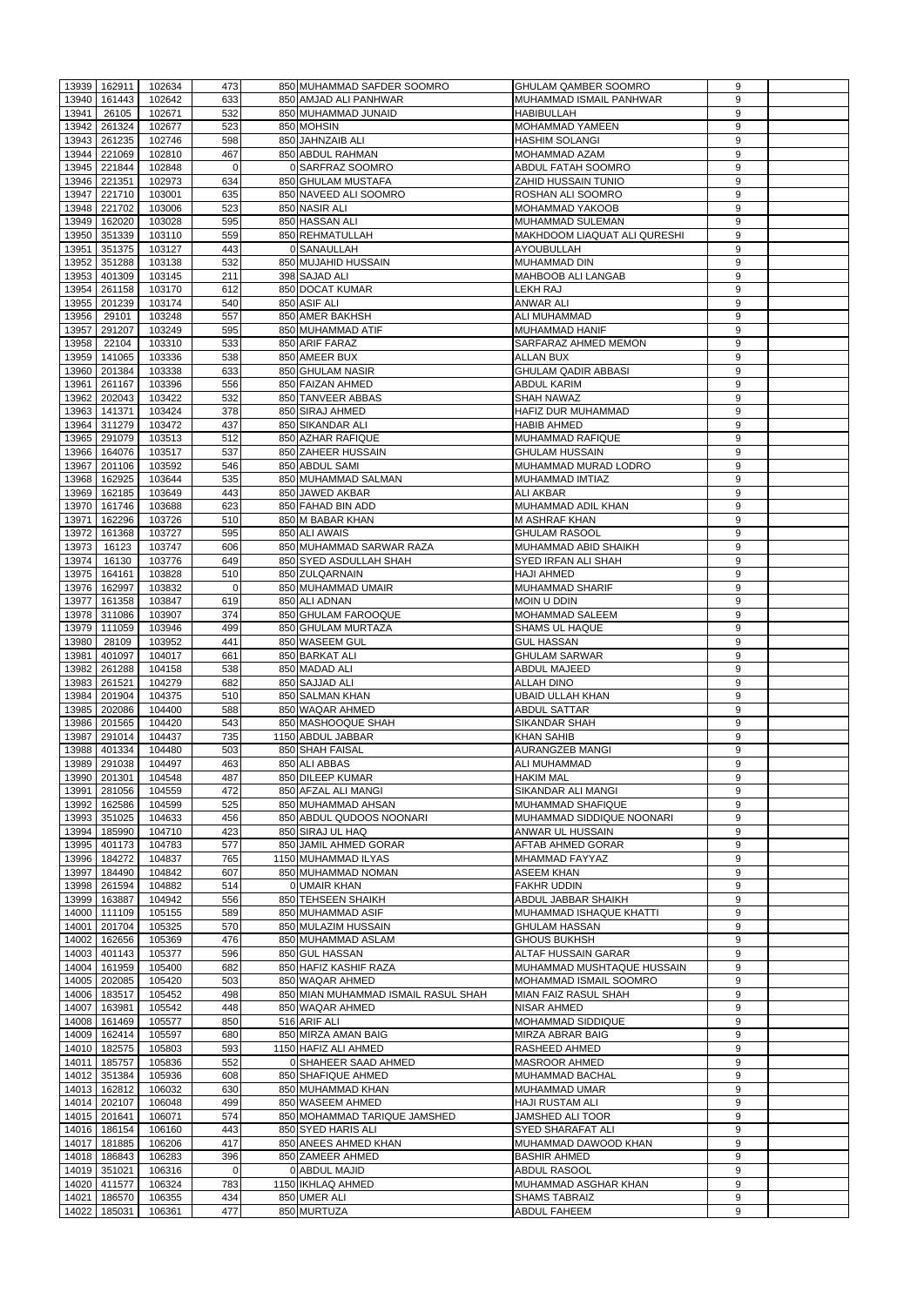| 13939 | 162911       | 102634 | 473      | 850 MUHAMMAD SAFDER SOOMRO          | <b>GHULAM QAMBER SOOMRO</b>         | 9                |  |
|-------|--------------|--------|----------|-------------------------------------|-------------------------------------|------------------|--|
|       |              |        | 633      |                                     | MUHAMMAD ISMAIL PANHWAR             |                  |  |
| 13940 | 161443       | 102642 |          | 850 AMJAD ALI PANHWAR               |                                     | 9                |  |
| 13941 | 26105        | 102671 | 532      | 850 MUHAMMAD JUNAID                 | <b>HABIBULLAH</b>                   | 9                |  |
| 13942 | 261324       | 102677 | 523      | 850 MOHSIN                          | <b>MOHAMMAD YAMEEN</b>              | 9                |  |
| 13943 | 261235       | 102746 | 598      | 850 JAHNZAIB ALI                    | <b>HASHIM SOLANGI</b>               | 9                |  |
| 13944 | 221069       | 102810 | 467      | 850 ABDUL RAHMAN                    | <b>MOHAMMAD AZAM</b>                | 9                |  |
| 13945 | 221844       | 102848 | $\Omega$ | 0 SARFRAZ SOOMRO                    | <b>ABDUL FATAH SOOMRO</b>           | 9                |  |
| 13946 | 221351       | 102973 | 634      | 850 GHULAM MUSTAFA                  | <b>ZAHID HUSSAIN TUNIO</b>          | $\boldsymbol{9}$ |  |
| 13947 | 221710       | 103001 | 635      | 850 NAVEED ALI SOOMRO               | ROSHAN ALI SOOMRO                   | $\boldsymbol{9}$ |  |
| 13948 | 221702       | 103006 | 523      | 850 NASIR ALI                       | <b>MOHAMMAD YAKOOB</b>              | 9                |  |
|       |              |        |          |                                     |                                     |                  |  |
| 13949 | 162020       | 103028 | 595      | 850 HASSAN ALI                      | MUHAMMAD SULEMAN                    | 9                |  |
| 13950 | 351339       | 103110 | 559      | 850 REHMATULLAH                     | <b>MAKHDOOM LIAQUAT ALI QURESHI</b> | 9                |  |
| 13951 | 351375       | 103127 | 443      | 0 SANAULLAH                         | <b>AYOUBULLAH</b>                   | 9                |  |
| 13952 | 351288       | 103138 | 532      | 850 MUJAHID HUSSAIN                 | <b>MUHAMMAD DIN</b>                 | 9                |  |
| 13953 | 401309       | 103145 | 211      | 398 SAJAD ALI                       | <b>MAHBOOB ALI LANGAB</b>           | 9                |  |
| 13954 | 261158       | 103170 | 612      | 850 DOCAT KUMAR                     | LEKH RAJ                            | 9                |  |
|       |              |        |          |                                     |                                     |                  |  |
| 13955 | 201239       | 103174 | 540      | 850 ASIF ALI                        | <b>ANWAR ALI</b>                    | 9                |  |
| 13956 | 29101        | 103248 | 557      | 850 AMER BAKHSH                     | <b>ALI MUHAMMAD</b>                 | 9                |  |
| 13957 | 291207       | 103249 | 595      | 850 MUHAMMAD ATIF                   | <b>MUHAMMAD HANIF</b>               | 9                |  |
| 13958 | 22104        | 103310 | 533      | 850 ARIF FARAZ                      | SARFARAZ AHMED MEMON                | 9                |  |
| 13959 | 141065       | 103336 | 538      | 850 AMEER BUX                       | <b>ALLAN BUX</b>                    | 9                |  |
| 13960 | 201384       | 103338 | 633      | 850 GHULAM NASIR                    | <b>GHULAM QADIR ABBASI</b>          | 9                |  |
|       |              |        |          |                                     |                                     |                  |  |
| 13961 | 261167       | 103396 | 556      | 850 FAIZAN AHMED                    | <b>ABDUL KARIM</b>                  | 9                |  |
| 13962 | 202043       | 103422 | 532      | 850 TANVEER ABBAS                   | <b>SHAH NAWAZ</b>                   | 9                |  |
|       | 13963 141371 | 103424 | 378      | 850 SIRAJ AHMED                     | HAFIZ DUR MUHAMMAD                  | $\boldsymbol{9}$ |  |
| 13964 | 311279       | 103472 | 437      | 850 SIKANDAR ALI                    | <b>HABIB AHMED</b>                  | 9                |  |
| 13965 | 291079       | 103513 | 512      | 850 AZHAR RAFIQUE                   | MUHAMMAD RAFIQUE                    | $\boldsymbol{9}$ |  |
| 13966 | 164076       | 103517 | 537      | 850 ZAHEER HUSSAIN                  | <b>GHULAM HUSSAIN</b>               | 9                |  |
|       |              |        |          |                                     |                                     |                  |  |
| 13967 | 201106       | 103592 | 546      | 850 ABDUL SAMI                      | MUHAMMAD MURAD LODRO                | 9                |  |
| 13968 | 162925       | 103644 | 535      | 850 MUHAMMAD SALMAN                 | MUHAMMAD IMTIAZ                     | 9                |  |
| 13969 | 162185       | 103649 | 443      | 850 JAWED AKBAR                     | <b>ALI AKBAR</b>                    | 9                |  |
| 13970 | 161746       | 103688 | 623      | 850 FAHAD BIN ADD                   | MUHAMMAD ADIL KHAN                  | 9                |  |
| 13971 | 162296       | 103726 | 510      | 850 M BABAR KHAN                    | <b>M ASHRAF KHAN</b>                | 9                |  |
|       | 161368       |        |          |                                     |                                     |                  |  |
| 13972 |              | 103727 | 595      | 850 ALI AWAIS                       | <b>GHULAM RASOOL</b>                | 9                |  |
| 13973 | 16123        | 103747 | 606      | 850 MUHAMMAD SARWAR RAZA            | MUHAMMAD ABID SHAIKH                | 9                |  |
| 13974 | 16130        | 103776 | 649      | 850 SYED ASDULLAH SHAH              | <b>SYED IRFAN ALI SHAH</b>          | 9                |  |
|       | 13975 164161 | 103828 | 510      | 850 ZULQARNAIN                      | <b>HAJI AHMED</b>                   | 9                |  |
|       | 13976 162997 | 103832 | $\Omega$ | 850 MUHAMMAD UMAIR                  | <b>MUHAMMAD SHARIF</b>              | 9                |  |
| 13977 | 161358       | 103847 | 619      | 850 ALI ADNAN                       | MOIN U DDIN                         | 9                |  |
|       |              |        |          |                                     |                                     |                  |  |
| 13978 | 311086       | 103907 | 374      | 850 GHULAM FAROOQUE                 | <b>MOHAMMAD SALEEM</b>              | $\boldsymbol{9}$ |  |
| 13979 | 111059       | 103946 | 499      | 850 GHULAM MURTAZA                  | <b>SHAMS UL HAQUE</b>               | $\boldsymbol{9}$ |  |
| 13980 | 28109        | 103952 | 441      | 850 WASEEM GUL                      | <b>GUL HASSAN</b>                   | $\boldsymbol{9}$ |  |
| 13981 | 401097       | 104017 | 661      | 850 BARKAT ALI                      | <b>GHULAM SARWAR</b>                | 9                |  |
| 13982 | 261288       | 104158 | 538      | 850 MADAD ALI                       | <b>ABDUL MAJEED</b>                 | 9                |  |
| 13983 | 261521       | 104279 | 682      | 850 SAJJAD ALI                      | <b>ALLAH DINO</b>                   | 9                |  |
|       |              |        |          |                                     |                                     |                  |  |
| 13984 | 201904       | 104375 | 510      | 850 SALMAN KHAN                     | <b>UBAID ULLAH KHAN</b>             | 9                |  |
| 13985 | 202086       | 104400 | 588      | 850 WAQAR AHMED                     | <b>ABDUL SATTAR</b>                 | 9                |  |
| 13986 | 201565       | 104420 | 543      | 850 MASHOOQUE SHAH                  | SIKANDAR SHAH                       | 9                |  |
| 13987 | 291014       | 104437 | 735      | 1150 ABDUL JABBAR                   | <b>KHAN SAHIB</b>                   | 9                |  |
| 13988 | 401334       | 104480 | 503      | 850 SHAH FAISAL                     | <b>AURANGZEB MANGI</b>              | 9                |  |
| 13989 | 291038       | 104497 | 463      | 850 ALI ABBAS                       | <b>ALI MUHAMMAD</b>                 | 9                |  |
|       |              |        |          |                                     |                                     |                  |  |
| 13990 | 201301       | 104548 | 487      | 850 DILEEP KUMAR                    | <b>HAKIM MAL</b>                    | 9                |  |
| 13991 | 281056       | 104559 | 472      | 850 AFZAL ALI MANGI                 | <b>SIKANDAR ALI MANGI</b>           | 9                |  |
| 13992 | 162586       | 104599 | 525      | 850 MUHAMMAD AHSAN                  | MUHAMMAD SHAFIQUE                   | 9                |  |
| 13993 | 351025       | 104633 | 456      | 850 ABDUL QUDOOS NOONARI            | MUHAMMAD SIDDIQUE NOONARI           | 9                |  |
| 13994 | 185990       | 104710 | 423      | 850 SIRAJ UL HAQ                    | ANWAR UL HUSSAIN                    | 9                |  |
| 13995 | 401173       | 104783 | 577      | 850 JAMIL AHMED GORAR               | AFTAB AHMED GORAR                   | 9                |  |
|       |              |        |          |                                     |                                     |                  |  |
| 13996 | 184272       | 104837 | 765      | 1150 MUHAMMAD ILYAS                 | <b>MHAMMAD FAYYAZ</b>               | $\boldsymbol{9}$ |  |
|       | 13997 184490 | 104842 | 607      | 850 MUHAMMAD NOMAN                  | <b>ASEEM KHAN</b>                   | $\boldsymbol{9}$ |  |
|       | 13998 261594 | 104882 | 514      | 0 UMAIR KHAN                        | <b>FAKHR UDDIN</b>                  | 9                |  |
|       | 13999 163887 | 104942 | 556      | 850 TEHSEEN SHAIKH                  | <b>ABDUL JABBAR SHAIKH</b>          | 9                |  |
|       | 14000 111109 | 105155 | 589      | 850 MUHAMMAD ASIF                   | MUHAMMAD ISHAQUE KHATTI             | $\boldsymbol{9}$ |  |
| 14001 | 201704       | 105325 | 570      | 850 MULAZIM HUSSAIN                 | <b>GHULAM HASSAN</b>                | 9                |  |
|       |              |        |          |                                     |                                     |                  |  |
| 14002 | 162656       | 105369 | 476      | 850 MUHAMMAD ASLAM                  | <b>GHOUS BUKHSH</b>                 | 9                |  |
| 14003 | 401143       | 105377 | 596      | 850 GUL HASSAN                      | <b>ALTAF HUSSAIN GARAR</b>          | 9                |  |
| 14004 | 161959       | 105400 | 682      | 850 HAFIZ KASHIF RAZA               | MUHAMMAD MUSHTAQUE HUSSAIN          | 9                |  |
| 14005 | 202085       | 105420 | 503      | 850 WAQAR AHMED                     | MOHAMMAD ISMAIL SOOMRO              | 9                |  |
| 14006 | 183517       | 105452 | 498      | 850 MIAN MUHAMMAD ISMAIL RASUL SHAH | <b>MIAN FAIZ RASUL SHAH</b>         | 9                |  |
| 14007 | 163981       | 105542 | 448      | 850 WAQAR AHMED                     | NISAR AHMED                         | 9                |  |
|       | 161469       |        | 850      | 516 ARIF ALI                        | MOHAMMAD SIDDIQUE                   |                  |  |
| 14008 |              | 105577 |          |                                     |                                     | 9                |  |
| 14009 | 162414       | 105597 | 680      | 850 MIRZA AMAN BAIG                 | MIRZA ABRAR BAIG                    | 9                |  |
| 14010 | 182575       | 105803 | 593      | 1150 HAFIZ ALI AHMED                | <b>RASHEED AHMED</b>                | 9                |  |
|       | 14011 185757 | 105836 | 552      | 0 SHAHEER SAAD AHMED                | <b>MASROOR AHMED</b>                | 9                |  |
|       | 14012 351384 | 105936 | 608      | 850 SHAFIQUE AHMED                  | <b>MUHAMMAD BACHAL</b>              | 9                |  |
|       | 14013 162812 | 106032 | 630      | 850 MUHAMMAD KHAN                   | <b>MUHAMMAD UMAR</b>                | 9                |  |
|       |              |        |          |                                     |                                     |                  |  |
|       | 14014 202107 | 106048 | 499      | 850 WASEEM AHMED                    | <b>HAJI RUSTAM ALI</b>              | 9                |  |
|       | 14015 201641 | 106071 | 574      | 850 MOHAMMAD TARIQUE JAMSHED        | <b>JAMSHED ALI TOOR</b>             | 9                |  |
|       | 14016 186154 | 106160 | 443      | 850 SYED HARIS ALI                  | <b>SYED SHARAFAT ALI</b>            | 9                |  |
|       | 14017 181885 | 106206 | 417      | 850 ANEES AHMED KHAN                | MUHAMMAD DAWOOD KHAN                | 9                |  |
| 14018 | 186843       | 106283 | 396      | 850 ZAMEER AHMED                    | <b>BASHIR AHMED</b>                 | 9                |  |
| 14019 | 351021       | 106316 | $\Omega$ | 0 ABDUL MAJID                       | <b>ABDUL RASOOL</b>                 | 9                |  |
|       |              |        |          |                                     |                                     |                  |  |
| 14020 | 411577       | 106324 | 783      | 1150 IKHLAQ AHMED                   | MUHAMMAD ASGHAR KHAN                | 9                |  |
| 14021 | 186570       | 106355 | 434      | 850 UMER ALI                        | <b>SHAMS TABRAIZ</b>                | 9                |  |
|       | 14022 185031 | 106361 | 477      | 850 MURTUZA                         | <b>ABDUL FAHEEM</b>                 | 9                |  |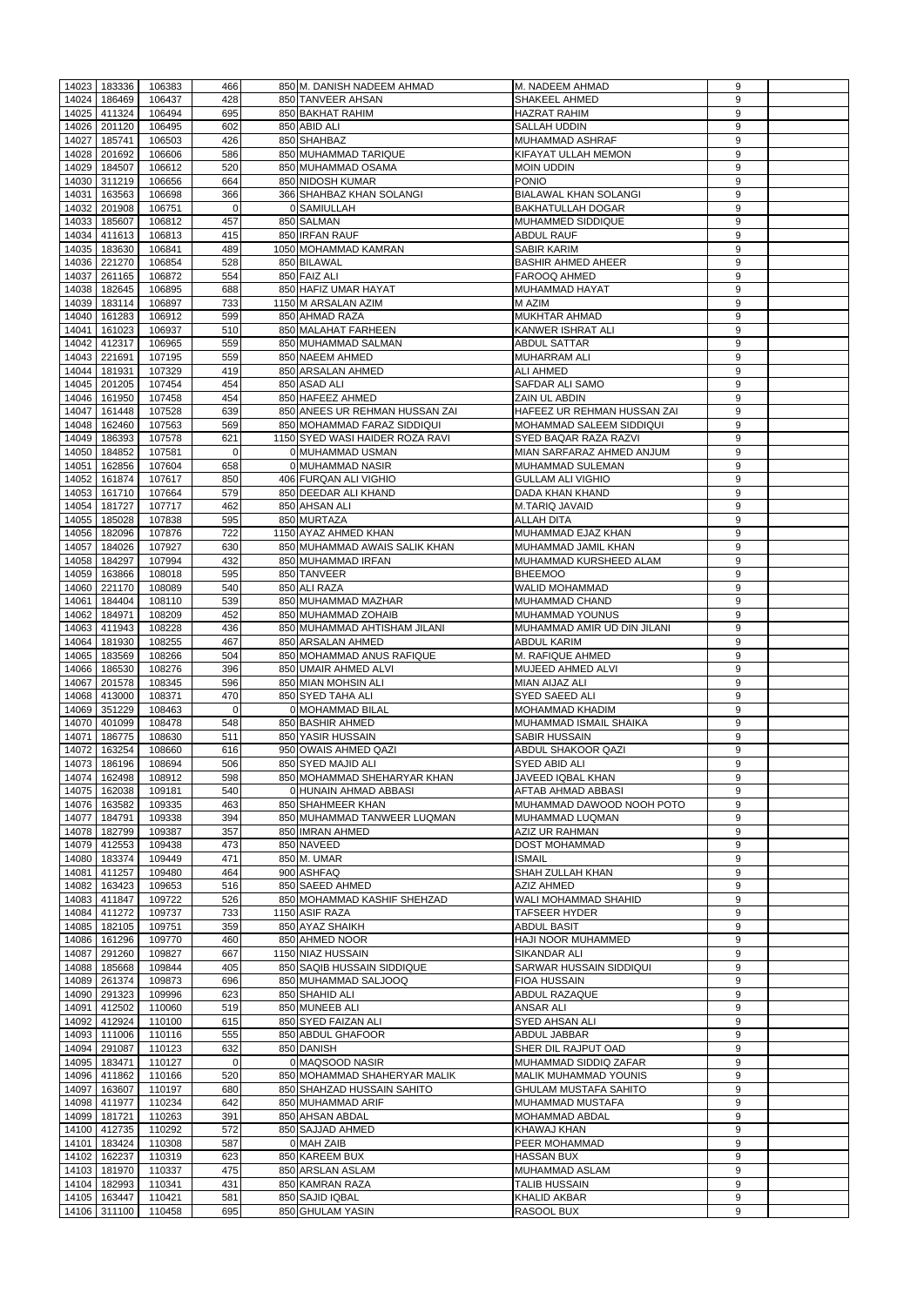| 14023 | 183336       | 106383              | 466            | 850 M. DANISH NADEEM AHMAD      | M. NADEEM AHMAD              | 9                |  |
|-------|--------------|---------------------|----------------|---------------------------------|------------------------------|------------------|--|
| 14024 | 186469       | 106437              | 428            | 850 TANVEER AHSAN               | <b>SHAKEEL AHMED</b>         | 9                |  |
| 14025 | 411324       | 106494              | 695            | 850 BAKHAT RAHIM                | <b>HAZRAT RAHIM</b>          | 9                |  |
| 14026 | 201120       | 106495              | 602            | 850 ABID ALI                    | <b>SALLAH UDDIN</b>          | 9                |  |
| 14027 | 185741       | 106503              | 426            | 850 SHAHBAZ                     | <b>MUHAMMAD ASHRAF</b>       | 9                |  |
| 14028 | 201692       | 106606              | 586            | 850 MUHAMMAD TARIQUE            | KIFAYAT ULLAH MEMON          | 9                |  |
| 14029 | 184507       | 106612              | 520            | 850 MUHAMMAD OSAMA              | <b>MOIN UDDIN</b>            | 9                |  |
| 14030 | 311219       | 106656              | 664            | 850 NIDOSH KUMAR                | PONIO                        | 9                |  |
| 14031 | 163563       | 106698              | 366            | 366 SHAHBAZ KHAN SOLANGI        | <b>BIALAWAL KHAN SOLANGI</b> | 9                |  |
| 14032 | 201908       | 106751              | 0              | 0 SAMIULLAH                     | <b>BAKHATULLAH DOGAR</b>     | $\boldsymbol{9}$ |  |
| 14033 | 185607       | 106812              | 457            | 850 SALMAN                      | MUHAMMED SIDDIQUE            | 9                |  |
| 14034 | 411613       | 106813              | 415            | 850 IRFAN RAUF                  | <b>ABDUL RAUF</b>            | 9                |  |
| 14035 | 183630       | 106841              | 489            | 1050 MOHAMMAD KAMRAN            | <b>SABIR KARIM</b>           | 9                |  |
| 14036 | 221270       | 106854              | 528            | 850 BILAWAL                     | <b>BASHIR AHMED AHEER</b>    | 9                |  |
| 14037 | 261165       | 106872              | 554            | 850 FAIZ ALI                    | <b>FAROOQ AHMED</b>          | 9                |  |
|       | 182645       |                     |                | 850 HAFIZ UMAR HAYAT            |                              |                  |  |
| 14038 |              | 106895              | 688            |                                 | MUHAMMAD HAYAT               | 9                |  |
| 14039 | 183114       | 106897              | 733            | 1150 M ARSALAN AZIM             | M AZIM                       | 9                |  |
| 14040 | 161283       | 106912              | 599            | 850 AHMAD RAZA                  | <b>MUKHTAR AHMAD</b>         | 9                |  |
| 14041 | 161023       | 106937              | 510            | 850 MALAHAT FARHEEN             | <b>KANWER ISHRAT ALI</b>     | 9                |  |
| 14042 | 412317       | 106965              | 559            | 850 MUHAMMAD SALMAN             | <b>ABDUL SATTAR</b>          | 9                |  |
| 14043 | 221691       | 107195              | 559            | 850 NAEEM AHMED                 | <b>MUHARRAM ALI</b>          | 9                |  |
| 14044 | 181931       | 107329              | 419            | 850 ARSALAN AHMED               | ALI AHMED                    | 9                |  |
| 14045 | 201205       | 107454              | 454            | 850 ASAD ALI                    | <b>SAFDAR ALI SAMO</b>       | 9                |  |
| 14046 | 161950       | 107458              | 454            | 850 HAFEEZ AHMED                | ZAIN UL ABDIN                | 9                |  |
| 14047 | 161448       | 107528              | 639            | 850 ANEES UR REHMAN HUSSAN ZAI  | HAFEEZ UR REHMAN HUSSAN ZAI  | $\boldsymbol{9}$ |  |
| 14048 | 162460       | 107563              | 569            | 850 MOHAMMAD FARAZ SIDDIQUI     | MOHAMMAD SALEEM SIDDIQUI     | 9                |  |
| 14049 | 186393       | 107578              | 621            | 1150 SYED WASI HAIDER ROZA RAVI | <b>SYED BAQAR RAZA RAZVI</b> | 9                |  |
| 14050 | 184852       | 107581              | $\Omega$       | 0 MUHAMMAD USMAN                | MIAN SARFARAZ AHMED ANJUM    | 9                |  |
| 14051 | 162856       | 107604              | 658            | 0 MUHAMMAD NASIR                | MUHAMMAD SULEMAN             | 9                |  |
| 14052 | 161874       | 107617              | 850            | 406 FURQAN ALI VIGHIO           | <b>GULLAM ALI VIGHIO</b>     | 9                |  |
| 14053 | 161710       | 107664              | 579            | 850 DEEDAR ALI KHAND            | <b>DADA KHAN KHAND</b>       | 9                |  |
| 14054 | 181727       | 107717              | 462            | 850 AHSAN ALI                   | M.TARIQ JAVAID               | 9                |  |
| 14055 | 185028       | 107838              | 595            | 850 MURTAZA                     | <b>ALLAH DITA</b>            | 9                |  |
| 14056 | 182096       | 107876              | 722            | 1150 AYAZ AHMED KHAN            | MUHAMMAD EJAZ KHAN           | 9                |  |
| 14057 | 184026       | 107927              | 630            | 850 MUHAMMAD AWAIS SALIK KHAN   | MUHAMMAD JAMIL KHAN          | 9                |  |
|       | 14058 184297 | 107994              | 432            | 850 MUHAMMAD IRFAN              | MUHAMMAD KURSHEED ALAM       | 9                |  |
|       | 14059 163866 | 108018              | 595            | 850 TANVEER                     | <b>BHEEMOO</b>               | 9                |  |
|       |              |                     |                |                                 |                              |                  |  |
| 14060 | 221170       | 108089              | 540            | 850 ALI RAZA                    | <b>WALID MOHAMMAD</b>        | 9                |  |
| 14061 | 184404       | 108110              | 539            | 850 MUHAMMAD MAZHAR             | <b>MUHAMMAD CHAND</b>        | 9                |  |
| 14062 | 184971       | 108209              | 452            | 850 MUHAMMAD ZOHAIB             | <b>MUHAMMAD YOUNUS</b>       | $\boldsymbol{9}$ |  |
| 14063 | 411943       | 108228              | 436            | 850 MUHAMMAD AHTISHAM JILANI    | MUHAMMAD AMIR UD DIN JILANI  | 9                |  |
| 14064 | 181930       | 108255              | 467            | 850 ARSALAN AHMED               | <b>ABDUL KARIM</b>           | 9                |  |
| 14065 | 183569       | 108266              | 504            | 850 MOHAMMAD ANUS RAFIQUE       | M. RAFIQUE AHMED             | 9                |  |
| 14066 | 186530       | 108276              | 396            | 850 UMAIR AHMED ALVI            | MUJEED AHMED ALVI            | 9                |  |
| 14067 | 201578       | 108345              | 596            | 850 MIAN MOHSIN ALI             | <b>MIAN AIJAZ ALI</b>        | 9                |  |
| 14068 | 413000       | 108371              | 470            | 850 SYED TAHA ALI               | <b>SYED SAEED ALI</b>        | 9                |  |
| 14069 | 351229       | 108463              | $\Omega$       | 0 MOHAMMAD BILAL                | MOHAMMAD KHADIM              | 9                |  |
| 14070 | 401099       | 108478              | 548            | 850 BASHIR AHMED                | MUHAMMAD ISMAIL SHAIKA       | 9                |  |
| 14071 | 186775       | 108630              | 511            | 850 YASIR HUSSAIN               | <b>SABIR HUSSAIN</b>         | 9                |  |
| 14072 | 163254       | 108660              | 616            | 950 OWAIS AHMED QAZI            | ABDUL SHAKOOR QAZI           | 9                |  |
| 14073 | 186196       | 108694              | 506            | 850 SYED MAJID ALI              | SYED ABID ALI                | 9                |  |
| 14074 | 162498       | 108912              | 598            | 850 MOHAMMAD SHEHARYAR KHAN     | JAVEED IQBAL KHAN            | 9                |  |
| 14075 | 162038       | 109181              | 540            | 0 HUNAIN AHMAD ABBASI           | AFTAB AHMAD ABBASI           | 9                |  |
| 14076 | 163582       | 109335              | 463            | 850 SHAHMEER KHAN               | MUHAMMAD DAWOOD NOOH POTO    | 9                |  |
| 14077 | 184791       | 109338              | 394            | 850 MUHAMMAD TANWEER LUQMAN     | MUHAMMAD LUQMAN              | 9                |  |
| 14078 | 182799       | 109387              | 357            | 850 IMRAN AHMED                 | AZIZ UR RAHMAN               | 9                |  |
| 14079 | 412553       | 109438              | 473            | 850 NAVEED                      | <b>DOST MOHAMMAD</b>         | 9                |  |
| 14080 | 183374       | 109449              | 471            | 850 M. UMAR                     | <b>ISMAIL</b>                | 9                |  |
| 14081 | 411257       | 109480              | 464            | 900 ASHFAQ                      | SHAH ZULLAH KHAN             | 9                |  |
| 14082 | 163423       | 109653              | 516            | 850 SAEED AHMED                 | <b>AZIZ AHMED</b>            | 9                |  |
| 14083 | 411847       | 109722              | 526            | 850 MOHAMMAD KASHIF SHEHZAD     | WALI MOHAMMAD SHAHID         | 9                |  |
| 14084 | 411272       | 109737              | 733            | 1150 ASIF RAZA                  | <b>TAFSEER HYDER</b>         | 9                |  |
| 14085 | 182105       | 109751              | 359            | 850 AYAZ SHAIKH                 | <b>ABDUL BASIT</b>           | 9                |  |
| 14086 | 161296       | 109770              | 460            | 850 AHMED NOOR                  | <b>HAJI NOOR MUHAMMED</b>    | 9                |  |
| 14087 | 291260       | 109827              | 667            | 1150 NIAZ HUSSAIN               | <b>SIKANDAR ALI</b>          | 9                |  |
| 14088 | 185668       | 109844              | 405            | 850 SAQIB HUSSAIN SIDDIQUE      | SARWAR HUSSAIN SIDDIQUI      | 9                |  |
| 14089 | 261374       | 109873              | 696            | 850 MUHAMMAD SALJOOQ            | <b>FIOA HUSSAIN</b>          | 9                |  |
|       |              |                     | 623            |                                 |                              | 9                |  |
| 14090 | 291323       | 109996              |                | 850 SHAHID ALI                  | ABDUL RAZAQUE                |                  |  |
| 14091 | 412502       | 110060              | 519            | 850 MUNEEB ALI                  | <b>ANSAR ALI</b>             | 9                |  |
| 14092 | 412924       | 110100              | 615            | 850 SYED FAIZAN ALI             | <b>SYED AHSAN ALI</b>        | 9                |  |
| 14093 | 111006       | 110116              | 555            | 850 ABDUL GHAFOOR               | ABDUL JABBAR                 | 9                |  |
| 14094 | 291087       | 110123              | 632            | 850 DANISH                      | SHER DIL RAJPUT OAD          | 9                |  |
|       |              | 14095 183471 110127 | $\overline{0}$ | 0 MAQSOOD NASIR                 | MUHAMMAD SIDDIQ ZAFAR        | $\boldsymbol{9}$ |  |
|       | 14096 411862 | 110166              | 520            | 850 MOHAMMAD SHAHERYAR MALIK    | <b>MALIK MUHAMMAD YOUNIS</b> | 9                |  |
| 14097 | 163607       | 110197              | 680            | 850 SHAHZAD HUSSAIN SAHITO      | <b>GHULAM MUSTAFA SAHITO</b> | 9                |  |
|       | 14098 411977 | 110234              | 642            | 850 MUHAMMAD ARIF               | MUHAMMAD MUSTAFA             | 9                |  |
|       | 14099 181721 | 110263              | 391            | 850 AHSAN ABDAL                 | <b>MOHAMMAD ABDAL</b>        | 9                |  |
|       | 14100 412735 | 110292              | 572            | 850 SAJJAD AHMED                | KHAWAJ KHAN                  | 9                |  |
| 14101 | 183424       | 110308              | 587            | 0 MAH ZAIB                      | <b>PEER MOHAMMAD</b>         | 9                |  |
| 14102 | 162237       | 110319              | 623            | 850 KAREEM BUX                  | <b>HASSAN BUX</b>            | 9                |  |
|       | 14103 181970 | 110337              | 475            | 850 ARSLAN ASLAM                | MUHAMMAD ASLAM               | 9                |  |
| 14104 | 182993       | 110341              | 431            | 850 KAMRAN RAZA                 | <b>TALIB HUSSAIN</b>         | 9                |  |
| 14105 | 163447       | 110421              | 581            | 850 SAJID IQBAL                 | <b>KHALID AKBAR</b>          | 9                |  |
|       | 14106 311100 | 110458              | 695            | 850 GHULAM YASIN                | RASOOL BUX                   | 9                |  |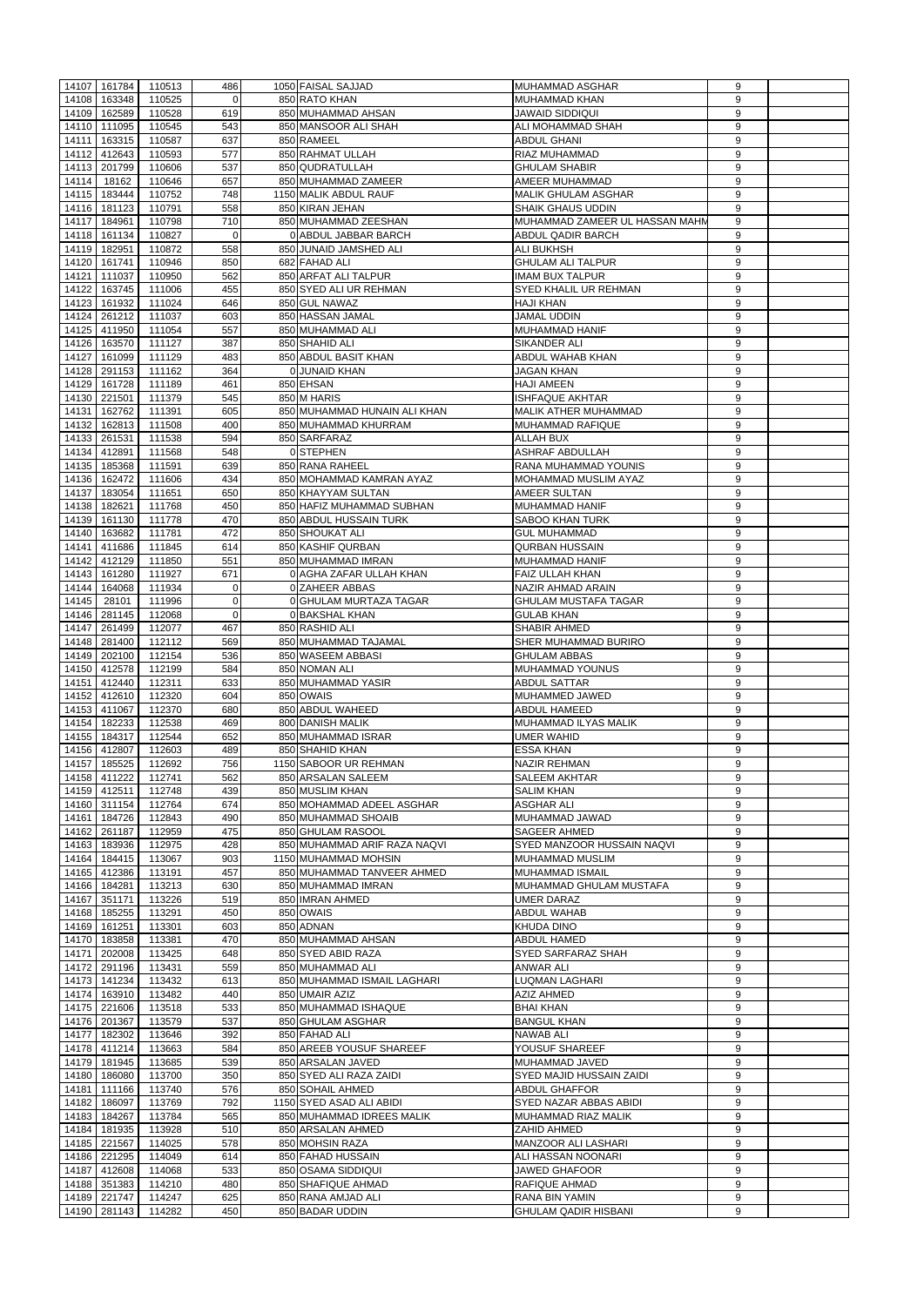|       | 14107 161784           | 110513           | 486            | 1050 FAISAL SAJJAD                        | MUHAMMAD ASGHAR                               | 9                |  |
|-------|------------------------|------------------|----------------|-------------------------------------------|-----------------------------------------------|------------------|--|
|       | 14108 163348           | 110525           | $\Omega$       | 850 RATO KHAN                             | <b>MUHAMMAD KHAN</b>                          | 9                |  |
|       | 14109 162589           | 110528           | 619            | 850 MUHAMMAD AHSAN                        | <b>JAWAID SIDDIQUI</b>                        | 9                |  |
|       | 14110 111095           | 110545           | 543            | 850 MANSOOR ALI SHAH                      | ALI MOHAMMAD SHAH                             |                  |  |
|       |                        |                  |                |                                           |                                               | 9                |  |
| 14111 | 163315                 | 110587           | 637            | 850 RAMEEL                                | <b>ABDUL GHANI</b>                            | 9                |  |
| 14112 | 412643                 | 110593           | 577            | 850 RAHMAT ULLAH                          | <b>RIAZ MUHAMMAD</b>                          | 9                |  |
|       | 14113 201799           | 110606           | 537            | 850 QUDRATULLAH                           | <b>GHULAM SHABIR</b>                          | 9                |  |
|       | 14114 18162            | 110646           | 657            | 850 MUHAMMAD ZAMEER                       | AMEER MUHAMMAD                                | 9                |  |
|       | 14115 183444           | 110752           | 748            | 1150 MALIK ABDUL RAUF                     | <b>MALIK GHULAM ASGHAR</b>                    | $\boldsymbol{9}$ |  |
|       | 14116 181123           | 110791           | 558            | 850 KIRAN JEHAN                           | <b>SHAIK GHAUS UDDIN</b>                      | 9                |  |
|       | 14117 184961           | 110798           | 710            | 850 MUHAMMAD ZEESHAN                      | MUHAMMAD ZAMEER UL HASSAN MAHN                | 9                |  |
|       | 14118 161134           | 110827           | $\Omega$       | 0 ABDUL JABBAR BARCH                      | <b>ABDUL QADIR BARCH</b>                      | 9                |  |
|       | 14119 182951           | 110872           | 558            | 850 JUNAID JAMSHED ALI                    | <b>ALI BUKHSH</b>                             | $\boldsymbol{9}$ |  |
|       | 14120 161741           | 110946           | 850            | 682 FAHAD ALI                             | <b>GHULAM ALI TALPUR</b>                      | 9                |  |
|       | 14121 111037           | 110950           | 562            | 850 ARFAT ALI TALPUR                      | <b>IMAM BUX TALPUR</b>                        | 9                |  |
|       | 14122 163745           | 111006           | 455            | 850 SYED ALI UR REHMAN                    | <b>SYED KHALIL UR REHMAN</b>                  | 9                |  |
|       | 14123 161932           | 111024           | 646            | 850 GUL NAWAZ                             | <b>HAJI KHAN</b>                              | 9                |  |
|       | 14124 261212           | 111037           | 603            | 850 HASSAN JAMAL                          | <b>JAMAL UDDIN</b>                            | 9                |  |
|       | 14125 411950           | 111054           | 557            | 850 MUHAMMAD ALI                          | <b>MUHAMMAD HANIF</b>                         | 9                |  |
|       | 14126 163570           | 111127           | 387            | 850 SHAHID ALI                            | <b>SIKANDER ALI</b>                           | 9                |  |
|       | 14127 161099           | 111129           | 483            | 850 ABDUL BASIT KHAN                      | <b>ABDUL WAHAB KHAN</b>                       | 9                |  |
|       | 14128 291153           | 111162           | 364            | 0 JUNAID KHAN                             | <b>JAGAN KHAN</b>                             | 9                |  |
|       | 14129 161728           | 111189           | 461            | 850 EHSAN                                 | <b>HAJI AMEEN</b>                             | 9                |  |
|       | 14130 221501           | 111379           | 545            | 850 M HARIS                               | <b>ISHFAQUE AKHTAR</b>                        | $\boldsymbol{9}$ |  |
|       | 14131 162762           | 111391           | 605            | 850 MUHAMMAD HUNAIN ALI KHAN              | <b>MALIK ATHER MUHAMMAD</b>                   | 9                |  |
|       | 14132 162813           | 111508           | 400            | 850 MUHAMMAD KHURRAM                      | MUHAMMAD RAFIQUE                              | 9                |  |
|       | 14133 261531           | 111538           | 594            | 850 SARFARAZ                              | <b>ALLAH BUX</b>                              | 9                |  |
|       | 14134 412891           | 111568           | 548            | 0STEPHEN                                  | <b>ASHRAF ABDULLAH</b>                        | 9                |  |
|       | 14135 185368           | 111591           | 639            | 850 RANA RAHEEL                           | RANA MUHAMMAD YOUNIS                          | 9                |  |
|       | 14136 162472           | 111606           | 434            | 850 MOHAMMAD KAMRAN AYAZ                  | MOHAMMAD MUSLIM AYAZ                          | 9                |  |
| 14137 | 183054                 | 111651           | 650            | 850 KHAYYAM SULTAN                        | <b>AMEER SULTAN</b>                           | 9                |  |
|       | 14138 182621           | 111768           | 450            | 850 HAFIZ MUHAMMAD SUBHAN                 | MUHAMMAD HANIF                                | 9                |  |
| 14139 | 161130                 | 111778           | 470            | 850 ABDUL HUSSAIN TURK                    | <b>SABOO KHAN TURK</b>                        | 9                |  |
|       | 14140 163682           | 111781           | 472            | 850 SHOUKAT ALI                           | <b>GUL MUHAMMAD</b>                           | 9                |  |
| 14141 | 411686                 | 111845           | 614            | 850 KASHIF QURBAN                         | <b>QURBAN HUSSAIN</b>                         | 9                |  |
|       | 14142 412129           |                  | 551            | 850 MUHAMMAD IMRAN                        | MUHAMMAD HANIF                                | 9                |  |
|       |                        | 111850           |                |                                           |                                               |                  |  |
|       | 14143 161280           | 111927           | 671            | 0 AGHA ZAFAR ULLAH KHAN<br>0 ZAHEER ABBAS | <b>FAIZ ULLAH KHAN</b>                        | 9                |  |
|       | 14144 164068           | 111934           | $\Omega$       |                                           | NAZIR AHMAD ARAIN                             | 9                |  |
|       | 14145 28101            | 111996           | $\overline{0}$ | 0 GHULAM MURTAZA TAGAR                    | <b>GHULAM MUSTAFA TAGAR</b>                   | 9                |  |
| 14146 | 281145                 | 112068           | $\Omega$       | 0 BAKSHAL KHAN                            | <b>GULAB KHAN</b>                             | 9                |  |
|       | 14147 261499           | 112077           | 467            | 850 RASHID ALI                            | <b>SHABIR AHMED</b>                           | 9                |  |
|       | 14148 281400           | 112112           | 569            | 850 MUHAMMAD TAJAMAL                      | <b>SHER MUHAMMAD BURIRO</b>                   | 9                |  |
|       | 14149 202100           | 112154           | 536            | 850 WASEEM ABBASI                         | <b>GHULAM ABBAS</b>                           | 9                |  |
|       | 14150 412578           | 112199           | 584            | 850 NOMAN ALI                             | MUHAMMAD YOUNUS                               | 9                |  |
| 14151 | 412440                 | 112311           | 633            | 850 MUHAMMAD YASIR                        | <b>ABDUL SATTAR</b>                           | 9                |  |
|       | 14152 412610           | 112320           | 604            | 850 OWAIS                                 | MUHAMMED JAWED                                | 9                |  |
|       | 14153 411067           | 112370           | 680            | 850 ABDUL WAHEED                          | <b>ABDUL HAMEED</b>                           | 9                |  |
| 14154 | 182233                 | 112538           | 469            | 800 DANISH MALIK                          | MUHAMMAD ILYAS MALIK                          | 9                |  |
|       | 14155 184317           | 112544           | 652            | 850 MUHAMMAD ISRAR                        | <b>UMER WAHID</b>                             | 9                |  |
|       | 14156 412807           | 112603           | 489            | 850 SHAHID KHAN                           | <b>ESSA KHAN</b>                              | 9                |  |
| 14157 | 185525                 | 112692           | 756            | 1150 SABOOR UR REHMAN                     | <b>NAZIR REHMAN</b>                           | 9                |  |
|       | 14158 411222           | 112741           | 562            | 850 ARSALAN SALEEM                        | <b>SALEEM AKHTAR</b>                          | 9                |  |
| 14159 | 412511                 | 112748           | 439            | 850 MUSLIM KHAN                           | <b>SALIM KHAN</b>                             | 9                |  |
|       | 14160 311154           | 112764           | 674            | 850 MOHAMMAD ADEEL ASGHAR                 | <b>ASGHAR ALI</b>                             | 9                |  |
| 14161 | 184726                 | 112843           | 490            | 850 MUHAMMAD SHOAIB                       | MUHAMMAD JAWAD                                | 9                |  |
| 14162 | 261187                 | 112959           | 475            | 850 GHULAM RASOOL                         | <b>SAGEER AHMED</b>                           | 9                |  |
|       | 14163 183936           | 112975           | 428            | 850 MUHAMMAD ARIF RAZA NAQVI              | SYED MANZOOR HUSSAIN NAQVI                    | 9                |  |
|       | 14164 184415           | 113067           | 903            | 1150 MUHAMMAD MOHSIN                      | MUHAMMAD MUSLIM                               | 9                |  |
|       | 14165 412386           | 113191           | 457            | 850 MUHAMMAD TANVEER AHMED                | <b>MUHAMMAD ISMAIL</b>                        | 9                |  |
|       | 14166 184281           | 113213           | 630            | 850 MUHAMMAD IMRAN                        | MUHAMMAD GHULAM MUSTAFA                       | 9                |  |
|       | 14167 351171           | 113226           | 519            | 850 IMRAN AHMED                           | <b>UMER DARAZ</b>                             | 9                |  |
|       | 14168 185255           | 113291           | 450            | 850 OWAIS                                 | <b>ABDUL WAHAB</b>                            | 9                |  |
|       | 14169 161251           | 113301           | 603            | 850 ADNAN                                 | <b>KHUDA DINO</b>                             | 9                |  |
| 14170 | 183858                 | 113381           | 470            | 850 MUHAMMAD AHSAN                        | <b>ABDUL HAMED</b>                            | 9                |  |
| 14171 | 202008                 | 113425           | 648            | 850 SYED ABID RAZA                        | <b>SYED SARFARAZ SHAH</b>                     | 9                |  |
| 14172 | 291196                 | 113431           | 559            | 850 MUHAMMAD ALI                          | <b>ANWAR ALI</b>                              | 9                |  |
|       | 14173 141234           | 113432           | 613            | 850 MUHAMMAD ISMAIL LAGHARI               | <b>LUQMAN LAGHARI</b>                         | 9                |  |
|       | 14174 163910           | 113482           | 440            | 850 UMAIR AZIZ                            | <b>AZIZ AHMED</b>                             | 9                |  |
|       | 14175 221606           | 113518           | 533            | 850 MUHAMMAD ISHAQUE                      | <b>BHAI KHAN</b>                              | 9                |  |
|       | 14176 201367           | 113579           | 537            | 850 GHULAM ASGHAR                         | <b>BANGUL KHAN</b>                            | 9                |  |
| 14177 | 182302                 | 113646           | 392            | 850 FAHAD ALI                             | <b>NAWAB ALI</b>                              | 9                |  |
|       | 14178 411214           | 113663           | 584            | 850 AREEB YOUSUF SHAREEF                  | YOUSUF SHAREEF                                | 9                |  |
|       | 14179 181945           | 113685           | 539            | 850 ARSALAN JAVED                         | MUHAMMAD JAVED                                |                  |  |
|       |                        |                  |                |                                           |                                               | 9                |  |
|       | 14180 186080           | 113700           | 350            | 850 SYED ALI RAZA ZAIDI                   | <b>SYED MAJID HUSSAIN ZAIDI</b>               | 9                |  |
|       | 14181   111166         | 113740           | 576            | 850 SOHAIL AHMED                          | <b>ABDUL GHAFFOR</b>                          | 9                |  |
|       | 14182 186097           | 113769           | 792            | 1150 SYED ASAD ALI ABIDI                  | SYED NAZAR ABBAS ABIDI                        | 9                |  |
|       |                        | 113784           | 565            | 850 MUHAMMAD IDREES MALIK                 | IMUHAMMAD RIAZ MALIK                          | 9                |  |
|       | 14183 184267           |                  |                |                                           |                                               | 9                |  |
|       | 14184 181935           | 113928           | 510            | 850 ARSALAN AHMED                         | <b>ZAHID AHMED</b>                            |                  |  |
|       | 14185 221567           | 114025           | 578            | 850 MOHSIN RAZA                           | MANZOOR ALI LASHARI                           | 9                |  |
|       | 14186 221295           | 114049           | 614            | 850 FAHAD HUSSAIN                         | ALI HASSAN NOONARI                            | 9                |  |
| 14187 | 412608                 | 114068           | 533            | 850 OSAMA SIDDIQUI                        | <b>JAWED GHAFOOR</b>                          | 9                |  |
|       | 14188 351383           | 114210           | 480            | 850 SHAFIQUE AHMAD                        | <b>RAFIQUE AHMAD</b>                          | 9                |  |
| 14189 | 221747<br>14190 281143 | 114247<br>114282 | 625<br>450     | 850 RANA AMJAD ALI<br>850 BADAR UDDIN     | RANA BIN YAMIN<br><b>GHULAM QADIR HISBANI</b> | 9<br>9           |  |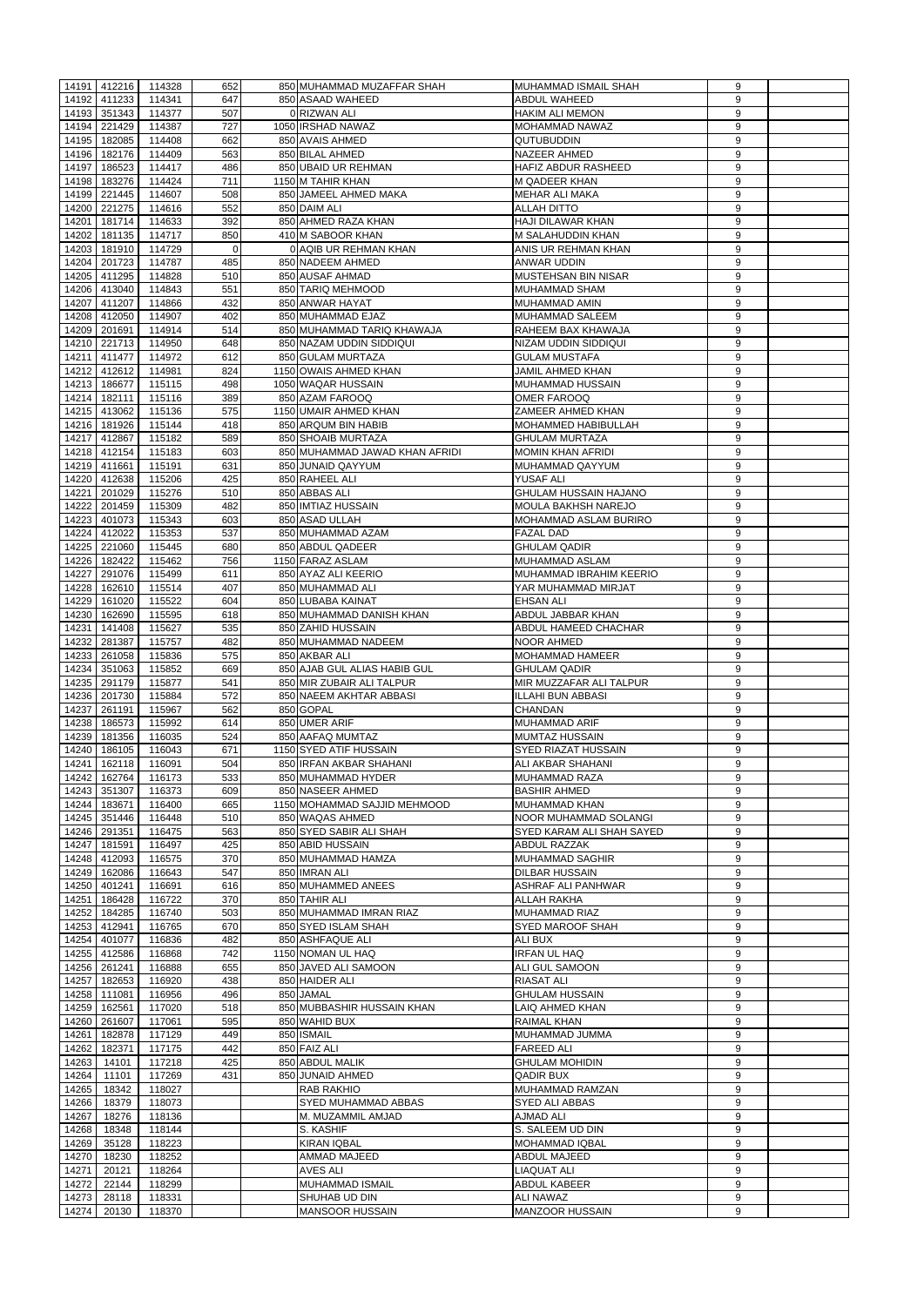|       | 14191 412216        | 114328 | 652      | 850 MUHAMMAD MUZAFFAR SHAH     | MUHAMMAD ISMAIL SHAH         | 9                |  |
|-------|---------------------|--------|----------|--------------------------------|------------------------------|------------------|--|
|       | 14192 411233        | 114341 | 647      | 850 ASAAD WAHEED               | <b>ABDUL WAHEED</b>          | 9                |  |
| 14193 | 351343              | 114377 | 507      | 0 RIZWAN ALI                   | <b>HAKIM ALI MEMON</b>       | 9                |  |
| 14194 | 221429              | 114387 | 727      | 1050 IRSHAD NAWAZ              | <b>MOHAMMAD NAWAZ</b>        | 9                |  |
| 14195 | 182085              | 114408 | 662      | 850 AVAIS AHMED                | <b>QUTUBUDDIN</b>            | 9                |  |
| 14196 | 182176              | 114409 | 563      | 850 BILAL AHMED                | <b>NAZEER AHMED</b>          | 9                |  |
| 14197 | 186523              | 114417 | 486      | 850 UBAID UR REHMAN            | <b>HAFIZ ABDUR RASHEED</b>   | 9                |  |
| 14198 | 183276              | 114424 | 711      | 1150 M TAHIR KHAN              | <b>M QADEER KHAN</b>         | 9                |  |
| 14199 | 221445              | 114607 | 508      | 850 JAMEEL AHMED MAKA          | MEHAR ALI MAKA               | 9                |  |
|       | 14200 221275        | 114616 | 552      | 850 DAIM ALI                   | <b>ALLAH DITTO</b>           | 9                |  |
|       | 14201 181714        | 114633 | 392      | 850 AHMED RAZA KHAN            | HAJI DILAWAR KHAN            | $\boldsymbol{9}$ |  |
|       | 14202 181135        | 114717 | 850      | 410 M SABOOR KHAN              | M SALAHUDDIN KHAN            | 9                |  |
|       |                     |        | $\Omega$ | 0 AQIB UR REHMAN KHAN          |                              |                  |  |
|       | 14203 181910        | 114729 |          |                                | ANIS UR REHMAN KHAN          | 9                |  |
|       | 14204 201723        | 114787 | 485      | 850 NADEEM AHMED               | <b>ANWAR UDDIN</b>           | 9                |  |
|       | 14205 411295        | 114828 | 510      | 850 AUSAF AHMAD                | <b>MUSTEHSAN BIN NISAR</b>   | $\boldsymbol{9}$ |  |
|       | 14206 413040        | 114843 | 551      | 850 TARIQ MEHMOOD              | <b>MUHAMMAD SHAM</b>         | 9                |  |
| 14207 | 411207              | 114866 | 432      | 850 ANWAR HAYAT                | MUHAMMAD AMIN                | 9                |  |
|       | 14208 412050        | 114907 | 402      | 850 MUHAMMAD EJAZ              | <b>IMUHAMMAD SALEEM</b>      | 9                |  |
|       | 14209 201691        | 114914 | 514      | 850 MUHAMMAD TARIO KHAWAJA     | RAHEEM BAX KHAWAJA           | 9                |  |
| 14210 | 221713              | 114950 | 648      | 850 NAZAM UDDIN SIDDIQUI       | NIZAM UDDIN SIDDIQUI         | 9                |  |
| 14211 | 411477              | 114972 | 612      | 850 GULAM MURTAZA              | <b>GULAM MUSTAFA</b>         | 9                |  |
|       | 14212 412612        | 114981 | 824      | 1150 OWAIS AHMED KHAN          | <b>JAMIL AHMED KHAN</b>      | 9                |  |
|       | 14213 186677        | 115115 | 498      | 1050 WAQAR HUSSAIN             | <b>MUHAMMAD HUSSAIN</b>      | $\boldsymbol{9}$ |  |
|       | 14214 182111        | 115116 | 389      | 850 AZAM FAROOQ                | <b>OMER FAROOQ</b>           | 9                |  |
|       | 14215 413062        | 115136 | 575      | 1150 UMAIR AHMED KHAN          | ZAMEER AHMED KHAN            | 9                |  |
|       | 14216 181926        | 115144 | 418      | 850 ARQUM BIN HABIB            | <b>MOHAMMED HABIBULLAH</b>   | 9                |  |
| 14217 | 412867              | 115182 | 589      | 850 SHOAIB MURTAZA             | <b>GHULAM MURTAZA</b>        | $\boldsymbol{9}$ |  |
|       | 14218 412154        | 115183 | 603      | 850 MUHAMMAD JAWAD KHAN AFRIDI | <b>MOMIN KHAN AFRIDI</b>     | 9                |  |
|       | 14219 411661        | 115191 | 631      | 850 JUNAID QAYYUM              | MUHAMMAD QAYYUM              | 9                |  |
| 14220 | 412638              | 115206 | 425      | 850 RAHEEL ALI                 | <b>YUSAF ALI</b>             | 9                |  |
| 14221 | 201029              | 115276 | 510      | 850 ABBAS ALI                  | <b>GHULAM HUSSAIN HAJANO</b> | 9                |  |
| 14222 | 201459              | 115309 | 482      | 850 IMTIAZ HUSSAIN             | MOULA BAKHSH NAREJO          | 9                |  |
| 14223 | 401073              | 115343 | 603      | 850 ASAD ULLAH                 | MOHAMMAD ASLAM BURIRO        | 9                |  |
|       |                     |        |          |                                |                              |                  |  |
| 14224 | 412022              | 115353 | 537      | 850 MUHAMMAD AZAM              | <b>FAZAL DAD</b>             | 9                |  |
| 14225 | 221060              | 115445 | 680      | 850 ABDUL QADEER               | <b>GHULAM QADIR</b>          | 9                |  |
|       | 14226 182422        | 115462 | 756      | 1150 FARAZ ASLAM               | MUHAMMAD ASLAM               | 9                |  |
|       | 14227 291076 115499 |        | 611      | 850 AYAZ ALI KEERIO            | MUHAMMAD IBRAHIM KEERIO      | 9                |  |
|       | 14228 162610        | 115514 | 407      | 850 MUHAMMAD ALI               | YAR MUHAMMAD MIRJAT          | 9                |  |
|       | 14229 161020        | 115522 | 604      | 850 LUBABA KAINAT              | <b>EHSAN ALI</b>             | 9                |  |
|       | 14230 162690        | 115595 | 618      | 850 MUHAMMAD DANISH KHAN       | ABDUL JABBAR KHAN            | 9                |  |
|       | 14231 141408        | 115627 | 535      | 850 ZAHID HUSSAIN              | ABDUL HAMEED CHACHAR         | 9                |  |
| 14232 | 281387              | 115757 | 482      | 850 MUHAMMAD NADEEM            | <b>NOOR AHMED</b>            | 9                |  |
|       | 14233 261058        | 115836 | 575      | 850 AKBAR ALI                  | <b>MOHAMMAD HAMEER</b>       | 9                |  |
|       | 14234 351063        | 115852 | 669      | 850 AJAB GUL ALIAS HABIB GUL   | <b>GHULAM QADIR</b>          | 9                |  |
|       | 14235 291179        | 115877 | 541      | 850 MIR ZUBAIR ALI TALPUR      | MIR MUZZAFAR ALI TALPUR      | 9                |  |
|       | 14236 201730        | 115884 | 572      | 850 NAEEM AKHTAR ABBASI        | <b>ILLAHI BUN ABBASI</b>     | 9                |  |
|       | 14237 261191        | 115967 | 562      | 850 GOPAL                      | <b>CHANDAN</b>               | 9                |  |
|       | 14238 186573        | 115992 | 614      | 850 UMER ARIF                  | <b>MUHAMMAD ARIF</b>         | 9                |  |
| 14239 | 181356              | 116035 | 524      | 850 AAFAQ MUMTAZ               | <b>MUMTAZ HUSSAIN</b>        | 9                |  |
| 14240 | 186105              | 116043 |          | 1150 SYED ATIF HUSSAIN         | <b>SYED RIAZAT HUSSAIN</b>   | 9                |  |
|       | 14241 162118        |        |          |                                |                              |                  |  |
| 14242 |                     |        | 671      |                                |                              |                  |  |
|       |                     | 116091 | 504      | 850 IRFAN AKBAR SHAHANI        | <b>ALI AKBAR SHAHANI</b>     | 9                |  |
|       | 162764              | 116173 | 533      | 850 MUHAMMAD HYDER             | MUHAMMAD RAZA                | 9                |  |
| 14243 | 351307              | 116373 | 609      | 850 NASEER AHMED               | <b>BASHIR AHMED</b>          | 9                |  |
| 14244 | 183671              | 116400 | 665      | 1150 MOHAMMAD SAJJID MEHMOOD   | <b>MUHAMMAD KHAN</b>         | 9                |  |
| 14245 | 351446              | 116448 | 510      | 850 WAQAS AHMED                | NOOR MUHAMMAD SOLANGI        | 9                |  |
| 14246 | 291351              | 116475 | 563      | 850 SYED SABIR ALI SHAH        | SYED KARAM ALI SHAH SAYED    | 9                |  |
| 14247 | 181591              | 116497 | 425      | 850 ABID HUSSAIN               | <b>ABDUL RAZZAK</b>          | 9                |  |
| 14248 | 412093              | 116575 | 370      | 850 MUHAMMAD HAMZA             | <b>MUHAMMAD SAGHIR</b>       | 9                |  |
| 14249 | 162086              | 116643 | 547      | 850 IMRAN ALI                  | <b>DILBAR HUSSAIN</b>        | 9                |  |
| 14250 | 401241              | 116691 | 616      | 850 MUHAMMED ANEES             | <b>ASHRAF ALI PANHWAR</b>    | 9                |  |
|       | 14251 186428        | 116722 | 370      | 850 TAHIR ALI                  | <b>ALLAH RAKHA</b>           | 9                |  |
|       | 14252 184285        | 116740 | 503      | 850 MUHAMMAD IMRAN RIAZ        | <b>MUHAMMAD RIAZ</b>         | 9                |  |
|       | 14253 412941        | 116765 | 670      | 850 SYED ISLAM SHAH            | <b>SYED MAROOF SHAH</b>      | 9                |  |
| 14254 | 401077              | 116836 | 482      | 850 ASHFAQUE ALI               | ALI BUX                      | 9                |  |
|       | 14255 412586        | 116868 | 742      | 1150 NOMAN UL HAQ              | <b>IRFAN UL HAQ</b>          | 9                |  |
|       | 14256 261241        | 116888 | 655      | 850 JAVED ALI SAMOON           | <b>ALI GUL SAMOON</b>        | 9                |  |
| 14257 | 182653              | 116920 | 438      | 850 HAIDER ALI                 | <b>RIASAT ALI</b>            | 9                |  |
|       | 14258 111081        |        |          |                                | <b>GHULAM HUSSAIN</b>        | 9                |  |
|       |                     | 116956 | 496      | 850 JAMAL                      |                              |                  |  |
| 14259 | 162561              | 117020 | 518      | 850 MUBBASHIR HUSSAIN KHAN     | <b>LAIQ AHMED KHAN</b>       | 9                |  |
| 14260 | 261607              | 117061 | 595      | 850 WAHID BUX                  | <b>RAIMAL KHAN</b>           | 9                |  |
|       | 14261 182878        | 117129 | 449      | 850 ISMAIL                     | MUHAMMAD JUMMA               | 9                |  |
|       | 14262 182371        | 117175 | 442      | 850 FAIZ ALI                   | <b>FAREED ALI</b>            | 9                |  |
|       | 14263 14101 117218  |        | 425      | 850 ABDUL MALIK                | <b>GHULAM MOHIDIN</b>        | $\boldsymbol{9}$ |  |
| 14264 | 11101               | 117269 | 431      | 850 JUNAID AHMED               | <b>QADIR BUX</b>             | 9                |  |
| 14265 | 18342               | 118027 |          | <b>RAB RAKHIO</b>              | MUHAMMAD RAMZAN              | 9                |  |
| 14266 | 18379               | 118073 |          | SYED MUHAMMAD ABBAS            | SYED ALI ABBAS               | 9                |  |
| 14267 | 18276               | 118136 |          | M. MUZAMMIL AMJAD              | <b>AJMAD ALI</b>             | 9                |  |
| 14268 | 18348               | 118144 |          | S. KASHIF                      | S. SALEEM UD DIN             | 9                |  |
| 14269 | 35128               | 118223 |          | <b>KIRAN IQBAL</b>             | <b>MOHAMMAD IQBAL</b>        | 9                |  |
| 14270 | 18230               | 118252 |          | AMMAD MAJEED                   | <b>ABDUL MAJEED</b>          | 9                |  |
| 14271 | 20121               | 118264 |          | <b>AVES ALI</b>                | LIAQUAT ALI                  | 9                |  |
| 14272 | 22144               | 118299 |          | <b>MUHAMMAD ISMAIL</b>         | <b>ABDUL KABEER</b>          | 9                |  |
| 14273 | 28118               | 118331 |          | SHUHAB UD DIN                  | <b>ALI NAWAZ</b>             | 9                |  |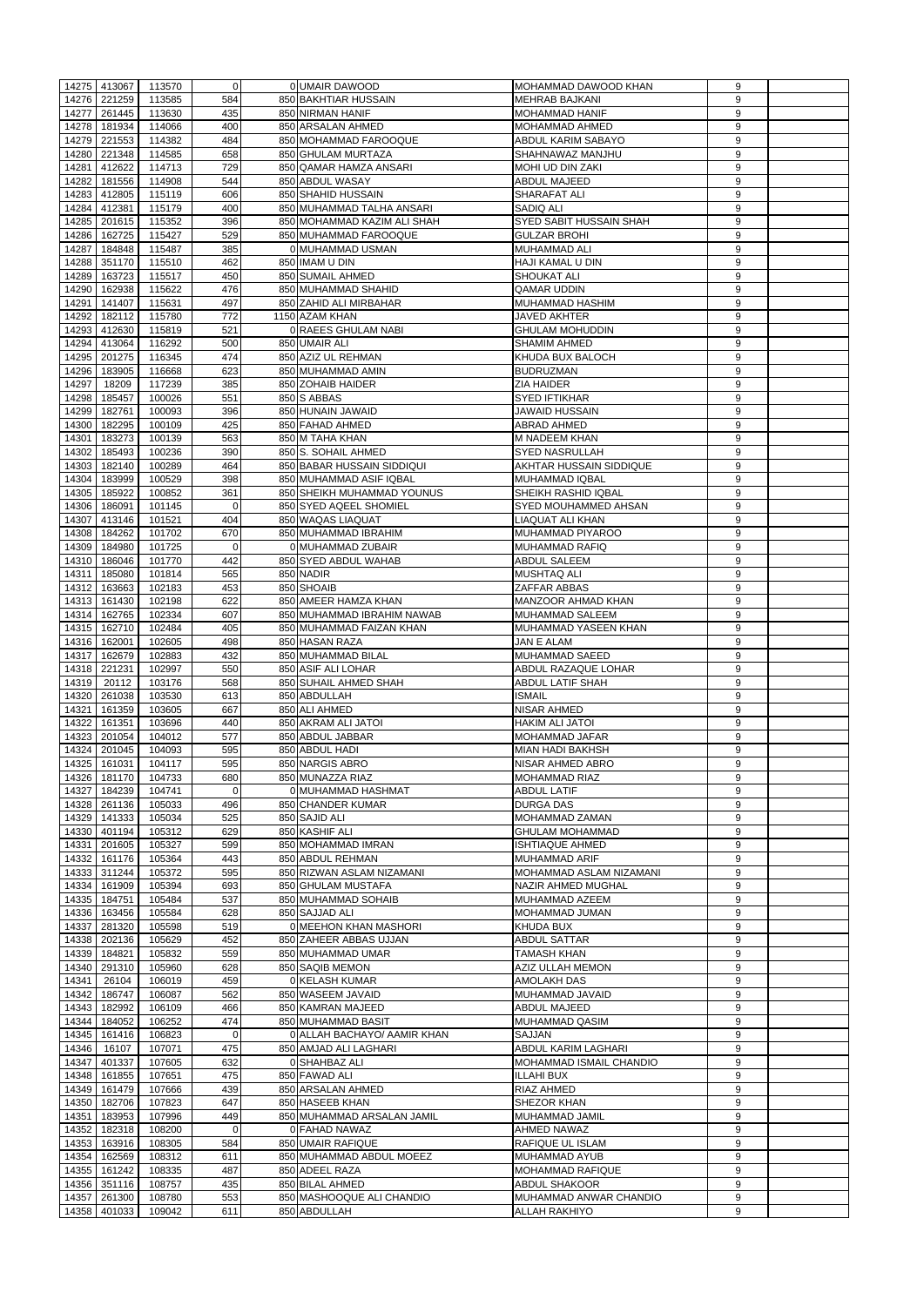|                | 14275 413067     | 113570           | $\Omega$       | <b>OUMAIR DAWOOD</b>                      | <b>MOHAMMAD DAWOOD KHAN</b>                    | 9                |  |
|----------------|------------------|------------------|----------------|-------------------------------------------|------------------------------------------------|------------------|--|
|                | 221259           |                  | 584            |                                           |                                                | 9                |  |
| 14276          |                  | 113585           |                | 850 BAKHTIAR HUSSAIN                      | <b>MEHRAB BAJKANI</b>                          |                  |  |
| 14277          | 261445           | 113630           | 435            | 850 NIRMAN HANIF                          | <b>MOHAMMAD HANIF</b>                          | 9                |  |
| 14278          | 181934           | 114066           | 400            | 850 ARSALAN AHMED                         | <b>MOHAMMAD AHMED</b>                          | 9                |  |
| 14279          | 221553           | 114382           | 484            | 850 MOHAMMAD FAROOQUE                     | ABDUL KARIM SABAYO                             | 9                |  |
| 14280          | 221348           | 114585           | 658            | 850 GHULAM MURTAZA                        | SHAHNAWAZ MANJHU                               | 9                |  |
| 14281          | 412622           | 114713           | 729            | 850 QAMAR HAMZA ANSARI                    | <b>MOHI UD DIN ZAKI</b>                        | 9                |  |
| 14282          | 181556           | 114908           | 544            | 850 ABDUL WASAY                           | ABDUL MAJEED                                   | $\boldsymbol{9}$ |  |
| 14283          | 412805           | 115119           | 606            | 850 SHAHID HUSSAIN                        | <b>SHARAFAT ALI</b>                            | 9                |  |
| 14284          | 412381           | 115179           | 400            | 850 MUHAMMAD TALHA ANSARI                 | <b>SADIQ ALI</b>                               | 9                |  |
| 14285          | 201615           | 115352           | 396            | 850 MOHAMMAD KAZIM ALI SHAH               | <b>SYED SABIT HUSSAIN SHAH</b>                 | 9                |  |
| 14286          | 162725           | 115427           | 529            | 850 MUHAMMAD FAROOQUE                     | <b>GULZAR BROHI</b>                            | 9                |  |
| 14287          | 184848           | 115487           | 385            | 0 MUHAMMAD USMAN                          | MUHAMMAD ALI                                   | 9                |  |
| 14288          | 351170           | 115510           | 462            | 850 IMAM U DIN                            | <b>HAJI KAMAL U DIN</b>                        | 9                |  |
| 14289          | 163723           | 115517           | 450            | 850 SUMAIL AHMED                          | <b>SHOUKAT ALI</b>                             | 9                |  |
| 14290          | 162938           | 115622           | 476            | 850 MUHAMMAD SHAHID                       | <b>QAMAR UDDIN</b>                             | 9                |  |
| 14291          | 141407           | 115631           | 497            | 850 ZAHID ALI MIRBAHAR                    | MUHAMMAD HASHIM                                | 9                |  |
| 14292          | 182112           | 115780           | 772            | 1150 AZAM KHAN                            | <b>JAVED AKHTER</b>                            | 9                |  |
| 14293          | 412630           | 115819           | 521            | 0 RAEES GHULAM NABI                       | <b>GHULAM MOHUDDIN</b>                         | 9                |  |
| 14294          | 413064           | 116292           | 500            | 850 UMAIR ALI                             | <b>SHAMIM AHMED</b>                            | 9                |  |
| 14295          | 201275           | 116345           | 474            | 850 AZIZ UL REHMAN                        | <b>KHUDA BUX BALOCH</b>                        | 9                |  |
| 14296          | 183905           | 116668           | 623            | 850 MUHAMMAD AMIN                         | <b>BUDRUZMAN</b>                               | 9                |  |
| 14297          | 18209            | 117239           | 385            | 850 ZOHAIB HAIDER                         | <b>ZIA HAIDER</b>                              | 9                |  |
|                |                  |                  | 551            |                                           |                                                |                  |  |
| 14298          | 185457           | 100026           |                | 850 S ABBAS                               | SYED IFTIKHAR                                  | 9                |  |
| 14299          | 182761           | 100093           | 396            | 850 HUNAIN JAWAID                         | <b>JAWAID HUSSAIN</b>                          | 9                |  |
| 14300          | 182295           | 100109           | 425            | 850 FAHAD AHMED                           | ABRAD AHMED                                    | 9                |  |
| 14301          | 183273           | 100139           | 563            | 850 M TAHA KHAN                           | M NADEEM KHAN                                  | 9                |  |
| 14302          | 185493           | 100236           | 390            | 850 S. SOHAIL AHMED                       | <b>SYED NASRULLAH</b>                          | 9                |  |
| 14303          | 182140           | 100289           | 464            | 850 BABAR HUSSAIN SIDDIQUI                | AKHTAR HUSSAIN SIDDIQUE                        | 9                |  |
| 14304          | 183999           | 100529           | 398            | 850 MUHAMMAD ASIF IQBAL                   | <b>MUHAMMAD IQBAL</b>                          | 9                |  |
| 14305          | 185922           | 100852           | 361            | 850 SHEIKH MUHAMMAD YOUNUS                | <b>SHEIKH RASHID IQBAL</b>                     | 9                |  |
| 14306          | 186091           | 101145           | $\Omega$       | 850 SYED AQEEL SHOMIEL                    | <b>SYED MOUHAMMED AHSAN</b>                    | 9                |  |
| 14307          | 413146           | 101521           | 404            | 850 WAQAS LIAQUAT                         | LIAQUAT ALI KHAN                               | 9                |  |
| 14308          | 184262           | 101702           | 670            | 850 MUHAMMAD IBRAHIM                      | MUHAMMAD PIYAROO                               | 9                |  |
| 14309          | 184980           | 101725           | $\Omega$       | 0 MUHAMMAD ZUBAIR                         | <b>MUHAMMAD RAFIQ</b>                          | 9                |  |
|                | 14310 186046     | 101770           | 442            | 850 SYED ABDUL WAHAB                      | <b>ABDUL SALEEM</b>                            | 9                |  |
|                | 14311   185080   | 101814           | 565            | 850 NADIR                                 | <b>MUSHTAQ ALI</b>                             | 9                |  |
| 14312          | 163663           | 102183           | 453            | 850 SHOAIB                                | ZAFFAR ABBAS                                   | 9                |  |
|                | 14313 161430     | 102198           | 622            | 850 AMEER HAMZA KHAN                      | <b>MANZOOR AHMAD KHAN</b>                      | 9                |  |
| 14314          | 162765           | 102334           | 607            | 850 MUHAMMAD IBRAHIM NAWAB                | <b>MUHAMMAD SALEEM</b>                         | $\boldsymbol{9}$ |  |
|                | 14315 162710     | 102484           | 405            | 850 MUHAMMAD FAIZAN KHAN                  | MUHAMMAD YASEEN KHAN                           | 9                |  |
|                | 14316 162001     | 102605           | 498            | 850 HASAN RAZA                            | <b>JAN E ALAM</b>                              | 9                |  |
|                |                  |                  | 432            |                                           |                                                |                  |  |
| 14317          | 162679           | 102883           |                | 850 MUHAMMAD BILAL                        | MUHAMMAD SAEED                                 | 9                |  |
|                | 14318 221231     | 102997           | 550            | 850 ASIF ALI LOHAR                        | ABDUL RAZAQUE LOHAR                            | 9                |  |
| 14319          | 20112            | 103176           | 568            | 850 SUHAIL AHMED SHAH                     | <b>ABDUL LATIF SHAH</b>                        | 9                |  |
| 14320          | 261038           | 103530           | 613            | 850 ABDULLAH                              | <b>ISMAIL</b>                                  | 9                |  |
|                |                  |                  |                |                                           | <b>NISAR AHMED</b>                             |                  |  |
| 14321          | 161359           | 103605           | 667            | 850 ALI AHMED                             |                                                | 9                |  |
| 14322          | 161351           | 103696           | 440            | 850 AKRAM ALI JATOI                       | <b>HAKIM ALI JATOI</b>                         | 9                |  |
| 14323          | 201054           | 104012           | 577            | 850 ABDUL JABBAR                          | <b>MOHAMMAD JAFAR</b>                          | 9                |  |
| 14324          | 201045           | 104093           | 595            | 850 ABDUL HADI                            | <b>MIAN HADI BAKHSH</b>                        | 9                |  |
| 14325          | 161031           | 104117           | 595            | 850 NARGIS ABRO                           | <b>NISAR AHMED ABRO</b>                        | 9                |  |
| 14326          | 181170           | 104733           | 680            | 850 MUNAZZA RIAZ                          | <b>MOHAMMAD RIAZ</b>                           | 9                |  |
| 14327          | 184239           | 104741           | $\overline{0}$ | 0 MUHAMMAD HASHMAT                        | <b>ABDUL LATIF</b>                             | 9                |  |
| 14328          | 261136           | 105033           | 496            | 850 CHANDER KUMAR                         | <b>DURGA DAS</b>                               | 9                |  |
| 14329          | 141333           | 105034           | 525            | 850 SAJID ALI                             | <b>MOHAMMAD ZAMAN</b>                          | 9                |  |
| 14330          | 401194           | 105312           | 629            | 850 KASHIF ALI                            | <b>GHULAM MOHAMMAD</b>                         | 9                |  |
| 14331          | 201605           | 105327           | 599            | 850 MOHAMMAD IMRAN                        |                                                | 9                |  |
| 14332          | 161176           | 105364           | 443            | 850 ABDUL REHMAN                          | <b>ISHTIAQUE AHMED</b><br>MUHAMMAD ARIF        |                  |  |
|                |                  |                  |                |                                           |                                                | $\boldsymbol{9}$ |  |
|                | 14333 311244     | 105372           | 595            | 850 RIZWAN ASLAM NIZAMANI                 | MOHAMMAD ASLAM NIZAMANI                        | 9                |  |
| 14334          | 161909           | 105394           | 693            | 850 GHULAM MUSTAFA                        | <b>NAZIR AHMED MUGHAL</b>                      | 9                |  |
| 14335          | 184751           | 105484           | 537            | 850 MUHAMMAD SOHAIB                       | MUHAMMAD AZEEM                                 | 9                |  |
| 14336          | 163456           | 105584           | 628            | 850 SAJJAD ALI                            | MOHAMMAD JUMAN                                 | 9                |  |
| 14337          | 281320           | 105598           | 519            | 0 MEEHON KHAN MASHORI                     | <b>KHUDA BUX</b>                               | 9                |  |
| 14338          | 202136           | 105629           | 452            | 850 ZAHEER ABBAS UJJAN                    | <b>ABDUL SATTAR</b>                            | 9                |  |
| 14339          | 184821           | 105832           | 559            | 850 MUHAMMAD UMAR                         | <b>TAMASH KHAN</b>                             | 9                |  |
| 14340          | 291310           | 105960           | 628            | 850 SAQIB MEMON                           | AZIZ ULLAH MEMON                               | 9                |  |
| 14341          | 26104            | 106019           | 459            | 0 KELASH KUMAR                            | <b>AMOLAKH DAS</b>                             | 9                |  |
| 14342          | 186747           | 106087           | 562            | 850 WASEEM JAVAID                         | MUHAMMAD JAVAID                                | 9                |  |
| 14343          | 182992           | 106109           | 466            | 850 KAMRAN MAJEED                         | ABDUL MAJEED                                   | 9                |  |
| 14344          | 184052           | 106252           | 474            | 850 MUHAMMAD BASIT                        | <b>MUHAMMAD QASIM</b>                          | 9                |  |
| 14345          | 161416           | 106823           | $\Omega$       | 0 ALLAH BACHAYO/ AAMIR KHAN               | SAJJAN                                         | 9                |  |
| 14346          | 16107            | 107071           | 475            | 850 AMJAD ALI LAGHARI                     | ABDUL KARIM LAGHARI                            | 9                |  |
|                | 14347 401337     | 107605           | 632            | 0 SHAHBAZ ALI                             | MOHAMMAD ISMAIL CHANDIO                        | 9                |  |
|                | 14348 161855     | 107651           | 475            | 850 FAWAD ALI                             | <b>ILLAHI BUX</b>                              | 9                |  |
|                | 14349 161479     | 107666           | 439            | 850 ARSALAN AHMED                         | RIAZ AHMED                                     | 9                |  |
|                | 14350 182706     | 107823           | 647            | 850 HASEEB KHAN                           | <b>SHEZOR KHAN</b>                             | 9                |  |
| 14351          | 183953           | 107996           | 449            | 850 MUHAMMAD ARSALAN JAMIL                | MUHAMMAD JAMIL                                 | 9                |  |
| 14352          | 182318           | 108200           | $\Omega$       | 0 FAHAD NAWAZ                             | AHMED NAWAZ                                    | 9                |  |
|                |                  |                  |                | 850 UMAIR RAFIQUE                         | <b>RAFIQUE UL ISLAM</b>                        |                  |  |
| 14353          | 163916           | 108305           | 584            |                                           |                                                | 9                |  |
| 14354          | 162569           | 108312           | 611            | 850 MUHAMMAD ABDUL MOEEZ                  | <b>MUHAMMAD AYUB</b>                           | 9                |  |
| 14355          | 161242           | 108335           | 487            | 850 ADEEL RAZA                            | <b>MOHAMMAD RAFIQUE</b>                        | 9                |  |
| 14356          | 351116           | 108757           | 435            | 850 BILAL AHMED                           | <b>ABDUL SHAKOOR</b>                           | 9                |  |
| 14357<br>14358 | 261300<br>401033 | 108780<br>109042 | 553<br>611     | 850 MASHOOQUE ALI CHANDIO<br>850 ABDULLAH | MUHAMMAD ANWAR CHANDIO<br><b>ALLAH RAKHIYO</b> | 9<br>9           |  |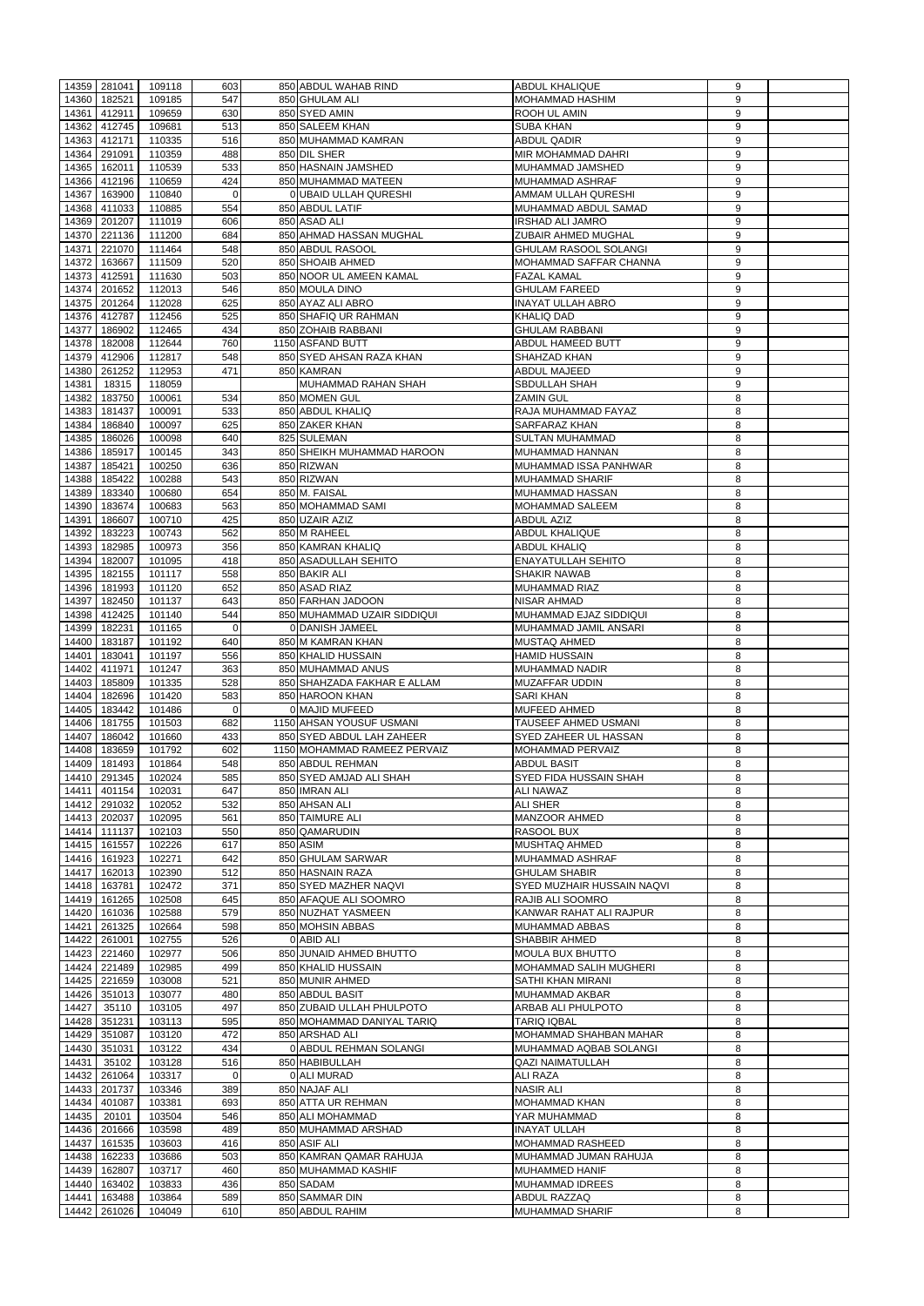|                | 14359 281041     | 109118           | 603        | 850 ABDUL WAHAB RIND              | <b>ABDUL KHALIQUE</b>                  | 9                |  |
|----------------|------------------|------------------|------------|-----------------------------------|----------------------------------------|------------------|--|
|                |                  |                  |            |                                   |                                        |                  |  |
| 14360          | 182521           | 109185           | 547        | 850 GHULAM ALI                    | <b>MOHAMMAD HASHIM</b>                 | 9                |  |
| 14361          | 412911           | 109659           | 630        | 850 SYED AMIN                     | <b>ROOH UL AMIN</b>                    | 9                |  |
| 14362          | 412745           | 109681           | 513        | 850 SALEEM KHAN                   | <b>SUBA KHAN</b>                       | 9                |  |
| 14363          | 412171           | 110335           | 516        | 850 MUHAMMAD KAMRAN               | <b>ABDUL QADIR</b>                     | 9                |  |
| 14364          | 291091           | 110359           | 488        | 850 DIL SHER                      | <b>MIR MOHAMMAD DAHRI</b>              | 9                |  |
|                |                  |                  |            |                                   |                                        |                  |  |
| 14365          | 162011           | 110539           | 533        | 850 HASNAIN JAMSHED               | MUHAMMAD JAMSHED                       | 9                |  |
| 14366          | 412196           | 110659           | 424        | 850 MUHAMMAD MATEEN               | MUHAMMAD ASHRAF                        | $\boldsymbol{9}$ |  |
| 14367          | 163900           | 110840           | $\Omega$   | 0 UBAID ULLAH QURESHI             | AMMAM ULLAH QURESHI                    | $\boldsymbol{9}$ |  |
| 14368          | 411033           | 110885           | 554        | 850 ABDUL LATIF                   | MUHAMMAD ABDUL SAMAD                   | 9                |  |
|                |                  |                  |            |                                   |                                        |                  |  |
| 14369          | 201207           | 111019           | 606        | 850 ASAD ALI                      | <b>IRSHAD ALI JAMRO</b>                | 9                |  |
| 14370          | 221136           | 111200           | 684        | 850 AHMAD HASSAN MUGHAL           | <b>ZUBAIR AHMED MUGHAL</b>             | 9                |  |
| 14371          | 221070           | 111464           | 548        | 850 ABDUL RASOOL                  | <b>GHULAM RASOOL SOLANGI</b>           | 9                |  |
| 14372          | 163667           | 111509           | 520        | 850 SHOAIB AHMED                  | MOHAMMAD SAFFAR CHANNA                 | 9                |  |
| 14373          | 412591           | 111630           | 503        | 850 NOOR UL AMEEN KAMAL           | <b>FAZAL KAMAL</b>                     | 9                |  |
|                |                  |                  |            |                                   |                                        |                  |  |
| 14374          | 201652           | 112013           | 546        | 850 MOULA DINO                    | <b>GHULAM FAREED</b>                   | 9                |  |
| 14375          | 201264           | 112028           | 625        | 850 AYAZ ALI ABRO                 | <b>INAYAT ULLAH ABRO</b>               | 9                |  |
| 14376          | 412787           | 112456           | 525        | 850 SHAFIQ UR RAHMAN              | <b>KHALIQ DAD</b>                      | 9                |  |
| 14377          | 186902           | 112465           | 434        | 850 ZOHAIB RABBANI                | <b>GHULAM RABBANI</b>                  | 9                |  |
|                | 182008           |                  | 760        | 1150 ASFAND BUTT                  | ABDUL HAMEED BUTT                      |                  |  |
| 14378          |                  | 112644           |            |                                   |                                        | 9                |  |
| 14379          | 412906           | 112817           | 548        | 850 SYED AHSAN RAZA KHAN          | SHAHZAD KHAN                           | 9                |  |
| 14380          | 261252           | 112953           | 471        | 850 KAMRAN                        | ABDUL MAJEED                           | 9                |  |
| 14381          | 18315            | 118059           |            | MUHAMMAD RAHAN SHAH               | <b>SBDULLAH SHAH</b>                   | 9                |  |
| 14382          | 183750           | 100061           | 534        | 850 MOMEN GUL                     | <b>ZAMIN GUL</b>                       | 8                |  |
|                |                  |                  |            |                                   |                                        |                  |  |
| 14383          | 181437           | 100091           | 533        | 850 ABDUL KHALIQ                  | RAJA MUHAMMAD FAYAZ                    | $\bf8$           |  |
| 14384          | 186840           | 100097           | 625        | 850 ZAKER KHAN                    | <b>SARFARAZ KHAN</b>                   | 8                |  |
| 14385          | 186026           | 100098           | 640        | 825 SULEMAN                       | <b>SULTAN MUHAMMAD</b>                 | 8                |  |
| 14386          | 185917           | 100145           | 343        | 850 SHEIKH MUHAMMAD HAROON        | MUHAMMAD HANNAN                        | 8                |  |
| 14387          | 185421           | 100250           | 636        |                                   | MUHAMMAD ISSA PANHWAR                  | 8                |  |
|                |                  |                  |            | 850 RIZWAN                        |                                        |                  |  |
| 14388          | 185422           | 100288           | 543        | 850 RIZWAN                        | <b>MUHAMMAD SHARIF</b>                 | 8                |  |
| 14389          | 183340           | 100680           | 654        | 850 M. FAISAL                     | <b>MUHAMMAD HASSAN</b>                 | 8                |  |
| 14390          | 183674           | 100683           | 563        | 850 MOHAMMAD SAMI                 | <b>MOHAMMAD SALEEM</b>                 | 8                |  |
| 14391          | 186607           | 100710           | 425        | 850 UZAIR AZIZ                    | <b>ABDUL AZIZ</b>                      | 8                |  |
|                |                  |                  |            |                                   |                                        |                  |  |
| 14392          | 183223           | 100743           | 562        | 850 M RAHEEL                      | <b>ABDUL KHALIQUE</b>                  | 8                |  |
| 14393          | 182985           | 100973           | 356        | 850 KAMRAN KHALIQ                 | <b>ABDUL KHALIQ</b>                    | 8                |  |
| 14394          | 182007           | 101095           | 418        | 850 ASADULLAH SEHITO              | <b>ENAYATULLAH SEHITO</b>              | 8                |  |
|                | 14395 182155     | 101117           | 558        | 850 BAKIR ALI                     | <b>SHAKIR NAWAB</b>                    | 8                |  |
|                | 181993           |                  | 652        | 850 ASAD RIAZ                     | MUHAMMAD RIAZ                          | 8                |  |
| 14396          |                  | 101120           |            |                                   |                                        |                  |  |
| 14397          | 182450           | 101137           | 643        | 850 FARHAN JADOON                 | <b>NISAR AHMAD</b>                     | 8                |  |
| 14398          | 412425           | 101140           | 544        | 850 MUHAMMAD UZAIR SIDDIQUI       | MUHAMMAD EJAZ SIDDIQUI                 | 8                |  |
| 14399          | 182231           | 101165           | $\Omega$   | <b>OIDANISH JAMEEL</b>            | MUHAMMAD JAMIL ANSARI                  | 8                |  |
|                | 183187           |                  |            |                                   | <b>MUSTAQ AHMED</b>                    | $\bf8$           |  |
| 14400          |                  | 101192           | 640        | 850 M KAMRAN KHAN                 |                                        |                  |  |
| 14401          | 183041           | 101197           | 556        | 850 KHALID HUSSAIN                | <b>HAMID HUSSAIN</b>                   | 8                |  |
| 14402          | 411971           | 101247           | 363        | 850 MUHAMMAD ANUS                 | <b>MUHAMMAD NADIR</b>                  | 8                |  |
| 14403          | 185809           | 101335           | 528        | 850 SHAHZADA FAKHAR E ALLAM       | <b>MUZAFFAR UDDIN</b>                  | 8                |  |
|                |                  |                  |            |                                   |                                        |                  |  |
|                |                  |                  |            |                                   |                                        |                  |  |
| 14404          | 182696           | 101420           | 583        | 850 HAROON KHAN                   | <b>SARI KHAN</b>                       | 8                |  |
| 14405          | 183442           | 101486           | $\Omega$   | 0 MAJID MUFEED                    | <b>MUFEED AHMED</b>                    | 8                |  |
| 14406          | 181755           | 101503           | 682        | 1150 AHSAN YOUSUF USMANI          | <b>TAUSEEF AHMED USMANI</b>            | 8                |  |
| 14407          | 186042           | 101660           | 433        | 850 SYED ABDUL LAH ZAHEER         | <b>SYED ZAHEER UL HASSAN</b>           | 8                |  |
|                |                  |                  |            |                                   |                                        |                  |  |
| 14408          | 183659           | 101792           | 602        | 1150 MOHAMMAD RAMEEZ PERVAIZ      | MOHAMMAD PERVAIZ                       | 8                |  |
| 14409          | 181493           | 101864           | 548        | 850 ABDUL REHMAN                  | ABDUL BASIT                            | 8                |  |
| 14410          | 291345           | 102024           | 585        | 850 SYED AMJAD ALI SHAH           | <b>SYED FIDA HUSSAIN SHAH</b>          | 8                |  |
| 14411          | 401154           | 102031           | 647        | 850 IMRAN ALI                     | ALI NAWAZ                              | 8                |  |
| 14412          | 291032           | 102052           | 532        | 850 AHSAN ALI                     | <b>ALI SHER</b>                        | 8                |  |
|                |                  |                  |            |                                   |                                        |                  |  |
| 14413          | 202037           | 102095           | 561        | 850 TAIMURE ALI                   | <b>MANZOOR AHMED</b>                   | 8                |  |
| 14414          | 111137           | 102103           | 550        | 850 QAMARUDIN                     | RASOOL BUX                             | 8                |  |
| 14415          | 161557           | 102226           | 617        | 850 ASIM                          | <b>MUSHTAQ AHMED</b>                   | 8                |  |
| 14416          | 161923           | 102271           | 642        | 850 GHULAM SARWAR                 | MUHAMMAD ASHRAF                        | 8                |  |
| 14417          | 162013           | 102390           | 512        | 850 HASNAIN RAZA                  | <b>GHULAM SHABIR</b>                   | $\bf8$           |  |
|                |                  |                  |            |                                   |                                        |                  |  |
| 14418          | 163781           | 102472           | 371        | 850 SYED MAZHER NAQVI             | <b>SYED MUZHAIR HUSSAIN NAQVI</b>      | 8                |  |
| 14419          | 161265           | 102508           | 645        | 850 AFAQUE ALI SOOMRO             | <b>RAJIB ALI SOOMRO</b>                | 8                |  |
| 14420          | 161036           | 102588           | 579        | 850 NUZHAT YASMEEN                | KANWAR RAHAT ALI RAJPUR                | 8                |  |
| 14421          | 261325           | 102664           | 598        | 850 MOHSIN ABBAS                  | <b>MUHAMMAD ABBAS</b>                  | 8                |  |
| 14422          | 261001           | 102755           | 526        | 0 ABID ALI                        | <b>SHABBIR AHMED</b>                   | 8                |  |
|                |                  |                  |            |                                   |                                        |                  |  |
| 14423          | 221460           | 102977           | 506        | 850 JUNAID AHMED BHUTTO           | <b>MOULA BUX BHUTTO</b>                | 8                |  |
| 14424          | 221489           | 102985           | 499        | 850 KHALID HUSSAIN                | MOHAMMAD SALIH MUGHERI                 | 8                |  |
| 14425          | 221659           | 103008           | 521        | 850 MUNIR AHMED                   | SATHI KHAN MIRANI                      | 8                |  |
| 14426          | 351013           | 103077           | 480        | 850 ABDUL BASIT                   | <b>MUHAMMAD AKBAR</b>                  | 8                |  |
|                |                  |                  |            |                                   |                                        |                  |  |
| 14427          | 35110            | 103105           | 497        | 850 ZUBAID ULLAH PHULPOTO         | ARBAB ALI PHULPOTO                     | 8                |  |
| 14428          | 351231           | 103113           | 595        | 850 MOHAMMAD DANIYAL TARIQ        | <b>TARIQ IQBAL</b>                     | 8                |  |
| 14429          | 351087           | 103120           | 472        | 850 ARSHAD ALI                    | <b>MOHAMMAD SHAHBAN MAHAR</b>          | 8                |  |
| 14430          | 351031           | 103122           | 434        | 0 ABDUL REHMAN SOLANGI            | MUHAMMAD AQBAB SOLANGI                 | 8                |  |
|                |                  |                  |            |                                   |                                        |                  |  |
| 14431          | 35102            | 103128           | 516        | 850 HABIBULLAH                    | <b>QAZI NAIMATULLAH</b>                | 8                |  |
| 14432          | 261064           | 103317           | $\Omega$   | 0 ALI MURAD                       | ALI RAZA                               | 8                |  |
| 14433          | 201737           | 103346           | 389        | 850 NAJAF ALI                     | <b>NASIR ALI</b>                       | 8                |  |
| 14434          | 401087           | 103381           | 693        | 850 ATTA UR REHMAN                | <b>MOHAMMAD KHAN</b>                   | 8                |  |
| 14435          | 20101            | 103504           | 546        | 850 ALI MOHAMMAD                  | YAR MUHAMMAD                           | 8                |  |
|                |                  |                  |            |                                   |                                        |                  |  |
| 14436          | 201666           | 103598           | 489        | 850 MUHAMMAD ARSHAD               | <b>INAYAT ULLAH</b>                    | 8                |  |
| 14437          | 161535           | 103603           | 416        | 850 ASIF ALI                      | <b>MOHAMMAD RASHEED</b>                | 8                |  |
| 14438          | 162233           | 103686           | 503        | 850 KAMRAN QAMAR RAHUJA           | MUHAMMAD JUMAN RAHUJA                  | 8                |  |
| 14439          | 162807           | 103717           | 460        | 850 MUHAMMAD KASHIF               | <b>MUHAMMED HANIF</b>                  | 8                |  |
|                |                  |                  |            |                                   |                                        |                  |  |
| 14440          | 163402           | 103833           | 436        | 850 SADAM                         | <b>MUHAMMAD IDREES</b>                 | 8                |  |
| 14441<br>14442 | 163488<br>261026 | 103864<br>104049 | 589<br>610 | 850 SAMMAR DIN<br>850 ABDUL RAHIM | ABDUL RAZZAQ<br><b>MUHAMMAD SHARIF</b> | 8<br>8           |  |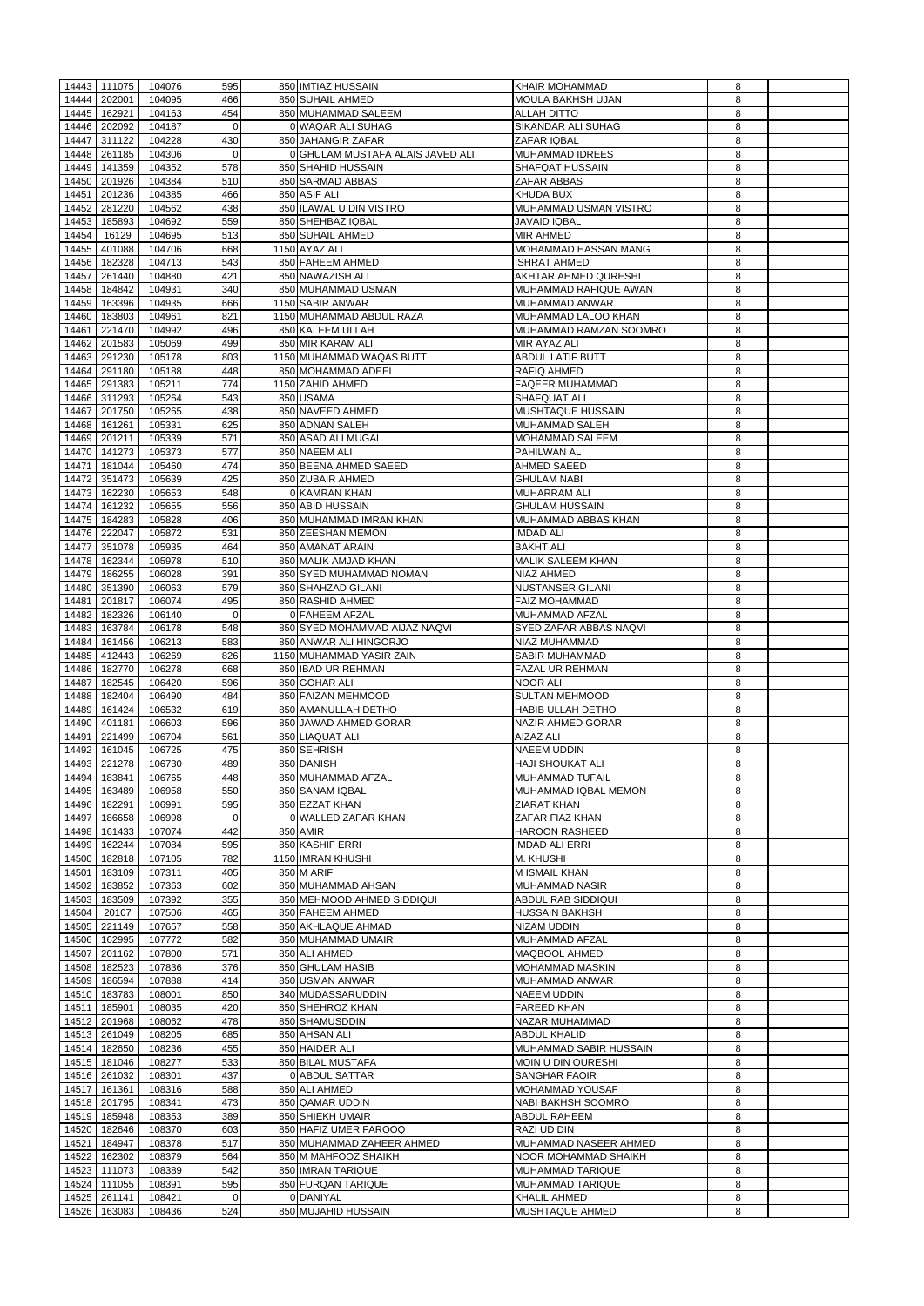|       | 14443 111075           | 104076           | 595             | 850 IMTIAZ HUSSAIN               | KHAIR MOHAMMAD                                | 8      |  |
|-------|------------------------|------------------|-----------------|----------------------------------|-----------------------------------------------|--------|--|
| 14444 | 202001                 | 104095           | 466             | 850 SUHAIL AHMED                 | MOULA BAKHSH UJAN                             | 8      |  |
| 14445 | 162921                 | 104163           | 454             | 850 MUHAMMAD SALEEM              | <b>ALLAH DITTO</b>                            |        |  |
|       |                        |                  |                 |                                  |                                               | 8      |  |
| 14446 | 202092                 | 104187           | $\Omega$        | 0 WAQAR ALI SUHAG                | <b>SIKANDAR ALI SUHAG</b>                     | 8      |  |
| 14447 | 311122                 | 104228           | 430             | 850 JAHANGIR ZAFAR               | <b>ZAFAR IQBAL</b>                            | 8      |  |
| 14448 | 261185                 | 104306           | $\mathbf 0$     | 0 GHULAM MUSTAFA ALAIS JAVED ALI | <b>MUHAMMAD IDREES</b>                        | 8      |  |
| 14449 | 141359                 | 104352           | 578             | 850 SHAHID HUSSAIN               | <b>SHAFQAT HUSSAIN</b>                        | 8      |  |
| 14450 | 201926                 | 104384           | 510             | 850 SARMAD ABBAS                 | <b>ZAFAR ABBAS</b>                            | 8      |  |
| 14451 | 201236                 | 104385           | 466             | 850 ASIF ALI                     | <b>KHUDA BUX</b>                              | 8      |  |
| 14452 | 281220                 | 104562           | 438             | 850 ILAWAL U DIN VISTRO          | MUHAMMAD USMAN VISTRO                         | 8      |  |
| 14453 | 185893                 | 104692           | 559             | 850 SHEHBAZ IQBAL                | JAVAID IQBAL                                  | 8      |  |
| 14454 | 16129                  | 104695           | 513             | 850 SUHAIL AHMED                 | <b>MIR AHMED</b>                              | 8      |  |
| 14455 | 401088                 | 104706           | 668             | 1150 AYAZ ALI                    | MOHAMMAD HASSAN MANG                          | 8      |  |
| 14456 | 182328                 | 104713           | 543             | 850 FAHEEM AHMED                 | <b>ISHRAT AHMED</b>                           | 8      |  |
|       |                        |                  |                 |                                  |                                               |        |  |
| 14457 | 261440                 | 104880           | 421             | 850 NAWAZISH ALI                 | <b>AKHTAR AHMED QURESHI</b>                   | 8      |  |
|       | 14458 184842           | 104931           | 340             | 850 MUHAMMAD USMAN               | MUHAMMAD RAFIQUE AWAN                         | 8      |  |
| 14459 | 163396                 | 104935           | 666             | 1150 SABIR ANWAR                 | MUHAMMAD ANWAR                                | 8      |  |
|       | 14460 183803           | 104961           | 821             | 1150 MUHAMMAD ABDUL RAZA         | MUHAMMAD LALOO KHAN                           | 8      |  |
| 14461 | 221470                 | 104992           | 496             | 850 KALEEM ULLAH                 | MUHAMMAD RAMZAN SOOMRO                        | 8      |  |
| 14462 | 201583                 | 105069           | 499             | 850 MIR KARAM ALI                | <b>MIR AYAZ ALI</b>                           | 8      |  |
| 14463 | 291230                 | 105178           | 803             | 1150 MUHAMMAD WAQAS BUTT         | <b>ABDUL LATIF BUTT</b>                       | 8      |  |
| 14464 | 291180                 | 105188           | 448             | 850 MOHAMMAD ADEEL               | RAFIQ AHMED                                   | 8      |  |
|       | 14465 291383           | 105211           | 774             | 1150 ZAHID AHMED                 | <b>FAQEER MUHAMMAD</b>                        | 8      |  |
|       | 14466 311293           | 105264           | 543             | 850 USAMA                        | <b>SHAFQUAT ALI</b>                           | $\bf8$ |  |
|       |                        |                  |                 |                                  |                                               |        |  |
| 14467 | 201750                 | 105265           | 438             | 850 NAVEED AHMED                 | <b>MUSHTAQUE HUSSAIN</b>                      | 8      |  |
|       | 14468 161261           | 105331           | 625             | 850 ADNAN SALEH                  | MUHAMMAD SALEH                                | 8      |  |
| 14469 | 201211                 | 105339           | 571             | 850 ASAD ALI MUGAL               | <b>MOHAMMAD SALEEM</b>                        | 8      |  |
| 14470 | 141273                 | 105373           | 577             | 850 NAEEM ALI                    | <b>PAHILWAN AL</b>                            | 8      |  |
| 14471 | 181044                 | 105460           | 474             | 850 BEENA AHMED SAEED            | <b>AHMED SAEED</b>                            | 8      |  |
| 14472 | 351473                 | 105639           | 425             | 850 ZUBAIR AHMED                 | <b>GHULAM NABI</b>                            | 8      |  |
| 14473 | 162230                 | 105653           | 548             | 0 KAMRAN KHAN                    | MUHARRAM ALI                                  | 8      |  |
| 14474 | 161232                 | 105655           | 556             | 850 ABID HUSSAIN                 | <b>GHULAM HUSSAIN</b>                         | 8      |  |
| 14475 | 184283                 | 105828           | 406             | 850 MUHAMMAD IMRAN KHAN          | MUHAMMAD ABBAS KHAN                           | 8      |  |
| 14476 | 222047                 | 105872           | 531             | 850 ZEESHAN MEMON                | <b>IMDAD ALI</b>                              | 8      |  |
|       |                        |                  |                 |                                  |                                               |        |  |
| 14477 | 351078                 | 105935           | 464             | 850 AMANAT ARAIN                 | <b>BAKHT ALI</b>                              | 8      |  |
|       | 14478 162344           | 105978           | 510             | 850 MALIK AMJAD KHAN             | <b>I</b> MALIK SALEEM KHAN                    | 8      |  |
|       | 14479 186255           | 106028           | 391             | 850 SYED MUHAMMAD NOMAN          | <b>NIAZ AHMED</b>                             | 8      |  |
| 14480 | 351390                 | 106063           | 579             | 850 SHAHZAD GILANI               | <b>NUSTANSER GILANI</b>                       | 8      |  |
| 14481 | 201817                 | 106074           | 495             | 850 RASHID AHMED                 | <b>FAIZ MOHAMMAD</b>                          | 8      |  |
| 14482 | 182326                 | 106140           | $\Omega$        | 0 FAHEEM AFZAL                   | <b>MUHAMMAD AFZAL</b>                         | 8      |  |
| 14483 | 163784                 | 106178           | 548             | 850 SYED MOHAMMAD AIJAZ NAQVI    | <b>SYED ZAFAR ABBAS NAQVI</b>                 | $\bf8$ |  |
| 14484 | 161456                 | 106213           | 583             | 850 ANWAR ALI HINGORJO           | NIAZ MUHAMMAD                                 | 8      |  |
| 14485 | 412443                 | 106269           | 826             | 1150 MUHAMMAD YASIR ZAIN         | <b>SABIR MUHAMMAD</b>                         | 8      |  |
| 14486 | 182770                 | 106278           | 668             | 850 IBAD UR REHMAN               | <b>FAZAL UR REHMAN</b>                        | 8      |  |
| 14487 | 182545                 | 106420           | 596             | 850 GOHAR ALI                    | <b>NOOR ALI</b>                               | 8      |  |
|       |                        |                  |                 |                                  |                                               |        |  |
| 14488 | 182404                 | 106490           | 484             | 850 FAIZAN MEHMOOD               | <b>SULTAN MEHMOOD</b>                         | 8      |  |
| 14489 | 161424                 | 106532           | 619             | 850 AMANULLAH DETHO              | <b>HABIB ULLAH DETHO</b>                      | 8      |  |
| 14490 | 401181                 | 106603           | 596             | 850 JAWAD AHMED GORAR            | <b>NAZIR AHMED GORAR</b>                      | 8      |  |
| 14491 | 221499                 | 106704           | 561             | 850 LIAQUAT ALI                  | <b>AIZAZ ALI</b>                              | 8      |  |
| 14492 | 161045                 | 106725           | 475             | 850 SEHRISH                      | <b>NAEEM UDDIN</b>                            | 8      |  |
| 14493 | 221278                 | 106730           | 489             | 850 DANISH                       | <b>HAJI SHOUKAT ALI</b>                       | 8      |  |
| 14494 | 183841                 | 106765           | 448             | 850 MUHAMMAD AFZAL               | <b>MUHAMMAD TUFAIL</b>                        | 8      |  |
| 14495 | 163489                 | 106958           | 550             | 850 SANAM IQBAL                  | MUHAMMAD IQBAL MEMON                          | 8      |  |
| 14496 | 182291                 | 106991           | 595             | 850 EZZAT KHAN                   | <b>ZIARAT KHAN</b>                            | 8      |  |
| 14497 | 186658                 | 106998           | 0               | 0 WALLED ZAFAR KHAN              | ZAFAR FIAZ KHAN                               | 8      |  |
|       |                        |                  |                 |                                  |                                               |        |  |
| 14498 | 161433                 | 107074           | 442             | 850 AMIR                         | <b>HAROON RASHEED</b>                         | 8      |  |
| 14499 | 162244                 | 107084           | 595             | 850 KASHIF ERRI                  | IMDAD ALI ERRI                                | 8      |  |
| 14500 | 182818                 | 107105           | 782             | 1150 IMRAN KHUSHI                | <b>M. KHUSHI</b>                              | 8      |  |
| 14501 | 183109                 | 107311           | 405             | 850 M ARIF                       | <b>M ISMAIL KHAN</b>                          | 8      |  |
| 14502 | 183852                 | 107363           | 602             | 850 MUHAMMAD AHSAN               | <b>MUHAMMAD NASIR</b>                         | 8      |  |
| 14503 | 183509                 | 107392           | 355             | 850 MEHMOOD AHMED SIDDIQUI       | ABDUL RAB SIDDIQUI                            | 8      |  |
| 14504 | 20107                  | 107506           | 465             | 850 FAHEEM AHMED                 | <b>HUSSAIN BAKHSH</b>                         | 8      |  |
| 14505 | 221149                 | 107657           | 558             | 850 AKHLAQUE AHMAD               | <b>NIZAM UDDIN</b>                            | 8      |  |
| 14506 | 162995                 | 107772           | 582             | 850 MUHAMMAD UMAIR               | MUHAMMAD AFZAL                                | 8      |  |
| 14507 | 201162                 | 107800           | 571             | 850 ALI AHMED                    | <b>MAQBOOL AHMED</b>                          | 8      |  |
|       |                        |                  |                 | 850 GHULAM HASIB                 |                                               |        |  |
| 14508 | 182523                 | 107836           | 376             |                                  | <b>MOHAMMAD MASKIN</b>                        | 8      |  |
| 14509 | 186594                 | 107888           | 414             | 850 USMAN ANWAR                  | MUHAMMAD ANWAR                                | 8      |  |
| 14510 | 183783                 | 108001           | 850             | 340 MUDASSARUDDIN                | <b>NAEEM UDDIN</b>                            | 8      |  |
| 14511 | 185901                 | 108035           | 420             | 850 SHEHROZ KHAN                 | <b>FAREED KHAN</b>                            | 8      |  |
| 14512 | 201968                 | 108062           | 478             | 850 SHAMUSDDIN                   | NAZAR MUHAMMAD                                | 8      |  |
| 14513 | 261049                 | 108205           | 685             | 850 AHSAN ALI                    | <b>ABDUL KHALID</b>                           | 8      |  |
| 14514 | 182650                 | 108236           | 455             | 850 HAIDER ALI                   | MUHAMMAD SABIR HUSSAIN                        | 8      |  |
|       | 14515 181046           | 108277           | 533             | 850 BILAL MUSTAFA                | MOIN U DIN QURESHI                            | 8      |  |
|       | 14516 261032           | 108301           | 437             | 0 ABDUL SATTAR                   | <b>SANGHAR FAQIR</b>                          | 8      |  |
|       | 14517 161361           | 108316           | 588             | 850 ALI AHMED                    | <b>MOHAMMAD YOUSAF</b>                        | 8      |  |
|       |                        |                  |                 |                                  |                                               |        |  |
|       | 14518 201795           | 108341           | 473             | 850 QAMAR UDDIN                  | NABI BAKHSH SOOMRO                            | 8      |  |
|       | 14519 185948           | 108353           | 389             | 850 SHIEKH UMAIR                 | <b>ABDUL RAHEEM</b>                           | 8      |  |
| 14520 | 182646                 | 108370           | 603             | 850 HAFIZ UMER FAROOQ            | <b>RAZI UD DIN</b>                            | 8      |  |
| 14521 | 184947                 | 108378           | 517             | 850 MUHAMMAD ZAHEER AHMED        | IMUHAMMAD NASEER AHMED                        | 8      |  |
| 14522 | 162302                 | 108379           | 564             | 850 M MAHFOOZ SHAIKH             | NOOR MOHAMMAD SHAIKH                          | 8      |  |
|       | 14523 111073           | 108389           | 542             | 850 IMRAN TARIQUE                | MUHAMMAD TARIQUE                              | 8      |  |
|       |                        |                  |                 |                                  |                                               |        |  |
| 14524 | 111055                 | 108391           |                 | 850 FURQAN TARIQUE               | <b>IMUHAMMAD TARIQUE</b>                      | 8      |  |
|       |                        |                  | 595<br>$\Omega$ |                                  |                                               |        |  |
| 14525 | 261141<br>14526 163083 | 108421<br>108436 | 524             | 0 DANIYAL<br>850 MUJAHID HUSSAIN | <b>KHALIL AHMED</b><br><b>MUSHTAQUE AHMED</b> | 8<br>8 |  |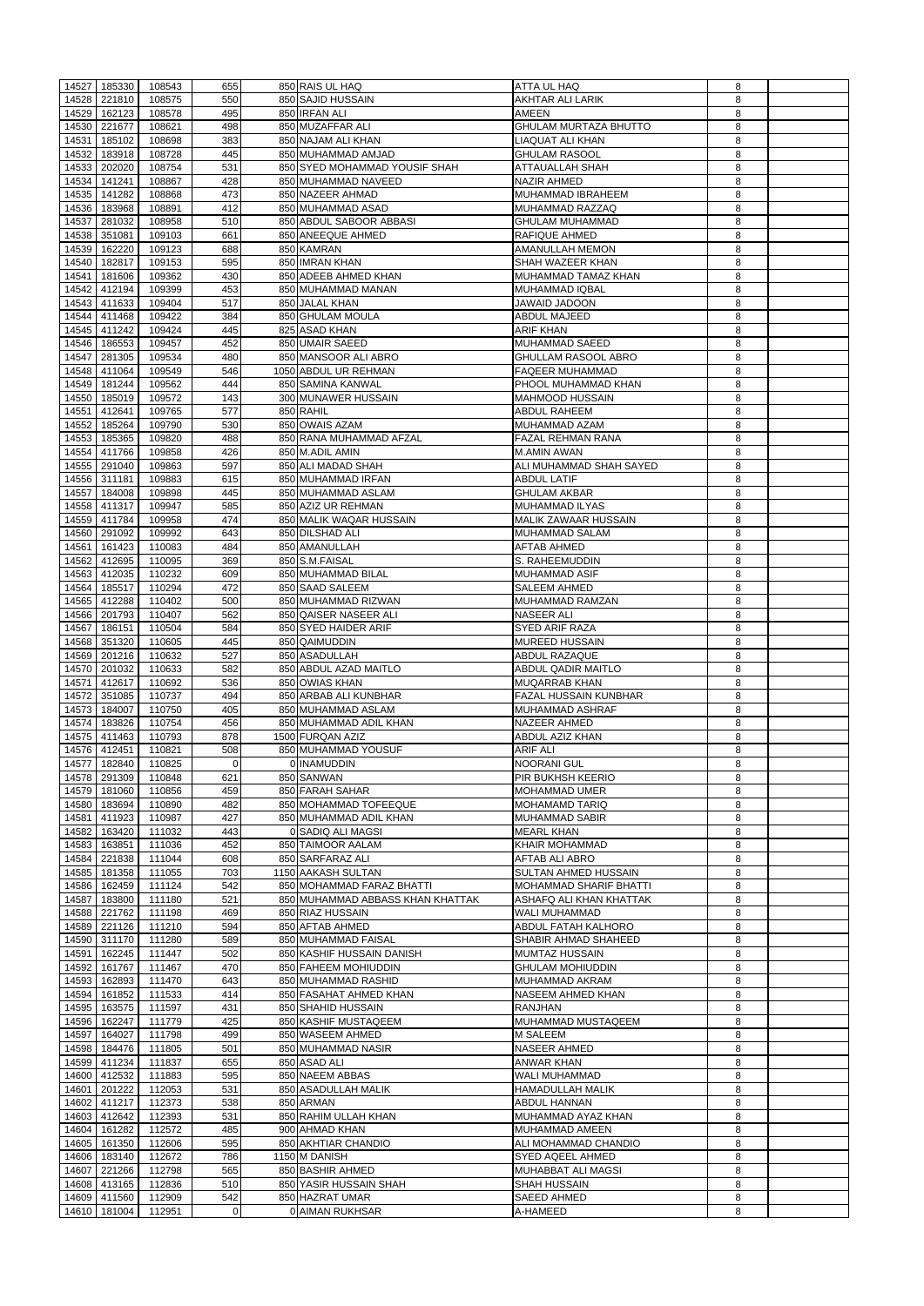|       |                        |                  |                       | 850 RAIS UL HAQ                    |                                |        |  |
|-------|------------------------|------------------|-----------------------|------------------------------------|--------------------------------|--------|--|
|       | 14527 185330           | 108543           | 655                   |                                    | <b>ATTA UL HAQ</b>             | 8      |  |
| 14528 | 221810                 | 108575           | 550                   | 850 SAJID HUSSAIN                  | AKHTAR ALI LARIK               | 8      |  |
| 14529 | 162123                 | 108578           | 495                   | 850 IRFAN ALI                      | AMEEN                          | 8      |  |
| 14530 | 221677                 | 108621           | 498                   | 850 MUZAFFAR ALI                   | <b>GHULAM MURTAZA BHUTTO</b>   | 8      |  |
| 14531 | 185102                 | 108698           | 383                   | 850 NAJAM ALI KHAN                 | LIAQUAT ALI KHAN               | 8      |  |
| 14532 | 183918                 | 108728           | 445                   | 850 MUHAMMAD AMJAD                 | <b>GHULAM RASOOL</b>           | 8      |  |
|       |                        |                  |                       |                                    |                                |        |  |
| 14533 | 202020                 | 108754           | 531                   | 850 SYED MOHAMMAD YOUSIF SHAH      | <b>ATTAUALLAH SHAH</b>         | 8      |  |
| 14534 | 141241                 | 108867           | 428                   | 850 MUHAMMAD NAVEED                | <b>NAZIR AHMED</b>             | 8      |  |
| 14535 | 141282                 | 108868           | 473                   | 850 NAZEER AHMAD                   | MUHAMMAD IBRAHEEM              | $\bf8$ |  |
| 14536 | 183968                 | 108891           | 412                   | 850 MUHAMMAD ASAD                  | MUHAMMAD RAZZAQ                | 8      |  |
|       |                        |                  |                       |                                    |                                |        |  |
| 14537 | 281032                 | 108958           | 510                   | 850 ABDUL SABOOR ABBASI            | <b>GHULAM MUHAMMAD</b>         | 8      |  |
| 14538 | 351081                 | 109103           | 661                   | 850 ANEEQUE AHMED                  | <b>RAFIQUE AHMED</b>           | 8      |  |
| 14539 | 162220                 | 109123           | 688                   | 850 KAMRAN                         | <b>AMANULLAH MEMON</b>         | 8      |  |
| 14540 | 182817                 | 109153           | 595                   | 850 IMRAN KHAN                     | <b>SHAH WAZEER KHAN</b>        | 8      |  |
| 14541 | 181606                 | 109362           | 430                   | 850 ADEEB AHMED KHAN               | MUHAMMAD TAMAZ KHAN            | 8      |  |
|       |                        |                  |                       |                                    |                                |        |  |
| 14542 | 412194                 | 109399           | 453                   | 850 MUHAMMAD MANAN                 | MUHAMMAD IQBAL                 | 8      |  |
| 14543 | 411633                 | 109404           | 517                   | 850 JALAL KHAN                     | JAWAID JADOON                  | 8      |  |
| 14544 | 411468                 | 109422           | 384                   | 850 GHULAM MOULA                   | <b>ABDUL MAJEED</b>            | 8      |  |
| 14545 | 411242                 | 109424           | 445                   | 825 ASAD KHAN                      | <b>ARIF KHAN</b>               | 8      |  |
|       | 186553                 |                  | 452                   |                                    |                                |        |  |
| 14546 |                        | 109457           |                       | 850 UMAIR SAEED                    | <b>MUHAMMAD SAEED</b>          | 8      |  |
| 14547 | 281305                 | 109534           | 480                   | 850 MANSOOR ALI ABRO               | <b>GHULLAM RASOOL ABRO</b>     | $\bf8$ |  |
| 14548 | 411064                 | 109549           | 546                   | 1050 ABDUL UR REHMAN               | <b>FAQEER MUHAMMAD</b>         | $\bf8$ |  |
| 14549 | 181244                 | 109562           | 444                   | 850 SAMINA KANWAL                  | PHOOL MUHAMMAD KHAN            | 8      |  |
| 14550 | 185019                 | 109572           | 143                   | 300 MUNAWER HUSSAIN                | <b>MAHMOOD HUSSAIN</b>         | 8      |  |
|       |                        |                  |                       |                                    |                                |        |  |
| 14551 | 412641                 | 109765           | 577                   | 850 RAHIL                          | ABDUL RAHEEM                   | 8      |  |
| 14552 | 185264                 | 109790           | 530                   | 850 OWAIS AZAM                     | MUHAMMAD AZAM                  | 8      |  |
| 14553 | 185365                 | 109820           | 488                   | 850 RANA MUHAMMAD AFZAL            | <b>FAZAL REHMAN RANA</b>       | 8      |  |
| 14554 | 411766                 | 109858           | 426                   | 850 M.ADIL AMIN                    | M.AMIN AWAN                    | 8      |  |
| 14555 | 291040                 | 109863           | 597                   | 850 ALI MADAD SHAH                 | ALI MUHAMMAD SHAH SAYED        | 8      |  |
|       |                        |                  |                       |                                    |                                |        |  |
| 14556 | 311181                 | 109883           | 615                   | 850 MUHAMMAD IRFAN                 | <b>ABDUL LATIF</b>             | 8      |  |
| 14557 | 184008                 | 109898           | 445                   | 850 MUHAMMAD ASLAM                 | <b>GHULAM AKBAR</b>            | 8      |  |
| 14558 | 411317                 | 109947           | 585                   | 850 AZIZ UR REHMAN                 | <b>MUHAMMAD ILYAS</b>          | 8      |  |
| 14559 | 411784                 | 109958           | 474                   | 850 MALIK WAQAR HUSSAIN            | <b>MALIK ZAWAAR HUSSAIN</b>    | 8      |  |
|       | 291092                 | 109992           | 643                   | 850 DILSHAD ALI                    | <b>MUHAMMAD SALAM</b>          | 8      |  |
| 14560 |                        |                  |                       |                                    |                                |        |  |
| 14561 | 161423                 | 110083           | 484                   | 850 AMANULLAH                      | <b>AFTAB AHMED</b>             | 8      |  |
|       | 14562 412695           | 110095           | 369                   | 850 S.M.FAISAL                     | S. RAHEEMUDDIN                 | 8      |  |
|       | 14563 412035           | 110232           | 609                   | 850 MUHAMMAD BILAL                 | <b>MUHAMMAD ASIF</b>           | 8      |  |
| 14564 | 185517                 | 110294           | 472                   | 850 SAAD SALEEM                    | <b>SALEEM AHMED</b>            | 8      |  |
|       |                        |                  |                       | 850 MUHAMMAD RIZWAN                |                                |        |  |
| 14565 | 412288                 | 110402           | 500                   |                                    | MUHAMMAD RAMZAN                | 8      |  |
| 14566 | 201793                 | 110407           | 562                   | 850 QAISER NASEER ALI              | <b>NASEER ALI</b>              | 8      |  |
| 14567 | 186151                 | 110504           | 584                   | 850 SYED HAIDER ARIF               | <b>SYED ARIF RAZA</b>          | 8      |  |
| 14568 | 351320                 | 110605           | 445                   | 850 QAIMUDDIN                      | <b>MUREED HUSSAIN</b>          | 8      |  |
| 14569 | 201216                 | 110632           | 527                   | 850 ASADULLAH                      | ABDUL RAZAQUE                  | 8      |  |
|       |                        |                  |                       |                                    |                                |        |  |
| 14570 | 201032                 | 110633           | 582                   | 850 ABDUL AZAD MAITLO              | ABDUL QADIR MAITLO             | 8      |  |
| 14571 | 412617                 | 110692           | 536                   | 850 OWIAS KHAN                     | MUQARRAB KHAN                  | 8      |  |
| 14572 | 351085                 | 110737           | 494                   | 850 ARBAB ALI KUNBHAR              | <b>FAZAL HUSSAIN KUNBHAR</b>   | 8      |  |
| 14573 | 184007                 | 110750           | 405                   | 850 MUHAMMAD ASLAM                 | MUHAMMAD ASHRAF                | 8      |  |
| 14574 | 183826                 | 110754           | 456                   | 850 MUHAMMAD ADIL KHAN             | <b>NAZEER AHMED</b>            | 8      |  |
|       |                        |                  |                       |                                    |                                |        |  |
| 14575 | 411463                 | 110793           | 878                   | 1500 FURQAN AZIZ                   | ABDUL AZIZ KHAN                | 8      |  |
| 14576 | 412451                 | 110821           | 508                   | 850 MUHAMMAD YOUSUF                | <b>ARIF ALI</b>                | 8      |  |
| 14577 | 182840                 | 110825           | $\Omega$              | 0 INAMUDDIN                        | <b>NOORANI GUL</b>             | 8      |  |
| 14578 | 291309                 | 110848           | 621                   | 850 SANWAN                         | <b>PIR BUKHSH KEERIO</b>       | 8      |  |
| 14579 | 181060                 | 110856           | 459                   | 850 FARAH SAHAR                    | <b>MOHAMMAD UMER</b>           | 8      |  |
|       |                        |                  |                       |                                    |                                |        |  |
| 14580 | 183694                 | 110890           | 482                   | 850 MOHAMMAD TOFEEQUE              | <b>MOHAMAMD TARIQ</b>          | 8      |  |
| 14581 | 411923                 | 110987           | 427                   | 850 MUHAMMAD ADIL KHAN             | <b>MUHAMMAD SABIR</b>          | 8      |  |
| 14582 | 163420                 | 111032           | 443                   | 0 SADIQ ALI MAGSI                  | <b>MEARL KHAN</b>              | 8      |  |
| 14583 | 163851                 | 111036           | 452                   | 850 TAIMOOR AALAM                  | <b>KHAIR MOHAMMAD</b>          | 8      |  |
| 14584 | 221838                 | 111044           | 608                   | 850 SARFARAZ ALI                   | AFTAB ALI ABRO                 | 8      |  |
|       |                        |                  |                       |                                    |                                |        |  |
| 14585 | 181358                 | 111055           | 703                   | 1150 AAKASH SULTAN                 | SULTAN AHMED HUSSAIN           | 8      |  |
| 14586 | 162459                 | 111124           | 542                   | 850 MOHAMMAD FARAZ BHATTI          | <b>MOHAMMAD SHARIF BHATTI</b>  | 8      |  |
| 14587 | 183800                 | 111180           | 521                   | 850 MUHAMMAD ABBASS KHAN KHATTAK   | ASHAFQ ALI KHAN KHATTAK        | 8      |  |
| 14588 | 221762                 | 111198           | 469                   | 850 RIAZ HUSSAIN                   | WALI MUHAMMAD                  | 8      |  |
| 14589 | 221126                 | 111210           | 594                   | 850 AFTAB AHMED                    | ABDUL FATAH KALHORO            | 8      |  |
|       |                        |                  |                       |                                    |                                |        |  |
| 14590 | 311170                 | 111280           | 589                   | 850 MUHAMMAD FAISAL                | <b>SHABIR AHMAD SHAHEED</b>    | 8      |  |
| 14591 | 162245                 | 111447           | 502                   | 850 KASHIF HUSSAIN DANISH          | <b>MUMTAZ HUSSAIN</b>          | 8      |  |
| 14592 | 161767                 | 111467           | 470                   | 850 FAHEEM MOHIUDDIN               | <b>GHULAM MOHIUDDIN</b>        | 8      |  |
| 14593 | 162893                 | 111470           | 643                   | 850 MUHAMMAD RASHID                | MUHAMMAD AKRAM                 | 8      |  |
|       |                        |                  | 414                   | 850 FASAHAT AHMED KHAN             | <b>NASEEM AHMED KHAN</b>       |        |  |
| 14594 | 161852                 | 111533           |                       |                                    |                                | 8      |  |
| 14595 | 163575                 | 111597           | 431                   | 850 SHAHID HUSSAIN                 | <b>RANJHAN</b>                 | 8      |  |
| 14596 | 162247                 | 111779           | 425                   | 850 KASHIF MUSTAQEEM               | MUHAMMAD MUSTAQEEM             | 8      |  |
| 14597 | 164027                 | 111798           | 499                   | 850 WASEEM AHMED                   | <b>M SALEEM</b>                | 8      |  |
| 14598 | 184476                 | 111805           | 501                   | 850 MUHAMMAD NASIR                 | NASEER AHMED                   | 8      |  |
|       |                        |                  |                       | 850 ASAD ALI                       |                                |        |  |
|       | 14599 411234           | 111837           | 655                   |                                    | <b>ANWAR KHAN</b>              | 8      |  |
|       | 14600 412532           | 111883           | 595                   | 850 NAEEM ABBAS                    | WALI MUHAMMAD                  | 8      |  |
| 14601 | 201222                 | 112053           | 531                   | 850 ASADULLAH MALIK                | HAMADULLAH MALIK               | 8      |  |
|       | 14602 411217           | 112373           | 538                   | 850 ARMAN                          | ABDUL HANNAN                   | 8      |  |
| 14603 | 412642                 | 112393           | 531                   | 850 RAHIM ULLAH KHAN               | MUHAMMAD AYAZ KHAN             | 8      |  |
|       |                        |                  |                       |                                    |                                |        |  |
| 14604 | 161282                 | 112572           | 485                   | 900 AHMAD KHAN                     | MUHAMMAD AMEEN                 | 8      |  |
| 14605 | 161350                 | 112606           | 595                   | 850 AKHTIAR CHANDIO                | ALI MOHAMMAD CHANDIO           | 8      |  |
| 14606 | 183140                 | 112672           | 786                   | 1150 M DANISH                      | <b>SYED AQEEL AHMED</b>        | 8      |  |
| 14607 | 221266                 | 112798           | 565                   | 850 BASHIR AHMED                   | <b>MUHABBAT ALI MAGSI</b>      | 8      |  |
|       |                        |                  |                       |                                    |                                |        |  |
|       |                        |                  |                       |                                    |                                |        |  |
| 14608 | 413165                 | 112836           | 510                   | 850 YASIR HUSSAIN SHAH             | <b>SHAH HUSSAIN</b>            | 8      |  |
| 14609 | 411560<br>14610 181004 | 112909<br>112951 | 542<br>$\overline{0}$ | 850 HAZRAT UMAR<br>0 AIMAN RUKHSAR | <b>SAEED AHMED</b><br>A-HAMEED | 8<br>8 |  |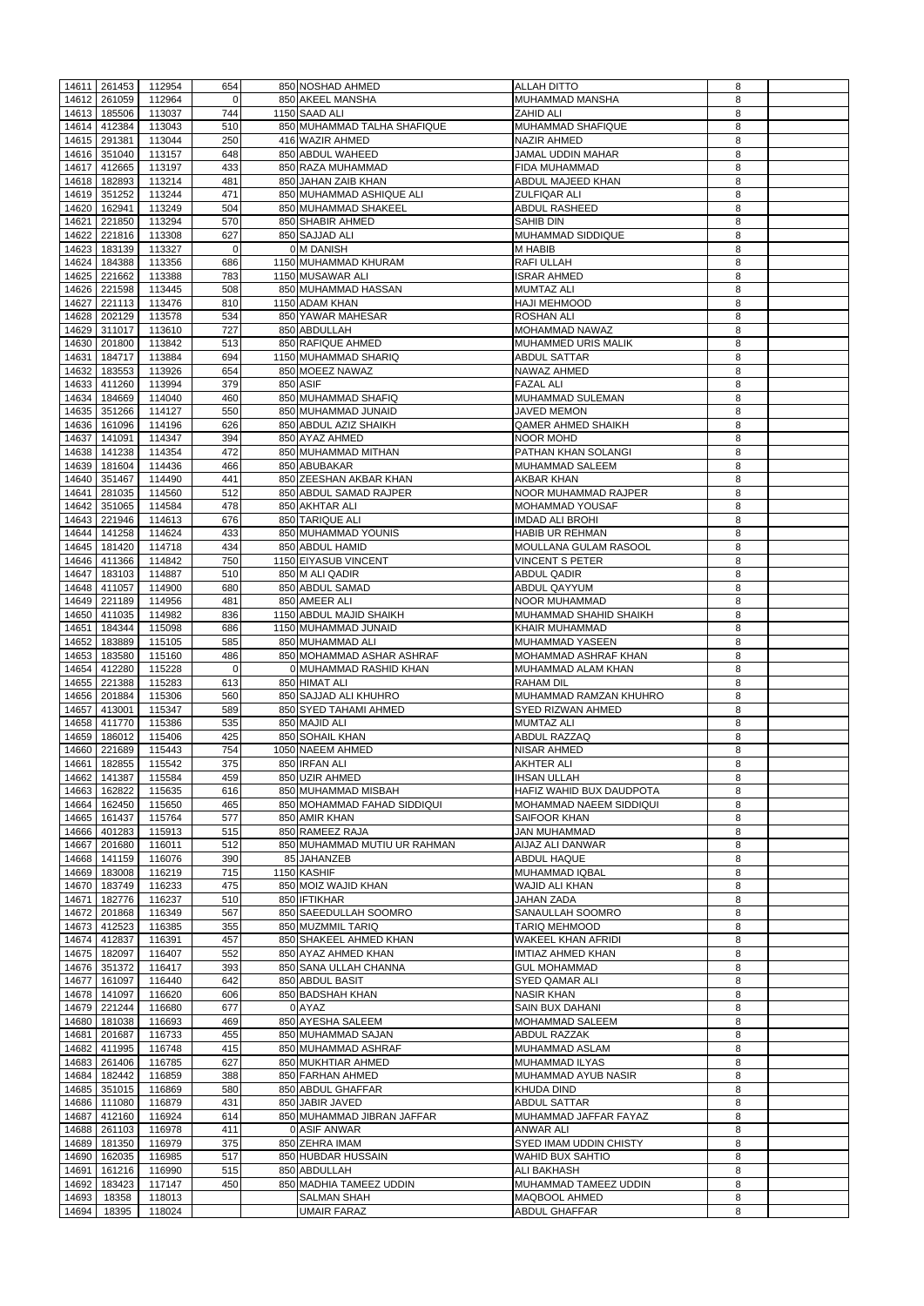| 14611          | 261453         | 112954           | 654      | 850 NOSHAD AHMED                  | <b>ALLAH DITTO</b>                           | 8      |  |
|----------------|----------------|------------------|----------|-----------------------------------|----------------------------------------------|--------|--|
| 14612          | 261059         | 112964           | $\Omega$ | 850 AKEEL MANSHA                  | <b>MUHAMMAD MANSHA</b>                       | 8      |  |
| 14613          | 185506         | 113037           | 744      | 1150 SAAD ALI                     | <b>ZAHID ALI</b>                             | 8      |  |
| 14614          | 412384         | 113043           | 510      | 850 MUHAMMAD TALHA SHAFIQUE       | MUHAMMAD SHAFIQUE                            | 8      |  |
|                |                |                  |          |                                   |                                              |        |  |
| 14615          | 291381         | 113044           | 250      | 416 WAZIR AHMED                   | <b>NAZIR AHMED</b>                           | 8      |  |
| 14616          | 351040         | 113157           | 648      | 850 ABDUL WAHEED                  | <b>JAMAL UDDIN MAHAR</b>                     | 8      |  |
| 14617          | 412665         | 113197           | 433      | 850 RAZA MUHAMMAD                 | <b>FIDA MUHAMMAD</b>                         | 8      |  |
| 14618          | 182893         | 113214           | 481      | 850 JAHAN ZAIB KHAN               | ABDUL MAJEED KHAN                            | 8      |  |
|                |                |                  |          |                                   |                                              |        |  |
| 14619          | 351252         | 113244           | 471      | 850 MUHAMMAD ASHIQUE ALI          | <b>ZULFIQAR ALI</b>                          | 8      |  |
| 14620          | 162941         | 113249           | 504      | 850 MUHAMMAD SHAKEEL              | ABDUL RASHEED                                | $\bf8$ |  |
| 14621          | 221850         | 113294           | 570      | 850 SHABIR AHMED                  | <b>SAHIB DIN</b>                             | 8      |  |
|                |                |                  |          |                                   |                                              |        |  |
| 14622          | 221816         | 113308           | 627      | 850 SAJJAD ALI                    | <b>MUHAMMAD SIDDIQUE</b>                     | 8      |  |
| 14623          | 183139         | 113327           | $\Omega$ | <b>OIM DANISH</b>                 | <b>M HABIB</b>                               | 8      |  |
| 14624          | 184388         | 113356           | 686      | 1150 MUHAMMAD KHURAM              | <b>RAFI ULLAH</b>                            | 8      |  |
| 14625          | 221662         | 113388           | 783      | 1150 MUSAWAR ALI                  | <b>ISRAR AHMED</b>                           | 8      |  |
|                |                |                  |          |                                   |                                              |        |  |
| 14626          | 221598         | 113445           | 508      | 850 MUHAMMAD HASSAN               | <b>MUMTAZ ALI</b>                            | 8      |  |
| 14627          | 221113         | 113476           | 810      | 1150 ADAM KHAN                    | <b>HAJI MEHMOOD</b>                          | 8      |  |
| 14628          | 202129         | 113578           | 534      | 850 YAWAR MAHESAR                 | <b>ROSHAN ALI</b>                            | 8      |  |
| 14629          | 311017         | 113610           | 727      | 850 ABDULLAH                      | MOHAMMAD NAWAZ                               | 8      |  |
|                |                |                  |          |                                   |                                              |        |  |
| 14630          | 201800         | 113842           | 513      | 850 RAFIQUE AHMED                 | MUHAMMED URIS MALIK                          | 8      |  |
| 14631          | 184717         | 113884           | 694      | 1150 MUHAMMAD SHARIQ              | <b>ABDUL SATTAR</b>                          | 8      |  |
| 14632          | 183553         | 113926           | 654      | 850 MOEEZ NAWAZ                   | <b>NAWAZ AHMED</b>                           | 8      |  |
| 14633          | 411260         | 113994           | 379      | 850 ASIF                          | <b>FAZAL ALI</b>                             | 8      |  |
|                |                |                  |          |                                   |                                              |        |  |
| 14634          | 184669         | 114040           | 460      | 850 MUHAMMAD SHAFIQ               | MUHAMMAD SULEMAN                             | 8      |  |
| 14635          | 351266         | 114127           | 550      | 850 MUHAMMAD JUNAID               | <b>JAVED MEMON</b>                           | 8      |  |
| 14636          | 161096         | 114196           | 626      | 850 ABDUL AZIZ SHAIKH             | <b>QAMER AHMED SHAIKH</b>                    | $\bf8$ |  |
|                |                |                  |          |                                   |                                              |        |  |
| 14637          | 141091         | 114347           | 394      | 850 AYAZ AHMED                    | <b>NOOR MOHD</b>                             | 8      |  |
| 14638          | 141238         | 114354           | 472      | 850 MUHAMMAD MITHAN               | PATHAN KHAN SOLANGI                          | 8      |  |
| 14639          | 181604         | 114436           | 466      | 850 ABUBAKAR                      | <b>MUHAMMAD SALEEM</b>                       | 8      |  |
| 14640          | 351467         | 114490           | 441      | 850 ZEESHAN AKBAR KHAN            | <b>AKBAR KHAN</b>                            | 8      |  |
|                |                |                  |          |                                   |                                              |        |  |
| 14641          | 281035         | 114560           | 512      | 850 ABDUL SAMAD RAJPER            | NOOR MUHAMMAD RAJPER                         | 8      |  |
| 14642          | 351065         | 114584           | 478      | 850 AKHTAR ALI                    | <b>MOHAMMAD YOUSAF</b>                       | 8      |  |
| 14643          | 221946         | 114613           | 676      | 850 TARIQUE ALI                   | <b>IMDAD ALI BROHI</b>                       | 8      |  |
|                |                |                  |          |                                   |                                              |        |  |
| 14644          | 141258         | 114624           | 433      | 850 MUHAMMAD YOUNIS               | <b>HABIB UR REHMAN</b>                       | 8      |  |
| 14645          | 181420         | 114718           | 434      | 850 ABDUL HAMID                   | <b>MOULLANA GULAM RASOOL</b>                 | 8      |  |
|                | 14646 411366   | 114842           | 750      | 1150 EIYASUB VINCENT              | <b>VINCENT S PETER</b>                       | 8      |  |
|                | 14647   183103 | 114887           | 510      | 850 M ALI QADIR                   | <b>ABDUL QADIR</b>                           | 8      |  |
|                |                |                  |          |                                   |                                              |        |  |
| 14648          | 411057         | 114900           | 680      | 850 ABDUL SAMAD                   | ABDUL QAYYUM                                 | 8      |  |
| 14649          | 221189         | 114956           | 481      | 850 AMEER ALI                     | <b>NOOR MUHAMMAD</b>                         | 8      |  |
| 14650          | 411035         | 114982           | 836      | 1150 ABDUL MAJID SHAIKH           | MUHAMMAD SHAHID SHAIKH                       | 8      |  |
| 14651          |                | 115098           | 686      |                                   | KHAIR MUHAMMAD                               |        |  |
|                | 184344         |                  |          | 1150 MUHAMMAD JUNAID              |                                              | 8      |  |
| 14652          | 183889         | 115105           | 585      | 850 MUHAMMAD ALI                  | MUHAMMAD YASEEN                              | 8      |  |
| 14653          | 183580         | 115160           | 486      | 850 MOHAMMAD ASHAR ASHRAF         | <b>MOHAMMAD ASHRAF KHAN</b>                  | 8      |  |
|                |                |                  |          |                                   |                                              |        |  |
|                |                |                  |          |                                   |                                              |        |  |
| 14654          | 412280         | 115228           | $\Omega$ | 0 MUHAMMAD RASHID KHAN            | MUHAMMAD ALAM KHAN                           | 8      |  |
| 14655          | 221388         | 115283           | 613      | 850 HIMAT ALI                     | <b>RAHAM DIL</b>                             | 8      |  |
| 14656          | 201884         | 115306           | 560      | 850 SAJJAD ALI KHUHRO             | MUHAMMAD RAMZAN KHUHRO                       | 8      |  |
|                |                |                  |          |                                   | SYED RIZWAN AHMED                            |        |  |
| 14657          | 413001         | 115347           | 589      | 850 SYED TAHAMI AHMED             |                                              | 8      |  |
| 14658          | 411770         | 115386           | 535      | 850 MAJID ALI                     | <b>MUMTAZ ALI</b>                            | 8      |  |
| 14659          | 186012         | 115406           | 425      | 850 SOHAIL KHAN                   | <b>ABDUL RAZZAQ</b>                          | 8      |  |
| 14660          | 221689         | 115443           | 754      | 1050 NAEEM AHMED                  | <b>NISAR AHMED</b>                           | 8      |  |
|                |                |                  |          |                                   | <b>AKHTER ALI</b>                            | 8      |  |
| 14661          | 182855         | 115542           | 375      | 850 IRFAN ALI                     |                                              |        |  |
| 14662          | 141387         | 115584           | 459      | 850 UZIR AHMED                    | <b>IHSAN ULLAH</b>                           | 8      |  |
| 14663          | 162822         | 115635           | 616      | 850 MUHAMMAD MISBAH               | HAFIZ WAHID BUX DAUDPOTA                     | 8      |  |
| 14664          | 162450         | 115650           | 465      | 850 MOHAMMAD FAHAD SIDDIQUI       | <b>MOHAMMAD NAEEM SIDDIQUI</b>               | 8      |  |
| 14665          | 161437         | 115764           | 577      | 850 AMIR KHAN                     | SAIFOOR KHAN                                 | 8      |  |
|                |                |                  |          |                                   |                                              |        |  |
| 14666          | 401283         | 115913           | 515      | 850 RAMEEZ RAJA                   | <b>JAN MUHAMMAD</b>                          | 8      |  |
| 14667          | 201680         | 116011           | 512      | 850 MUHAMMAD MUTIU UR RAHMAN      | AIJAZ ALI DANWAR                             | 8      |  |
| 14668          | 141159         | 116076           | 390      | 85 JAHANZEB                       | <b>ABDUL HAQUE</b>                           | 8      |  |
| 14669          | 183008         | 116219           | 715      | 1150 KASHIF                       | MUHAMMAD IQBAL                               | 8      |  |
|                |                |                  |          |                                   |                                              |        |  |
| 14670          | 183749         | 116233           | 475      | 850 MOIZ WAJID KHAN               | WAJID ALI KHAN                               | 8      |  |
| 14671          | 182776         | 116237           | 510      | 850 IFTIKHAR                      | <b>JAHAN ZADA</b>                            | 8      |  |
| 14672          | 201868         | 116349           | 567      | 850 SAEEDULLAH SOOMRO             | SANAULLAH SOOMRO                             | 8      |  |
| 14673          | 412523         | 116385           | 355      | 850 MUZMMIL TARIQ                 | TARIQ MEHMOOD                                | 8      |  |
|                |                |                  |          |                                   |                                              |        |  |
| 14674          | 412837         | 116391           | 457      | 850 SHAKEEL AHMED KHAN            | <b>WAKEEL KHAN AFRIDI</b>                    | 8      |  |
| 14675          | 182097         | 116407           | 552      | 850 AYAZ AHMED KHAN               | <b>IMTIAZ AHMED KHAN</b>                     | 8      |  |
| 14676          | 351372         | 116417           | 393      | 850 SANA ULLAH CHANNA             | <b>GUL MOHAMMAD</b>                          | 8      |  |
| 14677          | 161097         |                  | 642      | 850 ABDUL BASIT                   | <b>SYED QAMAR ALI</b>                        | 8      |  |
|                |                | 116440           |          |                                   |                                              |        |  |
| 14678          | 141097         | 116620           | 606      | 850 BADSHAH KHAN                  | <b>NASIR KHAN</b>                            | 8      |  |
| 14679          | 221244         | 116680           | 677      | 0 AYAZ                            | <b>SAIN BUX DAHANI</b>                       | 8      |  |
| 14680          | 181038         | 116693           | 469      | 850 AYESHA SALEEM                 | <b>MOHAMMAD SALEEM</b>                       | 8      |  |
|                |                |                  |          |                                   |                                              | 8      |  |
| 14681          | 201687         | 116733           | 455      | 850 MUHAMMAD SAJAN                | ABDUL RAZZAK                                 |        |  |
| 14682          | 411995         | 116748           | 415      | 850 MUHAMMAD ASHRAF               | MUHAMMAD ASLAM                               | 8      |  |
|                | 14683 261406   | 116785           | 627      | 850 MUKHTIAR AHMED                | MUHAMMAD ILYAS                               | 8      |  |
| 14684          | 182442         | 116859           | 388      | 850 FARHAN AHMED                  | MUHAMMAD AYUB NASIR                          | 8      |  |
|                |                |                  |          |                                   |                                              |        |  |
|                | 14685 351015   | 116869           | 580      | 850 ABDUL GHAFFAR                 | KHUDA DIND                                   | 8      |  |
|                | 14686 111080   | 116879           | 431      | 850 JABIR JAVED                   | <b>ABDUL SATTAR</b>                          | 8      |  |
| 14687          | 412160         | 116924           | 614      | 850 MUHAMMAD JIBRAN JAFFAR        | MUHAMMAD JAFFAR FAYAZ                        | 8      |  |
| 14688          | 261103         | 116978           | 411      | 0 ASIF ANWAR                      | <b>ANWAR ALI</b>                             | 8      |  |
|                |                |                  |          |                                   |                                              |        |  |
| 14689          | 181350         | 116979           | 375      | 850 ZEHRA IMAM                    | <b>SYED IMAM UDDIN CHISTY</b>                | 8      |  |
| 14690          | 162035         | 116985           | 517      | 850 HUBDAR HUSSAIN                | <b>WAHID BUX SAHTIO</b>                      | 8      |  |
| 14691          | 161216         | 116990           | 515      | 850 ABDULLAH                      | <b>ALI BAKHASH</b>                           | 8      |  |
|                |                |                  |          |                                   |                                              |        |  |
| 14692          | 183423         | 117147           | 450      | 850 MADHIA TAMEEZ UDDIN           | MUHAMMAD TAMEEZ UDDIN                        | 8      |  |
| 14693<br>14694 | 18358<br>18395 | 118013<br>118024 |          | <b>SALMAN SHAH</b><br>UMAIR FARAZ | <b>MAQBOOL AHMED</b><br><b>ABDUL GHAFFAR</b> | 8<br>8 |  |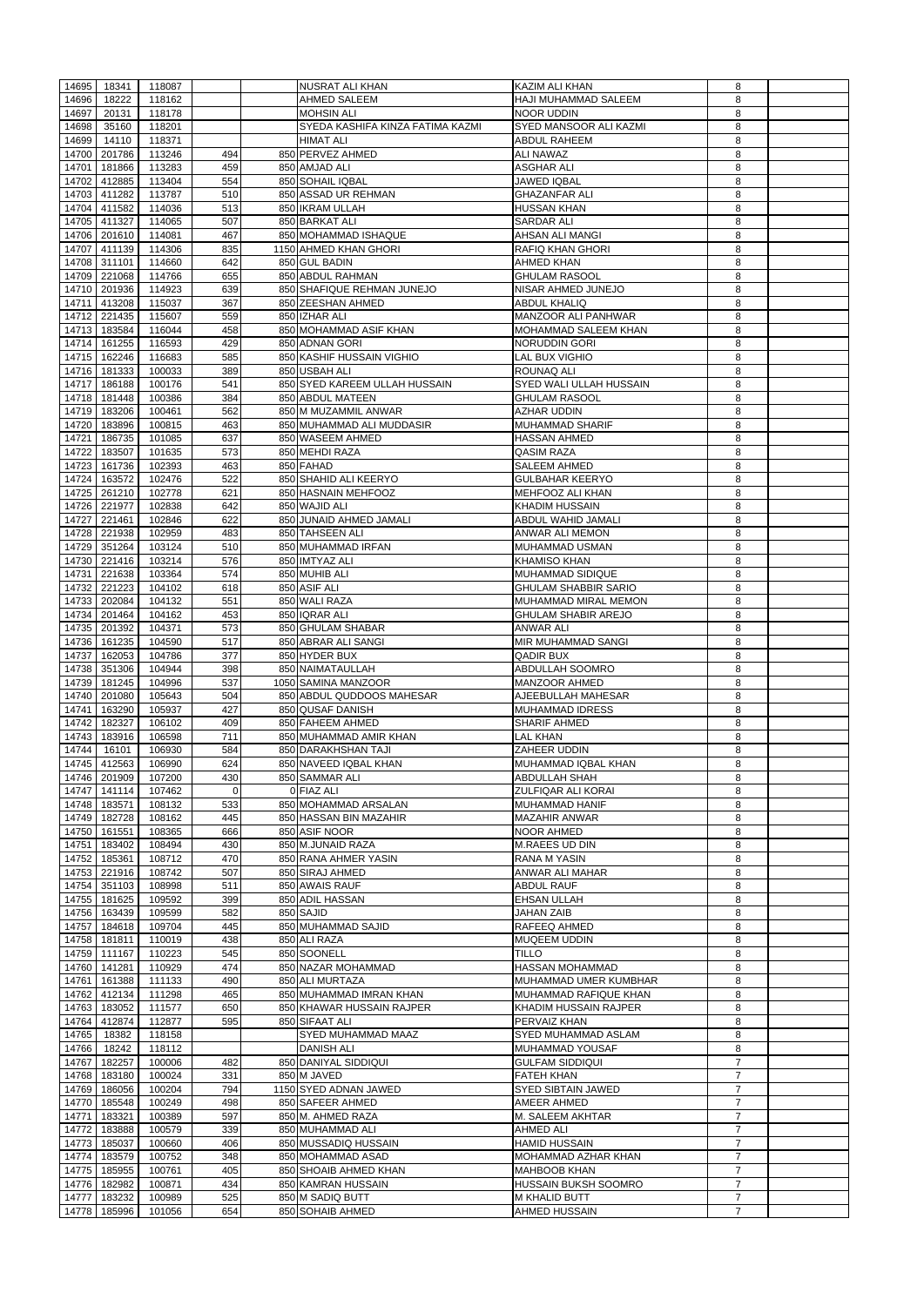| 14695 | 18341                  | 118087              |            | NUSRAT ALI KHAN                                      | KAZIM ALI KHAN                                    | 8              |  |
|-------|------------------------|---------------------|------------|------------------------------------------------------|---------------------------------------------------|----------------|--|
| 14696 | 18222                  |                     |            |                                                      |                                                   | 8              |  |
|       |                        | 118162              |            | <b>AHMED SALEEM</b><br><b>MOHSIN ALI</b>             | <b>HAJI MUHAMMAD SALEEM</b>                       |                |  |
| 14697 | 20131                  | 118178              |            |                                                      | <b>NOOR UDDIN</b>                                 | 8              |  |
| 14698 | 35160                  | 118201              |            | SYEDA KASHIFA KINZA FATIMA KAZMI<br><b>HIMAT ALI</b> | <b>SYED MANSOOR ALI KAZMI</b>                     | 8              |  |
| 14699 | 14110                  | 118371<br>113246    |            | 850 PERVEZ AHMED                                     | <b>ABDUL RAHEEM</b>                               | 8<br>$\,8\,$   |  |
| 14700 | 201786                 |                     | 494<br>459 |                                                      | <b>ALI NAWAZ</b>                                  |                |  |
| 14701 | 181866                 | 113283              | 554        | 850 AMJAD ALI                                        | <b>ASGHAR ALI</b>                                 | 8              |  |
| 14702 | 412885                 | 113404              | 510        | 850 SOHAIL IQBAL                                     | JAWED IQBAL                                       | $\bf 8$        |  |
|       | 14703 411282           | 113787              |            | 850 ASSAD UR REHMAN                                  | <b>GHAZANFAR ALI</b>                              | 8              |  |
| 14704 | 411582                 | 114036              | 513        | 850 IKRAM ULLAH                                      | <b>HUSSAN KHAN</b>                                | 8              |  |
|       | 14705 411327           | 114065              | 507        | 850 BARKAT ALI                                       | <b>SARDAR ALI</b>                                 | 8              |  |
|       | 14706 201610           | 114081              | 467        | 850 MOHAMMAD ISHAQUE                                 | <b>AHSAN ALI MANGI</b>                            | 8              |  |
|       | 14707 411139           | 114306              | 835        | 1150 AHMED KHAN GHORI                                | <b>RAFIQ KHAN GHORI</b>                           | 8              |  |
| 14709 | 14708 311101           | 114660              | 642<br>655 | 850 GUL BADIN<br>850 ABDUL RAHMAN                    | <b>AHMED KHAN</b>                                 | 8              |  |
|       | 221068<br>14710 201936 | 114766<br>114923    | 639        | 850 SHAFIQUE REHMAN JUNEJO                           | <b>GHULAM RASOOL</b><br><b>NISAR AHMED JUNEJO</b> | 8<br>8         |  |
|       | 14711 413208           | 115037              | 367        | 850 ZEESHAN AHMED                                    | <b>ABDUL KHALIQ</b>                               | 8              |  |
|       | 14712 221435           | 115607              | 559        | 850 IZHAR ALI                                        | MANZOOR ALI PANHWAR                               | 8              |  |
|       | 14713 183584           | 116044              | 458        | 850 MOHAMMAD ASIF KHAN                               | <b>MOHAMMAD SALEEM KHAN</b>                       | 8              |  |
|       | 14714 161255           | 116593              | 429        | 850 ADNAN GORI                                       | <b>NORUDDIN GORI</b>                              | 8              |  |
|       | 14715 162246           | 116683              | 585        | 850 KASHIF HUSSAIN VIGHIO                            | <b>LAL BUX VIGHIO</b>                             | $\,8\,$        |  |
| 14716 | 181333                 | 100033              | 389        | 850 USBAH ALI                                        | <b>ROUNAQ ALI</b>                                 | $\,8\,$        |  |
| 14717 | 186188                 | 100176              | 541        | 850 SYED KAREEM ULLAH HUSSAIN                        | <b>SYED WALI ULLAH HUSSAIN</b>                    | $\,8\,$        |  |
|       | 14718 181448           | 100386              | 384        | 850 ABDUL MATEEN                                     | <b>GHULAM RASOOL</b>                              | $\bf 8$        |  |
|       | 14719 183206           | 100461              | 562        | 850 M MUZAMMIL ANWAR                                 | AZHAR UDDIN                                       | $\bf 8$        |  |
|       | 14720 183896           | 100815              | 463        | 850 MUHAMMAD ALI MUDDASIR                            | MUHAMMAD SHARIF                                   | 8              |  |
| 14721 | 186735                 | 101085              | 637        | 850 WASEEM AHMED                                     | <b>HASSAN AHMED</b>                               | 8              |  |
| 14722 | 183507                 | 101635              | 573        | 850 MEHDI RAZA                                       | <b>QASIM RAZA</b>                                 | 8              |  |
| 14723 | 161736                 | 102393              | 463        | 850 FAHAD                                            | <b>SALEEM AHMED</b>                               | 8              |  |
| 14724 | 163572                 | 102476              | 522        | 850 SHAHID ALI KEERYO                                | <b>GULBAHAR KEERYO</b>                            | 8              |  |
| 14725 | 261210                 | 102778              | 621        | 850 HASNAIN MEHFOOZ                                  | <b>MEHFOOZ ALI KHAN</b>                           | 8              |  |
| 14726 | 221977                 | 102838              | 642        | 850 WAJID ALI                                        | <b>KHADIM HUSSAIN</b>                             | 8              |  |
| 14727 | 221461                 | 102846              | 622        | 850 JUNAID AHMED JAMALI                              | <b>ABDUL WAHID JAMALI</b>                         | 8              |  |
| 14728 | 221938                 | 102959              | 483        | 850 TAHSEEN ALI                                      | <b>ANWAR ALI MEMON</b>                            | 8              |  |
| 14729 | 351264                 | 103124              | 510        | 850 MUHAMMAD IRFAN                                   | <b>MUHAMMAD USMAN</b>                             | 8              |  |
|       | 14730 221416           | 103214              | 576        | 850 IMTYAZ ALI                                       | <b>KHAMISO KHAN</b>                               | 8              |  |
|       | 14731 221638           | 103364              | 574        | 850 MUHIB ALI                                        | <b>MUHAMMAD SIDIQUE</b>                           | 8              |  |
|       | 14732 221223           | 104102              | 618        | 850 ASIF ALI                                         | <b>GHULAM SHABBIR SARIO</b>                       | 8              |  |
|       | 14733 202084           | 104132              | 551        | 850 WALI RAZA                                        | MUHAMMAD MIRAL MEMON                              | 8              |  |
|       | 14734 201464           | 104162              | 453        | 850 IQRAR ALI                                        | <b>GHULAM SHABIR AREJO</b>                        | 8              |  |
|       | 14735 201392           | 104371              | 573        | 850 GHULAM SHABAR                                    | <b>ANWAR ALI</b>                                  | 8              |  |
|       | 14736 161235           | 104590              | 517        | 850 ABRAR ALI SANGI                                  | <b>MIR MUHAMMAD SANGI</b>                         | $\,8\,$        |  |
| 14737 | 162053                 | 104786              | 377        | 850 HYDER BUX                                        | <b>QADIR BUX</b>                                  | 8              |  |
|       | 14738 351306           | 104944              | 398        | 850 NAIMATAULLAH                                     | ABDULLAH SOOMRO                                   | 8              |  |
|       | 14739 181245           | 104996              | 537        | 1050 SAMINA MANZOOR                                  | <b>MANZOOR AHMED</b>                              | 8              |  |
| 14740 | 201080                 | 105643              | 504        | 850 ABDUL QUDDOOS MAHESAR                            | AJEEBULLAH MAHESAR                                | $\,8\,$        |  |
| 14741 | 163290                 | 105937              | 427        | 850 QUSAF DANISH                                     | <b>MUHAMMAD IDRESS</b>                            | 8              |  |
| 14742 | 182327                 | 106102              | 409        | 850 FAHEEM AHMED                                     | <b>SHARIF AHMED</b>                               | 8              |  |
| 14743 | 183916                 | 106598              | 711        | 850 MUHAMMAD AMIR KHAN                               | LAL KHAN                                          | 8              |  |
| 14744 | 16101                  | 106930              | 584        | 850 DARAKHSHAN TAJI                                  | ZAHEER UDDIN                                      | 8              |  |
| 14745 | 412563                 | 106990              | 624        | 850 NAVEED IQBAL KHAN                                | MUHAMMAD IQBAL KHAN                               | 8              |  |
| 14746 | 201909                 | 107200              | 430        | 850 SAMMAR ALI                                       | ABDULLAH SHAH                                     | 8              |  |
| 14747 | 141114                 | 107462              | $\Omega$   | 0 FIAZ ALI                                           | <b>ZULFIQAR ALI KORAI</b>                         | 8              |  |
| 14748 | 183571                 | 108132              | 533        | 850 MOHAMMAD ARSALAN                                 | <b>MUHAMMAD HANIF</b>                             | 8              |  |
| 14749 | 182728                 | 108162              | 445        | 850 HASSAN BIN MAZAHIR                               | <b>MAZAHIR ANWAR</b>                              | 8              |  |
| 14750 | 161551                 | 108365              | 666        | 850 ASIF NOOR                                        | <b>NOOR AHMED</b>                                 | 8              |  |
| 14751 | 183402                 | 108494              | 430        | 850 M.JUNAID RAZA                                    | <b>M.RAEES UD DIN</b>                             | 8              |  |
| 14752 | 185361                 | 108712              | 470        | 850 RANA AHMER YASIN                                 | <b>RANA M YASIN</b>                               | $\bf 8$        |  |
|       | 14753 221916           | 108742              | 507        | 850 SIRAJ AHMED                                      | ANWAR ALI MAHAR                                   | 8              |  |
|       | 14754 351103           | 108998              | 511        | 850 AWAIS RAUF                                       | <b>ABDUL RAUF</b>                                 | 8              |  |
|       | 14755 181625           | 109592              | 399        | 850 ADIL HASSAN                                      | <b>EHSAN ULLAH</b>                                | 8              |  |
|       | 14756 163439           | 109599              | 582        | 850 SAJID                                            | <b>JAHAN ZAIB</b>                                 | 8              |  |
| 14757 | 184618                 | 109704              | 445        | 850 MUHAMMAD SAJID                                   | RAFEEQ AHMED                                      | $\,8\,$        |  |
|       | 14758 181811           | 110019              | 438        | 850 ALI RAZA                                         | <b>MUQEEM UDDIN</b>                               | 8              |  |
|       | 14759 111167           | 110223              | 545        | 850 SOONELL                                          | <b>TILLO</b>                                      | 8              |  |
|       | 14760 141281           | 110929              | 474        | 850 NAZAR MOHAMMAD                                   | <b>HASSAN MOHAMMAD</b>                            | 8              |  |
|       | 14761 161388           | 111133              | 490        | 850 ALI MURTAZA                                      | MUHAMMAD UMER KUMBHAR                             | 8              |  |
|       | 14762 412134           | 111298              | 465        | 850 MUHAMMAD IMRAN KHAN                              | MUHAMMAD RAFIQUE KHAN                             | 8              |  |
|       | 14763 183052           | 111577              | 650        | 850 KHAWAR HUSSAIN RAJPER                            | <b>KHADIM HUSSAIN RAJPER</b>                      | 8              |  |
| 14764 | 412874                 | 112877              | 595        | 850 SIFAAT ALI                                       | <b>PERVAIZ KHAN</b>                               | 8              |  |
| 14765 | 18382                  | 118158              |            | SYED MUHAMMAD MAAZ                                   | <b>SYED MUHAMMAD ASLAM</b>                        | $\,8\,$        |  |
| 14766 | 18242                  | 118112              |            | <b>DANISH ALI</b>                                    | <b>MUHAMMAD YOUSAF</b>                            | 8              |  |
|       |                        | 14767 182257 100006 | 482        | 850 DANIYAL SIDDIQUI                                 | <b>GULFAM SIDDIQUI</b>                            | $\overline{7}$ |  |
|       | 14768 183180           | 100024              | 331        | 850 M JAVED                                          | <b>FATEH KHAN</b>                                 | $\overline{7}$ |  |
|       | 14769 186056           | 100204              | 794        | 1150 SYED ADNAN JAWED                                | <b>SYED SIBTAIN JAWED</b>                         | $\overline{7}$ |  |
|       | 14770 185548           | 100249              | 498        | 850 SAFEER AHMED                                     | AMEER AHMED                                       | $\overline{7}$ |  |
| 14771 | 183321                 | 100389              | 597        | 850 M. AHMED RAZA                                    | <b>M. SALEEM AKHTAR</b>                           | $\overline{7}$ |  |
|       | 14772 183888           | 100579              | 339        | 850 MUHAMMAD ALI                                     | <b>AHMED ALI</b>                                  | $\overline{7}$ |  |
|       | 14773 185037           | 100660              | 406        | 850 MUSSADIQ HUSSAIN                                 | <b>HAMID HUSSAIN</b>                              | $\overline{7}$ |  |
| 14774 | 183579                 | 100752              | 348        | 850 MOHAMMAD ASAD                                    | MOHAMMAD AZHAR KHAN                               | $\overline{7}$ |  |
| 14775 | 185955                 | 100761              | 405        | 850 SHOAIB AHMED KHAN                                | <b>MAHBOOB KHAN</b>                               | $\overline{7}$ |  |
| 14776 | 182982                 | 100871              | 434        | 850 KAMRAN HUSSAIN                                   | HUSSAIN BUKSH SOOMRO                              | $\overline{7}$ |  |
| 14777 | 183232                 | 100989              | 525        | 850 M SADIQ BUTT                                     | <b>M KHALID BUTT</b>                              | $\overline{7}$ |  |
|       | 14778 185996           | 101056              | 654        | 850 SOHAIB AHMED                                     | <b>AHMED HUSSAIN</b>                              | $\overline{7}$ |  |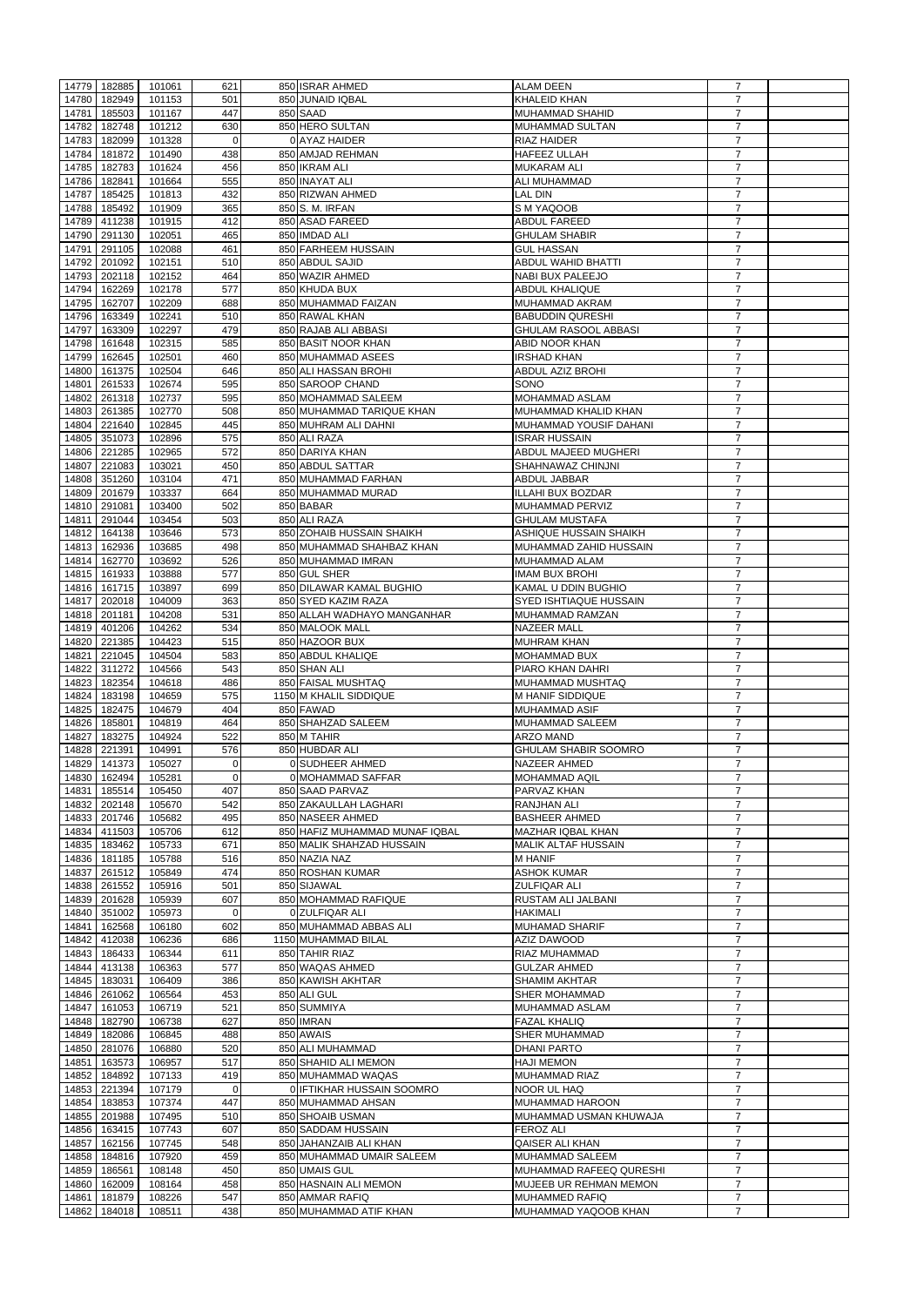|       | 14779 182885   | 101061 | 621            | 850 ISRAR AHMED                  | <b>ALAM DEEN</b>              | $\overline{7}$   |  |
|-------|----------------|--------|----------------|----------------------------------|-------------------------------|------------------|--|
| 14780 | 182949         | 101153 | 501            | 850 JUNAID IQBAL                 | <b>KHALEID KHAN</b>           | $\overline{7}$   |  |
| 14781 | 185503         | 101167 | 447            | 850 SAAD                         | <b>MUHAMMAD SHAHID</b>        | $\overline{7}$   |  |
| 14782 | 182748         | 101212 | 630            | 850 HERO SULTAN                  | <b>MUHAMMAD SULTAN</b>        | $\overline{7}$   |  |
| 14783 | 182099         | 101328 | $\mathbf 0$    | 0 AYAZ HAIDER                    | <b>RIAZ HAIDER</b>            | $\overline{7}$   |  |
|       |                |        |                |                                  |                               | $\overline{7}$   |  |
| 14784 | 181872         | 101490 | 438            | 850 AMJAD REHMAN                 | <b>HAFEEZ ULLAH</b>           |                  |  |
| 14785 | 182783         | 101624 | 456            | 850 IKRAM ALI                    | <b>MUKARAM ALI</b>            | $\boldsymbol{7}$ |  |
| 14786 | 182841         | 101664 | 555            | 850 INAYAT ALI                   | <b>ALI MUHAMMAD</b>           | $\overline{7}$   |  |
| 14787 | 185425         | 101813 | 432            | 850 RIZWAN AHMED                 | <b>LAL DIN</b>                | $\overline{7}$   |  |
| 14788 | 185492         | 101909 | 365            | 850 S. M. IRFAN                  | S M YAQOOB                    | $\overline{7}$   |  |
|       | 411238         |        | 412            | 850 ASAD FAREED                  | <b>ABDUL FAREED</b>           | $\overline{7}$   |  |
| 14789 |                | 101915 |                |                                  |                               |                  |  |
| 14790 | 291130         | 102051 | 465            | 850 IMDAD ALI                    | <b>GHULAM SHABIR</b>          | $\overline{7}$   |  |
| 14791 | 291105         | 102088 | 461            | 850 FARHEEM HUSSAIN              | <b>GUL HASSAN</b>             | $\overline{7}$   |  |
| 14792 | 201092         | 102151 | 510            | 850 ABDUL SAJID                  | <b>ABDUL WAHID BHATTI</b>     | $\overline{7}$   |  |
| 14793 | 202118         | 102152 | 464            | 850 WAZIR AHMED                  | <b>NABI BUX PALEEJO</b>       | $\overline{7}$   |  |
| 14794 | 162269         | 102178 | 577            | 850 KHUDA BUX                    | <b>ABDUL KHALIQUE</b>         | $\overline{7}$   |  |
|       |                |        |                |                                  |                               |                  |  |
| 14795 | 162707         | 102209 | 688            | 850 MUHAMMAD FAIZAN              | MUHAMMAD AKRAM                | $\overline{7}$   |  |
| 14796 | 163349         | 102241 | 510            | 850 RAWAL KHAN                   | <b>BABUDDIN QURESHI</b>       | $\overline{7}$   |  |
| 14797 | 163309         | 102297 | 479            | 850 RAJAB ALI ABBASI             | <b>GHULAM RASOOL ABBASI</b>   | $\overline{7}$   |  |
| 14798 | 161648         | 102315 | 585            | 850 BASIT NOOR KHAN              | ABID NOOR KHAN                | $\overline{7}$   |  |
| 14799 | 162645         | 102501 | 460            | 850 MUHAMMAD ASEES               | <b>IRSHAD KHAN</b>            | $\overline{7}$   |  |
|       |                |        |                |                                  |                               |                  |  |
| 14800 | 161375         | 102504 | 646            | 850 ALI HASSAN BROHI             | ABDUL AZIZ BROHI              | $\overline{7}$   |  |
| 14801 | 261533         | 102674 | 595            | 850 SAROOP CHAND                 | SONO                          | $\overline{7}$   |  |
| 14802 | 261318         | 102737 | 595            | 850 MOHAMMAD SALEEM              | <b>MOHAMMAD ASLAM</b>         | $\overline{7}$   |  |
| 14803 | 261385         | 102770 | 508            | 850 MUHAMMAD TARIQUE KHAN        | MUHAMMAD KHALID KHAN          | $\overline{7}$   |  |
| 14804 | 221640         | 102845 | 445            | 850 MUHRAM ALI DAHNI             | MUHAMMAD YOUSIF DAHANI        | $\overline{7}$   |  |
|       |                |        |                |                                  |                               |                  |  |
| 14805 | 351073         | 102896 | 575            | 850 ALI RAZA                     | <b>ISRAR HUSSAIN</b>          | $\overline{7}$   |  |
| 14806 | 221285         | 102965 | 572            | 850 DARIYA KHAN                  | ABDUL MAJEED MUGHERI          | $\overline{7}$   |  |
| 14807 | 221083         | 103021 | 450            | 850 ABDUL SATTAR                 | SHAHNAWAZ CHINJNI             | $\overline{7}$   |  |
| 14808 | 351260         | 103104 | 471            | 850 MUHAMMAD FARHAN              | ABDUL JABBAR                  | $\overline{7}$   |  |
| 14809 | 201679         | 103337 | 664            | 850 MUHAMMAD MURAD               | ILLAHI BUX BOZDAR             | $\overline{7}$   |  |
|       |                |        |                |                                  |                               |                  |  |
| 14810 | 291081         | 103400 | 502            | 850 BABAR                        | MUHAMMAD PERVIZ               | $\overline{7}$   |  |
| 14811 | 291044         | 103454 | 503            | 850 ALI RAZA                     | <b>GHULAM MUSTAFA</b>         | $\overline{7}$   |  |
|       | 14812 164138   | 103646 | 573            | 850 ZOHAIB HUSSAIN SHAIKH        | ASHIQUE HUSSAIN SHAIKH        | $\overline{7}$   |  |
| 14813 | 162936         | 103685 | 498            | 850 MUHAMMAD SHAHBAZ KHAN        | MUHAMMAD ZAHID HUSSAIN        | $\overline{7}$   |  |
|       | 14814 162770   | 103692 | 526            | 850 MUHAMMAD IMRAN               | <b>MUHAMMAD ALAM</b>          | $\overline{7}$   |  |
|       |                |        |                |                                  |                               |                  |  |
|       | 14815 161933   | 103888 | 577            | 850 GUL SHER                     | <b>IMAM BUX BROHI</b>         | 7                |  |
| 14816 | 161715         | 103897 | 699            | 850 DILAWAR KAMAL BUGHIO         | KAMAL U DDIN BUGHIO           | $\overline{7}$   |  |
| 14817 | 202018         | 104009 | 363            | 850 SYED KAZIM RAZA              | <b>SYED ISHTIAQUE HUSSAIN</b> | $\overline{7}$   |  |
| 14818 | 201181         | 104208 | 531            | 850 ALLAH WADHAYO MANGANHAR      | MUHAMMAD RAMZAN               | $\overline{7}$   |  |
|       |                |        |                |                                  |                               |                  |  |
| 14819 | 401206         | 104262 | 534            | 850 MALOOK MALL                  | <b>NAZEER MALL</b>            | $\overline{7}$   |  |
| 14820 | 221385         | 104423 | 515            | 850 HAZOOR BUX                   | <b>MUHRAM KHAN</b>            | $\overline{7}$   |  |
| 14821 | 221045         | 104504 | 583            | 850 ABDUL KHALIQE                | MOHAMMAD BUX                  | $\overline{7}$   |  |
| 14822 | 311272         | 104566 | 543            | 850 SHAN ALI                     | PIARO KHAN DAHRI              | $\overline{7}$   |  |
| 14823 | 182354         | 104618 | 486            | 850 FAISAL MUSHTAQ               | MUHAMMAD MUSHTAQ              | $\overline{7}$   |  |
|       |                |        |                |                                  |                               |                  |  |
| 14824 | 183198         | 104659 | 575            | 1150 M KHALIL SIDDIQUE           | <b>M HANIF SIDDIQUE</b>       | $\overline{7}$   |  |
| 14825 | 182475         | 104679 | 404            | 850 FAWAD                        | MUHAMMAD ASIF                 | $\overline{7}$   |  |
| 14826 | 185801         | 104819 | 464            | 850 SHAHZAD SALEEM               | <b>MUHAMMAD SALEEM</b>        | $\overline{7}$   |  |
| 14827 | 183275         | 104924 | 522            | 850 M TAHIR                      | <b>ARZO MAND</b>              | $\overline{7}$   |  |
| 14828 | 221391         | 104991 | 576            | 850 HUBDAR ALI                   | <b>GHULAM SHABIR SOOMRO</b>   | $\overline{7}$   |  |
|       |                |        |                |                                  |                               |                  |  |
| 14829 | 141373         | 105027 | $\overline{0}$ | 0 SUDHEER AHMED                  | <b>NAZEER AHMED</b>           | $\overline{7}$   |  |
| 14830 | 162494         | 105281 | $\overline{0}$ | 0 MOHAMMAD SAFFAR                | MOHAMMAD AQIL                 | $\overline{7}$   |  |
| 14831 | 185514         | 105450 | 407            | 850 SAAD PARVAZ                  | PARVAZ KHAN                   | $\overline{7}$   |  |
| 14832 | 202148         | 105670 | 542            | 850 ZAKAULLAH LAGHARI            | RANJHAN ALI                   | $\overline{7}$   |  |
| 14833 | 201746         | 105682 | 495            | 850 NASEER AHMED                 | <b>BASHEER AHMED</b>          | $\overline{7}$   |  |
|       |                |        |                |                                  |                               |                  |  |
| 14834 | 411503         | 105706 | 612            | 850 HAFIZ MUHAMMAD MUNAF IQBAL   | <b>MAZHAR IQBAL KHAN</b>      | $\boldsymbol{7}$ |  |
| 14835 | 183462         | 105733 | 671            | 850 MALIK SHAHZAD HUSSAIN        | <b>MALIK ALTAF HUSSAIN</b>    | $\boldsymbol{7}$ |  |
| 14836 | 181185         | 105788 | 516            | 850 NAZIA NAZ                    | <b>M HANIF</b>                | $\overline{7}$   |  |
| 14837 | 261512         | 105849 | 474            | 850 ROSHAN KUMAR                 | <b>ASHOK KUMAR</b>            | $\overline{7}$   |  |
| 14838 | 261552         | 105916 | 501            | 850 SIJAWAL                      | <b>ZULFIQAR ALI</b>           | $\overline{7}$   |  |
|       |                |        |                |                                  |                               |                  |  |
| 14839 | 201628         | 105939 | 607            | 850 MOHAMMAD RAFIQUE             | RUSTAM ALI JALBANI            | $\overline{7}$   |  |
| 14840 | 351002         | 105973 | $\overline{0}$ | 0 ZULFIQAR ALI                   | <b>HAKIMALI</b>               | $\overline{7}$   |  |
| 14841 | 162568         | 106180 | 602            | 850 MUHAMMAD ABBAS ALI           | <b>MUHAMAD SHARIF</b>         | $\overline{7}$   |  |
| 14842 | 412038         | 106236 | 686            | 1150 MUHAMMAD BILAL              | AZIZ DAWOOD                   | $\overline{7}$   |  |
| 14843 | 186433         | 106344 | 611            | 850 TAHIR RIAZ                   | RIAZ MUHAMMAD                 | $\overline{7}$   |  |
| 14844 | 413138         | 106363 | 577            | 850 WAQAS AHMED                  | <b>GULZAR AHMED</b>           | $\overline{7}$   |  |
|       |                |        |                |                                  |                               |                  |  |
| 14845 | 183031         | 106409 | 386            | 850 KAWISH AKHTAR                | <b>SHAMIM AKHTAR</b>          | $\overline{7}$   |  |
| 14846 | 261062         | 106564 | 453            | 850 ALI GUL                      | <b>SHER MOHAMMAD</b>          | $\overline{7}$   |  |
| 14847 | 161053         | 106719 | 521            | 850 SUMMIYA                      | MUHAMMAD ASLAM                | $\overline{7}$   |  |
| 14848 | 182790         | 106738 | 627            | 850 IMRAN                        | <b>FAZAL KHALIQ</b>           | $\overline{7}$   |  |
| 14849 | 182086         | 106845 | 488            | 850 AWAIS                        | SHER MUHAMMAD                 | $\overline{7}$   |  |
|       |                |        |                |                                  |                               |                  |  |
| 14850 | 281076         | 106880 | 520            | 850 ALI MUHAMMAD                 | <b>DHANI PARTO</b>            | $\overline{7}$   |  |
|       | 14851   163573 | 106957 | 517            | 850 SHAHID ALI MEMON             | <b>HAJI MEMON</b>             | 7                |  |
|       | 14852 184892   | 107133 | 419            | 850 MUHAMMAD WAQAS               | <b>MUHAMMAD RIAZ</b>          | $\overline{7}$   |  |
| 14853 | 221394         | 107179 | $\overline{0}$ | 0 <b>IFTIKHAR HUSSAIN SOOMRO</b> | <b>NOOR UL HAQ</b>            | $\overline{7}$   |  |
| 14854 | 183853         | 107374 | 447            | 850 MUHAMMAD AHSAN               | <b>MUHAMMAD HAROON</b>        | $\overline{7}$   |  |
|       |                |        |                |                                  |                               |                  |  |
| 14855 | 201988         | 107495 | 510            | 850 SHOAIB USMAN                 | MUHAMMAD USMAN KHUWAJA        | $\overline{7}$   |  |
| 14856 | 163415         | 107743 | 607            | 850 SADDAM HUSSAIN               | <b>FEROZ ALI</b>              | $\overline{7}$   |  |
| 14857 | 162156         | 107745 | 548            | 850 JAHANZAIB ALI KHAN           | <b>QAISER ALI KHAN</b>        | $\overline{7}$   |  |
| 14858 | 184816         | 107920 | 459            | 850 MUHAMMAD UMAIR SALEEM        | <b>MUHAMMAD SALEEM</b>        | $\overline{7}$   |  |
| 14859 | 186561         | 108148 | 450            | 850 UMAIS GUL                    | MUHAMMAD RAFEEQ QURESHI       | $\overline{7}$   |  |
|       |                |        |                |                                  |                               |                  |  |
| 14860 | 162009         | 108164 | 458            | 850 HASNAIN ALI MEMON            | MUJEEB UR REHMAN MEMON        | $\overline{7}$   |  |
| 14861 | 181879         | 108226 | 547            | 850 AMMAR RAFIQ                  | <b>MUHAMMED RAFIQ</b>         | $\overline{7}$   |  |
| 14862 | 184018         | 108511 | 438            | 850 MUHAMMAD ATIF KHAN           | MUHAMMAD YAQOOB KHAN          | $\overline{7}$   |  |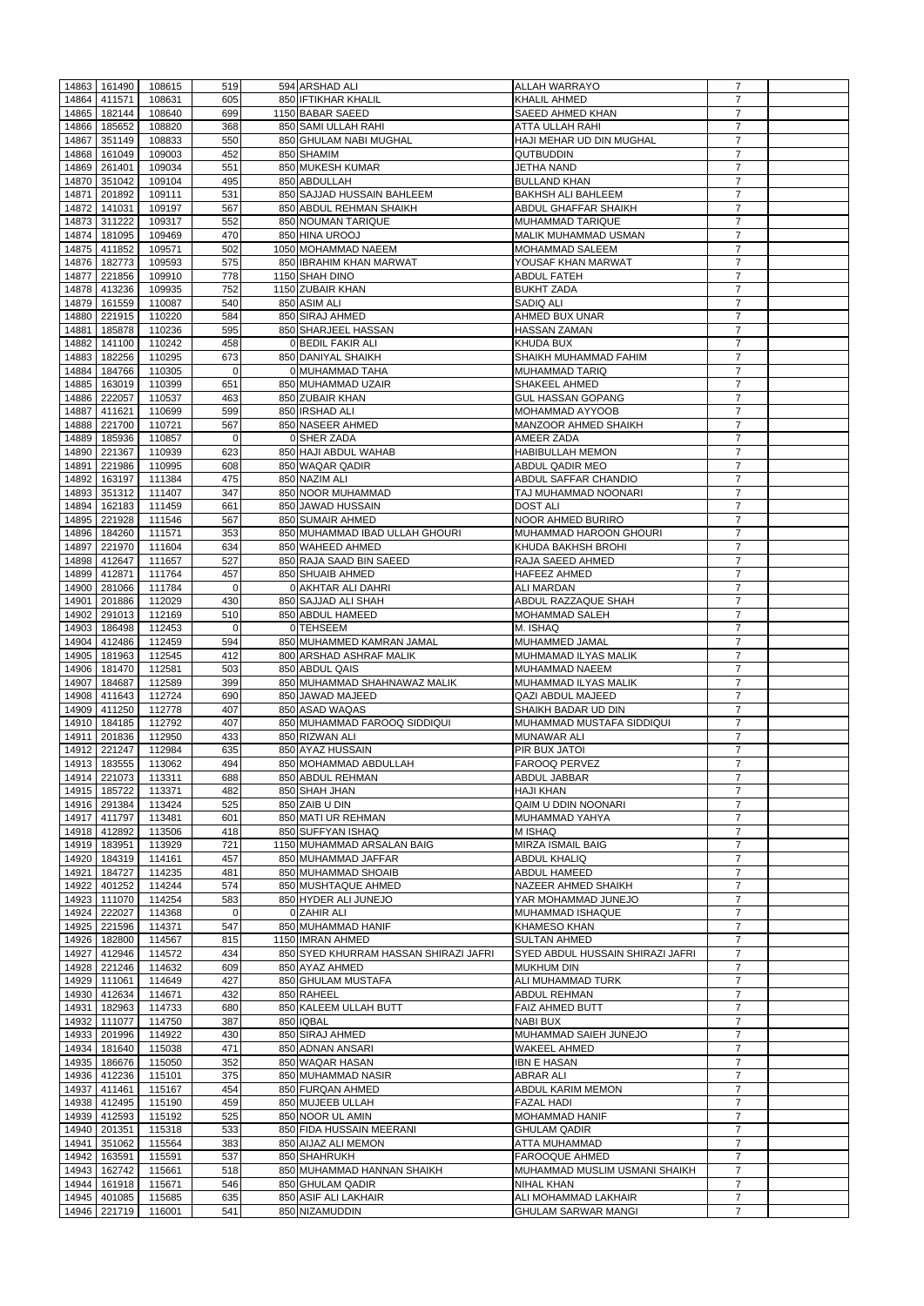|       | 14863 161490     | 108615 | 519            | 594 ARSHAD ALI                         | <b>ALLAH WARRAYO</b>                               | $\overline{7}$                   |  |
|-------|------------------|--------|----------------|----------------------------------------|----------------------------------------------------|----------------------------------|--|
|       |                  | 108631 | 605            |                                        | KHALIL AHMED                                       | $\overline{7}$                   |  |
| 14864 | 411571           |        |                | 850 IFTIKHAR KHALIL                    |                                                    | $\overline{7}$                   |  |
| 14865 | 182144           | 108640 | 699            | 1150 BABAR SAEED                       | <b>SAEED AHMED KHAN</b>                            |                                  |  |
| 14866 | 185652           | 108820 | 368            | 850 SAMI ULLAH RAHI                    | <b>ATTA ULLAH RAHI</b>                             | $\overline{7}$                   |  |
| 14867 | 351149           | 108833 | 550            | 850 GHULAM NABI MUGHAL                 | <b>HAJI MEHAR UD DIN MUGHAL</b>                    | $\overline{7}$                   |  |
| 14868 | 161049           | 109003 | 452            | 850 SHAMIM                             | <b>QUTBUDDIN</b>                                   | $\overline{7}$                   |  |
| 14869 | 261401           | 109034 | 551            | 850 MUKESH KUMAR                       | <b>JETHA NAND</b>                                  | $\overline{7}$                   |  |
| 14870 | 351042           | 109104 | 495            | 850 ABDULLAH                           | <b>BULLAND KHAN</b>                                | $\overline{7}$                   |  |
| 14871 | 201892           | 109111 | 531            | 850 SAJJAD HUSSAIN BAHLEEM             | <b>BAKHSH ALI BAHLEEM</b>                          | $\overline{7}$                   |  |
| 14872 | 141031           | 109197 | 567            | 850 ABDUL REHMAN SHAIKH                | ABDUL GHAFFAR SHAIKH                               | $\overline{7}$                   |  |
| 14873 | 311222           | 109317 | 552            | 850 NOUMAN TARIQUE                     | <b>MUHAMMAD TARIQUE</b>                            | $\overline{7}$                   |  |
| 14874 | 181095           | 109469 | 470            | 850 HINA UROOJ                         | MALIK MUHAMMAD USMAN                               | $\overline{7}$                   |  |
| 14875 | 411852           | 109571 | 502            | 1050 MOHAMMAD NAEEM                    | MOHAMMAD SALEEM                                    | $\overline{7}$                   |  |
| 14876 | 182773           | 109593 | 575            | 850 IBRAHIM KHAN MARWAT                | YOUSAF KHAN MARWAT                                 | $\overline{7}$                   |  |
| 14877 | 221856           | 109910 | 778            | 1150 SHAH DINO                         | <b>ABDUL FATEH</b>                                 | $\overline{7}$                   |  |
| 14878 | 413236           | 109935 | 752            | 1150 ZUBAIR KHAN                       | <b>BUKHT ZADA</b>                                  | $\overline{7}$                   |  |
| 14879 | 161559           | 110087 | 540            | 850 ASIM ALI                           | SADIQ ALI                                          | $\overline{7}$                   |  |
| 14880 | 221915           | 110220 | 584            | 850 SIRAJ AHMED                        | <b>AHMED BUX UNAR</b>                              | $\overline{7}$                   |  |
| 14881 | 185878           | 110236 | 595            | 850 SHARJEEL HASSAN                    | <b>HASSAN ZAMAN</b>                                | $\overline{7}$                   |  |
|       |                  |        |                |                                        |                                                    |                                  |  |
| 14882 | 141100           | 110242 | 458            | O BEDIL FAKIR ALI                      | <b>KHUDA BUX</b>                                   | $\overline{7}$                   |  |
| 14883 | 182256           | 110295 | 673            | 850 DANIYAL SHAIKH                     | SHAIKH MUHAMMAD FAHIM                              | $\overline{7}$                   |  |
| 14884 | 184766           | 110305 | $\overline{0}$ | 0 MUHAMMAD TAHA                        | <b>MUHAMMAD TARIQ</b>                              | $\overline{7}$                   |  |
| 14885 | 163019           | 110399 | 651            | 850 MUHAMMAD UZAIR                     | <b>SHAKEEL AHMED</b>                               | $\overline{7}$                   |  |
| 14886 | 222057           | 110537 | 463            | 850 ZUBAIR KHAN                        | <b>GUL HASSAN GOPANG</b>                           | $\overline{7}$                   |  |
| 14887 | 411621           | 110699 | 599            | 850 IRSHAD ALI                         | MOHAMMAD AYYOOB                                    | $\overline{7}$                   |  |
| 14888 | 221700           | 110721 | 567            | 850 NASEER AHMED                       | <b>MANZOOR AHMED SHAIKH</b>                        | $\overline{7}$                   |  |
| 14889 | 185936           | 110857 | $\Omega$       | 0 SHER ZADA                            | AMEER ZADA                                         | $\overline{7}$                   |  |
| 14890 | 221367           | 110939 | 623            | 850 HAJI ABDUL WAHAB                   | <b>HABIBULLAH MEMON</b>                            | $\overline{7}$                   |  |
| 14891 | 221986           | 110995 | 608            | 850 WAQAR QADIR                        | <b>ABDUL QADIR MEO</b>                             | $\overline{7}$                   |  |
| 14892 | 163197           | 111384 | 475            | 850 NAZIM ALI                          | <b>ABDUL SAFFAR CHANDIO</b>                        | $\overline{7}$                   |  |
| 14893 | 351312           | 111407 | 347            | 850 NOOR MUHAMMAD                      | TAJ MUHAMMAD NOONARI                               | $\overline{7}$                   |  |
| 14894 | 162183           | 111459 | 661            | 850 JAWAD HUSSAIN                      | <b>DOST ALI</b>                                    | $\overline{7}$                   |  |
| 14895 | 221928           | 111546 | 567            | 850 SUMAIR AHMED                       | <b>NOOR AHMED BURIRO</b>                           | $\overline{7}$                   |  |
|       |                  |        |                |                                        |                                                    |                                  |  |
| 14896 | 184260           | 111571 | 353            | 850 MUHAMMAD IBAD ULLAH GHOURI         | <b>MUHAMMAD HAROON GHOURI</b>                      | $\overline{7}$                   |  |
| 14897 | 221970           | 111604 | 634            | 850 WAHEED AHMED                       | KHUDA BAKHSH BROHI                                 | $\overline{7}$                   |  |
|       | 14898 412647     | 111657 | 527            | 850 RAJA SAAD BIN SAEED                | RAJA SAEED AHMED                                   | $\overline{7}$                   |  |
|       | 14899 412871     | 111764 | 457            | 850 SHUAIB AHMED                       | <b>HAFEEZ AHMED</b>                                | $\overline{7}$                   |  |
| 14900 | 281066           | 111784 | $\Omega$       | 0 AKHTAR ALI DAHRI                     | <b>ALI MARDAN</b>                                  | $\overline{7}$                   |  |
|       | 14901 201886     | 112029 | 430            | 850 SAJJAD ALI SHAH                    | ABDUL RAZZAQUE SHAH                                | $\overline{7}$                   |  |
| 14902 | 291013           | 112169 | 510            | 850 ABDUL HAMEED                       | <b>MOHAMMAD SALEH</b>                              | $\overline{7}$                   |  |
| 14903 | 186498           | 112453 | $\Omega$       | 0TEHSEEM                               | M. ISHAQ                                           | $\overline{7}$                   |  |
| 14904 | 412486           | 112459 | 594            | 850 MUHAMMED KAMRAN JAMAL              | MUHAMMED JAMAL                                     | $\overline{7}$                   |  |
| 14905 | 181963           | 112545 | 412            | 800 ARSHAD ASHRAF MALIK                | MUHMAMAD ILYAS MALIK                               | $\overline{7}$                   |  |
| 14906 | 181470           | 112581 | 503            | 850 ABDUL QAIS                         | MUHAMMAD NAEEM                                     | $\overline{7}$                   |  |
| 14907 |                  | 112589 | 399            | 850 MUHAMMAD SHAHNAWAZ MALIK           | MUHAMMAD ILYAS MALIK                               | $\overline{7}$                   |  |
|       |                  |        |                |                                        |                                                    |                                  |  |
|       | 184687           |        |                |                                        |                                                    |                                  |  |
| 14908 | 411643           | 112724 | 690            | 850 JAWAD MAJEED                       | <b>QAZI ABDUL MAJEED</b>                           | $\overline{7}$                   |  |
| 14909 | 411250           | 112778 | 407            | 850 ASAD WAQAS                         | SHAIKH BADAR UD DIN                                | $\overline{7}$                   |  |
| 14910 | 184185           | 112792 | 407            | 850 MUHAMMAD FAROOQ SIDDIQUI           | MUHAMMAD MUSTAFA SIDDIQUI                          | $\overline{7}$                   |  |
| 14911 | 201836           | 112950 | 433            | 850 RIZWAN ALI                         | MUNAWAR ALI                                        | $\overline{7}$                   |  |
| 14912 | 221247           | 112984 | 635            | 850 AYAZ HUSSAIN                       | <b>PIR BUX JATOI</b>                               | $\overline{7}$                   |  |
| 14913 | 183555           | 113062 | 494            | 850 MOHAMMAD ABDULLAH                  | <b>FAROOQ PERVEZ</b>                               | $\overline{7}$                   |  |
| 14914 | 221073           | 113311 | 688            | 850 ABDUL REHMAN                       | <b>ABDUL JABBAR</b>                                | $\overline{7}$                   |  |
| 14915 | 185722           | 113371 | 482            | 850 SHAH JHAN                          | <b>HAJI KHAN</b>                                   | $\overline{7}$                   |  |
|       | 14916 291384     | 113424 | 525            | 850 ZAIB U DIN                         | QAIM U DDIN NOONARI                                | $\overline{7}$                   |  |
| 14917 | 411797           | 113481 | 601            | 850 MATI UR REHMAN                     | MUHAMMAD YAHYA                                     | $\overline{7}$                   |  |
| 14918 | 412892           | 113506 | 418            | 850 SUFFYAN ISHAQ                      | M ISHAQ                                            | $\overline{7}$                   |  |
| 14919 | 183951           | 113929 | 721            | 1150 MUHAMMAD ARSALAN BAIG             | <b>MIRZA ISMAIL BAIG</b>                           | $\overline{7}$                   |  |
| 14920 | 184319           | 114161 | 457            | 850 MUHAMMAD JAFFAR                    | <b>ABDUL KHALIQ</b>                                | $\overline{7}$                   |  |
| 14921 | 184727           | 114235 | 481            | 850 MUHAMMAD SHOAIB                    | <b>ABDUL HAMEED</b>                                | $\overline{7}$                   |  |
|       |                  |        |                |                                        |                                                    |                                  |  |
| 14922 | 401252           | 114244 | 574            | 850 MUSHTAQUE AHMED                    | NAZEER AHMED SHAIKH                                | $\overline{7}$                   |  |
| 14923 | 111070           | 114254 | 583            | 850 HYDER ALI JUNEJO                   | YAR MOHAMMAD JUNEJO                                | $\overline{7}$                   |  |
| 14924 | 222027           | 114368 | $\Omega$       | 0 ZAHIR ALI                            | MUHAMMAD ISHAQUE                                   | $\overline{7}$                   |  |
| 14925 | 221596           | 114371 | 547            | 850 MUHAMMAD HANIF                     | <b>KHAMESO KHAN</b>                                | $\overline{7}$                   |  |
| 14926 | 182800           | 114567 | 815            | 1150 IMRAN AHMED                       | <b>SULTAN AHMED</b>                                | $\overline{7}$                   |  |
| 14927 | 412946           | 114572 | 434            | 850 SYED KHURRAM HASSAN SHIRAZI JAFRI  | SYED ABDUL HUSSAIN SHIRAZI JAFRI                   | $\overline{7}$                   |  |
| 14928 | 221246           | 114632 | 609            | 850 AYAZ AHMED                         | <b>MUKHUM DIN</b>                                  | $\overline{7}$                   |  |
| 14929 | 111061           | 114649 | 427            | 850 GHULAM MUSTAFA                     | ALI MUHAMMAD TURK                                  | $\overline{7}$                   |  |
| 14930 | 412634           | 114671 | 432            | 850 RAHEEL                             | <b>ABDUL REHMAN</b>                                | $\overline{7}$                   |  |
| 14931 | 182963           | 114733 | 680            | 850 KALEEM ULLAH BUTT                  | <b>FAIZ AHMED BUTT</b>                             | $\overline{7}$                   |  |
| 14932 | 111077           | 114750 | 387            | 850 IQBAL                              | <b>NABI BUX</b>                                    | $\overline{7}$                   |  |
| 14933 | 201996           | 114922 | 430            | 850 SIRAJ AHMED                        | MUHAMMAD SAIEH JUNEJO                              | $\overline{7}$                   |  |
|       | 14934 181640     | 115038 | 471            | 850 ADNAN ANSARI                       | <b>WAKEEL AHMED</b>                                | $\overline{7}$                   |  |
|       | 14935 186676     | 115050 | 352            | 850 WAQAR HASAN                        | <b>IBN E HASAN</b>                                 | $\overline{7}$                   |  |
|       | 14936 412236     |        | 375            | 850 MUHAMMAD NASIR                     | <b>ABRAR ALI</b>                                   | $\overline{7}$                   |  |
| 14937 | 411461           | 115101 |                | 850 FURQAN AHMED                       |                                                    |                                  |  |
|       |                  | 115167 | 454            |                                        | <b>ABDUL KARIM MEMON</b>                           | $\overline{7}$                   |  |
| 14938 | 412495           | 115190 | 459            | 850 MUJEEB ULLAH                       | <b>FAZAL HADI</b>                                  | $\overline{7}$                   |  |
| 14939 | 412593           | 115192 | 525            | 850 NOOR UL AMIN                       | <b>MOHAMMAD HANIF</b>                              | $\overline{7}$                   |  |
| 14940 | 201351           | 115318 | 533            | 850 FIDA HUSSAIN MEERANI               | <b>GHULAM QADIR</b>                                | $\overline{7}$                   |  |
| 14941 | 351062           | 115564 | 383            | 850 AIJAZ ALI MEMON                    | ATTA MUHAMMAD                                      | $\overline{7}$                   |  |
| 14942 | 163591           | 115591 | 537            | 850 SHAHRUKH                           | <b>FAROOQUE AHMED</b>                              | $\overline{7}$                   |  |
| 14943 | 162742           | 115661 | 518            | 850 MUHAMMAD HANNAN SHAIKH             | MUHAMMAD MUSLIM USMANI SHAIKH                      | $\overline{7}$                   |  |
| 14944 | 161918           | 115671 | 546            | 850 GHULAM QADIR                       | <b>NIHAL KHAN</b>                                  | $\overline{7}$                   |  |
| 14945 | 401085<br>221719 | 115685 | 635<br>541     | 850 ASIF ALI LAKHAIR<br>850 NIZAMUDDIN | ALI MOHAMMAD LAKHAIR<br><b>GHULAM SARWAR MANGI</b> | $\overline{7}$<br>$\overline{7}$ |  |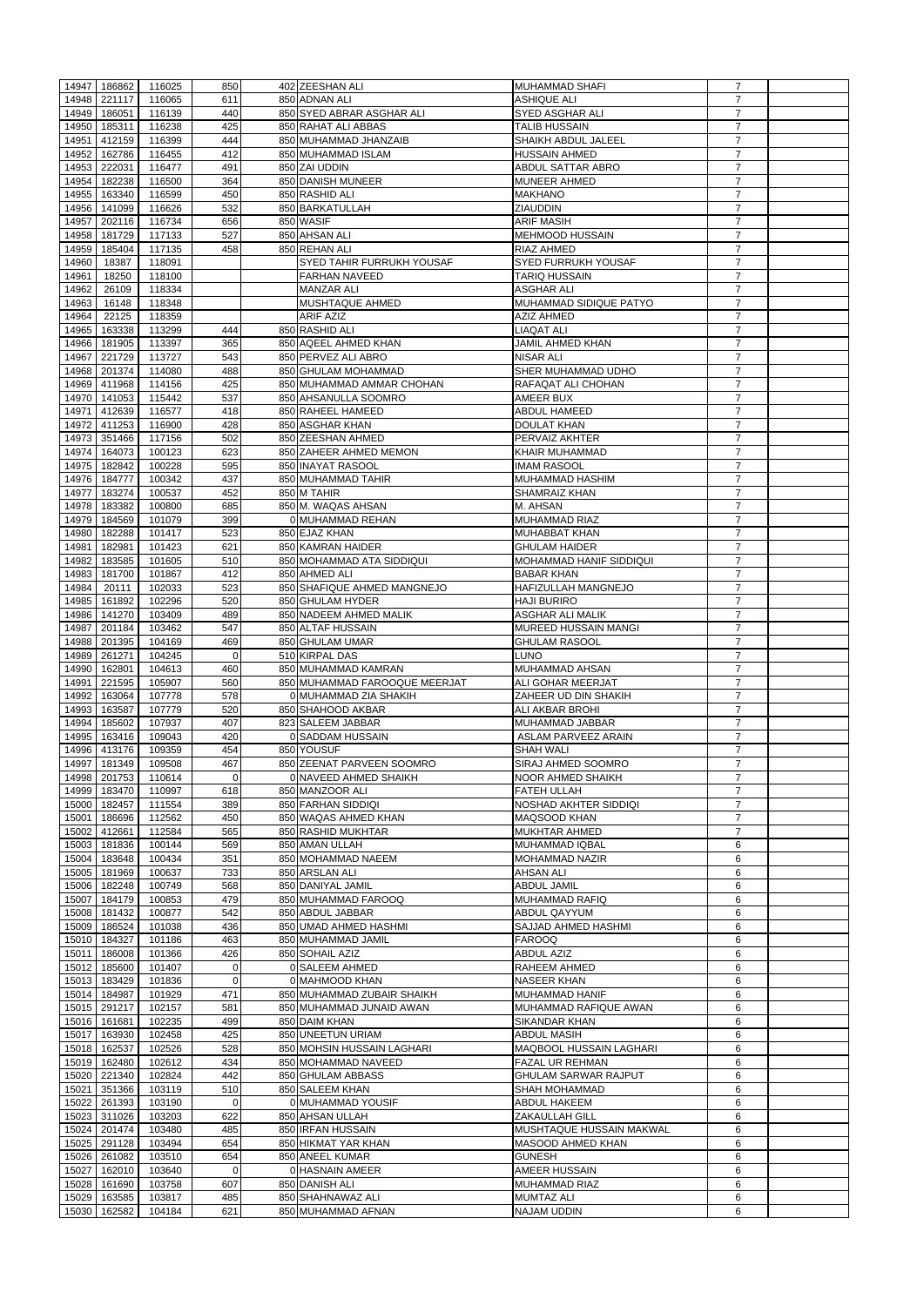| 14947          | 186862           | 116025           | 850                   | 402 ZEESHAN ALI                          | <b>MUHAMMAD SHAFI</b>                   | $\overline{7}$   |  |
|----------------|------------------|------------------|-----------------------|------------------------------------------|-----------------------------------------|------------------|--|
| 14948          | 221117           | 116065           | 611                   | 850 ADNAN ALI                            | <b>ASHIQUE ALI</b>                      | $\overline{7}$   |  |
| 14949          | 186051           | 116139           | 440                   | 850 SYED ABRAR ASGHAR ALI                | <b>SYED ASGHAR ALI</b>                  | $\overline{7}$   |  |
| 14950          | 185311           | 116238           | 425                   | 850 RAHAT ALI ABBAS                      | <b>TALIB HUSSAIN</b>                    | $\overline{7}$   |  |
| 14951          | 412159           | 116399           | 444                   | 850 MUHAMMAD JHANZAIB                    | SHAIKH ABDUL JALEEL                     | $\overline{7}$   |  |
| 14952          | 162786           | 116455           | 412                   | 850 MUHAMMAD ISLAM                       | <b>HUSSAIN AHMED</b>                    | $\overline{7}$   |  |
| 14953          | 222031           | 116477           | 491                   | 850 ZAI UDDIN                            | ABDUL SATTAR ABRO                       | $\overline{7}$   |  |
|                |                  | 116500           | 364                   | 850 DANISH MUNEER                        |                                         | $\overline{7}$   |  |
| 14954          | 182238           |                  |                       |                                          | <b>MUNEER AHMED</b>                     |                  |  |
| 14955          | 163340           | 116599           | 450                   | 850 RASHID ALI                           | <b>MAKHANO</b>                          | $\boldsymbol{7}$ |  |
| 14956          | 141099           | 116626           | 532                   | 850 BARKATULLAH                          | <b>ZIAUDDIN</b>                         | $\overline{7}$   |  |
| 14957          | 202116           | 116734           | 656                   | 850 WASIF                                | <b>ARIF MASIH</b>                       | $\overline{7}$   |  |
| 14958          | 181729           | 117133           | 527                   | 850 AHSAN ALI                            | <b>MEHMOOD HUSSAIN</b>                  | $\overline{7}$   |  |
| 14959          | 185404           | 117135           | 458                   | 850 REHAN ALI                            | <b>RIAZ AHMED</b>                       | $\overline{7}$   |  |
| 14960          | 18387            | 118091           |                       | SYED TAHIR FURRUKH YOUSAF                | <b>SYED FURRUKH YOUSAF</b>              | $\overline{7}$   |  |
| 14961          | 18250            | 118100           |                       | <b>FARHAN NAVEED</b>                     | <b>TARIQ HUSSAIN</b>                    | $\overline{7}$   |  |
| 14962          | 26109            | 118334           |                       | <b>MANZAR ALI</b>                        | <b>ASGHAR ALI</b>                       | $\overline{7}$   |  |
| 14963          | 16148            | 118348           |                       | MUSHTAQUE AHMED                          | MUHAMMAD SIDIQUE PATYO                  | $\overline{7}$   |  |
| 14964          | 22125            | 118359           |                       | <b>ARIF AZIZ</b>                         | <b>AZIZ AHMED</b>                       | $\overline{7}$   |  |
| 14965          | 163338           | 113299           | 444                   | 850 RASHID ALI                           | <b>LIAQAT ALI</b>                       | $\overline{7}$   |  |
| 14966          | 181905           | 113397           | 365                   | 850 AQEEL AHMED KHAN                     | <b>JAMIL AHMED KHAN</b>                 | $\overline{7}$   |  |
| 14967          | 221729           | 113727           | 543                   | 850 PERVEZ ALI ABRO                      | <b>NISAR ALI</b>                        | $\overline{7}$   |  |
| 14968          | 201374           | 114080           | 488                   | 850 GHULAM MOHAMMAD                      | SHER MUHAMMAD UDHO                      | $\overline{7}$   |  |
| 14969          | 411968           | 114156           | 425                   | 850 MUHAMMAD AMMAR CHOHAN                | RAFAQAT ALI CHOHAN                      | $\overline{7}$   |  |
| 14970          | 141053           | 115442           | 537                   | 850 AHSANULLA SOOMRO                     | AMEER BUX                               | $\overline{7}$   |  |
| 14971          | 412639           | 116577           | 418                   | 850 RAHEEL HAMEED                        | ABDUL HAMEED                            | $\overline{7}$   |  |
| 14972          | 411253           | 116900           | 428                   | 850 ASGHAR KHAN                          | <b>DOULAT KHAN</b>                      | $\overline{7}$   |  |
| 14973          | 351466           | 117156           | 502                   | 850 ZEESHAN AHMED                        | <b>PERVAIZ AKHTER</b>                   | $\overline{7}$   |  |
| 14974          | 164073           | 100123           | 623                   | 850 ZAHEER AHMED MEMON                   | <b>KHAIR MUHAMMAD</b>                   | $\overline{7}$   |  |
| 14975          | 182842           | 100228           | 595                   | 850 INAYAT RASOOL                        | <b>IMAM RASOOL</b>                      | $\overline{7}$   |  |
| 14976          | 184777           | 100342           | 437                   | 850 MUHAMMAD TAHIR                       | <b>MUHAMMAD HASHIM</b>                  | $\overline{7}$   |  |
| 14977          | 183274           | 100537           | 452                   | 850 M TAHIR                              | <b>SHAMRAIZ KHAN</b>                    | $\overline{7}$   |  |
| 14978          | 183382           | 100800           | 685                   | 850 M. WAQAS AHSAN                       | M. AHSAN                                | $\overline{7}$   |  |
| 14979          | 184569           | 101079           | 399                   | 0 MUHAMMAD REHAN                         | MUHAMMAD RIAZ                           | $\overline{7}$   |  |
| 14980          | 182288           | 101417           | 523                   | 850 EJAZ KHAN                            | <b>MUHABBAT KHAN</b>                    | $\overline{7}$   |  |
| 14981          | 182981           | 101423           | 621                   | 850 KAMRAN HAIDER                        | <b>GHULAM HAIDER</b>                    | $\overline{7}$   |  |
|                | 14982 183585     | 101605           | 510                   | 850 MOHAMMAD ATA SIDDIQUI                | <b>MOHAMMAD HANIF SIDDIQUI</b>          | $\overline{7}$   |  |
|                | 14983 181700     | 101867           | 412                   | 850 AHMED ALI                            | <b>BABAR KHAN</b>                       | $\overline{7}$   |  |
| 14984          | 20111            | 102033           | 523                   | 850 SHAFIQUE AHMED MANGNEJO              | <b>HAFIZULLAH MANGNEJO</b>              | $\overline{7}$   |  |
| 14985          | 161892           | 102296           | 520                   | 850 GHULAM HYDER                         | <b>HAJI BURIRO</b>                      | $\overline{7}$   |  |
| 14986          | 141270           | 103409           | 489                   | 850 NADEEM AHMED MALIK                   | <b>ASGHAR ALI MALIK</b>                 | $\overline{7}$   |  |
| 14987          | 201184           | 103462           | 547                   | 850 ALTAF HUSSAIN                        | <b>MUREED HUSSAIN MANGI</b>             | $\overline{7}$   |  |
| 14988          | 201395           | 104169           | 469                   | 850 GHULAM UMAR                          | <b>GHULAM RASOOL</b>                    | $\overline{7}$   |  |
|                |                  |                  |                       |                                          |                                         |                  |  |
| 14989          | 261271           | 104245           | $\Omega$              | 510 KIRPAL DAS                           | LUNO                                    | $\overline{7}$   |  |
| 14990          | 162801           | 104613           | 460                   | 850 MUHAMMAD KAMRAN                      | <b>MUHAMMAD AHSAN</b>                   | $\overline{7}$   |  |
| 14991          | 221595           | 105907           | 560                   | 850 MUHAMMAD FAROOQUE MEERJAT            | ALI GOHAR MEERJAT                       | $\overline{7}$   |  |
| 14992          | 163064           | 107778           | 578                   | 0 MUHAMMAD ZIA SHAKIH                    | ZAHEER UD DIN SHAKIH                    | $\overline{7}$   |  |
| 14993          | 163587           |                  | 520                   |                                          | <b>ALI AKBAR BROHI</b>                  | $\overline{7}$   |  |
| 14994          | 185602           | 107779<br>107937 | 407                   | 850 SHAHOOD AKBAR<br>823 SALEEM JABBAR   | MUHAMMAD JABBAR                         | $\overline{7}$   |  |
| 14995          | 163416           | 109043           | 420                   | 0 SADDAM HUSSAIN                         | <b>ASLAM PARVEEZ ARAIN</b>              | $\overline{7}$   |  |
| 14996          | 413176           |                  | 454                   | 850 YOUSUF                               | <b>SHAH WALI</b>                        | $\overline{7}$   |  |
| 14997          | 181349           | 109359<br>109508 | 467                   | 850 ZEENAT PARVEEN SOOMRO                | <b>SIRAJ AHMED SOOMRO</b>               | $\overline{7}$   |  |
| 14998          | 201753           | 110614           | $\overline{0}$        | 0 NAVEED AHMED SHAIKH                    | <b>NOOR AHMED SHAIKH</b>                | $\overline{7}$   |  |
| 14999          | 183470           | 110997           | 618                   | 850 MANZOOR ALI                          | <b>FATEH ULLAH</b>                      | $\overline{7}$   |  |
| 15000          | 182457           | 111554           | 389                   | 850 FARHAN SIDDIQI                       | NOSHAD AKHTER SIDDIQI                   | $\overline{7}$   |  |
| 15001          | 186696           | 112562           | 450                   | 850 WAQAS AHMED KHAN                     | MAQSOOD KHAN                            | $\overline{7}$   |  |
| 15002          | 412661           | 112584           | 565                   | 850 RASHID MUKHTAR                       | <b>MUKHTAR AHMED</b>                    | $\overline{7}$   |  |
| 15003          | 181836           | 100144           | 569                   | 850 AMAN ULLAH                           | <b>MUHAMMAD IQBAL</b>                   |                  |  |
| 15004          | 183648           | 100434           | 351                   | 850 MOHAMMAD NAEEM                       | <b>MOHAMMAD NAZIR</b>                   | 6<br>$\,6$       |  |
| 15005          | 181969           | 100637           | 733                   | 850 ARSLAN ALI                           | <b>AHSAN ALI</b>                        | 6                |  |
|                |                  |                  |                       |                                          | <b>ABDUL JAMIL</b>                      |                  |  |
| 15006<br>15007 | 182248<br>184179 | 100749<br>100853 | 568<br>479            | 850 DANIYAL JAMIL<br>850 MUHAMMAD FAROOQ | <b>MUHAMMAD RAFIQ</b>                   | 6<br>6           |  |
| 15008          | 181432           | 100877           | 542                   | 850 ABDUL JABBAR                         | ABDUL QAYYUM                            | 6                |  |
|                |                  |                  |                       |                                          |                                         |                  |  |
| 15009          | 186524           | 101038           | 436                   | 850 UMAD AHMED HASHMI                    | <b>SAJJAD AHMED HASHMI</b>              | $\,6$            |  |
| 15010          | 184327           | 101186           | 463                   | 850 MUHAMMAD JAMIL                       | <b>FAROOQ</b>                           | 6<br>6           |  |
| 15011          | 186008           | 101366           | 426<br>$\overline{0}$ | 850 SOHAIL AZIZ                          | <b>ABDUL AZIZ</b>                       | 6                |  |
| 15012          | 185600           | 101407           | $\Omega$              | 0 SALEEM AHMED                           | <b>RAHEEM AHMED</b>                     |                  |  |
| 15013          | 183429           | 101836           |                       | 0 MAHMOOD KHAN                           | <b>NASEER KHAN</b>                      | 6                |  |
| 15014          | 184987           | 101929           | 471                   | 850 MUHAMMAD ZUBAIR SHAIKH               | MUHAMMAD HANIF                          | 6                |  |
| 15015          | 291217           | 102157           | 581                   | 850 MUHAMMAD JUNAID AWAN                 | MUHAMMAD RAFIQUE AWAN                   | 6                |  |
| 15016          | 161681           | 102235           | 499                   | 850 DAIM KHAN                            | SIKANDAR KHAN                           | 6                |  |
| 15017          | 163930           | 102458           | 425                   | 850 UNEETUN URIAM                        | <b>ABDUL MASIH</b>                      | $\,6$            |  |
| 15018          | 162537           | 102526           | 528                   | 850 MOHSIN HUSSAIN LAGHARI               | <b>MAQBOOL HUSSAIN LAGHARI</b>          | 6                |  |
|                | 15019 162480     | 102612           | 434                   | 850 MOHAMMAD NAVEED                      | FAZAL UR REHMAN                         | 6                |  |
|                | 15020 221340     | 102824           | 442                   | 850 GHULAM ABBASS                        | <b>GHULAM SARWAR RAJPUT</b>             | 6                |  |
| 15021          | 351366           | 103119           | 510                   | 850 SALEEM KHAN                          | <b>SHAH MOHAMMAD</b>                    | 6                |  |
|                | 15022 261393     | 103190           | 0                     | 0 MUHAMMAD YOUSIF                        | ABDUL HAKEEM                            | 6                |  |
| 15023          | 311026           | 103203           | 622                   | 850 AHSAN ULLAH                          | <b>ZAKAULLAH GILL</b>                   | 6                |  |
|                | 15024 201474     | 103480           | 485                   | 850 IRFAN HUSSAIN                        | MUSHTAQUE HUSSAIN MAKWAL                | 6                |  |
| 15025          | 291128           | 103494           | 654                   | 850 HIKMAT YAR KHAN                      | MASOOD AHMED KHAN                       | 6                |  |
| 15026          | 261082           | 103510           | 654                   | 850 ANEEL KUMAR                          | <b>GUNESH</b>                           | 6                |  |
| 15027          | 162010           | 103640           | $\Omega$              | 0 HASNAIN AMEER                          | <b>AMEER HUSSAIN</b>                    | 6                |  |
| 15028          | 161690           | 103758           | 607                   | 850 DANISH ALI                           | <b>MUHAMMAD RIAZ</b>                    | 6                |  |
| 15029<br>15030 | 163585<br>162582 | 103817<br>104184 | 485<br>621            | 850 SHAHNAWAZ ALI<br>850 MUHAMMAD AFNAN  | <b>MUMTAZ ALI</b><br><b>NAJAM UDDIN</b> | 6<br>6           |  |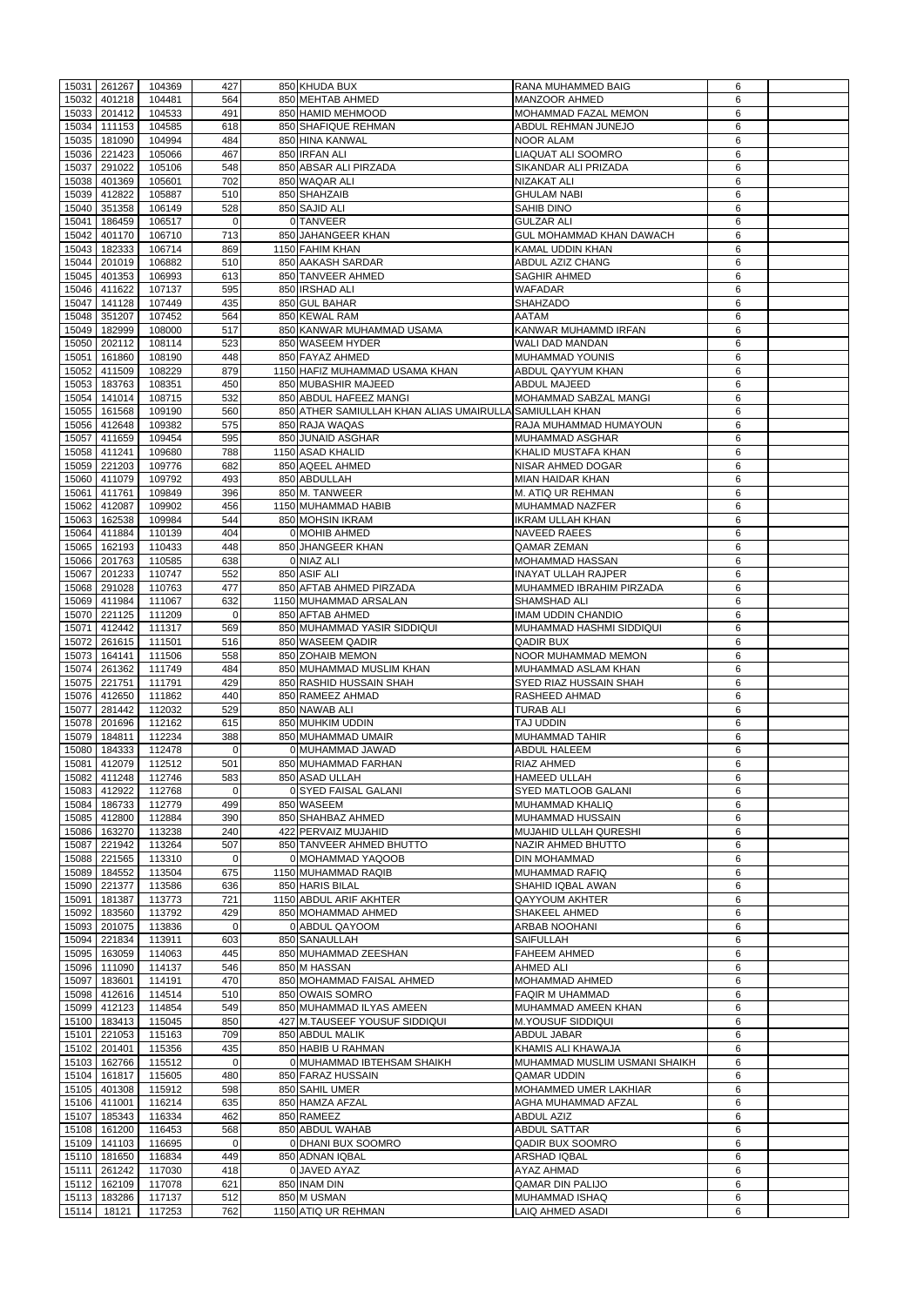| 15031          | 261267          | 104369           | 427            | 850 KHUDA BUX                                           | <b>RANA MUHAMMED BAIG</b>          | 6      |  |
|----------------|-----------------|------------------|----------------|---------------------------------------------------------|------------------------------------|--------|--|
|                |                 |                  |                |                                                         |                                    |        |  |
| 15032          | 401218          | 104481           | 564            | 850 MEHTAB AHMED                                        | <b>MANZOOR AHMED</b>               | 6      |  |
| 15033          | 201412          | 104533           | 491            | 850 HAMID MEHMOOD                                       | <b>MOHAMMAD FAZAL MEMON</b>        | 6      |  |
| 15034          | 111153          | 104585           | 618            | 850 SHAFIQUE REHMAN                                     | ABDUL REHMAN JUNEJO                | 6      |  |
| 15035          | 181090          | 104994           | 484            | 850 HINA KANWAL                                         | <b>NOOR ALAM</b>                   | 6      |  |
| 15036          | 221423          | 105066           | 467            | 850 IRFAN ALI                                           | LIAQUAT ALI SOOMRO                 | 6      |  |
| 15037          | 291022          | 105106           | 548            | 850 ABSAR ALI PIRZADA                                   | SIKANDAR ALI PRIZADA               | $\,6$  |  |
| 15038          | 401369          | 105601           | 702            | 850 WAQAR ALI                                           | NIZAKAT ALI                        | 6      |  |
| 15039          | 412822          | 105887           | 510            | 850 SHAHZAIB                                            | <b>GHULAM NABI</b>                 | 6      |  |
| 15040          | 351358          | 106149           | 528            | 850 SAJID ALI                                           | <b>SAHIB DINO</b>                  | 6      |  |
|                |                 |                  |                |                                                         |                                    |        |  |
| 15041          | 186459          | 106517           | $\mathbf 0$    | 0 TANVEER                                               | <b>GULZAR ALI</b>                  | 6      |  |
| 15042          | 401170          | 106710           | 713            | 850 JAHANGEER KHAN                                      | <b>GUL MOHAMMAD KHAN DAWACH</b>    | 6      |  |
| 15043          | 182333          | 106714           | 869            | 1150 FAHIM KHAN                                         | <b>KAMAL UDDIN KHAN</b>            | 6      |  |
| 15044          | 201019          | 106882           | 510            | 850 AAKASH SARDAR                                       | <b>ABDUL AZIZ CHANG</b>            | 6      |  |
| 15045          | 401353          | 106993           | 613            | 850 TANVEER AHMED                                       | <b>SAGHIR AHMED</b>                | 6      |  |
|                |                 |                  |                |                                                         |                                    |        |  |
| 15046          | 411622          | 107137           | 595            | 850 IRSHAD ALI                                          | <b>WAFADAR</b>                     | 6      |  |
| 15047          | 141128          | 107449           | 435            | 850 GUL BAHAR                                           | <b>SHAHZADO</b>                    | 6      |  |
| 15048          | 351207          | 107452           | 564            | 850 KEWAL RAM                                           | <b>AATAM</b>                       | 6      |  |
| 15049          | 182999          | 108000           | 517            | 850 KANWAR MUHAMMAD USAMA                               | KANWAR MUHAMMD IRFAN               | 6      |  |
| 15050          | 202112          | 108114           | 523            | 850 WASEEM HYDER                                        | <b>WALI DAD MANDAN</b>             | $\,6$  |  |
| 15051          | 161860          | 108190           | 448            | 850 FAYAZ AHMED                                         | <b>MUHAMMAD YOUNIS</b>             | 6      |  |
|                |                 |                  |                |                                                         |                                    |        |  |
| 15052          | 411509          | 108229           | 879            | 1150 HAFIZ MUHAMMAD USAMA KHAN                          | ABDUL QAYYUM KHAN                  | 6      |  |
| 15053          | 183763          | 108351           | 450            | 850 MUBASHIR MAJEED                                     | ABDUL MAJEED                       | $\,6$  |  |
| 15054          | 141014          | 108715           | 532            | 850 ABDUL HAFEEZ MANGI                                  | MOHAMMAD SABZAL MANGI              | $\,6$  |  |
| 15055          | 161568          | 109190           | 560            | 850 ATHER SAMIULLAH KHAN ALIAS UMAIRULLA SAMIULLAH KHAN |                                    | 6      |  |
| 15056          | 412648          | 109382           | 575            | 850 RAJA WAQAS                                          | RAJA MUHAMMAD HUMAYOUN             | 6      |  |
|                |                 | 109454           | 595            |                                                         |                                    |        |  |
| 15057          | 411659          |                  |                | 850 JUNAID ASGHAR                                       | <b>MUHAMMAD ASGHAR</b>             | 6      |  |
| 15058          | 411241          | 109680           | 788            | 1150 ASAD KHALID                                        | KHALID MUSTAFA KHAN                | 6      |  |
| 15059          | 221203          | 109776           | 682            | 850 AQEEL AHMED                                         | NISAR AHMED DOGAR                  | 6      |  |
| 15060          | 411079          | 109792           | 493            | 850 ABDULLAH                                            | <b>MIAN HAIDAR KHAN</b>            | 6      |  |
| 15061          | 411761          | 109849           | 396            | 850 M. TANWEER                                          | M. ATIQ UR REHMAN                  | 6      |  |
| 15062          | 412087          | 109902           | 456            | 1150 MUHAMMAD HABIB                                     | <b>MUHAMMAD NAZFER</b>             | 6      |  |
|                |                 |                  |                |                                                         |                                    |        |  |
| 15063          | 162538          | 109984           | 544            | 850 MOHSIN IKRAM                                        | <b>IKRAM ULLAH KHAN</b>            | 6      |  |
| 15064          | 411884          | 110139           | 404            | 0 MOHIB AHMED                                           | <b>NAVEED RAEES</b>                | 6      |  |
| 15065          | 162193          | 110433           | 448            | 850 JHANGEER KHAN                                       | <b>QAMAR ZEMAN</b>                 | 6      |  |
|                | 15066 201763    | 110585           | 638            | 0 NIAZ ALI                                              | <b>MOHAMMAD HASSAN</b>             | 6      |  |
|                | 15067 201233    | 110747           | 552            | 850 ASIF ALI                                            | <b>INAYAT ULLAH RAJPER</b>         | 6      |  |
|                |                 |                  |                |                                                         |                                    |        |  |
| 15068          | 291028          | 110763           | 477            | 850 AFTAB AHMED PIRZADA                                 | MUHAMMED IBRAHIM PIRZADA           | 6      |  |
| 15069          | 411984          | 111067           | 632            | 1150 MUHAMMAD ARSALAN                                   | SHAMSHAD ALI                       | 6      |  |
| 15070          | 221125          | 111209           | $\Omega$       | 850 AFTAB AHMED                                         | <b>IMAM UDDIN CHANDIO</b>          | 6      |  |
| 15071          | 412442          | 111317           | 569            | 850 MUHAMMAD YASIR SIDDIQUI                             | MUHAMMAD HASHMI SIDDIQUI           | $\,6$  |  |
| 15072          | 261615          | 111501           | 516            | 850 WASEEM QADIR                                        | <b>QADIR BUX</b>                   | 6      |  |
| 15073          | 164141          | 111506           | 558            | 850 ZOHAIB MEMON                                        | NOOR MUHAMMAD MEMON                | 6      |  |
|                |                 |                  |                |                                                         |                                    |        |  |
| 15074          | 261362          | 111749           | 484            | 850 MUHAMMAD MUSLIM KHAN                                | MUHAMMAD ASLAM KHAN                | 6      |  |
| 15075          | 221751          | 111791           | 429            | 850 RASHID HUSSAIN SHAH                                 | SYED RIAZ HUSSAIN SHAH             | 6      |  |
| 15076          | 412650          | 111862           | 440            | 850 RAMEEZ AHMAD                                        | <b>RASHEED AHMAD</b>               | 6      |  |
| 15077          | 281442          | 112032           | 529            | 850 NAWAB ALI                                           | <b>TURAB ALI</b>                   | 6      |  |
| 15078          | 201696          | 112162           | 615            | 850 MUHKIM UDDIN                                        | TAJ UDDIN                          | 6      |  |
|                |                 |                  |                |                                                         |                                    |        |  |
| 15079          | 184811          | 112234           | 388            | 850 MUHAMMAD UMAIR                                      | <b>MUHAMMAD TAHIR</b>              | 6      |  |
| 15080          | 184333          | 112478           | $\Omega$       | 0 MUHAMMAD JAWAD                                        | ABDUL HALEEM                       | 6      |  |
| 15081          | 412079          | 112512           | 501            | 850 MUHAMMAD FARHAN                                     | <b>RIAZ AHMED</b>                  | 6      |  |
| 15082          | 411248          | 112746           |                | 850 ASAD ULLAH                                          |                                    |        |  |
| 15083          | 412922          |                  | 583            |                                                         | <b>HAMEED ULLAH</b>                | 6      |  |
| 15084          | 186733          | 112768           | $\overline{0}$ | 0 SYED FAISAL GALANI                                    | <b>SYED MATLOOB GALANI</b>         | 6      |  |
| 15085          |                 |                  |                |                                                         |                                    |        |  |
|                |                 | 112779           | 499            | 850 WASEEM                                              | <b>MUHAMMAD KHALIQ</b>             | 6      |  |
|                | 412800          | 112884           | 390            | 850 SHAHBAZ AHMED                                       | <b>MUHAMMAD HUSSAIN</b>            | 6      |  |
| 15086          | 163270          | 113238           | 240            | 422 PERVAIZ MUJAHID                                     | <b>MUJAHID ULLAH QURESHI</b>       | 6      |  |
| 15087          | 221942          | 113264           | 507            | 850 TANVEER AHMED BHUTTO                                | NAZIR AHMED BHUTTO                 | $\,6$  |  |
| 15088          | 221565          | 113310           | $\Omega$       | 0 MOHAMMAD YAQOOB                                       | <b>DIN MOHAMMAD</b>                | 6      |  |
| 15089          | 184552          | 113504           | 675            | 1150 MUHAMMAD RAQIB                                     | <b>MUHAMMAD RAFIQ</b>              | 6      |  |
|                |                 |                  |                |                                                         |                                    |        |  |
| 15090          | 221377          | 113586           | 636            | 850 HARIS BILAL                                         | SHAHID IQBAL AWAN                  | 6      |  |
| 15091          | 181387          | 113773           | 721            | 1150 ABDUL ARIF AKHTER                                  | <b>QAYYOUM AKHTER</b>              | 6      |  |
| 15092          | 183560          | 113792           | 429            | 850 MOHAMMAD AHMED                                      | <b>SHAKEEL AHMED</b>               | 6      |  |
| 15093          | 201075          | 113836           | $\Omega$       | 0 ABDUL QAYOOM                                          | ARBAB NOOHANI                      | 6      |  |
| 15094          | 221834          | 113911           | 603            | 850 SANAULLAH                                           | <b>SAIFULLAH</b>                   | 6      |  |
|                |                 |                  |                |                                                         |                                    | 6      |  |
| 15095          | 163059          | 114063           | 445            | 850 MUHAMMAD ZEESHAN                                    | <b>FAHEEM AHMED</b>                |        |  |
| 15096          | 111090          | 114137           | 546            | 850 M HASSAN                                            | AHMED ALI                          | 6      |  |
| 15097          | 183601          | 114191           | 470            | 850 MOHAMMAD FAISAL AHMED                               | <b>MOHAMMAD AHMED</b>              | 6      |  |
| 15098          | 412616          | 114514           | 510            | 850 OWAIS SOMRO                                         | <b>FAQIR M UHAMMAD</b>             | 6      |  |
| 15099          | 412123          | 114854           | 549            | 850 MUHAMMAD ILYAS AMEEN                                | MUHAMMAD AMEEN KHAN                | 6      |  |
| 15100          | 183413          | 115045           | 850            | 427 M.TAUSEEF YOUSUF SIDDIQUI                           | <b>M.YOUSUF SIDDIQUI</b>           | $\,6$  |  |
|                |                 |                  |                |                                                         |                                    |        |  |
| 15101          | 221053          | 115163           | 709            | 850 ABDUL MALIK                                         | ABDUL JABAR                        | 6      |  |
| 15102          | 201401          | 115356           | 435            | 850 HABIB U RAHMAN                                      | KHAMIS ALI KHAWAJA                 | 6      |  |
|                | 15103 162766    | 115512           | ΟI             | 0 MUHAMMAD IBTEHSAM SHAIKH                              | MUHAMMAD MUSLIM USMANI SHAIKH      | 6      |  |
|                | 15104 161817    | 115605           | 480            | 850 FARAZ HUSSAIN                                       | <b>QAMAR UDDIN</b>                 | 6      |  |
|                | 15105 401308    | 115912           | 598            | 850 SAHIL UMER                                          | <b>MOHAMMED UMER LAKHIAR</b>       | 6      |  |
|                | 15106 411001    | 116214           |                | 850 HAMZA AFZAL                                         | AGHA MUHAMMAD AFZAL                |        |  |
|                |                 |                  | 635            |                                                         |                                    | 6      |  |
| 15107          | 185343          | 116334           | 462            | 850 RAMEEZ                                              | ABDUL AZIZ                         | 6      |  |
|                | 15108 161200    | 116453           | 568            | 850 ABDUL WAHAB                                         | <b>ABDUL SATTAR</b>                | 6      |  |
|                | 15109 141103    | 116695           | $\Omega$       | 0 DHANI BUX SOOMRO                                      | <b>QADIR BUX SOOMRO</b>            | 6      |  |
|                | 15110 181650    | 116834           | 449            | 850 ADNAN IQBAL                                         | <b>ARSHAD IQBAL</b>                | 6      |  |
| 15111          | 261242          | 117030           | 418            | 0 JAVED AYAZ                                            | <b>AYAZ AHMAD</b>                  | 6      |  |
|                |                 |                  |                |                                                         |                                    |        |  |
|                | 15112 162109    | 117078           | 621            | 850 INAM DIN                                            | QAMAR DIN PALIJO                   | 6      |  |
| 15113<br>15114 | 183286<br>18121 | 117137<br>117253 | 512<br>762     | 850 M USMAN<br>1150 ATIQ UR REHMAN                      | MUHAMMAD ISHAQ<br>LAIQ AHMED ASADI | 6<br>6 |  |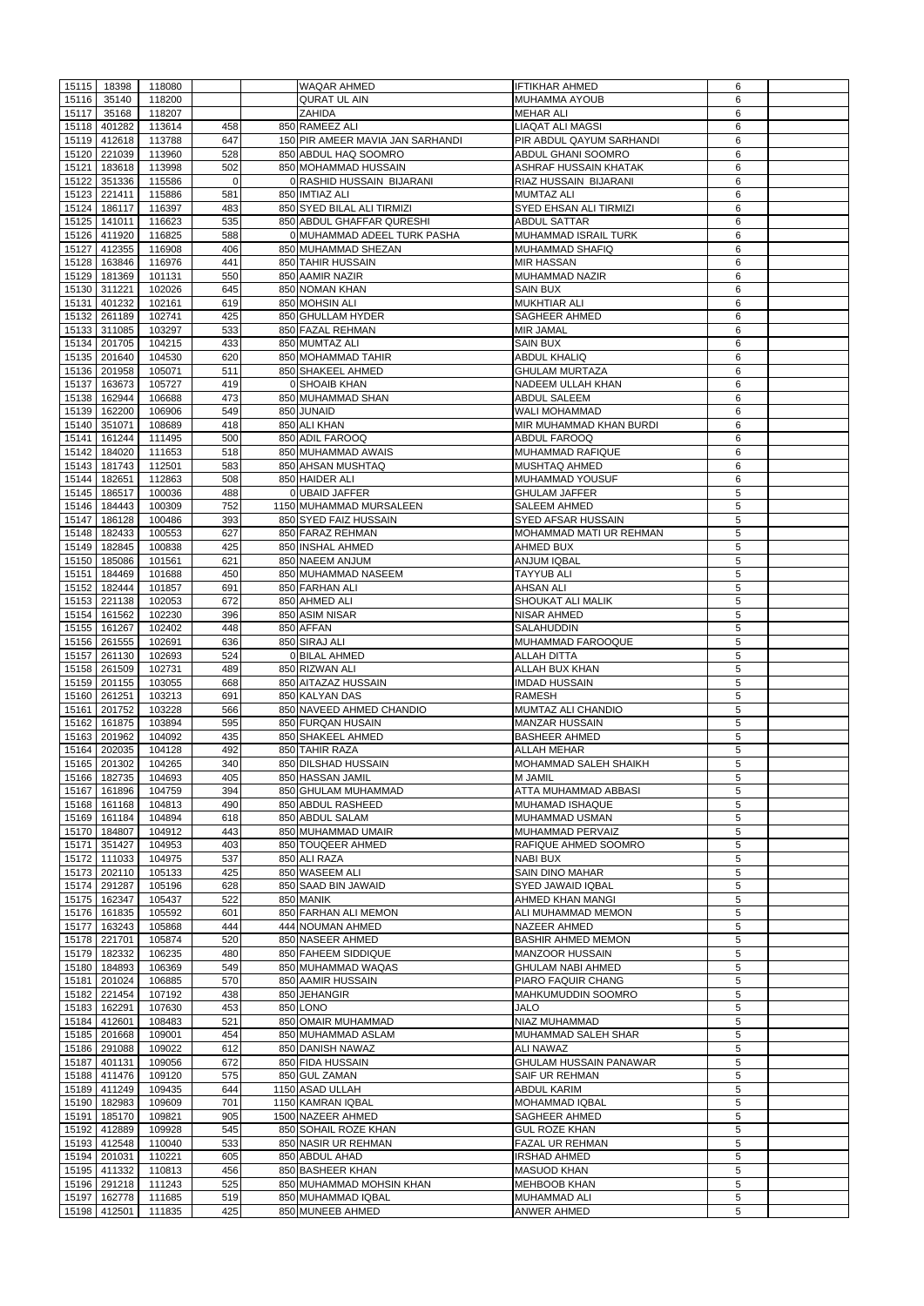| 15115 | 18398        | 118080              |                | <b>WAQAR AHMED</b>               | <b>IFTIKHAR AHMED</b>         | 6           |  |
|-------|--------------|---------------------|----------------|----------------------------------|-------------------------------|-------------|--|
|       |              |                     |                |                                  |                               |             |  |
| 15116 | 35140        | 118200              |                | <b>QURAT UL AIN</b>              | <b>IMUHAMMA AYOUB</b>         | 6           |  |
| 15117 | 35168        | 118207              |                | <b>ZAHIDA</b>                    | <b>MEHAR ALI</b>              | 6           |  |
| 15118 | 401282       | 113614              | 458            | 850 RAMEEZ ALI                   | <b>LIAQAT ALI MAGSI</b>       | 6           |  |
| 15119 | 412618       | 113788              | 647            | 150 PIR AMEER MAVIA JAN SARHANDI | PIR ABDUL QAYUM SARHANDI      | 6           |  |
|       |              |                     |                |                                  |                               |             |  |
| 15120 | 221039       | 113960              | 528            | 850 ABDUL HAQ SOOMRO             | <b>ABDUL GHANI SOOMRO</b>     | 6           |  |
| 15121 | 183618       | 113998              | 502            | 850 MOHAMMAD HUSSAIN             | ASHRAF HUSSAIN KHATAK         | 6           |  |
| 15122 | 351336       | 115586              | $\overline{0}$ | 0 RASHID HUSSAIN BIJARANI        | RIAZ HUSSAIN BIJARANI         | 6           |  |
| 15123 | 221411       | 115886              | 581            | 850 IMTIAZ ALI                   | <b>MUMTAZ ALI</b>             | $\,6$       |  |
|       |              |                     |                |                                  |                               |             |  |
| 15124 | 186117       | 116397              | 483            | 850 SYED BILAL ALI TIRMIZI       | <b>SYED EHSAN ALI TIRMIZI</b> | $\,6$       |  |
|       | 15125 141011 | 116623              | 535            | 850 ABDUL GHAFFAR QURESHI        | <b>ABDUL SATTAR</b>           | 6           |  |
|       | 15126 411920 | 116825              | 588            | 0 MUHAMMAD ADEEL TURK PASHA      | <b>IMUHAMMAD ISRAIL TURK</b>  | 6           |  |
| 15127 | 412355       | 116908              | 406            | 850 MUHAMMAD SHEZAN              | MUHAMMAD SHAFIQ               | 6           |  |
| 15128 | 163846       | 116976              | 441            | 850 TAHIR HUSSAIN                | <b>MIR HASSAN</b>             | 6           |  |
|       |              |                     |                |                                  |                               |             |  |
| 15129 | 181369       | 101131              | 550            | 850 AAMIR NAZIR                  | MUHAMMAD NAZIR                | 6           |  |
| 15130 | 311221       | 102026              | 645            | 850 NOMAN KHAN                   | <b>SAIN BUX</b>               | 6           |  |
| 15131 | 401232       | 102161              | 619            | 850 MOHSIN ALI                   | <b>MUKHTIAR ALI</b>           | 6           |  |
|       | 15132 261189 | 102741              | 425            | 850 GHULLAM HYDER                | <b>SAGHEER AHMED</b>          | 6           |  |
| 15133 | 311085       | 103297              | 533            | 850 FAZAL REHMAN                 | <b>MIR JAMAL</b>              | 6           |  |
|       |              |                     |                |                                  |                               |             |  |
| 15134 | 201705       | 104215              | 433            | 850 MUMTAZ ALI                   | <b>SAIN BUX</b>               | 6           |  |
| 15135 | 201640       | 104530              | 620            | 850 MOHAMMAD TAHIR               | <b>ABDUL KHALIQ</b>           | 6           |  |
| 15136 | 201958       | 105071              | 511            | 850 SHAKEEL AHMED                | <b>GHULAM MURTAZA</b>         | $\,6$       |  |
| 15137 | 163673       | 105727              | 419            | 0 SHOAIB KHAN                    | <b>NADEEM ULLAH KHAN</b>      | 6           |  |
|       |              |                     |                |                                  |                               |             |  |
| 15138 | 162944       | 106688              | 473            | 850 MUHAMMAD SHAN                | <b>ABDUL SALEEM</b>           | 6           |  |
| 15139 | 162200       | 106906              | 549            | 850 JUNAID                       | WALI MOHAMMAD                 | $\,6$       |  |
| 15140 | 351071       | 108689              | 418            | 850 ALI KHAN                     | MIR MUHAMMAD KHAN BURDI       | $\,6$       |  |
| 15141 | 161244       | 111495              | 500            | 850 ADIL FAROOQ                  | <b>ABDUL FAROOQ</b>           | 6           |  |
| 15142 | 184020       | 111653              | 518            | 850 MUHAMMAD AWAIS               | MUHAMMAD RAFIQUE              | 6           |  |
|       |              |                     |                |                                  |                               |             |  |
| 15143 | 181743       | 112501              | 583            | 850 AHSAN MUSHTAQ                | <b>MUSHTAQ AHMED</b>          | 6           |  |
| 15144 | 182651       | 112863              | 508            | 850 HAIDER ALI                   | MUHAMMAD YOUSUF               | 6           |  |
| 15145 | 186517       | 100036              | 488            | OUBAID JAFFER                    | <b>GHULAM JAFFER</b>          | 5           |  |
| 15146 | 184443       | 100309              | 752            | 1150 MUHAMMAD MURSALEEN          | <b>SALEEM AHMED</b>           | 5           |  |
|       |              |                     |                | 850 SYED FAIZ HUSSAIN            | <b>SYED AFSAR HUSSAIN</b>     |             |  |
| 15147 | 186128       | 100486              | 393            |                                  |                               | 5           |  |
| 15148 | 182433       | 100553              | 627            | 850 FARAZ REHMAN                 | MOHAMMAD MATI UR REHMAN       | 5           |  |
| 15149 | 182845       | 100838              | 425            | 850 INSHAL AHMED                 | <b>AHMED BUX</b>              | 5           |  |
|       | 15150 185086 | 101561              | 621            | 850 NAEEM ANJUM                  | <b>ANJUM IQBAL</b>            | 5           |  |
|       | 15151 184469 | 101688              | 450            | 850 MUHAMMAD NASEEM              | <b>TAYYUB ALI</b>             | 5           |  |
|       |              |                     |                | 850 FARHAN ALI                   |                               |             |  |
|       | 15152 182444 | 101857              | 691            |                                  | <b>AHSAN ALI</b>              | 5           |  |
|       | 15153 221138 | 102053              | 672            | 850 AHMED ALI                    | <b>SHOUKAT ALI MALIK</b>      | 5           |  |
|       | 15154 161562 | 102230              | 396            | 850 ASIM NISAR                   | <b>NISAR AHMED</b>            | 5           |  |
|       | 15155 161267 | 102402              | 448            | 850 AFFAN                        | <b>SALAHUDDIN</b>             | 5           |  |
|       | 15156 261555 | 102691              | 636            | 850 SIRAJ ALI                    | MUHAMMAD FAROOQUE             | 5           |  |
|       | 15157 261130 | 102693              | 524            | 0 BILAL AHMED                    | <b>ALLAH DITTA</b>            | 5           |  |
|       |              |                     |                |                                  |                               |             |  |
|       | 15158 261509 | 102731              | 489            | 850 RIZWAN ALI                   | <b>ALLAH BUX KHAN</b>         | 5           |  |
|       | 15159 201155 | 103055              | 668            | 850 AITAZAZ HUSSAIN              | <b>IMDAD HUSSAIN</b>          | 5           |  |
|       | 15160 261251 | 103213              | 691            | 850 KALYAN DAS                   | <b>RAMESH</b>                 | 5           |  |
| 15161 | 201752       | 103228              | 566            | 850 NAVEED AHMED CHANDIO         | MUMTAZ ALI CHANDIO            | 5           |  |
| 15162 | 161875       | 103894              | 595            | 850 FURQAN HUSAIN                | <b>MANZAR HUSSAIN</b>         | 5           |  |
|       |              |                     |                |                                  |                               |             |  |
| 15163 | 201962       | 104092              | 435            | 850 SHAKEEL AHMED                | <b>BASHEER AHMED</b>          | 5           |  |
|       | 15164 202035 | 104128              | 492            | 850 TAHIR RAZA                   | <b>ALLAH MEHAR</b>            | 5           |  |
|       | 15165 201302 | 104265              | 340            | 850 DILSHAD HUSSAIN              | <b>MOHAMMAD SALEH SHAIKH</b>  | 5           |  |
|       | 15166 182735 | 104693              | 405            | 850 HASSAN JAMIL                 | <b>M JAMIL</b>                | 5           |  |
|       | 15167 161896 | 104759              | 394            | 850 GHULAM MUHAMMAD              | <b>ATTA MUHAMMAD ABBASI</b>   | 5           |  |
|       |              |                     |                |                                  |                               |             |  |
|       | 15168 161168 | 104813              | 490            | 850 ABDUL RASHEED                | <b>MUHAMAD ISHAQUE</b>        | 5           |  |
|       | 15169 161184 | 104894              | 618            | 850 ABDUL SALAM                  | MUHAMMAD USMAN                | 5           |  |
| 15170 | 184807       | 104912              | 443            | 850 MUHAMMAD UMAIR               | MUHAMMAD PERVAIZ              | 5           |  |
| 15171 | 351427       | 104953              | 403            | 850 TOUQEER AHMED                | <b>RAFIQUE AHMED SOOMRO</b>   | 5           |  |
| 15172 | 111033       | 104975              | 537            | 850 ALI RAZA                     | <b>NABI BUX</b>               | 5           |  |
|       |              |                     |                |                                  |                               |             |  |
|       | 15173 202110 | 105133              | 425            | 850 WASEEM ALI                   | <b>SAIN DINO MAHAR</b>        | 5           |  |
|       | 15174 291287 | 105196              | 628            | 850 SAAD BIN JAWAID              | <b>SYED JAWAID IQBAL</b>      | 5           |  |
|       | 15175 162347 | 105437              | 522            | 850 MANIK                        | <b>AHMED KHAN MANGI</b>       | $\sqrt{5}$  |  |
|       | 15176 161835 | 105592              | 601            | 850 FARHAN ALI MEMON             | ALI MUHAMMAD MEMON            | 5           |  |
| 15177 | 163243       | 105868              | 444            | 444 NOUMAN AHMED                 | <b>NAZEER AHMED</b>           | 5           |  |
|       | 15178 221701 | 105874              | 520            | 850 NASEER AHMED                 | <b>BASHIR AHMED MEMON</b>     | 5           |  |
|       |              |                     |                |                                  |                               |             |  |
| 15179 | 182332       | 106235              | 480            | 850 FAHEEM SIDDIQUE              | <b>MANZOOR HUSSAIN</b>        | 5           |  |
|       | 15180 184893 | 106369              | 549            | 850 MUHAMMAD WAQAS               | <b>GHULAM NABI AHMED</b>      | 5           |  |
|       | 15181 201024 | 106885              | 570            | 850 AAMIR HUSSAIN                | PIARO FAQUIR CHANG            | 5           |  |
|       | 15182 221454 | 107192              | 438            | 850 JEHANGIR                     | <b>MAHKUMUDDIN SOOMRO</b>     | 5           |  |
| 15183 | 162291       | 107630              | 453            | 850 LONO                         | <b>JALO</b>                   | 5           |  |
|       |              |                     |                |                                  |                               |             |  |
| 15184 | 412601       | 108483              | 521            | 850 OMAIR MUHAMMAD               | NIAZ MUHAMMAD                 | 5           |  |
|       | 15185 201668 | 109001              | 454            | 850 MUHAMMAD ASLAM               | MUHAMMAD SALEH SHAR           | 5           |  |
|       | 15186 291088 | 109022              | 612            | 850 DANISH NAWAZ                 | <b>ALI NAWAZ</b>              | 5           |  |
|       |              | 15187 401131 109056 | 672            | 850 FIDA HUSSAIN                 | <b>GHULAM HUSSAIN PANAWAR</b> | $\,$ 5 $\,$ |  |
|       | 15188 411476 | 109120              | 575            | 850 GUL ZAMAN                    | <b>SAIF UR REHMAN</b>         | 5           |  |
|       |              |                     |                |                                  |                               |             |  |
|       | 15189 411249 | 109435              | 644            | 1150 ASAD ULLAH                  | <b>ABDUL KARIM</b>            | 5           |  |
|       | 15190 182983 | 109609              | 701            | 1150 KAMRAN IQBAL                | MOHAMMAD IQBAL                | 5           |  |
|       | 15191 185170 | 109821              | 905            | 1500 NAZEER AHMED                | <b>SAGHEER AHMED</b>          | 5           |  |
|       | 15192 412889 | 109928              | 545            | 850 SOHAIL ROZE KHAN             | <b>GUL ROZE KHAN</b>          | 5           |  |
|       | 15193 412548 | 110040              | 533            | 850 NASIR UR REHMAN              | <b>FAZAL UR REHMAN</b>        | 5           |  |
|       |              |                     |                |                                  |                               |             |  |
|       | 15194 201031 | 110221              | 605            | 850 ABDUL AHAD                   | <b>IRSHAD AHMED</b>           | 5           |  |
|       | 15195 411332 | 110813              | 456            | 850 BASHEER KHAN                 | <b>MASUOD KHAN</b>            | 5           |  |
| 15196 | 291218       | 111243              | 525            | 850 MUHAMMAD MOHSIN KHAN         | <b>MEHBOOB KHAN</b>           | 5           |  |
|       | 15197 162778 | 111685              | 519            | 850 MUHAMMAD IQBAL               | MUHAMMAD ALI                  | 5           |  |
|       | 15198 412501 | 111835              | 425            | 850 MUNEEB AHMED                 | ANWER AHMED                   | 5           |  |
|       |              |                     |                |                                  |                               |             |  |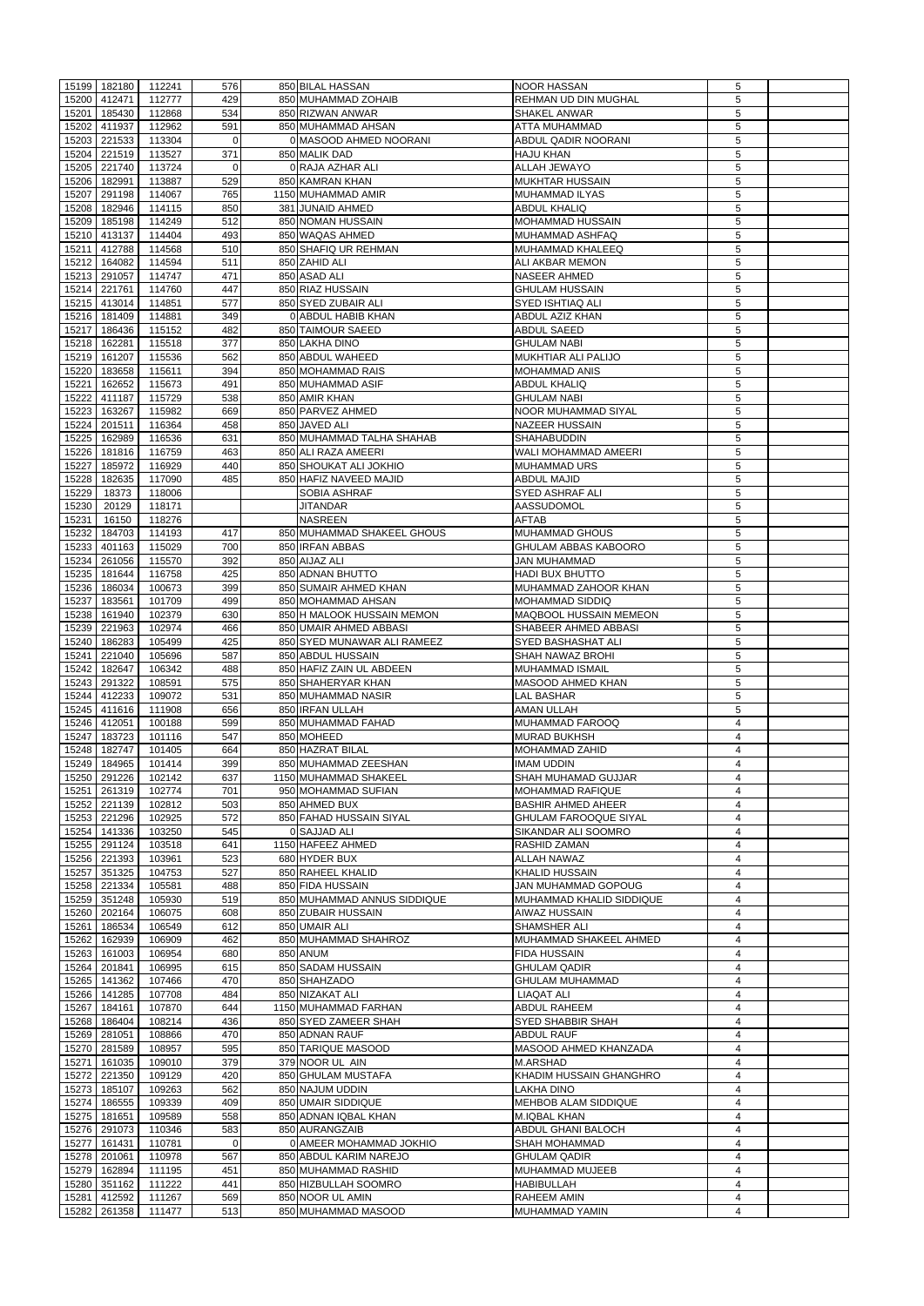|       | 15199 182180           | 112241           | 576            | 850 BILAL HASSAN                        | <b>NOOR HASSAN</b>                   | 5          |  |
|-------|------------------------|------------------|----------------|-----------------------------------------|--------------------------------------|------------|--|
|       |                        |                  |                |                                         |                                      |            |  |
| 15200 | 412471                 | 112777           | 429            | 850 MUHAMMAD ZOHAIB                     | <b>REHMAN UD DIN MUGHAL</b>          | 5          |  |
| 15201 | 185430                 | 112868           | 534            | 850 RIZWAN ANWAR                        | <b>SHAKEL ANWAR</b>                  | 5          |  |
| 15202 | 411937                 | 112962           | 591            | 850 MUHAMMAD AHSAN                      | <b>ATTA MUHAMMAD</b>                 | 5          |  |
| 15203 | 221533                 | 113304           | $\overline{0}$ | 0 MASOOD AHMED NOORANI                  | <b>ABDUL QADIR NOORANI</b>           | 5          |  |
| 15204 | 221519                 | 113527           | 371            | 850 MALIK DAD                           | <b>HAJU KHAN</b>                     | 5          |  |
|       |                        |                  |                |                                         |                                      |            |  |
|       | 15205 221740           | 113724           | $\Omega$       | 0 RAJA AZHAR ALI                        | <b>ALLAH JEWAYO</b>                  | $\sqrt{5}$ |  |
|       | 15206 182991           | 113887           | 529            | 850 KAMRAN KHAN                         | <b>MUKHTAR HUSSAIN</b>               | $\sqrt{5}$ |  |
|       | 15207 291198           | 114067           | 765            | 1150 MUHAMMAD AMIR                      | MUHAMMAD ILYAS                       | $\sqrt{5}$ |  |
|       | 15208 182946           | 114115           | 850            | 381 JUNAID AHMED                        | <b>ABDUL KHALIQ</b>                  | 5          |  |
|       | 15209 185198           | 114249           | 512            | 850 NOMAN HUSSAIN                       | <b>MOHAMMAD HUSSAIN</b>              | 5          |  |
|       |                        |                  |                |                                         |                                      |            |  |
|       | 15210 413137           | 114404           | 493            | 850 WAQAS AHMED                         | MUHAMMAD ASHFAQ                      | 5          |  |
| 15211 | 412788                 | 114568           | 510            | 850 SHAFIQ UR REHMAN                    | MUHAMMAD KHALEEQ                     | 5          |  |
| 15212 | 164082                 | 114594           | 511            | 850 ZAHID ALI                           | <b>ALI AKBAR MEMON</b>               | 5          |  |
|       | 15213 291057           | 114747           | 471            | 850 ASAD ALI                            | <b>NASEER AHMED</b>                  | 5          |  |
|       | 15214 221761           | 114760           | 447            | 850 RIAZ HUSSAIN                        | <b>I</b> GHULAM HUSSAIN              | 5          |  |
|       |                        |                  |                |                                         |                                      |            |  |
|       | 15215 413014           | 114851           | 577            | 850 SYED ZUBAIR ALI                     | <b>SYED ISHTIAQ ALI</b>              | 5          |  |
|       | 15216 181409           | 114881           | 349            | 0 ABDUL HABIB KHAN                      | <b>ABDUL AZIZ KHAN</b>               | 5          |  |
|       | 15217 186436           | 115152           | 482            | 850 TAIMOUR SAEED                       | ABDUL SAEED                          | 5          |  |
|       | 15218 162281           | 115518           | 377            | 850 LAKHA DINO                          | <b>GHULAM NABI</b>                   | $\sqrt{5}$ |  |
|       |                        |                  |                |                                         |                                      |            |  |
| 15219 | 161207                 | 115536           | 562            | 850 ABDUL WAHEED                        | <b>MUKHTIAR ALI PALIJO</b>           | 5          |  |
| 15220 | 183658                 | 115611           | 394            | 850 MOHAMMAD RAIS                       | <b>MOHAMMAD ANIS</b>                 | $\sqrt{5}$ |  |
| 15221 | 162652                 | 115673           | 491            | 850 MUHAMMAD ASIF                       | <b>ABDUL KHALIQ</b>                  | 5          |  |
| 15222 | 411187                 | 115729           | 538            | 850 AMIR KHAN                           | <b>GHULAM NABI</b>                   | $\sqrt{5}$ |  |
| 15223 | 163267                 | 115982           | 669            | 850 PARVEZ AHMED                        | NOOR MUHAMMAD SIYAL                  | 5          |  |
|       |                        |                  |                |                                         |                                      |            |  |
| 15224 | 201511                 | 116364           | 458            | 850 JAVED ALI                           | <b>NAZEER HUSSAIN</b>                | 5          |  |
| 15225 | 162989                 | 116536           | 631            | 850 MUHAMMAD TALHA SHAHAB               | <b>SHAHABUDDIN</b>                   | 5          |  |
| 15226 | 181816                 | 116759           | 463            | 850 ALI RAZA AMEERI                     | WALI MOHAMMAD AMEERI                 | 5          |  |
| 15227 | 185972                 | 116929           | 440            | 850 SHOUKAT ALI JOKHIO                  | <b>MUHAMMAD URS</b>                  | 5          |  |
| 15228 | 182635                 | 117090           | 485            | 850 HAFIZ NAVEED MAJID                  | <b>ABDUL MAJID</b>                   | 5          |  |
|       |                        |                  |                |                                         |                                      |            |  |
| 15229 | 18373                  | 118006           |                | <b>SOBIA ASHRAF</b>                     | <b>SYED ASHRAF ALI</b>               | 5          |  |
| 15230 | 20129                  | 118171           |                | <b>JITANDAR</b>                         | <b>AASSUDOMOL</b>                    | 5          |  |
| 15231 | 16150                  | 118276           |                | <b>NASREEN</b>                          | <b>AFTAB</b>                         | 5          |  |
| 15232 | 184703                 | 114193           | 417            | 850 MUHAMMAD SHAKEEL GHOUS              | <b>MUHAMMAD GHOUS</b>                | 5          |  |
|       |                        |                  | 700            | 850 IRFAN ABBAS                         |                                      |            |  |
| 15233 | 401163                 | 115029           |                |                                         | <b>GHULAM ABBAS KABOORO</b>          | 5          |  |
|       | 15234 261056           | 115570           | 392            | 850 AIJAZ ALI                           | <b>JAN MUHAMMAD</b>                  | 5          |  |
|       | 15235 181644           | 116758           | 425            | 850 ADNAN BHUTTO                        | <b>HADI BUX BHUTTO</b>               | 5          |  |
| 15236 | 186034                 | 100673           | 399            | 850 SUMAIR AHMED KHAN                   | MUHAMMAD ZAHOOR KHAN                 | 5          |  |
| 15237 | 183561                 | 101709           | 499            | 850 MOHAMMAD AHSAN                      | <b>MOHAMMAD SIDDIQ</b>               | 5          |  |
|       |                        |                  |                |                                         |                                      |            |  |
|       | 15238 161940           | 102379           | 630            | 850 H MALOOK HUSSAIN MEMON              | MAQBOOL HUSSAIN MEMEON               | 5          |  |
|       | 15239 221963           | 102974           | 466            | 850 UMAIR AHMED ABBASI                  | <b>SHABEER AHMED ABBASI</b>          | 5          |  |
|       | 15240 186283           | 105499           | 425            | 850 SYED MUNAWAR ALI RAMEEZ             | <b>SYED BASHASHAT ALI</b>            | 5          |  |
| 15241 | 221040                 | 105696           | 587            | 850 ABDUL HUSSAIN                       | <b>SHAH NAWAZ BROHI</b>              | 5          |  |
| 15242 | 182647                 | 106342           | 488            | 850 HAFIZ ZAIN UL ABDEEN                | <b>MUHAMMAD ISMAIL</b>               | 5          |  |
|       |                        |                  |                |                                         |                                      |            |  |
|       | 15243 291322           | 108591           | 575            | 850 SHAHERYAR KHAN                      | <b>MASOOD AHMED KHAN</b>             | 5          |  |
|       | 15244 412233           | 109072           | 531            | 850 MUHAMMAD NASIR                      | <b>LAL BASHAR</b>                    | 5          |  |
| 15245 | 411616                 | 111908           | 656            | 850 IRFAN ULLAH                         | <b>AMAN ULLAH</b>                    | 5          |  |
| 15246 | 412051                 | 100188           | 599            | 850 MUHAMMAD FAHAD                      | MUHAMMAD FAROOQ                      | 4          |  |
| 15247 | 183723                 | 101116           | 547            | 850 MOHEED                              | <b>MURAD BUKHSH</b>                  | 4          |  |
|       |                        |                  |                |                                         |                                      |            |  |
| 15248 | 182747                 | 101405           | 664            | 850 HAZRAT BILAL                        | <b>MOHAMMAD ZAHID</b>                | 4          |  |
| 15249 | 184965                 | 101414           | 399            | 850 MUHAMMAD ZEESHAN                    | <b>IMAM UDDIN</b>                    | 4          |  |
| 15250 | 291226                 | 102142           | 637            | 1150 MUHAMMAD SHAKEEL                   | <b>SHAH MUHAMAD GUJJAR</b>           | 4          |  |
| 15251 | 261319                 | 102774           | 701            | 950 MOHAMMAD SUFIAN                     | <b>MOHAMMAD RAFIQUE</b>              | 4          |  |
|       | 221139                 |                  |                |                                         |                                      |            |  |
| 15252 |                        | 102812           | 503            | 850 AHMED BUX                           | <b>BASHIR AHMED AHEER</b>            | 4          |  |
| 15253 | 221296                 | 102925           | 572            | 850 FAHAD HUSSAIN SIYAL                 | <b>GHULAM FAROOQUE SIYAL</b>         | 4          |  |
| 15254 | 141336                 | 103250           | 545            | 0 SAJJAD ALI                            | SIKANDAR ALI SOOMRO                  | 4          |  |
|       | 15255 291124           | 103518           | 641            | 1150 HAFEEZ AHMED                       | <b>RASHID ZAMAN</b>                  | 4          |  |
|       | 15256 221393           | 103961           | 523            | 680 HYDER BUX                           | <b>ALLAH NAWAZ</b>                   | 4          |  |
|       |                        |                  |                |                                         |                                      |            |  |
| 15257 | 351325                 | 104753           | 527            | 850 RAHEEL KHALID                       | <b>KHALID HUSSAIN</b>                | 4          |  |
|       | 15258 221334           | 105581           | 488            | 850 FIDA HUSSAIN                        | <b>JAN MUHAMMAD GOPOUG</b>           | 4          |  |
|       | 15259 351248           | 105930           | 519            | 850 MUHAMMAD ANNUS SIDDIQUE             | MUHAMMAD KHALID SIDDIQUE             | 4          |  |
| 15260 | 202164                 | 106075           | 608            | 850 ZUBAIR HUSSAIN                      | <b>AIWAZ HUSSAIN</b>                 | 4          |  |
| 15261 | 186534                 | 106549           | 612            | 850 UMAIR ALI                           | <b>SHAMSHER ALI</b>                  | 4          |  |
| 15262 |                        |                  | 462            | 850 MUHAMMAD SHAHROZ                    |                                      |            |  |
|       | 162939                 | 106909           |                |                                         | MUHAMMAD SHAKEEL AHMED               | 4          |  |
|       | 15263 161003           | 106954           | 680            | 850 ANUM                                | <b>FIDA HUSSAIN</b>                  | 4          |  |
| 15264 | 201841                 | 106995           | 615            | 850 SADAM HUSSAIN                       | <b>GHULAM QADIR</b>                  | 4          |  |
|       | 15265 141362           | 107466           | 470            | 850 SHAHZADO                            | <b>GHULAM MUHAMMAD</b>               | 4          |  |
|       | 15266 141285           | 107708           | 484            | 850 NIZAKAT ALI                         | <b>LIAQAT ALI</b>                    | 4          |  |
|       |                        |                  |                |                                         |                                      |            |  |
| 15267 | 184161                 | 107870           | 644            | 1150 MUHAMMAD FARHAN                    | <b>ABDUL RAHEEM</b>                  | 4          |  |
| 15268 | 186404                 | 108214           | 436            | 850 SYED ZAMEER SHAH                    | <b>SYED SHABBIR SHAH</b>             | 4          |  |
| 15269 | 281051                 | 108866           | 470            | 850 ADNAN RAUF                          | <b>ABDUL RAUF</b>                    | 4          |  |
| 15270 |                        | 108957           | 595            | 850 TARIQUE MASOOD                      | MASOOD AHMED KHANZADA                | 4          |  |
|       |                        |                  |                | 379 NOOR UL AIN                         | M.ARSHAD                             | 4          |  |
|       | 281589                 |                  |                |                                         |                                      |            |  |
|       | 15271 161035           | 109010           | 379            |                                         |                                      |            |  |
|       | 15272 221350           | 109129           | 420            | 850 GHULAM MUSTAFA                      | KHADIM HUSSAIN GHANGHRO              | 4          |  |
|       | 15273 185107           | 109263           | 562            | 850 NAJUM UDDIN                         | LAKHA DINO                           | 4          |  |
|       | 15274 186555           | 109339           | 409            | 850 UMAIR SIDDIQUE                      | <b>MEHBOB ALAM SIDDIQUE</b>          | 4          |  |
|       |                        |                  |                |                                         |                                      |            |  |
|       | 15275 181651           | 109589           | 558            | 850 ADNAN IQBAL KHAN                    | <b>M.IQBAL KHAN</b>                  | 4          |  |
|       | 15276 291073           | 110346           | 583            | 850 AURANGZAIB                          | <b>ABDUL GHANI BALOCH</b>            | 4          |  |
| 15277 | 161431                 | 110781           | $\Omega$       | 0 AMEER MOHAMMAD JOKHIO                 | <b>SHAH MOHAMMAD</b>                 | 4          |  |
| 15278 | 201061                 | 110978           | 567            | 850 ABDUL KARIM NAREJO                  | <b>GHULAM QADIR</b>                  | 4          |  |
|       | 162894                 |                  | 451            | 850 MUHAMMAD RASHID                     | MUHAMMAD MUJEEB                      | 4          |  |
| 15279 |                        | 111195           |                |                                         |                                      |            |  |
| 15280 | 351162                 | 111222           | 441            | 850 HIZBULLAH SOOMRO                    | <b>HABIBULLAH</b>                    | 4          |  |
| 15281 | 412592<br>15282 261358 | 111267<br>111477 | 569<br>513     | 850 NOOR UL AMIN<br>850 MUHAMMAD MASOOD | <b>RAHEEM AMIN</b><br>MUHAMMAD YAMIN | 4<br>4     |  |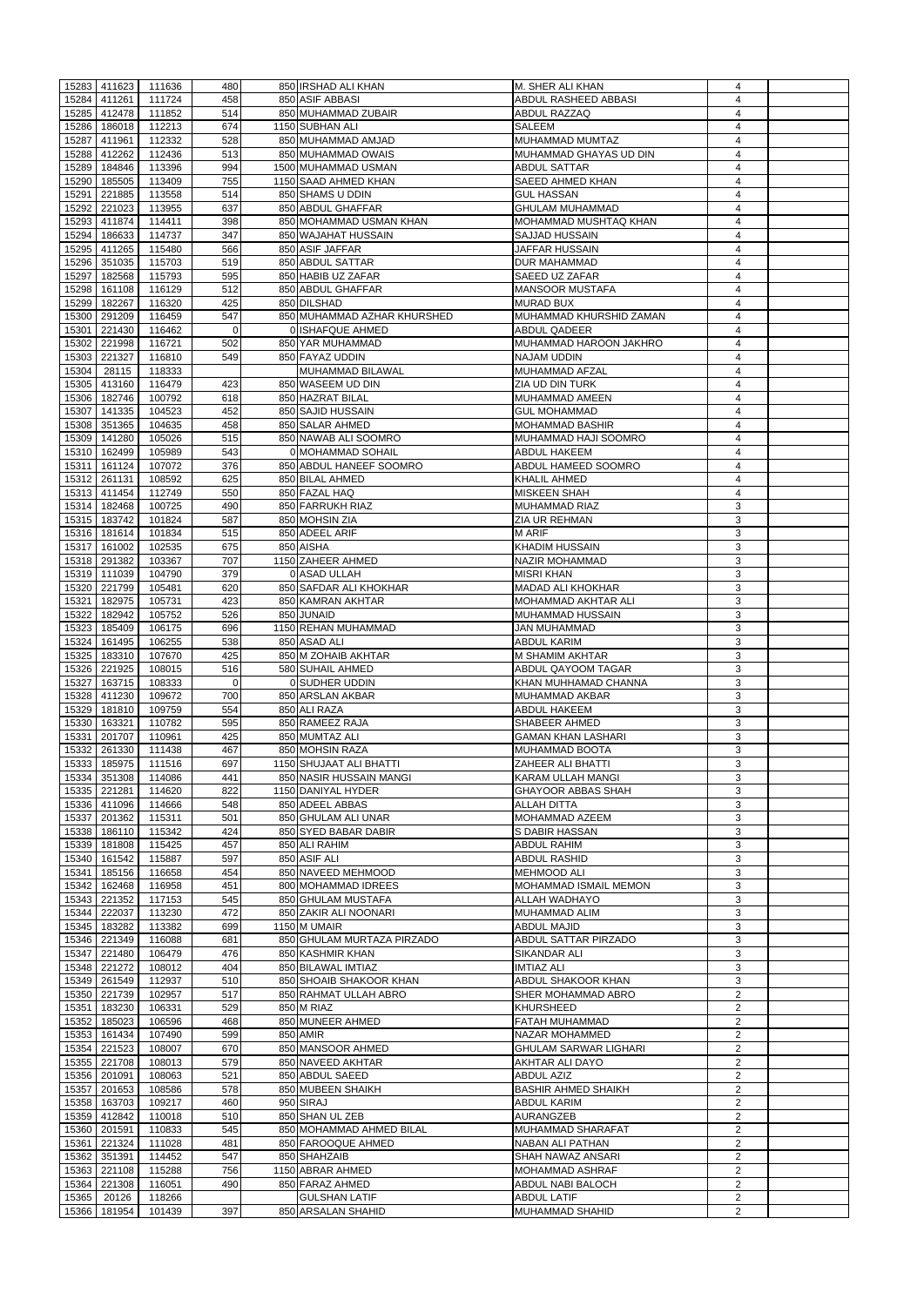|       | 15283 411623   | 111636 | 480      | 850 IRSHAD ALI KHAN         | M. SHER ALI KHAN              | 4              |  |
|-------|----------------|--------|----------|-----------------------------|-------------------------------|----------------|--|
|       |                |        |          |                             |                               |                |  |
| 15284 | 411261         | 111724 | 458      | 850 ASIF ABBASI             | ABDUL RASHEED ABBASI          | 4              |  |
| 15285 | 412478         | 111852 | 514      | 850 MUHAMMAD ZUBAIR         | ABDUL RAZZAQ                  | 4              |  |
| 15286 | 186018         | 112213 | 674      | 1150 SUBHAN ALI             | <b>SALEEM</b>                 | 4              |  |
| 15287 | 411961         | 112332 | 528      | 850 MUHAMMAD AMJAD          | MUHAMMAD MUMTAZ               | 4              |  |
| 15288 | 412262         | 112436 | 513      | 850 MUHAMMAD OWAIS          | MUHAMMAD GHAYAS UD DIN        | 4              |  |
| 15289 | 184846         | 113396 | 994      | 1500 MUHAMMAD USMAN         | <b>ABDUL SATTAR</b>           | 4              |  |
|       |                |        |          |                             |                               |                |  |
| 15290 | 185505         | 113409 | 755      | 1150 SAAD AHMED KHAN        | <b>SAEED AHMED KHAN</b>       | 4              |  |
| 15291 | 221885         | 113558 | 514      | 850 SHAMS U DDIN            | <b>GUL HASSAN</b>             | 4              |  |
| 15292 | 221023         | 113955 | 637      | 850 ABDUL GHAFFAR           | <b>GHULAM MUHAMMAD</b>        | 4              |  |
| 15293 | 411874         | 114411 | 398      | 850 MOHAMMAD USMAN KHAN     | MOHAMMAD MUSHTAQ KHAN         | 4              |  |
| 15294 | 186633         | 114737 | 347      | 850 WAJAHAT HUSSAIN         | <b>SAJJAD HUSSAIN</b>         | 4              |  |
|       | 411265         | 115480 | 566      |                             |                               |                |  |
| 15295 |                |        |          | 850 ASIF JAFFAR             | JAFFAR HUSSAIN                | 4              |  |
| 15296 | 351035         | 115703 | 519      | 850 ABDUL SATTAR            | <b>DUR MAHAMMAD</b>           | 4              |  |
| 15297 | 182568         | 115793 | 595      | 850 HABIB UZ ZAFAR          | <b>SAEED UZ ZAFAR</b>         | 4              |  |
| 15298 | 161108         | 116129 | 512      | 850 ABDUL GHAFFAR           | <b>MANSOOR MUSTAFA</b>        | 4              |  |
| 15299 | 182267         | 116320 | 425      | 850 DILSHAD                 | IMURAD BUX                    | 4              |  |
| 15300 | 291209         | 116459 | 547      | 850 MUHAMMAD AZHAR KHURSHED | MUHAMMAD KHURSHID ZAMAN       | 4              |  |
| 15301 | 221430         | 116462 | $\Omega$ | 0 ISHAFQUE AHMED            | <b>ABDUL QADEER</b>           | 4              |  |
|       |                | 116721 |          | 850 YAR MUHAMMAD            | <b>MUHAMMAD HAROON JAKHRO</b> |                |  |
| 15302 | 221998         |        | 502      |                             |                               | 4              |  |
| 15303 | 221327         | 116810 | 549      | 850 FAYAZ UDDIN             | <b>NAJAM UDDIN</b>            | 4              |  |
| 15304 | 28115          | 118333 |          | MUHAMMAD BILAWAL            | MUHAMMAD AFZAL                | 4              |  |
| 15305 | 413160         | 116479 | 423      | 850 WASEEM UD DIN           | ZIA UD DIN TURK               | 4              |  |
| 15306 | 182746         | 100792 | 618      | 850 HAZRAT BILAL            | MUHAMMAD AMEEN                | 4              |  |
| 15307 | 141335         | 104523 | 452      | 850 SAJID HUSSAIN           | <b>GUL MOHAMMAD</b>           | 4              |  |
|       |                |        | 458      |                             |                               |                |  |
| 15308 | 351365         | 104635 |          | 850 SALAR AHMED             | <b>MOHAMMAD BASHIR</b>        | 4              |  |
| 15309 | 141280         | 105026 | 515      | 850 NAWAB ALI SOOMRO        | MUHAMMAD HAJI SOOMRO          | 4              |  |
| 15310 | 162499         | 105989 | 543      | 0 MOHAMMAD SOHAIL           | ABDUL HAKEEM                  | 4              |  |
| 15311 | 161124         | 107072 | 376      | 850 ABDUL HANEEF SOOMRO     | ABDUL HAMEED SOOMRO           | 4              |  |
| 15312 | 261131         | 108592 | 625      | 850 BILAL AHMED             | <b>KHALIL AHMED</b>           | 4              |  |
| 15313 | 411454         | 112749 | 550      | 850 FAZAL HAQ               | <b>MISKEEN SHAH</b>           | 4              |  |
| 15314 | 182468         | 100725 | 490      | 850 FARRUKH RIAZ            | <b>MUHAMMAD RIAZ</b>          | 3              |  |
|       |                |        |          |                             |                               |                |  |
| 15315 | 183742         | 101824 | 587      | 850 MOHSIN ZIA              | <b>ZIA UR REHMAN</b>          | 3              |  |
| 15316 | 181614         | 101834 | 515      | 850 ADEEL ARIF              | <b>MARIF</b>                  | 3              |  |
| 15317 | 161002         | 102535 | 675      | 850 AISHA                   | <b>KHADIM HUSSAIN</b>         | 3              |  |
|       | 15318 291382   | 103367 | 707      | 1150 ZAHEER AHMED           | NAZIR MOHAMMAD                | 3              |  |
|       | 15319   111039 | 104790 | 379      | 0 ASAD ULLAH                | <b>MISRI KHAN</b>             | 3              |  |
| 15320 | 221799         | 105481 | 620      | 850 SAFDAR ALI KHOKHAR      | <b>MADAD ALI KHOKHAR</b>      | 3              |  |
|       |                |        |          |                             |                               |                |  |
| 15321 | 182975         | 105731 | 423      | 850 KAMRAN AKHTAR           | <b>MOHAMMAD AKHTAR ALI</b>    | 3              |  |
| 15322 | 182942         | 105752 | 526      | 850 JUNAID                  | MUHAMMAD HUSSAIN              | 3              |  |
| 15323 | 185409         | 106175 | 696      | 1150 REHAN MUHAMMAD         | <b>JAN MUHAMMAD</b>           | $\mathbf{3}$   |  |
| 15324 | 161495         | 106255 | 538      | 850 ASAD ALI                | <b>ABDUL KARIM</b>            | $\sqrt{3}$     |  |
| 15325 | 183310         | 107670 | 425      | 850 M ZOHAIB AKHTAR         | M SHAMIM AKHTAR               | 3              |  |
| 15326 | 221925         | 108015 | 516      | 580 SUHAIL AHMED            | ABDUL QAYOOM TAGAR            | 3              |  |
|       |                |        |          |                             |                               |                |  |
|       |                |        |          |                             |                               |                |  |
| 15327 | 163715         | 108333 | $\Omega$ | 0 SUDHER UDDIN              | KHAN MUHHAMAD CHANNA          | 3              |  |
| 15328 | 411230         | 109672 | 700      | 850 ARSLAN AKBAR            | MUHAMMAD AKBAR                | 3              |  |
| 15329 | 181810         | 109759 | 554      | 850 ALI RAZA                | <b>ABDUL HAKEEM</b>           | 3              |  |
| 15330 | 163321         | 110782 | 595      | 850 RAMEEZ RAJA             | SHABEER AHMED                 | 3              |  |
|       |                |        |          | 850 MUMTAZ ALI              | <b>GAMAN KHAN LASHARI</b>     | 3              |  |
| 15331 | 201707         | 110961 | 425      |                             |                               |                |  |
| 15332 | 261330         | 111438 | 467      | 850 MOHSIN RAZA             | <b>MUHAMMAD BOOTA</b>         | 3              |  |
| 15333 | 185975         | 111516 | 697      | 1150 SHUJAAT ALI BHATTI     | ZAHEER ALI BHATTI             | 3              |  |
| 15334 | 351308         | 114086 | 441      | 850 NASIR HUSSAIN MANGI     | <b>KARAM ULLAH MANGI</b>      | 3              |  |
| 15335 | 221281         | 114620 | 822      | 1150 DANIYAL HYDER          | <b>GHAYOOR ABBAS SHAH</b>     | 3              |  |
| 15336 | 411096         | 114666 | 548      | 850 ADEEL ABBAS             | <b>ALLAH DITTA</b>            | 3              |  |
| 15337 | 201362         | 115311 | 501      | 850 GHULAM ALI UNAR         | MOHAMMAD AZEEM                | 3              |  |
| 15338 | 186110         | 115342 | 424      | 850 SYED BABAR DABIR        | S DABIR HASSAN                | 3              |  |
|       |                |        |          |                             |                               |                |  |
| 15339 | 181808         | 115425 | 457      | 850 ALI RAHIM               | <b>ABDUL RAHIM</b>            | 3              |  |
| 15340 | 161542         | 115887 | 597      | 850 ASIF ALI                | <b>ABDUL RASHID</b>           | $\mathbf{3}$   |  |
| 15341 | 185156         | 116658 | 454      | 850 NAVEED MEHMOOD          | <b>MEHMOOD ALI</b>            | $\mathbf{3}$   |  |
| 15342 | 162468         | 116958 | 451      | 800 MOHAMMAD IDREES         | MOHAMMAD ISMAIL MEMON         | 3              |  |
| 15343 | 221352         | 117153 | 545      | 850 GHULAM MUSTAFA          | ALLAH WADHAYO                 | 3              |  |
| 15344 | 222037         | 113230 | 472      | 850 ZAKIR ALI NOONARI       | <b>MUHAMMAD ALIM</b>          | 3              |  |
| 15345 | 183282         | 113382 | 699      | 1150 M UMAIR                | <b>ABDUL MAJID</b>            | 3              |  |
| 15346 | 221349         |        | 681      | 850 GHULAM MURTAZA PIRZADO  | ABDUL SATTAR PIRZADO          | 3              |  |
|       |                | 116088 |          |                             |                               |                |  |
| 15347 | 221480         | 106479 | 476      | 850 KASHMIR KHAN            | <b>SIKANDAR ALI</b>           | 3              |  |
| 15348 | 221272         | 108012 | 404      | 850 BILAWAL IMTIAZ          | <b>IMTIAZ ALI</b>             | 3              |  |
| 15349 | 261549         | 112937 | 510      | 850 SHOAIB SHAKOOR KHAN     | ABDUL SHAKOOR KHAN            | 3              |  |
| 15350 | 221739         | 102957 | 517      | 850 RAHMAT ULLAH ABRO       | SHER MOHAMMAD ABRO            | $\overline{c}$ |  |
| 15351 | 183230         | 106331 | 529      | 850 M RIAZ                  | <b>KHURSHEED</b>              | 2              |  |
| 15352 | 185023         | 106596 | 468      | 850 MUNEER AHMED            | FATAH MUHAMMAD                | $\overline{c}$ |  |
|       |                |        |          |                             |                               |                |  |
| 15353 | 161434         | 107490 | 599      | 850 AMIR                    | <b>NAZAR MOHAMMED</b>         | $\overline{2}$ |  |
| 15354 | 221523         | 108007 | 670      | 850 MANSOOR AHMED           | <b>GHULAM SARWAR LIGHARI</b>  | $\overline{c}$ |  |
|       | 15355 221708   | 108013 | 579      | 850 NAVEED AKHTAR           | <b>AKHTAR ALI DAYO</b>        | 2              |  |
|       | 15356 201091   | 108063 | 521      | 850 ABDUL SAEED             | ABDUL AZIZ                    | $\overline{a}$ |  |
|       | 15357 201653   | 108586 | 578      | 850 MUBEEN SHAIKH           | <b>BASHIR AHMED SHAIKH</b>    | $\overline{a}$ |  |
|       | 15358 163703   | 109217 | 460      | 950 SIRAJ                   | <b>ABDUL KARIM</b>            | $\overline{a}$ |  |
|       | 15359 412842   | 110018 | 510      | 850 SHAN UL ZEB             | AURANGZEB                     | $\overline{a}$ |  |
|       |                |        |          |                             |                               |                |  |
| 15360 | 201591         | 110833 | 545      | 850 MOHAMMAD AHMED BILAL    | <b>MUHAMMAD SHARAFAT</b>      | $\overline{a}$ |  |
| 15361 | 221324         | 111028 | 481      | 850 FAROOQUE AHMED          | <b>NABAN ALI PATHAN</b>       | $\overline{a}$ |  |
| 15362 | 351391         | 114452 | 547      | 850 SHAHZAIB                | <b>SHAH NAWAZ ANSARI</b>      | $\overline{a}$ |  |
| 15363 | 221108         | 115288 | 756      | 1150 ABRAR AHMED            | <b>MOHAMMAD ASHRAF</b>        | $\overline{a}$ |  |
| 15364 | 221308         | 116051 | 490      | 850 FARAZ AHMED             | ABDUL NABI BALOCH             | $\overline{2}$ |  |
| 15365 | 20126          | 118266 |          | <b>GULSHAN LATIF</b>        | <b>ABDUL LATIF</b>            | $\overline{2}$ |  |
| 15366 | 181954         | 101439 | 397      | 850 ARSALAN SHAHID          | <b>MUHAMMAD SHAHID</b>        | $\overline{2}$ |  |